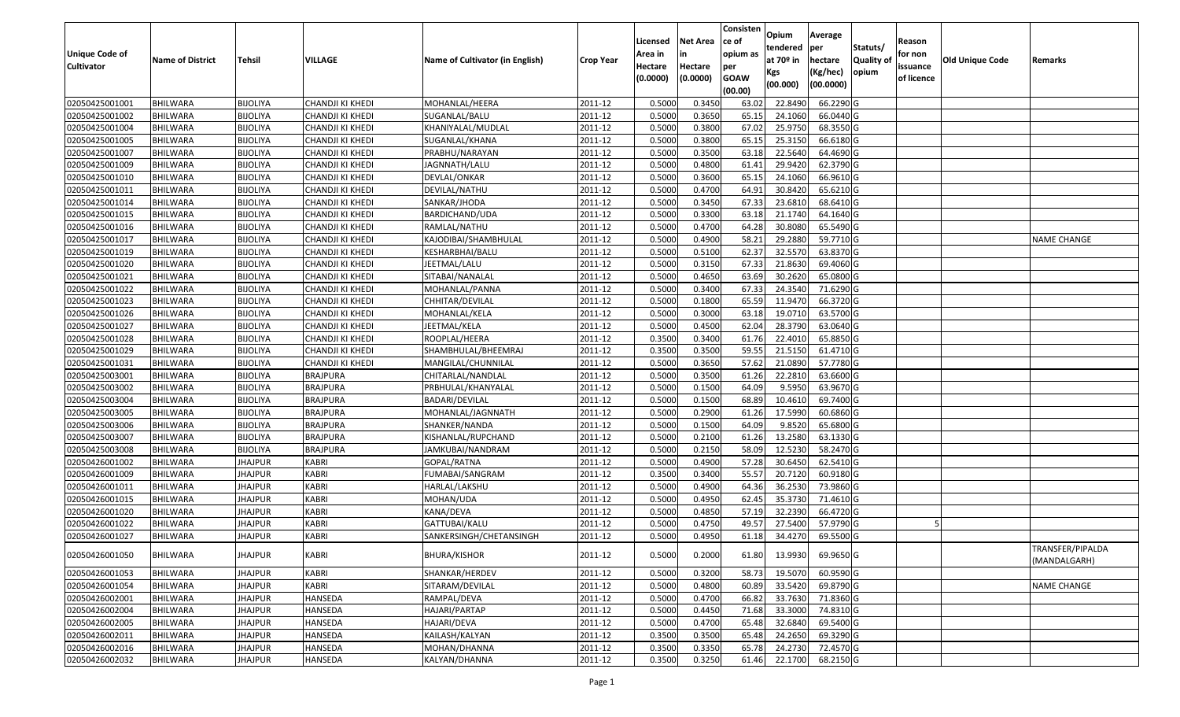|                                  |                             |                                    |                                      |                                     |                    |                  |                  | Consisten      | Opium             | Average               |                  |            |                        |                                  |
|----------------------------------|-----------------------------|------------------------------------|--------------------------------------|-------------------------------------|--------------------|------------------|------------------|----------------|-------------------|-----------------------|------------------|------------|------------------------|----------------------------------|
|                                  |                             |                                    |                                      |                                     |                    | Licensed         | <b>Net Area</b>  | ce of          | tendered          | per                   | Statuts/         | Reason     |                        |                                  |
| Unique Code of                   | <b>Name of District</b>     | <b>Tehsil</b>                      | VILLAGE                              | Name of Cultivator (in English)     | <b>Crop Year</b>   | Area in          | in               | opium as       | at $70°$ in       | hectare               | <b>Quality o</b> | for non    | <b>Old Unique Code</b> | Remarks                          |
| <b>Cultivator</b>                |                             |                                    |                                      |                                     |                    | Hectare          | Hectare          | per            | Kgs               | (Kg/hec)              | opium            | issuance   |                        |                                  |
|                                  |                             |                                    |                                      |                                     |                    | (0.0000)         | (0.0000)         | <b>GOAW</b>    | (00.000)          | (00.0000)             |                  | of licence |                        |                                  |
|                                  |                             |                                    |                                      |                                     |                    |                  |                  | (00.00)        |                   |                       |                  |            |                        |                                  |
| 02050425001001                   | <b>BHILWARA</b>             | <b>BIJOLIYA</b>                    | CHANDJI KI KHEDI                     | MOHANLAL/HEERA                      | 2011-12            | 0.5000           | 0.3450           | 63.02          | 22.8490           | 66.2290 G             |                  |            |                        |                                  |
| 02050425001002                   | BHILWARA                    | <b>BIJOLIYA</b>                    | CHANDJI KI KHEDI                     | SUGANLAL/BALU                       | 2011-12            | 0.5000           | 0.3650           | 65.15<br>67.02 | 24.1060           | 66.0440 G             |                  |            |                        |                                  |
| 02050425001004<br>02050425001005 | BHILWARA<br><b>BHILWARA</b> | <b>BIJOLIYA</b><br><b>BIJOLIYA</b> | CHANDJI KI KHEDI<br>CHANDJI KI KHEDI | KHANIYALAL/MUDLAL<br>SUGANLAL/KHANA | 2011-12<br>2011-12 | 0.5000<br>0.5000 | 0.3800<br>0.3800 | 65.15          | 25.975<br>25.3150 | 68.3550 G<br>66.6180G |                  |            |                        |                                  |
| 02050425001007                   | BHILWARA                    | <b>BIJOLIYA</b>                    | CHANDJI KI KHEDI                     | PRABHU/NARAYAN                      | 2011-12            | 0.5000           | 0.3500           | 63.18          | 22.5640           | 64.4690 G             |                  |            |                        |                                  |
| 02050425001009                   | <b>BHILWARA</b>             | <b>BIJOLIYA</b>                    | CHANDJI KI KHEDI                     | JAGNNATH/LALU                       | 2011-12            | 0.5000           | 0.4800           | 61.41          | 29.9420           | 62.3790 G             |                  |            |                        |                                  |
| 02050425001010                   | BHILWARA                    | <b>BIJOLIYA</b>                    | CHANDJI KI KHEDI                     | DEVLAL/ONKAR                        | 2011-12            | 0.5000           | 0.3600           | 65.1           | 24.1060           | 66.9610 G             |                  |            |                        |                                  |
| 02050425001011                   | <b>BHILWARA</b>             | <b>BIJOLIYA</b>                    | CHANDJI KI KHEDI                     | DEVILAL/NATHU                       | 2011-12            | 0.5000           | 0.4700           | 64.91          | 30.8420           | 65.6210G              |                  |            |                        |                                  |
| 02050425001014                   | BHILWARA                    | <b>BIJOLIYA</b>                    | CHANDJI KI KHEDI                     | SANKAR/JHODA                        | 2011-12            | 0.5000           | 0.3450           | 67.33          | 23.6810           | 68.6410 G             |                  |            |                        |                                  |
| 02050425001015                   | BHILWARA                    | <b>BIJOLIYA</b>                    | CHANDJI KI KHEDI                     | BARDICHAND/UDA                      | 2011-12            | 0.5000           | 0.3300           | 63.18          | 21.1740           | 64.1640 G             |                  |            |                        |                                  |
| 02050425001016                   | BHILWARA                    | <b>BIJOLIYA</b>                    | CHANDJI KI KHEDI                     | RAMLAL/NATHU                        | 2011-12            | 0.5000           | 0.4700           | 64.28          | 30.8080           | 65.5490 G             |                  |            |                        |                                  |
| 02050425001017                   | <b>BHILWARA</b>             | <b>BIJOLIYA</b>                    | CHANDJI KI KHEDI                     | KAJODIBAI/SHAMBHULAL                | 2011-12            | 0.5000           | 0.4900           | 58.23          | 29.2880           | 59.7710 G             |                  |            |                        | <b>NAME CHANGE</b>               |
| 02050425001019                   | <b>BHILWARA</b>             | <b>BIJOLIYA</b>                    | CHANDJI KI KHEDI                     | KESHARBHAI/BALU                     | 2011-12            | 0.5000           | 0.5100           | 62.37          | 32.5570           | 63.8370 G             |                  |            |                        |                                  |
| 02050425001020                   | <b>BHILWARA</b>             | <b>BIJOLIYA</b>                    | CHANDJI KI KHEDI                     | JEETMAL/LALU                        | 2011-12            | 0.5000           | 0.3150           | 67.33          | 21.8630           | 69.4060 G             |                  |            |                        |                                  |
| 02050425001021                   | BHILWARA                    | <b>BIJOLIYA</b>                    | CHANDJI KI KHEDI                     | SITABAI/NANALAL                     | 2011-12            | 0.5000           | 0.4650           | 63.69          | 30.2620           | 65.0800G              |                  |            |                        |                                  |
| 02050425001022                   | <b>BHILWARA</b>             | <b>BIJOLIYA</b>                    | CHANDJI KI KHEDI                     | MOHANLAL/PANNA                      | 2011-12            | 0.5000           | 0.3400           | 67.33          | 24.3540           | 71.6290 G             |                  |            |                        |                                  |
| 02050425001023                   | <b>BHILWARA</b>             | <b>BIJOLIYA</b>                    | CHANDJI KI KHEDI                     | CHHITAR/DEVILAL                     | 2011-12            | 0.5000           | 0.1800           | 65.59          | 11.9470           | 66.3720 G             |                  |            |                        |                                  |
| 02050425001026                   | <b>BHILWARA</b>             | <b>BIJOLIYA</b>                    | CHANDJI KI KHEDI                     | MOHANLAL/KELA                       | 2011-12            | 0.5000           | 0.3000           | 63.18          | 19.0710           | 63.5700 G             |                  |            |                        |                                  |
| 02050425001027                   | BHILWARA                    | <b>BIJOLIYA</b>                    | CHANDJI KI KHEDI                     | JEETMAL/KELA                        | 2011-12            | 0.5000           | 0.4500           | 62.04          | 28.3790           | 63.0640 G             |                  |            |                        |                                  |
| 02050425001028                   | <b>BHILWARA</b>             | <b>BIJOLIYA</b>                    | CHANDJI KI KHEDI                     | ROOPLAL/HEERA                       | 2011-12            | 0.3500           | 0.3400           | 61.76          | 22.4010           | 65.8850 G             |                  |            |                        |                                  |
| 02050425001029                   | <b>BHILWARA</b>             | <b>BIJOLIYA</b>                    | CHANDJI KI KHEDI                     | SHAMBHULAL/BHEEMRAJ                 | 2011-12            | 0.3500           | 0.3500           | 59.55          | 21.5150           | 61.4710 G             |                  |            |                        |                                  |
| 02050425001031                   | BHILWARA                    | <b>BIJOLIYA</b>                    | CHANDJI KI KHEDI                     | MANGILAL/CHUNNILAL                  | 2011-12            | 0.5000           | 0.3650           | 57.62          | 21.0890           | 57.7780 G             |                  |            |                        |                                  |
| 02050425003001                   | BHILWARA                    | <b>BIJOLIYA</b>                    | <b>BRAJPURA</b>                      | CHITARLAL/NANDLAL                   | 2011-12            | 0.5000           | 0.3500           | 61.26          | 22.2810           | 63.6600 G             |                  |            |                        |                                  |
| 02050425003002                   | <b>BHILWARA</b>             | <b>BIJOLIYA</b>                    | <b>BRAJPURA</b>                      | PRBHULAL/KHANYALAL                  | 2011-12            | 0.5000           | 0.1500           | 64.09          | 9.595             | 63.9670 G             |                  |            |                        |                                  |
| 02050425003004                   | <b>BHILWARA</b>             | <b>BIJOLIYA</b>                    | <b>BRAJPURA</b>                      | <b>BADARI/DEVILAL</b>               | 2011-12            | 0.5000           | 0.1500           | 68.89          | 10.4610           | 69.7400 G             |                  |            |                        |                                  |
| 02050425003005                   | BHILWARA                    | <b>BIJOLIYA</b>                    | <b>BRAJPURA</b>                      | MOHANLAL/JAGNNATH                   | 2011-12            | 0.5000           | 0.2900           | 61.26          | 17.5990           | 60.6860 G             |                  |            |                        |                                  |
| 02050425003006                   | <b>BHILWARA</b>             | <b>BIJOLIYA</b>                    | <b>BRAJPURA</b>                      | SHANKER/NANDA                       | 2011-12            | 0.5000           | 0.1500           | 64.09          | 9.8520            | 65.6800 G             |                  |            |                        |                                  |
| 02050425003007                   | BHILWARA                    | <b>BIJOLIYA</b>                    | <b>BRAJPURA</b>                      | KISHANLAL/RUPCHAND                  | 2011-12            | 0.5000           | 0.2100           | 61.26          | 13.2580           | 63.1330 G             |                  |            |                        |                                  |
| 02050425003008                   | <b>BHILWARA</b>             | <b>BIJOLIYA</b>                    | <b>BRAJPURA</b>                      | JAMKUBAI/NANDRAM                    | 2011-12            | 0.5000           | 0.2150           | 58.09          | 12.5230           | 58.2470 G             |                  |            |                        |                                  |
| 02050426001002                   | BHILWARA                    | <b>JHAJPUR</b>                     | <b>KABRI</b>                         | GOPAL/RATNA                         | 2011-12            | 0.5000           | 0.4900           | 57.28          | 30.6450           | 62.5410 G             |                  |            |                        |                                  |
| 02050426001009                   | BHILWARA                    | <b>JHAJPUR</b>                     | <b>KABRI</b>                         | FUMABAI/SANGRAM                     | 2011-12            | 0.3500           | 0.3400           | 55.57          | 20.7120           | 60.9180 G             |                  |            |                        |                                  |
| 02050426001011                   | BHILWARA                    | JHAJPUR                            | <b>KABRI</b>                         | HARLAL/LAKSHU                       | 2011-12            | 0.5000           | 0.4900           | 64.36          | 36.2530           | 73.9860 G             |                  |            |                        |                                  |
| 02050426001015                   | <b>BHILWARA</b>             | <b>JHAJPUR</b>                     | <b>KABRI</b>                         | MOHAN/UDA                           | 2011-12            | 0.5000           | 0.4950           | 62.45          | 35.3730           | 71.4610G              |                  |            |                        |                                  |
| 02050426001020                   | BHILWARA                    | <b>JHAJPUR</b>                     | <b>KABRI</b>                         | KANA/DEVA                           | 2011-12            | 0.5000           | 0.4850           | 57.19          | 32.2390           | 66.4720 G             |                  |            |                        |                                  |
| 02050426001022                   | <b>BHILWARA</b>             | <b>JHAJPUR</b>                     | <b>KABRI</b>                         | GATTUBAI/KALU                       | 2011-12            | 0.500            | 0.4750           | 49.57          | 27.5400           | 57.9790 G             |                  |            |                        |                                  |
| 02050426001027                   | BHILWARA                    | <b>JHAJPUR</b>                     | <b>KABRI</b>                         | SANKERSINGH/CHETANSINGH             | 2011-12            | 0.5000           | 0.4950           | 61.18          | 34.4270           | 69.5500 G             |                  |            |                        |                                  |
| 02050426001050                   | BHILWARA                    | <b>JHAJPUR</b>                     | <b>KABRI</b>                         | <b>BHURA/KISHOR</b>                 | 2011-12            | 0.5000           | 0.2000           | 61.80          | 13.9930           | 69.9650 G             |                  |            |                        | TRANSFER/PIPALDA<br>(MANDALGARH) |
| 02050426001053                   | <b>BHILWARA</b>             | <b>JHAJPUR</b>                     | <b>KABRI</b>                         | SHANKAR/HERDEV                      | 2011-12            | 0.5000           | 0.3200           | 58.73          | 19.5070           | 60.9590 G             |                  |            |                        |                                  |
| 02050426001054                   | <b>BHILWARA</b>             | <b>JHAJPUR</b>                     | <b>KABRI</b>                         | SITARAM/DEVILAL                     | 2011-12            | 0.5000           | 0.4800           | 60.89          | 33.5420           | 69.8790 G             |                  |            |                        | <b>NAME CHANGE</b>               |
| 02050426002001                   | <b>BHILWARA</b>             | <b>JHAJPUR</b>                     | HANSEDA                              | RAMPAL/DEVA                         | 2011-12            | 0.5000           | 0.4700           | 66.82          | 33.7630           | 71.8360 G             |                  |            |                        |                                  |
| 02050426002004                   | <b>BHILWARA</b>             | <b>JHAJPUR</b>                     | <b>HANSEDA</b>                       | HAJARI/PARTAP                       | 2011-12            | 0.5000           | 0.4450           | 71.68          | 33.3000           | 74.8310 G             |                  |            |                        |                                  |
| 02050426002005                   | <b>BHILWARA</b>             | <b>JHAJPUR</b>                     | <b>HANSEDA</b>                       | HAJARI/DEVA                         | 2011-12            | 0.5000           | 0.4700           | 65.48          | 32.6840           | 69.5400 G             |                  |            |                        |                                  |
| 02050426002011                   | <b>BHILWARA</b>             | <b>JHAJPUR</b>                     | <b>HANSEDA</b>                       | KAILASH/KALYAN                      | 2011-12            | 0.3500           | 0.3500           | 65.48          | 24.2650           | 69.3290 G             |                  |            |                        |                                  |
| 02050426002016                   | <b>BHILWARA</b>             | <b>JHAJPUR</b>                     | HANSEDA                              | MOHAN/DHANNA                        | 2011-12            | 0.3500           | 0.3350           | 65.78          | 24.2730           | 72.4570 G             |                  |            |                        |                                  |
| 02050426002032                   | <b>BHILWARA</b>             | <b>JHAJPUR</b>                     | HANSEDA                              | KALYAN/DHANNA                       | 2011-12            | 0.3500           | 0.3250           | 61.46          | 22.1700           | 68.2150 G             |                  |            |                        |                                  |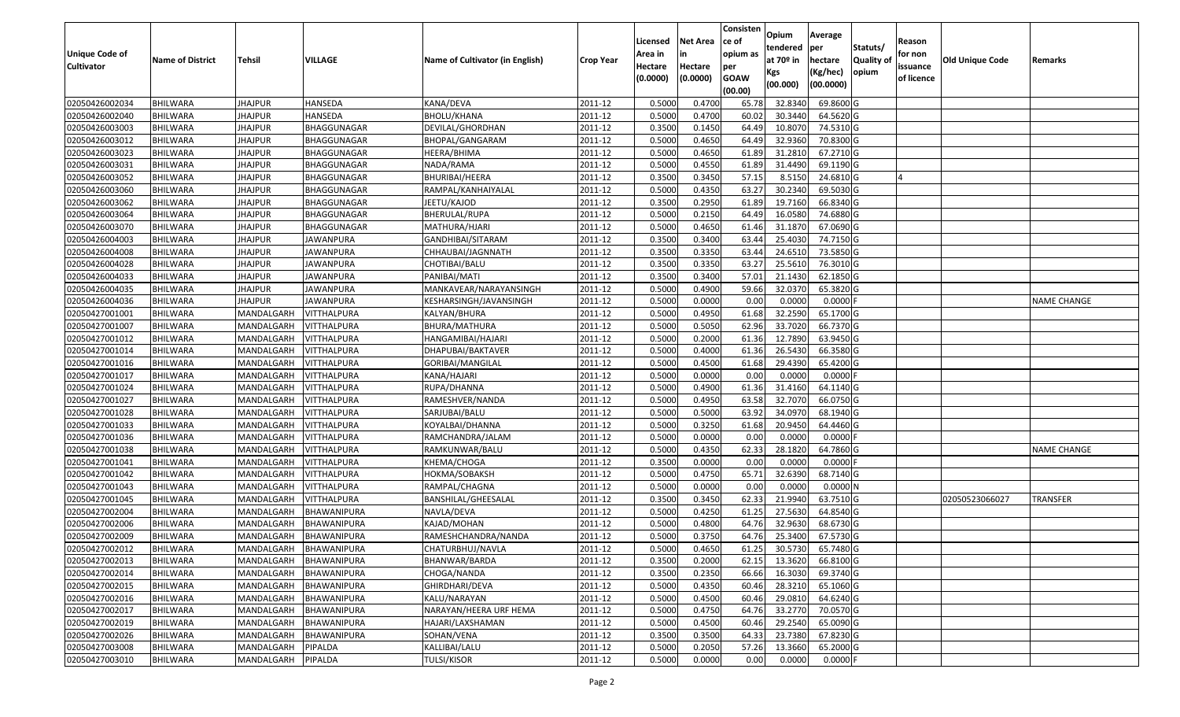| <b>Unique Code of</b><br><b>Cultivator</b> | <b>Name of District</b> | Tehsil         | VILLAGE                | Name of Cultivator (in English) | <b>Crop Year</b> | Licensed<br>Area in<br>Hectare | Net Area<br>in<br>Hectare | Consisten<br>ce of<br>opium as<br>per | Opium<br>tendered<br>at 70º in<br>Kgs | Average<br>per<br>hectare<br>(Kg/hec) | Statuts/<br><b>Quality of</b><br>opium | Reason<br>for non<br>issuance | <b>Old Unique Code</b> | Remarks            |
|--------------------------------------------|-------------------------|----------------|------------------------|---------------------------------|------------------|--------------------------------|---------------------------|---------------------------------------|---------------------------------------|---------------------------------------|----------------------------------------|-------------------------------|------------------------|--------------------|
|                                            |                         |                |                        |                                 |                  | (0.0000)                       | (0.0000)                  | <b>GOAW</b><br>(00.00)                | (00.000)                              | (00.0000)                             |                                        | of licence                    |                        |                    |
| 02050426002034                             | <b>BHILWARA</b>         | <b>JHAJPUR</b> | HANSEDA                | KANA/DEVA                       | 2011-12          | 0.5000                         | 0.4700                    | 65.78                                 | 32.8340                               | 69.8600 G                             |                                        |                               |                        |                    |
| 02050426002040                             | <b>BHILWARA</b>         | <b>JHAJPUR</b> | HANSEDA                | <b>BHOLU/KHANA</b>              | 2011-12          | 0.5000                         | 0.4700                    | 60.02                                 | 30.3440                               | 64.5620 G                             |                                        |                               |                        |                    |
| 02050426003003                             | BHILWARA                | JHAJPUR        | BHAGGUNAGAR            | DEVILAL/GHORDHAN                | 2011-12          | 0.3500                         | 0.1450                    | 64.49                                 | 10.807                                | 74.5310 G                             |                                        |                               |                        |                    |
| 02050426003012                             | <b>BHILWARA</b>         | <b>JHAJPUR</b> | BHAGGUNAGAR            | BHOPAL/GANGARAM                 | 2011-12          | 0.5000                         | 0.4650                    | 64.49                                 | 32.9360                               | 70.8300 G                             |                                        |                               |                        |                    |
| 02050426003023                             | BHILWARA                | <b>JHAJPUR</b> | BHAGGUNAGAR            | HEERA/BHIMA                     | 2011-12          | 0.5000                         | 0.4650                    | 61.89                                 | 31.2810                               | 67.2710 G                             |                                        |                               |                        |                    |
| 02050426003031                             | <b>BHILWARA</b>         | <b>JHAJPUR</b> | BHAGGUNAGAR            | NADA/RAMA                       | 2011-12          | 0.5000                         | 0.4550                    | 61.89                                 | 31.4490                               | 69.1190 G                             |                                        |                               |                        |                    |
| 02050426003052                             | <b>BHILWARA</b>         | <b>JHAJPUR</b> | BHAGGUNAGAR            | BHURIBAI/HEERA                  | 2011-12          | 0.3500                         | 0.3450                    | 57.1                                  | 8.5150                                | 24.6810 G                             |                                        |                               |                        |                    |
| 02050426003060                             | <b>BHILWARA</b>         | <b>JHAJPUR</b> | BHAGGUNAGAR            | RAMPAL/KANHAIYALAL              | 2011-12          | 0.5000                         | 0.4350                    | 63.27                                 | 30.2340                               | 69.5030 G                             |                                        |                               |                        |                    |
| 02050426003062                             | BHILWARA                | <b>JHAJPUR</b> | BHAGGUNAGAR            | JEETU/KAJOD                     | 2011-12          | 0.3500                         | 0.2950                    | 61.89                                 | 19.7160                               | 66.8340 G                             |                                        |                               |                        |                    |
| 02050426003064                             | <b>BHILWARA</b>         | <b>JHAJPUR</b> | BHAGGUNAGAR            | BHERULAL/RUPA                   | 2011-12          | 0.5000                         | 0.2150                    | 64.49                                 | 16.0580                               | 74.6880 G                             |                                        |                               |                        |                    |
| 02050426003070                             | <b>BHILWARA</b>         | <b>JHAJPUR</b> | BHAGGUNAGAR            | MATHURA/HJARI                   | 2011-12          | 0.5000                         | 0.4650                    | 61.46                                 | 31.1870                               | 67.0690 G                             |                                        |                               |                        |                    |
| 02050426004003                             | <b>BHILWARA</b>         | <b>JHAJPUR</b> | JAWANPURA              | GANDHIBAI/SITARAM               | 2011-12          | 0.3500                         | 0.3400                    | 63.4                                  | 25.4030                               | 74.7150 G                             |                                        |                               |                        |                    |
| 02050426004008                             | <b>BHILWARA</b>         | <b>JHAJPUR</b> | <b>JAWANPURA</b>       | CHHAUBAI/JAGNNATH               | 2011-12          | 0.3500                         | 0.3350                    | 63.44                                 | 24.6510                               | 73.5850 G                             |                                        |                               |                        |                    |
| 02050426004028                             | <b>BHILWARA</b>         | JHAJPUR        | <b>JAWANPURA</b>       | CHOTIBAI/BALU                   | 2011-12          | 0.3500                         | 0.3350                    | 63.27                                 | 25.5610                               | 76.3010 G                             |                                        |                               |                        |                    |
| 02050426004033                             | <b>BHILWARA</b>         | JHAJPUR        | JAWANPURA              | PANIBAI/MATI                    | 2011-12          | 0.3500                         | 0.3400                    | 57.01                                 | 21.1430                               | 62.1850 G                             |                                        |                               |                        |                    |
| 02050426004035                             | <b>BHILWARA</b>         | <b>JHAJPUR</b> | JAWANPURA              | MANKAVEAR/NARAYANSINGH          | 2011-12          | 0.5000                         | 0.4900                    | 59.66                                 | 32.0370                               | 65.3820 G                             |                                        |                               |                        |                    |
| 02050426004036                             | <b>BHILWARA</b>         | JHAJPUR        | JAWANPURA              | KESHARSINGH/JAVANSINGH          | 2011-12          | 0.5000                         | 0.0000                    | 0.00                                  | 0.0000                                | $0.0000$ F                            |                                        |                               |                        | <b>NAME CHANGE</b> |
| 02050427001001                             | <b>BHILWARA</b>         | MANDALGARH     | <b>VITTHALPURA</b>     | KALYAN/BHURA                    | 2011-12          | 0.5000                         | 0.4950                    | 61.68                                 | 32.2590                               | 65.1700 G                             |                                        |                               |                        |                    |
| 02050427001007                             | <b>BHILWARA</b>         | MANDALGARH     | VITTHALPURA            | BHURA/MATHURA                   | 2011-12          | 0.5000                         | 0.5050                    | 62.96                                 | 33.7020                               | 66.7370 G                             |                                        |                               |                        |                    |
| 02050427001012                             | BHILWARA                | MANDALGARH     | VITTHALPURA            | HANGAMIBAI/HAJARI               | 2011-12          | 0.5000                         | 0.2000                    | 61.36                                 | 12.7890                               | 63.9450 G                             |                                        |                               |                        |                    |
| 02050427001014                             | <b>BHILWARA</b>         | MANDALGARH     | VITTHALPURA            | DHAPUBAI/BAKTAVER               | 2011-12          | 0.5000                         | 0.4000                    | 61.36                                 | 26.5430                               | 66.3580 G                             |                                        |                               |                        |                    |
| 02050427001016                             | <b>BHILWARA</b>         | MANDALGARH     | VITTHALPURA            | GORIBAI/MANGILAL                | 2011-12          | 0.5000                         | 0.4500                    | 61.68                                 | 29.4390                               | 65.4200 G                             |                                        |                               |                        |                    |
| 02050427001017                             | BHILWARA                | MANDALGARH     | VITTHALPURA            | KANA/HAJARI                     | 2011-12          | 0.5000                         | 0.0000                    | 0.00                                  | 0.0000                                | $0.0000$ F                            |                                        |                               |                        |                    |
| 02050427001024                             | BHILWARA                | MANDALGARH     | VITTHALPURA            | RUPA/DHANNA                     | 2011-12          | 0.5000                         | 0.4900                    | 61.36                                 | 31.4160                               | 64.1140 G                             |                                        |                               |                        |                    |
| 02050427001027                             | <b>BHILWARA</b>         | MANDALGARH     | VITTHALPURA            | RAMESHVER/NANDA                 | 2011-12          | 0.5000                         | 0.4950                    | 63.58                                 | 32.7070                               | 66.0750 G                             |                                        |                               |                        |                    |
| 02050427001028                             | <b>BHILWARA</b>         | MANDALGARH     | VITTHALPURA            | SARJUBAI/BALU                   | 2011-12          | 0.5000                         | 0.5000                    | 63.92                                 | 34.0970                               | 68.1940 G                             |                                        |                               |                        |                    |
| 02050427001033                             | <b>BHILWARA</b>         | MANDALGARH     | VITTHALPURA            | KOYALBAI/DHANNA                 | 2011-12          | 0.5000                         | 0.3250                    | 61.68                                 | 20.9450                               | 64.4460 G                             |                                        |                               |                        |                    |
| 02050427001036                             | BHILWARA                | MANDALGARH     | VITTHALPURA            | RAMCHANDRA/JALAM                | 2011-12          | 0.5000                         | 0.0000                    | 0.00                                  | 0.0000                                | $0.0000$ F                            |                                        |                               |                        |                    |
| 02050427001038                             | <b>BHILWARA</b>         | MANDALGARH     | VITTHALPURA            | RAMKUNWAR/BALU                  | 2011-12          | 0.5000                         | 0.4350                    | 62.33                                 | 28.1820                               | 64.7860 G                             |                                        |                               |                        | <b>NAME CHANGE</b> |
| 02050427001041                             | BHILWARA                | MANDALGARH     | VITTHALPURA            | KHEMA/CHOGA                     | 2011-12          | 0.3500                         | 0.0000                    | 0.00                                  | 0.0000                                | $0.0000$ F                            |                                        |                               |                        |                    |
| 02050427001042                             | <b>BHILWARA</b>         | MANDALGARH     | VITTHALPURA            | HOKMA/SOBAKSH                   | 2011-12          | 0.5000                         | 0.4750                    | 65.71                                 | 32.6390                               | 68.7140 G                             |                                        |                               |                        |                    |
| 02050427001043                             | <b>BHILWARA</b>         | MANDALGARH     | VITTHALPURA            | RAMPAL/CHAGNA                   | 2011-12          | 0.5000                         | 0.0000                    | 0.00                                  | 0.0000                                | 0.0000N                               |                                        |                               |                        |                    |
| 02050427001045                             | <b>BHILWARA</b>         | MANDALGARH     | <b>VITTHALPURA</b>     | BANSHILAL/GHEESALAL             | 2011-12          | 0.3500                         | 0.3450                    | 62.33                                 | 21.9940                               | 63.7510 G                             |                                        |                               | 02050523066027         | <b>TRANSFER</b>    |
| 02050427002004                             | BHILWARA                | MANDALGARH     | BHAWANIPURA            | NAVLA/DEVA                      | 2011-12          | 0.5000                         | 0.4250                    | 61.25                                 | 27.5630                               | 64.8540 G                             |                                        |                               |                        |                    |
| 02050427002006                             | <b>BHILWARA</b>         | MANDALGARH     | BHAWANIPURA            | KAJAD/MOHAN                     | 2011-12          | 0.5000                         | 0.4800                    | 64.76                                 | 32.9630                               | 68.6730 G                             |                                        |                               |                        |                    |
| 02050427002009                             | <b>BHILWARA</b>         | MANDALGARH     | <b>BHAWANIPURA</b>     | RAMESHCHANDRA/NANDA             | 2011-12          | 0.5000                         | 0.3750                    | 64.76                                 | 25.3400                               | 67.5730 G                             |                                        |                               |                        |                    |
| 02050427002012                             | <b>BHILWARA</b>         |                | MANDALGARH BHAWANIPURA | CHATURBHUJ/NAVLA                | 2011-12          | 0.5000                         | 0.4650                    | 61.25                                 |                                       | 30.5730 65.7480 G                     |                                        |                               |                        |                    |
| 02050427002013                             | <b>BHILWARA</b>         | MANDALGARH     | BHAWANIPURA            | BHANWAR/BARDA                   | 2011-12          | 0.3500                         | 0.2000                    | 62.15                                 | 13.3620                               | 66.8100 G                             |                                        |                               |                        |                    |
| 02050427002014                             | <b>BHILWARA</b>         | MANDALGARH     | BHAWANIPURA            | CHOGA/NANDA                     | 2011-12          | 0.3500                         | 0.2350                    | 66.66                                 | 16.3030                               | 69.3740 G                             |                                        |                               |                        |                    |
| 02050427002015                             | <b>BHILWARA</b>         | MANDALGARH     | BHAWANIPURA            | GHIRDHARI/DEVA                  | 2011-12          | 0.5000                         | 0.4350                    | 60.46                                 | 28.3210                               | 65.1060 G                             |                                        |                               |                        |                    |
| 02050427002016                             | <b>BHILWARA</b>         | MANDALGARH     | <b>BHAWANIPURA</b>     | KALU/NARAYAN                    | 2011-12          | 0.5000                         | 0.4500                    | 60.46                                 | 29.0810                               | 64.6240 G                             |                                        |                               |                        |                    |
| 02050427002017                             | <b>BHILWARA</b>         | MANDALGARH     | BHAWANIPURA            | NARAYAN/HEERA URF HEMA          | 2011-12          | 0.5000                         | 0.4750                    | 64.76                                 | 33.2770                               | 70.0570 G                             |                                        |                               |                        |                    |
| 02050427002019                             | <b>BHILWARA</b>         | MANDALGARH     | <b>BHAWANIPURA</b>     | HAJARI/LAXSHAMAN                | 2011-12          | 0.5000                         | 0.4500                    | 60.46                                 | 29.2540                               | 65.0090 G                             |                                        |                               |                        |                    |
| 02050427002026                             | <b>BHILWARA</b>         | MANDALGARH     | <b>BHAWANIPURA</b>     | SOHAN/VENA                      | 2011-12          | 0.3500                         | 0.3500                    | 64.33                                 | 23.7380                               | 67.8230 G                             |                                        |                               |                        |                    |
| 02050427003008                             | <b>BHILWARA</b>         | MANDALGARH     | PIPALDA                | KALLIBAI/LALU                   | 2011-12          | 0.5000                         | 0.2050                    | 57.26                                 | 13.3660                               | 65.2000 G                             |                                        |                               |                        |                    |
| 02050427003010                             | <b>BHILWARA</b>         | MANDALGARH     | PIPALDA                | <b>TULSI/KISOR</b>              | 2011-12          | 0.5000                         | 0.0000                    | 0.00                                  | 0.0000                                | $0.0000$ F                            |                                        |                               |                        |                    |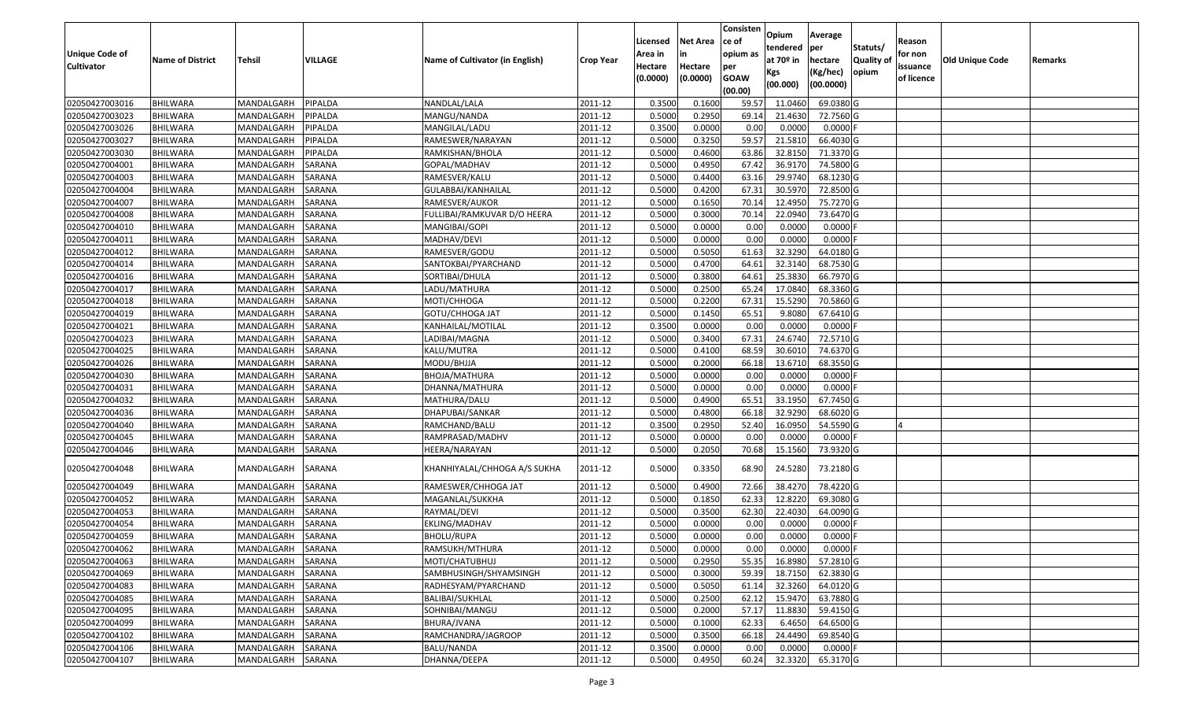| Unique Code of<br>Cultivator | <b>Name of District</b> | Tehsil     | <b>VILLAGE</b> | Name of Cultivator (in English) | <b>Crop Year</b> | Licensed<br>Area in<br>Hectare<br>(0.0000) | Net Area<br>Hectare<br>(0.0000) | Consisten<br>ce of<br>opium as<br>per<br><b>GOAW</b><br>(00.00) | Opium<br>tendered<br>at 70º in<br>Kgs<br>(00.000) | Average<br>per<br>hectare<br>(Kg/hec)<br>(00.0000) | Statuts/<br>Quality of<br>opium | Reason<br>for non<br>issuance<br>of licence | Old Unique Code | Remarks |
|------------------------------|-------------------------|------------|----------------|---------------------------------|------------------|--------------------------------------------|---------------------------------|-----------------------------------------------------------------|---------------------------------------------------|----------------------------------------------------|---------------------------------|---------------------------------------------|-----------------|---------|
| 02050427003016               | <b>BHILWARA</b>         | MANDALGARH | PIPALDA        | NANDLAL/LALA                    | 2011-12          | 0.3500                                     | 0.1600                          | 59.57                                                           | 11.0460                                           | 69.0380 G                                          |                                 |                                             |                 |         |
| 02050427003023               | <b>BHILWARA</b>         | MANDALGARH | PIPALDA        | MANGU/NANDA                     | 2011-12          | 0.5000                                     | 0.2950                          | 69.14                                                           | 21.4630                                           | 72.7560 G                                          |                                 |                                             |                 |         |
| 02050427003026               | <b>BHILWARA</b>         | MANDALGARH | PIPALDA        | MANGILAL/LADU                   | 2011-12          | 0.3500                                     | 0.0000                          | 0.00                                                            | 0.0000                                            | 0.0000                                             |                                 |                                             |                 |         |
| 02050427003027               | <b>BHILWARA</b>         | MANDALGARH | PIPALDA        | RAMESWER/NARAYAN                | 2011-12          | 0.5000                                     | 0.3250                          | 59.57                                                           | 21.5810                                           | 66.4030 G                                          |                                 |                                             |                 |         |
| 02050427003030               | <b>BHILWARA</b>         | MANDALGARH | PIPALDA        | RAMKISHAN/BHOLA                 | 2011-12          | 0.5000                                     | 0.4600                          | 63.86                                                           | 32.8150                                           | 71.3370 G                                          |                                 |                                             |                 |         |
| 02050427004001               | <b>BHILWARA</b>         | MANDALGARH | <b>SARANA</b>  | GOPAL/MADHAV                    | 2011-12          | 0.5000                                     | 0.4950                          | 67.42                                                           | 36.9170                                           | 74.5800 G                                          |                                 |                                             |                 |         |
| 02050427004003               | BHILWARA                | MANDALGARH | SARANA         | RAMESVER/KALU                   | 2011-12          | 0.5000                                     | 0.4400                          | 63.16                                                           | 29.9740                                           | 68.1230 G                                          |                                 |                                             |                 |         |
| 02050427004004               | <b>BHILWARA</b>         | MANDALGARH | SARANA         | GULABBAI/KANHAILAL              | 2011-12          | 0.5000                                     | 0.4200                          | 67.31                                                           | 30.5970                                           | 72.8500 G                                          |                                 |                                             |                 |         |
| 02050427004007               | <b>BHILWARA</b>         | MANDALGARH | SARANA         | RAMESVER/AUKOR                  | 2011-12          | 0.5000                                     | 0.1650                          | 70.14                                                           | 12.4950                                           | 75.7270 G                                          |                                 |                                             |                 |         |
| 02050427004008               | <b>BHILWARA</b>         | MANDALGARH | SARANA         | FULLIBAI/RAMKUVAR D/O HEERA     | 2011-12          | 0.5000                                     | 0.3000                          | 70.14                                                           | 22.0940                                           | 73.6470 G                                          |                                 |                                             |                 |         |
| 02050427004010               | <b>BHILWARA</b>         | MANDALGARH | SARANA         | MANGIBAI/GOPI                   | 2011-12          | 0.5000                                     | 0.0000                          | 0.00                                                            | 0.0000                                            | 0.0000                                             |                                 |                                             |                 |         |
| 02050427004011               | <b>BHILWARA</b>         | MANDALGARH | SARANA         | MADHAV/DEVI                     | 2011-12          | 0.5000                                     | 0.0000                          | 0.00                                                            | 0.0000                                            | 0.0000                                             |                                 |                                             |                 |         |
| 02050427004012               | <b>BHILWARA</b>         | MANDALGARH | SARANA         | RAMESVER/GODU                   | 2011-12          | 0.5000                                     | 0.5050                          | 61.63                                                           | 32.3290                                           | 64.0180 G                                          |                                 |                                             |                 |         |
| 02050427004014               | <b>BHILWARA</b>         | MANDALGARH | SARANA         | SANTOKBAI/PYARCHAND             | 2011-12          | 0.5000                                     | 0.4700                          | 64.61                                                           | 32.3140                                           | 68.7530 G                                          |                                 |                                             |                 |         |
| 02050427004016               | <b>BHILWARA</b>         | MANDALGARH | SARANA         | SORTIBAI/DHULA                  | 2011-12          | 0.5000                                     | 0.3800                          | 64.61                                                           | 25.3830                                           | 66.7970 G                                          |                                 |                                             |                 |         |
| 02050427004017               | <b>BHILWARA</b>         | MANDALGARH | SARANA         | LADU/MATHURA                    | 2011-12          | 0.5000                                     | 0.2500                          | 65.24                                                           | 17.0840                                           | 68.3360 G                                          |                                 |                                             |                 |         |
| 02050427004018               | <b>BHILWARA</b>         | MANDALGARH | SARANA         | MOTI/CHHOGA                     | 2011-12          | 0.5000                                     | 0.2200                          | 67.31                                                           | 15.5290                                           | 70.5860 G                                          |                                 |                                             |                 |         |
| 02050427004019               | <b>BHILWARA</b>         | MANDALGARH | SARANA         | GOTU/CHHOGA JAT                 | 2011-12          | 0.5000                                     | 0.1450                          | 65.51                                                           | 9.8080                                            | 67.6410 G                                          |                                 |                                             |                 |         |
| 02050427004021               | <b>BHILWARA</b>         | MANDALGARH | SARANA         | KANHAILAL/MOTILAL               | 2011-12          | 0.3500                                     | 0.0000                          | 0.00                                                            | 0.0000                                            | 0.0000                                             |                                 |                                             |                 |         |
| 02050427004023               | <b>BHILWARA</b>         | MANDALGARH | SARANA         | LADIBAI/MAGNA                   | 2011-12          | 0.5000                                     | 0.3400                          | 67.31                                                           | 24.6740                                           | 72.5710 G                                          |                                 |                                             |                 |         |
| 02050427004025               | <b>BHILWARA</b>         | MANDALGARH | SARANA         | KALU/MUTRA                      | 2011-12          | 0.5000                                     | 0.4100                          | 68.59                                                           | 30.6010                                           | 74.6370 G                                          |                                 |                                             |                 |         |
| 02050427004026               | <b>BHILWARA</b>         | MANDALGARH | SARANA         | MODU/BHJJA                      | 2011-12          | 0.5000                                     | 0.2000                          | 66.18                                                           | 13.6710                                           | 68.3550 G                                          |                                 |                                             |                 |         |
| 02050427004030               | <b>BHILWARA</b>         | MANDALGARH | SARANA         | BHOJA/MATHURA                   | 2011-12          | 0.5000                                     | 0.0000                          | 0.00                                                            | 0.0000                                            | 0.0000                                             |                                 |                                             |                 |         |
| 02050427004031               | <b>BHILWARA</b>         | MANDALGARH | SARANA         | DHANNA/MATHURA                  | 2011-12          | 0.5000                                     | 0.0000                          | 0.00                                                            | 0.0000                                            | 0.0000                                             |                                 |                                             |                 |         |
| 02050427004032               | <b>BHILWARA</b>         | MANDALGARH | <b>SARANA</b>  | MATHURA/DALU                    | 2011-12          | 0.5000                                     | 0.4900                          | 65.51                                                           | 33.1950                                           | 67.7450 G                                          |                                 |                                             |                 |         |
| 02050427004036               | <b>BHILWARA</b>         | MANDALGARH | SARANA         | DHAPUBAI/SANKAR                 | 2011-12          | 0.5000                                     | 0.4800                          | 66.18                                                           | 32.9290                                           | 68.6020 G                                          |                                 |                                             |                 |         |
| 02050427004040               | <b>BHILWARA</b>         | MANDALGARH | SARANA         | RAMCHAND/BALU                   | 2011-12          | 0.3500                                     | 0.2950                          | 52.40                                                           | 16.0950                                           | 54.5590 G                                          |                                 |                                             |                 |         |
| 02050427004045               | <b>BHILWARA</b>         | MANDALGARH | SARANA         | RAMPRASAD/MADHV                 | 2011-12          | 0.5000                                     | 0.0000                          | 0.00                                                            | 0.0000                                            | $0.0000$ F                                         |                                 |                                             |                 |         |
| 02050427004046               | <b>BHILWARA</b>         | MANDALGARH | SARANA         | HEERA/NARAYAN                   | 2011-12          | 0.5000                                     | 0.2050                          | 70.68                                                           | 15.1560                                           | 73.9320 G                                          |                                 |                                             |                 |         |
| 02050427004048               | <b>BHILWARA</b>         | MANDALGARH | SARANA         | KHANHIYALAL/CHHOGA A/S SUKHA    | 2011-12          | 0.5000                                     | 0.3350                          | 68.90                                                           | 24.5280                                           | 73.2180 G                                          |                                 |                                             |                 |         |
| 02050427004049               | <b>BHILWARA</b>         | MANDALGARH | SARANA         | RAMESWER/CHHOGA JAT             | 2011-12          | 0.5000                                     | 0.4900                          | 72.66                                                           | 38.4270                                           | 78.4220 G                                          |                                 |                                             |                 |         |
| 02050427004052               | <b>BHILWARA</b>         | MANDALGARH | <b>SARANA</b>  | MAGANLAL/SUKKHA                 | 2011-12          | 0.5000                                     | 0.1850                          | 62.33                                                           | 12.8220                                           | 69.3080 G                                          |                                 |                                             |                 |         |
| 02050427004053               | <b>BHILWARA</b>         | MANDALGARH | SARANA         | RAYMAL/DEVI                     | 2011-12          | 0.5000                                     | 0.3500                          | 62.30                                                           | 22.4030                                           | 64.0090 G                                          |                                 |                                             |                 |         |
| 02050427004054               | <b>BHILWARA</b>         | MANDALGARH | SARANA         | EKLING/MADHAV                   | 2011-12          | 0.5000                                     | 0.0000                          | 0.00                                                            | 0.0000                                            | 0.0000                                             |                                 |                                             |                 |         |
| 02050427004059               | <b>BHILWARA</b>         | MANDALGARH | SARANA         | BHOLU/RUPA                      | 2011-12          | 0.5000                                     | 0.0000                          | 0.00                                                            | 0.0000                                            | 0.0000                                             |                                 |                                             |                 |         |
| 02050427004062               | <b>BHILWARA</b>         | MANDALGARH | SARANA         | RAMSUKH/MTHURA                  | 2011-12          | 0.5000                                     | 0.0000                          | 0.00                                                            | 0.0000                                            | $0.0000$ F                                         |                                 |                                             |                 |         |
| 02050427004063               | <b>BHILWARA</b>         | MANDALGARH | SARANA         | MOTI/CHATUBHUJ                  | 2011-12          | 0.5000                                     | 0.2950                          | 55.35                                                           | 16.8980                                           | 57.2810 G                                          |                                 |                                             |                 |         |
| 02050427004069               | <b>BHILWARA</b>         | MANDALGARH | SARANA         | SAMBHUSINGH/SHYAMSINGH          | 2011-12          | 0.5000                                     | 0.3000                          | 59.39                                                           | 18.7150                                           | 62.3830 G                                          |                                 |                                             |                 |         |
| 02050427004083               | <b>BHILWARA</b>         | MANDALGARH | SARANA         | RADHESYAM/PYARCHAND             | 2011-12          | 0.5000                                     | 0.5050                          | 61.14                                                           | 32.3260                                           | 64.0120 G                                          |                                 |                                             |                 |         |
| 02050427004085               | <b>BHILWARA</b>         | MANDALGARH | SARANA         | <b>BALIBAI/SUKHLAL</b>          | 2011-12          | 0.5000                                     | 0.2500                          | 62.12                                                           | 15.9470                                           | 63.7880 G                                          |                                 |                                             |                 |         |
| 02050427004095               | <b>BHILWARA</b>         | MANDALGARH | SARANA         | SOHNIBAI/MANGU                  | 2011-12          | 0.5000                                     | 0.2000                          | 57.17                                                           | 11.8830                                           | 59.4150 G                                          |                                 |                                             |                 |         |
| 02050427004099               | <b>BHILWARA</b>         | MANDALGARH | SARANA         | BHURA/JVANA                     | 2011-12          | 0.5000                                     | 0.1000                          | 62.33                                                           | 6.4650                                            | 64.6500 G                                          |                                 |                                             |                 |         |
| 02050427004102               | <b>BHILWARA</b>         | MANDALGARH | SARANA         | RAMCHANDRA/JAGROOP              | 2011-12          | 0.5000                                     | 0.3500                          | 66.18                                                           | 24.4490                                           | 69.8540 G                                          |                                 |                                             |                 |         |
| 02050427004106               | <b>BHILWARA</b>         | MANDALGARH | SARANA         | <b>BALU/NANDA</b>               | 2011-12          | 0.3500                                     | 0.0000                          | 0.00                                                            | 0.0000                                            | $0.0000$ F                                         |                                 |                                             |                 |         |
| 02050427004107               | <b>BHILWARA</b>         | MANDALGARH | SARANA         | DHANNA/DEEPA                    | 2011-12          | 0.5000                                     | 0.4950                          | 60.24                                                           | 32.3320                                           | 65.3170 G                                          |                                 |                                             |                 |         |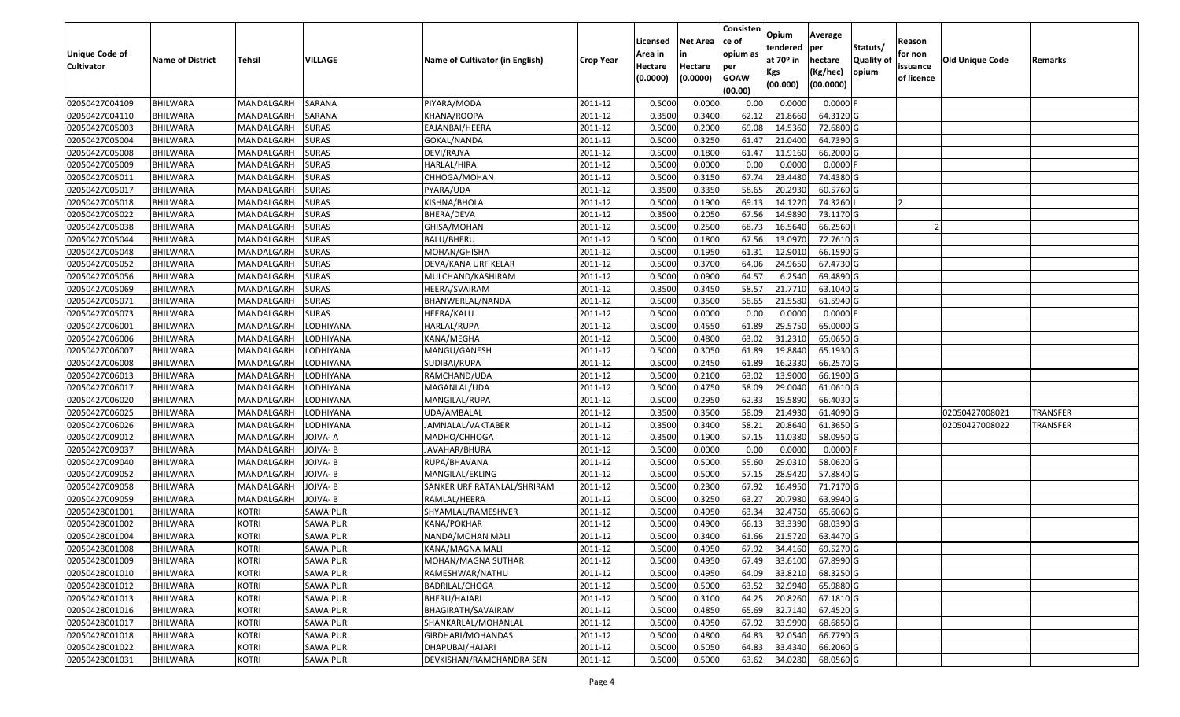|                                  |                             |                          |                              |                                 |                      | Licensed         | <b>Net Area</b>  | Consisten<br>ce of | Opium<br>tendered  | Average<br>per         | Statuts/         | Reason     |                        |                 |
|----------------------------------|-----------------------------|--------------------------|------------------------------|---------------------------------|----------------------|------------------|------------------|--------------------|--------------------|------------------------|------------------|------------|------------------------|-----------------|
| Unique Code of                   | <b>Name of District</b>     | <b>Tehsil</b>            | VILLAGE                      | Name of Cultivator (in English) | <b>Crop Year</b>     | Area in          | in               | opium as           | at $70°$ in        | hectare                | <b>Quality o</b> | for non    | <b>Old Unique Code</b> | Remarks         |
| <b>Cultivator</b>                |                             |                          |                              |                                 |                      | Hectare          | Hectare          | per                | Kgs                | (Kg/hec)               | opium            | issuance   |                        |                 |
|                                  |                             |                          |                              |                                 |                      | (0.0000)         | (0.0000)         | <b>GOAW</b>        | (00.000)           | (00.0000)              |                  | of licence |                        |                 |
|                                  |                             |                          |                              |                                 |                      |                  |                  | (00.00)            |                    |                        |                  |            |                        |                 |
| 02050427004109                   | <b>BHILWARA</b>             | MANDALGARH               | <b>SARANA</b>                | PIYARA/MODA                     | 2011-12              | 0.5000           | 0.0000           | 0.00               | 0.0000             | 0.0000F                |                  |            |                        |                 |
| 02050427004110                   | BHILWARA                    | MANDALGARH               | SARANA                       | KHANA/ROOPA                     | 2011-12              | 0.3500           | 0.3400           | 62.12              | 21.8660            | 64.3120 G              |                  |            |                        |                 |
| 02050427005003                   | BHILWARA                    | MANDALGARH<br>MANDALGARH | <b>SURAS</b>                 | EAJANBAI/HEERA                  | 2011-12              | 0.5000           | 0.2000           | 69.08              | 14.5360            | 72.6800 G              |                  |            |                        |                 |
| 02050427005004                   | <b>BHILWARA</b>             |                          | <b>SURAS</b>                 | GOKAL/NANDA<br>DEVI/RAJYA       | 2011-12<br>2011-12   | 0.5000<br>0.5000 | 0.3250<br>0.1800 | 61.47              | 21.0400<br>11.9160 | 64.7390 G<br>66.2000 G |                  |            |                        |                 |
| 02050427005008<br>02050427005009 | BHILWARA<br><b>BHILWARA</b> | MANDALGARH<br>MANDALGARH | <b>SURAS</b><br><b>SURAS</b> | HARLAL/HIRA                     | 2011-12              | 0.5000           | 0.0000           | 61.47<br>0.00      | 0.0000             | 0.0000F                |                  |            |                        |                 |
| 02050427005011                   | BHILWARA                    | MANDALGARH               | <b>SURAS</b>                 | CHHOGA/MOHAN                    | 2011-12              | 0.5000           | 0.3150           | 67.7               | 23.4480            | 74.4380 G              |                  |            |                        |                 |
| 02050427005017                   | <b>BHILWARA</b>             | MANDALGARH               | <b>SURAS</b>                 | PYARA/UDA                       | 2011-12              | 0.3500           | 0.3350           | 58.65              | 20.2930            | 60.5760 G              |                  |            |                        |                 |
| 02050427005018                   | BHILWARA                    | MANDALGARH               | <b>SURAS</b>                 | KISHNA/BHOLA                    | 2011-12              | 0.5000           | 0.1900           | 69.13              | 14.122             | 74.3260                |                  |            |                        |                 |
| 02050427005022                   | <b>BHILWARA</b>             | MANDALGARH               | <b>SURAS</b>                 | BHERA/DEVA                      | 2011-12              | 0.3500           | 0.2050           | 67.56              | 14.9890            | 73.1170 G              |                  |            |                        |                 |
| 02050427005038                   | BHILWARA                    | MANDALGARH               | <b>SURAS</b>                 | GHISA/MOHAN                     | 2011-12              | 0.5000           | 0.2500           | 68.73              | 16.5640            | 66.2560                |                  |            |                        |                 |
| 02050427005044                   | <b>BHILWARA</b>             | MANDALGARH               | <b>SURAS</b>                 | BALU/BHERU                      | 2011-12              | 0.5000           | 0.1800           | 67.56              | 13.097             | 72.7610 G              |                  |            |                        |                 |
| 02050427005048                   | <b>BHILWARA</b>             | MANDALGARH               | <b>SURAS</b>                 | MOHAN/GHISHA                    | 2011-12              | 0.5000           | 0.1950           | 61.31              | 12.9010            | 66.1590 G              |                  |            |                        |                 |
| 02050427005052                   | <b>BHILWARA</b>             | MANDALGARH               | <b>SURAS</b>                 | DEVA/KANA URF KELAR             | 2011-12              | 0.5000           | 0.3700           | 64.06              | 24.9650            | 67.4730 G              |                  |            |                        |                 |
| 02050427005056                   | BHILWARA                    | MANDALGARH               | <b>SURAS</b>                 | MULCHAND/KASHIRAM               | 2011-12              | 0.5000           | 0.0900           | 64.57              | 6.2540             | 69.4890 G              |                  |            |                        |                 |
| 02050427005069                   | <b>BHILWARA</b>             | MANDALGARH               | <b>SURAS</b>                 | HEERA/SVAIRAM                   | 2011-12              | 0.3500           | 0.3450           | 58.57              | 21.7710            | 63.1040 G              |                  |            |                        |                 |
| 02050427005071                   | BHILWARA                    | MANDALGARH               | <b>SURAS</b>                 | BHANWERLAL/NANDA                | 2011-12              | 0.5000           | 0.3500           | 58.65              | 21.5580            | 61.5940 G              |                  |            |                        |                 |
| 02050427005073                   | BHILWARA                    | MANDALGARH               | <b>SURAS</b>                 | <b>HEERA/KALU</b>               | 2011-12              | 0.5000           | 0.0000           | 0.00               | 0.0000             | 0.0000F                |                  |            |                        |                 |
| 02050427006001                   | BHILWARA                    | MANDALGARH               | LODHIYANA                    | HARLAL/RUPA                     | 2011-12              | 0.5000           | 0.4550           | 61.89              | 29.5750            | 65.0000G               |                  |            |                        |                 |
| 02050427006006                   | <b>BHILWARA</b>             | MANDALGARH               | LODHIYANA                    | KANA/MEGHA                      | 2011-12              | 0.5000           | 0.4800           | 63.02              | 31.231             | 65.0650 G              |                  |            |                        |                 |
| 02050427006007                   | <b>BHILWARA</b>             | MANDALGARH               | LODHIYANA                    | MANGU/GANESH                    | 2011-12              | 0.5000           | 0.3050           | 61.89              | 19.8840            | 65.1930 G              |                  |            |                        |                 |
| 02050427006008                   | BHILWARA                    | MANDALGARH               | LODHIYANA                    | SUDIBAI/RUPA                    | 2011-12              | 0.5000           | 0.2450           | 61.89              | 16.233             | 66.2570 G              |                  |            |                        |                 |
| 02050427006013                   | BHILWARA                    | MANDALGARH               | LODHIYANA                    | RAMCHAND/UDA                    | 2011-12              | 0.5000           | 0.2100           | 63.02              | 13.9000            | 66.1900 G              |                  |            |                        |                 |
| 02050427006017                   | BHILWARA                    | MANDALGARH               | LODHIYANA                    | MAGANLAL/UDA                    | 2011-12              | 0.5000           | 0.4750           | 58.09              | 29.004             | 61.0610G               |                  |            |                        |                 |
| 02050427006020                   | <b>BHILWARA</b>             | MANDALGARH               | LODHIYANA                    | MANGILAL/RUPA                   | 2011-12              | 0.5000           | 0.2950           | 62.33              | 19.5890            | 66.4030 G              |                  |            |                        |                 |
| 02050427006025                   | BHILWARA                    | MANDALGARH               | LODHIYANA                    | UDA/AMBALAL                     | 2011-12              | 0.3500           | 0.3500           | 58.09              | 21.4930            | 61.4090 G              |                  |            | 02050427008021         | <b>TRANSFER</b> |
| 02050427006026                   | <b>BHILWARA</b>             | MANDALGARH               | LODHIYANA                    | JAMNALAL/VAKTABER               | 2011-12              | 0.3500           | 0.3400           | 58.23              | 20.8640            | 61.3650 G              |                  |            | 02050427008022         | <b>TRANSFER</b> |
| 02050427009012                   | BHILWARA                    | MANDALGARH               | JOJVA-A                      | MADHO/CHHOGA                    | 2011-12              | 0.3500           | 0.1900           | 57.15              | 11.0380            | 58.0950 G              |                  |            |                        |                 |
| 02050427009037                   | <b>BHILWARA</b>             | MANDALGARH               | JOJVA- B                     | JAVAHAR/BHURA                   | 2011-12              | 0.5000           | 0.0000           | 0.00               | 0.0000             | $0.0000$ F             |                  |            |                        |                 |
| 02050427009040                   | <b>BHILWARA</b>             | MANDALGARH               | JOJVA-B                      | RUPA/BHAVANA                    | 2011-12              | 0.5000           | 0.5000           | 55.60              | 29.031             | 58.0620 G              |                  |            |                        |                 |
| 02050427009052                   | <b>BHILWARA</b>             | MANDALGARH               | JOJVA- B                     | MANGILAL/EKLING                 | 2011-12              | 0.5000           | 0.5000           | 57.15              | 28.9420            | 57.8840 G              |                  |            |                        |                 |
| 02050427009058                   | BHILWARA                    | MANDALGARH               | JOJVA-B                      | SANKER URF RATANLAL/SHRIRAM     | 2011-12              | 0.5000           | 0.2300           | 67.92              | 16.495             | 71.7170 G              |                  |            |                        |                 |
| 02050427009059                   | <b>BHILWARA</b>             | MANDALGARH               | JOJVA-B                      | RAMLAL/HEERA                    | 2011-12              | 0.5000           | 0.3250           | 63.27              | 20.7980            | 63.9940 G              |                  |            |                        |                 |
| 02050428001001                   | BHILWARA                    | <b>KOTRI</b>             | SAWAIPUR                     | SHYAMLAL/RAMESHVER              | 2011-12              | 0.5000           | 0.4950           | 63.34              | 32.475             | 65.6060 G              |                  |            |                        |                 |
| 02050428001002                   | <b>BHILWARA</b>             | <b>KOTRI</b>             | SAWAIPUR                     | KANA/POKHAR                     | 2011-12              | 0.500            | 0.4900           | 66.1               | 33.3390            | 68.0390 G              |                  |            |                        |                 |
| 02050428001004                   | BHILWARA                    | <b>KOTRI</b>             | SAWAIPUR                     | NANDA/MOHAN MALI                | 2011-12              | 0.5000           | 0.3400           | 61.66              | 21.5720            | 63.4470 G              |                  |            |                        |                 |
| 02050428001008                   | <b>BHILWARA</b>             | <b>KOTRI</b>             | SAWAIPUR                     | KANA/MAGNA MALI                 | $\overline{2011-12}$ | 0.5000           | 0.4950           |                    | 67.92 34.4160      | 69.5270 G              |                  |            |                        |                 |
| 02050428001009                   | <b>BHILWARA</b>             | <b>KOTRI</b>             | SAWAIPUR                     | MOHAN/MAGNA SUTHAR              | 2011-12              | 0.5000           | 0.4950           | 67.49              | 33.6100            | 67.8990 G              |                  |            |                        |                 |
| 02050428001010                   | <b>BHILWARA</b>             | <b>KOTRI</b>             | SAWAIPUR                     | RAMESHWAR/NATHU                 | 2011-12              | 0.5000           | 0.4950           | 64.09              | 33.8210            | 68.3250 G              |                  |            |                        |                 |
| 02050428001012                   | <b>BHILWARA</b>             | <b>KOTRI</b>             | SAWAIPUR                     | BADRILAL/CHOGA                  | 2011-12              | 0.5000           | 0.5000           | 63.52              | 32.9940            | 65.9880 G              |                  |            |                        |                 |
| 02050428001013                   | <b>BHILWARA</b>             | <b>KOTRI</b>             | SAWAIPUR                     | BHERU/HAJARI                    | 2011-12              | 0.5000           | 0.3100           | 64.25              | 20.8260            | 67.1810 G              |                  |            |                        |                 |
| 02050428001016                   | <b>BHILWARA</b>             | <b>KOTRI</b>             | SAWAIPUR                     | BHAGIRATH/SAVAIRAM              | 2011-12              | 0.5000           | 0.4850           | 65.69              | 32.7140            | 67.4520 G              |                  |            |                        |                 |
| 02050428001017                   | <b>BHILWARA</b>             | <b>KOTRI</b>             | SAWAIPUR                     | SHANKARLAL/MOHANLAL             | 2011-12              | 0.5000           | 0.4950           | 67.92              | 33.9990            | 68.6850 G              |                  |            |                        |                 |
| 02050428001018                   | <b>BHILWARA</b>             | <b>KOTRI</b>             | SAWAIPUR                     | GIRDHARI/MOHANDAS               | 2011-12              | 0.5000           | 0.4800           | 64.83              | 32.0540            | 66.7790 G              |                  |            |                        |                 |
| 02050428001022                   | <b>BHILWARA</b>             | <b>KOTRI</b>             | SAWAIPUR                     | DHAPUBAI/HAJARI                 | 2011-12              | 0.5000           | 0.5050           | 64.83              | 33.4340            | 66.2060 G              |                  |            |                        |                 |
| 02050428001031                   | <b>BHILWARA</b>             | <b>KOTRI</b>             | SAWAIPUR                     | DEVKISHAN/RAMCHANDRA SEN        | 2011-12              | 0.5000           | 0.5000           | 63.62              | 34.0280            | 68.0560 G              |                  |            |                        |                 |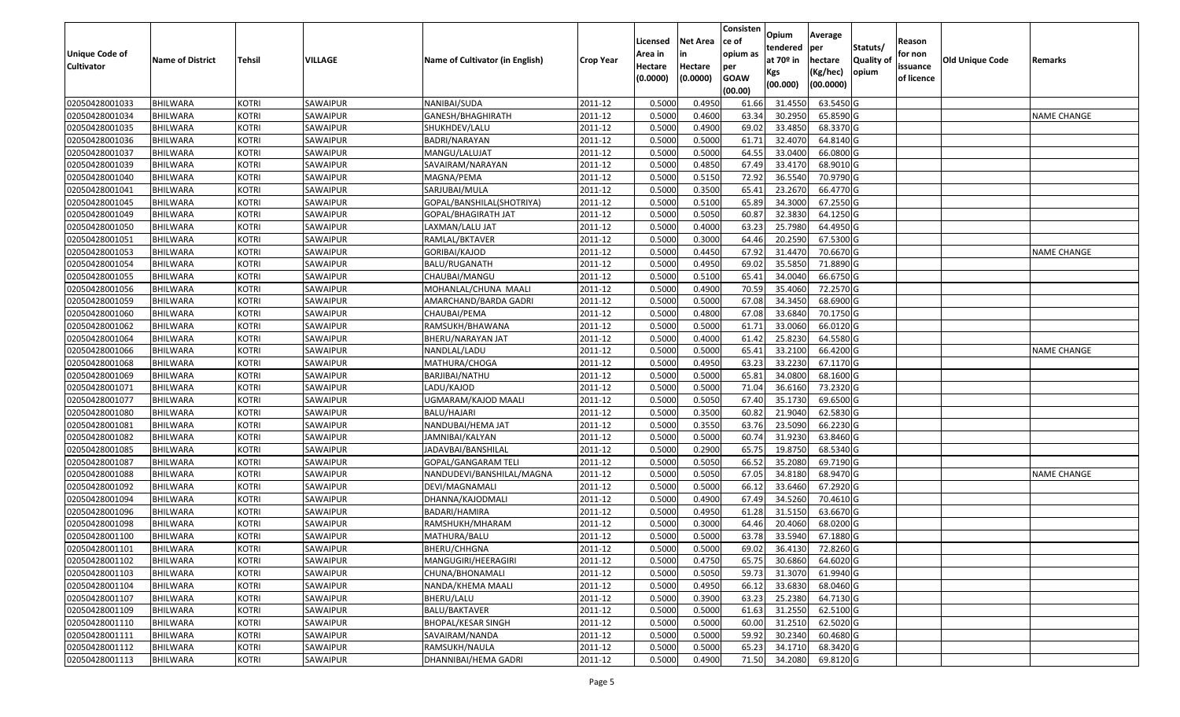|                                     |                         |               |                |                                 |                  |                    |                 | Consisten          | Opium       | Average                 |                  |                   |                        |                    |
|-------------------------------------|-------------------------|---------------|----------------|---------------------------------|------------------|--------------------|-----------------|--------------------|-------------|-------------------------|------------------|-------------------|------------------------|--------------------|
|                                     |                         |               |                |                                 |                  | Licensed           | <b>Net Area</b> | lce of<br>opium as | tendered    | per                     | Statuts/         | Reason<br>for non |                        |                    |
| Unique Code of<br><b>Cultivator</b> | <b>Name of District</b> | <b>Tehsil</b> | <b>VILLAGE</b> | Name of Cultivator (in English) | <b>Crop Year</b> | Area in<br>Hectare | Hectare         |                    | at $70°$ in | hectare                 | <b>Quality o</b> | issuance          | <b>Old Unique Code</b> | Remarks            |
|                                     |                         |               |                |                                 |                  | (0.0000)           | (0.0000)        | per<br><b>GOAW</b> | Kgs         | (Kg/hec)                | opium            | of licence        |                        |                    |
|                                     |                         |               |                |                                 |                  |                    |                 | (00.00)            | (00.000)    | (00.0000)               |                  |                   |                        |                    |
| 02050428001033                      | <b>BHILWARA</b>         | <b>KOTRI</b>  | SAWAIPUR       | NANIBAI/SUDA                    | 2011-12          | 0.5000             | 0.4950          | 61.66              | 31.455      | 63.5450 G               |                  |                   |                        |                    |
| 02050428001034                      | BHILWARA                | <b>KOTRI</b>  | SAWAIPUR       | GANESH/BHAGHIRATH               | 2011-12          | 0.5000             | 0.4600          | 63.34              | 30.2950     | 65.8590 G               |                  |                   |                        | <b>NAME CHANGE</b> |
| 02050428001035                      | BHILWARA                | <b>KOTRI</b>  | SAWAIPUR       | SHUKHDEV/LALU                   | 2011-12          | 0.5000             | 0.4900          | 69.02              | 33.4850     | 68.3370 G               |                  |                   |                        |                    |
| 02050428001036                      | <b>BHILWARA</b>         | <b>KOTRI</b>  | SAWAIPUR       | BADRI/NARAYAN                   | 2011-12          | 0.5000             | 0.5000          | 61.71              | 32.4070     | 64.8140 G               |                  |                   |                        |                    |
| 02050428001037                      | BHILWARA                | <b>KOTRI</b>  | SAWAIPUR       | MANGU/LALUJAT                   | 2011-12          | 0.5000             | 0.5000          | 64.5               | 33.0400     | 66.0800 G               |                  |                   |                        |                    |
| 02050428001039                      | <b>BHILWARA</b>         | <b>KOTRI</b>  | SAWAIPUR       | SAVAIRAM/NARAYAN                | 2011-12          | 0.5000             | 0.4850          | 67.49              | 33.4170     | 68.9010G                |                  |                   |                        |                    |
| 02050428001040                      | BHILWARA                | <b>KOTRI</b>  | SAWAIPUR       | MAGNA/PEMA                      | 2011-12          | 0.5000             | 0.5150          | 72.92              | 36.5540     | 70.9790 G               |                  |                   |                        |                    |
| 02050428001041                      | <b>BHILWARA</b>         | <b>KOTRI</b>  | SAWAIPUR       | SARJUBAI/MULA                   | 2011-12          | 0.5000             | 0.3500          | 65.41              | 23.2670     | 66.4770 G               |                  |                   |                        |                    |
| 02050428001045                      | BHILWARA                | <b>KOTRI</b>  | SAWAIPUR       | GOPAL/BANSHILAL(SHOTRIYA)       | 2011-12          | 0.5000             | 0.5100          | 65.89              | 34.300      | 67.2550 G               |                  |                   |                        |                    |
| 02050428001049                      | BHILWARA                | <b>KOTRI</b>  | SAWAIPUR       | GOPAL/BHAGIRATH JAT             | 2011-12          | 0.5000             | 0.5050          | 60.87              | 32.383      | 64.1250 G               |                  |                   |                        |                    |
| 02050428001050                      | BHILWARA                | <b>KOTRI</b>  | SAWAIPUR       | LAXMAN/LALU JAT                 | 2011-12          | 0.5000             | 0.4000          | 63.23              | 25.7980     | 64.4950 G               |                  |                   |                        |                    |
| 02050428001051                      | <b>BHILWARA</b>         | <b>KOTRI</b>  | SAWAIPUR       | RAMLAL/BKTAVER                  | 2011-12          | 0.5000             | 0.3000          | 64.46              | 20.2590     | 67.5300 G               |                  |                   |                        |                    |
| 02050428001053                      | <b>BHILWARA</b>         | <b>KOTRI</b>  | SAWAIPUR       | GORIBAI/KAJOD                   | 2011-12          | 0.5000             | 0.4450          | 67.92              | 31.4470     | 70.6670 G               |                  |                   |                        | <b>NAME CHANGE</b> |
| 02050428001054                      | <b>BHILWARA</b>         | <b>KOTRI</b>  | SAWAIPUR       | BALU/RUGANATH                   | 2011-12          | 0.5000             | 0.4950          | 69.02              | 35.585      | 71.8890 G               |                  |                   |                        |                    |
| 02050428001055                      | BHILWARA                | <b>KOTRI</b>  | SAWAIPUR       | CHAUBAI/MANGU                   | 2011-12          | 0.5000             | 0.5100          | 65.4               | 34.0040     | 66.6750 G               |                  |                   |                        |                    |
| 02050428001056                      | <b>BHILWARA</b>         | <b>KOTRI</b>  | SAWAIPUR       | MOHANLAL/CHUNA MAALI            | 2011-12          | 0.5000             | 0.4900          | 70.59              | 35.4060     | 72.2570 G               |                  |                   |                        |                    |
| 02050428001059                      | BHILWARA                | <b>KOTRI</b>  | SAWAIPUR       | AMARCHAND/BARDA GADRI           | 2011-12          | 0.5000             | 0.5000          | 67.08              | 34.3450     | 68.6900G                |                  |                   |                        |                    |
| 02050428001060                      | BHILWARA                | <b>KOTRI</b>  | SAWAIPUR       | CHAUBAI/PEMA                    | 2011-12          | 0.5000             | 0.4800          | 67.08              | 33.6840     | 70.1750 G               |                  |                   |                        |                    |
| 02050428001062                      | BHILWARA                | <b>KOTRI</b>  | SAWAIPUR       | RAMSUKH/BHAWANA                 | 2011-12          | 0.5000             | 0.5000          | 61.7               | 33.0060     | 66.0120 G               |                  |                   |                        |                    |
| 02050428001064                      | BHILWARA                | <b>KOTRI</b>  | SAWAIPUR       | BHERU/NARAYAN JAT               | 2011-12          | 0.5000             | 0.4000          | 61.42              | 25.8230     | 64.5580 G               |                  |                   |                        |                    |
| 02050428001066                      | BHILWARA                | <b>KOTRI</b>  | SAWAIPUR       | NANDLAL/LADU                    | 2011-12          | 0.5000             | 0.5000          | 65.4               | 33.2100     | 66.4200 G               |                  |                   |                        | <b>NAME CHANGE</b> |
| 02050428001068                      | <b>BHILWARA</b>         | <b>KOTRI</b>  | SAWAIPUR       | MATHURA/CHOGA                   | 2011-12          | 0.5000             | 0.4950          | 63.23              | 33.223      | 67.1170 G               |                  |                   |                        |                    |
| 02050428001069                      | <b>BHILWARA</b>         | <b>KOTRI</b>  | SAWAIPUR       | BARJIBAI/NATHU                  | 2011-12          | 0.5000             | 0.5000          | 65.81              | 34.0800     | 68.1600 G               |                  |                   |                        |                    |
| 02050428001071                      | <b>BHILWARA</b>         | <b>KOTRI</b>  | SAWAIPUR       | LADU/KAJOD                      | 2011-12          | 0.5000             | 0.5000          | 71.04              | 36.6160     | 73.2320 G               |                  |                   |                        |                    |
| 02050428001077                      | <b>BHILWARA</b>         | <b>KOTRI</b>  | SAWAIPUR       | UGMARAM/KAJOD MAALI             | 2011-12          | 0.5000             | 0.5050          | 67.40              | 35.1730     | 69.6500 G               |                  |                   |                        |                    |
| 02050428001080                      | BHILWARA                | <b>KOTRI</b>  | SAWAIPUR       | BALU/HAJARI                     | 2011-12          | 0.5000             | 0.3500          | 60.82              | 21.9040     | 62.5830 G               |                  |                   |                        |                    |
| 02050428001081                      | <b>BHILWARA</b>         | <b>KOTRI</b>  | SAWAIPUR       | NANDUBAI/HEMA JAT               | 2011-12          | 0.5000             | 0.3550          | 63.76              | 23.5090     | 66.2230 G               |                  |                   |                        |                    |
| 02050428001082                      | BHILWARA                | <b>KOTRI</b>  | SAWAIPUR       | JAMNIBAI/KALYAN                 | 2011-12          | 0.5000             | 0.5000          | 60.7               | 31.9230     | 63.8460 G               |                  |                   |                        |                    |
| 02050428001085                      | <b>BHILWARA</b>         | <b>KOTRI</b>  | SAWAIPUR       | JADAVBAI/BANSHILAL              | 2011-12          | 0.5000             | 0.2900          | 65.75              | 19.875      | 68.5340 G               |                  |                   |                        |                    |
| 02050428001087                      | BHILWARA                | <b>KOTRI</b>  | SAWAIPUR       | GOPAL/GANGARAM TELI             | 2011-12          | 0.5000             | 0.5050          | 66.52              | 35.2080     | 69.7190 G               |                  |                   |                        |                    |
| 02050428001088                      | BHILWARA                | <b>KOTRI</b>  | SAWAIPUR       | NANDUDEVI/BANSHILAL/MAGNA       | 2011-12          | 0.5000             | 0.5050          | 67.0               | 34.818      | 68.9470 G               |                  |                   |                        | <b>NAME CHANGE</b> |
| 02050428001092                      | BHILWARA                | <b>KOTRI</b>  | SAWAIPUR       | DEVI/MAGNAMALI                  | 2011-12          | 0.5000             | 0.5000          | 66.1               | 33.6460     | 67.2920 G               |                  |                   |                        |                    |
| 02050428001094                      | <b>BHILWARA</b>         | <b>KOTRI</b>  | SAWAIPUR       | DHANNA/KAJODMALI                | 2011-12          | 0.5000             | 0.4900          | 67.49              | 34.5260     | 70.4610 G               |                  |                   |                        |                    |
| 02050428001096                      | BHILWARA                | <b>KOTRI</b>  | SAWAIPUR       | BADARI/HAMIRA                   | 2011-12          | 0.5000             | 0.4950          | 61.28              | 31.515      | 63.6670 G               |                  |                   |                        |                    |
| 02050428001098                      | BHILWARA                | <b>KOTRI</b>  | SAWAIPUR       | RAMSHUKH/MHARAM                 | 2011-12          | 0.500              | 0.3000          | 64.46              | 20.4060     | 68.0200 G               |                  |                   |                        |                    |
| 02050428001100                      | <b>BHILWARA</b>         | <b>KOTRI</b>  | SAWAIPUR       | MATHURA/BALU                    | 2011-12          | 0.5000             | 0.5000          | 63.78              | 33.5940     | 67.1880 G               |                  |                   |                        |                    |
| 02050428001101                      | <b>BHILWARA</b>         | <b>KOTRI</b>  | SAWAIPUR       | BHERU/CHHGNA                    | 2011-12          | 0.5000             | 0.5000          |                    |             | 69.02 36.4130 72.8260 G |                  |                   |                        |                    |
| 02050428001102                      | <b>BHILWARA</b>         | <b>KOTRI</b>  | SAWAIPUR       | MANGUGIRI/HEERAGIRI             | 2011-12          | 0.5000             | 0.4750          | 65.75              | 30.6860     | 64.6020 G               |                  |                   |                        |                    |
| 02050428001103                      | <b>BHILWARA</b>         | <b>KOTRI</b>  | SAWAIPUR       | CHUNA/BHONAMALI                 | 2011-12          | 0.5000             | 0.5050          | 59.73              | 31.3070     | 61.9940 G               |                  |                   |                        |                    |
| 02050428001104                      | <b>BHILWARA</b>         | <b>KOTRI</b>  | SAWAIPUR       | NANDA/KHEMA MAALI               | 2011-12          | 0.5000             | 0.4950          | 66.12              | 33.6830     | 68.0460 G               |                  |                   |                        |                    |
| 02050428001107                      | <b>BHILWARA</b>         | <b>KOTRI</b>  | SAWAIPUR       | BHERU/LALU                      | 2011-12          | 0.5000             | 0.3900          | 63.23              | 25.2380     | 64.7130 G               |                  |                   |                        |                    |
| 02050428001109                      | <b>BHILWARA</b>         | <b>KOTRI</b>  | SAWAIPUR       | <b>BALU/BAKTAVER</b>            | 2011-12          | 0.5000             | 0.5000          | 61.63              | 31.2550     | 62.5100 G               |                  |                   |                        |                    |
| 02050428001110                      | <b>BHILWARA</b>         | <b>KOTRI</b>  | SAWAIPUR       | <b>BHOPAL/KESAR SINGH</b>       | 2011-12          | 0.5000             | 0.5000          | 60.00              | 31.2510     | 62.5020 G               |                  |                   |                        |                    |
| 02050428001111                      | <b>BHILWARA</b>         | <b>KOTRI</b>  | SAWAIPUR       | SAVAIRAM/NANDA                  | 2011-12          | 0.5000             | 0.5000          | 59.92              | 30.2340     | 60.4680 G               |                  |                   |                        |                    |
| 02050428001112                      | <b>BHILWARA</b>         | <b>KOTRI</b>  | SAWAIPUR       | RAMSUKH/NAULA                   | 2011-12          | 0.5000             | 0.5000          | 65.23              | 34.1710     | 68.3420 G               |                  |                   |                        |                    |
| 02050428001113                      | <b>BHILWARA</b>         | <b>KOTRI</b>  | SAWAIPUR       | DHANNIBAI/HEMA GADRI            | 2011-12          | 0.5000             | 0.4900          | 71.50              | 34.2080     | 69.8120 G               |                  |                   |                        |                    |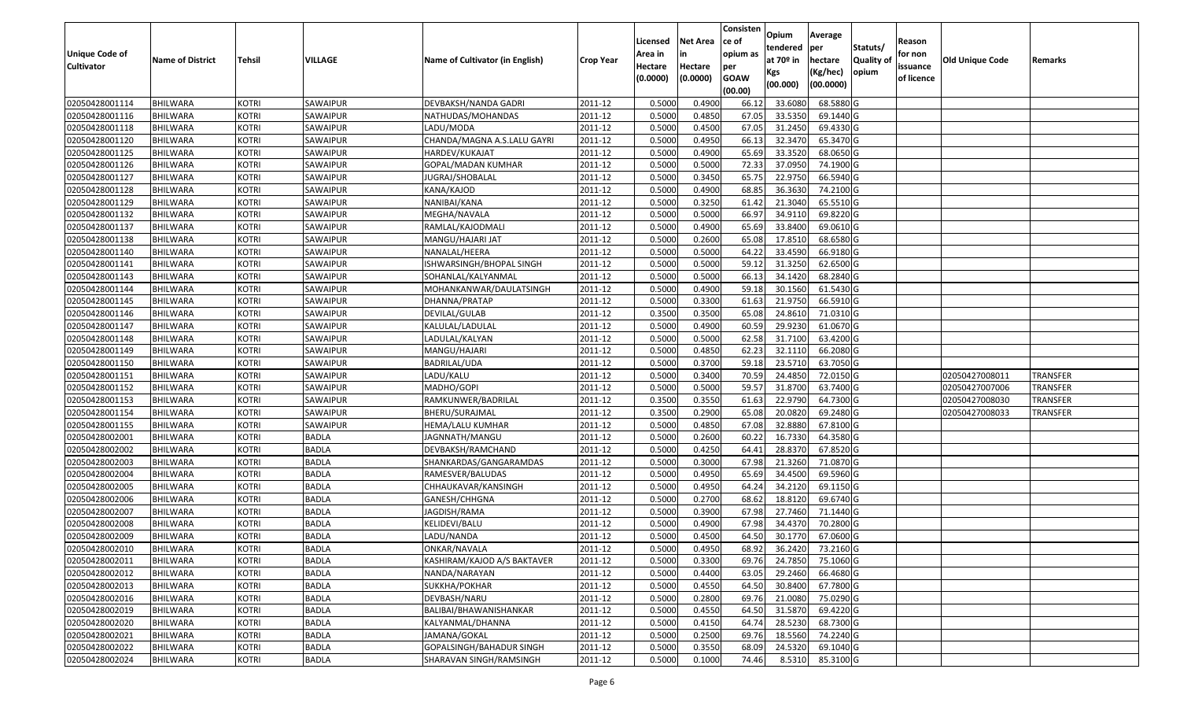|                                  |                             |                              |                          |                                     |                        | Licensed         | <b>Net Area</b>  | Consisten<br>lce of | Opium              | Average                |                  | Reason     |                        |                 |
|----------------------------------|-----------------------------|------------------------------|--------------------------|-------------------------------------|------------------------|------------------|------------------|---------------------|--------------------|------------------------|------------------|------------|------------------------|-----------------|
| Unique Code of                   |                             |                              |                          |                                     |                        | Area in          |                  | opium as            | tendered           | per                    | Statuts/         | for non    |                        |                 |
| <b>Cultivator</b>                | <b>Name of District</b>     | <b>Tehsil</b>                | VILLAGE                  | Name of Cultivator (in English)     | <b>Crop Year</b>       | Hectare          | Hectare          | per                 | at $70°$ in        | hectare                | <b>Quality o</b> | issuance   | <b>Old Unique Code</b> | Remarks         |
|                                  |                             |                              |                          |                                     |                        | (0.0000)         | (0.0000)         | <b>GOAW</b>         | Kgs                | (Kg/hec)               | opium            | of licence |                        |                 |
|                                  |                             |                              |                          |                                     |                        |                  |                  | (00.00)             | (00.000)           | (00.0000)              |                  |            |                        |                 |
| 02050428001114                   | <b>BHILWARA</b>             | <b>KOTRI</b>                 | SAWAIPUR                 | DEVBAKSH/NANDA GADRI                | 2011-12                | 0.5000           | 0.4900           | 66.12               | 33.6080            | 68.5880 G              |                  |            |                        |                 |
| 02050428001116                   | <b>BHILWARA</b>             | <b>KOTRI</b>                 | SAWAIPUR                 | NATHUDAS/MOHANDAS                   | 2011-12                | 0.5000           | 0.4850           | 67.05               | 33.5350            | 69.1440 G              |                  |            |                        |                 |
| 02050428001118                   | BHILWARA                    | <b>KOTRI</b>                 | SAWAIPUR                 | LADU/MODA                           | 2011-12                | 0.5000           | 0.4500           | 67.05               | 31.2450            | 69.4330 G              |                  |            |                        |                 |
| 02050428001120                   | <b>BHILWARA</b>             | <b>KOTRI</b>                 | SAWAIPUR                 | CHANDA/MAGNA A.S.LALU GAYRI         | 2011-12                | 0.5000           | 0.4950           | 66.13               | 32.3470            | 65.3470 G              |                  |            |                        |                 |
| 02050428001125                   | BHILWARA                    | <b>KOTRI</b>                 | SAWAIPUR                 | HARDEV/KUKAJAT                      | 2011-12                | 0.5000           | 0.4900           | 65.69               | 33.3520            | 68.0650 G              |                  |            |                        |                 |
| 02050428001126                   | <b>BHILWARA</b>             | <b>KOTRI</b>                 | SAWAIPUR                 | GOPAL/MADAN KUMHAR                  | 2011-12                | 0.5000           | 0.5000           | 72.33               | 37.0950            | 74.1900 G              |                  |            |                        |                 |
| 02050428001127                   | BHILWARA                    | <b>KOTRI</b>                 | SAWAIPUR                 | IUGRAJ/SHOBALAL                     | 2011-12                | 0.5000           | 0.3450           | 65.75               | 22.975             | 66.5940 G              |                  |            |                        |                 |
| 02050428001128                   | <b>BHILWARA</b>             | <b>KOTRI</b>                 | SAWAIPUR                 | KANA/KAJOD                          | 2011-12                | 0.5000           | 0.4900           | 68.85               | 36.363             | 74.2100 G              |                  |            |                        |                 |
| 02050428001129                   | <b>BHILWARA</b>             | <b>KOTRI</b>                 | SAWAIPUR                 | NANIBAI/KANA                        | 2011-12                | 0.5000           | 0.3250           | 61.42               | 21.3040            | 65.5510G               |                  |            |                        |                 |
| 02050428001132                   | <b>BHILWARA</b>             | <b>KOTRI</b>                 | SAWAIPUR                 | MEGHA/NAVALA                        | 2011-12                | 0.5000           | 0.5000           | 66.97               | 34.9110            | 69.8220 G              |                  |            |                        |                 |
| 02050428001137                   | BHILWARA                    | <b>KOTRI</b>                 | SAWAIPUR                 | RAMLAL/KAJODMALI                    | 2011-12                | 0.5000           | 0.4900           | 65.69               | 33.8400            | 69.0610 G              |                  |            |                        |                 |
| 02050428001138                   | <b>BHILWARA</b>             | <b>KOTRI</b>                 | SAWAIPUR                 | MANGU/HAJARI JAT                    | 2011-12                | 0.5000           | 0.2600           | 65.08               | 17.8510            | 68.6580 G              |                  |            |                        |                 |
| 02050428001140                   | <b>BHILWARA</b>             | <b>KOTRI</b>                 | SAWAIPUR                 | NANALAL/HEERA                       | 2011-12                | 0.5000           | 0.5000           | 64.22               | 33.4590            | 66.9180 G              |                  |            |                        |                 |
| 02050428001141                   | <b>BHILWARA</b>             | <b>KOTRI</b>                 | SAWAIPUR                 | ISHWARSINGH/BHOPAL SINGH            | 2011-12                | 0.5000           | 0.5000           | 59.12               | 31.3250            | 62.6500 G              |                  |            |                        |                 |
| 02050428001143                   | BHILWARA                    | <b>KOTRI</b>                 | SAWAIPUR                 | SOHANLAL/KALYANMAL                  | 2011-12                | 0.5000           | 0.5000           | 66.13               | 34.1420            | 68.2840 G              |                  |            |                        |                 |
| 02050428001144                   | <b>BHILWARA</b>             | <b>KOTRI</b>                 | SAWAIPUR                 | MOHANKANWAR/DAULATSINGH             | 2011-12                | 0.5000           | 0.4900           | 59.18               | 30.1560            | 61.5430 G              |                  |            |                        |                 |
| 02050428001145                   | <b>BHILWARA</b>             | <b>KOTRI</b>                 | SAWAIPUR                 | DHANNA/PRATAP                       | 2011-12                | 0.5000           | 0.3300           | 61.63               | 21.975             | 66.5910G               |                  |            |                        |                 |
| 02050428001146                   | BHILWARA                    | <b>KOTRI</b>                 | SAWAIPUR                 | DEVILAL/GULAB                       | 2011-12                | 0.3500           | 0.3500           | 65.08               | 24.8610            | 71.0310G               |                  |            |                        |                 |
| 02050428001147                   | <b>BHILWARA</b>             | <b>KOTRI</b>                 | SAWAIPUR                 | KALULAL/LADULAL                     | 2011-12                | 0.5000           | 0.4900           | 60.59               | 29.9230            | 61.0670 G              |                  |            |                        |                 |
| 02050428001148                   | BHILWARA                    | <b>KOTRI</b>                 | SAWAIPUR                 | LADULAL/KALYAN                      | 2011-12                | 0.5000           | 0.5000           | 62.58               | 31.7100            | 63.4200 G              |                  |            |                        |                 |
| 02050428001149                   | <b>BHILWARA</b>             | <b>KOTRI</b>                 | SAWAIPUR                 | MANGU/HAJARI                        | 2011-12                | 0.5000           | 0.4850           | 62.23               | 32.1110            | 66.2080 G              |                  |            |                        |                 |
| 02050428001150                   | <b>BHILWARA</b>             | <b>KOTRI</b>                 | SAWAIPUR                 | BADRILAL/UDA                        | 2011-12                | 0.500            | 0.3700           | 59.18               | 23.571             | 63.7050 G              |                  |            |                        |                 |
| 02050428001151                   | <b>BHILWARA</b>             | <b>KOTRI</b>                 | SAWAIPUR                 | LADU/KALU                           | 2011-12                | 0.5000           | 0.3400           | 70.59               | 24.4850            | 72.0150G               |                  |            | 02050427008011         | TRANSFER        |
| 02050428001152                   | <b>BHILWARA</b>             | <b>KOTRI</b>                 | SAWAIPUR                 | MADHO/GOPI                          | 2011-12                | 0.5000           | 0.5000           | 59.5                | 31.8700            | 63.7400 G              |                  |            | 02050427007006         | <b>TRANSFER</b> |
| 02050428001153                   | <b>BHILWARA</b>             | <b>KOTRI</b>                 | SAWAIPUR                 | RAMKUNWER/BADRILAL                  | 2011-12                | 0.3500           | 0.3550           | 61.63               | 22.9790            | 64.7300 G              |                  |            | 02050427008030         | <b>TRANSFER</b> |
| 02050428001154<br>02050428001155 | BHILWARA<br><b>BHILWARA</b> | <b>KOTRI</b><br><b>KOTRI</b> | SAWAIPUR                 | BHERU/SURAJMAL                      | 2011-12                | 0.3500<br>0.5000 | 0.2900<br>0.4850 | 65.08<br>67.08      | 20.0820<br>32.8880 | 69.2480 G<br>67.8100 G |                  |            | 02050427008033         | <b>TRANSFER</b> |
| 02050428002001                   | BHILWARA                    | <b>KOTRI</b>                 | SAWAIPUR<br><b>BADLA</b> | HEMA/LALU KUMHAR                    | 2011-12<br>2011-12     | 0.5000           | 0.2600           | 60.22               | 16.7330            | 64.3580 G              |                  |            |                        |                 |
| 02050428002002                   | <b>BHILWARA</b>             | <b>KOTRI</b>                 | <b>BADLA</b>             | JAGNNATH/MANGU<br>DEVBAKSH/RAMCHAND | 2011-12                | 0.5000           | 0.4250           | 64.41               | 28.8370            | 67.8520 G              |                  |            |                        |                 |
| 02050428002003                   | <b>BHILWARA</b>             | <b>KOTRI</b>                 | <b>BADLA</b>             | SHANKARDAS/GANGARAMDAS              | 2011-12                | 0.5000           | 0.3000           | 67.98               | 21.3260            | 71.0870 G              |                  |            |                        |                 |
| 02050428002004                   | BHILWARA                    | <b>KOTRI</b>                 | <b>BADLA</b>             | RAMESVER/BALUDAS                    | 2011-12                | 0.5000           | 0.4950           | 65.69               | 34.4500            | 69.5960 G              |                  |            |                        |                 |
| 02050428002005                   | BHILWARA                    | <b>KOTRI</b>                 | <b>BADLA</b>             | CHHAUKAVAR/KANSINGH                 | 2011-12                | 0.5000           | 0.4950           | 64.24               | 34.2120            | 69.1150 G              |                  |            |                        |                 |
| 02050428002006                   | <b>BHILWARA</b>             | <b>KOTRI</b>                 | <b>BADLA</b>             | GANESH/CHHGNA                       | 2011-12                | 0.5000           | 0.2700           | 68.62               | 18.8120            | 69.6740 G              |                  |            |                        |                 |
| 02050428002007                   | BHILWARA                    | <b>KOTRI</b>                 | <b>BADLA</b>             | JAGDISH/RAMA                        | 2011-12                | 0.5000           | 0.3900           | 67.98               | 27.7460            | 71.1440 G              |                  |            |                        |                 |
| 02050428002008                   | BHILWARA                    | <b>KOTRI</b>                 | <b>BADLA</b>             | KELIDEVI/BALU                       | 2011-12                | 0.500            | 0.4900           | 67.98               | 34.437             | 70.2800 G              |                  |            |                        |                 |
| 02050428002009                   | <b>BHILWARA</b>             | <b>KOTRI</b>                 | <b>BADLA</b>             | LADU/NANDA                          | 2011-12                | 0.5000           | 0.4500           | 64.50               | 30.1770            | 67.0600G               |                  |            |                        |                 |
| 02050428002010                   | <b>BHILWARA</b>             | <b>KOTRI</b>                 | <b>BADLA</b>             | ONKAR/NAVALA                        | $\overline{2011} - 12$ | 0.5000           | 0.4950           |                     | 68.92 36.2420      | 73.2160 G              |                  |            |                        |                 |
| 02050428002011                   | <b>BHILWARA</b>             | <b>KOTRI</b>                 | <b>BADLA</b>             | KASHIRAM/KAJOD A/S BAKTAVER         | 2011-12                | 0.5000           | 0.3300           | 69.76               | 24.7850            | 75.1060 G              |                  |            |                        |                 |
| 02050428002012                   | <b>BHILWARA</b>             | <b>KOTRI</b>                 | <b>BADLA</b>             | NANDA/NARAYAN                       | 2011-12                | 0.5000           | 0.4400           | 63.05               | 29.2460            | 66.4680 G              |                  |            |                        |                 |
| 02050428002013                   | <b>BHILWARA</b>             | <b>KOTRI</b>                 | <b>BADLA</b>             | SUKKHA/POKHAR                       | 2011-12                | 0.5000           | 0.4550           | 64.50               | 30.8400            | 67.7800 G              |                  |            |                        |                 |
| 02050428002016                   | <b>BHILWARA</b>             | <b>KOTRI</b>                 | <b>BADLA</b>             | DEVBASH/NARU                        | 2011-12                | 0.5000           | 0.2800           | 69.76               | 21.0080            | 75.0290 G              |                  |            |                        |                 |
| 02050428002019                   | <b>BHILWARA</b>             | <b>KOTRI</b>                 | <b>BADLA</b>             | BALIBAI/BHAWANISHANKAR              | 2011-12                | 0.5000           | 0.4550           | 64.50               | 31.5870            | 69.4220 G              |                  |            |                        |                 |
| 02050428002020                   | <b>BHILWARA</b>             | <b>KOTRI</b>                 | <b>BADLA</b>             | KALYANMAL/DHANNA                    | 2011-12                | 0.5000           | 0.4150           | 64.74               | 28.5230            | 68.7300 G              |                  |            |                        |                 |
| 02050428002021                   | <b>BHILWARA</b>             | <b>KOTRI</b>                 | <b>BADLA</b>             | JAMANA/GOKAL                        | 2011-12                | 0.5000           | 0.2500           | 69.76               | 18.5560            | 74.2240 G              |                  |            |                        |                 |
| 02050428002022                   | <b>BHILWARA</b>             | <b>KOTRI</b>                 | <b>BADLA</b>             | GOPALSINGH/BAHADUR SINGH            | 2011-12                | 0.5000           | 0.3550           | 68.09               | 24.5320            | 69.1040 G              |                  |            |                        |                 |
| 02050428002024                   | <b>BHILWARA</b>             | <b>KOTRI</b>                 | <b>BADLA</b>             | SHARAVAN SINGH/RAMSINGH             | 2011-12                | 0.5000           | 0.1000           | 74.46               | 8.5310             | 85.3100G               |                  |            |                        |                 |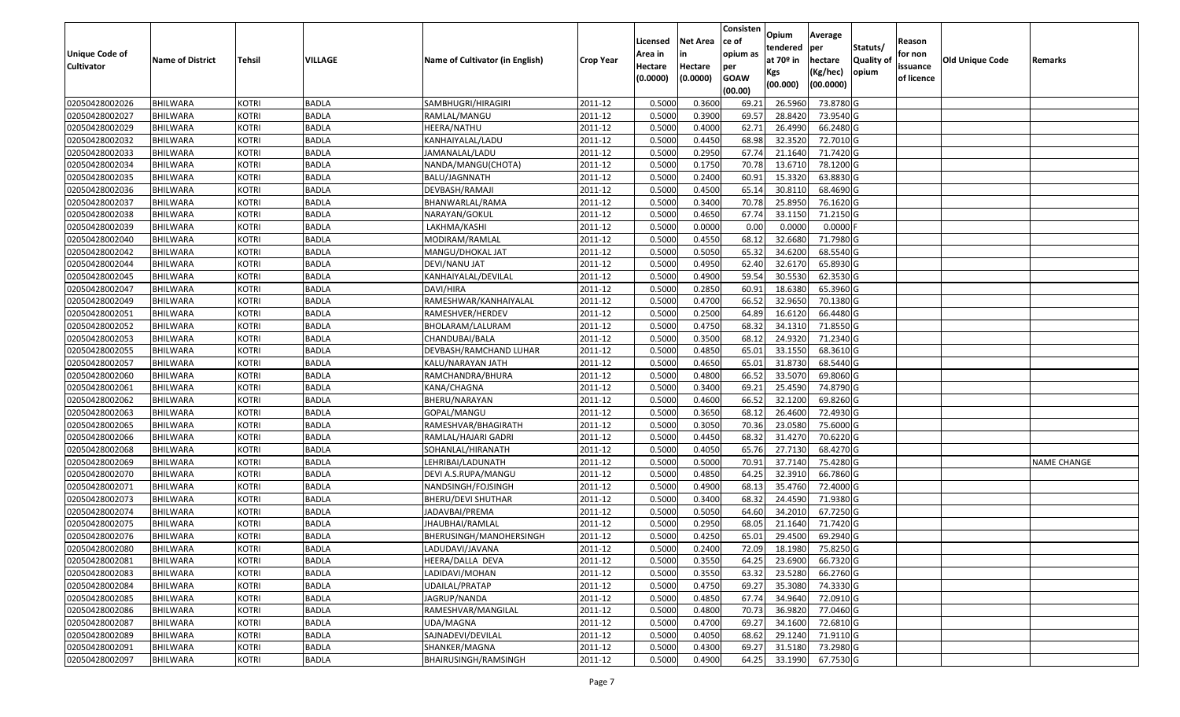|                   |                         |               |                |                                 |                  |          |                 | Consisten   | Opium       | Average    |                  |            |                 |                    |
|-------------------|-------------------------|---------------|----------------|---------------------------------|------------------|----------|-----------------|-------------|-------------|------------|------------------|------------|-----------------|--------------------|
|                   |                         |               |                |                                 |                  | Licensed | <b>Net Area</b> | ce of       | tendered    | per        | Statuts/         | Reason     |                 |                    |
| Unique Code of    | <b>Name of District</b> | <b>Tehsil</b> | <b>VILLAGE</b> | Name of Cultivator (in English) | <b>Crop Year</b> | Area in  |                 | opium as    | at $70°$ in | hectare    | <b>Quality o</b> | for non    | Old Unique Code | Remarks            |
| <b>Cultivator</b> |                         |               |                |                                 |                  | Hectare  | Hectare         | per         | Kgs         | (Kg/hec)   | opium            | issuance   |                 |                    |
|                   |                         |               |                |                                 |                  | (0.0000) | (0.0000)        | <b>GOAW</b> | (00.000)    | (00.0000)  |                  | of licence |                 |                    |
|                   |                         |               |                |                                 |                  |          |                 | (00.00)     |             |            |                  |            |                 |                    |
| 02050428002026    | <b>BHILWARA</b>         | <b>KOTRI</b>  | <b>BADLA</b>   | SAMBHUGRI/HIRAGIRI              | 2011-12          | 0.5000   | 0.3600          | 69.2        | 26.5960     | 73.8780 G  |                  |            |                 |                    |
| 02050428002027    | <b>BHILWARA</b>         | <b>KOTRI</b>  | <b>BADLA</b>   | RAMLAL/MANGU                    | 2011-12          | 0.5000   | 0.3900          | 69.57       | 28.8420     | 73.9540 G  |                  |            |                 |                    |
| 02050428002029    | <b>BHILWARA</b>         | <b>KOTRI</b>  | <b>BADLA</b>   | HEERA/NATHU                     | 2011-12          | 0.5000   | 0.4000          | 62.72       | 26.4990     | 66.2480 G  |                  |            |                 |                    |
| 02050428002032    | <b>BHILWARA</b>         | <b>KOTRI</b>  | <b>BADLA</b>   | KANHAIYALAL/LADU                | 2011-12          | 0.5000   | 0.4450          | 68.98       | 32.3520     | 72.7010 G  |                  |            |                 |                    |
| 02050428002033    | BHILWARA                | <b>KOTRI</b>  | <b>BADLA</b>   | JAMANALAL/LADU                  | 2011-12          | 0.5000   | 0.2950          | 67.7        | 21.1640     | 71.7420 G  |                  |            |                 |                    |
| 02050428002034    | <b>BHILWARA</b>         | <b>KOTRI</b>  | <b>BADLA</b>   | NANDA/MANGU(CHOTA)              | 2011-12          | 0.5000   | 0.1750          | 70.78       | 13.6710     | 78.1200 G  |                  |            |                 |                    |
| 02050428002035    | BHILWARA                | <b>KOTRI</b>  | <b>BADLA</b>   | BALU/JAGNNATH                   | 2011-12          | 0.5000   | 0.2400          | 60.9        | 15.3320     | 63.8830 G  |                  |            |                 |                    |
| 02050428002036    | <b>BHILWARA</b>         | <b>KOTRI</b>  | <b>BADLA</b>   | DEVBASH/RAMAJI                  | 2011-12          | 0.5000   | 0.4500          | 65.14       | 30.8110     | 68.4690 G  |                  |            |                 |                    |
| 02050428002037    | <b>BHILWARA</b>         | <b>KOTRI</b>  | <b>BADLA</b>   | BHANWARLAL/RAMA                 | 2011-12          | 0.5000   | 0.3400          | 70.78       | 25.895      | 76.1620 G  |                  |            |                 |                    |
| 02050428002038    | <b>BHILWARA</b>         | <b>KOTRI</b>  | <b>BADLA</b>   | NARAYAN/GOKUL                   | 2011-12          | 0.5000   | 0.4650          | 67.74       | 33.1150     | 71.2150G   |                  |            |                 |                    |
| 02050428002039    | BHILWARA                | <b>KOTRI</b>  | <b>BADLA</b>   | LAKHMA/KASHI                    | 2011-12          | 0.5000   | 0.0000          | 0.00        | 0.0000      | $0.0000$ F |                  |            |                 |                    |
| 02050428002040    | <b>BHILWARA</b>         | <b>KOTRI</b>  | <b>BADLA</b>   | MODIRAM/RAMLAL                  | 2011-12          | 0.5000   | 0.4550          | 68.12       | 32.6680     | 71.7980 G  |                  |            |                 |                    |
| 02050428002042    | <b>BHILWARA</b>         | <b>KOTRI</b>  | <b>BADLA</b>   | MANGU/DHOKAL JAT                | 2011-12          | 0.5000   | 0.5050          | 65.32       | 34.6200     | 68.5540 G  |                  |            |                 |                    |
| 02050428002044    | BHILWARA                | <b>KOTRI</b>  | <b>BADLA</b>   | DEVI/NANU JAT                   | 2011-12          | 0.5000   | 0.4950          | 62.40       | 32.6170     | 65.8930 G  |                  |            |                 |                    |
| 02050428002045    | BHILWARA                | <b>KOTRI</b>  | <b>BADLA</b>   | KANHAIYALAL/DEVILAL             | 2011-12          | 0.5000   | 0.4900          | 59.54       | 30.5530     | 62.3530 G  |                  |            |                 |                    |
| 02050428002047    | BHILWARA                | <b>KOTRI</b>  | <b>BADLA</b>   | DAVI/HIRA                       | 2011-12          | 0.5000   | 0.2850          | 60.91       | 18.6380     | 65.3960 G  |                  |            |                 |                    |
| 02050428002049    | <b>BHILWARA</b>         | <b>KOTRI</b>  | <b>BADLA</b>   | RAMESHWAR/KANHAIYALAL           | 2011-12          | 0.5000   | 0.4700          | 66.52       | 32.9650     | 70.1380 G  |                  |            |                 |                    |
| 02050428002051    | BHILWARA                | <b>KOTRI</b>  | <b>BADLA</b>   | RAMESHVER/HERDEV                | 2011-12          | 0.5000   | 0.2500          | 64.89       | 16.6120     | 66.4480 G  |                  |            |                 |                    |
| 02050428002052    | <b>BHILWARA</b>         | <b>KOTRI</b>  | <b>BADLA</b>   | BHOLARAM/LALURAM                | 2011-12          | 0.5000   | 0.4750          | 68.32       | 34.131      | 71.8550 G  |                  |            |                 |                    |
| 02050428002053    | BHILWARA                | <b>KOTRI</b>  | <b>BADLA</b>   | CHANDUBAI/BALA                  | 2011-12          | 0.5000   | 0.3500          | 68.1        | 24.9320     | 71.2340 G  |                  |            |                 |                    |
| 02050428002055    | <b>BHILWARA</b>         | <b>KOTRI</b>  | <b>BADLA</b>   | DEVBASH/RAMCHAND LUHAR          | 2011-12          | 0.5000   | 0.4850          | 65.01       | 33.1550     | 68.3610 G  |                  |            |                 |                    |
| 02050428002057    | <b>BHILWARA</b>         | <b>KOTRI</b>  | <b>BADLA</b>   | KALU/NARAYAN JATH               | 2011-12          | 0.5000   | 0.4650          | 65.0        | 31.873      | 68.5440 G  |                  |            |                 |                    |
| 02050428002060    | <b>BHILWARA</b>         | <b>KOTRI</b>  | <b>BADLA</b>   | RAMCHANDRA/BHURA                | 2011-12          | 0.5000   | 0.4800          | 66.52       | 33.5070     | 69.8060 G  |                  |            |                 |                    |
| 02050428002061    | <b>BHILWARA</b>         | <b>KOTRI</b>  | <b>BADLA</b>   | KANA/CHAGNA                     | 2011-12          | 0.5000   | 0.3400          | 69.2        | 25.4590     | 74.8790 G  |                  |            |                 |                    |
| 02050428002062    | <b>BHILWARA</b>         | <b>KOTRI</b>  | <b>BADLA</b>   | BHERU/NARAYAN                   | 2011-12          | 0.5000   | 0.4600          | 66.52       | 32.1200     | 69.8260 G  |                  |            |                 |                    |
| 02050428002063    | BHILWARA                | <b>KOTRI</b>  | <b>BADLA</b>   | GOPAL/MANGU                     | 2011-12          | 0.5000   | 0.3650          | 68.12       | 26.4600     | 72.4930 G  |                  |            |                 |                    |
| 02050428002065    | <b>BHILWARA</b>         | <b>KOTRI</b>  | <b>BADLA</b>   | RAMESHVAR/BHAGIRATH             | 2011-12          | 0.5000   | 0.3050          | 70.36       | 23.0580     | 75.6000G   |                  |            |                 |                    |
| 02050428002066    | BHILWARA                | <b>KOTRI</b>  | <b>BADLA</b>   | RAMLAL/HAJARI GADRI             | 2011-12          | 0.5000   | 0.4450          | 68.32       | 31.4270     | 70.6220 G  |                  |            |                 |                    |
| 02050428002068    | <b>BHILWARA</b>         | <b>KOTRI</b>  | <b>BADLA</b>   | SOHANLAL/HIRANATH               | 2011-12          | 0.5000   | 0.4050          | 65.76       | 27.7130     | 68.4270 G  |                  |            |                 |                    |
| 02050428002069    | <b>BHILWARA</b>         | <b>KOTRI</b>  | <b>BADLA</b>   | LEHRIBAI/LADUNATH               | 2011-12          | 0.5000   | 0.5000          | 70.9        | 37.7140     | 75.4280 G  |                  |            |                 | <b>NAME CHANGE</b> |
| 02050428002070    | BHILWARA                | <b>KOTRI</b>  | <b>BADLA</b>   | DEVI A.S.RUPA/MANGU             | 2011-12          | 0.5000   | 0.4850          | 64.25       | 32.391      | 66.7860 G  |                  |            |                 |                    |
| 02050428002071    | BHILWARA                | <b>KOTRI</b>  | <b>BADLA</b>   | NANDSINGH/FOJSINGH              | 2011-12          | 0.5000   | 0.4900          | 68.1        | 35.4760     | 72.4000G   |                  |            |                 |                    |
| 02050428002073    | <b>BHILWARA</b>         | <b>KOTRI</b>  | <b>BADLA</b>   | BHERU/DEVI SHUTHAR              | 2011-12          | 0.5000   | 0.3400          | 68.32       | 24.4590     | 71.9380 G  |                  |            |                 |                    |
| 02050428002074    | BHILWARA                | <b>KOTRI</b>  | <b>BADLA</b>   | JADAVBAI/PREMA                  | 2011-12          | 0.5000   | 0.5050          | 64.60       | 34.201      | 67.7250 G  |                  |            |                 |                    |
| 02050428002075    | BHILWARA                | <b>KOTRI</b>  | <b>BADLA</b>   | IHAUBHAI/RAMLAL                 | 2011-12          | 0.500    | 0.2950          | 68.0        | 21.1640     | 71.7420 G  |                  |            |                 |                    |
| 02050428002076    | <b>BHILWARA</b>         | <b>KOTRI</b>  | <b>BADLA</b>   | BHERUSINGH/MANOHERSINGH         | 2011-12          | 0.5000   | 0.4250          | 65.01       | 29.4500     | 69.2940 G  |                  |            |                 |                    |
| 02050428002080    | <b>BHILWARA</b>         | <b>KOTRI</b>  | <b>BADLA</b>   | LADUDAVI/JAVANA                 | 2011-12          | 0.5000   | 0.2400          | 72.09       | 18.1980     | 75.8250 G  |                  |            |                 |                    |
| 02050428002081    | <b>BHILWARA</b>         | <b>KOTRI</b>  | <b>BADLA</b>   | HEERA/DALLA DEVA                | 2011-12          | 0.5000   | 0.3550          | 64.25       | 23.6900     | 66.7320 G  |                  |            |                 |                    |
| 02050428002083    | <b>BHILWARA</b>         | <b>KOTRI</b>  | <b>BADLA</b>   | LADIDAVI/MOHAN                  | 2011-12          | 0.5000   | 0.3550          | 63.32       | 23.5280     | 66.2760 G  |                  |            |                 |                    |
| 02050428002084    | <b>BHILWARA</b>         | <b>KOTRI</b>  | <b>BADLA</b>   | UDAILAL/PRATAP                  | 2011-12          | 0.5000   | 0.4750          | 69.27       | 35.3080     | 74.3330 G  |                  |            |                 |                    |
| 02050428002085    | <b>BHILWARA</b>         | <b>KOTRI</b>  | <b>BADLA</b>   | JAGRUP/NANDA                    | 2011-12          | 0.5000   | 0.4850          | 67.74       | 34.9640     | 72.0910 G  |                  |            |                 |                    |
| 02050428002086    | <b>BHILWARA</b>         | <b>KOTRI</b>  | <b>BADLA</b>   | RAMESHVAR/MANGILAL              | 2011-12          | 0.5000   | 0.4800          | 70.73       | 36.9820     | 77.0460 G  |                  |            |                 |                    |
| 02050428002087    | <b>BHILWARA</b>         | <b>KOTRI</b>  | <b>BADLA</b>   | UDA/MAGNA                       | 2011-12          | 0.5000   | 0.4700          | 69.27       | 34.1600     | 72.6810 G  |                  |            |                 |                    |
| 02050428002089    | <b>BHILWARA</b>         | <b>KOTRI</b>  | <b>BADLA</b>   | SAJNADEVI/DEVILAL               | 2011-12          | 0.5000   | 0.4050          | 68.62       | 29.1240     | 71.9110 G  |                  |            |                 |                    |
| 02050428002091    | <b>BHILWARA</b>         | <b>KOTRI</b>  | <b>BADLA</b>   | SHANKER/MAGNA                   | 2011-12          | 0.5000   | 0.4300          | 69.27       | 31.5180     | 73.2980 G  |                  |            |                 |                    |
| 02050428002097    | <b>BHILWARA</b>         | <b>KOTRI</b>  | <b>BADLA</b>   | BHAIRUSINGH/RAMSINGH            | 2011-12          | 0.5000   | 0.4900          | 64.25       | 33.1990     | 67.7530 G  |                  |            |                 |                    |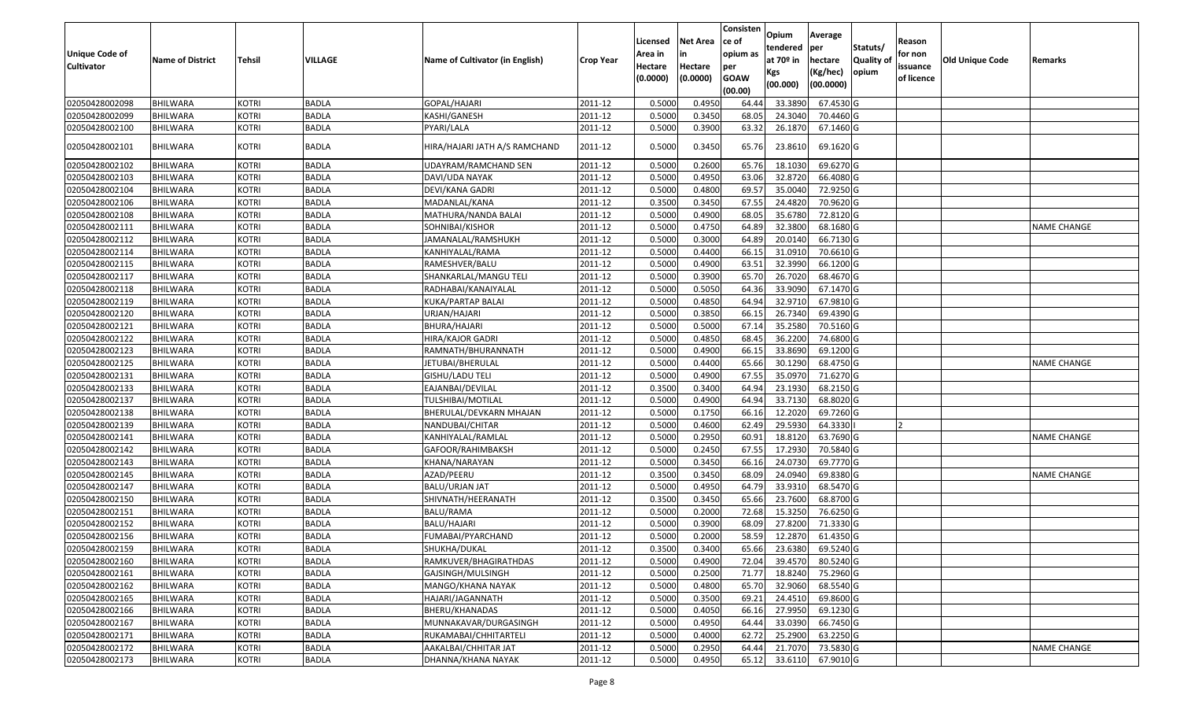| Unique Code of<br><b>Cultivator</b> | <b>Name of District</b> | <b>Tehsil</b> | VILLAGE      | Name of Cultivator (in English) | Crop Year | Licensed<br>Area in<br>Hectare<br>(0.0000) | <b>Net Area</b><br>in<br>Hectare<br>(0.0000) | Consisten<br>ce of<br>opium as<br>per<br><b>GOAW</b><br>(00.00) | Opium<br>tendered<br>at $70°$ in<br>Kgs<br>(00.000) | Average<br>per<br>hectare<br>(Kg/hec)<br>(00.0000) | Statuts/<br>Quality of<br>opium | Reason<br>for non<br>issuance<br>of licence | <b>Old Unique Code</b> | Remarks            |
|-------------------------------------|-------------------------|---------------|--------------|---------------------------------|-----------|--------------------------------------------|----------------------------------------------|-----------------------------------------------------------------|-----------------------------------------------------|----------------------------------------------------|---------------------------------|---------------------------------------------|------------------------|--------------------|
| 02050428002098                      | <b>BHILWARA</b>         | <b>KOTRI</b>  | BADLA        | GOPAL/HAJARI                    | 2011-12   | 0.5000                                     | 0.4950                                       | 64.44                                                           | 33.3890                                             | 67.4530 G                                          |                                 |                                             |                        |                    |
| 02050428002099                      | <b>BHILWARA</b>         | KOTRI         | <b>BADLA</b> | KASHI/GANESH                    | 2011-12   | 0.5000                                     | 0.3450                                       | 68.0                                                            | 24.3040                                             | 70.4460 G                                          |                                 |                                             |                        |                    |
| 02050428002100                      | <b>BHILWARA</b>         | KOTRI         | <b>BADLA</b> | PYARI/LALA                      | 2011-12   | 0.5000                                     | 0.3900                                       | 63.32                                                           | 26.1870                                             | 67.1460 G                                          |                                 |                                             |                        |                    |
| 02050428002101                      | BHILWARA                | <b>KOTRI</b>  | <b>BADLA</b> | HIRA/HAJARI JATH A/S RAMCHAND   | 2011-12   | 0.5000                                     | 0.3450                                       | 65.76                                                           | 23.8610                                             | 69.1620 G                                          |                                 |                                             |                        |                    |
| 02050428002102                      | <b>BHILWARA</b>         | <b>KOTRI</b>  | <b>BADLA</b> | UDAYRAM/RAMCHAND SEN            | 2011-12   | 0.5000                                     | 0.2600                                       | 65.76                                                           | 18.1030                                             | 69.6270 G                                          |                                 |                                             |                        |                    |
| 02050428002103                      | <b>BHILWARA</b>         | KOTRI         | <b>BADLA</b> | DAVI/UDA NAYAK                  | 2011-12   | 0.5000                                     | 0.4950                                       | 63.06                                                           | 32.8720                                             | 66.4080 G                                          |                                 |                                             |                        |                    |
| 02050428002104                      | <b>BHILWARA</b>         | <b>KOTRI</b>  | <b>BADLA</b> | <b>DEVI/KANA GADRI</b>          | 2011-12   | 0.5000                                     | 0.4800                                       | 69.57                                                           | 35.0040                                             | 72.9250 G                                          |                                 |                                             |                        |                    |
| 02050428002106                      | <b>BHILWARA</b>         | <b>KOTRI</b>  | <b>BADLA</b> | MADANLAL/KANA                   | 2011-12   | 0.3500                                     | 0.3450                                       | 67.55                                                           | 24.4820                                             | 70.9620 G                                          |                                 |                                             |                        |                    |
| 02050428002108                      | <b>BHILWARA</b>         | <b>KOTRI</b>  | <b>BADLA</b> | MATHURA/NANDA BALAI             | 2011-12   | 0.5000                                     | 0.4900                                       | 68.05                                                           | 35.6780                                             | 72.8120 G                                          |                                 |                                             |                        |                    |
| 02050428002111                      | <b>BHILWARA</b>         | <b>KOTRI</b>  | <b>BADLA</b> | SOHNIBAI/KISHOR                 | 2011-12   | 0.5000                                     | 0.4750                                       | 64.89                                                           | 32.3800                                             | 68.1680 G                                          |                                 |                                             |                        | <b>NAME CHANGE</b> |
| 02050428002112                      | <b>BHILWARA</b>         | <b>KOTRI</b>  | <b>BADLA</b> | JAMANALAL/RAMSHUKH              | 2011-12   | 0.5000                                     | 0.3000                                       | 64.89                                                           | 20.0140                                             | 66.7130 G                                          |                                 |                                             |                        |                    |
| 02050428002114                      | <b>BHILWARA</b>         | <b>KOTRI</b>  | <b>BADLA</b> | KANHIYALAL/RAMA                 | 2011-12   | 0.5000                                     | 0.4400                                       | 66.1                                                            | 31.0910                                             | 70.6610 G                                          |                                 |                                             |                        |                    |
| 02050428002115                      | <b>BHILWARA</b>         | <b>KOTRI</b>  | <b>BADLA</b> | RAMESHVER/BALU                  | 2011-12   | 0.5000                                     | 0.4900                                       | 63.5                                                            | 32.3990                                             | 66.1200 G                                          |                                 |                                             |                        |                    |
| 02050428002117                      | <b>BHILWARA</b>         | <b>KOTRI</b>  | <b>BADLA</b> | SHANKARLAL/MANGU TELI           | 2011-12   | 0.5000                                     | 0.3900                                       | 65.70                                                           | 26.7020                                             | 68.4670 G                                          |                                 |                                             |                        |                    |
| 02050428002118                      | <b>BHILWARA</b>         | <b>KOTRI</b>  | <b>BADLA</b> | RADHABAI/KANAIYALAL             | 2011-12   | 0.5000                                     | 0.5050                                       | 64.36                                                           | 33.9090                                             | 67.1470 G                                          |                                 |                                             |                        |                    |
| 02050428002119                      | <b>BHILWARA</b>         | <b>KOTRI</b>  | <b>BADLA</b> | KUKA/PARTAP BALAI               | 2011-12   | 0.5000                                     | 0.4850                                       | 64.94                                                           | 32.9710                                             | 67.9810 G                                          |                                 |                                             |                        |                    |
| 02050428002120                      | <b>BHILWARA</b>         | <b>KOTRI</b>  | <b>BADLA</b> | URJAN/HAJARI                    | 2011-12   | 0.5000                                     | 0.3850                                       | 66.1                                                            | 26.7340                                             | 69.4390 G                                          |                                 |                                             |                        |                    |
| 02050428002121                      | <b>BHILWARA</b>         | <b>KOTRI</b>  | <b>BADLA</b> | BHURA/HAJARI                    | 2011-12   | 0.5000                                     | 0.5000                                       | 67.1                                                            | 35.2580                                             | 70.5160 G                                          |                                 |                                             |                        |                    |
| 02050428002122                      | <b>BHILWARA</b>         | <b>KOTRI</b>  | <b>BADLA</b> | HIRA/KAJOR GADRI                | 2011-12   | 0.5000                                     | 0.4850                                       | 68.4                                                            | 36.2200                                             | 74.6800 G                                          |                                 |                                             |                        |                    |
| 02050428002123                      | <b>BHILWARA</b>         | <b>KOTRI</b>  | <b>BADLA</b> | RAMNATH/BHURANNATH              | 2011-12   | 0.5000                                     | 0.4900                                       | 66.1                                                            | 33.8690                                             | 69.1200 G                                          |                                 |                                             |                        |                    |
| 02050428002125                      | <b>BHILWARA</b>         | <b>KOTRI</b>  | <b>BADLA</b> | JETUBAI/BHERULAL                | 2011-12   | 0.5000                                     | 0.4400                                       | 65.66                                                           | 30.1290                                             | 68.4750 G                                          |                                 |                                             |                        | <b>NAME CHANGE</b> |
| 02050428002131                      | <b>BHILWARA</b>         | <b>KOTRI</b>  | <b>BADLA</b> | GISHU/LADU TELI                 | 2011-12   | 0.5000                                     | 0.4900                                       | 67.55                                                           | 35.0970                                             | 71.6270 G                                          |                                 |                                             |                        |                    |
| 02050428002133                      | <b>BHILWARA</b>         | KOTRI         | <b>BADLA</b> | EAJANBAI/DEVILAL                | 2011-12   | 0.3500                                     | 0.3400                                       | 64.94                                                           | 23.1930                                             | 68.2150 G                                          |                                 |                                             |                        |                    |
| 02050428002137                      | <b>BHILWARA</b>         | <b>KOTRI</b>  | <b>BADLA</b> | TULSHIBAI/MOTILAL               | 2011-12   | 0.5000                                     | 0.4900                                       | 64.94                                                           | 33.7130                                             | 68.8020 G                                          |                                 |                                             |                        |                    |
| 02050428002138                      | <b>BHILWARA</b>         | <b>KOTRI</b>  | <b>BADLA</b> | BHERULAL/DEVKARN MHAJAN         | 2011-12   | 0.5000                                     | 0.1750                                       | 66.16                                                           | 12.2020                                             | 69.7260 G                                          |                                 |                                             |                        |                    |
| 02050428002139                      | <b>BHILWARA</b>         | KOTRI         | <b>BADLA</b> | NANDUBAI/CHITAR                 | 2011-12   | 0.5000                                     | 0.4600                                       | 62.49                                                           | 29.5930                                             | 64.3330                                            |                                 |                                             |                        |                    |
| 02050428002141                      | <b>BHILWARA</b>         | <b>KOTRI</b>  | <b>BADLA</b> | KANHIYALAL/RAMLAL               | 2011-12   | 0.5000                                     | 0.2950                                       | 60.91                                                           | 18.8120                                             | 63.7690 G                                          |                                 |                                             |                        | <b>NAME CHANGE</b> |
| 02050428002142                      | <b>BHILWARA</b>         | <b>KOTRI</b>  | <b>BADLA</b> | GAFOOR/RAHIMBAKSH               | 2011-12   | 0.5000                                     | 0.2450                                       | 67.5                                                            | 17.2930                                             | 70.5840 G                                          |                                 |                                             |                        |                    |
| 02050428002143                      | <b>BHILWARA</b>         | <b>KOTRI</b>  | <b>BADLA</b> | KHANA/NARAYAN                   | 2011-12   | 0.5000                                     | 0.3450                                       | 66.16                                                           | 24.0730                                             | 69.7770 G                                          |                                 |                                             |                        |                    |
| 02050428002145                      | <b>BHILWARA</b>         | <b>KOTRI</b>  | <b>BADLA</b> | AZAD/PEERU                      | 2011-12   | 0.3500                                     | 0.3450                                       | 68.09                                                           | 24.0940                                             | 69.8380 G                                          |                                 |                                             |                        | <b>NAME CHANGE</b> |
| 02050428002147                      | <b>BHILWARA</b>         | KOTRI         | <b>BADLA</b> | BALU/URJAN JAT                  | 2011-12   | 0.5000                                     | 0.4950                                       | 64.79                                                           | 33.9310                                             | 68.5470 G                                          |                                 |                                             |                        |                    |
| 02050428002150                      | <b>BHILWARA</b>         | <b>KOTRI</b>  | <b>BADLA</b> | SHIVNATH/HEERANATH              | 2011-12   | 0.3500                                     | 0.3450                                       | 65.66                                                           | 23.7600                                             | 68.8700 G                                          |                                 |                                             |                        |                    |
| 02050428002151                      | <b>BHILWARA</b>         | <b>KOTRI</b>  | <b>BADLA</b> | <b>BALU/RAMA</b>                | 2011-12   | 0.5000                                     | 0.2000                                       | 72.68                                                           | 15.3250                                             | 76.6250 G                                          |                                 |                                             |                        |                    |
| 02050428002152                      | <b>BHILWARA</b>         | KOTRI         | BADLA        | BALU/HAJARI                     | 2011-12   | 0.5000                                     | 0.3900                                       | 68.09                                                           | 27.8200                                             | 71.3330 G                                          |                                 |                                             |                        |                    |
| 02050428002156                      | <b>BHILWARA</b>         | KOTRI         | <b>BADLA</b> | FUMABAI/PYARCHAND               | 2011-12   | 0.5000                                     | 0.2000                                       | 58.59                                                           | 12.2870                                             | 61.4350 G                                          |                                 |                                             |                        |                    |
| 02050428002159                      | <b>BHILWARA</b>         | <b>KOTRI</b>  | <b>BADLA</b> | SHUKHA/DUKAL                    | 2011-12   | 0.3500                                     | 0.3400                                       | 65.66                                                           | 23.6380                                             | 69.5240 G                                          |                                 |                                             |                        |                    |
| 02050428002160                      | <b>BHILWARA</b>         | <b>KOTRI</b>  | <b>BADLA</b> | RAMKUVER/BHAGIRATHDAS           | 2011-12   | 0.5000                                     | 0.4900                                       | 72.04                                                           | 39.4570                                             | 80.5240 G                                          |                                 |                                             |                        |                    |
| 02050428002161                      | <b>BHILWARA</b>         | <b>KOTRI</b>  | <b>BADLA</b> | GAJSINGH/MULSINGH               | 2011-12   | 0.5000                                     | 0.2500                                       | 71.77                                                           | 18.8240                                             | 75.2960 G                                          |                                 |                                             |                        |                    |
| 02050428002162                      | <b>BHILWARA</b>         | <b>KOTRI</b>  | <b>BADLA</b> | MANGO/KHANA NAYAK               | 2011-12   | 0.5000                                     | 0.4800                                       | 65.70                                                           | 32.9060                                             | 68.5540 G                                          |                                 |                                             |                        |                    |
| 02050428002165                      | <b>BHILWARA</b>         | <b>KOTRI</b>  | <b>BADLA</b> | HAJARI/JAGANNATH                | 2011-12   | 0.5000                                     | 0.3500                                       | 69.21                                                           | 24.4510                                             | 69.8600 G                                          |                                 |                                             |                        |                    |
| 02050428002166                      | <b>BHILWARA</b>         | <b>KOTRI</b>  | <b>BADLA</b> | BHERU/KHANADAS                  | 2011-12   | 0.5000                                     | 0.4050                                       | 66.16                                                           | 27.9950                                             | 69.1230 G                                          |                                 |                                             |                        |                    |
| 02050428002167                      | <b>BHILWARA</b>         | <b>KOTRI</b>  | <b>BADLA</b> | MUNNAKAVAR/DURGASINGH           | 2011-12   | 0.5000                                     | 0.4950                                       | 64.44                                                           | 33.0390                                             | 66.7450 G                                          |                                 |                                             |                        |                    |
| 02050428002171                      | <b>BHILWARA</b>         | <b>KOTRI</b>  | <b>BADLA</b> | RUKAMABAI/CHHITARTELI           | 2011-12   | 0.5000                                     | 0.4000                                       | 62.72                                                           | 25.2900                                             | 63.2250 G                                          |                                 |                                             |                        |                    |
| 02050428002172                      | <b>BHILWARA</b>         | <b>KOTRI</b>  | <b>BADLA</b> | AAKALBAI/CHHITAR JAT            | 2011-12   | 0.5000                                     | 0.2950                                       | 64.44                                                           | 21.7070                                             | 73.5830 G                                          |                                 |                                             |                        | NAME CHANGE        |
| 02050428002173                      | <b>BHILWARA</b>         | <b>KOTRI</b>  | <b>BADLA</b> | DHANNA/KHANA NAYAK              | 2011-12   | 0.5000                                     | 0.4950                                       | 65.12                                                           | 33.6110                                             | 67.9010 G                                          |                                 |                                             |                        |                    |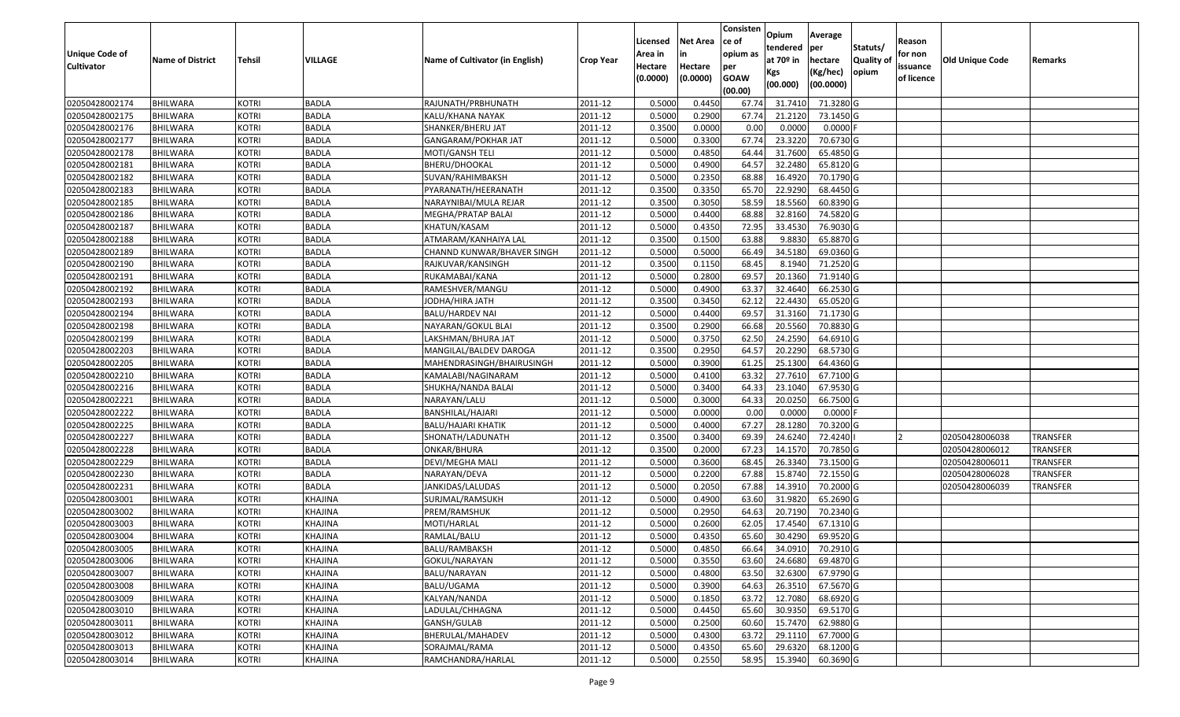|                                     |                                    |                              |                    |                                 |                    |                    |                     | Consisten          | Opium              | Average                |                  |                        |                        |                 |
|-------------------------------------|------------------------------------|------------------------------|--------------------|---------------------------------|--------------------|--------------------|---------------------|--------------------|--------------------|------------------------|------------------|------------------------|------------------------|-----------------|
|                                     |                                    |                              |                    |                                 |                    | Licensed           | <b>Net Area</b>     | ce of              | tendered           | per                    | Statuts/         | Reason                 |                        |                 |
| Unique Code of<br><b>Cultivator</b> | <b>Name of District</b>            | <b>Tehsil</b>                | <b>VILLAGE</b>     | Name of Cultivator (in English) | <b>Crop Year</b>   | Area in<br>Hectare | in                  | opium as           | at $70°$ in        | hectare                | <b>Quality o</b> | for non                | <b>Old Unique Code</b> | Remarks         |
|                                     |                                    |                              |                    |                                 |                    | (0.0000)           | Hectare<br>(0.0000) | per<br><b>GOAW</b> | Kgs                | (Kg/hec)               | opium            | issuance<br>of licence |                        |                 |
|                                     |                                    |                              |                    |                                 |                    |                    |                     | (00.00)            | (00.000)           | (00.0000)              |                  |                        |                        |                 |
| 02050428002174                      | <b>BHILWARA</b>                    | <b>KOTRI</b>                 | <b>BADLA</b>       | RAJUNATH/PRBHUNATH              | 2011-12            | 0.5000             | 0.4450              | 67.74              | 31.7410            | 71.3280 G              |                  |                        |                        |                 |
| 02050428002175                      | <b>BHILWARA</b>                    | <b>KOTRI</b>                 | <b>BADLA</b>       | KALU/KHANA NAYAK                | 2011-12            | 0.5000             | 0.2900              | 67.74              | 21.2120            | 73.1450 G              |                  |                        |                        |                 |
| 02050428002176                      | <b>BHILWARA</b>                    | <b>KOTRI</b>                 | <b>BADLA</b>       | SHANKER/BHERU JAT               | 2011-12            | 0.3500             | 0.0000              | 0.00               | 0.0000             | 0.0000                 |                  |                        |                        |                 |
| 02050428002177                      | <b>BHILWARA</b>                    | <b>KOTRI</b>                 | <b>BADLA</b>       | GANGARAM/POKHAR JAT             | 2011-12            | 0.5000             | 0.3300              | 67.74              | 23.3220            | 70.6730 G              |                  |                        |                        |                 |
| 02050428002178                      | BHILWARA                           | <b>KOTRI</b>                 | <b>BADLA</b>       | MOTI/GANSH TELI                 | 2011-12            | 0.5000             | 0.4850              | 64.44              | 31.7600            | 65.4850 G              |                  |                        |                        |                 |
| 02050428002181                      | <b>BHILWARA</b>                    | <b>KOTRI</b>                 | <b>BADLA</b>       | BHERU/DHOOKAL                   | 2011-12            | 0.5000             | 0.4900              | 64.57              | 32.2480            | 65.8120G               |                  |                        |                        |                 |
| 02050428002182                      | BHILWARA                           | <b>KOTRI</b>                 | <b>BADLA</b>       | SUVAN/RAHIMBAKSH                | 2011-12            | 0.5000             | 0.2350              | 68.88              | 16.4920            | 70.1790 G              |                  |                        |                        |                 |
| 02050428002183                      | <b>BHILWARA</b>                    | <b>KOTRI</b>                 | <b>BADLA</b>       | PYARANATH/HEERANATH             | 2011-12            | 0.3500             | 0.3350              | 65.70              | 22.9290            | 68.4450 G              |                  |                        |                        |                 |
| 02050428002185                      | <b>BHILWARA</b>                    | <b>KOTRI</b>                 | <b>BADLA</b>       | NARAYNIBAI/MULA REJAR           | 2011-12            | 0.3500             | 0.3050              | 58.59              | 18.5560            | 60.8390 G              |                  |                        |                        |                 |
| 02050428002186                      | <b>BHILWARA</b>                    | <b>KOTRI</b>                 | <b>BADLA</b>       | MEGHA/PRATAP BALAI              | 2011-12            | 0.5000             | 0.4400              | 68.88              | 32.8160            | 74.5820 G              |                  |                        |                        |                 |
| 02050428002187                      | <b>BHILWARA</b>                    | <b>KOTRI</b>                 | <b>BADLA</b>       | KHATUN/KASAM                    | 2011-12            | 0.5000             | 0.4350              | 72.95              | 33.4530            | 76.9030 G              |                  |                        |                        |                 |
| 02050428002188                      | <b>BHILWARA</b>                    | <b>KOTRI</b>                 | <b>BADLA</b>       | ATMARAM/KANHAIYA LAL            | 2011-12            | 0.3500             | 0.1500              | 63.88              | 9.8830             | 65.8870 G              |                  |                        |                        |                 |
| 02050428002189                      | <b>BHILWARA</b>                    | <b>KOTRI</b>                 | <b>BADLA</b>       | CHANND KUNWAR/BHAVER SINGH      | 2011-12            | 0.5000             | 0.5000              | 66.49              | 34.5180            | 69.0360 G              |                  |                        |                        |                 |
| 02050428002190                      | <b>BHILWARA</b>                    | <b>KOTRI</b>                 | <b>BADLA</b>       | RAJKUVAR/KANSINGH               | 2011-12            | 0.3500             | 0.1150              | 68.45              | 8.1940             | 71.2520G               |                  |                        |                        |                 |
| 02050428002191                      | BHILWARA                           | <b>KOTRI</b>                 | <b>BADLA</b>       | RUKAMABAI/KANA                  | 2011-12            | 0.5000             | 0.2800              | 69.57              | 20.1360            | 71.9140 G              |                  |                        |                        |                 |
| 02050428002192                      | <b>BHILWARA</b>                    | <b>KOTRI</b>                 | <b>BADLA</b>       | RAMESHVER/MANGU                 | 2011-12            | 0.5000             | 0.4900              | 63.37              | 32.4640            | 66.2530 G              |                  |                        |                        |                 |
| 02050428002193                      | <b>BHILWARA</b>                    | <b>KOTRI</b>                 | <b>BADLA</b>       | JODHA/HIRA JATH                 | 2011-12            | 0.3500             | 0.3450              | 62.12              | 22.4430            | 65.0520G               |                  |                        |                        |                 |
| 02050428002194                      | BHILWARA                           | <b>KOTRI</b>                 | <b>BADLA</b>       | BALU/HARDEV NAI                 | 2011-12            | 0.5000             | 0.4400              | 69.57              | 31.3160            | 71.1730 G              |                  |                        |                        |                 |
| 02050428002198                      | <b>BHILWARA</b>                    | <b>KOTRI</b>                 | <b>BADLA</b>       | NAYARAN/GOKUL BLAI              | 2011-12            | 0.3500             | 0.2900              | 66.68              | 20.5560            | 70.8830 G              |                  |                        |                        |                 |
| 02050428002199                      | BHILWARA                           | <b>KOTRI</b>                 | <b>BADLA</b>       | LAKSHMAN/BHURA JAT              | 2011-12            | 0.5000             | 0.3750              | 62.5               | 24.2590            | 64.6910 G              |                  |                        |                        |                 |
| 02050428002203                      | <b>BHILWARA</b>                    | <b>KOTRI</b>                 | <b>BADLA</b>       | MANGILAL/BALDEV DAROGA          | 2011-12            | 0.3500             | 0.2950              | 64.57              | 20.2290            | 68.5730 G              |                  |                        |                        |                 |
| 02050428002205                      | <b>BHILWARA</b>                    | <b>KOTRI</b>                 | <b>BADLA</b>       | MAHENDRASINGH/BHAIRUSINGH       | 2011-12            | 0.5000             | 0.3900              | 61.25              | 25.1300            | 64.4360 G              |                  |                        |                        |                 |
| 02050428002210                      | <b>BHILWARA</b>                    | <b>KOTRI</b>                 | <b>BADLA</b>       | KAMALABI/NAGINARAM              | 2011-12            | 0.5000             | 0.4100              | 63.32              | 27.7610            | 67.7100 G              |                  |                        |                        |                 |
| 02050428002216                      | BHILWARA                           | <b>KOTRI</b>                 | <b>BADLA</b>       | SHUKHA/NANDA BALAI              | 2011-12            | 0.5000             | 0.3400              | 64.3               | 23.1040            | 67.9530 G              |                  |                        |                        |                 |
| 02050428002221                      | <b>BHILWARA</b>                    | <b>KOTRI</b>                 | <b>BADLA</b>       | NARAYAN/LALU                    | 2011-12            | 0.5000             | 0.3000              | 64.33              | 20.0250            | 66.7500 G              |                  |                        |                        |                 |
| 02050428002222                      | <b>BHILWARA</b>                    | <b>KOTRI</b>                 | <b>BADLA</b>       | BANSHILAL/HAJARI                | 2011-12            | 0.5000             | 0.0000              | 0.00               | 0.0000             | $0.0000$ F             |                  |                        |                        |                 |
| 02050428002225                      | <b>BHILWARA</b>                    | <b>KOTRI</b>                 | <b>BADLA</b>       | BALU/HAJARI KHATIK              | 2011-12            | 0.5000             | 0.4000              | 67.27              | 28.1280            | 70.3200 G              |                  |                        |                        |                 |
| 02050428002227                      | <b>BHILWARA</b>                    | <b>KOTRI</b>                 | <b>BADLA</b>       | SHONATH/LADUNATH                | 2011-12            | 0.3500             | 0.3400              | 69.39              | 24.6240            | 72.4240                |                  |                        | 02050428006038         | <b>TRANSFER</b> |
| 02050428002228                      | <b>BHILWARA</b>                    | <b>KOTRI</b>                 | <b>BADLA</b>       | ONKAR/BHURA                     | 2011-12            | 0.3500             | 0.2000              | 67.23              | 14.1570            | 70.7850 G              |                  |                        | 02050428006012         | <b>TRANSFER</b> |
| 02050428002229                      | BHILWARA                           | <b>KOTRI</b>                 | <b>BADLA</b>       | DEVI/MEGHA MALI                 | 2011-12            | 0.5000             | 0.3600              | 68.45              | 26.3340            | 73.1500 G              |                  |                        | 02050428006011         | <b>TRANSFER</b> |
| 02050428002230                      | <b>BHILWARA</b>                    | <b>KOTRI</b>                 | <b>BADLA</b>       | NARAYAN/DEVA                    | 2011-12            | 0.5000             | 0.2200              | 67.88              | 15.8740            | 72.1550 G              |                  |                        | 02050428006028         | TRANSFER        |
| 02050428002231                      | BHILWARA                           | <b>KOTRI</b>                 | <b>BADLA</b>       | JANKIDAS/LALUDAS                | 2011-12            | 0.5000             | 0.2050              | 67.88              | 14.391             | 70.2000 G              |                  |                        | 02050428006039         | TRANSFER        |
| 02050428003001                      | <b>BHILWARA</b>                    | <b>KOTRI</b>                 | <b>KHAJINA</b>     | SURJMAL/RAMSUKH                 | 2011-12            | 0.5000             | 0.4900              | 63.60              | 31.9820            | 65.2690 G              |                  |                        |                        |                 |
| 02050428003002                      | BHILWARA                           | <b>KOTRI</b>                 | KHAJINA            | PREM/RAMSHUK                    | 2011-12            | 0.5000             | 0.2950              | 64.63              | 20.7190            | 70.2340 G              |                  |                        |                        |                 |
| 02050428003003                      | <b>BHILWARA</b>                    | <b>KOTRI</b>                 | <b>KHAJINA</b>     | MOTI/HARLAL                     | 2011-12            | 0.500              | 0.2600              | 62.05              | 17.4540            | 67.1310 G              |                  |                        |                        |                 |
| 02050428003004                      | <b>BHILWARA</b>                    | <b>KOTRI</b>                 | KHAJINA            | RAMLAL/BALU                     | 2011-12            | 0.5000             | 0.4350              | 65.60              | 30.4290            | 69.9520 G              |                  |                        |                        |                 |
| 02050428003005                      | <b>BHILWARA</b>                    | <b>KOTRI</b>                 | KHAJINA            | BALU/RAMBAKSH                   | 2011-12            | 0.5000             | 0.4850              |                    | 66.64 34.0910      | 70.2910 G              |                  |                        |                        |                 |
| 02050428003006                      | <b>BHILWARA</b>                    | <b>KOTRI</b>                 | KHAJINA            | GOKUL/NARAYAN                   | 2011-12            | 0.5000             | 0.3550              | 63.60              | 24.6680            | 69.4870 G              |                  |                        |                        |                 |
| 02050428003007                      | <b>BHILWARA</b>                    | <b>KOTRI</b>                 | KHAJINA            | BALU/NARAYAN                    | 2011-12            | 0.5000             | 0.4800              | 63.50              | 32.6300            | 67.9790 G              |                  |                        |                        |                 |
| 02050428003008                      | <b>BHILWARA</b>                    | <b>KOTRI</b>                 | KHAJINA            | BALU/UGAMA                      | 2011-12            | 0.5000             | 0.3900              | 64.63              | 26.3510            | 67.5670 G              |                  |                        |                        |                 |
| 02050428003009<br>02050428003010    | <b>BHILWARA</b><br><b>BHILWARA</b> | <b>KOTRI</b><br><b>KOTRI</b> | KHAJINA            | KALYAN/NANDA<br>LADULAL/CHHAGNA | 2011-12<br>2011-12 | 0.5000<br>0.5000   | 0.1850<br>0.4450    | 63.72<br>65.60     | 12.7080<br>30.9350 | 68.6920 G<br>69.5170 G |                  |                        |                        |                 |
| 02050428003011                      |                                    | <b>KOTRI</b>                 | <b>KHAJINA</b>     | GANSH/GULAB                     | 2011-12            | 0.5000             | 0.2500              |                    | 15.7470            | 62.9880 G              |                  |                        |                        |                 |
| 02050428003012                      | <b>BHILWARA</b><br><b>BHILWARA</b> | <b>KOTRI</b>                 | KHAJINA<br>KHAJINA | BHERULAL/MAHADEV                | 2011-12            | 0.5000             | 0.4300              | 60.60<br>63.72     | 29.1110            | 67.7000 G              |                  |                        |                        |                 |
| 02050428003013                      | <b>BHILWARA</b>                    | <b>KOTRI</b>                 | KHAJINA            | SORAJMAL/RAMA                   | 2011-12            | 0.5000             | 0.4350              | 65.60              | 29.6320            | 68.1200 G              |                  |                        |                        |                 |
| 02050428003014                      | <b>BHILWARA</b>                    | <b>KOTRI</b>                 | <b>KHAJINA</b>     | RAMCHANDRA/HARLAL               | 2011-12            | 0.5000             | 0.2550              | 58.95              | 15.3940            | 60.3690 G              |                  |                        |                        |                 |
|                                     |                                    |                              |                    |                                 |                    |                    |                     |                    |                    |                        |                  |                        |                        |                 |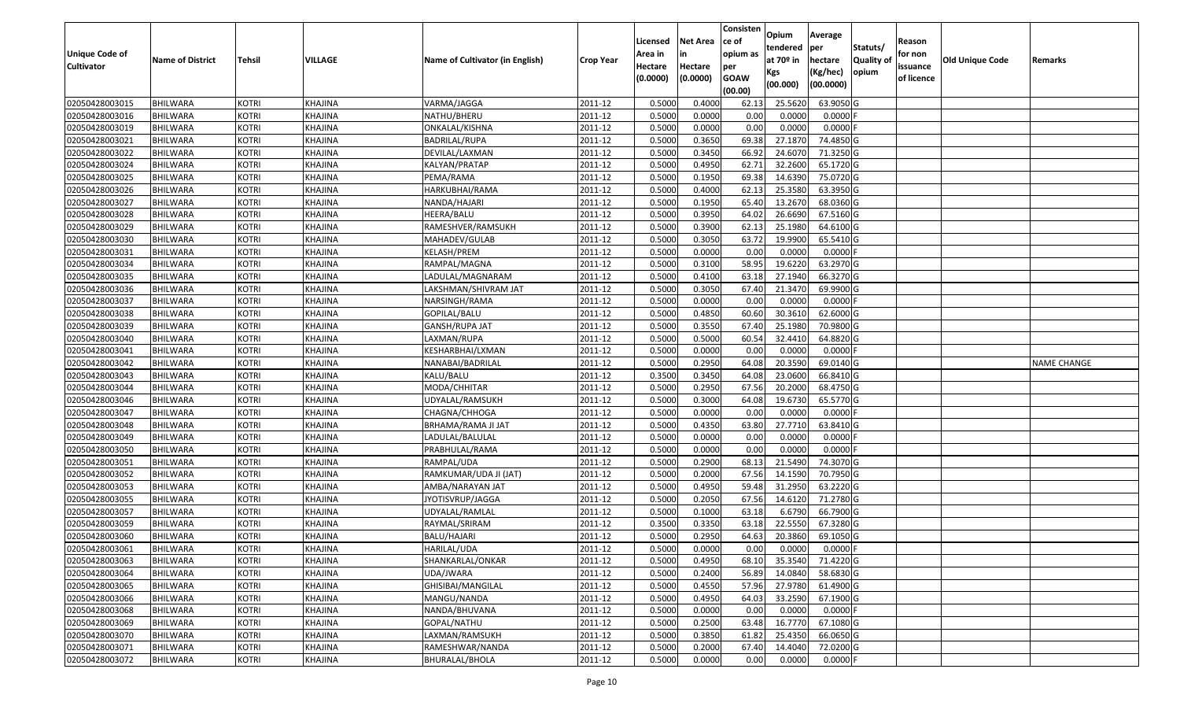|                                  |                                    |                              |                    |                                       |                    | Licensed         | <b>Net Area</b>  | Consisten<br>ce of | Opium             | Average              |                  | Reason     |                        |                    |
|----------------------------------|------------------------------------|------------------------------|--------------------|---------------------------------------|--------------------|------------------|------------------|--------------------|-------------------|----------------------|------------------|------------|------------------------|--------------------|
| Unique Code of                   |                                    |                              |                    |                                       |                    | Area in          | in               | opium as           | tendered          | per                  | Statuts/         | for non    |                        |                    |
| <b>Cultivator</b>                | <b>Name of District</b>            | <b>Tehsil</b>                | VILLAGE            | Name of Cultivator (in English)       | <b>Crop Year</b>   | Hectare          | Hectare          | per                | at $70°$ in       | hectare              | <b>Quality o</b> | issuance   | <b>Old Unique Code</b> | Remarks            |
|                                  |                                    |                              |                    |                                       |                    | (0.0000)         | (0.0000)         | <b>GOAW</b>        | Kgs               | (Kg/hec)             | opium            | of licence |                        |                    |
|                                  |                                    |                              |                    |                                       |                    |                  |                  | (00.00)            | (00.000)          | (00.0000)            |                  |            |                        |                    |
| 02050428003015                   | <b>BHILWARA</b>                    | <b>KOTRI</b>                 | KHAJINA            | VARMA/JAGGA                           | 2011-12            | 0.5000           | 0.4000           | 62.13              | 25.5620           | 63.9050 G            |                  |            |                        |                    |
| 02050428003016                   | <b>BHILWARA</b>                    | <b>KOTRI</b>                 | KHAJINA            | NATHU/BHERU                           | 2011-12            | 0.5000           | 0.0000           | 0.00               | 0.0000            | $0.0000$ F           |                  |            |                        |                    |
| 02050428003019                   | BHILWARA                           | <b>KOTRI</b>                 | KHAJINA            | ONKALAL/KISHNA                        | 2011-12            | 0.5000           | 0.0000           | 0.00               | 0.0000            | 0.0000               |                  |            |                        |                    |
| 02050428003021                   | <b>BHILWARA</b>                    | <b>KOTRI</b>                 | KHAJINA            | <b>BADRILAL/RUPA</b>                  | 2011-12            | 0.5000           | 0.3650           | 69.38              | 27.1870           | 74.4850 G            |                  |            |                        |                    |
| 02050428003022                   | BHILWARA                           | <b>KOTRI</b>                 | KHAJINA            | DEVILAL/LAXMAN                        | 2011-12            | 0.5000           | 0.3450           | 66.92              | 24.6070           | 71.3250 G            |                  |            |                        |                    |
| 02050428003024                   | <b>BHILWARA</b>                    | <b>KOTRI</b>                 | KHAJINA            | KALYAN/PRATAP                         | 2011-12            | 0.5000           | 0.4950           | 62.72              | 32.2600           | 65.1720 G            |                  |            |                        |                    |
| 02050428003025                   | BHILWARA                           | <b>KOTRI</b>                 | KHAJINA            | PEMA/RAMA                             | 2011-12            | 0.5000           | 0.1950           | 69.38              | 14.6390           | 75.0720G             |                  |            |                        |                    |
| 02050428003026                   | <b>BHILWARA</b>                    | <b>KOTRI</b>                 | KHAJINA            | HARKUBHAI/RAMA                        | 2011-12            | 0.5000           | 0.4000           | 62.13              | 25.3580           | 63.3950 G            |                  |            |                        |                    |
| 02050428003027                   | BHILWARA                           | <b>KOTRI</b>                 | KHAJINA            | NANDA/HAJARI                          | 2011-12            | 0.5000           | 0.1950           | 65.40              | 13.2670           | 68.0360 G            |                  |            |                        |                    |
| 02050428003028                   | <b>BHILWARA</b>                    | <b>KOTRI</b>                 | KHAJINA            | HEERA/BALU                            | 2011-12            | 0.5000           | 0.3950           | 64.02              | 26.6690           | 67.5160 G            |                  |            |                        |                    |
| 02050428003029                   | <b>BHILWARA</b>                    | <b>KOTRI</b>                 | KHAJINA            | RAMESHVER/RAMSUKH                     | 2011-12            | 0.5000           | 0.3900           | 62.13              | 25.1980           | 64.6100 G            |                  |            |                        |                    |
| 02050428003030                   | <b>BHILWARA</b>                    | <b>KOTRI</b>                 | KHAJINA            | MAHADEV/GULAB                         | 2011-12            | 0.5000           | 0.3050           | 63.72              | 19.9900           | 65.5410 G            |                  |            |                        |                    |
| 02050428003031                   | <b>BHILWARA</b>                    | <b>KOTRI</b>                 | KHAJINA            | <b>KELASH/PREM</b>                    | 2011-12            | 0.5000           | 0.0000           | 0.00               | 0.0000            | $0.0000$ F           |                  |            |                        |                    |
| 02050428003034                   | <b>BHILWARA</b>                    | <b>KOTRI</b>                 | KHAJINA            | RAMPAL/MAGNA                          | 2011-12            | 0.5000           | 0.3100           | 58.95              | 19.6220           | 63.2970 G            |                  |            |                        |                    |
| 02050428003035                   | BHILWARA                           | <b>KOTRI</b>                 | KHAJINA            | LADULAL/MAGNARAM                      | 2011-12            | 0.5000           | 0.4100           | 63.18              | 27.1940           | 66.3270 G            |                  |            |                        |                    |
| 02050428003036                   | <b>BHILWARA</b>                    | <b>KOTRI</b>                 | KHAJINA            | LAKSHMAN/SHIVRAM JAT                  | 2011-12            | 0.5000           | 0.3050           | 67.40              | 21.3470           | 69.9900 G            |                  |            |                        |                    |
| 02050428003037                   | <b>BHILWARA</b>                    | <b>KOTRI</b>                 | KHAJINA            | NARSINGH/RAMA                         | 2011-12            | 0.5000           | 0.0000           | 0.00               | 0.0000            | $0.0000$ F           |                  |            |                        |                    |
| 02050428003038                   | <b>BHILWARA</b>                    | <b>KOTRI</b>                 | KHAJINA            | GOPILAL/BALU                          | 2011-12            | 0.5000           | 0.4850           | 60.60              | 30.3610           | 62.6000 G            |                  |            |                        |                    |
| 02050428003039                   | <b>BHILWARA</b>                    | <b>KOTRI</b>                 | KHAJINA            | GANSH/RUPA JAT                        | 2011-12            | 0.5000           | 0.3550           | 67.40              | 25.1980           | 70.9800 G            |                  |            |                        |                    |
| 02050428003040                   | BHILWARA                           | <b>KOTRI</b>                 | KHAJINA            | LAXMAN/RUPA                           | 2011-12            | 0.5000           | 0.5000           | 60.54              | 32.4410           | 64.8820 G            |                  |            |                        |                    |
| 02050428003041                   | <b>BHILWARA</b>                    | <b>KOTRI</b>                 | KHAJINA            | KESHARBHAI/LXMAN                      | 2011-12            | 0.5000           | 0.0000           | 0.00               | 0.0000            | 0.0000               |                  |            |                        |                    |
| 02050428003042                   | <b>BHILWARA</b>                    | <b>KOTRI</b>                 | KHAJINA            | NANABAI/BADRILAL                      | 2011-12            | 0.5000           | 0.2950           | 64.08              | 20.3590           | 69.0140 G            |                  |            |                        | <b>NAME CHANGE</b> |
| 02050428003043                   | <b>BHILWARA</b>                    | <b>KOTRI</b>                 | KHAJINA            | KALU/BALU                             | 2011-12            | 0.3500           | 0.3450           | 64.08              | 23.0600           | 66.8410 G            |                  |            |                        |                    |
| 02050428003044                   | <b>BHILWARA</b>                    | <b>KOTRI</b>                 | KHAJINA            | MODA/CHHITAR                          | 2011-12            | 0.5000           | 0.2950           | 67.56              | 20.2000           | 68.4750 G            |                  |            |                        |                    |
| 02050428003046                   | <b>BHILWARA</b>                    | <b>KOTRI</b>                 | KHAJINA            | UDYALAL/RAMSUKH                       | 2011-12            | 0.5000           | 0.3000           | 64.08              | 19.6730           | 65.5770 G            |                  |            |                        |                    |
| 02050428003047<br>02050428003048 | <b>BHILWARA</b><br><b>BHILWARA</b> | <b>KOTRI</b><br><b>KOTRI</b> | KHAJINA<br>KHAJINA | CHAGNA/CHHOGA                         | 2011-12<br>2011-12 | 0.5000<br>0.5000 | 0.0000<br>0.4350 | 0.00<br>63.80      | 0.0000<br>27.7710 | 0.0000F<br>63.8410 G |                  |            |                        |                    |
| 02050428003049                   | <b>BHILWARA</b>                    | <b>KOTRI</b>                 | KHAJINA            | BRHAMA/RAMA JI JAT<br>LADULAL/BALULAL | 2011-12            | 0.5000           | 0.0000           | 0.00               | 0.0000            | 0.0000               |                  |            |                        |                    |
| 02050428003050                   | <b>BHILWARA</b>                    | <b>KOTRI</b>                 | KHAJINA            | PRABHULAL/RAMA                        | 2011-12            | 0.5000           | 0.0000           | 0.00               | 0.0000            | 0.0000F              |                  |            |                        |                    |
| 02050428003051                   | BHILWARA                           | <b>KOTRI</b>                 | KHAJINA            | RAMPAL/UDA                            | 2011-12            | 0.5000           | 0.2900           | 68.13              | 21.5490           | 74.3070 G            |                  |            |                        |                    |
| 02050428003052                   | <b>BHILWARA</b>                    | <b>KOTRI</b>                 | KHAJINA            | RAMKUMAR/UDA JI (JAT)                 | 2011-12            | 0.5000           | 0.2000           | 67.56              | 14.1590           | 70.7950 G            |                  |            |                        |                    |
| 02050428003053                   | BHILWARA                           | <b>KOTRI</b>                 | KHAJINA            | AMBA/NARAYAN JAT                      | 2011-12            | 0.5000           | 0.4950           | 59.48              | 31.2950           | 63.2220 G            |                  |            |                        |                    |
| 02050428003055                   | <b>BHILWARA</b>                    | <b>KOTRI</b>                 | KHAJINA            | IYOTISVRUP/JAGGA                      | 2011-12            | 0.5000           | 0.2050           | 67.56              | 14.6120           | 71.2780 G            |                  |            |                        |                    |
| 02050428003057                   | BHILWARA                           | <b>KOTRI</b>                 | KHAJINA            | UDYALAL/RAMLAL                        | 2011-12            | 0.5000           | 0.1000           | 63.18              | 6.6790            | 66.7900 G            |                  |            |                        |                    |
| 02050428003059                   | <b>BHILWARA</b>                    | <b>KOTRI</b>                 | KHAJINA            | RAYMAL/SRIRAM                         | 2011-12            | 0.350            | 0.3350           | 63.18              | 22.555            | 67.3280 G            |                  |            |                        |                    |
| 02050428003060                   | <b>BHILWARA</b>                    | <b>KOTRI</b>                 | KHAJINA            | BALU/HAJARI                           | 2011-12            | 0.5000           | 0.2950           | 64.63              | 20.3860           | 69.1050 G            |                  |            |                        |                    |
| 02050428003061                   | <b>BHILWARA</b>                    | <b>KOTRI</b>                 | KHAJINA            | HARILAL/UDA                           | 2011-12            | 0.5000           | 0.0000           | 0.00               | 0.0000            | $0.0000$ F           |                  |            |                        |                    |
| 02050428003063                   | <b>BHILWARA</b>                    | <b>KOTRI</b>                 | KHAJINA            | SHANKARLAL/ONKAR                      | 2011-12            | 0.5000           | 0.4950           | 68.10              | 35.3540           | 71.4220 G            |                  |            |                        |                    |
| 02050428003064                   | <b>BHILWARA</b>                    | <b>KOTRI</b>                 | KHAJINA            | UDA/JWARA                             | 2011-12            | 0.5000           | 0.2400           | 56.89              | 14.0840           | 58.6830 G            |                  |            |                        |                    |
| 02050428003065                   | <b>BHILWARA</b>                    | <b>KOTRI</b>                 | KHAJINA            | GHISIBAI/MANGILAL                     | 2011-12            | 0.5000           | 0.4550           | 57.96              | 27.9780           | 61.4900 G            |                  |            |                        |                    |
| 02050428003066                   | <b>BHILWARA</b>                    | <b>KOTRI</b>                 | KHAJINA            | MANGU/NANDA                           | 2011-12            | 0.5000           | 0.4950           | 64.03              | 33.2590           | 67.1900 G            |                  |            |                        |                    |
| 02050428003068                   | <b>BHILWARA</b>                    | <b>KOTRI</b>                 | KHAJINA            | NANDA/BHUVANA                         | 2011-12            | 0.5000           | 0.0000           | 0.00               | 0.0000            | $0.0000$ F           |                  |            |                        |                    |
| 02050428003069                   | <b>BHILWARA</b>                    | <b>KOTRI</b>                 | KHAJINA            | GOPAL/NATHU                           | 2011-12            | 0.5000           | 0.2500           | 63.48              | 16.7770           | 67.1080 G            |                  |            |                        |                    |
| 02050428003070                   | <b>BHILWARA</b>                    | <b>KOTRI</b>                 | KHAJINA            | LAXMAN/RAMSUKH                        | 2011-12            | 0.5000           | 0.3850           | 61.82              | 25.4350           | 66.0650 G            |                  |            |                        |                    |
| 02050428003071                   | <b>BHILWARA</b>                    | <b>KOTRI</b>                 | KHAJINA            | RAMESHWAR/NANDA                       | 2011-12            | 0.5000           | 0.2000           | 67.40              | 14.4040           | 72.0200 G            |                  |            |                        |                    |
| 02050428003072                   | <b>BHILWARA</b>                    | <b>KOTRI</b>                 | <b>KHAJINA</b>     | BHURALAL/BHOLA                        | 2011-12            | 0.5000           | 0.0000           | 0.00               | 0.0000            | $0.0000$ F           |                  |            |                        |                    |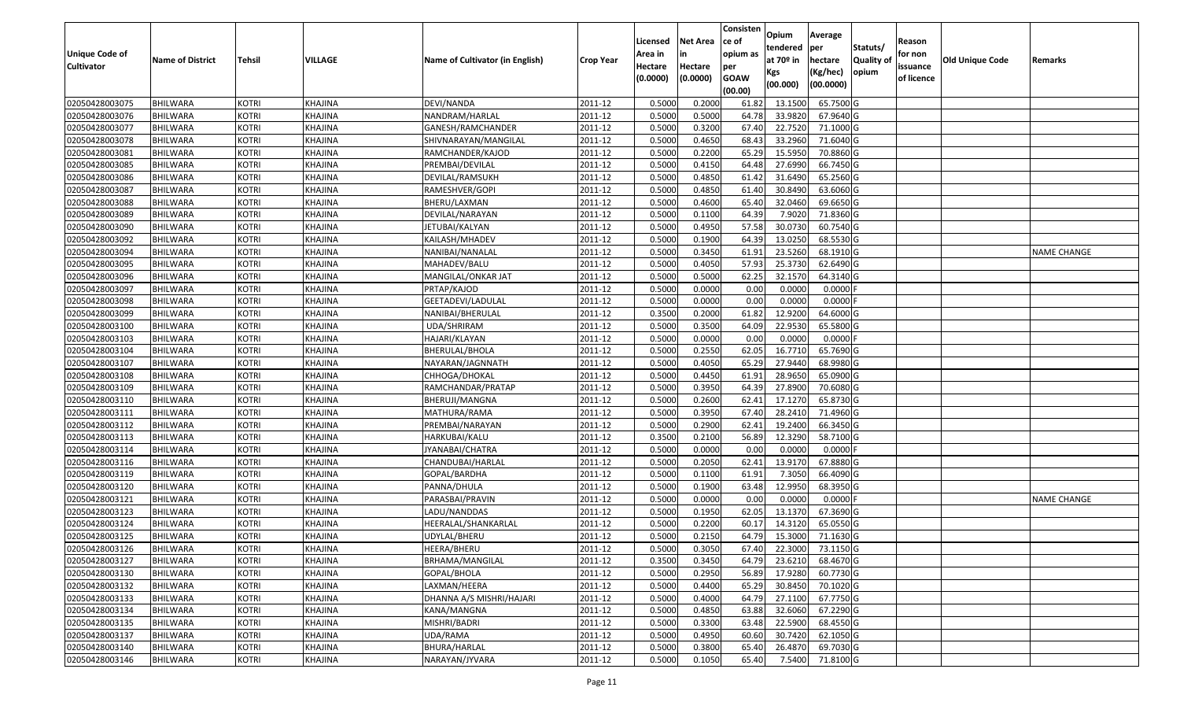|                   |                         |               |                |                                 |                  |          |                 | Consisten   |                         | Average                 |                           |            |                        |                    |
|-------------------|-------------------------|---------------|----------------|---------------------------------|------------------|----------|-----------------|-------------|-------------------------|-------------------------|---------------------------|------------|------------------------|--------------------|
|                   |                         |               |                |                                 |                  | Licensed | <b>Net Area</b> | lce of      | Opium                   |                         |                           | Reason     |                        |                    |
| Unique Code of    |                         |               | <b>VILLAGE</b> |                                 |                  | Area in  | in              | opium as    | tendered<br>at $70°$ in | per                     | Statuts/                  | for non    |                        |                    |
| <b>Cultivator</b> | <b>Name of District</b> | <b>Tehsil</b> |                | Name of Cultivator (in English) | <b>Crop Year</b> | Hectare  | Hectare         | per         |                         | hectare<br>(Kg/hec)     | <b>Quality o</b><br>opium | issuance   | <b>Old Unique Code</b> | Remarks            |
|                   |                         |               |                |                                 |                  | (0.0000) | (0.0000)        | <b>GOAW</b> | Kgs<br>(00.000)         | (00.0000)               |                           | of licence |                        |                    |
|                   |                         |               |                |                                 |                  |          |                 | (00.00)     |                         |                         |                           |            |                        |                    |
| 02050428003075    | <b>BHILWARA</b>         | <b>KOTRI</b>  | KHAJINA        | DEVI/NANDA                      | 2011-12          | 0.5000   | 0.2000          | 61.82       | 13.1500                 | 65.7500G                |                           |            |                        |                    |
| 02050428003076    | <b>BHILWARA</b>         | <b>KOTRI</b>  | <b>KHAJINA</b> | NANDRAM/HARLAL                  | 2011-12          | 0.5000   | 0.5000          | 64.78       | 33.9820                 | 67.9640 G               |                           |            |                        |                    |
| 02050428003077    | BHILWARA                | <b>KOTRI</b>  | KHAJINA        | GANESH/RAMCHANDER               | 2011-12          | 0.5000   | 0.3200          | 67.40       | 22.7520                 | 71.1000 G               |                           |            |                        |                    |
| 02050428003078    | <b>BHILWARA</b>         | <b>KOTRI</b>  | KHAJINA        | SHIVNARAYAN/MANGILAL            | 2011-12          | 0.5000   | 0.4650          | 68.43       | 33.2960                 | 71.6040 G               |                           |            |                        |                    |
| 02050428003081    | BHILWARA                | <b>KOTRI</b>  | KHAJINA        | RAMCHANDER/KAJOD                | 2011-12          | 0.5000   | 0.2200          | 65.29       | 15.595                  | 70.8860 G               |                           |            |                        |                    |
| 02050428003085    | <b>BHILWARA</b>         | <b>KOTRI</b>  | KHAJINA        | PREMBAI/DEVILAL                 | 2011-12          | 0.5000   | 0.4150          | 64.48       | 27.6990                 | 66.7450 G               |                           |            |                        |                    |
| 02050428003086    | BHILWARA                | <b>KOTRI</b>  | KHAJINA        | DEVILAL/RAMSUKH                 | 2011-12          | 0.5000   | 0.4850          | 61.42       | 31.6490                 | 65.2560 G               |                           |            |                        |                    |
| 02050428003087    | <b>BHILWARA</b>         | <b>KOTRI</b>  | KHAJINA        | RAMESHVER/GOPI                  | 2011-12          | 0.5000   | 0.4850          | 61.40       | 30.8490                 | 63.6060 G               |                           |            |                        |                    |
| 02050428003088    | BHILWARA                | <b>KOTRI</b>  | KHAJINA        | BHERU/LAXMAN                    | 2011-12          | 0.5000   | 0.4600          | 65.40       | 32.0460                 | 69.6650 G               |                           |            |                        |                    |
| 02050428003089    | BHILWARA                | <b>KOTRI</b>  | KHAJINA        | DEVILAL/NARAYAN                 | 2011-12          | 0.5000   | 0.1100          | 64.39       | 7.9020                  | 71.8360 G               |                           |            |                        |                    |
| 02050428003090    | BHILWARA                | <b>KOTRI</b>  | KHAJINA        | JETUBAI/KALYAN                  | 2011-12          | 0.5000   | 0.4950          | 57.58       | 30.0730                 | 60.7540 G               |                           |            |                        |                    |
| 02050428003092    | <b>BHILWARA</b>         | <b>KOTRI</b>  | KHAJINA        | KAILASH/MHADEV                  | 2011-12          | 0.5000   | 0.1900          | 64.39       | 13.0250                 | 68.5530 G               |                           |            |                        |                    |
| 02050428003094    | <b>BHILWARA</b>         | <b>KOTRI</b>  | KHAJINA        | NANIBAI/NANALAL                 | 2011-12          | 0.5000   | 0.3450          | 61.91       | 23.5260                 | 68.1910 G               |                           |            |                        | <b>NAME CHANGE</b> |
| 02050428003095    | <b>BHILWARA</b>         | <b>KOTRI</b>  | KHAJINA        | MAHADEV/BALU                    | 2011-12          | 0.5000   | 0.4050          | 57.93       | 25.3730                 | 62.6490 G               |                           |            |                        |                    |
| 02050428003096    | BHILWARA                | <b>KOTRI</b>  | KHAJINA        | MANGILAL/ONKAR JAT              | 2011-12          | 0.5000   | 0.5000          | 62.25       | 32.1570                 | 64.3140 G               |                           |            |                        |                    |
| 02050428003097    | <b>BHILWARA</b>         | <b>KOTRI</b>  | KHAJINA        | PRTAP/KAJOD                     | 2011-12          | 0.5000   | 0.0000          | 0.00        | 0.0000                  | 0.0000F                 |                           |            |                        |                    |
| 02050428003098    | BHILWARA                | <b>KOTRI</b>  | KHAJINA        | GEETADEVI/LADULAL               | 2011-12          | 0.5000   | 0.0000          | 0.00        | 0.0000                  | 0.0000F                 |                           |            |                        |                    |
| 02050428003099    | BHILWARA                | <b>KOTRI</b>  | KHAJINA        | NANIBAI/BHERULAL                | 2011-12          | 0.3500   | 0.2000          | 61.82       | 12.9200                 | 64.6000 G               |                           |            |                        |                    |
| 02050428003100    | BHILWARA                | <b>KOTRI</b>  | KHAJINA        | UDA/SHRIRAM                     | 2011-12          | 0.5000   | 0.3500          | 64.09       | 22.9530                 | 65.5800 G               |                           |            |                        |                    |
| 02050428003103    | BHILWARA                | <b>KOTRI</b>  | KHAJINA        | HAJARI/KLAYAN                   | 2011-12          | 0.5000   | 0.0000          | 0.00        | 0.0000                  | 0.0000                  |                           |            |                        |                    |
| 02050428003104    | BHILWARA                | <b>KOTRI</b>  | KHAJINA        | BHERULAL/BHOLA                  | 2011-12          | 0.5000   | 0.2550          | 62.05       | 16.7710                 | 65.7690 G               |                           |            |                        |                    |
| 02050428003107    | BHILWARA                | <b>KOTRI</b>  | KHAJINA        | NAYARAN/JAGNNATH                | 2011-12          | 0.5000   | 0.4050          | 65.29       | 27.944                  | 68.9980 G               |                           |            |                        |                    |
| 02050428003108    | <b>BHILWARA</b>         | <b>KOTRI</b>  | KHAJINA        | CHHOGA/DHOKAL                   | 2011-12          | 0.5000   | 0.4450          | 61.91       | 28.9650                 | 65.0900G                |                           |            |                        |                    |
| 02050428003109    | BHILWARA                | <b>KOTRI</b>  | KHAJINA        | RAMCHANDAR/PRATAP               | 2011-12          | 0.5000   | 0.3950          | 64.39       | 27.8900                 | 70.6080 G               |                           |            |                        |                    |
| 02050428003110    | <b>BHILWARA</b>         | <b>KOTRI</b>  | KHAJINA        | BHERUJI/MANGNA                  | 2011-12          | 0.5000   | 0.2600          | 62.41       | 17.1270                 | 65.8730 G               |                           |            |                        |                    |
| 02050428003111    | BHILWARA                | <b>KOTRI</b>  | KHAJINA        | MATHURA/RAMA                    | 2011-12          | 0.5000   | 0.3950          | 67.40       | 28.2410                 | 71.4960 G               |                           |            |                        |                    |
| 02050428003112    | <b>BHILWARA</b>         | <b>KOTRI</b>  | KHAJINA        | PREMBAI/NARAYAN                 | 2011-12          | 0.5000   | 0.2900          | 62.41       | 19.2400                 | 66.3450 G               |                           |            |                        |                    |
| 02050428003113    | <b>BHILWARA</b>         | <b>KOTRI</b>  | KHAJINA        | HARKUBAI/KALU                   | 2011-12          | 0.3500   | 0.2100          | 56.89       | 12.3290                 | 58.7100 G               |                           |            |                        |                    |
| 02050428003114    | <b>BHILWARA</b>         | <b>KOTRI</b>  | KHAJINA        | JYANABAI/CHATRA                 | 2011-12          | 0.5000   | 0.0000          | 0.00        | 0.0000                  | $0.0000$ F              |                           |            |                        |                    |
| 02050428003116    | BHILWARA                | <b>KOTRI</b>  | KHAJINA        | CHANDUBAI/HARLAL                | 2011-12          | 0.5000   | 0.2050          | 62.41       | 13.9170                 | $67.8880$ G             |                           |            |                        |                    |
| 02050428003119    | BHILWARA                | <b>KOTRI</b>  | KHAJINA        | GOPAL/BARDHA                    | 2011-12          | 0.5000   | 0.1100          | 61.91       | 7.3050                  | 66.4090 G               |                           |            |                        |                    |
| 02050428003120    | BHILWARA                | <b>KOTRI</b>  | KHAJINA        | PANNA/DHULA                     | 2011-12          | 0.5000   | 0.1900          | 63.48       | 12.9950                 | 68.3950 G               |                           |            |                        |                    |
| 02050428003121    | <b>BHILWARA</b>         | <b>KOTRI</b>  | KHAJINA        | PARASBAI/PRAVIN                 | 2011-12          | 0.5000   | 0.0000          | 0.00        | 0.0000                  | 0.0000F                 |                           |            |                        | <b>NAME CHANGE</b> |
| 02050428003123    | BHILWARA                | <b>KOTRI</b>  | KHAJINA        | LADU/NANDDAS                    | 2011-12          | 0.5000   | 0.1950          | 62.05       | 13.1370                 | 67.3690 G               |                           |            |                        |                    |
| 02050428003124    | BHILWARA                | <b>KOTRI</b>  | <b>KHAJINA</b> | HEERALAL/SHANKARLAL             | 2011-12          | 0.500    | 0.2200          | 60.1        | 14.3120                 | 65.0550 G               |                           |            |                        |                    |
| 02050428003125    | BHILWARA                | <b>KOTRI</b>  | KHAJINA        | UDYLAL/BHERU                    | 2011-12          | 0.5000   | 0.2150          | 64.79       | 15.3000                 | 71.1630 G               |                           |            |                        |                    |
| 02050428003126    | <b>BHILWARA</b>         | <b>KOTRI</b>  | KHAJINA        | HEERA/BHERU                     | 2011-12          | 0.5000   | 0.3050          |             |                         | 67.40 22.3000 73.1150 G |                           |            |                        |                    |
| 02050428003127    | <b>BHILWARA</b>         | <b>KOTRI</b>  | KHAJINA        | BRHAMA/MANGILAL                 | 2011-12          | 0.3500   | 0.3450          | 64.79       | 23.6210                 | 68.4670 G               |                           |            |                        |                    |
| 02050428003130    | <b>BHILWARA</b>         | <b>KOTRI</b>  | KHAJINA        | GOPAL/BHOLA                     | 2011-12          | 0.5000   | 0.2950          | 56.89       | 17.9280                 | 60.7730 G               |                           |            |                        |                    |
| 02050428003132    | <b>BHILWARA</b>         | <b>KOTRI</b>  | KHAJINA        | LAXMAN/HEERA                    | 2011-12          | 0.5000   | 0.4400          | 65.29       | 30.8450                 | 70.1020 G               |                           |            |                        |                    |
| 02050428003133    | <b>BHILWARA</b>         | <b>KOTRI</b>  | KHAJINA        | DHANNA A/S MISHRI/HAJARI        | 2011-12          | 0.5000   | 0.4000          | 64.79       | 27.1100                 | 67.7750 G               |                           |            |                        |                    |
| 02050428003134    | <b>BHILWARA</b>         | <b>KOTRI</b>  | <b>KHAJINA</b> | KANA/MANGNA                     | 2011-12          | 0.5000   | 0.4850          | 63.88       | 32.6060                 | 67.2290 G               |                           |            |                        |                    |
| 02050428003135    | <b>BHILWARA</b>         | <b>KOTRI</b>  | KHAJINA        | MISHRI/BADRI                    | 2011-12          | 0.5000   | 0.3300          | 63.48       | 22.5900                 | 68.4550 G               |                           |            |                        |                    |
| 02050428003137    | <b>BHILWARA</b>         | <b>KOTRI</b>  | KHAJINA        | UDA/RAMA                        | 2011-12          | 0.5000   | 0.4950          | 60.60       | 30.7420                 | 62.1050 G               |                           |            |                        |                    |
| 02050428003140    | <b>BHILWARA</b>         | <b>KOTRI</b>  | KHAJINA        | BHURA/HARLAL                    | 2011-12          | 0.5000   | 0.3800          | 65.40       | 26.4870                 | 69.7030 G               |                           |            |                        |                    |
| 02050428003146    | <b>BHILWARA</b>         | <b>KOTRI</b>  | <b>KHAJINA</b> | NARAYAN/JYVARA                  | 2011-12          | 0.5000   | 0.1050          | 65.40       | 7.5400                  | 71.8100 G               |                           |            |                        |                    |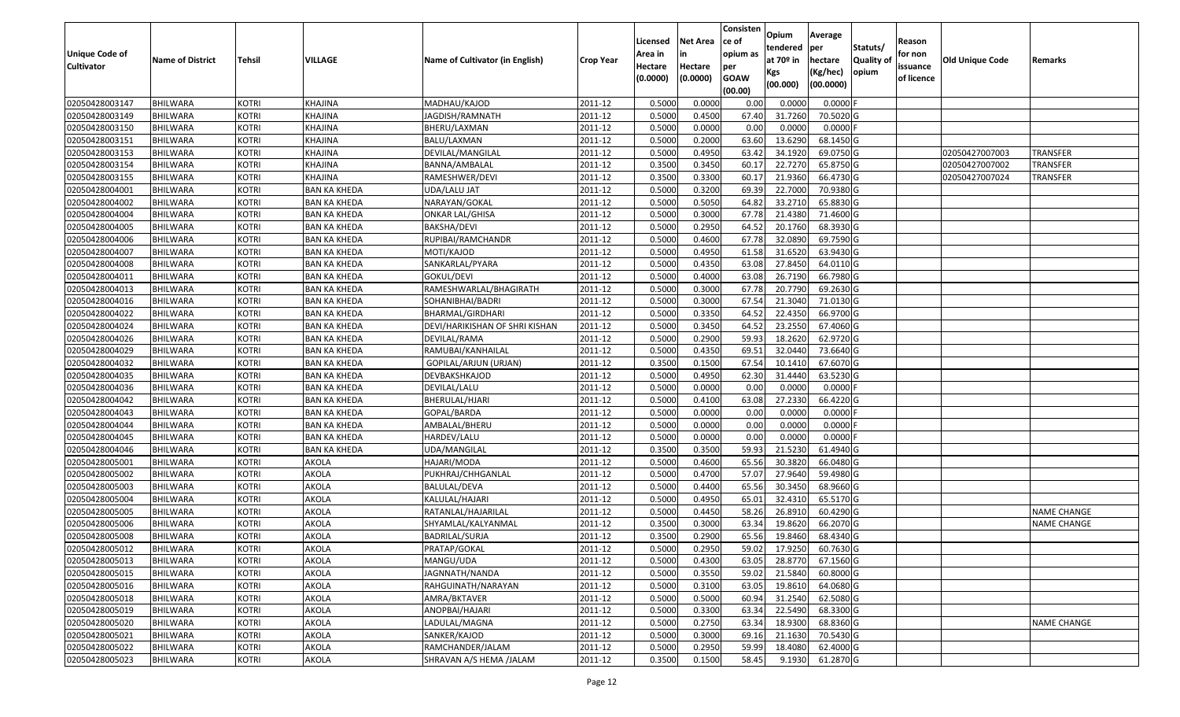| <b>Unique Code of</b> |                         |               |                     |                                 |           | Licensed<br>Area in | <b>Net Area</b><br>in | Consisten<br>ce of<br>opium as | Opium<br>tendered            | Average<br><b>per</b>            | Statuts/                   | Reason<br>for non      |                 |                    |
|-----------------------|-------------------------|---------------|---------------------|---------------------------------|-----------|---------------------|-----------------------|--------------------------------|------------------------------|----------------------------------|----------------------------|------------------------|-----------------|--------------------|
| <b>Cultivator</b>     | <b>Name of District</b> | <b>Tehsil</b> | VILLAGE             | Name of Cultivator (in English) | Crop Year | Hectare<br>(0.0000) | Hectare<br>(0.0000)   | per<br><b>GOAW</b><br>(00.00)  | at 70º in<br>Kgs<br>(00.000) | hectare<br>(Kg/hec)<br>(00.0000) | <b>Quality of</b><br>opium | issuance<br>of licence | Old Unique Code | Remarks            |
| 02050428003147        | <b>BHILWARA</b>         | KOTRI         | KHAJINA             | MADHAU/KAJOD                    | 2011-12   | 0.5000              | 0.0000                | 0.00                           | 0.0000                       | $0.0000$ F                       |                            |                        |                 |                    |
| 02050428003149        | <b>BHILWARA</b>         | KOTRI         | KHAJINA             | JAGDISH/RAMNATH                 | 2011-12   | 0.5000              | 0.4500                | 67.40                          | 31.7260                      | 70.5020 G                        |                            |                        |                 |                    |
| 02050428003150        | <b>BHILWARA</b>         | <b>KOTRI</b>  | KHAJINA             | BHERU/LAXMAN                    | 2011-12   | 0.5000              | 0.0000                | 0.00                           | 0.0000                       | $0.0000$ F                       |                            |                        |                 |                    |
| 02050428003151        | <b>BHILWARA</b>         | KOTRI         | KHAJINA             | <b>BALU/LAXMAN</b>              | 2011-12   | 0.5000              | 0.2000                | 63.60                          | 13.6290                      | 68.1450 G                        |                            |                        |                 |                    |
| 02050428003153        | <b>BHILWARA</b>         | <b>KOTRI</b>  | KHAJINA             | DEVILAL/MANGILAL                | 2011-12   | 0.5000              | 0.4950                | 63.42                          | 34.1920                      | 69.0750 G                        |                            |                        | 02050427007003  | TRANSFER           |
| 02050428003154        | <b>BHILWARA</b>         | KOTRI         | KHAJINA             | BANNA/AMBALAL                   | 2011-12   | 0.3500              | 0.3450                | 60.1                           | 22.7270                      | 65.8750 G                        |                            |                        | 02050427007002  | TRANSFER           |
| 02050428003155        | <b>BHILWARA</b>         | <b>KOTRI</b>  | KHAJINA             | RAMESHWER/DEVI                  | 2011-12   | 0.3500              | 0.3300                | 60.1                           | 21.9360                      | 66.4730 G                        |                            |                        | 02050427007024  | TRANSFER           |
| 02050428004001        | <b>BHILWARA</b>         | KOTRI         | <b>BAN KA KHEDA</b> | UDA/LALU JAT                    | 2011-12   | 0.5000              | 0.3200                | 69.39                          | 22.7000                      | 70.9380 G                        |                            |                        |                 |                    |
| 02050428004002        | <b>BHILWARA</b>         | <b>KOTRI</b>  | BAN KA KHEDA        | NARAYAN/GOKAL                   | 2011-12   | 0.5000              | 0.5050                | 64.82                          | 33.2710                      | 65.8830 G                        |                            |                        |                 |                    |
| 02050428004004        | <b>BHILWARA</b>         | <b>KOTRI</b>  | BAN KA KHEDA        | <b>ONKAR LAL/GHISA</b>          | 2011-12   | 0.5000              | 0.3000                | 67.78                          | 21.4380                      | 71.4600 G                        |                            |                        |                 |                    |
| 02050428004005        | <b>BHILWARA</b>         | <b>KOTRI</b>  | <b>BAN KA KHEDA</b> | BAKSHA/DEVI                     | 2011-12   | 0.5000              | 0.2950                | 64.52                          | 20.1760                      | 68.3930 G                        |                            |                        |                 |                    |
| 02050428004006        | <b>BHILWARA</b>         | <b>KOTRI</b>  | BAN KA KHEDA        | RUPIBAI/RAMCHANDR               | 2011-12   | 0.5000              | 0.4600                | 67.78                          | 32.0890                      | 69.7590 G                        |                            |                        |                 |                    |
| 02050428004007        | <b>BHILWARA</b>         | <b>KOTRI</b>  | <b>BAN KA KHEDA</b> | MOTI/KAJOD                      | 2011-12   | 0.5000              | 0.4950                | 61.58                          | 31.6520                      | 63.9430 G                        |                            |                        |                 |                    |
| 02050428004008        | <b>BHILWARA</b>         | <b>KOTRI</b>  | BAN KA KHEDA        | SANKARLAL/PYARA                 | 2011-12   | 0.5000              | 0.4350                | 63.08                          | 27.8450                      | 64.0110 G                        |                            |                        |                 |                    |
| 02050428004011        | <b>BHILWARA</b>         | <b>KOTRI</b>  | <b>BAN KA KHEDA</b> | GOKUL/DEVI                      | 2011-12   | 0.5000              | 0.4000                | 63.08                          | 26.7190                      | 66.7980 G                        |                            |                        |                 |                    |
| 02050428004013        | <b>BHILWARA</b>         | <b>KOTRI</b>  | BAN KA KHEDA        | RAMESHWARLAL/BHAGIRATH          | 2011-12   | 0.5000              | 0.3000                | 67.78                          | 20.7790                      | 69.2630 G                        |                            |                        |                 |                    |
| 02050428004016        | <b>BHILWARA</b>         | <b>KOTRI</b>  | BAN KA KHEDA        | SOHANIBHAI/BADRI                | 2011-12   | 0.5000              | 0.3000                | 67.54                          | 21.3040                      | 71.0130 G                        |                            |                        |                 |                    |
| 02050428004022        | <b>BHILWARA</b>         | <b>KOTRI</b>  | BAN KA KHEDA        | BHARMAL/GIRDHARI                | 2011-12   | 0.5000              | 0.3350                | 64.52                          | 22.4350                      | 66.9700 G                        |                            |                        |                 |                    |
| 02050428004024        | <b>BHILWARA</b>         | <b>KOTRI</b>  | <b>BAN KA KHEDA</b> | DEVI/HARIKISHAN OF SHRI KISHAN  | 2011-12   | 0.5000              | 0.3450                | 64.52                          | 23.2550                      | 67.4060 G                        |                            |                        |                 |                    |
| 02050428004026        | <b>BHILWARA</b>         | KOTRI         | BAN KA KHEDA        | DEVILAL/RAMA                    | 2011-12   | 0.5000              | 0.2900                | 59.93                          | 18.2620                      | 62.9720 G                        |                            |                        |                 |                    |
| 02050428004029        | <b>BHILWARA</b>         | <b>KOTRI</b>  | <b>BAN KA KHEDA</b> | RAMUBAI/KANHAILAL               | 2011-12   | 0.5000              | 0.4350                | 69.5                           | 32.0440                      | 73.6640 G                        |                            |                        |                 |                    |
| 02050428004032        | BHILWARA                | <b>KOTRI</b>  | BAN KA KHEDA        | GOPILAL/ARJUN (URJAN)           | 2011-12   | 0.3500              | 0.1500                | 67.54                          | 10.1410                      | 67.6070 G                        |                            |                        |                 |                    |
| 02050428004035        | <b>BHILWARA</b>         | KOTRI         | <b>BAN KA KHEDA</b> | DEVBAKSHKAJOD                   | 2011-12   | 0.5000              | 0.4950                | 62.30                          | 31.4440                      | 63.5230 G                        |                            |                        |                 |                    |
| 02050428004036        | <b>BHILWARA</b>         | KOTRI         | BAN KA KHEDA        | DEVILAL/LALU                    | 2011-12   | 0.5000              | 0.0000                | 0.00                           | 0.0000                       | $0.0000$ F                       |                            |                        |                 |                    |
| 02050428004042        | <b>BHILWARA</b>         | KOTRI         | <b>BAN KA KHEDA</b> | BHERULAL/HJARI                  | 2011-12   | 0.5000              | 0.4100                | 63.08                          | 27.2330                      | 66.4220 G                        |                            |                        |                 |                    |
| 02050428004043        | <b>BHILWARA</b>         | KOTRI         | BAN KA KHEDA        | GOPAL/BARDA                     | 2011-12   | 0.5000              | 0.0000                | 0.00                           | 0.0000                       | $0.0000$ F                       |                            |                        |                 |                    |
| 02050428004044        | <b>BHILWARA</b>         | KOTRI         | BAN KA KHEDA        | AMBALAL/BHERU                   | 2011-12   | 0.5000              | 0.0000                | 0.00                           | 0.0000                       | $0.0000$ F                       |                            |                        |                 |                    |
| 02050428004045        | BHILWARA                | KOTRI         | BAN KA KHEDA        | HARDEV/LALU                     | 2011-12   | 0.5000              | 0.0000                | 0.00                           | 0.0000                       | $0.0000$ F                       |                            |                        |                 |                    |
| 02050428004046        | <b>BHILWARA</b>         | <b>KOTRI</b>  | <b>BAN KA KHEDA</b> | UDA/MANGILAL                    | 2011-12   | 0.3500              | 0.3500                | 59.93                          | 21.5230                      | 61.4940 G                        |                            |                        |                 |                    |
| 02050428005001        | <b>BHILWARA</b>         | <b>KOTRI</b>  | AKOLA               | HAJARI/MODA                     | 2011-12   | 0.5000              | 0.4600                | 65.56                          | 30.3820                      | 66.0480 G                        |                            |                        |                 |                    |
| 02050428005002        | <b>BHILWARA</b>         | <b>KOTRI</b>  | AKOLA               | PUKHRAJ/CHHGANLAL               | 2011-12   | 0.5000              | 0.4700                | 57.07                          | 27.9640                      | 59.4980 G                        |                            |                        |                 |                    |
| 02050428005003        | <b>BHILWARA</b>         | KOTRI         | AKOLA               | BALULAL/DEVA                    | 2011-12   | 0.5000              | 0.4400                | 65.56                          | 30.3450                      | 68.9660 G                        |                            |                        |                 |                    |
| 02050428005004        | <b>BHILWARA</b>         | KOTRI         | AKOLA               | KALULAL/HAJARI                  | 2011-12   | 0.5000              | 0.4950                | 65.01                          | 32.4310                      | 65.5170 G                        |                            |                        |                 |                    |
| 02050428005005        | <b>BHILWARA</b>         | <b>KOTRI</b>  | AKOLA               | RATANLAL/HAJARILAL              | 2011-12   | 0.5000              | 0.4450                | 58.26                          | 26.8910                      | 60.4290 G                        |                            |                        |                 | <b>NAME CHANGE</b> |
| 02050428005006        | <b>BHILWARA</b>         | KOTRI         | AKOLA               | SHYAMLAL/KALYANMAL              | 2011-12   | 0.3500              | 0.3000                | 63.34                          | 19.8620                      | 66.2070 G                        |                            |                        |                 | NAME CHANGE        |
| 02050428005008        | <b>BHILWARA</b>         | KOTRI         | AKOLA               | BADRILAL/SURJA                  | 2011-12   | 0.3500              | 0.2900                | 65.56                          | 19.8460                      | 68.4340 G                        |                            |                        |                 |                    |
| 02050428005012        | BHILWARA                | <b>KOTRI</b>  | AKOLA               | PRATAP/GOKAL                    | 2011-12   | 0.5000              | 0.2950                | 59.02                          | 17.9250                      | 60.7630 G                        |                            |                        |                 |                    |
| 02050428005013        | BHILWARA                | <b>KOTRI</b>  | AKOLA               | MANGU/UDA                       | 2011-12   | 0.5000              | 0.4300                | 63.05                          | 28.8770                      | 67.1560 G                        |                            |                        |                 |                    |
| 02050428005015        | <b>BHILWARA</b>         | <b>KOTRI</b>  | AKOLA               | JAGNNATH/NANDA                  | 2011-12   | 0.5000              | 0.3550                | 59.02                          | 21.5840                      | 60.8000 G                        |                            |                        |                 |                    |
| 02050428005016        | <b>BHILWARA</b>         | <b>KOTRI</b>  | AKOLA               | RAHGUINATH/NARAYAN              | 2011-12   | 0.5000              | 0.3100                | 63.05                          | 19.8610                      | 64.0680 G                        |                            |                        |                 |                    |
| 02050428005018        | <b>BHILWARA</b>         | <b>KOTRI</b>  | AKOLA               | AMRA/BKTAVER                    | 2011-12   | 0.5000              | 0.5000                | 60.94                          | 31.2540                      | 62.5080 G                        |                            |                        |                 |                    |
| 02050428005019        | <b>BHILWARA</b>         | <b>KOTRI</b>  | AKOLA               | ANOPBAI/HAJARI                  | 2011-12   | 0.5000              | 0.3300                | 63.34                          | 22.5490                      | 68.3300 G                        |                            |                        |                 |                    |
| 02050428005020        | <b>BHILWARA</b>         | <b>KOTRI</b>  | AKOLA               | LADULAL/MAGNA                   | 2011-12   | 0.5000              | 0.2750                | 63.34                          | 18.9300                      | 68.8360 G                        |                            |                        |                 | <b>NAME CHANGE</b> |
| 02050428005021        | <b>BHILWARA</b>         | <b>KOTRI</b>  | AKOLA               | SANKER/KAJOD                    | 2011-12   | 0.5000              | 0.3000                | 69.16                          | 21.1630                      | 70.5430 G                        |                            |                        |                 |                    |
| 02050428005022        | <b>BHILWARA</b>         | <b>KOTRI</b>  | AKOLA               | RAMCHANDER/JALAM                | 2011-12   | 0.5000              | 0.2950                | 59.99                          | 18.4080                      | 62.4000 G                        |                            |                        |                 |                    |
| 02050428005023        | BHILWARA                | <b>KOTRI</b>  | AKOLA               | SHRAVAN A/S HEMA /JALAM         | 2011-12   | 0.3500              | 0.1500                | 58.45                          | 9.1930                       | 61.2870 G                        |                            |                        |                 |                    |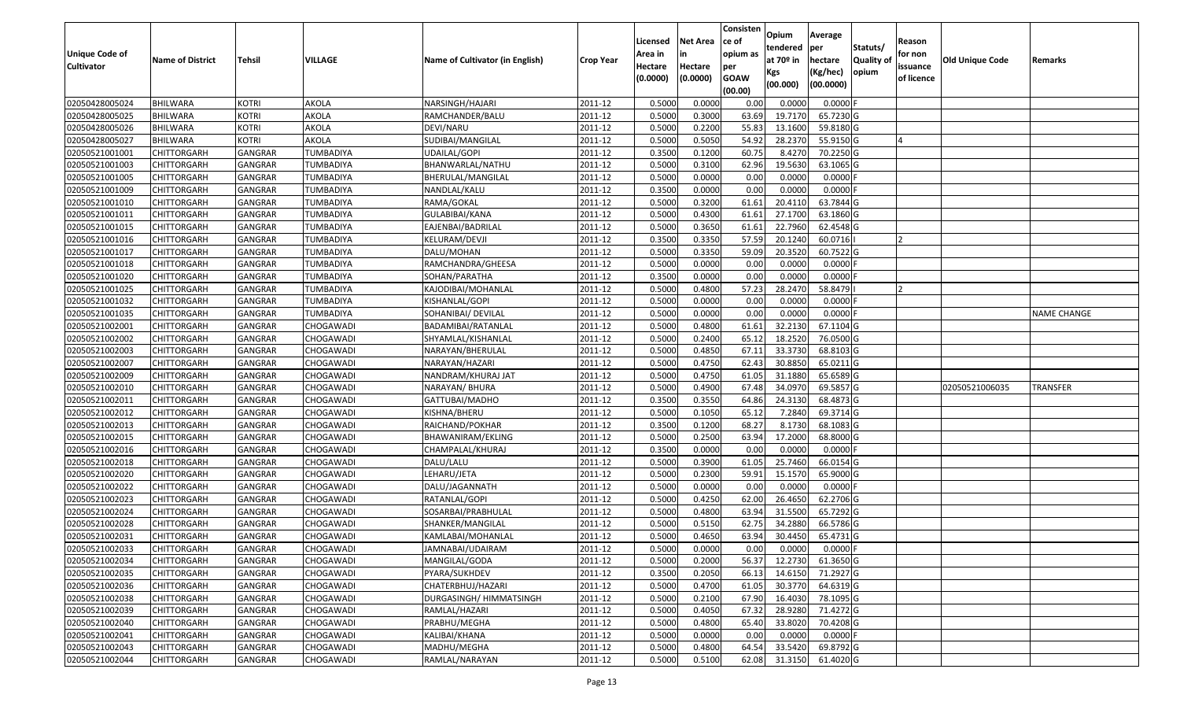|                   |                         |                |                  |                                 |                  | Licensed | <b>Net Area</b> | Consisten<br>ce of     | Opium           | Average               |                  | Reason     |                 |                    |
|-------------------|-------------------------|----------------|------------------|---------------------------------|------------------|----------|-----------------|------------------------|-----------------|-----------------------|------------------|------------|-----------------|--------------------|
| Unique Code of    |                         |                |                  |                                 |                  | Area in  | in              | opium as               | tendered        | per                   | Statuts/         | for non    |                 |                    |
| <b>Cultivator</b> | <b>Name of District</b> | <b>Tehsil</b>  | VILLAGE          | Name of Cultivator (in English) | <b>Crop Year</b> | Hectare  | Hectare         | per                    | at $70°$ in     | hectare               | <b>Quality o</b> | issuance   | Old Unique Code | Remarks            |
|                   |                         |                |                  |                                 |                  | (0.0000) | (0.0000)        | <b>GOAW</b><br>(00.00) | Kgs<br>(00.000) | (Kg/hec)<br>(00.0000) | opium            | of licence |                 |                    |
| 02050428005024    | BHILWARA                | <b>KOTRI</b>   | AKOLA            | NARSINGH/HAJARI                 | 2011-12          | 0.5000   | 0.0000          | 0.00                   | 0.0000          | 0.0000F               |                  |            |                 |                    |
| 02050428005025    | <b>BHILWARA</b>         | <b>KOTRI</b>   | AKOLA            | RAMCHANDER/BALU                 | 2011-12          | 0.5000   | 0.3000          | 63.69                  | 19.7170         | 65.7230 G             |                  |            |                 |                    |
| 02050428005026    | BHILWARA                | <b>KOTRI</b>   | AKOLA            | DEVI/NARU                       | 2011-12          | 0.5000   | 0.2200          | 55.83                  | 13.1600         | 59.8180 G             |                  |            |                 |                    |
| 02050428005027    | <b>BHILWARA</b>         | <b>KOTRI</b>   | AKOLA            | SUDIBAI/MANGILAL                | 2011-12          | 0.5000   | 0.5050          | 54.92                  | 28.2370         | 55.9150 G             |                  |            |                 |                    |
| 02050521001001    | CHITTORGARH             | GANGRAR        | TUMBADIYA        | <b>UDAILAL/GOPI</b>             | 2011-12          | 0.3500   | 0.1200          | 60.75                  | 8.4270          | 70.2250 G             |                  |            |                 |                    |
| 02050521001003    | CHITTORGARH             | <b>GANGRAR</b> | TUMBADIYA        | BHANWARLAL/NATHU                | 2011-12          | 0.5000   | 0.3100          | 62.96                  | 19.5630         | 63.1065 G             |                  |            |                 |                    |
| 02050521001005    | CHITTORGARH             | GANGRAR        | TUMBADIYA        | BHERULAL/MANGILAL               | 2011-12          | 0.5000   | 0.0000          | 0.00                   | 0.0000          | 0.0000                |                  |            |                 |                    |
| 02050521001009    | CHITTORGARH             | <b>GANGRAR</b> | TUMBADIYA        | NANDLAL/KALU                    | 2011-12          | 0.3500   | 0.0000          | 0.00                   | 0.0000          | 0.0000F               |                  |            |                 |                    |
| 02050521001010    | <b>CHITTORGARH</b>      | GANGRAR        | TUMBADIYA        | RAMA/GOKAL                      | 2011-12          | 0.5000   | 0.3200          | 61.61                  | 20.4110         | 63.7844 G             |                  |            |                 |                    |
| 02050521001011    | CHITTORGARH             | <b>GANGRAR</b> | TUMBADIYA        | GULABIBAI/KANA                  | 2011-12          | 0.5000   | 0.4300          | 61.61                  | 27.1700         | 63.1860 G             |                  |            |                 |                    |
| 02050521001015    | CHITTORGARH             | GANGRAR        | TUMBADIYA        | EAJENBAI/BADRILAL               | 2011-12          | 0.5000   | 0.3650          | 61.61                  | 22.7960         | 62.4548 G             |                  |            |                 |                    |
| 02050521001016    | <b>CHITTORGARH</b>      | <b>GANGRAR</b> | TUMBADIYA        | KELURAM/DEVJI                   | 2011-12          | 0.3500   | 0.3350          | 57.59                  | 20.1240         | 60.0716               |                  | 12         |                 |                    |
| 02050521001017    | <b>CHITTORGARH</b>      | <b>GANGRAR</b> | <b>TUMBADIYA</b> | DALU/MOHAN                      | 2011-12          | 0.5000   | 0.3350          | 59.09                  | 20.3520         | 60.7522G              |                  |            |                 |                    |
| 02050521001018    | <b>CHITTORGARH</b>      | GANGRAR        | TUMBADIYA        | RAMCHANDRA/GHEESA               | 2011-12          | 0.5000   | 0.0000          | 0.00                   | 0.0000          | $0.0000$ F            |                  |            |                 |                    |
| 02050521001020    | CHITTORGARH             | <b>GANGRAR</b> | TUMBADIYA        | SOHAN/PARATHA                   | 2011-12          | 0.3500   | 0.0000          | 0.00                   | 0.0000          | 0.0000F               |                  |            |                 |                    |
| 02050521001025    | CHITTORGARH             | <b>GANGRAR</b> | TUMBADIYA        | KAJODIBAI/MOHANLAL              | 2011-12          | 0.5000   | 0.4800          | 57.23                  | 28.2470         | 58.8479               |                  |            |                 |                    |
| 02050521001032    | CHITTORGARH             | <b>GANGRAR</b> | TUMBADIYA        | KISHANLAL/GOPI                  | 2011-12          | 0.5000   | 0.0000          | 0.00                   | 0.0000          | 0.0000F               |                  |            |                 |                    |
| 02050521001035    | CHITTORGARH             | GANGRAR        | TUMBADIYA        | SOHANIBAI/ DEVILAL              | 2011-12          | 0.5000   | 0.0000          | 0.00                   | 0.0000          | $0.0000$ F            |                  |            |                 | <b>NAME CHANGE</b> |
| 02050521002001    | CHITTORGARH             | GANGRAR        | CHOGAWADI        | BADAMIBAI/RATANLAL              | 2011-12          | 0.5000   | 0.4800          | 61.61                  | 32.2130         | 67.1104 G             |                  |            |                 |                    |
| 02050521002002    | CHITTORGARH             | GANGRAR        | CHOGAWADI        | SHYAMLAL/KISHANLAL              | 2011-12          | 0.5000   | 0.2400          | 65.12                  | 18.2520         | 76.0500 G             |                  |            |                 |                    |
| 02050521002003    | CHITTORGARH             | <b>GANGRAR</b> | CHOGAWADI        | NARAYAN/BHERULAL                | 2011-12          | 0.5000   | 0.4850          | 67.13                  | 33.3730         | 68.8103 G             |                  |            |                 |                    |
| 02050521002007    | CHITTORGARH             | GANGRAR        | CHOGAWADI        | NARAYAN/HAZARI                  | 2011-12          | 0.5000   | 0.4750          | 62.43                  | 30.885          | 65.0211G              |                  |            |                 |                    |
| 02050521002009    | CHITTORGARH             | GANGRAR        | CHOGAWADI        | NANDRAM/KHURAJ JAT              | 2011-12          | 0.5000   | 0.4750          | 61.05                  | 31.1880         | 65.6589 G             |                  |            |                 |                    |
| 02050521002010    | CHITTORGARH             | GANGRAR        | CHOGAWADI        | NARAYAN/ BHURA                  | 2011-12          | 0.5000   | 0.4900          | 67.48                  | 34.0970         | 69.5857 G             |                  |            | 02050521006035  | <b>TRANSFER</b>    |
| 02050521002011    | <b>CHITTORGARH</b>      | <b>GANGRAR</b> | CHOGAWADI        | GATTUBAI/MADHO                  | 2011-12          | 0.3500   | 0.3550          | 64.86                  | 24.3130         | 68.4873 G             |                  |            |                 |                    |
| 02050521002012    | CHITTORGARH             | GANGRAR        | CHOGAWADI        | KISHNA/BHERU                    | 2011-12          | 0.5000   | 0.1050          | 65.12                  | 7.2840          | 69.3714 G             |                  |            |                 |                    |
| 02050521002013    | CHITTORGARH             | GANGRAR        | CHOGAWADI        | RAICHAND/POKHAR                 | 2011-12          | 0.3500   | 0.1200          | 68.27                  | 8.1730          | 68.1083 G             |                  |            |                 |                    |
| 02050521002015    | CHITTORGARH             | GANGRAR        | CHOGAWADI        | BHAWANIRAM/EKLING               | 2011-12          | 0.5000   | 0.2500          | 63.94                  | 17.2000         | 68.8000 G             |                  |            |                 |                    |
| 02050521002016    | CHITTORGARH             | <b>GANGRAR</b> | CHOGAWADI        | CHAMPALAL/KHURAJ                | 2011-12          | 0.3500   | 0.0000          | 0.00                   | 0.0000          | $0.0000$ F            |                  |            |                 |                    |
| 02050521002018    | CHITTORGARH             | <b>GANGRAR</b> | CHOGAWADI        | DALU/LALU                       | 2011-12          | 0.5000   | 0.3900          | 61.05                  | 25.7460         | 66.0154 G             |                  |            |                 |                    |
| 02050521002020    | CHITTORGARH             | <b>GANGRAR</b> | CHOGAWADI        | LEHARU/JETA                     | 2011-12          | 0.5000   | 0.2300          | 59.9                   | 15.1570         | 65.9000 G             |                  |            |                 |                    |
| 02050521002022    | CHITTORGARH             | GANGRAR        | CHOGAWADI        | DALU/JAGANNATH                  | 2011-12          | 0.5000   | 0.0000          | 0.00                   | 0.0000          | 0.0000                |                  |            |                 |                    |
| 02050521002023    | CHITTORGARH             | <b>GANGRAR</b> | CHOGAWADI        | RATANLAL/GOPI                   | 2011-12          | 0.5000   | 0.4250          | 62.00                  | 26.465          | 62.2706 G             |                  |            |                 |                    |
| 02050521002024    | CHITTORGARH             | GANGRAR        | CHOGAWADI        | SOSARBAI/PRABHULAL              | 2011-12          | 0.5000   | 0.4800          | 63.94                  | 31.5500         | 65.7292 G             |                  |            |                 |                    |
| 02050521002028    | CHITTORGARH             | <b>GANGRAR</b> | CHOGAWADI        | SHANKER/MANGILAL                | 2011-12          | 0.500    | 0.5150          | 62.7                   | 34.2880         | 66.5786 G             |                  |            |                 |                    |
| 02050521002031    | CHITTORGARH             | GANGRAR        | CHOGAWADI        | KAMLABAI/MOHANLAL               | 2011-12          | 0.5000   | 0.4650          | 63.94                  | 30.4450         | 65.4731 G             |                  |            |                 |                    |
| 02050521002033    | <b>CHITTORGARH</b>      | GANGRAR        | CHOGAWADI        | JAMNABAI/UDAIRAM                | 2011-12          | 0.5000   | 0.0000          | 0.00                   | 0.0000          | $0.0000$ F            |                  |            |                 |                    |
| 02050521002034    | <b>CHITTORGARH</b>      | <b>GANGRAR</b> | CHOGAWADI        | MANGILAL/GODA                   | 2011-12          | 0.5000   | 0.2000          | 56.37                  | 12.2730         | 61.3650 G             |                  |            |                 |                    |
| 02050521002035    | <b>CHITTORGARH</b>      | <b>GANGRAR</b> | CHOGAWADI        | PYARA/SUKHDEV                   | 2011-12          | 0.3500   | 0.2050          | 66.13                  | 14.6150         | 71.2927 G             |                  |            |                 |                    |
| 02050521002036    | <b>CHITTORGARH</b>      | <b>GANGRAR</b> | CHOGAWADI        | CHATERBHUJ/HAZARI               | 2011-12          | 0.5000   | 0.4700          | 61.05                  | 30.3770         | 64.6319 G             |                  |            |                 |                    |
| 02050521002038    | CHITTORGARH             | <b>GANGRAR</b> | CHOGAWADI        | DURGASINGH/ HIMMATSINGH         | 2011-12          | 0.5000   | 0.2100          | 67.90                  | 16.4030         | 78.1095 G             |                  |            |                 |                    |
| 02050521002039    | <b>CHITTORGARH</b>      | <b>GANGRAR</b> | CHOGAWADI        | RAMLAL/HAZARI                   | 2011-12          | 0.5000   | 0.4050          | 67.32                  | 28.9280         | 71.4272 G             |                  |            |                 |                    |
| 02050521002040    | <b>CHITTORGARH</b>      | <b>GANGRAR</b> | CHOGAWADI        | PRABHU/MEGHA                    | 2011-12          | 0.5000   | 0.4800          | 65.40                  | 33.8020         | 70.4208 G             |                  |            |                 |                    |
| 02050521002041    | <b>CHITTORGARH</b>      | <b>GANGRAR</b> | CHOGAWADI        | KALIBAI/KHANA                   | 2011-12          | 0.5000   | 0.0000          | 0.00                   | 0.0000          | $0.0000$ F            |                  |            |                 |                    |
| 02050521002043    | CHITTORGARH             | <b>GANGRAR</b> | CHOGAWADI        | MADHU/MEGHA                     | 2011-12          | 0.5000   | 0.4800          | 64.54                  | 33.5420         | 69.8792 G             |                  |            |                 |                    |
| 02050521002044    | <b>CHITTORGARH</b>      | <b>GANGRAR</b> | CHOGAWADI        | RAMLAL/NARAYAN                  | 2011-12          | 0.5000   | 0.5100          | 62.08                  | 31.3150         | 61.4020 G             |                  |            |                 |                    |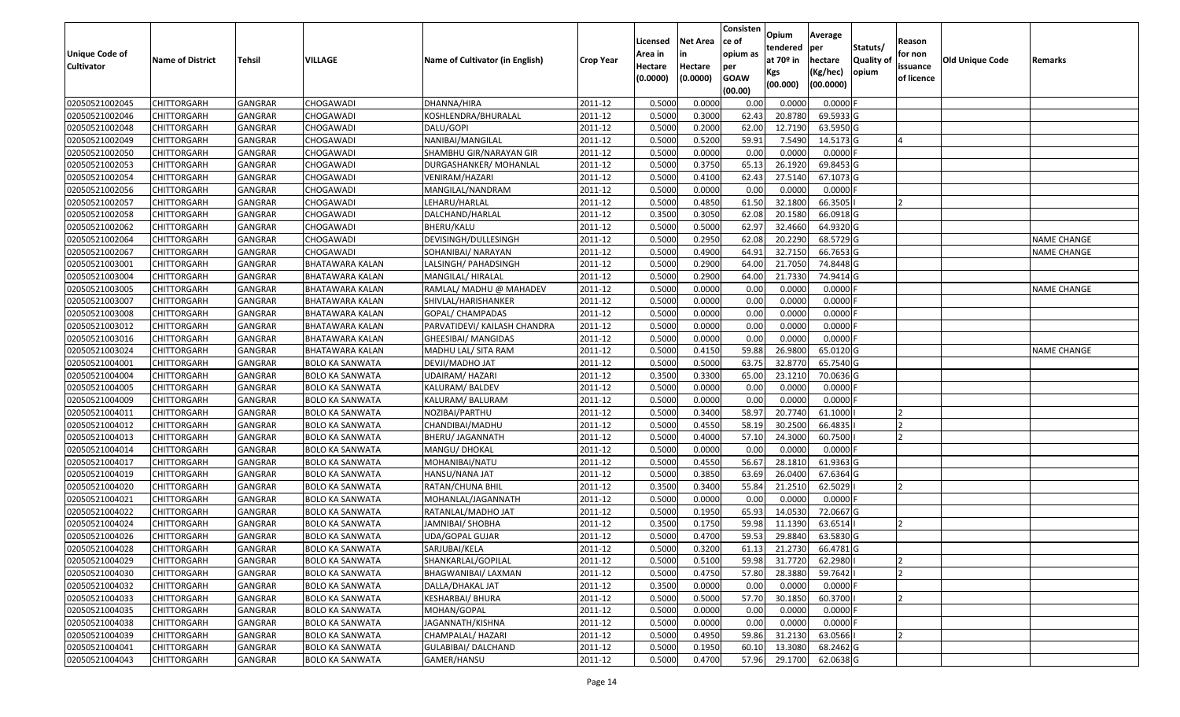|                                            |                         |                |                        |                                 |                  | Licensed           | <b>Net Area</b> | Consisten<br>ce of     | Opium<br>tendered | Average<br>per        | Statuts/   | Reason              |                        |                    |
|--------------------------------------------|-------------------------|----------------|------------------------|---------------------------------|------------------|--------------------|-----------------|------------------------|-------------------|-----------------------|------------|---------------------|------------------------|--------------------|
| <b>Unique Code of</b><br><b>Cultivator</b> | <b>Name of District</b> | <b>Tehsil</b>  | <b>VILLAGE</b>         | Name of Cultivator (in English) | <b>Crop Year</b> | Area in<br>Hectare | Hectare         | opium as<br>per        | at $70°$ in       | hectare               | Quality of | for non<br>issuance | <b>Old Unique Code</b> | Remarks            |
|                                            |                         |                |                        |                                 |                  | (0.0000)           | (0.0000)        | <b>GOAW</b><br>(00.00) | Kgs<br>(00.000)   | (Kg/hec)<br>(00.0000) | opium      | of licence          |                        |                    |
| 02050521002045                             | <b>CHITTORGARH</b>      | GANGRAR        | CHOGAWADI              | DHANNA/HIRA                     | 2011-12          | 0.500              | 0.0000          | 0.00                   | 0.0000            | $0.0000$ F            |            |                     |                        |                    |
| 02050521002046                             | CHITTORGARH             | GANGRAR        | CHOGAWADI              | KOSHLENDRA/BHURALAL             | 2011-12          | 0.5000             | 0.3000          | 62.43                  | 20.8780           | 69.5933 G             |            |                     |                        |                    |
| 02050521002048                             | <b>CHITTORGARH</b>      | GANGRAR        | CHOGAWADI              | DALU/GOPI                       | 2011-12          | 0.5000             | 0.2000          | 62.00                  | 12.7190           | 63.5950 G             |            |                     |                        |                    |
| 02050521002049                             | <b>CHITTORGARH</b>      | <b>GANGRAR</b> | CHOGAWADI              | NANIBAI/MANGILAL                | 2011-12          | 0.5000             | 0.5200          | 59.91                  | 7.5490            | 14.5173 G             |            |                     |                        |                    |
| 02050521002050                             | <b>CHITTORGARH</b>      | GANGRAR        | CHOGAWADI              | SHAMBHU GIR/NARAYAN GIR         | 2011-12          | 0.5000             | 0.0000          | 0.00                   | 0.0000            | $0.0000$ F            |            |                     |                        |                    |
| 02050521002053                             | CHITTORGARH             | <b>GANGRAR</b> | CHOGAWADI              | DURGASHANKER/MOHANLAL           | 2011-12          | 0.5000             | 0.3750          | 65.13                  | 26.1920           | 69.8453 G             |            |                     |                        |                    |
| 02050521002054                             | CHITTORGARH             | GANGRAR        | CHOGAWADI              | VENIRAM/HAZARI                  | 2011-12          | 0.5000             | 0.4100          | 62.4                   | 27.5140           | 67.1073 G             |            |                     |                        |                    |
| 02050521002056                             | <b>CHITTORGARH</b>      | <b>GANGRAR</b> | CHOGAWADI              | MANGILAL/NANDRAM                | 2011-12          | 0.5000             | 0.0000          | 0.00                   | 0.0000            | $0.0000$ F            |            |                     |                        |                    |
| 02050521002057                             | <b>CHITTORGARH</b>      | GANGRAR        | CHOGAWADI              | LEHARU/HARLAL                   | 2011-12          | 0.5000             | 0.4850          | 61.50                  | 32.1800           | 66.3505               |            |                     |                        |                    |
| 02050521002058                             | CHITTORGARH             | <b>GANGRAR</b> | CHOGAWADI              | DALCHAND/HARLAL                 | 2011-12          | 0.3500             | 0.3050          | 62.08                  | 20.1580           | 66.0918 G             |            |                     |                        |                    |
| 02050521002062                             | <b>CHITTORGARH</b>      | GANGRAR        | CHOGAWADI              | BHERU/KALU                      | 2011-12          | 0.5000             | 0.5000          | 62.97                  | 32.4660           | 64.9320 G             |            |                     |                        |                    |
| 02050521002064                             | <b>CHITTORGARH</b>      | <b>GANGRAR</b> | CHOGAWADI              | DEVISINGH/DULLESINGH            | 2011-12          | 0.5000             | 0.2950          | 62.08                  | 20.2290           | 68.5729 G             |            |                     |                        | <b>NAME CHANGE</b> |
| 02050521002067                             | CHITTORGARH             | <b>GANGRAR</b> | CHOGAWADI              | SOHANIBAI/NARAYAN               | 2011-12          | 0.5000             | 0.4900          | 64.91                  | 32.7150           | 66.7653 G             |            |                     |                        | <b>NAME CHANGE</b> |
| 02050521003001                             | <b>CHITTORGARH</b>      | GANGRAR        | <b>BHATAWARA KALAN</b> | LALSINGH/ PAHADSINGH            | 2011-12          | 0.5000             | 0.2900          | 64.00                  | 21.7050           | 74.8448 G             |            |                     |                        |                    |
| 02050521003004                             | <b>CHITTORGARH</b>      | GANGRAR        | BHATAWARA KALAN        | MANGILAL/ HIRALAL               | 2011-12          | 0.5000             | 0.2900          | 64.00                  | 21.7330           | 74.9414 G             |            |                     |                        |                    |
| 02050521003005                             | <b>CHITTORGARH</b>      | GANGRAR        | <b>BHATAWARA KALAN</b> | RAMLAL/ MADHU @ MAHADEV         | 2011-12          | 0.5000             | 0.0000          | 0.00                   | 0.0000            | 0.0000F               |            |                     |                        | NAME CHANGE        |
| 02050521003007                             | <b>CHITTORGARH</b>      | GANGRAR        | <b>BHATAWARA KALAN</b> | SHIVLAL/HARISHANKER             | 2011-12          | 0.5000             | 0.0000          | 0.00                   | 0.0000            | $0.0000$ F            |            |                     |                        |                    |
| 02050521003008                             | <b>CHITTORGARH</b>      | GANGRAR        | <b>BHATAWARA KALAN</b> | GOPAL/ CHAMPADAS                | 2011-12          | 0.5000             | 0.0000          | 0.00                   | 0.0000            | 0.0000F               |            |                     |                        |                    |
| 02050521003012                             | <b>CHITTORGARH</b>      | GANGRAR        | BHATAWARA KALAN        | PARVATIDEVI/ KAILASH CHANDRA    | 2011-12          | 0.5000             | 0.0000          | 0.00                   | 0.0000            | 0.0000F               |            |                     |                        |                    |
| 02050521003016                             | <b>CHITTORGARH</b>      | GANGRAR        | BHATAWARA KALAN        | GHEESIBAI/ MANGIDAS             | 2011-12          | 0.5000             | 0.0000          | 0.00                   | 0.0000            | 0.0000                |            |                     |                        |                    |
| 02050521003024                             | <b>CHITTORGARH</b>      | GANGRAR        | <b>BHATAWARA KALAN</b> | MADHU LAL/ SITA RAM             | 2011-12          | 0.5000             | 0.4150          | 59.88                  | 26.9800           | 65.0120 G             |            |                     |                        | <b>NAME CHANGE</b> |
| 02050521004001                             | CHITTORGARH             | GANGRAR        | <b>BOLO KA SANWATA</b> | DEVJI/MADHO JAT                 | 2011-12          | 0.5000             | 0.5000          | 63.7                   | 32.8770           | 65.7540 G             |            |                     |                        |                    |
| 02050521004004                             | CHITTORGARH             | GANGRAR        | <b>BOLO KA SANWATA</b> | UDAIRAM/ HAZARI                 | 2011-12          | 0.3500             | 0.3300          | 65.00                  | 23.1210           | 70.0636 G             |            |                     |                        |                    |
| 02050521004005                             | <b>CHITTORGARH</b>      | GANGRAR        | <b>BOLO KA SANWATA</b> | KALURAM/ BALDEV                 | 2011-12          | 0.5000             | 0.0000          | 0.00                   | 0.0000            | 0.0000F               |            |                     |                        |                    |
| 02050521004009                             | <b>CHITTORGARH</b>      | <b>GANGRAR</b> | <b>BOLO KA SANWATA</b> | KALURAM/ BALURAM                | 2011-12          | 0.5000             | 0.0000          | 0.00                   | 0.0000            | $0.0000$ F            |            |                     |                        |                    |
| 02050521004011                             | <b>CHITTORGARH</b>      | GANGRAR        | <b>BOLO KA SANWATA</b> | NOZIBAI/PARTHU                  | 2011-12          | 0.5000             | 0.3400          | 58.97                  | 20.7740           | 61.1000               |            |                     |                        |                    |
| 02050521004012                             | <b>CHITTORGARH</b>      | GANGRAR        | <b>BOLO KA SANWATA</b> | CHANDIBAI/MADHU                 | 2011-12          | 0.5000             | 0.4550          | 58.19                  | 30.2500           | 66.4835               |            | 12                  |                        |                    |
| 02050521004013                             | <b>CHITTORGARH</b>      | GANGRAR        | <b>BOLO KA SANWATA</b> | BHERU/ JAGANNATH                | 2011-12          | 0.5000             | 0.4000          | 57.10                  | 24.3000           | 60.7500               |            |                     |                        |                    |
| 02050521004014                             | <b>CHITTORGARH</b>      | <b>GANGRAR</b> | <b>BOLO KA SANWATA</b> | MANGU/ DHOKAL                   | 2011-12          | 0.5000             | 0.0000          | 0.00                   | 0.0000            | $0.0000$ F            |            |                     |                        |                    |
| 02050521004017                             | <b>CHITTORGARH</b>      | <b>GANGRAR</b> | <b>BOLO KA SANWATA</b> | MOHANIBAI/NATU                  | 2011-12          | 0.5000             | 0.4550          | 56.67                  | 28.1810           | 61.9363 G             |            |                     |                        |                    |
| 02050521004019                             | CHITTORGARH             | GANGRAR        | <b>BOLO KA SANWATA</b> | HANSU/NANA JAT                  | 2011-12          | 0.5000             | 0.3850          | 63.69                  | 26.0400           | 67.6364 G             |            |                     |                        |                    |
| 02050521004020                             | CHITTORGARH             | GANGRAR        | <b>BOLO KA SANWATA</b> | RATAN/CHUNA BHIL                | 2011-12          | 0.3500             | 0.3400          | 55.84                  | 21.2510           | 62.5029               |            |                     |                        |                    |
| 02050521004021                             | <b>CHITTORGARH</b>      | <b>GANGRAR</b> | <b>BOLO KA SANWATA</b> | MOHANLAL/JAGANNATH              | 2011-12          | 0.5000             | 0.0000          | 0.00                   | 0.0000            | $0.0000$ F            |            |                     |                        |                    |
| 02050521004022                             | <b>CHITTORGARH</b>      | GANGRAR        | <b>BOLO KA SANWATA</b> | RATANLAL/MADHO JAT              | 2011-12          | 0.5000             | 0.1950          | 65.93                  | 14.0530           | 72.0667 G             |            |                     |                        |                    |
| 02050521004024                             | CHITTORGARH             | GANGRAR        | <b>BOLO KA SANWATA</b> | JAMNIBAI/ SHOBHA                | 2011-12          | 0.3500             | 0.1750          | 59.98                  | 11.1390           | 63.6514               |            | <b>2</b>            |                        |                    |
| 02050521004026                             | <b>CHITTORGARH</b>      | GANGRAR        | <b>BOLO KA SANWATA</b> | UDA/GOPAL GUJAR                 | 2011-12          | 0.5000             | 0.4700          | 59.53                  | 29.8840           | 63.5830 G             |            |                     |                        |                    |
| 02050521004028                             | <b>CHITTORGARH</b>      | GANGRAR        | <b>BOLO KA SANWATA</b> | SARJUBAI/KELA                   | 2011-12          | 0.5000             | 0.3200          | 61.13                  | 21.2730           | 66.4781 G             |            |                     |                        |                    |
| 02050521004029                             | <b>CHITTORGARH</b>      | <b>GANGRAR</b> | <b>BOLO KA SANWATA</b> | SHANKARLAL/GOPILAL              | 2011-12          | 0.5000             | 0.5100          | 59.98                  | 31.7720           | 62.2980               |            | $\overline{2}$      |                        |                    |
| 02050521004030                             | <b>CHITTORGARH</b>      | GANGRAR        | <b>BOLO KA SANWATA</b> | BHAGWANIBAI/ LAXMAN             | 2011-12          | 0.5000             | 0.4750          | 57.80                  | 28.3880           | 59.7642               |            | <b>2</b>            |                        |                    |
| 02050521004032                             | <b>CHITTORGARH</b>      | <b>GANGRAR</b> | <b>BOLO KA SANWATA</b> | DALLA/DHAKAL JAT                | 2011-12          | 0.3500             | 0.0000          | 0.00                   | 0.0000            | $0.0000$ F            |            |                     |                        |                    |
| 02050521004033                             | <b>CHITTORGARH</b>      | <b>GANGRAR</b> | <b>BOLO KA SANWATA</b> | KESHARBAI/ BHURA                | 2011-12          | 0.5000             | 0.5000          | 57.70                  | 30.1850           | 60.3700               |            |                     |                        |                    |
| 02050521004035                             | <b>CHITTORGARH</b>      | <b>GANGRAR</b> | <b>BOLO KA SANWATA</b> | MOHAN/GOPAL                     | 2011-12          | 0.5000             | 0.0000          | 0.00                   | 0.0000            | $0.0000$ F            |            |                     |                        |                    |
| 02050521004038                             | <b>CHITTORGARH</b>      | GANGRAR        | <b>BOLO KA SANWATA</b> | JAGANNATH/KISHNA                | 2011-12          | 0.5000             | 0.0000          | 0.00                   | 0.0000            | 0.0000F               |            |                     |                        |                    |
| 02050521004039                             | <b>CHITTORGARH</b>      | GANGRAR        | <b>BOLO KA SANWATA</b> | CHAMPALAL/ HAZARI               | 2011-12          | 0.5000             | 0.4950          | 59.86                  | 31.2130           | 63.0566               |            | $\overline{2}$      |                        |                    |
| 02050521004041                             | CHITTORGARH             | GANGRAR        | <b>BOLO KA SANWATA</b> | GULABIBAI/ DALCHAND             | 2011-12          | 0.5000             | 0.1950          | 60.10                  | 13.3080           | 68.2462 G             |            |                     |                        |                    |
| 02050521004043                             | <b>CHITTORGARH</b>      | GANGRAR        | <b>BOLO KA SANWATA</b> | GAMER/HANSU                     | 2011-12          | 0.5000             | 0.4700          | 57.96                  | 29.1700           | 62.0638 G             |            |                     |                        |                    |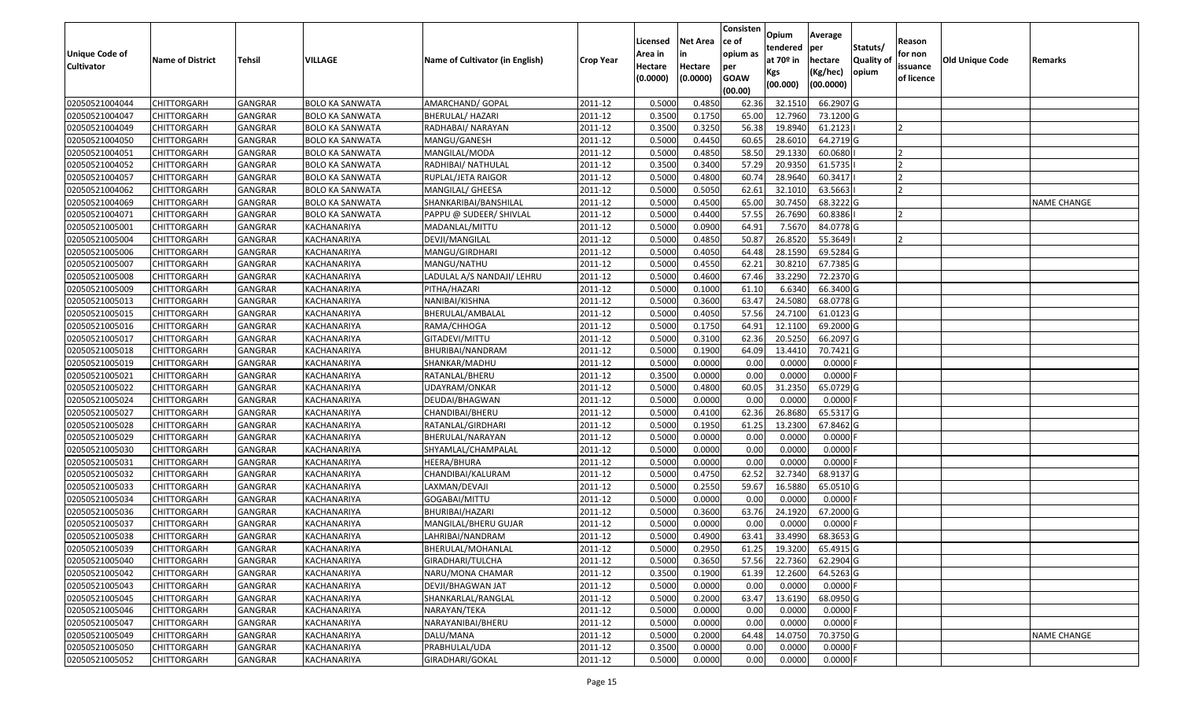|                       |                         |                |                        |                                 |                  |          |                 | Consisten        | Opium         | Average     |                  |            |                        |                    |
|-----------------------|-------------------------|----------------|------------------------|---------------------------------|------------------|----------|-----------------|------------------|---------------|-------------|------------------|------------|------------------------|--------------------|
|                       |                         |                |                        |                                 |                  | Licensed | <b>Net Area</b> | ce of            | tendered      | per         | Statuts/         | Reason     |                        |                    |
| <b>Unique Code of</b> | <b>Name of District</b> | <b>Tehsil</b>  | VILLAGE                | Name of Cultivator (in English) | <b>Crop Year</b> | Area in  |                 | opium as         | at $70°$ in   | hectare     | <b>Quality o</b> | for non    | <b>Old Unique Code</b> | Remarks            |
| <b>Cultivator</b>     |                         |                |                        |                                 |                  | Hectare  | Hectare         | per              | Kgs           | (Kg/hec)    | opium            | issuance   |                        |                    |
|                       |                         |                |                        |                                 |                  | (0.0000) | (0.0000)        | <b>GOAW</b>      | (00.000)      | (00.0000)   |                  | of licence |                        |                    |
| 02050521004044        | CHITTORGARH             | GANGRAR        | <b>BOLO KA SANWATA</b> | AMARCHAND/ GOPAL                | 2011-12          | 0.5000   | 0.4850          | (00.00)<br>62.36 | 32.151        | 66.2907 G   |                  |            |                        |                    |
| 02050521004047        | CHITTORGARH             | GANGRAR        | <b>BOLO KA SANWATA</b> | BHERULAL/ HAZARI                | 2011-12          | 0.3500   | 0.1750          | 65.00            | 12.7960       | 73.1200 G   |                  |            |                        |                    |
| 02050521004049        | CHITTORGARH             | GANGRAR        | <b>BOLO KA SANWATA</b> | RADHABAI/ NARAYAN               | 2011-12          | 0.3500   | 0.3250          | 56.38            | 19.8940       | 61.2123     |                  |            |                        |                    |
| 02050521004050        | <b>CHITTORGARH</b>      | <b>GANGRAR</b> | <b>BOLO KA SANWATA</b> | MANGU/GANESH                    | 2011-12          | 0.5000   | 0.4450          | 60.65            | 28.6010       | 64.2719 G   |                  |            |                        |                    |
| 02050521004051        | CHITTORGARH             | GANGRAR        | <b>BOLO KA SANWATA</b> | MANGILAL/MODA                   | 2011-12          | 0.5000   | 0.4850          | 58.5             | 29.133        | 60.0680     |                  |            |                        |                    |
| 02050521004052        | CHITTORGARH             | GANGRAR        | <b>BOLO KA SANWATA</b> | RADHIBAI/ NATHULAL              | 2011-12          | 0.3500   | 0.3400          | 57.29            | 20.9350       | 61.5735     |                  |            |                        |                    |
| 02050521004057        | CHITTORGARH             | GANGRAR        | BOLO KA SANWATA        | RUPLAL/JETA RAIGOR              | 2011-12          | 0.5000   | 0.4800          | 60.7             | 28.9640       | 60.3417     |                  |            |                        |                    |
| 02050521004062        | CHITTORGARH             | <b>GANGRAR</b> | <b>BOLO KA SANWATA</b> | MANGILAL/ GHEESA                | 2011-12          | 0.5000   | 0.5050          | 62.61            | 32.1010       | 63.5663     |                  |            |                        |                    |
| 02050521004069        | CHITTORGARH             | GANGRAR        | <b>BOLO KA SANWATA</b> | SHANKARIBAI/BANSHILAL           | 2011-12          | 0.5000   | 0.4500          | 65.00            | 30.745        | 68.3222 G   |                  |            |                        | <b>NAME CHANGE</b> |
| 02050521004071        | CHITTORGARH             | <b>GANGRAR</b> | <b>BOLO KA SANWATA</b> | PAPPU @ SUDEER/ SHIVLAL         | 2011-12          | 0.5000   | 0.4400          | 57.55            | 26.7690       | 60.8386     |                  |            |                        |                    |
| 02050521005001        | CHITTORGARH             | GANGRAR        | KACHANARIYA            | MADANLAL/MITTU                  | 2011-12          | 0.5000   | 0.0900          | 64.91            | 7.5670        | 84.0778 G   |                  |            |                        |                    |
| 02050521005004        | CHITTORGARH             | <b>GANGRAR</b> | KACHANARIYA            | DEVJI/MANGILAL                  | 2011-12          | 0.5000   | 0.4850          | 50.87            | 26.8520       | 55.3649     |                  |            |                        |                    |
| 02050521005006        | <b>CHITTORGARH</b>      | <b>GANGRAR</b> | KACHANARIYA            | MANGU/GIRDHARI                  | 2011-12          | 0.5000   | 0.4050          | 64.48            | 28.1590       | 69.5284 G   |                  |            |                        |                    |
| 02050521005007        | CHITTORGARH             | GANGRAR        | KACHANARIYA            | MANGU/NATHU                     | 2011-12          | 0.5000   | 0.4550          | 62.21            | 30.821        | 67.7385 G   |                  |            |                        |                    |
| 02050521005008        | CHITTORGARH             | <b>GANGRAR</b> | KACHANARIYA            | LADULAL A/S NANDAJI/ LEHRU      | 2011-12          | 0.5000   | 0.4600          | 67.46            | 33.2290       | 72.2370 G   |                  |            |                        |                    |
| 02050521005009        | CHITTORGARH             | <b>GANGRAR</b> | KACHANARIYA            | PITHA/HAZARI                    | 2011-12          | 0.5000   | 0.1000          | 61.10            | 6.6340        | 66.3400 G   |                  |            |                        |                    |
| 02050521005013        | CHITTORGARH             | <b>GANGRAR</b> | KACHANARIYA            | NANIBAI/KISHNA                  | 2011-12          | 0.5000   | 0.3600          | 63.47            | 24.5080       | 68.0778 G   |                  |            |                        |                    |
| 02050521005015        | CHITTORGARH             | GANGRAR        | KACHANARIYA            | BHERULAL/AMBALAL                | 2011-12          | 0.5000   | 0.4050          | 57.56            | 24.7100       | $61.0123$ G |                  |            |                        |                    |
| 02050521005016        | CHITTORGARH             | <b>GANGRAR</b> | KACHANARIYA            | RAMA/CHHOGA                     | 2011-12          | 0.5000   | 0.1750          | 64.91            | 12.1100       | 69.2000G    |                  |            |                        |                    |
| 02050521005017        | CHITTORGARH             | GANGRAR        | KACHANARIYA            | GITADEVI/MITTU                  | 2011-12          | 0.5000   | 0.3100          | 62.36            | 20.5250       | 66.2097 G   |                  |            |                        |                    |
| 02050521005018        | CHITTORGARH             | <b>GANGRAR</b> | KACHANARIYA            | BHURIBAI/NANDRAM                | 2011-12          | 0.5000   | 0.1900          | 64.09            | 13.4410       | 70.7421G    |                  |            |                        |                    |
| 02050521005019        | CHITTORGARH             | GANGRAR        | KACHANARIYA            | SHANKAR/MADHU                   | 2011-12          | 0.5000   | 0.0000          | 0.00             | 0.0000        | 0.0000      |                  |            |                        |                    |
| 02050521005021        | CHITTORGARH             | GANGRAR        | KACHANARIYA            | RATANLAL/BHERU                  | 2011-12          | 0.3500   | 0.0000          | 0.00             | 0.0000        | $0.0000$ F  |                  |            |                        |                    |
| 02050521005022        | CHITTORGARH             | <b>GANGRAR</b> | KACHANARIYA            | UDAYRAM/ONKAR                   | 2011-12          | 0.5000   | 0.4800          | 60.05            | 31.2350       | 65.0729 G   |                  |            |                        |                    |
| 02050521005024        | CHITTORGARH             | <b>GANGRAR</b> | KACHANARIYA            | DEUDAI/BHAGWAN                  | 2011-12          | 0.5000   | 0.0000          | 0.00             | 0.0000        | $0.0000$ F  |                  |            |                        |                    |
| 02050521005027        | CHITTORGARH             | GANGRAR        | KACHANARIYA            | CHANDIBAI/BHERU                 | 2011-12          | 0.5000   | 0.4100          | 62.36            | 26.8680       | 65.5317 G   |                  |            |                        |                    |
| 02050521005028        | CHITTORGARH             | GANGRAR        | KACHANARIYA            | RATANLAL/GIRDHARI               | 2011-12          | 0.5000   | 0.1950          | 61.25            | 13.2300       | 67.8462 G   |                  |            |                        |                    |
| 02050521005029        | CHITTORGARH             | GANGRAR        | KACHANARIYA            | BHERULAL/NARAYAN                | 2011-12          | 0.5000   | 0.0000          | 0.00             | 0.0000        | $0.0000$ F  |                  |            |                        |                    |
| 02050521005030        | CHITTORGARH             | <b>GANGRAR</b> | KACHANARIYA            | SHYAMLAL/CHAMPALAL              | 2011-12          | 0.5000   | 0.0000          | 0.00             | 0.0000        | 0.0000F     |                  |            |                        |                    |
| 02050521005031        | CHITTORGARH             | GANGRAR        | KACHANARIYA            | HEERA/BHURA                     | 2011-12          | 0.5000   | 0.0000          | 0.00             | 0.0000        | 0.0000F     |                  |            |                        |                    |
| 02050521005032        | CHITTORGARH             | GANGRAR        | KACHANARIYA            | CHANDIBAI/KALURAM               | 2011-12          | 0.5000   | 0.4750          | 62.52            | 32.7340       | 68.9137 G   |                  |            |                        |                    |
| 02050521005033        | CHITTORGARH             | GANGRAR        | KACHANARIYA            | LAXMAN/DEVAJI                   | 2011-12          | 0.5000   | 0.2550          | 59.67            | 16.5880       | 65.0510 G   |                  |            |                        |                    |
| 02050521005034        | CHITTORGARH             | <b>GANGRAR</b> | KACHANARIYA            | GOGABAI/MITTU                   | 2011-12          | 0.5000   | 0.0000          | 0.00             | 0.0000        | $0.0000$ F  |                  |            |                        |                    |
| 02050521005036        | CHITTORGARH             | GANGRAR        | KACHANARIYA            | BHURIBAI/HAZARI                 | 2011-12          | 0.5000   | 0.3600          | 63.76            | 24.1920       | 67.2000 G   |                  |            |                        |                    |
| 02050521005037        | CHITTORGARH             | GANGRAR        | KACHANARIYA            | MANGILAL/BHERU GUJAR            | 2011-12          | 0.5000   | 0.0000          | 0.00             | 0.000         | $0.0000$ F  |                  |            |                        |                    |
| 02050521005038        | CHITTORGARH             | GANGRAR        | KACHANARIYA            | LAHRIBAI/NANDRAM                | 2011-12          | 0.5000   | 0.4900          | 63.41            | 33.4990       | 68.3653 G   |                  |            |                        |                    |
| 02050521005039        | <b>CHITTORGARH</b>      | GANGRAR        | KACHANARIYA            | BHERULAL/MOHANLAL               | 2011-12          | 0.5000   | 0.2950          |                  | 61.25 19.3200 | 65.4915 G   |                  |            |                        |                    |
| 02050521005040        | <b>CHITTORGARH</b>      | <b>GANGRAR</b> | KACHANARIYA            | GIRADHARI/TULCHA                | 2011-12          | 0.5000   | 0.3650          | 57.56            | 22.7360       | 62.2904 G   |                  |            |                        |                    |
| 02050521005042        | <b>CHITTORGARH</b>      | <b>GANGRAR</b> | KACHANARIYA            | NARU/MONA CHAMAR                | 2011-12          | 0.3500   | 0.1900          | 61.39            | 12.2600       | 64.5263 G   |                  |            |                        |                    |
| 02050521005043        | <b>CHITTORGARH</b>      | <b>GANGRAR</b> | KACHANARIYA            | DEVJI/BHAGWAN JAT               | 2011-12          | 0.5000   | 0.0000          | 0.00             | 0.0000        | $0.0000$ F  |                  |            |                        |                    |
| 02050521005045        | CHITTORGARH             | <b>GANGRAR</b> | KACHANARIYA            | SHANKARLAL/RANGLAL              | 2011-12          | 0.5000   | 0.2000          | 63.47            | 13.6190       | 68.0950 G   |                  |            |                        |                    |
| 02050521005046        | <b>CHITTORGARH</b>      | <b>GANGRAR</b> | KACHANARIYA            | NARAYAN/TEKA                    | 2011-12          | 0.5000   | 0.0000          | 0.00             | 0.0000        | 0.0000      |                  |            |                        |                    |
| 02050521005047        | <b>CHITTORGARH</b>      | <b>GANGRAR</b> | KACHANARIYA            | NARAYANIBAI/BHERU               | 2011-12          | 0.5000   | 0.0000          | 0.00             | 0.0000        | $0.0000$ F  |                  |            |                        |                    |
| 02050521005049        | <b>CHITTORGARH</b>      | <b>GANGRAR</b> | KACHANARIYA            | DALU/MANA                       | 2011-12          | 0.5000   | 0.2000          | 64.48            | 14.0750       | 70.3750 G   |                  |            |                        | <b>NAME CHANGE</b> |
| 02050521005050        | <b>CHITTORGARH</b>      | <b>GANGRAR</b> | KACHANARIYA            | PRABHULAL/UDA                   | 2011-12          | 0.3500   | 0.0000          | 0.00             | 0.0000        | 0.0000F     |                  |            |                        |                    |
| 02050521005052        | <b>CHITTORGARH</b>      | <b>GANGRAR</b> | KACHANARIYA            | GIRADHARI/GOKAL                 | 2011-12          | 0.5000   | 0.0000          | 0.00             | 0.0000        | $0.0000$ F  |                  |            |                        |                    |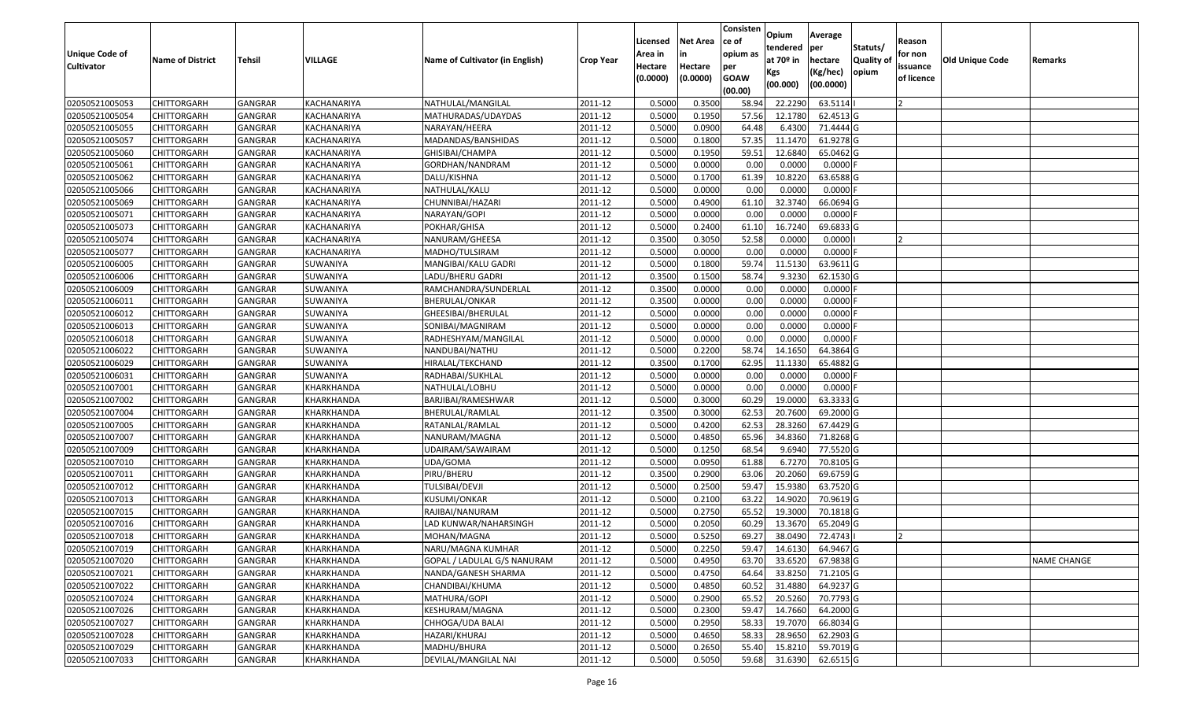| <b>Unique Code of</b><br><b>Cultivator</b> | <b>Name of District</b> | Tehsil         | VILLAGE     | Name of Cultivator (in English) | <b>Crop Year</b>       | Licensed<br>Area in<br>Hectare | <b>Net Area</b><br>in<br>Hectare | Consisten<br>lce of<br>opium as<br>per | Opium<br>tendered<br>at 70º in | Average<br>per<br>hectare | Statuts/<br><b>Quality o</b> | Reason<br>for non<br>issuance | Old Unique Code | Remarks            |
|--------------------------------------------|-------------------------|----------------|-------------|---------------------------------|------------------------|--------------------------------|----------------------------------|----------------------------------------|--------------------------------|---------------------------|------------------------------|-------------------------------|-----------------|--------------------|
|                                            |                         |                |             |                                 |                        | (0.0000)                       | (0.0000)                         | <b>GOAW</b><br>(00.00)                 | Kgs<br>(00.000)                | (Kg/hec)<br>(00.0000)     | opium                        | of licence                    |                 |                    |
| 02050521005053                             | <b>CHITTORGARH</b>      | GANGRAR        | KACHANARIYA | NATHULAL/MANGILAL               | 2011-12                | 0.5000                         | 0.3500                           | 58.94                                  | 22.2290                        | 63.5114                   |                              |                               |                 |                    |
| 02050521005054                             | <b>CHITTORGARH</b>      | GANGRAR        | KACHANARIYA | MATHURADAS/UDAYDAS              | 2011-12                | 0.5000                         | 0.1950                           | 57.56                                  | 12.1780                        | 62.4513 G                 |                              |                               |                 |                    |
| 02050521005055                             | <b>CHITTORGARH</b>      | GANGRAR        | KACHANARIYA | NARAYAN/HEERA                   | 2011-12                | 0.5000                         | 0.0900                           | 64.48                                  | 6.4300                         | 71.4444 G                 |                              |                               |                 |                    |
| 02050521005057                             | <b>CHITTORGARH</b>      | <b>GANGRAR</b> | KACHANARIYA | MADANDAS/BANSHIDAS              | 2011-12                | 0.5000                         | 0.1800                           | 57.35                                  | 11.1470                        | 61.9278 G                 |                              |                               |                 |                    |
| 02050521005060                             | <b>CHITTORGARH</b>      | GANGRAR        | KACHANARIYA | GHISIBAI/CHAMPA                 | 2011-12                | 0.5000                         | 0.1950                           | 59.5                                   | 12.6840                        | 65.0462 G                 |                              |                               |                 |                    |
| 02050521005061                             | <b>CHITTORGARH</b>      | <b>GANGRAR</b> | KACHANARIYA | GORDHAN/NANDRAM                 | 2011-12                | 0.5000                         | 0.0000                           | 0.00                                   | 0.0000                         | 0.0000                    |                              |                               |                 |                    |
| 02050521005062                             | CHITTORGARH             | GANGRAR        | KACHANARIYA | DALU/KISHNA                     | 2011-12                | 0.5000                         | 0.1700                           | 61.39                                  | 10.8220                        | 63.6588 G                 |                              |                               |                 |                    |
| 02050521005066                             | <b>CHITTORGARH</b>      | GANGRAR        | KACHANARIYA | NATHULAL/KALU                   | 2011-12                | 0.5000                         | 0.0000                           | 0.00                                   | 0.0000                         | 0.0000                    |                              |                               |                 |                    |
| 02050521005069                             | <b>CHITTORGARH</b>      | GANGRAR        | KACHANARIYA | CHUNNIBAI/HAZARI                | 2011-12                | 0.5000                         | 0.4900                           | 61.10                                  | 32.3740                        | 66.0694 G                 |                              |                               |                 |                    |
| 02050521005071                             | <b>CHITTORGARH</b>      | <b>GANGRAR</b> | KACHANARIYA | NARAYAN/GOPI                    | 2011-12                | 0.5000                         | 0.0000                           | 0.00                                   | 0.0000                         | 0.0000                    |                              |                               |                 |                    |
| 02050521005073                             | <b>CHITTORGARH</b>      | GANGRAR        | KACHANARIYA | POKHAR/GHISA                    | 2011-12                | 0.5000                         | 0.2400                           | 61.10                                  | 16.7240                        | 69.6833 G                 |                              |                               |                 |                    |
| 02050521005074                             | <b>CHITTORGARH</b>      | GANGRAR        | KACHANARIYA | NANURAM/GHEESA                  | 2011-12                | 0.3500                         | 0.3050                           | 52.58                                  | 0.0000                         | 0.0000                    |                              |                               |                 |                    |
| 02050521005077                             | <b>CHITTORGARH</b>      | GANGRAR        | KACHANARIYA | MADHO/TULSIRAM                  | 2011-12                | 0.5000                         | 0.0000                           | 0.00                                   | 0.0000                         | 0.0000                    |                              |                               |                 |                    |
| 02050521006005                             | <b>CHITTORGARH</b>      | GANGRAR        | SUWANIYA    | MANGIBAI/KALU GADRI             | 2011-12                | 0.5000                         | 0.1800                           | 59.74                                  | 11.5130                        | 63.9611 G                 |                              |                               |                 |                    |
| 02050521006006                             | CHITTORGARH             | GANGRAR        | SUWANIYA    | LADU/BHERU GADRI                | 2011-12                | 0.3500                         | 0.1500                           | 58.74                                  | 9.3230                         | 62.1530 G                 |                              |                               |                 |                    |
| 02050521006009                             | <b>CHITTORGARH</b>      | GANGRAR        | SUWANIYA    | RAMCHANDRA/SUNDERLAL            | 2011-12                | 0.3500                         | 0.0000                           | 0.00                                   | 0.0000                         | 0.0000                    |                              |                               |                 |                    |
| 02050521006011                             | <b>CHITTORGARH</b>      | GANGRAR        | SUWANIYA    | BHERULAL/ONKAR                  | 2011-12                | 0.3500                         | 0.0000                           | 0.00                                   | 0.0000                         | 0.0000                    |                              |                               |                 |                    |
| 02050521006012                             | <b>CHITTORGARH</b>      | GANGRAR        | SUWANIYA    | GHEESIBAI/BHERULAL              | 2011-12                | 0.5000                         | 0.0000                           | 0.00                                   | 0.0000                         | 0.0000                    |                              |                               |                 |                    |
| 02050521006013                             | <b>CHITTORGARH</b>      | GANGRAR        | SUWANIYA    | SONIBAI/MAGNIRAM                | 2011-12                | 0.5000                         | 0.0000                           | 0.00                                   | 0.0000                         | 0.0000                    |                              |                               |                 |                    |
| 02050521006018                             | <b>CHITTORGARH</b>      | <b>GANGRAR</b> | SUWANIYA    | RADHESHYAM/MANGILAL             | 2011-12                | 0.5000                         | 0.0000                           | 0.00                                   | 0.0000                         | 0.0000                    |                              |                               |                 |                    |
| 02050521006022                             | <b>CHITTORGARH</b>      | GANGRAR        | SUWANIYA    | NANDUBAI/NATHU                  | 2011-12                | 0.5000                         | 0.2200                           | 58.74                                  | 14.1650                        | 64.3864 G                 |                              |                               |                 |                    |
| 02050521006029                             | <b>CHITTORGARH</b>      | GANGRAR        | SUWANIYA    | HIRALAL/TEKCHAND                | 2011-12                | 0.3500                         | 0.1700                           | 62.95                                  | 11.1330                        | 65.4882 G                 |                              |                               |                 |                    |
| 02050521006031                             | CHITTORGARH             | GANGRAR        | SUWANIYA    | RADHABAI/SUKHLAL                | 2011-12                | 0.5000                         | 0.0000                           | 0.00                                   | 0.0000                         | 0.0000                    |                              |                               |                 |                    |
| 02050521007001                             | <b>CHITTORGARH</b>      | GANGRAR        | KHARKHANDA  | NATHULAL/LOBHU                  | 2011-12                | 0.5000                         | 0.0000                           | 0.00                                   | 0.0000                         | 0.0000                    |                              |                               |                 |                    |
| 02050521007002                             | <b>CHITTORGARH</b>      | <b>GANGRAR</b> | KHARKHANDA  | BARJIBAI/RAMESHWAR              | 2011-12                | 0.5000                         | 0.3000                           | 60.29                                  | 19.0000                        | 63.3333 G                 |                              |                               |                 |                    |
| 02050521007004                             | <b>CHITTORGARH</b>      | GANGRAR        | KHARKHANDA  | BHERULAL/RAMLAL                 | 2011-12                | 0.3500                         | 0.3000                           | 62.53                                  | 20.7600                        | 69.2000 G                 |                              |                               |                 |                    |
| 02050521007005                             | <b>CHITTORGARH</b>      | GANGRAR        | KHARKHANDA  | RATANLAL/RAMLAL                 | 2011-12                | 0.5000                         | 0.4200                           | 62.53                                  | 28.3260                        | 67.4429 G                 |                              |                               |                 |                    |
| 02050521007007                             | <b>CHITTORGARH</b>      | GANGRAR        | KHARKHANDA  | NANURAM/MAGNA                   | 2011-12                | 0.5000                         | 0.4850                           | 65.96                                  | 34.8360                        | 71.8268 G                 |                              |                               |                 |                    |
| 02050521007009                             | <b>CHITTORGARH</b>      | <b>GANGRAR</b> | KHARKHANDA  | UDAIRAM/SAWAIRAM                | 2011-12                | 0.5000                         | 0.1250                           | 68.54                                  | 9.6940                         | 77.5520 G                 |                              |                               |                 |                    |
| 02050521007010                             | <b>CHITTORGARH</b>      | <b>GANGRAR</b> | KHARKHANDA  | UDA/GOMA                        | 2011-12                | 0.5000                         | 0.0950                           | 61.88                                  | 6.7270                         | 70.8105 G                 |                              |                               |                 |                    |
| 02050521007011                             | <b>CHITTORGARH</b>      | GANGRAR        | KHARKHANDA  | PIRU/BHERU                      | 2011-12                | 0.3500                         | 0.2900                           | 63.06                                  | 20.2060                        | 69.6759 G                 |                              |                               |                 |                    |
| 02050521007012                             | CHITTORGARH             | GANGRAR        | KHARKHANDA  | TULSIBAI/DEVJI                  | 2011-12                | 0.5000                         | 0.2500                           | 59.47                                  | 15.9380                        | 63.7520 G                 |                              |                               |                 |                    |
| 02050521007013                             | <b>CHITTORGARH</b>      | GANGRAR        | KHARKHANDA  | <b>KUSUMI/ONKAR</b>             | 2011-12                | 0.5000                         | 0.2100                           | 63.22                                  | 14.9020                        | 70.9619 G                 |                              |                               |                 |                    |
| 02050521007015                             | <b>CHITTORGARH</b>      | GANGRAR        | KHARKHANDA  | RAJIBAI/NANURAM                 | 2011-12                | 0.5000                         | 0.2750                           | 65.52                                  | 19.3000                        | 70.1818 G                 |                              |                               |                 |                    |
| 02050521007016                             | CHITTORGARH             | GANGRAR        | KHARKHANDA  | LAD KUNWAR/NAHARSINGH           | 2011-12                | 0.5000                         | 0.2050                           | 60.29                                  | 13.3670                        | 65.2049 G                 |                              |                               |                 |                    |
| 02050521007018                             | <b>CHITTORGARH</b>      | GANGRAR        | KHARKHANDA  | MOHAN/MAGNA                     | 2011-12                | 0.5000                         | 0.5250                           | 69.27                                  | 38.0490                        | 72.4743                   |                              |                               |                 |                    |
| 02050521007019                             | <b>CHITTORGARH</b>      | GANGRAR        | KHARKHANDA  | NARU/MAGNA KUMHAR               | $\overline{2011} - 12$ | 0.5000                         | 0.2250                           |                                        | 59.47 14.6130                  | 64.9467 G                 |                              |                               |                 |                    |
| 02050521007020                             | <b>CHITTORGARH</b>      | GANGRAR        | KHARKHANDA  | GOPAL / LADULAL G/S NANURAM     | 2011-12                | 0.5000                         | 0.4950                           | 63.70                                  | 33.6520                        | 67.9838 G                 |                              |                               |                 | <b>NAME CHANGE</b> |
| 02050521007021                             | CHITTORGARH             | GANGRAR        | KHARKHANDA  | NANDA/GANESH SHARMA             | 2011-12                | 0.5000                         | 0.4750                           | 64.64                                  | 33.8250                        | 71.2105 G                 |                              |                               |                 |                    |
| 02050521007022                             | <b>CHITTORGARH</b>      | GANGRAR        | KHARKHANDA  | CHANDIBAI/KHUMA                 | 2011-12                | 0.5000                         | 0.4850                           | 60.52                                  | 31.4880                        | 64.9237 G                 |                              |                               |                 |                    |
| 02050521007024                             | <b>CHITTORGARH</b>      | GANGRAR        | KHARKHANDA  | MATHURA/GOPI                    | 2011-12                | 0.5000                         | 0.2900                           | 65.52                                  | 20.5260                        | 70.7793 G                 |                              |                               |                 |                    |
| 02050521007026                             | <b>CHITTORGARH</b>      | <b>GANGRAR</b> | KHARKHANDA  | KESHURAM/MAGNA                  | 2011-12                | 0.5000                         | 0.2300                           | 59.47                                  | 14.7660                        | 64.2000 G                 |                              |                               |                 |                    |
| 02050521007027                             | <b>CHITTORGARH</b>      | GANGRAR        | KHARKHANDA  | CHHOGA/UDA BALAI                | 2011-12                | 0.5000                         | 0.2950                           | 58.33                                  | 19.7070                        | 66.8034 G                 |                              |                               |                 |                    |
| 02050521007028                             | <b>CHITTORGARH</b>      | GANGRAR        | KHARKHANDA  | HAZARI/KHURAJ                   | 2011-12                | 0.5000                         | 0.4650                           | 58.33                                  | 28.9650                        | 62.2903 G                 |                              |                               |                 |                    |
| 02050521007029                             | <b>CHITTORGARH</b>      | GANGRAR        | KHARKHANDA  | MADHU/BHURA                     | 2011-12                | 0.5000                         | 0.2650                           | 55.40                                  | 15.8210                        | 59.7019 G                 |                              |                               |                 |                    |
| 02050521007033                             | <b>CHITTORGARH</b>      | GANGRAR        | KHARKHANDA  | DEVILAL/MANGILAL NAI            | 2011-12                | 0.5000                         | 0.5050                           | 59.68                                  | 31.6390                        | 62.6515 G                 |                              |                               |                 |                    |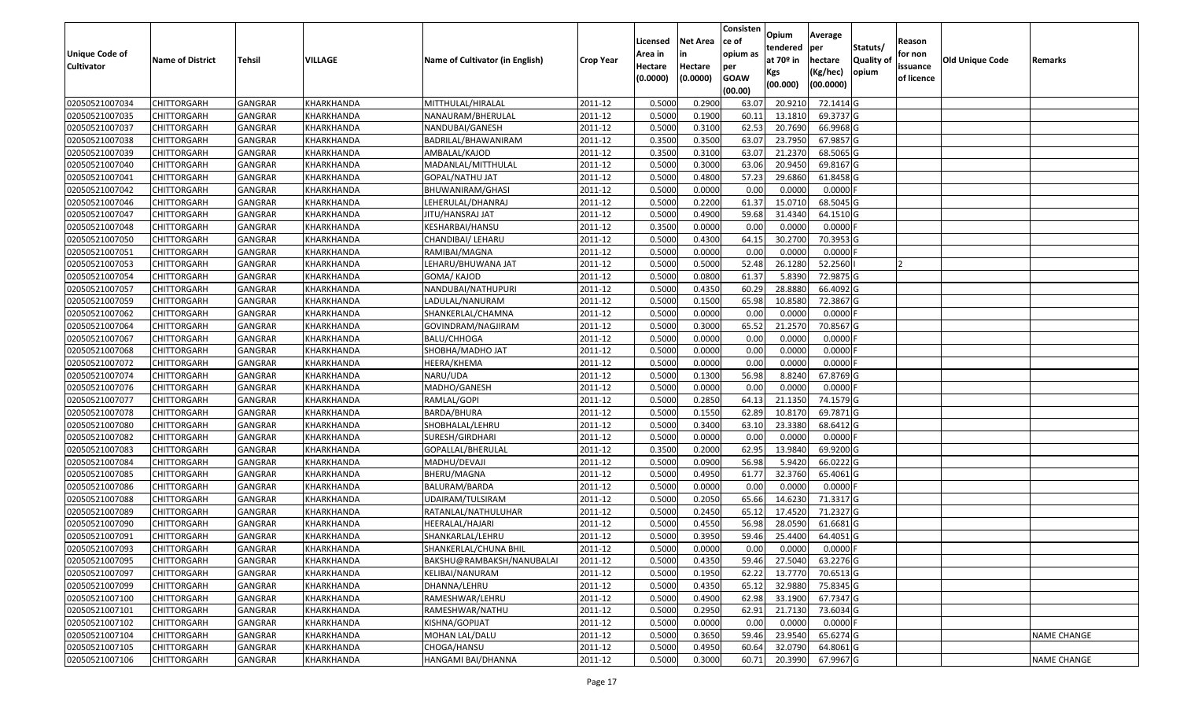| <b>Unique Code of</b> |                         |                |            |                                 |                        | Licensed<br>Area in | <b>Net Area</b><br>in | Consisten<br>lce of<br>opium as | Opium<br>tendered            | Average<br>per                   | Statuts/                  | Reason<br>for non      |                 |                    |
|-----------------------|-------------------------|----------------|------------|---------------------------------|------------------------|---------------------|-----------------------|---------------------------------|------------------------------|----------------------------------|---------------------------|------------------------|-----------------|--------------------|
| <b>Cultivator</b>     | <b>Name of District</b> | Tehsil         | VILLAGE    | Name of Cultivator (in English) | <b>Crop Year</b>       | Hectare<br>(0.0000) | Hectare<br>(0.0000)   | per<br><b>GOAW</b><br>(00.00)   | at 70º in<br>Kgs<br>(00.000) | hectare<br>(Kg/hec)<br>(00.0000) | <b>Quality o</b><br>opium | issuance<br>of licence | Old Unique Code | Remarks            |
| 02050521007034        | <b>CHITTORGARH</b>      | GANGRAR        | KHARKHANDA | MITTHULAL/HIRALAL               | 2011-12                | 0.5000              | 0.2900                | 63.07                           | 20.9210                      | 72.1414 G                        |                           |                        |                 |                    |
| 02050521007035        | <b>CHITTORGARH</b>      | GANGRAR        | KHARKHANDA | NANAURAM/BHERULAL               | 2011-12                | 0.5000              | 0.1900                | 60.11                           | 13.1810                      | 69.3737 G                        |                           |                        |                 |                    |
| 02050521007037        | <b>CHITTORGARH</b>      | GANGRAR        | KHARKHANDA | NANDUBAI/GANESH                 | 2011-12                | 0.5000              | 0.3100                | 62.53                           | 20.7690                      | 66.9968 G                        |                           |                        |                 |                    |
| 02050521007038        | <b>CHITTORGARH</b>      | <b>GANGRAR</b> | KHARKHANDA | BADRILAL/BHAWANIRAM             | 2011-12                | 0.3500              | 0.3500                | 63.07                           | 23.7950                      | 67.9857 G                        |                           |                        |                 |                    |
| 02050521007039        | <b>CHITTORGARH</b>      | GANGRAR        | KHARKHANDA | AMBALAL/KAJOD                   | 2011-12                | 0.3500              | 0.3100                | 63.07                           | 21.2370                      | 68.5065 G                        |                           |                        |                 |                    |
| 02050521007040        | <b>CHITTORGARH</b>      | <b>GANGRAR</b> | KHARKHANDA | MADANLAL/MITTHULAL              | 2011-12                | 0.5000              | 0.3000                | 63.06                           | 20.9450                      | 69.8167 G                        |                           |                        |                 |                    |
| 02050521007041        | CHITTORGARH             | GANGRAR        | KHARKHANDA | GOPAL/NATHU JAT                 | 2011-12                | 0.5000              | 0.4800                | 57.23                           | 29.6860                      | 61.8458 G                        |                           |                        |                 |                    |
| 02050521007042        | <b>CHITTORGARH</b>      | GANGRAR        | KHARKHANDA | BHUWANIRAM/GHASI                | 2011-12                | 0.5000              | 0.0000                | 0.00                            | 0.0000                       | 0.0000                           |                           |                        |                 |                    |
| 02050521007046        | <b>CHITTORGARH</b>      | GANGRAR        | KHARKHANDA | LEHERULAL/DHANRAJ               | 2011-12                | 0.5000              | 0.2200                | 61.37                           | 15.0710                      | 68.5045 G                        |                           |                        |                 |                    |
| 02050521007047        | <b>CHITTORGARH</b>      | GANGRAR        | KHARKHANDA | JITU/HANSRAJ JAT                | 2011-12                | 0.5000              | 0.4900                | 59.68                           | 31.4340                      | 64.1510 G                        |                           |                        |                 |                    |
| 02050521007048        | <b>CHITTORGARH</b>      | GANGRAR        | KHARKHANDA | KESHARBAI/HANSU                 | 2011-12                | 0.3500              | 0.0000                | 0.00                            | 0.0000                       | 0.0000                           |                           |                        |                 |                    |
| 02050521007050        | <b>CHITTORGARH</b>      | GANGRAR        | KHARKHANDA | CHANDIBAI/ LEHARU               | 2011-12                | 0.5000              | 0.4300                | 64.15                           | 30.2700                      | 70.3953 G                        |                           |                        |                 |                    |
| 02050521007051        | <b>CHITTORGARH</b>      | GANGRAR        | KHARKHANDA | RAMIBAI/MAGNA                   | 2011-12                | 0.5000              | 0.0000                | 0.00                            | 0.0000                       | 0.0000                           |                           |                        |                 |                    |
| 02050521007053        | <b>CHITTORGARH</b>      | GANGRAR        | KHARKHANDA | LEHARU/BHUWANA JAT              | 2011-12                | 0.5000              | 0.5000                | 52.48                           | 26.1280                      | 52.2560                          |                           |                        |                 |                    |
| 02050521007054        | CHITTORGARH             | GANGRAR        | KHARKHANDA | GOMA/KAJOD                      | 2011-12                | 0.5000              | 0.0800                | 61.37                           | 5.8390                       | 72.9875 G                        |                           |                        |                 |                    |
| 02050521007057        | <b>CHITTORGARH</b>      | GANGRAR        | KHARKHANDA | NANDUBAI/NATHUPURI              | 2011-12                | 0.5000              | 0.4350                | 60.29                           | 28.8880                      | 66.4092 G                        |                           |                        |                 |                    |
| 02050521007059        | <b>CHITTORGARH</b>      | GANGRAR        | KHARKHANDA | LADULAL/NANURAM                 | 2011-12                | 0.5000              | 0.1500                | 65.98                           | 10.8580                      | 72.3867 G                        |                           |                        |                 |                    |
| 02050521007062        | <b>CHITTORGARH</b>      | GANGRAR        | KHARKHANDA | SHANKERLAL/CHAMNA               | 2011-12                | 0.5000              | 0.0000                | 0.00                            | 0.0000                       | 0.0000                           |                           |                        |                 |                    |
| 02050521007064        | <b>CHITTORGARH</b>      | GANGRAR        | KHARKHANDA | GOVINDRAM/NAGJIRAM              | 2011-12                | 0.5000              | 0.3000                | 65.52                           | 21.2570                      | 70.8567 G                        |                           |                        |                 |                    |
| 02050521007067        | <b>CHITTORGARH</b>      | <b>GANGRAR</b> | KHARKHANDA | BALU/CHHOGA                     | 2011-12                | 0.5000              | 0.0000                | 0.00                            | 0.0000                       | 0.0000                           |                           |                        |                 |                    |
| 02050521007068        | <b>CHITTORGARH</b>      | GANGRAR        | KHARKHANDA | SHOBHA/MADHO JAT                | 2011-12                | 0.5000              | 0.0000                | 0.00                            | 0.0000                       | 0.0000                           |                           |                        |                 |                    |
| 02050521007072        | <b>CHITTORGARH</b>      | GANGRAR        | KHARKHANDA | HEERA/KHEMA                     | 2011-12                | 0.5000              | 0.0000                | 0.00                            | 0.0000                       | 0.0000                           |                           |                        |                 |                    |
| 02050521007074        | <b>CHITTORGARH</b>      | GANGRAR        | KHARKHANDA | NARU/UDA                        | 2011-12                | 0.5000              | 0.1300                | 56.98                           | 8.8240                       | 67.8769 G                        |                           |                        |                 |                    |
| 02050521007076        | <b>CHITTORGARH</b>      | GANGRAR        | KHARKHANDA | MADHO/GANESH                    | 2011-12                | 0.5000              | 0.0000                | 0.00                            | 0.0000                       | 0.0000                           |                           |                        |                 |                    |
| 02050521007077        | <b>CHITTORGARH</b>      | <b>GANGRAR</b> | KHARKHANDA | RAMLAL/GOPI                     | 2011-12                | 0.5000              | 0.2850                | 64.13                           | 21.1350                      | 74.1579 G                        |                           |                        |                 |                    |
| 02050521007078        | <b>CHITTORGARH</b>      | GANGRAR        | KHARKHANDA | BARDA/BHURA                     | 2011-12                | 0.5000              | 0.1550                | 62.89                           | 10.8170                      | 69.7871 G                        |                           |                        |                 |                    |
| 02050521007080        | <b>CHITTORGARH</b>      | <b>GANGRAR</b> | KHARKHANDA | SHOBHALAL/LEHRU                 | 2011-12                | 0.5000              | 0.3400                | 63.10                           | 23.3380                      | 68.6412 G                        |                           |                        |                 |                    |
| 02050521007082        | <b>CHITTORGARH</b>      | GANGRAR        | KHARKHANDA | SURESH/GIRDHARI                 | 2011-12                | 0.5000              | 0.0000                | 0.00                            | 0.0000                       | 0.0000                           |                           |                        |                 |                    |
| 02050521007083        | <b>CHITTORGARH</b>      | <b>GANGRAR</b> | KHARKHANDA | GOPALLAL/BHERULAL               | 2011-12                | 0.3500              | 0.2000                | 62.95                           | 13.9840                      | 69.9200 G                        |                           |                        |                 |                    |
| 02050521007084        | <b>CHITTORGARH</b>      | <b>GANGRAR</b> | KHARKHANDA | MADHU/DEVAJI                    | 2011-12                | 0.5000              | 0.0900                | 56.98                           | 5.9420                       | 66.0222 G                        |                           |                        |                 |                    |
| 02050521007085        | <b>CHITTORGARH</b>      | GANGRAR        | KHARKHANDA | BHERU/MAGNA                     | 2011-12                | 0.5000              | 0.4950                | 61.77                           | 32.3760                      | 65.4061G                         |                           |                        |                 |                    |
| 02050521007086        | CHITTORGARH             | GANGRAR        | KHARKHANDA | BALURAM/BARDA                   | 2011-12                | 0.5000              | 0.0000                | 0.00                            | 0.0000                       | 0.0000                           |                           |                        |                 |                    |
| 02050521007088        | <b>CHITTORGARH</b>      | GANGRAR        | KHARKHANDA | UDAIRAM/TULSIRAM                | 2011-12                | 0.5000              | 0.2050                | 65.66                           | 14.6230                      | 71.3317 G                        |                           |                        |                 |                    |
| 02050521007089        | <b>CHITTORGARH</b>      | GANGRAR        | KHARKHANDA | RATANLAL/NATHULUHAR             | 2011-12                | 0.5000              | 0.2450                | 65.12                           | 17.4520                      | 71.2327 G                        |                           |                        |                 |                    |
| 02050521007090        | CHITTORGARH             | GANGRAR        | KHARKHANDA | HEERALAL/HAJARI                 | 2011-12                | 0.5000              | 0.4550                | 56.98                           | 28.0590                      | 61.6681 G                        |                           |                        |                 |                    |
| 02050521007091        | <b>CHITTORGARH</b>      | GANGRAR        | KHARKHANDA | SHANKARLAL/LEHRU                | 2011-12                | 0.5000              | 0.3950                | 59.46                           | 25.4400                      | 64.4051 G                        |                           |                        |                 |                    |
| 02050521007093        | <b>CHITTORGARH</b>      | GANGRAR        | KHARKHANDA | SHANKERLAL/CHUNA BHIL           | $\overline{2011} - 12$ | 0.5000              | 0.0000                | 0.00                            | 0.0000                       | $0.0000$ F                       |                           |                        |                 |                    |
| 02050521007095        | <b>CHITTORGARH</b>      | <b>GANGRAR</b> | KHARKHANDA | BAKSHU@RAMBAKSH/NANUBALAI       | 2011-12                | 0.5000              | 0.4350                | 59.46                           | 27.5040                      | 63.2276 G                        |                           |                        |                 |                    |
| 02050521007097        | <b>CHITTORGARH</b>      | GANGRAR        | KHARKHANDA | KELIBAI/NANURAM                 | 2011-12                | 0.5000              | 0.1950                | 62.22                           | 13.7770                      | 70.6513 G                        |                           |                        |                 |                    |
| 02050521007099        | <b>CHITTORGARH</b>      | GANGRAR        | KHARKHANDA | DHANNA/LEHRU                    | 2011-12                | 0.5000              | 0.4350                | 65.12                           | 32.9880                      | 75.8345 G                        |                           |                        |                 |                    |
| 02050521007100        | <b>CHITTORGARH</b>      | GANGRAR        | KHARKHANDA | RAMESHWAR/LEHRU                 | 2011-12                | 0.5000              | 0.4900                | 62.98                           | 33.1900                      | 67.7347 G                        |                           |                        |                 |                    |
| 02050521007101        | <b>CHITTORGARH</b>      | <b>GANGRAR</b> | KHARKHANDA | RAMESHWAR/NATHU                 | 2011-12                | 0.5000              | 0.2950                | 62.91                           | 21.7130                      | 73.6034 G                        |                           |                        |                 |                    |
| 02050521007102        | <b>CHITTORGARH</b>      | GANGRAR        | KHARKHANDA | KISHNA/GOPIJAT                  | 2011-12                | 0.5000              | 0.0000                | 0.00                            | 0.0000                       | 0.0000                           |                           |                        |                 |                    |
| 02050521007104        | <b>CHITTORGARH</b>      | GANGRAR        | KHARKHANDA | MOHAN LAL/DALU                  | 2011-12                | 0.5000              | 0.3650                | 59.46                           | 23.9540                      | 65.6274 G                        |                           |                        |                 | <b>NAME CHANGE</b> |
| 02050521007105        | <b>CHITTORGARH</b>      | GANGRAR        | KHARKHANDA | CHOGA/HANSU                     | 2011-12                | 0.5000              | 0.4950                | 60.64                           | 32.0790                      | 64.8061 G                        |                           |                        |                 |                    |
| 02050521007106        | <b>CHITTORGARH</b>      | <b>GANGRAR</b> | KHARKHANDA | HANGAMI BAI/DHANNA              | 2011-12                | 0.5000              | 0.3000                | 60.71                           | 20.3990                      | 67.9967 G                        |                           |                        |                 | <b>NAME CHANGE</b> |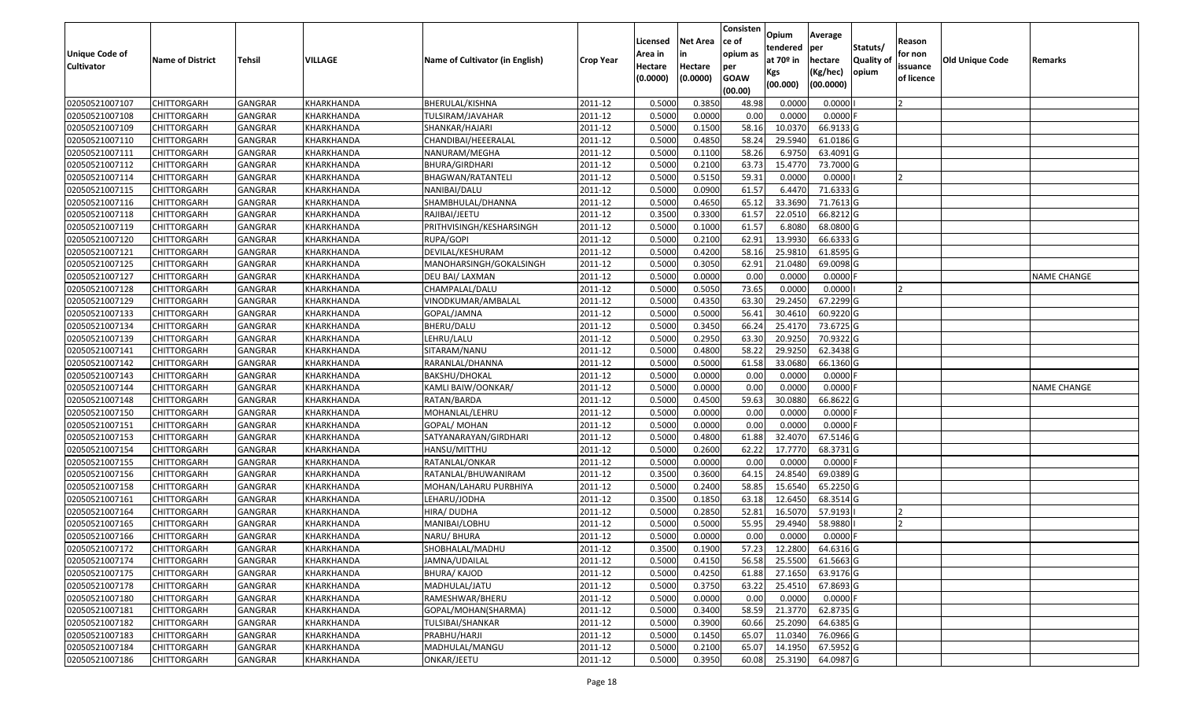| <b>Unique Code of</b> |                         |                |            |                                 |                  | Licensed<br>Area in | <b>Net Area</b><br>in | Consisten<br>lce of<br>opium as | Opium<br>tendered            | Average<br>per                   | Statuts/                  | Reason<br>for non      |                 |                    |
|-----------------------|-------------------------|----------------|------------|---------------------------------|------------------|---------------------|-----------------------|---------------------------------|------------------------------|----------------------------------|---------------------------|------------------------|-----------------|--------------------|
| <b>Cultivator</b>     | <b>Name of District</b> | Tehsil         | VILLAGE    | Name of Cultivator (in English) | <b>Crop Year</b> | Hectare<br>(0.0000) | Hectare<br>(0.0000)   | per<br><b>GOAW</b><br>(00.00)   | at 70º in<br>Kgs<br>(00.000) | hectare<br>(Kg/hec)<br>(00.0000) | <b>Quality o</b><br>opium | issuance<br>of licence | Old Unique Code | Remarks            |
| 02050521007107        | <b>CHITTORGARH</b>      | GANGRAR        | KHARKHANDA | BHERULAL/KISHNA                 | 2011-12          | 0.5000              | 0.3850                | 48.98                           | 0.0000                       | 0.0000                           |                           |                        |                 |                    |
| 02050521007108        | <b>CHITTORGARH</b>      | GANGRAR        | KHARKHANDA | TULSIRAM/JAVAHAR                | 2011-12          | 0.5000              | 0.0000                | 0.00                            | 0.0000                       | 0.0000                           |                           |                        |                 |                    |
| 02050521007109        | <b>CHITTORGARH</b>      | GANGRAR        | KHARKHANDA | SHANKAR/HAJARI                  | 2011-12          | 0.5000              | 0.1500                | 58.16                           | 10.0370                      | 66.9133 G                        |                           |                        |                 |                    |
| 02050521007110        | <b>CHITTORGARH</b>      | <b>GANGRAR</b> | KHARKHANDA | CHANDIBAI/HEEERALAL             | 2011-12          | 0.5000              | 0.4850                | 58.24                           | 29.5940                      | 61.0186 G                        |                           |                        |                 |                    |
| 02050521007111        | <b>CHITTORGARH</b>      | GANGRAR        | KHARKHANDA | NANURAM/MEGHA                   | 2011-12          | 0.5000              | 0.1100                | 58.26                           | 6.9750                       | 63.4091 G                        |                           |                        |                 |                    |
| 02050521007112        | <b>CHITTORGARH</b>      | <b>GANGRAR</b> | KHARKHANDA | BHURA/GIRDHARI                  | 2011-12          | 0.5000              | 0.2100                | 63.73                           | 15.4770                      | 73.7000 G                        |                           |                        |                 |                    |
| 02050521007114        | CHITTORGARH             | GANGRAR        | KHARKHANDA | BHAGWAN/RATANTELI               | 2011-12          | 0.5000              | 0.5150                | 59.31                           | 0.0000                       | 0.0000                           |                           |                        |                 |                    |
| 02050521007115        | <b>CHITTORGARH</b>      | GANGRAR        | KHARKHANDA | NANIBAI/DALU                    | 2011-12          | 0.5000              | 0.0900                | 61.57                           | 6.4470                       | 71.6333 G                        |                           |                        |                 |                    |
| 02050521007116        | <b>CHITTORGARH</b>      | GANGRAR        | KHARKHANDA | SHAMBHULAL/DHANNA               | 2011-12          | 0.5000              | 0.4650                | 65.12                           | 33.3690                      | 71.7613 G                        |                           |                        |                 |                    |
| 02050521007118        | <b>CHITTORGARH</b>      | <b>GANGRAR</b> | KHARKHANDA | RAJIBAI/JEETU                   | 2011-12          | 0.3500              | 0.3300                | 61.57                           | 22.0510                      | 66.8212 G                        |                           |                        |                 |                    |
| 02050521007119        | <b>CHITTORGARH</b>      | GANGRAR        | KHARKHANDA | PRITHVISINGH/KESHARSINGH        | 2011-12          | 0.5000              | 0.1000                | 61.57                           | 6.8080                       | 68.0800 G                        |                           |                        |                 |                    |
| 02050521007120        | <b>CHITTORGARH</b>      | GANGRAR        | KHARKHANDA | RUPA/GOPI                       | 2011-12          | 0.5000              | 0.2100                | 62.91                           | 13.9930                      | 66.6333 G                        |                           |                        |                 |                    |
| 02050521007121        | <b>CHITTORGARH</b>      | GANGRAR        | KHARKHANDA | DEVILAL/KESHURAM                | 2011-12          | 0.5000              | 0.4200                | 58.16                           | 25.9810                      | 61.8595 G                        |                           |                        |                 |                    |
| 02050521007125        | <b>CHITTORGARH</b>      | GANGRAR        | KHARKHANDA | MANOHARSINGH/GOKALSINGH         | 2011-12          | 0.5000              | 0.3050                | 62.91                           | 21.0480                      | 69.0098 G                        |                           |                        |                 |                    |
| 02050521007127        | CHITTORGARH             | GANGRAR        | KHARKHANDA | DEU BAI/ LAXMAN                 | 2011-12          | 0.5000              | 0.0000                | 0.00                            | 0.0000                       | 0.0000F                          |                           |                        |                 | <b>NAME CHANGE</b> |
| 02050521007128        | <b>CHITTORGARH</b>      | GANGRAR        | KHARKHANDA | CHAMPALAL/DALU                  | 2011-12          | 0.5000              | 0.5050                | 73.65                           | 0.0000                       | 0.0000                           |                           |                        |                 |                    |
| 02050521007129        | <b>CHITTORGARH</b>      | GANGRAR        | KHARKHANDA | VINODKUMAR/AMBALAL              | 2011-12          | 0.5000              | 0.4350                | 63.30                           | 29.2450                      | 67.2299 G                        |                           |                        |                 |                    |
| 02050521007133        | <b>CHITTORGARH</b>      | GANGRAR        | KHARKHANDA | GOPAL/JAMNA                     | 2011-12          | 0.5000              | 0.5000                | 56.4                            | 30.4610                      | 60.9220 G                        |                           |                        |                 |                    |
| 02050521007134        | <b>CHITTORGARH</b>      | GANGRAR        | KHARKHANDA | BHERU/DALU                      | 2011-12          | 0.5000              | 0.3450                | 66.24                           | 25.4170                      | 73.6725 G                        |                           |                        |                 |                    |
| 02050521007139        | <b>CHITTORGARH</b>      | <b>GANGRAR</b> | KHARKHANDA | LEHRU/LALU                      | 2011-12          | 0.5000              | 0.2950                | 63.30                           | 20.9250                      | 70.9322 G                        |                           |                        |                 |                    |
| 02050521007141        | <b>CHITTORGARH</b>      | GANGRAR        | KHARKHANDA | SITARAM/NANU                    | 2011-12          | 0.5000              | 0.4800                | 58.22                           | 29.9250                      | 62.3438 G                        |                           |                        |                 |                    |
| 02050521007142        | <b>CHITTORGARH</b>      | GANGRAR        | KHARKHANDA | RARANLAL/DHANNA                 | 2011-12          | 0.5000              | 0.5000                | 61.58                           | 33.0680                      | 66.1360 G                        |                           |                        |                 |                    |
| 02050521007143        | <b>CHITTORGARH</b>      | GANGRAR        | KHARKHANDA | BAKSHU/DHOKAL                   | 2011-12          | 0.5000              | 0.0000                | 0.00                            | 0.0000                       | 0.0000                           |                           |                        |                 |                    |
| 02050521007144        | <b>CHITTORGARH</b>      | GANGRAR        | KHARKHANDA | KAMLI BAIW/OONKAR/              | 2011-12          | 0.5000              | 0.0000                | 0.00                            | 0.0000                       | 0.0000                           |                           |                        |                 | <b>NAME CHANGE</b> |
| 02050521007148        | <b>CHITTORGARH</b>      | GANGRAR        | KHARKHANDA | RATAN/BARDA                     | 2011-12          | 0.5000              | 0.4500                | 59.63                           | 30.0880                      | 66.8622 G                        |                           |                        |                 |                    |
| 02050521007150        | <b>CHITTORGARH</b>      | GANGRAR        | KHARKHANDA | MOHANLAL/LEHRU                  | 2011-12          | 0.5000              | 0.0000                | 0.00                            | 0.0000                       | 0.0000                           |                           |                        |                 |                    |
| 02050521007151        | <b>CHITTORGARH</b>      | GANGRAR        | KHARKHANDA | GOPAL/ MOHAN                    | 2011-12          | 0.5000              | 0.0000                | 0.00                            | 0.0000                       | 0.0000                           |                           |                        |                 |                    |
| 02050521007153        | <b>CHITTORGARH</b>      | GANGRAR        | KHARKHANDA | SATYANARAYAN/GIRDHARI           | 2011-12          | 0.5000              | 0.4800                | 61.88                           | 32.4070                      | 67.5146 G                        |                           |                        |                 |                    |
| 02050521007154        | <b>CHITTORGARH</b>      | <b>GANGRAR</b> | KHARKHANDA | HANSU/MITTHU                    | 2011-12          | 0.5000              | 0.2600                | 62.22                           | 17.7770                      | 68.3731 G                        |                           |                        |                 |                    |
| 02050521007155        | <b>CHITTORGARH</b>      | <b>GANGRAR</b> | KHARKHANDA | RATANLAL/ONKAR                  | 2011-12          | 0.5000              | 0.0000                | 0.00                            | 0.0000                       | 0.0000                           |                           |                        |                 |                    |
| 02050521007156        | <b>CHITTORGARH</b>      | GANGRAR        | KHARKHANDA | RATANLAL/BHUWANIRAM             | 2011-12          | 0.3500              | 0.3600                | 64.15                           | 24.8540                      | 69.0389 G                        |                           |                        |                 |                    |
| 02050521007158        | CHITTORGARH             | GANGRAR        | KHARKHANDA | MOHAN/LAHARU PURBHIYA           | 2011-12          | 0.5000              | 0.2400                | 58.85                           | 15.6540                      | 65.2250 G                        |                           |                        |                 |                    |
| 02050521007161        | <b>CHITTORGARH</b>      | GANGRAR        | KHARKHANDA | LEHARU/JODHA                    | 2011-12          | 0.3500              | 0.1850                | 63.18                           | 12.6450                      | 68.3514 G                        |                           |                        |                 |                    |
| 02050521007164        | <b>CHITTORGARH</b>      | GANGRAR        | KHARKHANDA | HIRA/ DUDHA                     | 2011-12          | 0.5000              | 0.2850                | 52.81                           | 16.5070                      | 57.9193                          |                           |                        |                 |                    |
| 02050521007165        | <b>CHITTORGARH</b>      | GANGRAR        | KHARKHANDA | MANIBAI/LOBHU                   | 2011-12          | 0.5000              | 0.5000                | 55.95                           | 29.4940                      | 58.9880                          |                           |                        |                 |                    |
| 02050521007166        | <b>CHITTORGARH</b>      | GANGRAR        | KHARKHANDA | NARU/ BHURA                     | 2011-12          | 0.5000              | 0.0000                | 0.00                            | 0.0000                       | 0.0000                           |                           |                        |                 |                    |
| 02050521007172        | <b>CHITTORGARH</b>      | GANGRAR        | KHARKHANDA | SHOBHALAL/MADHU                 | 2011-12          | 0.3500              | 0.1900                |                                 | 57.23 12.2800                | 64.6316 G                        |                           |                        |                 |                    |
| 02050521007174        | <b>CHITTORGARH</b>      | <b>GANGRAR</b> | KHARKHANDA | JAMNA/UDAILAL                   | 2011-12          | 0.5000              | 0.4150                | 56.58                           | 25.5500                      | 61.5663 G                        |                           |                        |                 |                    |
| 02050521007175        | <b>CHITTORGARH</b>      | GANGRAR        | KHARKHANDA | BHURA/ KAJOD                    | 2011-12          | 0.5000              | 0.4250                | 61.88                           | 27.1650                      | 63.9176 G                        |                           |                        |                 |                    |
| 02050521007178        | <b>CHITTORGARH</b>      | GANGRAR        | KHARKHANDA | MADHULAL/JATU                   | 2011-12          | 0.5000              | 0.3750                | 63.22                           | 25.4510                      | 67.8693 G                        |                           |                        |                 |                    |
| 02050521007180        | <b>CHITTORGARH</b>      | GANGRAR        | KHARKHANDA | RAMESHWAR/BHERU                 | 2011-12          | 0.5000              | 0.0000                | 0.00                            | 0.0000                       | $0.0000$ F                       |                           |                        |                 |                    |
| 02050521007181        | <b>CHITTORGARH</b>      | <b>GANGRAR</b> | KHARKHANDA | GOPAL/MOHAN(SHARMA)             | 2011-12          | 0.5000              | 0.3400                | 58.59                           | 21.3770                      | 62.8735 G                        |                           |                        |                 |                    |
| 02050521007182        | <b>CHITTORGARH</b>      | GANGRAR        | KHARKHANDA | TULSIBAI/SHANKAR                | 2011-12          | 0.5000              | 0.3900                | 60.66                           | 25.2090                      | 64.6385 G                        |                           |                        |                 |                    |
| 02050521007183        | <b>CHITTORGARH</b>      | GANGRAR        | KHARKHANDA | PRABHU/HARJI                    | 2011-12          | 0.5000              | 0.1450                | 65.07                           | 11.0340                      | 76.0966 G                        |                           |                        |                 |                    |
| 02050521007184        | <b>CHITTORGARH</b>      | GANGRAR        | KHARKHANDA | MADHULAL/MANGU                  | 2011-12          | 0.5000              | 0.2100                | 65.07                           | 14.1950                      | 67.5952 G                        |                           |                        |                 |                    |
| 02050521007186        | <b>CHITTORGARH</b>      | GANGRAR        | KHARKHANDA | ONKAR/JEETU                     | 2011-12          | 0.5000              | 0.3950                | 60.08                           | 25.3190                      | 64.0987 G                        |                           |                        |                 |                    |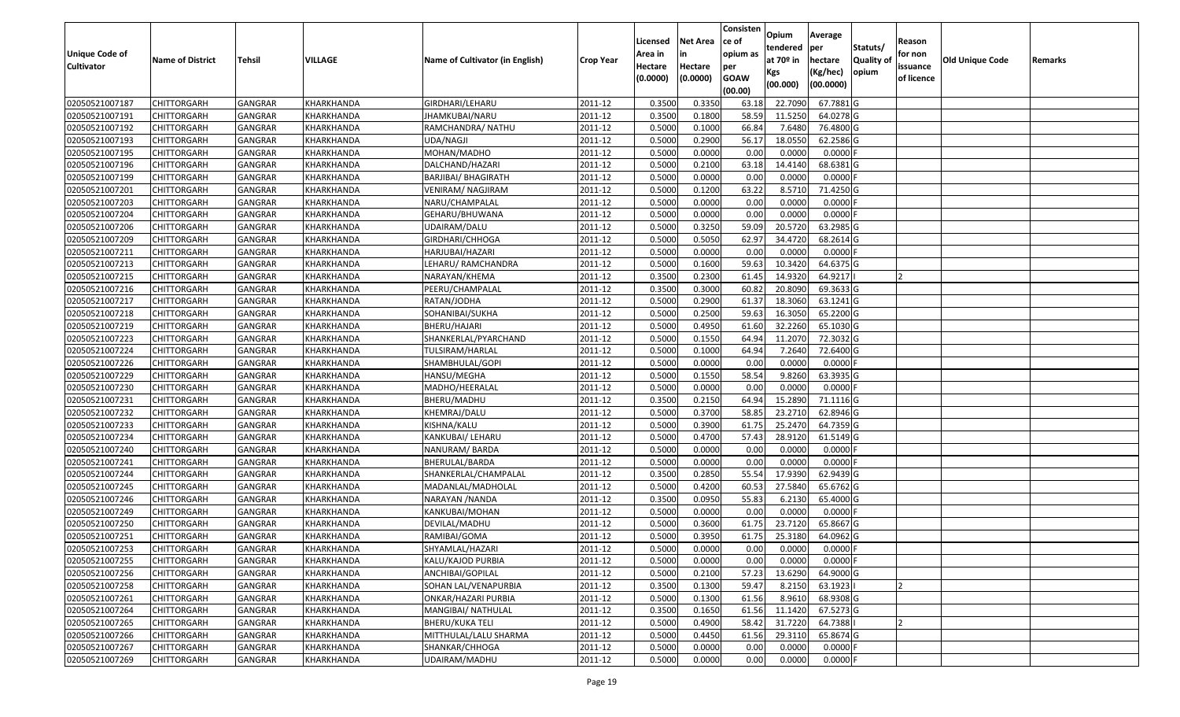| <b>Unique Code of</b> |                         |                |            |                                 |                  | Licensed<br>Area in | <b>Net Area</b><br>in | Consisten<br>ce of<br>opium as | Opium<br>tendered            | Average<br>per                   | Statuts/                  | Reason<br>for non      |                 |         |
|-----------------------|-------------------------|----------------|------------|---------------------------------|------------------|---------------------|-----------------------|--------------------------------|------------------------------|----------------------------------|---------------------------|------------------------|-----------------|---------|
| <b>Cultivator</b>     | <b>Name of District</b> | Tehsil         | VILLAGE    | Name of Cultivator (in English) | <b>Crop Year</b> | Hectare<br>(0.0000) | Hectare<br>(0.0000)   | per<br><b>GOAW</b><br>(00.00)  | at 70º in<br>Kgs<br>(00.000) | hectare<br>(Kg/hec)<br>(00.0000) | <b>Quality o</b><br>opium | issuance<br>of licence | Old Unique Code | Remarks |
| 02050521007187        | <b>CHITTORGARH</b>      | <b>GANGRAR</b> | KHARKHANDA | GIRDHARI/LEHARU                 | 2011-12          | 0.3500              | 0.3350                | 63.18                          | 22.7090                      | 67.7881 G                        |                           |                        |                 |         |
| 02050521007191        | <b>CHITTORGARH</b>      | GANGRAR        | KHARKHANDA | JHAMKUBAI/NARU                  | 2011-12          | 0.3500              | 0.1800                | 58.59                          | 11.5250                      | 64.0278 G                        |                           |                        |                 |         |
| 02050521007192        | <b>CHITTORGARH</b>      | GANGRAR        | KHARKHANDA | RAMCHANDRA/ NATHU               | 2011-12          | 0.5000              | 0.1000                | 66.84                          | 7.6480                       | 76.4800 G                        |                           |                        |                 |         |
| 02050521007193        | <b>CHITTORGARH</b>      | <b>GANGRAR</b> | KHARKHANDA | UDA/NAGJI                       | 2011-12          | 0.5000              | 0.2900                | 56.17                          | 18.0550                      | 62.2586 G                        |                           |                        |                 |         |
| 02050521007195        | <b>CHITTORGARH</b>      | GANGRAR        | KHARKHANDA | MOHAN/MADHO                     | 2011-12          | 0.5000              | 0.0000                | 0.00                           | 0.0000                       | 0.0000                           |                           |                        |                 |         |
| 02050521007196        | <b>CHITTORGARH</b>      | <b>GANGRAR</b> | KHARKHANDA | DALCHAND/HAZARI                 | 2011-12          | 0.5000              | 0.2100                | 63.18                          | 14.4140                      | 68.6381 G                        |                           |                        |                 |         |
| 02050521007199        | CHITTORGARH             | GANGRAR        | KHARKHANDA | BARJIBAI/ BHAGIRATH             | 2011-12          | 0.5000              | 0.0000                | 0.00                           | 0.0000                       | 0.0000                           |                           |                        |                 |         |
| 02050521007201        | <b>CHITTORGARH</b>      | GANGRAR        | KHARKHANDA | <b>VENIRAM/ NAGJIRAM</b>        | 2011-12          | 0.5000              | 0.1200                | 63.22                          | 8.5710                       | 71.4250 G                        |                           |                        |                 |         |
| 02050521007203        | <b>CHITTORGARH</b>      | GANGRAR        | KHARKHANDA | NARU/CHAMPALAL                  | 2011-12          | 0.5000              | 0.0000                | 0.00                           | 0.0000                       | 0.0000                           |                           |                        |                 |         |
| 02050521007204        | <b>CHITTORGARH</b>      | GANGRAR        | KHARKHANDA | GEHARU/BHUWANA                  | 2011-12          | 0.5000              | 0.0000                | 0.00                           | 0.0000                       | 0.0000                           |                           |                        |                 |         |
| 02050521007206        | <b>CHITTORGARH</b>      | GANGRAR        | KHARKHANDA | UDAIRAM/DALU                    | 2011-12          | 0.5000              | 0.3250                | 59.09                          | 20.5720                      | 63.2985 G                        |                           |                        |                 |         |
| 02050521007209        | <b>CHITTORGARH</b>      | GANGRAR        | KHARKHANDA | GIRDHARI/CHHOGA                 | 2011-12          | 0.5000              | 0.5050                | 62.97                          | 34.4720                      | 68.2614 G                        |                           |                        |                 |         |
| 02050521007211        | <b>CHITTORGARH</b>      | GANGRAR        | KHARKHANDA | HARJUBAI/HAZARI                 | 2011-12          | 0.5000              | 0.0000                | 0.00                           | 0.0000                       | 0.0000                           |                           |                        |                 |         |
| 02050521007213        | <b>CHITTORGARH</b>      | GANGRAR        | KHARKHANDA | LEHARU/RAMCHANDRA               | 2011-12          | 0.5000              | 0.1600                | 59.63                          | 10.3420                      | 64.6375 G                        |                           |                        |                 |         |
| 02050521007215        | CHITTORGARH             | GANGRAR        | KHARKHANDA | NARAYAN/KHEMA                   | 2011-12          | 0.3500              | 0.2300                | 61.45                          | 14.9320                      | 64.9217                          |                           |                        |                 |         |
| 02050521007216        | <b>CHITTORGARH</b>      | GANGRAR        | KHARKHANDA | PEERU/CHAMPALAL                 | 2011-12          | 0.3500              | 0.3000                | 60.82                          | 20.8090                      | 69.3633 G                        |                           |                        |                 |         |
| 02050521007217        | <b>CHITTORGARH</b>      | GANGRAR        | KHARKHANDA | RATAN/JODHA                     | 2011-12          | 0.5000              | 0.2900                | 61.37                          | 18.3060                      | 63.1241 G                        |                           |                        |                 |         |
| 02050521007218        | <b>CHITTORGARH</b>      | GANGRAR        | KHARKHANDA | SOHANIBAI/SUKHA                 | 2011-12          | 0.5000              | 0.2500                | 59.63                          | 16.3050                      | 65.2200 G                        |                           |                        |                 |         |
| 02050521007219        | <b>CHITTORGARH</b>      | GANGRAR        | KHARKHANDA | BHERU/HAJARI                    | 2011-12          | 0.5000              | 0.4950                | 61.60                          | 32.2260                      | 65.1030 G                        |                           |                        |                 |         |
| 02050521007223        | <b>CHITTORGARH</b>      | <b>GANGRAR</b> | KHARKHANDA | SHANKERLAL/PYARCHAND            | 2011-12          | 0.5000              | 0.1550                | 64.94                          | 11.2070                      | 72.3032 G                        |                           |                        |                 |         |
| 02050521007224        | <b>CHITTORGARH</b>      | GANGRAR        | KHARKHANDA | TULSIRAM/HARLAL                 | 2011-12          | 0.5000              | 0.1000                | 64.94                          | 7.2640                       | 72.6400 G                        |                           |                        |                 |         |
| 02050521007226        | <b>CHITTORGARH</b>      | GANGRAR        | KHARKHANDA | SHAMBHULAL/GOPI                 | 2011-12          | 0.5000              | 0.0000                | 0.00                           | 0.0000                       | 0.0000                           |                           |                        |                 |         |
| 02050521007229        | <b>CHITTORGARH</b>      | GANGRAR        | KHARKHANDA | HANSU/MEGHA                     | 2011-12          | 0.5000              | 0.1550                | 58.54                          | 9.8260                       | 63.3935 G                        |                           |                        |                 |         |
| 02050521007230        | <b>CHITTORGARH</b>      | GANGRAR        | KHARKHANDA | MADHO/HEERALAL                  | 2011-12          | 0.5000              | 0.0000                | 0.00                           | 0.0000                       | 0.0000                           |                           |                        |                 |         |
| 02050521007231        | <b>CHITTORGARH</b>      | <b>GANGRAR</b> | KHARKHANDA | BHERU/MADHU                     | 2011-12          | 0.3500              | 0.2150                | 64.94                          | 15.2890                      | 71.1116 G                        |                           |                        |                 |         |
| 02050521007232        | <b>CHITTORGARH</b>      | GANGRAR        | KHARKHANDA | KHEMRAJ/DALU                    | 2011-12          | 0.5000              | 0.3700                | 58.85                          | 23.2710                      | 62.8946 G                        |                           |                        |                 |         |
| 02050521007233        | <b>CHITTORGARH</b>      | GANGRAR        | KHARKHANDA | KISHNA/KALU                     | 2011-12          | 0.5000              | 0.3900                | 61.75                          | 25.2470                      | 64.7359 G                        |                           |                        |                 |         |
| 02050521007234        | <b>CHITTORGARH</b>      | GANGRAR        | KHARKHANDA | KANKUBAI/ LEHARU                | 2011-12          | 0.5000              | 0.4700                | 57.43                          | 28.9120                      | 61.5149 G                        |                           |                        |                 |         |
| 02050521007240        | <b>CHITTORGARH</b>      | <b>GANGRAR</b> | KHARKHANDA | NANURAM/BARDA                   | 2011-12          | 0.5000              | 0.0000                | 0.00                           | 0.0000                       | 0.0000                           |                           |                        |                 |         |
| 02050521007241        | <b>CHITTORGARH</b>      | <b>GANGRAR</b> | KHARKHANDA | BHERULAL/BARDA                  | 2011-12          | 0.5000              | 0.0000                | 0.00                           | 0.0000                       | 0.0000                           |                           |                        |                 |         |
| 02050521007244        | <b>CHITTORGARH</b>      | GANGRAR        | KHARKHANDA | SHANKERLAL/CHAMPALAL            | 2011-12          | 0.3500              | 0.2850                | 55.54                          | 17.9390                      | 62.9439 G                        |                           |                        |                 |         |
| 02050521007245        | CHITTORGARH             | GANGRAR        | KHARKHANDA | MADANLAL/MADHOLAL               | 2011-12          | 0.5000              | 0.4200                | 60.53                          | 27.5840                      | 65.6762 G                        |                           |                        |                 |         |
| 02050521007246        | <b>CHITTORGARH</b>      | GANGRAR        | KHARKHANDA | NARAYAN / NANDA                 | 2011-12          | 0.3500              | 0.0950                | 55.83                          | 6.2130                       | 65.4000 G                        |                           |                        |                 |         |
| 02050521007249        | <b>CHITTORGARH</b>      | GANGRAR        | KHARKHANDA | KANKUBAI/MOHAN                  | 2011-12          | 0.5000              | 0.0000                | 0.00                           | 0.0000                       | 0.0000                           |                           |                        |                 |         |
| 02050521007250        | CHITTORGARH             | GANGRAR        | KHARKHANDA | DEVILAL/MADHU                   | 2011-12          | 0.5000              | 0.3600                | 61.75                          | 23.7120                      | 65.8667 G                        |                           |                        |                 |         |
| 02050521007251        | <b>CHITTORGARH</b>      | GANGRAR        | KHARKHANDA | RAMIBAI/GOMA                    | 2011-12          | 0.5000              | 0.3950                | 61.75                          | 25.3180                      | 64.0962 G                        |                           |                        |                 |         |
| 02050521007253        | <b>CHITTORGARH</b>      | GANGRAR        | KHARKHANDA | SHYAMLAL/HAZARI                 | 2011-12          | 0.5000              | 0.0000                | 0.00                           | 0.0000                       | $0.0000$ F                       |                           |                        |                 |         |
| 02050521007255        | <b>CHITTORGARH</b>      | <b>GANGRAR</b> | KHARKHANDA | KALU/KAJOD PURBIA               | 2011-12          | 0.5000              | 0.0000                | 0.00                           | 0.0000                       | $0.0000$ F                       |                           |                        |                 |         |
| 02050521007256        | <b>CHITTORGARH</b>      | GANGRAR        | KHARKHANDA | ANCHIBAI/GOPILAL                | 2011-12          | 0.5000              | 0.2100                | 57.23                          | 13.6290                      | 64.9000 G                        |                           |                        |                 |         |
| 02050521007258        | <b>CHITTORGARH</b>      | GANGRAR        | KHARKHANDA | SOHAN LAL/VENAPURBIA            | 2011-12          | 0.3500              | 0.1300                | 59.47                          | 8.2150                       | 63.1923                          |                           |                        |                 |         |
| 02050521007261        | <b>CHITTORGARH</b>      | GANGRAR        | KHARKHANDA | ONKAR/HAZARI PURBIA             | 2011-12          | 0.5000              | 0.1300                | 61.56                          | 8.9610                       | 68.9308 G                        |                           |                        |                 |         |
| 02050521007264        | <b>CHITTORGARH</b>      | <b>GANGRAR</b> | KHARKHANDA | MANGIBAI/ NATHULAL              | 2011-12          | 0.3500              | 0.1650                | 61.56                          | 11.1420                      | 67.5273 G                        |                           |                        |                 |         |
| 02050521007265        | <b>CHITTORGARH</b>      | GANGRAR        | KHARKHANDA | <b>BHERU/KUKA TELI</b>          | 2011-12          | 0.5000              | 0.4900                | 58.42                          | 31.7220                      | 64.7388                          |                           |                        |                 |         |
| 02050521007266        | <b>CHITTORGARH</b>      | GANGRAR        | KHARKHANDA | MITTHULAL/LALU SHARMA           | 2011-12          | 0.5000              | 0.4450                | 61.56                          | 29.3110                      | 65.8674 G                        |                           |                        |                 |         |
| 02050521007267        | <b>CHITTORGARH</b>      | GANGRAR        | KHARKHANDA | SHANKAR/CHHOGA                  | 2011-12          | 0.5000              | 0.0000                | 0.00                           | 0.0000                       | 0.0000                           |                           |                        |                 |         |
| 02050521007269        | <b>CHITTORGARH</b>      | <b>GANGRAR</b> | KHARKHANDA | UDAIRAM/MADHU                   | 2011-12          | 0.5000              | 0.0000                | 0.00                           | 0.0000                       | $0.0000$ F                       |                           |                        |                 |         |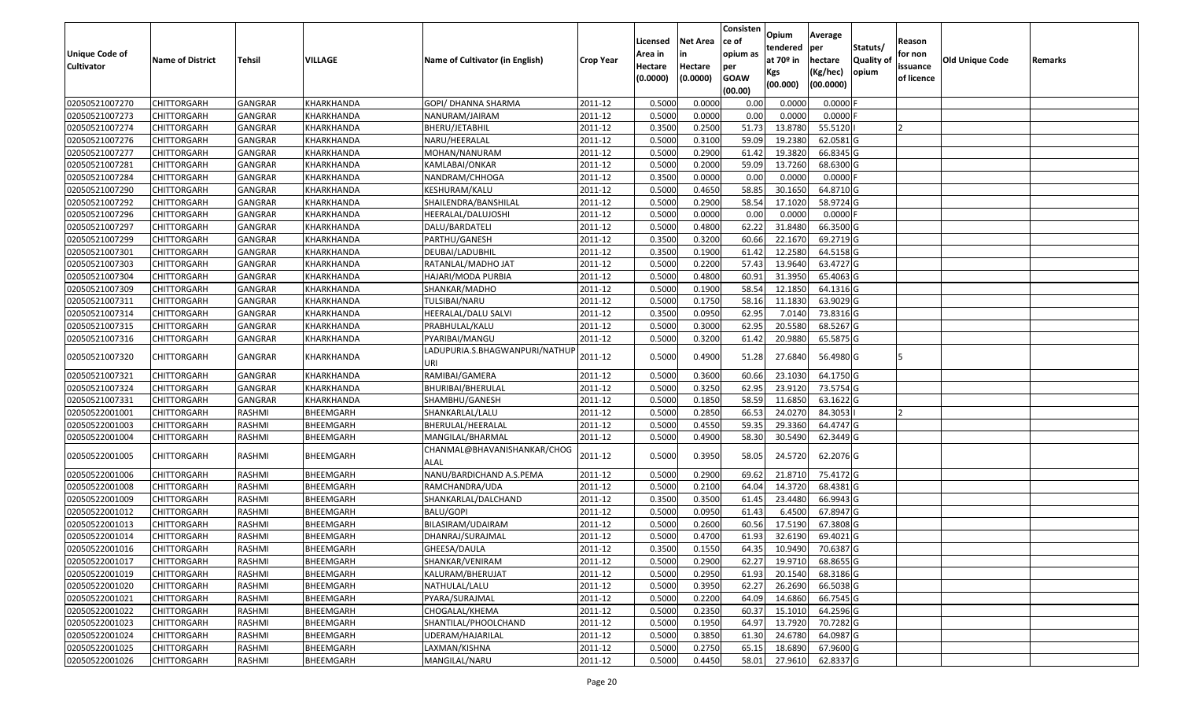| <b>Unique Code of</b> |                         |                |            |                                       |                  | Licensed<br>Area in | <b>Net Area</b><br>in | Consisten<br>ce of<br>opium as | Opium<br>tendered              | Average<br>per                   | Statuts/                  | Reason<br>for non      |                 |         |
|-----------------------|-------------------------|----------------|------------|---------------------------------------|------------------|---------------------|-----------------------|--------------------------------|--------------------------------|----------------------------------|---------------------------|------------------------|-----------------|---------|
| <b>Cultivator</b>     | <b>Name of District</b> | <b>Tehsil</b>  | VILLAGE    | Name of Cultivator (in English)       | <b>Crop Year</b> | Hectare<br>(0.0000) | Hectare<br>(0.0000)   | per<br><b>GOAW</b><br>(00.00)  | at $70°$ in<br>Kgs<br>(00.000) | hectare<br>(Kg/hec)<br>(00.0000) | <b>Quality o</b><br>opium | issuance<br>of licence | Old Unique Code | Remarks |
| 02050521007270        | CHITTORGARH             | GANGRAR        | KHARKHANDA | GOPI/ DHANNA SHARMA                   | 2011-12          | 0.5000              | 0.0000                | 0.00                           | 0.0000                         | 0.0000F                          |                           |                        |                 |         |
| 02050521007273        | CHITTORGARH             | GANGRAR        | KHARKHANDA | NANURAM/JAIRAM                        | 2011-12          | 0.5000              | 0.0000                | 0.00                           | 0.0000                         | $0.0000$ F                       |                           |                        |                 |         |
| 02050521007274        | CHITTORGARH             | GANGRAR        | KHARKHANDA | BHERU/JETABHIL                        | 2011-12          | 0.3500              | 0.2500                | 51.73                          | 13.8780                        | 55.5120                          |                           |                        |                 |         |
| 02050521007276        | <b>CHITTORGARH</b>      | <b>GANGRAR</b> | KHARKHANDA | NARU/HEERALAL                         | 2011-12          | 0.5000              | 0.3100                | 59.09                          | 19.2380                        | 62.0581G                         |                           |                        |                 |         |
| 02050521007277        | CHITTORGARH             | GANGRAR        | KHARKHANDA | MOHAN/NANURAM                         | 2011-12          | 0.5000              | 0.2900                | 61.42                          | 19.3820                        | 66.8345 G                        |                           |                        |                 |         |
| 02050521007281        | CHITTORGARH             | GANGRAR        | KHARKHANDA | KAMLABAI/ONKAR                        | 2011-12          | 0.5000              | 0.2000                | 59.09                          | 13.7260                        | 68.6300 G                        |                           |                        |                 |         |
| 02050521007284        | CHITTORGARH             | GANGRAR        | KHARKHANDA | NANDRAM/CHHOGA                        | 2011-12          | 0.3500              | 0.0000                | 0.00                           | 0.0000                         | 0.0000                           |                           |                        |                 |         |
| 02050521007290        | <b>CHITTORGARH</b>      | <b>GANGRAR</b> | KHARKHANDA | KESHURAM/KALU                         | 2011-12          | 0.5000              | 0.4650                | 58.85                          | 30.1650                        | 64.8710 G                        |                           |                        |                 |         |
| 02050521007292        | CHITTORGARH             | GANGRAR        | KHARKHANDA | SHAILENDRA/BANSHILAL                  | 2011-12          | 0.5000              | 0.2900                | 58.54                          | 17.1020                        | 58.9724 G                        |                           |                        |                 |         |
| 02050521007296        | CHITTORGARH             | GANGRAR        | KHARKHANDA | HEERALAL/DALUJOSHI                    | 2011-12          | 0.5000              | 0.0000                | 0.00                           | 0.0000                         | $0.0000$ F                       |                           |                        |                 |         |
| 02050521007297        | CHITTORGARH             | GANGRAR        | KHARKHANDA | DALU/BARDATELI                        | 2011-12          | 0.5000              | 0.4800                | 62.22                          | 31.8480                        | 66.3500 G                        |                           |                        |                 |         |
| 02050521007299        | <b>CHITTORGARH</b>      | <b>GANGRAR</b> | KHARKHANDA | PARTHU/GANESH                         | 2011-12          | 0.3500              | 0.3200                | 60.66                          | 22.1670                        | 69.2719 G                        |                           |                        |                 |         |
| 02050521007301        | <b>CHITTORGARH</b>      | <b>GANGRAR</b> | KHARKHANDA | DEUBAI/LADUBHIL                       | 2011-12          | 0.3500              | 0.1900                | 61.42                          | 12.2580                        | 64.5158 G                        |                           |                        |                 |         |
| 02050521007303        | <b>CHITTORGARH</b>      | GANGRAR        | KHARKHANDA | RATANLAL/MADHO JAT                    | 2011-12          | 0.5000              | 0.2200                | 57.43                          | 13.9640                        | 63.4727 G                        |                           |                        |                 |         |
| 02050521007304        | <b>CHITTORGARH</b>      | <b>GANGRAR</b> | KHARKHANDA | HAJARI/MODA PURBIA                    | 2011-12          | 0.5000              | 0.4800                | 60.91                          | 31.3950                        | 65.4063 G                        |                           |                        |                 |         |
| 02050521007309        | <b>CHITTORGARH</b>      | <b>GANGRAR</b> | KHARKHANDA | SHANKAR/MADHO                         | 2011-12          | 0.5000              | 0.1900                | 58.54                          | 12.1850                        | 64.1316 G                        |                           |                        |                 |         |
| 02050521007311        | <b>CHITTORGARH</b>      | <b>GANGRAR</b> | KHARKHANDA | TULSIBAI/NARU                         | 2011-12          | 0.5000              | 0.1750                | 58.16                          | 11.1830                        | 63.9029 G                        |                           |                        |                 |         |
| 02050521007314        | CHITTORGARH             | GANGRAR        | KHARKHANDA | HEERALAL/DALU SALVI                   | 2011-12          | 0.3500              | 0.0950                | 62.95                          | 7.0140                         | 73.8316 G                        |                           |                        |                 |         |
| 02050521007315        | CHITTORGARH             | GANGRAR        | KHARKHANDA | PRABHULAL/KALU                        | 2011-12          | 0.5000              | 0.3000                | 62.95                          | 20.5580                        | 68.5267 G                        |                           |                        |                 |         |
| 02050521007316        | CHITTORGARH             | GANGRAR        | KHARKHANDA | PYARIBAI/MANGU                        | 2011-12          | 0.5000              | 0.3200                | 61.42                          | 20.9880                        | 65.5875 G                        |                           |                        |                 |         |
| 02050521007320        | CHITTORGARH             | GANGRAR        | KHARKHANDA | LADUPURIA.S.BHAGWANPURI/NATHUI<br>URI | 2011-12          | 0.5000              | 0.4900                | 51.28                          | 27.6840                        | 56.4980 G                        |                           |                        |                 |         |
| 02050521007321        | CHITTORGARH             | GANGRAR        | KHARKHANDA | RAMIBAI/GAMERA                        | 2011-12          | 0.5000              | 0.3600                | 60.66                          | 23.1030                        | 64.1750 G                        |                           |                        |                 |         |
| 02050521007324        | CHITTORGARH             | GANGRAR        | KHARKHANDA | BHURIBAI/BHERULAL                     | 2011-12          | 0.5000              | 0.3250                | 62.95                          | 23.9120                        | 73.5754 G                        |                           |                        |                 |         |
| 02050521007331        | CHITTORGARH             | <b>GANGRAR</b> | KHARKHANDA | SHAMBHU/GANESH                        | 2011-12          | 0.5000              | 0.1850                | 58.59                          | 11.6850                        | 63.1622 G                        |                           |                        |                 |         |
| 02050522001001        | CHITTORGARH             | RASHMI         | BHEEMGARH  | SHANKARLAL/LALU                       | 2011-12          | 0.5000              | 0.2850                | 66.53                          | 24.0270                        | 84.3053                          |                           |                        |                 |         |
| 02050522001003        | CHITTORGARH             | RASHMI         | BHEEMGARH  | BHERULAL/HEERALAL                     | 2011-12          | 0.5000              | 0.4550                | 59.35                          | 29.3360                        | 64.4747 G                        |                           |                        |                 |         |
| 02050522001004        | CHITTORGARH             | RASHMI         | BHEEMGARH  | MANGILAL/BHARMAL                      | 2011-12          | 0.5000              | 0.4900                | 58.30                          | 30.5490                        | 62.3449 G                        |                           |                        |                 |         |
| 02050522001005        | CHITTORGARH             | RASHMI         | BHEEMGARH  | CHANMAL@BHAVANISHANKAR/CHOG<br>ALAL   | 2011-12          | 0.5000              | 0.3950                | 58.05                          | 24.5720                        | 62.2076 G                        |                           |                        |                 |         |
| 02050522001006        | CHITTORGARH             | RASHMI         | BHEEMGARH  | NANU/BARDICHAND A.S.PEMA              | 2011-12          | 0.5000              | 0.2900                | 69.62                          | 21.8710                        | 75.4172G                         |                           |                        |                 |         |
| 02050522001008        | CHITTORGARH             | RASHMI         | BHEEMGARH  | RAMCHANDRA/UDA                        | 2011-12          | 0.5000              | 0.2100                | 64.04                          | 14.3720                        | 68.4381G                         |                           |                        |                 |         |
| 02050522001009        | CHITTORGARH             | RASHMI         | BHEEMGARH  | SHANKARLAL/DALCHAND                   | 2011-12          | 0.3500              | 0.3500                | 61.45                          | 23.4480                        | 66.9943 G                        |                           |                        |                 |         |
| 02050522001012        | <b>CHITTORGARH</b>      | RASHMI         | BHEEMGARH  | BALU/GOPI                             | 2011-12          | 0.5000              | 0.0950                | 61.43                          | 6.4500                         | 67.8947 G                        |                           |                        |                 |         |
| 02050522001013        | CHITTORGARH             | RASHMI         | BHEEMGARH  | BILASIRAM/UDAIRAM                     | 2011-12          | 0.500               | 0.2600                | 60.56                          | 17.5190                        | 67.3808 G                        |                           |                        |                 |         |
| 02050522001014        | CHITTORGARH             | RASHMI         | BHEEMGARH  | DHANRAJ/SURAJMAL                      | 2011-12          | 0.5000              | 0.4700                | 61.93                          | 32.6190                        | 69.4021G                         |                           |                        |                 |         |
| 02050522001016        | <b>CHITTORGARH</b>      | RASHMI         | BHEEMGARH  | GHEESA/DAULA                          | 2011-12          | 0.3500              | 0.1550                | 64.35                          | 10.9490                        | 70.6387 G                        |                           |                        |                 |         |
| 02050522001017        | <b>CHITTORGARH</b>      | RASHMI         | BHEEMGARH  | SHANKAR/VENIRAM                       | 2011-12          | 0.5000              | 0.2900                | 62.27                          | 19.9710                        | 68.8655 G                        |                           |                        |                 |         |
| 02050522001019        | <b>CHITTORGARH</b>      | RASHMI         | BHEEMGARH  | KALURAM/BHERUJAT                      | 2011-12          | 0.5000              | 0.2950                | 61.93                          | 20.1540                        | 68.3186 G                        |                           |                        |                 |         |
| 02050522001020        | <b>CHITTORGARH</b>      | RASHMI         | BHEEMGARH  | NATHULAL/LALU                         | 2011-12          | 0.5000              | 0.3950                | 62.27                          | 26.2690                        | 66.5038 G                        |                           |                        |                 |         |
| 02050522001021        | <b>CHITTORGARH</b>      | RASHMI         | BHEEMGARH  | PYARA/SURAJMAL                        | 2011-12          | 0.5000              | 0.2200                | 64.09                          | 14.6860                        | 66.7545 G                        |                           |                        |                 |         |
| 02050522001022        | <b>CHITTORGARH</b>      | RASHMI         | BHEEMGARH  | CHOGALAL/KHEMA                        | 2011-12          | 0.5000              | 0.2350                | 60.37                          | 15.1010                        | 64.2596 G                        |                           |                        |                 |         |
| 02050522001023        | <b>CHITTORGARH</b>      | RASHMI         | BHEEMGARH  | SHANTILAL/PHOOLCHAND                  | 2011-12          | 0.5000              | 0.1950                | 64.97                          | 13.7920                        | 70.7282 G                        |                           |                        |                 |         |
| 02050522001024        | <b>CHITTORGARH</b>      | RASHMI         | BHEEMGARH  | UDERAM/HAJARILAL                      | 2011-12          | 0.5000              | 0.3850                | 61.30                          | 24.6780                        | 64.0987 G                        |                           |                        |                 |         |
| 02050522001025        | <b>CHITTORGARH</b>      | RASHMI         | BHEEMGARH  | LAXMAN/KISHNA                         | 2011-12          | 0.5000              | 0.2750                | 65.15                          | 18.6890                        | 67.9600 G                        |                           |                        |                 |         |
| 02050522001026        | <b>CHITTORGARH</b>      | RASHMI         | BHEEMGARH  | MANGILAL/NARU                         | 2011-12          | 0.5000              | 0.4450                | 58.01                          | 27.9610                        | 62.8337 G                        |                           |                        |                 |         |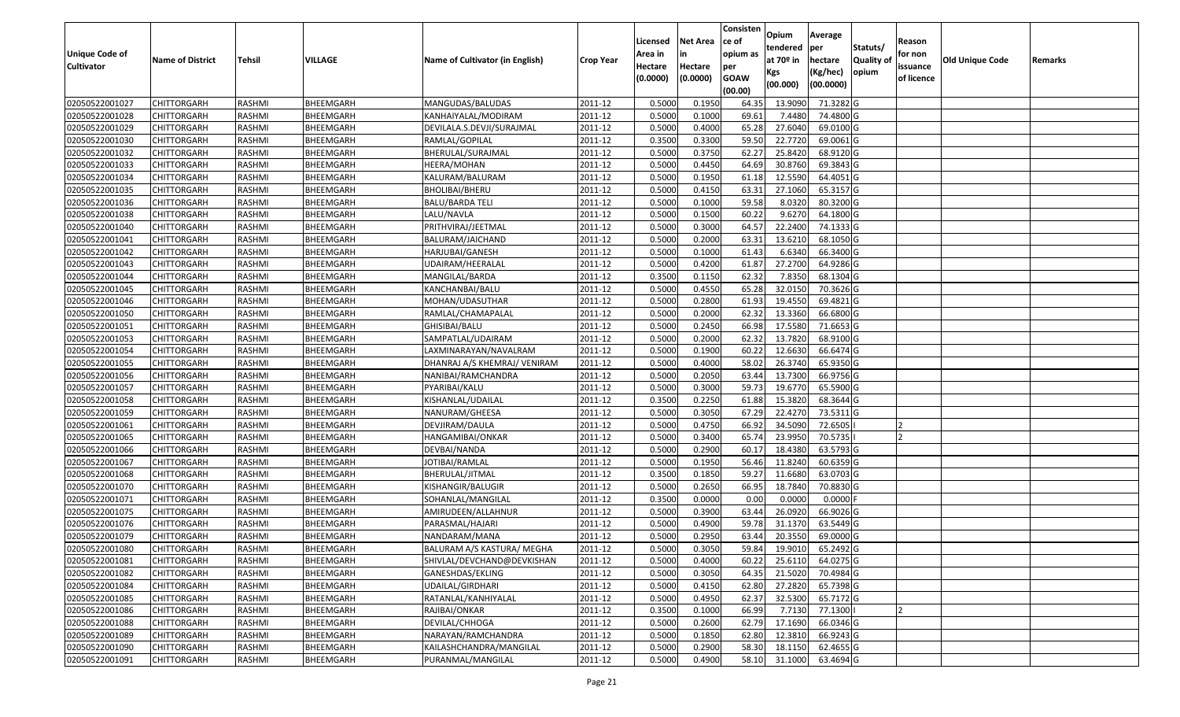| <b>Unique Code of</b><br><b>Cultivator</b> | <b>Name of District</b> | <b>Tehsil</b> | VILLAGE   | Name of Cultivator (in English) | <b>Crop Year</b> | Licensed<br>Area in<br>Hectare<br>(0.0000) | <b>Net Area</b><br>in<br>Hectare<br>(0.0000) | Consisten<br>ce of<br>opium as<br>per<br><b>GOAW</b><br>(00.00) | Opium<br>tendered<br>at $70°$ in<br>Kgs<br>(00.000) | Average<br>per<br>hectare<br>(Kg/hec)<br>(00.0000) | Statuts/<br>Quality of<br>opium | Reason<br>for non<br>issuance<br>of licence | <b>Old Unique Code</b> | Remarks |
|--------------------------------------------|-------------------------|---------------|-----------|---------------------------------|------------------|--------------------------------------------|----------------------------------------------|-----------------------------------------------------------------|-----------------------------------------------------|----------------------------------------------------|---------------------------------|---------------------------------------------|------------------------|---------|
| 02050522001027                             | <b>CHITTORGARH</b>      | RASHMI        | BHEEMGARH | MANGUDAS/BALUDAS                | 2011-12          | 0.5000                                     | 0.1950                                       | 64.35                                                           | 13.9090                                             | 71.3282 G                                          |                                 |                                             |                        |         |
| 02050522001028                             | CHITTORGARH             | RASHMI        | BHEEMGARH | KANHAIYALAL/MODIRAM             | 2011-12          | 0.5000                                     | 0.1000                                       | 69.6                                                            | 7.4480                                              | 74.4800 G                                          |                                 |                                             |                        |         |
| 02050522001029                             | CHITTORGARH             | RASHMI        | BHEEMGARH | DEVILALA.S.DEVJI/SURAJMAL       | 2011-12          | 0.5000                                     | 0.4000                                       | 65.28                                                           | 27.6040                                             | 69.0100G                                           |                                 |                                             |                        |         |
| 02050522001030                             | <b>CHITTORGARH</b>      | RASHMI        | BHEEMGARH | RAMLAL/GOPILAL                  | 2011-12          | 0.3500                                     | 0.3300                                       | 59.50                                                           | 22.7720                                             | 69.0061G                                           |                                 |                                             |                        |         |
| 02050522001032                             | <b>CHITTORGARH</b>      | RASHMI        | BHEEMGARH | BHERULAL/SURAJMAL               | 2011-12          | 0.5000                                     | 0.3750                                       | 62.27                                                           | 25.8420                                             | 68.9120 G                                          |                                 |                                             |                        |         |
| 02050522001033                             | <b>CHITTORGARH</b>      | RASHMI        | BHEEMGARH | HEERA/MOHAN                     | 2011-12          | 0.5000                                     | 0.4450                                       | 64.69                                                           | 30.8760                                             | 69.3843 G                                          |                                 |                                             |                        |         |
| 02050522001034                             | <b>CHITTORGARH</b>      | RASHMI        | BHEEMGARH | KALURAM/BALURAM                 | 2011-12          | 0.5000                                     | 0.1950                                       | 61.18                                                           | 12.5590                                             | 64.4051G                                           |                                 |                                             |                        |         |
| 02050522001035                             | <b>CHITTORGARH</b>      | RASHMI        | BHEEMGARH | BHOLIBAI/BHERU                  | 2011-12          | 0.5000                                     | 0.4150                                       | 63.31                                                           | 27.1060                                             | 65.3157 G                                          |                                 |                                             |                        |         |
| 02050522001036                             | <b>CHITTORGARH</b>      | RASHMI        | BHEEMGARH | <b>BALU/BARDA TELI</b>          | 2011-12          | 0.5000                                     | 0.1000                                       | 59.58                                                           | 8.0320                                              | 80.3200 G                                          |                                 |                                             |                        |         |
| 02050522001038                             | CHITTORGARH             | RASHMI        | BHEEMGARH | LALU/NAVLA                      | 2011-12          | 0.5000                                     | 0.1500                                       | 60.22                                                           | 9.6270                                              | 64.1800 G                                          |                                 |                                             |                        |         |
| 02050522001040                             | <b>CHITTORGARH</b>      | RASHMI        | BHEEMGARH | PRITHVIRAJ/JEETMAL              | 2011-12          | 0.5000                                     | 0.3000                                       | 64.57                                                           | 22.2400                                             | 74.1333 G                                          |                                 |                                             |                        |         |
| 02050522001041                             | CHITTORGARH             | RASHMI        | BHEEMGARH | BALURAM/JAICHAND                | 2011-12          | 0.5000                                     | 0.2000                                       | 63.31                                                           | 13.6210                                             | 68.1050 G                                          |                                 |                                             |                        |         |
| 02050522001042                             | CHITTORGARH             | RASHMI        | BHEEMGARH | HARJUBAI/GANESH                 | 2011-12          | 0.5000                                     | 0.1000                                       | 61.43                                                           | 6.6340                                              | 66.3400 G                                          |                                 |                                             |                        |         |
| 02050522001043                             | CHITTORGARH             | RASHMI        | BHEEMGARH | UDAIRAM/HEERALAL                | 2011-12          | 0.5000                                     | 0.4200                                       | 61.87                                                           | 27.2700                                             | 64.9286 G                                          |                                 |                                             |                        |         |
| 02050522001044                             | CHITTORGARH             | RASHMI        | BHEEMGARH | MANGILAL/BARDA                  | 2011-12          | 0.3500                                     | 0.1150                                       | 62.32                                                           | 7.8350                                              | 68.1304 G                                          |                                 |                                             |                        |         |
| 02050522001045                             | CHITTORGARH             | RASHMI        | BHEEMGARH | KANCHANBAI/BALU                 | 2011-12          | 0.5000                                     | 0.4550                                       | 65.28                                                           | 32.015                                              | 70.3626 G                                          |                                 |                                             |                        |         |
| 02050522001046                             | CHITTORGARH             | RASHMI        | BHEEMGARH | MOHAN/UDASUTHAR                 | 2011-12          | 0.5000                                     | 0.2800                                       | 61.93                                                           | 19.4550                                             | 69.4821G                                           |                                 |                                             |                        |         |
| 02050522001050                             | CHITTORGARH             | RASHMI        | BHEEMGARH | RAMLAL/CHAMAPALAL               | 2011-12          | 0.5000                                     | 0.2000                                       | 62.32                                                           | 13.3360                                             | 66.6800 G                                          |                                 |                                             |                        |         |
| 02050522001051                             | CHITTORGARH             | RASHMI        | BHEEMGARH | GHISIBAI/BALU                   | 2011-12          | 0.5000                                     | 0.2450                                       | 66.98                                                           | 17.5580                                             | 71.6653 G                                          |                                 |                                             |                        |         |
| 02050522001053                             | CHITTORGARH             | RASHMI        | BHEEMGARH | SAMPATLAL/UDAIRAM               | 2011-12          | 0.5000                                     | 0.2000                                       | 62.32                                                           | 13.7820                                             | 68.9100 G                                          |                                 |                                             |                        |         |
| 02050522001054                             | <b>CHITTORGARH</b>      | RASHMI        | BHEEMGARH | LAXMINARAYAN/NAVALRAM           | 2011-12          | 0.5000                                     | 0.1900                                       | 60.22                                                           | 12.6630                                             | 66.6474 G                                          |                                 |                                             |                        |         |
| 02050522001055                             | CHITTORGARH             | RASHMI        | BHEEMGARH | DHANRAJ A/S KHEMRAJ/ VENIRAM    | 2011-12          | 0.5000                                     | 0.4000                                       | 58.02                                                           | 26.3740                                             | 65.9350 G                                          |                                 |                                             |                        |         |
| 02050522001056                             | CHITTORGARH             | RASHMI        | BHEEMGARH | NANIBAI/RAMCHANDRA              | 2011-12          | 0.5000                                     | 0.2050                                       | 63.44                                                           | 13.7300                                             | 66.9756 G                                          |                                 |                                             |                        |         |
| 02050522001057                             | CHITTORGARH             | RASHMI        | BHEEMGARH | PYARIBAI/KALU                   | 2011-12          | 0.5000                                     | 0.3000                                       | 59.73                                                           | 19.6770                                             | 65.5900 G                                          |                                 |                                             |                        |         |
| 02050522001058                             | CHITTORGARH             | RASHMI        | BHEEMGARH | KISHANLAL/UDAILAL               | 2011-12          | 0.3500                                     | 0.2250                                       | 61.88                                                           | 15.382                                              | 68.3644 G                                          |                                 |                                             |                        |         |
| 02050522001059                             | CHITTORGARH             | RASHMI        | BHEEMGARH | NANURAM/GHEESA                  | 2011-12          | 0.5000                                     | 0.3050                                       | 67.29                                                           | 22.4270                                             | 73.5311 G                                          |                                 |                                             |                        |         |
| 02050522001061                             | CHITTORGARH             | RASHMI        | BHEEMGARH | DEVJIRAM/DAULA                  | 2011-12          | 0.5000                                     | 0.4750                                       | 66.92                                                           | 34.5090                                             | 72.6505                                            |                                 |                                             |                        |         |
| 02050522001065                             | CHITTORGARH             | RASHMI        | BHEEMGARH | HANGAMIBAI/ONKAR                | 2011-12          | 0.5000                                     | 0.3400                                       | 65.7                                                            | 23.9950                                             | 70.5735                                            |                                 |                                             |                        |         |
| 02050522001066                             | <b>CHITTORGARH</b>      | RASHMI        | BHEEMGARH | DEVBAI/NANDA                    | 2011-12          | 0.5000                                     | 0.2900                                       | 60.17                                                           | 18.4380                                             | 63.5793 G                                          |                                 |                                             |                        |         |
| 02050522001067                             | <b>CHITTORGARH</b>      | RASHMI        | BHEEMGARH | JOTIBAI/RAMLAL                  | 2011-12          | 0.5000                                     | 0.1950                                       | 56.46                                                           | 11.8240                                             | 60.6359 G                                          |                                 |                                             |                        |         |
| 02050522001068                             | CHITTORGARH             | RASHMI        | BHEEMGARH | BHERULAL/JITMAL                 | 2011-12          | 0.3500                                     | 0.1850                                       | 59.27                                                           | 11.6680                                             | 63.0703 G                                          |                                 |                                             |                        |         |
| 02050522001070                             | <b>CHITTORGARH</b>      | RASHMI        | BHEEMGARH | KISHANGIR/BALUGIR               | 2011-12          | 0.5000                                     | 0.2650                                       | 66.95                                                           | 18.7840                                             | 70.8830 G                                          |                                 |                                             |                        |         |
| 02050522001071                             | <b>CHITTORGARH</b>      | RASHMI        | BHEEMGARH | SOHANLAL/MANGILAL               | 2011-12          | 0.3500                                     | 0.0000                                       | 0.00                                                            | 0.0000                                              | 0.0000F                                            |                                 |                                             |                        |         |
| 02050522001075                             | <b>CHITTORGARH</b>      | RASHMI        | BHEEMGARH | AMIRUDEEN/ALLAHNUR              | 2011-12          | 0.5000                                     | 0.3900                                       | 63.44                                                           | 26.0920                                             | 66.9026 G                                          |                                 |                                             |                        |         |
| 02050522001076                             | CHITTORGARH             | RASHMI        | BHEEMGARH | PARASMAL/HAJARI                 | 2011-12          | 0.500                                      | 0.4900                                       | 59.78                                                           | 31.137                                              | 63.5449 G                                          |                                 |                                             |                        |         |
| 02050522001079                             | CHITTORGARH             | RASHMI        | BHEEMGARH | NANDARAM/MANA                   | 2011-12          | 0.5000                                     | 0.2950                                       | 63.44                                                           | 20.3550                                             | 69.0000 G                                          |                                 |                                             |                        |         |
| 02050522001080                             | <b>CHITTORGARH</b>      | RASHMI        | BHEEMGARH | BALURAM A/S KASTURA/ MEGHA      | 2011-12          | 0.5000                                     | 0.3050                                       | 59.84                                                           | 19.9010                                             | 65.2492 G                                          |                                 |                                             |                        |         |
| 02050522001081                             | <b>CHITTORGARH</b>      | RASHMI        | BHEEMGARH | SHIVLAL/DEVCHAND@DEVKISHAN      | 2011-12          | 0.5000                                     | 0.4000                                       | 60.22                                                           | 25.6110                                             | 64.0275 G                                          |                                 |                                             |                        |         |
| 02050522001082                             | <b>CHITTORGARH</b>      | RASHMI        | BHEEMGARH | GANESHDAS/EKLING                | 2011-12          | 0.5000                                     | 0.3050                                       | 64.35                                                           | 21.5020                                             | 70.4984 G                                          |                                 |                                             |                        |         |
| 02050522001084                             | <b>CHITTORGARH</b>      | RASHMI        | BHEEMGARH | UDAILAL/GIRDHARI                | 2011-12          | 0.5000                                     | 0.4150                                       | 62.80                                                           | 27.2820                                             | 65.7398 G                                          |                                 |                                             |                        |         |
| 02050522001085                             | <b>CHITTORGARH</b>      | RASHMI        | BHEEMGARH | RATANLAL/KANHIYALAL             | 2011-12          | 0.5000                                     | 0.4950                                       | 62.37                                                           | 32.5300                                             | 65.7172 G                                          |                                 |                                             |                        |         |
| 02050522001086                             | <b>CHITTORGARH</b>      | RASHMI        | BHEEMGARH | RAJIBAI/ONKAR                   | 2011-12          | 0.3500                                     | 0.1000                                       | 66.99                                                           | 7.7130                                              | 77.1300                                            |                                 |                                             |                        |         |
| 02050522001088                             | <b>CHITTORGARH</b>      | RASHMI        | BHEEMGARH | DEVILAL/CHHOGA                  | 2011-12          | 0.5000                                     | 0.2600                                       | 62.79                                                           | 17.1690                                             | 66.0346 G                                          |                                 |                                             |                        |         |
| 02050522001089                             | <b>CHITTORGARH</b>      | RASHMI        | BHEEMGARH | NARAYAN/RAMCHANDRA              | 2011-12          | 0.5000                                     | 0.1850                                       | 62.80                                                           | 12.3810                                             | 66.9243 G                                          |                                 |                                             |                        |         |
| 02050522001090                             | <b>CHITTORGARH</b>      | RASHMI        | BHEEMGARH | KAILASHCHANDRA/MANGILAL         | 2011-12          | 0.5000                                     | 0.2900                                       | 58.30                                                           | 18.1150                                             | 62.4655 G                                          |                                 |                                             |                        |         |
| 02050522001091                             | <b>CHITTORGARH</b>      | RASHMI        | BHEEMGARH | PURANMAL/MANGILAL               | 2011-12          | 0.5000                                     | 0.4900                                       | 58.10                                                           | 31.1000                                             | 63.4694 G                                          |                                 |                                             |                        |         |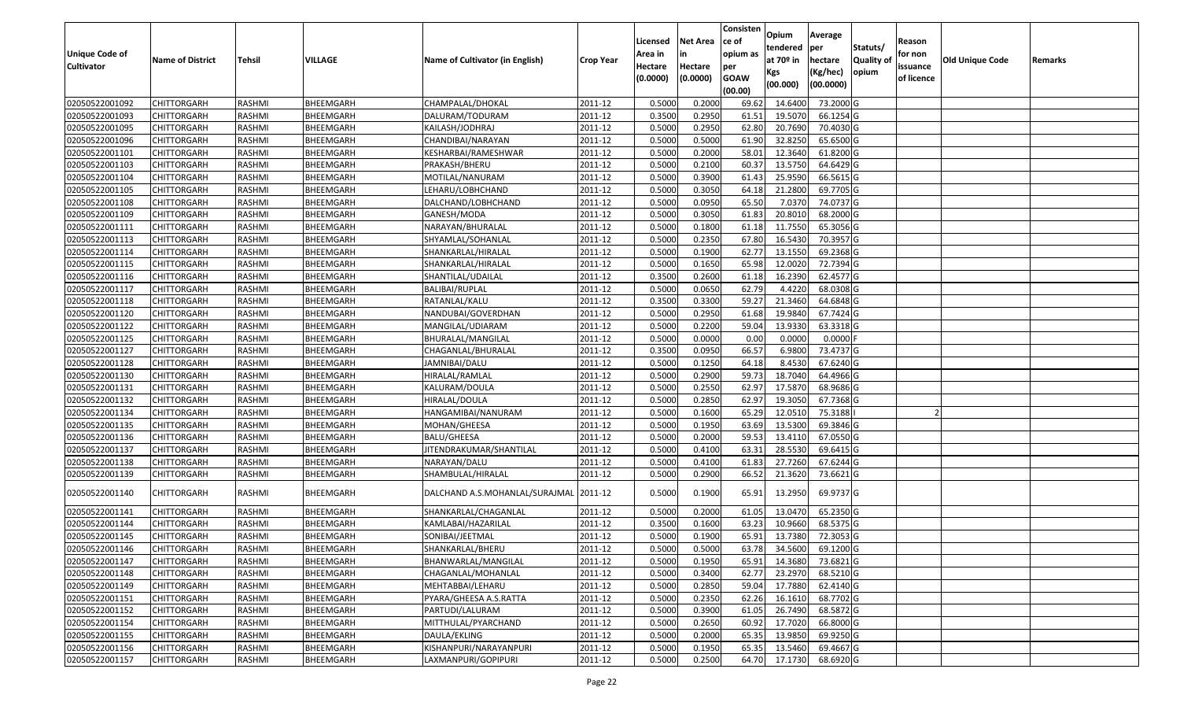| <b>Unique Code of</b><br><b>Cultivator</b> | <b>Name of District</b> | <b>Tehsil</b> | VILLAGE          | Name of Cultivator (in English)        | <b>Crop Year</b> | Licensed<br>Area in<br>Hectare<br>(0.0000) | <b>Net Area</b><br>in<br>Hectare<br>(0.0000) | Consisten<br>ce of<br>opium as<br>per<br><b>GOAW</b><br>(00.00) | Opium<br>tendered<br>at $70°$ in<br>Kgs<br>(00.000) | Average<br>per<br>hectare<br>(Kg/hec)<br>(00.0000) | Statuts/<br>Quality of<br>opium | Reason<br>for non<br>issuance<br>of licence | <b>Old Unique Code</b> | Remarks |
|--------------------------------------------|-------------------------|---------------|------------------|----------------------------------------|------------------|--------------------------------------------|----------------------------------------------|-----------------------------------------------------------------|-----------------------------------------------------|----------------------------------------------------|---------------------------------|---------------------------------------------|------------------------|---------|
| 02050522001092                             | <b>CHITTORGARH</b>      | RASHMI        | BHEEMGARH        | CHAMPALAL/DHOKAL                       | 2011-12          | 0.5000                                     | 0.2000                                       | 69.62                                                           | 14.6400                                             | 73.2000 G                                          |                                 |                                             |                        |         |
| 02050522001093                             | CHITTORGARH             | RASHMI        | BHEEMGARH        | DALURAM/TODURAM                        | 2011-12          | 0.3500                                     | 0.2950                                       | 61.5                                                            | 19.5070                                             | 66.1254 G                                          |                                 |                                             |                        |         |
| 02050522001095                             | CHITTORGARH             | RASHMI        | BHEEMGARH        | KAILASH/JODHRAJ                        | 2011-12          | 0.5000                                     | 0.2950                                       | 62.80                                                           | 20.7690                                             | 70.4030 G                                          |                                 |                                             |                        |         |
| 02050522001096                             | <b>CHITTORGARH</b>      | RASHMI        | BHEEMGARH        | CHANDIBAI/NARAYAN                      | 2011-12          | 0.5000                                     | 0.5000                                       | 61.90                                                           | 32.8250                                             | 65.6500G                                           |                                 |                                             |                        |         |
| 02050522001101                             | <b>CHITTORGARH</b>      | RASHMI        | BHEEMGARH        | KESHARBAI/RAMESHWAR                    | 2011-12          | 0.5000                                     | 0.2000                                       | 58.01                                                           | 12.3640                                             | 61.8200 G                                          |                                 |                                             |                        |         |
| 02050522001103                             | <b>CHITTORGARH</b>      | RASHMI        | BHEEMGARH        | PRAKASH/BHERU                          | 2011-12          | 0.5000                                     | 0.2100                                       | 60.3                                                            | 13.575                                              | 64.6429 G                                          |                                 |                                             |                        |         |
| 02050522001104                             | <b>CHITTORGARH</b>      | RASHMI        | BHEEMGARH        | MOTILAL/NANURAM                        | 2011-12          | 0.5000                                     | 0.3900                                       | 61.43                                                           | 25.9590                                             | 66.5615 G                                          |                                 |                                             |                        |         |
| 02050522001105                             | <b>CHITTORGARH</b>      | RASHMI        | BHEEMGARH        | LEHARU/LOBHCHAND                       | 2011-12          | 0.5000                                     | 0.3050                                       | 64.18                                                           | 21.2800                                             | 69.7705 G                                          |                                 |                                             |                        |         |
| 02050522001108                             | <b>CHITTORGARH</b>      | RASHMI        | BHEEMGARH        | DALCHAND/LOBHCHAND                     | 2011-12          | 0.5000                                     | 0.0950                                       | 65.50                                                           | 7.0370                                              | 74.0737 G                                          |                                 |                                             |                        |         |
| 02050522001109                             | CHITTORGARH             | RASHMI        | BHEEMGARH        | GANESH/MODA                            | 2011-12          | 0.5000                                     | 0.3050                                       | 61.83                                                           | 20.8010                                             | 68.2000 G                                          |                                 |                                             |                        |         |
| 02050522001111                             | <b>CHITTORGARH</b>      | RASHMI        | BHEEMGARH        | NARAYAN/BHURALAL                       | 2011-12          | 0.5000                                     | 0.1800                                       | 61.18                                                           | 11.7550                                             | 65.3056 G                                          |                                 |                                             |                        |         |
| 02050522001113                             | CHITTORGARH             | RASHMI        | BHEEMGARH        | SHYAMLAL/SOHANLAL                      | 2011-12          | 0.5000                                     | 0.2350                                       | 67.80                                                           | 16.5430                                             | 70.3957 G                                          |                                 |                                             |                        |         |
| 02050522001114                             | CHITTORGARH             | RASHMI        | BHEEMGARH        | SHANKARLAL/HIRALAL                     | 2011-12          | 0.5000                                     | 0.1900                                       | 62.77                                                           | 13.1550                                             | 69.2368 G                                          |                                 |                                             |                        |         |
| 02050522001115                             | CHITTORGARH             | RASHMI        | BHEEMGARH        | SHANKARLAL/HIRALAL                     | 2011-12          | 0.5000                                     | 0.1650                                       | 65.98                                                           | 12.0020                                             | 72.7394 G                                          |                                 |                                             |                        |         |
| 02050522001116                             | CHITTORGARH             | RASHMI        | BHEEMGARH        | SHANTILAL/UDAILAL                      | 2011-12          | 0.3500                                     | 0.2600                                       | 61.18                                                           | 16.2390                                             | 62.4577 G                                          |                                 |                                             |                        |         |
| 02050522001117                             | CHITTORGARH             | RASHMI        | BHEEMGARH        | BALIBAI/RUPLAL                         | 2011-12          | 0.5000                                     | 0.0650                                       | 62.79                                                           | 4.4220                                              | 68.0308 G                                          |                                 |                                             |                        |         |
| 02050522001118                             | CHITTORGARH             | RASHMI        | BHEEMGARH        | RATANLAL/KALU                          | 2011-12          | 0.3500                                     | 0.3300                                       | 59.27                                                           | 21.3460                                             | 64.6848 G                                          |                                 |                                             |                        |         |
| 02050522001120                             | <b>CHITTORGARH</b>      | RASHMI        | BHEEMGARH        | NANDUBAI/GOVERDHAN                     | 2011-12          | 0.5000                                     | 0.2950                                       | 61.68                                                           | 19.984                                              | 67.7424 G                                          |                                 |                                             |                        |         |
| 02050522001122                             | CHITTORGARH             | RASHMI        | <b>BHEEMGARH</b> | MANGILAL/UDIARAM                       | 2011-12          | 0.5000                                     | 0.2200                                       | 59.04                                                           | 13.9330                                             | 63.3318 G                                          |                                 |                                             |                        |         |
| 02050522001125                             | CHITTORGARH             | RASHMI        | BHEEMGARH        | BHURALAL/MANGILAL                      | 2011-12          | 0.5000                                     | 0.0000                                       | 0.00                                                            | 0.0000                                              | $0.0000$ F                                         |                                 |                                             |                        |         |
| 02050522001127                             | <b>CHITTORGARH</b>      | RASHMI        | BHEEMGARH        | CHAGANLAL/BHURALAL                     | 2011-12          | 0.3500                                     | 0.0950                                       | 66.57                                                           | 6.9800                                              | 73.4737 G                                          |                                 |                                             |                        |         |
| 02050522001128                             | CHITTORGARH             | RASHMI        | BHEEMGARH        | JAMNIBAI/DALU                          | 2011-12          | 0.5000                                     | 0.1250                                       | 64.18                                                           | 8.4530                                              | 67.6240 G                                          |                                 |                                             |                        |         |
| 02050522001130                             | CHITTORGARH             | RASHMI        | BHEEMGARH        | HIRALAL/RAMLAL                         | 2011-12          | 0.5000                                     | 0.2900                                       | 59.73                                                           | 18.7040                                             | 64.4966 G                                          |                                 |                                             |                        |         |
| 02050522001131                             | CHITTORGARH             | RASHMI        | BHEEMGARH        | KALURAM/DOULA                          | 2011-12          | 0.5000                                     | 0.2550                                       | 62.97                                                           | 17.5870                                             | 68.9686 G                                          |                                 |                                             |                        |         |
| 02050522001132                             | CHITTORGARH             | RASHMI        | BHEEMGARH        | HIRALAL/DOULA                          | 2011-12          | 0.5000                                     | 0.2850                                       | 62.97                                                           | 19.305                                              | 67.7368 G                                          |                                 |                                             |                        |         |
| 02050522001134                             | CHITTORGARH             | RASHMI        | BHEEMGARH        | HANGAMIBAI/NANURAM                     | 2011-12          | 0.5000                                     | 0.1600                                       | 65.29                                                           | 12.0510                                             | 75.3188                                            |                                 |                                             |                        |         |
| 02050522001135                             | CHITTORGARH             | RASHMI        | BHEEMGARH        | MOHAN/GHEESA                           | 2011-12          | 0.5000                                     | 0.1950                                       | 63.69                                                           | 13.5300                                             | 69.3846 G                                          |                                 |                                             |                        |         |
| 02050522001136                             | CHITTORGARH             | RASHMI        | BHEEMGARH        | BALU/GHEESA                            | 2011-12          | 0.5000                                     | 0.2000                                       | 59.53                                                           | 13.4110                                             | 67.0550 G                                          |                                 |                                             |                        |         |
| 02050522001137                             | <b>CHITTORGARH</b>      | RASHMI        | BHEEMGARH        | JITENDRAKUMAR/SHANTILAL                | 2011-12          | 0.5000                                     | 0.4100                                       | 63.31                                                           | 28.5530                                             | 69.6415 G                                          |                                 |                                             |                        |         |
| 02050522001138                             | <b>CHITTORGARH</b>      | RASHMI        | BHEEMGARH        | NARAYAN/DALU                           | 2011-12          | 0.5000                                     | 0.4100                                       | 61.83                                                           | 27.7260                                             | 67.6244 G                                          |                                 |                                             |                        |         |
| 02050522001139                             | <b>CHITTORGARH</b>      | RASHMI        | BHEEMGARH        | SHAMBULAL/HIRALAL                      | 2011-12          | 0.5000                                     | 0.2900                                       | 66.52                                                           | 21.3620                                             | 73.6621 G                                          |                                 |                                             |                        |         |
| 02050522001140                             | CHITTORGARH             | RASHMI        | BHEEMGARH        | DALCHAND A.S.MOHANLAL/SURAJMAL 2011-12 |                  | 0.5000                                     | 0.1900                                       | 65.91                                                           | 13.2950                                             | 69.9737 G                                          |                                 |                                             |                        |         |
| 02050522001141                             | <b>CHITTORGARH</b>      | RASHMI        | BHEEMGARH        | SHANKARLAL/CHAGANLAL                   | 2011-12          | 0.5000                                     | 0.2000                                       | 61.05                                                           | 13.0470                                             | 65.2350 G                                          |                                 |                                             |                        |         |
| 02050522001144                             | CHITTORGARH             | RASHMI        | BHEEMGARH        | KAMLABAI/HAZARILAL                     | 2011-12          | 0.350                                      | 0.1600                                       | 63.23                                                           | 10.9660                                             | 68.5375 G                                          |                                 |                                             |                        |         |
| 02050522001145                             | CHITTORGARH             | RASHMI        | BHEEMGARH        | SONIBAI/JEETMAL                        | 2011-12          | 0.500                                      | 0.1900                                       | 65.91                                                           | 13.7380                                             | 72.3053 G                                          |                                 |                                             |                        |         |
| 02050522001146                             | <b>CHITTORGARH</b>      | RASHMI        | BHEEMGARH        | SHANKARLAL/BHERU                       | 2011-12          | 0.5000                                     | 0.5000                                       | 63.78                                                           | 34.5600                                             | 69.1200 G                                          |                                 |                                             |                        |         |
| 02050522001147                             | <b>CHITTORGARH</b>      | RASHMI        | BHEEMGARH        | BHANWARLAL/MANGILAL                    | 2011-12          | 0.5000                                     | 0.1950                                       | 65.91                                                           | 14.3680                                             | 73.6821 G                                          |                                 |                                             |                        |         |
| 02050522001148                             | <b>CHITTORGARH</b>      | RASHMI        | BHEEMGARH        | CHAGANLAL/MOHANLAL                     | 2011-12          | 0.5000                                     | 0.3400                                       | 62.77                                                           | 23.2970                                             | 68.5210 G                                          |                                 |                                             |                        |         |
| 02050522001149                             | <b>CHITTORGARH</b>      | RASHMI        | BHEEMGARH        | MEHTABBAI/LEHARU                       | 2011-12          | 0.5000                                     | 0.2850                                       | 59.04                                                           | 17.7880                                             | 62.4140 G                                          |                                 |                                             |                        |         |
| 02050522001151                             | <b>CHITTORGARH</b>      | RASHMI        | BHEEMGARH        | PYARA/GHEESA A.S.RATTA                 | 2011-12          | 0.5000                                     | 0.2350                                       | 62.26                                                           | 16.1610                                             | 68.7702 G                                          |                                 |                                             |                        |         |
| 02050522001152                             | <b>CHITTORGARH</b>      | RASHMI        | BHEEMGARH        | PARTUDI/LALURAM                        | 2011-12          | 0.5000                                     | 0.3900                                       | 61.05                                                           | 26.7490                                             | 68.5872 G                                          |                                 |                                             |                        |         |
| 02050522001154                             | <b>CHITTORGARH</b>      | RASHMI        | BHEEMGARH        | MITTHULAL/PYARCHAND                    | 2011-12          | 0.5000                                     | 0.2650                                       | 60.92                                                           | 17.7020                                             | 66.8000 G                                          |                                 |                                             |                        |         |
| 02050522001155                             | <b>CHITTORGARH</b>      | RASHMI        | BHEEMGARH        | DAULA/EKLING                           | 2011-12          | 0.5000                                     | 0.2000                                       | 65.35                                                           | 13.9850                                             | 69.9250 G                                          |                                 |                                             |                        |         |
| 02050522001156                             | CHITTORGARH             | RASHMI        | BHEEMGARH        | KISHANPURI/NARAYANPURI                 | 2011-12          | 0.5000                                     | 0.1950                                       | 65.35                                                           | 13.5460                                             | 69.4667 G                                          |                                 |                                             |                        |         |
| 02050522001157                             | <b>CHITTORGARH</b>      | RASHMI        | BHEEMGARH        | LAXMANPURI/GOPIPURI                    | 2011-12          | 0.5000                                     | 0.2500                                       | 64.70                                                           | 17.1730                                             | 68.6920 G                                          |                                 |                                             |                        |         |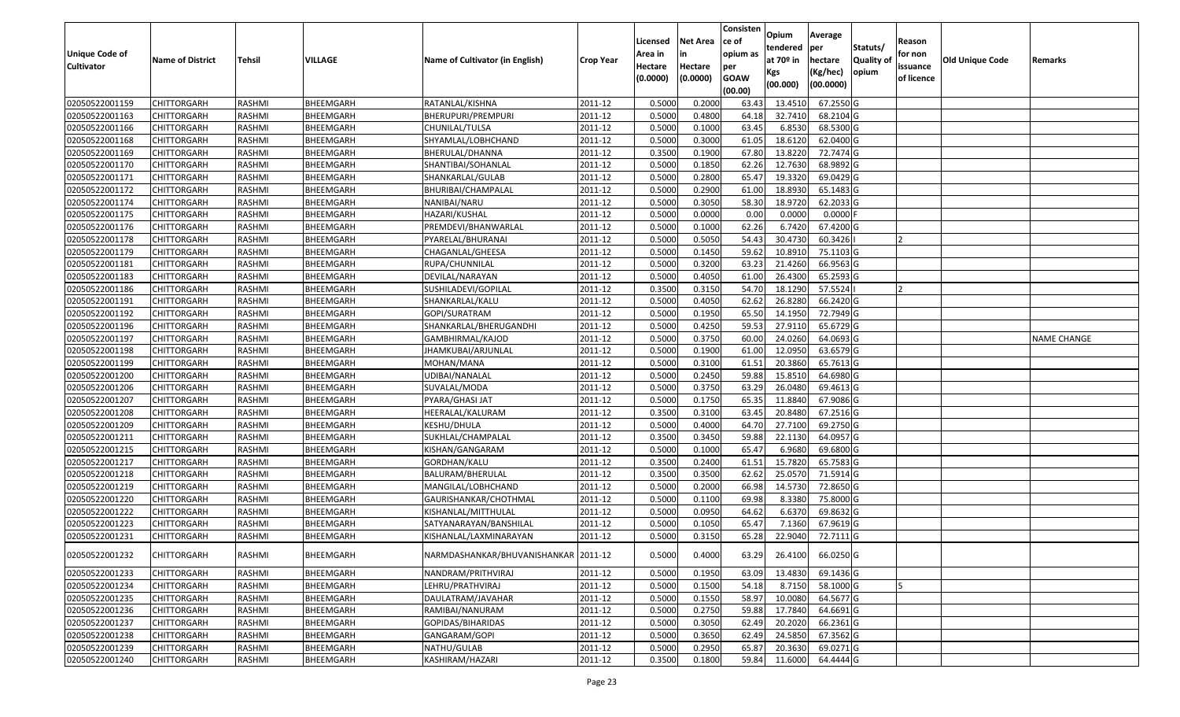|                   |                         |               |           |                                      |                  | Licensed | <b>Net Area</b> | Consisten<br>ce of | Opium           | Average               |                  | Reason         |                 |                    |
|-------------------|-------------------------|---------------|-----------|--------------------------------------|------------------|----------|-----------------|--------------------|-----------------|-----------------------|------------------|----------------|-----------------|--------------------|
| Unique Code of    |                         |               |           |                                      |                  | Area in  |                 | opium as           | tendered        | per                   | Statuts/         | for non        |                 |                    |
| <b>Cultivator</b> | <b>Name of District</b> | <b>Tehsil</b> | VILLAGE   | Name of Cultivator (in English)      | <b>Crop Year</b> | Hectare  | Hectare         | per                | at $70°$ in     | hectare               | <b>Quality o</b> | issuance       | Old Unique Code | Remarks            |
|                   |                         |               |           |                                      |                  | (0.0000) | (0.0000)        | <b>GOAW</b>        | Kgs<br>(00.000) | (Kg/hec)<br>(00.0000) | opium            | of licence     |                 |                    |
|                   |                         |               |           |                                      |                  |          |                 | (00.00)            |                 |                       |                  |                |                 |                    |
| 02050522001159    | CHITTORGARH             | RASHMI        | BHEEMGARH | RATANLAL/KISHNA                      | 2011-12          | 0.5000   | 0.2000          | 63.43              | 13.4510         | 67.2550 G             |                  |                |                 |                    |
| 02050522001163    | CHITTORGARH             | RASHMI        | BHEEMGARH | BHERUPURI/PREMPURI                   | 2011-12          | 0.5000   | 0.4800          | 64.18              | 32.7410         | 68.2104 G             |                  |                |                 |                    |
| 02050522001166    | <b>CHITTORGARH</b>      | RASHMI        | BHEEMGARH | CHUNILAL/TULSA                       | 2011-12          | 0.5000   | 0.1000          | 63.45              | 6.8530          | 68.5300 G             |                  |                |                 |                    |
| 02050522001168    | <b>CHITTORGARH</b>      | RASHMI        | BHEEMGARH | SHYAMLAL/LOBHCHAND                   | 2011-12          | 0.5000   | 0.3000          | 61.05              | 18.6120         | 62.0400 G             |                  |                |                 |                    |
| 02050522001169    | CHITTORGARH             | RASHMI        | BHEEMGARH | BHERULAL/DHANNA                      | 2011-12          | 0.3500   | 0.1900          | 67.80              | 13.8220         | 72.7474 G             |                  |                |                 |                    |
| 02050522001170    | CHITTORGARH             | RASHMI        | BHEEMGARH | SHANTIBAI/SOHANLAL                   | 2011-12          | 0.5000   | 0.1850          | 62.26              | 12.7630         | 68.9892 G             |                  |                |                 |                    |
| 02050522001171    | CHITTORGARH             | RASHMI        | BHEEMGARH | SHANKARLAL/GULAB                     | 2011-12          | 0.5000   | 0.2800          | 65.47              | 19.3320         | 69.0429 G             |                  |                |                 |                    |
| 02050522001172    | <b>CHITTORGARH</b>      | <b>RASHMI</b> | BHEEMGARH | BHURIBAI/CHAMPALAL                   | 2011-12          | 0.5000   | 0.2900          | 61.00              | 18.8930         | 65.1483 G             |                  |                |                 |                    |
| 02050522001174    | CHITTORGARH             | RASHMI        | BHEEMGARH | NANIBAI/NARU                         | 2011-12          | 0.5000   | 0.3050          | 58.30              | 18.9720         | 62.2033 G             |                  |                |                 |                    |
| 02050522001175    | CHITTORGARH             | RASHMI        | BHEEMGARH | HAZARI/KUSHAL                        | 2011-12          | 0.5000   | 0.0000          | 0.00               | 0.0000          | $0.0000$ F            |                  |                |                 |                    |
| 02050522001176    | CHITTORGARH             | RASHMI        | BHEEMGARH | PREMDEVI/BHANWARLAL                  | 2011-12          | 0.5000   | 0.1000          | 62.26              | 6.7420          | 67.4200 G             |                  |                |                 |                    |
| 02050522001178    | <b>CHITTORGARH</b>      | RASHMI        | BHEEMGARH | PYARELAL/BHURANAI                    | 2011-12          | 0.5000   | 0.5050          | 54.43              | 30.4730         | 60.3426               |                  | $\overline{2}$ |                 |                    |
| 02050522001179    | <b>CHITTORGARH</b>      | RASHMI        | BHEEMGARH | CHAGANLAL/GHEESA                     | 2011-12          | 0.5000   | 0.1450          | 59.62              | 10.8910         | 75.1103 G             |                  |                |                 |                    |
| 02050522001181    | <b>CHITTORGARH</b>      | RASHMI        | BHEEMGARH | RUPA/CHUNNILAL                       | 2011-12          | 0.5000   | 0.3200          | 63.23              | 21.4260         | 66.9563 G             |                  |                |                 |                    |
| 02050522001183    | <b>CHITTORGARH</b>      | RASHMI        | BHEEMGARH | DEVILAL/NARAYAN                      | 2011-12          | 0.5000   | 0.4050          | 61.00              | 26.4300         | 65.2593 G             |                  |                |                 |                    |
| 02050522001186    | <b>CHITTORGARH</b>      | RASHMI        | BHEEMGARH | SUSHILADEVI/GOPILAL                  | 2011-12          | 0.3500   | 0.3150          | 54.70              | 18.1290         | 57.5524               |                  |                |                 |                    |
| 02050522001191    | <b>CHITTORGARH</b>      | RASHMI        | BHEEMGARH | SHANKARLAL/KALU                      | 2011-12          | 0.5000   | 0.4050          | 62.62              | 26.8280         | 66.2420 G             |                  |                |                 |                    |
| 02050522001192    | CHITTORGARH             | RASHMI        | BHEEMGARH | GOPI/SURATRAM                        | 2011-12          | 0.5000   | 0.1950          | 65.50              | 14.1950         | 72.7949 G             |                  |                |                 |                    |
| 02050522001196    | CHITTORGARH             | RASHMI        | BHEEMGARH | SHANKARLAL/BHERUGANDHI               | 2011-12          | 0.5000   | 0.4250          | 59.53              | 27.9110         | 65.6729 G             |                  |                |                 |                    |
| 02050522001197    | CHITTORGARH             | RASHMI        | BHEEMGARH | GAMBHIRMAL/KAJOD                     | 2011-12          | 0.5000   | 0.3750          | 60.00              | 24.0260         | 64.0693 G             |                  |                |                 | <b>NAME CHANGE</b> |
| 02050522001198    | CHITTORGARH             | RASHMI        | BHEEMGARH | JHAMKUBAI/ARJUNLAL                   | 2011-12          | 0.5000   | 0.1900          | 61.00              | 12.095          | 63.6579 G             |                  |                |                 |                    |
| 02050522001199    | CHITTORGARH             | RASHMI        | BHEEMGARH | MOHAN/MANA                           | 2011-12          | 0.5000   | 0.3100          | 61.5               | 20.3860         | 65.7613 G             |                  |                |                 |                    |
| 02050522001200    | CHITTORGARH             | RASHMI        | BHEEMGARH | UDIBAI/NANALAL                       | 2011-12          | 0.5000   | 0.2450          | 59.88              | 15.8510         | 64.6980 G             |                  |                |                 |                    |
| 02050522001206    | <b>CHITTORGARH</b>      | RASHMI        | BHEEMGARH | SUVALAL/MODA                         | 2011-12          | 0.5000   | 0.3750          | 63.29              | 26.0480         | 69.4613 G             |                  |                |                 |                    |
| 02050522001207    | CHITTORGARH             | RASHMI        | BHEEMGARH | PYARA/GHASI JAT                      | 2011-12          | 0.5000   | 0.1750          | 65.35              | 11.884          | 67.9086 G             |                  |                |                 |                    |
| 02050522001208    | CHITTORGARH             | RASHMI        | BHEEMGARH | HEERALAL/KALURAM                     | 2011-12          | 0.3500   | 0.3100          | 63.45              | 20.8480         | 67.2516 G             |                  |                |                 |                    |
| 02050522001209    | CHITTORGARH             | RASHMI        | BHEEMGARH | KESHU/DHULA                          | 2011-12          | 0.5000   | 0.4000          | 64.70              | 27.7100         | 69.2750 G             |                  |                |                 |                    |
| 02050522001211    | CHITTORGARH             | RASHMI        | BHEEMGARH | SUKHLAL/CHAMPALAL                    | 2011-12          | 0.3500   | 0.3450          | 59.88              | 22.1130         | 64.0957 G             |                  |                |                 |                    |
| 02050522001215    | CHITTORGARH             | RASHMI        | BHEEMGARH | KISHAN/GANGARAM                      | 2011-12          | 0.5000   | 0.1000          | 65.47              | 6.9680          | 69.6800 G             |                  |                |                 |                    |
| 02050522001217    | CHITTORGARH             | RASHMI        | BHEEMGARH | GORDHAN/KALU                         | 2011-12          | 0.3500   | 0.2400          | 61.51              | 15.7820         | 65.7583 G             |                  |                |                 |                    |
| 02050522001218    | CHITTORGARH             | RASHMI        | BHEEMGARH | BALURAM/BHERULAL                     | 2011-12          | 0.3500   | 0.3500          | 62.62              | 25.057          | 71.5914 G             |                  |                |                 |                    |
| 02050522001219    | CHITTORGARH             | RASHMI        | BHEEMGARH | MANGILAL/LOBHCHAND                   | 2011-12          | 0.5000   | 0.2000          | 66.98              | 14.5730         | 72.8650 G             |                  |                |                 |                    |
| 02050522001220    | CHITTORGARH             | RASHMI        | BHEEMGARH | GAURISHANKAR/CHOTHMAL                | 2011-12          | 0.5000   | 0.1100          | 69.98              | 8.3380          | 75.8000G              |                  |                |                 |                    |
| 02050522001222    | <b>CHITTORGARH</b>      | RASHMI        | BHEEMGARH | KISHANLAL/MITTHULAL                  | 2011-12          | 0.5000   | 0.0950          | 64.62              | 6.637           | 69.8632 G             |                  |                |                 |                    |
| 02050522001223    | CHITTORGARH             | RASHMI        | BHEEMGARH | SATYANARAYAN/BANSHILAL               | 2011-12          | 0.500    | 0.1050          | 65.47              | 7.1360          | 67.9619 G             |                  |                |                 |                    |
| 02050522001231    | CHITTORGARH             | RASHMI        | BHEEMGARH | KISHANLAL/LAXMINARAYAN               | 2011-12          | 0.5000   | 0.3150          | 65.28              | 22.9040         | 72.7111G              |                  |                |                 |                    |
| 02050522001232    | <b>CHITTORGARH</b>      | RASHMI        | BHEEMGARH | NARMDASHANKAR/BHUVANISHANKAR 2011-12 |                  | 0.5000   | 0.4000          | 63.29              | 26.4100         | 66.0250 G             |                  |                |                 |                    |
| 02050522001233    | <b>CHITTORGARH</b>      | RASHMI        | BHEEMGARH | NANDRAM/PRITHVIRAJ                   | 2011-12          | 0.5000   | 0.1950          | 63.09              | 13.4830         | 69.1436 G             |                  |                |                 |                    |
| 02050522001234    | <b>CHITTORGARH</b>      | RASHMI        | BHEEMGARH | LEHRU/PRATHVIRAJ                     | 2011-12          | 0.5000   | 0.1500          | 54.18              | 8.7150          | 58.1000 G             |                  |                |                 |                    |
| 02050522001235    | CHITTORGARH             | RASHMI        | BHEEMGARH | DAULATRAM/JAVAHAR                    | 2011-12          | 0.5000   | 0.1550          | 58.97              | 10.0080         | 64.5677 G             |                  |                |                 |                    |
| 02050522001236    | <b>CHITTORGARH</b>      | RASHMI        | BHEEMGARH | RAMIBAI/NANURAM                      | 2011-12          | 0.5000   | 0.2750          | 59.88              | 17.7840         | 64.6691 G             |                  |                |                 |                    |
| 02050522001237    | <b>CHITTORGARH</b>      | RASHMI        | BHEEMGARH | GOPIDAS/BIHARIDAS                    | 2011-12          | 0.5000   | 0.3050          | 62.49              | 20.2020         | 66.2361 G             |                  |                |                 |                    |
| 02050522001238    | CHITTORGARH             | RASHMI        | BHEEMGARH | GANGARAM/GOPI                        | 2011-12          | 0.5000   | 0.3650          | 62.49              | 24.5850         | 67.3562 G             |                  |                |                 |                    |
| 02050522001239    | <b>CHITTORGARH</b>      | RASHMI        | BHEEMGARH | NATHU/GULAB                          | 2011-12          | 0.5000   | 0.2950          | 65.87              | 20.3630         | 69.0271 G             |                  |                |                 |                    |
| 02050522001240    | <b>CHITTORGARH</b>      | RASHMI        | BHEEMGARH | KASHIRAM/HAZARI                      | 2011-12          | 0.3500   | 0.1800          | 59.84              | 11.6000         | 64.4444 G             |                  |                |                 |                    |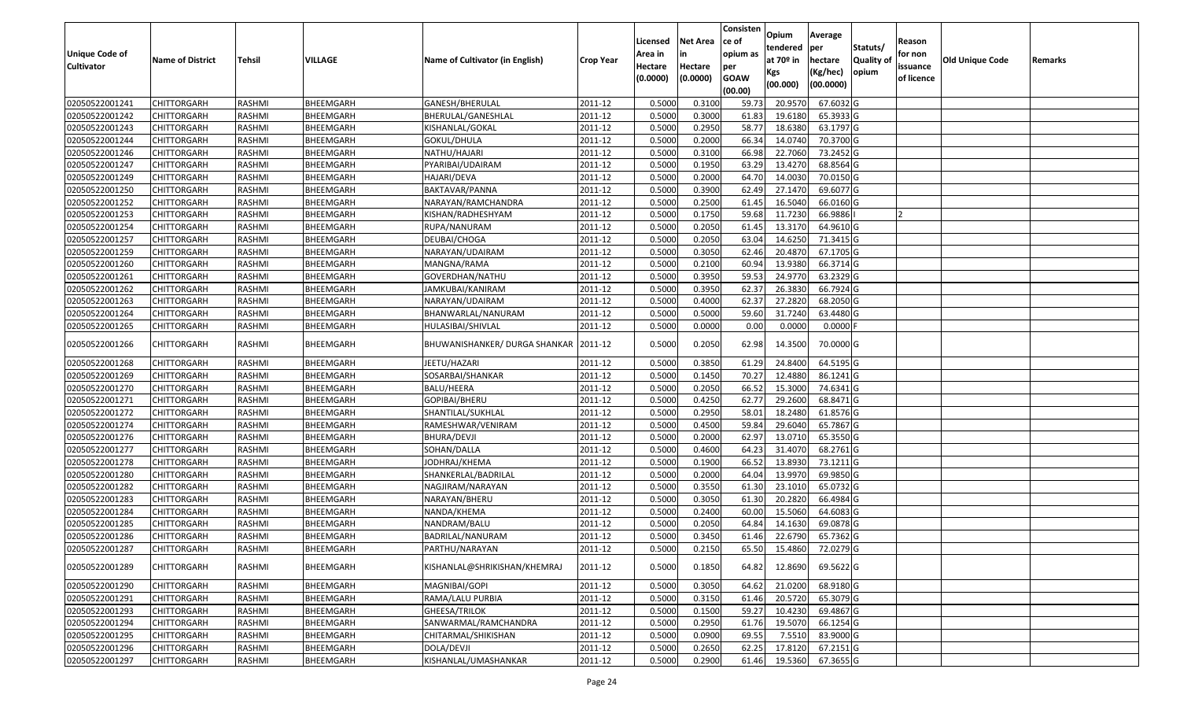|                       |                         |               |           |                                 |                  | Licensed | <b>Net Area</b> | Consisten<br>ce of | Opium           | Average               |                  | Reason     |                        |         |
|-----------------------|-------------------------|---------------|-----------|---------------------------------|------------------|----------|-----------------|--------------------|-----------------|-----------------------|------------------|------------|------------------------|---------|
| <b>Unique Code of</b> |                         |               |           |                                 |                  | Area in  | in              | opium as           | tendered        | per                   | Statuts/         | for non    |                        |         |
| <b>Cultivator</b>     | <b>Name of District</b> | <b>Tehsil</b> | VILLAGE   | Name of Cultivator (in English) | <b>Crop Year</b> | Hectare  | Hectare         | per                | at $70°$ in     | hectare               | <b>Quality o</b> | issuance   | <b>Old Unique Code</b> | Remarks |
|                       |                         |               |           |                                 |                  | (0.0000) | (0.0000)        | <b>GOAW</b>        | Kgs<br>(00.000) | (Kg/hec)<br>(00.0000) | opium            | of licence |                        |         |
|                       |                         |               |           |                                 |                  |          |                 | (00.00)            |                 |                       |                  |            |                        |         |
| 02050522001241        | CHITTORGARH             | RASHMI        | BHEEMGARH | GANESH/BHERULAL                 | 2011-12          | 0.5000   | 0.3100          | 59.73              | 20.9570         | 67.6032 G             |                  |            |                        |         |
| 02050522001242        | CHITTORGARH             | RASHMI        | BHEEMGARH | BHERULAL/GANESHLAL              | 2011-12          | 0.5000   | 0.3000          | 61.83              | 19.6180         | 65.3933 G             |                  |            |                        |         |
| 02050522001243        | CHITTORGARH             | RASHMI        | BHEEMGARH | KISHANLAL/GOKAL                 | 2011-12          | 0.5000   | 0.2950          | 58.77              | 18.6380         | 63.1797 G             |                  |            |                        |         |
| 02050522001244        | <b>CHITTORGARH</b>      | RASHMI        | BHEEMGARH | GOKUL/DHULA                     | 2011-12          | 0.5000   | 0.2000          | 66.34              | 14.0740         | 70.3700 G             |                  |            |                        |         |
| 02050522001246        | CHITTORGARH             | RASHMI        | BHEEMGARH | NATHU/HAJARI                    | 2011-12          | 0.5000   | 0.3100          | 66.98              | 22.7060         | 73.2452 G             |                  |            |                        |         |
| 02050522001247        | CHITTORGARH             | RASHMI        | BHEEMGARH | PYARIBAI/UDAIRAM                | 2011-12          | 0.5000   | 0.1950          | 63.29              | 13.4270         | 68.8564 G             |                  |            |                        |         |
| 02050522001249        | CHITTORGARH             | RASHMI        | BHEEMGARH | HAJARI/DEVA                     | 2011-12          | 0.5000   | 0.2000          | 64.7               | 14.003          | 70.0150 G             |                  |            |                        |         |
| 02050522001250        | <b>CHITTORGARH</b>      | <b>RASHMI</b> | BHEEMGARH | BAKTAVAR/PANNA                  | 2011-12          | 0.5000   | 0.3900          | 62.49              | 27.1470         | 69.6077 G             |                  |            |                        |         |
| 02050522001252        | CHITTORGARH             | RASHMI        | BHEEMGARH | NARAYAN/RAMCHANDRA              | 2011-12          | 0.5000   | 0.2500          | 61.45              | 16.5040         | 66.0160 G             |                  |            |                        |         |
| 02050522001253        | CHITTORGARH             | RASHMI        | BHEEMGARH | KISHAN/RADHESHYAM               | 2011-12          | 0.5000   | 0.1750          | 59.68              | 11.7230         | 66.9886               |                  |            |                        |         |
| 02050522001254        | CHITTORGARH             | RASHMI        | BHEEMGARH | RUPA/NANURAM                    | 2011-12          | 0.5000   | 0.2050          | 61.45              | 13.3170         | 64.9610 G             |                  |            |                        |         |
| 02050522001257        | CHITTORGARH             | RASHMI        | BHEEMGARH | DEUBAI/CHOGA                    | 2011-12          | 0.5000   | 0.2050          | 63.04              | 14.6250         | 71.3415 G             |                  |            |                        |         |
| 02050522001259        | <b>CHITTORGARH</b>      | RASHMI        | BHEEMGARH | NARAYAN/UDAIRAM                 | 2011-12          | 0.5000   | 0.3050          | 62.46              | 20.4870         | 67.1705 G             |                  |            |                        |         |
| 02050522001260        | <b>CHITTORGARH</b>      | RASHMI        | BHEEMGARH | MANGNA/RAMA                     | 2011-12          | 0.5000   | 0.2100          | 60.94              | 13.9380         | 66.3714 G             |                  |            |                        |         |
| 02050522001261        | CHITTORGARH             | RASHMI        | BHEEMGARH | GOVERDHAN/NATHU                 | 2011-12          | 0.5000   | 0.3950          | 59.53              | 24.9770         | 63.2329 G             |                  |            |                        |         |
| 02050522001262        | <b>CHITTORGARH</b>      | RASHMI        | BHEEMGARH | JAMKUBAI/KANIRAM                | 2011-12          | 0.5000   | 0.3950          | 62.37              | 26.3830         | 66.7924 G             |                  |            |                        |         |
| 02050522001263        | CHITTORGARH             | RASHMI        | BHEEMGARH | NARAYAN/UDAIRAM                 | 2011-12          | 0.5000   | 0.4000          | 62.37              | 27.2820         | 68.2050 G             |                  |            |                        |         |
| 02050522001264        | CHITTORGARH             | RASHMI        | BHEEMGARH | BHANWARLAL/NANURAM              | 2011-12          | 0.5000   | 0.5000          | 59.60              | 31.7240         | 63.4480 G             |                  |            |                        |         |
| 02050522001265        | CHITTORGARH             | RASHMI        | BHEEMGARH | HULASIBAI/SHIVLAL               | 2011-12          | 0.5000   | 0.0000          | 0.00               | 0.0000          | $0.0000$ F            |                  |            |                        |         |
| 02050522001266        | CHITTORGARH             | RASHMI        | BHEEMGARH | BHUWANISHANKER/ DURGA SHANKAR   | 2011-12          | 0.5000   | 0.2050          | 62.98              | 14.3500         | 70.0000 G             |                  |            |                        |         |
| 02050522001268        | CHITTORGARH             | RASHMI        | BHEEMGARH | JEETU/HAZARI                    | 2011-12          | 0.5000   | 0.3850          | 61.29              | 24.8400         | 64.5195 G             |                  |            |                        |         |
| 02050522001269        | CHITTORGARH             | RASHMI        | BHEEMGARH | SOSARBAI/SHANKAR                | 2011-12          | 0.5000   | 0.1450          | 70.27              | 12.4880         | 86.1241 G             |                  |            |                        |         |
| 02050522001270        | CHITTORGARH             | RASHMI        | BHEEMGARH | BALU/HEERA                      | 2011-12          | 0.5000   | 0.2050          | 66.52              | 15.3000         | 74.6341 G             |                  |            |                        |         |
| 02050522001271        | CHITTORGARH             | RASHMI        | BHEEMGARH | GOPIBAI/BHERU                   | 2011-12          | 0.5000   | 0.4250          | 62.77              | 29.2600         | 68.8471 G             |                  |            |                        |         |
| 02050522001272        | CHITTORGARH             | RASHMI        | BHEEMGARH | SHANTILAL/SUKHLAL               | 2011-12          | 0.5000   | 0.2950          | 58.01              | 18.2480         | 61.8576 G             |                  |            |                        |         |
| 02050522001274        | CHITTORGARH             | RASHMI        | BHEEMGARH | RAMESHWAR/VENIRAM               | 2011-12          | 0.5000   | 0.4500          | 59.84              | 29.6040         | 65.7867 G             |                  |            |                        |         |
| 02050522001276        | CHITTORGARH             | RASHMI        | BHEEMGARH | BHURA/DEVJI                     | 2011-12          | 0.5000   | 0.2000          | 62.97              | 13.0710         | 65.3550 G             |                  |            |                        |         |
| 02050522001277        | CHITTORGARH             | <b>RASHMI</b> | BHEEMGARH | SOHAN/DALLA                     | 2011-12          | 0.5000   | 0.4600          | 64.23              | 31.4070         | 68.2761 G             |                  |            |                        |         |
| 02050522001278        | CHITTORGARH             | RASHMI        | BHEEMGARH | JODHRAJ/KHEMA                   | 2011-12          | 0.5000   | 0.1900          | 66.52              | 13.8930         | 73.1211G              |                  |            |                        |         |
| 02050522001280        | CHITTORGARH             | RASHMI        | BHEEMGARH | SHANKERLAL/BADRILAL             | 2011-12          | 0.5000   | 0.2000          | 64.04              | 13.997          | 69.9850 G             |                  |            |                        |         |
| 02050522001282        | CHITTORGARH             | RASHMI        | BHEEMGARH | NAGJIRAM/NARAYAN                | 2011-12          | 0.5000   | 0.3550          | 61.30              | 23.1010         | 65.0732 G             |                  |            |                        |         |
| 02050522001283        | CHITTORGARH             | RASHMI        | BHEEMGARH | NARAYAN/BHERU                   | 2011-12          | 0.5000   | 0.3050          | 61.30              | 20.2820         | 66.4984 G             |                  |            |                        |         |
| 02050522001284        | <b>CHITTORGARH</b>      | RASHMI        | BHEEMGARH | NANDA/KHEMA                     | 2011-12          | 0.5000   | 0.2400          | 60.00              | 15.5060         | 64.6083 G             |                  |            |                        |         |
| 02050522001285        | CHITTORGARH             | RASHMI        | BHEEMGARH | NANDRAM/BALU                    | 2011-12          | 0.500    | 0.2050          | 64.84              | 14.1630         | 69.0878 G             |                  |            |                        |         |
| 02050522001286        | CHITTORGARH             | RASHMI        | BHEEMGARH | BADRILAL/NANURAM                | 2011-12          | 0.5000   | 0.3450          | 61.46              | 22.6790         | 65.7362 G             |                  |            |                        |         |
| 02050522001287        | CHITTORGARH             | RASHMI        | BHEEMGARH | PARTHU/NARAYAN                  | 2011-12          | 0.5000   | 0.2150          | 65.50              | 15.4860         | 72.0279 G             |                  |            |                        |         |
| 02050522001289        | <b>CHITTORGARH</b>      | RASHMI        | BHEEMGARH | KISHANLAL@SHRIKISHAN/KHEMRAJ    | 2011-12          | 0.5000   | 0.1850          | 64.82              | 12.8690         | 69.5622 G             |                  |            |                        |         |
| 02050522001290        | <b>CHITTORGARH</b>      | RASHMI        | BHEEMGARH | MAGNIBAI/GOPI                   | 2011-12          | 0.5000   | 0.3050          | 64.62              | 21.0200         | 68.9180 G             |                  |            |                        |         |
| 02050522001291        | <b>CHITTORGARH</b>      | RASHMI        | BHEEMGARH | RAMA/LALU PURBIA                | 2011-12          | 0.5000   | 0.3150          | 61.46              | 20.5720         | 65.3079 G             |                  |            |                        |         |
| 02050522001293        | <b>CHITTORGARH</b>      | RASHMI        | BHEEMGARH | GHEESA/TRILOK                   | 2011-12          | 0.5000   | 0.1500          | 59.27              | 10.4230         | 69.4867 G             |                  |            |                        |         |
| 02050522001294        | <b>CHITTORGARH</b>      | RASHMI        | BHEEMGARH | SANWARMAL/RAMCHANDRA            | 2011-12          | 0.5000   | 0.2950          | 61.76              | 19.5070         | 66.1254 G             |                  |            |                        |         |
| 02050522001295        | <b>CHITTORGARH</b>      | RASHMI        | BHEEMGARH | CHITARMAL/SHIKISHAN             | 2011-12          | 0.5000   | 0.0900          | 69.55              | 7.5510          | 83.9000 G             |                  |            |                        |         |
| 02050522001296        | <b>CHITTORGARH</b>      | RASHMI        | BHEEMGARH | DOLA/DEVJI                      | 2011-12          | 0.5000   | 0.2650          | 62.25              | 17.8120         | 67.2151 G             |                  |            |                        |         |
| 02050522001297        | <b>CHITTORGARH</b>      | RASHMI        | BHEEMGARH | KISHANLAL/UMASHANKAR            | 2011-12          | 0.5000   | 0.2900          | 61.46              | 19.5360         | 67.3655 G             |                  |            |                        |         |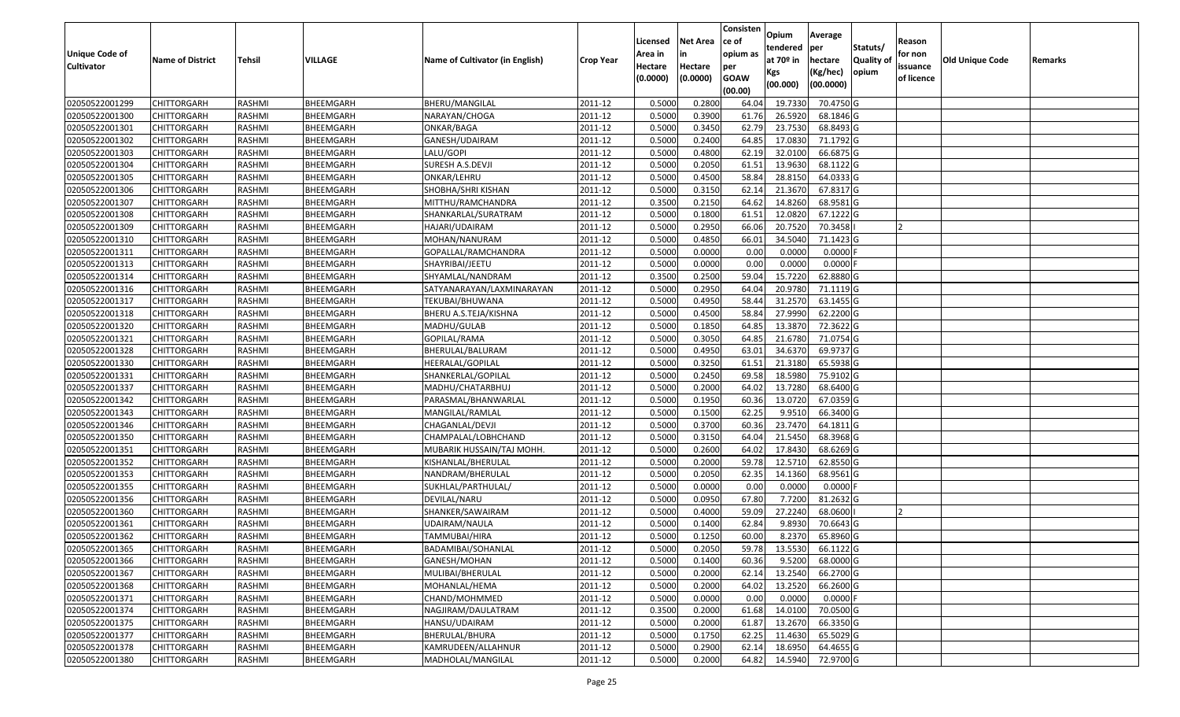|                       |                         |               |                  |                                 |                  |          |                 | Consisten              | Opium       | Average     |                  |            |                 |         |
|-----------------------|-------------------------|---------------|------------------|---------------------------------|------------------|----------|-----------------|------------------------|-------------|-------------|------------------|------------|-----------------|---------|
|                       |                         |               |                  |                                 |                  | Licensed | <b>Net Area</b> | ce of                  | tendered    | per         | Statuts/         | Reason     |                 |         |
| <b>Unique Code of</b> | <b>Name of District</b> | <b>Tehsil</b> | VILLAGE          | Name of Cultivator (in English) | <b>Crop Year</b> | Area in  | in              | opium as               | at $70°$ in | hectare     | <b>Quality o</b> | for non    | Old Unique Code | Remarks |
| <b>Cultivator</b>     |                         |               |                  |                                 |                  | Hectare  | Hectare         | per                    | Kgs         | (Kg/hec)    | opium            | issuance   |                 |         |
|                       |                         |               |                  |                                 |                  | (0.0000) | (0.0000)        | <b>GOAW</b><br>(00.00) | (00.000)    | (00.0000)   |                  | of licence |                 |         |
| 02050522001299        | CHITTORGARH             | RASHMI        | BHEEMGARH        | BHERU/MANGILAL                  | 2011-12          | 0.5000   | 0.2800          | 64.04                  | 19.7330     | 70.4750 G   |                  |            |                 |         |
| 02050522001300        | CHITTORGARH             | RASHMI        | BHEEMGARH        | NARAYAN/CHOGA                   | 2011-12          | 0.5000   | 0.3900          | 61.76                  | 26.5920     | 68.1846 G   |                  |            |                 |         |
| 02050522001301        | CHITTORGARH             | RASHMI        | BHEEMGARH        | ONKAR/BAGA                      | 2011-12          | 0.5000   | 0.3450          | 62.79                  | 23.7530     | 68.8493 G   |                  |            |                 |         |
| 02050522001302        | <b>CHITTORGARH</b>      | RASHMI        | BHEEMGARH        | GANESH/UDAIRAM                  | 2011-12          | 0.5000   | 0.2400          | 64.85                  | 17.0830     | 71.1792 G   |                  |            |                 |         |
| 02050522001303        | CHITTORGARH             | RASHMI        | BHEEMGARH        | LALU/GOPI                       | 2011-12          | 0.5000   | 0.4800          | 62.19                  | 32.0100     | 66.6875 G   |                  |            |                 |         |
| 02050522001304        | CHITTORGARH             | RASHMI        | <b>BHEEMGARH</b> | SURESH A.S.DEVJI                | 2011-12          | 0.5000   | 0.2050          | 61.5                   | 13.9630     | 68.1122 G   |                  |            |                 |         |
| 02050522001305        | CHITTORGARH             | RASHMI        | BHEEMGARH        | ONKAR/LEHRU                     | 2011-12          | 0.5000   | 0.4500          | 58.84                  | 28.8150     | 64.0333 G   |                  |            |                 |         |
| 02050522001306        | CHITTORGARH             | <b>RASHMI</b> | BHEEMGARH        | SHOBHA/SHRI KISHAN              | 2011-12          | 0.5000   | 0.3150          | 62.14                  | 21.3670     | 67.8317 G   |                  |            |                 |         |
| 02050522001307        | CHITTORGARH             | RASHMI        | BHEEMGARH        | MITTHU/RAMCHANDRA               | 2011-12          | 0.3500   | 0.2150          | 64.62                  | 14.8260     | 68.9581 G   |                  |            |                 |         |
| 02050522001308        | CHITTORGARH             | RASHMI        | BHEEMGARH        | SHANKARLAL/SURATRAM             | 2011-12          | 0.5000   | 0.1800          | 61.5                   | 12.0820     | 67.1222 G   |                  |            |                 |         |
| 02050522001309        | CHITTORGARH             | RASHMI        | BHEEMGARH        | HAJARI/UDAIRAM                  | 2011-12          | 0.5000   | 0.2950          | 66.06                  | 20.7520     | 70.3458     |                  | 12         |                 |         |
| 02050522001310        | <b>CHITTORGARH</b>      | RASHMI        | BHEEMGARH        | MOHAN/NANURAM                   | 2011-12          | 0.5000   | 0.4850          | 66.01                  | 34.5040     | 71.1423 G   |                  |            |                 |         |
| 02050522001311        | <b>CHITTORGARH</b>      | RASHMI        | BHEEMGARH        | GOPALLAL/RAMCHANDRA             | 2011-12          | 0.5000   | 0.0000          | 0.00                   | 0.0000      | $0.0000$ F  |                  |            |                 |         |
| 02050522001313        | <b>CHITTORGARH</b>      | RASHMI        | BHEEMGARH        | SHAYRIBAI/JEETU                 | 2011-12          | 0.5000   | 0.0000          | 0.00                   | 0.0000      | $0.0000$ F  |                  |            |                 |         |
| 02050522001314        | <b>CHITTORGARH</b>      | RASHMI        | BHEEMGARH        | SHYAMLAL/NANDRAM                | 2011-12          | 0.3500   | 0.2500          | 59.04                  | 15.7220     | 62.8880 G   |                  |            |                 |         |
| 02050522001316        | CHITTORGARH             | RASHMI        | BHEEMGARH        | SATYANARAYAN/LAXMINARAYAN       | 2011-12          | 0.5000   | 0.2950          | 64.04                  | 20.9780     | 71.1119G    |                  |            |                 |         |
| 02050522001317        | CHITTORGARH             | RASHMI        | BHEEMGARH        | TEKUBAI/BHUWANA                 | 2011-12          | 0.5000   | 0.4950          | 58.44                  | 31.2570     | 63.1455 G   |                  |            |                 |         |
| 02050522001318        | CHITTORGARH             | RASHMI        | BHEEMGARH        | BHERU A.S.TEJA/KISHNA           | 2011-12          | 0.5000   | 0.4500          | 58.84                  | 27.9990     | 62.2200 G   |                  |            |                 |         |
| 02050522001320        | CHITTORGARH             | RASHMI        | BHEEMGARH        | MADHU/GULAB                     | 2011-12          | 0.5000   | 0.1850          | 64.85                  | 13.3870     | 72.3622 G   |                  |            |                 |         |
| 02050522001321        | CHITTORGARH             | RASHMI        | BHEEMGARH        | GOPILAL/RAMA                    | 2011-12          | 0.5000   | 0.3050          | 64.85                  | 21.6780     | 71.0754 G   |                  |            |                 |         |
| 02050522001328        | CHITTORGARH             | RASHMI        | BHEEMGARH        | BHERULAL/BALURAM                | 2011-12          | 0.5000   | 0.4950          | 63.01                  | 34.6370     | 69.9737 G   |                  |            |                 |         |
| 02050522001330        | CHITTORGARH             | RASHMI        | BHEEMGARH        | HEERALAL/GOPILAL                | 2011-12          | 0.5000   | 0.3250          | 61.5                   | 21.318      | 65.5938 G   |                  |            |                 |         |
| 02050522001331        | CHITTORGARH             | RASHMI        | BHEEMGARH        | SHANKERLAL/GOPILAL              | 2011-12          | 0.5000   | 0.2450          | 69.58                  | 18.5980     | 75.9102G    |                  |            |                 |         |
| 02050522001337        | <b>CHITTORGARH</b>      | RASHMI        | BHEEMGARH        | MADHU/CHATARBHUJ                | 2011-12          | 0.5000   | 0.2000          | 64.02                  | 13.7280     | 68.6400 G   |                  |            |                 |         |
| 02050522001342        | CHITTORGARH             | RASHMI        | BHEEMGARH        | PARASMAL/BHANWARLAL             | 2011-12          | 0.5000   | 0.1950          | 60.36                  | 13.0720     | 67.0359 G   |                  |            |                 |         |
| 02050522001343        | CHITTORGARH             | RASHMI        | BHEEMGARH        | MANGILAL/RAMLAL                 | 2011-12          | 0.5000   | 0.1500          | 62.25                  | 9.9510      | 66.3400 G   |                  |            |                 |         |
| 02050522001346        | CHITTORGARH             | RASHMI        | BHEEMGARH        | CHAGANLAL/DEVJI                 | 2011-12          | 0.5000   | 0.3700          | 60.36                  | 23.7470     | 64.1811 G   |                  |            |                 |         |
| 02050522001350        | CHITTORGARH             | RASHMI        | BHEEMGARH        | CHAMPALAL/LOBHCHAND             | 2011-12          | 0.5000   | 0.3150          | 64.04                  | 21.5450     | 68.3968 G   |                  |            |                 |         |
| 02050522001351        | CHITTORGARH             | RASHMI        | BHEEMGARH        | MUBARIK HUSSAIN/TAJ MOHH.       | 2011-12          | 0.5000   | 0.2600          | 64.02                  | 17.8430     | 68.6269 G   |                  |            |                 |         |
| 02050522001352        | CHITTORGARH             | RASHMI        | BHEEMGARH        | KISHANLAL/BHERULAL              | 2011-12          | 0.5000   | 0.2000          | 59.78                  | 12.5710     | $62.8550$ G |                  |            |                 |         |
| 02050522001353        | CHITTORGARH             | RASHMI        | BHEEMGARH        | NANDRAM/BHERULAL                | 2011-12          | 0.5000   | 0.2050          | 62.35                  | 14.1360     | 68.9561 G   |                  |            |                 |         |
| 02050522001355        | CHITTORGARH             | RASHMI        | BHEEMGARH        | SUKHLAL/PARTHULAL/              | 2011-12          | 0.5000   | 0.0000          | 0.00                   | 0.0000      | 0.0000      |                  |            |                 |         |
| 02050522001356        | CHITTORGARH             | <b>RASHMI</b> | BHEEMGARH        | DEVILAL/NARU                    | 2011-12          | 0.5000   | 0.0950          | 67.80                  | 7.7200      | 81.2632 G   |                  |            |                 |         |
| 02050522001360        | <b>CHITTORGARH</b>      | RASHMI        | BHEEMGARH        | SHANKER/SAWAIRAM                | 2011-12          | 0.5000   | 0.4000          | 59.09                  | 27.2240     | 68.0600     |                  |            |                 |         |
| 02050522001361        | CHITTORGARH             | RASHMI        | BHEEMGARH        | UDAIRAM/NAULA                   | 2011-12          | 0.500    | 0.1400          | 62.84                  | 9.8930      | 70.6643 G   |                  |            |                 |         |
| 02050522001362        | CHITTORGARH             | RASHMI        | BHEEMGARH        | TAMMUBAI/HIRA                   | 2011-12          | 0.5000   | 0.1250          | 60.00                  | 8.2370      | 65.8960 G   |                  |            |                 |         |
| 02050522001365        | <b>CHITTORGARH</b>      | RASHMI        | BHEEMGARH        | BADAMIBAI/SOHANLAL              | 2011-12          | 0.5000   | 0.2050          | 59.78                  | 13.5530     | 66.1122 G   |                  |            |                 |         |
| 02050522001366        | <b>CHITTORGARH</b>      | RASHMI        | BHEEMGARH        | GANESH/MOHAN                    | 2011-12          | 0.5000   | 0.1400          | 60.36                  | 9.5200      | 68.0000 G   |                  |            |                 |         |
| 02050522001367        | <b>CHITTORGARH</b>      | RASHMI        | BHEEMGARH        | MULIBAI/BHERULAL                | 2011-12          | 0.5000   | 0.2000          | 62.14                  | 13.2540     | 66.2700 G   |                  |            |                 |         |
| 02050522001368        | <b>CHITTORGARH</b>      | RASHMI        | BHEEMGARH        | MOHANLAL/HEMA                   | 2011-12          | 0.5000   | 0.2000          | 64.02                  | 13.2520     | 66.2600 G   |                  |            |                 |         |
| 02050522001371        | CHITTORGARH             | RASHMI        | BHEEMGARH        | CHAND/MOHMMED                   | 2011-12          | 0.5000   | 0.0000          | 0.00                   | 0.0000      | $0.0000$ F  |                  |            |                 |         |
| 02050522001374        | <b>CHITTORGARH</b>      | RASHMI        | BHEEMGARH        | NAGJIRAM/DAULATRAM              | 2011-12          | 0.3500   | 0.2000          | 61.68                  | 14.0100     | 70.0500G    |                  |            |                 |         |
| 02050522001375        | <b>CHITTORGARH</b>      | RASHMI        | BHEEMGARH        | HANSU/UDAIRAM                   | 2011-12          | 0.5000   | 0.2000          | 61.87                  | 13.2670     | 66.3350 G   |                  |            |                 |         |
| 02050522001377        | <b>CHITTORGARH</b>      | RASHMI        | BHEEMGARH        | BHERULAL/BHURA                  | 2011-12          | 0.5000   | 0.1750          | 62.25                  | 11.4630     | 65.5029 G   |                  |            |                 |         |
| 02050522001378        | <b>CHITTORGARH</b>      | RASHMI        | BHEEMGARH        | KAMRUDEEN/ALLAHNUR              | 2011-12          | 0.5000   | 0.2900          | 62.14                  | 18.6950     | 64.4655 G   |                  |            |                 |         |
| 02050522001380        | <b>CHITTORGARH</b>      | RASHMI        | BHEEMGARH        | MADHOLAL/MANGILAL               | 2011-12          | 0.5000   | 0.2000          | 64.82                  | 14.5940     | 72.9700 G   |                  |            |                 |         |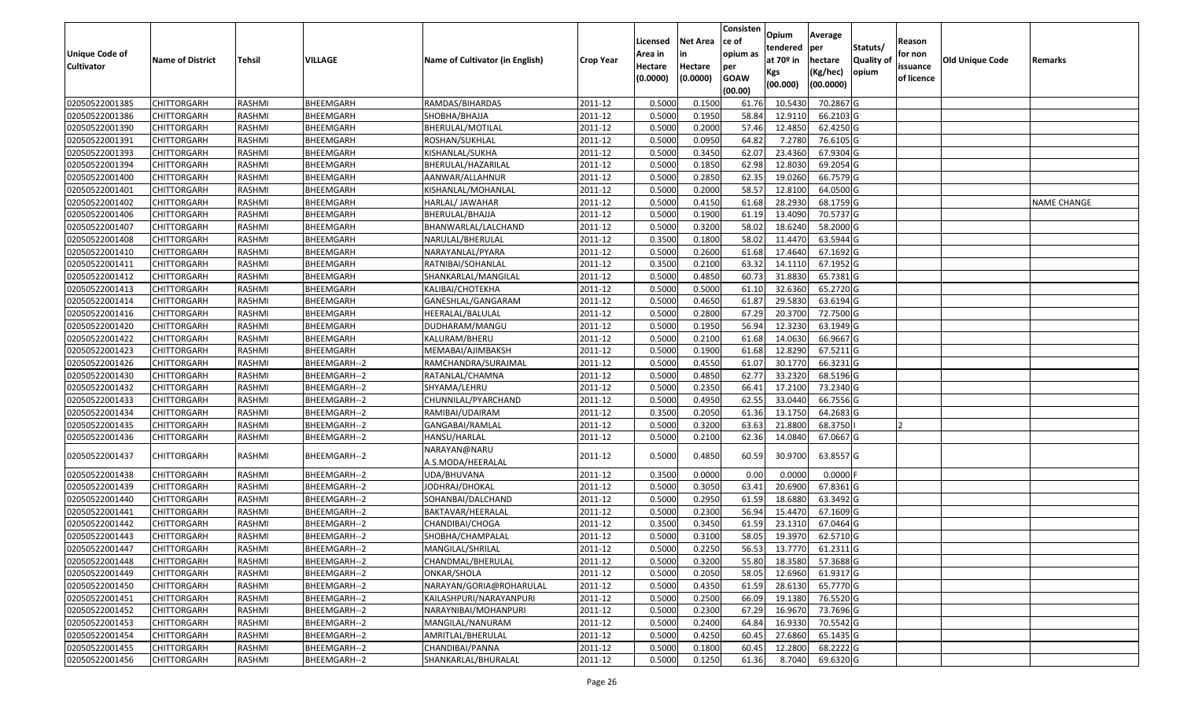| <b>Unique Code of</b><br><b>Cultivator</b> | <b>Name of District</b> | <b>Tehsil</b> | VILLAGE      | Name of Cultivator (in English)   | <b>Crop Year</b> | Licensed<br>Area in<br>Hectare<br>(0.0000) | <b>Net Area</b><br>in<br>Hectare<br>(0.0000) | Consisten<br>ce of<br>opium as<br>per<br><b>GOAW</b><br>(00.00) | Opium<br>tendered<br>at $70°$ in<br>Kgs<br>(00.000) | Average<br>per<br>hectare<br>(Kg/hec)<br>(00.0000) | Statuts/<br>Quality of<br>opium | Reason<br>for non<br>issuance<br>of licence | <b>Old Unique Code</b> | Remarks            |
|--------------------------------------------|-------------------------|---------------|--------------|-----------------------------------|------------------|--------------------------------------------|----------------------------------------------|-----------------------------------------------------------------|-----------------------------------------------------|----------------------------------------------------|---------------------------------|---------------------------------------------|------------------------|--------------------|
| 02050522001385                             | <b>CHITTORGARH</b>      | RASHMI        | BHEEMGARH    | RAMDAS/BIHARDAS                   | 2011-12          | 0.5000                                     | 0.1500                                       | 61.76                                                           | 10.5430                                             | 70.2867 G                                          |                                 |                                             |                        |                    |
| 02050522001386                             | CHITTORGARH             | RASHMI        | BHEEMGARH    | <b>SHOBHA/BHAJJA</b>              | 2011-12          | 0.5000                                     | 0.1950                                       | 58.84                                                           | 12.9110                                             | 66.2103 G                                          |                                 |                                             |                        |                    |
| 02050522001390                             | CHITTORGARH             | RASHMI        | BHEEMGARH    | BHERULAL/MOTILAL                  | 2011-12          | 0.5000                                     | 0.2000                                       | 57.46                                                           | 12.4850                                             | 62.4250 G                                          |                                 |                                             |                        |                    |
| 02050522001391                             | <b>CHITTORGARH</b>      | RASHMI        | BHEEMGARH    | ROSHAN/SUKHLAL                    | 2011-12          | 0.5000                                     | 0.0950                                       | 64.82                                                           | 7.2780                                              | 76.6105G                                           |                                 |                                             |                        |                    |
| 02050522001393                             | <b>CHITTORGARH</b>      | RASHMI        | BHEEMGARH    | KISHANLAL/SUKHA                   | 2011-12          | 0.5000                                     | 0.3450                                       | 62.07                                                           | 23.4360                                             | 67.9304 G                                          |                                 |                                             |                        |                    |
| 02050522001394                             | <b>CHITTORGARH</b>      | RASHMI        | BHEEMGARH    | BHERULAL/HAZARILAL                | 2011-12          | 0.5000                                     | 0.1850                                       | 62.98                                                           | 12.8030                                             | 69.2054 G                                          |                                 |                                             |                        |                    |
| 02050522001400                             | <b>CHITTORGARH</b>      | RASHMI        | BHEEMGARH    | AANWAR/ALLAHNUR                   | 2011-12          | 0.5000                                     | 0.2850                                       | 62.35                                                           | 19.0260                                             | 66.7579 G                                          |                                 |                                             |                        |                    |
| 02050522001401                             | <b>CHITTORGARH</b>      | RASHMI        | BHEEMGARH    | KISHANLAL/MOHANLAL                | 2011-12          | 0.5000                                     | 0.2000                                       | 58.57                                                           | 12.8100                                             | 64.0500G                                           |                                 |                                             |                        |                    |
| 02050522001402                             | <b>CHITTORGARH</b>      | RASHMI        | BHEEMGARH    | HARLAL/ JAWAHAR                   | 2011-12          | 0.5000                                     | 0.4150                                       | 61.68                                                           | 28.2930                                             | 68.1759 G                                          |                                 |                                             |                        | <b>NAME CHANGE</b> |
| 02050522001406                             | CHITTORGARH             | RASHMI        | BHEEMGARH    | BHERULAL/BHAJJA                   | 2011-12          | 0.5000                                     | 0.1900                                       | 61.19                                                           | 13.4090                                             | 70.5737 G                                          |                                 |                                             |                        |                    |
| 02050522001407                             | <b>CHITTORGARH</b>      | RASHMI        | BHEEMGARH    | BHANWARLAL/LALCHAND               | 2011-12          | 0.5000                                     | 0.3200                                       | 58.02                                                           | 18.6240                                             | 58.2000 G                                          |                                 |                                             |                        |                    |
| 02050522001408                             | CHITTORGARH             | RASHMI        | BHEEMGARH    | NARULAL/BHERULAL                  | 2011-12          | 0.3500                                     | 0.1800                                       | 58.02                                                           | 11.4470                                             | 63.5944 G                                          |                                 |                                             |                        |                    |
| 02050522001410                             | CHITTORGARH             | RASHMI        | BHEEMGARH    | NARAYANLAL/PYARA                  | 2011-12          | 0.5000                                     | 0.2600                                       | 61.68                                                           | 17.4640                                             | 67.1692 G                                          |                                 |                                             |                        |                    |
| 02050522001411                             | CHITTORGARH             | RASHMI        | BHEEMGARH    | RATNIBAI/SOHANLAL                 | 2011-12          | 0.3500                                     | 0.2100                                       | 63.32                                                           | 14.1110                                             | 67.1952 G                                          |                                 |                                             |                        |                    |
| 02050522001412                             | CHITTORGARH             | RASHMI        | BHEEMGARH    | SHANKARLAL/MANGILAL               | 2011-12          | 0.5000                                     | 0.4850                                       | 60.73                                                           | 31.8830                                             | 65.7381G                                           |                                 |                                             |                        |                    |
| 02050522001413                             | CHITTORGARH             | RASHMI        | BHEEMGARH    | KALIBAI/CHOTEKHA                  | 2011-12          | 0.5000                                     | 0.5000                                       | 61.10                                                           | 32.6360                                             | 65.2720 G                                          |                                 |                                             |                        |                    |
| 02050522001414                             | CHITTORGARH             | RASHMI        | BHEEMGARH    | GANESHLAL/GANGARAM                | 2011-12          | 0.5000                                     | 0.4650                                       | 61.87                                                           | 29.5830                                             | 63.6194 G                                          |                                 |                                             |                        |                    |
| 02050522001416                             | CHITTORGARH             | RASHMI        | BHEEMGARH    | HEERALAL/BALULAL                  | 2011-12          | 0.5000                                     | 0.2800                                       | 67.29                                                           | 20.3700                                             | 72.7500 G                                          |                                 |                                             |                        |                    |
| 02050522001420                             | <b>CHITTORGARH</b>      | RASHMI        | BHEEMGARH    | DUDHARAM/MANGU                    | 2011-12          | 0.5000                                     | 0.1950                                       | 56.94                                                           | 12.3230                                             | 63.1949 G                                          |                                 |                                             |                        |                    |
| 02050522001422                             | CHITTORGARH             | RASHMI        | BHEEMGARH    | KALURAM/BHERU                     | 2011-12          | 0.5000                                     | 0.2100                                       | 61.68                                                           | 14.0630                                             | 66.9667 G                                          |                                 |                                             |                        |                    |
| 02050522001423                             | <b>CHITTORGARH</b>      | RASHMI        | BHEEMGARH    | MEMABAI/AJIMBAKSH                 | 2011-12          | 0.5000                                     | 0.1900                                       | 61.68                                                           | 12.8290                                             | 67.5211 G                                          |                                 |                                             |                        |                    |
| 02050522001426                             | CHITTORGARH             | RASHMI        | BHEEMGARH--2 | RAMCHANDRA/SURAJMAL               | 2011-12          | 0.5000                                     | 0.4550                                       | 61.07                                                           | 30.1770                                             | 66.3231 G                                          |                                 |                                             |                        |                    |
| 02050522001430                             | CHITTORGARH             | RASHMI        | BHEEMGARH--2 | RATANLAL/CHAMNA                   | 2011-12          | 0.5000                                     | 0.4850                                       | 62.77                                                           | 33.2320                                             | 68.5196 G                                          |                                 |                                             |                        |                    |
| 02050522001432                             | CHITTORGARH             | RASHMI        | BHEEMGARH--2 | SHYAMA/LEHRU                      | 2011-12          | 0.5000                                     | 0.2350                                       | 66.41                                                           | 17.2100                                             | 73.2340 G                                          |                                 |                                             |                        |                    |
| 02050522001433                             | CHITTORGARH             | RASHMI        | BHEEMGARH--2 | CHUNNILAL/PYARCHAND               | 2011-12          | 0.5000                                     | 0.4950                                       | 62.55                                                           | 33.0440                                             | 66.7556 G                                          |                                 |                                             |                        |                    |
| 02050522001434                             | CHITTORGARH             | RASHMI        | BHEEMGARH--2 | RAMIBAI/UDAIRAM                   | 2011-12          | 0.3500                                     | 0.2050                                       | 61.36                                                           | 13.175                                              | 64.2683 G                                          |                                 |                                             |                        |                    |
| 02050522001435                             | CHITTORGARH             | RASHMI        | BHEEMGARH--2 | GANGABAI/RAMLAL                   | 2011-12          | 0.5000                                     | 0.3200                                       | 63.63                                                           | 21.8800                                             | 68.3750                                            |                                 |                                             |                        |                    |
| 02050522001436                             | CHITTORGARH             | RASHMI        | BHEEMGARH--2 | HANSU/HARLAL                      | 2011-12          | 0.5000                                     | 0.2100                                       | 62.36                                                           | 14.0840                                             | 67.0667 G                                          |                                 |                                             |                        |                    |
| 02050522001437                             | CHITTORGARH             | RASHMI        | BHEEMGARH--2 | NARAYAN@NARU<br>A.S.MODA/HEERALAL | 2011-12          | 0.5000                                     | 0.4850                                       | 60.59                                                           | 30.9700                                             | 63.8557 G                                          |                                 |                                             |                        |                    |
| 02050522001438                             | CHITTORGARH             | RASHMI        | BHEEMGARH--2 | UDA/BHUVANA                       | 2011-12          | 0.3500                                     | 0.0000                                       | 0.00                                                            | 0.0000                                              | $0.0000$ F                                         |                                 |                                             |                        |                    |
| 02050522001439                             | CHITTORGARH             | RASHMI        | BHEEMGARH--2 | JODHRAJ/DHOKAL                    | 2011-12          | 0.5000                                     | 0.3050                                       | 63.41                                                           | 20.6900                                             | 67.8361G                                           |                                 |                                             |                        |                    |
| 02050522001440                             | CHITTORGARH             | RASHMI        | BHEEMGARH--2 | SOHANBAI/DALCHAND                 | 2011-12          | 0.5000                                     | 0.2950                                       | 61.59                                                           | 18.6880                                             | 63.3492 G                                          |                                 |                                             |                        |                    |
| 02050522001441                             | <b>CHITTORGARH</b>      | RASHMI        | BHEEMGARH--2 | BAKTAVAR/HEERALAL                 | 2011-12          | 0.5000                                     | 0.2300                                       | 56.94                                                           | 15.4470                                             | 67.1609 G                                          |                                 |                                             |                        |                    |
| 02050522001442                             | CHITTORGARH             | RASHMI        | BHEEMGARH--2 | CHANDIBAI/CHOGA                   | 2011-12          | 0.350                                      | 0.3450                                       | 61.59                                                           | 23.131                                              | 67.0464 G                                          |                                 |                                             |                        |                    |
| 02050522001443                             | CHITTORGARH             | RASHMI        | BHEEMGARH--2 | SHOBHA/CHAMPALAL                  | 2011-12          | 0.500                                      | 0.3100                                       | 58.05                                                           | 19.3970                                             | 62.5710 G                                          |                                 |                                             |                        |                    |
| 02050522001447                             | <b>CHITTORGARH</b>      | RASHMI        | BHEEMGARH--2 | MANGILAL/SHRILAL                  | 2011-12          | 0.5000                                     | 0.2250                                       | 56.53                                                           | 13.7770                                             | 61.2311 G                                          |                                 |                                             |                        |                    |
| 02050522001448                             | <b>CHITTORGARH</b>      | RASHMI        | BHEEMGARH--2 | CHANDMAL/BHERULAL                 | 2011-12          | 0.5000                                     | 0.3200                                       | 55.80                                                           | 18.3580                                             | 57.3688 G                                          |                                 |                                             |                        |                    |
| 02050522001449                             | <b>CHITTORGARH</b>      | RASHMI        | BHEEMGARH--2 | ONKAR/SHOLA                       | 2011-12          | 0.5000                                     | 0.2050                                       | 58.05                                                           | 12.6960                                             | 61.9317 G                                          |                                 |                                             |                        |                    |
| 02050522001450                             | <b>CHITTORGARH</b>      | RASHMI        | BHEEMGARH--2 | NARAYAN/GORIA@ROHARULAL           | 2011-12          | 0.5000                                     | 0.4350                                       | 61.59                                                           | 28.6130                                             | 65.7770 G                                          |                                 |                                             |                        |                    |
| 02050522001451                             | <b>CHITTORGARH</b>      | RASHMI        | BHEEMGARH--2 | KAILASHPURI/NARAYANPURI           | 2011-12          | 0.5000                                     | 0.2500                                       | 66.09                                                           | 19.1380                                             | 76.5520 G                                          |                                 |                                             |                        |                    |
| 02050522001452                             | <b>CHITTORGARH</b>      | RASHMI        | BHEEMGARH--2 | NARAYNIBAI/MOHANPURI              | 2011-12          | 0.5000                                     | 0.2300                                       | 67.29                                                           | 16.9670                                             | 73.7696 G                                          |                                 |                                             |                        |                    |
| 02050522001453                             | <b>CHITTORGARH</b>      | RASHMI        | BHEEMGARH--2 | MANGILAL/NANURAM                  | 2011-12          | 0.5000                                     | 0.2400                                       | 64.84                                                           | 16.9330                                             | 70.5542 G                                          |                                 |                                             |                        |                    |
| 02050522001454                             | CHITTORGARH             | RASHMI        | BHEEMGARH--2 | AMRITLAL/BHERULAL                 | 2011-12          | 0.5000                                     | 0.4250                                       | 60.45                                                           | 27.6860                                             | 65.1435 G                                          |                                 |                                             |                        |                    |
| 02050522001455                             | CHITTORGARH             | RASHMI        | BHEEMGARH--2 | CHANDIBAI/PANNA                   | 2011-12          | 0.5000                                     | 0.1800                                       | 60.45                                                           | 12.2800                                             | 68.2222 G                                          |                                 |                                             |                        |                    |
| 02050522001456                             | <b>CHITTORGARH</b>      | RASHMI        | BHEEMGARH--2 | SHANKARLAL/BHURALAL               | 2011-12          | 0.5000                                     | 0.1250                                       | 61.36                                                           | 8.7040                                              | 69.6320 G                                          |                                 |                                             |                        |                    |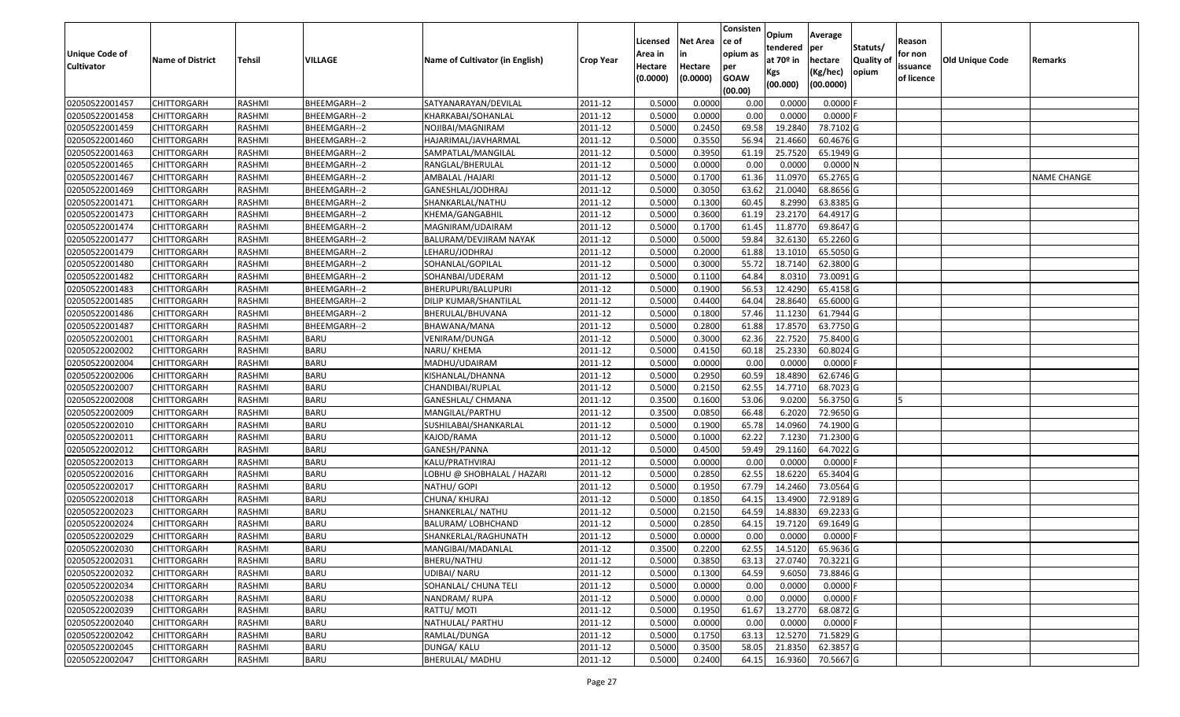|                                  |                                   |                  |                            |                                         |                    | Licensed        | <b>Net Area</b>  | Consisten<br>ce of | Opium<br>tendered | Average<br>per         | Statuts/         | Reason     |                 |                    |
|----------------------------------|-----------------------------------|------------------|----------------------------|-----------------------------------------|--------------------|-----------------|------------------|--------------------|-------------------|------------------------|------------------|------------|-----------------|--------------------|
| <b>Unique Code of</b>            | <b>Name of District</b>           | <b>Tehsil</b>    | VILLAGE                    | Name of Cultivator (in English)         | <b>Crop Year</b>   | Area in         |                  | opium as           | at $70°$ in       | hectare                | <b>Quality o</b> | for non    | Old Unique Code | Remarks            |
| <b>Cultivator</b>                |                                   |                  |                            |                                         |                    | Hectare         | Hectare          | per<br><b>GOAW</b> | Kgs               | (Kg/hec)               | opium            | issuance   |                 |                    |
|                                  |                                   |                  |                            |                                         |                    | (0.0000)        | (0.0000)         | (00.00)            | (00.000)          | (00.0000)              |                  | of licence |                 |                    |
| 02050522001457                   | CHITTORGARH                       | RASHMI           | BHEEMGARH--2               | SATYANARAYAN/DEVILAL                    | 2011-12            | 0.5000          | 0.0000           | 0.00               | 0.0000            | 0.0000F                |                  |            |                 |                    |
| 02050522001458                   | CHITTORGARH                       | RASHMI           | BHEEMGARH--2               | KHARKABAI/SOHANLAL                      | 2011-12            | 0.5000          | 0.0000           | 0.00               | 0.0000            | $0.0000$ F             |                  |            |                 |                    |
| 02050522001459                   | CHITTORGARH                       | RASHMI           | BHEEMGARH--2               | NOJIBAI/MAGNIRAM                        | 2011-12            | 0.5000          | 0.2450           | 69.58              | 19.2840           | 78.7102G               |                  |            |                 |                    |
| 02050522001460                   | <b>CHITTORGARH</b>                | RASHMI           | BHEEMGARH--2               | HAJARIMAL/JAVHARMAL                     | 2011-12            | 0.5000          | 0.3550           | 56.94              | 21.4660           | 60.4676 G              |                  |            |                 |                    |
| 02050522001463                   | CHITTORGARH                       | RASHMI           | BHEEMGARH--2               | SAMPATLAL/MANGILAL                      | 2011-12            | 0.5000          | 0.3950           | 61.19              | 25.7520           | 65.1949 G              |                  |            |                 |                    |
| 02050522001465                   | CHITTORGARH                       | RASHMI           | BHEEMGARH--2               | RANGLAL/BHERULAL                        | 2011-12            | 0.5000          | 0.0000           | 0.00               | 0.0000            | 0.0000N                |                  |            |                 |                    |
| 02050522001467                   | CHITTORGARH                       | RASHMI           | BHEEMGARH--2               | AMBALAL /HAJARI                         | 2011-12            | 0.5000          | 0.1700           | 61.36              | 11.097            | 65.2765 G              |                  |            |                 | <b>NAME CHANGE</b> |
| 02050522001469                   | CHITTORGARH                       | <b>RASHMI</b>    | BHEEMGARH--2               | GANESHLAL/JODHRAJ                       | 2011-12            | 0.5000          | 0.3050           | 63.62              | 21.0040           | 68.8656 G              |                  |            |                 |                    |
| 02050522001471                   | CHITTORGARH                       | RASHMI           | BHEEMGARH--2               | SHANKARLAL/NATHU                        | 2011-12            | 0.5000          | 0.1300           | 60.45              | 8.2990            | 63.8385 G              |                  |            |                 |                    |
| 02050522001473                   | CHITTORGARH                       | RASHMI           | BHEEMGARH--2               | KHEMA/GANGABHIL                         | 2011-12            | 0.5000          | 0.3600           | 61.19              | 23.2170           | 64.4917 G              |                  |            |                 |                    |
| 02050522001474                   | CHITTORGARH                       | RASHMI           | BHEEMGARH--2               | MAGNIRAM/UDAIRAM                        | 2011-12            | 0.5000          | 0.1700           | 61.45              | 11.8770           | 69.8647 G              |                  |            |                 |                    |
| 02050522001477                   | CHITTORGARH                       | RASHMI           | BHEEMGARH--2               | BALURAM/DEVJIRAM NAYAK                  | 2011-12            | 0.5000          | 0.5000           | 59.84              | 32.6130           | 65.2260 G              |                  |            |                 |                    |
| 02050522001479                   | <b>CHITTORGARH</b>                | RASHMI           | BHEEMGARH--2               | LEHARU/JODHRAJ                          | 2011-12            | 0.5000          | 0.2000           | 61.88              | 13.1010           | 65.5050 G              |                  |            |                 |                    |
| 02050522001480                   | CHITTORGARH                       | RASHMI           | BHEEMGARH--2               | SOHANLAL/GOPILAL                        | 2011-12            | 0.5000          | 0.3000           | 55.72              | 18.7140           | 62.3800 G              |                  |            |                 |                    |
| 02050522001482                   | <b>CHITTORGARH</b>                | RASHMI           | BHEEMGARH--2               | SOHANBAI/UDERAM                         | 2011-12            | 0.5000          | 0.1100           | 64.84              | 8.031             | 73.0091G               |                  |            |                 |                    |
| 02050522001483                   | <b>CHITTORGARH</b>                | RASHMI           | BHEEMGARH--2               | BHERUPURI/BALUPURI                      | 2011-12            | 0.5000          | 0.1900           | 56.53              | 12.4290           | 65.4158 G              |                  |            |                 |                    |
| 02050522001485                   | CHITTORGARH                       | RASHMI           | BHEEMGARH--2               | DILIP KUMAR/SHANTILAL                   | 2011-12            | 0.5000          | 0.4400           | 64.04              | 28.8640           | 65.6000G               |                  |            |                 |                    |
| 02050522001486                   | CHITTORGARH                       | RASHMI           | BHEEMGARH--2               | BHERULAL/BHUVANA                        | 2011-12            | 0.5000          | 0.1800           | 57.46              | 11.1230           | 61.7944 G              |                  |            |                 |                    |
| 02050522001487                   | CHITTORGARH                       | RASHMI           | BHEEMGARH--2               | BHAWANA/MANA                            | 2011-12            | 0.5000          | 0.2800           | 61.88              | 17.8570           | 63.7750 G              |                  |            |                 |                    |
| 02050522002001                   | CHITTORGARH                       | RASHMI           | <b>BARU</b>                | VENIRAM/DUNGA                           | 2011-12            | 0.5000          | 0.3000           | 62.36              | 22.7520           | 75.8400 G              |                  |            |                 |                    |
| 02050522002002                   | CHITTORGARH                       | RASHMI           | <b>BARU</b>                | NARU/ KHEMA                             | 2011-12            | 0.5000          | 0.4150           | 60.18              | 25.2330           | 60.8024 G              |                  |            |                 |                    |
| 02050522002004                   | CHITTORGARH                       | RASHMI           | <b>BARU</b>                | MADHU/UDAIRAM                           | 2011-12            | 0.5000          | 0.0000           | 0.00               | 0.0000            | 0.0000                 |                  |            |                 |                    |
| 02050522002006                   | CHITTORGARH                       | RASHMI           | <b>BARU</b>                | KISHANLAL/DHANNA                        | 2011-12            | 0.5000          | 0.2950           | 60.59              | 18.4890           | 62.6746 G              |                  |            |                 |                    |
| 02050522002007                   | CHITTORGARH                       | RASHMI           | <b>BARU</b>                | CHANDIBAI/RUPLAL                        | 2011-12            | 0.5000          | 0.2150           | 62.55              | 14.7710           | 68.7023 G              |                  |            |                 |                    |
| 02050522002008                   | CHITTORGARH                       | RASHMI           | <b>BARU</b>                | GANESHLAL/ CHMANA                       | 2011-12            | 0.3500          | 0.1600           | 53.06              | 9.0200            | 56.3750 G              |                  |            |                 |                    |
| 02050522002009                   | CHITTORGARH                       | RASHMI           | <b>BARU</b>                | MANGILAL/PARTHU                         | 2011-12            | 0.3500          | 0.0850           | 66.48              | 6.2020            | 72.9650 G              |                  |            |                 |                    |
| 02050522002010                   | CHITTORGARH                       | RASHMI           | <b>BARU</b>                | SUSHILABAI/SHANKARLAL                   | 2011-12            | 0.5000          | 0.1900           | 65.78              | 14.0960           | 74.1900 G              |                  |            |                 |                    |
| 02050522002011                   | CHITTORGARH                       | RASHMI           | <b>BARU</b>                | KAJOD/RAMA                              | 2011-12            | 0.5000          | 0.1000           | 62.22              | 7.1230            | 71.2300 G              |                  |            |                 |                    |
| 02050522002012                   | CHITTORGARH                       | RASHMI           | <b>BARU</b>                | GANESH/PANNA                            | 2011-12            | 0.5000          | 0.4500           | 59.49              | 29.1160           | 64.7022 G              |                  |            |                 |                    |
| 02050522002013                   | CHITTORGARH                       | RASHMI           | <b>BARU</b>                | KALU/PRATHVIRAJ                         | 2011-12            | 0.5000          | 0.0000           | 0.00               | 0.0000            | $0.0000$ F             |                  |            |                 |                    |
| 02050522002016                   | CHITTORGARH                       | RASHMI           | <b>BARU</b>                | LOBHU @ SHOBHALAL / HAZARI              | 2011-12            | 0.5000          | 0.2850           | 62.55              | 18.6220           | 65.3404 G              |                  |            |                 |                    |
| 02050522002017                   | CHITTORGARH                       | RASHMI           | <b>BARU</b>                | NATHU/ GOPI                             | 2011-12            | 0.5000          | 0.1950           | 67.79              | 14.2460           | 73.0564 G<br>72.9189 G |                  |            |                 |                    |
| 02050522002018                   | CHITTORGARH                       | <b>RASHMI</b>    | <b>BARU</b>                | CHUNA/ KHURAJ                           | 2011-12<br>2011-12 | 0.5000          | 0.1850           | 64.15              | 13.4900           |                        |                  |            |                 |                    |
| 02050522002023<br>02050522002024 | <b>CHITTORGARH</b><br>CHITTORGARH | RASHMI<br>RASHMI | <b>BARU</b><br><b>BARU</b> | SHANKERLAL/ NATHU<br>BALURAM/ LOBHCHAND | 2011-12            | 0.5000<br>0.500 | 0.2150<br>0.2850 | 64.59<br>64.15     | 14.883<br>19.7120 | 69.2233 G<br>69.1649 G |                  |            |                 |                    |
| 02050522002029                   | CHITTORGARH                       | RASHMI           | <b>BARU</b>                | SHANKERLAL/RAGHUNATH                    | 2011-12            | 0.5000          | 0.0000           | 0.00               | 0.0000            | $0.0000$ F             |                  |            |                 |                    |
| 02050522002030                   | <b>CHITTORGARH</b>                | RASHMI           | <b>BARU</b>                | MANGIBAI/MADANLAL                       | 2011-12            | 0.3500          | 0.2200           |                    | 62.55 14.5120     | 65.9636 G              |                  |            |                 |                    |
| 02050522002031                   | <b>CHITTORGARH</b>                | RASHMI           | <b>BARU</b>                | BHERU/NATHU                             | 2011-12            | 0.5000          | 0.3850           | 63.13              | 27.0740           | 70.3221 G              |                  |            |                 |                    |
| 02050522002032                   | <b>CHITTORGARH</b>                | RASHMI           | <b>BARU</b>                | UDIBAI/ NARU                            | 2011-12            | 0.5000          | 0.1300           | 64.59              | 9.6050            | 73.8846 G              |                  |            |                 |                    |
| 02050522002034                   | <b>CHITTORGARH</b>                | RASHMI           | <b>BARU</b>                | SOHANLAL/ CHUNA TELI                    | 2011-12            | 0.5000          | 0.0000           | 0.00               | 0.0000            | $0.0000$ F             |                  |            |                 |                    |
| 02050522002038                   | <b>CHITTORGARH</b>                | RASHMI           | <b>BARU</b>                | NANDRAM/RUPA                            | 2011-12            | 0.5000          | 0.0000           | 0.00               | 0.0000            | $0.0000$ F             |                  |            |                 |                    |
| 02050522002039                   | <b>CHITTORGARH</b>                | RASHMI           | <b>BARU</b>                | RATTU/ MOTI                             | 2011-12            | 0.5000          | 0.1950           | 61.67              | 13.2770           | 68.0872 G              |                  |            |                 |                    |
| 02050522002040                   | <b>CHITTORGARH</b>                | RASHMI           | <b>BARU</b>                | NATHULAL/ PARTHU                        | 2011-12            | 0.5000          | 0.0000           | 0.00               | 0.0000            | $0.0000$ F             |                  |            |                 |                    |
| 02050522002042                   | <b>CHITTORGARH</b>                | RASHMI           | <b>BARU</b>                | RAMLAL/DUNGA                            | 2011-12            | 0.5000          | 0.1750           | 63.13              | 12.5270           | 71.5829 G              |                  |            |                 |                    |
| 02050522002045                   | <b>CHITTORGARH</b>                | RASHMI           | <b>BARU</b>                | DUNGA/ KALU                             | 2011-12            | 0.5000          | 0.3500           | 58.05              | 21.8350           | 62.3857 G              |                  |            |                 |                    |
| 02050522002047                   | <b>CHITTORGARH</b>                | RASHMI           | <b>BARU</b>                | <b>BHERULAL/ MADHU</b>                  | 2011-12            | 0.5000          | 0.2400           | 64.15              | 16.9360           | 70.5667 G              |                  |            |                 |                    |
|                                  |                                   |                  |                            |                                         |                    |                 |                  |                    |                   |                        |                  |            |                 |                    |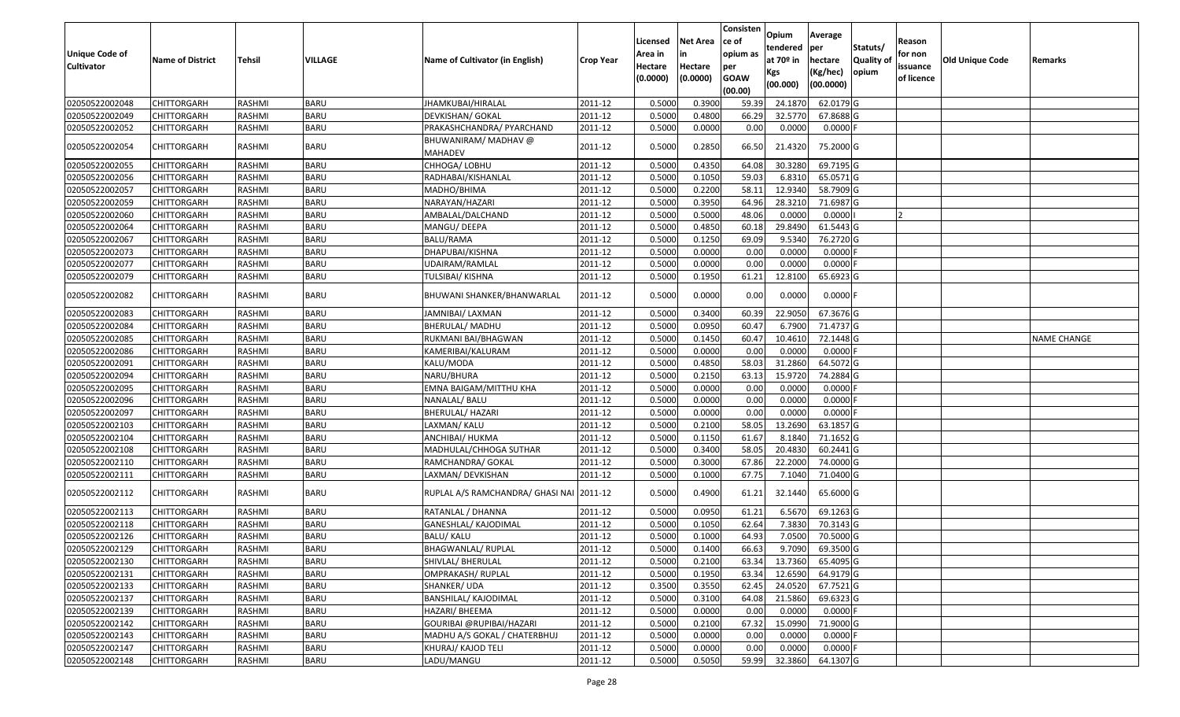| <b>Unique Code of</b> |                         |               |             |                                          |                  | Licensed<br>Area in | <b>Net Area</b>     | Consisten<br>ce of<br>opium as | Opium<br>tendered              | Average<br>per                   | Statuts/           | Reason<br>for non      |                        |                    |
|-----------------------|-------------------------|---------------|-------------|------------------------------------------|------------------|---------------------|---------------------|--------------------------------|--------------------------------|----------------------------------|--------------------|------------------------|------------------------|--------------------|
| <b>Cultivator</b>     | <b>Name of District</b> | <b>Tehsil</b> | VILLAGE     | Name of Cultivator (in English)          | <b>Crop Year</b> | Hectare<br>(0.0000) | Hectare<br>(0.0000) | per<br><b>GOAW</b><br>(00.00)  | at $70°$ in<br>Kgs<br>(00.000) | hectare<br>(Kg/hec)<br>(00.0000) | Quality o<br>opium | issuance<br>of licence | <b>Old Unique Code</b> | Remarks            |
| 02050522002048        | CHITTORGARH             | RASHMI        | <b>BARU</b> | JHAMKUBAI/HIRALAL                        | 2011-12          | 0.5000              | 0.3900              | 59.39                          | 24.1870                        | 62.0179 G                        |                    |                        |                        |                    |
| 02050522002049        | CHITTORGARH             | RASHMI        | <b>BARU</b> | DEVKISHAN/ GOKAL                         | 2011-12          | 0.5000              | 0.4800              | 66.29                          | 32.5770                        | 67.8688 G                        |                    |                        |                        |                    |
| 02050522002052        | CHITTORGARH             | RASHMI        | BARU        | PRAKASHCHANDRA/ PYARCHAND                | 2011-12          | 0.5000              | 0.0000              | 0.00                           | 0.0000                         | 0.0000F                          |                    |                        |                        |                    |
| 02050522002054        | CHITTORGARH             | RASHMI        | <b>BARU</b> | BHUWANIRAM/ MADHAV @<br><b>MAHADEV</b>   | 2011-12          | 0.5000              | 0.2850              | 66.50                          | 21.4320                        | 75.2000 G                        |                    |                        |                        |                    |
| 02050522002055        | CHITTORGARH             | RASHMI        | <b>BARU</b> | CHHOGA/ LOBHU                            | 2011-12          | 0.500               | 0.4350              | 64.08                          | 30.3280                        | 69.7195 G                        |                    |                        |                        |                    |
| 02050522002056        | CHITTORGARH             | RASHMI        | <b>BARU</b> | RADHABAI/KISHANLAL                       | 2011-12          | 0.5000              | 0.1050              | 59.03                          | 6.8310                         | 65.0571G                         |                    |                        |                        |                    |
| 02050522002057        | CHITTORGARH             | RASHMI        | <b>BARU</b> | МАDНО/ВНІМА                              | 2011-12          | 0.5000              | 0.2200              | 58.13                          | 12.9340                        | 58.7909 G                        |                    |                        |                        |                    |
| 02050522002059        | <b>CHITTORGARH</b>      | RASHMI        | <b>BARU</b> | NARAYAN/HAZARI                           | 2011-12          | 0.5000              | 0.3950              | 64.96                          | 28.3210                        | 71.6987 G                        |                    |                        |                        |                    |
| 02050522002060        | <b>CHITTORGARH</b>      | RASHMI        | <b>BARU</b> | AMBALAL/DALCHAND                         | 2011-12          | 0.5000              | 0.5000              | 48.06                          | 0.0000                         | 0.0000                           |                    |                        |                        |                    |
| 02050522002064        | <b>CHITTORGARH</b>      | RASHMI        | <b>BARU</b> | MANGU/DEEPA                              | 2011-12          | 0.5000              | 0.4850              | 60.18                          | 29.8490                        | 61.5443 G                        |                    |                        |                        |                    |
| 02050522002067        | CHITTORGARH             | RASHMI        | <b>BARU</b> | BALU/RAMA                                | 2011-12          | 0.5000              | 0.1250              | 69.09                          | 9.534                          | 76.2720 G                        |                    |                        |                        |                    |
| 02050522002073        | <b>CHITTORGARH</b>      | RASHMI        | <b>BARU</b> | DHAPUBAI/KISHNA                          | 2011-12          | 0.5000              | 0.0000              | 0.00                           | 0.0000                         | $0.0000$ F                       |                    |                        |                        |                    |
| 02050522002077        | CHITTORGARH             | RASHMI        | <b>BARU</b> | UDAIRAM/RAMLAL                           | 2011-12          | 0.5000              | 0.0000              | 0.00                           | 0.0000                         | $0.0000$ F                       |                    |                        |                        |                    |
| 02050522002079        | CHITTORGARH             | RASHMI        | <b>BARU</b> | TULSIBAI/ KISHNA                         | 2011-12          | 0.5000              | 0.1950              | 61.21                          | 12.8100                        | 65.6923 G                        |                    |                        |                        |                    |
| 02050522002082        | CHITTORGARH             | RASHMI        | <b>BARU</b> | BHUWANI SHANKER/BHANWARLAL               | 2011-12          | 0.5000              | 0.0000              | 0.00                           | 0.0000                         | $0.0000$ F                       |                    |                        |                        |                    |
| 02050522002083        | CHITTORGARH             | RASHMI        | <b>BARU</b> | JAMNIBAI/ LAXMAN                         | 2011-12          | 0.500               | 0.3400              | 60.39                          | 22.905                         | 67.3676 G                        |                    |                        |                        |                    |
| 02050522002084        | CHITTORGARH             | RASHMI        | <b>BARU</b> | BHERULAL/ MADHU                          | 2011-12          | 0.5000              | 0.0950              | 60.47                          | 6.7900                         | 71.4737 G                        |                    |                        |                        |                    |
| 02050522002085        | CHITTORGARH             | RASHMI        | <b>BARU</b> | RUKMANI BAI/BHAGWAN                      | 2011-12          | 0.5000              | 0.1450              | 60.47                          | 10.4610                        | 72.1448 G                        |                    |                        |                        | <b>NAME CHANGE</b> |
| 02050522002086        | <b>CHITTORGARH</b>      | RASHMI        | <b>BARU</b> | KAMERIBAI/KALURAM                        | 2011-12          | 0.5000              | 0.0000              | 0.00                           | 0.0000                         | $0.0000$ F                       |                    |                        |                        |                    |
| 02050522002091        | CHITTORGARH             | RASHMI        | <b>BARU</b> | KALU/MODA                                | 2011-12          | 0.5000              | 0.4850              | 58.03                          | 31.2860                        | 64.5072 G                        |                    |                        |                        |                    |
| 02050522002094        | CHITTORGARH             | RASHMI        | <b>BARU</b> | NARU/BHURA                               | 2011-12          | 0.5000              | 0.2150              | 63.13                          | 15.9720                        | 74.2884 G                        |                    |                        |                        |                    |
| 02050522002095        | CHITTORGARH             | RASHMI        | <b>BARU</b> | EMNA BAIGAM/MITTHU KHA                   | 2011-12          | 0.5000              | 0.0000              | 0.00                           | 0.0000                         | 0.0000                           |                    |                        |                        |                    |
| 02050522002096        | CHITTORGARH             | RASHMI        | <b>BARU</b> | NANALAL/ BALU                            | 2011-12          | 0.5000              | 0.0000              | 0.00                           | 0.0000                         | $0.0000$ F                       |                    |                        |                        |                    |
| 02050522002097        | CHITTORGARH             | RASHMI        | <b>BARU</b> | BHERULAL/ HAZARI                         | 2011-12          | 0.5000              | 0.0000              | 0.00                           | 0.0000                         | $0.0000$ F                       |                    |                        |                        |                    |
| 02050522002103        | CHITTORGARH             | RASHMI        | <b>BARU</b> | LAXMAN/ KALU                             | 2011-12          | 0.5000              | 0.2100              | 58.05                          | 13.2690                        | 63.1857 G                        |                    |                        |                        |                    |
| 02050522002104        | CHITTORGARH             | RASHMI        | <b>BARU</b> | ANCHIBAI/ HUKMA                          | 2011-12          | 0.5000              | 0.1150              | 61.67                          | 8.1840                         | 71.1652 G                        |                    |                        |                        |                    |
| 02050522002108        | CHITTORGARH             | <b>RASHMI</b> | <b>BARU</b> | MADHULAL/CHHOGA SUTHAR                   | 2011-12          | 0.5000              | 0.3400              | 58.05                          | 20.4830                        | $60.2441$ G                      |                    |                        |                        |                    |
| 02050522002110        | CHITTORGARH             | RASHMI        | <b>BARU</b> | RAMCHANDRA/ GOKAL                        | 2011-12          | 0.5000              | 0.3000              | 67.86                          | 22.2000                        | 74.0000 G                        |                    |                        |                        |                    |
| 02050522002111        | CHITTORGARH             | RASHMI        | <b>BARU</b> | LAXMAN/ DEVKISHAN                        | 2011-12          | 0.5000              | 0.1000              | 67.75                          | 7.1040                         | 71.0400 G                        |                    |                        |                        |                    |
| 02050522002112        | CHITTORGARH             | RASHMI        | <b>BARU</b> | RUPLAL A/S RAMCHANDRA/ GHASI NAI 2011-12 |                  | 0.5000              | 0.4900              | 61.21                          | 32.1440                        | 65.6000 G                        |                    |                        |                        |                    |
| 02050522002113        | <b>CHITTORGARH</b>      | RASHMI        | <b>BARU</b> | RATANLAL / DHANNA                        | 2011-12          | 0.5000              | 0.0950              | 61.21                          | 6.5670                         | 69.1263 G                        |                    |                        |                        |                    |
| 02050522002118        | CHITTORGARH             | RASHMI        | <b>BARU</b> | GANESHLAL/ KAJODIMAL                     | 2011-12          | 0.500               | 0.1050              | 62.64                          | 7.3830                         | 70.3143 G                        |                    |                        |                        |                    |
| 02050522002126        | CHITTORGARH             | RASHMI        | <b>BARU</b> | BALU/ KALU                               | 2011-12          | 0.5000              | 0.1000              | 64.93                          | 7.0500                         | 70.5000G                         |                    |                        |                        |                    |
| 02050522002129        | <b>CHITTORGARH</b>      | RASHMI        | <b>BARU</b> | <b>BHAGWANLAL/ RUPLAL</b>                | 2011-12          | 0.5000              | 0.1400              | 66.63                          | 9.7090                         | 69.3500 G                        |                    |                        |                        |                    |
| 02050522002130        | <b>CHITTORGARH</b>      | RASHMI        | <b>BARU</b> | SHIVLAL/ BHERULAL                        | 2011-12          | 0.5000              | 0.2100              | 63.34                          | 13.7360                        | 65.4095 G                        |                    |                        |                        |                    |
| 02050522002131        | <b>CHITTORGARH</b>      | RASHMI        | <b>BARU</b> | OMPRAKASH/ RUPLAL                        | 2011-12          | 0.5000              | 0.1950              | 63.34                          | 12.6590                        | 64.9179 G                        |                    |                        |                        |                    |
| 02050522002133        | <b>CHITTORGARH</b>      | RASHMI        | <b>BARU</b> | SHANKER/ UDA                             | 2011-12          | 0.3500              | 0.3550              | 62.45                          | 24.0520                        | 67.7521 G                        |                    |                        |                        |                    |
| 02050522002137        | <b>CHITTORGARH</b>      | RASHMI        | <b>BARU</b> | BANSHILAL/ KAJODIMAL                     | 2011-12          | 0.5000              | 0.3100              | 64.08                          | 21.5860                        | 69.6323 G                        |                    |                        |                        |                    |
| 02050522002139        | <b>CHITTORGARH</b>      | RASHMI        | <b>BARU</b> | HAZARI/ BHEEMA                           | 2011-12          | 0.5000              | 0.0000              | 0.00                           | 0.0000                         | $0.0000$ F                       |                    |                        |                        |                    |
| 02050522002142        | <b>CHITTORGARH</b>      | RASHMI        | <b>BARU</b> | GOURIBAI @RUPIBAI/HAZARI                 | 2011-12          | 0.5000              | 0.2100              | 67.32                          | 15.0990                        | 71.9000G                         |                    |                        |                        |                    |
| 02050522002143        | <b>CHITTORGARH</b>      | RASHMI        | <b>BARU</b> | MADHU A/S GOKAL / CHATERBHUJ             | 2011-12          | 0.5000              | 0.0000              | 0.00                           | 0.0000                         | $0.0000$ F                       |                    |                        |                        |                    |
| 02050522002147        | <b>CHITTORGARH</b>      | RASHMI        | <b>BARU</b> | KHURAJ/ KAJOD TELI                       | 2011-12          | 0.5000              | 0.0000              | 0.00                           | 0.0000                         | $0.0000$ F                       |                    |                        |                        |                    |
| 02050522002148        | <b>CHITTORGARH</b>      | RASHMI        | <b>BARU</b> | LADU/MANGU                               | 2011-12          | 0.5000              | 0.5050              | 59.99                          | 32.3860                        | 64.1307 G                        |                    |                        |                        |                    |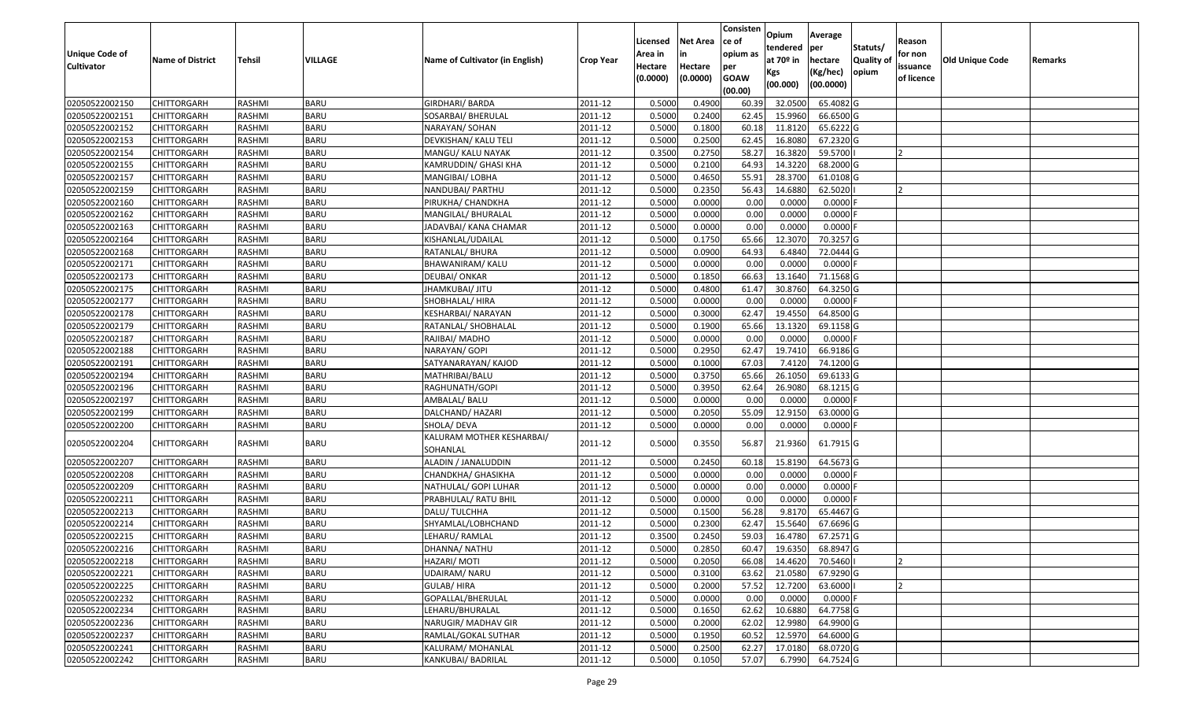|                       |                         |               |             |                                       |                  |          |                 | Consisten   | Opium         | Average    |                  |            |                        |         |
|-----------------------|-------------------------|---------------|-------------|---------------------------------------|------------------|----------|-----------------|-------------|---------------|------------|------------------|------------|------------------------|---------|
|                       |                         |               |             |                                       |                  | Licensed | <b>Net Area</b> | ce of       | tendered      | per        | Statuts/         | Reason     |                        |         |
| <b>Unique Code of</b> | <b>Name of District</b> | <b>Tehsil</b> | VILLAGE     | Name of Cultivator (in English)       | <b>Crop Year</b> | Area in  |                 | opium as    | at $70°$ in   | hectare    | <b>Quality o</b> | for non    | <b>Old Unique Code</b> | Remarks |
| <b>Cultivator</b>     |                         |               |             |                                       |                  | Hectare  | Hectare         | per         | Kgs           | (Kg/hec)   | opium            | issuance   |                        |         |
|                       |                         |               |             |                                       |                  | (0.0000) | (0.0000)        | <b>GOAW</b> | (00.000)      | (00.0000)  |                  | of licence |                        |         |
|                       |                         |               |             |                                       |                  |          |                 | (00.00)     |               |            |                  |            |                        |         |
| 02050522002150        | CHITTORGARH             | RASHMI        | <b>BARU</b> | <b>GIRDHARI/ BARDA</b>                | 2011-12          | 0.5000   | 0.4900          | 60.39       | 32.0500       | 65.4082G   |                  |            |                        |         |
| 02050522002151        | CHITTORGARH             | RASHMI        | <b>BARU</b> | SOSARBAI/ BHERULAL                    | 2011-12          | 0.5000   | 0.2400          | 62.45       | 15.9960       | 66.6500 G  |                  |            |                        |         |
| 02050522002152        | CHITTORGARH             | RASHMI        | <b>BARU</b> | NARAYAN/ SOHAN                        | 2011-12          | 0.5000   | 0.1800          | 60.18       | 11.8120       | 65.6222G   |                  |            |                        |         |
| 02050522002153        | <b>CHITTORGARH</b>      | RASHMI        | <b>BARU</b> | DEVKISHAN/ KALU TELI                  | 2011-12          | 0.5000   | 0.2500          | 62.45       | 16.8080       | 67.2320 G  |                  |            |                        |         |
| 02050522002154        | CHITTORGARH             | RASHMI        | <b>BARU</b> | MANGU/ KALU NAYAK                     | 2011-12          | 0.3500   | 0.2750          | 58.27       | 16.3820       | 59.5700    |                  |            |                        |         |
| 02050522002155        | CHITTORGARH             | RASHMI        | <b>BARU</b> | KAMRUDDIN/ GHASI KHA                  | 2011-12          | 0.5000   | 0.2100          | 64.93       | 14.3220       | 68.2000 G  |                  |            |                        |         |
| 02050522002157        | CHITTORGARH             | RASHMI        | <b>BARU</b> | MANGIBAI/ LOBHA                       | 2011-12          | 0.5000   | 0.4650          | 55.9        | 28.3700       | 61.0108 G  |                  |            |                        |         |
| 02050522002159        | <b>CHITTORGARH</b>      | <b>RASHMI</b> | <b>BARU</b> | NANDUBAI/ PARTHU                      | 2011-12          | 0.5000   | 0.2350          | 56.43       | 14.6880       | 62.5020    |                  |            |                        |         |
| 02050522002160        | CHITTORGARH             | RASHMI        | <b>BARU</b> | PIRUKHA/ CHANDKHA                     | 2011-12          | 0.5000   | 0.0000          | 0.00        | 0.0000        | 0.0000     |                  |            |                        |         |
| 02050522002162        | CHITTORGARH             | RASHMI        | <b>BARU</b> | MANGILAL/ BHURALAL                    | 2011-12          | 0.5000   | 0.0000          | 0.00        | 0.0000        | $0.0000$ F |                  |            |                        |         |
| 02050522002163        | CHITTORGARH             | RASHMI        | <b>BARU</b> | JADAVBAI/ KANA CHAMAR                 | 2011-12          | 0.5000   | 0.0000          | 0.00        | 0.0000        | $0.0000$ F |                  |            |                        |         |
| 02050522002164        | CHITTORGARH             | RASHMI        | <b>BARU</b> | KISHANLAL/UDAILAL                     | 2011-12          | 0.5000   | 0.1750          | 65.66       | 12.3070       | 70.3257 G  |                  |            |                        |         |
| 02050522002168        | <b>CHITTORGARH</b>      | RASHMI        | <b>BARU</b> | RATANLAL/ BHURA                       | 2011-12          | 0.5000   | 0.0900          | 64.93       | 6.4840        | 72.0444 G  |                  |            |                        |         |
| 02050522002171        | <b>CHITTORGARH</b>      | RASHMI        | <b>BARU</b> | BHAWANIRAM/ KALU                      | 2011-12          | 0.5000   | 0.0000          | 0.00        | 0.0000        | $0.0000$ F |                  |            |                        |         |
| 02050522002173        | <b>CHITTORGARH</b>      | RASHMI        | <b>BARU</b> | DEUBAI/ ONKAR                         | 2011-12          | 0.5000   | 0.1850          | 66.63       | 13.1640       | 71.1568G   |                  |            |                        |         |
| 02050522002175        | <b>CHITTORGARH</b>      | RASHMI        | <b>BARU</b> | JHAMKUBAI/ JITU                       | 2011-12          | 0.5000   | 0.4800          | 61.47       | 30.8760       | 64.3250 G  |                  |            |                        |         |
| 02050522002177        | CHITTORGARH             | RASHMI        | <b>BARU</b> | SHOBHALAL/HIRA                        | 2011-12          | 0.5000   | 0.0000          | 0.00        | 0.0000        | $0.0000$ F |                  |            |                        |         |
| 02050522002178        | CHITTORGARH             | RASHMI        | <b>BARU</b> | KESHARBAI/ NARAYAN                    | 2011-12          | 0.5000   | 0.3000          | 62.47       | 19.4550       | 64.8500 G  |                  |            |                        |         |
| 02050522002179        | CHITTORGARH             | RASHMI        | <b>BARU</b> | RATANLAL/ SHOBHALAL                   | 2011-12          | 0.5000   | 0.1900          | 65.66       | 13.1320       | 69.1158 G  |                  |            |                        |         |
| 02050522002187        | CHITTORGARH             | RASHMI        | <b>BARU</b> | RAJIBAI/MADHO                         | 2011-12          | 0.5000   | 0.0000          | 0.00        | 0.0000        | 0.0000     |                  |            |                        |         |
| 02050522002188        | CHITTORGARH             | RASHMI        | <b>BARU</b> | NARAYAN/ GOPI                         | 2011-12          | 0.5000   | 0.2950          | 62.47       | 19.7410       | 66.9186 G  |                  |            |                        |         |
| 02050522002191        | CHITTORGARH             | RASHMI        | <b>BARU</b> | SATYANARAYAN/ KAJOD                   | 2011-12          | 0.5000   | 0.1000          | 67.03       | 7.4120        | 74.1200 G  |                  |            |                        |         |
| 02050522002194        | CHITTORGARH             | RASHMI        | <b>BARU</b> | MATHRIBAI/BALU                        | 2011-12          | 0.5000   | 0.3750          | 65.66       | 26.1050       | 69.6133 G  |                  |            |                        |         |
| 02050522002196        | CHITTORGARH             | RASHMI        | <b>BARU</b> | RAGHUNATH/GOPI                        | 2011-12          | 0.5000   | 0.3950          | 62.64       | 26.9080       | 68.1215 G  |                  |            |                        |         |
| 02050522002197        | <b>CHITTORGARH</b>      | RASHMI        | <b>BARU</b> | AMBALAL/ BALU                         | 2011-12          | 0.5000   | 0.0000          | 0.00        | 0.0000        | $0.0000$ F |                  |            |                        |         |
| 02050522002199        | CHITTORGARH             | RASHMI        | <b>BARU</b> | DALCHAND/ HAZARI                      | 2011-12          | 0.5000   | 0.2050          | 55.09       | 12.915        | 63.0000 G  |                  |            |                        |         |
| 02050522002200        | CHITTORGARH             | RASHMI        | <b>BARU</b> | SHOLA/ DEVA                           | 2011-12          | 0.5000   | 0.0000          | 0.00        | 0.0000        | 0.0000 F   |                  |            |                        |         |
| 02050522002204        | CHITTORGARH             | RASHMI        | BARU        | KALURAM MOTHER KESHARBAI/<br>SOHANLAL | 2011-12          | 0.5000   | 0.3550          | 56.87       | 21.9360       | 61.7915 G  |                  |            |                        |         |
| 02050522002207        | <b>CHITTORGARH</b>      | RASHMI        | <b>BARU</b> | ALADIN / JANALUDDIN                   | 2011-12          | 0.5000   | 0.2450          | 60.18       | 15.8190       | 64.5673 G  |                  |            |                        |         |
| 02050522002208        | CHITTORGARH             | RASHMI        | <b>BARU</b> | CHANDKHA/ GHASIKHA                    | 2011-12          | 0.5000   | 0.0000          | 0.00        | 0.0000        | 0.0000F    |                  |            |                        |         |
| 02050522002209        | CHITTORGARH             | RASHMI        | <b>BARU</b> | NATHULAL/ GOPI LUHAR                  | 2011-12          | 0.5000   | 0.0000          | 0.00        | 0.0000        | 0.0000     |                  |            |                        |         |
| 02050522002211        | CHITTORGARH             | RASHMI        | <b>BARU</b> | PRABHULAL/ RATU BHIL                  | 2011-12          | 0.5000   | 0.0000          | 0.00        | 0.0000        | $0.0000$ F |                  |            |                        |         |
| 02050522002213        | <b>CHITTORGARH</b>      | RASHMI        | <b>BARU</b> | DALU/TULCHHA                          | 2011-12          | 0.5000   | 0.1500          | 56.28       | 9.8170        | 65.4467 G  |                  |            |                        |         |
| 02050522002214        | CHITTORGARH             | RASHMI        | <b>BARU</b> | SHYAMLAL/LOBHCHAND                    | 2011-12          | 0.500    | 0.2300          | 62.47       | 15.5640       | 67.6696 G  |                  |            |                        |         |
| 02050522002215        | CHITTORGARH             | RASHMI        | <b>BARU</b> | LEHARU/ RAMLAL                        | 2011-12          | 0.3500   | 0.2450          | 59.03       | 16.4780       | 67.2571 G  |                  |            |                        |         |
| 02050522002216        | <b>CHITTORGARH</b>      | RASHMI        | <b>BARU</b> | DHANNA/ NATHU                         | 2011-12          | 0.5000   | 0.2850          |             | 60.47 19.6350 | 68.8947 G  |                  |            |                        |         |
| 02050522002218        | <b>CHITTORGARH</b>      | RASHMI        | <b>BARU</b> | HAZARI/ MOTI                          | 2011-12          | 0.5000   | 0.2050          | 66.08       | 14.4620       | 70.5460    |                  |            |                        |         |
| 02050522002221        | <b>CHITTORGARH</b>      | RASHMI        | <b>BARU</b> | UDAIRAM/ NARU                         | 2011-12          | 0.5000   | 0.3100          | 63.62       | 21.0580       | 67.9290 G  |                  |            |                        |         |
| 02050522002225        | <b>CHITTORGARH</b>      | RASHMI        | <b>BARU</b> | GULAB/HIRA                            | 2011-12          | 0.5000   | 0.2000          | 57.52       | 12.7200       | 63.6000    |                  | 12         |                        |         |
| 02050522002232        | CHITTORGARH             | RASHMI        | <b>BARU</b> | GOPALLAL/BHERULAL                     | 2011-12          | 0.5000   | 0.0000          | 0.00        | 0.0000        | $0.0000$ F |                  |            |                        |         |
| 02050522002234        | <b>CHITTORGARH</b>      | RASHMI        | <b>BARU</b> | LEHARU/BHURALAL                       | 2011-12          | 0.5000   | 0.1650          | 62.62       | 10.6880       | 64.7758 G  |                  |            |                        |         |
| 02050522002236        | <b>CHITTORGARH</b>      | RASHMI        | <b>BARU</b> | NARUGIR/ MADHAV GIR                   | 2011-12          | 0.5000   | 0.2000          | 62.02       | 12.9980       | 64.9900 G  |                  |            |                        |         |
| 02050522002237        | <b>CHITTORGARH</b>      | RASHMI        | <b>BARU</b> | RAMLAL/GOKAL SUTHAR                   | 2011-12          | 0.5000   | 0.1950          | 60.52       | 12.5970       | 64.6000 G  |                  |            |                        |         |
| 02050522002241        | <b>CHITTORGARH</b>      | RASHMI        | <b>BARU</b> | KALURAM/ MOHANLAL                     | 2011-12          | 0.5000   | 0.2500          | 62.27       | 17.0180       | 68.0720G   |                  |            |                        |         |
| 02050522002242        | <b>CHITTORGARH</b>      | RASHMI        | <b>BARU</b> | KANKUBAI/ BADRILAL                    | 2011-12          | 0.5000   | 0.1050          | 57.07       | 6.7990        | 64.7524 G  |                  |            |                        |         |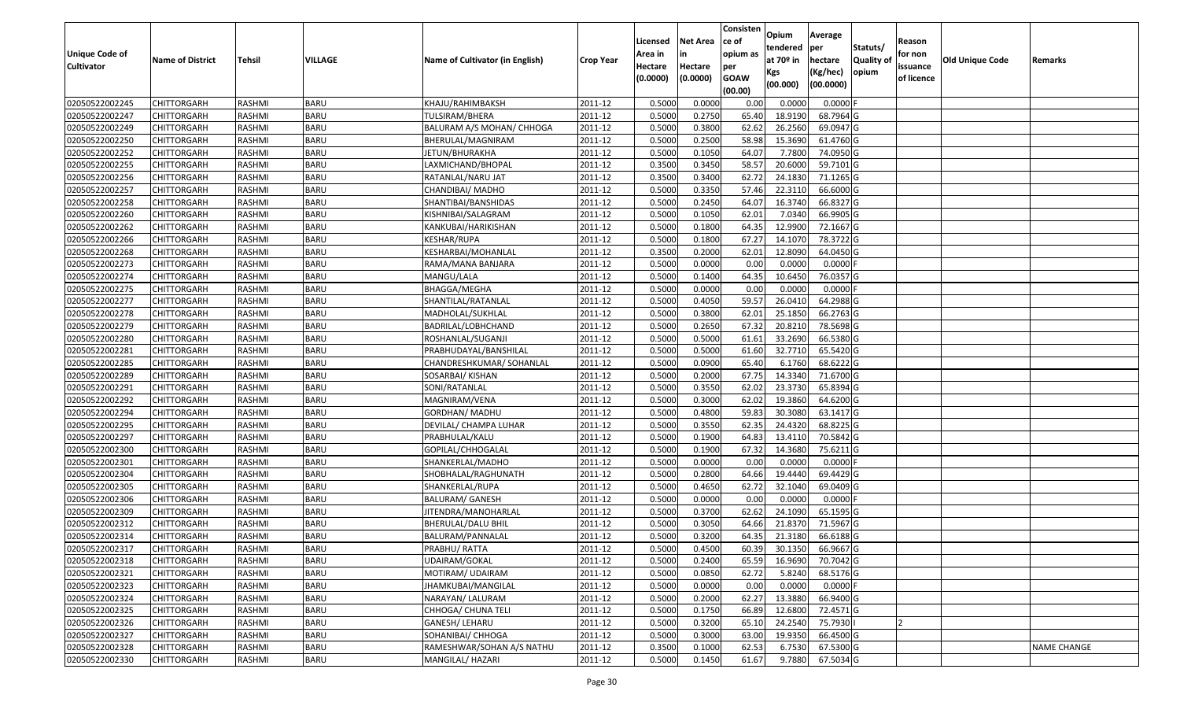|                                  |                                   |                  |                            |                                        |                    | Licensed         | <b>Net Area</b>  | Consisten<br>ce of     | Opium<br>tendered  | Average<br>per         | Statuts/         | Reason     |                        |                    |
|----------------------------------|-----------------------------------|------------------|----------------------------|----------------------------------------|--------------------|------------------|------------------|------------------------|--------------------|------------------------|------------------|------------|------------------------|--------------------|
| Unique Code of                   | <b>Name of District</b>           | <b>Tehsil</b>    | VILLAGE                    | Name of Cultivator (in English)        | <b>Crop Year</b>   | Area in          |                  | opium as               | at $70°$ in        | hectare                | <b>Quality o</b> | for non    | <b>Old Unique Code</b> | Remarks            |
| <b>Cultivator</b>                |                                   |                  |                            |                                        |                    | Hectare          | Hectare          | per                    | Kgs                | (Kg/hec)               | opium            | issuance   |                        |                    |
|                                  |                                   |                  |                            |                                        |                    | (0.0000)         | (0.0000)         | <b>GOAW</b><br>(00.00) | (00.000)           | (00.0000)              |                  | of licence |                        |                    |
| 02050522002245                   | CHITTORGARH                       | RASHMI           | <b>BARU</b>                | KHAJU/RAHIMBAKSH                       | 2011-12            | 0.5000           | 0.0000           | 0.00                   | 0.0000             | 0.0000F                |                  |            |                        |                    |
| 02050522002247                   | CHITTORGARH                       | RASHMI           | <b>BARU</b>                | TULSIRAM/BHERA                         | 2011-12            | 0.5000           | 0.2750           | 65.40                  | 18.9190            | 68.7964 G              |                  |            |                        |                    |
| 02050522002249                   | CHITTORGARH                       | RASHMI           | <b>BARU</b>                | BALURAM A/S MOHAN/ CHHOGA              | 2011-12            | 0.5000           | 0.3800           | 62.62                  | 26.2560            | 69.0947 G              |                  |            |                        |                    |
| 02050522002250                   | <b>CHITTORGARH</b>                | RASHMI           | <b>BARU</b>                | BHERULAL/MAGNIRAM                      | 2011-12            | 0.5000           | 0.2500           | 58.98                  | 15.3690            | 61.4760 G              |                  |            |                        |                    |
| 02050522002252                   | CHITTORGARH                       | RASHMI           | <b>BARU</b>                | JETUN/BHURAKHA                         | 2011-12            | 0.5000           | 0.1050           | 64.07                  | 7.7800             | 74.0950 G              |                  |            |                        |                    |
| 02050522002255                   | CHITTORGARH                       | RASHMI           | <b>BARU</b>                | LAXMICHAND/BHOPAL                      | 2011-12            | 0.3500           | 0.3450           | 58.57                  | 20.6000            | 59.7101G               |                  |            |                        |                    |
| 02050522002256                   | CHITTORGARH                       | RASHMI           | <b>BARU</b>                | RATANLAL/NARU JAT                      | 2011-12            | 0.3500           | 0.3400           | 62.72                  | 24.1830            | 71.1265G               |                  |            |                        |                    |
| 02050522002257                   | CHITTORGARH                       | <b>RASHMI</b>    | <b>BARU</b>                | CHANDIBAI/MADHO                        | 2011-12            | 0.5000           | 0.3350           | 57.46                  | 22.3110            | 66.6000G               |                  |            |                        |                    |
| 02050522002258                   | CHITTORGARH                       | RASHMI           | <b>BARU</b>                | SHANTIBAI/BANSHIDAS                    | 2011-12            | 0.5000           | 0.2450           | 64.07                  | 16.3740            | 66.8327 G              |                  |            |                        |                    |
| 02050522002260                   | CHITTORGARH                       | RASHMI           | <b>BARU</b>                | KISHNIBAI/SALAGRAM                     | 2011-12            | 0.5000           | 0.1050           | 62.01                  | 7.0340             | 66.9905 G              |                  |            |                        |                    |
| 02050522002262                   | CHITTORGARH                       | RASHMI           | <b>BARU</b>                | KANKUBAI/HARIKISHAN                    | 2011-12            | 0.5000           | 0.1800           | 64.35                  | 12.9900            | 72.1667 G              |                  |            |                        |                    |
| 02050522002266                   | CHITTORGARH                       | RASHMI           | <b>BARU</b>                | <b>KESHAR/RUPA</b>                     | 2011-12            | 0.5000           | 0.1800           | 67.27                  | 14.1070            | 78.3722 G              |                  |            |                        |                    |
| 02050522002268                   | <b>CHITTORGARH</b>                | RASHMI           | <b>BARU</b>                | KESHARBAI/MOHANLAL                     | 2011-12            | 0.3500           | 0.2000           | 62.01                  | 12.8090            | 64.0450 G              |                  |            |                        |                    |
| 02050522002273                   | CHITTORGARH                       | RASHMI           | <b>BARU</b>                | RAMA/MANA BANJARA                      | 2011-12            | 0.5000           | 0.0000           | 0.00                   | 0.0000             | $0.0000$ F             |                  |            |                        |                    |
| 02050522002274                   | <b>CHITTORGARH</b>                | RASHMI           | <b>BARU</b>                | MANGU/LALA                             | 2011-12            | 0.5000           | 0.1400           | 64.35                  | 10.6450            | 76.0357 G              |                  |            |                        |                    |
| 02050522002275                   | CHITTORGARH                       | RASHMI           | <b>BARU</b>                | BHAGGA/MEGHA                           | 2011-12            | 0.5000           | 0.0000           | 0.00                   | 0.0000             | $0.0000$ F             |                  |            |                        |                    |
| 02050522002277                   | CHITTORGARH                       | RASHMI           | <b>BARU</b>                | SHANTILAL/RATANLAL                     | 2011-12            | 0.5000           | 0.4050           | 59.57                  | 26.0410            | 64.2988 G              |                  |            |                        |                    |
| 02050522002278                   | CHITTORGARH                       | RASHMI           | <b>BARU</b>                | MADHOLAL/SUKHLAL                       | 2011-12            | 0.5000           | 0.3800           | 62.01                  | 25.1850            | 66.2763 G              |                  |            |                        |                    |
| 02050522002279                   | CHITTORGARH                       | RASHMI           | <b>BARU</b>                | BADRILAL/LOBHCHAND                     | 2011-12            | 0.5000           | 0.2650           | 67.32                  | 20.8210            | 78.5698 G              |                  |            |                        |                    |
| 02050522002280                   | CHITTORGARH                       | RASHMI           | <b>BARU</b>                | ROSHANLAL/SUGANJI                      | 2011-12            | 0.5000           | 0.5000           | 61.6                   | 33.2690            | 66.5380 G              |                  |            |                        |                    |
| 02050522002281                   | CHITTORGARH                       | RASHMI           | <b>BARU</b>                | PRABHUDAYAL/BANSHILAL                  | 2011-12            | 0.5000           | 0.5000           | 61.60                  | 32.7710            | 65.5420G               |                  |            |                        |                    |
| 02050522002285                   | CHITTORGARH                       | RASHMI           | <b>BARU</b>                | CHANDRESHKUMAR/ SOHANLAL               | 2011-12            | 0.5000           | 0.0900           | 65.40                  | 6.1760             | 68.6222 G              |                  |            |                        |                    |
| 02050522002289                   | CHITTORGARH                       | RASHMI           | <b>BARU</b>                | SOSARBAI/ KISHAN                       | 2011-12            | 0.5000           | 0.2000           | 67.75                  | 14.3340            | 71.6700G               |                  |            |                        |                    |
| 02050522002291                   | CHITTORGARH                       | RASHMI           | <b>BARU</b>                | SONI/RATANLAL                          | 2011-12            | 0.5000           | 0.3550           | 62.02                  | 23.3730            | 65.8394 G              |                  |            |                        |                    |
| 02050522002292                   | <b>CHITTORGARH</b>                | RASHMI           | <b>BARU</b>                | MAGNIRAM/VENA                          | 2011-12            | 0.5000           | 0.3000           | 62.02                  | 19.3860            | 64.6200 G              |                  |            |                        |                    |
| 02050522002294                   | CHITTORGARH                       | RASHMI           | <b>BARU</b>                | GORDHAN/ MADHU                         | 2011-12            | 0.5000           | 0.4800           | 59.83                  | 30.3080            | 63.1417 G              |                  |            |                        |                    |
| 02050522002295                   | CHITTORGARH                       | RASHMI           | <b>BARU</b>                | DEVILAL/ CHAMPA LUHAR                  | 2011-12            | 0.5000           | 0.3550           | 62.35                  | 24.4320            | 68.8225 G              |                  |            |                        |                    |
| 02050522002297                   | CHITTORGARH                       | RASHMI           | <b>BARU</b>                | PRABHULAL/KALU                         | 2011-12            | 0.5000           | 0.1900           | 64.83                  | 13.4110            | 70.5842 G              |                  |            |                        |                    |
| 02050522002300                   | CHITTORGARH                       | RASHMI           | <b>BARU</b>                | GOPILAL/CHHOGALAL                      | 2011-12            | 0.5000           | 0.1900           | 67.32                  | 14.3680            | 75.6211G               |                  |            |                        |                    |
| 02050522002301                   | CHITTORGARH                       | RASHMI           | <b>BARU</b>                | SHANKERLAL/MADHO                       | 2011-12            | 0.5000           | 0.0000           | 0.00                   | 0.0000             | $0.0000$ F             |                  |            |                        |                    |
| 02050522002304                   | CHITTORGARH                       | RASHMI           | <b>BARU</b>                | SHOBHALAL/RAGHUNATH                    | 2011-12            | 0.5000           | 0.2800           | 64.66                  | 19.444             | 69.4429 G              |                  |            |                        |                    |
| 02050522002305                   | CHITTORGARH                       | RASHMI           | <b>BARU</b>                | SHANKERLAL/RUPA                        | 2011-12            | 0.5000           | 0.4650           | 62.72                  | 32.1040            | 69.0409 G              |                  |            |                        |                    |
| 02050522002306                   | CHITTORGARH                       | <b>RASHMI</b>    | <b>BARU</b>                | <b>BALURAM/ GANESH</b>                 | 2011-12            | 0.5000           | 0.0000           | 0.00                   | 0.0000             | $0.0000$ F             |                  |            |                        |                    |
| 02050522002309                   | <b>CHITTORGARH</b>                | RASHMI           | <b>BARU</b>                | JITENDRA/MANOHARLAL                    | 2011-12            | 0.5000           | 0.3700           | 62.62                  | 24.1090            | 65.1595 G              |                  |            |                        |                    |
| 02050522002312                   | CHITTORGARH                       | RASHMI           | <b>BARU</b>                | BHERULAL/DALU BHIL                     | 2011-12            | 0.500            | 0.3050           | 64.66                  | 21.837             | 71.5967 G              |                  |            |                        |                    |
| 02050522002314                   | CHITTORGARH                       | RASHMI           | <b>BARU</b>                | BALURAM/PANNALAL                       | 2011-12            | 0.5000           | 0.3200           | 64.35                  | 21.3180            | 66.6188 G              |                  |            |                        |                    |
| 02050522002317                   | <b>CHITTORGARH</b>                | RASHMI           | <b>BARU</b>                | PRABHU/RATTA                           | 2011-12            | 0.5000           | 0.4500           |                        | 60.39 30.1350      | 66.9667 G              |                  |            |                        |                    |
| 02050522002318                   | <b>CHITTORGARH</b>                | RASHMI           | <b>BARU</b>                | UDAIRAM/GOKAL                          | 2011-12            | 0.5000           | 0.2400           | 65.59                  | 16.9690            | 70.7042 G              |                  |            |                        |                    |
| 02050522002321                   | <b>CHITTORGARH</b>                | RASHMI           | <b>BARU</b>                | MOTIRAM/ UDAIRAM                       | 2011-12            | 0.5000           | 0.0850           | 62.72                  | 5.8240             | 68.5176 G              |                  |            |                        |                    |
| 02050522002323                   | <b>CHITTORGARH</b>                | RASHMI           | <b>BARU</b>                | JHAMKUBAI/MANGILAL                     | 2011-12            | 0.5000           | 0.0000           | 0.00                   | 0.0000             | $0.0000$ F             |                  |            |                        |                    |
| 02050522002324<br>02050522002325 | CHITTORGARH<br><b>CHITTORGARH</b> | RASHMI<br>RASHMI | <b>BARU</b><br><b>BARU</b> | NARAYAN/ LALURAM<br>CHHOGA/ CHUNA TELI | 2011-12<br>2011-12 | 0.5000<br>0.5000 | 0.2000<br>0.1750 | 62.27<br>66.89         | 13.3880<br>12.6800 | 66.9400 G<br>72.4571 G |                  |            |                        |                    |
| 02050522002326                   | <b>CHITTORGARH</b>                | RASHMI           | <b>BARU</b>                | GANESH/ LEHARU                         | 2011-12            | 0.5000           | 0.3200           |                        | 24.2540            | 75.7930                |                  |            |                        |                    |
| 02050522002327                   | <b>CHITTORGARH</b>                | RASHMI           | <b>BARU</b>                | SOHANIBAI/ CHHOGA                      | 2011-12            | 0.5000           | 0.3000           | 65.10<br>63.00         | 19.9350            | 66.4500 G              |                  |            |                        |                    |
| 02050522002328                   | <b>CHITTORGARH</b>                | RASHMI           | <b>BARU</b>                | RAMESHWAR/SOHAN A/S NATHU              | 2011-12            | 0.3500           | 0.1000           | 62.53                  | 6.7530             | 67.5300 G              |                  |            |                        | <b>NAME CHANGE</b> |
| 02050522002330                   | <b>CHITTORGARH</b>                | RASHMI           | <b>BARU</b>                | MANGILAL/ HAZARI                       | 2011-12            | 0.5000           | 0.1450           | 61.67                  | 9.7880             | 67.5034 G              |                  |            |                        |                    |
|                                  |                                   |                  |                            |                                        |                    |                  |                  |                        |                    |                        |                  |            |                        |                    |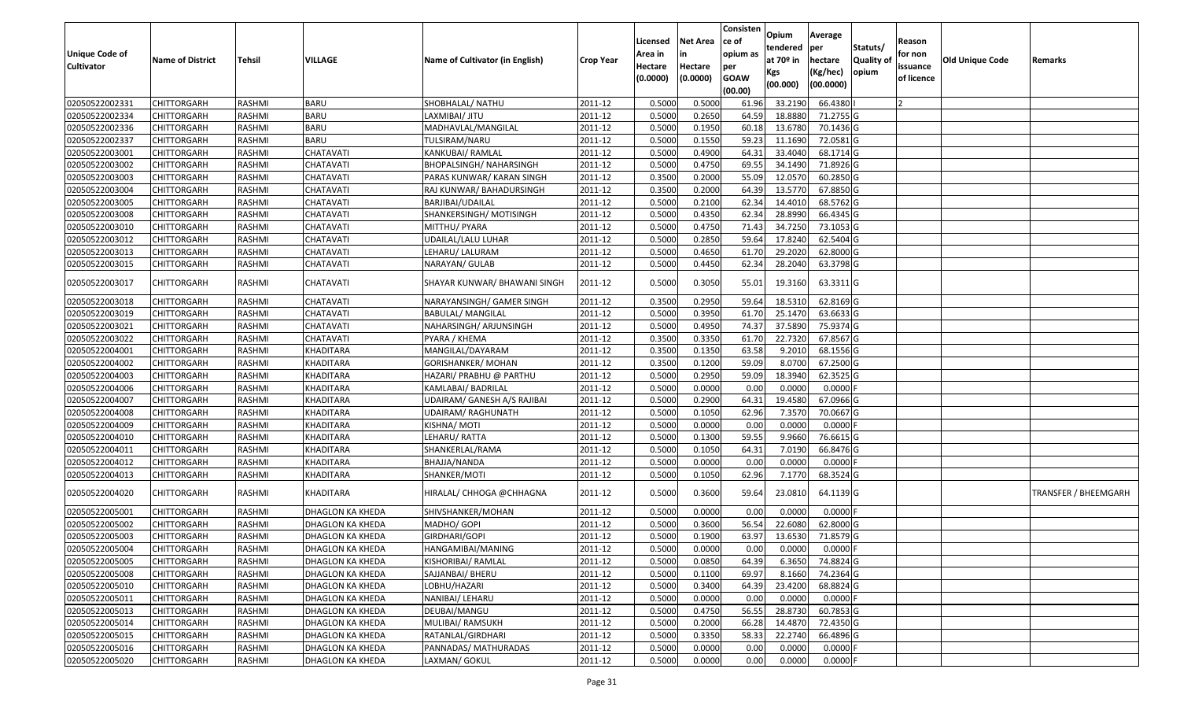| <b>Unique Code of</b><br><b>Cultivator</b> | <b>Name of District</b> | Tehsil        | VILLAGE                 | Name of Cultivator (in English) | <b>Crop Year</b> | Licensed<br>Area in<br>Hectare | <b>Net Area</b><br>in<br>Hectare | Consisten<br>ce of<br>opium as<br>per | Opium<br>tendered<br>at $70°$ in | Average<br>per<br>hectare | Statuts/<br>Quality of<br>opium | Reason<br>for non<br>issuance | Old Unique Code | Remarks              |
|--------------------------------------------|-------------------------|---------------|-------------------------|---------------------------------|------------------|--------------------------------|----------------------------------|---------------------------------------|----------------------------------|---------------------------|---------------------------------|-------------------------------|-----------------|----------------------|
|                                            |                         |               |                         |                                 |                  | (0.0000)                       | (0.0000)                         | <b>GOAW</b><br>(00.00)                | Kgs<br>(00.000)                  | (Kg/hec)<br>(00.0000)     |                                 | of licence                    |                 |                      |
| 02050522002331                             | <b>CHITTORGARH</b>      | RASHMI        | <b>BARU</b>             | SHOBHALAL/ NATHU                | 2011-12          | 0.5000                         | 0.5000                           | 61.96                                 | 33.2190                          | 66.4380                   |                                 |                               |                 |                      |
| 02050522002334                             | <b>CHITTORGARH</b>      | RASHMI        | <b>BARU</b>             | LAXMIBAI/ JITU                  | 2011-12          | 0.5000                         | 0.2650                           | 64.59                                 | 18.8880                          | 71.2755 G                 |                                 |                               |                 |                      |
| 02050522002336                             | <b>CHITTORGARH</b>      | RASHMI        | <b>BARU</b>             | MADHAVLAL/MANGILAL              | 2011-12          | 0.5000                         | 0.1950                           | 60.18                                 | 13.6780                          | 70.1436 G                 |                                 |                               |                 |                      |
| 02050522002337                             | <b>CHITTORGARH</b>      | RASHMI        | <b>BARU</b>             | TULSIRAM/NARU                   | 2011-12          | 0.5000                         | 0.1550                           | 59.23                                 | 11.1690                          | 72.0581G                  |                                 |                               |                 |                      |
| 02050522003001                             | <b>CHITTORGARH</b>      | RASHMI        | CHATAVATI               | KANKUBAI/ RAMLAL                | 2011-12          | 0.5000                         | 0.4900                           | 64.3                                  | 33.4040                          | 68.1714 G                 |                                 |                               |                 |                      |
| 02050522003002                             | <b>CHITTORGARH</b>      | RASHMI        | CHATAVATI               | <b>BHOPALSINGH/ NAHARSINGH</b>  | 2011-12          | 0.5000                         | 0.4750                           | 69.55                                 | 34.1490                          | 71.8926 G                 |                                 |                               |                 |                      |
| 02050522003003                             | CHITTORGARH             | RASHMI        | CHATAVATI               | PARAS KUNWAR/ KARAN SINGH       | 2011-12          | 0.3500                         | 0.2000                           | 55.09                                 | 12.0570                          | 60.2850 G                 |                                 |                               |                 |                      |
| 02050522003004                             | <b>CHITTORGARH</b>      | <b>RASHMI</b> | CHATAVATI               | RAJ KUNWAR/ BAHADURSINGH        | 2011-12          | 0.3500                         | 0.2000                           | 64.39                                 | 13.5770                          | 67.8850 G                 |                                 |                               |                 |                      |
| 02050522003005                             | <b>CHITTORGARH</b>      | <b>RASHMI</b> | CHATAVATI               | BARJIBAI/UDAILAL                | 2011-12          | 0.5000                         | 0.2100                           | 62.34                                 | 14.4010                          | 68.5762 G                 |                                 |                               |                 |                      |
| 02050522003008                             | <b>CHITTORGARH</b>      | RASHMI        | CHATAVATI               | SHANKERSINGH/ MOTISINGH         | 2011-12          | 0.5000                         | 0.4350                           | 62.34                                 | 28.8990                          | 66.4345 G                 |                                 |                               |                 |                      |
| 02050522003010                             | <b>CHITTORGARH</b>      | RASHMI        | CHATAVATI               | MITTHU/ PYARA                   | 2011-12          | 0.5000                         | 0.4750                           | 71.43                                 | 34.7250                          | 73.1053 G                 |                                 |                               |                 |                      |
| 02050522003012                             | <b>CHITTORGARH</b>      | RASHMI        | CHATAVATI               | UDAILAL/LALU LUHAR              | 2011-12          | 0.5000                         | 0.2850                           | 59.64                                 | 17.8240                          | 62.5404 G                 |                                 |                               |                 |                      |
| 02050522003013                             | <b>CHITTORGARH</b>      | RASHMI        | CHATAVATI               | LEHARU/ LALURAM                 | 2011-12          | 0.5000                         | 0.4650                           | 61.70                                 | 29.2020                          | 62.8000 G                 |                                 |                               |                 |                      |
| 02050522003015                             | <b>CHITTORGARH</b>      | RASHMI        | CHATAVATI               | NARAYAN/ GULAB                  | 2011-12          | 0.5000                         | 0.4450                           | 62.34                                 | 28.2040                          | 63.3798 G                 |                                 |                               |                 |                      |
| 02050522003017                             | <b>CHITTORGARH</b>      | RASHMI        | CHATAVATI               | SHAYAR KUNWAR/ BHAWANI SINGH    | 2011-12          | 0.5000                         | 0.3050                           | 55.01                                 | 19.3160                          | 63.3311 G                 |                                 |                               |                 |                      |
| 02050522003018                             | <b>CHITTORGARH</b>      | RASHMI        | CHATAVATI               | NARAYANSINGH/ GAMER SINGH       | 2011-12          | 0.3500                         | 0.2950                           | 59.64                                 | 18.5310                          | 62.8169 G                 |                                 |                               |                 |                      |
| 02050522003019                             | CHITTORGARH             | RASHMI        | CHATAVATI               | <b>BABULAL/ MANGILAL</b>        | 2011-12          | 0.5000                         | 0.3950                           | 61.70                                 | 25.1470                          | 63.6633 G                 |                                 |                               |                 |                      |
| 02050522003021                             | <b>CHITTORGARH</b>      | RASHMI        | CHATAVATI               | NAHARSINGH/ ARJUNSINGH          | 2011-12          | 0.5000                         | 0.4950                           | 74.37                                 | 37.5890                          | 75.9374 G                 |                                 |                               |                 |                      |
| 02050522003022                             | <b>CHITTORGARH</b>      | RASHMI        | CHATAVATI               | PYARA / KHEMA                   | 2011-12          | 0.3500                         | 0.3350                           | 61.70                                 | 22.7320                          | 67.8567 G                 |                                 |                               |                 |                      |
| 02050522004001                             | <b>CHITTORGARH</b>      | RASHMI        | KHADITARA               | MANGILAL/DAYARAM                | 2011-12          | 0.3500                         | 0.1350                           | 63.58                                 | 9.2010                           | 68.1556 G                 |                                 |                               |                 |                      |
| 02050522004002                             | <b>CHITTORGARH</b>      | RASHMI        | KHADITARA               | GORISHANKER/ MOHAN              | 2011-12          | 0.3500                         | 0.1200                           | 59.09                                 | 8.0700                           | 67.2500 G                 |                                 |                               |                 |                      |
| 02050522004003                             | <b>CHITTORGARH</b>      | RASHMI        | KHADITARA               | HAZARI/ PRABHU @ PARTHU         | 2011-12          | 0.5000                         | 0.2950                           | 59.09                                 | 18.3940                          | 62.3525 G                 |                                 |                               |                 |                      |
| 02050522004006                             | CHITTORGARH             | RASHMI        | KHADITARA               | KAMLABAI/ BADRILAL              | 2011-12          | 0.5000                         | 0.0000                           | 0.00                                  | 0.0000                           | 0.0000                    |                                 |                               |                 |                      |
| 02050522004007                             | <b>CHITTORGARH</b>      | <b>RASHMI</b> | KHADITARA               | UDAIRAM/ GANESH A/S RAJIBAI     | 2011-12          | 0.5000                         | 0.2900                           | 64.31                                 | 19.4580                          | 67.0966 G                 |                                 |                               |                 |                      |
| 02050522004008                             | <b>CHITTORGARH</b>      | RASHMI        | KHADITARA               | UDAIRAM/ RAGHUNATH              | 2011-12          | 0.5000                         | 0.1050                           | 62.96                                 | 7.3570                           | 70.0667 G                 |                                 |                               |                 |                      |
| 02050522004009                             | <b>CHITTORGARH</b>      | RASHMI        | KHADITARA               | KISHNA/MOTI                     | 2011-12          | 0.5000                         | 0.0000                           | 0.00                                  | 0.0000                           | 0.0000                    |                                 |                               |                 |                      |
| 02050522004010                             | <b>CHITTORGARH</b>      | RASHMI        | KHADITARA               | LEHARU/RATTA                    | 2011-12          | 0.5000                         | 0.1300                           | 59.55                                 | 9.9660                           | 76.6615 G                 |                                 |                               |                 |                      |
| 02050522004011                             | <b>CHITTORGARH</b>      | <b>RASHMI</b> | KHADITARA               | SHANKERLAL/RAMA                 | 2011-12          | 0.5000                         | 0.1050                           | 64.31                                 | 7.0190                           | 66.8476 G                 |                                 |                               |                 |                      |
| 02050522004012                             | CHITTORGARH             | RASHMI        | KHADITARA               | BHAJJA/NANDA                    | 2011-12          | 0.5000                         | 0.0000                           | 0.00                                  | 0.0000                           | 0.0000                    |                                 |                               |                 |                      |
| 02050522004013                             | <b>CHITTORGARH</b>      | RASHMI        | KHADITARA               | SHANKER/MOTI                    | 2011-12          | 0.5000                         | 0.1050                           | 62.96                                 | 7.1770                           | 68.3524 G                 |                                 |                               |                 |                      |
| 02050522004020                             | <b>CHITTORGARH</b>      | RASHMI        | KHADITARA               | HIRALAL/ CHHOGA @CHHAGNA        | 2011-12          | 0.5000                         | 0.3600                           | 59.64                                 | 23.0810                          | 64.1139 G                 |                                 |                               |                 | TRANSFER / BHEEMGARH |
| 02050522005001                             | <b>CHITTORGARH</b>      | RASHMI        | DHAGLON KA KHEDA        | SHIVSHANKER/MOHAN               | 2011-12          | 0.5000                         | 0.0000                           | 0.00                                  | 0.0000                           | 0.0000                    |                                 |                               |                 |                      |
| 02050522005002                             | CHITTORGARH             | RASHMI        | DHAGLON KA KHEDA        | MADHO/ GOPI                     | 2011-12          | 0.5000                         | 0.3600                           | 56.54                                 | 22.6080                          | 62.8000 G                 |                                 |                               |                 |                      |
| 02050522005003                             | <b>CHITTORGARH</b>      | RASHMI        | DHAGLON KA KHEDA        | GIRDHARI/GOPI                   | 2011-12          | 0.5000                         | 0.1900                           | 63.97                                 | 13.6530                          | 71.8579 G                 |                                 |                               |                 |                      |
| 02050522005004                             | CHITTORGARH             | RASHMI        | DHAGLON KA KHEDA        | HANGAMIBAI/MANING               | 2011-12          | 0.5000                         | 0.0000                           | 0.00                                  | 0.0000                           | $0.0000$ F                |                                 |                               |                 |                      |
| 02050522005005                             | <b>CHITTORGARH</b>      | RASHMI        | DHAGLON KA KHEDA        | KISHORIBAI/ RAMLAL              | 2011-12          | 0.5000                         | 0.0850                           | 64.39                                 | 6.3650                           | 74.8824 G                 |                                 |                               |                 |                      |
| 02050522005008                             | <b>CHITTORGARH</b>      | RASHMI        | DHAGLON KA KHEDA        | SAJJANBAI/ BHERU                | 2011-12          | 0.5000                         | 0.1100                           | 69.97                                 | 8.1660                           | 74.2364 G                 |                                 |                               |                 |                      |
| 02050522005010                             | <b>CHITTORGARH</b>      | RASHMI        | DHAGLON KA KHEDA        | LOBHU/HAZARI                    | 2011-12          | 0.5000                         | 0.3400                           | 64.39                                 | 23.4200                          | 68.8824 G                 |                                 |                               |                 |                      |
| 02050522005011                             | <b>CHITTORGARH</b>      | RASHMI        | DHAGLON KA KHEDA        | NANIBAI/ LEHARU                 | 2011-12          | 0.5000                         | 0.0000                           | 0.00                                  | 0.0000                           | 0.0000                    |                                 |                               |                 |                      |
| 02050522005013                             | <b>CHITTORGARH</b>      | RASHMI        | <b>DHAGLON KA KHEDA</b> | DEUBAI/MANGU                    | 2011-12          | 0.5000                         | 0.4750                           | 56.55                                 | 28.8730                          | 60.7853 G                 |                                 |                               |                 |                      |
| 02050522005014                             | <b>CHITTORGARH</b>      | RASHMI        | DHAGLON KA KHEDA        | MULIBAI/ RAMSUKH                | 2011-12          | 0.5000                         | 0.2000                           | 66.28                                 | 14.4870                          | 72.4350 G                 |                                 |                               |                 |                      |
| 02050522005015                             | <b>CHITTORGARH</b>      | RASHMI        | DHAGLON KA KHEDA        | RATANLAL/GIRDHARI               | 2011-12          | 0.5000                         | 0.3350                           | 58.33                                 | 22.2740                          | 66.4896 G                 |                                 |                               |                 |                      |
| 02050522005016                             | <b>CHITTORGARH</b>      | RASHMI        | DHAGLON KA KHEDA        | PANNADAS/ MATHURADAS            | 2011-12          | 0.5000                         | 0.0000                           | 0.00                                  | 0.0000                           | 0.0000                    |                                 |                               |                 |                      |
| 02050522005020                             | <b>CHITTORGARH</b>      | RASHMI        | <b>DHAGLON KA KHEDA</b> | LAXMAN/ GOKUL                   | 2011-12          | 0.5000                         | 0.0000                           | 0.00                                  | 0.0000                           | $0.0000$ F                |                                 |                               |                 |                      |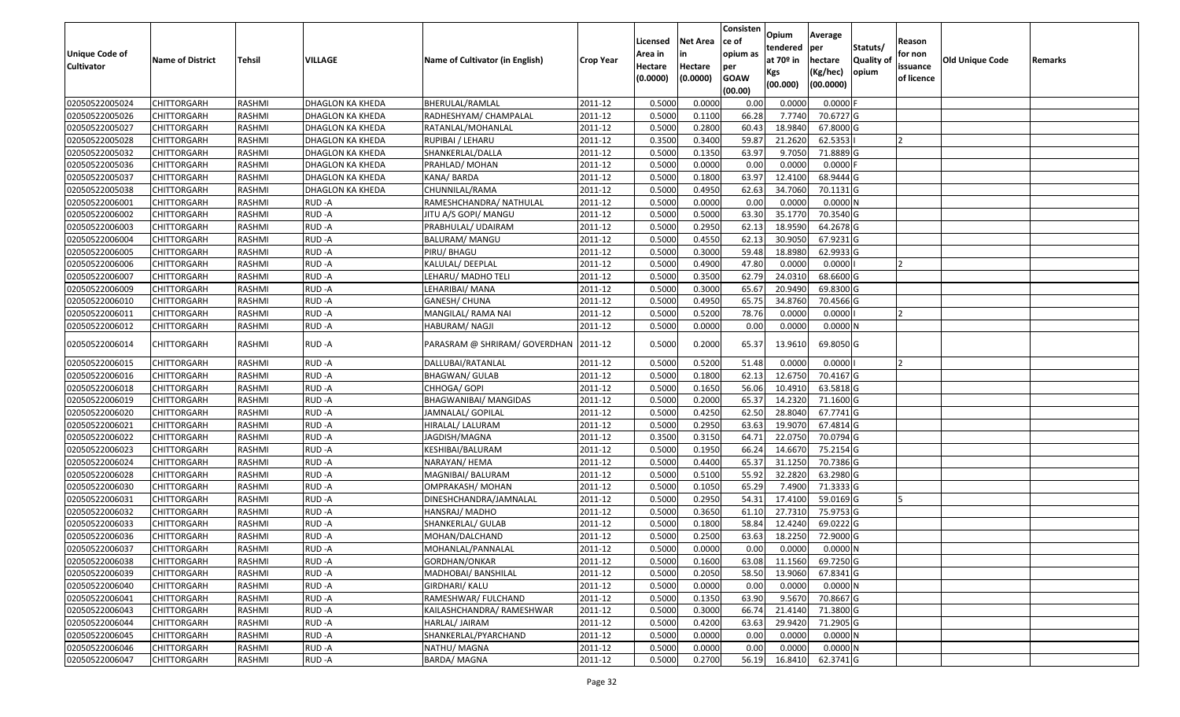| <b>Unique Code of</b><br><b>Cultivator</b> | <b>Name of District</b> | <b>Tehsil</b> | VILLAGE          | Name of Cultivator (in English) | <b>Crop Year</b> | Licensed<br>Area in<br>Hectare<br>(0.0000) | <b>Net Area</b><br>in<br>Hectare<br>(0.0000) | Consisten<br>ce of<br>opium as<br>per<br><b>GOAW</b><br>(00.00) | Opium<br>tendered<br>at $70°$ in<br>Kgs<br>(00.000) | Average<br>per<br>hectare<br>(Kg/hec)<br>(00.0000) | Statuts/<br>Quality of<br>opium | Reason<br>for non<br>issuance<br>of licence | <b>Old Unique Code</b> | Remarks |
|--------------------------------------------|-------------------------|---------------|------------------|---------------------------------|------------------|--------------------------------------------|----------------------------------------------|-----------------------------------------------------------------|-----------------------------------------------------|----------------------------------------------------|---------------------------------|---------------------------------------------|------------------------|---------|
| 02050522005024                             | <b>CHITTORGARH</b>      | RASHMI        | DHAGLON KA KHEDA | BHERULAL/RAMLAL                 | 2011-12          | 0.5000                                     | 0.0000                                       | 0.00                                                            | 0.0000                                              | 0.0000                                             |                                 |                                             |                        |         |
| 02050522005026                             | CHITTORGARH             | RASHMI        | DHAGLON KA KHEDA | RADHESHYAM/ CHAMPALAL           | 2011-12          | 0.5000                                     | 0.1100                                       | 66.28                                                           | 7.7740                                              | 70.6727 G                                          |                                 |                                             |                        |         |
| 02050522005027                             | CHITTORGARH             | RASHMI        | DHAGLON KA KHEDA | RATANLAL/MOHANLAL               | 2011-12          | 0.5000                                     | 0.2800                                       | 60.43                                                           | 18.9840                                             | 67.8000 G                                          |                                 |                                             |                        |         |
| 02050522005028                             | <b>CHITTORGARH</b>      | RASHMI        | DHAGLON KA KHEDA | RUPIBAI / LEHARU                | 2011-12          | 0.3500                                     | 0.3400                                       | 59.87                                                           | 21.2620                                             | 62.5353                                            |                                 |                                             |                        |         |
| 02050522005032                             | <b>CHITTORGARH</b>      | RASHMI        | DHAGLON KA KHEDA | SHANKERLAL/DALLA                | 2011-12          | 0.5000                                     | 0.1350                                       | 63.97                                                           | 9.7050                                              | 71.8889 G                                          |                                 |                                             |                        |         |
| 02050522005036                             | <b>CHITTORGARH</b>      | RASHMI        | DHAGLON KA KHEDA | PRAHLAD/ MOHAN                  | 2011-12          | 0.5000                                     | 0.0000                                       | 0.00                                                            | 0.0000                                              | $0.0000$ F                                         |                                 |                                             |                        |         |
| 02050522005037                             | <b>CHITTORGARH</b>      | RASHMI        | DHAGLON KA KHEDA | KANA/BARDA                      | 2011-12          | 0.5000                                     | 0.1800                                       | 63.97                                                           | 12.4100                                             | 68.9444 G                                          |                                 |                                             |                        |         |
| 02050522005038                             | <b>CHITTORGARH</b>      | RASHMI        | DHAGLON KA KHEDA | CHUNNILAL/RAMA                  | 2011-12          | 0.5000                                     | 0.4950                                       | 62.63                                                           | 34.7060                                             | 70.1131 G                                          |                                 |                                             |                        |         |
| 02050522006001                             | <b>CHITTORGARH</b>      | RASHMI        | RUD-A            | RAMESHCHANDRA/ NATHULAL         | 2011-12          | 0.5000                                     | 0.0000                                       | 0.00                                                            | 0.0000                                              | 0.0000N                                            |                                 |                                             |                        |         |
| 02050522006002                             | CHITTORGARH             | RASHMI        | RUD-A            | JITU A/S GOPI/ MANGU            | 2011-12          | 0.5000                                     | 0.5000                                       | 63.30                                                           | 35.1770                                             | 70.3540 G                                          |                                 |                                             |                        |         |
| 02050522006003                             | <b>CHITTORGARH</b>      | RASHMI        | RUD-A            | PRABHULAL/ UDAIRAM              | 2011-12          | 0.5000                                     | 0.2950                                       | 62.13                                                           | 18.9590                                             | 64.2678 G                                          |                                 |                                             |                        |         |
| 02050522006004                             | CHITTORGARH             | RASHMI        | RUD-A            | BALURAM/ MANGU                  | 2011-12          | 0.5000                                     | 0.4550                                       | 62.13                                                           | 30.9050                                             | 67.9231 G                                          |                                 |                                             |                        |         |
| 02050522006005                             | CHITTORGARH             | RASHMI        | RUD-A            | PIRU/ BHAGU                     | 2011-12          | 0.5000                                     | 0.3000                                       | 59.48                                                           | 18.8980                                             | 62.9933 G                                          |                                 |                                             |                        |         |
| 02050522006006                             | CHITTORGARH             | RASHMI        | RUD-A            | KALULAL/DEEPLAL                 | 2011-12          | 0.5000                                     | 0.4900                                       | 47.80                                                           | 0.0000                                              | 0.0000                                             |                                 |                                             |                        |         |
| 02050522006007                             | CHITTORGARH             | RASHMI        | RUD-A            | LEHARU/ MADHO TELI              | 2011-12          | 0.5000                                     | 0.3500                                       | 62.79                                                           | 24.031                                              | 68.6600 G                                          |                                 |                                             |                        |         |
| 02050522006009                             | CHITTORGARH             | RASHMI        | RUD-A            | LEHARIBAI/MANA                  | 2011-12          | 0.5000                                     | 0.3000                                       | 65.67                                                           | 20.9490                                             | 69.8300 G                                          |                                 |                                             |                        |         |
| 02050522006010                             | CHITTORGARH             | RASHMI        | RUD-A            | <b>GANESH/ CHUNA</b>            | 2011-12          | 0.5000                                     | 0.4950                                       | 65.75                                                           | 34.8760                                             | 70.4566 G                                          |                                 |                                             |                        |         |
| 02050522006011                             | CHITTORGARH             | RASHMI        | RUD-A            | MANGILAL/ RAMA NAI              | 2011-12          | 0.5000                                     | 0.5200                                       | 78.76                                                           | 0.0000                                              | 0.0000                                             |                                 |                                             |                        |         |
| 02050522006012                             | <b>CHITTORGARH</b>      | RASHMI        | RUD-A            | HABURAM/ NAGJI                  | 2011-12          | 0.5000                                     | 0.0000                                       | 0.00                                                            | 0.0000                                              | 0.0000N                                            |                                 |                                             |                        |         |
| 02050522006014                             | CHITTORGARH             | RASHMI        | RUD-A            | PARASRAM @ SHRIRAM/ GOVERDHAN   | 2011-12          | 0.5000                                     | 0.2000                                       | 65.37                                                           | 13.9610                                             | 69.8050 G                                          |                                 |                                             |                        |         |
| 02050522006015                             | CHITTORGARH             | RASHMI        | RUD-A            | DALLUBAI/RATANLAL               | 2011-12          | 0.500                                      | 0.5200                                       | 51.48                                                           | 0.000                                               | 0.0000                                             |                                 | $\overline{2}$                              |                        |         |
| 02050522006016                             | <b>CHITTORGARH</b>      | RASHMI        | RUD-A            | BHAGWAN/ GULAB                  | 2011-12          | 0.5000                                     | 0.1800                                       | 62.13                                                           | 12.6750                                             | 70.4167 G                                          |                                 |                                             |                        |         |
| 02050522006018                             | CHITTORGARH             | RASHMI        | RUD-A            | CHHOGA/ GOPI                    | 2011-12          | 0.5000                                     | 0.1650                                       | 56.06                                                           | 10.4910                                             | 63.5818 G                                          |                                 |                                             |                        |         |
| 02050522006019                             | <b>CHITTORGARH</b>      | RASHMI        | RUD-A            | <b>BHAGWANIBAI/ MANGIDAS</b>    | 2011-12          | 0.5000                                     | 0.2000                                       | 65.37                                                           | 14.2320                                             | 71.1600 G                                          |                                 |                                             |                        |         |
| 02050522006020                             | CHITTORGARH             | RASHMI        | RUD-A            | JAMNALAL/ GOPILAL               | 2011-12          | 0.5000                                     | 0.4250                                       | 62.50                                                           | 28.8040                                             | 67.7741 G                                          |                                 |                                             |                        |         |
| 02050522006021                             | CHITTORGARH             | RASHMI        | RUD-A            | HIRALAL/ LALURAM                | 2011-12          | 0.5000                                     | 0.2950                                       | 63.63                                                           | 19.9070                                             | 67.4814 G                                          |                                 |                                             |                        |         |
| 02050522006022                             | <b>CHITTORGARH</b>      | RASHMI        | RUD-A            | JAGDISH/MAGNA                   | 2011-12          | 0.3500                                     | 0.3150                                       | 64.71                                                           | 22.0750                                             | 70.0794 G                                          |                                 |                                             |                        |         |
| 02050522006023                             | <b>CHITTORGARH</b>      | RASHMI        | RUD-A            | KESHIBAI/BALURAM                | 2011-12          | 0.5000                                     | 0.1950                                       | 66.24                                                           | 14.6670                                             | 75.2154 G                                          |                                 |                                             |                        |         |
| 02050522006024                             | <b>CHITTORGARH</b>      | RASHMI        | RUD-A            | NARAYAN/ HEMA                   | 2011-12          | 0.5000                                     | 0.4400                                       | 65.37                                                           | 31.1250                                             | 70.7386 G                                          |                                 |                                             |                        |         |
| 02050522006028                             | CHITTORGARH             | RASHMI        | RUD-A            | MAGNIBAI/ BALURAM               | 2011-12          | 0.5000                                     | 0.5100                                       | 55.92                                                           | 32.2820                                             | 63.2980 G                                          |                                 |                                             |                        |         |
| 02050522006030                             | <b>CHITTORGARH</b>      | RASHMI        | RUD-A            | OMPRAKASH/ MOHAN                | 2011-12          | 0.5000                                     | 0.1050                                       | 65.29                                                           | 7.4900                                              | 71.3333 G                                          |                                 |                                             |                        |         |
| 02050522006031                             | CHITTORGARH             | RASHMI        | RUD-A            | DINESHCHANDRA/JAMNALAL          | 2011-12          | 0.5000                                     | 0.2950                                       | 54.32                                                           | 17.4100                                             | 59.0169G                                           |                                 |                                             |                        |         |
| 02050522006032                             | <b>CHITTORGARH</b>      | RASHMI        | RUD-A            | HANSRAJ/MADHO                   | 2011-12          | 0.5000                                     | 0.3650                                       | 61.10                                                           | 27.7310                                             | 75.9753 G                                          |                                 |                                             |                        |         |
| 02050522006033                             | CHITTORGARH             | RASHMI        | RUD-A            | SHANKERLAL/ GULAB               | 2011-12          | 0.500                                      | 0.1800                                       | 58.84                                                           | 12.4240                                             | 69.0222G                                           |                                 |                                             |                        |         |
| 02050522006036                             | CHITTORGARH             | RASHMI        | RUD-A            | MOHAN/DALCHAND                  | 2011-12          | 0.500                                      | 0.2500                                       | 63.63                                                           | 18.2250                                             | 72.9000G                                           |                                 |                                             |                        |         |
| 02050522006037                             | <b>CHITTORGARH</b>      | RASHMI        | RUD-A            | MOHANLAL/PANNALAL               | 2011-12          | 0.5000                                     | 0.0000                                       | 0.00                                                            | 0.0000                                              | 0.0000N                                            |                                 |                                             |                        |         |
| 02050522006038                             | <b>CHITTORGARH</b>      | RASHMI        | RUD-A            | GORDHAN/ONKAR                   | 2011-12          | 0.5000                                     | 0.1600                                       | 63.08                                                           | 11.1560                                             | 69.7250 G                                          |                                 |                                             |                        |         |
| 02050522006039                             | <b>CHITTORGARH</b>      | RASHMI        | RUD-A            | MADHOBAI/ BANSHILAL             | 2011-12          | 0.5000                                     | 0.2050                                       | 58.50                                                           | 13.9060                                             | 67.8341 G                                          |                                 |                                             |                        |         |
| 02050522006040                             | <b>CHITTORGARH</b>      | RASHMI        | RUD-A            | GIRDHARI/ KALU                  | 2011-12          | 0.5000                                     | 0.0000                                       | 0.00                                                            | 0.0000                                              | 0.0000N                                            |                                 |                                             |                        |         |
| 02050522006041                             | <b>CHITTORGARH</b>      | RASHMI        | RUD-A            | RAMESHWAR/ FULCHAND             | 2011-12          | 0.5000                                     | 0.1350                                       | 63.90                                                           | 9.5670                                              | 70.8667 G                                          |                                 |                                             |                        |         |
| 02050522006043                             | <b>CHITTORGARH</b>      | RASHMI        | RUD-A            | KAILASHCHANDRA/ RAMESHWAR       | 2011-12          | 0.5000                                     | 0.3000                                       | 66.74                                                           | 21.4140                                             | 71.3800 G                                          |                                 |                                             |                        |         |
| 02050522006044                             | <b>CHITTORGARH</b>      | RASHMI        | RUD-A            | HARLAL/ JAIRAM                  | 2011-12          | 0.5000                                     | 0.4200                                       | 63.63                                                           | 29.9420                                             | 71.2905 G                                          |                                 |                                             |                        |         |
| 02050522006045                             | <b>CHITTORGARH</b>      | RASHMI        | RUD-A            | SHANKERLAL/PYARCHAND            | 2011-12          | 0.5000                                     | 0.0000                                       | 0.00                                                            | 0.0000                                              | $0.0000$ N                                         |                                 |                                             |                        |         |
| 02050522006046                             | CHITTORGARH             | RASHMI        | RUD-A            | NATHU/ MAGNA                    | 2011-12          | 0.5000                                     | 0.0000                                       | 0.00                                                            | 0.0000                                              | 0.0000N                                            |                                 |                                             |                        |         |
| 02050522006047                             | <b>CHITTORGARH</b>      | RASHMI        | RUD-A            | <b>BARDA/MAGNA</b>              | 2011-12          | 0.5000                                     | 0.2700                                       | 56.19                                                           | 16.8410                                             | 62.3741 G                                          |                                 |                                             |                        |         |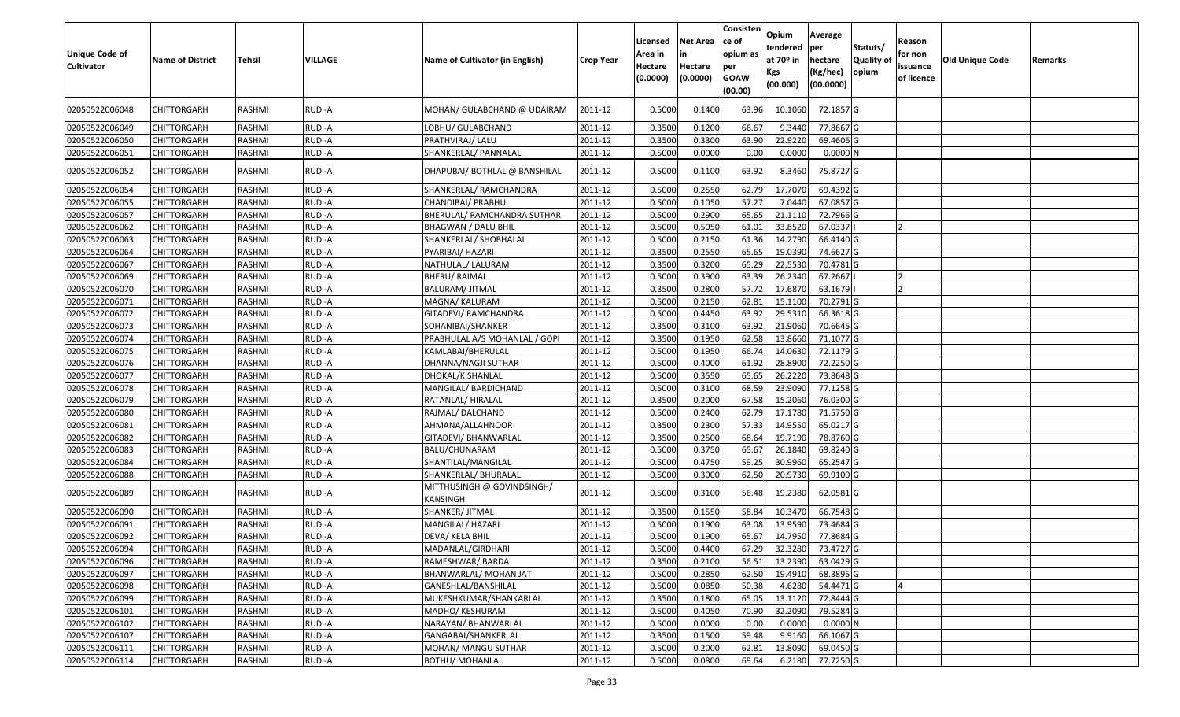| <b>Unique Code of</b><br>Cultivator | <b>Name of District</b> | Tehsil        | <b>VILLAGE</b> | Name of Cultivator (in English)        | <b>Crop Year</b> | Licensed<br>Area in<br>Hectare<br>(0.0000) | <b>Net Area</b><br>Hectare<br>(0.0000) | Consisten<br>ce of<br>opium as<br>per<br><b>GOAW</b><br>(00.00) | Opium<br>tendered<br>at $70°$ in<br><b>Kgs</b><br>(00.000) | Average<br>per<br>hectare<br>(Kg/hec)<br>(00.0000) | Statuts/<br>Quality of<br>opium | Reason<br>for non<br>issuance<br>of licence | Old Unique Code | Remarks |
|-------------------------------------|-------------------------|---------------|----------------|----------------------------------------|------------------|--------------------------------------------|----------------------------------------|-----------------------------------------------------------------|------------------------------------------------------------|----------------------------------------------------|---------------------------------|---------------------------------------------|-----------------|---------|
| 02050522006048                      | CHITTORGARH             | RASHMI        | RUD-A          | MOHAN/ GULABCHAND @ UDAIRAM            | 2011-12          | 0.5000                                     | 0.1400                                 | 63.96                                                           | 10.1060                                                    | 72.1857 G                                          |                                 |                                             |                 |         |
| 02050522006049                      | <b>CHITTORGARH</b>      | RASHMI        | RUD-A          | LOBHU/ GULABCHAND                      | 2011-12          | 0.3500                                     | 0.1200                                 | 66.67                                                           | 9.3440                                                     | 77.8667 G                                          |                                 |                                             |                 |         |
| 02050522006050                      | <b>CHITTORGARH</b>      | RASHMI        | RUD-A          | PRATHVIRAJ/ LALU                       | 2011-12          | 0.3500                                     | 0.3300                                 | 63.90                                                           | 22.9220                                                    | 69.4606 G                                          |                                 |                                             |                 |         |
| 02050522006051                      | <b>CHITTORGARH</b>      | RASHMI        | RUD-A          | SHANKERLAL/ PANNALAL                   | 2011-12          | 0.5000                                     | 0.0000                                 | 0.00                                                            | 0.0000                                                     | 0.0000N                                            |                                 |                                             |                 |         |
| 02050522006052                      | CHITTORGARH             | RASHMI        | RUD-A          | DHAPUBAI/ BOTHLAL @ BANSHILAL          | 2011-12          | 0.5000                                     | 0.1100                                 | 63.92                                                           | 8.3460                                                     | 75.8727 G                                          |                                 |                                             |                 |         |
| 02050522006054                      | CHITTORGARH             | <b>RASHMI</b> | RUD-A          | SHANKERLAL/ RAMCHANDRA                 | 2011-12          | 0.5000                                     | 0.2550                                 | 62.79                                                           | 17.7070                                                    | 69.4392 G                                          |                                 |                                             |                 |         |
| 02050522006055                      | <b>CHITTORGARH</b>      | <b>RASHMI</b> | RUD-A          | CHANDIBAI/ PRABHU                      | 2011-12          | 0.5000                                     | 0.1050                                 | 57.27                                                           | 7.0440                                                     | 67.0857 G                                          |                                 |                                             |                 |         |
| 02050522006057                      | <b>CHITTORGARH</b>      | RASHMI        | RUD-A          | BHERULAL/ RAMCHANDRA SUTHAR            | 2011-12          | 0.5000                                     | 0.2900                                 | 65.65                                                           | 21.1110                                                    | 72.7966 G                                          |                                 |                                             |                 |         |
| 02050522006062                      | <b>CHITTORGARH</b>      | RASHMI        | RUD-A          | <b>BHAGWAN / DALU BHIL</b>             | 2011-12          | 0.5000                                     | 0.5050                                 | 61.01                                                           | 33.8520                                                    | 67.0337                                            |                                 |                                             |                 |         |
| 02050522006063                      | <b>CHITTORGARH</b>      | <b>RASHMI</b> | RUD-A          | SHANKERLAL/ SHOBHALAL                  | 2011-12          | 0.5000                                     | 0.2150                                 | 61.36                                                           | 14.2790                                                    | 66.4140 G                                          |                                 |                                             |                 |         |
| 02050522006064                      | <b>CHITTORGARH</b>      | <b>RASHMI</b> | RUD-A          | PYARIBAI/ HAZARI                       | 2011-12          | 0.3500                                     | 0.2550                                 | 65.65                                                           | 19.0390                                                    | 74.6627 G                                          |                                 |                                             |                 |         |
| 02050522006067                      | <b>CHITTORGARH</b>      | RASHMI        | RUD-A          | NATHULAL/ LALURAM                      | 2011-12          | 0.3500                                     | 0.3200                                 | 65.29                                                           | 22.5530                                                    | 70.4781G                                           |                                 |                                             |                 |         |
| 02050522006069                      | <b>CHITTORGARH</b>      | RASHMI        | RUD-A          | <b>BHERU/ RAIMAL</b>                   | 2011-12          | 0.5000                                     | 0.3900                                 | 63.39                                                           | 26.2340                                                    | 67.2667                                            |                                 |                                             |                 |         |
| 02050522006070                      | <b>CHITTORGARH</b>      | <b>RASHMI</b> | RUD-A          | <b>BALURAM/ JITMAL</b>                 | 2011-12          | 0.3500                                     | 0.2800                                 | 57.72                                                           | 17.6870                                                    | 63.1679                                            |                                 |                                             |                 |         |
| 02050522006071                      | <b>CHITTORGARH</b>      | <b>RASHMI</b> | RUD-A          | MAGNA/ KALURAM                         | 2011-12          | 0.5000                                     | 0.2150                                 | 62.81                                                           | 15.1100                                                    | 70.2791 G                                          |                                 |                                             |                 |         |
| 02050522006072                      | <b>CHITTORGARH</b>      | <b>RASHMI</b> | RUD-A          | GITADEVI/ RAMCHANDRA                   | 2011-12          | 0.5000                                     | 0.4450                                 | 63.92                                                           | 29.5310                                                    | 66.3618 G                                          |                                 |                                             |                 |         |
| 02050522006073                      | <b>CHITTORGARH</b>      | RASHMI        | RUD-A          | SOHANIBAI/SHANKER                      | 2011-12          | 0.3500                                     | 0.3100                                 | 63.92                                                           | 21.9060                                                    | 70.6645 G                                          |                                 |                                             |                 |         |
| 02050522006074                      | CHITTORGARH             | <b>RASHMI</b> | RUD-A          | PRABHULAL A/S MOHANLAL / GOPI          | 2011-12          | 0.3500                                     | 0.1950                                 | 62.58                                                           | 13.8660                                                    | 71.1077 G                                          |                                 |                                             |                 |         |
| 02050522006075                      | <b>CHITTORGARH</b>      | <b>RASHMI</b> | RUD-A          | KAMLABAI/BHERULAL                      | 2011-12          | 0.5000                                     | 0.1950                                 | 66.74                                                           | 14.0630                                                    | 72.1179 G                                          |                                 |                                             |                 |         |
| 02050522006076                      | <b>CHITTORGARH</b>      | <b>RASHMI</b> | RUD-A          | DHANNA/NAGJI SUTHAR                    | 2011-12          | 0.5000                                     | 0.4000                                 | 61.92                                                           | 28.8900                                                    | 72.2250 G                                          |                                 |                                             |                 |         |
| 02050522006077                      | <b>CHITTORGARH</b>      | RASHMI        | RUD-A          | DHOKAL/KISHANLAL                       | 2011-12          | 0.5000                                     | 0.3550                                 | 65.65                                                           | 26.2220                                                    | 73.8648 G                                          |                                 |                                             |                 |         |
| 02050522006078                      | <b>CHITTORGARH</b>      | RASHMI        | RUD-A          | MANGILAL/ BARDICHAND                   | 2011-12          | 0.5000                                     | 0.3100                                 | 68.59                                                           | 23.9090                                                    | 77.1258 G                                          |                                 |                                             |                 |         |
| 02050522006079                      | <b>CHITTORGARH</b>      | <b>RASHMI</b> | RUD-A          | RATANLAL/ HIRALAL                      | 2011-12          | 0.3500                                     | 0.2000                                 | 67.58                                                           | 15.2060                                                    | 76.0300 G                                          |                                 |                                             |                 |         |
| 02050522006080                      | <b>CHITTORGARH</b>      | RASHMI        | RUD-A          | RAJMAL/ DALCHAND                       | 2011-12          | 0.5000                                     | 0.2400                                 | 62.79                                                           | 17.1780                                                    | 71.5750 G                                          |                                 |                                             |                 |         |
| 02050522006081                      | <b>CHITTORGARH</b>      | RASHMI        | RUD-A          | AHMANA/ALLAHNOOR                       | 2011-12          | 0.3500                                     | 0.2300                                 | 57.33                                                           | 14.9550                                                    | 65.0217 G                                          |                                 |                                             |                 |         |
| 02050522006082                      | CHITTORGARH             | RASHMI        | RUD-A          | GITADEVI/ BHANWARLAL                   | 2011-12          | 0.3500                                     | 0.2500                                 | 68.64                                                           | 19.7190                                                    | 78.8760 G                                          |                                 |                                             |                 |         |
| 02050522006083                      | CHITTORGARH             | RASHMI        | RUD-A          | BALU/CHUNARAM                          | 2011-12          | 0.5000                                     | 0.3750                                 | 65.67                                                           | 26.1840                                                    | 69.8240 G                                          |                                 |                                             |                 |         |
| 02050522006084                      | <b>CHITTORGARH</b>      | RASHMI        | RUD-A          | SHANTILAL/MANGILAL                     | 2011-12          | 0.5000                                     | 0.4750                                 | 59.25                                                           | 30.9960                                                    | 65.2547 G                                          |                                 |                                             |                 |         |
| 02050522006088                      | <b>CHITTORGARH</b>      | RASHMI        | RUD-A          | SHANKERLAL/ BHURALAL                   | 2011-12          | 0.5000                                     | 0.3000                                 | 62.50                                                           | 20.9730                                                    | 69.9100 G                                          |                                 |                                             |                 |         |
| 02050522006089                      | <b>CHITTORGARH</b>      | RASHMI        | RUD-A          | MITTHUSINGH @ GOVINDSINGH/<br>KANSINGH | 2011-12          | 0.5000                                     | 0.3100                                 | 56.48                                                           | 19.2380                                                    | 62.0581 G                                          |                                 |                                             |                 |         |
| 02050522006090                      | <b>CHITTORGARH</b>      | <b>RASHMI</b> | RUD-A          | SHANKER/ JITMAL                        | 2011-12          | 0.3500                                     | 0.1550                                 | 58.84                                                           | 10.3470                                                    | 66.7548 G                                          |                                 |                                             |                 |         |
| 02050522006091                      | <b>CHITTORGARH</b>      | RASHMI        | RUD-A          | MANGILAL/ HAZARI                       | 2011-12          | 0.5000                                     | 0.1900                                 | 63.08                                                           | 13.9590                                                    | 73.4684 G                                          |                                 |                                             |                 |         |
| 02050522006092                      | <b>CHITTORGARH</b>      | RASHMI        | RUD-A          | DEVA/ KELA BHIL                        | 2011-12          | 0.5000                                     | 0.1900                                 | 65.67                                                           | 14.7950                                                    | 77.8684 G                                          |                                 |                                             |                 |         |
| 02050522006094                      | <b>CHITTORGARH</b>      | RASHMI        | RUD-A          | MADANLAL/GIRDHARI                      | 2011-12          | 0.5000                                     | 0.4400                                 |                                                                 | 67.29 32.3280                                              | 73.4727 G                                          |                                 |                                             |                 |         |
| 02050522006096                      | <b>CHITTORGARH</b>      | RASHMI        | RUD-A          | RAMESHWAR/ BARDA                       | 2011-12          | 0.3500                                     | 0.2100                                 | 56.51                                                           | 13.2390                                                    | 63.0429 G                                          |                                 |                                             |                 |         |
| 02050522006097                      | <b>CHITTORGARH</b>      | RASHMI        | RUD-A          | BHANWARLAL/ MOHAN JAT                  | 2011-12          | 0.5000                                     | 0.2850                                 | 62.50                                                           | 19.4910                                                    | 68.3895 G                                          |                                 |                                             |                 |         |
| 02050522006098                      | <b>CHITTORGARH</b>      | RASHMI        | RUD-A          | GANESHLAL/BANSHILAL                    | 2011-12          | 0.5000                                     | 0.0850                                 | 50.38                                                           | 4.6280                                                     | 54.4471 G                                          |                                 |                                             |                 |         |
| 02050522006099                      | CHITTORGARH             | RASHMI        | RUD-A          | MUKESHKUMAR/SHANKARLAL                 | 2011-12          | 0.3500                                     | 0.1800                                 | 65.05                                                           | 13.1120                                                    | 72.8444 G                                          |                                 |                                             |                 |         |
| 02050522006101                      | <b>CHITTORGARH</b>      | RASHMI        | RUD-A          | MADHO/ KESHURAM                        | 2011-12          | 0.5000                                     | 0.4050                                 | 70.90                                                           | 32.2090                                                    | 79.5284 G                                          |                                 |                                             |                 |         |
| 02050522006102                      | <b>CHITTORGARH</b>      | RASHMI        | RUD-A          | NARAYAN/ BHANWARLAL                    | 2011-12          | 0.5000                                     | 0.0000                                 | 0.00                                                            | 0.0000                                                     | $0.0000$ N                                         |                                 |                                             |                 |         |
| 02050522006107                      | <b>CHITTORGARH</b>      | RASHMI        | RUD-A          | GANGABAI/SHANKERLAL                    | 2011-12          | 0.3500                                     | 0.1500                                 | 59.48                                                           | 9.9160                                                     | 66.1067 G                                          |                                 |                                             |                 |         |
| 02050522006111                      | <b>CHITTORGARH</b>      | RASHMI        | RUD-A          | MOHAN/ MANGU SUTHAR                    | 2011-12          | 0.5000                                     | 0.2000                                 | 62.81                                                           | 13.8090                                                    | 69.0450 G                                          |                                 |                                             |                 |         |
| 02050522006114                      | <b>CHITTORGARH</b>      | RASHMI        | RUD-A          | <b>BOTHU/ MOHANLAL</b>                 | 2011-12          | 0.5000                                     | 0.0800                                 | 69.64                                                           | 6.2180                                                     | 77.7250 G                                          |                                 |                                             |                 |         |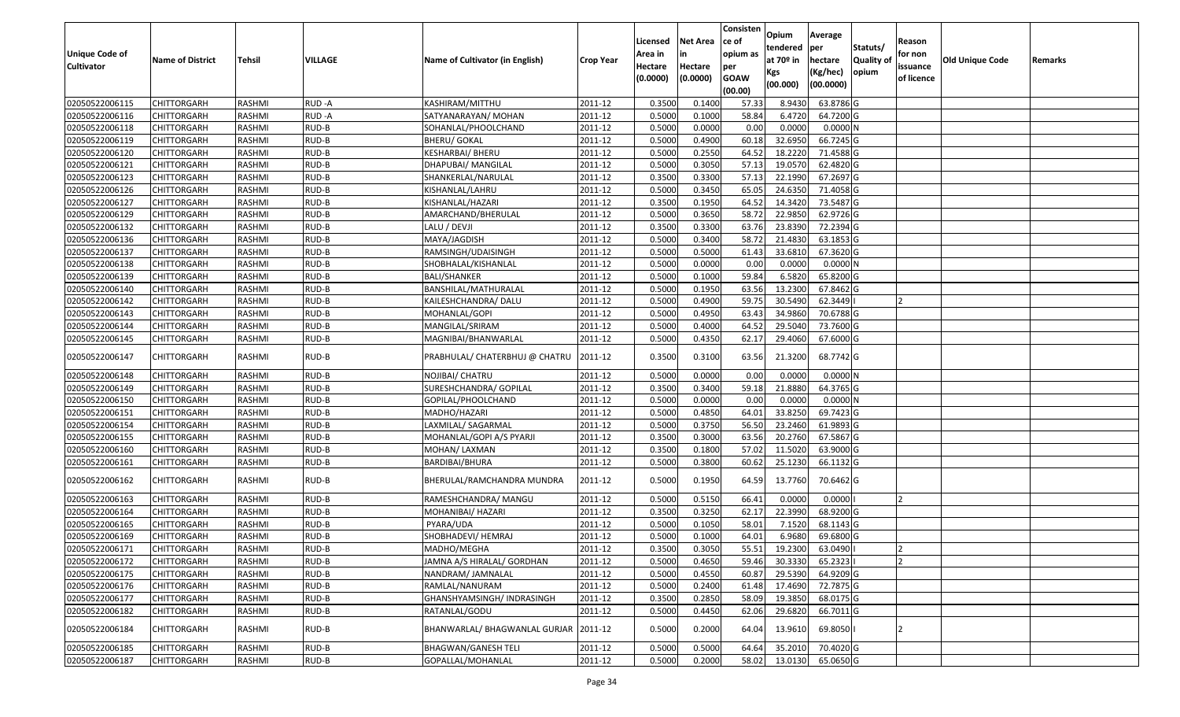| Unique Code of    |                         |               |         |                                 |                        | Licensed<br>Area in | <b>Net Area</b><br>in | Consisten<br>ce of<br>opium as | Opium<br>tendered              | Average<br>per                   | Statuts/                  | Reason<br>for non      |                 |         |
|-------------------|-------------------------|---------------|---------|---------------------------------|------------------------|---------------------|-----------------------|--------------------------------|--------------------------------|----------------------------------|---------------------------|------------------------|-----------------|---------|
| <b>Cultivator</b> | <b>Name of District</b> | <b>Tehsil</b> | VILLAGE | Name of Cultivator (in English) | <b>Crop Year</b>       | Hectare<br>(0.0000) | Hectare<br>(0.0000)   | per<br><b>GOAW</b><br>(00.00)  | at $70°$ in<br>Kgs<br>(00.000) | hectare<br>(Kg/hec)<br>(00.0000) | <b>Quality o</b><br>opium | issuance<br>of licence | Old Unique Code | Remarks |
| 02050522006115    | CHITTORGARH             | RASHMI        | RUD-A   | KASHIRAM/MITTHU                 | 2011-12                | 0.3500              | 0.1400                | 57.33                          | 8.9430                         | 63.8786 G                        |                           |                        |                 |         |
| 02050522006116    | CHITTORGARH             | RASHMI        | RUD-A   | SATYANARAYAN/ MOHAN             | 2011-12                | 0.5000              | 0.1000                | 58.84                          | 6.4720                         | 64.7200 G                        |                           |                        |                 |         |
| 02050522006118    | CHITTORGARH             | RASHMI        | RUD-B   | SOHANLAL/PHOOLCHAND             | 2011-12                | 0.5000              | 0.0000                | 0.00                           | 0.0000                         | 0.0000N                          |                           |                        |                 |         |
| 02050522006119    | CHITTORGARH             | RASHMI        | RUD-B   | <b>BHERU/ GOKAL</b>             | 2011-12                | 0.5000              | 0.4900                | 60.18                          | 32.6950                        | 66.7245 G                        |                           |                        |                 |         |
| 02050522006120    | CHITTORGARH             | RASHMI        | RUD-B   | KESHARBAI/ BHERU                | 2011-12                | 0.5000              | 0.2550                | 64.52                          | 18.2220                        | 71.4588 G                        |                           |                        |                 |         |
| 02050522006121    | <b>CHITTORGARH</b>      | RASHMI        | RUD-B   | DHAPUBAI/ MANGILAL              | 2011-12                | 0.5000              | 0.3050                | 57.13                          | 19.0570                        | 62.4820 G                        |                           |                        |                 |         |
| 02050522006123    | CHITTORGARH             | RASHMI        | RUD-B   | SHANKERLAL/NARULAL              | 2011-12                | 0.3500              | 0.3300                | 57.13                          | 22.1990                        | 67.2697 G                        |                           |                        |                 |         |
| 02050522006126    | CHITTORGARH             | <b>RASHMI</b> | RUD-B   | KISHANLAL/LAHRU                 | 2011-12                | 0.5000              | 0.3450                | 65.05                          | 24.6350                        | 71.4058G                         |                           |                        |                 |         |
| 02050522006127    | CHITTORGARH             | RASHMI        | RUD-B   | KISHANLAL/HAZARI                | 2011-12                | 0.3500              | 0.1950                | 64.52                          | 14.3420                        | 73.5487 G                        |                           |                        |                 |         |
| 02050522006129    | <b>CHITTORGARH</b>      | RASHMI        | RUD-B   | AMARCHAND/BHERULAL              | 2011-12                | 0.5000              | 0.3650                | 58.72                          | 22.9850                        | 62.9726 G                        |                           |                        |                 |         |
| 02050522006132    | CHITTORGARH             | RASHMI        | RUD-B   | LALU / DEVJI                    | 2011-12                | 0.3500              | 0.3300                | 63.76                          | 23.8390                        | 72.2394 G                        |                           |                        |                 |         |
| 02050522006136    | <b>CHITTORGARH</b>      | RASHMI        | RUD-B   | MAYA/JAGDISH                    | 2011-12                | 0.5000              | 0.3400                | 58.72                          | 21.4830                        | 63.1853 G                        |                           |                        |                 |         |
| 02050522006137    | <b>CHITTORGARH</b>      | RASHMI        | RUD-B   | RAMSINGH/UDAISINGH              | 2011-12                | 0.5000              | 0.5000                | 61.43                          | 33.6810                        | 67.3620 G                        |                           |                        |                 |         |
| 02050522006138    | <b>CHITTORGARH</b>      | RASHMI        | RUD-B   | SHOBHALAL/KISHANLAL             | 2011-12                | 0.5000              | 0.0000                | 0.00                           | 0.0000                         | 0.0000N                          |                           |                        |                 |         |
| 02050522006139    | <b>CHITTORGARH</b>      | RASHMI        | RUD-B   | <b>BALI/SHANKER</b>             | 2011-12                | 0.5000              | 0.1000                | 59.84                          | 6.5820                         | 65.8200G                         |                           |                        |                 |         |
| 02050522006140    | <b>CHITTORGARH</b>      | RASHMI        | RUD-B   | BANSHILAL/MATHURALAL            | 2011-12                | 0.5000              | 0.1950                | 63.56                          | 13.2300                        | 67.8462 G                        |                           |                        |                 |         |
| 02050522006142    | CHITTORGARH             | RASHMI        | RUD-B   | KAILESHCHANDRA/ DALU            | 2011-12                | 0.5000              | 0.4900                | 59.75                          | 30.5490                        | 62.3449                          |                           |                        |                 |         |
| 02050522006143    | CHITTORGARH             | RASHMI        | RUD-B   | MOHANLAL/GOPI                   | 2011-12                | 0.5000              | 0.4950                | 63.43                          | 34.9860                        | 70.6788 G                        |                           |                        |                 |         |
| 02050522006144    | CHITTORGARH             | RASHMI        | RUD-B   | MANGILAL/SRIRAM                 | 2011-12                | 0.5000              | 0.4000                | 64.52                          | 29.5040                        | 73.7600G                         |                           |                        |                 |         |
| 02050522006145    | CHITTORGARH             | RASHMI        | RUD-B   | MAGNIBAI/BHANWARLAL             | 2011-12                | 0.5000              | 0.4350                | 62.1                           | 29.4060                        | 67.6000 G                        |                           |                        |                 |         |
| 02050522006147    | CHITTORGARH             | RASHMI        | RUD-B   | PRABHULAL/ CHATERBHUJ @ CHATRU  | 2011-12                | 0.3500              | 0.3100                | 63.56                          | 21.3200                        | 68.7742 G                        |                           |                        |                 |         |
| 02050522006148    | CHITTORGARH             | RASHMI        | RUD-B   | NOJIBAI/ CHATRU                 | 2011-12                | 0.5000              | 0.0000                | 0.00                           | 0.0000                         | 0.0000N                          |                           |                        |                 |         |
| 02050522006149    | CHITTORGARH             | RASHMI        | RUD-B   | SURESHCHANDRA/ GOPILAL          | 2011-12                | 0.3500              | 0.3400                | 59.18                          | 21.8880                        | 64.3765 G                        |                           |                        |                 |         |
| 02050522006150    | CHITTORGARH             | RASHMI        | RUD-B   | GOPILAL/PHOOLCHAND              | 2011-12                | 0.5000              | 0.0000                | 0.00                           | 0.0000                         | 0.0000N                          |                           |                        |                 |         |
| 02050522006151    | CHITTORGARH             | RASHMI        | RUD-B   | MADHO/HAZARI                    | 2011-12                | 0.5000              | 0.4850                | 64.01                          | 33.8250                        | 69.7423 G                        |                           |                        |                 |         |
| 02050522006154    | CHITTORGARH             | RASHMI        | RUD-B   | LAXMILAL/ SAGARMAL              | 2011-12                | 0.5000              | 0.3750                | 56.50                          | 23.2460                        | 61.9893 G                        |                           |                        |                 |         |
| 02050522006155    | CHITTORGARH             | RASHMI        | RUD-B   | MOHANLAL/GOPI A/S PYARJI        | 2011-12                | 0.3500              | 0.3000                | 63.56                          | 20.2760                        | 67.5867 G                        |                           |                        |                 |         |
| 02050522006160    | CHITTORGARH             | RASHMI        | RUD-B   | MOHAN/ LAXMAN                   | 2011-12                | 0.3500              | 0.1800                | 57.02                          | 11.5020                        | 63.9000 G                        |                           |                        |                 |         |
| 02050522006161    | CHITTORGARH             | RASHMI        | RUD-B   | BARDIBAI/BHURA                  | 2011-12                | 0.5000              | 0.3800                | 60.62                          | 25.1230                        | 66.1132 G                        |                           |                        |                 |         |
| 02050522006162    | CHITTORGARH             | RASHMI        | RUD-B   | BHERULAL/RAMCHANDRA MUNDRA      | 2011-12                | 0.5000              | 0.1950                | 64.59                          | 13.7760                        | 70.6462 G                        |                           |                        |                 |         |
| 02050522006163    | <b>CHITTORGARH</b>      | RASHMI        | RUD-B   | RAMESHCHANDRA/ MANGU            | 2011-12                | 0.5000              | 0.5150                | 66.41                          | 0.0000                         | 0.0000                           |                           | $\overline{2}$         |                 |         |
| 02050522006164    | <b>CHITTORGARH</b>      | RASHMI        | RUD-B   | MOHANIBAI/ HAZARI               | 2011-12                | 0.3500              | 0.3250                | 62.17                          | 22.3990                        | 68.9200 G                        |                           |                        |                 |         |
| 02050522006165    | CHITTORGARH             | RASHMI        | RUD-B   | PYARA/UDA                       | 2011-12                | 0.5000              | 0.1050                | 58.01                          | 7.1520                         | 68.1143 G                        |                           |                        |                 |         |
| 02050522006169    | CHITTORGARH             | RASHMI        | RUD-B   | SHOBHADEVI/ HEMRAJ              | 2011-12                | 0.5000              | 0.1000                | 64.01                          | 6.9680                         | 69.6800 G                        |                           |                        |                 |         |
| 02050522006171    | <b>CHITTORGARH</b>      | RASHMI        | RUD-B   | MADHO/MEGHA                     | $\overline{2011} - 12$ | 0.3500              | 0.3050                | 55.51                          | 19.2300                        | 63.0490                          |                           |                        |                 |         |
| 02050522006172    | <b>CHITTORGARH</b>      | RASHMI        | RUD-B   | JAMNA A/S HIRALAL/ GORDHAN      | 2011-12                | 0.5000              | 0.4650                | 59.46                          | 30.3330                        | 65.2323                          |                           | ר ا                    |                 |         |
| 02050522006175    | <b>CHITTORGARH</b>      | RASHMI        | RUD-B   | NANDRAM/ JAMNALAL               | 2011-12                | 0.5000              | 0.4550                | 60.87                          | 29.5390                        | 64.9209 G                        |                           |                        |                 |         |
| 02050522006176    | <b>CHITTORGARH</b>      | RASHMI        | RUD-B   | RAMLAL/NANURAM                  | 2011-12                | 0.5000              | 0.2400                | 61.48                          | 17.4690                        | 72.7875 G                        |                           |                        |                 |         |
| 02050522006177    | <b>CHITTORGARH</b>      | RASHMI        | RUD-B   | GHANSHYAMSINGH/INDRASINGH       | 2011-12                | 0.3500              | 0.2850                | 58.09                          | 19.3850                        | 68.0175 G                        |                           |                        |                 |         |
| 02050522006182    | <b>CHITTORGARH</b>      | RASHMI        | RUD-B   | RATANLAL/GODU                   | 2011-12                | 0.5000              | 0.4450                | 62.06                          | 29.6820                        | 66.7011 G                        |                           |                        |                 |         |
| 02050522006184    | <b>CHITTORGARH</b>      | RASHMI        | RUD-B   | BHANWARLAL/ BHAGWANLAL GURJAR   | 2011-12                | 0.5000              | 0.2000                | 64.04                          | 13.9610                        | 69.8050                          |                           |                        |                 |         |
| 02050522006185    | CHITTORGARH             | RASHMI        | RUD-B   | <b>BHAGWAN/GANESH TELI</b>      | 2011-12                | 0.5000              | 0.5000                | 64.64                          | 35.2010                        | 70.4020 G                        |                           |                        |                 |         |
| 02050522006187    | <b>CHITTORGARH</b>      | RASHMI        | RUD-B   | GOPALLAL/MOHANLAL               | 2011-12                | 0.5000              | 0.2000                | 58.02                          | 13.0130                        | 65.0650 G                        |                           |                        |                 |         |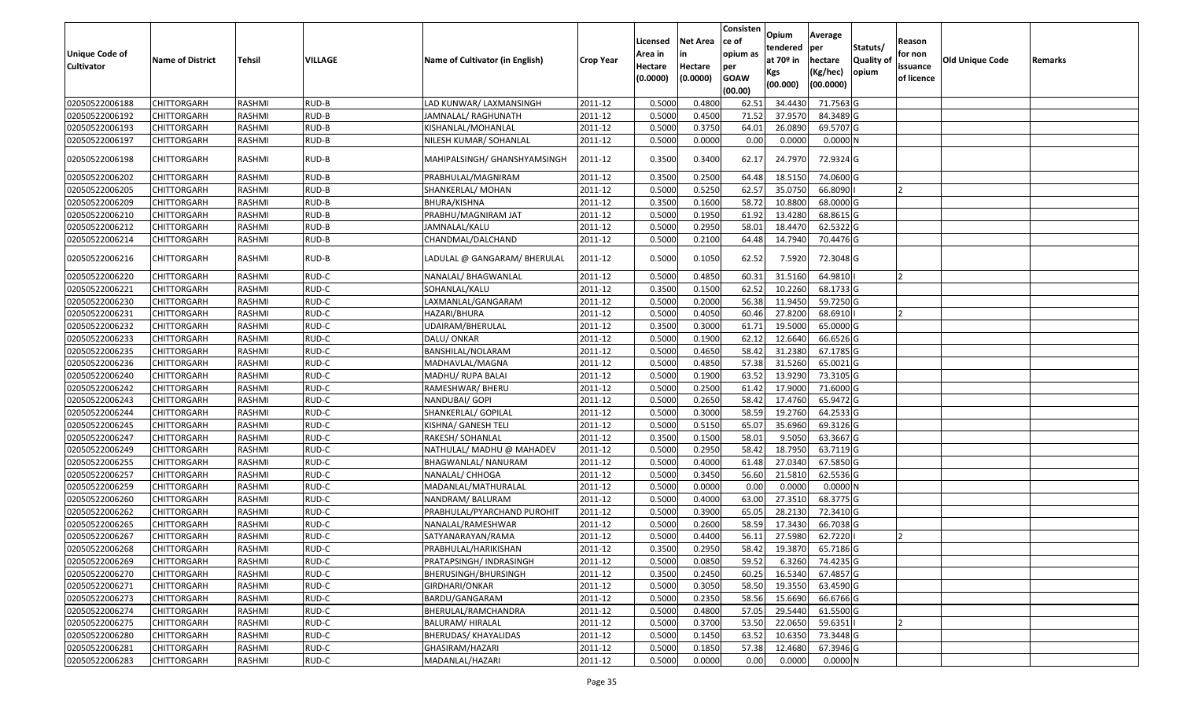| Unique Code of<br><b>Cultivator</b> | <b>Name of District</b> | Tehsil        | VILLAGE | Name of Cultivator (in English) | Crop Year | Licensed<br>Area in<br>Hectare<br>(0.0000) | Net Area<br>in<br>Hectare<br>(0.0000) | Consisten<br>ce of<br>opium as<br>per<br><b>GOAW</b><br>(00.00) | Opium<br>tendered<br>at 70º in<br>Kgs<br>(00.000) | Average<br>per<br>hectare<br>(Kg/hec)<br>(00.0000) | Statuts/<br><b>Quality of</b><br>opium | Reason<br>for non<br>issuance<br>of licence | <b>Old Unique Code</b> | Remarks |
|-------------------------------------|-------------------------|---------------|---------|---------------------------------|-----------|--------------------------------------------|---------------------------------------|-----------------------------------------------------------------|---------------------------------------------------|----------------------------------------------------|----------------------------------------|---------------------------------------------|------------------------|---------|
| 02050522006188                      | <b>CHITTORGARH</b>      | RASHMI        | RUD-B   | LAD KUNWAR/ LAXMANSINGH         | 2011-12   | 0.5000                                     | 0.4800                                | 62.51                                                           | 34.4430                                           | 71.7563 G                                          |                                        |                                             |                        |         |
| 02050522006192                      | CHITTORGARH             | RASHMI        | RUD-B   | JAMNALAL/ RAGHUNATH             | 2011-12   | 0.5000                                     | 0.4500                                | 71.52                                                           | 37.9570                                           | 84.3489 G                                          |                                        |                                             |                        |         |
| 02050522006193                      | CHITTORGARH             | RASHMI        | RUD-B   | KISHANLAL/MOHANLAL              | 2011-12   | 0.5000                                     | 0.3750                                | 64.01                                                           | 26.0890                                           | 69.5707 G                                          |                                        |                                             |                        |         |
| 02050522006197                      | <b>CHITTORGARH</b>      | RASHMI        | RUD-B   | NILESH KUMAR/ SOHANLAL          | 2011-12   | 0.5000                                     | 0.0000                                | 0.00                                                            | 0.0000                                            | 0.0000N                                            |                                        |                                             |                        |         |
| 02050522006198                      | CHITTORGARH             | RASHMI        | RUD-B   | MAHIPALSINGH/ GHANSHYAMSINGH    | 2011-12   | 0.3500                                     | 0.3400                                | 62.17                                                           | 24.7970                                           | 72.9324 G                                          |                                        |                                             |                        |         |
| 02050522006202                      | CHITTORGARH             | RASHMI        | RUD-B   | PRABHULAL/MAGNIRAM              | 2011-12   | 0.3500                                     | 0.2500                                | 64.48                                                           | 18.5150                                           | 74.0600 G                                          |                                        |                                             |                        |         |
| 02050522006205                      | <b>CHITTORGARH</b>      | <b>RASHMI</b> | RUD-B   | SHANKERLAL/ MOHAN               | 2011-12   | 0.5000                                     | 0.5250                                | 62.57                                                           | 35.0750                                           | 66.8090                                            |                                        |                                             |                        |         |
| 02050522006209                      | CHITTORGARH             | RASHMI        | RUD-B   | BHURA/KISHNA                    | 2011-12   | 0.3500                                     | 0.1600                                | 58.72                                                           | 10.8800                                           | 68.0000 G                                          |                                        |                                             |                        |         |
| 02050522006210                      | CHITTORGARH             | RASHMI        | RUD-B   | PRABHU/MAGNIRAM JAT             | 2011-12   | 0.5000                                     | 0.1950                                | 61.92                                                           | 13.4280                                           | 68.8615 G                                          |                                        |                                             |                        |         |
| 02050522006212                      | <b>CHITTORGARH</b>      | RASHMI        | RUD-B   | JAMNALAL/KALU                   | 2011-12   | 0.5000                                     | 0.2950                                | 58.01                                                           | 18.4470                                           | 62.5322 G                                          |                                        |                                             |                        |         |
| 02050522006214                      | CHITTORGARH             | RASHMI        | RUD-B   | CHANDMAL/DALCHAND               | 2011-12   | 0.5000                                     | 0.2100                                | 64.48                                                           | 14.7940                                           | 70.4476 G                                          |                                        |                                             |                        |         |
| 02050522006216                      | CHITTORGARH             | RASHMI        | RUD-B   | LADULAL @ GANGARAM/ BHERULAL    | 2011-12   | 0.5000                                     | 0.1050                                | 62.52                                                           | 7.5920                                            | 72.3048 G                                          |                                        |                                             |                        |         |
| 02050522006220                      | CHITTORGARH             | RASHMI        | RUD-C   | NANALAL/ BHAGWANLAL             | 2011-12   | 0.5000                                     | 0.4850                                | 60.31                                                           | 31.5160                                           | 64.9810                                            |                                        |                                             |                        |         |
| 02050522006221                      | CHITTORGARH             | RASHMI        | RUD-C   | SOHANLAL/KALU                   | 2011-12   | 0.3500                                     | 0.1500                                | 62.52                                                           | 10.2260                                           | 68.1733 G                                          |                                        |                                             |                        |         |
| 02050522006230                      | CHITTORGARH             | RASHMI        | RUD-C   | LAXMANLAL/GANGARAM              | 2011-12   | 0.5000                                     | 0.2000                                | 56.38                                                           | 11.9450                                           | 59.7250 G                                          |                                        |                                             |                        |         |
| 02050522006231                      | CHITTORGARH             | RASHMI        | RUD-C   | HAZARI/BHURA                    | 2011-12   | 0.5000                                     | 0.4050                                | 60.46                                                           | 27.8200                                           | 68.6910                                            |                                        |                                             |                        |         |
| 02050522006232                      | CHITTORGARH             | RASHMI        | RUD-C   | UDAIRAM/BHERULAL                | 2011-12   | 0.3500                                     | 0.3000                                | 61.71                                                           | 19.5000                                           | 65.0000 G                                          |                                        |                                             |                        |         |
| 02050522006233                      | CHITTORGARH             | RASHMI        | RUD-C   | DALU/ ONKAR                     | 2011-12   | 0.5000                                     | 0.1900                                | 62.12                                                           | 12.6640                                           | 66.6526 G                                          |                                        |                                             |                        |         |
| 02050522006235                      | <b>CHITTORGARH</b>      | RASHMI        | RUD-C   | BANSHILAL/NOLARAM               | 2011-12   | 0.5000                                     | 0.4650                                | 58.42                                                           | 31.2380                                           | 67.1785 G                                          |                                        |                                             |                        |         |
| 02050522006236                      | CHITTORGARH             | RASHMI        | RUD-C   | MADHAVLAL/MAGNA                 | 2011-12   | 0.5000                                     | 0.4850                                | 57.38                                                           | 31.5260                                           | 65.0021G                                           |                                        |                                             |                        |         |
| 02050522006240                      | CHITTORGARH             | RASHMI        | RUD-C   | MADHU/ RUPA BALAI               | 2011-12   | 0.5000                                     | 0.1900                                | 63.52                                                           | 13.9290                                           | 73.3105 G                                          |                                        |                                             |                        |         |
| 02050522006242                      | CHITTORGARH             | RASHMI        | RUD-C   | RAMESHWAR/ BHERU                | 2011-12   | 0.5000                                     | 0.2500                                | 61.42                                                           | 17.9000                                           | 71.6000 G                                          |                                        |                                             |                        |         |
| 02050522006243                      | CHITTORGARH             | RASHMI        | RUD-C   | NANDUBAI/ GOPI                  | 2011-12   | 0.5000                                     | 0.2650                                | 58.42                                                           | 17.4760                                           | 65.9472 G                                          |                                        |                                             |                        |         |
| 02050522006244                      | CHITTORGARH             | <b>RASHMI</b> | RUD-C   | SHANKERLAL/ GOPILAL             | 2011-12   | 0.5000                                     | 0.3000                                | 58.59                                                           | 19.2760                                           | 64.2533 G                                          |                                        |                                             |                        |         |
| 02050522006245                      | CHITTORGARH             | RASHMI        | RUD-C   | KISHNA/ GANESH TELI             | 2011-12   | 0.5000                                     | 0.5150                                | 65.07                                                           | 35.6960                                           | 69.3126 G                                          |                                        |                                             |                        |         |
| 02050522006247                      | CHITTORGARH             | RASHMI        | RUD-C   | RAKESH/ SOHANLAL                | 2011-12   | 0.3500                                     | 0.1500                                | 58.01                                                           | 9.5050                                            | 63.3667 G                                          |                                        |                                             |                        |         |
| 02050522006249                      | <b>CHITTORGARH</b>      | <b>RASHMI</b> | RUD-C   | NATHULAL/ MADHU @ MAHADEV       | 2011-12   | 0.5000                                     | 0.2950                                | 58.42                                                           | 18.7950                                           | 63.7119 G                                          |                                        |                                             |                        |         |
| 02050522006255                      | CHITTORGARH             | RASHMI        | RUD-C   | BHAGWANLAL/ NANURAM             | 2011-12   | 0.5000                                     | 0.4000                                | 61.48                                                           | 27.0340                                           | 67.5850 G                                          |                                        |                                             |                        |         |
| 02050522006257                      | <b>CHITTORGARH</b>      | RASHMI        | RUD-C   | NANALAL/ CHHOGA                 | 2011-12   | 0.5000                                     | 0.3450                                | 56.60                                                           | 21.5810                                           | 62.5536 G                                          |                                        |                                             |                        |         |
| 02050522006259                      | CHITTORGARH             | RASHMI        | RUD-C   | MADANLAL/MATHURALAL             | 2011-12   | 0.5000                                     | 0.0000                                | 0.00                                                            | 0.0000                                            | 0.0000N                                            |                                        |                                             |                        |         |
| 02050522006260                      | <b>CHITTORGARH</b>      | RASHMI        | RUD-C   | NANDRAM/BALURAM                 | 2011-12   | 0.5000                                     | 0.4000                                | 63.00                                                           | 27.3510                                           | 68.3775 G                                          |                                        |                                             |                        |         |
| 02050522006262                      | <b>CHITTORGARH</b>      | RASHMI        | RUD-C   | PRABHULAL/PYARCHAND PUROHIT     | 2011-12   | 0.5000                                     | 0.3900                                | 65.05                                                           | 28.2130                                           | 72.3410 G                                          |                                        |                                             |                        |         |
| 02050522006265                      | CHITTORGARH             | RASHMI        | RUD-C   | NANALAL/RAMESHWAR               | 2011-12   | 0.5000                                     | 0.2600                                | 58.59                                                           | 17.3430                                           | 66.7038 G                                          |                                        |                                             |                        |         |
| 02050522006267                      | CHITTORGARH             | RASHMI        | RUD-C   | SATYANARAYAN/RAMA               | 2011-12   | 0.5000                                     | 0.4400                                | 56.11                                                           | 27.5980                                           | 62.7220                                            |                                        |                                             |                        |         |
| 02050522006268                      | <b>CHITTORGARH</b>      | RASHMI        | RUD-C   | PRABHULAL/HARIKISHAN            | 2011-12   | 0.3500                                     | 0.2950                                | 58.42                                                           | 19.3870                                           | 65.7186 G                                          |                                        |                                             |                        |         |
| 02050522006269                      | <b>CHITTORGARH</b>      | RASHMI        | RUD-C   | PRATAPSINGH/ INDRASINGH         | 2011-12   | 0.5000                                     | 0.0850                                | 59.52                                                           | 6.3260                                            | 74.4235 G                                          |                                        |                                             |                        |         |
| 02050522006270                      | <b>CHITTORGARH</b>      | RASHMI        | RUD-C   | BHERUSINGH/BHURSINGH            | 2011-12   | 0.3500                                     | 0.2450                                | 60.25                                                           | 16.5340                                           | 67.4857 G                                          |                                        |                                             |                        |         |
| 02050522006271                      | <b>CHITTORGARH</b>      | RASHMI        | RUD-C   | GIRDHARI/ONKAR                  | 2011-12   | 0.5000                                     | 0.3050                                | 58.50                                                           | 19.3550                                           | 63.4590 G                                          |                                        |                                             |                        |         |
| 02050522006273                      | <b>CHITTORGARH</b>      | RASHMI        | RUD-C   | BARDU/GANGARAM                  | 2011-12   | 0.5000                                     | 0.2350                                | 58.56                                                           | 15.6690                                           | 66.6766 G                                          |                                        |                                             |                        |         |
| 02050522006274                      | <b>CHITTORGARH</b>      | RASHMI        | RUD-C   | BHERULAL/RAMCHANDRA             | 2011-12   | 0.5000                                     | 0.4800                                | 57.05                                                           | 29.5440                                           | 61.5500 G                                          |                                        |                                             |                        |         |
| 02050522006275                      | <b>CHITTORGARH</b>      | RASHMI        | RUD-C   | <b>BALURAM/ HIRALAL</b>         | 2011-12   | 0.5000                                     | 0.3700                                | 53.50                                                           | 22.0650                                           | 59.6351                                            |                                        | 12                                          |                        |         |
| 02050522006280                      | <b>CHITTORGARH</b>      | RASHMI        | RUD-C   | BHERUDAS/ KHAYALIDAS            | 2011-12   | 0.5000                                     | 0.1450                                | 63.52                                                           | 10.6350                                           | 73.3448 G                                          |                                        |                                             |                        |         |
| 02050522006281                      | <b>CHITTORGARH</b>      | RASHMI        | RUD-C   | GHASIRAM/HAZARI                 | 2011-12   | 0.5000                                     | 0.1850                                | 57.38                                                           | 12.4680                                           | 67.3946 G                                          |                                        |                                             |                        |         |
| 02050522006283                      | <b>CHITTORGARH</b>      | RASHMI        | RUD-C   | MADANLAL/HAZARI                 | 2011-12   | 0.5000                                     | 0.0000                                | 0.00                                                            | 0.0000                                            | 0.0000N                                            |                                        |                                             |                        |         |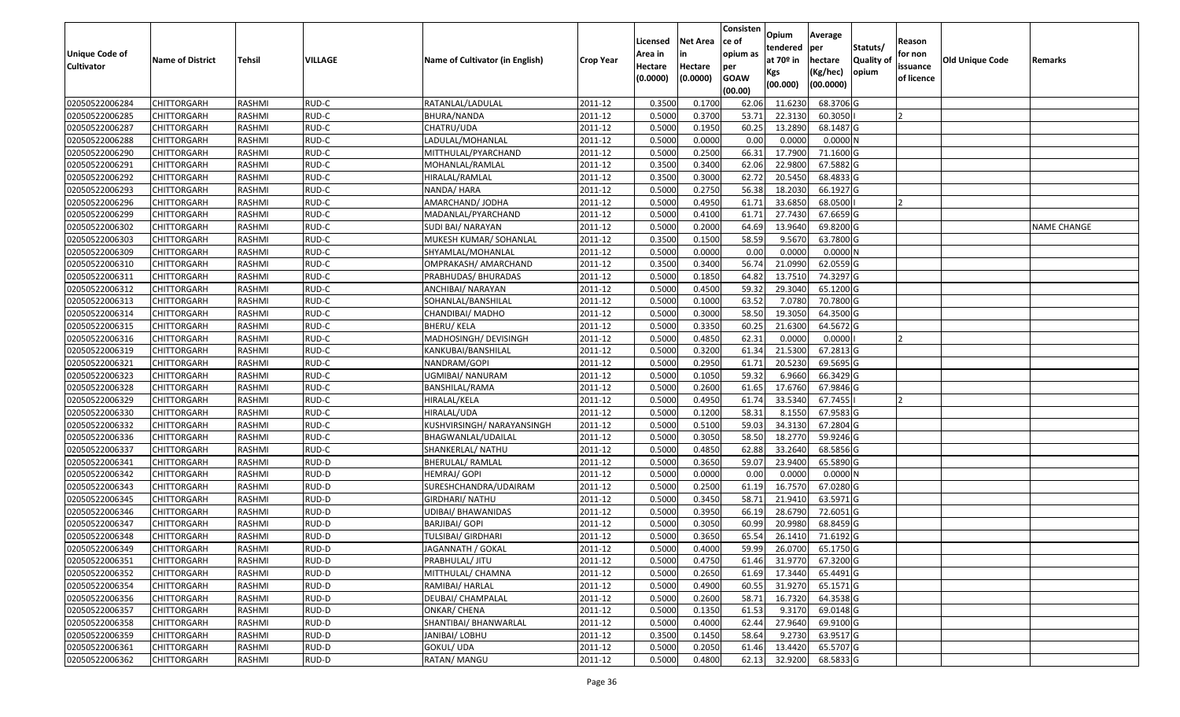| Unique Code of    |                         |               |         |                                 |                  | Licensed<br>Area in | Net Area<br>in      | Consisten<br>ce of<br>opium as | Opium<br>tendered            | Average<br>per                   | Statuts/                   | Reason<br>for non      |                        |                    |
|-------------------|-------------------------|---------------|---------|---------------------------------|------------------|---------------------|---------------------|--------------------------------|------------------------------|----------------------------------|----------------------------|------------------------|------------------------|--------------------|
| <b>Cultivator</b> | <b>Name of District</b> | Tehsil        | VILLAGE | Name of Cultivator (in English) | <b>Crop Year</b> | Hectare<br>(0.0000) | Hectare<br>(0.0000) | per<br><b>GOAW</b><br>(00.00)  | at 70º in<br>Kgs<br>(00.000) | hectare<br>(Kg/hec)<br>(00.0000) | <b>Quality of</b><br>opium | issuance<br>of licence | <b>Old Unique Code</b> | Remarks            |
| 02050522006284    | <b>CHITTORGARH</b>      | RASHMI        | RUD-C   | RATANLAL/LADULAL                | 2011-12          | 0.3500              | 0.1700              | 62.06                          | 11.6230                      | 68.3706 G                        |                            |                        |                        |                    |
| 02050522006285    | CHITTORGARH             | RASHMI        | RUD-C   | <b>BHURA/NANDA</b>              | 2011-12          | 0.5000              | 0.3700              | 53.71                          | 22.3130                      | 60.3050                          |                            |                        |                        |                    |
| 02050522006287    | CHITTORGARH             | RASHMI        | RUD-C   | CHATRU/UDA                      | 2011-12          | 0.5000              | 0.1950              | 60.25                          | 13.2890                      | 68.1487 G                        |                            |                        |                        |                    |
| 02050522006288    | <b>CHITTORGARH</b>      | RASHMI        | RUD-C   | LADULAL/MOHANLAL                | 2011-12          | 0.5000              | 0.0000              | 0.00                           | 0.0000                       | 0.0000N                          |                            |                        |                        |                    |
| 02050522006290    | CHITTORGARH             | RASHMI        | RUD-C   | MITTHULAL/PYARCHAND             | 2011-12          | 0.5000              | 0.2500              | 66.31                          | 17.7900                      | 71.1600 G                        |                            |                        |                        |                    |
| 02050522006291    | CHITTORGARH             | RASHMI        | RUD-C   | MOHANLAL/RAMLAL                 | 2011-12          | 0.3500              | 0.3400              | 62.06                          | 22.9800                      | 67.5882 G                        |                            |                        |                        |                    |
| 02050522006292    | CHITTORGARH             | RASHMI        | RUD-C   | HIRALAL/RAMLAL                  | 2011-12          | 0.3500              | 0.3000              | 62.72                          | 20.5450                      | 68.4833 G                        |                            |                        |                        |                    |
| 02050522006293    | <b>CHITTORGARH</b>      | <b>RASHMI</b> | RUD-C   | NANDA/ HARA                     | 2011-12          | 0.5000              | 0.2750              | 56.38                          | 18.2030                      | 66.1927 G                        |                            |                        |                        |                    |
| 02050522006296    | CHITTORGARH             | RASHMI        | RUD-C   | AMARCHAND/ JODHA                | 2011-12          | 0.5000              | 0.4950              | 61.71                          | 33.6850                      | 68.0500                          |                            |                        |                        |                    |
| 02050522006299    | CHITTORGARH             | RASHMI        | RUD-C   | MADANLAL/PYARCHAND              | 2011-12          | 0.5000              | 0.4100              | 61.71                          | 27.7430                      | 67.6659 G                        |                            |                        |                        |                    |
| 02050522006302    | CHITTORGARH             | RASHMI        | RUD-C   | SUDI BAI/ NARAYAN               | 2011-12          | 0.5000              | 0.2000              | 64.69                          | 13.9640                      | 69.8200 G                        |                            |                        |                        | <b>NAME CHANGE</b> |
| 02050522006303    | <b>CHITTORGARH</b>      | RASHMI        | RUD-C   | MUKESH KUMAR/ SOHANLAL          | 2011-12          | 0.3500              | 0.1500              | 58.59                          | 9.5670                       | 63.7800 G                        |                            |                        |                        |                    |
| 02050522006309    | <b>CHITTORGARH</b>      | RASHMI        | RUD-C   | SHYAMLAL/MOHANLAL               | 2011-12          | 0.5000              | 0.0000              | 0.00                           | 0.0000                       | 0.0000N                          |                            |                        |                        |                    |
| 02050522006310    | <b>CHITTORGARH</b>      | RASHMI        | RUD-C   | OMPRAKASH/ AMARCHAND            | 2011-12          | 0.3500              | 0.3400              | 56.74                          | 21.0990                      | 62.0559 G                        |                            |                        |                        |                    |
| 02050522006311    | CHITTORGARH             | RASHMI        | RUD-C   | PRABHUDAS/ BHURADAS             | 2011-12          | 0.5000              | 0.1850              | 64.82                          | 13.7510                      | 74.3297 G                        |                            |                        |                        |                    |
| 02050522006312    | <b>CHITTORGARH</b>      | RASHMI        | RUD-C   | ANCHIBAI/ NARAYAN               | 2011-12          | 0.5000              | 0.4500              | 59.32                          | 29.3040                      | 65.1200 G                        |                            |                        |                        |                    |
| 02050522006313    | <b>CHITTORGARH</b>      | RASHMI        | RUD-C   | SOHANLAL/BANSHILAL              | 2011-12          | 0.5000              | 0.1000              | 63.52                          | 7.0780                       | 70.7800 G                        |                            |                        |                        |                    |
| 02050522006314    | CHITTORGARH             | RASHMI        | RUD-C   | CHANDIBAI/MADHO                 | 2011-12          | 0.5000              | 0.3000              | 58.50                          | 19.3050                      | 64.3500 G                        |                            |                        |                        |                    |
| 02050522006315    | CHITTORGARH             | RASHMI        | RUD-C   | <b>BHERU/ KELA</b>              | 2011-12          | 0.5000              | 0.3350              | 60.25                          | 21.6300                      | 64.5672 G                        |                            |                        |                        |                    |
| 02050522006316    | CHITTORGARH             | RASHMI        | RUD-C   | MADHOSINGH/ DEVISINGH           | 2011-12          | 0.5000              | 0.4850              | 62.31                          | 0.0000                       | 0.0000                           |                            |                        |                        |                    |
| 02050522006319    | CHITTORGARH             | RASHMI        | RUD-C   | KANKUBAI/BANSHILAL              | 2011-12          | 0.5000              | 0.3200              | 61.34                          | 21.5300                      | 67.2813 G                        |                            |                        |                        |                    |
| 02050522006321    | CHITTORGARH             | RASHMI        | RUD-C   | NANDRAM/GOPI                    | 2011-12          | 0.5000              | 0.2950              | 61.71                          | 20.5230                      | 69.5695 G                        |                            |                        |                        |                    |
| 02050522006323    | CHITTORGARH             | RASHMI        | RUD-C   | UGMIBAI/ NANURAM                | 2011-12          | 0.5000              | 0.1050              | 59.32                          | 6.9660                       | 66.3429 G                        |                            |                        |                        |                    |
| 02050522006328    | CHITTORGARH             | RASHMI        | RUD-C   | BANSHILAL/RAMA                  | 2011-12          | 0.5000              | 0.2600              | 61.65                          | 17.6760                      | 67.9846 G                        |                            |                        |                        |                    |
| 02050522006329    | <b>CHITTORGARH</b>      | RASHMI        | RUD-C   | HIRALAL/KELA                    | 2011-12          | 0.5000              | 0.4950              | 61.74                          | 33.5340                      | 67.7455                          |                            |                        |                        |                    |
| 02050522006330    | CHITTORGARH             | RASHMI        | RUD-C   | HIRALAL/UDA                     | 2011-12          | 0.5000              | 0.1200              | 58.31                          | 8.1550                       | 67.9583 G                        |                            |                        |                        |                    |
| 02050522006332    | CHITTORGARH             | RASHMI        | RUD-C   | KUSHVIRSINGH/ NARAYANSINGH      | 2011-12          | 0.5000              | 0.5100              | 59.03                          | 34.3130                      | 67.2804 G                        |                            |                        |                        |                    |
| 02050522006336    | CHITTORGARH             | RASHMI        | RUD-C   | BHAGWANLAL/UDAILAL              | 2011-12          | 0.5000              | 0.3050              | 58.50                          | 18.2770                      | 59.9246 G                        |                            |                        |                        |                    |
| 02050522006337    | CHITTORGARH             | RASHMI        | RUD-C   | SHANKERLAL/ NATHU               | 2011-12          | 0.5000              | 0.4850              | 62.88                          | 33.2640                      | 68.5856 G                        |                            |                        |                        |                    |
| 02050522006341    | CHITTORGARH             | RASHMI        | RUD-D   | <b>BHERULAL/ RAMLAL</b>         | 2011-12          | 0.5000              | 0.3650              | 59.07                          | 23.9400                      | 65.5890 G                        |                            |                        |                        |                    |
| 02050522006342    | CHITTORGARH             | RASHMI        | RUD-D   | HEMRAJ/ GOPI                    | 2011-12          | 0.5000              | 0.0000              | 0.00                           | 0.0000                       | 0.0000N                          |                            |                        |                        |                    |
| 02050522006343    | CHITTORGARH             | RASHMI        | RUD-D   | SURESHCHANDRA/UDAIRAM           | 2011-12          | 0.5000              | 0.2500              | 61.19                          | 16.7570                      | 67.0280 G                        |                            |                        |                        |                    |
| 02050522006345    | CHITTORGARH             | <b>RASHMI</b> | RUD-D   | <b>GIRDHARI/ NATHU</b>          | 2011-12          | 0.5000              | 0.3450              | 58.71                          | 21.9410                      | 63.5971 G                        |                            |                        |                        |                    |
| 02050522006346    | CHITTORGARH             | RASHMI        | RUD-D   | <b>UDIBAI/ BHAWANIDAS</b>       | 2011-12          | 0.5000              | 0.3950              | 66.19                          | 28.6790                      | 72.6051 G                        |                            |                        |                        |                    |
| 02050522006347    | CHITTORGARH             | RASHMI        | RUD-D   | <b>BARJIBAI/ GOPI</b>           | 2011-12          | 0.5000              | 0.3050              | 60.99                          | 20.9980                      | 68.8459 G                        |                            |                        |                        |                    |
| 02050522006348    | CHITTORGARH             | RASHMI        | RUD-D   | TULSIBAI/ GIRDHARI              | 2011-12          | 0.5000              | 0.3650              | 65.54                          | 26.1410                      | 71.6192 G                        |                            |                        |                        |                    |
| 02050522006349    | <b>CHITTORGARH</b>      | RASHMI        | RUD-D   | JAGANNATH / GOKAL               | 2011-12          | 0.5000              | 0.4000              | 59.99                          |                              | 26.0700 65.1750 G                |                            |                        |                        |                    |
| 02050522006351    | <b>CHITTORGARH</b>      | RASHMI        | RUD-D   | PRABHULAL/ JITU                 | 2011-12          | 0.5000              | 0.4750              | 61.46                          | 31.9770                      | 67.3200 G                        |                            |                        |                        |                    |
| 02050522006352    | <b>CHITTORGARH</b>      | RASHMI        | RUD-D   | MITTHULAL/ CHAMNA               | 2011-12          | 0.5000              | 0.2650              | 61.69                          | 17.3440                      | 65.4491 G                        |                            |                        |                        |                    |
| 02050522006354    | <b>CHITTORGARH</b>      | RASHMI        | RUD-D   | RAMIBAI/ HARLAL                 | 2011-12          | 0.5000              | 0.4900              | 60.55                          | 31.9270                      | 65.1571 G                        |                            |                        |                        |                    |
| 02050522006356    | <b>CHITTORGARH</b>      | RASHMI        | RUD-D   | DEUBAI/ CHAMPALAL               | 2011-12          | 0.5000              | 0.2600              | 58.71                          | 16.7320                      | 64.3538 G                        |                            |                        |                        |                    |
| 02050522006357    | <b>CHITTORGARH</b>      | RASHMI        | RUD-D   | <b>ONKAR/ CHENA</b>             | 2011-12          | 0.5000              | 0.1350              | 61.53                          | 9.3170                       | 69.0148 G                        |                            |                        |                        |                    |
| 02050522006358    | <b>CHITTORGARH</b>      | RASHMI        | RUD-D   | SHANTIBAI/ BHANWARLAL           | 2011-12          | 0.5000              | 0.4000              | 62.44                          | 27.9640                      | 69.9100 G                        |                            |                        |                        |                    |
| 02050522006359    | <b>CHITTORGARH</b>      | RASHMI        | RUD-D   | JANIBAI/ LOBHU                  | 2011-12          | 0.3500              | 0.1450              | 58.64                          | 9.2730                       | 63.9517 G                        |                            |                        |                        |                    |
| 02050522006361    | <b>CHITTORGARH</b>      | RASHMI        | RUD-D   | GOKUL/ UDA                      | 2011-12          | 0.5000              | 0.2050              | 61.46                          | 13.4420                      | 65.5707 G                        |                            |                        |                        |                    |
| 02050522006362    | <b>CHITTORGARH</b>      | RASHMI        | RUD-D   | RATAN/ MANGU                    | 2011-12          | 0.5000              | 0.4800              | 62.13                          | 32.9200                      | 68.5833 G                        |                            |                        |                        |                    |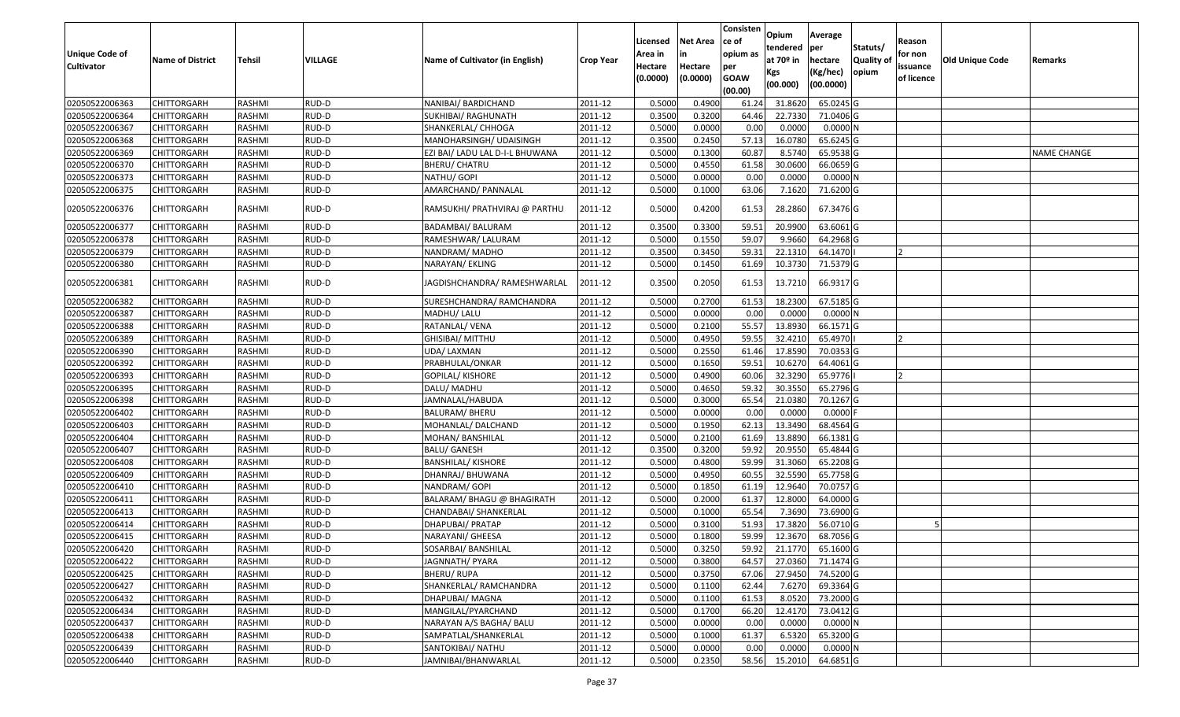| <b>Unique Code of</b><br><b>Cultivator</b> | <b>Name of District</b> | Tehsil        | VILLAGE | Name of Cultivator (in English) | <b>Crop Year</b> | Licensed<br>Area in<br>Hectare<br>(0.0000) | Net Area<br>in<br>Hectare<br>(0.0000) | Consisten<br>ce of<br>opium as<br>per<br><b>GOAW</b><br>(00.00) | Opium<br>tendered<br>at 70º in<br>Kgs<br>(00.000) | Average<br>per<br>hectare<br>(Kg/hec)<br>(00.0000) | Statuts/<br><b>Quality of</b><br>opium | Reason<br>for non<br>issuance<br>of licence | <b>Old Unique Code</b> | Remarks     |
|--------------------------------------------|-------------------------|---------------|---------|---------------------------------|------------------|--------------------------------------------|---------------------------------------|-----------------------------------------------------------------|---------------------------------------------------|----------------------------------------------------|----------------------------------------|---------------------------------------------|------------------------|-------------|
| 02050522006363                             | <b>CHITTORGARH</b>      | RASHMI        | RUD-D   | NANIBAI/ BARDICHAND             | 2011-12          | 0.5000                                     | 0.4900                                | 61.24                                                           | 31.8620                                           | 65.0245 G                                          |                                        |                                             |                        |             |
| 02050522006364                             | CHITTORGARH             | RASHMI        | RUD-D   | SUKHIBAI/ RAGHUNATH             | 2011-12          | 0.3500                                     | 0.3200                                | 64.46                                                           | 22.7330                                           | 71.0406 G                                          |                                        |                                             |                        |             |
| 02050522006367                             | CHITTORGARH             | RASHMI        | RUD-D   | SHANKERLAL/ CHHOGA              | 2011-12          | 0.5000                                     | 0.0000                                | 0.00                                                            | 0.0000                                            | 0.0000N                                            |                                        |                                             |                        |             |
| 02050522006368                             | <b>CHITTORGARH</b>      | RASHMI        | RUD-D   | MANOHARSINGH/ UDAISINGH         | 2011-12          | 0.3500                                     | 0.2450                                | 57.13                                                           | 16.0780                                           | 65.6245 G                                          |                                        |                                             |                        |             |
| 02050522006369                             | CHITTORGARH             | RASHMI        | RUD-D   | EZI BAI/ LADU LAL D-I-L BHUWANA | 2011-12          | 0.5000                                     | 0.1300                                | 60.87                                                           | 8.5740                                            | 65.9538 G                                          |                                        |                                             |                        | NAME CHANGE |
| 02050522006370                             | <b>CHITTORGARH</b>      | RASHMI        | RUD-D   | BHERU/ CHATRU                   | 2011-12          | 0.5000                                     | 0.4550                                | 61.58                                                           | 30.0600                                           | 66.0659 G                                          |                                        |                                             |                        |             |
| 02050522006373                             | CHITTORGARH             | RASHMI        | RUD-D   | NATHU/ GOPI                     | 2011-12          | 0.5000                                     | 0.0000                                | 0.00                                                            | 0.0000                                            | $0.0000$ N                                         |                                        |                                             |                        |             |
| 02050522006375                             | <b>CHITTORGARH</b>      | <b>RASHMI</b> | RUD-D   | AMARCHAND/ PANNALAL             | 2011-12          | 0.5000                                     | 0.1000                                | 63.06                                                           | 7.1620                                            | 71.6200 G                                          |                                        |                                             |                        |             |
| 02050522006376                             | CHITTORGARH             | RASHMI        | RUD-D   | RAMSUKHI/ PRATHVIRAJ @ PARTHU   | 2011-12          | 0.5000                                     | 0.4200                                | 61.53                                                           | 28.2860                                           | 67.3476 G                                          |                                        |                                             |                        |             |
| 02050522006377                             | CHITTORGARH             | RASHMI        | RUD-D   | BADAMBAI/ BALURAM               | 2011-12          | 0.3500                                     | 0.3300                                | 59.51                                                           | 20.9900                                           | 63.6061 G                                          |                                        |                                             |                        |             |
| 02050522006378                             | CHITTORGARH             | RASHMI        | RUD-D   | RAMESHWAR/ LALURAM              | 2011-12          | 0.5000                                     | 0.1550                                | 59.07                                                           | 9.9660                                            | 64.2968 G                                          |                                        |                                             |                        |             |
| 02050522006379                             | <b>CHITTORGARH</b>      | RASHMI        | RUD-D   | NANDRAM/MADHO                   | 2011-12          | 0.3500                                     | 0.3450                                | 59.31                                                           | 22.1310                                           | 64.1470                                            |                                        | 12                                          |                        |             |
| 02050522006380                             | CHITTORGARH             | RASHMI        | RUD-D   | NARAYAN/ EKLING                 | 2011-12          | 0.5000                                     | 0.1450                                | 61.69                                                           | 10.3730                                           | 71.5379 G                                          |                                        |                                             |                        |             |
| 02050522006381                             | CHITTORGARH             | RASHMI        | RUD-D   | JAGDISHCHANDRA/ RAMESHWARLAL    | 2011-12          | 0.3500                                     | 0.2050                                | 61.53                                                           | 13.7210                                           | 66.9317 G                                          |                                        |                                             |                        |             |
| 02050522006382                             | CHITTORGARH             | RASHMI        | RUD-D   | SURESHCHANDRA/ RAMCHANDRA       | 2011-12          | 0.5000                                     | 0.2700                                | 61.53                                                           | 18.2300                                           | 67.5185 G                                          |                                        |                                             |                        |             |
| 02050522006387                             | CHITTORGARH             | RASHMI        | RUD-D   | MADHU/ LALU                     | 2011-12          | 0.5000                                     | 0.0000                                | 0.00                                                            | 0.0000                                            | $0.0000$ N                                         |                                        |                                             |                        |             |
| 02050522006388                             | CHITTORGARH             | RASHMI        | RUD-D   | RATANLAL/VENA                   | 2011-12          | 0.5000                                     | 0.2100                                | 55.57                                                           | 13.8930                                           | 66.1571 G                                          |                                        |                                             |                        |             |
| 02050522006389                             | CHITTORGARH             | RASHMI        | RUD-D   | GHISIBAI/ MITTHU                | 2011-12          | 0.5000                                     | 0.4950                                | 59.55                                                           | 32.4210                                           | 65.4970                                            |                                        | 12                                          |                        |             |
| 02050522006390                             | <b>CHITTORGARH</b>      | RASHMI        | RUD-D   | UDA/ LAXMAN                     | 2011-12          | 0.5000                                     | 0.2550                                | 61.46                                                           | 17.8590                                           | 70.0353 G                                          |                                        |                                             |                        |             |
| 02050522006392                             | CHITTORGARH             | RASHMI        | RUD-D   | PRABHULAL/ONKAR                 | 2011-12          | 0.5000                                     | 0.1650                                | 59.51                                                           | 10.6270                                           | 64.4061 G                                          |                                        |                                             |                        |             |
| 02050522006393                             | CHITTORGARH             | RASHMI        | RUD-D   | GOPILAL/ KISHORE                | 2011-12          | 0.5000                                     | 0.4900                                | 60.06                                                           | 32.3290                                           | 65.9776                                            |                                        |                                             |                        |             |
| 02050522006395                             | CHITTORGARH             | RASHMI        | RUD-D   | DALU/ MADHU                     | 2011-12          | 0.5000                                     | 0.4650                                | 59.32                                                           | 30.3550                                           | 65.2796 G                                          |                                        |                                             |                        |             |
| 02050522006398                             | CHITTORGARH             | RASHMI        | RUD-D   | JAMNALAL/HABUDA                 | 2011-12          | 0.5000                                     | 0.3000                                | 65.54                                                           | 21.0380                                           | 70.1267 G                                          |                                        |                                             |                        |             |
| 02050522006402                             | CHITTORGARH             | <b>RASHMI</b> | RUD-D   | <b>BALURAM/ BHERU</b>           | 2011-12          | 0.5000                                     | 0.0000                                | 0.00                                                            | 0.0000                                            | $0.0000$ F                                         |                                        |                                             |                        |             |
| 02050522006403                             | CHITTORGARH             | RASHMI        | RUD-D   | MOHANLAL/DALCHAND               | 2011-12          | 0.5000                                     | 0.1950                                | 62.13                                                           | 13.3490                                           | 68.4564 G                                          |                                        |                                             |                        |             |
| 02050522006404                             | CHITTORGARH             | RASHMI        | RUD-D   | MOHAN/ BANSHILAL                | 2011-12          | 0.5000                                     | 0.2100                                | 61.69                                                           | 13.8890                                           | 66.1381 G                                          |                                        |                                             |                        |             |
| 02050522006407                             | <b>CHITTORGARH</b>      | <b>RASHMI</b> | RUD-D   | <b>BALU/ GANESH</b>             | 2011-12          | 0.3500                                     | 0.3200                                | 59.92                                                           | 20.9550                                           | 65.4844 G                                          |                                        |                                             |                        |             |
| 02050522006408                             | CHITTORGARH             | RASHMI        | RUD-D   | <b>BANSHILAL/ KISHORE</b>       | 2011-12          | 0.5000                                     | 0.4800                                | 59.99                                                           | 31.3060                                           | 65.2208 G                                          |                                        |                                             |                        |             |
| 02050522006409                             | <b>CHITTORGARH</b>      | RASHMI        | RUD-D   | DHANRAJ/ BHUWANA                | 2011-12          | 0.5000                                     | 0.4950                                | 60.55                                                           | 32.5590                                           | 65.7758 G                                          |                                        |                                             |                        |             |
| 02050522006410                             | CHITTORGARH             | RASHMI        | RUD-D   | NANDRAM/ GOPI                   | 2011-12          | 0.5000                                     | 0.1850                                | 61.19                                                           | 12.9640                                           | 70.0757 G                                          |                                        |                                             |                        |             |
| 02050522006411                             | <b>CHITTORGARH</b>      | <b>RASHMI</b> | RUD-D   | BALARAM/ BHAGU @ BHAGIRATH      | 2011-12          | 0.5000                                     | 0.2000                                | 61.37                                                           | 12.8000                                           | 64.0000 G                                          |                                        |                                             |                        |             |
| 02050522006413                             | <b>CHITTORGARH</b>      | RASHMI        | RUD-D   | CHANDABAI/ SHANKERLAL           | 2011-12          | 0.5000                                     | 0.1000                                | 65.54                                                           | 7.3690                                            | 73.6900 G                                          |                                        |                                             |                        |             |
| 02050522006414                             | CHITTORGARH             | RASHMI        | RUD-D   | DHAPUBAI/ PRATAP                | 2011-12          | 0.5000                                     | 0.3100                                | 51.93                                                           | 17.3820                                           | 56.0710 G                                          |                                        |                                             |                        |             |
| 02050522006415                             | CHITTORGARH             | RASHMI        | RUD-D   | NARAYANI/ GHEESA                | 2011-12          | 0.5000                                     | 0.1800                                | 59.99                                                           | 12.3670                                           | 68.7056 G                                          |                                        |                                             |                        |             |
| 02050522006420                             | <b>CHITTORGARH</b>      | RASHMI        | RUD-D   | SOSARBAI/ BANSHILAL             | 2011-12          | 0.5000                                     | 0.3250                                | 59.92                                                           | 21.1770                                           | 65.1600 G                                          |                                        |                                             |                        |             |
| 02050522006422                             | <b>CHITTORGARH</b>      | RASHMI        | RUD-D   | JAGNNATH/ PYARA                 | 2011-12          | 0.5000                                     | 0.3800                                | 64.57                                                           | 27.0360                                           | 71.1474 G                                          |                                        |                                             |                        |             |
| 02050522006425                             | <b>CHITTORGARH</b>      | RASHMI        | RUD-D   | <b>BHERU/ RUPA</b>              | 2011-12          | 0.5000                                     | 0.3750                                | 67.06                                                           | 27.9450                                           | 74.5200 G                                          |                                        |                                             |                        |             |
| 02050522006427                             | <b>CHITTORGARH</b>      | RASHMI        | RUD-D   | SHANKERLAL/ RAMCHANDRA          | 2011-12          | 0.5000                                     | 0.1100                                | 62.44                                                           | 7.6270                                            | 69.3364 G                                          |                                        |                                             |                        |             |
| 02050522006432                             | <b>CHITTORGARH</b>      | RASHMI        | RUD-D   | DHAPUBAI/ MAGNA                 | 2011-12          | 0.5000                                     | 0.1100                                | 61.53                                                           | 8.0520                                            | 73.2000 G                                          |                                        |                                             |                        |             |
| 02050522006434                             | <b>CHITTORGARH</b>      | RASHMI        | RUD-D   | MANGILAL/PYARCHAND              | 2011-12          | 0.5000                                     | 0.1700                                | 66.20                                                           | 12.4170                                           | 73.0412 G                                          |                                        |                                             |                        |             |
| 02050522006437                             | <b>CHITTORGARH</b>      | RASHMI        | RUD-D   | NARAYAN A/S BAGHA/ BALU         | 2011-12          | 0.5000                                     | 0.0000                                | 0.00                                                            | 0.0000                                            | 0.0000N                                            |                                        |                                             |                        |             |
| 02050522006438                             | <b>CHITTORGARH</b>      | RASHMI        | RUD-D   | SAMPATLAL/SHANKERLAL            | 2011-12          | 0.5000                                     | 0.1000                                | 61.37                                                           | 6.5320                                            | 65.3200 G                                          |                                        |                                             |                        |             |
| 02050522006439                             | <b>CHITTORGARH</b>      | RASHMI        | RUD-D   | SANTOKIBAI/ NATHU               | 2011-12          | 0.5000                                     | 0.0000                                | 0.00                                                            | 0.0000                                            | 0.0000N                                            |                                        |                                             |                        |             |
| 02050522006440                             | <b>CHITTORGARH</b>      | RASHMI        | RUD-D   | JAMNIBAI/BHANWARLAL             | 2011-12          | 0.5000                                     | 0.2350                                | 58.56                                                           | 15.2010                                           | 64.6851 G                                          |                                        |                                             |                        |             |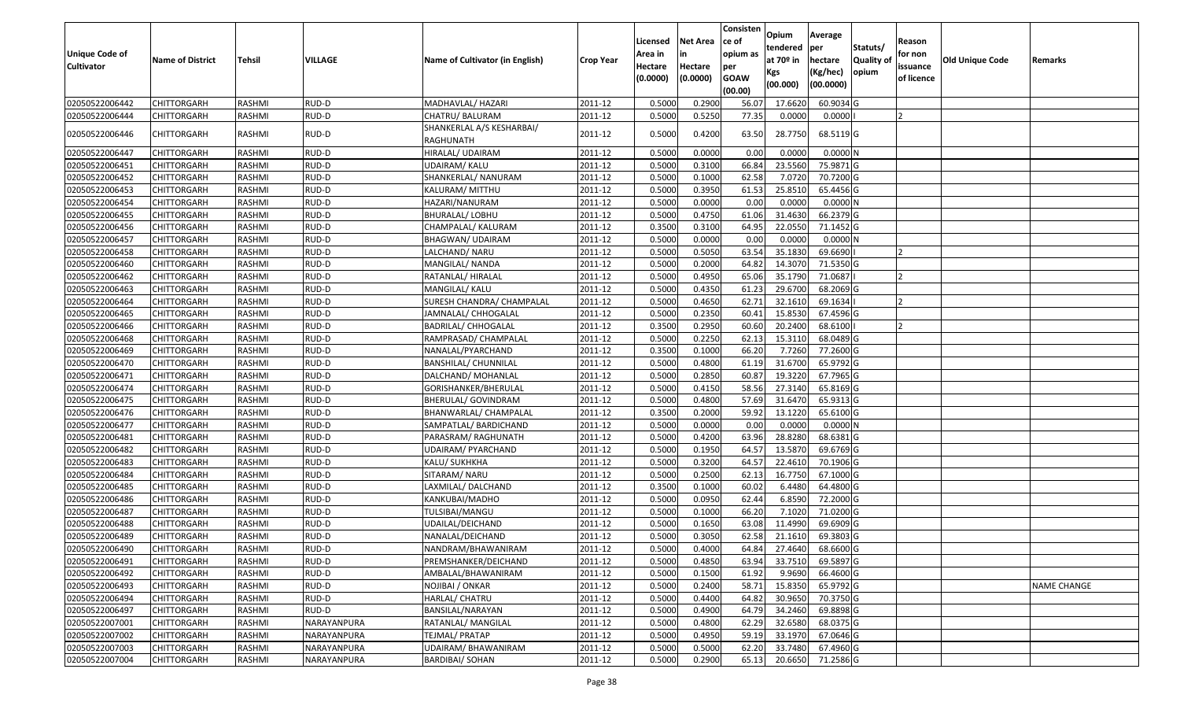| Unique Code of    | <b>Name of District</b> | <b>Tehsil</b> | VILLAGE     | Name of Cultivator (in English)        | <b>Crop Year</b> | Licensed<br>Area in | <b>Net Area</b><br>in | Consisten<br>ce of<br>opium as | Opium<br>tendered<br>at $70°$ in | Average<br>per<br>hectare | Statuts/<br><b>Quality o</b> | Reason<br>for non      | Old Unique Code | Remarks            |
|-------------------|-------------------------|---------------|-------------|----------------------------------------|------------------|---------------------|-----------------------|--------------------------------|----------------------------------|---------------------------|------------------------------|------------------------|-----------------|--------------------|
| <b>Cultivator</b> |                         |               |             |                                        |                  | Hectare<br>(0.0000) | Hectare<br>(0.0000)   | per<br><b>GOAW</b><br>(00.00)  | Kgs<br>(00.000)                  | (Kg/hec)<br>(00.0000)     | opium                        | issuance<br>of licence |                 |                    |
| 02050522006442    | CHITTORGARH             | RASHMI        | RUD-D       | MADHAVLAL/ HAZARI                      | 2011-12          | 0.5000              | 0.2900                | 56.07                          | 17.6620                          | 60.9034 G                 |                              |                        |                 |                    |
| 02050522006444    | CHITTORGARH             | RASHMI        | RUD-D       | CHATRU/ BALURAM                        | 2011-12          | 0.5000              | 0.5250                | 77.35                          | 0.0000                           | 0.0000                    |                              |                        |                 |                    |
| 02050522006446    | CHITTORGARH             | RASHMI        | RUD-D       | SHANKERLAL A/S KESHARBAI/<br>RAGHUNATH | 2011-12          | 0.5000              | 0.4200                | 63.50                          | 28.7750                          | 68.5119 G                 |                              |                        |                 |                    |
| 02050522006447    | <b>CHITTORGARH</b>      | RASHMI        | RUD-D       | HIRALAL/ UDAIRAM                       | 2011-12          | 0.500               | 0.0000                | 0.00                           | 0.000                            | 0.0000N                   |                              |                        |                 |                    |
| 02050522006451    | CHITTORGARH             | RASHMI        | RUD-D       | UDAIRAM/ KALU                          | 2011-12          | 0.5000              | 0.3100                | 66.84                          | 23.5560                          | 75.9871 G                 |                              |                        |                 |                    |
| 02050522006452    | CHITTORGARH             | RASHMI        | RUD-D       | SHANKERLAL/ NANURAM                    | 2011-12          | 0.5000              | 0.1000                | 62.58                          | 7.0720                           | 70.7200 G                 |                              |                        |                 |                    |
| 02050522006453    | <b>CHITTORGARH</b>      | <b>RASHMI</b> | RUD-D       | KALURAM/ MITTHU                        | 2011-12          | 0.5000              | 0.3950                | 61.53                          | 25.8510                          | 65.4456 G                 |                              |                        |                 |                    |
| 02050522006454    | <b>CHITTORGARH</b>      | RASHMI        | RUD-D       | HAZARI/NANURAM                         | 2011-12          | 0.5000              | 0.0000                | 0.00                           | 0.0000                           | 0.0000N                   |                              |                        |                 |                    |
| 02050522006455    | <b>CHITTORGARH</b>      | RASHMI        | RUD-D       | BHURALAL/ LOBHU                        | 2011-12          | 0.5000              | 0.4750                | 61.06                          | 31.4630                          | 66.2379 G                 |                              |                        |                 |                    |
| 02050522006456    | <b>CHITTORGARH</b>      | RASHMI        | RUD-D       | CHAMPALAL/ KALURAM                     | 2011-12          | 0.3500              | 0.3100                | 64.95                          | 22.0550                          | 71.1452G                  |                              |                        |                 |                    |
| 02050522006457    | CHITTORGARH             | RASHMI        | RUD-D       | BHAGWAN/ UDAIRAM                       | 2011-12          | 0.5000              | 0.0000                | 0.00                           | 0.0000                           | 0.0000N                   |                              |                        |                 |                    |
| 02050522006458    | <b>CHITTORGARH</b>      | RASHMI        | RUD-D       | LALCHAND/ NARU                         | 2011-12          | 0.5000              | 0.5050                | 63.54                          | 35.1830                          | 69.6690                   |                              | $\overline{2}$         |                 |                    |
| 02050522006460    | CHITTORGARH             | RASHMI        | RUD-D       | MANGILAL/ NANDA                        | 2011-12          | 0.5000              | 0.2000                | 64.82                          | 14.3070                          | 71.5350 G                 |                              |                        |                 |                    |
| 02050522006462    | CHITTORGARH             | RASHMI        | RUD-D       | RATANLAL/ HIRALAL                      | 2011-12          | 0.5000              | 0.4950                | 65.06                          | 35.1790                          | 71.0687                   |                              |                        |                 |                    |
| 02050522006463    | CHITTORGARH             | RASHMI        | RUD-D       | MANGILAL/ KALU                         | 2011-12          | 0.5000              | 0.4350                | 61.23                          | 29.6700                          | 68.2069 G                 |                              |                        |                 |                    |
| 02050522006464    | CHITTORGARH             | RASHMI        | RUD-D       | SURESH CHANDRA/ CHAMPALAL              | 2011-12          | 0.5000              | 0.4650                | 62.71                          | 32.1610                          | 69.1634                   |                              |                        |                 |                    |
| 02050522006465    | CHITTORGARH             | RASHMI        | RUD-D       | JAMNALAL/ CHHOGALAL                    | 2011-12          | 0.5000              | 0.2350                | 60.4                           | 15.8530                          | 67.4596 G                 |                              |                        |                 |                    |
| 02050522006466    | CHITTORGARH             | RASHMI        | RUD-D       | <b>BADRILAL/ CHHOGALAL</b>             | 2011-12          | 0.3500              | 0.2950                | 60.60                          | 20.2400                          | 68.6100                   |                              |                        |                 |                    |
| 02050522006468    | CHITTORGARH             | RASHMI        | RUD-D       | RAMPRASAD/ CHAMPALAL                   | 2011-12          | 0.5000              | 0.2250                | 62.13                          | 15.3110                          | 68.0489 G                 |                              |                        |                 |                    |
| 02050522006469    | CHITTORGARH             | RASHMI        | RUD-D       | NANALAL/PYARCHAND                      | 2011-12          | 0.3500              | 0.1000                | 66.20                          | 7.7260                           | 77.2600 G                 |                              |                        |                 |                    |
| 02050522006470    | CHITTORGARH             | RASHMI        | RUD-D       | <b>BANSHILAL/ CHUNNILAL</b>            | 2011-12          | 0.5000              | 0.4800                | 61.19                          | 31.6700                          | 65.9792 G                 |                              |                        |                 |                    |
| 02050522006471    | CHITTORGARH             | RASHMI        | RUD-D       | DALCHAND/ MOHANLAL                     | 2011-12          | 0.5000              | 0.2850                | 60.87                          | 19.3220                          | 67.7965 G                 |                              |                        |                 |                    |
| 02050522006474    | CHITTORGARH             | RASHMI        | RUD-D       | GORISHANKER/BHERULAL                   | 2011-12          | 0.5000              | 0.4150                | 58.56                          | 27.3140                          | 65.8169 G                 |                              |                        |                 |                    |
| 02050522006475    | CHITTORGARH             | RASHMI        | RUD-D       | BHERULAL/ GOVINDRAM                    | 2011-12          | 0.5000              | 0.4800                | 57.69                          | 31.6470                          | 65.9313 G                 |                              |                        |                 |                    |
| 02050522006476    | CHITTORGARH             | RASHMI        | RUD-D       | BHANWARLAL/ CHAMPALAL                  | 2011-12          | 0.3500              | 0.2000                | 59.92                          | 13.1220                          | 65.6100 G                 |                              |                        |                 |                    |
| 02050522006477    | CHITTORGARH             | RASHMI        | RUD-D       | SAMPATLAL/ BARDICHAND                  | 2011-12          | 0.5000              | 0.0000                | 0.00                           | 0.0000                           | 0.0000N                   |                              |                        |                 |                    |
| 02050522006481    | CHITTORGARH             | RASHMI        | RUD-D       | PARASRAM/ RAGHUNATH                    | 2011-12          | 0.5000              | 0.4200                | 63.96                          | 28.8280                          | 68.6381G                  |                              |                        |                 |                    |
| 02050522006482    | CHITTORGARH             | <b>RASHMI</b> | RUD-D       | JDAIRAM/ PYARCHAND                     | 2011-12          | 0.5000              | 0.1950                | 64.57                          | 13.5870                          | 69.6769 G                 |                              |                        |                 |                    |
| 02050522006483    | CHITTORGARH             | RASHMI        | RUD-D       | KALU/ SUKHKHA                          | 2011-12          | 0.5000              | 0.3200                | 64.57                          | 22.4610                          | 70.1906 G                 |                              |                        |                 |                    |
| 02050522006484    | CHITTORGARH             | RASHMI        | RUD-D       | SITARAM/ NARU                          | 2011-12          | 0.5000              | 0.2500                | 62.13                          | 16.7750                          | 67.1000G                  |                              |                        |                 |                    |
| 02050522006485    | CHITTORGARH             | RASHMI        | RUD-D       | LAXMILAL/ DALCHAND                     | 2011-12          | 0.3500              | 0.1000                | 60.02                          | 6.4480                           | 64.4800 G                 |                              |                        |                 |                    |
| 02050522006486    | CHITTORGARH             | RASHMI        | RUD-D       | KANKUBAI/MADHO                         | 2011-12          | 0.5000              | 0.0950                | 62.44                          | 6.8590                           | 72.2000 G                 |                              |                        |                 |                    |
| 02050522006487    | <b>CHITTORGARH</b>      | RASHMI        | RUD-D       | TULSIBAI/MANGU                         | 2011-12          | 0.5000              | 0.1000                | 66.20                          | 7.1020                           | 71.0200 G                 |                              |                        |                 |                    |
| 02050522006488    | CHITTORGARH             | RASHMI        | RUD-D       | UDAILAL/DEICHAND                       | 2011-12          | 0.500               | 0.1650                | 63.08                          | 11.4990                          | 69.6909 G                 |                              |                        |                 |                    |
| 02050522006489    | CHITTORGARH             | RASHMI        | RUD-D       | NANALAL/DEICHAND                       | 2011-12          | 0.5000              | 0.3050                | 62.58                          | 21.1610                          | 69.3803 G                 |                              |                        |                 |                    |
| 02050522006490    | CHITTORGARH             | RASHMI        | RUD-D       | NANDRAM/BHAWANIRAM                     | 2011-12          | 0.5000              | 0.4000                |                                | 64.84 27.4640                    | 68.6600 G                 |                              |                        |                 |                    |
| 02050522006491    | <b>CHITTORGARH</b>      | RASHMI        | RUD-D       | PREMSHANKER/DEICHAND                   | 2011-12          | 0.5000              | 0.4850                | 63.94                          | 33.7510                          | 69.5897 G                 |                              |                        |                 |                    |
| 02050522006492    | <b>CHITTORGARH</b>      | RASHMI        | RUD-D       | AMBALAL/BHAWANIRAM                     | 2011-12          | 0.5000              | 0.1500                | 61.92                          | 9.9690                           | 66.4600 G                 |                              |                        |                 |                    |
| 02050522006493    | <b>CHITTORGARH</b>      | RASHMI        | RUD-D       | NOJIBAI / ONKAR                        | 2011-12          | 0.5000              | 0.2400                | 58.71                          | 15.8350                          | 65.9792 G                 |                              |                        |                 | <b>NAME CHANGE</b> |
| 02050522006494    | <b>CHITTORGARH</b>      | RASHMI        | RUD-D       | HARLAL/ CHATRU                         | 2011-12          | 0.5000              | 0.4400                | 64.82                          | 30.9650                          | 70.3750 G                 |                              |                        |                 |                    |
| 02050522006497    | <b>CHITTORGARH</b>      | RASHMI        | RUD-D       | BANSILAL/NARAYAN                       | 2011-12          | 0.5000              | 0.4900                | 64.79                          | 34.2460                          | 69.8898 G                 |                              |                        |                 |                    |
| 02050522007001    | <b>CHITTORGARH</b>      | RASHMI        | NARAYANPURA | RATANLAL/ MANGILAL                     | 2011-12          | 0.5000              | 0.4800                | 62.29                          | 32.6580                          | 68.0375 G                 |                              |                        |                 |                    |
| 02050522007002    | <b>CHITTORGARH</b>      | RASHMI        | NARAYANPURA | TEJMAL/ PRATAP                         | 2011-12          | 0.5000              | 0.4950                | 59.19                          | 33.1970                          | 67.0646 G                 |                              |                        |                 |                    |
| 02050522007003    | <b>CHITTORGARH</b>      | RASHMI        | NARAYANPURA | UDAIRAM/BHAWANIRAM                     | 2011-12          | 0.5000              | 0.5000                | 62.20                          | 33.7480                          | 67.4960 G                 |                              |                        |                 |                    |
| 02050522007004    | <b>CHITTORGARH</b>      | RASHMI        | NARAYANPURA | <b>BARDIBAI/ SOHAN</b>                 | 2011-12          | 0.5000              | 0.2900                | 65.13                          | 20.6650                          | 71.2586 G                 |                              |                        |                 |                    |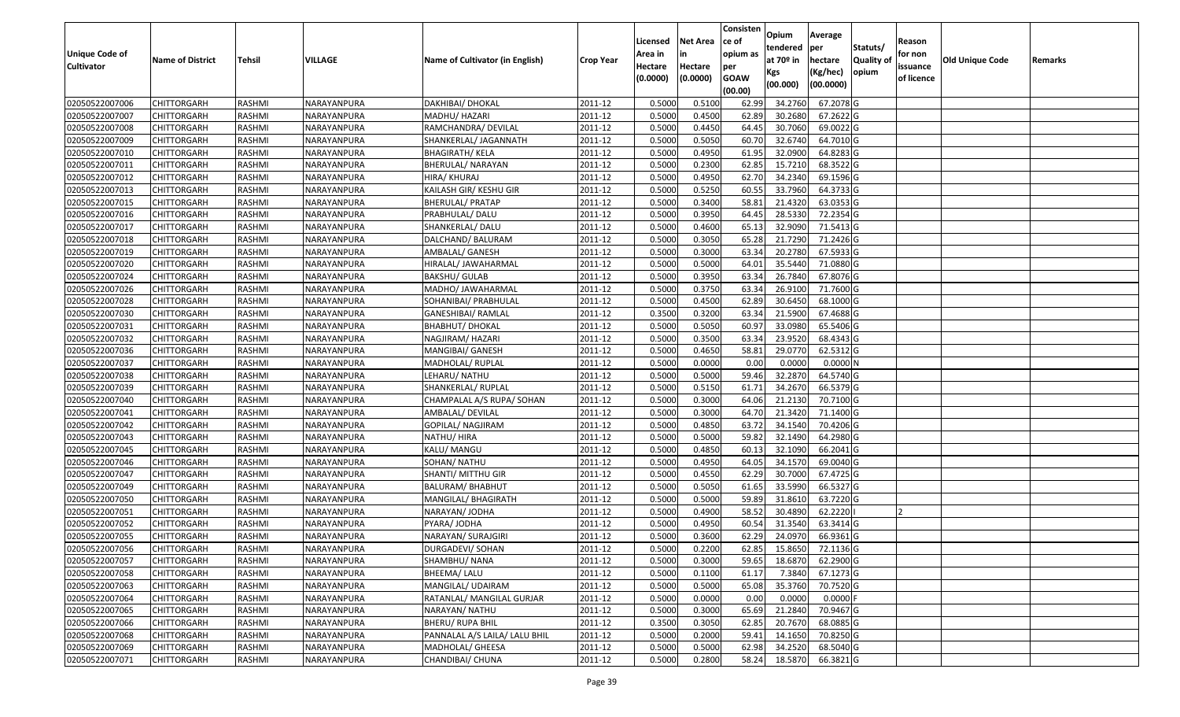| <b>Unique Code of</b><br><b>Cultivator</b> | <b>Name of District</b> | <b>Tehsil</b> | VILLAGE     | Name of Cultivator (in English) | <b>Crop Year</b> | Licensed<br>Area in<br>Hectare<br>(0.0000) | <b>Net Area</b><br>in<br>Hectare<br>(0.0000) | Consisten<br>ce of<br>opium as<br>per<br><b>GOAW</b><br>(00.00) | Opium<br>tendered<br>at $70°$ in<br>Kgs<br>(00.000) | Average<br>per<br>hectare<br>(Kg/hec)<br>(00.0000) | Statuts/<br>Quality of<br>opium | Reason<br>for non<br>issuance<br>of licence | <b>Old Unique Code</b> | Remarks |
|--------------------------------------------|-------------------------|---------------|-------------|---------------------------------|------------------|--------------------------------------------|----------------------------------------------|-----------------------------------------------------------------|-----------------------------------------------------|----------------------------------------------------|---------------------------------|---------------------------------------------|------------------------|---------|
| 02050522007006                             | <b>CHITTORGARH</b>      | RASHMI        | NARAYANPURA | DAKHIBAI/ DHOKAL                | 2011-12          | 0.5000                                     | 0.5100                                       | 62.99                                                           | 34.2760                                             | 67.2078 G                                          |                                 |                                             |                        |         |
| 02050522007007                             | CHITTORGARH             | RASHMI        | NARAYANPURA | MADHU/ HAZARI                   | 2011-12          | 0.5000                                     | 0.4500                                       | 62.89                                                           | 30.2680                                             | 67.2622 G                                          |                                 |                                             |                        |         |
| 02050522007008                             | CHITTORGARH             | RASHMI        | NARAYANPURA | RAMCHANDRA/ DEVILAL             | 2011-12          | 0.5000                                     | 0.4450                                       | 64.45                                                           | 30.7060                                             | 69.0022 G                                          |                                 |                                             |                        |         |
| 02050522007009                             | <b>CHITTORGARH</b>      | RASHMI        | NARAYANPURA | SHANKERLAL/ JAGANNATH           | 2011-12          | 0.5000                                     | 0.5050                                       | 60.70                                                           | 32.6740                                             | 64.7010 G                                          |                                 |                                             |                        |         |
| 02050522007010                             | <b>CHITTORGARH</b>      | RASHMI        | NARAYANPURA | <b>BHAGIRATH/ KELA</b>          | 2011-12          | 0.5000                                     | 0.4950                                       | 61.95                                                           | 32.0900                                             | 64.8283 G                                          |                                 |                                             |                        |         |
| 02050522007011                             | <b>CHITTORGARH</b>      | RASHMI        | NARAYANPURA | BHERULAL/ NARAYAN               | 2011-12          | 0.5000                                     | 0.2300                                       | 62.85                                                           | 15.7210                                             | $68.3522$ G                                        |                                 |                                             |                        |         |
| 02050522007012                             | <b>CHITTORGARH</b>      | RASHMI        | NARAYANPURA | HIRA/ KHURAJ                    | 2011-12          | 0.5000                                     | 0.4950                                       | 62.70                                                           | 34.2340                                             | 69.1596 G                                          |                                 |                                             |                        |         |
| 02050522007013                             | <b>CHITTORGARH</b>      | RASHMI        | NARAYANPURA | KAILASH GIR/ KESHU GIR          | 2011-12          | 0.5000                                     | 0.5250                                       | 60.55                                                           | 33.7960                                             | 64.3733 G                                          |                                 |                                             |                        |         |
| 02050522007015                             | <b>CHITTORGARH</b>      | RASHMI        | NARAYANPURA | <b>BHERULAL/ PRATAP</b>         | 2011-12          | 0.5000                                     | 0.3400                                       | 58.81                                                           | 21.4320                                             | 63.0353 G                                          |                                 |                                             |                        |         |
| 02050522007016                             | CHITTORGARH             | RASHMI        | NARAYANPURA | PRABHULAL/DALU                  | 2011-12          | 0.5000                                     | 0.3950                                       | 64.45                                                           | 28.5330                                             | 72.2354 G                                          |                                 |                                             |                        |         |
| 02050522007017                             | <b>CHITTORGARH</b>      | RASHMI        | NARAYANPURA | SHANKERLAL/ DALU                | 2011-12          | 0.5000                                     | 0.4600                                       | 65.13                                                           | 32.9090                                             | 71.5413 G                                          |                                 |                                             |                        |         |
| 02050522007018                             | CHITTORGARH             | RASHMI        | NARAYANPURA | DALCHAND/ BALURAM               | 2011-12          | 0.5000                                     | 0.3050                                       | 65.28                                                           | 21.7290                                             | 71.2426 G                                          |                                 |                                             |                        |         |
| 02050522007019                             | CHITTORGARH             | RASHMI        | NARAYANPURA | AMBALAL/ GANESH                 | 2011-12          | 0.5000                                     | 0.3000                                       | 63.34                                                           | 20.2780                                             | 67.5933 G                                          |                                 |                                             |                        |         |
| 02050522007020                             | CHITTORGARH             | RASHMI        | NARAYANPURA | HIRALAL/ JAWAHARMAL             | 2011-12          | 0.5000                                     | 0.5000                                       | 64.01                                                           | 35.5440                                             | 71.0880 G                                          |                                 |                                             |                        |         |
| 02050522007024                             | CHITTORGARH             | RASHMI        | NARAYANPURA | BAKSHU/ GULAB                   | 2011-12          | 0.5000                                     | 0.3950                                       | 63.34                                                           | 26.7840                                             | 67.8076 G                                          |                                 |                                             |                        |         |
| 02050522007026                             | CHITTORGARH             | RASHMI        | NARAYANPURA | MADHO/ JAWAHARMAL               | 2011-12          | 0.5000                                     | 0.3750                                       | 63.34                                                           | 26.9100                                             | 71.7600 G                                          |                                 |                                             |                        |         |
| 02050522007028                             | CHITTORGARH             | RASHMI        | NARAYANPURA | SOHANIBAI/ PRABHULAL            | 2011-12          | 0.5000                                     | 0.4500                                       | 62.89                                                           | 30.6450                                             | 68.1000 G                                          |                                 |                                             |                        |         |
| 02050522007030                             | CHITTORGARH             | RASHMI        | NARAYANPURA | GANESHIBAI/ RAMLAL              | 2011-12          | 0.3500                                     | 0.3200                                       | 63.34                                                           | 21.5900                                             | 67.4688 G                                          |                                 |                                             |                        |         |
| 02050522007031                             | <b>CHITTORGARH</b>      | RASHMI        | NARAYANPURA | <b>BHABHUT/ DHOKAL</b>          | 2011-12          | 0.5000                                     | 0.5050                                       | 60.97                                                           | 33.0980                                             | 65.5406 G                                          |                                 |                                             |                        |         |
| 02050522007032                             | CHITTORGARH             | RASHMI        | NARAYANPURA | NAGJIRAM/ HAZARI                | 2011-12          | 0.5000                                     | 0.3500                                       | 63.34                                                           | 23.9520                                             | 68.4343 G                                          |                                 |                                             |                        |         |
| 02050522007036                             | <b>CHITTORGARH</b>      | RASHMI        | NARAYANPURA | MANGIBAI/ GANESH                | 2011-12          | 0.5000                                     | 0.4650                                       | 58.81                                                           | 29.0770                                             | 62.5312 G                                          |                                 |                                             |                        |         |
| 02050522007037                             | CHITTORGARH             | RASHMI        | NARAYANPURA | MADHOLAL/ RUPLAL                | 2011-12          | 0.5000                                     | 0.0000                                       | 0.00                                                            | 0.0000                                              | 0.0000N                                            |                                 |                                             |                        |         |
| 02050522007038                             | CHITTORGARH             | RASHMI        | NARAYANPURA | LEHARU/ NATHU                   | 2011-12          | 0.5000                                     | 0.5000                                       | 59.46                                                           | 32.2870                                             | 64.5740 G                                          |                                 |                                             |                        |         |
| 02050522007039                             | CHITTORGARH             | RASHMI        | NARAYANPURA | SHANKERLAL/ RUPLAL              | 2011-12          | 0.5000                                     | 0.5150                                       | 61.71                                                           | 34.2670                                             | 66.5379 G                                          |                                 |                                             |                        |         |
| 02050522007040                             | <b>CHITTORGARH</b>      | RASHMI        | NARAYANPURA | CHAMPALAL A/S RUPA/ SOHAN       | 2011-12          | 0.5000                                     | 0.3000                                       | 64.06                                                           | 21.2130                                             | 70.7100G                                           |                                 |                                             |                        |         |
| 02050522007041                             | CHITTORGARH             | RASHMI        | NARAYANPURA | AMBALAL/ DEVILAL                | 2011-12          | 0.5000                                     | 0.3000                                       | 64.70                                                           | 21.3420                                             | 71.1400G                                           |                                 |                                             |                        |         |
| 02050522007042                             | CHITTORGARH             | RASHMI        | NARAYANPURA | GOPILAL/ NAGJIRAM               | 2011-12          | 0.5000                                     | 0.4850                                       | 63.72                                                           | 34.1540                                             | 70.4206 G                                          |                                 |                                             |                        |         |
| 02050522007043                             | CHITTORGARH             | RASHMI        | NARAYANPURA | NATHU/ HIRA                     | 2011-12          | 0.5000                                     | 0.5000                                       | 59.82                                                           | 32.1490                                             | 64.2980 G                                          |                                 |                                             |                        |         |
| 02050522007045                             | <b>CHITTORGARH</b>      | RASHMI        | NARAYANPURA | KALU/ MANGU                     | 2011-12          | 0.5000                                     | 0.4850                                       | 60.13                                                           | 32.1090                                             | 66.2041 G                                          |                                 |                                             |                        |         |
| 02050522007046                             | <b>CHITTORGARH</b>      | RASHMI        | NARAYANPURA | SOHAN/ NATHU                    | 2011-12          | 0.5000                                     | 0.4950                                       | 64.05                                                           | 34.1570                                             | 69.0040 G                                          |                                 |                                             |                        |         |
| 02050522007047                             | <b>CHITTORGARH</b>      | RASHMI        | NARAYANPURA | SHANTI/ MITTHU GIR              | 2011-12          | 0.5000                                     | 0.4550                                       | 62.29                                                           | 30.7000                                             | 67.4725 G                                          |                                 |                                             |                        |         |
| 02050522007049                             | CHITTORGARH             | RASHMI        | NARAYANPURA | BALURAM/ BHABHUT                | 2011-12          | 0.5000                                     | 0.5050                                       | 61.65                                                           | 33.5990                                             | 66.5327 G                                          |                                 |                                             |                        |         |
| 02050522007050                             | <b>CHITTORGARH</b>      | RASHMI        | NARAYANPURA | MANGILAL/ BHAGIRATH             | 2011-12          | 0.5000                                     | 0.5000                                       | 59.89                                                           | 31.8610                                             | 63.7220 G                                          |                                 |                                             |                        |         |
| 02050522007051                             | CHITTORGARH             | RASHMI        | NARAYANPURA | NARAYAN/ JODHA                  | 2011-12          | 0.5000                                     | 0.4900                                       | 58.52                                                           | 30.4890                                             | 62.2220                                            |                                 |                                             |                        |         |
| 02050522007052                             | CHITTORGARH             | RASHMI        | NARAYANPURA | PYARA/ JODHA                    | 2011-12          | 0.500                                      | 0.4950                                       | 60.54                                                           | 31.3540                                             | 63.3414 G                                          |                                 |                                             |                        |         |
| 02050522007055                             | <b>CHITTORGARH</b>      | RASHMI        | NARAYANPURA | NARAYAN/ SURAJGIRI              | 2011-12          | 0.5000                                     | 0.3600                                       | 62.29                                                           | 24.0970                                             | 66.9361G                                           |                                 |                                             |                        |         |
| 02050522007056                             | <b>CHITTORGARH</b>      | RASHMI        | NARAYANPURA | <b>DURGADEVI/ SOHAN</b>         | 2011-12          | 0.5000                                     | 0.2200                                       | 62.85                                                           | 15.8650                                             | 72.1136G                                           |                                 |                                             |                        |         |
| 02050522007057                             | <b>CHITTORGARH</b>      | RASHMI        | NARAYANPURA | SHAMBHU/ NANA                   | 2011-12          | 0.5000                                     | 0.3000                                       | 59.65                                                           | 18.6870                                             | 62.2900 G                                          |                                 |                                             |                        |         |
| 02050522007058                             | <b>CHITTORGARH</b>      | RASHMI        | NARAYANPURA | BHEEMA/ LALU                    | 2011-12          | 0.5000                                     | 0.1100                                       | 61.17                                                           | 7.3840                                              | 67.1273 G                                          |                                 |                                             |                        |         |
| 02050522007063                             | <b>CHITTORGARH</b>      | RASHMI        | NARAYANPURA | MANGILAL/ UDAIRAM               | 2011-12          | 0.5000                                     | 0.5000                                       | 65.08                                                           | 35.3760                                             | 70.7520 G                                          |                                 |                                             |                        |         |
| 02050522007064                             | <b>CHITTORGARH</b>      | RASHMI        | NARAYANPURA | RATANLAL/ MANGILAL GURJAR       | 2011-12          | 0.5000                                     | 0.0000                                       | 0.00                                                            | 0.0000                                              | $0.0000$ F                                         |                                 |                                             |                        |         |
| 02050522007065                             | <b>CHITTORGARH</b>      | RASHMI        | NARAYANPURA | NARAYAN/ NATHU                  | 2011-12          | 0.5000                                     | 0.3000                                       | 65.69                                                           | 21.2840                                             | 70.9467 G                                          |                                 |                                             |                        |         |
| 02050522007066                             | <b>CHITTORGARH</b>      | RASHMI        | NARAYANPURA | <b>BHERU/ RUPA BHIL</b>         | 2011-12          | 0.3500                                     | 0.3050                                       | 62.85                                                           | 20.7670                                             | 68.0885 G                                          |                                 |                                             |                        |         |
| 02050522007068                             | <b>CHITTORGARH</b>      | RASHMI        | NARAYANPURA | PANNALAL A/S LAILA/ LALU BHIL   | 2011-12          | 0.5000                                     | 0.2000                                       | 59.41                                                           | 14.1650                                             | 70.8250 G                                          |                                 |                                             |                        |         |
| 02050522007069                             | <b>CHITTORGARH</b>      | RASHMI        | NARAYANPURA | MADHOLAL/ GHEESA                | 2011-12          | 0.5000                                     | 0.5000                                       | 62.98                                                           | 34.2520                                             | 68.5040 G                                          |                                 |                                             |                        |         |
| 02050522007071                             | <b>CHITTORGARH</b>      | RASHMI        | NARAYANPURA | CHANDIBAI/ CHUNA                | 2011-12          | 0.5000                                     | 0.2800                                       | 58.24                                                           | 18.5870                                             | 66.3821 G                                          |                                 |                                             |                        |         |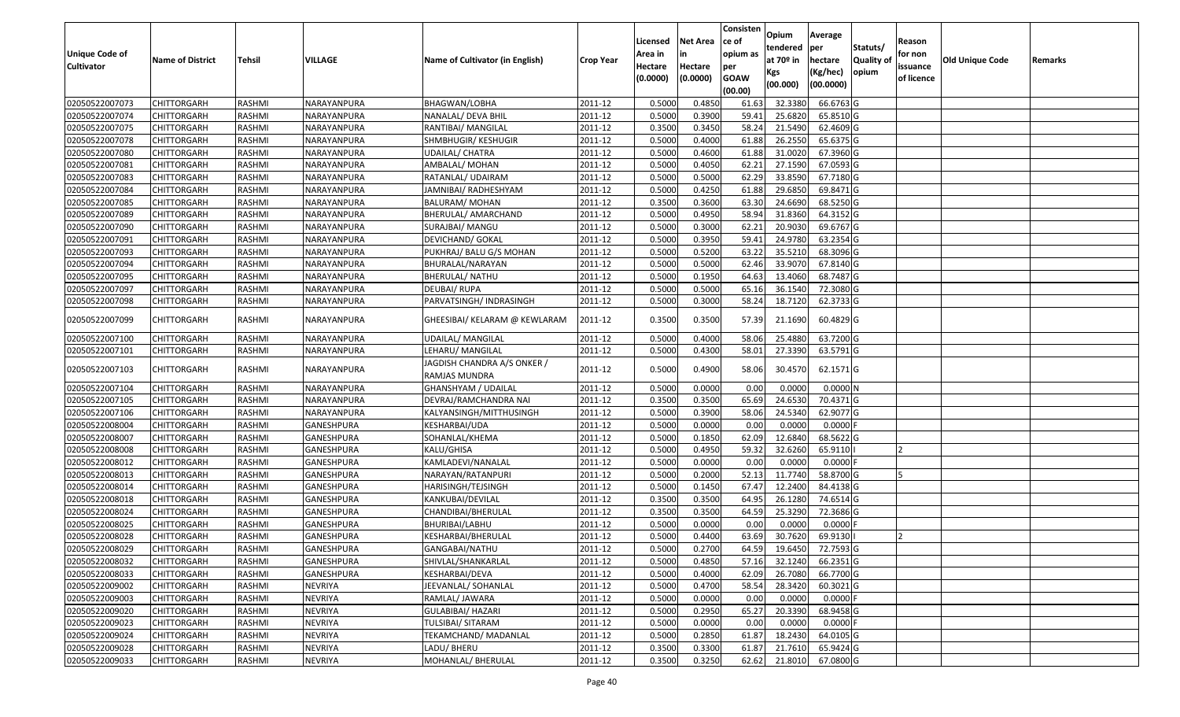| <b>Unique Code of</b><br><b>Cultivator</b> | <b>Name of District</b> | <b>Tehsil</b> | VILLAGE           | Name of Cultivator (in English)              | <b>Crop Year</b> | Licensed<br>Area in<br>Hectare<br>(0.0000) | <b>Net Area</b><br>in<br>Hectare<br>(0.0000) | Consisten<br>ce of<br>opium as<br>per<br><b>GOAW</b><br>(00.00) | Opium<br>tendered<br>at $70°$ in<br>Kgs<br>(00.000) | Average<br>per<br>hectare<br>(Kg/hec)<br>(00.0000) | Statuts/<br>Quality of<br>opium | Reason<br>for non<br>issuance<br>of licence | <b>Old Unique Code</b> | Remarks |
|--------------------------------------------|-------------------------|---------------|-------------------|----------------------------------------------|------------------|--------------------------------------------|----------------------------------------------|-----------------------------------------------------------------|-----------------------------------------------------|----------------------------------------------------|---------------------------------|---------------------------------------------|------------------------|---------|
| 02050522007073                             | <b>CHITTORGARH</b>      | RASHMI        | NARAYANPURA       | BHAGWAN/LOBHA                                | 2011-12          | 0.5000                                     | 0.4850                                       | 61.63                                                           | 32.3380                                             | 66.6763 G                                          |                                 |                                             |                        |         |
| 02050522007074                             | CHITTORGARH             | RASHMI        | NARAYANPURA       | NANALAL/ DEVA BHIL                           | 2011-12          | 0.5000                                     | 0.3900                                       | 59.41                                                           | 25.6820                                             | 65.8510 G                                          |                                 |                                             |                        |         |
| 02050522007075                             | CHITTORGARH             | RASHMI        | NARAYANPURA       | RANTIBAI/ MANGILAL                           | 2011-12          | 0.3500                                     | 0.3450                                       | 58.24                                                           | 21.5490                                             | 62.4609 G                                          |                                 |                                             |                        |         |
| 02050522007078                             | <b>CHITTORGARH</b>      | RASHMI        | NARAYANPURA       | SHMBHUGIR/ KESHUGIR                          | 2011-12          | 0.5000                                     | 0.4000                                       | 61.88                                                           | 26.255                                              | 65.6375 G                                          |                                 |                                             |                        |         |
| 02050522007080                             | <b>CHITTORGARH</b>      | RASHMI        | NARAYANPURA       | <b>UDAILAL/ CHATRA</b>                       | 2011-12          | 0.5000                                     | 0.4600                                       | 61.88                                                           | 31.0020                                             | 67.3960 G                                          |                                 |                                             |                        |         |
| 02050522007081                             | <b>CHITTORGARH</b>      | RASHMI        | NARAYANPURA       | AMBALAL/ MOHAN                               | 2011-12          | 0.5000                                     | 0.4050                                       | 62.21                                                           | 27.1590                                             | 67.0593 G                                          |                                 |                                             |                        |         |
| 02050522007083                             | CHITTORGARH             | RASHMI        | NARAYANPURA       | RATANLAL/ UDAIRAM                            | 2011-12          | 0.5000                                     | 0.5000                                       | 62.29                                                           | 33.8590                                             | 67.7180 G                                          |                                 |                                             |                        |         |
| 02050522007084                             | <b>CHITTORGARH</b>      | RASHMI        | NARAYANPURA       | JAMNIBAI/ RADHESHYAM                         | 2011-12          | 0.5000                                     | 0.4250                                       | 61.88                                                           | 29.6850                                             | 69.8471 G                                          |                                 |                                             |                        |         |
| 02050522007085                             | CHITTORGARH             | RASHMI        | NARAYANPURA       | BALURAM/ MOHAN                               | 2011-12          | 0.3500                                     | 0.3600                                       | 63.30                                                           | 24.6690                                             | 68.5250 G                                          |                                 |                                             |                        |         |
| 02050522007089                             | CHITTORGARH             | RASHMI        | NARAYANPURA       | BHERULAL/ AMARCHAND                          | 2011-12          | 0.5000                                     | 0.4950                                       | 58.94                                                           | 31.8360                                             | 64.3152 G                                          |                                 |                                             |                        |         |
| 02050522007090                             | CHITTORGARH             | RASHMI        | NARAYANPURA       | SURAJBAI/ MANGU                              | 2011-12          | 0.5000                                     | 0.3000                                       | 62.21                                                           | 20.9030                                             | 69.6767 G                                          |                                 |                                             |                        |         |
| 02050522007091                             | CHITTORGARH             | RASHMI        | NARAYANPURA       | DEVICHAND/ GOKAL                             | 2011-12          | 0.5000                                     | 0.3950                                       | 59.41                                                           | 24.9780                                             | 63.2354 G                                          |                                 |                                             |                        |         |
| 02050522007093                             | CHITTORGARH             | RASHMI        | NARAYANPURA       | PUKHRAJ/ BALU G/S MOHAN                      | 2011-12          | 0.5000                                     | 0.5200                                       | 63.22                                                           | 35.5210                                             | 68.3096 G                                          |                                 |                                             |                        |         |
| 02050522007094                             | CHITTORGARH             | RASHMI        | NARAYANPURA       | BHURALAL/NARAYAN                             | 2011-12          | 0.5000                                     | 0.5000                                       | 62.46                                                           | 33.9070                                             | 67.8140 G                                          |                                 |                                             |                        |         |
| 02050522007095                             | CHITTORGARH             | RASHMI        | NARAYANPURA       | BHERULAL/NATHU                               | 2011-12          | 0.5000                                     | 0.1950                                       | 64.63                                                           | 13.4060                                             | 68.7487 G                                          |                                 |                                             |                        |         |
| 02050522007097                             | CHITTORGARH             | RASHMI        | NARAYANPURA       | DEUBAI/RUPA                                  | 2011-12          | 0.5000                                     | 0.5000                                       | 65.16                                                           | 36.154                                              | 72.3080 G                                          |                                 |                                             |                        |         |
| 02050522007098                             | CHITTORGARH             | RASHMI        | NARAYANPURA       | PARVATSINGH/ INDRASINGH                      | 2011-12          | 0.5000                                     | 0.3000                                       | 58.24                                                           | 18.7120                                             | 62.3733 G                                          |                                 |                                             |                        |         |
| 02050522007099                             | CHITTORGARH             | RASHMI        | NARAYANPURA       | GHEESIBAI/ KELARAM @ KEWLARAM                | 2011-12          | 0.3500                                     | 0.3500                                       | 57.39                                                           | 21.1690                                             | 60.4829 G                                          |                                 |                                             |                        |         |
| 02050522007100                             | CHITTORGARH             | RASHMI        | NARAYANPURA       | <b>UDAILAL/ MANGILAL</b>                     | 2011-12          | 0.5000                                     | 0.4000                                       | 58.06                                                           | 25.4880                                             | 63.7200 G                                          |                                 |                                             |                        |         |
| 02050522007101                             | CHITTORGARH             | RASHMI        | NARAYANPURA       | LEHARU/ MANGILAL                             | 2011-12          | 0.5000                                     | 0.4300                                       | 58.01                                                           | 27.3390                                             | 63.5791 G                                          |                                 |                                             |                        |         |
| 02050522007103                             | CHITTORGARH             | RASHMI        | NARAYANPURA       | JAGDISH CHANDRA A/S ONKER /<br>RAMJAS MUNDRA | 2011-12          | 0.5000                                     | 0.4900                                       | 58.06                                                           | 30.4570                                             | 62.1571 G                                          |                                 |                                             |                        |         |
| 02050522007104                             | CHITTORGARH             | RASHMI        | NARAYANPURA       | GHANSHYAM / UDAILAL                          | 2011-12          | 0.5000                                     | 0.0000                                       | 0.00                                                            | 0.0000                                              | 0.0000N                                            |                                 |                                             |                        |         |
| 02050522007105                             | <b>CHITTORGARH</b>      | RASHMI        | NARAYANPURA       | DEVRAJ/RAMCHANDRA NAI                        | 2011-12          | 0.3500                                     | 0.3500                                       | 65.69                                                           | 24.6530                                             | 70.4371 G                                          |                                 |                                             |                        |         |
| 02050522007106                             | <b>CHITTORGARH</b>      | RASHMI        | NARAYANPURA       | KALYANSINGH/MITTHUSINGH                      | 2011-12          | 0.5000                                     | 0.3900                                       | 58.06                                                           | 24.5340                                             | 62.9077 G                                          |                                 |                                             |                        |         |
| 02050522008004                             | <b>CHITTORGARH</b>      | RASHMI        | GANESHPURA        | KESHARBAI/UDA                                | 2011-12          | 0.500                                      | 0.0000                                       | 0.00                                                            | 0.0000                                              | 0.0000F                                            |                                 |                                             |                        |         |
| 02050522008007                             | CHITTORGARH             | RASHMI        | GANESHPURA        | SOHANLAL/KHEMA                               | 2011-12          | 0.5000                                     | 0.1850                                       | 62.09                                                           | 12.6840                                             | 68.5622 G                                          |                                 |                                             |                        |         |
| 02050522008008                             | CHITTORGARH             | RASHMI        | GANESHPURA        | KALU/GHISA                                   | 2011-12          | 0.5000                                     | 0.4950                                       | 59.32                                                           | 32.6260                                             | 65.9110                                            |                                 |                                             |                        |         |
| 02050522008012                             | <b>CHITTORGARH</b>      | RASHMI        | GANESHPURA        | KAMLADEVI/NANALAL                            | 2011-12          | 0.5000                                     | 0.0000                                       | 0.00                                                            | 0.0000                                              | 0.0000F                                            |                                 |                                             |                        |         |
| 02050522008013                             | CHITTORGARH             | RASHMI        | GANESHPURA        | NARAYAN/RATANPURI                            | 2011-12          | 0.5000                                     | 0.2000                                       | 52.13                                                           | 11.7740                                             | 58.8700 G                                          |                                 |                                             |                        |         |
| 02050522008014                             | CHITTORGARH             | RASHMI        | GANESHPURA        | HARISINGH/TEJSINGH                           | 2011-12          | 0.5000                                     | 0.1450                                       | 67.47                                                           | 12.2400                                             | 84.4138 G                                          |                                 |                                             |                        |         |
| 02050522008018                             | CHITTORGARH             | RASHMI        | GANESHPURA        | KANKUBAI/DEVILAL                             | 2011-12          | 0.3500                                     | 0.3500                                       | 64.95                                                           | 26.1280                                             | 74.6514 G                                          |                                 |                                             |                        |         |
| 02050522008024                             | CHITTORGARH             | RASHMI        | <b>GANESHPURA</b> | CHANDIBAI/BHERULAL                           | 2011-12          | 0.3500                                     | 0.3500                                       | 64.59                                                           | 25.3290                                             | 72.3686 G                                          |                                 |                                             |                        |         |
| 02050522008025                             | CHITTORGARH             | RASHMI        | GANESHPURA        | BHURIBAI/LABHU                               | 2011-12          | 0.500                                      | 0.0000                                       | 0.00                                                            | 0.000                                               | 0.0000                                             |                                 |                                             |                        |         |
| 02050522008028                             | CHITTORGARH             | RASHMI        | GANESHPURA        | KESHARBAI/BHERULAL                           | 2011-12          | 0.5000                                     | 0.4400                                       | 63.69                                                           | 30.7620                                             | 69.9130                                            |                                 |                                             |                        |         |
| 02050522008029                             | <b>CHITTORGARH</b>      | RASHMI        | GANESHPURA        | GANGABAI/NATHU                               | 2011-12          | 0.5000                                     | 0.2700                                       | 64.59                                                           | 19.6450                                             | 72.7593 G                                          |                                 |                                             |                        |         |
| 02050522008032                             | <b>CHITTORGARH</b>      | RASHMI        | <b>GANESHPURA</b> | SHIVLAL/SHANKARLAL                           | 2011-12          | 0.5000                                     | 0.4850                                       | 57.16                                                           | 32.1240                                             | 66.2351 G                                          |                                 |                                             |                        |         |
| 02050522008033                             | <b>CHITTORGARH</b>      | RASHMI        | GANESHPURA        | KESHARBAI/DEVA                               | 2011-12          | 0.5000                                     | 0.4000                                       | 62.09                                                           | 26.7080                                             | 66.7700 G                                          |                                 |                                             |                        |         |
| 02050522009002                             | <b>CHITTORGARH</b>      | RASHMI        | <b>NEVRIYA</b>    | JEEVANLAL/ SOHANLAL                          | 2011-12          | 0.5000                                     | 0.4700                                       | 58.54                                                           | 28.3420                                             | 60.3021 G                                          |                                 |                                             |                        |         |
| 02050522009003                             | <b>CHITTORGARH</b>      | RASHMI        | <b>NEVRIYA</b>    | RAMLAL/ JAWARA                               | 2011-12          | 0.5000                                     | 0.0000                                       | 0.00                                                            | 0.0000                                              | $0.0000$ F                                         |                                 |                                             |                        |         |
| 02050522009020                             | <b>CHITTORGARH</b>      | RASHMI        | <b>NEVRIYA</b>    | <b>GULABIBAI/ HAZARI</b>                     | 2011-12          | 0.5000                                     | 0.2950                                       | 65.27                                                           | 20.3390                                             | 68.9458 G                                          |                                 |                                             |                        |         |
| 02050522009023                             | <b>CHITTORGARH</b>      | RASHMI        | <b>NEVRIYA</b>    | TULSIBAI/ SITARAM                            | 2011-12          | 0.5000                                     | 0.0000                                       | 0.00                                                            | 0.0000                                              | $0.0000$ F                                         |                                 |                                             |                        |         |
| 02050522009024                             | <b>CHITTORGARH</b>      | RASHMI        | NEVRIYA           | TEKAMCHAND/ MADANLAL                         | 2011-12          | 0.5000                                     | 0.2850                                       | 61.87                                                           | 18.2430                                             | 64.0105 G                                          |                                 |                                             |                        |         |
| 02050522009028                             | CHITTORGARH             | RASHMI        | NEVRIYA           | LADU/ BHERU                                  | 2011-12          | 0.3500                                     | 0.3300                                       | 61.87                                                           | 21.7610                                             | 65.9424 G                                          |                                 |                                             |                        |         |
| 02050522009033                             | CHITTORGARH             | RASHMI        | NEVRIYA           | MOHANLAL/ BHERULAL                           | 2011-12          | 0.3500                                     | 0.3250                                       | 62.62                                                           | 21.8010                                             | 67.0800 G                                          |                                 |                                             |                        |         |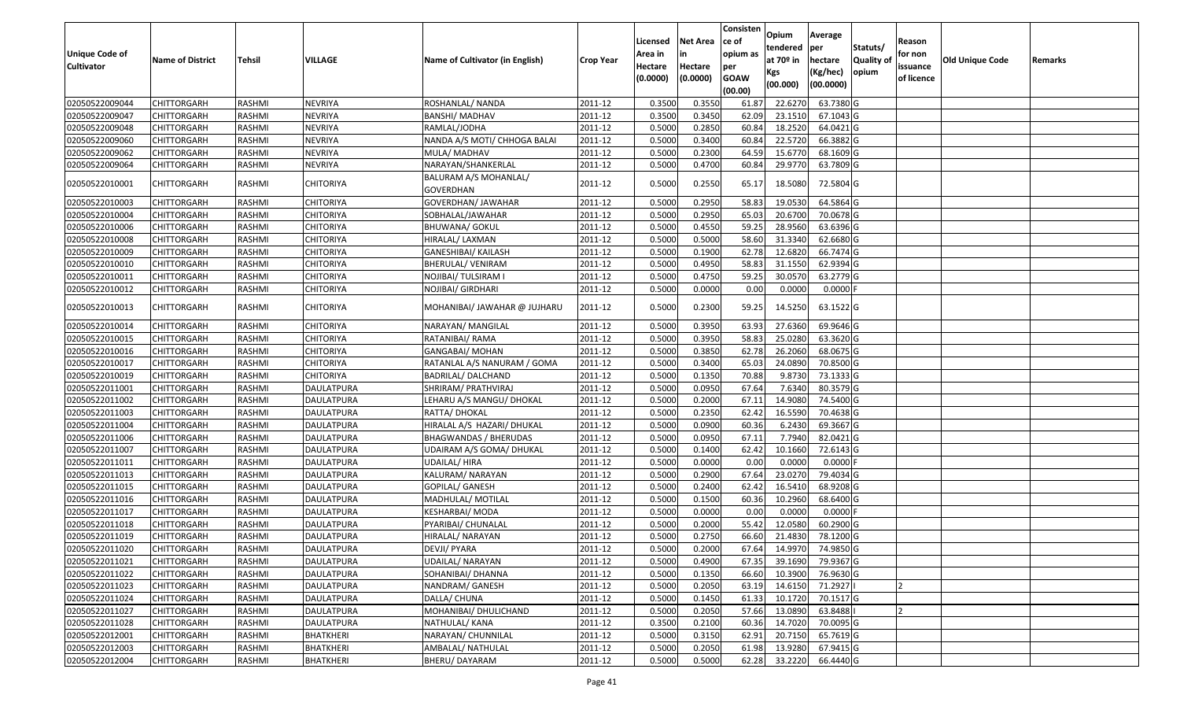| <b>Unique Code of</b><br><b>Cultivator</b> | <b>Name of District</b> | <b>Tehsil</b> | VILLAGE           | Name of Cultivator (in English)           | <b>Crop Year</b> | Licensed<br>Area in<br>Hectare<br>(0.0000) | <b>Net Area</b><br>in<br>Hectare<br>(0.0000) | Consisten<br>ce of<br>opium as<br>per<br><b>GOAW</b><br>(00.00) | Opium<br>tendered<br>at $70°$ in<br>Kgs<br>(00.000) | Average<br>per<br>hectare<br>(Kg/hec)<br>(00.0000) | Statuts/<br>Quality of<br>opium | Reason<br>for non<br>issuance<br>of licence | <b>Old Unique Code</b> | Remarks |
|--------------------------------------------|-------------------------|---------------|-------------------|-------------------------------------------|------------------|--------------------------------------------|----------------------------------------------|-----------------------------------------------------------------|-----------------------------------------------------|----------------------------------------------------|---------------------------------|---------------------------------------------|------------------------|---------|
| 02050522009044                             | <b>CHITTORGARH</b>      | RASHMI        | <b>NEVRIYA</b>    | ROSHANLAL/ NANDA                          | 2011-12          | 0.3500                                     | 0.3550                                       | 61.87                                                           | 22.6270                                             | 63.7380 G                                          |                                 |                                             |                        |         |
| 02050522009047                             | CHITTORGARH             | RASHMI        | <b>NEVRIYA</b>    | <b>BANSHI/ MADHAV</b>                     | 2011-12          | 0.3500                                     | 0.3450                                       | 62.09                                                           | 23.1510                                             | 67.1043 G                                          |                                 |                                             |                        |         |
| 02050522009048                             | CHITTORGARH             | RASHMI        | <b>NEVRIYA</b>    | RAMLAL/JODHA                              | 2011-12          | 0.5000                                     | 0.2850                                       | 60.84                                                           | 18.2520                                             | 64.0421G                                           |                                 |                                             |                        |         |
| 02050522009060                             | <b>CHITTORGARH</b>      | RASHMI        | <b>NEVRIYA</b>    | NANDA A/S MOTI/ CHHOGA BALAI              | 2011-12          | 0.5000                                     | 0.3400                                       | 60.84                                                           | 22.5720                                             | 66.3882 G                                          |                                 |                                             |                        |         |
| 02050522009062                             | <b>CHITTORGARH</b>      | RASHMI        | <b>NEVRIYA</b>    | MULA/ MADHAV                              | 2011-12          | 0.5000                                     | 0.2300                                       | 64.59                                                           | 15.6770                                             | 68.1609 G                                          |                                 |                                             |                        |         |
| 02050522009064                             | <b>CHITTORGARH</b>      | RASHMI        | <b>NEVRIYA</b>    | NARAYAN/SHANKERLAL                        | 2011-12          | 0.5000                                     | 0.4700                                       | 60.84                                                           | 29.9770                                             | 63.7809 G                                          |                                 |                                             |                        |         |
| 02050522010001                             | CHITTORGARH             | RASHMI        | CHITORIYA         | BALURAM A/S MOHANLAL/<br><b>GOVERDHAN</b> | 2011-12          | 0.5000                                     | 0.2550                                       | 65.17                                                           | 18.5080                                             | 72.5804 G                                          |                                 |                                             |                        |         |
| 02050522010003                             | <b>CHITTORGARH</b>      | RASHMI        | <b>CHITORIYA</b>  | GOVERDHAN/ JAWAHAR                        | 2011-12          | 0.5000                                     | 0.2950                                       | 58.83                                                           | 19.0530                                             | 64.5864 G                                          |                                 |                                             |                        |         |
| 02050522010004                             | CHITTORGARH             | RASHMI        | <b>CHITORIYA</b>  | SOBHALAL/JAWAHAR                          | 2011-12          | 0.5000                                     | 0.2950                                       | 65.03                                                           | 20.6700                                             | 70.0678 G                                          |                                 |                                             |                        |         |
| 02050522010006                             | CHITTORGARH             | RASHMI        | <b>CHITORIYA</b>  | <b>BHUWANA/ GOKUL</b>                     | 2011-12          | 0.5000                                     | 0.4550                                       | 59.25                                                           | 28.9560                                             | 63.6396 G                                          |                                 |                                             |                        |         |
| 02050522010008                             | CHITTORGARH             | RASHMI        | <b>CHITORIYA</b>  | HIRALAL/ LAXMAN                           | 2011-12          | 0.5000                                     | 0.5000                                       | 58.60                                                           | 31.3340                                             | 62.6680 G                                          |                                 |                                             |                        |         |
| 02050522010009                             | CHITTORGARH             | RASHMI        | <b>CHITORIYA</b>  | GANESHIBAI/ KAILASH                       | 2011-12          | 0.5000                                     | 0.1900                                       | 62.78                                                           | 12.6820                                             | 66.7474 G                                          |                                 |                                             |                        |         |
| 02050522010010                             | CHITTORGARH             | RASHMI        | <b>CHITORIYA</b>  | BHERULAL/ VENIRAM                         | 2011-12          | 0.5000                                     | 0.4950                                       | 58.83                                                           | 31.155                                              | 62.9394 G                                          |                                 |                                             |                        |         |
| 02050522010011                             | CHITTORGARH             | RASHMI        | CHITORIYA         | NOJIBAI/ TULSIRAM I                       | 2011-12          | 0.5000                                     | 0.4750                                       | 59.25                                                           | 30.0570                                             | 63.2779 G                                          |                                 |                                             |                        |         |
| 02050522010012                             | CHITTORGARH             | RASHMI        | CHITORIYA         | NOJIBAI/ GIRDHARI                         | 2011-12          | 0.5000                                     | 0.0000                                       | 0.00                                                            | 0.0000                                              | 0.0000                                             |                                 |                                             |                        |         |
| 02050522010013                             | CHITTORGARH             | RASHMI        | <b>CHITORIYA</b>  | MOHANIBAI/ JAWAHAR @ JUJHARU              | 2011-12          | 0.5000                                     | 0.2300                                       | 59.25                                                           | 14.5250                                             | 63.1522 G                                          |                                 |                                             |                        |         |
| 02050522010014                             | CHITTORGARH             | RASHMI        | <b>CHITORIYA</b>  | NARAYAN/ MANGILAL                         | 2011-12          | 0.5000                                     | 0.3950                                       | 63.93                                                           | 27.6360                                             | 69.9646 G                                          |                                 |                                             |                        |         |
| 02050522010015                             | CHITTORGARH             | RASHMI        | <b>CHITORIYA</b>  | RATANIBAI/ RAMA                           | 2011-12          | 0.5000                                     | 0.3950                                       | 58.83                                                           | 25.0280                                             | 63.3620 G                                          |                                 |                                             |                        |         |
| 02050522010016                             | <b>CHITTORGARH</b>      | RASHMI        | <b>CHITORIYA</b>  | <b>GANGABAI/ MOHAN</b>                    | 2011-12          | 0.5000                                     | 0.3850                                       | 62.78                                                           | 26.2060                                             | 68.0675 G                                          |                                 |                                             |                        |         |
| 02050522010017                             | CHITTORGARH             | RASHMI        | CHITORIYA         | RATANLAL A/S NANURAM / GOMA               | 2011-12          | 0.5000                                     | 0.3400                                       | 65.03                                                           | 24.0890                                             | 70.8500 G                                          |                                 |                                             |                        |         |
| 02050522010019                             | CHITTORGARH             | RASHMI        | <b>CHITORIYA</b>  | BADRILAL/DALCHAND                         | 2011-12          | 0.5000                                     | 0.1350                                       | 70.88                                                           | 9.8730                                              | 73.1333 G                                          |                                 |                                             |                        |         |
| 02050522011001                             | CHITTORGARH             | RASHMI        | DAULATPURA        | SHRIRAM/ PRATHVIRAJ                       | 2011-12          | 0.5000                                     | 0.0950                                       | 67.64                                                           | 7.6340                                              | 80.3579 G                                          |                                 |                                             |                        |         |
| 02050522011002                             | CHITTORGARH             | RASHMI        | <b>DAULATPURA</b> | LEHARU A/S MANGU/ DHOKAL                  | 2011-12          | 0.5000                                     | 0.2000                                       | 67.11                                                           | 14.9080                                             | 74.5400 G                                          |                                 |                                             |                        |         |
| 02050522011003                             | <b>CHITTORGARH</b>      | RASHMI        | <b>DAULATPURA</b> | RATTA/ DHOKAL                             | 2011-12          | 0.5000                                     | 0.2350                                       | 62.42                                                           | 16.5590                                             | 70.4638 G                                          |                                 |                                             |                        |         |
| 02050522011004                             | <b>CHITTORGARH</b>      | RASHMI        | <b>DAULATPURA</b> | HIRALAL A/S HAZARI/ DHUKAL                | 2011-12          | 0.500                                      | 0.0900                                       | 60.36                                                           | 6.2430                                              | 69.3667 G                                          |                                 |                                             |                        |         |
| 02050522011006                             | CHITTORGARH             | RASHMI        | <b>DAULATPURA</b> | BHAGWANDAS / BHERUDAS                     | 2011-12          | 0.5000                                     | 0.0950                                       | 67.11                                                           | 7.7940                                              | 82.0421G                                           |                                 |                                             |                        |         |
| 02050522011007                             | <b>CHITTORGARH</b>      | RASHMI        | <b>DAULATPURA</b> | UDAIRAM A/S GOMA/ DHUKAL                  | 2011-12          | 0.5000                                     | 0.1400                                       | 62.42                                                           | 10.1660                                             | 72.6143 G                                          |                                 |                                             |                        |         |
| 02050522011011                             | <b>CHITTORGARH</b>      | RASHMI        | <b>DAULATPURA</b> | UDAILAL/HIRA                              | 2011-12          | 0.5000                                     | 0.0000                                       | 0.00                                                            | 0.0000                                              | $0.0000$ F                                         |                                 |                                             |                        |         |
| 02050522011013                             | CHITTORGARH             | RASHMI        | <b>DAULATPURA</b> | KALURAM/ NARAYAN                          | 2011-12          | 0.5000                                     | 0.2900                                       | 67.64                                                           | 23.0270                                             | 79.4034 G                                          |                                 |                                             |                        |         |
| 02050522011015                             | CHITTORGARH             | RASHMI        | DAULATPURA        | GOPILAL/ GANESH                           | 2011-12          | 0.5000                                     | 0.2400                                       | 62.42                                                           | 16.5410                                             | 68.9208 G                                          |                                 |                                             |                        |         |
| 02050522011016                             | CHITTORGARH             | RASHMI        | <b>DAULATPURA</b> | MADHULAL/ MOTILAL                         | 2011-12          | 0.5000                                     | 0.1500                                       | 60.36                                                           | 10.2960                                             | 68.6400 G                                          |                                 |                                             |                        |         |
| 02050522011017                             | CHITTORGARH             | RASHMI        | <b>DAULATPURA</b> | KESHARBAI/ MODA                           | 2011-12          | 0.5000                                     | 0.0000                                       | 0.00                                                            | 0.0000                                              | 0.0000F                                            |                                 |                                             |                        |         |
| 02050522011018                             | CHITTORGARH             | RASHMI        | DAULATPURA        | PYARIBAI/ CHUNALAL                        | 2011-12          | 0.500                                      | 0.2000                                       | 55.42                                                           | 12.0580                                             | 60.2900 G                                          |                                 |                                             |                        |         |
| 02050522011019                             | CHITTORGARH             | RASHMI        | DAULATPURA        | HIRALAL/ NARAYAN                          | 2011-12          | 0.500                                      | 0.2750                                       | 66.60                                                           | 21.4830                                             | 78.1200 G                                          |                                 |                                             |                        |         |
| 02050522011020                             | <b>CHITTORGARH</b>      | RASHMI        | <b>DAULATPURA</b> | DEVJI/ PYARA                              | 2011-12          | 0.5000                                     | 0.2000                                       | 67.64                                                           | 14.9970                                             | 74.9850G                                           |                                 |                                             |                        |         |
| 02050522011021                             | <b>CHITTORGARH</b>      | RASHMI        | <b>DAULATPURA</b> | UDAILAL/ NARAYAN                          | 2011-12          | 0.5000                                     | 0.4900                                       | 67.35                                                           | 39.1690                                             | 79.9367 G                                          |                                 |                                             |                        |         |
| 02050522011022                             | <b>CHITTORGARH</b>      | RASHMI        | <b>DAULATPURA</b> | SOHANIBAI/ DHANNA                         | 2011-12          | 0.5000                                     | 0.1350                                       | 66.60                                                           | 10.3900                                             | 76.9630 G                                          |                                 |                                             |                        |         |
| 02050522011023                             | <b>CHITTORGARH</b>      | RASHMI        | <b>DAULATPURA</b> | NANDRAM/ GANESH                           | 2011-12          | 0.5000                                     | 0.2050                                       | 63.19                                                           | 14.6150                                             | 71.2927                                            |                                 | 12                                          |                        |         |
| 02050522011024                             | <b>CHITTORGARH</b>      | RASHMI        | DAULATPURA        | DALLA/ CHUNA                              | 2011-12          | 0.5000                                     | 0.1450                                       | 61.33                                                           | 10.1720                                             | 70.1517 G                                          |                                 |                                             |                        |         |
| 02050522011027                             | <b>CHITTORGARH</b>      | RASHMI        | <b>DAULATPURA</b> | MOHANIBAI/ DHULICHAND                     | 2011-12          | 0.5000                                     | 0.2050                                       | 57.66                                                           | 13.0890                                             | 63.8488                                            |                                 |                                             |                        |         |
| 02050522011028                             | <b>CHITTORGARH</b>      | RASHMI        | <b>DAULATPURA</b> | NATHULAL/ KANA                            | 2011-12          | 0.3500                                     | 0.2100                                       | 60.36                                                           | 14.7020                                             | 70.0095 G                                          |                                 |                                             |                        |         |
| 02050522012001                             | <b>CHITTORGARH</b>      | RASHMI        | <b>BHATKHERI</b>  | NARAYAN/ CHUNNILAL                        | 2011-12          | 0.5000                                     | 0.3150                                       | 62.91                                                           | 20.7150                                             | 65.7619 G                                          |                                 |                                             |                        |         |
| 02050522012003                             | CHITTORGARH             | RASHMI        | BHATKHERI         | AMBALAL/ NATHULAL                         | 2011-12          | 0.5000                                     | 0.2050                                       | 61.98                                                           | 13.9280                                             | 67.9415 G                                          |                                 |                                             |                        |         |
| 02050522012004                             | CHITTORGARH             | RASHMI        | BHATKHERI         | BHERU/DAYARAM                             | 2011-12          | 0.5000                                     | 0.5000                                       | 62.28                                                           | 33.2220                                             | 66.4440 G                                          |                                 |                                             |                        |         |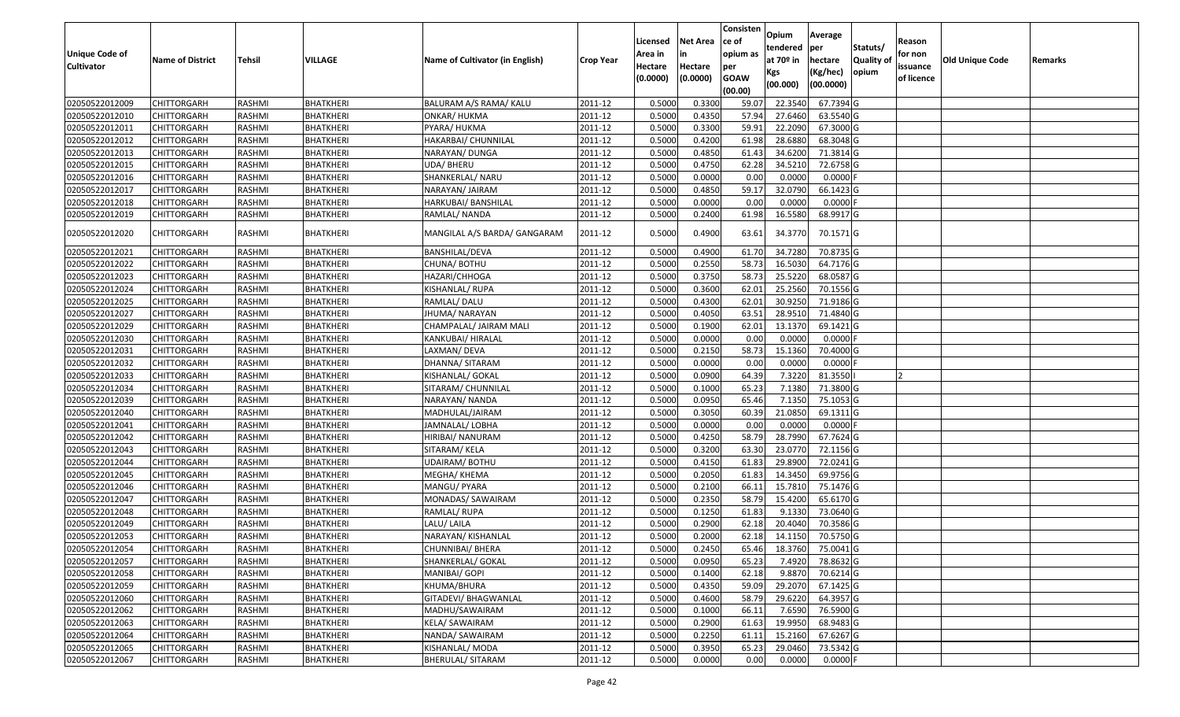|                                  |                         |               |                  |                                 |                  | Licensed | <b>Net Area</b> | Consisten<br>ce of | Opium         | Average                |                  | Reason     |                        |         |
|----------------------------------|-------------------------|---------------|------------------|---------------------------------|------------------|----------|-----------------|--------------------|---------------|------------------------|------------------|------------|------------------------|---------|
| <b>Unique Code of</b>            |                         |               |                  |                                 |                  | Area in  |                 | opium as           | tendered      | per                    | Statuts/         | for non    |                        |         |
| <b>Cultivator</b>                | <b>Name of District</b> | <b>Tehsil</b> | VILLAGE          | Name of Cultivator (in English) | <b>Crop Year</b> | Hectare  | Hectare         | per                | at $70°$ in   | hectare                | <b>Quality o</b> | issuance   | <b>Old Unique Code</b> | Remarks |
|                                  |                         |               |                  |                                 |                  | (0.0000) | (0.0000)        | <b>GOAW</b>        | Kgs           | (Kg/hec)               | opium            | of licence |                        |         |
|                                  |                         |               |                  |                                 |                  |          |                 | (00.00)            | (00.000)      | (00.0000)              |                  |            |                        |         |
| 02050522012009                   | CHITTORGARH             | RASHMI        | <b>BHATKHERI</b> | BALURAM A/S RAMA/ KALU          | 2011-12          | 0.5000   | 0.3300          | 59.07              | 22.3540       | 67.7394 G              |                  |            |                        |         |
| 02050522012010                   | CHITTORGARH             | RASHMI        | <b>BHATKHERI</b> | ONKAR/ HUKMA                    | 2011-12          | 0.5000   | 0.4350          | 57.94              | 27.6460       | 63.5540 G              |                  |            |                        |         |
| 02050522012011                   | CHITTORGARH             | RASHMI        | BHATKHERI        | PYARA/ HUKMA                    | 2011-12          | 0.5000   | 0.3300          | 59.91              | 22.2090       | 67.3000 G              |                  |            |                        |         |
| 02050522012012                   | <b>CHITTORGARH</b>      | RASHMI        | <b>BHATKHERI</b> | HAKARBAI/ CHUNNILAL             | 2011-12          | 0.5000   | 0.4200          | 61.98              | 28.6880       | 68.3048 G              |                  |            |                        |         |
| 02050522012013                   | CHITTORGARH             | RASHMI        | BHATKHERI        | NARAYAN/ DUNGA                  | 2011-12          | 0.5000   | 0.4850          | 61.43              | 34.6200       | 71.3814 G              |                  |            |                        |         |
| 02050522012015                   | CHITTORGARH             | RASHMI        | <b>BHATKHERI</b> | UDA/ BHERU                      | 2011-12          | 0.5000   | 0.4750          | 62.28              | 34.5210       | 72.6758 G              |                  |            |                        |         |
| 02050522012016                   | CHITTORGARH             | RASHMI        | BHATKHERI        | SHANKERLAL/ NARU                | 2011-12          | 0.5000   | 0.0000          | 0.00               | 0.0000        | 0.0000                 |                  |            |                        |         |
| 02050522012017                   | CHITTORGARH             | <b>RASHMI</b> | <b>BHATKHERI</b> | NARAYAN/ JAIRAM                 | 2011-12          | 0.5000   | 0.4850          | 59.17              | 32.0790       | 66.1423 G              |                  |            |                        |         |
| 02050522012018                   | CHITTORGARH             | RASHMI        | BHATKHERI        | HARKUBAI/ BANSHILAL             | 2011-12          | 0.5000   | 0.0000          | 0.00               | 0.0000        | 0.0000F                |                  |            |                        |         |
| 02050522012019                   | CHITTORGARH             | RASHMI        | BHATKHERI        | RAMLAL/ NANDA                   | 2011-12          | 0.5000   | 0.2400          | 61.98              | 16.5580       | 68.9917 G              |                  |            |                        |         |
| 02050522012020                   | CHITTORGARH             | RASHMI        | BHATKHERI        | MANGILAL A/S BARDA/ GANGARAM    | 2011-12          | 0.5000   | 0.4900          | 63.61              | 34.3770       | 70.1571 G              |                  |            |                        |         |
| 02050522012021                   | <b>CHITTORGARH</b>      | RASHMI        | <b>BHATKHERI</b> | BANSHILAL/DEVA                  | 2011-12          | 0.5000   | 0.4900          | 61.70              | 34.7280       | 70.8735 G              |                  |            |                        |         |
| 02050522012022                   | CHITTORGARH             | RASHMI        | BHATKHERI        | CHUNA/ BOTHU                    | 2011-12          | 0.5000   | 0.2550          | 58.73              | 16.5030       | 64.7176 G              |                  |            |                        |         |
| 02050522012023                   | CHITTORGARH             | RASHMI        | BHATKHERI        | HAZARI/CHHOGA                   | 2011-12          | 0.5000   | 0.3750          | 58.73              | 25.5220       | 68.0587 G              |                  |            |                        |         |
| 02050522012024                   | CHITTORGARH             | RASHMI        | <b>BHATKHERI</b> | KISHANLAL/ RUPA                 | 2011-12          | 0.5000   | 0.3600          | 62.01              | 25.2560       | 70.1556 G              |                  |            |                        |         |
| 02050522012025                   | CHITTORGARH             | RASHMI        | <b>BHATKHERI</b> | RAMLAL/ DALU                    | 2011-12          | 0.5000   | 0.4300          | 62.01              | 30.9250       | 71.9186 G              |                  |            |                        |         |
| 02050522012027                   | CHITTORGARH             | RASHMI        | <b>BHATKHERI</b> | JHUMA/ NARAYAN                  | 2011-12          | 0.5000   | 0.4050          | 63.5               | 28.951        | 71.4840 G              |                  |            |                        |         |
| 02050522012029                   | CHITTORGARH             | RASHMI        | BHATKHERI        | CHAMPALAL/ JAIRAM MALI          | 2011-12          | 0.5000   | 0.1900          | 62.01              | 13.1370       | 69.1421G               |                  |            |                        |         |
| 02050522012030                   | CHITTORGARH             | RASHMI        | BHATKHERI        | KANKUBAI/ HIRALAL               | 2011-12          | 0.5000   | 0.0000          | 0.00               | 0.0000        | 0.0000                 |                  |            |                        |         |
| 02050522012031                   | CHITTORGARH             | RASHMI        | <b>BHATKHERI</b> | LAXMAN/ DEVA                    | 2011-12          | 0.5000   | 0.2150          | 58.73              | 15.1360       | 70.4000 G              |                  |            |                        |         |
| 02050522012032                   | CHITTORGARH             | RASHMI        | BHATKHERI        | DHANNA/ SITARAM                 | 2011-12          | 0.5000   | 0.0000          | 0.00               | 0.0000        | 0.0000                 |                  |            |                        |         |
| 02050522012033                   | CHITTORGARH             | RASHMI        | BHATKHERI        | KISHANLAL/ GOKAL                | 2011-12          | 0.5000   | 0.0900          | 64.39              | 7.3220        | 81.3550                |                  |            |                        |         |
| 02050522012034                   | CHITTORGARH             | RASHMI        | BHATKHERI        | SITARAM/ CHUNNILAL              | 2011-12          | 0.5000   | 0.1000          | 65.23              | 7.1380        | 71.3800 G              |                  |            |                        |         |
| 02050522012039                   | CHITTORGARH             | RASHMI        | <b>BHATKHERI</b> | NARAYAN/ NANDA                  | 2011-12          | 0.5000   | 0.0950          | 65.46              | 7.1350        | 75.1053 G              |                  |            |                        |         |
| 02050522012040                   | CHITTORGARH             | RASHMI        | BHATKHERI        | MADHULAL/JAIRAM                 | 2011-12          | 0.5000   | 0.3050          | 60.39              | 21.0850       | 69.1311 G              |                  |            |                        |         |
| 02050522012041                   | CHITTORGARH             | RASHMI        | BHATKHERI        | JAMNALAL/ LOBHA                 | 2011-12          | 0.5000   | 0.0000          | 0.00               | 0.0000        | $0.0000$ F             |                  |            |                        |         |
| 02050522012042                   | CHITTORGARH             | RASHMI        | BHATKHERI        | HIRIBAI/ NANURAM                | 2011-12          | 0.5000   | 0.4250          | 58.79              | 28.7990       | 67.7624 G              |                  |            |                        |         |
| 02050522012043                   | <b>CHITTORGARH</b>      | <b>RASHMI</b> | <b>BHATKHERI</b> | SITARAM/KELA                    | 2011-12          | 0.5000   | 0.3200          | 63.30              | 23.0770       | 72.1156 G              |                  |            |                        |         |
| 02050522012044                   | CHITTORGARH             | RASHMI        | <b>BHATKHERI</b> | UDAIRAM/BOTHU                   | 2011-12          | 0.5000   | 0.4150          | 61.83              | 29.8900       | 72.0241 G              |                  |            |                        |         |
| 02050522012045                   | CHITTORGARH             | RASHMI        | BHATKHERI        | MEGHA/ KHEMA                    | 2011-12          | 0.5000   | 0.2050          | 61.83              | 14.3450       | 69.9756 G              |                  |            |                        |         |
| 02050522012046                   | CHITTORGARH             | RASHMI        | BHATKHERI        | MANGU/ PYARA                    | 2011-12          | 0.5000   | 0.2100          | 66.1               | 15.781        | 75.1476 G              |                  |            |                        |         |
| 02050522012047                   | CHITTORGARH             | RASHMI        | <b>BHATKHERI</b> | MONADAS/ SAWAIRAM               | 2011-12          | 0.5000   | 0.2350          | 58.79              | 15.4200       | 65.6170 G              |                  |            |                        |         |
| 02050522012048                   | <b>CHITTORGARH</b>      | RASHMI        | <b>BHATKHERI</b> | RAMLAL/RUPA                     | 2011-12          | 0.5000   | 0.1250          | 61.83              | 9.1330        | 73.0640 G              |                  |            |                        |         |
| 02050522012049                   | CHITTORGARH             | RASHMI        | BHATKHERI        | LALU/ LAILA                     | 2011-12          | 0.500    | 0.2900          | 62.18              | 20.4040       | 70.3586 G              |                  |            |                        |         |
| 02050522012053                   | CHITTORGARH             | RASHMI        | <b>BHATKHERI</b> | NARAYAN/ KISHANLAL              | 2011-12          | 0.5000   | 0.2000          | 62.18              | 14.1150       | 70.5750 G              |                  |            |                        |         |
| 02050522012054                   | CHITTORGARH             | RASHMI        | <b>BHATKHERI</b> | CHUNNIBAI/ BHERA                | 2011-12          | 0.5000   | 0.2450          |                    | 65.46 18.3760 | 75.0041G               |                  |            |                        |         |
| 02050522012057                   | <b>CHITTORGARH</b>      | RASHMI        | <b>BHATKHERI</b> | SHANKERLAL/ GOKAL               | 2011-12          | 0.5000   | 0.0950          | 65.23              | 7.4920        | 78.8632 G              |                  |            |                        |         |
| 02050522012058                   | <b>CHITTORGARH</b>      | RASHMI        | <b>BHATKHERI</b> | MANIBAI/ GOPI                   | 2011-12          | 0.5000   | 0.1400          | 62.18              | 9.8870        | 70.6214 G              |                  |            |                        |         |
| 02050522012059                   | <b>CHITTORGARH</b>      | RASHMI        | <b>BHATKHERI</b> | KHUMA/BHURA                     | 2011-12          | 0.5000   | 0.4350          | 59.09              | 29.2070       | 67.1425 G              |                  |            |                        |         |
| 02050522012060                   | CHITTORGARH             | RASHMI        | <b>BHATKHERI</b> | GITADEVI/ BHAGWANLAL            | 2011-12          | 0.5000   | 0.4600          | 58.79              | 29.6220       | 64.3957 G              |                  |            |                        |         |
| 02050522012062                   | <b>CHITTORGARH</b>      | RASHMI        | <b>BHATKHERI</b> | MADHU/SAWAIRAM                  | 2011-12          | 0.5000   | 0.1000          | 66.11              | 7.6590        | 76.5900 G              |                  |            |                        |         |
| 02050522012063                   | <b>CHITTORGARH</b>      | RASHMI        | <b>BHATKHERI</b> | <b>KELA/ SAWAIRAM</b>           | 2011-12          | 0.5000   | 0.2900          | 61.63              | 19.9950       | 68.9483 G<br>67.6267 G |                  |            |                        |         |
| 02050522012064                   | CHITTORGARH             | RASHMI        | <b>BHATKHERI</b> | NANDA/ SAWAIRAM                 | 2011-12          | 0.5000   | 0.2250          | 61.11              | 15.2160       |                        |                  |            |                        |         |
| 02050522012065<br>02050522012067 | <b>CHITTORGARH</b>      | RASHMI        | <b>BHATKHERI</b> | KISHANLAL/ MODA                 | 2011-12          | 0.5000   | 0.3950          | 65.23              | 29.0460       | 73.5342 G              |                  |            |                        |         |
|                                  | <b>CHITTORGARH</b>      | RASHMI        | <b>BHATKHERI</b> | <b>BHERULAL/ SITARAM</b>        | 2011-12          | 0.5000   | 0.0000          | 0.00               | 0.0000        | $0.0000$ F             |                  |            |                        |         |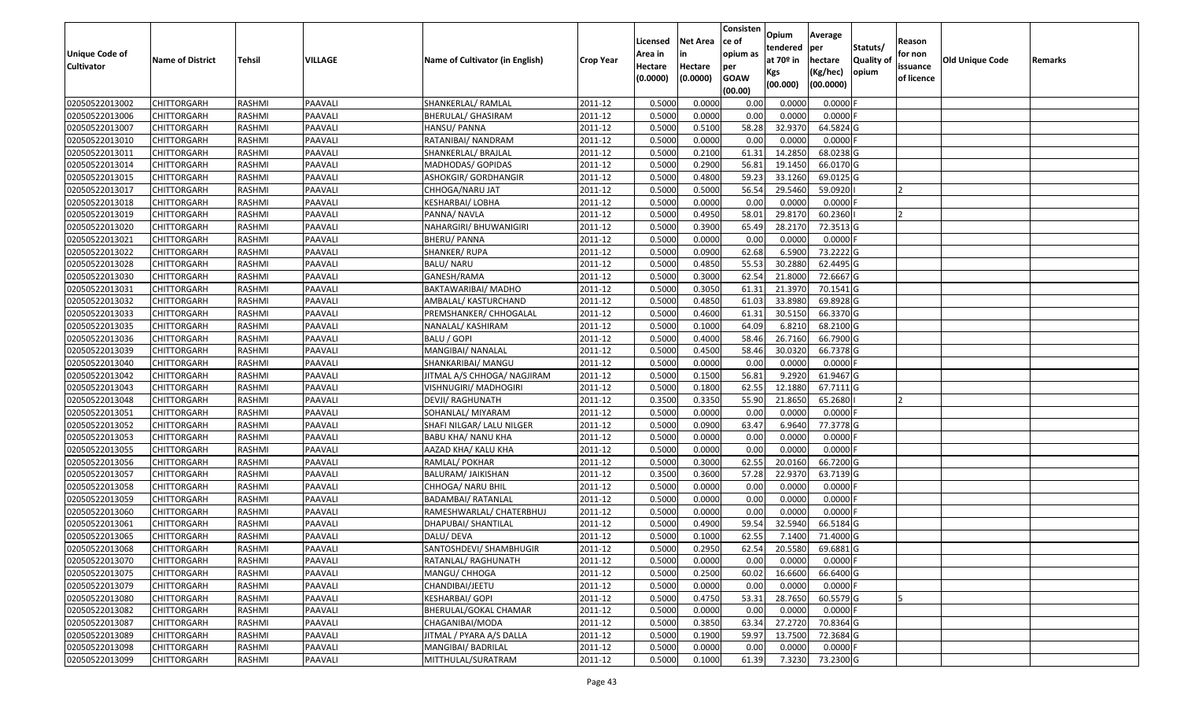| <b>Unique Code of</b>            |                            |                         |                    |                                         |                    | Licensed<br>Area in | <b>Net Area</b><br>in | Consisten<br>ce of<br>opium as | Opium<br>tendered | Average<br>per          | Statuts/         | Reason<br>for non |                 |         |
|----------------------------------|----------------------------|-------------------------|--------------------|-----------------------------------------|--------------------|---------------------|-----------------------|--------------------------------|-------------------|-------------------------|------------------|-------------------|-----------------|---------|
| <b>Cultivator</b>                | <b>Name of District</b>    | <b>Tehsil</b>           | VILLAGE            | Name of Cultivator (in English)         | <b>Crop Year</b>   | Hectare             | Hectare               | per                            | at $70°$ in       | hectare                 | <b>Quality o</b> | issuance          | Old Unique Code | Remarks |
|                                  |                            |                         |                    |                                         |                    | (0.0000)            | (0.0000)              | <b>GOAW</b>                    | Kgs<br>(00.000)   | (Kg/hec)<br>(00.0000)   | opium            | of licence        |                 |         |
|                                  |                            |                         |                    |                                         |                    |                     |                       | (00.00)                        |                   |                         |                  |                   |                 |         |
| 02050522013002                   | CHITTORGARH                | RASHMI                  | PAAVALI            | SHANKERLAL/ RAMLAL                      | 2011-12            | 0.5000              | 0.0000                | 0.00                           | 0.0000            | 0.0000F                 |                  |                   |                 |         |
| 02050522013006                   | CHITTORGARH                | RASHMI                  | PAAVALI            | BHERULAL/ GHASIRAM                      | 2011-12            | 0.5000              | 0.0000                | 0.00                           | 0.0000            | $0.0000$ F              |                  |                   |                 |         |
| 02050522013007                   | CHITTORGARH                | RASHMI                  | PAAVALI            | HANSU/ PANNA                            | 2011-12            | 0.5000              | 0.5100                | 58.28                          | 32.9370           | 64.5824 G               |                  |                   |                 |         |
| 02050522013010                   | <b>CHITTORGARH</b>         | RASHMI                  | PAAVALI            | RATANIBAI/ NANDRAM                      | 2011-12<br>2011-12 | 0.5000<br>0.5000    | 0.0000<br>0.2100      | 0.00                           | 0.0000<br>14.285  | $0.0000$ F              |                  |                   |                 |         |
| 02050522013011<br>02050522013014 | CHITTORGARH                | RASHMI                  | PAAVALI<br>PAAVALI | SHANKERLAL/ BRAJLAL                     |                    | 0.5000              | 0.2900                | 61.3<br>56.8                   | 19.1450           | 68.0238 G<br>66.0170 G  |                  |                   |                 |         |
|                                  | CHITTORGARH                | RASHMI                  |                    | MADHODAS/ GOPIDAS                       | 2011-12            | 0.5000              | 0.4800                | 59.23                          | 33.1260           | 69.0125 G               |                  |                   |                 |         |
| 02050522013015                   | CHITTORGARH<br>CHITTORGARH | RASHMI<br><b>RASHMI</b> | PAAVALI<br>PAAVALI | ASHOKGIR/ GORDHANGIR<br>CHHOGA/NARU JAT | 2011-12<br>2011-12 | 0.5000              | 0.5000                | 56.54                          | 29.5460           | 59.0920                 |                  |                   |                 |         |
| 02050522013017                   |                            |                         |                    |                                         | 2011-12            | 0.5000              | 0.0000                |                                |                   |                         |                  |                   |                 |         |
| 02050522013018<br>02050522013019 | CHITTORGARH                | RASHMI                  | PAAVALI            | KESHARBAI/ LOBHA                        |                    |                     |                       | 0.00                           | 0.0000            | 0.0000                  |                  |                   |                 |         |
|                                  | CHITTORGARH                | RASHMI                  | PAAVALI            | PANNA/ NAVLA                            | 2011-12            | 0.5000              | 0.4950                | 58.01                          | 29.8170           | 60.2360                 |                  |                   |                 |         |
| 02050522013020                   | CHITTORGARH                | RASHMI<br>RASHMI        | PAAVALI<br>PAAVALI | NAHARGIRI/ BHUWANIGIRI                  | 2011-12<br>2011-12 | 0.5000<br>0.5000    | 0.3900<br>0.0000      | 65.49<br>0.00                  | 28.2170<br>0.0000 | 72.3513 G<br>$0.0000$ F |                  |                   |                 |         |
| 02050522013021                   | <b>CHITTORGARH</b>         |                         |                    | <b>BHERU/ PANNA</b>                     |                    |                     |                       |                                |                   |                         |                  |                   |                 |         |
| 02050522013022                   | <b>CHITTORGARH</b>         | RASHMI                  | PAAVALI            | <b>SHANKER/ RUPA</b>                    | 2011-12            | 0.5000              | 0.0900                | 62.68                          | 6.5900            | 73.2222 G               |                  |                   |                 |         |
| 02050522013028                   | <b>CHITTORGARH</b>         | RASHMI                  | PAAVALI            | <b>BALU/ NARU</b>                       | 2011-12            | 0.5000              | 0.4850                | 55.53                          | 30.2880           | 62.4495 G               |                  |                   |                 |         |
| 02050522013030                   | CHITTORGARH                | RASHMI                  | PAAVALI            | GANESH/RAMA                             | 2011-12            | 0.5000              | 0.3000                | 62.54                          | 21.8000           | 72.6667 G               |                  |                   |                 |         |
| 02050522013031                   | CHITTORGARH                | RASHMI                  | PAAVALI            | BAKTAWARIBAI/ MADHO                     | 2011-12            | 0.5000              | 0.3050                | 61.31                          | 21.3970           | 70.1541 G               |                  |                   |                 |         |
| 02050522013032                   | CHITTORGARH                | RASHMI                  | PAAVALI            | AMBALAL/ KASTURCHAND                    | 2011-12            | 0.5000              | 0.4850                | 61.03                          | 33.8980           | 69.8928 G               |                  |                   |                 |         |
| 02050522013033                   | CHITTORGARH                | RASHMI                  | PAAVALI            | PREMSHANKER/ CHHOGALAL                  | 2011-12            | 0.5000              | 0.4600                | 61.31                          | 30.5150           | 66.3370 G               |                  |                   |                 |         |
| 02050522013035                   | CHITTORGARH                | RASHMI                  | PAAVALI            | NANALAL/ KASHIRAM                       | 2011-12            | 0.5000              | 0.1000                | 64.09                          | 6.8210            | 68.2100 G               |                  |                   |                 |         |
| 02050522013036                   | CHITTORGARH                | RASHMI                  | PAAVALI            | BALU / GOPI                             | 2011-12            | 0.5000              | 0.4000                | 58.46                          | 26.7160           | 66.7900 G               |                  |                   |                 |         |
| 02050522013039                   | CHITTORGARH                | RASHMI                  | PAAVALI            | MANGIBAI/ NANALAL                       | 2011-12            | 0.5000              | 0.4500                | 58.46                          | 30.0320           | 66.7378 G               |                  |                   |                 |         |
| 02050522013040                   | CHITTORGARH                | RASHMI                  | PAAVALI            | SHANKARIBAI/ MANGU                      | 2011-12            | 0.5000              | 0.0000                | 0.00                           | 0.000             | 0.0000                  |                  |                   |                 |         |
| 02050522013042                   | CHITTORGARH                | RASHMI                  | PAAVALI            | IITMAL A/S CHHOGA/ NAGJIRAM             | 2011-12            | 0.5000              | 0.1500                | 56.81                          | 9.2920            | 61.9467 G               |                  |                   |                 |         |
| 02050522013043                   | CHITTORGARH                | RASHMI                  | PAAVALI            | VISHNUGIRI/ MADHOGIRI                   | 2011-12            | 0.5000              | 0.1800                | 62.55                          | 12.1880           | 67.7111 G               |                  |                   |                 |         |
| 02050522013048                   | <b>CHITTORGARH</b>         | RASHMI                  | PAAVALI            | DEVJI/ RAGHUNATH                        | 2011-12            | 0.3500              | 0.3350                | 55.90                          | 21.8650           | 65.2680                 |                  |                   |                 |         |
| 02050522013051                   | CHITTORGARH                | RASHMI                  | PAAVALI            | SOHANLAL/ MIYARAM                       | 2011-12            | 0.5000              | 0.0000                | 0.00                           | 0.0000            | $0.0000$ F              |                  |                   |                 |         |
| 02050522013052                   | CHITTORGARH                | RASHMI                  | PAAVALI            | SHAFI NILGAR/ LALU NILGER               | 2011-12            | 0.5000              | 0.0900                | 63.47                          | 6.9640            | 77.3778 G               |                  |                   |                 |         |
| 02050522013053                   | CHITTORGARH                | RASHMI                  | PAAVALI            | BABU KHA/ NANU KHA                      | 2011-12            | 0.5000              | 0.0000                | 0.00                           | 0.0000            | 0.0000F                 |                  |                   |                 |         |
| 02050522013055                   | CHITTORGARH                | RASHMI                  | PAAVALI            | AAZAD KHA/ KALU KHA                     | 2011-12            | 0.5000              | 0.0000                | 0.00                           | 0.0000            | $0.0000$ F              |                  |                   |                 |         |
| 02050522013056                   | CHITTORGARH                | RASHMI                  | PAAVALI            | RAMLAL/ POKHAR                          | 2011-12            | 0.5000              | 0.3000                | 62.55                          | 20.0160           | 66.7200 G               |                  |                   |                 |         |
| 02050522013057                   | CHITTORGARH                | RASHMI                  | PAAVALI            | BALURAM/ JAIKISHAN                      | 2011-12            | 0.3500              | 0.3600                | 57.28                          | 22.9370           | 63.7139 G               |                  |                   |                 |         |
| 02050522013058                   | CHITTORGARH                | RASHMI                  | PAAVALI            | CHHOGA/ NARU BHIL                       | 2011-12            | 0.5000              | 0.0000                | 0.00                           | 0.0000            | 0.0000                  |                  |                   |                 |         |
| 02050522013059                   | CHITTORGARH                | <b>RASHMI</b>           | PAAVALI            | BADAMBAI/ RATANLAL                      | 2011-12            | 0.5000              | 0.0000                | 0.00                           | 0.0000            | 0.0000F                 |                  |                   |                 |         |
| 02050522013060                   | CHITTORGARH                | RASHMI                  | PAAVALI            | RAMESHWARLAL/ CHATERBHUJ                | 2011-12            | 0.5000              | 0.0000                | 0.00                           | 0.0000            | 0.0000                  |                  |                   |                 |         |
| 02050522013061                   | CHITTORGARH                | RASHMI                  | PAAVALI            | DHAPUBAI/ SHANTILAL                     | 2011-12            | 0.500               | 0.4900                | 59.54                          | 32.5940           | 66.5184 G               |                  |                   |                 |         |
| 02050522013065                   | CHITTORGARH                | RASHMI                  | PAAVALI            | DALU/ DEVA                              | 2011-12            | 0.5000              | 0.1000                | 62.55                          | 7.1400            | 71.4000 G               |                  |                   |                 |         |
| 02050522013068                   | <b>CHITTORGARH</b>         | RASHMI                  | PAAVALI            | SANTOSHDEVI/ SHAMBHUGIR                 | 2011-12            | 0.5000              | 0.2950                | 62.54                          | 20.5580           | 69.6881 G               |                  |                   |                 |         |
| 02050522013070                   | <b>CHITTORGARH</b>         | RASHMI                  | PAAVALI            | RATANLAL/RAGHUNATH                      | 2011-12            | 0.5000              | 0.0000                | 0.00                           | 0.0000            | $0.0000$ F              |                  |                   |                 |         |
| 02050522013075                   | <b>CHITTORGARH</b>         | RASHMI                  | PAAVALI            | MANGU/ CHHOGA                           | 2011-12            | 0.5000              | 0.2500                | 60.02                          | 16.6600           | 66.6400 G               |                  |                   |                 |         |
| 02050522013079                   | <b>CHITTORGARH</b>         | RASHMI                  | PAAVALI            | CHANDIBAI/JEETU                         | 2011-12            | 0.5000              | 0.0000                | 0.00                           | 0.0000            | $0.0000$ F              |                  |                   |                 |         |
| 02050522013080                   | CHITTORGARH                | RASHMI                  | PAAVALI            | <b>KESHARBAI/ GOPI</b>                  | 2011-12            | 0.5000              | 0.4750                | 53.31                          | 28.7650           | 60.5579 G               |                  |                   |                 |         |
| 02050522013082                   | <b>CHITTORGARH</b>         | RASHMI                  | PAAVALI            | BHERULAL/GOKAL CHAMAR                   | 2011-12            | 0.5000              | 0.0000                | 0.00                           | 0.0000            | $0.0000$ F              |                  |                   |                 |         |
| 02050522013087                   | <b>CHITTORGARH</b>         | RASHMI                  | PAAVALI            | CHAGANIBAI/MODA                         | 2011-12            | 0.5000              | 0.3850                | 63.34                          | 27.2720           | 70.8364 G               |                  |                   |                 |         |
| 02050522013089                   | CHITTORGARH                | RASHMI                  | PAAVALI            | JITMAL / PYARA A/S DALLA                | 2011-12            | 0.5000              | 0.1900                | 59.97                          | 13.7500           | 72.3684 G               |                  |                   |                 |         |
| 02050522013098                   | CHITTORGARH                | RASHMI                  | PAAVALI            | MANGIBAI/ BADRILAL                      | 2011-12            | 0.5000              | 0.0000                | 0.00                           | 0.0000            | $0.0000$ F              |                  |                   |                 |         |
| 02050522013099                   | <b>CHITTORGARH</b>         | RASHMI                  | PAAVALI            | MITTHULAL/SURATRAM                      | 2011-12            | 0.5000              | 0.1000                | 61.39                          | 7.3230            | 73.2300 G               |                  |                   |                 |         |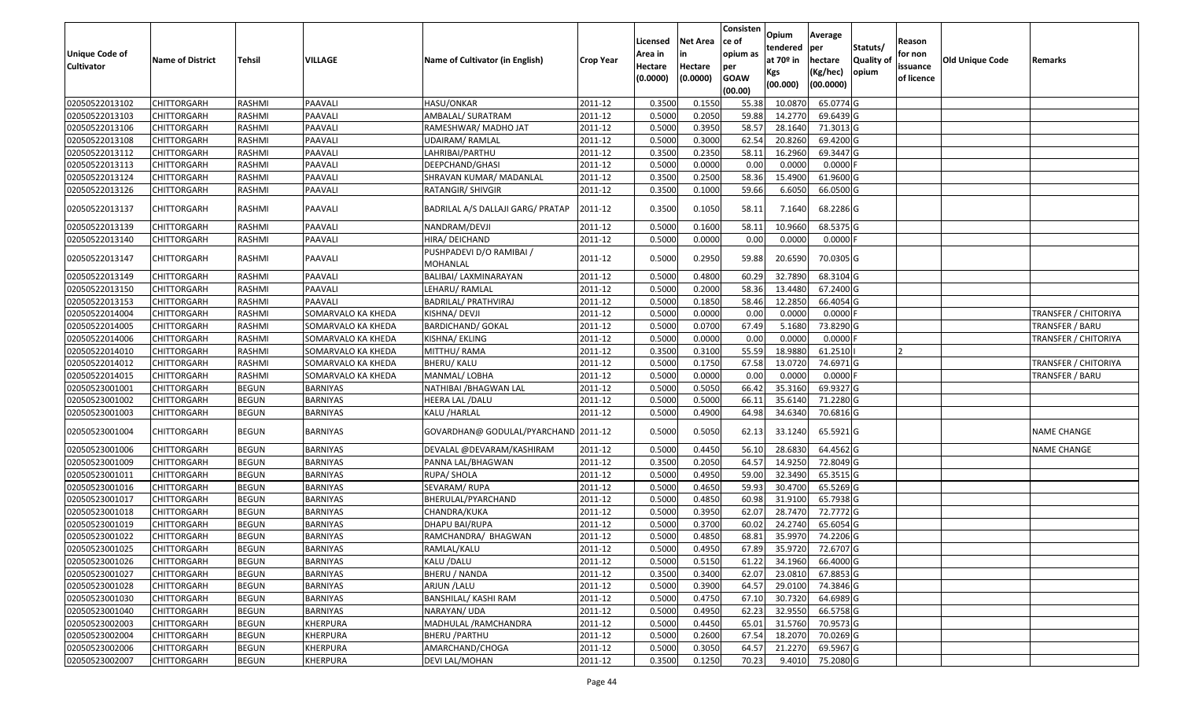|                       |                         |               |                    |                                      |                  |          |                 | Consisten        | Opium       | Average    |                  |            |                        |                             |
|-----------------------|-------------------------|---------------|--------------------|--------------------------------------|------------------|----------|-----------------|------------------|-------------|------------|------------------|------------|------------------------|-----------------------------|
|                       |                         |               |                    |                                      |                  | Licensed | <b>Net Area</b> | ce of            | tendered    | per        | Statuts/         | Reason     |                        |                             |
| <b>Unique Code of</b> | <b>Name of District</b> | <b>Tehsil</b> | VILLAGE            | Name of Cultivator (in English)      | <b>Crop Year</b> | Area in  |                 | opium as         | at $70°$ in | hectare    | <b>Quality o</b> | for non    | <b>Old Unique Code</b> | Remarks                     |
| <b>Cultivator</b>     |                         |               |                    |                                      |                  | Hectare  | Hectare         | per              | Kgs         | (Kg/hec)   | opium            | issuance   |                        |                             |
|                       |                         |               |                    |                                      |                  | (0.0000) | (0.0000)        | <b>GOAW</b>      | (00.000)    | (00.0000)  |                  | of licence |                        |                             |
| 02050522013102        | CHITTORGARH             | RASHMI        | PAAVALI            | HASU/ONKAR                           | 2011-12          | 0.3500   | 0.1550          | (00.00)<br>55.38 | 10.087      | 65.0774 G  |                  |            |                        |                             |
| 02050522013103        | CHITTORGARH             | RASHMI        | PAAVALI            | AMBALAL/ SURATRAM                    | 2011-12          | 0.5000   | 0.2050          | 59.88            | 14.2770     | 69.6439 G  |                  |            |                        |                             |
| 02050522013106        | CHITTORGARH             | RASHMI        | PAAVALI            | RAMESHWAR/ MADHO JAT                 | 2011-12          | 0.5000   | 0.3950          | 58.57            | 28.1640     | 71.3013 G  |                  |            |                        |                             |
| 02050522013108        | <b>CHITTORGARH</b>      | RASHMI        | PAAVALI            | UDAIRAM/ RAMLAL                      | 2011-12          | 0.5000   | 0.3000          | 62.54            | 20.8260     | 69.4200 G  |                  |            |                        |                             |
| 02050522013112        | CHITTORGARH             | RASHMI        | PAAVALI            | LAHRIBAI/PARTHU                      | 2011-12          | 0.3500   | 0.2350          | 58.1             | 16.2960     | 69.3447 G  |                  |            |                        |                             |
| 02050522013113        | CHITTORGARH             | RASHMI        | PAAVALI            | DEEPCHAND/GHASI                      | 2011-12          | 0.5000   | 0.0000          | 0.00             | 0.0000      | $0.0000$ F |                  |            |                        |                             |
| 02050522013124        | CHITTORGARH             | RASHMI        | PAAVALI            | SHRAVAN KUMAR/ MADANLAL              | 2011-12          | 0.3500   | 0.2500          | 58.36            | 15.4900     | 61.9600 G  |                  |            |                        |                             |
| 02050522013126        | CHITTORGARH             | <b>RASHMI</b> | PAAVALI            | RATANGIR/ SHIVGIR                    | 2011-12          | 0.3500   | 0.1000          | 59.66            | 6.6050      | 66.0500 G  |                  |            |                        |                             |
|                       |                         |               |                    |                                      |                  |          |                 |                  |             |            |                  |            |                        |                             |
| 02050522013137        | CHITTORGARH             | RASHMI        | PAAVALI            | BADRILAL A/S DALLAJI GARG/ PRATAP    | 2011-12          | 0.3500   | 0.1050          | 58.11            | 7.1640      | 68.2286 G  |                  |            |                        |                             |
| 02050522013139        | CHITTORGARH             | RASHMI        | PAAVALI            | NANDRAM/DEVJI                        | 2011-12          | 0.5000   | 0.1600          | 58.1             | 10.9660     | 68.5375 G  |                  |            |                        |                             |
| 02050522013140        | CHITTORGARH             | RASHMI        | PAAVALI            | HIRA/ DEICHAND                       | 2011-12          | 0.5000   | 0.0000          | 0.00             | 0.0000      | 0.0000F    |                  |            |                        |                             |
| 02050522013147        | CHITTORGARH             | RASHMI        | PAAVALI            | PUSHPADEVI D/O RAMIBAI /             | 2011-12          | 0.5000   | 0.2950          | 59.88            | 20.6590     | 70.0305 G  |                  |            |                        |                             |
| 02050522013149        | CHITTORGARH             | RASHMI        | PAAVALI            | MOHANLAL<br>BALIBAI/ LAXMINARAYAN    | 2011-12          | 0.5000   | 0.4800          | 60.29            | 32.7890     | 68.3104 G  |                  |            |                        |                             |
| 02050522013150        | CHITTORGARH             | RASHMI        | PAAVALI            | LEHARU/RAMLAL                        | 2011-12          | 0.5000   | 0.2000          | 58.36            | 13.4480     | 67.2400 G  |                  |            |                        |                             |
| 02050522013153        | CHITTORGARH             | RASHMI        | PAAVALI            | <b>BADRILAL/ PRATHVIRAJ</b>          | 2011-12          | 0.5000   | 0.1850          | 58.46            | 12.2850     | 66.4054 G  |                  |            |                        |                             |
| 02050522014004        | CHITTORGARH             | RASHMI        | SOMARVALO KA KHEDA | KISHNA/ DEVJI                        | 2011-12          | 0.5000   | 0.0000          | 0.00             | 0.0000      | 0.0000F    |                  |            |                        | <b>TRANSFER / CHITORIYA</b> |
| 02050522014005        | CHITTORGARH             | RASHMI        | SOMARVALO KA KHEDA | <b>BARDICHAND/ GOKAL</b>             | 2011-12          | 0.5000   | 0.0700          | 67.49            | 5.1680      | 73.8290 G  |                  |            |                        | <b>TRANSFER / BARU</b>      |
| 02050522014006        | CHITTORGARH             | RASHMI        | SOMARVALO KA KHEDA | KISHNA/ EKLING                       | 2011-12          | 0.5000   | 0.0000          | 0.00             | 0.0000      | 0.0000F    |                  |            |                        | TRANSFER / CHITORIYA        |
| 02050522014010        | <b>CHITTORGARH</b>      | RASHMI        | SOMARVALO KA KHEDA | MITTHU/RAMA                          | 2011-12          | 0.3500   | 0.3100          | 55.59            | 18.9880     | 61.2510    |                  |            |                        |                             |
| 02050522014012        | CHITTORGARH             | RASHMI        | SOMARVALO KA KHEDA | BHERU/ KALU                          | 2011-12          | 0.5000   | 0.1750          | 67.58            | 13.0720     | 74.6971G   |                  |            |                        | <b>TRANSFER / CHITORIYA</b> |
| 02050522014015        | CHITTORGARH             | RASHMI        | SOMARVALO KA KHEDA | MANMAL/LOBHA                         | 2011-12          | 0.5000   | 0.0000          | 0.00             | 0.0000      | $0.0000$ F |                  |            |                        | TRANSFER / BARU             |
| 02050523001001        | CHITTORGARH             | <b>BEGUN</b>  | BARNIYAS           | NATHIBAI / BHAGWAN LAL               | 2011-12          | 0.5000   | 0.5050          | 66.42            | 35.3160     | 69.9327 G  |                  |            |                        |                             |
| 02050523001002        | CHITTORGARH             | <b>BEGUN</b>  | <b>BARNIYAS</b>    | HEERA LAL /DALU                      | 2011-12          | 0.5000   | 0.5000          | 66.1             | 35.6140     | 71.2280 G  |                  |            |                        |                             |
| 02050523001003        | CHITTORGARH             | <b>BEGUN</b>  | BARNIYAS           | KALU / HARLAL                        | 2011-12          | 0.5000   | 0.4900          | 64.98            | 34.6340     | 70.6816 G  |                  |            |                        |                             |
|                       |                         |               |                    |                                      |                  |          |                 |                  |             |            |                  |            |                        |                             |
| 02050523001004        | CHITTORGARH             | <b>BEGUN</b>  | BARNIYAS           | GOVARDHAN@ GODULAL/PYARCHAND 2011-12 |                  | 0.5000   | 0.5050          | 62.13            | 33.1240     | 65.5921 G  |                  |            |                        | NAME CHANGE                 |
| 02050523001006        | <b>CHITTORGARH</b>      | <b>BEGUN</b>  | <b>BARNIYAS</b>    | DEVALAL @DEVARAM/KASHIRAM            | 2011-12          | 0.5000   | 0.4450          | 56.10            | 28.683      | 64.4562 G  |                  |            |                        | <b>NAME CHANGE</b>          |
| 02050523001009        | <b>CHITTORGARH</b>      | <b>BEGUN</b>  | <b>BARNIYAS</b>    | PANNA LAL/BHAGWAN                    | 2011-12          | 0.3500   | 0.2050          | 64.57            | 14.9250     | 72.8049 G  |                  |            |                        |                             |
| 02050523001011        | CHITTORGARH             | <b>BEGUN</b>  | BARNIYAS           | RUPA/ SHOLA                          | 2011-12          | 0.5000   | 0.4950          | 59.00            | 32.3490     | 65.3515 G  |                  |            |                        |                             |
| 02050523001016        | CHITTORGARH             | <b>BEGUN</b>  | <b>BARNIYAS</b>    | SEVARAM/ RUPA                        | 2011-12          | 0.5000   | 0.4650          | 59.93            | 30.4700     | 65.5269 G  |                  |            |                        |                             |
| 02050523001017        | CHITTORGARH             | <b>BEGUN</b>  | BARNIYAS           | BHERULAL/PYARCHAND                   | 2011-12          | 0.5000   | 0.4850          | 60.98            | 31.9100     | 65.7938 G  |                  |            |                        |                             |
| 02050523001018        | CHITTORGARH             | <b>BEGUN</b>  | BARNIYAS           | CHANDRA/KUKA                         | 2011-12          | 0.5000   | 0.3950          | 62.07            | 28.7470     | 72.7772 G  |                  |            |                        |                             |
| 02050523001019        | CHITTORGARH             | <b>BEGUN</b>  | BARNIYAS           | DHAPU BAI/RUPA                       | 2011-12          | 0.500    | 0.3700          | 60.02            | 24.2740     | 65.6054 G  |                  |            |                        |                             |
| 02050523001022        | CHITTORGARH             | <b>BEGUN</b>  | BARNIYAS           | RAMCHANDRA/ BHAGWAN                  | 2011-12          | 0.5000   | 0.4850          | 68.81            | 35.9970     | 74.2206 G  |                  |            |                        |                             |
| 02050523001025        | <b>CHITTORGARH</b>      | <b>BEGUN</b>  | <b>BARNIYAS</b>    | RAMLAL/KALU                          | 2011-12          | 0.5000   | 0.4950          | 67.89            | 35.9720     | 72.6707 G  |                  |            |                        |                             |
| 02050523001026        | <b>CHITTORGARH</b>      | <b>BEGUN</b>  | BARNIYAS           | KALU /DALU                           | 2011-12          | 0.5000   | 0.5150          | 61.22            | 34.1960     | 66.4000 G  |                  |            |                        |                             |
| 02050523001027        | <b>CHITTORGARH</b>      | <b>BEGUN</b>  | BARNIYAS           | BHERU / NANDA                        | 2011-12          | 0.3500   | 0.3400          | 62.07            | 23.0810     | 67.8853 G  |                  |            |                        |                             |
| 02050523001028        | <b>CHITTORGARH</b>      | <b>BEGUN</b>  | BARNIYAS           | ARJUN / LALU                         | 2011-12          | 0.5000   | 0.3900          | 64.57            | 29.0100     | 74.3846 G  |                  |            |                        |                             |
| 02050523001030        | <b>CHITTORGARH</b>      | <b>BEGUN</b>  | BARNIYAS           | BANSHILAL/ KASHI RAM                 | 2011-12          | 0.5000   | 0.4750          | 67.10            | 30.7320     | 64.6989 G  |                  |            |                        |                             |
| 02050523001040        | <b>CHITTORGARH</b>      | <b>BEGUN</b>  | <b>BARNIYAS</b>    | NARAYAN/ UDA                         | 2011-12          | 0.5000   | 0.4950          | 62.23            | 32.9550     | 66.5758 G  |                  |            |                        |                             |
| 02050523002003        | <b>CHITTORGARH</b>      | <b>BEGUN</b>  | KHERPURA           | MADHULAL / RAMCHANDRA                | 2011-12          | 0.5000   | 0.4450          | 65.01            | 31.5760     | 70.9573 G  |                  |            |                        |                             |
| 02050523002004        | <b>CHITTORGARH</b>      | <b>BEGUN</b>  | KHERPURA           | <b>BHERU / PARTHU</b>                | 2011-12          | 0.5000   | 0.2600          | 67.54            | 18.2070     | 70.0269 G  |                  |            |                        |                             |
| 02050523002006        | <b>CHITTORGARH</b>      | <b>BEGUN</b>  | KHERPURA           | AMARCHAND/CHOGA                      | 2011-12          | 0.5000   | 0.3050          | 64.57            | 21.2270     | 69.5967 G  |                  |            |                        |                             |
| 02050523002007        | <b>CHITTORGARH</b>      | <b>BEGUN</b>  | KHERPURA           | <b>DEVI LAL/MOHAN</b>                | 2011-12          | 0.3500   | 0.1250          | 70.23            | 9.4010      | 75.2080 G  |                  |            |                        |                             |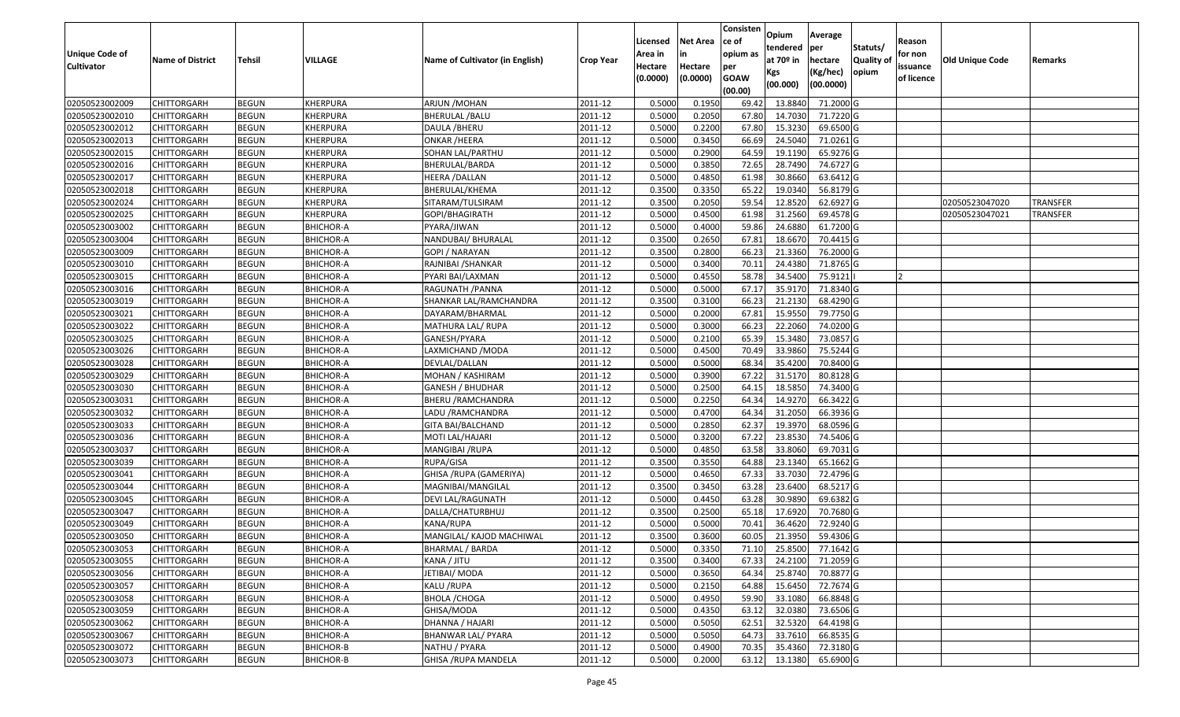|                       |                         |               |                  |                                 |                  |          |                 | Consisten        | Opium       | Average                 |                  |            |                 |                 |
|-----------------------|-------------------------|---------------|------------------|---------------------------------|------------------|----------|-----------------|------------------|-------------|-------------------------|------------------|------------|-----------------|-----------------|
|                       |                         |               |                  |                                 |                  | Licensed | <b>Net Area</b> | ce of            | tendered    | per                     | Statuts/         | Reason     |                 |                 |
| <b>Unique Code of</b> | <b>Name of District</b> | <b>Tehsil</b> | VILLAGE          | Name of Cultivator (in English) | <b>Crop Year</b> | Area in  |                 | opium as         | at $70°$ in | hectare                 | <b>Quality o</b> | for non    | Old Unique Code | Remarks         |
| <b>Cultivator</b>     |                         |               |                  |                                 |                  | Hectare  | Hectare         | per              | Kgs         | (Kg/hec)                | opium            | issuance   |                 |                 |
|                       |                         |               |                  |                                 |                  | (0.0000) | (0.0000)        | <b>GOAW</b>      | (00.000)    | (00.0000)               |                  | of licence |                 |                 |
| 02050523002009        | CHITTORGARH             | <b>BEGUN</b>  | KHERPURA         | ARJUN / MOHAN                   | 2011-12          | 0.5000   | 0.1950          | (00.00)<br>69.42 | 13.884      | 71.2000 G               |                  |            |                 |                 |
| 02050523002010        | CHITTORGARH             | <b>BEGUN</b>  | KHERPURA         | BHERULAL /BALU                  | 2011-12          | 0.5000   | 0.2050          | 67.80            | 14.7030     | 71.7220 G               |                  |            |                 |                 |
| 02050523002012        | CHITTORGARH             | <b>BEGUN</b>  | KHERPURA         | DAULA /BHERU                    | 2011-12          | 0.5000   | 0.2200          | 67.80            | 15.3230     | 69.6500 G               |                  |            |                 |                 |
| 02050523002013        | CHITTORGARH             | <b>BEGUN</b>  | KHERPURA         | ONKAR / HEERA                   | 2011-12          | 0.5000   | 0.3450          | 66.69            | 24.5040     | 71.0261G                |                  |            |                 |                 |
| 02050523002015        | CHITTORGARH             | <b>BEGUN</b>  | KHERPURA         | SOHAN LAL/PARTHU                | 2011-12          | 0.5000   | 0.2900          | 64.59            | 19.1190     | 65.9276 G               |                  |            |                 |                 |
| 02050523002016        | CHITTORGARH             | <b>BEGUN</b>  | KHERPURA         | BHERULAL/BARDA                  | 2011-12          | 0.5000   | 0.3850          | 72.65            | 28.7490     | 74.6727 G               |                  |            |                 |                 |
| 02050523002017        | CHITTORGARH             | <b>BEGUN</b>  | KHERPURA         | HEERA /DALLAN                   | 2011-12          | 0.5000   | 0.4850          | 61.98            | 30.8660     | 63.6412G                |                  |            |                 |                 |
| 02050523002018        | CHITTORGARH             | <b>BEGUN</b>  | KHERPURA         | BHERULAL/KHEMA                  | 2011-12          | 0.3500   | 0.3350          | 65.22            | 19.034      | 56.8179 G               |                  |            |                 |                 |
| 02050523002024        | <b>CHITTORGARH</b>      | <b>BEGUN</b>  | KHERPURA         | SITARAM/TULSIRAM                | 2011-12          | 0.3500   | 0.2050          | 59.54            | 12.8520     | 62.6927 G               |                  |            | 02050523047020  | <b>TRANSFER</b> |
| 02050523002025        | CHITTORGARH             | <b>BEGUN</b>  | KHERPURA         | GOPI/BHAGIRATH                  | 2011-12          | 0.5000   | 0.4500          | 61.98            | 31.2560     | 69.4578 G               |                  |            | 02050523047021  | <b>TRANSFER</b> |
| 02050523003002        | CHITTORGARH             | <b>BEGUN</b>  | <b>BHICHOR-A</b> | PYARA/JIWAN                     | 2011-12          | 0.5000   | 0.4000          | 59.86            | 24.6880     | 61.7200 G               |                  |            |                 |                 |
| 02050523003004        | CHITTORGARH             | <b>BEGUN</b>  | <b>BHICHOR-A</b> | NANDUBAI/ BHURALAL              | 2011-12          | 0.3500   | 0.2650          | 67.8             | 18.6670     | 70.4415 G               |                  |            |                 |                 |
| 02050523003009        | <b>CHITTORGARH</b>      | <b>BEGUN</b>  | <b>BHICHOR-A</b> | GOPI / NARAYAN                  | 2011-12          | 0.3500   | 0.2800          | 66.23            | 21.3360     | 76.2000 G               |                  |            |                 |                 |
| 02050523003010        | <b>CHITTORGARH</b>      | <b>BEGUN</b>  | <b>BHICHOR-A</b> | RAJNIBAI / SHANKAR              | 2011-12          | 0.5000   | 0.3400          | 70.1             | 24.4380     | 71.8765 G               |                  |            |                 |                 |
| 02050523003015        | CHITTORGARH             | <b>BEGUN</b>  | <b>BHICHOR-A</b> | PYARI BAI/LAXMAN                | 2011-12          | 0.5000   | 0.4550          | 58.78            | 34.5400     | 75.9121                 |                  |            |                 |                 |
| 02050523003016        | <b>CHITTORGARH</b>      | <b>BEGUN</b>  | <b>BHICHOR-A</b> | RAGUNATH /PANNA                 | 2011-12          | 0.5000   | 0.5000          | 67.17            | 35.9170     | 71.8340 G               |                  |            |                 |                 |
| 02050523003019        | <b>CHITTORGARH</b>      | <b>BEGUN</b>  | <b>BHICHOR-A</b> | SHANKAR LAL/RAMCHANDRA          | 2011-12          | 0.3500   | 0.3100          | 66.23            | 21.2130     | 68.4290 G               |                  |            |                 |                 |
| 02050523003021        | CHITTORGARH             | <b>BEGUN</b>  | <b>BHICHOR-A</b> | DAYARAM/BHARMAL                 | 2011-12          | 0.5000   | 0.2000          | 67.8             | 15.9550     | 79.7750 G               |                  |            |                 |                 |
| 02050523003022        | CHITTORGARH             | <b>BEGUN</b>  | <b>BHICHOR-A</b> | MATHURA LAL/RUPA                | 2011-12          | 0.5000   | 0.3000          | 66.23            | 22.2060     | 74.0200G                |                  |            |                 |                 |
| 02050523003025        | CHITTORGARH             | <b>BEGUN</b>  | <b>BHICHOR-A</b> | GANESH/PYARA                    | 2011-12          | 0.5000   | 0.2100          | 65.39            | 15.3480     | 73.0857 G               |                  |            |                 |                 |
| 02050523003026        | CHITTORGARH             | <b>BEGUN</b>  | <b>BHICHOR-A</b> | LAXMICHAND /MODA                | 2011-12          | 0.5000   | 0.4500          | 70.49            | 33.9860     | 75.5244 G               |                  |            |                 |                 |
| 02050523003028        | CHITTORGARH             | <b>BEGUN</b>  | <b>BHICHOR-A</b> | DEVLAL/DALLAN                   | 2011-12          | 0.5000   | 0.5000          | 68.34            | 35.4200     | 70.8400 G               |                  |            |                 |                 |
| 02050523003029        | CHITTORGARH             | <b>BEGUN</b>  | <b>BHICHOR-A</b> | MOHAN / KASHIRAM                | 2011-12          | 0.5000   | 0.3900          | 67.22            | 31.5170     | 80.8128 G               |                  |            |                 |                 |
| 02050523003030        | CHITTORGARH             | <b>BEGUN</b>  | <b>BHICHOR-A</b> | GANESH / BHUDHAR                | 2011-12          | 0.5000   | 0.2500          | 64.15            | 18.585      | 74.3400 G               |                  |            |                 |                 |
| 02050523003031        | CHITTORGARH             | <b>BEGUN</b>  | <b>BHICHOR-A</b> | BHERU /RAMCHANDRA               | 2011-12          | 0.5000   | 0.2250          | 64.34            | 14.9270     | 66.3422 G               |                  |            |                 |                 |
| 02050523003032        | CHITTORGARH             | <b>BEGUN</b>  | <b>BHICHOR-A</b> | LADU / RAMCHANDRA               | 2011-12          | 0.5000   | 0.4700          | 64.34            | 31.2050     | 66.3936 G               |                  |            |                 |                 |
| 02050523003033        | CHITTORGARH             | <b>BEGUN</b>  | <b>BHICHOR-A</b> | GITA BAI/BALCHAND               | 2011-12          | 0.5000   | 0.2850          | 62.37            | 19.397      | 68.0596 G               |                  |            |                 |                 |
| 02050523003036        | CHITTORGARH             | <b>BEGUN</b>  | <b>BHICHOR-A</b> | MOTI LAL/HAJARI                 | 2011-12          | 0.5000   | 0.3200          | 67.22            | 23.8530     | 74.5406 G               |                  |            |                 |                 |
| 02050523003037        | CHITTORGARH             | <b>BEGUN</b>  | <b>BHICHOR-A</b> | MANGIBAI / RUPA                 | 2011-12          | 0.5000   | 0.4850          | 63.58            | 33.8060     | 69.7031 G               |                  |            |                 |                 |
| 02050523003039        | CHITTORGARH             | <b>BEGUN</b>  | <b>BHICHOR-A</b> | RUPA/GISA                       | 2011-12          | 0.3500   | 0.3550          | 64.88            | 23.1340     | 65.1662 G               |                  |            |                 |                 |
| 02050523003041        | CHITTORGARH             | <b>BEGUN</b>  | <b>BHICHOR-A</b> | GHISA / RUPA (GAMERIYA)         | 2011-12          | 0.5000   | 0.4650          | 67.33            | 33.7030     | 72.4796 G               |                  |            |                 |                 |
| 02050523003044        | CHITTORGARH             | <b>BEGUN</b>  | <b>BHICHOR-A</b> | MAGNIBAI/MANGILAL               | 2011-12          | 0.3500   | 0.3450          | 63.28            | 23.6400     | 68.5217 G               |                  |            |                 |                 |
| 02050523003045        | CHITTORGARH             | <b>BEGUN</b>  | <b>BHICHOR-A</b> | DEVI LAL/RAGUNATH               | 2011-12          | 0.5000   | 0.4450          | 63.28            | 30.9890     | 69.6382 G               |                  |            |                 |                 |
| 02050523003047        | CHITTORGARH             | <b>BEGUN</b>  | <b>BHICHOR-A</b> | DALLA/CHATURBHUJ                | 2011-12          | 0.3500   | 0.2500          | 65.18            | 17.6920     | 70.7680 G               |                  |            |                 |                 |
| 02050523003049        | CHITTORGARH             | <b>BEGUN</b>  | <b>BHICHOR-A</b> | KANA/RUPA                       | 2011-12          | 0.5000   | 0.5000          | 70.41            | 36.4620     | 72.9240 G               |                  |            |                 |                 |
| 02050523003050        | CHITTORGARH             | <b>BEGUN</b>  | <b>BHICHOR-A</b> | MANGILAL/ KAJOD MACHIWAL        | 2011-12          | 0.3500   | 0.3600          | 60.05            | 21.3950     | 59.4306 G               |                  |            |                 |                 |
| 02050523003053        | <b>CHITTORGARH</b>      | <b>BEGUN</b>  | BHICHOR-A        | <b>BHARMAL / BARDA</b>          | 2011-12          | 0.5000   | 0.3350          |                  |             | 71.10 25.8500 77.1642 G |                  |            |                 |                 |
| 02050523003055        | <b>CHITTORGARH</b>      | <b>BEGUN</b>  | BHICHOR-A        | KANA / JITU                     | 2011-12          | 0.3500   | 0.3400          | 67.33            | 24.2100     | 71.2059 G               |                  |            |                 |                 |
| 02050523003056        | <b>CHITTORGARH</b>      | <b>BEGUN</b>  | <b>BHICHOR-A</b> | JETIBAI/ MODA                   | 2011-12          | 0.5000   | 0.3650          | 64.34            | 25.8740     | 70.8877 G               |                  |            |                 |                 |
| 02050523003057        | <b>CHITTORGARH</b>      | <b>BEGUN</b>  | <b>BHICHOR-A</b> | KALU /RUPA                      | 2011-12          | 0.5000   | 0.2150          | 64.88            | 15.6450     | 72.7674 G               |                  |            |                 |                 |
| 02050523003058        | <b>CHITTORGARH</b>      | <b>BEGUN</b>  | <b>BHICHOR-A</b> | <b>BHOLA / CHOGA</b>            | 2011-12          | 0.5000   | 0.4950          | 59.90            | 33.1080     | 66.8848 G               |                  |            |                 |                 |
| 02050523003059        | <b>CHITTORGARH</b>      | <b>BEGUN</b>  | <b>BHICHOR-A</b> | GHISA/MODA                      | 2011-12          | 0.5000   | 0.4350          | 63.12            | 32.0380     | 73.6506 G               |                  |            |                 |                 |
| 02050523003062        | <b>CHITTORGARH</b>      | <b>BEGUN</b>  | <b>BHICHOR-A</b> | DHANNA / HAJARI                 | 2011-12          | 0.5000   | 0.5050          | 62.51            | 32.5320     | 64.4198 G               |                  |            |                 |                 |
| 02050523003067        | <b>CHITTORGARH</b>      | <b>BEGUN</b>  | <b>BHICHOR-A</b> | BHANWAR LAL/ PYARA              | 2011-12          | 0.5000   | 0.5050          | 64.73            | 33.7610     | 66.8535 G               |                  |            |                 |                 |
| 02050523003072        | <b>CHITTORGARH</b>      | <b>BEGUN</b>  | BHICHOR-B        | NATHU / PYARA                   | 2011-12          | 0.5000   | 0.4900          | 70.35            | 35.4360     | 72.3180 G               |                  |            |                 |                 |
| 02050523003073        | <b>CHITTORGARH</b>      | <b>BEGUN</b>  | <b>BHICHOR-B</b> | GHISA / RUPA MANDELA            | 2011-12          | 0.5000   | 0.2000          | 63.12            | 13.1380     | 65.6900 G               |                  |            |                 |                 |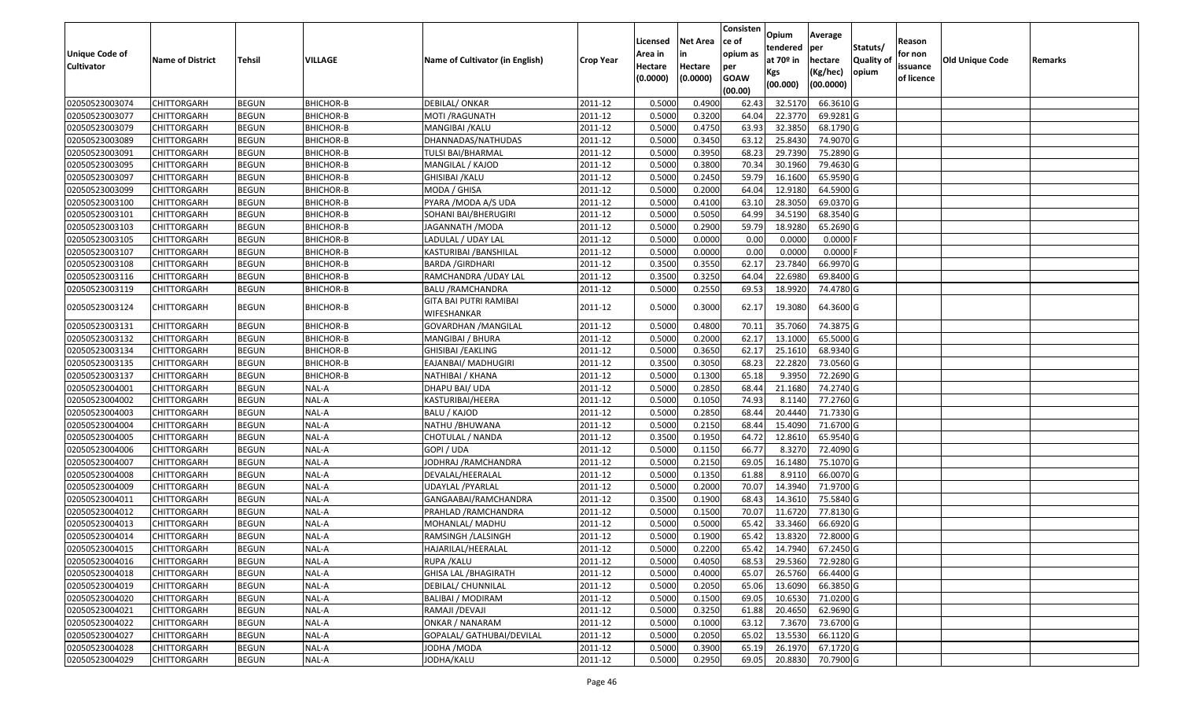|                                  |                         |               |                  |                                       |                  |          |                 | Consisten              | Opium         | Average                |                  |            |                        |         |
|----------------------------------|-------------------------|---------------|------------------|---------------------------------------|------------------|----------|-----------------|------------------------|---------------|------------------------|------------------|------------|------------------------|---------|
|                                  |                         |               |                  |                                       |                  | Licensed | <b>Net Area</b> | ce of                  | tendered      | per                    | Statuts/         | Reason     |                        |         |
| <b>Unique Code of</b>            | <b>Name of District</b> | <b>Tehsil</b> | <b>VILLAGE</b>   | Name of Cultivator (in English)       | <b>Crop Year</b> | Area in  |                 | opium as               | at $70°$ in   | hectare                | <b>Quality o</b> | for non    | <b>Old Unique Code</b> | Remarks |
| <b>Cultivator</b>                |                         |               |                  |                                       |                  | Hectare  | Hectare         | per                    | Kgs           | (Kg/hec)               | opium            | issuance   |                        |         |
|                                  |                         |               |                  |                                       |                  | (0.0000) | (0.0000)        | <b>GOAW</b><br>(00.00) | (00.000)      | (00.0000)              |                  | of licence |                        |         |
| 02050523003074                   | CHITTORGARH             | <b>BEGUN</b>  | BHICHOR-B        | DEBILAL/ ONKAR                        | 2011-12          | 0.5000   | 0.4900          | 62.43                  | 32.5170       | 66.3610 G              |                  |            |                        |         |
| 02050523003077                   | CHITTORGARH             | <b>BEGUN</b>  | <b>BHICHOR-B</b> | MOTI /RAGUNATH                        | 2011-12          | 0.5000   | 0.3200          | 64.04                  | 22.3770       | 69.9281G               |                  |            |                        |         |
| 02050523003079                   | CHITTORGARH             | <b>BEGUN</b>  | <b>BHICHOR-B</b> | MANGIBAI /KALU                        | 2011-12          | 0.5000   | 0.4750          | 63.93                  | 32.3850       | 68.1790 G              |                  |            |                        |         |
| 02050523003089                   | <b>CHITTORGARH</b>      | <b>BEGUN</b>  | <b>BHICHOR-B</b> | DHANNADAS/NATHUDAS                    | 2011-12          | 0.5000   | 0.3450          | 63.12                  | 25.8430       | 74.9070 G              |                  |            |                        |         |
| 02050523003091                   | CHITTORGARH             | <b>BEGUN</b>  | BHICHOR-B        | TULSI BAI/BHARMAL                     | 2011-12          | 0.5000   | 0.3950          | 68.23                  | 29.739        | 75.2890 G              |                  |            |                        |         |
| 02050523003095                   | CHITTORGARH             | <b>BEGUN</b>  | BHICHOR-B        | MANGILAL / KAJOD                      | 2011-12          | 0.5000   | 0.3800          | 70.34                  | 30.1960       | 79.4630 G              |                  |            |                        |         |
| 02050523003097                   | CHITTORGARH             | <b>BEGUN</b>  | <b>BHICHOR-B</b> | GHISIBAI /KALU                        | 2011-12          | 0.5000   | 0.2450          | 59.7                   | 16.1600       | 65.9590 G              |                  |            |                        |         |
| 02050523003099                   | CHITTORGARH             | <b>BEGUN</b>  | BHICHOR-B        | MODA / GHISA                          | 2011-12          | 0.5000   | 0.2000          | 64.04                  | 12.918        | 64.5900 G              |                  |            |                        |         |
| 02050523003100                   | CHITTORGARH             | <b>BEGUN</b>  | BHICHOR-B        | PYARA / MODA A/S UDA                  | 2011-12          | 0.5000   | 0.4100          | 63.10                  | 28.305        | 69.0370 G              |                  |            |                        |         |
| 02050523003101                   | CHITTORGARH             | <b>BEGUN</b>  | BHICHOR-B        | SOHANI BAI/BHERUGIRI                  | 2011-12          | 0.5000   | 0.5050          | 64.99                  | 34.5190       | 68.3540 G              |                  |            |                        |         |
| 02050523003103                   | CHITTORGARH             | <b>BEGUN</b>  | <b>BHICHOR-B</b> | JAGANNATH /MODA                       | 2011-12          | 0.5000   | 0.2900          | 59.79                  | 18.9280       | 65.2690 G              |                  |            |                        |         |
| 02050523003105                   | CHITTORGARH             | <b>BEGUN</b>  | BHICHOR-B        | LADULAL / UDAY LAL                    | 2011-12          | 0.5000   | 0.0000          | 0.00                   | 0.0000        | $0.0000$ F             |                  |            |                        |         |
| 02050523003107                   | <b>CHITTORGARH</b>      | <b>BEGUN</b>  | <b>BHICHOR-B</b> | KASTURIBAI /BANSHILAL                 | 2011-12          | 0.5000   | 0.0000          | 0.00                   | 0.0000        | $0.0000$ F             |                  |            |                        |         |
| 02050523003108                   | CHITTORGARH             | <b>BEGUN</b>  | <b>BHICHOR-B</b> | <b>BARDA / GIRDHARI</b>               | 2011-12          | 0.3500   | 0.3550          | 62.17                  | 23.7840       | 66.9970 G              |                  |            |                        |         |
| 02050523003116                   | CHITTORGARH             | <b>BEGUN</b>  | <b>BHICHOR-B</b> | RAMCHANDRA /UDAY LAL                  | 2011-12          | 0.3500   | 0.3250          | 64.04                  | 22.6980       | 69.8400 G              |                  |            |                        |         |
| 02050523003119                   | <b>CHITTORGARH</b>      | <b>BEGUN</b>  | <b>BHICHOR-B</b> | <b>BALU /RAMCHANDRA</b>               | 2011-12          | 0.5000   | 0.2550          | 69.53                  | 18.9920       | 74.4780 G              |                  |            |                        |         |
| 02050523003124                   | CHITTORGARH             | <b>BEGUN</b>  | <b>BHICHOR-B</b> | GITA BAI PUTRI RAMIBAI<br>WIFESHANKAR | 2011-12          | 0.5000   | 0.3000          | 62.17                  | 19.3080       | 64.3600 G              |                  |            |                        |         |
| 02050523003131                   | CHITTORGARH             | <b>BEGUN</b>  | <b>BHICHOR-B</b> | GOVARDHAN /MANGILAL                   | 2011-12          | 0.5000   | 0.4800          | 70.1                   | 35.7060       | 74.3875 G              |                  |            |                        |         |
| 02050523003132                   | CHITTORGARH             | <b>BEGUN</b>  | BHICHOR-B        | MANGIBAI / BHURA                      | 2011-12          | 0.5000   | 0.2000          | 62.17                  | 13.1000       | 65.5000G               |                  |            |                        |         |
| 02050523003134                   | CHITTORGARH             | <b>BEGUN</b>  | <b>BHICHOR-B</b> | GHISIBAI /EAKLING                     | 2011-12          | 0.5000   | 0.3650          | 62.17                  | 25.1610       | 68.9340 G              |                  |            |                        |         |
| 02050523003135                   | CHITTORGARH             | <b>BEGUN</b>  | <b>BHICHOR-B</b> | EAJANBAI/ MADHUGIRI                   | 2011-12          | 0.3500   | 0.3050          | 68.23                  | 22.2820       | 73.0560 G              |                  |            |                        |         |
| 02050523003137                   | CHITTORGARH             | <b>BEGUN</b>  | <b>BHICHOR-B</b> | NATHIBAI / KHANA                      | 2011-12          | 0.5000   | 0.1300          | 65.18                  | 9.3950        | 72.2690 G              |                  |            |                        |         |
| 02050523004001                   | CHITTORGARH             | <b>BEGUN</b>  | NAL-A            | DHAPU BAI/ UDA                        | 2011-12          | 0.5000   | 0.2850          | 68.44                  | 21.1680       | 74.2740 G              |                  |            |                        |         |
| 02050523004002                   | CHITTORGARH             | <b>BEGUN</b>  | NAL-A            | KASTURIBAI/HEERA                      | 2011-12          | 0.5000   | 0.1050          | 74.93                  | 8.1140        | 77.2760 G              |                  |            |                        |         |
| 02050523004003                   | CHITTORGARH             | <b>BEGUN</b>  | NAL-A            | BALU / KAJOD                          | 2011-12          | 0.5000   | 0.2850          | 68.44                  | 20.4440       | 71.7330 G              |                  |            |                        |         |
| 02050523004004                   | CHITTORGARH             | <b>BEGUN</b>  | NAL-A            | NATHU /BHUWANA                        | 2011-12          | 0.5000   | 0.2150          | 68.44                  | 15.4090       | 71.6700 G              |                  |            |                        |         |
| 02050523004005                   | CHITTORGARH             | <b>BEGUN</b>  | NAL-A            | CHOTULAL / NANDA                      | 2011-12          | 0.3500   | 0.1950          | 64.72                  | 12.8610       | 65.9540 G              |                  |            |                        |         |
| 02050523004006                   | CHITTORGARH             | <b>BEGUN</b>  | NAL-A            | GOPI / UDA                            | 2011-12          | 0.5000   | 0.1150          | 66.77                  | 8.3270        | 72.4090 G              |                  |            |                        |         |
| 02050523004007                   | CHITTORGARH             | <b>BEGUN</b>  | NAL-A            | JODHRAJ / RAMCHANDRA                  | 2011-12          | 0.5000   | 0.2150          | 69.05                  | 16.1480       | 75.1070 G              |                  |            |                        |         |
| 02050523004008                   | CHITTORGARH             | <b>BEGUN</b>  | NAL-A            | DEVALAL/HEERALAL                      | 2011-12          | 0.5000   | 0.1350          | 61.88                  | 8.911         | 66.0070 G              |                  |            |                        |         |
| 02050523004009                   | CHITTORGARH             | <b>BEGUN</b>  | NAL-A            | JDAYLAL /PYARLAL                      | 2011-12          | 0.5000   | 0.2000          | 70.07                  | 14.3940       | 71.9700G               |                  |            |                        |         |
| 02050523004011                   | CHITTORGARH             | <b>BEGUN</b>  | NAL-A            | GANGAABAI/RAMCHANDRA                  | 2011-12          | 0.3500   | 0.1900          | 68.43                  | 14.3610       | 75.5840 G              |                  |            |                        |         |
| 02050523004012                   | <b>CHITTORGARH</b>      | <b>BEGUN</b>  | NAL-A            | PRAHLAD / RAMCHANDRA                  | 2011-12          | 0.5000   | 0.1500          | 70.07                  | 11.6720       | 77.8130 G              |                  |            |                        |         |
| 02050523004013                   | CHITTORGARH             | <b>BEGUN</b>  | NAL-A            | MOHANLAL/ MADHU                       | 2011-12          | 0.500    | 0.5000          | 65.42                  | 33.3460       | 66.6920 G              |                  |            |                        |         |
| 02050523004014                   | CHITTORGARH             | <b>BEGUN</b>  | NAL-A            | RAMSINGH /LALSINGH                    | 2011-12          | 0.5000   | 0.1900          | 65.42                  | 13.8320       | 72.8000 G              |                  |            |                        |         |
| 02050523004015                   | <b>CHITTORGARH</b>      | <b>BEGUN</b>  | NAL-A            | HAJARILAL/HEERALAL                    | 2011-12          | 0.5000   | 0.2200          |                        | 65.42 14.7940 | 67.2450 G              |                  |            |                        |         |
| 02050523004016                   | <b>CHITTORGARH</b>      | <b>BEGUN</b>  | NAL-A            | RUPA / KALU                           | 2011-12          | 0.5000   | 0.4050          | 68.53                  | 29.5360       | 72.9280 G              |                  |            |                        |         |
| 02050523004018                   | <b>CHITTORGARH</b>      | <b>BEGUN</b>  | NAL-A            | <b>GHISA LAL /BHAGIRATH</b>           | 2011-12          | 0.5000   | 0.4000          | 65.07                  | 26.5760       | 66.4400 G              |                  |            |                        |         |
| 02050523004019                   | <b>CHITTORGARH</b>      | <b>BEGUN</b>  | NAL-A            | DEBILAL/ CHUNNILAL                    | 2011-12          | 0.5000   | 0.2050          | 65.06                  | 13.6090       | 66.3850 G              |                  |            |                        |         |
| 02050523004020                   | <b>CHITTORGARH</b>      | <b>BEGUN</b>  | NAL-A            | <b>BALIBAI / MODIRAM</b>              | 2011-12          | 0.5000   | 0.1500          | 69.05                  | 10.6530       | 71.0200 G              |                  |            |                        |         |
| 02050523004021                   | <b>CHITTORGARH</b>      | <b>BEGUN</b>  | NAL-A            | RAMAJI / DEVAJI                       | 2011-12          | 0.5000   | 0.3250          | 61.88                  | 20.4650       | 62.9690 G              |                  |            |                        |         |
| 02050523004022<br>02050523004027 | <b>CHITTORGARH</b>      | <b>BEGUN</b>  | NAL-A            | ONKAR / NANARAM                       | 2011-12          | 0.5000   | 0.1000          | 63.12                  | 7.3670        | 73.6700 G<br>66.1120 G |                  |            |                        |         |
|                                  | <b>CHITTORGARH</b>      | <b>BEGUN</b>  | NAL-A            | GOPALAL/ GATHUBAI/DEVILAL             | 2011-12          | 0.5000   | 0.2050          | 65.02                  | 13.5530       |                        |                  |            |                        |         |
| 02050523004028                   | <b>CHITTORGARH</b>      | <b>BEGUN</b>  | NAL-A            | JODHA /MODA                           | 2011-12          | 0.5000   | 0.3900          | 65.19                  | 26.1970       | 67.1720 G              |                  |            |                        |         |
| 02050523004029                   | <b>CHITTORGARH</b>      | <b>BEGUN</b>  | NAL-A            | JODHA/KALU                            | 2011-12          | 0.5000   | 0.2950          | 69.05                  | 20.8830       | 70.7900 G              |                  |            |                        |         |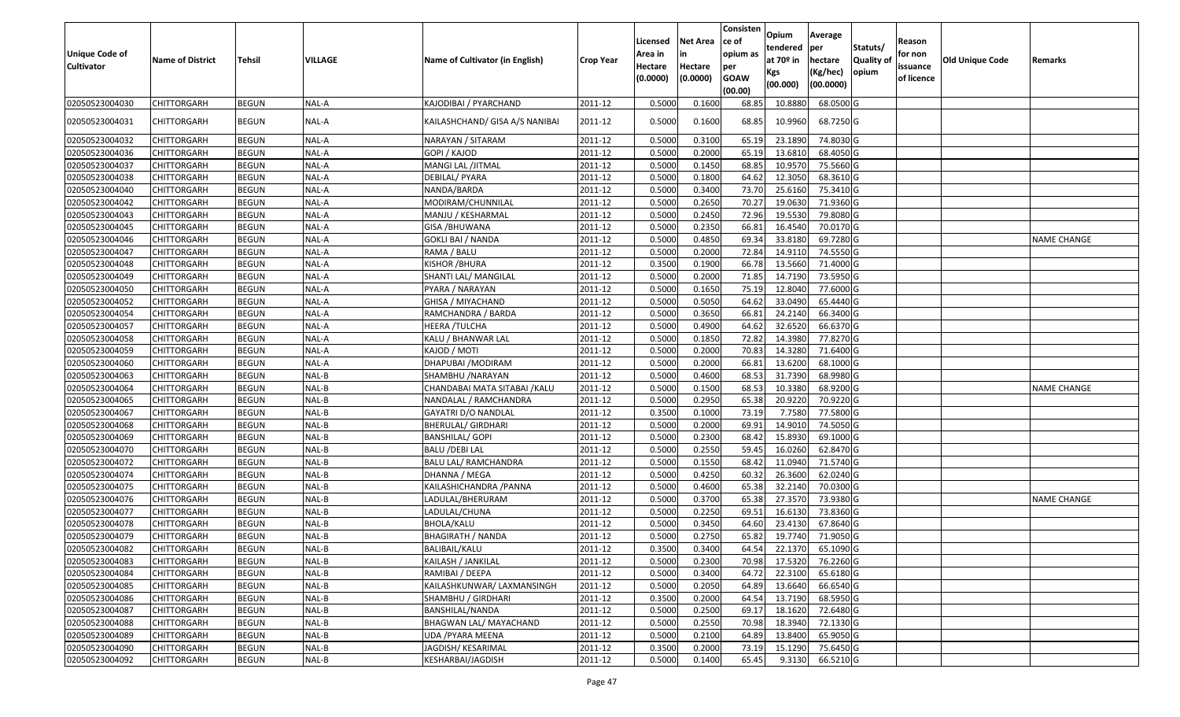| Unique Code of<br><b>Cultivator</b> | <b>Name of District</b> | <b>Tehsil</b> | VILLAGE | Name of Cultivator (in English) | <b>Crop Year</b> | Licensed<br>Area in<br>Hectare<br>(0.0000) | <b>Net Area</b><br>in<br>Hectare<br>(0.0000) | Consisten<br>ce of<br>opium as<br>per<br><b>GOAW</b><br>(00.00) | Opium<br>tendered<br>at $70°$ in<br>Kgs<br>(00.000) | Average<br>per<br>hectare<br>(Kg/hec)<br>(00.0000) | Statuts/<br>Quality of<br>opium | Reason<br>for non<br>issuance<br>of licence | <b>Old Unique Code</b> | Remarks            |
|-------------------------------------|-------------------------|---------------|---------|---------------------------------|------------------|--------------------------------------------|----------------------------------------------|-----------------------------------------------------------------|-----------------------------------------------------|----------------------------------------------------|---------------------------------|---------------------------------------------|------------------------|--------------------|
| 02050523004030                      | CHITTORGARH             | <b>BEGUN</b>  | NAL-A   | KAJODIBAI / PYARCHAND           | 2011-12          | 0.5000                                     | 0.1600                                       | 68.85                                                           | 10.8880                                             | 68.0500 G                                          |                                 |                                             |                        |                    |
| 02050523004031                      | CHITTORGARH             | <b>BEGUN</b>  | NAL-A   | KAILASHCHAND/ GISA A/S NANIBAI  | 2011-12          | 0.5000                                     | 0.1600                                       | 68.85                                                           | 10.9960                                             | 68.7250 G                                          |                                 |                                             |                        |                    |
| 02050523004032                      | <b>CHITTORGARH</b>      | <b>BEGUN</b>  | NAL-A   | NARAYAN / SITARAM               | 2011-12          | 0.5000                                     | 0.3100                                       | 65.19                                                           | 23.1890                                             | 74.8030 G                                          |                                 |                                             |                        |                    |
| 02050523004036                      | CHITTORGARH             | <b>BEGUN</b>  | NAL-A   | GOPI / KAJOD                    | 2011-12          | 0.5000                                     | 0.2000                                       | 65.19                                                           | 13.6810                                             | 68.4050 G                                          |                                 |                                             |                        |                    |
| 02050523004037                      | CHITTORGARH             | <b>BEGUN</b>  | NAL-A   | MANGI LAL /JITMAL               | 2011-12          | 0.5000                                     | 0.1450                                       | 68.85                                                           | 10.9570                                             | 75.5660 G                                          |                                 |                                             |                        |                    |
| 02050523004038                      | CHITTORGARH             | <b>BEGUN</b>  | NAL-A   | DEBILAL/ PYARA                  | 2011-12          | 0.5000                                     | 0.1800                                       | 64.62                                                           | 12.3050                                             | 68.3610 G                                          |                                 |                                             |                        |                    |
| 02050523004040                      | CHITTORGARH             | <b>BEGUN</b>  | NAL-A   | NANDA/BARDA                     | 2011-12          | 0.5000                                     | 0.3400                                       | 73.70                                                           | 25.6160                                             | 75.3410 G                                          |                                 |                                             |                        |                    |
| 02050523004042                      | CHITTORGARH             | <b>BEGUN</b>  | NAL-A   | MODIRAM/CHUNNILAL               | 2011-12          | 0.5000                                     | 0.2650                                       | 70.27                                                           | 19.0630                                             | 71.9360 G                                          |                                 |                                             |                        |                    |
| 02050523004043                      | CHITTORGARH             | <b>BEGUN</b>  | NAL-A   | MANJU / KESHARMAL               | 2011-12          | 0.5000                                     | 0.2450                                       | 72.96                                                           | 19.5530                                             | 79.8080 G                                          |                                 |                                             |                        |                    |
| 02050523004045                      | CHITTORGARH             | <b>BEGUN</b>  | NAL-A   | GISA /BHUWANA                   | 2011-12          | 0.5000                                     | 0.2350                                       | 66.8                                                            | 16.4540                                             | 70.0170G                                           |                                 |                                             |                        |                    |
| 02050523004046                      | CHITTORGARH             | <b>BEGUN</b>  | NAL-A   | GOKLI BAI / NANDA               | 2011-12          | 0.5000                                     | 0.4850                                       | 69.34                                                           | 33.8180                                             | 69.7280 G                                          |                                 |                                             |                        | <b>NAME CHANGE</b> |
| 02050523004047                      | CHITTORGARH             | <b>BEGUN</b>  | NAL-A   | RAMA / BALU                     | 2011-12          | 0.5000                                     | 0.2000                                       | 72.84                                                           | 14.9110                                             | 74.5550 G                                          |                                 |                                             |                        |                    |
| 02050523004048                      | <b>CHITTORGARH</b>      | <b>BEGUN</b>  | NAL-A   | KISHOR /BHURA                   | 2011-12          | 0.3500                                     | 0.1900                                       | 66.78                                                           | 13.5660                                             | 71.4000G                                           |                                 |                                             |                        |                    |
| 02050523004049                      | CHITTORGARH             | <b>BEGUN</b>  | NAL-A   | SHANTI LAL/ MANGILAL            | 2011-12          | 0.5000                                     | 0.2000                                       | 71.85                                                           | 14.7190                                             | 73.5950 G                                          |                                 |                                             |                        |                    |
| 02050523004050                      | CHITTORGARH             | <b>BEGUN</b>  | NAL-A   | PYARA / NARAYAN                 | 2011-12          | 0.5000                                     | 0.1650                                       | 75.19                                                           | 12.8040                                             | 77.6000 G                                          |                                 |                                             |                        |                    |
| 02050523004052                      | <b>CHITTORGARH</b>      | <b>BEGUN</b>  | NAL-A   | GHISA / MIYACHAND               | 2011-12          | 0.5000                                     | 0.5050                                       | 64.62                                                           | 33.0490                                             | 65.4440 G                                          |                                 |                                             |                        |                    |
| 02050523004054                      | CHITTORGARH             | <b>BEGUN</b>  | NAL-A   | RAMCHANDRA / BARDA              | 2011-12          | 0.500                                      | 0.3650                                       | 66.81                                                           | 24.2140                                             | 66.3400 G                                          |                                 |                                             |                        |                    |
| 02050523004057                      | <b>CHITTORGARH</b>      | <b>BEGUN</b>  | NAL-A   | HEERA /TULCHA                   | 2011-12          | 0.5000                                     | 0.4900                                       | 64.62                                                           | 32.6520                                             | 66.6370 G                                          |                                 |                                             |                        |                    |
| 02050523004058                      | <b>CHITTORGARH</b>      | <b>BEGUN</b>  | NAL-A   | KALU / BHANWAR LAL              | 2011-12          | 0.5000                                     | 0.1850                                       | 72.82                                                           | 14.3980                                             | 77.8270 G                                          |                                 |                                             |                        |                    |
| 02050523004059                      | CHITTORGARH             | <b>BEGUN</b>  | NAL-A   | KAJOD / MOTI                    | 2011-12          | 0.5000                                     | 0.2000                                       | 70.83                                                           | 14.3280                                             | 71.6400 G                                          |                                 |                                             |                        |                    |
| 02050523004060                      | CHITTORGARH             | <b>BEGUN</b>  | NAL-A   | DHAPUBAI /MODIRAM               | 2011-12          | 0.5000                                     | 0.2000                                       | 66.8                                                            | 13.6200                                             | 68.1000G                                           |                                 |                                             |                        |                    |
| 02050523004063                      | CHITTORGARH             | <b>BEGUN</b>  | NAL-B   | SHAMBHU /NARAYAN                | 2011-12          | 0.5000                                     | 0.4600                                       | 68.53                                                           | 31.7390                                             | 68.9980 G                                          |                                 |                                             |                        |                    |
| 02050523004064                      | CHITTORGARH             | <b>BEGUN</b>  | NAL-B   | CHANDABAI MATA SITABAI /KALU    | 2011-12          | 0.5000                                     | 0.1500                                       | 68.53                                                           | 10.3380                                             | 68.9200 G                                          |                                 |                                             |                        | <b>NAME CHANGE</b> |
| 02050523004065                      | CHITTORGARH             | <b>BEGUN</b>  | NAL-B   | NANDALAL / RAMCHANDRA           | 2011-12          | 0.5000                                     | 0.2950                                       | 65.38                                                           | 20.9220                                             | 70.9220 G                                          |                                 |                                             |                        |                    |
| 02050523004067                      | CHITTORGARH             | <b>BEGUN</b>  | NAL-B   | <b>GAYATRI D/O NANDLAL</b>      | 2011-12          | 0.3500                                     | 0.1000                                       | 73.19                                                           | 7.7580                                              | 77.5800 G                                          |                                 |                                             |                        |                    |
| 02050523004068                      | CHITTORGARH             | <b>BEGUN</b>  | NAL-B   | BHERULAL/ GIRDHARI              | 2011-12          | 0.5000                                     | 0.2000                                       | 69.91                                                           | 14.9010                                             | 74.5050 G                                          |                                 |                                             |                        |                    |
| 02050523004069                      | CHITTORGARH             | <b>BEGUN</b>  | NAL-B   | <b>BANSHILAL/ GOPI</b>          | 2011-12          | 0.5000                                     | 0.2300                                       | 68.42                                                           | 15.8930                                             | 69.1000G                                           |                                 |                                             |                        |                    |
| 02050523004070                      | CHITTORGARH             | <b>BEGUN</b>  | NAL-B   | <b>BALU /DEBI LAL</b>           | 2011-12          | 0.5000                                     | 0.2550                                       | 59.45                                                           | 16.0260                                             | 62.8470 G                                          |                                 |                                             |                        |                    |
| 02050523004072                      | CHITTORGARH             | <b>BEGUN</b>  | NAL-B   | <b>BALU LAL/ RAMCHANDRA</b>     | 2011-12          | 0.5000                                     | 0.1550                                       | 68.42                                                           | 11.0940                                             | 71.5740 G                                          |                                 |                                             |                        |                    |
| 02050523004074                      | CHITTORGARH             | <b>BEGUN</b>  | NAL-B   | DHANNA / MEGA                   | 2011-12          | 0.5000                                     | 0.4250                                       | 60.32                                                           | 26.3600                                             | 62.0240 G                                          |                                 |                                             |                        |                    |
| 02050523004075                      | CHITTORGARH             | <b>BEGUN</b>  | NAL-B   | KAILASHICHANDRA /PANNA          | 2011-12          | 0.5000                                     | 0.4600                                       | 65.38                                                           | 32.2140                                             | 70.0300G                                           |                                 |                                             |                        |                    |
| 02050523004076                      | CHITTORGARH             | <b>BEGUN</b>  | NAL-B   | LADULAL/BHERURAM                | 2011-12          | 0.5000                                     | 0.3700                                       | 65.38                                                           | 27.3570                                             | 73.9380 G                                          |                                 |                                             |                        | <b>NAME CHANGE</b> |
| 02050523004077                      | CHITTORGARH             | <b>BEGUN</b>  | NAL-B   | LADULAL/CHUNA                   | 2011-12          | 0.5000                                     | 0.2250                                       | 69.5                                                            | 16.6130                                             | 73.8360 G                                          |                                 |                                             |                        |                    |
| 02050523004078                      | CHITTORGARH             | <b>BEGUN</b>  | NAL-B   | <b>BHOLA/KALU</b>               | 2011-12          | 0.500                                      | 0.3450                                       | 64.60                                                           | 23.4130                                             | 67.8640 G                                          |                                 |                                             |                        |                    |
| 02050523004079                      | CHITTORGARH             | <b>BEGUN</b>  | NAL-B   | BHAGIRATH / NANDA               | 2011-12          | 0.5000                                     | 0.2750                                       | 65.82                                                           | 19.7740                                             | 71.9050 G                                          |                                 |                                             |                        |                    |
| 02050523004082                      | <b>CHITTORGARH</b>      | <b>BEGUN</b>  | $NAL-B$ | BALIBAIL/KALU                   | 2011-12          | 0.3500                                     | 0.3400                                       | 64.54                                                           | 22.1370                                             | 65.1090 G                                          |                                 |                                             |                        |                    |
| 02050523004083                      | <b>CHITTORGARH</b>      | <b>BEGUN</b>  | NAL-B   | KAILASH / JANKILAL              | 2011-12          | 0.5000                                     | 0.2300                                       | 70.98                                                           | 17.5320                                             | 76.2260 G                                          |                                 |                                             |                        |                    |
| 02050523004084                      | CHITTORGARH             | <b>BEGUN</b>  | NAL-B   | RAMIBAI / DEEPA                 | 2011-12          | 0.5000                                     | 0.3400                                       | 64.72                                                           | 22.3100                                             | 65.6180 G                                          |                                 |                                             |                        |                    |
| 02050523004085                      | <b>CHITTORGARH</b>      | <b>BEGUN</b>  | NAL-B   | KAILASHKUNWAR/ LAXMANSINGH      | 2011-12          | 0.5000                                     | 0.2050                                       | 64.89                                                           | 13.6640                                             | 66.6540 G                                          |                                 |                                             |                        |                    |
| 02050523004086                      | CHITTORGARH             | <b>BEGUN</b>  | NAL-B   | SHAMBHU / GIRDHARI              | 2011-12          | 0.3500                                     | 0.2000                                       | 64.54                                                           | 13.7190                                             | 68.5950 G                                          |                                 |                                             |                        |                    |
| 02050523004087                      | <b>CHITTORGARH</b>      | <b>BEGUN</b>  | NAL-B   | BANSHILAL/NANDA                 | 2011-12          | 0.5000                                     | 0.2500                                       | 69.17                                                           | 18.1620                                             | 72.6480 G                                          |                                 |                                             |                        |                    |
| 02050523004088                      | <b>CHITTORGARH</b>      | <b>BEGUN</b>  | NAL-B   | BHAGWAN LAL/ MAYACHAND          | 2011-12          | 0.5000                                     | 0.2550                                       | 70.98                                                           | 18.3940                                             | 72.1330 G                                          |                                 |                                             |                        |                    |
| 02050523004089                      | <b>CHITTORGARH</b>      | <b>BEGUN</b>  | NAL-B   | UDA /PYARA MEENA                | 2011-12          | 0.5000                                     | 0.2100                                       | 64.89                                                           | 13.8400                                             | 65.9050 G                                          |                                 |                                             |                        |                    |
| 02050523004090                      | <b>CHITTORGARH</b>      | <b>BEGUN</b>  | NAL-B   | JAGDISH/ KESARIMAL              | 2011-12          | 0.3500                                     | 0.2000                                       | 73.19                                                           | 15.1290                                             | 75.6450 G                                          |                                 |                                             |                        |                    |
| 02050523004092                      | <b>CHITTORGARH</b>      | <b>BEGUN</b>  | NAL-B   | KESHARBAI/JAGDISH               | 2011-12          | 0.5000                                     | 0.1400                                       | 65.45                                                           | 9.3130                                              | 66.5210 G                                          |                                 |                                             |                        |                    |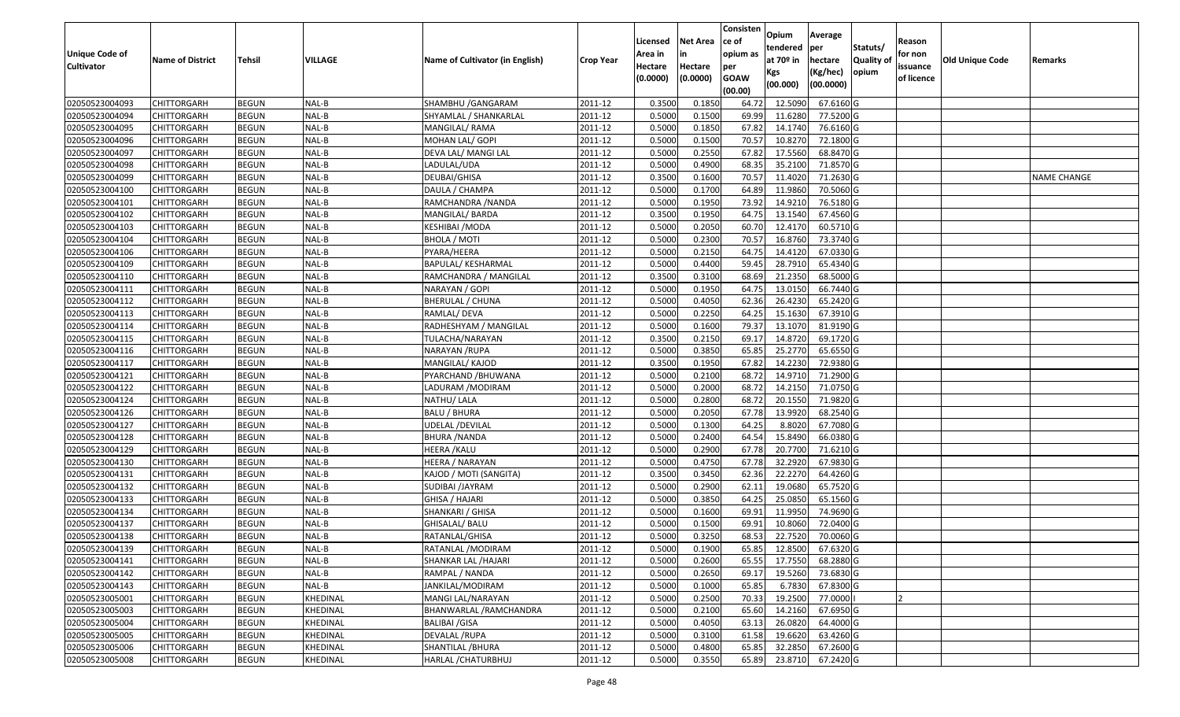|                   |                         |               |                 |                                 |                  |          |                 | Consisten        | Opium         | Average   |                  |            |                        |                    |
|-------------------|-------------------------|---------------|-----------------|---------------------------------|------------------|----------|-----------------|------------------|---------------|-----------|------------------|------------|------------------------|--------------------|
|                   |                         |               |                 |                                 |                  | Licensed | <b>Net Area</b> | ce of            | tendered      | per       | Statuts/         | Reason     |                        |                    |
| Unique Code of    | <b>Name of District</b> | <b>Tehsil</b> | VILLAGE         | Name of Cultivator (in English) | <b>Crop Year</b> | Area in  |                 | opium as         | at $70°$ in   | hectare   | <b>Quality o</b> | for non    | <b>Old Unique Code</b> | Remarks            |
| <b>Cultivator</b> |                         |               |                 |                                 |                  | Hectare  | Hectare         | per              | Kgs           | (Kg/hec)  | opium            | issuance   |                        |                    |
|                   |                         |               |                 |                                 |                  | (0.0000) | (0.0000)        | <b>GOAW</b>      | (00.000)      | (00.0000) |                  | of licence |                        |                    |
| 02050523004093    | CHITTORGARH             | <b>BEGUN</b>  | NAL-B           | SHAMBHU / GANGARAM              | 2011-12          | 0.3500   | 0.1850          | (00.00)<br>64.72 | 12.5090       | 67.6160 G |                  |            |                        |                    |
| 02050523004094    | CHITTORGARH             | <b>BEGUN</b>  | NAL-B           | SHYAMLAL / SHANKARLAL           | 2011-12          | 0.5000   | 0.1500          | 69.99            | 11.6280       | 77.5200 G |                  |            |                        |                    |
| 02050523004095    | CHITTORGARH             | <b>BEGUN</b>  | NAL-B           | MANGILAL/ RAMA                  | 2011-12          | 0.5000   | 0.1850          | 67.82            | 14.1740       | 76.6160 G |                  |            |                        |                    |
| 02050523004096    | <b>CHITTORGARH</b>      | <b>BEGUN</b>  | NAL-B           | MOHAN LAL/ GOPI                 | 2011-12          | 0.5000   | 0.1500          | 70.57            | 10.8270       | 72.1800 G |                  |            |                        |                    |
| 02050523004097    | CHITTORGARH             | <b>BEGUN</b>  | NAL-B           | DEVA LAL/ MANGI LAL             | 2011-12          | 0.5000   | 0.2550          | 67.82            | 17.5560       | 68.8470 G |                  |            |                        |                    |
| 02050523004098    | CHITTORGARH             | <b>BEGUN</b>  | NAL-B           | LADULAL/UDA                     | 2011-12          | 0.5000   | 0.4900          | 68.35            | 35.2100       | 71.8570 G |                  |            |                        |                    |
| 02050523004099    | CHITTORGARH             | <b>BEGUN</b>  | NAL-B           | DEUBAI/GHISA                    | 2011-12          | 0.3500   | 0.1600          | 70.57            | 11.4020       | 71.2630 G |                  |            |                        | <b>NAME CHANGE</b> |
| 02050523004100    | <b>CHITTORGARH</b>      | <b>BEGUN</b>  | NAL-B           | DAULA / CHAMPA                  | 2011-12          | 0.5000   | 0.1700          | 64.89            | 11.9860       | 70.5060 G |                  |            |                        |                    |
| 02050523004101    | CHITTORGARH             | <b>BEGUN</b>  | NAL-B           | RAMCHANDRA / NANDA              | 2011-12          | 0.5000   | 0.1950          | 73.92            | 14.921        | 76.5180 G |                  |            |                        |                    |
| 02050523004102    | CHITTORGARH             | <b>BEGUN</b>  | NAL-B           | MANGILAL/ BARDA                 | 2011-12          | 0.3500   | 0.1950          | 64.75            | 13.1540       | 67.4560 G |                  |            |                        |                    |
| 02050523004103    | CHITTORGARH             | <b>BEGUN</b>  | NAL-B           | KESHIBAI /MODA                  | 2011-12          | 0.5000   | 0.2050          | 60.70            | 12.4170       | 60.5710 G |                  |            |                        |                    |
| 02050523004104    | CHITTORGARH             | <b>BEGUN</b>  | NAL-B           | <b>BHOLA / MOTI</b>             | 2011-12          | 0.5000   | 0.2300          | 70.57            | 16.8760       | 73.3740 G |                  |            |                        |                    |
| 02050523004106    | <b>CHITTORGARH</b>      | <b>BEGUN</b>  | NAL-B           | PYARA/HEERA                     | 2011-12          | 0.5000   | 0.2150          | 64.75            | 14.4120       | 67.0330 G |                  |            |                        |                    |
| 02050523004109    | CHITTORGARH             | <b>BEGUN</b>  | NAL-B           | BAPULAL/ KESHARMAL              | 2011-12          | 0.5000   | 0.4400          | 59.45            | 28.7910       | 65.4340 G |                  |            |                        |                    |
| 02050523004110    | <b>CHITTORGARH</b>      | <b>BEGUN</b>  | NAL-B           | RAMCHANDRA / MANGILAL           | 2011-12          | 0.3500   | 0.3100          | 68.69            | 21.2350       | 68.5000 G |                  |            |                        |                    |
| 02050523004111    | CHITTORGARH             | <b>BEGUN</b>  | NAL-B           | NARAYAN / GOPI                  | 2011-12          | 0.5000   | 0.1950          | 64.75            | 13.0150       | 66.7440 G |                  |            |                        |                    |
| 02050523004112    | CHITTORGARH             | <b>BEGUN</b>  | NAL-B           | BHERULAL / CHUNA                | 2011-12          | 0.5000   | 0.4050          | 62.36            | 26.4230       | 65.2420 G |                  |            |                        |                    |
| 02050523004113    | CHITTORGARH             | <b>BEGUN</b>  | NAL-B           | RAMLAL/ DEVA                    | 2011-12          | 0.5000   | 0.2250          | 64.25            | 15.1630       | 67.3910 G |                  |            |                        |                    |
| 02050523004114    | CHITTORGARH             | <b>BEGUN</b>  | NAL-B           | RADHESHYAM / MANGILAL           | 2011-12          | 0.5000   | 0.1600          | 79.37            | 13.1070       | 81.9190 G |                  |            |                        |                    |
| 02050523004115    | CHITTORGARH             | <b>BEGUN</b>  | NAL-B           | TULACHA/NARAYAN                 | 2011-12          | 0.3500   | 0.2150          | 69.1             | 14.8720       | 69.1720 G |                  |            |                        |                    |
| 02050523004116    | CHITTORGARH             | <b>BEGUN</b>  | NAL-B           | NARAYAN /RUPA                   | 2011-12          | 0.5000   | 0.3850          | 65.85            | 25.2770       | 65.6550 G |                  |            |                        |                    |
| 02050523004117    | CHITTORGARH             | <b>BEGUN</b>  | NAL-B           | MANGILAL/ KAJOD                 | 2011-12          | 0.3500   | 0.1950          | 67.82            | 14.2230       | 72.9380 G |                  |            |                        |                    |
| 02050523004121    | CHITTORGARH             | <b>BEGUN</b>  | NAL-B           | PYARCHAND /BHUWANA              | 2011-12          | 0.5000   | 0.2100          | 68.72            | 14.9710       | 71.2900 G |                  |            |                        |                    |
| 02050523004122    | CHITTORGARH             | <b>BEGUN</b>  | NAL-B           | LADURAM /MODIRAM                | 2011-12          | 0.5000   | 0.2000          | 68.7             | 14.2150       | 71.0750G  |                  |            |                        |                    |
| 02050523004124    | <b>CHITTORGARH</b>      | <b>BEGUN</b>  | NAL-B           | NATHU/ LALA                     | 2011-12          | 0.5000   | 0.2800          | 68.72            | 20.1550       | 71.9820 G |                  |            |                        |                    |
| 02050523004126    | CHITTORGARH             | <b>BEGUN</b>  | NAL-B           | <b>BALU / BHURA</b>             | 2011-12          | 0.5000   | 0.2050          | 67.78            | 13.9920       | 68.2540 G |                  |            |                        |                    |
| 02050523004127    | CHITTORGARH             | <b>BEGUN</b>  | NAL-B           | UDELAL /DEVILAL                 | 2011-12          | 0.5000   | 0.1300          | 64.25            | 8.8020        | 67.7080 G |                  |            |                        |                    |
| 02050523004128    | CHITTORGARH             | <b>BEGUN</b>  | NAL-B           | <b>BHURA / NANDA</b>            | 2011-12          | 0.5000   | 0.2400          | 64.54            | 15.8490       | 66.0380 G |                  |            |                        |                    |
| 02050523004129    | CHITTORGARH             | <b>BEGUN</b>  | NAL-B           | HEERA /KALU                     | 2011-12          | 0.5000   | 0.2900          | 67.78            | 20.7700       | 71.6210 G |                  |            |                        |                    |
| 02050523004130    | CHITTORGARH             | <b>BEGUN</b>  | NAL-B           | HEERA / NARAYAN                 | 2011-12          | 0.5000   | 0.4750          | 67.78            | 32.2920       | 67.9830 G |                  |            |                        |                    |
| 02050523004131    | CHITTORGARH             | <b>BEGUN</b>  | NAL-B           | KAJOD / MOTI (SANGITA)          | 2011-12          | 0.3500   | 0.3450          | 62.36            | 22.2270       | 64.4260 G |                  |            |                        |                    |
| 02050523004132    | CHITTORGARH             | <b>BEGUN</b>  | NAL-B           | SUDIBAI /JAYRAM                 | 2011-12          | 0.5000   | 0.2900          | 62.1             | 19.0680       | 65.7520 G |                  |            |                        |                    |
| 02050523004133    | CHITTORGARH             | <b>BEGUN</b>  | NAL-B           | GHISA / HAJARI                  | 2011-12          | 0.5000   | 0.3850          | 64.25            | 25.0850       | 65.1560 G |                  |            |                        |                    |
| 02050523004134    | CHITTORGARH             | <b>BEGUN</b>  | NAL-B           | SHANKARI / GHISA                | 2011-12          | 0.5000   | 0.1600          | 69.91            | 11.9950       | 74.9690 G |                  |            |                        |                    |
| 02050523004137    | CHITTORGARH             | <b>BEGUN</b>  | NAL-B           | GHISALAL/BALU                   | 2011-12          | 0.500    | 0.1500          | 69.9             | 10.8060       | 72.0400 G |                  |            |                        |                    |
| 02050523004138    | CHITTORGARH             | <b>BEGUN</b>  | NAL-B           | RATANLAL/GHISA                  | 2011-12          | 0.5000   | 0.3250          | 68.53            | 22.7520       | 70.0060 G |                  |            |                        |                    |
| 02050523004139    | <b>CHITTORGARH</b>      | <b>BEGUN</b>  | NAL-B           | RATANLAL / MODIRAM              | 2011-12          | 0.5000   | 0.1900          |                  | 65.85 12.8500 | 67.6320 G |                  |            |                        |                    |
| 02050523004141    | <b>CHITTORGARH</b>      | <b>BEGUN</b>  | NAL-B           | SHANKAR LAL /HAJARI             | 2011-12          | 0.5000   | 0.2600          | 65.55            | 17.7550       | 68.2880 G |                  |            |                        |                    |
| 02050523004142    | <b>CHITTORGARH</b>      | <b>BEGUN</b>  | NAL-B           | RAMPAL / NANDA                  | 2011-12          | 0.5000   | 0.2650          | 69.17            | 19.5260       | 73.6830 G |                  |            |                        |                    |
| 02050523004143    | <b>CHITTORGARH</b>      | <b>BEGUN</b>  | NAL-B           | JANKILAL/MODIRAM                | 2011-12          | 0.5000   | 0.1000          | 65.85            | 6.7830        | 67.8300 G |                  |            |                        |                    |
| 02050523005001    | <b>CHITTORGARH</b>      | <b>BEGUN</b>  | KHEDINAL        | MANGI LAL/NARAYAN               | 2011-12          | 0.5000   | 0.2500          | 70.33            | 19.2500       | 77.0000   |                  | 12         |                        |                    |
| 02050523005003    | <b>CHITTORGARH</b>      | <b>BEGUN</b>  | <b>KHEDINAL</b> | BHANWARLAL /RAMCHANDRA          | 2011-12          | 0.5000   | 0.2100          | 65.60            | 14.2160       | 67.6950 G |                  |            |                        |                    |
| 02050523005004    | <b>CHITTORGARH</b>      | <b>BEGUN</b>  | KHEDINAL        | <b>BALIBAI /GISA</b>            | 2011-12          | 0.5000   | 0.4050          | 63.13            | 26.0820       | 64.4000 G |                  |            |                        |                    |
| 02050523005005    | <b>CHITTORGARH</b>      | <b>BEGUN</b>  | KHEDINAL        | DEVALAL /RUPA                   | 2011-12          | 0.5000   | 0.3100          | 61.58            | 19.6620       | 63.4260 G |                  |            |                        |                    |
| 02050523005006    | <b>CHITTORGARH</b>      | <b>BEGUN</b>  | KHEDINAL        | SHANTILAL / BHURA               | 2011-12          | 0.5000   | 0.4800          | 65.85            | 32.2850       | 67.2600 G |                  |            |                        |                    |
| 02050523005008    | <b>CHITTORGARH</b>      | <b>BEGUN</b>  | KHEDINAL        | HARLAL / CHATURBHUJ             | 2011-12          | 0.5000   | 0.3550          | 65.89            | 23.8710       | 67.2420 G |                  |            |                        |                    |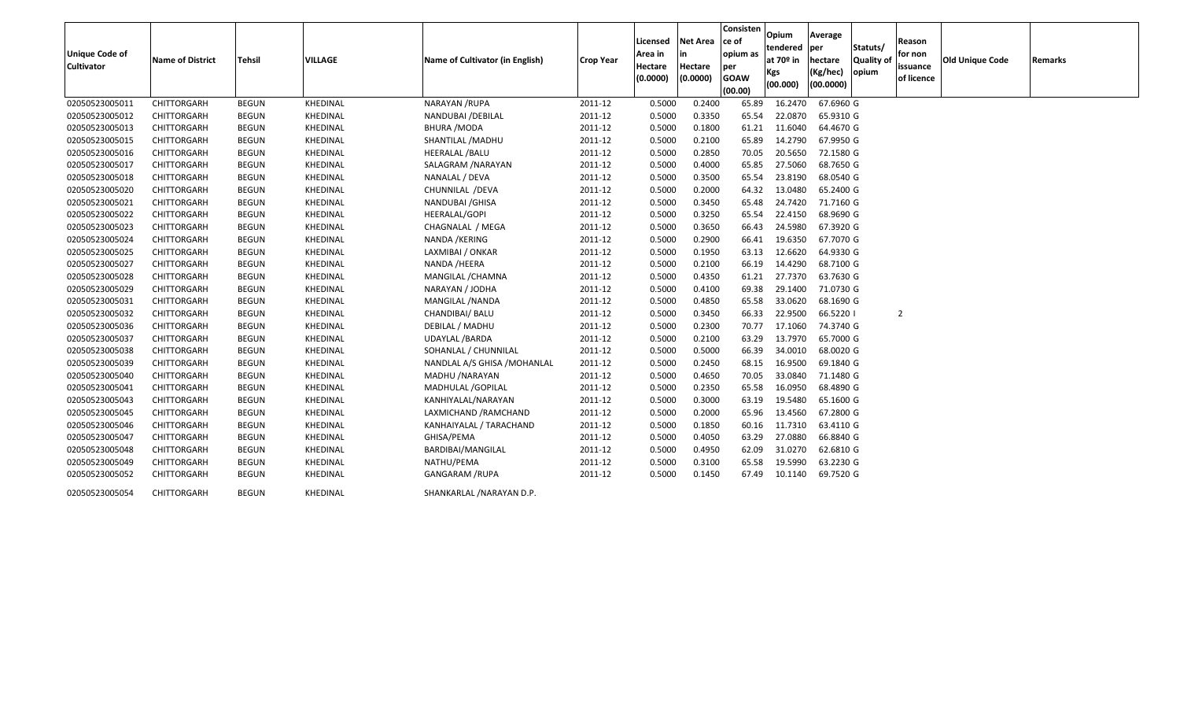| <b>Unique Code of</b><br><b>Cultivator</b> | <b>Name of District</b> | <b>Tehsil</b> | <b>VILLAGE</b> | Name of Cultivator (in English) | <b>Crop Year</b> | Licensed<br>Area in<br>Hectare<br>(0.0000) | <b>Net Area</b><br>Hectare<br>(0.0000) | Consisten<br>ce of<br>opium as<br>per<br><b>GOAW</b><br>(00.00) | Opium<br>tendered<br>at 70 <sup>o</sup> in<br><b>Kgs</b><br>(00.000) | Average<br>per<br>hectare<br>(Kg/hec)<br>(00.0000) | Statuts/<br>Quality of<br>opium | <b>Reason</b><br>for non<br>issuance<br>of licence | Old Unique Code | <b>Remarks</b> |
|--------------------------------------------|-------------------------|---------------|----------------|---------------------------------|------------------|--------------------------------------------|----------------------------------------|-----------------------------------------------------------------|----------------------------------------------------------------------|----------------------------------------------------|---------------------------------|----------------------------------------------------|-----------------|----------------|
| 02050523005011                             | CHITTORGARH             | <b>BEGUN</b>  | KHEDINAL       | NARAYAN /RUPA                   | 2011-12          | 0.5000                                     | 0.2400                                 | 65.89                                                           | 16.2470                                                              | 67.6960 G                                          |                                 |                                                    |                 |                |
| 02050523005012                             | CHITTORGARH             | <b>BEGUN</b>  | KHEDINAL       | NANDUBAI / DEBILAL              | 2011-12          | 0.5000                                     | 0.3350                                 | 65.54                                                           | 22.0870                                                              | 65.9310 G                                          |                                 |                                                    |                 |                |
| 02050523005013                             | CHITTORGARH             | <b>BEGUN</b>  | KHEDINAL       | <b>BHURA /MODA</b>              | 2011-12          | 0.5000                                     | 0.1800                                 | 61.21                                                           | 11.6040                                                              | 64.4670 G                                          |                                 |                                                    |                 |                |
| 02050523005015                             | CHITTORGARH             | BEGUN         | KHEDINAL       | SHANTILAL / MADHU               | 2011-12          | 0.5000                                     | 0.2100                                 | 65.89                                                           | 14.2790                                                              | 67.9950 G                                          |                                 |                                                    |                 |                |
| 02050523005016                             | CHITTORGARH             | <b>BEGUN</b>  | KHEDINAL       | <b>HEERALAL /BALU</b>           | 2011-12          | 0.5000                                     | 0.2850                                 | 70.05                                                           | 20.5650                                                              | 72.1580 G                                          |                                 |                                                    |                 |                |
| 02050523005017                             | CHITTORGARH             | <b>BEGUN</b>  | KHEDINAL       | SALAGRAM / NARAYAN              | 2011-12          | 0.5000                                     | 0.4000                                 | 65.85                                                           | 27.5060                                                              | 68.7650 G                                          |                                 |                                                    |                 |                |
| 02050523005018                             | <b>CHITTORGARH</b>      | <b>BEGUN</b>  | KHEDINAL       | NANALAL / DEVA                  | 2011-12          | 0.5000                                     | 0.3500                                 | 65.54                                                           | 23.8190                                                              | 68.0540 G                                          |                                 |                                                    |                 |                |
| 02050523005020                             | CHITTORGARH             | <b>BEGUN</b>  | KHEDINAL       | CHUNNILAL / DEVA                | 2011-12          | 0.5000                                     | 0.2000                                 | 64.32                                                           | 13.0480                                                              | 65.2400 G                                          |                                 |                                                    |                 |                |
| 02050523005021                             | CHITTORGARH             | <b>BEGUN</b>  | KHEDINAL       | NANDUBAI / GHISA                | 2011-12          | 0.5000                                     | 0.3450                                 | 65.48                                                           | 24.7420                                                              | 71.7160 G                                          |                                 |                                                    |                 |                |
| 02050523005022                             | <b>CHITTORGARH</b>      | <b>BEGUN</b>  | KHEDINAL       | <b>HEERALAL/GOPI</b>            | 2011-12          | 0.5000                                     | 0.3250                                 | 65.54                                                           | 22.4150                                                              | 68.9690 G                                          |                                 |                                                    |                 |                |
| 02050523005023                             | CHITTORGARH             | <b>BEGUN</b>  | KHEDINAL       | CHAGNALAL / MEGA                | 2011-12          | 0.5000                                     | 0.3650                                 | 66.43                                                           | 24.5980                                                              | 67.3920 G                                          |                                 |                                                    |                 |                |
| 02050523005024                             | CHITTORGARH             | <b>BEGUN</b>  | KHEDINAL       | NANDA / KERING                  | 2011-12          | 0.5000                                     | 0.2900                                 | 66.41                                                           | 19.6350                                                              | 67.7070 G                                          |                                 |                                                    |                 |                |
| 02050523005025                             | <b>CHITTORGARH</b>      | <b>BEGUN</b>  | KHEDINAL       | LAXMIBAI / ONKAR                | 2011-12          | 0.5000                                     | 0.1950                                 | 63.13                                                           | 12.6620                                                              | 64.9330 G                                          |                                 |                                                    |                 |                |
| 02050523005027                             | CHITTORGARH             | <b>BEGUN</b>  | KHEDINAL       | NANDA /HEERA                    | 2011-12          | 0.5000                                     | 0.2100                                 | 66.19                                                           | 14.4290                                                              | 68.7100 G                                          |                                 |                                                    |                 |                |
| 02050523005028                             | CHITTORGARH             | BEGUN         | KHEDINAL       | MANGILAL / CHAMNA               | 2011-12          | 0.5000                                     | 0.4350                                 | 61.21                                                           | 27.7370                                                              | 63.7630 G                                          |                                 |                                                    |                 |                |
| 02050523005029                             | CHITTORGARH             | <b>BEGUN</b>  | KHEDINAL       | NARAYAN / JODHA                 | 2011-12          | 0.5000                                     | 0.4100                                 | 69.38                                                           | 29.1400                                                              | 71.0730 G                                          |                                 |                                                    |                 |                |
| 02050523005031                             | CHITTORGARH             | <b>BEGUN</b>  | KHEDINAL       | MANGILAL / NANDA                | 2011-12          | 0.5000                                     | 0.4850                                 | 65.58                                                           | 33.0620                                                              | 68.1690 G                                          |                                 |                                                    |                 |                |
| 02050523005032                             | CHITTORGARH             | BEGUN         | KHEDINAL       | CHANDIBAI/ BALU                 | 2011-12          | 0.5000                                     | 0.3450                                 | 66.33                                                           | 22.9500                                                              | 66.5220 1                                          |                                 | $\overline{2}$                                     |                 |                |
| 02050523005036                             | CHITTORGARH             | <b>BEGUN</b>  | KHEDINAL       | DEBILAL / MADHU                 | 2011-12          | 0.5000                                     | 0.2300                                 | 70.77                                                           | 17.1060                                                              | 74.3740 G                                          |                                 |                                                    |                 |                |
| 02050523005037                             | CHITTORGARH             | <b>BEGUN</b>  | KHEDINAL       | <b>UDAYLAL /BARDA</b>           | 2011-12          | 0.5000                                     | 0.2100                                 | 63.29                                                           | 13.7970                                                              | 65.7000 G                                          |                                 |                                                    |                 |                |
| 02050523005038                             | CHITTORGARH             | <b>BEGUN</b>  | KHEDINAL       | SOHANLAL / CHUNNILAL            | 2011-12          | 0.5000                                     | 0.5000                                 | 66.39                                                           | 34.0010                                                              | 68.0020 G                                          |                                 |                                                    |                 |                |
| 02050523005039                             | CHITTORGARH             | <b>BEGUN</b>  | KHEDINAL       | NANDLAL A/S GHISA / MOHANLAL    | 2011-12          | 0.5000                                     | 0.2450                                 | 68.15                                                           | 16.9500                                                              | 69.1840 G                                          |                                 |                                                    |                 |                |
| 02050523005040                             | CHITTORGARH             | <b>BEGUN</b>  | KHEDINAL       | MADHU / NARAYAN                 | 2011-12          | 0.5000                                     | 0.4650                                 | 70.05                                                           | 33.0840                                                              | 71.1480 G                                          |                                 |                                                    |                 |                |
| 02050523005041                             | CHITTORGARH             | <b>BEGUN</b>  | KHEDINAL       | MADHULAL / GOPILAL              | 2011-12          | 0.5000                                     | 0.2350                                 | 65.58                                                           | 16.0950                                                              | 68.4890 G                                          |                                 |                                                    |                 |                |
| 02050523005043                             | CHITTORGARH             | <b>BEGUN</b>  | KHEDINAL       | KANHIYALAL/NARAYAN              | 2011-12          | 0.5000                                     | 0.3000                                 | 63.19                                                           | 19.5480                                                              | 65.1600 G                                          |                                 |                                                    |                 |                |
| 02050523005045                             | CHITTORGARH             | <b>BEGUN</b>  | KHEDINAL       | LAXMICHAND / RAMCHAND           | 2011-12          | 0.5000                                     | 0.2000                                 | 65.96                                                           | 13.4560                                                              | 67.2800 G                                          |                                 |                                                    |                 |                |
| 02050523005046                             | <b>CHITTORGARH</b>      | BEGUN         | KHEDINAL       | KANHAIYALAL / TARACHAND         | 2011-12          | 0.5000                                     | 0.1850                                 | 60.16                                                           | 11.7310                                                              | 63.4110 G                                          |                                 |                                                    |                 |                |
| 02050523005047                             | CHITTORGARH             | <b>BEGUN</b>  | KHEDINAL       | GHISA/PEMA                      | 2011-12          | 0.5000                                     | 0.4050                                 | 63.29                                                           | 27.0880                                                              | 66.8840 G                                          |                                 |                                                    |                 |                |
| 02050523005048                             | CHITTORGARH             | BEGUN         | KHEDINAL       | BARDIBAI/MANGILAL               | 2011-12          | 0.5000                                     | 0.4950                                 | 62.09                                                           | 31.0270                                                              | 62.6810 G                                          |                                 |                                                    |                 |                |
| 02050523005049                             | CHITTORGARH             | BEGUN         | KHEDINAL       | NATHU/PEMA                      | 2011-12          | 0.5000                                     | 0.3100                                 | 65.58                                                           | 19.5990                                                              | 63.2230 G                                          |                                 |                                                    |                 |                |
| 02050523005052                             | CHITTORGARH             | <b>BEGUN</b>  | KHEDINAL       | <b>GANGARAM /RUPA</b>           | 2011-12          | 0.5000                                     | 0.1450                                 | 67.49                                                           | 10.1140                                                              | 69.7520 G                                          |                                 |                                                    |                 |                |
| 02050523005054                             | CHITTORGARH             | <b>BEGUN</b>  | KHEDINAL       | SHANKARLAL / NARAYAN D.P.       |                  |                                            |                                        |                                                                 |                                                                      |                                                    |                                 |                                                    |                 |                |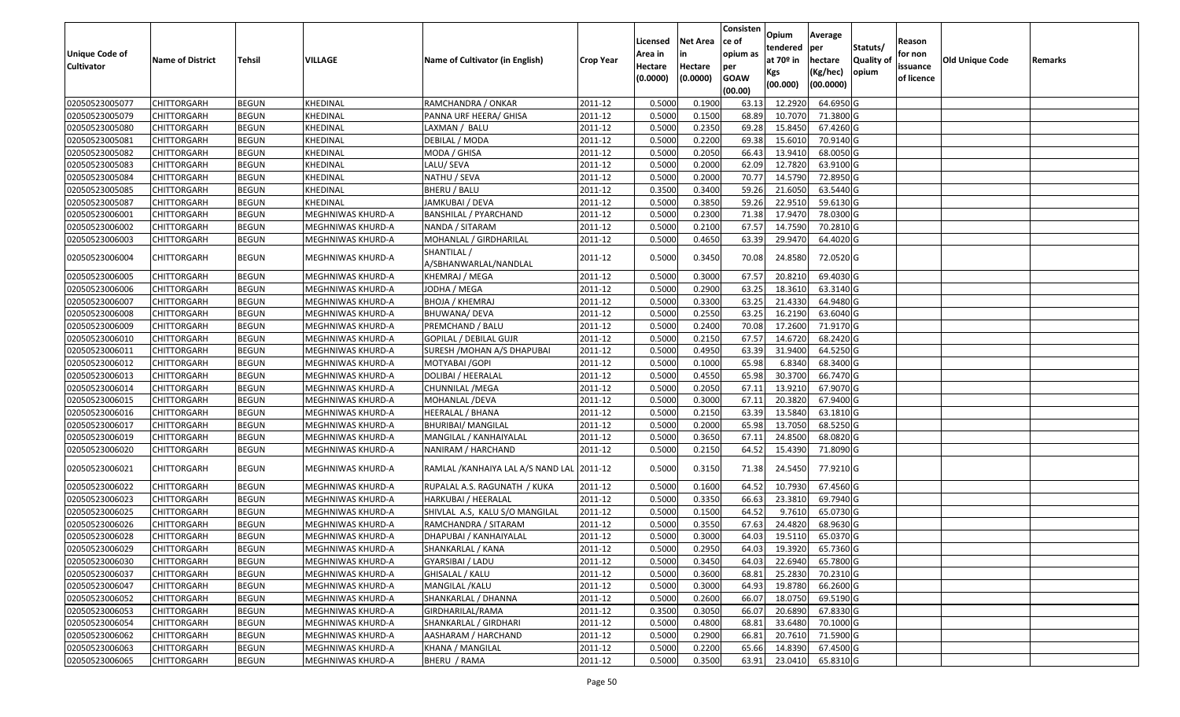|                       |                         |              |                   |                                            |                  |          |                 | Consisten   | Opium       |                |           |            |                        |         |
|-----------------------|-------------------------|--------------|-------------------|--------------------------------------------|------------------|----------|-----------------|-------------|-------------|----------------|-----------|------------|------------------------|---------|
|                       |                         |              |                   |                                            |                  | Licensed | <b>Net Area</b> | ce of       | tendered    | Average        | Statuts/  | Reason     |                        |         |
| <b>Unique Code of</b> | <b>Name of District</b> | Tehsil       | VILLAGE           | Name of Cultivator (in English)            | <b>Crop Year</b> | Area in  | in              | opium as    | at $70°$ in | per<br>hectare | Quality o | for non    | <b>Old Unique Code</b> | Remarks |
| <b>Cultivator</b>     |                         |              |                   |                                            |                  | Hectare  | Hectare         | per         | Kgs         | (Kg/hec)       | opium     | issuance   |                        |         |
|                       |                         |              |                   |                                            |                  | (0.0000) | (0.0000)        | <b>GOAW</b> | (00.000)    | (00.0000)      |           | of licence |                        |         |
|                       |                         |              |                   |                                            |                  |          |                 | (00.00)     |             |                |           |            |                        |         |
| 02050523005077        | CHITTORGARH             | <b>BEGUN</b> | KHEDINAL          | RAMCHANDRA / ONKAR                         | 2011-12          | 0.5000   | 0.1900          | 63.13       | 12.2920     | 64.6950 G      |           |            |                        |         |
| 02050523005079        | CHITTORGARH             | <b>BEGUN</b> | KHEDINAL          | PANNA URF HEERA/ GHISA                     | 2011-12          | 0.5000   | 0.1500          | 68.89       | 10.7070     | 71.3800 G      |           |            |                        |         |
| 02050523005080        | CHITTORGARH             | <b>BEGUN</b> | KHEDINAL          | LAXMAN / BALU                              | 2011-12          | 0.5000   | 0.2350          | 69.28       | 15.845      | 67.4260 G      |           |            |                        |         |
| 02050523005081        | CHITTORGARH             | <b>BEGUN</b> | KHEDINAL          | DEBILAL / MODA                             | 2011-12          | 0.5000   | 0.2200          | 69.38       | 15.6010     | 70.9140 G      |           |            |                        |         |
| 02050523005082        | CHITTORGARH             | <b>BEGUN</b> | KHEDINAL          | MODA / GHISA                               | 2011-12          | 0.5000   | 0.2050          | 66.43       | 13.941      | 68.0050 G      |           |            |                        |         |
| 02050523005083        | CHITTORGARH             | <b>BEGUN</b> | KHEDINAL          | LALU/ SEVA                                 | 2011-12          | 0.5000   | 0.2000          | 62.09       | 12.7820     | 63.9100 G      |           |            |                        |         |
| 02050523005084        | CHITTORGARH             | <b>BEGUN</b> | KHEDINAL          | NATHU / SEVA                               | 2011-12          | 0.5000   | 0.2000          | 70.7        | 14.5790     | 72.8950 G      |           |            |                        |         |
| 02050523005085        | <b>CHITTORGARH</b>      | <b>BEGUN</b> | KHEDINAL          | BHERU / BALU                               | 2011-12          | 0.3500   | 0.3400          | 59.26       | 21.6050     | 63.5440 G      |           |            |                        |         |
| 02050523005087        | <b>CHITTORGARH</b>      | <b>BEGUN</b> | KHEDINAL          | JAMKUBAI / DEVA                            | 2011-12          | 0.5000   | 0.3850          | 59.26       | 22.9510     | 59.6130 G      |           |            |                        |         |
| 02050523006001        | CHITTORGARH             | <b>BEGUN</b> | MEGHNIWAS KHURD-A | <b>BANSHILAL / PYARCHAND</b>               | 2011-12          | 0.5000   | 0.2300          | 71.38       | 17.9470     | 78.0300 G      |           |            |                        |         |
| 02050523006002        | CHITTORGARH             | <b>BEGUN</b> | MEGHNIWAS KHURD-A | NANDA / SITARAM                            | 2011-12          | 0.5000   | 0.2100          | 67.57       | 14.7590     | 70.2810 G      |           |            |                        |         |
| 02050523006003        | CHITTORGARH             | <b>BEGUN</b> | MEGHNIWAS KHURD-A | MOHANLAL / GIRDHARILAL                     | 2011-12          | 0.5000   | 0.4650          | 63.39       | 29.9470     | 64.4020 G      |           |            |                        |         |
| 02050523006004        | CHITTORGARH             | <b>BEGUN</b> | MEGHNIWAS KHURD-A | SHANTILAL /<br>A/SBHANWARLAL/NANDLAL       | 2011-12          | 0.5000   | 0.3450          | 70.08       | 24.8580     | 72.0520 G      |           |            |                        |         |
| 02050523006005        | CHITTORGARH             | <b>BEGUN</b> | MEGHNIWAS KHURD-A | KHEMRAJ / MEGA                             | 2011-12          | 0.5000   | 0.3000          | 67.57       | 20.8210     | 69.4030 G      |           |            |                        |         |
| 02050523006006        | <b>CHITTORGARH</b>      | <b>BEGUN</b> | MEGHNIWAS KHURD-A | JODHA / MEGA                               | 2011-12          | 0.5000   | 0.2900          | 63.25       | 18.3610     | 63.3140 G      |           |            |                        |         |
| 02050523006007        | CHITTORGARH             | <b>BEGUN</b> | MEGHNIWAS KHURD-A | <b>BHOJA / KHEMRAJ</b>                     | 2011-12          | 0.5000   | 0.3300          | 63.25       | 21.4330     | 64.9480 G      |           |            |                        |         |
| 02050523006008        | CHITTORGARH             | <b>BEGUN</b> | MEGHNIWAS KHURD-A | <b>BHUWANA/ DEVA</b>                       | 2011-12          | 0.5000   | 0.2550          | 63.25       | 16.2190     | 63.6040 G      |           |            |                        |         |
| 02050523006009        | CHITTORGARH             | <b>BEGUN</b> | MEGHNIWAS KHURD-A | PREMCHAND / BALU                           | 2011-12          | 0.5000   | 0.2400          | 70.08       | 17.2600     | 71.9170 G      |           |            |                        |         |
| 02050523006010        | CHITTORGARH             | <b>BEGUN</b> | MEGHNIWAS KHURD-A | GOPILAL / DEBILAL GUJR                     | 2011-12          | 0.5000   | 0.2150          | 67.57       | 14.6720     | 68.2420 G      |           |            |                        |         |
| 02050523006011        | <b>CHITTORGARH</b>      | <b>BEGUN</b> | MEGHNIWAS KHURD-A | SURESH / MOHAN A/S DHAPUBAI                | 2011-12          | 0.5000   | 0.4950          | 63.39       | 31.9400     | 64.5250 G      |           |            |                        |         |
| 02050523006012        | CHITTORGARH             | <b>BEGUN</b> | MEGHNIWAS KHURD-A | MOTYABAI / GOPI                            | 2011-12          | 0.5000   | 0.1000          | 65.98       | 6.8340      | 68.3400 G      |           |            |                        |         |
| 02050523006013        | CHITTORGARH             | <b>BEGUN</b> | MEGHNIWAS KHURD-A | DOLIBAI / HEERALAL                         | 2011-12          | 0.5000   | 0.4550          | 65.98       | 30.3700     | 66.7470 G      |           |            |                        |         |
| 02050523006014        | CHITTORGARH             | <b>BEGUN</b> | MEGHNIWAS KHURD-A | CHUNNILAL / MEGA                           | 2011-12          | 0.5000   | 0.2050          | 67.1        | 13.9210     | 67.9070 G      |           |            |                        |         |
| 02050523006015        | CHITTORGARH             | <b>BEGUN</b> | MEGHNIWAS KHURD-A | MOHANLAL / DEVA                            | 2011-12          | 0.5000   | 0.3000          | 67.13       | 20.3820     | 67.9400 G      |           |            |                        |         |
| 02050523006016        | CHITTORGARH             | <b>BEGUN</b> | MEGHNIWAS KHURD-A | HEERALAL / BHANA                           | 2011-12          | 0.5000   | 0.2150          | 63.39       | 13.5840     | 63.1810 G      |           |            |                        |         |
| 02050523006017        | CHITTORGARH             | <b>BEGUN</b> | MEGHNIWAS KHURD-A | BHURIBAI/ MANGILAL                         | 2011-12          | 0.5000   | 0.2000          | 65.98       | 13.7050     | 68.5250 G      |           |            |                        |         |
| 02050523006019        | CHITTORGARH             | <b>BEGUN</b> | MEGHNIWAS KHURD-A | MANGILAL / KANHAIYALAL                     | 2011-12          | 0.5000   | 0.3650          | 67.1        | 24.8500     | 68.0820 G      |           |            |                        |         |
| 02050523006020        | <b>CHITTORGARH</b>      | <b>BEGUN</b> | MEGHNIWAS KHURD-A | NANIRAM / HARCHAND                         | 2011-12          | 0.5000   | 0.2150          | 64.52       | 15.4390     | 71.8090 G      |           |            |                        |         |
| 02050523006021        | CHITTORGARH             | <b>BEGUN</b> | MEGHNIWAS KHURD-A | RAMLAL / KANHAIYA LAL A/S NAND LAL 2011-12 |                  | 0.5000   | 0.3150          | 71.38       | 24.5450     | 77.9210 G      |           |            |                        |         |
| 02050523006022        | CHITTORGARH             | <b>BEGUN</b> | MEGHNIWAS KHURD-A | RUPALAL A.S. RAGUNATH / KUKA               | 2011-12          | 0.5000   | 0.1600          | 64.52       | 10.7930     | 67.4560 G      |           |            |                        |         |
| 02050523006023        | <b>CHITTORGARH</b>      | <b>BEGUN</b> | MEGHNIWAS KHURD-A | HARKUBAI / HEERALAL                        | 2011-12          | 0.5000   | 0.3350          | 66.63       | 23.3810     | 69.7940 G      |           |            |                        |         |
| 02050523006025        | <b>CHITTORGARH</b>      | <b>BEGUN</b> | MEGHNIWAS KHURD-A | SHIVLAL A.S, KALU S/O MANGILAL             | 2011-12          | 0.5000   | 0.1500          | 64.52       | 9.7610      | 65.0730 G      |           |            |                        |         |
| 02050523006026        | <b>CHITTORGARH</b>      | <b>BEGUN</b> | MEGHNIWAS KHURD-A | RAMCHANDRA / SITARAM                       | 2011-12          | 0.5000   | 0.3550          | 67.63       | 24.4820     | 68.9630 G      |           |            |                        |         |
| 02050523006028        | CHITTORGARH             | <b>BEGUN</b> | MEGHNIWAS KHURD-A | DHAPUBAI / KANHAIYALAL                     | 2011-12          | 0.5000   | 0.3000          | 64.03       | 19.5110     | 65.0370 G      |           |            |                        |         |
| 02050523006029        | <b>CHITTORGARH</b>      | <b>BEGUN</b> | MEGHNIWAS KHURD-A | SHANKARLAL / KANA                          | 2011-12          | 0.5000   | 0.2950          | 64.03       | 19.3920     | 65.7360 G      |           |            |                        |         |
| 02050523006030        | CHITTORGARH             | <b>BEGUN</b> | MEGHNIWAS KHURD-A | <b>GYARSIBAI / LADU</b>                    | 2011-12          | 0.5000   | 0.3450          | 64.03       | 22.6940     | 65.7800 G      |           |            |                        |         |
| 02050523006037        | <b>CHITTORGARH</b>      | <b>BEGUN</b> | MEGHNIWAS KHURD-A | GHISALAL / KALU                            | 2011-12          | 0.5000   | 0.3600          | 68.81       | 25.2830     | 70.2310 G      |           |            |                        |         |
| 02050523006047        | <b>CHITTORGARH</b>      | <b>BEGUN</b> | MEGHNIWAS KHURD-A | MANGILAL / KALU                            | 2011-12          | 0.5000   | 0.3000          | 64.93       | 19.8780     | 66.2600 G      |           |            |                        |         |
| 02050523006052        | <b>CHITTORGARH</b>      | <b>BEGUN</b> | MEGHNIWAS KHURD-A | SHANKARLAL / DHANNA                        | 2011-12          | 0.5000   | 0.2600          | 66.07       | 18.0750     | 69.5190 G      |           |            |                        |         |
| 02050523006053        | <b>CHITTORGARH</b>      | <b>BEGUN</b> | MEGHNIWAS KHURD-A | GIRDHARILAL/RAMA                           | 2011-12          | 0.3500   | 0.3050          | 66.07       | 20.6890     | 67.8330 G      |           |            |                        |         |
| 02050523006054        | <b>CHITTORGARH</b>      | <b>BEGUN</b> | MEGHNIWAS KHURD-A | SHANKARLAL / GIRDHARI                      | 2011-12          | 0.5000   | 0.4800          | 68.81       | 33.6480     | 70.1000 G      |           |            |                        |         |
| 02050523006062        | <b>CHITTORGARH</b>      | <b>BEGUN</b> | MEGHNIWAS KHURD-A | AASHARAM / HARCHAND                        | 2011-12          | 0.5000   | 0.2900          | 66.81       | 20.7610     | 71.5900 G      |           |            |                        |         |
| 02050523006063        | <b>CHITTORGARH</b>      | <b>BEGUN</b> | MEGHNIWAS KHURD-A | KHANA / MANGILAL                           | 2011-12          | 0.5000   | 0.2200          | 65.66       | 14.8390     | 67.4500 G      |           |            |                        |         |
| 02050523006065        | <b>CHITTORGARH</b>      | <b>BEGUN</b> | MEGHNIWAS KHURD-A | BHERU / RAMA                               | 2011-12          | 0.5000   | 0.3500          | 63.91       | 23.0410     | 65.8310 G      |           |            |                        |         |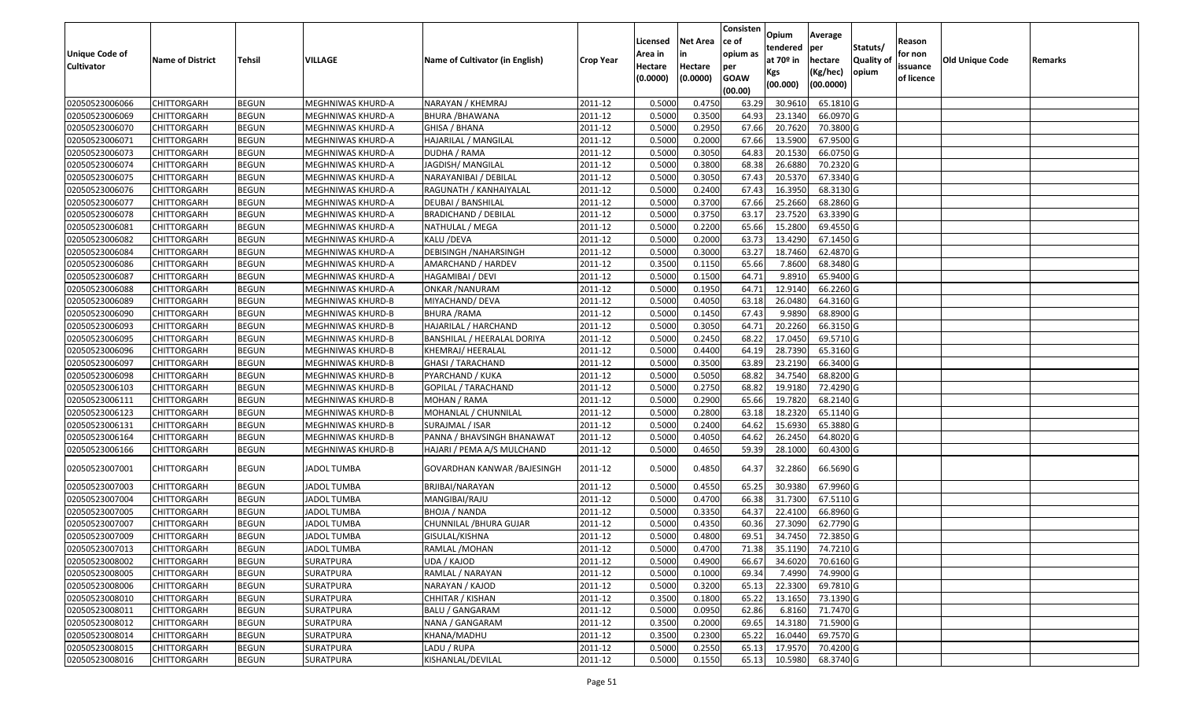| <b>Unique Code of</b><br><b>Cultivator</b> | <b>Name of District</b> | <b>Tehsil</b> | VILLAGE                  | Name of Cultivator (in English) | <b>Crop Year</b> | Licensed<br>Area in<br>Hectare<br>(0.0000) | <b>Net Area</b><br>in<br>Hectare<br>(0.0000) | Consisten<br>ce of<br>opium as<br>per<br><b>GOAW</b><br>(00.00) | Opium<br>tendered<br>at $70°$ in<br>Kgs<br>(00.000) | Average<br>per<br>hectare<br>(Kg/hec)<br>(00.0000) | Statuts/<br>Quality of<br>opium | Reason<br>for non<br>issuance<br>of licence | <b>Old Unique Code</b> | Remarks |
|--------------------------------------------|-------------------------|---------------|--------------------------|---------------------------------|------------------|--------------------------------------------|----------------------------------------------|-----------------------------------------------------------------|-----------------------------------------------------|----------------------------------------------------|---------------------------------|---------------------------------------------|------------------------|---------|
| 02050523006066                             | <b>CHITTORGARH</b>      | <b>BEGUN</b>  | MEGHNIWAS KHURD-A        | NARAYAN / KHEMRAJ               | 2011-12          | 0.5000                                     | 0.4750                                       | 63.29                                                           | 30.961                                              | 65.1810 G                                          |                                 |                                             |                        |         |
| 02050523006069                             | CHITTORGARH             | <b>BEGUN</b>  | MEGHNIWAS KHURD-A        | BHURA /BHAWANA                  | 2011-12          | 0.5000                                     | 0.3500                                       | 64.93                                                           | 23.1340                                             | 66.0970 G                                          |                                 |                                             |                        |         |
| 02050523006070                             | CHITTORGARH             | <b>BEGUN</b>  | MEGHNIWAS KHURD-A        | GHISA / BHANA                   | 2011-12          | 0.5000                                     | 0.2950                                       | 67.66                                                           | 20.7620                                             | 70.3800 G                                          |                                 |                                             |                        |         |
| 02050523006071                             | <b>CHITTORGARH</b>      | <b>BEGUN</b>  | MEGHNIWAS KHURD-A        | HAJARILAL / MANGILAL            | 2011-12          | 0.5000                                     | 0.2000                                       | 67.66                                                           | 13.5900                                             | 67.9500 G                                          |                                 |                                             |                        |         |
| 02050523006073                             | <b>CHITTORGARH</b>      | <b>BEGUN</b>  | MEGHNIWAS KHURD-A        | DUDHA / RAMA                    | 2011-12          | 0.5000                                     | 0.3050                                       | 64.83                                                           | 20.1530                                             | 66.0750 G                                          |                                 |                                             |                        |         |
| 02050523006074                             | <b>CHITTORGARH</b>      | <b>BEGUN</b>  | MEGHNIWAS KHURD-A        | JAGDISH/ MANGILAL               | 2011-12          | 0.5000                                     | 0.3800                                       | 68.38                                                           | 26.6880                                             | 70.2320 G                                          |                                 |                                             |                        |         |
| 02050523006075                             | <b>CHITTORGARH</b>      | <b>BEGUN</b>  | MEGHNIWAS KHURD-A        | NARAYANIBAI / DEBILAL           | 2011-12          | 0.5000                                     | 0.3050                                       | 67.43                                                           | 20.5370                                             | 67.3340 G                                          |                                 |                                             |                        |         |
| 02050523006076                             | <b>CHITTORGARH</b>      | <b>BEGUN</b>  | MEGHNIWAS KHURD-A        | RAGUNATH / KANHAIYALAL          | 2011-12          | 0.5000                                     | 0.2400                                       | 67.43                                                           | 16.3950                                             | 68.3130 G                                          |                                 |                                             |                        |         |
| 02050523006077                             | CHITTORGARH             | <b>BEGUN</b>  | MEGHNIWAS KHURD-A        | DEUBAI / BANSHILAL              | 2011-12          | 0.5000                                     | 0.3700                                       | 67.66                                                           | 25.2660                                             | 68.2860 G                                          |                                 |                                             |                        |         |
| 02050523006078                             | CHITTORGARH             | <b>BEGUN</b>  | MEGHNIWAS KHURD-A        | <b>BRADICHAND / DEBILAL</b>     | 2011-12          | 0.5000                                     | 0.3750                                       | 63.17                                                           | 23.7520                                             | 63.3390 G                                          |                                 |                                             |                        |         |
| 02050523006081                             | CHITTORGARH             | <b>BEGUN</b>  | MEGHNIWAS KHURD-A        | NATHULAL / MEGA                 | 2011-12          | 0.5000                                     | 0.2200                                       | 65.66                                                           | 15.2800                                             | 69.4550 G                                          |                                 |                                             |                        |         |
| 02050523006082                             | CHITTORGARH             | <b>BEGUN</b>  | MEGHNIWAS KHURD-A        | KALU /DEVA                      | 2011-12          | 0.5000                                     | 0.2000                                       | 63.73                                                           | 13.4290                                             | 67.1450 G                                          |                                 |                                             |                        |         |
| 02050523006084                             | CHITTORGARH             | <b>BEGUN</b>  | MEGHNIWAS KHURD-A        | DEBISINGH / NAHARSINGH          | 2011-12          | 0.5000                                     | 0.3000                                       | 63.27                                                           | 18.7460                                             | 62.4870 G                                          |                                 |                                             |                        |         |
| 02050523006086                             | CHITTORGARH             | <b>BEGUN</b>  | MEGHNIWAS KHURD-A        | AMARCHAND / HARDEV              | 2011-12          | 0.3500                                     | 0.1150                                       | 65.66                                                           | 7.8600                                              | 68.3480 G                                          |                                 |                                             |                        |         |
| 02050523006087                             | CHITTORGARH             | <b>BEGUN</b>  | MEGHNIWAS KHURD-A        | HAGAMIBAI / DEVI                | 2011-12          | 0.5000                                     | 0.1500                                       | 64.72                                                           | 9.891                                               | 65.9400 G                                          |                                 |                                             |                        |         |
| 02050523006088                             | CHITTORGARH             | <b>BEGUN</b>  | MEGHNIWAS KHURD-A        | ONKAR / NANURAM                 | 2011-12          | 0.5000                                     | 0.1950                                       | 64.7                                                            | 12.914                                              | 66.2260 G                                          |                                 |                                             |                        |         |
| 02050523006089                             | CHITTORGARH             | <b>BEGUN</b>  | MEGHNIWAS KHURD-B        | MIYACHAND/ DEVA                 | 2011-12          | 0.5000                                     | 0.4050                                       | 63.18                                                           | 26.0480                                             | 64.3160 G                                          |                                 |                                             |                        |         |
| 02050523006090                             | CHITTORGARH             | <b>BEGUN</b>  | MEGHNIWAS KHURD-B        | <b>BHURA / RAMA</b>             | 2011-12          | 0.5000                                     | 0.1450                                       | 67.43                                                           | 9.9890                                              | 68.8900 G                                          |                                 |                                             |                        |         |
| 02050523006093                             | CHITTORGARH             | <b>BEGUN</b>  | MEGHNIWAS KHURD-B        | HAJARILAL / HARCHAND            | 2011-12          | 0.5000                                     | 0.3050                                       | 64.71                                                           | 20.2260                                             | 66.3150 G                                          |                                 |                                             |                        |         |
| 02050523006095                             | CHITTORGARH             | <b>BEGUN</b>  | MEGHNIWAS KHURD-B        | BANSHILAL / HEERALAL DORIYA     | 2011-12          | 0.5000                                     | 0.2450                                       | 68.22                                                           | 17.0450                                             | 69.5710 G                                          |                                 |                                             |                        |         |
| 02050523006096                             | <b>CHITTORGARH</b>      | <b>BEGUN</b>  | <b>MEGHNIWAS KHURD-B</b> | KHEMRAJ/ HEERALAL               | 2011-12          | 0.5000                                     | 0.4400                                       | 64.19                                                           | 28.7390                                             | 65.3160 G                                          |                                 |                                             |                        |         |
| 02050523006097                             | CHITTORGARH             | <b>BEGUN</b>  | MEGHNIWAS KHURD-B        | <b>GHASI / TARACHAND</b>        | 2011-12          | 0.5000                                     | 0.3500                                       | 63.89                                                           | 23.2190                                             | 66.3400 G                                          |                                 |                                             |                        |         |
| 02050523006098                             | CHITTORGARH             | <b>BEGUN</b>  | MEGHNIWAS KHURD-B        | PYARCHAND / KUKA                | 2011-12          | 0.5000                                     | 0.5050                                       | 68.82                                                           | 34.7540                                             | 68.8200 G                                          |                                 |                                             |                        |         |
| 02050523006103                             | CHITTORGARH             | <b>BEGUN</b>  | MEGHNIWAS KHURD-B        | GOPILAL / TARACHAND             | 2011-12          | 0.5000                                     | 0.2750                                       | 68.82                                                           | 19.9180                                             | 72.4290 G                                          |                                 |                                             |                        |         |
| 02050523006111                             | <b>CHITTORGARH</b>      | <b>BEGUN</b>  | MEGHNIWAS KHURD-B        | MOHAN / RAMA                    | 2011-12          | 0.5000                                     | 0.2900                                       | 65.66                                                           | 19.7820                                             | 68.2140 G                                          |                                 |                                             |                        |         |
| 02050523006123                             | CHITTORGARH             | <b>BEGUN</b>  | MEGHNIWAS KHURD-B        | MOHANLAL / CHUNNILAL            | 2011-12          | 0.5000                                     | 0.2800                                       | 63.18                                                           | 18.2320                                             | 65.1140 G                                          |                                 |                                             |                        |         |
| 02050523006131                             | CHITTORGARH             | <b>BEGUN</b>  | MEGHNIWAS KHURD-B        | SURAJMAL / ISAR                 | 2011-12          | 0.5000                                     | 0.2400                                       | 64.62                                                           | 15.6930                                             | 65.3880 G                                          |                                 |                                             |                        |         |
| 02050523006164                             | CHITTORGARH             | <b>BEGUN</b>  | MEGHNIWAS KHURD-B        | PANNA / BHAVSINGH BHANAWAT      | 2011-12          | 0.5000                                     | 0.4050                                       | 64.62                                                           | 26.2450                                             | 64.8020 G                                          |                                 |                                             |                        |         |
| 02050523006166                             | <b>CHITTORGARH</b>      | <b>BEGUN</b>  | MEGHNIWAS KHURD-B        | HAJARI / PEMA A/S MULCHAND      | 2011-12          | 0.5000                                     | 0.4650                                       | 59.39                                                           | 28.1000                                             | 60.4300 G                                          |                                 |                                             |                        |         |
| 02050523007001                             | CHITTORGARH             | <b>BEGUN</b>  | <b>JADOL TUMBA</b>       | GOVARDHAN KANWAR / BAJESINGH    | 2011-12          | 0.5000                                     | 0.4850                                       | 64.37                                                           | 32.2860                                             | 66.5690 G                                          |                                 |                                             |                        |         |
| 02050523007003                             | CHITTORGARH             | <b>BEGUN</b>  | <b>JADOL TUMBA</b>       | BRJIBAI/NARAYAN                 | 2011-12          | 0.5000                                     | 0.4550                                       | 65.25                                                           | 30.9380                                             | 67.9960 G                                          |                                 |                                             |                        |         |
| 02050523007004                             | CHITTORGARH             | <b>BEGUN</b>  | <b>JADOL TUMBA</b>       | MANGIBAI/RAJU                   | 2011-12          | 0.5000                                     | 0.4700                                       | 66.38                                                           | 31.7300                                             | 67.5110G                                           |                                 |                                             |                        |         |
| 02050523007005                             | CHITTORGARH             | <b>BEGUN</b>  | JADOL TUMBA              | <b>BHOJA / NANDA</b>            | 2011-12          | 0.5000                                     | 0.3350                                       | 64.37                                                           | 22.4100                                             | 66.8960 G                                          |                                 |                                             |                        |         |
| 02050523007007                             | CHITTORGARH             | <b>BEGUN</b>  | <b>JADOL TUMBA</b>       | CHUNNILAL /BHURA GUJAR          | 2011-12          | 0.500                                      | 0.4350                                       | 60.36                                                           | 27.3090                                             | 62.7790 G                                          |                                 |                                             |                        |         |
| 02050523007009                             | CHITTORGARH             | <b>BEGUN</b>  | <b>JADOL TUMBA</b>       | GISULAL/KISHNA                  | 2011-12          | 0.5000                                     | 0.4800                                       | 69.51                                                           | 34.7450                                             | 72.3850 G                                          |                                 |                                             |                        |         |
| 02050523007013                             | <b>CHITTORGARH</b>      | <b>BEGUN</b>  | <b>JADOL TUMBA</b>       | RAMLAL / MOHAN                  | $2011-12$        | 0.5000                                     | 0.4700                                       | 71.38                                                           | 35.1190                                             | 74.7210G                                           |                                 |                                             |                        |         |
| 02050523008002                             | <b>CHITTORGARH</b>      | <b>BEGUN</b>  | SURATPURA                | UDA / KAJOD                     | 2011-12          | 0.5000                                     | 0.4900                                       | 66.67                                                           | 34.6020                                             | 70.6160 G                                          |                                 |                                             |                        |         |
| 02050523008005                             | <b>CHITTORGARH</b>      | <b>BEGUN</b>  | <b>SURATPURA</b>         | RAMLAL / NARAYAN                | 2011-12          | 0.5000                                     | 0.1000                                       | 69.34                                                           | 7.4990                                              | 74.9900 G                                          |                                 |                                             |                        |         |
| 02050523008006                             | <b>CHITTORGARH</b>      | <b>BEGUN</b>  | <b>SURATPURA</b>         | NARAYAN / KAJOD                 | 2011-12          | 0.5000                                     | 0.3200                                       | 65.13                                                           | 22.3300                                             | 69.7810 G                                          |                                 |                                             |                        |         |
| 02050523008010                             | <b>CHITTORGARH</b>      | <b>BEGUN</b>  | <b>SURATPURA</b>         | CHHITAR / KISHAN                | 2011-12          | 0.3500                                     | 0.1800                                       | 65.22                                                           | 13.1650                                             | 73.1390 G                                          |                                 |                                             |                        |         |
| 02050523008011                             | <b>CHITTORGARH</b>      | <b>BEGUN</b>  | <b>SURATPURA</b>         | <b>BALU / GANGARAM</b>          | 2011-12          | 0.5000                                     | 0.0950                                       | 62.86                                                           | 6.8160                                              | 71.7470 G                                          |                                 |                                             |                        |         |
| 02050523008012                             | <b>CHITTORGARH</b>      | <b>BEGUN</b>  | <b>SURATPURA</b>         | NANA / GANGARAM                 | 2011-12          | 0.3500                                     | 0.2000                                       | 69.65                                                           | 14.3180                                             | 71.5900 G                                          |                                 |                                             |                        |         |
| 02050523008014                             | <b>CHITTORGARH</b>      | <b>BEGUN</b>  | <b>SURATPURA</b>         | KHANA/MADHU                     | 2011-12          | 0.3500                                     | 0.2300                                       | 65.22                                                           | 16.0440                                             | 69.7570 G                                          |                                 |                                             |                        |         |
| 02050523008015                             | CHITTORGARH             | <b>BEGUN</b>  | SURATPURA                | LADU / RUPA                     | 2011-12          | 0.5000                                     | 0.2550                                       | 65.13                                                           | 17.9570                                             | 70.4200 G                                          |                                 |                                             |                        |         |
| 02050523008016                             | <b>CHITTORGARH</b>      | <b>BEGUN</b>  | SURATPURA                | KISHANLAL/DEVILAL               | 2011-12          | 0.5000                                     | 0.1550                                       | 65.13                                                           | 10.5980                                             | 68.3740 G                                          |                                 |                                             |                        |         |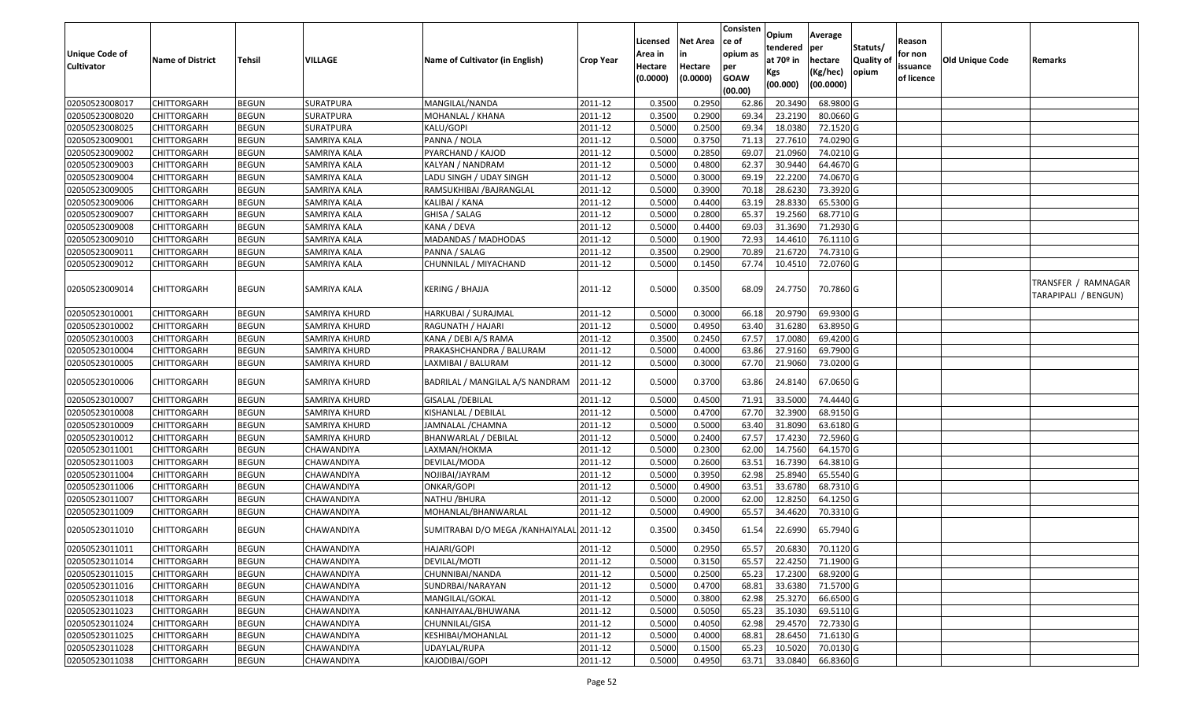| <b>Unique Code of</b><br><b>Cultivator</b> | <b>Name of District</b> | <b>Tehsil</b> | VILLAGE           | Name of Cultivator (in English)          | <b>Crop Year</b> | Licensed<br>Area in<br>Hectare | <b>Net Area</b><br>in<br>Hectare | Consisten<br>ce of<br>opium as<br>per | Opium<br>tendered<br>at 70º in | Average<br>per<br>hectare | Statuts/<br><b>Quality of</b> | Reason<br>for non<br>issuance | <b>Old Unique Code</b> | Remarks                                     |
|--------------------------------------------|-------------------------|---------------|-------------------|------------------------------------------|------------------|--------------------------------|----------------------------------|---------------------------------------|--------------------------------|---------------------------|-------------------------------|-------------------------------|------------------------|---------------------------------------------|
|                                            |                         |               |                   |                                          |                  | (0.0000)                       | (0.0000)                         | <b>GOAW</b><br>(00.00)                | Kgs<br>(00.000)                | (Kg/hec)<br>(00.0000)     | opium                         | of licence                    |                        |                                             |
| 02050523008017                             | <b>CHITTORGARH</b>      | <b>BEGUN</b>  | SURATPURA         | MANGILAL/NANDA                           | 2011-12          | 0.3500                         | 0.295                            | 62.86                                 | 20.3490                        | 68.9800 G                 |                               |                               |                        |                                             |
| 02050523008020                             | CHITTORGARH             | <b>BEGUN</b>  | SURATPURA         | MOHANLAL / KHANA                         | 2011-12          | 0.3500                         | 0.2900                           | 69.34                                 | 23.2190                        | 80.0660 G                 |                               |                               |                        |                                             |
| 02050523008025                             | CHITTORGARH             | <b>BEGUN</b>  | SURATPURA         | KALU/GOPI                                | 2011-12          | 0.5000                         | 0.2500                           | 69.34                                 | 18.0380                        | 72.1520 G                 |                               |                               |                        |                                             |
| 02050523009001                             | CHITTORGARH             | <b>BEGUN</b>  | SAMRIYA KALA      | PANNA / NOLA                             | 2011-12          | 0.5000                         | 0.3750                           | 71.13                                 | 27.7610                        | 74.0290 G                 |                               |                               |                        |                                             |
| 02050523009002                             | <b>CHITTORGARH</b>      | <b>BEGUN</b>  | SAMRIYA KALA      | PYARCHAND / KAJOD                        | 2011-12          | 0.5000                         | 0.2850                           | 69.07                                 | 21.0960                        | 74.0210 G                 |                               |                               |                        |                                             |
| 02050523009003                             | CHITTORGARH             | <b>BEGUN</b>  | SAMRIYA KALA      | KALYAN / NANDRAM                         | 2011-12          | 0.5000                         | 0.4800                           | 62.37                                 | 30.9440                        | 64.4670 G                 |                               |                               |                        |                                             |
| 02050523009004                             | CHITTORGARH             | <b>BEGUN</b>  | SAMRIYA KALA      | LADU SINGH / UDAY SINGH                  | 2011-12          | 0.5000                         | 0.3000                           | 69.19                                 | 22.2200                        | 74.0670 G                 |                               |                               |                        |                                             |
| 02050523009005                             | CHITTORGARH             | <b>BEGUN</b>  | SAMRIYA KALA      | RAMSUKHIBAI / BAJRANGLAL                 | 2011-12          | 0.5000                         | 0.3900                           | 70.18                                 | 28.6230                        | 73.3920 G                 |                               |                               |                        |                                             |
| 02050523009006                             | CHITTORGARH             | <b>BEGUN</b>  | SAMRIYA KALA      | KALIBAI / KANA                           | 2011-12          | 0.5000                         | 0.4400                           | 63.19                                 | 28.8330                        | 65.5300 G                 |                               |                               |                        |                                             |
| 02050523009007                             | CHITTORGARH             | <b>BEGUN</b>  | SAMRIYA KALA      | GHISA / SALAG                            | 2011-12          | 0.5000                         | 0.2800                           | 65.37                                 | 19.2560                        | 68.7710 G                 |                               |                               |                        |                                             |
| 02050523009008                             | <b>CHITTORGARH</b>      | <b>BEGUN</b>  | SAMRIYA KALA      | KANA / DEVA                              | 2011-12          | 0.5000                         | 0.4400                           | 69.03                                 | 31.3690                        | 71.2930 G                 |                               |                               |                        |                                             |
| 02050523009010                             | CHITTORGARH             | <b>BEGUN</b>  | SAMRIYA KALA      | MADANDAS / MADHODAS                      | 2011-12          | 0.5000                         | 0.1900                           | 72.93                                 | 14.4610                        | 76.1110 G                 |                               |                               |                        |                                             |
| 02050523009011                             | <b>CHITTORGARH</b>      | <b>BEGUN</b>  | SAMRIYA KALA      | PANNA / SALAG                            | 2011-12          | 0.3500                         | 0.2900                           | 70.89                                 | 21.6720                        | 74.7310 G                 |                               |                               |                        |                                             |
| 02050523009012                             | CHITTORGARH             | <b>BEGUN</b>  | SAMRIYA KALA      | CHUNNILAL / MIYACHAND                    | 2011-12          | 0.5000                         | 0.1450                           | 67.74                                 | 10.4510                        | 72.0760 G                 |                               |                               |                        |                                             |
| 02050523009014                             | CHITTORGARH             | <b>BEGUN</b>  | SAMRIYA KALA      | <b>KERING / BHAJJA</b>                   | 2011-12          | 0.5000                         | 0.3500                           | 68.09                                 | 24.7750                        | 70.7860 G                 |                               |                               |                        | TRANSFER / RAMNAGAR<br>TARAPIPALI / BENGUN) |
| 02050523010001                             | <b>CHITTORGARH</b>      | <b>BEGUN</b>  | SAMRIYA KHURD     | HARKUBAI / SURAJMAL                      | 2011-12          | 0.5000                         | 0.3000                           | 66.18                                 | 20.9790                        | 69.9300 G                 |                               |                               |                        |                                             |
| 02050523010002                             | <b>CHITTORGARH</b>      | <b>BEGUN</b>  | SAMRIYA KHURD     | RAGUNATH / HAJARI                        | 2011-12          | 0.5000                         | 0.4950                           | 63.40                                 | 31.6280                        | 63.8950 G                 |                               |                               |                        |                                             |
| 02050523010003                             | CHITTORGARH             | <b>BEGUN</b>  | SAMRIYA KHURD     | KANA / DEBI A/S RAMA                     | 2011-12          | 0.3500                         | 0.2450                           | 67.57                                 | 17.0080                        | 69.4200 G                 |                               |                               |                        |                                             |
| 02050523010004                             | CHITTORGARH             | <b>BEGUN</b>  | SAMRIYA KHURD     | PRAKASHCHANDRA / BALURAM                 | 2011-12          | 0.5000                         | 0.4000                           | 63.86                                 | 27.9160                        | 69.7900 G                 |                               |                               |                        |                                             |
| 02050523010005                             | CHITTORGARH             | <b>BEGUN</b>  | SAMRIYA KHURD     | LAXMIBAI / BALURAM                       | 2011-12          | 0.5000                         | 0.3000                           | 67.70                                 | 21.9060                        | 73.0200 G                 |                               |                               |                        |                                             |
| 02050523010006                             | CHITTORGARH             | <b>BEGUN</b>  | SAMRIYA KHURD     | BADRILAL / MANGILAL A/S NANDRAM          | 2011-12          | 0.5000                         | 0.3700                           | 63.86                                 | 24.8140                        | 67.0650 G                 |                               |                               |                        |                                             |
| 02050523010007                             | CHITTORGARH             | <b>BEGUN</b>  | SAMRIYA KHURD     | <b>GISALAL / DEBILAL</b>                 | 2011-12          | 0.5000                         | 0.4500                           | 71.91                                 | 33.5000                        | 74.4440 G                 |                               |                               |                        |                                             |
| 02050523010008                             | <b>CHITTORGARH</b>      | <b>BEGUN</b>  | SAMRIYA KHURD     | KISHANLAL / DEBILAL                      | 2011-12          | 0.5000                         | 0.4700                           | 67.70                                 | 32.3900                        | 68.9150 G                 |                               |                               |                        |                                             |
| 02050523010009                             | <b>CHITTORGARH</b>      | <b>BEGUN</b>  | SAMRIYA KHURD     | JAMNALAL /CHAMNA                         | 2011-12          | 0.5000                         | 0.5000                           | 63.40                                 | 31.8090                        | 63.6180 G                 |                               |                               |                        |                                             |
| 02050523010012                             | <b>CHITTORGARH</b>      | <b>BEGUN</b>  | SAMRIYA KHURD     | BHANWARLAL / DEBILAL                     | 2011-12          | 0.5000                         | 0.2400                           | 67.57                                 | 17.4230                        | 72.5960 G                 |                               |                               |                        |                                             |
| 02050523011001                             | <b>CHITTORGARH</b>      | <b>BEGUN</b>  | CHAWANDIYA        | LAXMAN/HOKMA                             | 2011-12          | 0.5000                         | 0.2300                           | 62.00                                 | 14.7560                        | 64.1570 G                 |                               |                               |                        |                                             |
| 02050523011003                             | <b>CHITTORGARH</b>      | <b>BEGUN</b>  | CHAWANDIYA        | DEVILAL/MODA                             | 2011-12          | 0.5000                         | 0.2600                           | 63.51                                 | 16.7390                        | 64.3810 G                 |                               |                               |                        |                                             |
| 02050523011004                             | CHITTORGARH             | <b>BEGUN</b>  | CHAWANDIYA        | NOJIBAI/JAYRAM                           | 2011-12          | 0.5000                         | 0.3950                           | 62.98                                 | 25.8940                        | 65.5540 G                 |                               |                               |                        |                                             |
| 02050523011006                             | <b>CHITTORGARH</b>      | <b>BEGUN</b>  | CHAWANDIYA        | <b>ONKAR/GOPI</b>                        | 2011-12          | 0.5000                         | 0.4900                           | 63.51                                 | 33.6780                        | 68.7310 G                 |                               |                               |                        |                                             |
| 02050523011007                             | CHITTORGARH             | <b>BEGUN</b>  | CHAWANDIYA        | <b>NATHU / BHURA</b>                     | 2011-12          | 0.5000                         | 0.2000                           | 62.00                                 | 12.8250                        | 64.1250 G                 |                               |                               |                        |                                             |
| 02050523011009                             | CHITTORGARH             | <b>BEGUN</b>  | CHAWANDIYA        | MOHANLAL/BHANWARLAL                      | 2011-12          | 0.5000                         | 0.4900                           | 65.57                                 | 34.4620                        | 70.3310 G                 |                               |                               |                        |                                             |
| 02050523011010                             | CHITTORGARH             | <b>BEGUN</b>  | CHAWANDIYA        | SUMITRABAI D/O MEGA /KANHAIYALAL 2011-12 |                  | 0.3500                         | 0.3450                           | 61.54                                 | 22.6990                        | 65.7940 G                 |                               |                               |                        |                                             |
| 02050523011011                             | <b>CHITTORGARH</b>      | <b>BEGUN</b>  | <b>CHAWANDIYA</b> | HAJARI/GOPI                              | 2011-12          | 0.5000                         | 0.2950                           | 65.57                                 | 20.6830                        | 70.1120 G                 |                               |                               |                        |                                             |
| 02050523011014                             | <b>CHITTORGARH</b>      | <b>BEGUN</b>  | CHAWANDIYA        | DEVILAL/MOTI                             | 2011-12          | 0.5000                         | 0.3150                           | 65.57                                 | 22.4250                        | 71.1900 G                 |                               |                               |                        |                                             |
| 02050523011015                             | <b>CHITTORGARH</b>      | <b>BEGUN</b>  | CHAWANDIYA        | CHUNNIBAI/NANDA                          | 2011-12          | 0.5000                         | 0.2500                           | 65.23                                 | 17.2300                        | 68.9200 G                 |                               |                               |                        |                                             |
| 02050523011016                             | <b>CHITTORGARH</b>      | <b>BEGUN</b>  | CHAWANDIYA        | SUNDRBAI/NARAYAN                         | 2011-12          | 0.5000                         | 0.4700                           | 68.81                                 | 33.6380                        | 71.5700 G                 |                               |                               |                        |                                             |
| 02050523011018                             | <b>CHITTORGARH</b>      | <b>BEGUN</b>  | CHAWANDIYA        | MANGILAL/GOKAL                           | 2011-12          | 0.5000                         | 0.3800                           | 62.98                                 | 25.3270                        | 66.6500 G                 |                               |                               |                        |                                             |
| 02050523011023                             | <b>CHITTORGARH</b>      | <b>BEGUN</b>  | CHAWANDIYA        | KANHAIYAAL/BHUWANA                       | 2011-12          | 0.5000                         | 0.5050                           | 65.23                                 | 35.1030                        | 69.5110 G                 |                               |                               |                        |                                             |
| 02050523011024                             | <b>CHITTORGARH</b>      | <b>BEGUN</b>  | CHAWANDIYA        | CHUNNILAL/GISA                           | 2011-12          | 0.5000                         | 0.4050                           | 62.98                                 | 29.4570                        | 72.7330 G                 |                               |                               |                        |                                             |
| 02050523011025                             | <b>CHITTORGARH</b>      | <b>BEGUN</b>  | CHAWANDIYA        | KESHIBAI/MOHANLAL                        | 2011-12          | 0.5000                         | 0.4000                           | 68.81                                 | 28.6450                        | 71.6130 G                 |                               |                               |                        |                                             |
| 02050523011028                             | CHITTORGARH             | <b>BEGUN</b>  | CHAWANDIYA        | UDAYLAL/RUPA                             | 2011-12          | 0.5000                         | 0.1500                           | 65.23                                 | 10.5020                        | 70.0130 G                 |                               |                               |                        |                                             |
| 02050523011038                             | CHITTORGARH             | <b>BEGUN</b>  | CHAWANDIYA        | KAJODIBAI/GOPI                           | 2011-12          | 0.5000                         | 0.4950                           | 63.71                                 | 33.0840                        | 66.8360 G                 |                               |                               |                        |                                             |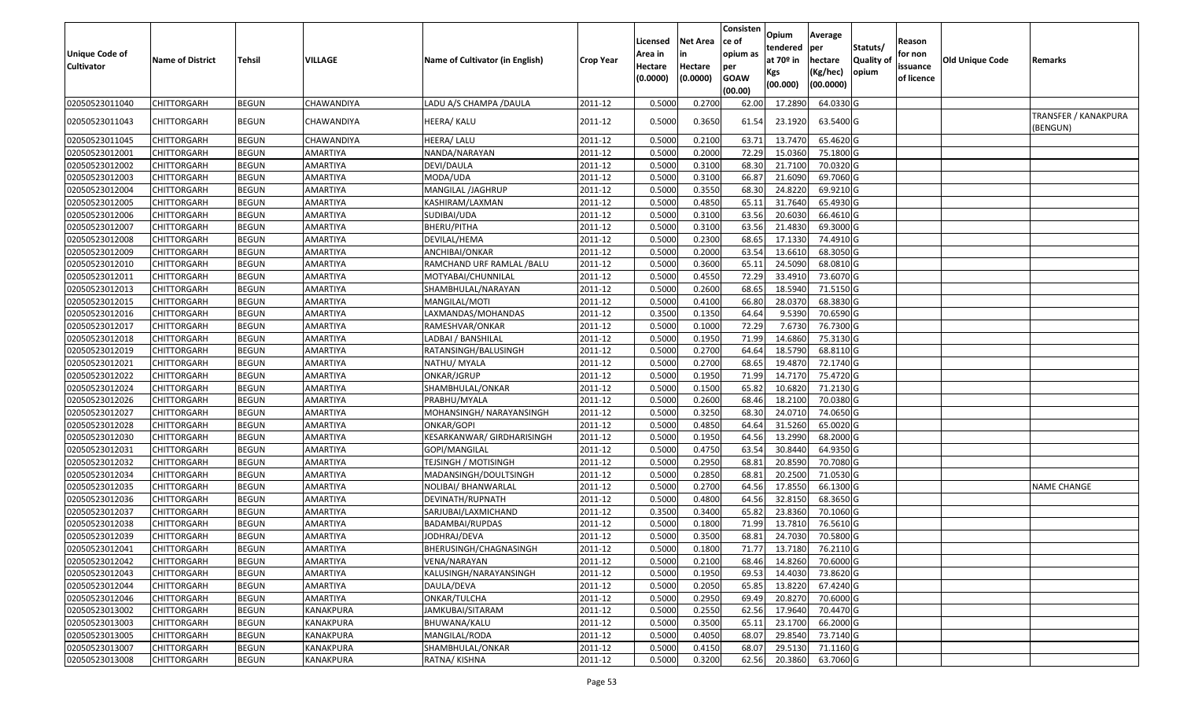| <b>Unique Code of</b><br><b>Cultivator</b> | <b>Name of District</b> | Tehsil       | VILLAGE         | Name of Cultivator (in English) | <b>Crop Year</b> | Licensed<br>Area in<br>Hectare<br>(0.0000) | <b>Net Area</b><br>Hectare<br>(0.0000) | Consisten<br>ce of<br>opium as<br>per<br><b>GOAW</b><br>(00.00) | <b>Opium</b><br>tendered<br>at 70 <sup>o</sup> in<br>Kgs<br>(00.000) | Average<br>per<br>hectare<br>(Kg/hec)<br>(00.0000) | Statuts/<br>Quality of<br>opium | Reason<br>for non<br>issuance<br>of licence | Old Unique Code | Remarks                                 |
|--------------------------------------------|-------------------------|--------------|-----------------|---------------------------------|------------------|--------------------------------------------|----------------------------------------|-----------------------------------------------------------------|----------------------------------------------------------------------|----------------------------------------------------|---------------------------------|---------------------------------------------|-----------------|-----------------------------------------|
| 02050523011040                             | CHITTORGARH             | <b>BEGUN</b> | CHAWANDIYA      | LADU A/S CHAMPA / DAULA         | 2011-12          | 0.5000                                     | 0.2700                                 | 62.00                                                           | 17.2890                                                              | 64.0330 G                                          |                                 |                                             |                 |                                         |
| 02050523011043                             | CHITTORGARH             | <b>BEGUN</b> | CHAWANDIYA      | HEERA/ KALU                     | 2011-12          | 0.5000                                     | 0.3650                                 | 61.54                                                           | 23.1920                                                              | 63.5400 G                                          |                                 |                                             |                 | <b>TRANSFER / KANAKPURA</b><br>(BENGUN) |
| 02050523011045                             | CHITTORGARH             | <b>BEGUN</b> | CHAWANDIYA      | HEERA/ LALU                     | 2011-12          | 0.5000                                     | 0.2100                                 | 63.71                                                           | 13.7470                                                              | 65.4620 G                                          |                                 |                                             |                 |                                         |
| 02050523012001                             | CHITTORGARH             | <b>BEGUN</b> | AMARTIYA        | NANDA/NARAYAN                   | 2011-12          | 0.5000                                     | 0.2000                                 | 72.29                                                           | 15.0360                                                              | 75.1800 G                                          |                                 |                                             |                 |                                         |
| 02050523012002                             | CHITTORGARH             | <b>BEGUN</b> | AMARTIYA        | DEVI/DAULA                      | 2011-12          | 0.5000                                     | 0.3100                                 | 68.30                                                           | 21.7100                                                              | 70.0320 G                                          |                                 |                                             |                 |                                         |
| 02050523012003                             | CHITTORGARH             | <b>BEGUN</b> | AMARTIYA        | MODA/UDA                        | 2011-12          | 0.5000                                     | 0.3100                                 | 66.87                                                           | 21.6090                                                              | 69.7060 G                                          |                                 |                                             |                 |                                         |
| 02050523012004                             | CHITTORGARH             | <b>BEGUN</b> | AMARTIYA        | MANGILAL /JAGHRUP               | 2011-12          | 0.5000                                     | 0.3550                                 | 68.30                                                           | 24.8220                                                              | 69.9210 G                                          |                                 |                                             |                 |                                         |
| 02050523012005                             | CHITTORGARH             | <b>BEGUN</b> | AMARTIYA        | KASHIRAM/LAXMAN                 | 2011-12          | 0.5000                                     | 0.4850                                 | 65.11                                                           | 31.7640                                                              | 65.4930 G                                          |                                 |                                             |                 |                                         |
| 02050523012006                             | CHITTORGARH             | <b>BEGUN</b> | AMARTIYA        | SUDIBAI/UDA                     | 2011-12          | 0.5000                                     | 0.3100                                 | 63.56                                                           | 20.6030                                                              | 66.4610 G                                          |                                 |                                             |                 |                                         |
| 02050523012007                             | <b>CHITTORGARH</b>      | <b>BEGUN</b> | AMARTIYA        | BHERU/PITHA                     | 2011-12          | 0.5000                                     | 0.3100                                 | 63.56                                                           | 21.4830                                                              | 69.3000 G                                          |                                 |                                             |                 |                                         |
| 02050523012008                             | <b>CHITTORGARH</b>      | <b>BEGUN</b> | AMARTIYA        | DEVILAL/HEMA                    | 2011-12          | 0.5000                                     | 0.2300                                 | 68.65                                                           | 17.1330                                                              | 74.4910 G                                          |                                 |                                             |                 |                                         |
| 02050523012009                             | CHITTORGARH             | <b>BEGUN</b> | AMARTIYA        | ANCHIBAI/ONKAR                  | 2011-12          | 0.5000                                     | 0.2000                                 | 63.54                                                           | 13.6610                                                              | 68.3050 G                                          |                                 |                                             |                 |                                         |
| 02050523012010                             | CHITTORGARH             | <b>BEGUN</b> | AMARTIYA        | RAMCHAND URF RAMLAL / BALU      | 2011-12          | 0.5000                                     | 0.3600                                 | 65.11                                                           | 24.5090                                                              | 68.0810 G                                          |                                 |                                             |                 |                                         |
| 02050523012011                             | CHITTORGARH             | <b>BEGUN</b> | AMARTIYA        | MOTYABAI/CHUNNILAL              | 2011-12          | 0.5000                                     | 0.4550                                 | 72.29                                                           | 33.4910                                                              | 73.6070 G                                          |                                 |                                             |                 |                                         |
| 02050523012013                             | CHITTORGARH             | <b>BEGUN</b> | AMARTIYA        | SHAMBHULAL/NARAYAN              | 2011-12          | 0.5000                                     | 0.2600                                 | 68.65                                                           | 18.5940                                                              | 71.5150 G                                          |                                 |                                             |                 |                                         |
| 02050523012015                             | CHITTORGARH             | <b>BEGUN</b> | <b>AMARTIYA</b> | MANGILAL/MOTI                   | 2011-12          | 0.5000                                     | 0.4100                                 | 66.80                                                           | 28.0370                                                              | 68.3830 G                                          |                                 |                                             |                 |                                         |
| 02050523012016                             | CHITTORGARH             | <b>BEGUN</b> | AMARTIYA        | LAXMANDAS/MOHANDAS              | 2011-12          | 0.3500                                     | 0.1350                                 | 64.64                                                           | 9.5390                                                               | 70.6590 G                                          |                                 |                                             |                 |                                         |
| 02050523012017                             | CHITTORGARH             | <b>BEGUN</b> | AMARTIYA        | RAMESHVAR/ONKAR                 | 2011-12          | 0.5000                                     | 0.1000                                 | 72.29                                                           | 7.6730                                                               | 76.7300 G                                          |                                 |                                             |                 |                                         |
| 02050523012018                             | CHITTORGARH             | <b>BEGUN</b> | AMARTIYA        | LADBAI / BANSHILAL              | 2011-12          | 0.5000                                     | 0.1950                                 | 71.99                                                           | 14.6860                                                              | 75.3130 G                                          |                                 |                                             |                 |                                         |
| 02050523012019                             | CHITTORGARH             | <b>BEGUN</b> | <b>AMARTIYA</b> | RATANSINGH/BALUSINGH            | 2011-12          | 0.5000                                     | 0.2700                                 | 64.64                                                           | 18.5790                                                              | 68.8110 G                                          |                                 |                                             |                 |                                         |
| 02050523012021                             | CHITTORGARH             | <b>BEGUN</b> | AMARTIYA        | NATHU/ MYALA                    | 2011-12          | 0.5000                                     | 0.2700                                 | 68.65                                                           | 19.4870                                                              | 72.1740 G                                          |                                 |                                             |                 |                                         |
| 02050523012022                             | CHITTORGARH             | <b>BEGUN</b> | AMARTIYA        | ONKAR/JGRUP                     | 2011-12          | 0.5000                                     | 0.1950                                 | 71.99                                                           | 14.7170                                                              | 75.4720 G                                          |                                 |                                             |                 |                                         |
| 02050523012024                             | CHITTORGARH             | <b>BEGUN</b> | AMARTIYA        | SHAMBHULAL/ONKAR                | 2011-12          | 0.5000                                     | 0.1500                                 | 65.82                                                           | 10.6820                                                              | 71.2130 G                                          |                                 |                                             |                 |                                         |
| 02050523012026                             | CHITTORGARH             | <b>BEGUN</b> | <b>AMARTIYA</b> | PRABHU/MYALA                    | 2011-12          | 0.5000                                     | 0.2600                                 | 68.46                                                           | 18.2100                                                              | 70.0380 G                                          |                                 |                                             |                 |                                         |
| 02050523012027                             | CHITTORGARH             | <b>BEGUN</b> | AMARTIYA        | MOHANSINGH/ NARAYANSINGH        | 2011-12          | 0.5000                                     | 0.3250                                 | 68.30                                                           | 24.0710                                                              | 74.0650 G                                          |                                 |                                             |                 |                                         |
| 02050523012028                             | CHITTORGARH             | <b>BEGUN</b> | AMARTIYA        | ONKAR/GOPI                      | 2011-12          | 0.5000                                     | 0.4850                                 | 64.64                                                           | 31.5260                                                              | 65.0020 G                                          |                                 |                                             |                 |                                         |
| 02050523012030                             | CHITTORGARH             | <b>BEGUN</b> | AMARTIYA        | KESARKANWAR/ GIRDHARISINGH      | 2011-12          | 0.5000                                     | 0.1950                                 | 64.56                                                           | 13.2990                                                              | 68.2000 G                                          |                                 |                                             |                 |                                         |
| 02050523012031                             | CHITTORGARH             | <b>BEGUN</b> | AMARTIYA        | GOPI/MANGILAL                   | 2011-12          | 0.5000                                     | 0.4750                                 | 63.54                                                           | 30.8440                                                              | 64.9350 G                                          |                                 |                                             |                 |                                         |
| 02050523012032                             | CHITTORGARH             | <b>BEGUN</b> | AMARTIYA        | <b>TEJSINGH / MOTISINGH</b>     | 2011-12          | 0.5000                                     | 0.2950                                 | 68.81                                                           | 20.8590                                                              | 70.7080 G                                          |                                 |                                             |                 |                                         |
| 02050523012034                             | CHITTORGARH             | <b>BEGUN</b> | AMARTIYA        | MADANSINGH/DOULTSINGH           | 2011-12          | 0.5000                                     | 0.2850                                 | 68.81                                                           | 20.2500                                                              | 71.0530 G                                          |                                 |                                             |                 |                                         |
| 02050523012035                             | CHITTORGARH             | <b>BEGUN</b> | AMARTIYA        | NOLIBAI/ BHANWARLAL             | 2011-12          | 0.5000                                     | 0.2700                                 | 64.56                                                           | 17.8550                                                              | 66.1300 G                                          |                                 |                                             |                 | <b>NAME CHANGE</b>                      |
| 02050523012036                             | CHITTORGARH             | <b>BEGUN</b> | AMARTIYA        | DEVINATH/RUPNATH                | 2011-12          | 0.5000                                     | 0.4800                                 | 64.56                                                           | 32.8150                                                              | 68.3650 G                                          |                                 |                                             |                 |                                         |
| 02050523012037                             | <b>CHITTORGARH</b>      | <b>BEGUN</b> | AMARTIYA        | SARJUBAI/LAXMICHAND             | 2011-12          | 0.3500                                     | 0.3400                                 | 65.82                                                           | 23.8360                                                              | 70.1060 G                                          |                                 |                                             |                 |                                         |
| 02050523012038                             | CHITTORGARH             | <b>BEGUN</b> | AMARTIYA        | BADAMBAI/RUPDAS                 | 2011-12          | 0.5000                                     | 0.1800                                 | 71.99                                                           | 13.7810                                                              | 76.5610 G                                          |                                 |                                             |                 |                                         |
| 02050523012039                             | CHITTORGARH             | <b>BEGUN</b> | AMARTIYA        | JODHRAJ/DEVA                    | 2011-12          | 0.5000                                     | 0.3500                                 | 68.81                                                           | 24.7030                                                              | 70.5800 G                                          |                                 |                                             |                 |                                         |
| 02050523012041                             | <b>CHITTORGARH</b>      | <b>BEGUN</b> | AMARTIYA        | BHERUSINGH/CHAGNASINGH          | 2011-12          | 0.5000                                     | 0.1800                                 |                                                                 | 71.77 13.7180                                                        | 76.2110 G                                          |                                 |                                             |                 |                                         |
| 02050523012042                             | <b>CHITTORGARH</b>      | <b>BEGUN</b> | AMARTIYA        | VENA/NARAYAN                    | 2011-12          | 0.5000                                     | 0.2100                                 | 68.46                                                           | 14.8260                                                              | 70.6000 G                                          |                                 |                                             |                 |                                         |
| 02050523012043                             | <b>CHITTORGARH</b>      | <b>BEGUN</b> | AMARTIYA        | KALUSINGH/NARAYANSINGH          | 2011-12          | 0.5000                                     | 0.1950                                 | 69.53                                                           | 14.4030                                                              | 73.8620 G                                          |                                 |                                             |                 |                                         |
| 02050523012044                             | <b>CHITTORGARH</b>      | <b>BEGUN</b> | AMARTIYA        | DAULA/DEVA                      | 2011-12          | 0.5000                                     | 0.2050                                 | 65.85                                                           | 13.8220                                                              | 67.4240 G                                          |                                 |                                             |                 |                                         |
| 02050523012046                             | CHITTORGARH             | <b>BEGUN</b> | AMARTIYA        | ONKAR/TULCHA                    | 2011-12          | 0.5000                                     | 0.2950                                 | 69.49                                                           | 20.8270                                                              | 70.6000 G                                          |                                 |                                             |                 |                                         |
| 02050523013002                             | <b>CHITTORGARH</b>      | <b>BEGUN</b> | KANAKPURA       | JAMKUBAI/SITARAM                | 2011-12          | 0.5000                                     | 0.2550                                 | 62.56                                                           | 17.9640                                                              | 70.4470 G                                          |                                 |                                             |                 |                                         |
| 02050523013003                             | <b>CHITTORGARH</b>      | <b>BEGUN</b> | KANAKPURA       | BHUWANA/KALU                    | 2011-12          | 0.5000                                     | 0.3500                                 | 65.11                                                           | 23.1700                                                              | 66.2000 G                                          |                                 |                                             |                 |                                         |
| 02050523013005                             | CHITTORGARH             | <b>BEGUN</b> | KANAKPURA       | MANGILAL/RODA                   | 2011-12          | 0.5000                                     | 0.4050                                 | 68.07                                                           | 29.8540                                                              | 73.7140 G                                          |                                 |                                             |                 |                                         |
| 02050523013007                             | CHITTORGARH             | <b>BEGUN</b> | KANAKPURA       | SHAMBHULAL/ONKAR                | 2011-12          | 0.5000                                     | 0.4150                                 | 68.07                                                           | 29.5130                                                              | 71.1160 G                                          |                                 |                                             |                 |                                         |
| 02050523013008                             | <b>CHITTORGARH</b>      | <b>BEGUN</b> | KANAKPURA       | RATNA/KISHNA                    | 2011-12          | 0.5000                                     | 0.3200                                 | 62.56                                                           | 20.3860                                                              | 63.7060 G                                          |                                 |                                             |                 |                                         |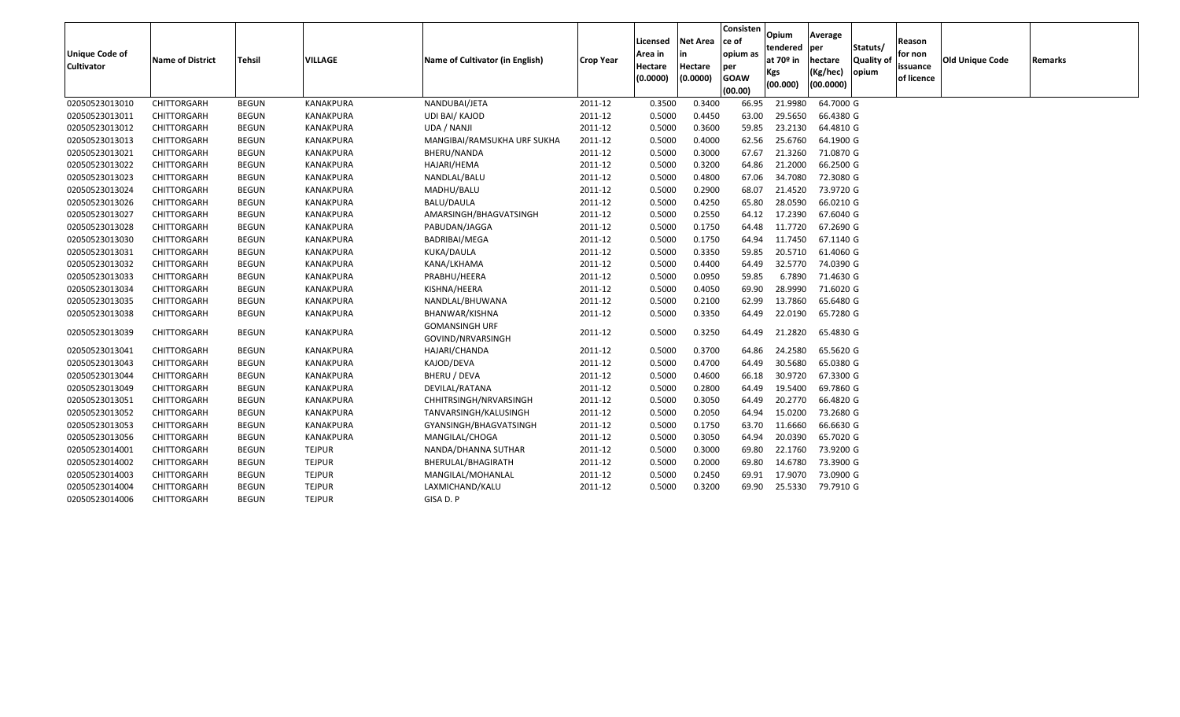| <b>Unique Code of</b><br>Cultivator | Name of District   | <b>Tehsil</b> | <b>VILLAGE</b>   | Name of Cultivator (in English)            | <b>Crop Year</b> | Licensed<br>Area in<br>Hectare<br>(0.0000) | <b>Net Area</b><br>in<br>Hectare<br>(0.0000) | Consisten<br>ce of<br>opium as<br>per<br><b>GOAW</b><br>(00.00) | Opium<br>tendered<br>at 70 <sup>o</sup> in<br>Kgs<br>(00.000) | Average<br>per<br>hectare<br>(Kg/hec)<br>(00.0000) | Statuts/<br><b>Quality of</b><br>opium | Reason<br>for non<br>issuance<br>of licence | <b>Old Unique Code</b> | Remarks |
|-------------------------------------|--------------------|---------------|------------------|--------------------------------------------|------------------|--------------------------------------------|----------------------------------------------|-----------------------------------------------------------------|---------------------------------------------------------------|----------------------------------------------------|----------------------------------------|---------------------------------------------|------------------------|---------|
| 02050523013010                      | CHITTORGARH        | <b>BEGUN</b>  | KANAKPURA        | NANDUBAI/JETA                              | 2011-12          | 0.3500                                     | 0.3400                                       | 66.95                                                           | 21.9980                                                       | 64.7000 G                                          |                                        |                                             |                        |         |
| 02050523013011                      | CHITTORGARH        | <b>BEGUN</b>  | <b>KANAKPURA</b> | <b>UDI BAI/ KAJOD</b>                      | 2011-12          | 0.5000                                     | 0.4450                                       | 63.00                                                           | 29.5650                                                       | 66.4380 G                                          |                                        |                                             |                        |         |
| 02050523013012                      | CHITTORGARH        | BEGUN         | KANAKPURA        | UDA / NANJI                                | 2011-12          | 0.5000                                     | 0.3600                                       | 59.85                                                           | 23.2130                                                       | 64.4810 G                                          |                                        |                                             |                        |         |
| 02050523013013                      | CHITTORGARH        | <b>BEGUN</b>  | KANAKPURA        | MANGIBAI/RAMSUKHA URF SUKHA                | 2011-12          | 0.5000                                     | 0.4000                                       | 62.56                                                           | 25.6760                                                       | 64.1900 G                                          |                                        |                                             |                        |         |
| 02050523013021                      | CHITTORGARH        | <b>BEGUN</b>  | <b>KANAKPURA</b> | BHERU/NANDA                                | 2011-12          | 0.5000                                     | 0.3000                                       | 67.67                                                           | 21.3260                                                       | 71.0870 G                                          |                                        |                                             |                        |         |
| 02050523013022                      | CHITTORGARH        | BEGUN         | KANAKPURA        | HAJARI/HEMA                                | 2011-12          | 0.5000                                     | 0.3200                                       | 64.86                                                           | 21.2000                                                       | 66.2500 G                                          |                                        |                                             |                        |         |
| 02050523013023                      | CHITTORGARH        | <b>BEGUN</b>  | <b>KANAKPURA</b> | NANDLAL/BALU                               | 2011-12          | 0.5000                                     | 0.4800                                       | 67.06                                                           | 34.7080                                                       | 72.3080 G                                          |                                        |                                             |                        |         |
| 02050523013024                      | CHITTORGARH        | <b>BEGUN</b>  | KANAKPURA        | MADHU/BALU                                 | 2011-12          | 0.5000                                     | 0.2900                                       | 68.07                                                           | 21.4520                                                       | 73.9720 G                                          |                                        |                                             |                        |         |
| 02050523013026                      | CHITTORGARH        | <b>BEGUN</b>  | KANAKPURA        | BALU/DAULA                                 | 2011-12          | 0.5000                                     | 0.4250                                       | 65.80                                                           | 28.0590                                                       | 66.0210 G                                          |                                        |                                             |                        |         |
| 02050523013027                      | CHITTORGARH        | <b>BEGUN</b>  | KANAKPURA        | AMARSINGH/BHAGVATSINGH                     | 2011-12          | 0.5000                                     | 0.2550                                       | 64.12                                                           | 17.2390                                                       | 67.6040 G                                          |                                        |                                             |                        |         |
| 02050523013028                      | CHITTORGARH        | <b>BEGUN</b>  | KANAKPURA        | PABUDAN/JAGGA                              | 2011-12          | 0.5000                                     | 0.1750                                       | 64.48                                                           | 11.7720                                                       | 67.2690 G                                          |                                        |                                             |                        |         |
| 02050523013030                      | CHITTORGARH        | BEGUN         | KANAKPURA        | BADRIBAI/MEGA                              | 2011-12          | 0.5000                                     | 0.1750                                       | 64.94                                                           | 11.7450                                                       | 67.1140 G                                          |                                        |                                             |                        |         |
| 02050523013031                      | CHITTORGARH        | <b>BEGUN</b>  | KANAKPURA        | KUKA/DAULA                                 | 2011-12          | 0.5000                                     | 0.3350                                       | 59.85                                                           | 20.5710                                                       | 61.4060 G                                          |                                        |                                             |                        |         |
| 02050523013032                      | CHITTORGARH        | <b>BEGUN</b>  | KANAKPURA        | KANA/LKHAMA                                | 2011-12          | 0.5000                                     | 0.4400                                       | 64.49                                                           | 32.5770                                                       | 74.0390 G                                          |                                        |                                             |                        |         |
| 02050523013033                      | CHITTORGARH        | BEGUN         | KANAKPURA        | PRABHU/HEERA                               | 2011-12          | 0.5000                                     | 0.0950                                       | 59.85                                                           | 6.7890                                                        | 71.4630 G                                          |                                        |                                             |                        |         |
| 02050523013034                      | CHITTORGARH        | <b>BEGUN</b>  | KANAKPURA        | KISHNA/HEERA                               | 2011-12          | 0.5000                                     | 0.4050                                       | 69.90                                                           | 28.9990                                                       | 71.6020 G                                          |                                        |                                             |                        |         |
| 02050523013035                      | CHITTORGARH        | BEGUN         | KANAKPURA        | NANDLAL/BHUWANA                            | 2011-12          | 0.5000                                     | 0.2100                                       | 62.99                                                           | 13.7860                                                       | 65.6480 G                                          |                                        |                                             |                        |         |
| 02050523013038                      | CHITTORGARH        | <b>BEGUN</b>  | KANAKPURA        | BHANWAR/KISHNA                             | 2011-12          | 0.5000                                     | 0.3350                                       | 64.49                                                           | 22.0190                                                       | 65.7280 G                                          |                                        |                                             |                        |         |
| 02050523013039                      | CHITTORGARH        | <b>BEGUN</b>  | KANAKPURA        | <b>GOMANSINGH URF</b><br>GOVIND/NRVARSINGH | 2011-12          | 0.5000                                     | 0.3250                                       | 64.49                                                           | 21.2820                                                       | 65.4830 G                                          |                                        |                                             |                        |         |
| 02050523013041                      | CHITTORGARH        | <b>BEGUN</b>  | <b>KANAKPURA</b> | HAJARI/CHANDA                              | 2011-12          | 0.5000                                     | 0.3700                                       | 64.86                                                           | 24.2580                                                       | 65.5620 G                                          |                                        |                                             |                        |         |
| 02050523013043                      | CHITTORGARH        | <b>BEGUN</b>  | KANAKPURA        | KAJOD/DEVA                                 | 2011-12          | 0.5000                                     | 0.4700                                       | 64.49                                                           | 30.5680                                                       | 65.0380 G                                          |                                        |                                             |                        |         |
| 02050523013044                      | CHITTORGARH        | <b>BEGUN</b>  | KANAKPURA        | <b>BHERU / DEVA</b>                        | 2011-12          | 0.5000                                     | 0.4600                                       | 66.18                                                           | 30.9720                                                       | 67.3300 G                                          |                                        |                                             |                        |         |
| 02050523013049                      | CHITTORGARH        | <b>BEGUN</b>  | KANAKPURA        | DEVILAL/RATANA                             | 2011-12          | 0.5000                                     | 0.2800                                       | 64.49                                                           | 19.5400                                                       | 69.7860 G                                          |                                        |                                             |                        |         |
| 02050523013051                      | CHITTORGARH        | BEGUN         | KANAKPURA        | CHHITRSINGH/NRVARSINGH                     | 2011-12          | 0.5000                                     | 0.3050                                       | 64.49                                                           | 20.2770                                                       | 66.4820 G                                          |                                        |                                             |                        |         |
| 02050523013052                      | CHITTORGARH        | <b>BEGUN</b>  | KANAKPURA        | TANVARSINGH/KALUSINGH                      | 2011-12          | 0.5000                                     | 0.2050                                       | 64.94                                                           | 15.0200                                                       | 73.2680 G                                          |                                        |                                             |                        |         |
| 02050523013053                      | CHITTORGARH        | <b>BEGUN</b>  | <b>KANAKPURA</b> | GYANSINGH/BHAGVATSINGH                     | 2011-12          | 0.5000                                     | 0.1750                                       | 63.70                                                           | 11.6660                                                       | 66.6630 G                                          |                                        |                                             |                        |         |
| 02050523013056                      | CHITTORGARH        | BEGUN         | KANAKPURA        | MANGILAL/CHOGA                             | 2011-12          | 0.5000                                     | 0.3050                                       | 64.94                                                           | 20.0390                                                       | 65.7020 G                                          |                                        |                                             |                        |         |
| 02050523014001                      | CHITTORGARH        | <b>BEGUN</b>  | <b>TEJPUR</b>    | NANDA/DHANNA SUTHAR                        | 2011-12          | 0.5000                                     | 0.3000                                       | 69.80                                                           | 22.1760                                                       | 73.9200 G                                          |                                        |                                             |                        |         |
| 02050523014002                      | CHITTORGARH        | BEGUN         | <b>TEJPUR</b>    | BHERULAL/BHAGIRATH                         | 2011-12          | 0.5000                                     | 0.2000                                       | 69.80                                                           | 14.6780                                                       | 73.3900 G                                          |                                        |                                             |                        |         |
| 02050523014003                      | CHITTORGARH        | BEGUN         | <b>TEJPUR</b>    | MANGILAL/MOHANLAL                          | 2011-12          | 0.5000                                     | 0.2450                                       | 69.91                                                           | 17.9070                                                       | 73.0900 G                                          |                                        |                                             |                        |         |
| 02050523014004                      | CHITTORGARH        | <b>BEGUN</b>  | <b>TEJPUR</b>    | LAXMICHAND/KALU                            | 2011-12          | 0.5000                                     | 0.3200                                       | 69.90                                                           | 25.5330                                                       | 79.7910 G                                          |                                        |                                             |                        |         |
| 02050523014006                      | <b>CHITTORGARH</b> | <b>BEGUN</b>  | <b>TEJPUR</b>    | GISA D. P                                  |                  |                                            |                                              |                                                                 |                                                               |                                                    |                                        |                                             |                        |         |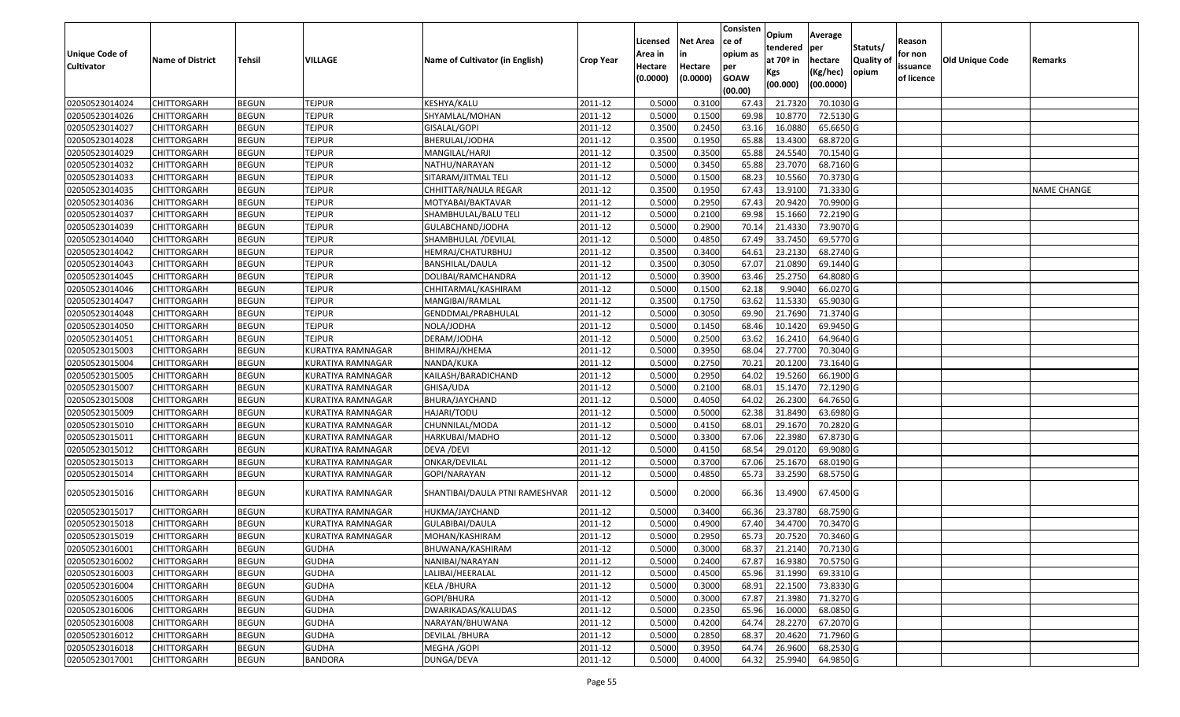|                       |                         |               |                          |                                 |                  | Licensed | <b>Net Area</b> | Consisten<br>ce of | Opium                   | Average               |                  | Reason     |                 |                    |
|-----------------------|-------------------------|---------------|--------------------------|---------------------------------|------------------|----------|-----------------|--------------------|-------------------------|-----------------------|------------------|------------|-----------------|--------------------|
| <b>Unique Code of</b> |                         |               |                          |                                 |                  | Area in  |                 | opium as           | tendered<br>at $70°$ in | per                   | Statuts/         | for non    |                 |                    |
| <b>Cultivator</b>     | <b>Name of District</b> | <b>Tehsil</b> | VILLAGE                  | Name of Cultivator (in English) | <b>Crop Year</b> | Hectare  | Hectare         | per                |                         | hectare               | <b>Quality o</b> | issuance   | Old Unique Code | Remarks            |
|                       |                         |               |                          |                                 |                  | (0.0000) | (0.0000)        | <b>GOAW</b>        | Kgs<br>(00.000)         | (Kg/hec)<br>(00.0000) | opium            | of licence |                 |                    |
|                       |                         |               |                          |                                 |                  |          |                 | (00.00)            |                         |                       |                  |            |                 |                    |
| 02050523014024        | CHITTORGARH             | <b>BEGUN</b>  | <b>TEJPUR</b>            | KESHYA/KALU                     | 2011-12          | 0.5000   | 0.3100          | 67.43              | 21.7320                 | 70.1030 G             |                  |            |                 |                    |
| 02050523014026        | CHITTORGARH             | <b>BEGUN</b>  | <b>TEJPUR</b>            | SHYAMLAL/MOHAN                  | 2011-12          | 0.5000   | 0.1500          | 69.98              | 10.8770                 | 72.5130 G             |                  |            |                 |                    |
| 02050523014027        | CHITTORGARH             | <b>BEGUN</b>  | <b>TEJPUR</b>            | GISALAL/GOPI                    | 2011-12          | 0.3500   | 0.2450          | 63.16              | 16.0880                 | 65.6650 G             |                  |            |                 |                    |
| 02050523014028        | CHITTORGARH             | <b>BEGUN</b>  | <b>TEJPUR</b>            | BHERULAL/JODHA                  | 2011-12          | 0.3500   | 0.1950          | 65.88              | 13.4300                 | 68.8720G              |                  |            |                 |                    |
| 02050523014029        | CHITTORGARH             | <b>BEGUN</b>  | <b>TEJPUR</b>            | MANGILAL/HARJI                  | 2011-12          | 0.3500   | 0.3500          | 65.88              | 24.5540                 | 70.1540 G             |                  |            |                 |                    |
| 02050523014032        | CHITTORGARH             | <b>BEGUN</b>  | <b>TEJPUR</b>            | NATHU/NARAYAN                   | 2011-12          | 0.5000   | 0.3450          | 65.88              | 23.7070                 | $68.7160$ G           |                  |            |                 |                    |
| 02050523014033        | CHITTORGARH             | <b>BEGUN</b>  | <b>TEJPUR</b>            | SITARAM/JITMAL TELI             | 2011-12          | 0.5000   | 0.1500          | 68.23              | 10.5560                 | 70.3730 G             |                  |            |                 |                    |
| 02050523014035        | CHITTORGARH             | <b>BEGUN</b>  | <b>TEJPUR</b>            | CHHITTAR/NAULA REGAR            | 2011-12          | 0.3500   | 0.1950          | 67.43              | 13.9100                 | 71.3330 G             |                  |            |                 | <b>NAME CHANGE</b> |
| 02050523014036        | <b>CHITTORGARH</b>      | <b>BEGUN</b>  | <b>TEJPUR</b>            | MOTYABAI/BAKTAVAR               | 2011-12          | 0.5000   | 0.2950          | 67.43              | 20.9420                 | 70.9900 G             |                  |            |                 |                    |
| 02050523014037        | CHITTORGARH             | <b>BEGUN</b>  | <b>TEJPUR</b>            | SHAMBHULAL/BALU TELI            | 2011-12          | 0.5000   | 0.2100          | 69.98              | 15.1660                 | 72.2190 G             |                  |            |                 |                    |
| 02050523014039        | CHITTORGARH             | <b>BEGUN</b>  | <b>TEJPUR</b>            | GULABCHAND/JODHA                | 2011-12          | 0.5000   | 0.2900          | 70.14              | 21.4330                 | 73.9070 G             |                  |            |                 |                    |
| 02050523014040        | CHITTORGARH             | <b>BEGUN</b>  | <b>TEJPUR</b>            | SHAMBHULAL /DEVILAL             | 2011-12          | 0.5000   | 0.4850          | 67.49              | 33.7450                 | 69.5770 G             |                  |            |                 |                    |
| 02050523014042        | <b>CHITTORGARH</b>      | <b>BEGUN</b>  | <b>TEJPUR</b>            | HEMRAJ/CHATURBHUJ               | 2011-12          | 0.3500   | 0.3400          | 64.61              | 23.2130                 | 68.2740 G             |                  |            |                 |                    |
| 02050523014043        | <b>CHITTORGARH</b>      | <b>BEGUN</b>  | <b>TEJPUR</b>            | BANSHILAL/DAULA                 | 2011-12          | 0.3500   | 0.3050          | 67.07              | 21.0890                 | 69.1440 G             |                  |            |                 |                    |
| 02050523014045        | CHITTORGARH             | <b>BEGUN</b>  | <b>TEJPUR</b>            | DOLIBAI/RAMCHANDRA              | 2011-12          | 0.5000   | 0.3900          | 63.46              | 25.2750                 | 64.8080 G             |                  |            |                 |                    |
| 02050523014046        | <b>CHITTORGARH</b>      | <b>BEGUN</b>  | <b>TEJPUR</b>            | CHHITARMAL/KASHIRAM             | 2011-12          | 0.5000   | 0.1500          | 62.18              | 9.9040                  | 66.0270 G             |                  |            |                 |                    |
| 02050523014047        | <b>CHITTORGARH</b>      | <b>BEGUN</b>  | <b>TEJPUR</b>            | MANGIBAI/RAMLAL                 | 2011-12          | 0.3500   | 0.1750          | 63.62              | 11.5330                 | 65.9030 G             |                  |            |                 |                    |
| 02050523014048        | CHITTORGARH             | <b>BEGUN</b>  | <b>TEJPUR</b>            | GENDDMAL/PRABHULAL              | 2011-12          | 0.5000   | 0.3050          | 69.90              | 21.7690                 | 71.3740 G             |                  |            |                 |                    |
| 02050523014050        | CHITTORGARH             | <b>BEGUN</b>  | <b>TEJPUR</b>            | NOLA/JODHA                      | 2011-12          | 0.5000   | 0.1450          | 68.46              | 10.1420                 | 69.9450 G             |                  |            |                 |                    |
| 02050523014051        | CHITTORGARH             | <b>BEGUN</b>  | <b>TEJPUR</b>            | DERAM/JODHA                     | 2011-12          | 0.5000   | 0.2500          | 63.62              | 16.2410                 | 64.9640 G             |                  |            |                 |                    |
| 02050523015003        | CHITTORGARH             | <b>BEGUN</b>  | KURATIYA RAMNAGAR        | BHIMRAJ/KHEMA                   | 2011-12          | 0.5000   | 0.3950          | 68.04              | 27.7700                 | 70.3040 G             |                  |            |                 |                    |
| 02050523015004        | CHITTORGARH             | <b>BEGUN</b>  | KURATIYA RAMNAGAR        | NANDA/KUKA                      | 2011-12          | 0.500    | 0.2750          | 70.2               | 20.1200                 | 73.1640 G             |                  |            |                 |                    |
| 02050523015005        | CHITTORGARH             | <b>BEGUN</b>  | KURATIYA RAMNAGAR        | KAILASH/BARADICHAND             | 2011-12          | 0.5000   | 0.2950          | 64.02              | 19.5260                 | 66.1900 G             |                  |            |                 |                    |
| 02050523015007        | CHITTORGARH             | <b>BEGUN</b>  | KURATIYA RAMNAGAR        | GHISA/UDA                       | 2011-12          | 0.5000   | 0.2100          | 68.0               | 15.1470                 | 72.1290 G             |                  |            |                 |                    |
| 02050523015008        | CHITTORGARH             | <b>BEGUN</b>  | <b>KURATIYA RAMNAGAR</b> | BHURA/JAYCHAND                  | 2011-12          | 0.5000   | 0.4050          | 64.02              | 26.2300                 | 64.7650 G             |                  |            |                 |                    |
| 02050523015009        | CHITTORGARH             | <b>BEGUN</b>  | KURATIYA RAMNAGAR        | HAJARI/TODU                     | 2011-12          | 0.5000   | 0.5000          | 62.38              | 31.8490                 | 63.6980 G             |                  |            |                 |                    |
| 02050523015010        | CHITTORGARH             | <b>BEGUN</b>  | KURATIYA RAMNAGAR        | CHUNNILAL/MODA                  | 2011-12          | 0.5000   | 0.4150          | 68.0               | 29.1670                 | 70.2820 G             |                  |            |                 |                    |
| 02050523015011        | CHITTORGARH             | <b>BEGUN</b>  | KURATIYA RAMNAGAR        | HARKUBAI/MADHO                  | 2011-12          | 0.5000   | 0.3300          | 67.06              | 22.3980                 | 67.8730 G             |                  |            |                 |                    |
| 02050523015012        | CHITTORGARH             | <b>BEGUN</b>  | KURATIYA RAMNAGAR        | DEVA / DEVI                     | 2011-12          | 0.5000   | 0.4150          | 68.54              | 29.0120                 | 69.9080 G             |                  |            |                 |                    |
| 02050523015013        | CHITTORGARH             | <b>BEGUN</b>  | KURATIYA RAMNAGAR        | ONKAR/DEVILAL                   | 2011-12          | 0.5000   | 0.3700          | 67.06              | 25.1670                 | 68.0190 G             |                  |            |                 |                    |
| 02050523015014        | CHITTORGARH             | <b>BEGUN</b>  | KURATIYA RAMNAGAR        | GOPI/NARAYAN                    | 2011-12          | 0.5000   | 0.4850          | 65.73              | 33.2590                 | 68.5750 G             |                  |            |                 |                    |
| 02050523015016        | CHITTORGARH             | <b>BEGUN</b>  | KURATIYA RAMNAGAR        | SHANTIBAI/DAULA PTNI RAMESHVAR  | 2011-12          | 0.5000   | 0.2000          | 66.36              | 13.4900                 | 67.4500 G             |                  |            |                 |                    |
| 02050523015017        | <b>CHITTORGARH</b>      | <b>BEGUN</b>  | KURATIYA RAMNAGAR        | HUKMA/JAYCHAND                  | 2011-12          | 0.5000   | 0.3400          | 66.36              | 23.3780                 | 68.7590 G             |                  |            |                 |                    |
| 02050523015018        | CHITTORGARH             | <b>BEGUN</b>  | KURATIYA RAMNAGAR        | GULABIBAI/DAULA                 | 2011-12          | 0.500    | 0.4900          | 67.40              | 34.4700                 | 70.3470 G             |                  |            |                 |                    |
| 02050523015019        | CHITTORGARH             | <b>BEGUN</b>  | KURATIYA RAMNAGAR        | MOHAN/KASHIRAM                  | 2011-12          | 0.5000   | 0.2950          | 65.73              | 20.7520                 | 70.3460 G             |                  |            |                 |                    |
| 02050523016001        | <b>CHITTORGARH</b>      | <b>BEGUN</b>  | <b>GUDHA</b>             | BHUWANA/KASHIRAM                | 2011-12          | 0.5000   | 0.3000          |                    | 68.37 21.2140           | 70.7130 G             |                  |            |                 |                    |
| 02050523016002        | <b>CHITTORGARH</b>      | <b>BEGUN</b>  | <b>GUDHA</b>             | NANIBAI/NARAYAN                 | 2011-12          | 0.5000   | 0.2400          | 67.87              | 16.9380                 | 70.5750 G             |                  |            |                 |                    |
| 02050523016003        | <b>CHITTORGARH</b>      | <b>BEGUN</b>  | <b>GUDHA</b>             | LALIBAI/HEERALAL                | 2011-12          | 0.5000   | 0.4500          | 65.96              | 31.1990                 | 69.3310 G             |                  |            |                 |                    |
| 02050523016004        | <b>CHITTORGARH</b>      | <b>BEGUN</b>  | <b>GUDHA</b>             | KELA /BHURA                     | 2011-12          | 0.5000   | 0.3000          | 68.91              | 22.1500                 | 73.8330 G             |                  |            |                 |                    |
| 02050523016005        | CHITTORGARH             | <b>BEGUN</b>  | <b>GUDHA</b>             | GOPI/BHURA                      | 2011-12          | 0.5000   | 0.3000          | 67.87              | 21.3980                 | 71.3270 G             |                  |            |                 |                    |
| 02050523016006        | <b>CHITTORGARH</b>      | <b>BEGUN</b>  | <b>GUDHA</b>             | DWARIKADAS/KALUDAS              | 2011-12          | 0.5000   | 0.2350          | 65.96              | 16.0000                 | 68.0850 G             |                  |            |                 |                    |
| 02050523016008        | <b>CHITTORGARH</b>      | <b>BEGUN</b>  | <b>GUDHA</b>             | NARAYAN/BHUWANA                 | 2011-12          | 0.5000   | 0.4200          | 64.74              | 28.2270                 | 67.2070 G             |                  |            |                 |                    |
| 02050523016012        | <b>CHITTORGARH</b>      | <b>BEGUN</b>  | <b>GUDHA</b>             | DEVILAL / BHURA                 | 2011-12          | 0.5000   | 0.2850          | 68.37              | 20.4620                 | 71.7960 G             |                  |            |                 |                    |
| 02050523016018        | <b>CHITTORGARH</b>      | <b>BEGUN</b>  | <b>GUDHA</b>             | MEGHA / GOPI                    | 2011-12          | 0.5000   | 0.3950          | 64.74              | 26.9600                 | 68.2530 G             |                  |            |                 |                    |
| 02050523017001        | <b>CHITTORGARH</b>      | <b>BEGUN</b>  | <b>BANDORA</b>           | DUNGA/DEVA                      | 2011-12          | 0.5000   | 0.4000          | 64.32              | 25.9940                 | 64.9850 G             |                  |            |                 |                    |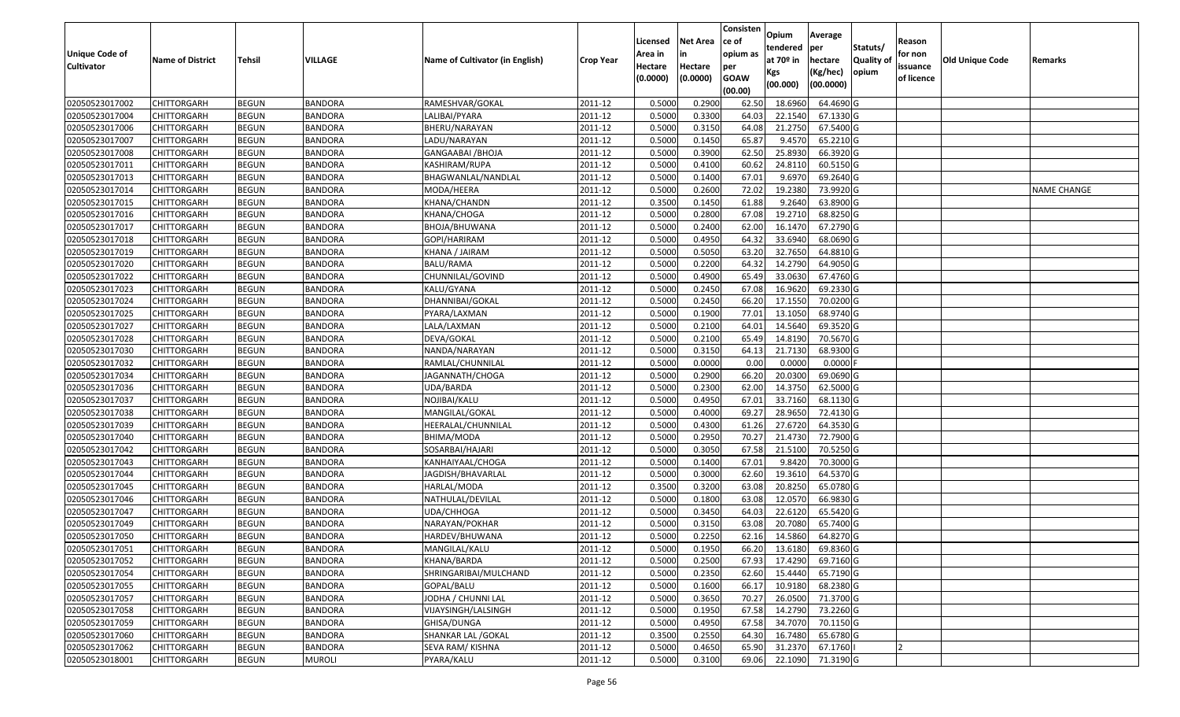|                   |                         |               |                |                                 |                      |          |                 | Consisten              | Opium         | Average   |                  |            |                        |                    |
|-------------------|-------------------------|---------------|----------------|---------------------------------|----------------------|----------|-----------------|------------------------|---------------|-----------|------------------|------------|------------------------|--------------------|
|                   |                         |               |                |                                 |                      | Licensed | <b>Net Area</b> | ce of                  | tendered      | per       | Statuts/         | Reason     |                        |                    |
| Unique Code of    | <b>Name of District</b> | <b>Tehsil</b> | VILLAGE        | Name of Cultivator (in English) | <b>Crop Year</b>     | Area in  | in              | opium as               | at $70°$ in   | hectare   | <b>Quality o</b> | for non    | <b>Old Unique Code</b> | Remarks            |
| <b>Cultivator</b> |                         |               |                |                                 |                      | Hectare  | Hectare         | per                    | Kgs           | (Kg/hec)  | opium            | issuance   |                        |                    |
|                   |                         |               |                |                                 |                      | (0.0000) | (0.0000)        | <b>GOAW</b><br>(00.00) | (00.000)      | (00.0000) |                  | of licence |                        |                    |
| 02050523017002    | CHITTORGARH             | <b>BEGUN</b>  | <b>BANDORA</b> | RAMESHVAR/GOKAL                 | 2011-12              | 0.5000   | 0.2900          | 62.50                  | 18.6960       | 64.4690 G |                  |            |                        |                    |
| 02050523017004    | CHITTORGARH             | <b>BEGUN</b>  | <b>BANDORA</b> | LALIBAI/PYARA                   | 2011-12              | 0.5000   | 0.3300          | 64.03                  | 22.1540       | 67.1330 G |                  |            |                        |                    |
| 02050523017006    | CHITTORGARH             | <b>BEGUN</b>  | <b>BANDORA</b> | BHERU/NARAYAN                   | 2011-12              | 0.5000   | 0.3150          | 64.08                  | 21.2750       | 67.5400 G |                  |            |                        |                    |
| 02050523017007    | <b>CHITTORGARH</b>      | <b>BEGUN</b>  | <b>BANDORA</b> | LADU/NARAYAN                    | 2011-12              | 0.5000   | 0.1450          | 65.87                  | 9.4570        | 65.2210G  |                  |            |                        |                    |
| 02050523017008    | CHITTORGARH             | <b>BEGUN</b>  | <b>BANDORA</b> | GANGAABAI /BHOJA                | 2011-12              | 0.5000   | 0.3900          | 62.50                  | 25.893        | 66.3920 G |                  |            |                        |                    |
| 02050523017011    | CHITTORGARH             | <b>BEGUN</b>  | <b>BANDORA</b> | KASHIRAM/RUPA                   | 2011-12              | 0.5000   | 0.4100          | 60.62                  | 24.8110       | 60.5150 G |                  |            |                        |                    |
| 02050523017013    | CHITTORGARH             | <b>BEGUN</b>  | <b>BANDORA</b> | BHAGWANLAL/NANDLAL              | 2011-12              | 0.5000   | 0.1400          | 67.0                   | 9.697         | 69.2640 G |                  |            |                        |                    |
| 02050523017014    | CHITTORGARH             | <b>BEGUN</b>  | <b>BANDORA</b> | MODA/HEERA                      | 2011-12              | 0.5000   | 0.2600          | 72.02                  | 19.2380       | 73.9920 G |                  |            |                        | <b>NAME CHANGE</b> |
| 02050523017015    | CHITTORGARH             | <b>BEGUN</b>  | <b>BANDORA</b> | KHANA/CHANDN                    | 2011-12              | 0.3500   | 0.1450          | 61.88                  | 9.2640        | 63.8900 G |                  |            |                        |                    |
| 02050523017016    | CHITTORGARH             | <b>BEGUN</b>  | <b>BANDORA</b> | KHANA/CHOGA                     | 2011-12              | 0.5000   | 0.2800          | 67.08                  | 19.2710       | 68.8250 G |                  |            |                        |                    |
| 02050523017017    | CHITTORGARH             | <b>BEGUN</b>  | <b>BANDORA</b> | BHOJA/BHUWANA                   | 2011-12              | 0.5000   | 0.2400          | 62.00                  | 16.1470       | 67.2790 G |                  |            |                        |                    |
| 02050523017018    | CHITTORGARH             | <b>BEGUN</b>  | <b>BANDORA</b> | GOPI/HARIRAM                    | 2011-12              | 0.5000   | 0.4950          | 64.32                  | 33.6940       | 68.0690 G |                  |            |                        |                    |
| 02050523017019    | <b>CHITTORGARH</b>      | <b>BEGUN</b>  | <b>BANDORA</b> | KHANA / JAIRAM                  | 2011-12              | 0.5000   | 0.5050          | 63.20                  | 32.7650       | 64.8810 G |                  |            |                        |                    |
| 02050523017020    | CHITTORGARH             | <b>BEGUN</b>  | <b>BANDORA</b> | BALU/RAMA                       | 2011-12              | 0.5000   | 0.2200          | 64.32                  | 14.2790       | 64.9050 G |                  |            |                        |                    |
| 02050523017022    | <b>CHITTORGARH</b>      | <b>BEGUN</b>  | <b>BANDORA</b> | CHUNNILAL/GOVIND                | 2011-12              | 0.5000   | 0.4900          | 65.49                  | 33.0630       | 67.4760 G |                  |            |                        |                    |
| 02050523017023    | <b>CHITTORGARH</b>      | <b>BEGUN</b>  | <b>BANDORA</b> | KALU/GYANA                      | 2011-12              | 0.5000   | 0.2450          | 67.08                  | 16.9620       | 69.2330 G |                  |            |                        |                    |
| 02050523017024    | CHITTORGARH             | <b>BEGUN</b>  | <b>BANDORA</b> | DHANNIBAI/GOKAL                 | 2011-12              | 0.5000   | 0.2450          | 66.20                  | 17.1550       | 70.0200G  |                  |            |                        |                    |
| 02050523017025    | CHITTORGARH             | <b>BEGUN</b>  | <b>BANDORA</b> | PYARA/LAXMAN                    | 2011-12              | 0.5000   | 0.1900          | 77.01                  | 13.1050       | 68.9740 G |                  |            |                        |                    |
| 02050523017027    | CHITTORGARH             | <b>BEGUN</b>  | <b>BANDORA</b> | LALA/LAXMAN                     | 2011-12              | 0.5000   | 0.2100          | 64.01                  | 14.5640       | 69.3520 G |                  |            |                        |                    |
| 02050523017028    | CHITTORGARH             | <b>BEGUN</b>  | <b>BANDORA</b> | DEVA/GOKAL                      | 2011-12              | 0.5000   | 0.2100          | 65.49                  | 14.8190       | 70.5670 G |                  |            |                        |                    |
| 02050523017030    | CHITTORGARH             | <b>BEGUN</b>  | <b>BANDORA</b> | NANDA/NARAYAN                   | 2011-12              | 0.5000   | 0.3150          | 64.13                  | 21.7130       | 68.9300 G |                  |            |                        |                    |
| 02050523017032    | CHITTORGARH             | <b>BEGUN</b>  | <b>BANDORA</b> | RAMLAL/CHUNNILAL                | 2011-12              | 0.5000   | 0.0000          | 0.00                   | 0.000         | 0.0000    |                  |            |                        |                    |
| 02050523017034    | CHITTORGARH             | <b>BEGUN</b>  | <b>BANDORA</b> | JAGANNATH/CHOGA                 | 2011-12              | 0.5000   | 0.2900          | 66.20                  | 20.0300       | 69.0690 G |                  |            |                        |                    |
| 02050523017036    | <b>CHITTORGARH</b>      | <b>BEGUN</b>  | <b>BANDORA</b> | UDA/BARDA                       | 2011-12              | 0.5000   | 0.2300          | 62.00                  | 14.3750       | 62.5000G  |                  |            |                        |                    |
| 02050523017037    | <b>CHITTORGARH</b>      | <b>BEGUN</b>  | <b>BANDORA</b> | NOJIBAI/KALU                    | 2011-12              | 0.5000   | 0.4950          | 67.01                  | 33.7160       | 68.1130 G |                  |            |                        |                    |
| 02050523017038    | CHITTORGARH             | <b>BEGUN</b>  | <b>BANDORA</b> | MANGILAL/GOKAL                  | 2011-12              | 0.5000   | 0.4000          | 69.27                  | 28.9650       | 72.4130 G |                  |            |                        |                    |
| 02050523017039    | CHITTORGARH             | <b>BEGUN</b>  | <b>BANDORA</b> | HEERALAL/CHUNNILAL              | 2011-12              | 0.5000   | 0.4300          | 61.26                  | 27.6720       | 64.3530 G |                  |            |                        |                    |
| 02050523017040    | CHITTORGARH             | <b>BEGUN</b>  | <b>BANDORA</b> | BHIMA/MODA                      | 2011-12              | 0.5000   | 0.2950          | 70.27                  | 21.4730       | 72.7900 G |                  |            |                        |                    |
| 02050523017042    | CHITTORGARH             | <b>BEGUN</b>  | <b>BANDORA</b> | SOSARBAI/HAJARI                 | 2011-12              | 0.5000   | 0.3050          | 67.58                  | 21.5100       | 70.5250 G |                  |            |                        |                    |
| 02050523017043    | CHITTORGARH             | <b>BEGUN</b>  | <b>BANDORA</b> | KANHAIYAAL/CHOGA                | 2011-12              | 0.5000   | 0.1400          | 67.01                  | 9.8420        | 70.3000G  |                  |            |                        |                    |
| 02050523017044    | CHITTORGARH             | <b>BEGUN</b>  | <b>BANDORA</b> | JAGDISH/BHAVARLAL               | 2011-12              | 0.5000   | 0.3000          | 62.60                  | 19.361        | 64.5370 G |                  |            |                        |                    |
| 02050523017045    | CHITTORGARH             | <b>BEGUN</b>  | <b>BANDORA</b> | HARLAL/MODA                     | 2011-12              | 0.3500   | 0.3200          | 63.08                  | 20.8250       | 65.0780 G |                  |            |                        |                    |
| 02050523017046    | CHITTORGARH             | <b>BEGUN</b>  | <b>BANDORA</b> | NATHULAL/DEVILAL                | 2011-12              | 0.5000   | 0.1800          | 63.08                  | 12.057        | 66.9830 G |                  |            |                        |                    |
| 02050523017047    | CHITTORGARH             | <b>BEGUN</b>  | <b>BANDORA</b> | UDA/CHHOGA                      | 2011-12              | 0.5000   | 0.3450          | 64.03                  | 22.6120       | 65.5420 G |                  |            |                        |                    |
| 02050523017049    | CHITTORGARH             | <b>BEGUN</b>  | <b>BANDORA</b> | NARAYAN/POKHAR                  | 2011-12              | 0.500    | 0.3150          | 63.08                  | 20.7080       | 65.7400 G |                  |            |                        |                    |
| 02050523017050    | CHITTORGARH             | <b>BEGUN</b>  | <b>BANDORA</b> | HARDEV/BHUWANA                  | 2011-12              | 0.5000   | 0.2250          | 62.16                  | 14.5860       | 64.8270 G |                  |            |                        |                    |
| 02050523017051    | <b>CHITTORGARH</b>      | <b>BEGUN</b>  | <b>BANDORA</b> | MANGILAL/KALU                   | $\overline{2011-12}$ | 0.5000   | 0.1950          |                        | 66.20 13.6180 | 69.8360 G |                  |            |                        |                    |
| 02050523017052    | <b>CHITTORGARH</b>      | <b>BEGUN</b>  | <b>BANDORA</b> | KHANA/BARDA                     | 2011-12              | 0.5000   | 0.2500          | 67.93                  | 17.4290       | 69.7160 G |                  |            |                        |                    |
| 02050523017054    | <b>CHITTORGARH</b>      | <b>BEGUN</b>  | <b>BANDORA</b> | SHRINGARIBAI/MULCHAND           | 2011-12              | 0.5000   | 0.2350          | 62.60                  | 15.4440       | 65.7190 G |                  |            |                        |                    |
| 02050523017055    | <b>CHITTORGARH</b>      | <b>BEGUN</b>  | <b>BANDORA</b> | GOPAL/BALU                      | 2011-12              | 0.5000   | 0.1600          | 66.17                  | 10.9180       | 68.2380 G |                  |            |                        |                    |
| 02050523017057    | CHITTORGARH             | <b>BEGUN</b>  | <b>BANDORA</b> | JODHA / CHUNNI LAL              | 2011-12              | 0.5000   | 0.3650          | 70.27                  | 26.0500       | 71.3700 G |                  |            |                        |                    |
| 02050523017058    | <b>CHITTORGARH</b>      | <b>BEGUN</b>  | <b>BANDORA</b> | VIJAYSINGH/LALSINGH             | 2011-12              | 0.5000   | 0.1950          | 67.58                  | 14.2790       | 73.2260 G |                  |            |                        |                    |
| 02050523017059    | <b>CHITTORGARH</b>      | <b>BEGUN</b>  | <b>BANDORA</b> | GHISA/DUNGA                     | 2011-12              | 0.5000   | 0.4950          | 67.58                  | 34.7070       | 70.1150 G |                  |            |                        |                    |
| 02050523017060    | <b>CHITTORGARH</b>      | <b>BEGUN</b>  | <b>BANDORA</b> | SHANKAR LAL / GOKAL             | 2011-12              | 0.3500   | 0.2550          | 64.30                  | 16.7480       | 65.6780 G |                  |            |                        |                    |
| 02050523017062    | <b>CHITTORGARH</b>      | <b>BEGUN</b>  | <b>BANDORA</b> | SEVA RAM/ KISHNA                | 2011-12              | 0.5000   | 0.4650          | 65.90                  | 31.2370       | 67.1760   |                  |            |                        |                    |
| 02050523018001    | <b>CHITTORGARH</b>      | <b>BEGUN</b>  | <b>MUROLI</b>  | PYARA/KALU                      | 2011-12              | 0.5000   | 0.3100          | 69.06                  | 22.1090       | 71.3190 G |                  |            |                        |                    |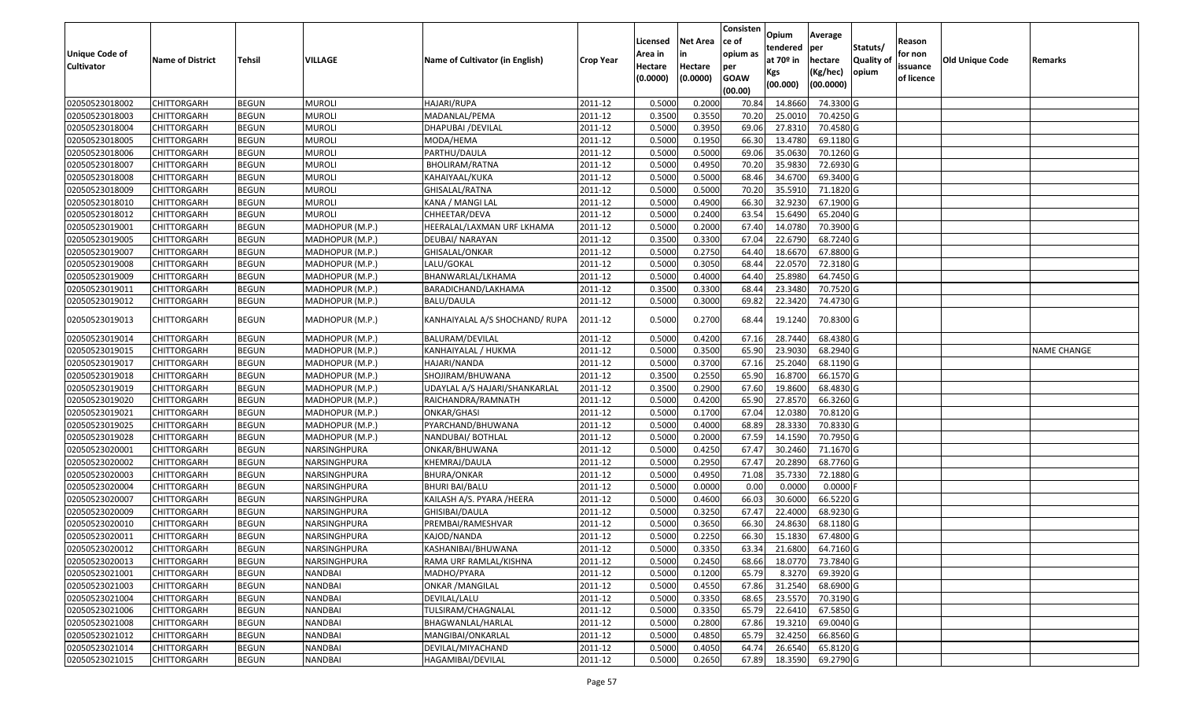|                       |                         |               |                 |                                 |                  | Licensed | <b>Net Area</b> | Consisten<br>ce of | Opium                   | Average                |                           | Reason     |                 |                    |
|-----------------------|-------------------------|---------------|-----------------|---------------------------------|------------------|----------|-----------------|--------------------|-------------------------|------------------------|---------------------------|------------|-----------------|--------------------|
| <b>Unique Code of</b> |                         |               |                 | Name of Cultivator (in English) |                  | Area in  |                 | opium as           | tendered<br>at $70°$ in | per                    | Statuts/                  | for non    |                 |                    |
| <b>Cultivator</b>     | <b>Name of District</b> | <b>Tehsil</b> | VILLAGE         |                                 | <b>Crop Year</b> | Hectare  | Hectare         | per                |                         | hectare                | <b>Quality o</b><br>opium | issuance   | Old Unique Code | Remarks            |
|                       |                         |               |                 |                                 |                  | (0.0000) | (0.0000)        | <b>GOAW</b>        | Kgs<br>(00.000)         | (Kg/hec)<br>(00.0000)  |                           | of licence |                 |                    |
|                       |                         |               |                 |                                 |                  |          |                 | (00.00)            |                         |                        |                           |            |                 |                    |
| 02050523018002        | CHITTORGARH             | <b>BEGUN</b>  | <b>MUROLI</b>   | HAJARI/RUPA                     | 2011-12          | 0.5000   | 0.2000          | 70.84              | 14.8660                 | 74.3300 G              |                           |            |                 |                    |
| 02050523018003        | CHITTORGARH             | <b>BEGUN</b>  | <b>MUROLI</b>   | MADANLAL/PEMA                   | 2011-12          | 0.3500   | 0.3550          | 70.20              | 25.0010                 | 70.4250 G              |                           |            |                 |                    |
| 02050523018004        | CHITTORGARH             | <b>BEGUN</b>  | <b>MUROLI</b>   | DHAPUBAI /DEVILAL               | 2011-12          | 0.5000   | 0.3950          | 69.06              | 27.831                  | 70.4580 G              |                           |            |                 |                    |
| 02050523018005        | <b>CHITTORGARH</b>      | <b>BEGUN</b>  | <b>MUROLI</b>   | MODA/HEMA                       | 2011-12          | 0.5000   | 0.1950          | 66.30              | 13.4780                 | 69.1180 G              |                           |            |                 |                    |
| 02050523018006        | CHITTORGARH             | <b>BEGUN</b>  | <b>MUROLI</b>   | PARTHU/DAULA                    | 2011-12          | 0.5000   | 0.5000          | 69.06              | 35.063                  | 70.1260 G              |                           |            |                 |                    |
| 02050523018007        | CHITTORGARH             | <b>BEGUN</b>  | <b>MUROLI</b>   | BHOLIRAM/RATNA                  | 2011-12          | 0.5000   | 0.4950          | 70.20              | 35.9830                 | $\overline{72.6930}$ G |                           |            |                 |                    |
| 02050523018008        | CHITTORGARH             | <b>BEGUN</b>  | <b>MUROLI</b>   | KAHAIYAAL/KUKA                  | 2011-12          | 0.5000   | 0.5000          | 68.4               | 34.6700                 | 69.3400 G              |                           |            |                 |                    |
| 02050523018009        | <b>CHITTORGARH</b>      | <b>BEGUN</b>  | <b>MUROLI</b>   | GHISALAL/RATNA                  | 2011-12          | 0.5000   | 0.5000          | 70.20              | 35.5910                 | 71.1820 G              |                           |            |                 |                    |
| 02050523018010        | CHITTORGARH             | <b>BEGUN</b>  | <b>MUROLI</b>   | KANA / MANGI LAL                | 2011-12          | 0.5000   | 0.4900          | 66.30              | 32.923                  | 67.1900 G              |                           |            |                 |                    |
| 02050523018012        | CHITTORGARH             | <b>BEGUN</b>  | <b>MUROLI</b>   | CHHEETAR/DEVA                   | 2011-12          | 0.5000   | 0.2400          | 63.54              | 15.6490                 | 65.2040 G              |                           |            |                 |                    |
| 02050523019001        | CHITTORGARH             | <b>BEGUN</b>  | MADHOPUR (M.P.) | HEERALAL/LAXMAN URF LKHAMA      | 2011-12          | 0.5000   | 0.2000          | 67.40              | 14.0780                 | 70.3900 G              |                           |            |                 |                    |
| 02050523019005        | <b>CHITTORGARH</b>      | <b>BEGUN</b>  | MADHOPUR (M.P.) | DEUBAI/ NARAYAN                 | 2011-12          | 0.3500   | 0.3300          | 67.04              | 22.6790                 | 68.7240 G              |                           |            |                 |                    |
| 02050523019007        | <b>CHITTORGARH</b>      | <b>BEGUN</b>  | MADHOPUR (M.P.) | GHISALAL/ONKAR                  | 2011-12          | 0.5000   | 0.2750          | 64.40              | 18.6670                 | 67.8800 G              |                           |            |                 |                    |
| 02050523019008        | <b>CHITTORGARH</b>      | <b>BEGUN</b>  | MADHOPUR (M.P.) | LALU/GOKAL                      | 2011-12          | 0.5000   | 0.3050          | 68.44              | 22.0570                 | 72.3180 G              |                           |            |                 |                    |
| 02050523019009        | CHITTORGARH             | <b>BEGUN</b>  | MADHOPUR (M.P.) | BHANWARLAL/LKHAMA               | 2011-12          | 0.5000   | 0.4000          | 64.40              | 25.8980                 | 64.7450 G              |                           |            |                 |                    |
| 02050523019011        | CHITTORGARH             | <b>BEGUN</b>  | MADHOPUR (M.P.) | BARADICHAND/LAKHAMA             | 2011-12          | 0.3500   | 0.3300          | 68.44              | 23.3480                 | 70.7520 G              |                           |            |                 |                    |
| 02050523019012        | CHITTORGARH             | <b>BEGUN</b>  | MADHOPUR (M.P.) | <b>BALU/DAULA</b>               | 2011-12          | 0.5000   | 0.3000          | 69.82              | 22.3420                 | 74.4730 G              |                           |            |                 |                    |
| 02050523019013        | CHITTORGARH             | <b>BEGUN</b>  | MADHOPUR (M.P.) | KANHAIYALAL A/S SHOCHAND/ RUPA  | 2011-12          | 0.5000   | 0.2700          | 68.44              | 19.1240                 | 70.8300 G              |                           |            |                 |                    |
| 02050523019014        | CHITTORGARH             | <b>BEGUN</b>  | MADHOPUR (M.P.) | <b>BALURAM/DEVILAL</b>          | 2011-12          | 0.5000   | 0.4200          | 67.16              | 28.744                  | 68.4380 G              |                           |            |                 |                    |
| 02050523019015        | CHITTORGARH             | <b>BEGUN</b>  | MADHOPUR (M.P.) | KANHAIYALAL / HUKMA             | 2011-12          | 0.5000   | 0.3500          | 65.90              | 23.9030                 | 68.2940 G              |                           |            |                 | <b>NAME CHANGE</b> |
| 02050523019017        | CHITTORGARH             | <b>BEGUN</b>  | MADHOPUR (M.P.) | HAJARI/NANDA                    | 2011-12          | 0.5000   | 0.3700          | 67.16              | 25.2040                 | 68.1190 G              |                           |            |                 |                    |
| 02050523019018        | CHITTORGARH             | <b>BEGUN</b>  | MADHOPUR (M.P.) | SHOJIRAM/BHUWANA                | 2011-12          | 0.3500   | 0.2550          | 65.90              | 16.8700                 | 66.1570 G              |                           |            |                 |                    |
| 02050523019019        | CHITTORGARH             | <b>BEGUN</b>  | MADHOPUR (M.P.) | UDAYLAL A/S HAJARI/SHANKARLAL   | 2011-12          | 0.3500   | 0.2900          | 67.60              | 19.8600                 | 68.4830 G              |                           |            |                 |                    |
| 02050523019020        | CHITTORGARH             | <b>BEGUN</b>  | MADHOPUR (M.P.) | RAICHANDRA/RAMNATH              | 2011-12          | 0.5000   | 0.4200          | 65.90              | 27.8570                 | 66.3260 G              |                           |            |                 |                    |
| 02050523019021        | CHITTORGARH             | <b>BEGUN</b>  | MADHOPUR (M.P.) | ONKAR/GHASI                     | 2011-12          | 0.5000   | 0.1700          | 67.04              | 12.038                  | 70.8120 G              |                           |            |                 |                    |
| 02050523019025        | CHITTORGARH             | <b>BEGUN</b>  | MADHOPUR (M.P.) | PYARCHAND/BHUWANA               | 2011-12          | 0.5000   | 0.4000          | 68.89              | 28.3330                 | 70.8330 G              |                           |            |                 |                    |
| 02050523019028        | CHITTORGARH             | <b>BEGUN</b>  | MADHOPUR (M.P.) | NANDUBAI/ BOTHLAL               | 2011-12          | 0.5000   | 0.2000          | 67.59              | 14.1590                 | 70.7950 G              |                           |            |                 |                    |
| 02050523020001        | <b>CHITTORGARH</b>      | <b>BEGUN</b>  | NARSINGHPURA    | ONKAR/BHUWANA                   | 2011-12          | 0.5000   | 0.4250          | 67.47              | 30.2460                 | 71.1670 G              |                           |            |                 |                    |
| 02050523020002        | CHITTORGARH             | <b>BEGUN</b>  | NARSINGHPURA    | KHEMRAJ/DAULA                   | 2011-12          | 0.5000   | 0.2950          | 67.47              | 20.2890                 | 68.7760 G              |                           |            |                 |                    |
| 02050523020003        | CHITTORGARH             | <b>BEGUN</b>  | NARSINGHPURA    | BHURA/ONKAR                     | 2011-12          | 0.5000   | 0.4950          | 71.08              | 35.7330                 | 72.1880 G              |                           |            |                 |                    |
| 02050523020004        | CHITTORGARH             | <b>BEGUN</b>  | NARSINGHPURA    | BHURI BAI/BALU                  | 2011-12          | 0.5000   | 0.0000          | 0.00               | 0.0000                  | 0.0000F                |                           |            |                 |                    |
| 02050523020007        | CHITTORGARH             | <b>BEGUN</b>  | NARSINGHPURA    | KAILASH A/S. PYARA /HEERA       | 2011-12          | 0.5000   | 0.4600          | 66.03              | 30.6000                 | 66.5220 G              |                           |            |                 |                    |
| 02050523020009        | <b>CHITTORGARH</b>      | <b>BEGUN</b>  | NARSINGHPURA    | GHISIBAI/DAULA                  | 2011-12          | 0.5000   | 0.3250          | 67.47              | 22.4000                 | 68.9230 G              |                           |            |                 |                    |
| 02050523020010        | CHITTORGARH             | <b>BEGUN</b>  | NARSINGHPURA    | PREMBAI/RAMESHVAR               | 2011-12          | 0.500    | 0.3650          | 66.30              | 24.8630                 | 68.1180 G              |                           |            |                 |                    |
| 02050523020011        | CHITTORGARH             | <b>BEGUN</b>  | NARSINGHPURA    | KAJOD/NANDA                     | 2011-12          | 0.5000   | 0.2250          | 66.30              | 15.1830                 | 67.4800 G              |                           |            |                 |                    |
| 02050523020012        | <b>CHITTORGARH</b>      | <b>BEGUN</b>  | NARSINGHPURA    | KASHANIBAI/BHUWANA              | 2011-12          | 0.5000   | 0.3350          | 63.34              | 21.6800                 | 64.7160 G              |                           |            |                 |                    |
| 02050523020013        | <b>CHITTORGARH</b>      | <b>BEGUN</b>  | NARSINGHPURA    | RAMA URF RAMLAL/KISHNA          | 2011-12          | 0.5000   | 0.2450          | 68.66              | 18.0770                 | 73.7840 G              |                           |            |                 |                    |
| 02050523021001        | <b>CHITTORGARH</b>      | <b>BEGUN</b>  | <b>NANDBAI</b>  | MADHO/PYARA                     | 2011-12          | 0.5000   | 0.1200          | 65.79              | 8.3270                  | 69.3920 G              |                           |            |                 |                    |
| 02050523021003        | <b>CHITTORGARH</b>      | <b>BEGUN</b>  | NANDBAI         | ONKAR / MANGILAL                | 2011-12          | 0.5000   | 0.4550          | 67.86              | 31.2540                 | 68.6900 G              |                           |            |                 |                    |
| 02050523021004        | CHITTORGARH             | <b>BEGUN</b>  | NANDBAI         | DEVILAL/LALU                    | 2011-12          | 0.5000   | 0.3350          | 68.65              | 23.5570                 | 70.3190 G              |                           |            |                 |                    |
| 02050523021006        | <b>CHITTORGARH</b>      | <b>BEGUN</b>  | <b>NANDBAI</b>  | TULSIRAM/CHAGNALAL              | 2011-12          | 0.5000   | 0.3350          | 65.79              | 22.6410                 | 67.5850 G              |                           |            |                 |                    |
| 02050523021008        | <b>CHITTORGARH</b>      | <b>BEGUN</b>  | <b>NANDBAI</b>  | BHAGWANLAL/HARLAL               | 2011-12          | 0.5000   | 0.2800          | 67.86              | 19.3210                 | 69.0040 G              |                           |            |                 |                    |
| 02050523021012        | <b>CHITTORGARH</b>      | <b>BEGUN</b>  | NANDBAI         | MANGIBAI/ONKARLAL               | 2011-12          | 0.5000   | 0.4850          | 65.79              | 32.4250                 | 66.8560 G              |                           |            |                 |                    |
| 02050523021014        | <b>CHITTORGARH</b>      | <b>BEGUN</b>  | NANDBAI         | DEVILAL/MIYACHAND               | 2011-12          | 0.5000   | 0.4050          | 64.74              | 26.6540                 | 65.8120 G              |                           |            |                 |                    |
| 02050523021015        | <b>CHITTORGARH</b>      | <b>BEGUN</b>  | NANDBAI         | HAGAMIBAI/DEVILAL               | 2011-12          | 0.5000   | 0.2650          | 67.89              | 18.3590                 | 69.2790 G              |                           |            |                 |                    |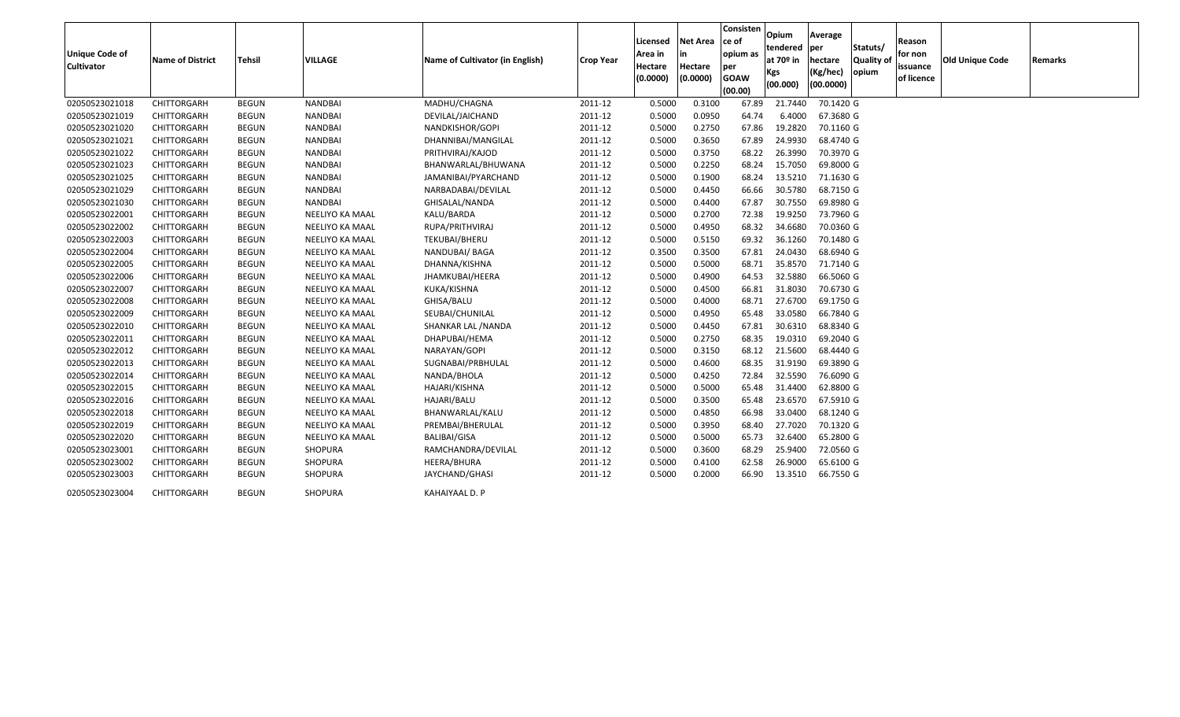| Unique Code of<br><b>Cultivator</b> | <b>Name of District</b> | Tehsil       | <b>VILLAGE</b>  | Name of Cultivator (in English) | <b>Crop Year</b> | Licensed<br>Area in<br>Hectare<br>(0.0000) | <b>Net Area</b><br>in<br>Hectare<br>(0.0000) | Consisten<br>ce of<br>opium as<br>per<br><b>GOAW</b><br>(00.00) | Opium<br>tendered<br>at 70º in<br>Kgs<br>(00.000) | Average<br><b>lper</b><br>hectare<br>(Kg/hec)<br>(00.0000) | Statuts/<br><b>Quality of</b><br>opium | Reason<br>for non<br>issuance<br>of licence | <b>Old Unique Code</b> | Remarks |
|-------------------------------------|-------------------------|--------------|-----------------|---------------------------------|------------------|--------------------------------------------|----------------------------------------------|-----------------------------------------------------------------|---------------------------------------------------|------------------------------------------------------------|----------------------------------------|---------------------------------------------|------------------------|---------|
| 02050523021018                      | CHITTORGARH             | <b>BEGUN</b> | <b>NANDBAI</b>  | MADHU/CHAGNA                    | 2011-12          | 0.5000                                     | 0.3100                                       | 67.89                                                           | 21.7440                                           | 70.1420 G                                                  |                                        |                                             |                        |         |
| 02050523021019                      | <b>CHITTORGARH</b>      | <b>BEGUN</b> | <b>NANDBAI</b>  | DEVILAL/JAICHAND                | 2011-12          | 0.5000                                     | 0.0950                                       | 64.74                                                           | 6.4000                                            | 67.3680 G                                                  |                                        |                                             |                        |         |
| 02050523021020                      | CHITTORGARH             | <b>BEGUN</b> | <b>NANDBAI</b>  | NANDKISHOR/GOPI                 | 2011-12          | 0.5000                                     | 0.2750                                       | 67.86                                                           | 19.2820                                           | 70.1160 G                                                  |                                        |                                             |                        |         |
| 02050523021021                      | CHITTORGARH             | <b>BEGUN</b> | <b>NANDBAI</b>  | DHANNIBAI/MANGILAL              | 2011-12          | 0.5000                                     | 0.3650                                       | 67.89                                                           | 24.9930                                           | 68.4740 G                                                  |                                        |                                             |                        |         |
| 02050523021022                      | CHITTORGARH             | <b>BEGUN</b> | <b>NANDBAI</b>  | PRITHVIRAJ/KAJOD                | 2011-12          | 0.5000                                     | 0.3750                                       | 68.22                                                           | 26.3990                                           | 70.3970 G                                                  |                                        |                                             |                        |         |
| 02050523021023                      | CHITTORGARH             | <b>BEGUN</b> | NANDBAI         | BHANWARLAL/BHUWANA              | 2011-12          | 0.5000                                     | 0.2250                                       | 68.24                                                           | 15.7050                                           | 69.8000 G                                                  |                                        |                                             |                        |         |
| 02050523021025                      | CHITTORGARH             | <b>BEGUN</b> | <b>NANDBAI</b>  | JAMANIBAI/PYARCHAND             | 2011-12          | 0.5000                                     | 0.1900                                       | 68.24                                                           | 13.5210                                           | 71.1630 G                                                  |                                        |                                             |                        |         |
| 02050523021029                      | CHITTORGARH             | <b>BEGUN</b> | <b>NANDBAI</b>  | NARBADABAI/DEVILAL              | 2011-12          | 0.5000                                     | 0.4450                                       | 66.66                                                           | 30.5780                                           | 68.7150 G                                                  |                                        |                                             |                        |         |
| 02050523021030                      | CHITTORGARH             | <b>BEGUN</b> | NANDBAI         | GHISALAL/NANDA                  | 2011-12          | 0.5000                                     | 0.4400                                       | 67.87                                                           | 30.7550                                           | 69.8980 G                                                  |                                        |                                             |                        |         |
| 02050523022001                      | CHITTORGARH             | <b>BEGUN</b> | NEELIYO KA MAAL | KALU/BARDA                      | 2011-12          | 0.5000                                     | 0.2700                                       | 72.38                                                           | 19.9250                                           | 73.7960 G                                                  |                                        |                                             |                        |         |
| 02050523022002                      | CHITTORGARH             | <b>BEGUN</b> | NEELIYO KA MAAL | RUPA/PRITHVIRAJ                 | 2011-12          | 0.5000                                     | 0.4950                                       | 68.32                                                           | 34.6680                                           | 70.0360 G                                                  |                                        |                                             |                        |         |
| 02050523022003                      | CHITTORGARH             | <b>BEGUN</b> | NEELIYO KA MAAL | TEKUBAI/BHERU                   | 2011-12          | 0.5000                                     | 0.5150                                       | 69.32                                                           | 36.1260                                           | 70.1480 G                                                  |                                        |                                             |                        |         |
| 02050523022004                      | CHITTORGARH             | <b>BEGUN</b> | NEELIYO KA MAAL | NANDUBAI/ BAGA                  | 2011-12          | 0.3500                                     | 0.3500                                       | 67.81                                                           | 24.0430                                           | 68.6940 G                                                  |                                        |                                             |                        |         |
| 02050523022005                      | CHITTORGARH             | <b>BEGUN</b> | NEELIYO KA MAAL | DHANNA/KISHNA                   | 2011-12          | 0.5000                                     | 0.5000                                       | 68.71                                                           | 35.8570                                           | 71.7140 G                                                  |                                        |                                             |                        |         |
| 02050523022006                      | CHITTORGARH             | <b>BEGUN</b> | NEELIYO KA MAAL | JHAMKUBAI/HEERA                 | 2011-12          | 0.5000                                     | 0.4900                                       | 64.53                                                           | 32.5880                                           | 66.5060 G                                                  |                                        |                                             |                        |         |
| 02050523022007                      | <b>CHITTORGARH</b>      | <b>BEGUN</b> | NEELIYO KA MAAL | KUKA/KISHNA                     | 2011-12          | 0.5000                                     | 0.4500                                       | 66.81                                                           | 31.8030                                           | 70.6730 G                                                  |                                        |                                             |                        |         |
| 02050523022008                      | CHITTORGARH             | <b>BEGUN</b> | NEELIYO KA MAAL | GHISA/BALU                      | 2011-12          | 0.5000                                     | 0.4000                                       | 68.71                                                           | 27.6700                                           | 69.1750 G                                                  |                                        |                                             |                        |         |
| 02050523022009                      | CHITTORGARH             | <b>BEGUN</b> | NEELIYO KA MAAL | SEUBAI/CHUNILAL                 | 2011-12          | 0.5000                                     | 0.4950                                       | 65.48                                                           | 33.0580                                           | 66.7840 G                                                  |                                        |                                             |                        |         |
| 02050523022010                      | CHITTORGARH             | <b>BEGUN</b> | NEELIYO KA MAAL | SHANKAR LAL / NANDA             | 2011-12          | 0.5000                                     | 0.4450                                       | 67.81                                                           | 30.6310                                           | 68.8340 G                                                  |                                        |                                             |                        |         |
| 02050523022011                      | CHITTORGARH             | <b>BEGUN</b> | NEELIYO KA MAAL | DHAPUBAI/HEMA                   | 2011-12          | 0.5000                                     | 0.2750                                       | 68.35                                                           | 19.0310                                           | 69.2040 G                                                  |                                        |                                             |                        |         |
| 02050523022012                      | <b>CHITTORGARH</b>      | <b>BEGUN</b> | NEELIYO KA MAAL | NARAYAN/GOPI                    | 2011-12          | 0.5000                                     | 0.3150                                       | 68.12                                                           | 21.5600                                           | 68,4440 G                                                  |                                        |                                             |                        |         |
| 02050523022013                      | CHITTORGARH             | <b>BEGUN</b> | NEELIYO KA MAAL | SUGNABAI/PRBHULAL               | 2011-12          | 0.5000                                     | 0.4600                                       | 68.35                                                           | 31.9190                                           | 69.3890 G                                                  |                                        |                                             |                        |         |
| 02050523022014                      | CHITTORGARH             | <b>BEGUN</b> | NEELIYO KA MAAL | NANDA/BHOLA                     | 2011-12          | 0.5000                                     | 0.4250                                       | 72.84                                                           | 32.5590                                           | 76.6090 G                                                  |                                        |                                             |                        |         |
| 02050523022015                      | CHITTORGARH             | <b>BEGUN</b> | NEELIYO KA MAAL | HAJARI/KISHNA                   | 2011-12          | 0.5000                                     | 0.5000                                       | 65.48                                                           | 31.4400                                           | 62.8800 G                                                  |                                        |                                             |                        |         |
| 02050523022016                      | CHITTORGARH             | <b>BEGUN</b> | NEELIYO KA MAAL | HAJARI/BALU                     | 2011-12          | 0.5000                                     | 0.3500                                       | 65.48                                                           | 23.6570                                           | 67.5910 G                                                  |                                        |                                             |                        |         |
| 02050523022018                      | CHITTORGARH             | <b>BEGUN</b> | NEELIYO KA MAAL | BHANWARLAL/KALU                 | 2011-12          | 0.5000                                     | 0.4850                                       | 66.98                                                           | 33.0400                                           | 68.1240 G                                                  |                                        |                                             |                        |         |
| 02050523022019                      | CHITTORGARH             | <b>BEGUN</b> | NEELIYO KA MAAL | PREMBAI/BHERULAL                | 2011-12          | 0.5000                                     | 0.3950                                       | 68.40                                                           | 27.7020                                           | 70.1320 G                                                  |                                        |                                             |                        |         |
| 02050523022020                      | CHITTORGARH             | <b>BEGUN</b> | NEELIYO KA MAAL | <b>BALIBAI/GISA</b>             | 2011-12          | 0.5000                                     | 0.5000                                       | 65.73                                                           | 32.6400                                           | 65.2800 G                                                  |                                        |                                             |                        |         |
| 02050523023001                      | CHITTORGARH             | <b>BEGUN</b> | <b>SHOPURA</b>  | RAMCHANDRA/DEVILAL              | 2011-12          | 0.5000                                     | 0.3600                                       | 68.29                                                           | 25.9400                                           | 72.0560 G                                                  |                                        |                                             |                        |         |
| 02050523023002                      | CHITTORGARH             | <b>BEGUN</b> | <b>SHOPURA</b>  | HEERA/BHURA                     | 2011-12          | 0.5000                                     | 0.4100                                       | 62.58                                                           | 26.9000                                           | 65.6100 G                                                  |                                        |                                             |                        |         |
| 02050523023003                      | <b>CHITTORGARH</b>      | <b>BEGUN</b> | <b>SHOPURA</b>  | JAYCHAND/GHASI                  | 2011-12          | 0.5000                                     | 0.2000                                       | 66.90                                                           | 13.3510                                           | 66.7550 G                                                  |                                        |                                             |                        |         |
| 02050523023004                      | <b>CHITTORGARH</b>      | <b>BEGUN</b> | <b>SHOPURA</b>  | KAHAIYAAL D. P                  |                  |                                            |                                              |                                                                 |                                                   |                                                            |                                        |                                             |                        |         |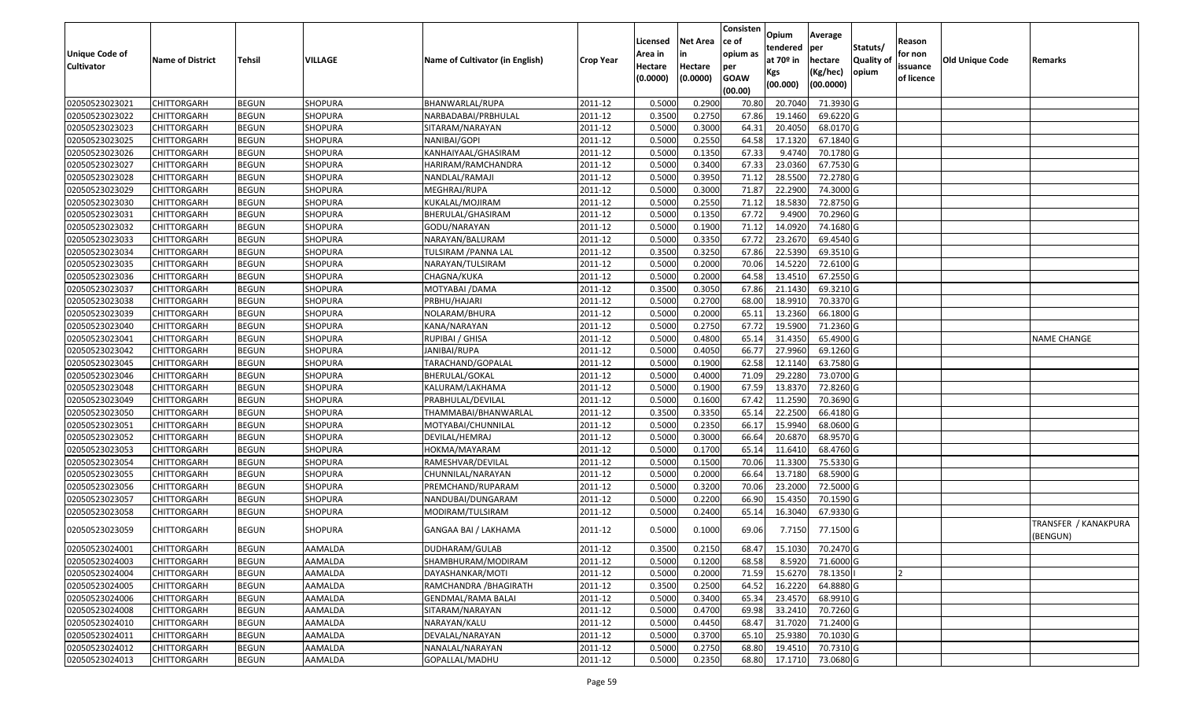| <b>Unique Code of</b><br><b>Cultivator</b> | <b>Name of District</b> | <b>Tehsil</b> | VILLAGE        | Name of Cultivator (in English) | <b>Crop Year</b> | Licensed<br>Area in<br>Hectare<br>(0.0000) | <b>Net Area</b><br>in<br>Hectare<br>(0.0000) | Consisten<br>ce of<br>opium as<br>per<br><b>GOAW</b><br>(00.00) | Opium<br>tendered<br>at $70°$ in<br>Kgs<br>(00.000) | Average<br>per<br>hectare<br>(Kg/hec)<br>(00.0000) | Statuts/<br>Quality of<br>opium | Reason<br>for non<br>issuance<br>of licence | <b>Old Unique Code</b> | Remarks                          |
|--------------------------------------------|-------------------------|---------------|----------------|---------------------------------|------------------|--------------------------------------------|----------------------------------------------|-----------------------------------------------------------------|-----------------------------------------------------|----------------------------------------------------|---------------------------------|---------------------------------------------|------------------------|----------------------------------|
| 02050523023021                             | <b>CHITTORGARH</b>      | <b>BEGUN</b>  | <b>SHOPURA</b> | BHANWARLAL/RUPA                 | 2011-12          | 0.5000                                     | 0.2900                                       | 70.8                                                            | 20.704                                              | 71.3930 G                                          |                                 |                                             |                        |                                  |
| 02050523023022                             | CHITTORGARH             | <b>BEGUN</b>  | SHOPURA        | NARBADABAI/PRBHULAL             | 2011-12          | 0.3500                                     | 0.2750                                       | 67.86                                                           | 19.1460                                             | 69.6220 G                                          |                                 |                                             |                        |                                  |
| 02050523023023                             | CHITTORGARH             | <b>BEGUN</b>  | SHOPURA        | SITARAM/NARAYAN                 | 2011-12          | 0.5000                                     | 0.3000                                       | 64.3                                                            | 20.4050                                             | 68.0170 G                                          |                                 |                                             |                        |                                  |
| 02050523023025                             | <b>CHITTORGARH</b>      | <b>BEGUN</b>  | SHOPURA        | NANIBAI/GOPI                    | 2011-12          | 0.5000                                     | 0.2550                                       | 64.58                                                           | 17.1320                                             | 67.1840 G                                          |                                 |                                             |                        |                                  |
| 02050523023026                             | <b>CHITTORGARH</b>      | <b>BEGUN</b>  | <b>SHOPURA</b> | KANHAIYAAL/GHASIRAM             | 2011-12          | 0.5000                                     | 0.1350                                       | 67.33                                                           | 9.4740                                              | 70.1780 G                                          |                                 |                                             |                        |                                  |
| 02050523023027                             | <b>CHITTORGARH</b>      | <b>BEGUN</b>  | <b>SHOPURA</b> | HARIRAM/RAMCHANDRA              | 2011-12          | 0.5000                                     | 0.3400                                       | 67.33                                                           | 23.0360                                             | 67.7530 G                                          |                                 |                                             |                        |                                  |
| 02050523023028                             | CHITTORGARH             | <b>BEGUN</b>  | <b>SHOPURA</b> | NANDLAL/RAMAJI                  | 2011-12          | 0.5000                                     | 0.3950                                       | 71.12                                                           | 28.5500                                             | 72.2780 G                                          |                                 |                                             |                        |                                  |
| 02050523023029                             | CHITTORGARH             | <b>BEGUN</b>  | <b>SHOPURA</b> | MEGHRAJ/RUPA                    | 2011-12          | 0.5000                                     | 0.3000                                       | 71.87                                                           | 22.2900                                             | 74.3000 G                                          |                                 |                                             |                        |                                  |
| 02050523023030                             | CHITTORGARH             | <b>BEGUN</b>  | <b>SHOPURA</b> | KUKALAL/MOJIRAM                 | 2011-12          | 0.5000                                     | 0.2550                                       | 71.12                                                           | 18.5830                                             | 72.8750 G                                          |                                 |                                             |                        |                                  |
| 02050523023031                             | CHITTORGARH             | <b>BEGUN</b>  | <b>SHOPURA</b> | BHERULAL/GHASIRAM               | 2011-12          | 0.5000                                     | 0.1350                                       | 67.72                                                           | 9.4900                                              | 70.2960 G                                          |                                 |                                             |                        |                                  |
| 02050523023032                             | CHITTORGARH             | <b>BEGUN</b>  | <b>SHOPURA</b> | GODU/NARAYAN                    | 2011-12          | 0.5000                                     | 0.1900                                       | 71.12                                                           | 14.0920                                             | 74.1680 G                                          |                                 |                                             |                        |                                  |
| 02050523023033                             | CHITTORGARH             | <b>BEGUN</b>  | <b>SHOPURA</b> | NARAYAN/BALURAM                 | 2011-12          | 0.5000                                     | 0.3350                                       | 67.72                                                           | 23.2670                                             | 69.4540 G                                          |                                 |                                             |                        |                                  |
| 02050523023034                             | CHITTORGARH             | <b>BEGUN</b>  | <b>SHOPURA</b> | TULSIRAM / PANNA LAL            | 2011-12          | 0.3500                                     | 0.3250                                       | 67.86                                                           | 22.5390                                             | 69.3510 G                                          |                                 |                                             |                        |                                  |
| 02050523023035                             | CHITTORGARH             | <b>BEGUN</b>  | <b>SHOPURA</b> | NARAYAN/TULSIRAM                | 2011-12          | 0.5000                                     | 0.2000                                       | 70.06                                                           | 14.5220                                             | 72.6100 G                                          |                                 |                                             |                        |                                  |
| 02050523023036                             | CHITTORGARH             | <b>BEGUN</b>  | <b>SHOPURA</b> | CHAGNA/KUKA                     | 2011-12          | 0.5000                                     | 0.2000                                       | 64.58                                                           | 13.4510                                             | 67.2550 G                                          |                                 |                                             |                        |                                  |
| 02050523023037                             | CHITTORGARH             | <b>BEGUN</b>  | <b>SHOPURA</b> | MOTYABAI /DAMA                  | 2011-12          | 0.3500                                     | 0.3050                                       | 67.86                                                           | 21.1430                                             | 69.3210 G                                          |                                 |                                             |                        |                                  |
| 02050523023038                             | CHITTORGARH             | <b>BEGUN</b>  | SHOPURA        | PRBHU/HAJARI                    | 2011-12          | 0.5000                                     | 0.2700                                       | 68.00                                                           | 18.9910                                             | $\overline{70.3370}$ G                             |                                 |                                             |                        |                                  |
| 02050523023039                             | CHITTORGARH             | <b>BEGUN</b>  | SHOPURA        | NOLARAM/BHURA                   | 2011-12          | 0.5000                                     | 0.2000                                       | 65.1                                                            | 13.2360                                             | 66.1800 G                                          |                                 |                                             |                        |                                  |
| 02050523023040                             | <b>CHITTORGARH</b>      | <b>BEGUN</b>  | SHOPURA        | KANA/NARAYAN                    | 2011-12          | 0.5000                                     | 0.2750                                       | 67.72                                                           | 19.5900                                             | 71.2360 G                                          |                                 |                                             |                        |                                  |
| 02050523023041                             | CHITTORGARH             | <b>BEGUN</b>  | <b>SHOPURA</b> | RUPIBAI / GHISA                 | 2011-12          | 0.5000                                     | 0.4800                                       | 65.14                                                           | 31.4350                                             | 65.4900 G                                          |                                 |                                             |                        | <b>NAME CHANGE</b>               |
| 02050523023042                             | CHITTORGARH             | <b>BEGUN</b>  | SHOPURA        | JANIBAI/RUPA                    | 2011-12          | 0.5000                                     | 0.4050                                       | 66.77                                                           | 27.9960                                             | 69.1260 G                                          |                                 |                                             |                        |                                  |
| 02050523023045                             | CHITTORGARH             | <b>BEGUN</b>  | <b>SHOPURA</b> | TARACHAND/GOPALAL               | 2011-12          | 0.5000                                     | 0.1900                                       | 62.58                                                           | 12.1140                                             | 63.7580 G                                          |                                 |                                             |                        |                                  |
| 02050523023046                             | CHITTORGARH             | <b>BEGUN</b>  | <b>SHOPURA</b> | BHERULAL/GOKAL                  | 2011-12          | 0.5000                                     | 0.4000                                       | 71.09                                                           | 29.2280                                             | 73.0700G                                           |                                 |                                             |                        |                                  |
| 02050523023048                             | CHITTORGARH             | <b>BEGUN</b>  | <b>SHOPURA</b> | KALURAM/LAKHAMA                 | 2011-12          | 0.5000                                     | 0.1900                                       | 67.59                                                           | 13.8370                                             | 72.8260 G                                          |                                 |                                             |                        |                                  |
| 02050523023049                             | CHITTORGARH             | <b>BEGUN</b>  | SHOPURA        | PRABHULAL/DEVILAL               | 2011-12          | 0.5000                                     | 0.1600                                       | 67.42                                                           | 11.2590                                             | 70.3690 G                                          |                                 |                                             |                        |                                  |
| 02050523023050                             | CHITTORGARH             | <b>BEGUN</b>  | <b>SHOPURA</b> | THAMMABAI/BHANWARLAL            | 2011-12          | 0.3500                                     | 0.3350                                       | 65.1                                                            | 22.2500                                             | 66.4180 G                                          |                                 |                                             |                        |                                  |
| 02050523023051                             | CHITTORGARH             | <b>BEGUN</b>  | <b>SHOPURA</b> | MOTYABAI/CHUNNILAL              | 2011-12          | 0.5000                                     | 0.2350                                       | 66.17                                                           | 15.9940                                             | 68.0600 G                                          |                                 |                                             |                        |                                  |
| 02050523023052                             | CHITTORGARH             | <b>BEGUN</b>  | SHOPURA        | DEVILAL/HEMRAJ                  | 2011-12          | 0.5000                                     | 0.3000                                       | 66.64                                                           | 20.6870                                             | 68.9570 G                                          |                                 |                                             |                        |                                  |
| 02050523023053                             | <b>CHITTORGARH</b>      | <b>BEGUN</b>  | SHOPURA        | HOKMA/MAYARAM                   | 2011-12          | 0.5000                                     | 0.1700                                       | 65.14                                                           | 11.6410                                             | 68.4760 G                                          |                                 |                                             |                        |                                  |
| 02050523023054                             | <b>CHITTORGARH</b>      | <b>BEGUN</b>  | <b>SHOPURA</b> | RAMESHVAR/DEVILAL               | 2011-12          | 0.5000                                     | 0.1500                                       | 70.06                                                           | 11.3300                                             | 75.5330 G                                          |                                 |                                             |                        |                                  |
| 02050523023055                             | <b>CHITTORGARH</b>      | <b>BEGUN</b>  | <b>SHOPURA</b> | CHUNNILAL/NARAYAN               | 2011-12          | 0.5000                                     | 0.2000                                       | 66.64                                                           | 13.7180                                             | 68.5900 G                                          |                                 |                                             |                        |                                  |
| 02050523023056                             | CHITTORGARH             | <b>BEGUN</b>  | <b>SHOPURA</b> | PREMCHAND/RUPARAM               | 2011-12          | 0.5000                                     | 0.3200                                       | 70.06                                                           | 23.2000                                             | 72.5000G                                           |                                 |                                             |                        |                                  |
| 02050523023057                             | <b>CHITTORGARH</b>      | <b>BEGUN</b>  | <b>SHOPURA</b> | NANDUBAI/DUNGARAM               | 2011-12          | 0.5000                                     | 0.2200                                       | 66.90                                                           | 15.4350                                             | 70.1590 G                                          |                                 |                                             |                        |                                  |
| 02050523023058                             | CHITTORGARH             | <b>BEGUN</b>  | <b>SHOPURA</b> | MODIRAM/TULSIRAM                | 2011-12          | 0.5000                                     | 0.2400                                       | 65.14                                                           | 16.3040                                             | 67.9330 G                                          |                                 |                                             |                        |                                  |
| 02050523023059                             | CHITTORGARH             | <b>BEGUN</b>  | SHOPURA        | GANGAA BAI / LAKHAMA            | 2011-12          | 0.5000                                     | 0.1000                                       | 69.06                                                           | 7.7150                                              | 77.1500 G                                          |                                 |                                             |                        | TRANSFER / KANAKPURA<br>(BENGUN) |
| 02050523024001                             | <b>CHITTORGARH</b>      | <b>BEGUN</b>  | AAMALDA        | DUDHARAM/GULAB                  | 2011-12          | 0.3500                                     | 0.2150                                       | 68.47                                                           |                                                     | 15.1030 70.2470 G                                  |                                 |                                             |                        |                                  |
| 02050523024003                             | <b>CHITTORGARH</b>      | <b>BEGUN</b>  | AAMALDA        | SHAMBHURAM/MODIRAM              | 2011-12          | 0.5000                                     | 0.1200                                       | 68.58                                                           | 8.5920                                              | 71.6000 G                                          |                                 |                                             |                        |                                  |
| 02050523024004                             | <b>CHITTORGARH</b>      | <b>BEGUN</b>  | AAMALDA        | DAYASHANKAR/MOTI                | 2011-12          | 0.5000                                     | 0.2000                                       | 71.59                                                           | 15.6270                                             | 78.1350                                            |                                 |                                             |                        |                                  |
| 02050523024005                             | <b>CHITTORGARH</b>      | <b>BEGUN</b>  | AAMALDA        | RAMCHANDRA / BHAGIRATH          | 2011-12          | 0.3500                                     | 0.2500                                       | 64.52                                                           | 16.2220                                             | 64.8880 G                                          |                                 |                                             |                        |                                  |
| 02050523024006                             | CHITTORGARH             | <b>BEGUN</b>  | AAMALDA        | <b>GENDMAL/RAMA BALAI</b>       | 2011-12          | 0.5000                                     | 0.3400                                       | 65.34                                                           | 23.4570                                             | 68.9910 G                                          |                                 |                                             |                        |                                  |
| 02050523024008                             | <b>CHITTORGARH</b>      | <b>BEGUN</b>  | AAMALDA        | SITARAM/NARAYAN                 | 2011-12          | 0.5000                                     | 0.4700                                       | 69.98                                                           | 33.2410                                             | 70.7260 G                                          |                                 |                                             |                        |                                  |
| 02050523024010                             | <b>CHITTORGARH</b>      | <b>BEGUN</b>  | AAMALDA        | NARAYAN/KALU                    | 2011-12          | 0.5000                                     | 0.4450                                       | 68.47                                                           | 31.7020                                             | 71.2400 G                                          |                                 |                                             |                        |                                  |
| 02050523024011                             | <b>CHITTORGARH</b>      | <b>BEGUN</b>  | AAMALDA        | DEVALAL/NARAYAN                 | 2011-12          | 0.5000                                     | 0.3700                                       | 65.10                                                           | 25.9380                                             | 70.1030 G                                          |                                 |                                             |                        |                                  |
| 02050523024012                             | CHITTORGARH             | <b>BEGUN</b>  | AAMALDA        | NANALAL/NARAYAN                 | 2011-12          | 0.5000                                     | 0.2750                                       | 68.80                                                           | 19.4510                                             | 70.7310 G                                          |                                 |                                             |                        |                                  |
| 02050523024013                             | <b>CHITTORGARH</b>      | <b>BEGUN</b>  | AAMALDA        | GOPALLAL/MADHU                  | 2011-12          | 0.5000                                     | 0.2350                                       | 68.80                                                           | 17.1710                                             | 73.0680 G                                          |                                 |                                             |                        |                                  |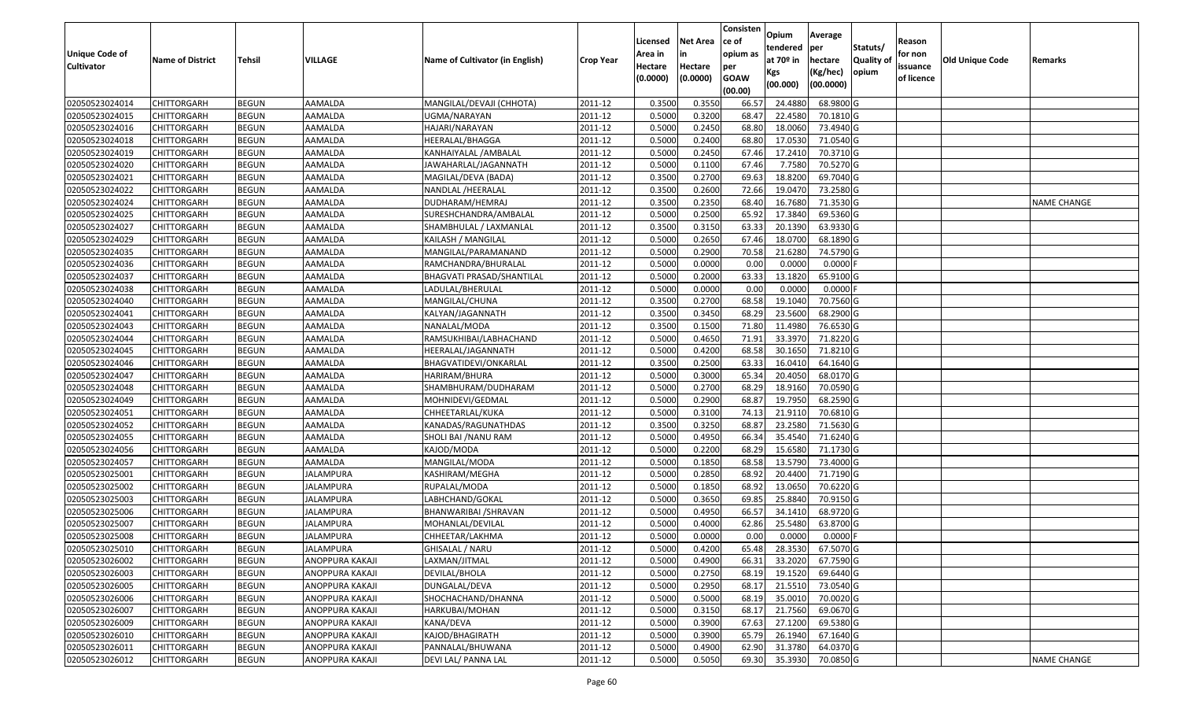| <b>Unique Code of</b><br><b>Cultivator</b> | <b>Name of District</b> | <b>Tehsil</b> | VILLAGE          | Name of Cultivator (in English) | <b>Crop Year</b> | Licensed<br>Area in<br>Hectare<br>(0.0000) | <b>Net Area</b><br>in<br>Hectare<br>(0.0000) | Consisten<br>ce of<br>opium as<br>per<br><b>GOAW</b><br>(00.00) | Opium<br>tendered<br>at $70°$ in<br>Kgs<br>(00.000) | Average<br>per<br>hectare<br>(Kg/hec)<br>(00.0000) | Statuts/<br>Quality of<br>opium | Reason<br>for non<br>issuance<br>of licence | <b>Old Unique Code</b> | Remarks            |
|--------------------------------------------|-------------------------|---------------|------------------|---------------------------------|------------------|--------------------------------------------|----------------------------------------------|-----------------------------------------------------------------|-----------------------------------------------------|----------------------------------------------------|---------------------------------|---------------------------------------------|------------------------|--------------------|
| 02050523024014                             | <b>CHITTORGARH</b>      | <b>BEGUN</b>  | AAMALDA          | MANGILAL/DEVAJI (CHHOTA)        | 2011-12          | 0.3500                                     | 0.3550                                       | 66.57                                                           | 24.4880                                             | 68.9800 G                                          |                                 |                                             |                        |                    |
| 02050523024015                             | CHITTORGARH             | <b>BEGUN</b>  | AAMALDA          | JGMA/NARAYAN                    | 2011-12          | 0.5000                                     | 0.3200                                       | 68.47                                                           | 22.4580                                             | 70.1810 G                                          |                                 |                                             |                        |                    |
| 02050523024016                             | CHITTORGARH             | <b>BEGUN</b>  | AAMALDA          | HAJARI/NARAYAN                  | 2011-12          | 0.5000                                     | 0.2450                                       | 68.80                                                           | 18.0060                                             | 73.4940 G                                          |                                 |                                             |                        |                    |
| 02050523024018                             | <b>CHITTORGARH</b>      | <b>BEGUN</b>  | AAMALDA          | HEERALAL/BHAGGA                 | 2011-12          | 0.5000                                     | 0.2400                                       | 68.80                                                           | 17.0530                                             | 71.0540 G                                          |                                 |                                             |                        |                    |
| 02050523024019                             | <b>CHITTORGARH</b>      | <b>BEGUN</b>  | AAMALDA          | KANHAIYALAL /AMBALAL            | 2011-12          | 0.5000                                     | 0.2450                                       | 67.46                                                           | 17.2410                                             | 70.3710 G                                          |                                 |                                             |                        |                    |
| 02050523024020                             | CHITTORGARH             | <b>BEGUN</b>  | AAMALDA          | JAWAHARLAL/JAGANNATH            | 2011-12          | 0.5000                                     | 0.1100                                       | 67.46                                                           | 7.7580                                              | 70.5270 G                                          |                                 |                                             |                        |                    |
| 02050523024021                             | CHITTORGARH             | <b>BEGUN</b>  | AAMALDA          | MAGILAL/DEVA (BADA)             | 2011-12          | 0.3500                                     | 0.2700                                       | 69.63                                                           | 18.8200                                             | 69.7040 G                                          |                                 |                                             |                        |                    |
| 02050523024022                             | CHITTORGARH             | <b>BEGUN</b>  | AAMALDA          | NANDLAL /HEERALAL               | 2011-12          | 0.3500                                     | 0.2600                                       | 72.66                                                           | 19.047                                              | 73.2580 G                                          |                                 |                                             |                        |                    |
| 02050523024024                             | CHITTORGARH             | <b>BEGUN</b>  | AAMALDA          | DUDHARAM/HEMRAJ                 | 2011-12          | 0.3500                                     | 0.2350                                       | 68.40                                                           | 16.7680                                             | 71.3530 G                                          |                                 |                                             |                        | <b>NAME CHANGE</b> |
| 02050523024025                             | CHITTORGARH             | <b>BEGUN</b>  | AAMALDA          | SURESHCHANDRA/AMBALAL           | 2011-12          | 0.5000                                     | 0.2500                                       | 65.92                                                           | 17.3840                                             | 69.5360 G                                          |                                 |                                             |                        |                    |
| 02050523024027                             | CHITTORGARH             | <b>BEGUN</b>  | AAMALDA          | SHAMBHULAL / LAXMANLAL          | 2011-12          | 0.3500                                     | 0.3150                                       | 63.33                                                           | 20.1390                                             | 63.9330 G                                          |                                 |                                             |                        |                    |
| 02050523024029                             | CHITTORGARH             | <b>BEGUN</b>  | AAMALDA          | KAILASH / MANGILAL              | 2011-12          | 0.5000                                     | 0.2650                                       | 67.46                                                           | 18.0700                                             | 68.1890 G                                          |                                 |                                             |                        |                    |
| 02050523024035                             | CHITTORGARH             | <b>BEGUN</b>  | AAMALDA          | MANGILAL/PARAMANAND             | 2011-12          | 0.5000                                     | 0.2900                                       | 70.58                                                           | 21.6280                                             | 74.5790 G                                          |                                 |                                             |                        |                    |
| 02050523024036                             | CHITTORGARH             | <b>BEGUN</b>  | AAMALDA          | RAMCHANDRA/BHURALAL             | 2011-12          | 0.5000                                     | 0.0000                                       | 0.00                                                            | 0.0000                                              | 0.0000                                             |                                 |                                             |                        |                    |
| 02050523024037                             | CHITTORGARH             | <b>BEGUN</b>  | AAMALDA          | BHAGVATI PRASAD/SHANTILAL       | 2011-12          | 0.5000                                     | 0.2000                                       | 63.33                                                           | 13.1820                                             | 65.9100 G                                          |                                 |                                             |                        |                    |
| 02050523024038                             | CHITTORGARH             | <b>BEGUN</b>  | AAMALDA          | LADULAL/BHERULAL                | 2011-12          | 0.5000                                     | 0.0000                                       | 0.00                                                            | 0.0000                                              | 0.0000                                             |                                 |                                             |                        |                    |
| 02050523024040                             | CHITTORGARH             | <b>BEGUN</b>  | AAMALDA          | MANGILAL/CHUNA                  | 2011-12          | 0.3500                                     | 0.2700                                       | 68.58                                                           | 19.1040                                             | 70.7560 G                                          |                                 |                                             |                        |                    |
| 02050523024041                             | CHITTORGARH             | <b>BEGUN</b>  | AAMALDA          | KALYAN/JAGANNATH                | 2011-12          | 0.3500                                     | 0.3450                                       | 68.29                                                           | 23.5600                                             | 68.2900 G                                          |                                 |                                             |                        |                    |
| 02050523024043                             | <b>CHITTORGARH</b>      | <b>BEGUN</b>  | AAMALDA          | NANALAL/MODA                    | 2011-12          | 0.3500                                     | 0.1500                                       | 71.80                                                           | 11.4980                                             | 76.6530 G                                          |                                 |                                             |                        |                    |
| 02050523024044                             | CHITTORGARH             | <b>BEGUN</b>  | AAMALDA          | RAMSUKHIBAI/LABHACHAND          | 2011-12          | 0.5000                                     | 0.4650                                       | 71.91                                                           | 33.3970                                             | 71.8220 G                                          |                                 |                                             |                        |                    |
| 02050523024045                             | <b>CHITTORGARH</b>      | <b>BEGUN</b>  | AAMALDA          | HEERALAL/JAGANNATH              | 2011-12          | 0.5000                                     | 0.4200                                       | 68.58                                                           | 30.1650                                             | 71.8210 G                                          |                                 |                                             |                        |                    |
| 02050523024046                             | CHITTORGARH             | <b>BEGUN</b>  | AAMALDA          | BHAGVATIDEVI/ONKARLAL           | 2011-12          | 0.3500                                     | 0.2500                                       | 63.33                                                           | 16.0410                                             | 64.1640 G                                          |                                 |                                             |                        |                    |
| 02050523024047                             | CHITTORGARH             | <b>BEGUN</b>  | AAMALDA          | HARIRAM/BHURA                   | 2011-12          | 0.5000                                     | 0.3000                                       | 65.34                                                           | 20.4050                                             | 68.0170 G                                          |                                 |                                             |                        |                    |
| 02050523024048                             | CHITTORGARH             | <b>BEGUN</b>  | AAMALDA          | SHAMBHURAM/DUDHARAM             | 2011-12          | 0.5000                                     | 0.2700                                       | 68.29                                                           | 18.9160                                             | 70.0590 G                                          |                                 |                                             |                        |                    |
| 02050523024049                             | CHITTORGARH             | <b>BEGUN</b>  | AAMALDA          | MOHNIDEVI/GEDMAL                | 2011-12          | 0.5000                                     | 0.2900                                       | 68.87                                                           | 19.795                                              | 68.2590 G                                          |                                 |                                             |                        |                    |
| 02050523024051                             | CHITTORGARH             | <b>BEGUN</b>  | AAMALDA          | CHHEETARLAL/KUKA                | 2011-12          | 0.5000                                     | 0.3100                                       | 74.13                                                           | 21.9110                                             | 70.6810 G                                          |                                 |                                             |                        |                    |
| 02050523024052                             | CHITTORGARH             | <b>BEGUN</b>  | AAMALDA          | KANADAS/RAGUNATHDAS             | 2011-12          | 0.3500                                     | 0.3250                                       | 68.87                                                           | 23.2580                                             | 71.5630 G                                          |                                 |                                             |                        |                    |
| 02050523024055                             | CHITTORGARH             | <b>BEGUN</b>  | AAMALDA          | SHOLI BAI /NANU RAM             | 2011-12          | 0.5000                                     | 0.4950                                       | 66.34                                                           | 35.4540                                             | 71.6240 G                                          |                                 |                                             |                        |                    |
| 02050523024056                             | <b>CHITTORGARH</b>      | <b>BEGUN</b>  | AAMALDA          | KAJOD/MODA                      | 2011-12          | 0.5000                                     | 0.2200                                       | 68.29                                                           | 15.6580                                             | 71.1730 G                                          |                                 |                                             |                        |                    |
| 02050523024057                             | <b>CHITTORGARH</b>      | <b>BEGUN</b>  | AAMALDA          | MANGILAL/MODA                   | 2011-12          | 0.5000                                     | 0.1850                                       | 68.58                                                           | 13.5790                                             | 73.4000 G                                          |                                 |                                             |                        |                    |
| 02050523025001                             | CHITTORGARH             | <b>BEGUN</b>  | <b>JALAMPURA</b> | KASHIRAM/MEGHA                  | 2011-12          | 0.5000                                     | 0.2850                                       | 68.92                                                           | 20.4400                                             | 71.7190 G                                          |                                 |                                             |                        |                    |
| 02050523025002                             | CHITTORGARH             | <b>BEGUN</b>  | JALAMPURA        | RUPALAL/MODA                    | 2011-12          | 0.5000                                     | 0.1850                                       | 68.92                                                           | 13.0650                                             | 70.6220G                                           |                                 |                                             |                        |                    |
| 02050523025003                             | CHITTORGARH             | <b>BEGUN</b>  | JALAMPURA        | LABHCHAND/GOKAL                 | 2011-12          | 0.5000                                     | 0.3650                                       | 69.85                                                           | 25.8840                                             | 70.9150G                                           |                                 |                                             |                        |                    |
| 02050523025006                             | CHITTORGARH             | <b>BEGUN</b>  | JALAMPURA        | BHANWARIBAI /SHRAVAN            | 2011-12          | 0.5000                                     | 0.4950                                       | 66.57                                                           | 34.1410                                             | 68.9720 G                                          |                                 |                                             |                        |                    |
| 02050523025007                             | CHITTORGARH             | <b>BEGUN</b>  | JALAMPURA        | MOHANLAL/DEVILAL                | 2011-12          | 0.500                                      | 0.4000                                       | 62.86                                                           | 25.5480                                             | 63.8700 G                                          |                                 |                                             |                        |                    |
| 02050523025008                             | CHITTORGARH             | <b>BEGUN</b>  | JALAMPURA        | CHHEETAR/LAKHMA                 | 2011-12          | 0.5000                                     | 0.0000                                       | 0.00                                                            | 0.0000                                              | $0.0000$ F                                         |                                 |                                             |                        |                    |
| 02050523025010                             | <b>CHITTORGARH</b>      | <b>BEGUN</b>  | <b>JALAMPURA</b> | GHISALAL / NARU                 | 2011-12          | 0.5000                                     | 0.4200                                       | 65.48                                                           | 28.3530                                             | 67.5070G                                           |                                 |                                             |                        |                    |
| 02050523026002                             | <b>CHITTORGARH</b>      | <b>BEGUN</b>  | ANOPPURA KAKAJI  | LAXMAN/JITMAL                   | 2011-12          | 0.5000                                     | 0.4900                                       | 66.31                                                           | 33.2020                                             | 67.7590 G                                          |                                 |                                             |                        |                    |
| 02050523026003                             | <b>CHITTORGARH</b>      | <b>BEGUN</b>  | ANOPPURA KAKAJI  | DEVILAL/BHOLA                   | 2011-12          | 0.5000                                     | 0.2750                                       | 68.19                                                           | 19.1520                                             | 69.6440 G                                          |                                 |                                             |                        |                    |
| 02050523026005                             | <b>CHITTORGARH</b>      | <b>BEGUN</b>  | ANOPPURA KAKAJI  | DUNGALAL/DEVA                   | 2011-12          | 0.5000                                     | 0.2950                                       | 68.17                                                           | 21.5510                                             | 73.0540 G                                          |                                 |                                             |                        |                    |
| 02050523026006                             | <b>CHITTORGARH</b>      | <b>BEGUN</b>  | ANOPPURA KAKAJI  | SHOCHACHAND/DHANNA              | 2011-12          | 0.5000                                     | 0.5000                                       | 68.19                                                           | 35.0010                                             | 70.0020 G                                          |                                 |                                             |                        |                    |
| 02050523026007                             | <b>CHITTORGARH</b>      | <b>BEGUN</b>  | ANOPPURA KAKAJI  | HARKUBAI/MOHAN                  | 2011-12          | 0.5000                                     | 0.3150                                       | 68.17                                                           | 21.7560                                             | 69.0670 G                                          |                                 |                                             |                        |                    |
| 02050523026009                             | <b>CHITTORGARH</b>      | <b>BEGUN</b>  | ANOPPURA KAKAJI  | KANA/DEVA                       | 2011-12          | 0.5000                                     | 0.3900                                       | 67.63                                                           | 27.1200                                             | 69.5380 G                                          |                                 |                                             |                        |                    |
| 02050523026010                             | <b>CHITTORGARH</b>      | <b>BEGUN</b>  | ANOPPURA KAKAJI  | KAJOD/BHAGIRATH                 | 2011-12          | 0.5000                                     | 0.3900                                       | 65.79                                                           | 26.1940                                             | 67.1640 G                                          |                                 |                                             |                        |                    |
| 02050523026011                             | <b>CHITTORGARH</b>      | <b>BEGUN</b>  | ANOPPURA KAKAJI  | PANNALAL/BHUWANA                | 2011-12          | 0.5000                                     | 0.4900                                       | 62.90                                                           | 31.3780                                             | 64.0370 G                                          |                                 |                                             |                        |                    |
| 02050523026012                             | <b>CHITTORGARH</b>      | <b>BEGUN</b>  | ANOPPURA KAKAJI  | DEVI LAL/ PANNA LAL             | 2011-12          | 0.5000                                     | 0.5050                                       | 69.30                                                           | 35.3930                                             | 70.0850 G                                          |                                 |                                             |                        | <b>NAME CHANGE</b> |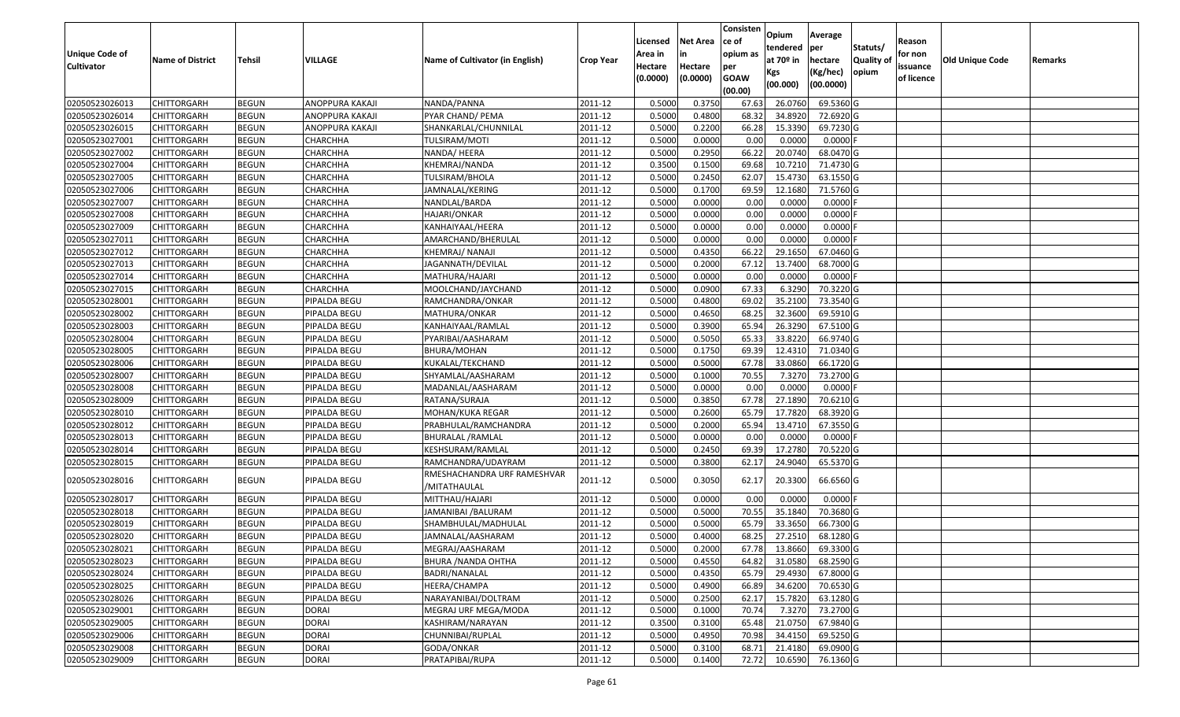|                       |                         |               |                 |                                             |                  | Licensed | <b>Net Area</b> | Consisten<br>ce of | Opium           | Average               |           | Reason     |                 |         |
|-----------------------|-------------------------|---------------|-----------------|---------------------------------------------|------------------|----------|-----------------|--------------------|-----------------|-----------------------|-----------|------------|-----------------|---------|
| <b>Unique Code of</b> |                         |               |                 |                                             |                  | Area in  | in              | opium as           | tendered        | per                   | Statuts/  | for non    |                 |         |
| <b>Cultivator</b>     | <b>Name of District</b> | <b>Tehsil</b> | VILLAGE         | Name of Cultivator (in English)             | <b>Crop Year</b> | Hectare  | Hectare         | per                | at $70°$ in     | hectare               | Quality o | issuance   | Old Unique Code | Remarks |
|                       |                         |               |                 |                                             |                  | (0.0000) | (0.0000)        | <b>GOAW</b>        | Kgs<br>(00.000) | (Kg/hec)<br>(00.0000) | opium     | of licence |                 |         |
|                       |                         |               |                 |                                             |                  |          |                 | (00.00)            |                 |                       |           |            |                 |         |
| 02050523026013        | CHITTORGARH             | <b>BEGUN</b>  | ANOPPURA KAKAJI | NANDA/PANNA                                 | 2011-12          | 0.5000   | 0.3750          | 67.63              | 26.0760         | 69.5360 G             |           |            |                 |         |
| 02050523026014        | CHITTORGARH             | <b>BEGUN</b>  | ANOPPURA KAKAJI | PYAR CHAND/ PEMA                            | 2011-12          | 0.5000   | 0.4800          | 68.32              | 34.8920         | 72.6920 G             |           |            |                 |         |
| 02050523026015        | CHITTORGARH             | <b>BEGUN</b>  | ANOPPURA KAKAJI | SHANKARLAL/CHUNNILAL                        | 2011-12          | 0.5000   | 0.2200          | 66.28              | 15.3390         | 69.7230 G             |           |            |                 |         |
| 02050523027001        | <b>CHITTORGARH</b>      | <b>BEGUN</b>  | CHARCHHA        | TULSIRAM/MOTI                               | 2011-12          | 0.5000   | 0.0000          | 0.00               | 0.0000          | $0.0000$ F            |           |            |                 |         |
| 02050523027002        | CHITTORGARH             | <b>BEGUN</b>  | CHARCHHA        | NANDA/ HEERA                                | 2011-12          | 0.5000   | 0.2950          | 66.22              | 20.0740         | 68.0470 G             |           |            |                 |         |
| 02050523027004        | CHITTORGARH             | <b>BEGUN</b>  | CHARCHHA        | KHEMRAJ/NANDA                               | 2011-12          | 0.3500   | 0.1500          | 69.68              | 10.7210         | 71.4730 G             |           |            |                 |         |
| 02050523027005        | CHITTORGARH             | <b>BEGUN</b>  | CHARCHHA        | TULSIRAM/BHOLA                              | 2011-12          | 0.5000   | 0.2450          | 62.07              | 15.4730         | 63.1550 G             |           |            |                 |         |
| 02050523027006        | CHITTORGARH             | <b>BEGUN</b>  | CHARCHHA        | JAMNALAL/KERING                             | 2011-12          | 0.5000   | 0.1700          | 69.59              | 12.1680         | 71.5760 G             |           |            |                 |         |
| 02050523027007        | CHITTORGARH             | <b>BEGUN</b>  | CHARCHHA        | NANDLAL/BARDA                               | 2011-12          | 0.5000   | 0.0000          | 0.00               | 0.0000          | 0.0000F               |           |            |                 |         |
| 02050523027008        | CHITTORGARH             | <b>BEGUN</b>  | CHARCHHA        | HAJARI/ONKAR                                | 2011-12          | 0.5000   | 0.0000          | 0.00               | 0.0000          | $0.0000$ F            |           |            |                 |         |
| 02050523027009        | CHITTORGARH             | <b>BEGUN</b>  | CHARCHHA        | KANHAIYAAL/HEERA                            | 2011-12          | 0.5000   | 0.0000          | 0.00               | 0.0000          | 0.0000F               |           |            |                 |         |
| 02050523027011        | <b>CHITTORGARH</b>      | <b>BEGUN</b>  | CHARCHHA        | AMARCHAND/BHERULAL                          | 2011-12          | 0.5000   | 0.0000          | 0.00               | 0.0000          | $0.0000$ F            |           |            |                 |         |
| 02050523027012        | <b>CHITTORGARH</b>      | <b>BEGUN</b>  | CHARCHHA        | KHEMRAJ/ NANAJI                             | 2011-12          | 0.5000   | 0.4350          | 66.22              | 29.1650         | 67.0460G              |           |            |                 |         |
| 02050523027013        | CHITTORGARH             | <b>BEGUN</b>  | CHARCHHA        | JAGANNATH/DEVILAL                           | 2011-12          | 0.5000   | 0.2000          | 67.12              | 13.7400         | 68.7000 G             |           |            |                 |         |
| 02050523027014        | CHITTORGARH             | <b>BEGUN</b>  | CHARCHHA        | MATHURA/HAJARI                              | 2011-12          | 0.5000   | 0.0000          | 0.00               | 0.0000          | $0.0000$ F            |           |            |                 |         |
| 02050523027015        | <b>CHITTORGARH</b>      | <b>BEGUN</b>  | CHARCHHA        | MOOLCHAND/JAYCHAND                          | 2011-12          | 0.5000   | 0.0900          | 67.33              | 6.3290          | 70.3220 G             |           |            |                 |         |
| 02050523028001        | CHITTORGARH             | <b>BEGUN</b>  | PIPALDA BEGU    | RAMCHANDRA/ONKAR                            | 2011-12          | 0.5000   | 0.4800          | 69.02              | 35.2100         | 73.3540 G             |           |            |                 |         |
| 02050523028002        | CHITTORGARH             | <b>BEGUN</b>  | PIPALDA BEGU    | MATHURA/ONKAR                               | 2011-12          | 0.5000   | 0.4650          | 68.25              | 32.3600         | 69.5910G              |           |            |                 |         |
| 02050523028003        | CHITTORGARH             | <b>BEGUN</b>  | PIPALDA BEGU    | KANHAIYAAL/RAMLAL                           | 2011-12          | 0.5000   | 0.3900          | 65.94              | 26.3290         | 67.5100 G             |           |            |                 |         |
| 02050523028004        | CHITTORGARH             | <b>BEGUN</b>  | PIPALDA BEGU    | PYARIBAI/AASHARAM                           | 2011-12          | 0.5000   | 0.5050          | 65.33              | 33.8220         | 66.9740 G             |           |            |                 |         |
| 02050523028005        | CHITTORGARH             | <b>BEGUN</b>  | PIPALDA BEGU    | <b>BHURA/MOHAN</b>                          | 2011-12          | 0.5000   | 0.1750          | 69.39              | 12.4310         | 71.0340 G             |           |            |                 |         |
| 02050523028006        | CHITTORGARH             | <b>BEGUN</b>  | PIPALDA BEGU    | KUKALAL/TEKCHAND                            | 2011-12          | 0.5000   | 0.5000          | 67.78              | 33.0860         | 66.1720 G             |           |            |                 |         |
| 02050523028007        | CHITTORGARH             | <b>BEGUN</b>  | PIPALDA BEGU    | SHYAMLAL/AASHARAM                           | 2011-12          | 0.5000   | 0.1000          | 70.55              | 7.3270          | 73.2700 G             |           |            |                 |         |
| 02050523028008        | CHITTORGARH             | <b>BEGUN</b>  | PIPALDA BEGU    | MADANLAL/AASHARAM                           | 2011-12          | 0.5000   | 0.0000          | 0.00               | 0.0000          | 0.0000F               |           |            |                 |         |
| 02050523028009        | CHITTORGARH             | <b>BEGUN</b>  | PIPALDA BEGU    | RATANA/SURAJA                               | 2011-12          | 0.5000   | 0.3850          | 67.78              | 27.1890         | 70.6210G              |           |            |                 |         |
| 02050523028010        | CHITTORGARH             | <b>BEGUN</b>  | PIPALDA BEGU    | MOHAN/KUKA REGAR                            | 2011-12          | 0.5000   | 0.2600          | 65.79              | 17.7820         | 68.3920 G             |           |            |                 |         |
| 02050523028012        | CHITTORGARH             | <b>BEGUN</b>  | PIPALDA BEGU    | PRABHULAL/RAMCHANDRA                        | 2011-12          | 0.5000   | 0.2000          | 65.94              | 13.4710         | 67.3550 G             |           |            |                 |         |
| 02050523028013        | CHITTORGARH             | <b>BEGUN</b>  | PIPALDA BEGU    | BHURALAL /RAMLAL                            | 2011-12          | 0.5000   | 0.0000          | 0.00               | 0.0000          | $0.0000$ F            |           |            |                 |         |
| 02050523028014        | CHITTORGARH             | <b>BEGUN</b>  | PIPALDA BEGU    | KESHSURAM/RAMLAL                            | 2011-12          | 0.5000   | 0.2450          | 69.39              | 17.2780         | 70.5220 G             |           |            |                 |         |
| 02050523028015        | CHITTORGARH             | <b>BEGUN</b>  | PIPALDA BEGU    | RAMCHANDRA/UDAYRAM                          | 2011-12          | 0.5000   | 0.3800          | 62.17              | 24.9040         | 65.5370 G             |           |            |                 |         |
| 02050523028016        | CHITTORGARH             | <b>BEGUN</b>  | PIPALDA BEGU    | RMESHACHANDRA URF RAMESHVAR<br>/MITATHAULAL | 2011-12          | 0.5000   | 0.3050          | 62.17              | 20.3300         | 66.6560 G             |           |            |                 |         |
| 02050523028017        | CHITTORGARH             | <b>BEGUN</b>  | PIPALDA BEGU    | MITTHAU/HAJARI                              | 2011-12          | 0.5000   | 0.0000          | 0.00               | 0.0000          | $0.0000$ F            |           |            |                 |         |
| 02050523028018        | <b>CHITTORGARH</b>      | <b>BEGUN</b>  | PIPALDA BEGU    | JAMANIBAI / BALURAM                         | 2011-12          | 0.5000   | 0.5000          | 70.55              | 35.1840         | 70.3680 G             |           |            |                 |         |
| 02050523028019        | CHITTORGARH             | <b>BEGUN</b>  | PIPALDA BEGU    | SHAMBHULAL/MADHULAL                         | 2011-12          | 0.500    | 0.5000          | 65.79              | 33.3650         | 66.7300 G             |           |            |                 |         |
| 02050523028020        | CHITTORGARH             | <b>BEGUN</b>  | PIPALDA BEGU    | JAMNALAL/AASHARAM                           | 2011-12          | 0.5000   | 0.4000          | 68.25              | 27.2510         | 68.1280 G             |           |            |                 |         |
| 02050523028021        | <b>CHITTORGARH</b>      | <b>BEGUN</b>  | PIPALDA BEGU    | MEGRAJ/AASHARAM                             | 2011-12          | 0.5000   | 0.2000          |                    | 67.78 13.8660   | 69.3300 G             |           |            |                 |         |
| 02050523028023        | <b>CHITTORGARH</b>      | <b>BEGUN</b>  | PIPALDA BEGU    | <b>BHURA / NANDA OHTHA</b>                  | 2011-12          | 0.5000   | 0.4550          | 64.82              | 31.0580         | 68.2590 G             |           |            |                 |         |
| 02050523028024        | <b>CHITTORGARH</b>      | <b>BEGUN</b>  | PIPALDA BEGU    | BADRI/NANALAL                               | 2011-12          | 0.5000   | 0.4350          | 65.79              | 29.4930         | 67.8000 G             |           |            |                 |         |
| 02050523028025        | <b>CHITTORGARH</b>      | <b>BEGUN</b>  | PIPALDA BEGU    | HEERA/CHAMPA                                | 2011-12          | 0.5000   | 0.4900          | 66.89              | 34.6200         | 70.6530 G             |           |            |                 |         |
| 02050523028026        | CHITTORGARH             | <b>BEGUN</b>  | PIPALDA BEGU    | NARAYANIBAI/DOLTRAM                         | 2011-12          | 0.5000   | 0.2500          | 62.17              | 15.7820         | 63.1280 G             |           |            |                 |         |
| 02050523029001        | <b>CHITTORGARH</b>      | <b>BEGUN</b>  | <b>DORAI</b>    | MEGRAJ URF MEGA/MODA                        | 2011-12          | 0.5000   | 0.1000          | 70.74              | 7.3270          | 73.2700 G             |           |            |                 |         |
| 02050523029005        | <b>CHITTORGARH</b>      | <b>BEGUN</b>  | <b>DORAI</b>    | KASHIRAM/NARAYAN                            | 2011-12          | 0.3500   | 0.3100          | 65.48              | 21.0750         | 67.9840 G             |           |            |                 |         |
| 02050523029006        | CHITTORGARH             | <b>BEGUN</b>  | <b>DORAI</b>    | CHUNNIBAI/RUPLAL                            | 2011-12          | 0.5000   | 0.4950          | 70.98              | 34.4150         | 69.5250 G             |           |            |                 |         |
| 02050523029008        | <b>CHITTORGARH</b>      | <b>BEGUN</b>  | <b>DORAI</b>    | GODA/ONKAR                                  | 2011-12          | 0.5000   | 0.3100          | 68.71              | 21.4180         | 69.0900 G             |           |            |                 |         |
| 02050523029009        | <b>CHITTORGARH</b>      | <b>BEGUN</b>  | <b>DORAI</b>    | PRATAPIBAI/RUPA                             | 2011-12          | 0.5000   | 0.1400          | 72.72              | 10.6590         | 76.1360 G             |           |            |                 |         |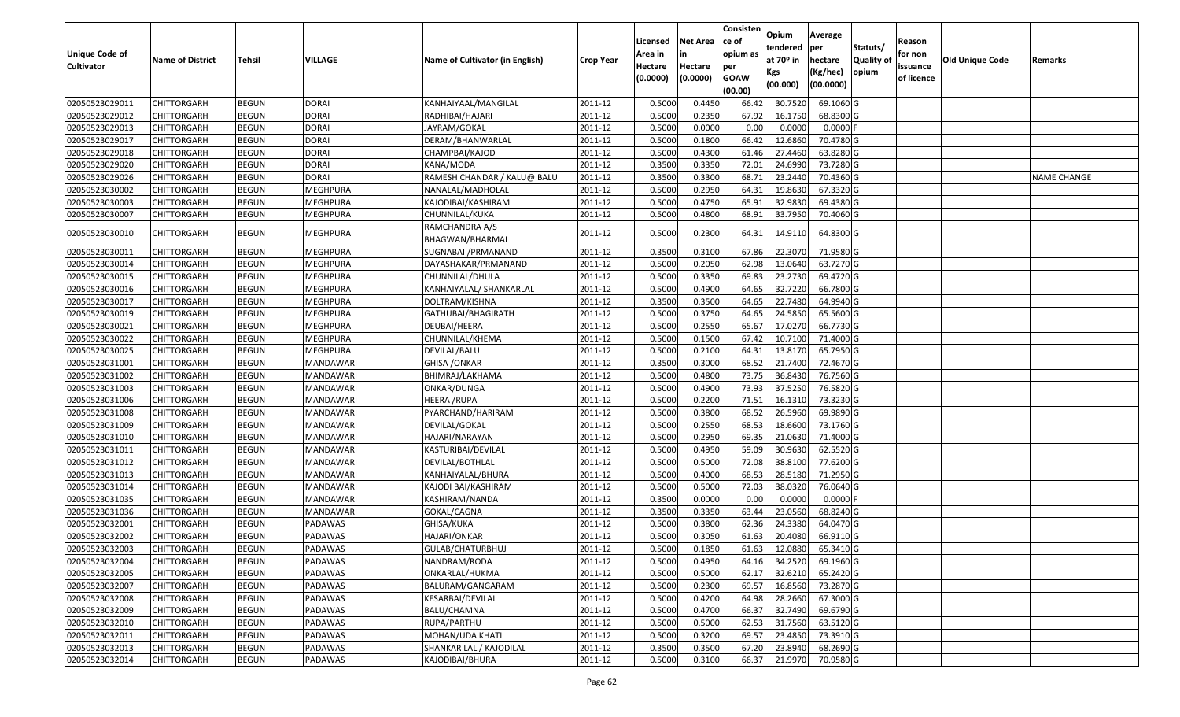|                       |                         |               |                  |                                   |                  | Licensed | <b>Net Area</b> | Consisten<br>ce of | Opium           | Average               |                  | Reason     |                 |                    |
|-----------------------|-------------------------|---------------|------------------|-----------------------------------|------------------|----------|-----------------|--------------------|-----------------|-----------------------|------------------|------------|-----------------|--------------------|
| <b>Unique Code of</b> |                         |               |                  |                                   |                  | Area in  | in              | opium as           | tendered        | per                   | Statuts/         | for non    |                 |                    |
| <b>Cultivator</b>     | <b>Name of District</b> | <b>Tehsil</b> | <b>VILLAGE</b>   | Name of Cultivator (in English)   | <b>Crop Year</b> | Hectare  | Hectare         | per                | at $70°$ in     | hectare               | <b>Quality o</b> | issuance   | Old Unique Code | Remarks            |
|                       |                         |               |                  |                                   |                  | (0.0000) | (0.0000)        | <b>GOAW</b>        | Kgs<br>(00.000) | (Kg/hec)<br>(00.0000) | opium            | of licence |                 |                    |
|                       |                         |               |                  |                                   |                  |          |                 | (00.00)            |                 |                       |                  |            |                 |                    |
| 02050523029011        | CHITTORGARH             | <b>BEGUN</b>  | <b>DORAI</b>     | KANHAIYAAL/MANGILAL               | 2011-12          | 0.5000   | 0.4450          | 66.42              | 30.7520         | 69.1060 G             |                  |            |                 |                    |
| 02050523029012        | CHITTORGARH             | <b>BEGUN</b>  | <b>DORAI</b>     | RADHIBAI/HAJARI                   | 2011-12          | 0.5000   | 0.2350          | 67.92              | 16.1750         | 68.8300 G             |                  |            |                 |                    |
| 02050523029013        | CHITTORGARH             | <b>BEGUN</b>  | <b>DORAI</b>     | JAYRAM/GOKAL                      | 2011-12          | 0.5000   | 0.0000          | 0.00               | 0.0000          | 0.0000F               |                  |            |                 |                    |
| 02050523029017        | <b>CHITTORGARH</b>      | <b>BEGUN</b>  | <b>DORAI</b>     | DERAM/BHANWARLAL                  | 2011-12          | 0.5000   | 0.1800          | 66.42              | 12.6860         | 70.4780 G             |                  |            |                 |                    |
| 02050523029018        | CHITTORGARH             | <b>BEGUN</b>  | <b>DORAI</b>     | CHAMPBAI/KAJOD                    | 2011-12          | 0.5000   | 0.4300          | 61.46              | 27.4460         | 63.8280 G             |                  |            |                 |                    |
| 02050523029020        | CHITTORGARH             | <b>BEGUN</b>  | <b>DORAI</b>     | KANA/MODA                         | 2011-12          | 0.3500   | 0.3350          | 72.01              | 24.6990         | 73.7280 G             |                  |            |                 |                    |
| 02050523029026        | CHITTORGARH             | <b>BEGUN</b>  | <b>DORAI</b>     | RAMESH CHANDAR / KALU@ BALU       | 2011-12          | 0.3500   | 0.3300          | 68.7               | 23.2440         | 70.4360 G             |                  |            |                 | <b>NAME CHANGE</b> |
| 02050523030002        | CHITTORGARH             | <b>BEGUN</b>  | <b>MEGHPURA</b>  | NANALAL/MADHOLAL                  | 2011-12          | 0.5000   | 0.2950          | 64.3               | 19.8630         | 67.3320 G             |                  |            |                 |                    |
| 02050523030003        | CHITTORGARH             | <b>BEGUN</b>  | <b>MEGHPURA</b>  | KAJODIBAI/KASHIRAM                | 2011-12          | 0.5000   | 0.4750          | 65.91              | 32.9830         | 69.4380 G             |                  |            |                 |                    |
| 02050523030007        | CHITTORGARH             | <b>BEGUN</b>  | MEGHPURA         | CHUNNILAL/KUKA                    | 2011-12          | 0.5000   | 0.4800          | 68.9               | 33.7950         | 70.4060 G             |                  |            |                 |                    |
| 02050523030010        | CHITTORGARH             | <b>BEGUN</b>  | <b>MEGHPURA</b>  | RAMCHANDRA A/S<br>BHAGWAN/BHARMAL | 2011-12          | 0.5000   | 0.2300          | 64.31              | 14.9110         | 64.8300 G             |                  |            |                 |                    |
| 02050523030011        | <b>CHITTORGARH</b>      | <b>BEGUN</b>  | <b>MEGHPURA</b>  | SUGNABAI / PRMANAND               | 2011-12          | 0.3500   | 0.3100          | 67.86              | 22.3070         | 71.9580 G             |                  |            |                 |                    |
| 02050523030014        | CHITTORGARH             | <b>BEGUN</b>  | MEGHPURA         | DAYASHAKAR/PRMANAND               | 2011-12          | 0.5000   | 0.2050          | 62.98              | 13.0640         | 63.7270 G             |                  |            |                 |                    |
| 02050523030015        | CHITTORGARH             | <b>BEGUN</b>  | MEGHPURA         | CHUNNILAL/DHULA                   | 2011-12          | 0.5000   | 0.3350          | 69.83              | 23.2730         | 69.4720 G             |                  |            |                 |                    |
| 02050523030016        | CHITTORGARH             | <b>BEGUN</b>  | <b>MEGHPURA</b>  | KANHAIYALAL/ SHANKARLAL           | 2011-12          | 0.5000   | 0.4900          | 64.65              | 32.7220         | 66.7800 G             |                  |            |                 |                    |
| 02050523030017        | CHITTORGARH             | <b>BEGUN</b>  | <b>MEGHPURA</b>  | DOLTRAM/KISHNA                    | 2011-12          | 0.3500   | 0.3500          | 64.65              | 22.7480         | 64.9940 G             |                  |            |                 |                    |
| 02050523030019        | CHITTORGARH             | <b>BEGUN</b>  | MEGHPURA         | GATHUBAI/BHAGIRATH                | 2011-12          | 0.5000   | 0.3750          | 64.65              | 24.5850         | 65.5600 G             |                  |            |                 |                    |
| 02050523030021        | CHITTORGARH             | <b>BEGUN</b>  | MEGHPURA         | DEUBAI/HEERA                      | 2011-12          | 0.5000   | 0.2550          | 65.67              | 17.0270         | 66.7730 G             |                  |            |                 |                    |
| 02050523030022        | CHITTORGARH             | <b>BEGUN</b>  | MEGHPURA         | CHUNNILAL/KHEMA                   | 2011-12          | 0.5000   | 0.1500          | 67.42              | 10.7100         | 71.4000 G             |                  |            |                 |                    |
| 02050523030025        | CHITTORGARH             | <b>BEGUN</b>  | <b>MEGHPURA</b>  | DEVILAL/BALU                      | 2011-12          | 0.5000   | 0.2100          | 64.3               | 13.8170         | 65.7950 G             |                  |            |                 |                    |
| 02050523031001        | CHITTORGARH             | <b>BEGUN</b>  | MANDAWARI        | <b>GHISA /ONKAR</b>               | 2011-12          | 0.3500   | 0.3000          | 68.52              | 21.7400         | 72.4670 G             |                  |            |                 |                    |
| 02050523031002        | CHITTORGARH             | <b>BEGUN</b>  | <b>MANDAWARI</b> | BHIMRAJ/LAKHAMA                   | 2011-12          | 0.5000   | 0.4800          | 73.75              | 36.8430         | 76.7560 G             |                  |            |                 |                    |
| 02050523031003        | CHITTORGARH             | <b>BEGUN</b>  | MANDAWARI        | ONKAR/DUNGA                       | 2011-12          | 0.5000   | 0.4900          | 73.93              | 37.5250         | 76.5820 G             |                  |            |                 |                    |
| 02050523031006        | CHITTORGARH             | <b>BEGUN</b>  | <b>MANDAWARI</b> | HEERA /RUPA                       | 2011-12          | 0.5000   | 0.2200          | 71.51              | 16.1310         | 73.3230 G             |                  |            |                 |                    |
| 02050523031008        | CHITTORGARH             | <b>BEGUN</b>  | MANDAWARI        | PYARCHAND/HARIRAM                 | 2011-12          | 0.5000   | 0.3800          | 68.52              | 26.5960         | 69.9890 G             |                  |            |                 |                    |
| 02050523031009        | CHITTORGARH             | <b>BEGUN</b>  | <b>MANDAWARI</b> | DEVILAL/GOKAL                     | 2011-12          | 0.5000   | 0.2550          | 68.53              | 18.6600         | 73.1760 G             |                  |            |                 |                    |
| 02050523031010        | CHITTORGARH             | <b>BEGUN</b>  | MANDAWARI        | HAJARI/NARAYAN                    | 2011-12          | 0.5000   | 0.2950          | 69.35              | 21.0630         | 71.4000 G             |                  |            |                 |                    |
| 02050523031011        | <b>CHITTORGARH</b>      | <b>BEGUN</b>  | MANDAWARI        | KASTURIBAI/DEVILAL                | 2011-12          | 0.5000   | 0.4950          | 59.09              | 30.9630         | 62.5520 G             |                  |            |                 |                    |
| 02050523031012        | CHITTORGARH             | <b>BEGUN</b>  | MANDAWARI        | DEVILAL/BOTHLAL                   | 2011-12          | 0.5000   | 0.5000          | 72.08              | 38.8100         | 77.6200 G             |                  |            |                 |                    |
| 02050523031013        | CHITTORGARH             | <b>BEGUN</b>  | MANDAWARI        | KANHAIYALAL/BHURA                 | 2011-12          | 0.5000   | 0.4000          | 68.53              | 28.5180         | 71.2950 G             |                  |            |                 |                    |
| 02050523031014        | CHITTORGARH             | <b>BEGUN</b>  | MANDAWARI        | KAJODI BAI/KASHIRAM               | 2011-12          | 0.5000   | 0.5000          | 72.03              | 38.0320         | 76.0640 G             |                  |            |                 |                    |
| 02050523031035        | CHITTORGARH             | <b>BEGUN</b>  | MANDAWARI        | KASHIRAM/NANDA                    | 2011-12          | 0.3500   | 0.0000          | 0.00               | 0.0000          | $0.0000$ F            |                  |            |                 |                    |
| 02050523031036        | <b>CHITTORGARH</b>      | <b>BEGUN</b>  | MANDAWARI        | GOKAL/CAGNA                       | 2011-12          | 0.3500   | 0.3350          | 63.44              | 23.0560         | 68.8240 G             |                  |            |                 |                    |
| 02050523032001        | CHITTORGARH             | <b>BEGUN</b>  | PADAWAS          | GHISA/KUKA                        | 2011-12          | 0.500    | 0.3800          | 62.36              | 24.3380         | 64.0470 G             |                  |            |                 |                    |
| 02050523032002        | CHITTORGARH             | <b>BEGUN</b>  | PADAWAS          | HAJARI/ONKAR                      | 2011-12          | 0.5000   | 0.3050          | 61.63              | 20.4080         | 66.9110 G             |                  |            |                 |                    |
| 02050523032003        | <b>CHITTORGARH</b>      | <b>BEGUN</b>  | PADAWAS          | GULAB/CHATURBHUJ                  | 2011-12          | 0.5000   | 0.1850          | 61.63              | 12.0880         | 65.3410 G             |                  |            |                 |                    |
| 02050523032004        | <b>CHITTORGARH</b>      | <b>BEGUN</b>  | PADAWAS          | NANDRAM/RODA                      | 2011-12          | 0.5000   | 0.4950          | 64.16              | 34.2520         | 69.1960 G             |                  |            |                 |                    |
| 02050523032005        | <b>CHITTORGARH</b>      | <b>BEGUN</b>  | PADAWAS          | ONKARLAL/HUKMA                    | 2011-12          | 0.5000   | 0.5000          | 62.17              | 32.6210         | 65.2420 G             |                  |            |                 |                    |
| 02050523032007        | <b>CHITTORGARH</b>      | <b>BEGUN</b>  | PADAWAS          | BALURAM/GANGARAM                  | 2011-12          | 0.5000   | 0.2300          | 69.57              | 16.8560         | 73.2870 G             |                  |            |                 |                    |
| 02050523032008        | CHITTORGARH             | <b>BEGUN</b>  | PADAWAS          | KESARBAI/DEVILAL                  | 2011-12          | 0.5000   | 0.4200          | 64.98              | 28.2660         | 67.3000 G             |                  |            |                 |                    |
| 02050523032009        | <b>CHITTORGARH</b>      | <b>BEGUN</b>  | PADAWAS          | BALU/CHAMNA                       | 2011-12          | 0.5000   | 0.4700          | 66.37              | 32.7490         | 69.6790 G             |                  |            |                 |                    |
| 02050523032010        | <b>CHITTORGARH</b>      | <b>BEGUN</b>  | PADAWAS          | RUPA/PARTHU                       | 2011-12          | 0.5000   | 0.5000          | 62.53              | 31.7560         | 63.5120 G             |                  |            |                 |                    |
| 02050523032011        | <b>CHITTORGARH</b>      | <b>BEGUN</b>  | PADAWAS          | MOHAN/UDA KHATI                   | 2011-12          | 0.5000   | 0.3200          | 69.57              | 23.4850         | 73.3910 G             |                  |            |                 |                    |
| 02050523032013        | <b>CHITTORGARH</b>      | <b>BEGUN</b>  | PADAWAS          | SHANKAR LAL / KAJODILAL           | 2011-12          | 0.3500   | 0.3500          | 67.20              | 23.8940         | 68.2690 G             |                  |            |                 |                    |
| 02050523032014        | <b>CHITTORGARH</b>      | <b>BEGUN</b>  | PADAWAS          | KAJODIBAI/BHURA                   | 2011-12          | 0.5000   | 0.3100          | 66.37              | 21.9970         | 70.9580 G             |                  |            |                 |                    |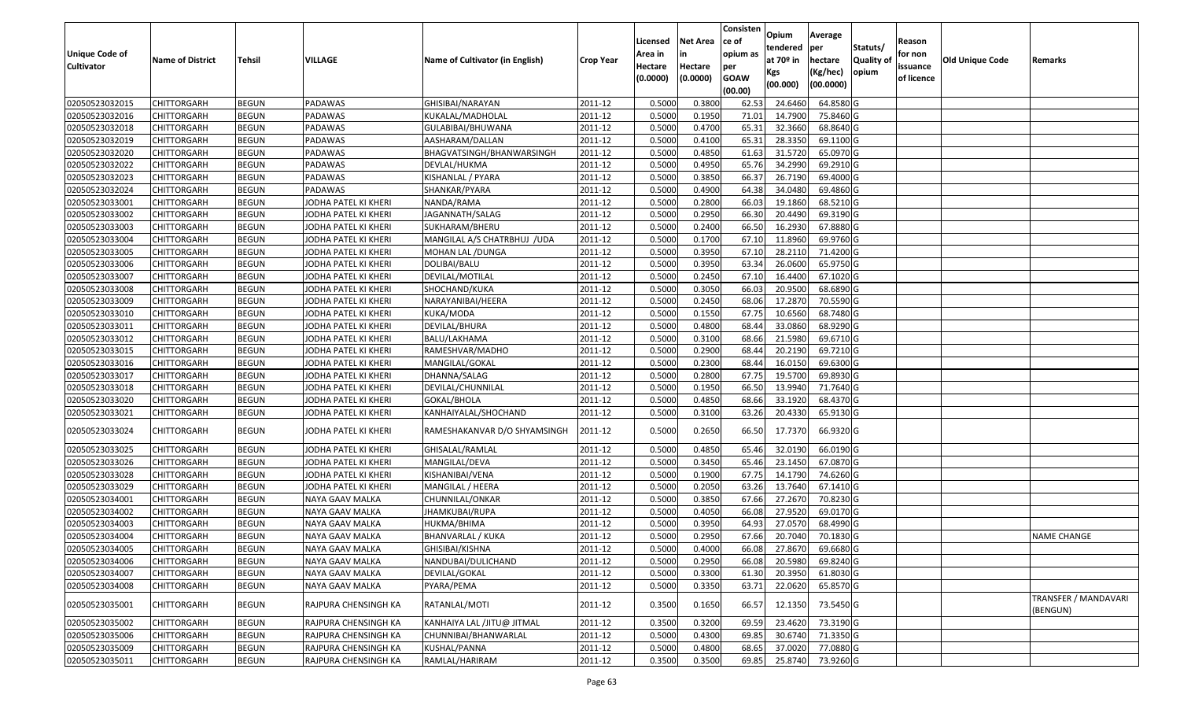|                   |                         |               |                      |                                 |                  |          |                 | Consisten              | Opium       | Average   |                  |            |                 |                                  |
|-------------------|-------------------------|---------------|----------------------|---------------------------------|------------------|----------|-----------------|------------------------|-------------|-----------|------------------|------------|-----------------|----------------------------------|
|                   |                         |               |                      |                                 |                  | Licensed | <b>Net Area</b> | ce of                  | tendered    | per       | Statuts/         | Reason     |                 |                                  |
| Unique Code of    | <b>Name of District</b> | <b>Tehsil</b> | VILLAGE              | Name of Cultivator (in English) | <b>Crop Year</b> | Area in  | in              | opium as               | at $70°$ in | hectare   | <b>Quality o</b> | for non    | Old Unique Code | Remarks                          |
| <b>Cultivator</b> |                         |               |                      |                                 |                  | Hectare  | Hectare         | per                    | Kgs         | (Kg/hec)  | opium            | issuance   |                 |                                  |
|                   |                         |               |                      |                                 |                  | (0.0000) | (0.0000)        | <b>GOAW</b><br>(00.00) | (00.000)    | (00.0000) |                  | of licence |                 |                                  |
| 02050523032015    | CHITTORGARH             | <b>BEGUN</b>  | PADAWAS              | GHISIBAI/NARAYAN                | 2011-12          | 0.5000   | 0.3800          | 62.53                  | 24.6460     | 64.8580 G |                  |            |                 |                                  |
| 02050523032016    | CHITTORGARH             | <b>BEGUN</b>  | PADAWAS              | KUKALAL/MADHOLAL                | 2011-12          | 0.5000   | 0.1950          | 71.01                  | 14.7900     | 75.8460 G |                  |            |                 |                                  |
| 02050523032018    | CHITTORGARH             | <b>BEGUN</b>  | PADAWAS              | GULABIBAI/BHUWANA               | 2011-12          | 0.5000   | 0.4700          | 65.31                  | 32.3660     | 68.8640 G |                  |            |                 |                                  |
| 02050523032019    | <b>CHITTORGARH</b>      | <b>BEGUN</b>  | PADAWAS              | AASHARAM/DALLAN                 | 2011-12          | 0.5000   | 0.4100          | 65.31                  | 28.3350     | 69.1100 G |                  |            |                 |                                  |
| 02050523032020    | CHITTORGARH             | <b>BEGUN</b>  | PADAWAS              | BHAGVATSINGH/BHANWARSINGH       | 2011-12          | 0.5000   | 0.4850          | 61.63                  | 31.5720     | 65.0970 G |                  |            |                 |                                  |
| 02050523032022    | CHITTORGARH             | <b>BEGUN</b>  | PADAWAS              | DEVLAL/HUKMA                    | 2011-12          | 0.5000   | 0.4950          | 65.76                  | 34.2990     | 69.2910 G |                  |            |                 |                                  |
| 02050523032023    | CHITTORGARH             | <b>BEGUN</b>  | PADAWAS              | KISHANLAL / PYARA               | 2011-12          | 0.5000   | 0.3850          | 66.37                  | 26.7190     | 69.4000 G |                  |            |                 |                                  |
| 02050523032024    | <b>CHITTORGARH</b>      | <b>BEGUN</b>  | PADAWAS              | SHANKAR/PYARA                   | 2011-12          | 0.5000   | 0.4900          | 64.38                  | 34.0480     | 69.4860 G |                  |            |                 |                                  |
| 02050523033001    | <b>CHITTORGARH</b>      | <b>BEGUN</b>  | JODHA PATEL KI KHERI | NANDA/RAMA                      | 2011-12          | 0.5000   | 0.2800          | 66.03                  | 19.1860     | 68.5210 G |                  |            |                 |                                  |
| 02050523033002    | CHITTORGARH             | <b>BEGUN</b>  | JODHA PATEL KI KHERI | JAGANNATH/SALAG                 | 2011-12          | 0.5000   | 0.2950          | 66.30                  | 20.4490     | 69.3190 G |                  |            |                 |                                  |
| 02050523033003    | CHITTORGARH             | <b>BEGUN</b>  | JODHA PATEL KI KHERI | SUKHARAM/BHERU                  | 2011-12          | 0.5000   | 0.2400          | 66.50                  | 16.2930     | 67.8880 G |                  |            |                 |                                  |
| 02050523033004    | <b>CHITTORGARH</b>      | <b>BEGUN</b>  | JODHA PATEL KI KHERI | MANGILAL A/S CHATRBHUJ /UDA     | 2011-12          | 0.5000   | 0.1700          | 67.10                  | 11.8960     | 69.9760 G |                  |            |                 |                                  |
| 02050523033005    | <b>CHITTORGARH</b>      | <b>BEGUN</b>  | JODHA PATEL KI KHERI | MOHAN LAL / DUNGA               | 2011-12          | 0.5000   | 0.3950          | 67.10                  | 28.2110     | 71.4200 G |                  |            |                 |                                  |
| 02050523033006    | <b>CHITTORGARH</b>      | <b>BEGUN</b>  | JODHA PATEL KI KHERI | DOLIBAI/BALU                    | 2011-12          | 0.5000   | 0.3950          | 63.34                  | 26.0600     | 65.9750 G |                  |            |                 |                                  |
| 02050523033007    | <b>CHITTORGARH</b>      | <b>BEGUN</b>  | JODHA PATEL KI KHERI | DEVILAL/MOTILAL                 | 2011-12          | 0.5000   | 0.2450          | 67.10                  | 16.4400     | 67.1020 G |                  |            |                 |                                  |
| 02050523033008    | <b>CHITTORGARH</b>      | <b>BEGUN</b>  | JODHA PATEL KI KHERI | SHOCHAND/KUKA                   | 2011-12          | 0.5000   | 0.3050          | 66.03                  | 20.9500     | 68.6890 G |                  |            |                 |                                  |
| 02050523033009    | <b>CHITTORGARH</b>      | <b>BEGUN</b>  | JODHA PATEL KI KHERI | NARAYANIBAI/HEERA               | 2011-12          | 0.5000   | 0.2450          | 68.06                  | 17.2870     | 70.5590G  |                  |            |                 |                                  |
| 02050523033010    | CHITTORGARH             | <b>BEGUN</b>  | JODHA PATEL KI KHERI | KUKA/MODA                       | 2011-12          | 0.5000   | 0.1550          | 67.75                  | 10.6560     | 68.7480 G |                  |            |                 |                                  |
| 02050523033011    | CHITTORGARH             | <b>BEGUN</b>  | JODHA PATEL KI KHERI | DEVILAL/BHURA                   | 2011-12          | 0.5000   | 0.4800          | 68.44                  | 33.0860     | 68.9290 G |                  |            |                 |                                  |
| 02050523033012    | CHITTORGARH             | <b>BEGUN</b>  | JODHA PATEL KI KHERI | BALU/LAKHAMA                    | 2011-12          | 0.5000   | 0.3100          | 68.66                  | 21.5980     | 69.6710 G |                  |            |                 |                                  |
| 02050523033015    | CHITTORGARH             | <b>BEGUN</b>  | JODHA PATEL KI KHERI | RAMESHVAR/MADHO                 | 2011-12          | 0.5000   | 0.2900          | 68.44                  | 20.2190     | 69.7210 G |                  |            |                 |                                  |
| 02050523033016    | CHITTORGARH             | <b>BEGUN</b>  | JODHA PATEL KI KHERI | MANGILAL/GOKAL                  | 2011-12          | 0.5000   | 0.2300          | 68.44                  | 16.015      | 69.6300 G |                  |            |                 |                                  |
| 02050523033017    | CHITTORGARH             | <b>BEGUN</b>  | JODHA PATEL KI KHERI | DHANNA/SALAG                    | 2011-12          | 0.5000   | 0.2800          | 67.75                  | 19.5700     | 69.8930 G |                  |            |                 |                                  |
| 02050523033018    | <b>CHITTORGARH</b>      | <b>BEGUN</b>  | JODHA PATEL KI KHERI | DEVILAL/CHUNNILAL               | 2011-12          | 0.5000   | 0.1950          | 66.50                  | 13.9940     | 71.7640 G |                  |            |                 |                                  |
| 02050523033020    | CHITTORGARH             | <b>BEGUN</b>  | JODHA PATEL KI KHERI | GOKAL/BHOLA                     | 2011-12          | 0.5000   | 0.4850          | 68.66                  | 33.1920     | 68.4370 G |                  |            |                 |                                  |
| 02050523033021    | CHITTORGARH             | <b>BEGUN</b>  | JODHA PATEL KI KHERI | KANHAIYALAL/SHOCHAND            | 2011-12          | 0.5000   | 0.3100          | 63.26                  | 20.4330     | 65.9130 G |                  |            |                 |                                  |
| 02050523033024    | CHITTORGARH             | <b>BEGUN</b>  | JODHA PATEL KI KHERI | RAMESHAKANVAR D/O SHYAMSINGH    | 2011-12          | 0.5000   | 0.2650          | 66.50                  | 17.7370     | 66.9320 G |                  |            |                 |                                  |
| 02050523033025    | <b>CHITTORGARH</b>      | <b>BEGUN</b>  | JODHA PATEL KI KHERI | GHISALAL/RAMLAL                 | 2011-12          | 0.5000   | 0.4850          | 65.46                  | 32.0190     | 66.0190 G |                  |            |                 |                                  |
| 02050523033026    | CHITTORGARH             | <b>BEGUN</b>  | JODHA PATEL KI KHERI | MANGILAL/DEVA                   | 2011-12          | 0.5000   | 0.3450          | 65.46                  | 23.1450     | 67.0870 G |                  |            |                 |                                  |
| 02050523033028    | <b>CHITTORGARH</b>      | <b>BEGUN</b>  | JODHA PATEL KI KHERI | KISHANIBAI/VENA                 | 2011-12          | 0.5000   | 0.1900          | 67.75                  | 14.1790     | 74.6260 G |                  |            |                 |                                  |
| 02050523033029    | CHITTORGARH             | <b>BEGUN</b>  | JODHA PATEL KI KHERI | MANGILAL / HEERA                | 2011-12          | 0.5000   | 0.2050          | 63.26                  | 13.7640     | 67.1410G  |                  |            |                 |                                  |
| 02050523034001    | <b>CHITTORGARH</b>      | <b>BEGUN</b>  | NAYA GAAV MALKA      | CHUNNILAL/ONKAR                 | 2011-12          | 0.5000   | 0.3850          | 67.66                  | 27.2670     | 70.8230 G |                  |            |                 |                                  |
| 02050523034002    | <b>CHITTORGARH</b>      | <b>BEGUN</b>  | NAYA GAAV MALKA      | <b>JHAMKUBAI/RUPA</b>           | 2011-12          | 0.5000   | 0.4050          | 66.08                  | 27.9520     | 69.0170 G |                  |            |                 |                                  |
| 02050523034003    | CHITTORGARH             | <b>BEGUN</b>  | NAYA GAAV MALKA      | HUKMA/BHIMA                     | 2011-12          | 0.5000   | 0.3950          | 64.93                  | 27.0570     | 68.4990 G |                  |            |                 |                                  |
| 02050523034004    | CHITTORGARH             | <b>BEGUN</b>  | NAYA GAAV MALKA      | BHANVARLAL / KUKA               | 2011-12          | 0.5000   | 0.2950          | 67.66                  | 20.7040     | 70.1830 G |                  |            |                 | <b>NAME CHANGE</b>               |
| 02050523034005    | <b>CHITTORGARH</b>      | <b>BEGUN</b>  | NAYA GAAV MALKA      | GHISIBAI/KISHNA                 | 2011-12          | 0.5000   | 0.4000          | 66.08                  | 27.8670     | 69.6680 G |                  |            |                 |                                  |
| 02050523034006    | <b>CHITTORGARH</b>      | <b>BEGUN</b>  | NAYA GAAV MALKA      | NANDUBAI/DULICHAND              | 2011-12          | 0.5000   | 0.2950          | 66.08                  | 20.5980     | 69.8240 G |                  |            |                 |                                  |
| 02050523034007    | <b>CHITTORGARH</b>      | <b>BEGUN</b>  | NAYA GAAV MALKA      | DEVILAL/GOKAL                   | 2011-12          | 0.5000   | 0.3300          | 61.30                  | 20.3950     | 61.8030 G |                  |            |                 |                                  |
| 02050523034008    | <b>CHITTORGARH</b>      | <b>BEGUN</b>  | NAYA GAAV MALKA      | PYARA/PEMA                      | 2011-12          | 0.5000   | 0.3350          | 63.71                  | 22.0620     | 65.8570 G |                  |            |                 |                                  |
| 02050523035001    | <b>CHITTORGARH</b>      | <b>BEGUN</b>  | RAJPURA CHENSINGH KA | RATANLAL/MOTI                   | 2011-12          | 0.3500   | 0.1650          | 66.57                  | 12.1350     | 73.5450 G |                  |            |                 | TRANSFER / MANDAVARI<br>(BENGUN) |
| 02050523035002    | <b>CHITTORGARH</b>      | <b>BEGUN</b>  | RAJPURA CHENSINGH KA | KANHAIYA LAL /JITU@ JITMAL      | 2011-12          | 0.3500   | 0.3200          | 69.59                  | 23.4620     | 73.3190 G |                  |            |                 |                                  |
| 02050523035006    | <b>CHITTORGARH</b>      | <b>BEGUN</b>  | RAJPURA CHENSINGH KA | CHUNNIBAI/BHANWARLAL            | 2011-12          | 0.5000   | 0.4300          | 69.85                  | 30.6740     | 71.3350 G |                  |            |                 |                                  |
| 02050523035009    | <b>CHITTORGARH</b>      | <b>BEGUN</b>  | RAJPURA CHENSINGH KA | KUSHAL/PANNA                    | 2011-12          | 0.5000   | 0.4800          | 68.65                  | 37.0020     | 77.0880 G |                  |            |                 |                                  |
| 02050523035011    | <b>CHITTORGARH</b>      | <b>BEGUN</b>  | RAJPURA CHENSINGH KA | RAMLAL/HARIRAM                  | 2011-12          | 0.3500   | 0.3500          | 69.85                  | 25.8740     | 73.9260 G |                  |            |                 |                                  |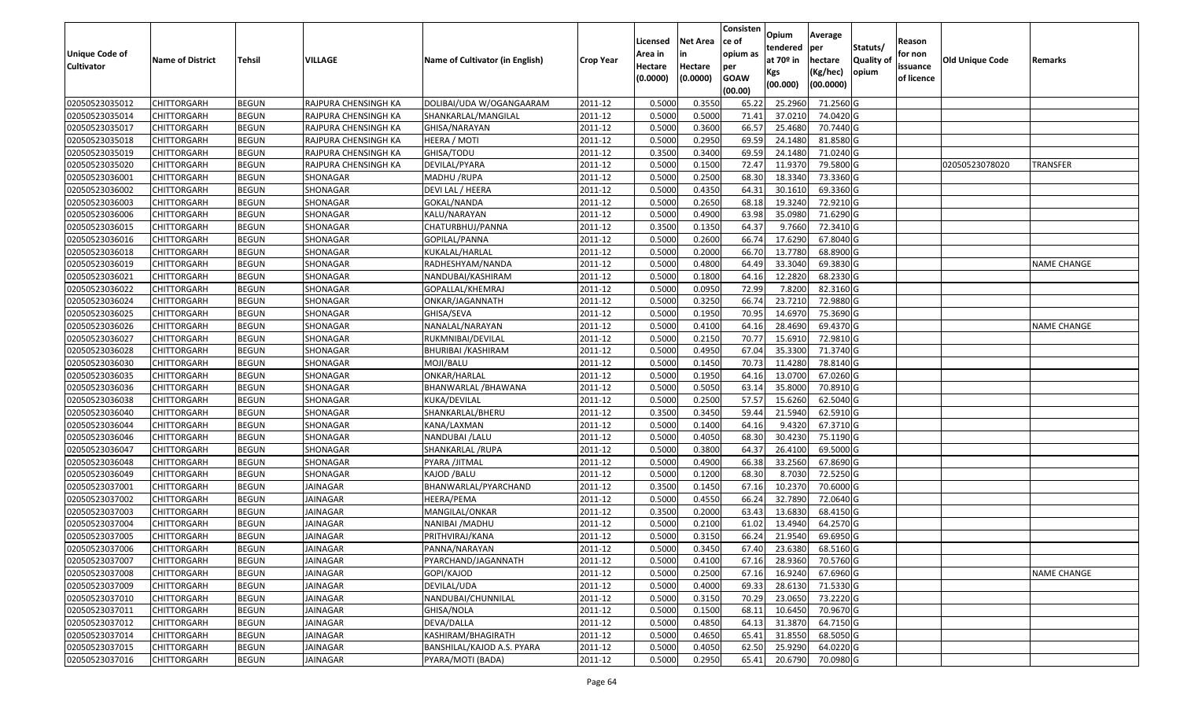| <b>Unique Code of</b><br><b>Cultivator</b> | <b>Name of District</b> | Tehsil       | VILLAGE              | <b>Name of Cultivator (in English)</b> | <b>Crop Year</b> | Licensed<br>Area in<br>Hectare<br>(0.0000) | Net Area<br>in<br>Hectare<br>(0.0000) | Consisten<br>ce of<br>opium as<br>per<br><b>GOAW</b><br>(00.00) | Opium<br>tendered<br>at $70°$ in<br>Kgs<br>(00.000) | Average<br>per<br>hectare<br>(Kg/hec)<br>(00.0000) | Statuts/<br>Quality of<br>opium | Reason<br>for non<br>issuance<br>of licence | Old Unique Code | Remarks            |
|--------------------------------------------|-------------------------|--------------|----------------------|----------------------------------------|------------------|--------------------------------------------|---------------------------------------|-----------------------------------------------------------------|-----------------------------------------------------|----------------------------------------------------|---------------------------------|---------------------------------------------|-----------------|--------------------|
| 02050523035012                             | <b>CHITTORGARH</b>      | <b>BEGUN</b> | RAJPURA CHENSINGH KA | DOLIBAI/UDA W/OGANGAARAM               | 2011-12          | 0.5000                                     | 0.3550                                | 65.22                                                           | 25.2960                                             | 71.2560 G                                          |                                 |                                             |                 |                    |
| 02050523035014                             | CHITTORGARH             | <b>BEGUN</b> | RAJPURA CHENSINGH KA | SHANKARLAL/MANGILAL                    | 2011-12          | 0.5000                                     | 0.5000                                | 71.41                                                           | 37.0210                                             | 74.0420 G                                          |                                 |                                             |                 |                    |
| 02050523035017                             | CHITTORGARH             | <b>BEGUN</b> | RAJPURA CHENSINGH KA | GHISA/NARAYAN                          | 2011-12          | 0.5000                                     | 0.3600                                | 66.57                                                           | 25.4680                                             | 70.7440 G                                          |                                 |                                             |                 |                    |
| 02050523035018                             | <b>CHITTORGARH</b>      | <b>BEGUN</b> | RAJPURA CHENSINGH KA | HEERA / MOTI                           | 2011-12          | 0.5000                                     | 0.2950                                | 69.59                                                           | 24.1480                                             | 81.8580 G                                          |                                 |                                             |                 |                    |
| 02050523035019                             | <b>CHITTORGARH</b>      | <b>BEGUN</b> | RAJPURA CHENSINGH KA | GHISA/TODU                             | 2011-12          | 0.3500                                     | 0.3400                                | 69.59                                                           | 24.1480                                             | 71.0240 G                                          |                                 |                                             |                 |                    |
| 02050523035020                             | <b>CHITTORGARH</b>      | <b>BEGUN</b> | RAJPURA CHENSINGH KA | DEVILAL/PYARA                          | 2011-12          | 0.5000                                     | 0.1500                                | 72.47                                                           | 11.9370                                             | 79.5800 G                                          |                                 |                                             | 02050523078020  | TRANSFER           |
| 02050523036001                             | CHITTORGARH             | <b>BEGUN</b> | SHONAGAR             | MADHU /RUPA                            | 2011-12          | 0.5000                                     | 0.2500                                | 68.30                                                           | 18.3340                                             | 73.3360 G                                          |                                 |                                             |                 |                    |
| 02050523036002                             | <b>CHITTORGARH</b>      | <b>BEGUN</b> | SHONAGAR             | DEVI LAL / HEERA                       | 2011-12          | 0.5000                                     | 0.4350                                | 64.31                                                           | 30.1610                                             | 69.3360 G                                          |                                 |                                             |                 |                    |
| 02050523036003                             | <b>CHITTORGARH</b>      | <b>BEGUN</b> | SHONAGAR             | GOKAL/NANDA                            | 2011-12          | 0.5000                                     | 0.2650                                | 68.18                                                           | 19.3240                                             | 72.9210 G                                          |                                 |                                             |                 |                    |
| 02050523036006                             | <b>CHITTORGARH</b>      | <b>BEGUN</b> | SHONAGAR             | KALU/NARAYAN                           | 2011-12          | 0.5000                                     | 0.4900                                | 63.98                                                           | 35.0980                                             | 71.6290 G                                          |                                 |                                             |                 |                    |
| 02050523036015                             | <b>CHITTORGARH</b>      | <b>BEGUN</b> | SHONAGAR             | CHATURBHUJ/PANNA                       | 2011-12          | 0.3500                                     | 0.1350                                | 64.37                                                           | 9.7660                                              | 72.3410 G                                          |                                 |                                             |                 |                    |
| 02050523036016                             | <b>CHITTORGARH</b>      | <b>BEGUN</b> | SHONAGAR             | GOPILAL/PANNA                          | 2011-12          | 0.5000                                     | 0.2600                                | 66.74                                                           | 17.6290                                             | 67.8040 G                                          |                                 |                                             |                 |                    |
| 02050523036018                             | <b>CHITTORGARH</b>      | <b>BEGUN</b> | SHONAGAR             | KUKALAL/HARLAL                         | 2011-12          | 0.5000                                     | 0.2000                                | 66.70                                                           | 13.7780                                             | 68.8900 G                                          |                                 |                                             |                 |                    |
| 02050523036019                             | <b>CHITTORGARH</b>      | <b>BEGUN</b> | SHONAGAR             | RADHESHYAM/NANDA                       | 2011-12          | 0.5000                                     | 0.4800                                | 64.49                                                           | 33.3040                                             | 69.3830 G                                          |                                 |                                             |                 | <b>NAME CHANGE</b> |
| 02050523036021                             | <b>CHITTORGARH</b>      | <b>BEGUN</b> | SHONAGAR             | NANDUBAI/KASHIRAM                      | 2011-12          | 0.5000                                     | 0.1800                                | 64.16                                                           | 12.2820                                             | 68.2330 G                                          |                                 |                                             |                 |                    |
| 02050523036022                             | <b>CHITTORGARH</b>      | <b>BEGUN</b> | SHONAGAR             | GOPALLAL/KHEMRAJ                       | 2011-12          | 0.5000                                     | 0.0950                                | 72.99                                                           | 7.8200                                              | 82.3160 G                                          |                                 |                                             |                 |                    |
| 02050523036024                             | <b>CHITTORGARH</b>      | <b>BEGUN</b> | SHONAGAR             | ONKAR/JAGANNATH                        | 2011-12          | 0.5000                                     | 0.3250                                | 66.74                                                           | 23.7210                                             | 72.9880 G                                          |                                 |                                             |                 |                    |
| 02050523036025                             | <b>CHITTORGARH</b>      | <b>BEGUN</b> | SHONAGAR             | GHISA/SEVA                             | 2011-12          | 0.5000                                     | 0.1950                                | 70.95                                                           | 14.6970                                             | 75.3690 G                                          |                                 |                                             |                 |                    |
| 02050523036026                             | <b>CHITTORGARH</b>      | <b>BEGUN</b> | SHONAGAR             | NANALAL/NARAYAN                        | 2011-12          | 0.5000                                     | 0.4100                                | 64.16                                                           | 28.4690                                             | 69.4370 G                                          |                                 |                                             |                 | <b>NAME CHANGE</b> |
| 02050523036027                             | CHITTORGARH             | <b>BEGUN</b> | SHONAGAR             | RUKMNIBAI/DEVILAL                      | 2011-12          | 0.5000                                     | 0.2150                                | 70.77                                                           | 15.6910                                             | 72.9810 G                                          |                                 |                                             |                 |                    |
| 02050523036028                             | <b>CHITTORGARH</b>      | <b>BEGUN</b> | SHONAGAR             | <b>BHURIBAI / KASHIRAM</b>             | 2011-12          | 0.5000                                     | 0.4950                                | 67.04                                                           | 35.3300                                             | 71.3740 G                                          |                                 |                                             |                 |                    |
| 02050523036030                             | <b>CHITTORGARH</b>      | <b>BEGUN</b> | SHONAGAR             | MOJI/BALU                              | 2011-12          | 0.5000                                     | 0.1450                                | 70.73                                                           | 11.4280                                             | 78.8140 G                                          |                                 |                                             |                 |                    |
| 02050523036035                             | <b>CHITTORGARH</b>      | <b>BEGUN</b> | SHONAGAR             | ONKAR/HARLAL                           | 2011-12          | 0.5000                                     | 0.1950                                | 64.1                                                            | 13.0700                                             | 67.0260 G                                          |                                 |                                             |                 |                    |
| 02050523036036                             | <b>CHITTORGARH</b>      | <b>BEGUN</b> | SHONAGAR             | BHANWARLAL / BHAWANA                   | 2011-12          | 0.5000                                     | 0.5050                                | 63.1                                                            | 35.8000                                             | 70.8910 G                                          |                                 |                                             |                 |                    |
| 02050523036038                             | <b>CHITTORGARH</b>      | <b>BEGUN</b> | SHONAGAR             | KUKA/DEVILAL                           | 2011-12          | 0.5000                                     | 0.2500                                | 57.57                                                           | 15.6260                                             | 62.5040 G                                          |                                 |                                             |                 |                    |
| 02050523036040                             | <b>CHITTORGARH</b>      | <b>BEGUN</b> | SHONAGAR             | SHANKARLAL/BHERU                       | 2011-12          | 0.3500                                     | 0.3450                                | 59.44                                                           | 21.5940                                             | 62.5910 G                                          |                                 |                                             |                 |                    |
| 02050523036044                             | <b>CHITTORGARH</b>      | <b>BEGUN</b> | SHONAGAR             | KANA/LAXMAN                            | 2011-12          | 0.5000                                     | 0.1400                                | 64.1                                                            | 9.4320                                              | 67.3710 G                                          |                                 |                                             |                 |                    |
| 02050523036046                             | CHITTORGARH             | <b>BEGUN</b> | SHONAGAR             | NANDUBAI /LALU                         | 2011-12          | 0.5000                                     | 0.4050                                | 68.30                                                           | 30.4230                                             | 75.1190 G                                          |                                 |                                             |                 |                    |
| 02050523036047                             | <b>CHITTORGARH</b>      | <b>BEGUN</b> | SHONAGAR             | SHANKARLAL /RUPA                       | 2011-12          | 0.5000                                     | 0.3800                                | 64.37                                                           | 26.4100                                             | 69.5000 G                                          |                                 |                                             |                 |                    |
| 02050523036048                             | <b>CHITTORGARH</b>      | <b>BEGUN</b> | SHONAGAR             | PYARA /JITMAL                          | 2011-12          | 0.5000                                     | 0.4900                                | 66.38                                                           | 33.2560                                             | 67.8690 G                                          |                                 |                                             |                 |                    |
| 02050523036049                             | <b>CHITTORGARH</b>      | <b>BEGUN</b> | SHONAGAR             | KAJOD /BALU                            | 2011-12          | 0.5000                                     | 0.1200                                | 68.30                                                           | 8.7030                                              | 72.5250 G                                          |                                 |                                             |                 |                    |
| 02050523037001                             | CHITTORGARH             | <b>BEGUN</b> | JAINAGAR             | BHANWARLAL/PYARCHAND                   | 2011-12          | 0.3500                                     | 0.1450                                | 67.16                                                           | 10.2370                                             | 70.6000 G                                          |                                 |                                             |                 |                    |
| 02050523037002                             | <b>CHITTORGARH</b>      | <b>BEGUN</b> | <b>JAINAGAR</b>      | HEERA/PEMA                             | 2011-12          | 0.5000                                     | 0.4550                                | 66.24                                                           | 32.7890                                             | 72.0640 G                                          |                                 |                                             |                 |                    |
| 02050523037003                             | <b>CHITTORGARH</b>      | <b>BEGUN</b> | <b>JAINAGAR</b>      | MANGILAL/ONKAR                         | 2011-12          | 0.3500                                     | 0.2000                                | 63.43                                                           | 13.6830                                             | 68.4150 G                                          |                                 |                                             |                 |                    |
| 02050523037004                             | CHITTORGARH             | <b>BEGUN</b> | JAINAGAR             | NANIBAI / MADHU                        | 2011-12          | 0.500                                      | 0.2100                                | 61.02                                                           | 13.4940                                             | 64.2570 G                                          |                                 |                                             |                 |                    |
| 02050523037005                             | <b>CHITTORGARH</b>      | <b>BEGUN</b> | JAINAGAR             | PRITHVIRAJ/KANA                        | 2011-12          | 0.5000                                     | 0.3150                                | 66.24                                                           | 21.9540                                             | 69.6950 G                                          |                                 |                                             |                 |                    |
| 02050523037006                             | <b>CHITTORGARH</b>      | <b>BEGUN</b> | JAINAGAR             | PANNA/NARAYAN                          | 2011-12          | 0.5000                                     | 0.3450                                | 67.40                                                           | 23.6380                                             | 68.5160 G                                          |                                 |                                             |                 |                    |
| 02050523037007                             | <b>CHITTORGARH</b>      | <b>BEGUN</b> | JAINAGAR             | PYARCHAND/JAGANNATH                    | 2011-12          | 0.5000                                     | 0.4100                                | 67.16                                                           | 28.9360                                             | 70.5760 G                                          |                                 |                                             |                 |                    |
| 02050523037008                             | <b>CHITTORGARH</b>      | <b>BEGUN</b> | JAINAGAR             | GOPI/KAJOD                             | 2011-12          | 0.5000                                     | 0.2500                                | 67.16                                                           | 16.9240                                             | 67.6960 G                                          |                                 |                                             |                 | <b>NAME CHANGE</b> |
| 02050523037009                             | <b>CHITTORGARH</b>      | <b>BEGUN</b> | JAINAGAR             | DEVILAL/UDA                            | 2011-12          | 0.5000                                     | 0.4000                                | 69.33                                                           | 28.6130                                             | 71.5330 G                                          |                                 |                                             |                 |                    |
| 02050523037010                             | <b>CHITTORGARH</b>      | <b>BEGUN</b> | JAINAGAR             | NANDUBAI/CHUNNILAL                     | 2011-12          | 0.5000                                     | 0.3150                                | 70.29                                                           | 23.0650                                             | 73.2220 G                                          |                                 |                                             |                 |                    |
| 02050523037011                             | <b>CHITTORGARH</b>      | <b>BEGUN</b> | JAINAGAR             | GHISA/NOLA                             | 2011-12          | 0.5000                                     | 0.1500                                | 68.11                                                           | 10.6450                                             | $70.9670$ G                                        |                                 |                                             |                 |                    |
| 02050523037012                             | <b>CHITTORGARH</b>      | <b>BEGUN</b> | JAINAGAR             | DEVA/DALLA                             | 2011-12          | 0.5000                                     | 0.4850                                | 64.13                                                           | 31.3870                                             | 64.7150 G                                          |                                 |                                             |                 |                    |
| 02050523037014                             | <b>CHITTORGARH</b>      | <b>BEGUN</b> | JAINAGAR             | KASHIRAM/BHAGIRATH                     | 2011-12          | 0.5000                                     | 0.4650                                | 65.41                                                           | 31.8550                                             | 68.5050 G                                          |                                 |                                             |                 |                    |
| 02050523037015                             | <b>CHITTORGARH</b>      | <b>BEGUN</b> | JAINAGAR             | BANSHILAL/KAJOD A.S. PYARA             | 2011-12          | 0.5000                                     | 0.4050                                | 62.50                                                           | 25.9290                                             | 64.0220 G                                          |                                 |                                             |                 |                    |
| 02050523037016                             | <b>CHITTORGARH</b>      | <b>BEGUN</b> | JAINAGAR             | PYARA/MOTI (BADA)                      | 2011-12          | 0.5000                                     | 0.2950                                | 65.41                                                           | 20.6790                                             | 70.0980 G                                          |                                 |                                             |                 |                    |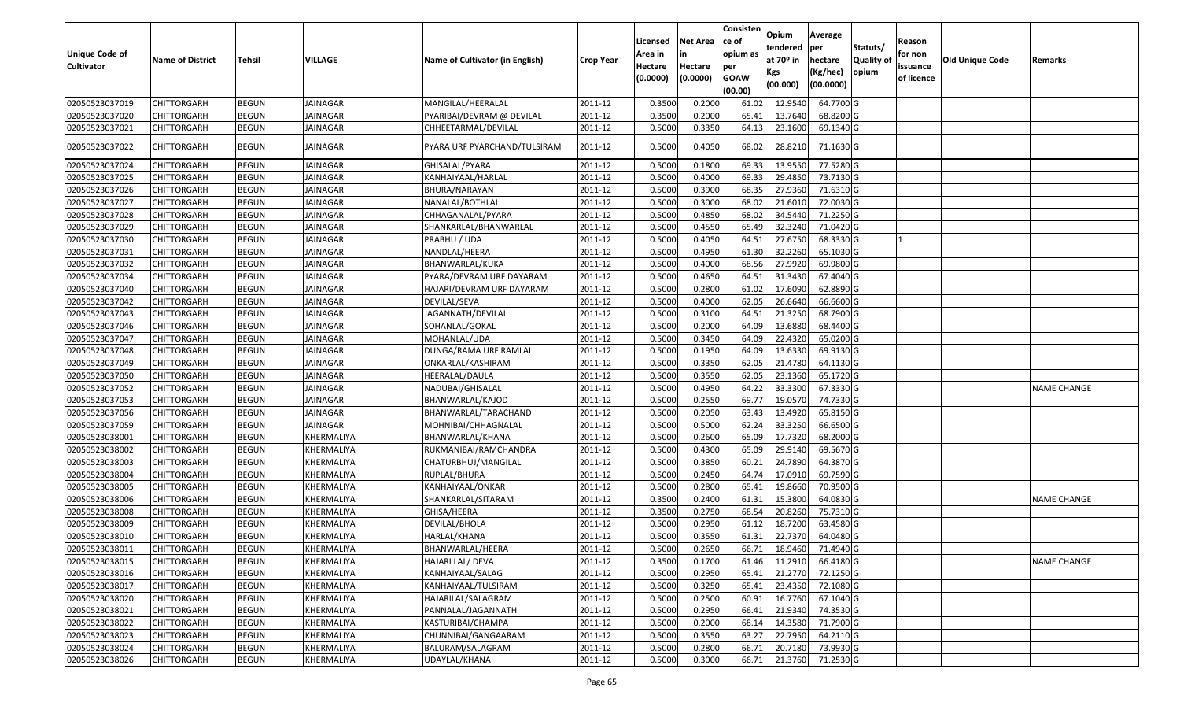| <b>Unique Code of</b><br><b>Cultivator</b> | <b>Name of District</b> | <b>Tehsil</b> | VILLAGE         | Name of Cultivator (in English) | <b>Crop Year</b> | Licensed<br>Area in<br>Hectare<br>(0.0000) | <b>Net Area</b><br>in<br>Hectare<br>(0.0000) | Consisten<br>ce of<br>opium as<br>per<br><b>GOAW</b><br>(00.00) | Opium<br>tendered<br>at $70°$ in<br>Kgs<br>(00.000) | Average<br>per<br>hectare<br>(Kg/hec)<br>(00.0000) | Statuts/<br>Quality of<br>opium | Reason<br>for non<br>issuance<br>of licence | <b>Old Unique Code</b> | Remarks            |
|--------------------------------------------|-------------------------|---------------|-----------------|---------------------------------|------------------|--------------------------------------------|----------------------------------------------|-----------------------------------------------------------------|-----------------------------------------------------|----------------------------------------------------|---------------------------------|---------------------------------------------|------------------------|--------------------|
| 02050523037019                             | <b>CHITTORGARH</b>      | <b>BEGUN</b>  | <b>JAINAGAR</b> | MANGILAL/HEERALAL               | 2011-12          | 0.3500                                     | 0.2000                                       | 61.02                                                           | 12.9540                                             | 64.7700 G                                          |                                 |                                             |                        |                    |
| 02050523037020                             | CHITTORGARH             | <b>BEGUN</b>  | JAINAGAR        | PYARIBAI/DEVRAM @ DEVILAL       | 2011-12          | 0.3500                                     | 0.2000                                       | 65.4                                                            | 13.7640                                             | 68.8200 G                                          |                                 |                                             |                        |                    |
| 02050523037021                             | CHITTORGARH             | <b>BEGUN</b>  | JAINAGAR        | CHHEETARMAL/DEVILAL             | 2011-12          | 0.5000                                     | 0.3350                                       | 64.13                                                           | 23.1600                                             | 69.1340 G                                          |                                 |                                             |                        |                    |
| 02050523037022                             | CHITTORGARH             | <b>BEGUN</b>  | JAINAGAR        | PYARA URF PYARCHAND/TULSIRAM    | 2011-12          | 0.5000                                     | 0.4050                                       | 68.02                                                           | 28.8210                                             | 71.1630 G                                          |                                 |                                             |                        |                    |
| 02050523037024                             | <b>CHITTORGARH</b>      | <b>BEGUN</b>  | JAINAGAR        | GHISALAL/PYARA                  | 2011-12          | 0.500                                      | 0.1800                                       | 69.33                                                           | 13.955                                              | 77.5280 G                                          |                                 |                                             |                        |                    |
| 02050523037025                             | CHITTORGARH             | <b>BEGUN</b>  | JAINAGAR        | KANHAIYAAL/HARLAL               | 2011-12          | 0.5000                                     | 0.4000                                       | 69.33                                                           | 29.4850                                             | 73.7130 G                                          |                                 |                                             |                        |                    |
| 02050523037026                             | CHITTORGARH             | <b>BEGUN</b>  | JAINAGAR        | BHURA/NARAYAN                   | 2011-12          | 0.5000                                     | 0.3900                                       | 68.35                                                           | 27.9360                                             | 71.6310 G                                          |                                 |                                             |                        |                    |
| 02050523037027                             | CHITTORGARH             | <b>BEGUN</b>  | <b>JAINAGAR</b> | NANALAL/BOTHLAL                 | 2011-12          | 0.5000                                     | 0.3000                                       | 68.02                                                           | 21.6010                                             | 72.0030 G                                          |                                 |                                             |                        |                    |
| 02050523037028                             | CHITTORGARH             | <b>BEGUN</b>  | JAINAGAR        | CHHAGANALAL/PYARA               | 2011-12          | 0.500                                      | 0.4850                                       | 68.02                                                           | 34.544                                              | 71.2250 G                                          |                                 |                                             |                        |                    |
| 02050523037029                             | CHITTORGARH             | <b>BEGUN</b>  | JAINAGAR        | SHANKARLAL/BHANWARLAL           | 2011-12          | 0.5000                                     | 0.4550                                       | 65.49                                                           | 32.3240                                             | 71.0420 G                                          |                                 |                                             |                        |                    |
| 02050523037030                             | CHITTORGARH             | <b>BEGUN</b>  | JAINAGAR        | PRABHU / UDA                    | 2011-12          | 0.5000                                     | 0.4050                                       | 64.5                                                            | 27.675                                              | 68.3330 G                                          |                                 |                                             |                        |                    |
| 02050523037031                             | CHITTORGARH             | <b>BEGUN</b>  | <b>JAINAGAR</b> | NANDLAL/HEERA                   | 2011-12          | 0.5000                                     | 0.4950                                       | 61.30                                                           | 32.2260                                             | 65.1030 G                                          |                                 |                                             |                        |                    |
| 02050523037032                             | CHITTORGARH             | <b>BEGUN</b>  | JAINAGAR        | BHANWARLAL/KUKA                 | 2011-12          | 0.5000                                     | 0.4000                                       | 68.56                                                           | 27.9920                                             | 69.9800 G                                          |                                 |                                             |                        |                    |
| 02050523037034                             | CHITTORGARH             | <b>BEGUN</b>  | JAINAGAR        | PYARA/DEVRAM URF DAYARAM        | 2011-12          | 0.5000                                     | 0.4650                                       | 64.5                                                            | 31.3430                                             | 67.4040 G                                          |                                 |                                             |                        |                    |
| 02050523037040                             | CHITTORGARH             | <b>BEGUN</b>  | JAINAGAR        | HAJARI/DEVRAM URF DAYARAM       | 2011-12          | 0.5000                                     | 0.2800                                       | 61.02                                                           | 17.6090                                             | $62.8890$ G                                        |                                 |                                             |                        |                    |
| 02050523037042                             | CHITTORGARH             | <b>BEGUN</b>  | <b>JAINAGAR</b> | DEVILAL/SEVA                    | 2011-12          | 0.5000                                     | 0.4000                                       | 62.05                                                           | 26.6640                                             | 66.6600G                                           |                                 |                                             |                        |                    |
| 02050523037043                             | CHITTORGARH             | <b>BEGUN</b>  | JAINAGAR        | JAGANNATH/DEVILAL               | 2011-12          | 0.5000                                     | 0.3100                                       | 64.5                                                            | 21.3250                                             | 68.7900 G                                          |                                 |                                             |                        |                    |
| 02050523037046                             | <b>CHITTORGARH</b>      | <b>BEGUN</b>  | <b>JAINAGAR</b> | SOHANLAL/GOKAL                  | 2011-12          | 0.5000                                     | 0.2000                                       | 64.09                                                           | 13.6880                                             | 68.4400 G                                          |                                 |                                             |                        |                    |
| 02050523037047                             | CHITTORGARH             | <b>BEGUN</b>  | JAINAGAR        | MOHANLAL/UDA                    | 2011-12          | 0.5000                                     | 0.3450                                       | 64.09                                                           | 22.4320                                             | 65.0200G                                           |                                 |                                             |                        |                    |
| 02050523037048                             | <b>CHITTORGARH</b>      | <b>BEGUN</b>  | <b>JAINAGAR</b> | DUNGA/RAMA URF RAMLAL           | 2011-12          | 0.5000                                     | 0.1950                                       | 64.09                                                           | 13.6330                                             | 69.9130 G                                          |                                 |                                             |                        |                    |
| 02050523037049                             | CHITTORGARH             | <b>BEGUN</b>  | JAINAGAR        | ONKARLAL/KASHIRAM               | 2011-12          | 0.5000                                     | 0.3350                                       | 62.05                                                           | 21.4780                                             | 64.1130 G                                          |                                 |                                             |                        |                    |
| 02050523037050                             | CHITTORGARH             | <b>BEGUN</b>  | JAINAGAR        | HEERALAL/DAULA                  | 2011-12          | 0.5000                                     | 0.3550                                       | 62.05                                                           | 23.1360                                             | 65.1720 G                                          |                                 |                                             |                        |                    |
| 02050523037052                             | CHITTORGARH             | <b>BEGUN</b>  | JAINAGAR        | NADUBAI/GHISALAL                | 2011-12          | 0.5000                                     | 0.4950                                       | 64.22                                                           | 33.3300                                             | 67.3330 G                                          |                                 |                                             |                        | <b>NAME CHANGE</b> |
| 02050523037053                             | CHITTORGARH             | <b>BEGUN</b>  | JAINAGAR        | BHANWARLAL/KAJOD                | 2011-12          | 0.5000                                     | 0.2550                                       | 69.77                                                           | 19.0570                                             | 74.7330 G                                          |                                 |                                             |                        |                    |
| 02050523037056                             | CHITTORGARH             | <b>BEGUN</b>  | <b>JAINAGAR</b> | BHANWARLAL/TARACHAND            | 2011-12          | 0.5000                                     | 0.2050                                       | 63.43                                                           | 13.4920                                             | 65.8150 G                                          |                                 |                                             |                        |                    |
| 02050523037059                             | <b>CHITTORGARH</b>      | <b>BEGUN</b>  | JAINAGAR        | MOHNIBAI/CHHAGNALAL             | 2011-12          | 0.5000                                     | 0.5000                                       | 62.24                                                           | 33.3250                                             | 66.6500 G                                          |                                 |                                             |                        |                    |
| 02050523038001                             | CHITTORGARH             | <b>BEGUN</b>  | KHERMALIYA      | BHANWARLAL/KHANA                | 2011-12          | 0.5000                                     | 0.2600                                       | 65.09                                                           | 17.7320                                             | 68.2000 G                                          |                                 |                                             |                        |                    |
| 02050523038002                             | CHITTORGARH             | <b>BEGUN</b>  | KHERMALIYA      | RUKMANIBAI/RAMCHANDRA           | 2011-12          | 0.5000                                     | 0.4300                                       | 65.09                                                           | 29.9140                                             | 69.5670 G                                          |                                 |                                             |                        |                    |
| 02050523038003                             | <b>CHITTORGARH</b>      | <b>BEGUN</b>  | KHERMALIYA      | CHATURBHUJ/MANGILAL             | 2011-12          | 0.5000                                     | 0.3850                                       | 60.21                                                           | 24.7890                                             | 64.3870 G                                          |                                 |                                             |                        |                    |
| 02050523038004                             | CHITTORGARH             | <b>BEGUN</b>  | KHERMALIYA      | RUPLAL/BHURA                    | 2011-12          | 0.5000                                     | 0.2450                                       | 64.7                                                            | 17.0910                                             | 69.7590 G                                          |                                 |                                             |                        |                    |
| 02050523038005                             | CHITTORGARH             | <b>BEGUN</b>  | KHERMALIYA      | KANHAIYAAL/ONKAR                | 2011-12          | 0.5000                                     | 0.2800                                       | 65.41                                                           | 19.8660                                             | 70.9500G                                           |                                 |                                             |                        |                    |
| 02050523038006                             | CHITTORGARH             | <b>BEGUN</b>  | KHERMALIYA      | SHANKARLAL/SITARAM              | 2011-12          | 0.3500                                     | 0.2400                                       | 61.32                                                           | 15.3800                                             | 64.0830 G                                          |                                 |                                             |                        | <b>NAME CHANGE</b> |
| 02050523038008                             | CHITTORGARH             | <b>BEGUN</b>  | KHERMALIYA      | GHISA/HEERA                     | 2011-12          | 0.3500                                     | 0.2750                                       | 68.54                                                           | 20.8260                                             | 75.7310 G                                          |                                 |                                             |                        |                    |
| 02050523038009                             | CHITTORGARH             | <b>BEGUN</b>  | KHERMALIYA      | DEVILAL/BHOLA                   | 2011-12          | 0.500                                      | 0.2950                                       | 61.12                                                           | 18.7200                                             | 63.4580 G                                          |                                 |                                             |                        |                    |
| 02050523038010                             | CHITTORGARH             | <b>BEGUN</b>  | KHERMALIYA      | HARLAL/KHANA                    | 2011-12          | 0.5000                                     | 0.3550                                       | 61.31                                                           | 22.7370                                             | 64.0480 G                                          |                                 |                                             |                        |                    |
| 02050523038011                             | <b>CHITTORGARH</b>      | <b>BEGUN</b>  | KHERMALIYA      | BHANWARLAL/HEERA                | 2011-12          | 0.5000                                     | 0.2650                                       | 66.71                                                           | 18.9460                                             | 71.4940 G                                          |                                 |                                             |                        |                    |
| 02050523038015                             | <b>CHITTORGARH</b>      | <b>BEGUN</b>  | KHERMALIYA      | HAJARI LAL/ DEVA                | 2011-12          | 0.3500                                     | 0.1700                                       | 61.46                                                           | 11.2910                                             | 66.4180 G                                          |                                 |                                             |                        | <b>NAME CHANGE</b> |
| 02050523038016                             | <b>CHITTORGARH</b>      | <b>BEGUN</b>  | KHERMALIYA      | KANHAIYAAL/SALAG                | 2011-12          | 0.5000                                     | 0.2950                                       | 65.41                                                           | 21.2770                                             | 72.1250 G                                          |                                 |                                             |                        |                    |
| 02050523038017                             | <b>CHITTORGARH</b>      | <b>BEGUN</b>  | KHERMALIYA      | KANHAIYAAL/TULSIRAM             | 2011-12          | 0.5000                                     | 0.3250                                       | 65.41                                                           | 23.4350                                             | 72.1080 G                                          |                                 |                                             |                        |                    |
| 02050523038020                             | <b>CHITTORGARH</b>      | <b>BEGUN</b>  | KHERMALIYA      | HAJARILAL/SALAGRAM              | 2011-12          | 0.5000                                     | 0.2500                                       | 60.91                                                           | 16.7760                                             | 67.1040 G                                          |                                 |                                             |                        |                    |
| 02050523038021                             | <b>CHITTORGARH</b>      | <b>BEGUN</b>  | KHERMALIYA      | PANNALAL/JAGANNATH              | 2011-12          | 0.5000                                     | 0.2950                                       | 66.41                                                           | 21.9340                                             | 74.3530 G                                          |                                 |                                             |                        |                    |
| 02050523038022                             | <b>CHITTORGARH</b>      | <b>BEGUN</b>  | KHERMALIYA      | KASTURIBAI/CHAMPA               | 2011-12          | 0.5000                                     | 0.2000                                       | 68.14                                                           | 14.3580                                             | 71.7900 G                                          |                                 |                                             |                        |                    |
| 02050523038023                             | <b>CHITTORGARH</b>      | <b>BEGUN</b>  | KHERMALIYA      | CHUNNIBAI/GANGAARAM             | 2011-12          | 0.5000                                     | 0.3550                                       | 63.27                                                           | 22.7950                                             | 64.2110 G                                          |                                 |                                             |                        |                    |
| 02050523038024                             | CHITTORGARH             | <b>BEGUN</b>  | KHERMALIYA      | BALURAM/SALAGRAM                | 2011-12          | 0.5000                                     | 0.2800                                       | 66.71                                                           | 20.7180                                             | 73.9930 G                                          |                                 |                                             |                        |                    |
| 02050523038026                             | <b>CHITTORGARH</b>      | <b>BEGUN</b>  | KHERMALIYA      | UDAYLAL/KHANA                   | 2011-12          | 0.5000                                     | 0.3000                                       | 66.71                                                           | 21.3760                                             | 71.2530 G                                          |                                 |                                             |                        |                    |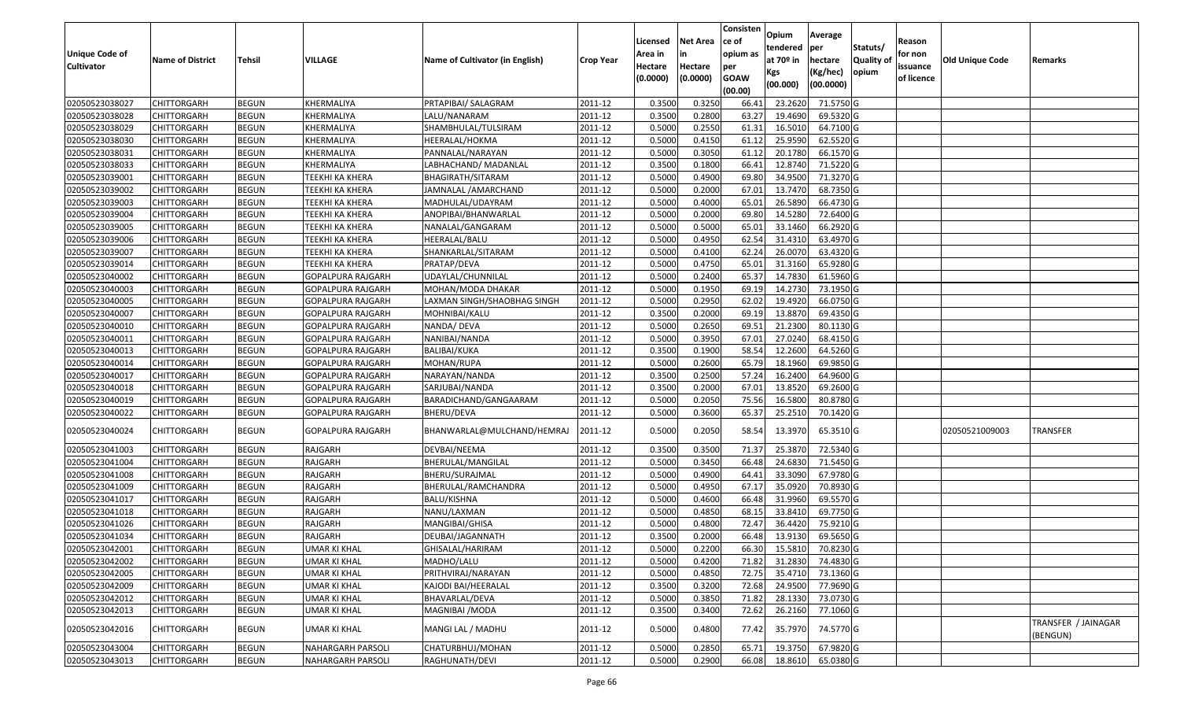|                       |                         |               |                          |                                 |                  | Licensed | <b>Net Area</b> | Consisten<br>ce of | Opium         | Average                |                  | Reason     |                 |                                 |
|-----------------------|-------------------------|---------------|--------------------------|---------------------------------|------------------|----------|-----------------|--------------------|---------------|------------------------|------------------|------------|-----------------|---------------------------------|
| <b>Unique Code of</b> |                         |               |                          |                                 |                  | Area in  |                 | opium as           | tendered      | per                    | Statuts/         | for non    |                 |                                 |
| <b>Cultivator</b>     | <b>Name of District</b> | <b>Tehsil</b> | VILLAGE                  | Name of Cultivator (in English) | <b>Crop Year</b> | Hectare  | Hectare         | per                | at $70°$ in   | hectare                | <b>Quality o</b> | issuance   | Old Unique Code | Remarks                         |
|                       |                         |               |                          |                                 |                  | (0.0000) | (0.0000)        | <b>GOAW</b>        | Kgs           | (Kg/hec)               | opium            | of licence |                 |                                 |
|                       |                         |               |                          |                                 |                  |          |                 | (00.00)            | (00.000)      | (00.0000)              |                  |            |                 |                                 |
| 02050523038027        | CHITTORGARH             | <b>BEGUN</b>  | KHERMALIYA               | PRTAPIBAI/ SALAGRAM             | 2011-12          | 0.3500   | 0.3250          | 66.41              | 23.2620       | 71.5750 G              |                  |            |                 |                                 |
| 02050523038028        | CHITTORGARH             | <b>BEGUN</b>  | KHERMALIYA               | LALU/NANARAM                    | 2011-12          | 0.3500   | 0.2800          | 63.27              | 19.4690       | 69.5320 G              |                  |            |                 |                                 |
| 02050523038029        | CHITTORGARH             | <b>BEGUN</b>  | KHERMALIYA               | SHAMBHULAL/TULSIRAM             | 2011-12          | 0.5000   | 0.2550          | 61.31              | 16.5010       | 64.7100 G              |                  |            |                 |                                 |
| 02050523038030        | CHITTORGARH             | <b>BEGUN</b>  | KHERMALIYA               | HEERALAL/HOKMA                  | 2011-12          | 0.5000   | 0.4150          | 61.12              | 25.9590       | 62.5520 G              |                  |            |                 |                                 |
| 02050523038031        | CHITTORGARH             | <b>BEGUN</b>  | KHERMALIYA               | PANNALAL/NARAYAN                | 2011-12          | 0.5000   | 0.3050          | 61.12              | 20.1780       | 66.1570 G              |                  |            |                 |                                 |
| 02050523038033        | CHITTORGARH             | <b>BEGUN</b>  | KHERMALIYA               | LABHACHAND/ MADANLAL            | 2011-12          | 0.3500   | 0.1800          | 66.41              | 12.8740       | $\overline{71.5220}$ G |                  |            |                 |                                 |
| 02050523039001        | CHITTORGARH             | <b>BEGUN</b>  | TEEKHI KA KHERA          | BHAGIRATH/SITARAM               | 2011-12          | 0.5000   | 0.4900          | 69.80              | 34.9500       | 71.3270G               |                  |            |                 |                                 |
| 02050523039002        | CHITTORGARH             | <b>BEGUN</b>  | <b>TEEKHI KA KHERA</b>   | JAMNALAL /AMARCHAND             | 2011-12          | 0.5000   | 0.2000          | 67.01              | 13.7470       | 68.7350 G              |                  |            |                 |                                 |
| 02050523039003        | CHITTORGARH             | <b>BEGUN</b>  | <b>TEEKHI KA KHERA</b>   | MADHULAL/UDAYRAM                | 2011-12          | 0.5000   | 0.4000          | 65.01              | 26.5890       | 66.4730 G              |                  |            |                 |                                 |
| 02050523039004        | CHITTORGARH             | <b>BEGUN</b>  | TEEKHI KA KHERA          | ANOPIBAI/BHANWARLAL             | 2011-12          | 0.5000   | 0.2000          | 69.80              | 14.5280       | 72.6400 G              |                  |            |                 |                                 |
| 02050523039005        | CHITTORGARH             | <b>BEGUN</b>  | TEEKHI KA KHERA          | NANALAL/GANGARAM                | 2011-12          | 0.5000   | 0.5000          | 65.01              | 33.1460       | 66.2920 G              |                  |            |                 |                                 |
| 02050523039006        | CHITTORGARH             | <b>BEGUN</b>  | TEEKHI KA KHERA          | HEERALAL/BALU                   | 2011-12          | 0.5000   | 0.4950          | 62.54              | 31.4310       | 63.4970 G              |                  |            |                 |                                 |
| 02050523039007        | <b>CHITTORGARH</b>      | <b>BEGUN</b>  | <b>TEEKHI KA KHERA</b>   | SHANKARLAL/SITARAM              | 2011-12          | 0.5000   | 0.4100          | 62.24              | 26.0070       | 63.4320 G              |                  |            |                 |                                 |
| 02050523039014        | <b>CHITTORGARH</b>      | <b>BEGUN</b>  | TEEKHI KA KHERA          | PRATAP/DEVA                     | 2011-12          | 0.5000   | 0.4750          | 65.01              | 31.3160       | 65.9280 G              |                  |            |                 |                                 |
| 02050523040002        | CHITTORGARH             | <b>BEGUN</b>  | GOPALPURA RAJGARH        | UDAYLAL/CHUNNILAL               | 2011-12          | 0.5000   | 0.2400          | 65.37              | 14.7830       | 61.5960 G              |                  |            |                 |                                 |
| 02050523040003        | CHITTORGARH             | <b>BEGUN</b>  | GOPALPURA RAJGARH        | MOHAN/MODA DHAKAR               | 2011-12          | 0.5000   | 0.1950          | 69.19              | 14.2730       | 73.1950 G              |                  |            |                 |                                 |
| 02050523040005        | CHITTORGARH             | <b>BEGUN</b>  | GOPALPURA RAJGARH        | LAXMAN SINGH/SHAOBHAG SINGH     | 2011-12          | 0.5000   | 0.2950          | 62.02              | 19.4920       | 66.0750 G              |                  |            |                 |                                 |
| 02050523040007        | CHITTORGARH             | <b>BEGUN</b>  | GOPALPURA RAJGARH        | MOHNIBAI/KALU                   | 2011-12          | 0.3500   | 0.2000          | 69.19              | 13.8870       | 69.4350 G              |                  |            |                 |                                 |
| 02050523040010        | CHITTORGARH             | <b>BEGUN</b>  | GOPALPURA RAJGARH        | NANDA/ DEVA                     | 2011-12          | 0.5000   | 0.2650          | 69.5               | 21.2300       | 80.1130G               |                  |            |                 |                                 |
| 02050523040011        | CHITTORGARH             | <b>BEGUN</b>  | GOPALPURA RAJGARH        | NANIBAI/NANDA                   | 2011-12          | 0.5000   | 0.3950          | 67.01              | 27.0240       | 68.4150 G              |                  |            |                 |                                 |
| 02050523040013        | CHITTORGARH             | <b>BEGUN</b>  | GOPALPURA RAJGARH        | <b>BALIBAI/KUKA</b>             | 2011-12          | 0.3500   | 0.1900          | 58.54              | 12.2600       | 64.5260 G              |                  |            |                 |                                 |
| 02050523040014        | CHITTORGARH             | <b>BEGUN</b>  | GOPALPURA RAJGARH        | MOHAN/RUPA                      | 2011-12          | 0.5000   | 0.2600          | 65.79              | 18.1960       | 69.9850 G              |                  |            |                 |                                 |
| 02050523040017        | CHITTORGARH             | <b>BEGUN</b>  | GOPALPURA RAJGARH        | NARAYAN/NANDA                   | 2011-12          | 0.3500   | 0.2500          | 57.24              | 16.2400       | 64.9600 G              |                  |            |                 |                                 |
| 02050523040018        | CHITTORGARH             | <b>BEGUN</b>  | GOPALPURA RAJGARH        | SARJUBAI/NANDA                  | 2011-12          | 0.3500   | 0.2000          | 67.0               | 13.8520       | 69.2600 G              |                  |            |                 |                                 |
| 02050523040019        | CHITTORGARH             | <b>BEGUN</b>  | <b>GOPALPURA RAJGARH</b> | BARADICHAND/GANGAARAM           | 2011-12          | 0.5000   | 0.2050          | 75.56              | 16.5800       | 80.8780 G              |                  |            |                 |                                 |
| 02050523040022        | CHITTORGARH             | <b>BEGUN</b>  | GOPALPURA RAJGARH        | BHERU/DEVA                      | 2011-12          | 0.5000   | 0.3600          | 65.37              | 25.2510       | 70.1420 G              |                  |            |                 |                                 |
| 02050523040024        | CHITTORGARH             | <b>BEGUN</b>  | GOPALPURA RAJGARH        | BHANWARLAL@MULCHAND/HEMRAJ      | 2011-12          | 0.5000   | 0.2050          | 58.54              | 13.3970       | 65.3510 G              |                  |            | 02050521009003  | TRANSFER                        |
| 02050523041003        | CHITTORGARH             | <b>BEGUN</b>  | RAJGARH                  | DEVBAI/NEEMA                    | 2011-12          | 0.350    | 0.3500          | 71.37              | 25.3870       | 72.5340 G              |                  |            |                 |                                 |
| 02050523041004        | CHITTORGARH             | <b>BEGUN</b>  | RAJGARH                  | BHERULAL/MANGILAL               | 2011-12          | 0.5000   | 0.3450          | 66.48              | 24.6830       | 71.5450 G              |                  |            |                 |                                 |
| 02050523041008        | CHITTORGARH             | <b>BEGUN</b>  | RAJGARH                  | BHERU/SURAJMAL                  | 2011-12          | 0.5000   | 0.4900          | 64.41              | 33.3090       | 67.9780 G              |                  |            |                 |                                 |
| 02050523041009        | CHITTORGARH             | <b>BEGUN</b>  | RAJGARH                  | BHERULAL/RAMCHANDRA             | 2011-12          | 0.5000   | 0.4950          | 67.1               | 35.0920       | 70.8930 G              |                  |            |                 |                                 |
| 02050523041017        | CHITTORGARH             | <b>BEGUN</b>  | RAJGARH                  | BALU/KISHNA                     | 2011-12          | 0.5000   | 0.4600          | 66.48              | 31.9960       | 69.5570 G              |                  |            |                 |                                 |
| 02050523041018        | <b>CHITTORGARH</b>      | <b>BEGUN</b>  | RAJGARH                  | NANU/LAXMAN                     | 2011-12          | 0.5000   | 0.4850          | 68.1               | 33.8410       | 69.7750 G              |                  |            |                 |                                 |
| 02050523041026        | CHITTORGARH             | <b>BEGUN</b>  | RAJGARH                  | MANGIBAI/GHISA                  | 2011-12          | 0.500    | 0.4800          | 72.47              | 36.4420       | 75.9210 G              |                  |            |                 |                                 |
| 02050523041034        | CHITTORGARH             | <b>BEGUN</b>  | RAJGARH                  | DEUBAI/JAGANNATH                | 2011-12          | 0.3500   | 0.2000          | 66.48              | 13.9130       | 69.5650 G              |                  |            |                 |                                 |
| 02050523042001        | <b>CHITTORGARH</b>      | <b>BEGUN</b>  | <b>UMAR KI KHAL</b>      | GHISALAL/HARIRAM                | 2011-12          | 0.5000   | 0.2200          |                    | 66.30 15.5810 | 70.8230 G              |                  |            |                 |                                 |
| 02050523042002        | <b>CHITTORGARH</b>      | <b>BEGUN</b>  | UMAR KI KHAL             | MADHO/LALU                      | 2011-12          | 0.5000   | 0.4200          | 71.82              | 31.2830       | 74.4830 G              |                  |            |                 |                                 |
| 02050523042005        | <b>CHITTORGARH</b>      | <b>BEGUN</b>  | <b>UMAR KI KHAL</b>      | PRITHVIRAJ/NARAYAN              | 2011-12          | 0.5000   | 0.4850          | 72.75              | 35.4710       | 73.1360 G              |                  |            |                 |                                 |
| 02050523042009        | <b>CHITTORGARH</b>      | <b>BEGUN</b>  | <b>UMAR KI KHAL</b>      | KAJODI BAI/HEERALAL             | 2011-12          | 0.3500   | 0.3200          | 72.68              | 24.9500       | $77.9690$ G            |                  |            |                 |                                 |
| 02050523042012        | CHITTORGARH             | <b>BEGUN</b>  | UMAR KI KHAL             | BHAVARLAL/DEVA                  | 2011-12          | 0.5000   | 0.3850          | 71.82              | 28.1330       | 73.0730 G              |                  |            |                 |                                 |
| 02050523042013        | <b>CHITTORGARH</b>      | <b>BEGUN</b>  | <b>UMAR KI KHAL</b>      | MAGNIBAI / MODA                 | 2011-12          | 0.3500   | 0.3400          | 72.62              | 26.2160       | 77.1060 G              |                  |            |                 |                                 |
| 02050523042016        | <b>CHITTORGARH</b>      | <b>BEGUN</b>  | UMAR KI KHAL             | MANGI LAL / MADHU               | 2011-12          | 0.5000   | 0.4800          | 77.42              | 35.7970       | 74.5770 G              |                  |            |                 | TRANSFER / JAINAGAR<br>(BENGUN) |
| 02050523043004        | <b>CHITTORGARH</b>      | <b>BEGUN</b>  | NAHARGARH PARSOLI        | CHATURBHUJ/MOHAN                | 2011-12          | 0.5000   | 0.2850          | 65.71              | 19.3750       | 67.9820 G              |                  |            |                 |                                 |
| 02050523043013        | <b>CHITTORGARH</b>      | <b>BEGUN</b>  | NAHARGARH PARSOLI        | RAGHUNATH/DEVI                  | 2011-12          | 0.5000   | 0.2900          | 66.08              | 18.8610       | 65.0380 G              |                  |            |                 |                                 |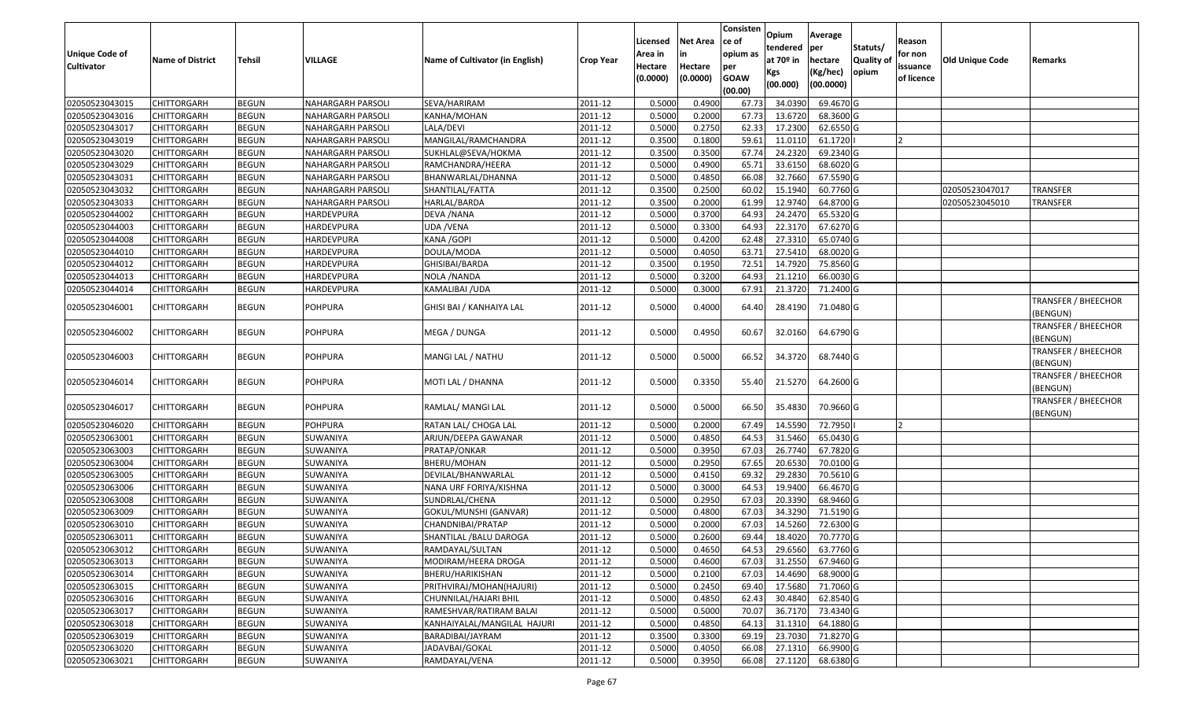| <b>Unique Code of</b><br><b>Cultivator</b> | <b>Name of District</b> | Tehsil       | VILLAGE                  | Name of Cultivator (in English) | <b>Crop Year</b> | Licensed<br>Area in<br>Hectare<br>(0.0000) | Net Area<br>in<br>Hectare<br>(0.0000) | Consisten<br>ce of<br>opium as<br>per<br><b>GOAW</b><br>(00.00) | Opium<br>tendered<br>at 70 <sup>o</sup> in<br>Kgs<br>(00.000) | Average<br>per<br>hectare<br>(Kg/hec)<br>(00.0000) | Statuts/<br><b>Quality of</b><br>opium | Reason<br>for non<br>issuance<br>of licence | <b>Old Unique Code</b> | Remarks                               |
|--------------------------------------------|-------------------------|--------------|--------------------------|---------------------------------|------------------|--------------------------------------------|---------------------------------------|-----------------------------------------------------------------|---------------------------------------------------------------|----------------------------------------------------|----------------------------------------|---------------------------------------------|------------------------|---------------------------------------|
| 02050523043015                             | <b>CHITTORGARH</b>      | <b>BEGUN</b> | <b>NAHARGARH PARSOLI</b> | SEVA/HARIRAM                    | 2011-12          | 0.5000                                     | 0.4900                                | 67.73                                                           | 34.0390                                                       | 69.4670 G                                          |                                        |                                             |                        |                                       |
| 02050523043016                             | CHITTORGARH             | <b>BEGUN</b> | NAHARGARH PARSOLI        | KANHA/MOHAN                     | 2011-12          | 0.5000                                     | 0.2000                                | 67.73                                                           | 13.6720                                                       | 68.3600 G                                          |                                        |                                             |                        |                                       |
| 02050523043017                             | CHITTORGARH             | <b>BEGUN</b> | NAHARGARH PARSOLI        | LALA/DEVI                       | 2011-12          | 0.5000                                     | 0.2750                                | 62.33                                                           | 17.2300                                                       | 62.6550 G                                          |                                        |                                             |                        |                                       |
| 02050523043019                             | <b>CHITTORGARH</b>      | <b>BEGUN</b> | <b>NAHARGARH PARSOLI</b> | MANGILAL/RAMCHANDRA             | 2011-12          | 0.3500                                     | 0.1800                                | 59.61                                                           | 11.0110                                                       | 61.1720                                            |                                        | 12                                          |                        |                                       |
| 02050523043020                             | <b>CHITTORGARH</b>      | <b>BEGUN</b> | NAHARGARH PARSOLI        | SUKHLAL@SEVA/HOKMA              | 2011-12          | 0.3500                                     | 0.3500                                | 67.74                                                           | 24.2320                                                       | 69.2340 G                                          |                                        |                                             |                        |                                       |
| 02050523043029                             | CHITTORGARH             | <b>BEGUN</b> | NAHARGARH PARSOLI        | RAMCHANDRA/HEERA                | 2011-12          | 0.5000                                     | 0.4900                                | 65.71                                                           | 33.6150                                                       | 68.6020 G                                          |                                        |                                             |                        |                                       |
| 02050523043031                             | CHITTORGARH             | <b>BEGUN</b> | <b>NAHARGARH PARSOLI</b> | BHANWARLAL/DHANNA               | 2011-12          | 0.5000                                     | 0.4850                                | 66.08                                                           | 32.7660                                                       | 67.5590 G                                          |                                        |                                             |                        |                                       |
| 02050523043032                             | CHITTORGARH             | <b>BEGUN</b> | NAHARGARH PARSOLI        | SHANTILAL/FATTA                 | 2011-12          | 0.3500                                     | 0.2500                                | 60.02                                                           | 15.1940                                                       | 60.7760 G                                          |                                        |                                             | 02050523047017         | <b>TRANSFER</b>                       |
| 02050523043033                             | CHITTORGARH             | <b>BEGUN</b> | NAHARGARH PARSOLI        | HARLAL/BARDA                    | 2011-12          | 0.3500                                     | 0.2000                                | 61.99                                                           | 12.9740                                                       | 64.8700 G                                          |                                        |                                             | 02050523045010         | <b>TRANSFER</b>                       |
| 02050523044002                             | CHITTORGARH             | <b>BEGUN</b> | HARDEVPURA               | DEVA / NANA                     | 2011-12          | 0.5000                                     | 0.3700                                | 64.93                                                           | 24.2470                                                       | 65.5320 G                                          |                                        |                                             |                        |                                       |
| 02050523044003                             | CHITTORGARH             | <b>BEGUN</b> | HARDEVPURA               | UDA /VENA                       | 2011-12          | 0.5000                                     | 0.3300                                | 64.93                                                           | 22.3170                                                       | 67.6270 G                                          |                                        |                                             |                        |                                       |
| 02050523044008                             | CHITTORGARH             | <b>BEGUN</b> | HARDEVPURA               | KANA / GOPI                     | 2011-12          | 0.5000                                     | 0.4200                                | 62.48                                                           | 27.3310                                                       | 65.0740 G                                          |                                        |                                             |                        |                                       |
| 02050523044010                             | CHITTORGARH             | <b>BEGUN</b> | <b>HARDEVPURA</b>        | DOULA/MODA                      | 2011-12          | 0.5000                                     | 0.4050                                | 63.71                                                           | 27.5410                                                       | 68.0020 G                                          |                                        |                                             |                        |                                       |
| 02050523044012                             | CHITTORGARH             | <b>BEGUN</b> | <b>HARDEVPURA</b>        | GHISIBAI/BARDA                  | 2011-12          | 0.3500                                     | 0.1950                                | 72.51                                                           | 14.7920                                                       | 75.8560 G                                          |                                        |                                             |                        |                                       |
| 02050523044013                             | CHITTORGARH             | <b>BEGUN</b> | HARDEVPURA               | NOLA / NANDA                    | 2011-12          | 0.5000                                     | 0.3200                                | 64.93                                                           | 21.1210                                                       | 66.0030 G                                          |                                        |                                             |                        |                                       |
| 02050523044014                             | CHITTORGARH             | <b>BEGUN</b> | HARDEVPURA               | KAMALIBAI /UDA                  | 2011-12          | 0.5000                                     | 0.3000                                | 67.91                                                           | 21.3720                                                       | 71.2400 G                                          |                                        |                                             |                        |                                       |
| 02050523046001                             | CHITTORGARH             | <b>BEGUN</b> | POHPURA                  | GHISI BAI / KANHAIYA LAL        | 2011-12          | 0.5000                                     | 0.4000                                | 64.40                                                           | 28.4190                                                       | 71.0480 G                                          |                                        |                                             |                        | TRANSFER / BHEECHOR<br>(BENGUN)       |
| 02050523046002                             | CHITTORGARH             | <b>BEGUN</b> | POHPURA                  | MEGA / DUNGA                    | 2011-12          | 0.5000                                     | 0.4950                                | 60.67                                                           | 32.0160                                                       | 64.6790 G                                          |                                        |                                             |                        | TRANSFER / BHEECHOR<br>(BENGUN)       |
| 02050523046003                             | CHITTORGARH             | <b>BEGUN</b> | POHPURA                  | MANGI LAL / NATHU               | 2011-12          | 0.5000                                     | 0.5000                                | 66.52                                                           | 34.3720                                                       | 68.7440 G                                          |                                        |                                             |                        | TRANSFER / BHEECHOR<br>(BENGUN)       |
| 02050523046014                             | CHITTORGARH             | <b>BEGUN</b> | POHPURA                  | MOTI LAL / DHANNA               | 2011-12          | 0.5000                                     | 0.3350                                | 55.40                                                           | 21.5270                                                       | 64.2600 G                                          |                                        |                                             |                        | TRANSFER / BHEECHOR<br>(BENGUN)       |
| 02050523046017                             | CHITTORGARH             | <b>BEGUN</b> | <b>POHPURA</b>           | RAMLAL/ MANGI LAL               | 2011-12          | 0.5000                                     | 0.5000                                | 66.50                                                           | 35.4830                                                       | 70.9660 G                                          |                                        |                                             |                        | <b>TRANSFER / BHEECHOR</b><br>BENGUN) |
| 02050523046020                             | <b>CHITTORGARH</b>      | <b>BEGUN</b> | <b>POHPURA</b>           | RATAN LAL/ CHOGA LAL            | 2011-12          | 0.5000                                     | 0.2000                                | 67.49                                                           | 14.5590                                                       | 72.7950                                            |                                        | 12                                          |                        |                                       |
| 02050523063001                             | CHITTORGARH             | <b>BEGUN</b> | SUWANIYA                 | ARJUN/DEEPA GAWANAR             | 2011-12          | 0.5000                                     | 0.4850                                | 64.53                                                           | 31.5460                                                       | 65.0430 G                                          |                                        |                                             |                        |                                       |
| 02050523063003                             | CHITTORGARH             | <b>BEGUN</b> | SUWANIYA                 | PRATAP/ONKAR                    | 2011-12          | 0.5000                                     | 0.3950                                | 67.03                                                           | 26.7740                                                       | 67.7820 G                                          |                                        |                                             |                        |                                       |
| 02050523063004                             | CHITTORGARH             | <b>BEGUN</b> | SUWANIYA                 | BHERU/MOHAN                     | 2011-12          | 0.5000                                     | 0.2950                                | 67.65                                                           | 20.6530                                                       | 70.0100 G                                          |                                        |                                             |                        |                                       |
| 02050523063005                             | CHITTORGARH             | <b>BEGUN</b> | SUWANIYA                 | DEVILAL/BHANWARLAL              | 2011-12          | 0.5000                                     | 0.4150                                | 69.32                                                           | 29.2830                                                       | 70.5610 G                                          |                                        |                                             |                        |                                       |
| 02050523063006                             | CHITTORGARH             | <b>BEGUN</b> | SUWANIYA                 | NANA URF FORIYA/KISHNA          | 2011-12          | 0.5000                                     | 0.3000                                | 64.53                                                           | 19.9400                                                       | 66.4670 G                                          |                                        |                                             |                        |                                       |
| 02050523063008                             | CHITTORGARH             | <b>BEGUN</b> | SUWANIYA                 | SUNDRLAL/CHENA                  | 2011-12          | 0.5000                                     | 0.2950                                | 67.03                                                           | 20.3390                                                       | 68.9460 G                                          |                                        |                                             |                        |                                       |
| 02050523063009                             | CHITTORGARH             | <b>BEGUN</b> | SUWANIYA                 | GOKUL/MUNSHI (GANVAR)           | 2011-12          | 0.5000                                     | 0.4800                                | 67.03                                                           | 34.3290                                                       | 71.5190 G                                          |                                        |                                             |                        |                                       |
| 02050523063010                             | CHITTORGARH             | <b>BEGUN</b> | SUWANIYA                 | CHANDNIBAI/PRATAP               | 2011-12          | 0.5000                                     | 0.2000                                | 67.03                                                           | 14.5260                                                       | 72.6300 G                                          |                                        |                                             |                        |                                       |
| 02050523063011                             | CHITTORGARH             | <b>BEGUN</b> | SUWANIYA                 | SHANTILAL /BALU DAROGA          | 2011-12          | 0.5000                                     | 0.2600                                | 69.44                                                           | 18.4020                                                       | 70.7770 G                                          |                                        |                                             |                        |                                       |
| 02050523063012                             | <b>CHITTORGARH</b>      | <b>BEGUN</b> | SUWANIYA                 | RAMDAYAL/SULTAN                 | 2011-12          | 0.5000                                     | 0.4650                                | 64.53                                                           | 29.6560                                                       | 63.7760 G                                          |                                        |                                             |                        |                                       |
| 02050523063013                             | CHITTORGARH             | <b>BEGUN</b> | SUWANIYA                 | MODIRAM/HEERA DROGA             | 2011-12          | 0.5000                                     | 0.4600                                | 67.03                                                           | 31.2550                                                       | 67.9460 G                                          |                                        |                                             |                        |                                       |
| 02050523063014                             | <b>CHITTORGARH</b>      | <b>BEGUN</b> | SUWANIYA                 | BHERU/HARIKISHAN                | 2011-12          | 0.5000                                     | 0.2100                                | 67.03                                                           | 14.4690                                                       | 68.9000 G                                          |                                        |                                             |                        |                                       |
| 02050523063015                             | <b>CHITTORGARH</b>      | <b>BEGUN</b> | SUWANIYA                 | PRITHVIRAJ/MOHAN(HAJURI)        | 2011-12          | 0.5000                                     | 0.2450                                | 69.40                                                           | 17.5680                                                       | 71.7060 G                                          |                                        |                                             |                        |                                       |
| 02050523063016                             | <b>CHITTORGARH</b>      | <b>BEGUN</b> | SUWANIYA                 | CHUNNILAL/HAJARI BHIL           | 2011-12          | 0.5000                                     | 0.4850                                | 62.43                                                           | 30.4840                                                       | 62.8540 G                                          |                                        |                                             |                        |                                       |
| 02050523063017                             | <b>CHITTORGARH</b>      | <b>BEGUN</b> | SUWANIYA                 | RAMESHVAR/RATIRAM BALAI         | 2011-12          | 0.5000                                     | 0.5000                                | 70.07                                                           | 36.7170                                                       | 73.4340 G                                          |                                        |                                             |                        |                                       |
| 02050523063018                             | <b>CHITTORGARH</b>      | <b>BEGUN</b> | SUWANIYA                 | KANHAIYALAL/MANGILAL HAJURI     | 2011-12          | 0.5000                                     | 0.4850                                | 64.13                                                           | 31.1310                                                       | 64.1880 G                                          |                                        |                                             |                        |                                       |
| 02050523063019                             | <b>CHITTORGARH</b>      | <b>BEGUN</b> | SUWANIYA                 | BARADIBAI/JAYRAM                | 2011-12          | 0.3500                                     | 0.3300                                | 69.19                                                           | 23.7030                                                       | 71.8270 G                                          |                                        |                                             |                        |                                       |
| 02050523063020                             | <b>CHITTORGARH</b>      | <b>BEGUN</b> | SUWANIYA                 | JADAVBAI/GOKAL                  | 2011-12          | 0.5000                                     | 0.4050                                | 66.08                                                           | 27.1310                                                       | 66.9900 G                                          |                                        |                                             |                        |                                       |
| 02050523063021                             | <b>CHITTORGARH</b>      | <b>BEGUN</b> | SUWANIYA                 | RAMDAYAL/VENA                   | 2011-12          | 0.5000                                     | 0.3950                                | 66.08                                                           | 27.1120                                                       | 68.6380 G                                          |                                        |                                             |                        |                                       |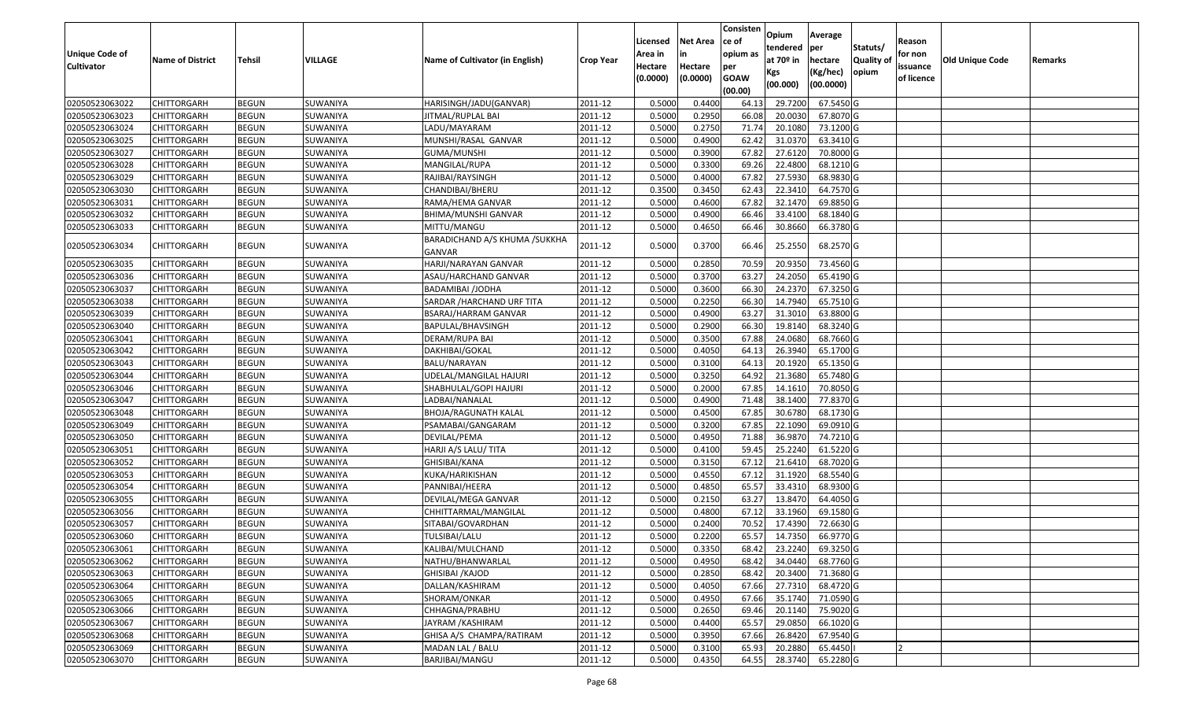|                       |                         |               |          |                                 |                  |          |                 | Consisten        | Opium         | Average   |                  |            |                 |         |
|-----------------------|-------------------------|---------------|----------|---------------------------------|------------------|----------|-----------------|------------------|---------------|-----------|------------------|------------|-----------------|---------|
|                       |                         |               |          |                                 |                  | Licensed | <b>Net Area</b> | ce of            | tendered      | per       | Statuts/         | Reason     |                 |         |
| <b>Unique Code of</b> | <b>Name of District</b> | <b>Tehsil</b> | VILLAGE  | Name of Cultivator (in English) | <b>Crop Year</b> | Area in  |                 | opium as         | at $70°$ in   | hectare   | <b>Quality o</b> | for non    | Old Unique Code | Remarks |
| <b>Cultivator</b>     |                         |               |          |                                 |                  | Hectare  | Hectare         | per              | Kgs           | (Kg/hec)  | opium            | issuance   |                 |         |
|                       |                         |               |          |                                 |                  | (0.0000) | (0.0000)        | <b>GOAW</b>      | (00.000)      | (00.0000) |                  | of licence |                 |         |
| 02050523063022        | CHITTORGARH             | <b>BEGUN</b>  | SUWANIYA | HARISINGH/JADU(GANVAR)          | 2011-12          | 0.5000   | 0.4400          | (00.00)<br>64.13 | 29.7200       | 67.5450 G |                  |            |                 |         |
| 02050523063023        | CHITTORGARH             | <b>BEGUN</b>  | SUWANIYA | IITMAL/RUPLAL BAI               | 2011-12          | 0.5000   | 0.2950          | 66.08            | 20.0030       | 67.8070 G |                  |            |                 |         |
| 02050523063024        | CHITTORGARH             | <b>BEGUN</b>  | SUWANIYA | LADU/MAYARAM                    | 2011-12          | 0.5000   | 0.2750          | 71.74            | 20.1080       | 73.1200 G |                  |            |                 |         |
| 02050523063025        | <b>CHITTORGARH</b>      | <b>BEGUN</b>  | SUWANIYA | MUNSHI/RASAL GANVAR             | 2011-12          | 0.5000   | 0.4900          | 62.42            | 31.0370       | 63.3410 G |                  |            |                 |         |
| 02050523063027        | CHITTORGARH             | <b>BEGUN</b>  | SUWANIYA | GUMA/MUNSHI                     | 2011-12          | 0.5000   | 0.3900          | 67.82            | 27.6120       | 70.8000 G |                  |            |                 |         |
| 02050523063028        | CHITTORGARH             | <b>BEGUN</b>  | SUWANIYA | MANGILAL/RUPA                   | 2011-12          | 0.5000   | 0.3300          | 69.26            | 22.4800       | 68.1210 G |                  |            |                 |         |
| 02050523063029        | CHITTORGARH             | <b>BEGUN</b>  | SUWANIYA | RAJIBAI/RAYSINGH                | 2011-12          | 0.5000   | 0.4000          | 67.82            | 27.5930       | 68.9830 G |                  |            |                 |         |
| 02050523063030        | CHITTORGARH             | <b>BEGUN</b>  | SUWANIYA | CHANDIBAI/BHERU                 | 2011-12          | 0.3500   | 0.3450          | 62.43            | 22.3410       | 64.7570 G |                  |            |                 |         |
| 02050523063031        | CHITTORGARH             | <b>BEGUN</b>  | SUWANIYA | RAMA/HEMA GANVAR                | 2011-12          | 0.5000   | 0.4600          | 67.82            | 32.1470       | 69.8850 G |                  |            |                 |         |
| 02050523063032        | CHITTORGARH             | <b>BEGUN</b>  | SUWANIYA | BHIMA/MUNSHI GANVAR             | 2011-12          | 0.5000   | 0.4900          | 66.46            | 33.4100       | 68.1840 G |                  |            |                 |         |
| 02050523063033        | CHITTORGARH             | <b>BEGUN</b>  | SUWANIYA | MITTU/MANGU                     | 2011-12          | 0.5000   | 0.4650          | 66.46            | 30.8660       | 66.3780 G |                  |            |                 |         |
|                       |                         |               |          | BARADICHAND A/S KHUMA / SUKKHA  |                  |          |                 |                  |               |           |                  |            |                 |         |
| 02050523063034        | CHITTORGARH             | <b>BEGUN</b>  | SUWANIYA | GANVAR                          | 2011-12          | 0.5000   | 0.3700          | 66.46            | 25.2550       | 68.2570 G |                  |            |                 |         |
| 02050523063035        | CHITTORGARH             | <b>BEGUN</b>  | SUWANIYA | HARJI/NARAYAN GANVAR            | 2011-12          | 0.500    | 0.2850          | 70.59            | 20.935        | 73.4560 G |                  |            |                 |         |
| 02050523063036        | CHITTORGARH             | <b>BEGUN</b>  | SUWANIYA | ASAU/HARCHAND GANVAR            | 2011-12          | 0.5000   | 0.3700          | 63.27            | 24.2050       | 65.4190 G |                  |            |                 |         |
| 02050523063037        | CHITTORGARH             | <b>BEGUN</b>  | SUWANIYA | BADAMIBAI /JODHA                | 2011-12          | 0.5000   | 0.3600          | 66.30            | 24.2370       | 67.3250 G |                  |            |                 |         |
| 02050523063038        | CHITTORGARH             | <b>BEGUN</b>  | SUWANIYA | SARDAR /HARCHAND URF TITA       | 2011-12          | 0.5000   | 0.2250          | 66.30            | 14.7940       | 65.7510G  |                  |            |                 |         |
| 02050523063039        | CHITTORGARH             | <b>BEGUN</b>  | SUWANIYA | BSARAJ/HARRAM GANVAR            | 2011-12          | 0.500    | 0.4900          | 63.27            | 31.3010       | 63.8800 G |                  |            |                 |         |
| 02050523063040        | CHITTORGARH             | <b>BEGUN</b>  | SUWANIYA | BAPULAL/BHAVSINGH               | 2011-12          | 0.5000   | 0.2900          | 66.30            | 19.8140       | 68.3240 G |                  |            |                 |         |
| 02050523063041        | CHITTORGARH             | <b>BEGUN</b>  | SUWANIYA | DERAM/RUPA BAI                  | 2011-12          | 0.5000   | 0.3500          | 67.88            | 24.0680       | 68.7660 G |                  |            |                 |         |
| 02050523063042        | CHITTORGARH             | <b>BEGUN</b>  | SUWANIYA | DAKHIBAI/GOKAL                  | 2011-12          | 0.5000   | 0.4050          | 64.13            | 26.3940       | 65.1700 G |                  |            |                 |         |
| 02050523063043        | CHITTORGARH             | <b>BEGUN</b>  | SUWANIYA | BALU/NARAYAN                    | 2011-12          | 0.5000   | 0.3100          | 64.13            | 20.1920       | 65.1350 G |                  |            |                 |         |
| 02050523063044        | CHITTORGARH             | <b>BEGUN</b>  | SUWANIYA | UDELAL/MANGILAL HAJURI          | 2011-12          | 0.5000   | 0.3250          | 64.92            | 21.3680       | 65.7480 G |                  |            |                 |         |
| 02050523063046        | CHITTORGARH             | <b>BEGUN</b>  | SUWANIYA | SHABHULAL/GOPI HAJURI           | 2011-12          | 0.5000   | 0.2000          | 67.85            | 14.161        | 70.8050 G |                  |            |                 |         |
| 02050523063047        | CHITTORGARH             | <b>BEGUN</b>  | SUWANIYA | LADBAI/NANALAL                  | 2011-12          | 0.5000   | 0.4900          | 71.48            | 38.1400       | 77.8370 G |                  |            |                 |         |
| 02050523063048        | CHITTORGARH             | <b>BEGUN</b>  | SUWANIYA | <b>BHOJA/RAGUNATH KALAL</b>     | 2011-12          | 0.5000   | 0.4500          | 67.85            | 30.678        | 68.1730 G |                  |            |                 |         |
| 02050523063049        | CHITTORGARH             | <b>BEGUN</b>  | SUWANIYA | PSAMABAI/GANGARAM               | 2011-12          | 0.5000   | 0.3200          | 67.85            | 22.1090       | 69.0910G  |                  |            |                 |         |
| 02050523063050        | CHITTORGARH             | <b>BEGUN</b>  | SUWANIYA | DEVILAL/PEMA                    | 2011-12          | 0.5000   | 0.4950          | 71.88            | 36.9870       | 74.7210 G |                  |            |                 |         |
| 02050523063051        | CHITTORGARH             | <b>BEGUN</b>  | SUWANIYA | HARJI A/S LALU/ TITA            | 2011-12          | 0.5000   | 0.4100          | 59.45            | 25.2240       | 61.5220 G |                  |            |                 |         |
| 02050523063052        | CHITTORGARH             | <b>BEGUN</b>  | SUWANIYA | GHISIBAI/KANA                   | 2011-12          | 0.5000   | 0.3150          | 67.1             | 21.6410       | 68.7020 G |                  |            |                 |         |
| 02050523063053        | CHITTORGARH             | <b>BEGUN</b>  | SUWANIYA | KUKA/HARIKISHAN                 | 2011-12          | 0.5000   | 0.4550          | 67.12            | 31.1920       | 68.5540 G |                  |            |                 |         |
| 02050523063054        | CHITTORGARH             | <b>BEGUN</b>  | SUWANIYA | PANNIBAI/HEERA                  | 2011-12          | 0.5000   | 0.4850          | 65.57            | 33.4310       | 68.9300 G |                  |            |                 |         |
| 02050523063055        | CHITTORGARH             | <b>BEGUN</b>  | SUWANIYA | DEVILAL/MEGA GANVAR             | 2011-12          | 0.5000   | 0.2150          | 63.27            | 13.8470       | 64.4050 G |                  |            |                 |         |
| 02050523063056        | <b>CHITTORGARH</b>      | <b>BEGUN</b>  | SUWANIYA | CHHITTARMAL/MANGILAL            | 2011-12          | 0.5000   | 0.4800          | 67.12            | 33.1960       | 69.1580 G |                  |            |                 |         |
| 02050523063057        | CHITTORGARH             | <b>BEGUN</b>  | SUWANIYA | SITABAI/GOVARDHAN               | 2011-12          | 0.500    | 0.2400          | 70.52            | 17.4390       | 72.6630 G |                  |            |                 |         |
| 02050523063060        | CHITTORGARH             | <b>BEGUN</b>  | SUWANIYA | TULSIBAI/LALU                   | 2011-12          | 0.5000   | 0.2200          | 65.57            | 14.7350       | 66.9770 G |                  |            |                 |         |
| 02050523063061        | <b>CHITTORGARH</b>      | <b>BEGUN</b>  | SUWANIYA | KALIBAI/MULCHAND                | 2011-12          | 0.5000   | 0.3350          |                  | 68.42 23.2240 | 69.3250 G |                  |            |                 |         |
| 02050523063062        | <b>CHITTORGARH</b>      | <b>BEGUN</b>  | SUWANIYA | NATHU/BHANWARLAL                | 2011-12          | 0.5000   | 0.4950          | 68.42            | 34.0440       | 68.7760 G |                  |            |                 |         |
| 02050523063063        | <b>CHITTORGARH</b>      | <b>BEGUN</b>  | SUWANIYA | GHISIBAI / KAJOD                | 2011-12          | 0.5000   | 0.2850          | 68.42            | 20.3400       | 71.3680 G |                  |            |                 |         |
| 02050523063064        | <b>CHITTORGARH</b>      | <b>BEGUN</b>  | SUWANIYA | DALLAN/KASHIRAM                 | 2011-12          | 0.5000   | 0.4050          | 67.66            | 27.7310       | 68.4720 G |                  |            |                 |         |
| 02050523063065        | CHITTORGARH             | <b>BEGUN</b>  | SUWANIYA | SHORAM/ONKAR                    | 2011-12          | 0.5000   | 0.4950          | 67.66            | 35.1740       | 71.0590 G |                  |            |                 |         |
| 02050523063066        | <b>CHITTORGARH</b>      | <b>BEGUN</b>  | SUWANIYA | CHHAGNA/PRABHU                  | 2011-12          | 0.5000   | 0.2650          | 69.46            | 20.1140       | 75.9020 G |                  |            |                 |         |
| 02050523063067        | <b>CHITTORGARH</b>      | <b>BEGUN</b>  | SUWANIYA | JAYRAM / KASHIRAM               | 2011-12          | 0.5000   | 0.4400          | 65.57            | 29.0850       | 66.1020 G |                  |            |                 |         |
| 02050523063068        | CHITTORGARH             | <b>BEGUN</b>  | SUWANIYA | GHISA A/S CHAMPA/RATIRAM        | 2011-12          | 0.5000   | 0.3950          | 67.66            | 26.8420       | 67.9540 G |                  |            |                 |         |
| 02050523063069        | <b>CHITTORGARH</b>      | <b>BEGUN</b>  | SUWANIYA | MADAN LAL / BALU                | 2011-12          | 0.5000   | 0.3100          | 65.93            | 20.2880       | 65.4450   |                  |            |                 |         |
| 02050523063070        | <b>CHITTORGARH</b>      | <b>BEGUN</b>  | SUWANIYA | BARJIBAI/MANGU                  | 2011-12          | 0.5000   | 0.4350          | 64.55            | 28.3740       | 65.2280 G |                  |            |                 |         |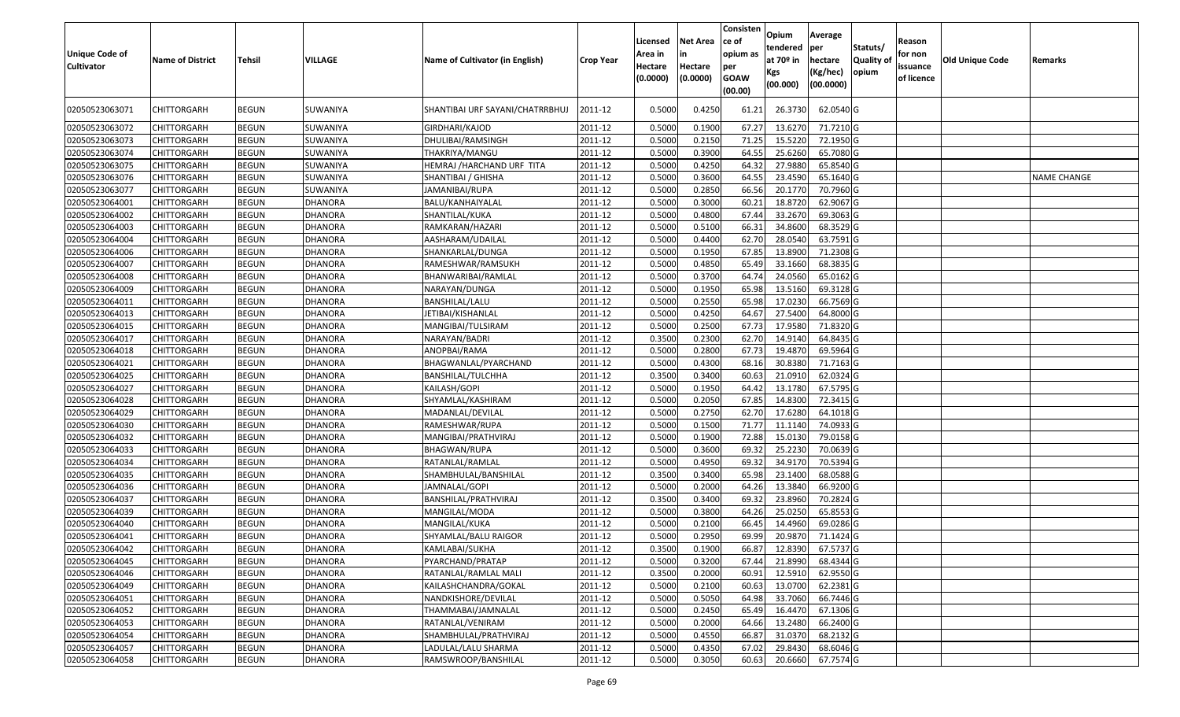| <b>Unique Code of</b><br><b>Cultivator</b> | <b>Name of District</b> | <b>Tehsil</b> | VILLAGE        | Name of Cultivator (in English) | <b>Crop Year</b>     | Licensed<br>Area in<br>Hectare<br>(0.0000) | <b>Net Area</b><br>Hectare<br>(0.0000) | Consisten<br>lce of<br>opium as<br>per<br><b>GOAW</b><br>(00.00) | Opium<br>tendered<br>at $70°$ in<br>Kgs<br>(00.000) | Average<br>per<br>hectare<br>(Kg/hec)<br>(00.0000) | Statuts/<br><b>Quality o</b><br>opium | Reason<br>for non<br>issuance<br>of licence | <b>Old Unique Code</b> | Remarks            |
|--------------------------------------------|-------------------------|---------------|----------------|---------------------------------|----------------------|--------------------------------------------|----------------------------------------|------------------------------------------------------------------|-----------------------------------------------------|----------------------------------------------------|---------------------------------------|---------------------------------------------|------------------------|--------------------|
| 02050523063071                             | CHITTORGARH             | <b>BEGUN</b>  | SUWANIYA       | SHANTIBAI URF SAYANI/CHATRRBHUJ | 2011-12              | 0.5000                                     | 0.4250                                 | 61.22                                                            | 26.3730                                             | 62.0540 G                                          |                                       |                                             |                        |                    |
| 02050523063072                             | CHITTORGARH             | <b>BEGUN</b>  | SUWANIYA       | GIRDHARI/KAJOD                  | 2011-12              | 0.5000                                     | 0.1900                                 | 67.27                                                            | 13.6270                                             | 71.7210 G                                          |                                       |                                             |                        |                    |
| 02050523063073                             | CHITTORGARH             | <b>BEGUN</b>  | SUWANIYA       | DHULIBAI/RAMSINGH               | 2011-12              | 0.5000                                     | 0.2150                                 | 71.25                                                            | 15.5220                                             | 72.1950 G                                          |                                       |                                             |                        |                    |
| 02050523063074                             | CHITTORGARH             | <b>BEGUN</b>  | SUWANIYA       | THAKRIYA/MANGU                  | 2011-12              | 0.5000                                     | 0.3900                                 | 64.5                                                             | 25.6260                                             | 65.7080 G                                          |                                       |                                             |                        |                    |
| 02050523063075                             | CHITTORGARH             | <b>BEGUN</b>  | SUWANIYA       | HEMRAJ /HARCHAND URF TITA       | 2011-12              | 0.5000                                     | 0.4250                                 | 64.32                                                            | 27.9880                                             | 65.8540 G                                          |                                       |                                             |                        |                    |
| 02050523063076                             | CHITTORGARH             | <b>BEGUN</b>  | SUWANIYA       | SHANTIBAI / GHISHA              | 2011-12              | 0.5000                                     | 0.3600                                 | 64.5                                                             | 23.4590                                             | 65.1640 G                                          |                                       |                                             |                        | <b>NAME CHANGE</b> |
| 02050523063077                             | CHITTORGARH             | <b>BEGUN</b>  | SUWANIYA       | JAMANIBAI/RUPA                  | 2011-12              | 0.5000                                     | 0.2850                                 | 66.56                                                            | 20.1770                                             | 70.7960G                                           |                                       |                                             |                        |                    |
| 02050523064001                             | CHITTORGARH             | <b>BEGUN</b>  | DHANORA        | BALU/KANHAIYALAL                | 2011-12              | 0.5000                                     | 0.3000                                 | 60.21                                                            | 18.8720                                             | 62.9067 G                                          |                                       |                                             |                        |                    |
| 02050523064002                             | CHITTORGARH             | <b>BEGUN</b>  | DHANORA        | SHANTILAL/KUKA                  | 2011-12              | 0.5000                                     | 0.4800                                 | 67.44                                                            | 33.2670                                             | 69.3063 G                                          |                                       |                                             |                        |                    |
| 02050523064003                             | CHITTORGARH             | <b>BEGUN</b>  | <b>DHANORA</b> | RAMKARAN/HAZARI                 | 2011-12              | 0.5000                                     | 0.5100                                 | 66.3                                                             | 34.8600                                             | 68.3529 G                                          |                                       |                                             |                        |                    |
| 02050523064004                             | CHITTORGARH             | <b>BEGUN</b>  | <b>DHANORA</b> | AASHARAM/UDAILAL                | 2011-12              | 0.5000                                     | 0.4400                                 | 62.70                                                            | 28.0540                                             | 63.7591 G                                          |                                       |                                             |                        |                    |
| 02050523064006                             | <b>CHITTORGARH</b>      | <b>BEGUN</b>  | <b>DHANORA</b> | SHANKARLAL/DUNGA                | 2011-12              | 0.5000                                     | 0.1950                                 | 67.85                                                            | 13.8900                                             | 71.2308 G                                          |                                       |                                             |                        |                    |
| 02050523064007                             | CHITTORGARH             | <b>BEGUN</b>  | DHANORA        | RAMESHWAR/RAMSUKH               | 2011-12              | 0.5000                                     | 0.4850                                 | 65.49                                                            | 33.1660                                             | 68.3835 G                                          |                                       |                                             |                        |                    |
| 02050523064008                             | CHITTORGARH             | <b>BEGUN</b>  | <b>DHANORA</b> | BHANWARIBAI/RAMLAL              | 2011-12              | 0.5000                                     | 0.3700                                 | 64.7                                                             | 24.0560                                             | 65.0162G                                           |                                       |                                             |                        |                    |
| 02050523064009                             | CHITTORGARH             | <b>BEGUN</b>  | <b>DHANORA</b> | NARAYAN/DUNGA                   | 2011-12              | 0.5000                                     | 0.1950                                 | 65.98                                                            | 13.5160                                             | 69.3128 G                                          |                                       |                                             |                        |                    |
| 02050523064011                             | CHITTORGARH             | <b>BEGUN</b>  | <b>DHANORA</b> | <b>BANSHILAL/LALU</b>           | 2011-12              | 0.5000                                     | 0.2550                                 | 65.98                                                            | 17.0230                                             | 66.7569 G                                          |                                       |                                             |                        |                    |
| 02050523064013                             | CHITTORGARH             | <b>BEGUN</b>  | <b>DHANORA</b> | JETIBAI/KISHANLAL               | 2011-12              | 0.500                                      | 0.4250                                 | 64.67                                                            | 27.5400                                             | 64.8000 G                                          |                                       |                                             |                        |                    |
| 02050523064015                             | CHITTORGARH             | <b>BEGUN</b>  | <b>DHANORA</b> | MANGIBAI/TULSIRAM               | 2011-12              | 0.5000                                     | 0.2500                                 | 67.73                                                            | 17.9580                                             | 71.8320 G                                          |                                       |                                             |                        |                    |
| 02050523064017                             | CHITTORGARH             | <b>BEGUN</b>  | <b>DHANORA</b> | NARAYAN/BADRI                   | 2011-12              | 0.3500                                     | 0.2300                                 | 62.70                                                            | 14.9140                                             | 64.8435 G                                          |                                       |                                             |                        |                    |
| 02050523064018                             | CHITTORGARH             | <b>BEGUN</b>  | <b>DHANORA</b> | ANOPBAI/RAMA                    | 2011-12              | 0.5000                                     | 0.2800                                 | 67.73                                                            | 19.4870                                             | 69.5964 G                                          |                                       |                                             |                        |                    |
| 02050523064021                             | CHITTORGARH             | <b>BEGUN</b>  | <b>DHANORA</b> | BHAGWANLAL/PYARCHAND            | 2011-12              | 0.5000                                     | 0.4300                                 | 68.16                                                            | 30.8380                                             | 71.7163 G                                          |                                       |                                             |                        |                    |
| 02050523064025                             | CHITTORGARH             | <b>BEGUN</b>  | <b>DHANORA</b> | BANSHILAL/TULCHHA               | 2011-12              | 0.3500                                     | 0.3400                                 | 60.63                                                            | 21.091                                              | 62.0324 G                                          |                                       |                                             |                        |                    |
| 02050523064027                             | CHITTORGARH             | <b>BEGUN</b>  | <b>DHANORA</b> | KAILASH/GOPI                    | 2011-12              | 0.5000                                     | 0.1950                                 | 64.42                                                            | 13.1780                                             | 67.5795 G                                          |                                       |                                             |                        |                    |
| 02050523064028                             | CHITTORGARH             | <b>BEGUN</b>  | <b>DHANORA</b> | SHYAMLAL/KASHIRAM               | 2011-12              | 0.5000                                     | 0.2050                                 | 67.85                                                            | 14.8300                                             | 72.3415 G                                          |                                       |                                             |                        |                    |
| 02050523064029                             | CHITTORGARH             | <b>BEGUN</b>  | <b>DHANORA</b> | MADANLAL/DEVILAL                | 2011-12              | 0.5000                                     | 0.2750                                 | 62.70                                                            | 17.6280                                             | 64.1018 G                                          |                                       |                                             |                        |                    |
| 02050523064030                             | CHITTORGARH             | <b>BEGUN</b>  | <b>DHANORA</b> | RAMESHWAR/RUPA                  | 2011-12              | 0.5000                                     | 0.1500                                 | 71.77                                                            | 11.114                                              | 74.0933 G                                          |                                       |                                             |                        |                    |
| 02050523064032                             | CHITTORGARH             | <b>BEGUN</b>  | <b>DHANORA</b> | MANGIBAI/PRATHVIRAJ             | 2011-12              | 0.5000                                     | 0.1900                                 | 72.88                                                            | 15.0130                                             | 79.0158 G                                          |                                       |                                             |                        |                    |
| 02050523064033                             | CHITTORGARH             | <b>BEGUN</b>  | <b>DHANORA</b> | <b>BHAGWAN/RUPA</b>             | 2011-12              | 0.5000                                     | 0.3600                                 | 69.32                                                            | 25.2230                                             | 70.0639 G                                          |                                       |                                             |                        |                    |
| 02050523064034                             | CHITTORGARH             | <b>BEGUN</b>  | <b>DHANORA</b> | RATANLAL/RAMLAL                 | 2011-12              | 0.5000                                     | 0.4950                                 | 69.32                                                            | 34.9170                                             | 70.5394 G                                          |                                       |                                             |                        |                    |
| 02050523064035                             | CHITTORGARH             | <b>BEGUN</b>  | DHANORA        | SHAMBHULAL/BANSHILAL            | 2011-12              | 0.3500                                     | 0.3400                                 | 65.98                                                            | 23.1400                                             | 68.0588 G                                          |                                       |                                             |                        |                    |
| 02050523064036                             | CHITTORGARH             | <b>BEGUN</b>  | <b>DHANORA</b> | JAMNALAL/GOPI                   | 2011-12              | 0.5000                                     | 0.2000                                 | 64.26                                                            | 13.3840                                             | 66.9200 G                                          |                                       |                                             |                        |                    |
| 02050523064037                             | CHITTORGARH             | <b>BEGUN</b>  | DHANORA        | BANSHILAL/PRATHVIRAJ            | 2011-12              | 0.3500                                     | 0.3400                                 | 69.32                                                            | 23.8960                                             | 70.2824 G                                          |                                       |                                             |                        |                    |
| 02050523064039                             | <b>CHITTORGARH</b>      | <b>BEGUN</b>  | DHANORA        | MANGILAL/MODA                   | 2011-12              | 0.5000                                     | 0.3800                                 | 64.26                                                            | 25.0250                                             | 65.8553 G                                          |                                       |                                             |                        |                    |
| 02050523064040                             | CHITTORGARH             | <b>BEGUN</b>  | <b>DHANORA</b> | MANGILAL/KUKA                   | 2011-12              | 0.500                                      | 0.2100                                 | 66.45                                                            | 14.4960                                             | 69.0286 G                                          |                                       |                                             |                        |                    |
| 02050523064041                             | CHITTORGARH             | <b>BEGUN</b>  | <b>DHANORA</b> | SHYAMLAL/BALU RAIGOR            | 2011-12              | 0.5000                                     | 0.2950                                 | 69.99                                                            | 20.9870                                             | 71.1424 G                                          |                                       |                                             |                        |                    |
| 02050523064042                             | <b>CHITTORGARH</b>      | <b>BEGUN</b>  | <b>DHANORA</b> | KAMLABAI/SUKHA                  | $\overline{2011-12}$ | 0.3500                                     | 0.1900                                 |                                                                  | 66.87 12.8390                                       | 67.5737 G                                          |                                       |                                             |                        |                    |
| 02050523064045                             | <b>CHITTORGARH</b>      | <b>BEGUN</b>  | <b>DHANORA</b> | PYARCHAND/PRATAP                | 2011-12              | 0.5000                                     | 0.3200                                 | 67.44                                                            | 21.8990                                             | 68.4344 G                                          |                                       |                                             |                        |                    |
| 02050523064046                             | <b>CHITTORGARH</b>      | <b>BEGUN</b>  | <b>DHANORA</b> | RATANLAL/RAMLAL MALI            | 2011-12              | 0.3500                                     | 0.2000                                 | 60.91                                                            | 12.5910                                             | 62.9550 G                                          |                                       |                                             |                        |                    |
| 02050523064049                             | <b>CHITTORGARH</b>      | <b>BEGUN</b>  | <b>DHANORA</b> | KAILASHCHANDRA/GOKAL            | 2011-12              | 0.5000                                     | 0.2100                                 | 60.63                                                            | 13.0700                                             | 62.2381 G                                          |                                       |                                             |                        |                    |
| 02050523064051                             | CHITTORGARH             | <b>BEGUN</b>  | <b>DHANORA</b> | NANDKISHORE/DEVILAL             | 2011-12              | 0.5000                                     | 0.5050                                 | 64.98                                                            | 33.7060                                             | 66.7446 G                                          |                                       |                                             |                        |                    |
| 02050523064052                             | <b>CHITTORGARH</b>      | <b>BEGUN</b>  | <b>DHANORA</b> | THAMMABAI/JAMNALAL              | 2011-12              | 0.5000                                     | 0.2450                                 | 65.49                                                            | 16.4470                                             | 67.1306 G                                          |                                       |                                             |                        |                    |
| 02050523064053                             | <b>CHITTORGARH</b>      | <b>BEGUN</b>  | <b>DHANORA</b> | RATANLAL/VENIRAM                | 2011-12              | 0.5000                                     | 0.2000                                 | 64.66                                                            | 13.2480                                             | 66.2400 G                                          |                                       |                                             |                        |                    |
| 02050523064054                             | CHITTORGARH             | <b>BEGUN</b>  | <b>DHANORA</b> | SHAMBHULAL/PRATHVIRAJ           | 2011-12              | 0.5000                                     | 0.4550                                 | 66.87                                                            | 31.0370                                             | 68.2132 G                                          |                                       |                                             |                        |                    |
| 02050523064057                             | CHITTORGARH             | <b>BEGUN</b>  | <b>DHANORA</b> | LADULAL/LALU SHARMA             | 2011-12              | 0.5000                                     | 0.4350                                 | 67.02                                                            | 29.8430                                             | 68.6046 G                                          |                                       |                                             |                        |                    |
| 02050523064058                             | <b>CHITTORGARH</b>      | <b>BEGUN</b>  | <b>DHANORA</b> | RAMSWROOP/BANSHILAL             | 2011-12              | 0.5000                                     | 0.3050                                 | 60.63                                                            | 20.6660                                             | 67.7574 G                                          |                                       |                                             |                        |                    |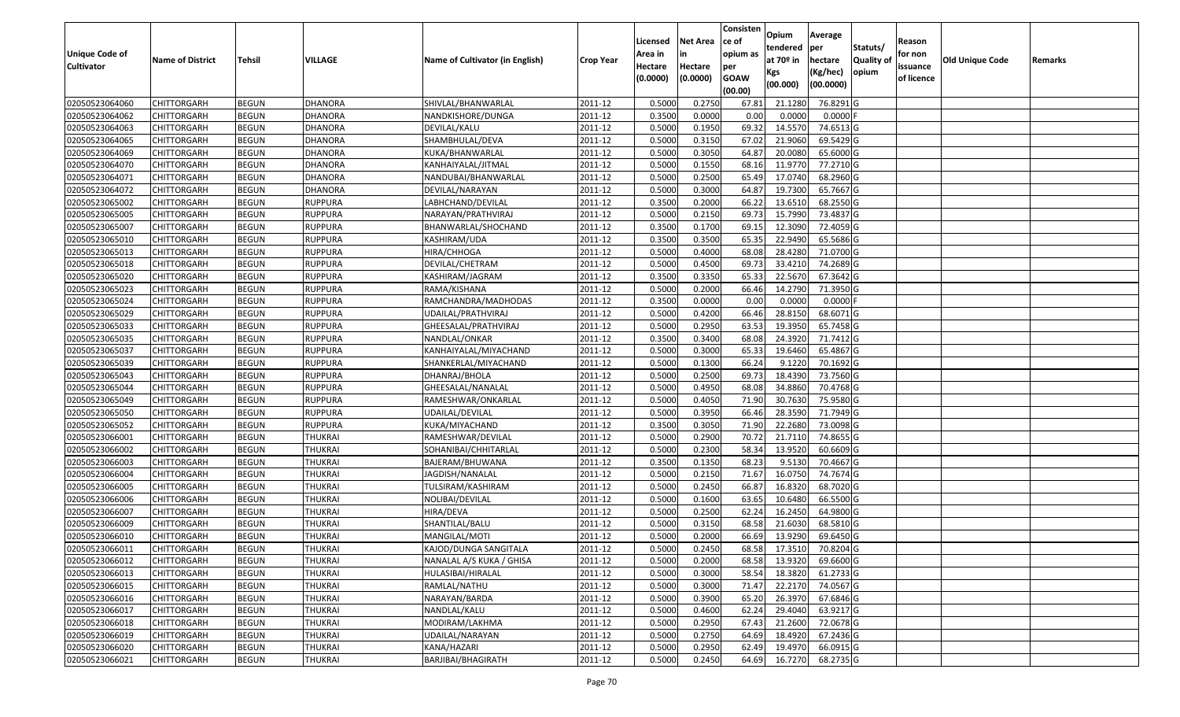|                       |                         |               |                |                                 |                  |          |                 | Consisten              | Opium         | Average    |                  |            |                 |         |
|-----------------------|-------------------------|---------------|----------------|---------------------------------|------------------|----------|-----------------|------------------------|---------------|------------|------------------|------------|-----------------|---------|
|                       |                         |               |                |                                 |                  | Licensed | <b>Net Area</b> | ce of                  | tendered      | per        | Statuts/         | Reason     |                 |         |
| <b>Unique Code of</b> | <b>Name of District</b> | <b>Tehsil</b> | VILLAGE        | Name of Cultivator (in English) | <b>Crop Year</b> | Area in  | in              | opium as               | at $70°$ in   | hectare    | <b>Quality o</b> | for non    | Old Unique Code | Remarks |
| <b>Cultivator</b>     |                         |               |                |                                 |                  | Hectare  | Hectare         | per                    | Kgs           | (Kg/hec)   | opium            | issuance   |                 |         |
|                       |                         |               |                |                                 |                  | (0.0000) | (0.0000)        | <b>GOAW</b><br>(00.00) | (00.000)      | (00.0000)  |                  | of licence |                 |         |
| 02050523064060        | CHITTORGARH             | <b>BEGUN</b>  | <b>DHANORA</b> | SHIVLAL/BHANWARLAL              | 2011-12          | 0.5000   | 0.2750          | 67.8                   | 21.1280       | 76.8291G   |                  |            |                 |         |
| 02050523064062        | CHITTORGARH             | <b>BEGUN</b>  | <b>DHANORA</b> | NANDKISHORE/DUNGA               | 2011-12          | 0.3500   | 0.0000          | 0.00                   | 0.0000        | $0.0000$ F |                  |            |                 |         |
| 02050523064063        | CHITTORGARH             | <b>BEGUN</b>  | <b>DHANORA</b> | DEVILAL/KALU                    | 2011-12          | 0.5000   | 0.1950          | 69.32                  | 14.5570       | 74.6513 G  |                  |            |                 |         |
| 02050523064065        | <b>CHITTORGARH</b>      | <b>BEGUN</b>  | <b>DHANORA</b> | SHAMBHULAL/DEVA                 | 2011-12          | 0.5000   | 0.3150          | 67.02                  | 21.9060       | 69.5429 G  |                  |            |                 |         |
| 02050523064069        | CHITTORGARH             | <b>BEGUN</b>  | <b>DHANORA</b> | KUKA/BHANWARLAL                 | 2011-12          | 0.5000   | 0.3050          | 64.87                  | 20.008        | 65.6000 G  |                  |            |                 |         |
| 02050523064070        | CHITTORGARH             | <b>BEGUN</b>  | <b>DHANORA</b> | KANHAIYALAL/JITMAL              | 2011-12          | 0.5000   | 0.1550          | 68.16                  | 11.977        | 77.2710 G  |                  |            |                 |         |
| 02050523064071        | CHITTORGARH             | <b>BEGUN</b>  | <b>DHANORA</b> | NANDUBAI/BHANWARLAL             | 2011-12          | 0.5000   | 0.2500          | 65.49                  | 17.0740       | 68.2960 G  |                  |            |                 |         |
| 02050523064072        | CHITTORGARH             | <b>BEGUN</b>  | <b>DHANORA</b> | DEVILAL/NARAYAN                 | 2011-12          | 0.5000   | 0.3000          | 64.87                  | 19.7300       | 65.7667 G  |                  |            |                 |         |
| 02050523065002        | CHITTORGARH             | <b>BEGUN</b>  | <b>RUPPURA</b> | LABHCHAND/DEVILAL               | 2011-12          | 0.3500   | 0.2000          | 66.22                  | 13.6510       | 68.2550 G  |                  |            |                 |         |
| 02050523065005        | CHITTORGARH             | <b>BEGUN</b>  | <b>RUPPURA</b> | NARAYAN/PRATHVIRAJ              | 2011-12          | 0.5000   | 0.2150          | 69.73                  | 15.7990       | 73.4837 G  |                  |            |                 |         |
| 02050523065007        | CHITTORGARH             | <b>BEGUN</b>  | <b>RUPPURA</b> | BHANWARLAL/SHOCHAND             | 2011-12          | 0.3500   | 0.1700          | 69.15                  | 12.3090       | 72.4059 G  |                  |            |                 |         |
| 02050523065010        | CHITTORGARH             | <b>BEGUN</b>  | <b>RUPPURA</b> | KASHIRAM/UDA                    | 2011-12          | 0.3500   | 0.3500          | 65.35                  | 22.9490       | 65.5686 G  |                  |            |                 |         |
| 02050523065013        | <b>CHITTORGARH</b>      | <b>BEGUN</b>  | <b>RUPPURA</b> | HIRA/CHHOGA                     | 2011-12          | 0.5000   | 0.4000          | 68.08                  | 28.4280       | 71.0700 G  |                  |            |                 |         |
| 02050523065018        | CHITTORGARH             | <b>BEGUN</b>  | <b>RUPPURA</b> | DEVILAL/CHETRAM                 | 2011-12          | 0.5000   | 0.4500          | 69.73                  | 33.4210       | 74.2689 G  |                  |            |                 |         |
| 02050523065020        | CHITTORGARH             | <b>BEGUN</b>  | <b>RUPPURA</b> | KASHIRAM/JAGRAM                 | 2011-12          | 0.3500   | 0.3350          | 65.33                  | 22.5670       | 67.3642 G  |                  |            |                 |         |
| 02050523065023        | CHITTORGARH             | <b>BEGUN</b>  | <b>RUPPURA</b> | RAMA/KISHANA                    | 2011-12          | 0.5000   | 0.2000          | 66.46                  | 14.2790       | 71.3950 G  |                  |            |                 |         |
| 02050523065024        | CHITTORGARH             | <b>BEGUN</b>  | <b>RUPPURA</b> | RAMCHANDRA/MADHODAS             | 2011-12          | 0.3500   | 0.0000          | 0.00                   | 0.0000        | $0.0000$ F |                  |            |                 |         |
| 02050523065029        | CHITTORGARH             | <b>BEGUN</b>  | <b>RUPPURA</b> | UDAILAL/PRATHVIRAJ              | 2011-12          | 0.5000   | 0.4200          | 66.46                  | 28.8150       | 68.6071 G  |                  |            |                 |         |
| 02050523065033        | CHITTORGARH             | <b>BEGUN</b>  | <b>RUPPURA</b> | GHEESALAL/PRATHVIRAJ            | 2011-12          | 0.5000   | 0.2950          | 63.53                  | 19.3950       | 65.7458 G  |                  |            |                 |         |
| 02050523065035        | CHITTORGARH             | <b>BEGUN</b>  | <b>RUPPURA</b> | NANDLAL/ONKAR                   | 2011-12          | 0.3500   | 0.3400          | 68.08                  | 24.3920       | 71.7412G   |                  |            |                 |         |
| 02050523065037        | CHITTORGARH             | <b>BEGUN</b>  | <b>RUPPURA</b> | KANHAIYALAL/MIYACHAND           | 2011-12          | 0.5000   | 0.3000          | 65.33                  | 19.6460       | 65.4867 G  |                  |            |                 |         |
| 02050523065039        | CHITTORGARH             | <b>BEGUN</b>  | <b>RUPPURA</b> | SHANKERLAL/MIYACHAND            | 2011-12          | 0.5000   | 0.1300          | 66.24                  | 9.122         | 70.1692 G  |                  |            |                 |         |
| 02050523065043        | CHITTORGARH             | <b>BEGUN</b>  | <b>RUPPURA</b> | DHANRAJ/BHOLA                   | 2011-12          | 0.5000   | 0.2500          | 69.73                  | 18.4390       | 73.7560 G  |                  |            |                 |         |
| 02050523065044        | CHITTORGARH             | <b>BEGUN</b>  | <b>RUPPURA</b> | GHEESALAL/NANALAL               | 2011-12          | 0.5000   | 0.4950          | 68.08                  | 34.8860       | 70.4768 G  |                  |            |                 |         |
| 02050523065049        | CHITTORGARH             | <b>BEGUN</b>  | <b>RUPPURA</b> | RAMESHWAR/ONKARLAL              | 2011-12          | 0.5000   | 0.4050          | 71.90                  | 30.7630       | 75.9580 G  |                  |            |                 |         |
| 02050523065050        | CHITTORGARH             | <b>BEGUN</b>  | <b>RUPPURA</b> | UDAILAL/DEVILAL                 | 2011-12          | 0.5000   | 0.3950          | 66.46                  | 28.3590       | 71.7949 G  |                  |            |                 |         |
| 02050523065052        | CHITTORGARH             | <b>BEGUN</b>  | <b>RUPPURA</b> | KUKA/MIYACHAND                  | 2011-12          | 0.3500   | 0.3050          | 71.90                  | 22.2680       | 73.0098 G  |                  |            |                 |         |
| 02050523066001        | CHITTORGARH             | <b>BEGUN</b>  | <b>THUKRAI</b> | RAMESHWAR/DEVILAL               | 2011-12          | 0.5000   | 0.2900          | 70.72                  | 21.7110       | 74.8655 G  |                  |            |                 |         |
| 02050523066002        | CHITTORGARH             | <b>BEGUN</b>  | <b>THUKRAI</b> | SOHANIBAI/CHHITARLAL            | 2011-12          | 0.5000   | 0.2300          | 58.34                  | 13.9520       | 60.6609 G  |                  |            |                 |         |
| 02050523066003        | CHITTORGARH             | <b>BEGUN</b>  | <b>THUKRAI</b> | BAJERAM/BHUWANA                 | 2011-12          | 0.3500   | 0.1350          | 68.23                  | 9.5130        | 70.4667 G  |                  |            |                 |         |
| 02050523066004        | CHITTORGARH             | <b>BEGUN</b>  | <b>THUKRAI</b> | JAGDISH/NANALAL                 | 2011-12          | 0.5000   | 0.2150          | 71.67                  | 16.075        | 74.7674 G  |                  |            |                 |         |
| 02050523066005        | CHITTORGARH             | <b>BEGUN</b>  | <b>THUKRAI</b> | TULSIRAM/KASHIRAM               | 2011-12          | 0.5000   | 0.2450          | 66.87                  | 16.8320       | 68.7020 G  |                  |            |                 |         |
| 02050523066006        | CHITTORGARH             | <b>BEGUN</b>  | <b>THUKRAI</b> | NOLIBAI/DEVILAL                 | 2011-12          | 0.5000   | 0.1600          | 63.65                  | 10.6480       | 66.5500 G  |                  |            |                 |         |
| 02050523066007        | CHITTORGARH             | <b>BEGUN</b>  | <b>THUKRAI</b> | HIRA/DEVA                       | 2011-12          | 0.5000   | 0.2500          | 62.24                  | 16.2450       | 64.9800 G  |                  |            |                 |         |
| 02050523066009        | CHITTORGARH             | <b>BEGUN</b>  | <b>THUKRAI</b> | SHANTILAL/BALU                  | 2011-12          | 0.500    | 0.3150          | 68.58                  | 21.603        | 68.5810 G  |                  |            |                 |         |
| 02050523066010        | CHITTORGARH             | <b>BEGUN</b>  | <b>THUKRAI</b> | MANGILAL/MOTI                   | 2011-12          | 0.5000   | 0.2000          | 66.69                  | 13.9290       | 69.6450 G  |                  |            |                 |         |
| 02050523066011        | <b>CHITTORGARH</b>      | <b>BEGUN</b>  | THUKRAI        | KAJOD/DUNGA SANGITALA           | 2011-12          | 0.5000   | 0.2450          |                        | 68.58 17.3510 | 70.8204 G  |                  |            |                 |         |
| 02050523066012        | <b>CHITTORGARH</b>      | <b>BEGUN</b>  | <b>THUKRAI</b> | NANALAL A/S KUKA / GHISA        | 2011-12          | 0.5000   | 0.2000          | 68.58                  | 13.9320       | 69.6600 G  |                  |            |                 |         |
| 02050523066013        | <b>CHITTORGARH</b>      | <b>BEGUN</b>  | THUKRAI        | HULASIBAI/HIRALAL               | 2011-12          | 0.5000   | 0.3000          | 58.54                  | 18.3820       | 61.2733 G  |                  |            |                 |         |
| 02050523066015        | <b>CHITTORGARH</b>      | <b>BEGUN</b>  | THUKRAI        | RAMLAL/NATHU                    | 2011-12          | 0.5000   | 0.3000          | 71.47                  | 22.2170       | 74.0567 G  |                  |            |                 |         |
| 02050523066016        | <b>CHITTORGARH</b>      | <b>BEGUN</b>  | <b>THUKRAI</b> | NARAYAN/BARDA                   | 2011-12          | 0.5000   | 0.3900          | 65.20                  | 26.3970       | 67.6846 G  |                  |            |                 |         |
| 02050523066017        | <b>CHITTORGARH</b>      | <b>BEGUN</b>  | <b>THUKRAI</b> | NANDLAL/KALU                    | 2011-12          | 0.5000   | 0.4600          | 62.24                  | 29.4040       | 63.9217 G  |                  |            |                 |         |
| 02050523066018        | <b>CHITTORGARH</b>      | <b>BEGUN</b>  | <b>THUKRAI</b> | MODIRAM/LAKHMA                  | 2011-12          | 0.5000   | 0.2950          | 67.43                  | 21.2600       | 72.0678 G  |                  |            |                 |         |
| 02050523066019        | CHITTORGARH             | <b>BEGUN</b>  | <b>THUKRAI</b> | UDAILAL/NARAYAN                 | 2011-12          | 0.5000   | 0.2750          | 64.69                  | 18.4920       | 67.2436 G  |                  |            |                 |         |
| 02050523066020        | CHITTORGARH             | <b>BEGUN</b>  | <b>THUKRAI</b> | KANA/HAZARI                     | 2011-12          | 0.5000   | 0.2950          | 62.49                  | 19.4970       | 66.0915 G  |                  |            |                 |         |
| 02050523066021        | <b>CHITTORGARH</b>      | <b>BEGUN</b>  | <b>THUKRAI</b> | BARJIBAI/BHAGIRATH              | 2011-12          | 0.5000   | 0.2450          | 64.69                  | 16.7270       | 68.2735 G  |                  |            |                 |         |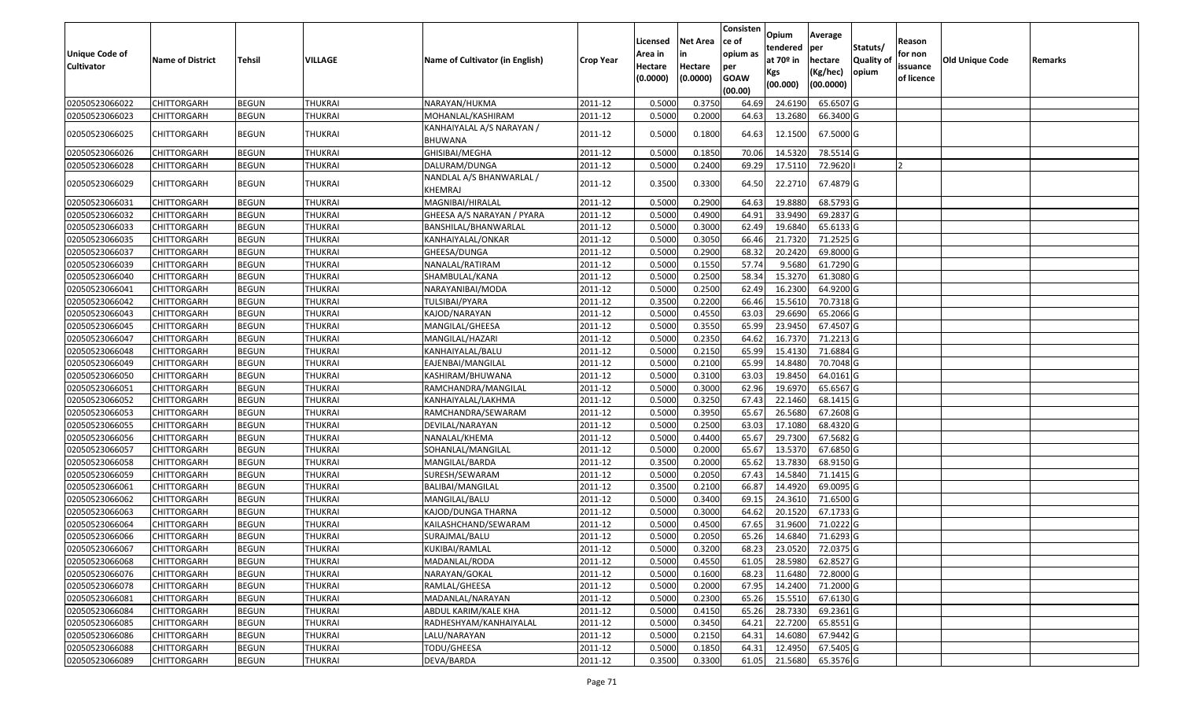| <b>Unique Code of</b><br><b>Cultivator</b> | <b>Name of District</b> | Tehsil       | VILLAGE        | Name of Cultivator (in English)            | <b>Crop Year</b> | Licensed<br>Area in<br>Hectare<br>(0.0000) | Net Area<br>in<br>Hectare<br>(0.0000) | Consisten<br>ce of<br>opium as<br>per<br><b>GOAW</b><br>(00.00) | Opium<br>tendered<br>at 70 <sup>o</sup> in<br>Kgs<br>(00.000) | Average<br>per<br>hectare<br>(Kg/hec)<br>(00.0000) | Statuts/<br><b>Quality of</b><br>opium | Reason<br>for non<br>issuance<br>of licence | Old Unique Code | Remarks |
|--------------------------------------------|-------------------------|--------------|----------------|--------------------------------------------|------------------|--------------------------------------------|---------------------------------------|-----------------------------------------------------------------|---------------------------------------------------------------|----------------------------------------------------|----------------------------------------|---------------------------------------------|-----------------|---------|
| 02050523066022                             | CHITTORGARH             | <b>BEGUN</b> | <b>THUKRAI</b> | NARAYAN/HUKMA                              | 2011-12          | 0.5000                                     | 0.3750                                | 64.69                                                           | 24.6190                                                       | 65.6507 G                                          |                                        |                                             |                 |         |
| 02050523066023                             | CHITTORGARH             | <b>BEGUN</b> | THUKRAI        | MOHANLAL/KASHIRAM                          | 2011-12          | 0.5000                                     | 0.2000                                | 64.63                                                           | 13.2680                                                       | 66.3400 G                                          |                                        |                                             |                 |         |
| 02050523066025                             | CHITTORGARH             | <b>BEGUN</b> | THUKRAI        | KANHAIYALAL A/S NARAYAN /<br>BHUWANA       | 2011-12          | 0.5000                                     | 0.1800                                | 64.63                                                           | 12.1500                                                       | 67.5000 G                                          |                                        |                                             |                 |         |
| 02050523066026                             | CHITTORGARH             | <b>BEGUN</b> | <b>THUKRAI</b> | GHISIBAI/MEGHA                             | 2011-12          | 0.5000                                     | 0.1850                                | 70.06                                                           | 14.5320                                                       | 78.5514 G                                          |                                        |                                             |                 |         |
| 02050523066028                             | CHITTORGARH             | <b>BEGUN</b> | THUKRAI        | DALURAM/DUNGA                              | 2011-12          | 0.5000                                     | 0.2400                                | 69.29                                                           | 17.5110                                                       | 72.9620                                            |                                        |                                             |                 |         |
| 02050523066029                             | CHITTORGARH             | <b>BEGUN</b> | THUKRAI        | NANDLAL A/S BHANWARLAL /<br><b>KHEMRAJ</b> | 2011-12          | 0.3500                                     | 0.3300                                | 64.50                                                           | 22.2710                                                       | 67.4879 G                                          |                                        |                                             |                 |         |
| 02050523066031                             | CHITTORGARH             | <b>BEGUN</b> | <b>THUKRAI</b> | MAGNIBAI/HIRALAL                           | 2011-12          | 0.5000                                     | 0.2900                                | 64.63                                                           | 19.8880                                                       | 68.5793 G                                          |                                        |                                             |                 |         |
| 02050523066032                             | CHITTORGARH             | <b>BEGUN</b> | <b>THUKRAI</b> | GHEESA A/S NARAYAN / PYARA                 | 2011-12          | 0.5000                                     | 0.4900                                | 64.91                                                           | 33.9490                                                       | 69.2837 G                                          |                                        |                                             |                 |         |
| 02050523066033                             | CHITTORGARH             | <b>BEGUN</b> | <b>THUKRAI</b> | BANSHILAL/BHANWARLAL                       | 2011-12          | 0.5000                                     | 0.3000                                | 62.49                                                           | 19.6840                                                       | 65.6133 G                                          |                                        |                                             |                 |         |
| 02050523066035                             | CHITTORGARH             | <b>BEGUN</b> | <b>THUKRAI</b> | KANHAIYALAL/ONKAR                          | 2011-12          | 0.5000                                     | 0.3050                                | 66.46                                                           | 21.7320                                                       | 71.2525 G                                          |                                        |                                             |                 |         |
| 02050523066037                             | CHITTORGARH             | <b>BEGUN</b> | <b>THUKRAI</b> | GHEESA/DUNGA                               | 2011-12          | 0.5000                                     | 0.2900                                | 68.32                                                           | 20.2420                                                       | 69.8000 G                                          |                                        |                                             |                 |         |
| 02050523066039                             | CHITTORGARH             | <b>BEGUN</b> | THUKRAI        | NANALAL/RATIRAM                            | 2011-12          | 0.5000                                     | 0.1550                                | 57.74                                                           | 9.5680                                                        | 61.7290 G                                          |                                        |                                             |                 |         |
| 02050523066040                             | CHITTORGARH             | <b>BEGUN</b> | <b>THUKRAI</b> | SHAMBULAL/KANA                             | 2011-12          | 0.5000                                     | 0.2500                                | 58.34                                                           | 15.3270                                                       | 61.3080 G                                          |                                        |                                             |                 |         |
| 02050523066041                             | CHITTORGARH             | <b>BEGUN</b> | <b>THUKRAI</b> | NARAYANIBAI/MODA                           | 2011-12          | 0.5000                                     | 0.2500                                | 62.49                                                           | 16.2300                                                       | 64.9200 G                                          |                                        |                                             |                 |         |
| 02050523066042                             | CHITTORGARH             | <b>BEGUN</b> | <b>THUKRAI</b> | TULSIBAI/PYARA                             | 2011-12          | 0.3500                                     | 0.2200                                | 66.46                                                           | 15.5610                                                       | 70.7318 G                                          |                                        |                                             |                 |         |
| 02050523066043                             | CHITTORGARH             | <b>BEGUN</b> | <b>THUKRAI</b> | KAJOD/NARAYAN                              | 2011-12          | 0.5000                                     | 0.4550                                | 63.03                                                           | 29.6690                                                       | 65.2066 G                                          |                                        |                                             |                 |         |
| 02050523066045                             | CHITTORGARH             | <b>BEGUN</b> | <b>THUKRAI</b> | MANGILAL/GHEESA                            | 2011-12          | 0.5000                                     | 0.3550                                | 65.99                                                           | 23.9450                                                       | 67.4507 G                                          |                                        |                                             |                 |         |
| 02050523066047                             | CHITTORGARH             | <b>BEGUN</b> | <b>THUKRAI</b> | MANGILAL/HAZARI                            | 2011-12          | 0.5000                                     | 0.2350                                | 64.62                                                           | 16.7370                                                       | 71.2213 G                                          |                                        |                                             |                 |         |
| 02050523066048                             | CHITTORGARH             | <b>BEGUN</b> | <b>THUKRAI</b> | KANHAIYALAL/BALU                           | 2011-12          | 0.5000                                     | 0.2150                                | 65.99                                                           | 15.4130                                                       | 71.6884 G                                          |                                        |                                             |                 |         |
| 02050523066049                             | CHITTORGARH             | <b>BEGUN</b> | <b>THUKRAI</b> | EAJENBAI/MANGILAL                          | 2011-12          | 0.5000                                     | 0.2100                                | 65.99                                                           | 14.8480                                                       | 70.7048 G                                          |                                        |                                             |                 |         |
| 02050523066050                             | CHITTORGARH             | <b>BEGUN</b> | <b>THUKRAI</b> | KASHIRAM/BHUWANA                           | 2011-12          | 0.5000                                     | 0.3100                                | 63.03                                                           | 19.8450                                                       | 64.0161 G                                          |                                        |                                             |                 |         |
| 02050523066051                             | CHITTORGARH             | <b>BEGUN</b> | <b>THUKRAI</b> | RAMCHANDRA/MANGILAL                        | 2011-12          | 0.5000                                     | 0.3000                                | 62.96                                                           | 19.6970                                                       | 65.6567 G                                          |                                        |                                             |                 |         |
| 02050523066052                             | CHITTORGARH             | <b>BEGUN</b> | <b>THUKRAI</b> | KANHAIYALAL/LAKHMA                         | 2011-12          | 0.5000                                     | 0.3250                                | 67.43                                                           | 22.1460                                                       | 68.1415 G                                          |                                        |                                             |                 |         |
| 02050523066053                             | CHITTORGARH             | <b>BEGUN</b> | <b>THUKRAI</b> | RAMCHANDRA/SEWARAM                         | 2011-12          | 0.5000                                     | 0.3950                                | 65.67                                                           | 26.5680                                                       | 67.2608 G                                          |                                        |                                             |                 |         |
| 02050523066055                             | CHITTORGARH             | <b>BEGUN</b> | <b>THUKRAI</b> | DEVILAL/NARAYAN                            | 2011-12          | 0.5000                                     | 0.2500                                | 63.03                                                           | 17.1080                                                       | 68.4320 G                                          |                                        |                                             |                 |         |
| 02050523066056                             | CHITTORGARH             | <b>BEGUN</b> | <b>THUKRAI</b> | NANALAL/KHEMA                              | 2011-12          | 0.5000                                     | 0.4400                                | 65.67                                                           | 29.7300                                                       | 67.5682 G                                          |                                        |                                             |                 |         |
| 02050523066057                             | <b>CHITTORGARH</b>      | <b>BEGUN</b> | <b>THUKRAI</b> | SOHANLAL/MANGILAL                          | 2011-12          | 0.5000                                     | 0.2000                                | 65.67                                                           | 13.5370                                                       | 67.6850 G                                          |                                        |                                             |                 |         |
| 02050523066058                             | CHITTORGARH             | <b>BEGUN</b> | <b>THUKRAI</b> | MANGILAL/BARDA                             | 2011-12          | 0.3500                                     | 0.2000                                | 65.62                                                           | 13.7830                                                       | 68.9150 G                                          |                                        |                                             |                 |         |
| 02050523066059                             | <b>CHITTORGARH</b>      | <b>BEGUN</b> | <b>THUKRAI</b> | SURESH/SEWARAM                             | 2011-12          | 0.5000                                     | 0.2050                                | 67.43                                                           | 14.5840                                                       | 71.1415 G                                          |                                        |                                             |                 |         |
| 02050523066061                             | CHITTORGARH             | <b>BEGUN</b> | <b>THUKRAI</b> | BALIBAI/MANGILAL                           | 2011-12          | 0.3500                                     | 0.2100                                | 66.87                                                           | 14.4920                                                       | 69.0095 G                                          |                                        |                                             |                 |         |
| 02050523066062                             | <b>CHITTORGARH</b>      | <b>BEGUN</b> | <b>THUKRAI</b> | MANGILAL/BALU                              | 2011-12          | 0.5000                                     | 0.3400                                | 69.1                                                            | 24.3610                                                       | 71.6500 G                                          |                                        |                                             |                 |         |
| 02050523066063                             | CHITTORGARH             | <b>BEGUN</b> | <b>THUKRAI</b> | KAJOD/DUNGA THARNA                         | 2011-12          | 0.5000                                     | 0.3000                                | 64.62                                                           | 20.1520                                                       | 67.1733 G                                          |                                        |                                             |                 |         |
| 02050523066064                             | CHITTORGARH             | <b>BEGUN</b> | THUKRAI        | KAILASHCHAND/SEWARAM                       | 2011-12          | 0.5000                                     | 0.4500                                | 67.65                                                           | 31.9600                                                       | 71.0222 G                                          |                                        |                                             |                 |         |
| 02050523066066                             | CHITTORGARH             | <b>BEGUN</b> | <b>THUKRAI</b> | SURAJMAL/BALU                              | 2011-12          | 0.5000                                     | 0.2050                                | 65.26                                                           | 14.6840                                                       | 71.6293 G                                          |                                        |                                             |                 |         |
| 02050523066067                             | <b>CHITTORGARH</b>      | <b>BEGUN</b> | <b>THUKRAI</b> | KUKIBAI/RAMLAL                             | 2011-12          | 0.5000                                     | 0.3200                                | 68.23                                                           |                                                               | 23.0520 72.0375 G                                  |                                        |                                             |                 |         |
| 02050523066068                             | <b>CHITTORGARH</b>      | <b>BEGUN</b> | THUKRAI        | MADANLAL/RODA                              | 2011-12          | 0.5000                                     | 0.4550                                | 61.05                                                           | 28.5980                                                       | 62.8527 G                                          |                                        |                                             |                 |         |
| 02050523066076                             | <b>CHITTORGARH</b>      | <b>BEGUN</b> | <b>THUKRAI</b> | NARAYAN/GOKAL                              | 2011-12          | 0.5000                                     | 0.1600                                | 68.23                                                           | 11.6480                                                       | 72.8000 G                                          |                                        |                                             |                 |         |
| 02050523066078                             | <b>CHITTORGARH</b>      | <b>BEGUN</b> | <b>THUKRAI</b> | RAMLAL/GHEESA                              | 2011-12          | 0.5000                                     | 0.2000                                | 67.95                                                           | 14.2400                                                       | 71.2000 G                                          |                                        |                                             |                 |         |
| 02050523066081                             | <b>CHITTORGARH</b>      | <b>BEGUN</b> | <b>THUKRAI</b> | MADANLAL/NARAYAN                           | 2011-12          | 0.5000                                     | 0.2300                                | 65.26                                                           | 15.5510                                                       | 67.6130 G                                          |                                        |                                             |                 |         |
| 02050523066084                             | <b>CHITTORGARH</b>      | <b>BEGUN</b> | <b>THUKRAI</b> | ABDUL KARIM/KALE KHA                       | 2011-12          | 0.5000                                     | 0.4150                                | 65.26                                                           | 28.7330                                                       | 69.2361 G                                          |                                        |                                             |                 |         |
| 02050523066085                             | <b>CHITTORGARH</b>      | <b>BEGUN</b> | <b>THUKRAI</b> | RADHESHYAM/KANHAIYALAL                     | 2011-12          | 0.5000                                     | 0.3450                                | 64.21                                                           | 22.7200                                                       | 65.8551 G                                          |                                        |                                             |                 |         |
| 02050523066086                             | <b>CHITTORGARH</b>      | <b>BEGUN</b> | THUKRAI        | LALU/NARAYAN                               | 2011-12          | 0.5000                                     | 0.2150                                | 64.31                                                           | 14.6080                                                       | 67.9442 G                                          |                                        |                                             |                 |         |
| 02050523066088                             | <b>CHITTORGARH</b>      | <b>BEGUN</b> | <b>THUKRAI</b> | TODU/GHEESA                                | 2011-12          | 0.5000                                     | 0.1850                                | 64.31                                                           | 12.4950                                                       | 67.5405 G                                          |                                        |                                             |                 |         |
| 02050523066089                             | <b>CHITTORGARH</b>      | <b>BEGUN</b> | <b>THUKRAI</b> | DEVA/BARDA                                 | 2011-12          | 0.3500                                     | 0.3300                                | 61.05                                                           |                                                               | 21.5680 65.3576 G                                  |                                        |                                             |                 |         |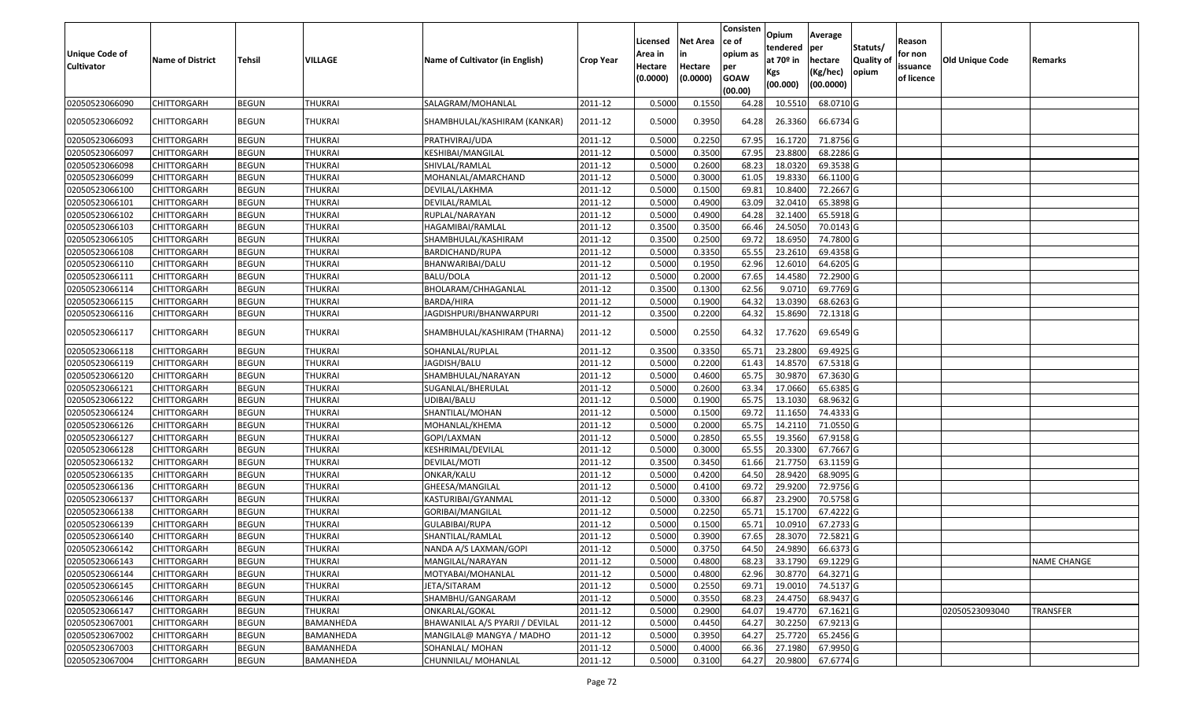| Unique Code of<br><b>Cultivator</b> | <b>Name of District</b> | <b>Tehsil</b> | VILLAGE        | Name of Cultivator (in English) | <b>Crop Year</b> | Licensed<br>Area in<br>Hectare<br>(0.0000) | <b>Net Area</b><br>in<br>Hectare<br>(0.0000) | Consisten<br>ce of<br>opium as<br>per<br><b>GOAW</b><br>(00.00) | Opium<br>tendered<br>at $70°$ in<br>Kgs<br>(00.000) | Average<br>per<br>hectare<br>(Kg/hec)<br>(00.0000) | Statuts/<br>Quality of<br>opium | Reason<br>for non<br>issuance<br>of licence | <b>Old Unique Code</b> | Remarks            |
|-------------------------------------|-------------------------|---------------|----------------|---------------------------------|------------------|--------------------------------------------|----------------------------------------------|-----------------------------------------------------------------|-----------------------------------------------------|----------------------------------------------------|---------------------------------|---------------------------------------------|------------------------|--------------------|
| 02050523066090                      | CHITTORGARH             | <b>BEGUN</b>  | THUKRAI        | SALAGRAM/MOHANLAL               | 2011-12          | 0.5000                                     | 0.155                                        | 64.28                                                           | 10.551                                              | 68.0710 G                                          |                                 |                                             |                        |                    |
| 02050523066092                      | CHITTORGARH             | <b>BEGUN</b>  | THUKRAI        | SHAMBHULAL/KASHIRAM (KANKAR)    | 2011-12          | 0.5000                                     | 0.3950                                       | 64.28                                                           | 26.3360                                             | 66.6734 G                                          |                                 |                                             |                        |                    |
| 02050523066093                      | <b>CHITTORGARH</b>      | <b>BEGUN</b>  | <b>THUKRAI</b> | PRATHVIRAJ/UDA                  | 2011-12          | 0.5000                                     | 0.2250                                       | 67.95                                                           | 16.1720                                             | 71.8756 G                                          |                                 |                                             |                        |                    |
| 02050523066097                      | CHITTORGARH             | <b>BEGUN</b>  | <b>THUKRAI</b> | KESHIBAI/MANGILAL               | 2011-12          | 0.5000                                     | 0.3500                                       | 67.95                                                           | 23.8800                                             | 68.2286 G                                          |                                 |                                             |                        |                    |
| 02050523066098                      | CHITTORGARH             | <b>BEGUN</b>  | <b>THUKRAI</b> | SHIVLAL/RAMLAL                  | 2011-12          | 0.5000                                     | 0.2600                                       | 68.23                                                           | 18.0320                                             | 69.3538 G                                          |                                 |                                             |                        |                    |
| 02050523066099                      | CHITTORGARH             | <b>BEGUN</b>  | <b>THUKRAI</b> | MOHANLAL/AMARCHAND              | 2011-12          | 0.5000                                     | 0.3000                                       | 61.05                                                           | 19.8330                                             | 66.1100 G                                          |                                 |                                             |                        |                    |
| 02050523066100                      | CHITTORGARH             | <b>BEGUN</b>  | <b>THUKRAI</b> | DEVILAL/LAKHMA                  | 2011-12          | 0.5000                                     | 0.1500                                       | 69.81                                                           | 10.8400                                             | 72.2667 G                                          |                                 |                                             |                        |                    |
| 02050523066101                      | CHITTORGARH             | <b>BEGUN</b>  | <b>THUKRAI</b> | DEVILAL/RAMLAL                  | 2011-12          | 0.5000                                     | 0.4900                                       | 63.09                                                           | 32.041                                              | 65.3898 G                                          |                                 |                                             |                        |                    |
| 02050523066102                      | CHITTORGARH             | <b>BEGUN</b>  | <b>THUKRAI</b> | RUPLAL/NARAYAN                  | 2011-12          | 0.5000                                     | 0.4900                                       | 64.28                                                           | 32.1400                                             | 65.5918 G                                          |                                 |                                             |                        |                    |
| 02050523066103                      | CHITTORGARH             | <b>BEGUN</b>  | <b>THUKRAI</b> | HAGAMIBAI/RAMLAL                | 2011-12          | 0.3500                                     | 0.3500                                       | 66.46                                                           | 24.5050                                             | 70.0143 G                                          |                                 |                                             |                        |                    |
| 02050523066105                      | CHITTORGARH             | <b>BEGUN</b>  | <b>THUKRAI</b> | SHAMBHULAL/KASHIRAM             | 2011-12          | 0.3500                                     | 0.2500                                       | 69.72                                                           | 18.695                                              | 74.7800 G                                          |                                 |                                             |                        |                    |
| 02050523066108                      | CHITTORGARH             | <b>BEGUN</b>  | <b>THUKRAI</b> | BARDICHAND/RUPA                 | 2011-12          | 0.5000                                     | 0.3350                                       | 65.55                                                           | 23.2610                                             | 69.4358 G                                          |                                 |                                             |                        |                    |
| 02050523066110                      | CHITTORGARH             | <b>BEGUN</b>  | <b>THUKRAI</b> | BHANWARIBAI/DALU                | 2011-12          | 0.5000                                     | 0.1950                                       | 62.96                                                           | 12.6010                                             | 64.6205 G                                          |                                 |                                             |                        |                    |
| 02050523066111                      | CHITTORGARH             | <b>BEGUN</b>  | <b>THUKRAI</b> | BALU/DOLA                       | 2011-12          | 0.5000                                     | 0.2000                                       | 67.65                                                           | 14.4580                                             | 72.2900 G                                          |                                 |                                             |                        |                    |
| 02050523066114                      | <b>CHITTORGARH</b>      | <b>BEGUN</b>  | <b>THUKRAI</b> | BHOLARAM/CHHAGANLAL             | 2011-12          | 0.3500                                     | 0.1300                                       | 62.56                                                           | 9.0710                                              | 69.7769 G                                          |                                 |                                             |                        |                    |
| 02050523066115                      | <b>CHITTORGARH</b>      | <b>BEGUN</b>  | <b>THUKRAI</b> | <b>BARDA/HIRA</b>               | 2011-12          | 0.5000                                     | 0.1900                                       | 64.32                                                           | 13.0390                                             | 68.6263 G                                          |                                 |                                             |                        |                    |
| 02050523066116                      | CHITTORGARH             | <b>BEGUN</b>  | <b>THUKRAI</b> | JAGDISHPURI/BHANWARPURI         | 2011-12          | 0.3500                                     | 0.2200                                       | 64.32                                                           | 15.8690                                             | 72.1318 G                                          |                                 |                                             |                        |                    |
| 02050523066117                      | CHITTORGARH             | <b>BEGUN</b>  | THUKRAI        | SHAMBHULAL/KASHIRAM (THARNA)    | 2011-12          | 0.5000                                     | 0.2550                                       | 64.32                                                           | 17.7620                                             | 69.6549 G                                          |                                 |                                             |                        |                    |
| 02050523066118                      | CHITTORGARH             | <b>BEGUN</b>  | <b>THUKRAI</b> | SOHANLAL/RUPLAL                 | 2011-12          | 0.3500                                     | 0.3350                                       | 65.71                                                           | 23.2800                                             | 69.4925 G                                          |                                 |                                             |                        |                    |
| 02050523066119                      | CHITTORGARH             | <b>BEGUN</b>  | <b>THUKRAI</b> | JAGDISH/BALU                    | 2011-12          | 0.5000                                     | 0.2200                                       | 61.43                                                           | 14.8570                                             | 67.5318 G                                          |                                 |                                             |                        |                    |
| 02050523066120                      | CHITTORGARH             | <b>BEGUN</b>  | <b>THUKRAI</b> | SHAMBHULAL/NARAYAN              | 2011-12          | 0.5000                                     | 0.4600                                       | 65.75                                                           | 30.9870                                             | 67.3630 G                                          |                                 |                                             |                        |                    |
| 02050523066121                      | CHITTORGARH             | <b>BEGUN</b>  | <b>THUKRAI</b> | SUGANLAL/BHERULAL               | 2011-12          | 0.5000                                     | 0.2600                                       | 63.34                                                           | 17.0660                                             | 65.6385 G                                          |                                 |                                             |                        |                    |
| 02050523066122                      | CHITTORGARH             | <b>BEGUN</b>  | <b>THUKRAI</b> | UDIBAI/BALU                     | 2011-12          | 0.5000                                     | 0.1900                                       | 65.75                                                           | 13.1030                                             | 68.9632 G                                          |                                 |                                             |                        |                    |
| 02050523066124                      | CHITTORGARH             | <b>BEGUN</b>  | <b>THUKRAI</b> | SHANTILAL/MOHAN                 | 2011-12          | 0.5000                                     | 0.1500                                       | 69.72                                                           | 11.1650                                             | 74.4333 G                                          |                                 |                                             |                        |                    |
| 02050523066126                      | CHITTORGARH             | <b>BEGUN</b>  | <b>THUKRAI</b> | MOHANLAL/KHEMA                  | 2011-12          | 0.5000                                     | 0.2000                                       | 65.75                                                           | 14.2110                                             | 71.0550 G                                          |                                 |                                             |                        |                    |
| 02050523066127                      | CHITTORGARH             | <b>BEGUN</b>  | <b>THUKRAI</b> | GOPI/LAXMAN                     | 2011-12          | 0.5000                                     | 0.2850                                       | 65.55                                                           | 19.3560                                             | 67.9158 G                                          |                                 |                                             |                        |                    |
| 02050523066128                      | CHITTORGARH             | <b>BEGUN</b>  | <b>THUKRAI</b> | KESHRIMAL/DEVILAL               | 2011-12          | 0.5000                                     | 0.3000                                       | 65.55                                                           | 20.3300                                             | 67.7667 G                                          |                                 |                                             |                        |                    |
| 02050523066132                      | CHITTORGARH             | <b>BEGUN</b>  | <b>THUKRAI</b> | DEVILAL/MOTI                    | 2011-12          | 0.3500                                     | 0.3450                                       | 61.66                                                           | 21.7750                                             | 63.1159 G                                          |                                 |                                             |                        |                    |
| 02050523066135                      | CHITTORGARH             | <b>BEGUN</b>  | <b>THUKRAI</b> | ONKAR/KALU                      | 2011-12          | 0.5000                                     | 0.4200                                       | 64.50                                                           | 28.9420                                             | 68.9095 G                                          |                                 |                                             |                        |                    |
| 02050523066136                      | CHITTORGARH             | <b>BEGUN</b>  | <b>THUKRAI</b> | GHEESA/MANGILAL                 | 2011-12          | 0.5000                                     | 0.4100                                       | 69.72                                                           | 29.9200                                             | 72.9756 G                                          |                                 |                                             |                        |                    |
| 02050523066137                      | CHITTORGARH             | <b>BEGUN</b>  | <b>THUKRAI</b> | KASTURIBAI/GYANMAL              | 2011-12          | 0.5000                                     | 0.3300                                       | 66.87                                                           | 23.2900                                             | 70.5758 G                                          |                                 |                                             |                        |                    |
| 02050523066138                      | CHITTORGARH             | <b>BEGUN</b>  | <b>THUKRAI</b> | GORIBAI/MANGILAL                | 2011-12          | 0.5000                                     | 0.2250                                       | 65.7                                                            | 15.1700                                             | 67.4222 G                                          |                                 |                                             |                        |                    |
| 02050523066139                      | CHITTORGARH             | <b>BEGUN</b>  | <b>THUKRAI</b> | GULABIBAI/RUPA                  | 2011-12          | 0.500                                      | 0.1500                                       | 65.7                                                            | 10.091                                              | 67.2733 G                                          |                                 |                                             |                        |                    |
| 02050523066140                      | CHITTORGARH             | <b>BEGUN</b>  | <b>THUKRAI</b> | SHANTILAL/RAMLAL                | 2011-12          | 0.5000                                     | 0.3900                                       | 67.65                                                           | 28.3070                                             | 72.5821G                                           |                                 |                                             |                        |                    |
| 02050523066142                      | <b>CHITTORGARH</b>      | <b>BEGUN</b>  | <b>THUKRAI</b> | NANDA A/S LAXMAN/GOPI           | 2011-12          | 0.5000                                     | 0.3750                                       | 64.50                                                           | 24.9890                                             | 66.6373 G                                          |                                 |                                             |                        |                    |
| 02050523066143                      | <b>CHITTORGARH</b>      | <b>BEGUN</b>  | THUKRAI        | MANGILAL/NARAYAN                | 2011-12          | 0.5000                                     | 0.4800                                       | 68.23                                                           | 33.1790                                             | 69.1229 G                                          |                                 |                                             |                        | <b>NAME CHANGE</b> |
| 02050523066144                      | <b>CHITTORGARH</b>      | <b>BEGUN</b>  | <b>THUKRAI</b> | MOTYABAI/MOHANLAL               | 2011-12          | 0.5000                                     | 0.4800                                       | 62.96                                                           | 30.8770                                             | 64.3271 G                                          |                                 |                                             |                        |                    |
| 02050523066145                      | <b>CHITTORGARH</b>      | <b>BEGUN</b>  | <b>THUKRAI</b> | JETA/SITARAM                    | 2011-12          | 0.5000                                     | 0.2550                                       | 69.71                                                           | 19.0010                                             | 74.5137 G                                          |                                 |                                             |                        |                    |
| 02050523066146                      | CHITTORGARH             | <b>BEGUN</b>  | <b>THUKRAI</b> | SHAMBHU/GANGARAM                | 2011-12          | 0.5000                                     | 0.3550                                       | 68.23                                                           | 24.4750                                             | 68.9437 G                                          |                                 |                                             |                        |                    |
| 02050523066147                      | <b>CHITTORGARH</b>      | <b>BEGUN</b>  | <b>THUKRAI</b> | ONKARLAL/GOKAL                  | 2011-12          | 0.5000                                     | 0.2900                                       | 64.07                                                           | 19.4770                                             | 67.1621 G                                          |                                 |                                             | 02050523093040         | <b>TRANSFER</b>    |
| 02050523067001                      | <b>CHITTORGARH</b>      | <b>BEGUN</b>  | BAMANHEDA      | BHAWANILAL A/S PYARJI / DEVILAL | 2011-12          | 0.5000                                     | 0.4450                                       | 64.27                                                           | 30.2250                                             | 67.9213 G                                          |                                 |                                             |                        |                    |
| 02050523067002                      | <b>CHITTORGARH</b>      | <b>BEGUN</b>  | BAMANHEDA      | MANGILAL@ MANGYA / MADHO        | 2011-12          | 0.5000                                     | 0.3950                                       | 64.27                                                           | 25.7720                                             | 65.2456 G                                          |                                 |                                             |                        |                    |
| 02050523067003                      | <b>CHITTORGARH</b>      | <b>BEGUN</b>  | BAMANHEDA      | SOHANLAL/ MOHAN                 | 2011-12          | 0.5000                                     | 0.4000                                       | 66.36                                                           | 27.1980                                             | 67.9950 G                                          |                                 |                                             |                        |                    |
| 02050523067004                      | <b>CHITTORGARH</b>      | <b>BEGUN</b>  | BAMANHEDA      | CHUNNILAL/ MOHANLAL             | 2011-12          | 0.5000                                     | 0.3100                                       | 64.27                                                           | 20.9800                                             | 67.6774 G                                          |                                 |                                             |                        |                    |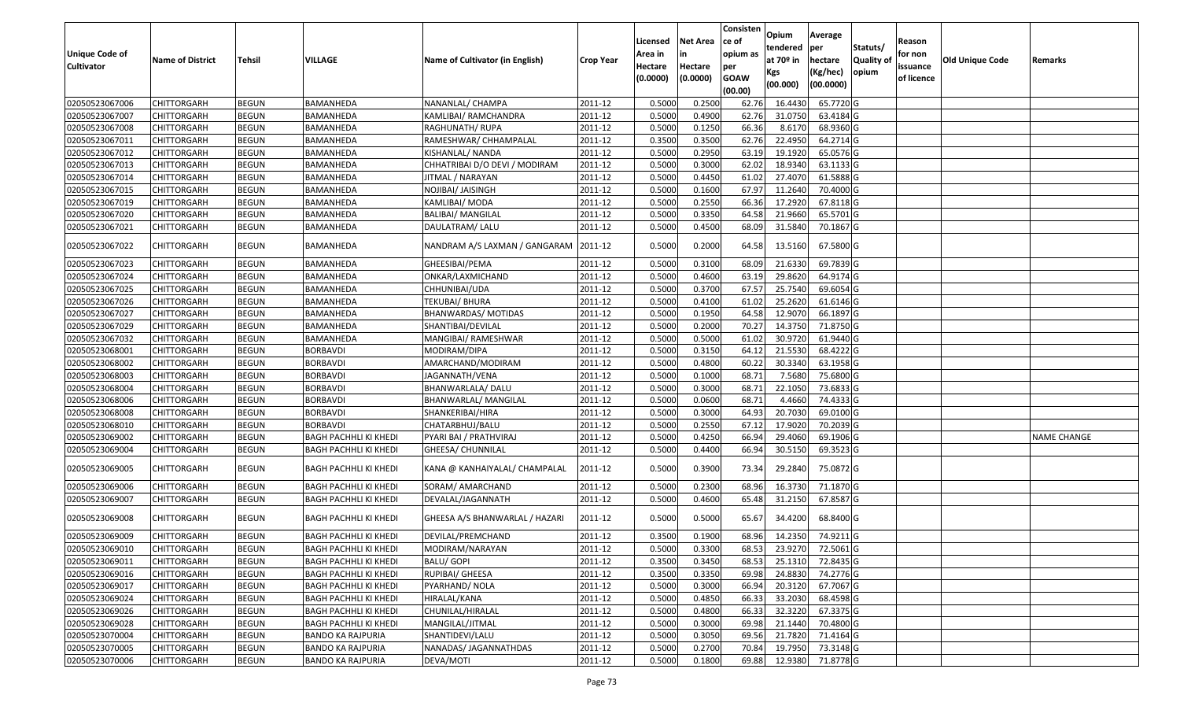| <b>Unique Code of</b><br><b>Cultivator</b> | <b>Name of District</b> | <b>Tehsil</b> | VILLAGE                      | Name of Cultivator (in English) | <b>Crop Year</b> | Licensed<br>Area in<br>Hectare | <b>Net Area</b><br>in<br>Hectare | Consisten<br>ce of<br>opium as<br>per | Opium<br>tendered<br>at $70°$ in | Average<br>per<br>hectare | Statuts/<br>Quality of | Reason<br>for non<br>issuance | <b>Old Unique Code</b> | Remarks            |
|--------------------------------------------|-------------------------|---------------|------------------------------|---------------------------------|------------------|--------------------------------|----------------------------------|---------------------------------------|----------------------------------|---------------------------|------------------------|-------------------------------|------------------------|--------------------|
|                                            |                         |               |                              |                                 |                  | (0.0000)                       | (0.0000)                         | <b>GOAW</b><br>(00.00)                | Kgs<br>(00.000)                  | (Kg/hec)<br>(00.0000)     | opium                  | of licence                    |                        |                    |
| 02050523067006                             | <b>CHITTORGARH</b>      | <b>BEGUN</b>  | BAMANHEDA                    | NANANLAL/ CHAMPA                | 2011-12          | 0.5000                         | 0.2500                           | 62.76                                 | 16.443                           | 65.7720 G                 |                        |                               |                        |                    |
| 02050523067007                             | CHITTORGARH             | <b>BEGUN</b>  | BAMANHEDA                    | KAMLIBAI/ RAMCHANDRA            | 2011-12          | 0.5000                         | 0.4900                           | 62.76                                 | 31.075                           | 63.4184 G                 |                        |                               |                        |                    |
| 02050523067008                             | CHITTORGARH             | <b>BEGUN</b>  | BAMANHEDA                    | RAGHUNATH/ RUPA                 | 2011-12          | 0.5000                         | 0.1250                           | 66.36                                 | 8.6170                           | 68.9360 G                 |                        |                               |                        |                    |
| 02050523067011                             | <b>CHITTORGARH</b>      | <b>BEGUN</b>  | BAMANHEDA                    | RAMESHWAR/ CHHAMPALAL           | 2011-12          | 0.3500                         | 0.3500                           | 62.76                                 | 22.4950                          | 64.2714 G                 |                        |                               |                        |                    |
| 02050523067012                             | <b>CHITTORGARH</b>      | <b>BEGUN</b>  | BAMANHEDA                    | KISHANLAL/ NANDA                | 2011-12          | 0.5000                         | 0.2950                           | 63.19                                 | 19.1920                          | 65.0576 G                 |                        |                               |                        |                    |
| 02050523067013                             | <b>CHITTORGARH</b>      | <b>BEGUN</b>  | BAMANHEDA                    | CHHATRIBAI D/O DEVI / MODIRAM   | 2011-12          | 0.5000                         | 0.3000                           | 62.02                                 | 18.9340                          | 63.1133 G                 |                        |                               |                        |                    |
| 02050523067014                             | <b>CHITTORGARH</b>      | <b>BEGUN</b>  | BAMANHEDA                    | JITMAL / NARAYAN                | 2011-12          | 0.5000                         | 0.4450                           | 61.02                                 | 27.4070                          | 61.5888G                  |                        |                               |                        |                    |
| 02050523067015                             | <b>CHITTORGARH</b>      | <b>BEGUN</b>  | BAMANHEDA                    | NOJIBAI/ JAISINGH               | 2011-12          | 0.5000                         | 0.1600                           | 67.97                                 | 11.2640                          | 70.4000 G                 |                        |                               |                        |                    |
| 02050523067019                             | <b>CHITTORGARH</b>      | <b>BEGUN</b>  | BAMANHEDA                    | KAMLIBAI/ MODA                  | 2011-12          | 0.5000                         | 0.2550                           | 66.36                                 | 17.2920                          | 67.8118 G                 |                        |                               |                        |                    |
| 02050523067020                             | CHITTORGARH             | <b>BEGUN</b>  | BAMANHEDA                    | <b>BALIBAI/ MANGILAL</b>        | 2011-12          | 0.5000                         | 0.3350                           | 64.58                                 | 21.9660                          | 65.5701 G                 |                        |                               |                        |                    |
| 02050523067021                             | <b>CHITTORGARH</b>      | <b>BEGUN</b>  | BAMANHEDA                    | DAULATRAM/ LALU                 | 2011-12          | 0.5000                         | 0.4500                           | 68.09                                 | 31.5840                          | 70.1867 G                 |                        |                               |                        |                    |
| 02050523067022                             | CHITTORGARH             | <b>BEGUN</b>  | BAMANHEDA                    | NANDRAM A/S LAXMAN / GANGARAM   | 2011-12          | 0.5000                         | 0.2000                           | 64.58                                 | 13.5160                          | 67.5800 G                 |                        |                               |                        |                    |
| 02050523067023                             | CHITTORGARH             | <b>BEGUN</b>  | BAMANHEDA                    | GHEESIBAI/PEMA                  | 2011-12          | 0.500                          | 0.3100                           | 68.09                                 | 21.633                           | 69.7839 G                 |                        |                               |                        |                    |
| 02050523067024                             | CHITTORGARH             | <b>BEGUN</b>  | BAMANHEDA                    | ONKAR/LAXMICHAND                | 2011-12          | 0.5000                         | 0.4600                           | 63.19                                 | 29.8620                          | 64.9174 G                 |                        |                               |                        |                    |
| 02050523067025                             | <b>CHITTORGARH</b>      | <b>BEGUN</b>  | BAMANHEDA                    | CHHUNIBAI/UDA                   | 2011-12          | 0.5000                         | 0.3700                           | 67.57                                 | 25.7540                          | 69.6054G                  |                        |                               |                        |                    |
| 02050523067026                             | CHITTORGARH             | <b>BEGUN</b>  | BAMANHEDA                    | <b>TEKUBAI/ BHURA</b>           | 2011-12          | 0.5000                         | 0.4100                           | 61.02                                 | 25.2620                          | 61.6146 G                 |                        |                               |                        |                    |
| 02050523067027                             | CHITTORGARH             | <b>BEGUN</b>  | BAMANHEDA                    | BHANWARDAS/ MOTIDAS             | 2011-12          | 0.5000                         | 0.1950                           | 64.58                                 | 12.9070                          | 66.1897 G                 |                        |                               |                        |                    |
| 02050523067029                             | CHITTORGARH             | <b>BEGUN</b>  | BAMANHEDA                    | SHANTIBAI/DEVILAL               | 2011-12          | 0.5000                         | 0.2000                           | 70.27                                 | 14.3750                          | 71.8750G                  |                        |                               |                        |                    |
| 02050523067032                             | CHITTORGARH             | <b>BEGUN</b>  | BAMANHEDA                    | MANGIBAI/ RAMESHWAR             | 2011-12          | 0.5000                         | 0.5000                           | 61.02                                 | 30.9720                          | 61.9440 G                 |                        |                               |                        |                    |
| 02050523068001                             | CHITTORGARH             | <b>BEGUN</b>  | <b>BORBAVDI</b>              | MODIRAM/DIPA                    | 2011-12          | 0.5000                         | 0.3150                           | 64.12                                 | 21.5530                          | 68.4222 G                 |                        |                               |                        |                    |
| 02050523068002                             | CHITTORGARH             | <b>BEGUN</b>  | <b>BORBAVDI</b>              | AMARCHAND/MODIRAM               | 2011-12          | 0.5000                         | 0.4800                           | 60.22                                 | 30.3340                          | 63.1958 G                 |                        |                               |                        |                    |
| 02050523068003                             | CHITTORGARH             | <b>BEGUN</b>  | <b>BORBAVDI</b>              | JAGANNATH/VENA                  | 2011-12          | 0.5000                         | 0.1000                           | 68.7                                  | 7.5680                           | 75.6800 G                 |                        |                               |                        |                    |
| 02050523068004                             | CHITTORGARH             | <b>BEGUN</b>  | <b>BORBAVDI</b>              | BHANWARLALA/ DALU               | 2011-12          | 0.5000                         | 0.3000                           | 68.7                                  | 22.1050                          | 73.6833 G                 |                        |                               |                        |                    |
| 02050523068006                             | CHITTORGARH             | <b>BEGUN</b>  | <b>BORBAVDI</b>              | BHANWARLAL/ MANGILAL            | 2011-12          | 0.5000                         | 0.0600                           | 68.7                                  | 4.4660                           | 74.4333 G                 |                        |                               |                        |                    |
| 02050523068008                             | CHITTORGARH             | <b>BEGUN</b>  | <b>BORBAVDI</b>              | SHANKERIBAI/HIRA                | 2011-12          | 0.5000                         | 0.3000                           | 64.93                                 | 20.7030                          | 69.0100G                  |                        |                               |                        |                    |
| 02050523068010                             | CHITTORGARH             | <b>BEGUN</b>  | <b>BORBAVDI</b>              | CHATARBHUJ/BALU                 | 2011-12          | 0.5000                         | 0.2550                           | 67.12                                 | 17.9020                          | 70.2039 G                 |                        |                               |                        |                    |
| 02050523069002                             | CHITTORGARH             | <b>BEGUN</b>  | <b>BAGH PACHHLI KI KHEDI</b> | PYARI BAI / PRATHVIRAJ          | 2011-12          | 0.5000                         | 0.4250                           | 66.94                                 | 29.4060                          | 69.1906 G                 |                        |                               |                        | <b>NAME CHANGE</b> |
| 02050523069004                             | CHITTORGARH             | <b>BEGUN</b>  | BAGH PACHHLI KI KHEDI        | GHEESA/ CHUNNILAL               | 2011-12          | 0.5000                         | 0.4400                           | 66.94                                 | 30.5150                          | 69.3523 G                 |                        |                               |                        |                    |
| 02050523069005                             | CHITTORGARH             | <b>BEGUN</b>  | <b>BAGH PACHHLI KI KHEDI</b> | KANA @ KANHAIYALAL/ CHAMPALAL   | 2011-12          | 0.5000                         | 0.3900                           | 73.34                                 | 29.2840                          | 75.0872G                  |                        |                               |                        |                    |
| 02050523069006                             | CHITTORGARH             | <b>BEGUN</b>  | BAGH PACHHLI KI KHEDI        | SORAM/ AMARCHAND                | 2011-12          | 0.500                          | 0.2300                           | 68.96                                 | 16.3730                          | 71.1870 G                 |                        |                               |                        |                    |
| 02050523069007                             | CHITTORGARH             | <b>BEGUN</b>  | BAGH PACHHLI KI KHEDI        | DEVALAL/JAGANNATH               | 2011-12          | 0.500                          | 0.4600                           | 65.48                                 | 31.2150                          | 67.8587 G                 |                        |                               |                        |                    |
| 02050523069008                             | CHITTORGARH             | <b>BEGUN</b>  | <b>BAGH PACHHLI KI KHEDI</b> | GHEESA A/S BHANWARLAL / HAZARI  | 2011-12          | 0.5000                         | 0.5000                           | 65.67                                 | 34.4200                          | 68.8400 G                 |                        |                               |                        |                    |
| 02050523069009                             | <b>CHITTORGARH</b>      | <b>BEGUN</b>  | BAGH PACHHLI KI KHEDI        | DEVILAL/PREMCHAND               | 2011-12          | 0.350                          | 0.1900                           | 68.96                                 | 14.2350                          | 74.9211 G                 |                        |                               |                        |                    |
| 02050523069010                             | <b>CHITTORGARH</b>      | <b>BEGUN</b>  | <b>BAGH PACHHLI KI KHEDI</b> | MODIRAM/NARAYAN                 | 2011-12          | 0.5000                         | 0.3300                           | 68.53                                 | 23.9270                          | 72.5061 G                 |                        |                               |                        |                    |
| 02050523069011                             | <b>CHITTORGARH</b>      | <b>BEGUN</b>  | <b>BAGH PACHHLI KI KHEDI</b> | BALU/ GOPI                      | 2011-12          | 0.3500                         | 0.3450                           | 68.53                                 | 25.1310                          | 72.8435 G                 |                        |                               |                        |                    |
| 02050523069016                             | <b>CHITTORGARH</b>      | <b>BEGUN</b>  | BAGH PACHHLI KI KHEDI        | RUPIBAI/ GHEESA                 | 2011-12          | 0.3500                         | 0.3350                           | 69.98                                 | 24.8830                          | 74.2776 G                 |                        |                               |                        |                    |
| 02050523069017                             | <b>CHITTORGARH</b>      | <b>BEGUN</b>  | <b>BAGH PACHHLI KI KHEDI</b> | PYARHAND/ NOLA                  | 2011-12          | 0.5000                         | 0.3000                           | 66.94                                 | 20.3120                          | 67.7067 G                 |                        |                               |                        |                    |
| 02050523069024                             | CHITTORGARH             | <b>BEGUN</b>  | <b>BAGH PACHHLI KI KHEDI</b> | HIRALAL/KANA                    | 2011-12          | 0.5000                         | 0.4850                           | 66.33                                 | 33.2030                          | 68.4598 G                 |                        |                               |                        |                    |
| 02050523069026                             | <b>CHITTORGARH</b>      | <b>BEGUN</b>  | <b>BAGH PACHHLI KI KHEDI</b> | CHUNILAL/HIRALAL                | 2011-12          | 0.5000                         | 0.4800                           | 66.33                                 | 32.3220                          | 67.3375 G                 |                        |                               |                        |                    |
| 02050523069028                             | <b>CHITTORGARH</b>      | <b>BEGUN</b>  | <b>BAGH PACHHLI KI KHEDI</b> | MANGILAL/JITMAL                 | 2011-12          | 0.5000                         | 0.3000                           | 69.98                                 | 21.1440                          | 70.4800 G                 |                        |                               |                        |                    |
| 02050523070004                             | <b>CHITTORGARH</b>      | <b>BEGUN</b>  | <b>BANDO KA RAJPURIA</b>     | SHANTIDEVI/LALU                 | 2011-12          | 0.5000                         | 0.3050                           | 69.56                                 | 21.7820                          | 71.4164 G                 |                        |                               |                        |                    |
| 02050523070005                             | CHITTORGARH             | <b>BEGUN</b>  | <b>BANDO KA RAJPURIA</b>     | NANADAS/ JAGANNATHDAS           | 2011-12          | 0.5000                         | 0.2700                           | 70.84                                 | 19.7950                          | 73.3148 G                 |                        |                               |                        |                    |
| 02050523070006                             | <b>CHITTORGARH</b>      | <b>BEGUN</b>  | <b>BANDO KA RAJPURIA</b>     | DEVA/MOTI                       | 2011-12          | 0.5000                         | 0.1800                           | 69.88                                 | 12.9380                          | 71.8778 G                 |                        |                               |                        |                    |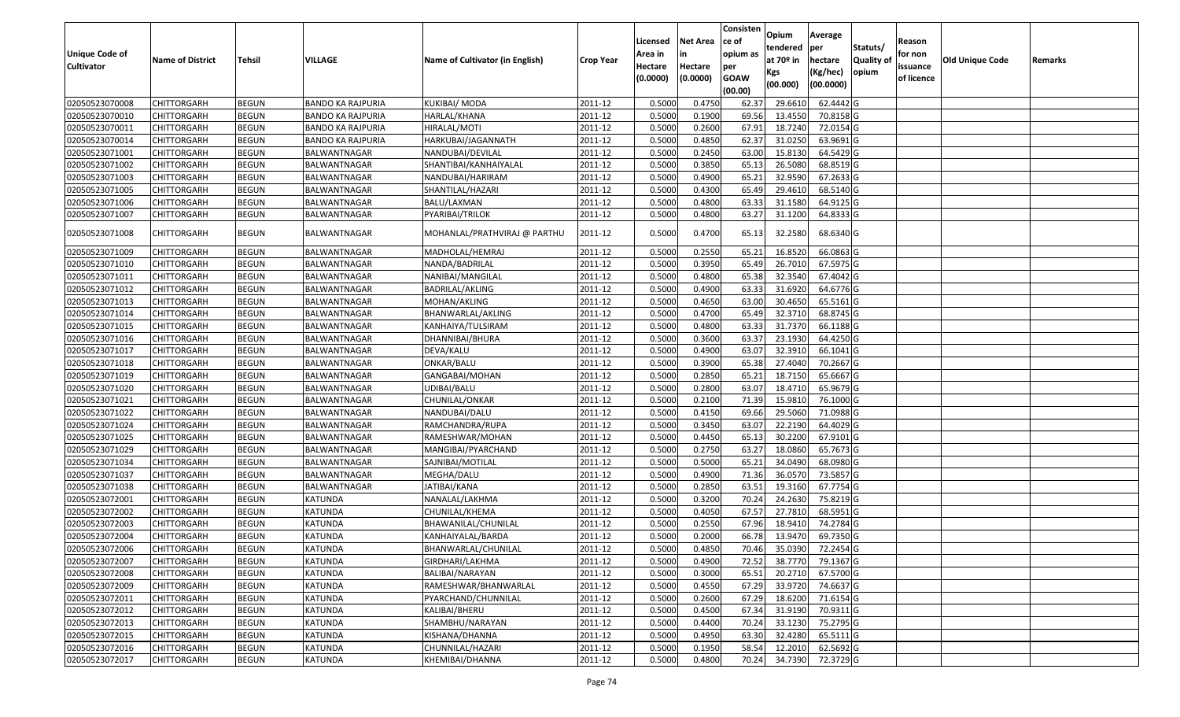|                       |                         |               |                          |                                 |                  | Licensed | <b>Net Area</b> | Consisten<br>ce of | Opium         | Average   |                  |                   |                        |         |
|-----------------------|-------------------------|---------------|--------------------------|---------------------------------|------------------|----------|-----------------|--------------------|---------------|-----------|------------------|-------------------|------------------------|---------|
| <b>Unique Code of</b> |                         |               |                          |                                 |                  | Area in  |                 | opium as           | tendered      | per       | Statuts/         | Reason<br>for non |                        |         |
| <b>Cultivator</b>     | <b>Name of District</b> | <b>Tehsil</b> | VILLAGE                  | Name of Cultivator (in English) | <b>Crop Year</b> | Hectare  | Hectare         | per                | at $70°$ in   | hectare   | <b>Quality o</b> | issuance          | <b>Old Unique Code</b> | Remarks |
|                       |                         |               |                          |                                 |                  | (0.0000) | (0.0000)        | <b>GOAW</b>        | Kgs           | (Kg/hec)  | opium            | of licence        |                        |         |
|                       |                         |               |                          |                                 |                  |          |                 | (00.00)            | (00.000)      | (00.0000) |                  |                   |                        |         |
| 02050523070008        | CHITTORGARH             | <b>BEGUN</b>  | <b>BANDO KA RAJPURIA</b> | <b>KUKIBAI/ MODA</b>            | 2011-12          | 0.5000   | 0.4750          | 62.37              | 29.661        | 62.4442 G |                  |                   |                        |         |
| 02050523070010        | CHITTORGARH             | <b>BEGUN</b>  | <b>BANDO KA RAJPURIA</b> | HARLAL/KHANA                    | 2011-12          | 0.5000   | 0.1900          | 69.56              | 13.4550       | 70.8158 G |                  |                   |                        |         |
| 02050523070011        | CHITTORGARH             | <b>BEGUN</b>  | <b>BANDO KA RAJPURIA</b> | HIRALAL/MOTI                    | 2011-12          | 0.5000   | 0.2600          | 67.91              | 18.7240       | 72.0154 G |                  |                   |                        |         |
| 02050523070014        | CHITTORGARH             | <b>BEGUN</b>  | <b>BANDO KA RAJPURIA</b> | HARKUBAI/JAGANNATH              | 2011-12          | 0.5000   | 0.4850          | 62.37              | 31.0250       | 63.9691G  |                  |                   |                        |         |
| 02050523071001        | CHITTORGARH             | <b>BEGUN</b>  | BALWANTNAGAR             | NANDUBAI/DEVILAL                | 2011-12          | 0.5000   | 0.2450          | 63.00              | 15.8130       | 64.5429 G |                  |                   |                        |         |
| 02050523071002        | CHITTORGARH             | <b>BEGUN</b>  | BALWANTNAGAR             | SHANTIBAI/KANHAIYALAL           | 2011-12          | 0.5000   | 0.3850          | 65.13              | 26.5080       | 68.8519 G |                  |                   |                        |         |
| 02050523071003        | CHITTORGARH             | <b>BEGUN</b>  | BALWANTNAGAR             | NANDUBAI/HARIRAM                | 2011-12          | 0.5000   | 0.4900          | 65.2               | 32.9590       | 67.2633 G |                  |                   |                        |         |
| 02050523071005        | CHITTORGARH             | <b>BEGUN</b>  | BALWANTNAGAR             | SHANTILAL/HAZARI                | 2011-12          | 0.5000   | 0.4300          | 65.49              | 29.4610       | 68.5140 G |                  |                   |                        |         |
| 02050523071006        | CHITTORGARH             | <b>BEGUN</b>  | BALWANTNAGAR             | BALU/LAXMAN                     | 2011-12          | 0.5000   | 0.4800          | 63.33              | 31.1580       | 64.9125 G |                  |                   |                        |         |
| 02050523071007        | CHITTORGARH             | <b>BEGUN</b>  | BALWANTNAGAR             | PYARIBAI/TRILOK                 | 2011-12          | 0.5000   | 0.4800          | 63.27              | 31.1200       | 64.8333 G |                  |                   |                        |         |
|                       |                         |               |                          |                                 |                  |          |                 |                    |               |           |                  |                   |                        |         |
| 02050523071008        | CHITTORGARH             | <b>BEGUN</b>  | BALWANTNAGAR             | MOHANLAL/PRATHVIRAJ @ PARTHU    | 2011-12          | 0.5000   | 0.4700          | 65.13              | 32.2580       | 68.6340 G |                  |                   |                        |         |
| 02050523071009        | <b>CHITTORGARH</b>      | <b>BEGUN</b>  | BALWANTNAGAR             | MADHOLAL/HEMRAJ                 | 2011-12          | 0.5000   | 0.2550          | 65.21              | 16.8520       | 66.0863 G |                  |                   |                        |         |
| 02050523071010        | <b>CHITTORGARH</b>      | <b>BEGUN</b>  | BALWANTNAGAR             | NANDA/BADRILAL                  | 2011-12          | 0.5000   | 0.3950          | 65.49              | 26.7010       | 67.5975 G |                  |                   |                        |         |
| 02050523071011        | CHITTORGARH             | <b>BEGUN</b>  | BALWANTNAGAR             | NANIBAI/MANGILAL                | 2011-12          | 0.5000   | 0.4800          | 65.38              | 32.3540       | 67.4042 G |                  |                   |                        |         |
| 02050523071012        | CHITTORGARH             | <b>BEGUN</b>  | BALWANTNAGAR             | BADRILAL/AKLING                 | 2011-12          | 0.5000   | 0.4900          | 63.33              | 31.6920       | 64.6776 G |                  |                   |                        |         |
| 02050523071013        | CHITTORGARH             | <b>BEGUN</b>  | BALWANTNAGAR             | MOHAN/AKLING                    | 2011-12          | 0.5000   | 0.4650          | 63.00              | 30.465        | 65.5161G  |                  |                   |                        |         |
| 02050523071014        | CHITTORGARH             | <b>BEGUN</b>  | BALWANTNAGAR             | BHANWARLAL/AKLING               | 2011-12          | 0.5000   | 0.4700          | 65.49              | 32.3710       | 68.8745 G |                  |                   |                        |         |
| 02050523071015        | CHITTORGARH             | <b>BEGUN</b>  | BALWANTNAGAR             | KANHAIYA/TULSIRAM               | 2011-12          | 0.5000   | 0.4800          | 63.33              | 31.7370       | 66.1188 G |                  |                   |                        |         |
| 02050523071016        | CHITTORGARH             | <b>BEGUN</b>  | BALWANTNAGAR             | DHANNIBAI/BHURA                 | 2011-12          | 0.5000   | 0.3600          | 63.37              | 23.1930       | 64.4250 G |                  |                   |                        |         |
| 02050523071017        | CHITTORGARH             | <b>BEGUN</b>  | BALWANTNAGAR             | DEVA/KALU                       | 2011-12          | 0.5000   | 0.4900          | 63.07              | 32.3910       | 66.1041 G |                  |                   |                        |         |
| 02050523071018        | CHITTORGARH             | <b>BEGUN</b>  | BALWANTNAGAR             | ONKAR/BALU                      | 2011-12          | 0.5000   | 0.3900          | 65.38              | 27.4040       | 70.2667 G |                  |                   |                        |         |
| 02050523071019        | CHITTORGARH             | <b>BEGUN</b>  | BALWANTNAGAR             | GANGABAI/MOHAN                  | 2011-12          | 0.5000   | 0.2850          | 65.21              | 18.7150       | 65.6667 G |                  |                   |                        |         |
| 02050523071020        | CHITTORGARH             | <b>BEGUN</b>  | BALWANTNAGAR             | UDIBAI/BALU                     | 2011-12          | 0.5000   | 0.2800          | 63.07              | 18.4710       | 65.9679 G |                  |                   |                        |         |
| 02050523071021        | CHITTORGARH             | <b>BEGUN</b>  | <b>BALWANTNAGAR</b>      | CHUNILAL/ONKAR                  | 2011-12          | 0.5000   | 0.2100          | 71.39              | 15.981        | 76.1000G  |                  |                   |                        |         |
| 02050523071022        | CHITTORGARH             | <b>BEGUN</b>  | BALWANTNAGAR             | NANDUBAI/DALU                   | 2011-12          | 0.5000   | 0.4150          | 69.66              | 29.5060       | 71.0988 G |                  |                   |                        |         |
| 02050523071024        | CHITTORGARH             | <b>BEGUN</b>  | BALWANTNAGAR             | RAMCHANDRA/RUPA                 | 2011-12          | 0.5000   | 0.3450          | 63.07              | 22.2190       | 64.4029 G |                  |                   |                        |         |
| 02050523071025        | CHITTORGARH             | <b>BEGUN</b>  | BALWANTNAGAR             | RAMESHWAR/MOHAN                 | 2011-12          | 0.5000   | 0.4450          | 65.13              | 30.2200       | 67.9101 G |                  |                   |                        |         |
| 02050523071029        | <b>CHITTORGARH</b>      | <b>BEGUN</b>  | BALWANTNAGAR             | MANGIBAI/PYARCHAND              | 2011-12          | 0.5000   | 0.2750          | 63.27              | 18.0860       | 65.7673 G |                  |                   |                        |         |
| 02050523071034        | CHITTORGARH             | <b>BEGUN</b>  | BALWANTNAGAR             | SAJNIBAI/MOTILAL                | 2011-12          | 0.5000   | 0.5000          | 65.2               | 34.0490       | 68.0980 G |                  |                   |                        |         |
| 02050523071037        | CHITTORGARH             | <b>BEGUN</b>  | BALWANTNAGAR             | MEGHA/DALU                      | 2011-12          | 0.5000   | 0.4900          | 71.36              | 36.0570       | 73.5857 G |                  |                   |                        |         |
| 02050523071038        | CHITTORGARH             | <b>BEGUN</b>  | BALWANTNAGAR             | JATIBAI/KANA                    | 2011-12          | 0.5000   | 0.2850          | 63.5               | 19.3160       | 67.7754 G |                  |                   |                        |         |
| 02050523072001        | CHITTORGARH             | <b>BEGUN</b>  | KATUNDA                  | NANALAL/LAKHMA                  | 2011-12          | 0.5000   | 0.3200          | 70.24              | 24.2630       | 75.8219 G |                  |                   |                        |         |
| 02050523072002        | <b>CHITTORGARH</b>      | <b>BEGUN</b>  | KATUNDA                  | CHUNILAL/KHEMA                  | 2011-12          | 0.5000   | 0.4050          | 67.57              | 27.7810       | 68.5951 G |                  |                   |                        |         |
| 02050523072003        | CHITTORGARH             | <b>BEGUN</b>  | KATUNDA                  | BHAWANILAL/CHUNILAL             | 2011-12          | 0.500    | 0.2550          | 67.96              | 18.9410       | 74.2784 G |                  |                   |                        |         |
| 02050523072004        | CHITTORGARH             | <b>BEGUN</b>  | KATUNDA                  | KANHAIYALAL/BARDA               | 2011-12          | 0.5000   | 0.2000          | 66.78              | 13.9470       | 69.7350 G |                  |                   |                        |         |
| 02050523072006        | <b>CHITTORGARH</b>      | <b>BEGUN</b>  | <b>KATUNDA</b>           | BHANWARLAL/CHUNILAL             | 2011-12          | 0.5000   | 0.4850          |                    | 70.46 35.0390 | 72.2454 G |                  |                   |                        |         |
| 02050523072007        | <b>CHITTORGARH</b>      | <b>BEGUN</b>  | KATUNDA                  | GIRDHARI/LAKHMA                 | 2011-12          | 0.5000   | 0.4900          | 72.52              | 38.7770       | 79.1367 G |                  |                   |                        |         |
| 02050523072008        | <b>CHITTORGARH</b>      | <b>BEGUN</b>  | KATUNDA                  | BALIBAI/NARAYAN                 | 2011-12          | 0.5000   | 0.3000          | 65.51              | 20.2710       | 67.5700 G |                  |                   |                        |         |
| 02050523072009        | <b>CHITTORGARH</b>      | <b>BEGUN</b>  | <b>KATUNDA</b>           | RAMESHWAR/BHANWARLAL            | 2011-12          | 0.5000   | 0.4550          | 67.29              | 33.9720       | 74.6637 G |                  |                   |                        |         |
| 02050523072011        | CHITTORGARH             | <b>BEGUN</b>  | KATUNDA                  | PYARCHAND/CHUNNILAL             | 2011-12          | 0.5000   | 0.2600          | 67.29              | 18.6200       | 71.6154 G |                  |                   |                        |         |
| 02050523072012        | <b>CHITTORGARH</b>      | <b>BEGUN</b>  | <b>KATUNDA</b>           | KALIBAI/BHERU                   | 2011-12          | 0.5000   | 0.4500          | 67.34              | 31.9190       | 70.9311 G |                  |                   |                        |         |
| 02050523072013        | <b>CHITTORGARH</b>      | <b>BEGUN</b>  | <b>KATUNDA</b>           | SHAMBHU/NARAYAN                 | 2011-12          | 0.5000   | 0.4400          | 70.24              | 33.1230       | 75.2795 G |                  |                   |                        |         |
| 02050523072015        | CHITTORGARH             | <b>BEGUN</b>  | KATUNDA                  | KISHANA/DHANNA                  | 2011-12          | 0.5000   | 0.4950          | 63.30              | 32.4280       | 65.5111 G |                  |                   |                        |         |
| 02050523072016        | CHITTORGARH             | <b>BEGUN</b>  | KATUNDA                  | CHUNNILAL/HAZARI                | 2011-12          | 0.5000   | 0.1950          | 58.54              | 12.2010       | 62.5692 G |                  |                   |                        |         |
| 02050523072017        | <b>CHITTORGARH</b>      | <b>BEGUN</b>  | KATUNDA                  | KHEMIBAI/DHANNA                 | 2011-12          | 0.5000   | 0.4800          | 70.24              | 34.7390       | 72.3729 G |                  |                   |                        |         |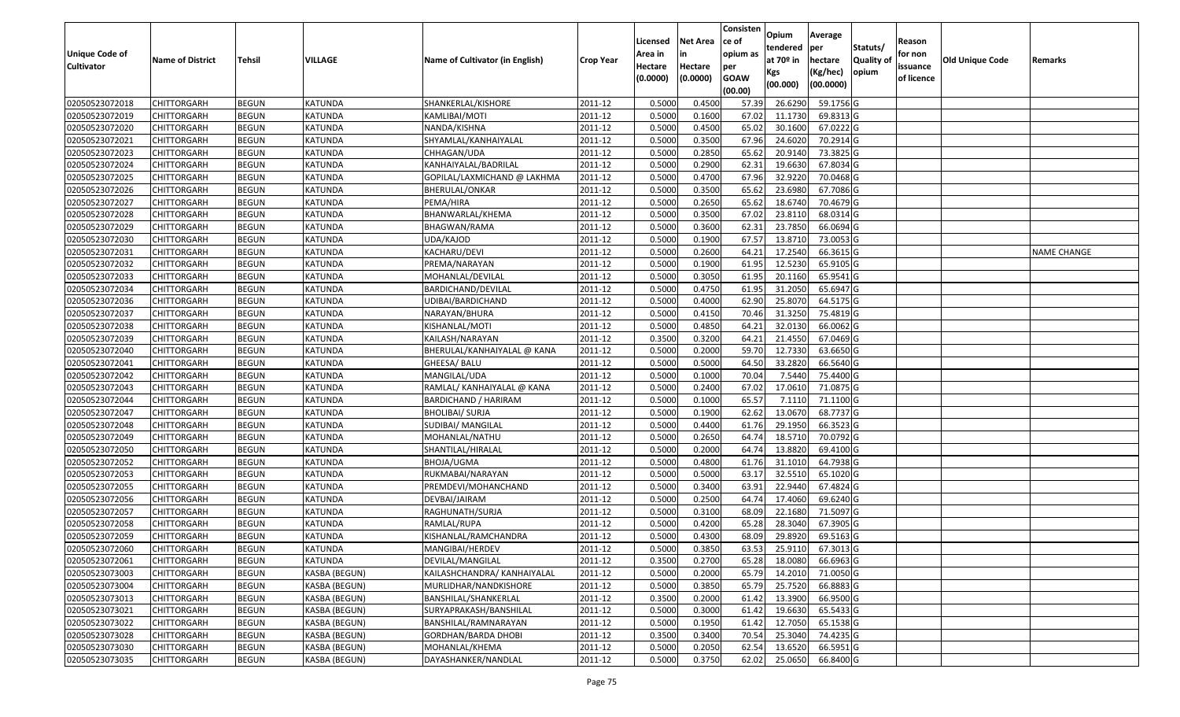|                       |                         |               |                |                                 |                      | Licensed | <b>Net Area</b> | Consisten<br>ce of | Opium         | Average                |                  | Reason     |                 |                    |
|-----------------------|-------------------------|---------------|----------------|---------------------------------|----------------------|----------|-----------------|--------------------|---------------|------------------------|------------------|------------|-----------------|--------------------|
| <b>Unique Code of</b> |                         |               |                |                                 |                      | Area in  |                 | opium as           | tendered      | per                    | Statuts/         | for non    |                 |                    |
| <b>Cultivator</b>     | <b>Name of District</b> | <b>Tehsil</b> | VILLAGE        | Name of Cultivator (in English) | <b>Crop Year</b>     | Hectare  | Hectare         | per                | at $70°$ in   | hectare                | <b>Quality o</b> | issuance   | Old Unique Code | Remarks            |
|                       |                         |               |                |                                 |                      | (0.0000) | (0.0000)        | <b>GOAW</b>        | Kgs           | (Kg/hec)               | opium            | of licence |                 |                    |
|                       |                         |               |                |                                 |                      |          |                 | (00.00)            | (00.000)      | (00.0000)              |                  |            |                 |                    |
| 02050523072018        | CHITTORGARH             | <b>BEGUN</b>  | KATUNDA        | SHANKERLAL/KISHORE              | 2011-12              | 0.5000   | 0.4500          | 57.39              | 26.6290       | 59.1756 G              |                  |            |                 |                    |
| 02050523072019        | CHITTORGARH             | <b>BEGUN</b>  | KATUNDA        | KAMLIBAI/MOTI                   | 2011-12              | 0.5000   | 0.1600          | 67.02              | 11.1730       | 69.8313 G              |                  |            |                 |                    |
| 02050523072020        | CHITTORGARH             | <b>BEGUN</b>  | KATUNDA        | NANDA/KISHNA                    | 2011-12              | 0.5000   | 0.4500          | 65.02              | 30.1600       | 67.0222G               |                  |            |                 |                    |
| 02050523072021        | <b>CHITTORGARH</b>      | <b>BEGUN</b>  | <b>KATUNDA</b> | SHYAMLAL/KANHAIYALAL            | 2011-12              | 0.5000   | 0.3500          | 67.96              | 24.6020       | 70.2914 G              |                  |            |                 |                    |
| 02050523072023        | CHITTORGARH             | <b>BEGUN</b>  | <b>KATUNDA</b> | CHHAGAN/UDA                     | 2011-12              | 0.5000   | 0.2850          | 65.62              | 20.9140       | 73.3825 G              |                  |            |                 |                    |
| 02050523072024        | CHITTORGARH             | <b>BEGUN</b>  | <b>KATUNDA</b> | KANHAIYALAL/BADRILAL            | 2011-12              | 0.5000   | 0.2900          | 62.3               | 19.6630       | 67.8034 G              |                  |            |                 |                    |
| 02050523072025        | CHITTORGARH             | <b>BEGUN</b>  | <b>KATUNDA</b> | GOPILAL/LAXMICHAND @ LAKHMA     | 2011-12              | 0.5000   | 0.4700          | 67.96              | 32.9220       | 70.0468 G              |                  |            |                 |                    |
| 02050523072026        | CHITTORGARH             | <b>BEGUN</b>  | <b>KATUNDA</b> | <b>BHERULAL/ONKAR</b>           | 2011-12              | 0.5000   | 0.3500          | 65.62              | 23.6980       | 67.7086 G              |                  |            |                 |                    |
| 02050523072027        | CHITTORGARH             | <b>BEGUN</b>  | KATUNDA        | PEMA/HIRA                       | 2011-12              | 0.5000   | 0.2650          | 65.62              | 18.6740       | 70.4679 G              |                  |            |                 |                    |
| 02050523072028        | CHITTORGARH             | <b>BEGUN</b>  | <b>KATUNDA</b> | BHANWARLAL/KHEMA                | 2011-12              | 0.5000   | 0.3500          | 67.02              | 23.8110       | 68.0314 G              |                  |            |                 |                    |
| 02050523072029        | CHITTORGARH             | <b>BEGUN</b>  | <b>KATUNDA</b> | BHAGWAN/RAMA                    | 2011-12              | 0.5000   | 0.3600          | 62.31              | 23.7850       | 66.0694 G              |                  |            |                 |                    |
| 02050523072030        | CHITTORGARH             | <b>BEGUN</b>  | KATUNDA        | UDA/KAJOD                       | 2011-12              | 0.5000   | 0.1900          | 67.57              | 13.8710       | 73.0053 G              |                  |            |                 |                    |
| 02050523072031        | <b>CHITTORGARH</b>      | <b>BEGUN</b>  | <b>KATUNDA</b> | KACHARU/DEVI                    | 2011-12              | 0.5000   | 0.2600          | 64.21              | 17.2540       | 66.3615 G              |                  |            |                 | <b>NAME CHANGE</b> |
| 02050523072032        | <b>CHITTORGARH</b>      | <b>BEGUN</b>  | KATUNDA        | PREMA/NARAYAN                   | 2011-12              | 0.5000   | 0.1900          | 61.95              | 12.5230       | 65.9105 G              |                  |            |                 |                    |
| 02050523072033        | CHITTORGARH             | <b>BEGUN</b>  | KATUNDA        | MOHANLAL/DEVILAL                | 2011-12              | 0.5000   | 0.3050          | 61.95              | 20.1160       | 65.9541 G              |                  |            |                 |                    |
| 02050523072034        | CHITTORGARH             | <b>BEGUN</b>  | KATUNDA        | BARDICHAND/DEVILAL              | 2011-12              | 0.5000   | 0.4750          | 61.95              | 31.2050       | 65.6947 G              |                  |            |                 |                    |
| 02050523072036        | CHITTORGARH             | <b>BEGUN</b>  | <b>KATUNDA</b> | UDIBAI/BARDICHAND               | 2011-12              | 0.5000   | 0.4000          | 62.90              | 25.8070       | 64.5175 G              |                  |            |                 |                    |
| 02050523072037        | CHITTORGARH             | <b>BEGUN</b>  | KATUNDA        | NARAYAN/BHURA                   | 2011-12              | 0.5000   | 0.4150          | 70.46              | 31.3250       | 75.4819 G              |                  |            |                 |                    |
| 02050523072038        | CHITTORGARH             | <b>BEGUN</b>  | KATUNDA        | KISHANLAL/MOTI                  | 2011-12              | 0.5000   | 0.4850          | 64.21              | 32.0130       | 66.0062 G              |                  |            |                 |                    |
| 02050523072039        | CHITTORGARH             | <b>BEGUN</b>  | <b>KATUNDA</b> | KAILASH/NARAYAN                 | 2011-12              | 0.3500   | 0.3200          | 64.21              | 21.455        | 67.0469 G              |                  |            |                 |                    |
| 02050523072040        | CHITTORGARH             | <b>BEGUN</b>  | <b>KATUNDA</b> | BHERULAL/KANHAIYALAL @ KANA     | 2011-12              | 0.5000   | 0.2000          | 59.70              | 12.7330       | 63.6650G               |                  |            |                 |                    |
| 02050523072041        | CHITTORGARH             | <b>BEGUN</b>  | KATUNDA        | GHEESA/ BALU                    | 2011-12              | 0.500    | 0.5000          | 64.50              | 33.282        | 66.5640 G              |                  |            |                 |                    |
| 02050523072042        | CHITTORGARH             | <b>BEGUN</b>  | KATUNDA        | MANGILAL/UDA                    | 2011-12              | 0.5000   | 0.1000          | 70.04              | 7.5440        | 75.4400 G              |                  |            |                 |                    |
| 02050523072043        | CHITTORGARH             | <b>BEGUN</b>  | KATUNDA        | RAMLAL/ KANHAIYALAL @ KANA      | 2011-12              | 0.5000   | 0.2400          | 67.02              | 17.061        | 71.0875 G              |                  |            |                 |                    |
| 02050523072044        | CHITTORGARH             | <b>BEGUN</b>  | <b>KATUNDA</b> | <b>BARDICHAND / HARIRAM</b>     | 2011-12              | 0.5000   | 0.1000          | 65.57              | 7.1110        | 71.1100G               |                  |            |                 |                    |
| 02050523072047        | CHITTORGARH             | <b>BEGUN</b>  | KATUNDA        | <b>BHOLIBAI/ SURJA</b>          | 2011-12              | 0.5000   | 0.1900          | 62.62              | 13.0670       | 68.7737 G              |                  |            |                 |                    |
| 02050523072048        | CHITTORGARH             | <b>BEGUN</b>  | <b>KATUNDA</b> | SUDIBAI/ MANGILAL               | 2011-12              | 0.5000   | 0.4400          | 61.76              | 29.1950       | 66.3523 G              |                  |            |                 |                    |
| 02050523072049        | CHITTORGARH             | <b>BEGUN</b>  | KATUNDA        | MOHANLAL/NATHU                  | 2011-12              | 0.5000   | 0.2650          | 64.74              | 18.5710       | 70.0792G               |                  |            |                 |                    |
| 02050523072050        | CHITTORGARH             | <b>BEGUN</b>  | <b>KATUNDA</b> | SHANTILAL/HIRALAL               | 2011-12              | 0.5000   | 0.2000          | 64.74              | 13.8820       | 69.4100 G              |                  |            |                 |                    |
| 02050523072052        | CHITTORGARH             | <b>BEGUN</b>  | <b>KATUNDA</b> | <b>BHOJA/UGMA</b>               | 2011-12              | 0.5000   | 0.4800          | 61.76              | 31.101        | $\overline{64.7938}$ G |                  |            |                 |                    |
| 02050523072053        | CHITTORGARH             | <b>BEGUN</b>  | <b>KATUNDA</b> | RUKMABAI/NARAYAN                | 2011-12              | 0.5000   | 0.5000          | 63.1               | 32.551        | 65.1020 G              |                  |            |                 |                    |
| 02050523072055        | CHITTORGARH             | <b>BEGUN</b>  | KATUNDA        | PREMDEVI/MOHANCHAND             | 2011-12              | 0.5000   | 0.3400          | 63.91              | 22.9440       | 67.4824 G              |                  |            |                 |                    |
| 02050523072056        | CHITTORGARH             | <b>BEGUN</b>  | <b>KATUNDA</b> | DEVBAI/JAIRAM                   | 2011-12              | 0.5000   | 0.2500          | 64.7               | 17.4060       | 69.6240 G              |                  |            |                 |                    |
| 02050523072057        | CHITTORGARH             | <b>BEGUN</b>  | <b>KATUNDA</b> | RAGHUNATH/SURJA                 | 2011-12              | 0.5000   | 0.3100          | 68.09              | 22.1680       | 71.5097 G              |                  |            |                 |                    |
| 02050523072058        | CHITTORGARH             | <b>BEGUN</b>  | <b>KATUNDA</b> | RAMLAL/RUPA                     | 2011-12              | 0.500    | 0.4200          | 65.28              | 28.3040       | 67.3905 G              |                  |            |                 |                    |
| 02050523072059        | CHITTORGARH             | <b>BEGUN</b>  | KATUNDA        | KISHANLAL/RAMCHANDRA            | 2011-12              | 0.5000   | 0.4300          | 68.09              | 29.8920       | 69.5163 G              |                  |            |                 |                    |
| 02050523072060        | CHITTORGARH             | <b>BEGUN</b>  | KATUNDA        | MANGIBAI/HERDEV                 | $\overline{2011-12}$ | 0.5000   | 0.3850          |                    | 63.53 25.9110 | 67.3013 G              |                  |            |                 |                    |
| 02050523072061        | <b>CHITTORGARH</b>      | <b>BEGUN</b>  | KATUNDA        | DEVILAL/MANGILAL                | 2011-12              | 0.3500   | 0.2700          | 65.28              | 18.0080       | 66.6963 G              |                  |            |                 |                    |
| 02050523073003        | <b>CHITTORGARH</b>      | <b>BEGUN</b>  | KASBA (BEGUN)  | KAILASHCHANDRA/ KANHAIYALAL     | 2011-12              | 0.5000   | 0.2000          | 65.79              | 14.2010       | 71.0050 G              |                  |            |                 |                    |
| 02050523073004        | <b>CHITTORGARH</b>      | <b>BEGUN</b>  | KASBA (BEGUN)  | MURLIDHAR/NANDKISHORE           | 2011-12              | 0.5000   | 0.3850          | 65.79              | 25.7520       | 66.8883 G              |                  |            |                 |                    |
| 02050523073013        | CHITTORGARH             | <b>BEGUN</b>  | KASBA (BEGUN)  | BANSHILAL/SHANKERLAL            | 2011-12              | 0.3500   | 0.2000          | 61.42              | 13.3900       | 66.9500 G              |                  |            |                 |                    |
| 02050523073021        | <b>CHITTORGARH</b>      | <b>BEGUN</b>  | KASBA (BEGUN)  | SURYAPRAKASH/BANSHILAL          | 2011-12              | 0.5000   | 0.3000          | 61.42              | 19.6630       | 65.5433 G              |                  |            |                 |                    |
| 02050523073022        | <b>CHITTORGARH</b>      | <b>BEGUN</b>  | KASBA (BEGUN)  | BANSHILAL/RAMNARAYAN            | 2011-12              | 0.5000   | 0.1950          | 61.42              | 12.7050       | 65.1538 G              |                  |            |                 |                    |
| 02050523073028        | CHITTORGARH             | <b>BEGUN</b>  | KASBA (BEGUN)  | GORDHAN/BARDA DHOBI             | 2011-12              | 0.3500   | 0.3400          | 70.54              | 25.3040       | 74.4235 G              |                  |            |                 |                    |
| 02050523073030        | CHITTORGARH             | <b>BEGUN</b>  | KASBA (BEGUN)  | MOHANLAL/KHEMA                  | 2011-12              | 0.5000   | 0.2050          | 62.54              | 13.6520       | 66.5951 G              |                  |            |                 |                    |
| 02050523073035        | <b>CHITTORGARH</b>      | <b>BEGUN</b>  | KASBA (BEGUN)  | DAYASHANKER/NANDLAL             | 2011-12              | 0.5000   | 0.3750          | 62.02              | 25.0650       | 66.8400 G              |                  |            |                 |                    |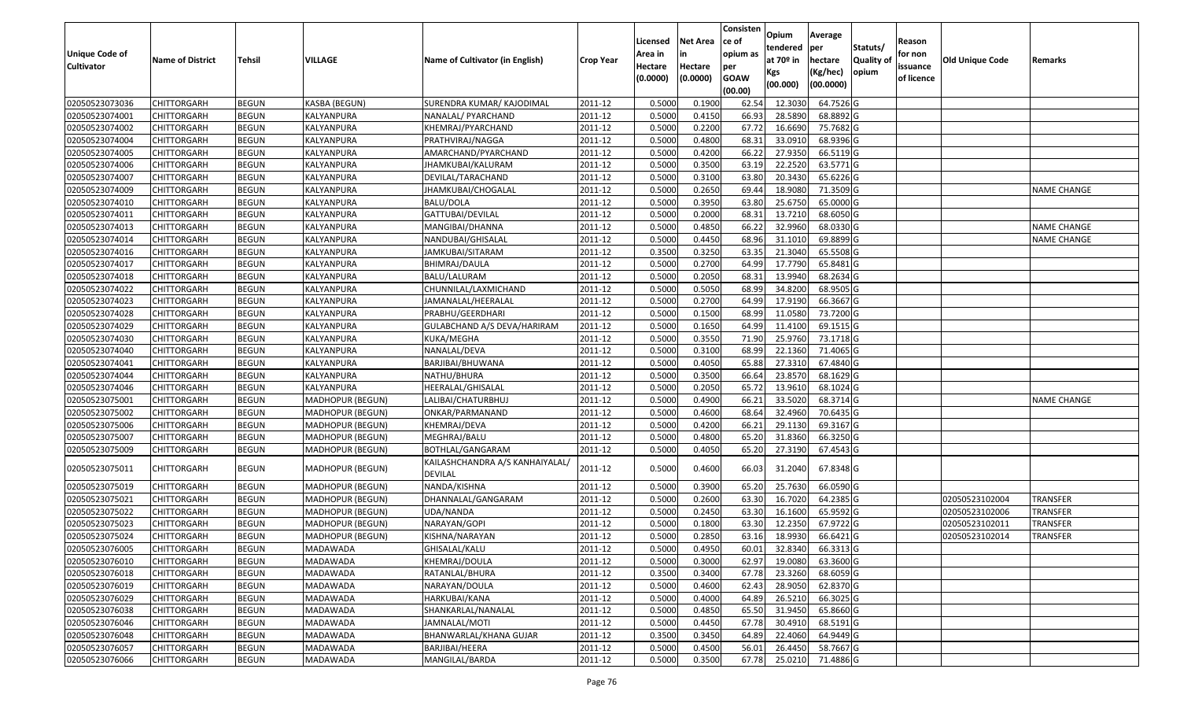| <b>Unique Code of</b><br><b>Cultivator</b> | <b>Name of District</b> | <b>Tehsil</b> | VILLAGE                 | Name of Cultivator (in English)                   | <b>Crop Year</b> | Licensed<br>Area in<br>Hectare<br>(0.0000) | <b>Net Area</b><br>in<br>Hectare<br>(0.0000) | Consisten<br>ce of<br>opium as<br>per<br><b>GOAW</b><br>(00.00) | Opium<br>tendered<br>at $70°$ in<br>Kgs<br>(00.000) | Average<br>per<br>hectare<br>(Kg/hec)<br>(00.0000) | Statuts/<br>Quality of<br>opium | Reason<br>for non<br>issuance<br>of licence | <b>Old Unique Code</b> | Remarks            |
|--------------------------------------------|-------------------------|---------------|-------------------------|---------------------------------------------------|------------------|--------------------------------------------|----------------------------------------------|-----------------------------------------------------------------|-----------------------------------------------------|----------------------------------------------------|---------------------------------|---------------------------------------------|------------------------|--------------------|
| 02050523073036                             | <b>CHITTORGARH</b>      | <b>BEGUN</b>  | KASBA (BEGUN)           | SURENDRA KUMAR/ KAJODIMAL                         | 2011-12          | 0.5000                                     | 0.1900                                       | 62.54                                                           | 12.303                                              | 64.7526 G                                          |                                 |                                             |                        |                    |
| 02050523074001                             | CHITTORGARH             | <b>BEGUN</b>  | KALYANPURA              | NANALAL/ PYARCHAND                                | 2011-12          | 0.5000                                     | 0.4150                                       | 66.93                                                           | 28.5890                                             | 68.8892 G                                          |                                 |                                             |                        |                    |
| 02050523074002                             | CHITTORGARH             | <b>BEGUN</b>  | KALYANPURA              | KHEMRAJ/PYARCHAND                                 | 2011-12          | 0.5000                                     | 0.2200                                       | 67.72                                                           | 16.6690                                             | 75.7682 G                                          |                                 |                                             |                        |                    |
| 02050523074004                             | <b>CHITTORGARH</b>      | <b>BEGUN</b>  | KALYANPURA              | PRATHVIRAJ/NAGGA                                  | 2011-12          | 0.5000                                     | 0.4800                                       | 68.3                                                            | 33.0910                                             | 68.9396 G                                          |                                 |                                             |                        |                    |
| 02050523074005                             | <b>CHITTORGARH</b>      | <b>BEGUN</b>  | KALYANPURA              | AMARCHAND/PYARCHAND                               | 2011-12          | 0.5000                                     | 0.4200                                       | 66.22                                                           | 27.9350                                             | 66.5119 G                                          |                                 |                                             |                        |                    |
| 02050523074006                             | CHITTORGARH             | <b>BEGUN</b>  | <b>KALYANPURA</b>       | JHAMKUBAI/KALURAM                                 | 2011-12          | 0.5000                                     | 0.3500                                       | 63.19                                                           | 22.2520                                             | 63.5771 G                                          |                                 |                                             |                        |                    |
| 02050523074007                             | CHITTORGARH             | <b>BEGUN</b>  | KALYANPURA              | DEVILAL/TARACHAND                                 | 2011-12          | 0.5000                                     | 0.3100                                       | 63.80                                                           | 20.3430                                             | 65.6226 G                                          |                                 |                                             |                        |                    |
| 02050523074009                             | <b>CHITTORGARH</b>      | <b>BEGUN</b>  | KALYANPURA              | JHAMKUBAI/CHOGALAL                                | 2011-12          | 0.5000                                     | 0.2650                                       | 69.44                                                           | 18.9080                                             | 71.3509 G                                          |                                 |                                             |                        | <b>NAME CHANGE</b> |
| 02050523074010                             | CHITTORGARH             | <b>BEGUN</b>  | KALYANPURA              | BALU/DOLA                                         | 2011-12          | 0.5000                                     | 0.3950                                       | 63.80                                                           | 25.6750                                             | 65.0000G                                           |                                 |                                             |                        |                    |
| 02050523074011                             | CHITTORGARH             | <b>BEGUN</b>  | KALYANPURA              | GATTUBAI/DEVILAL                                  | 2011-12          | 0.5000                                     | 0.2000                                       | 68.3                                                            | 13.7210                                             | 68.6050 G                                          |                                 |                                             |                        |                    |
| 02050523074013                             | CHITTORGARH             | <b>BEGUN</b>  | KALYANPURA              | MANGIBAI/DHANNA                                   | 2011-12          | 0.5000                                     | 0.4850                                       | 66.22                                                           | 32.9960                                             | 68.0330 G                                          |                                 |                                             |                        | <b>NAME CHANGE</b> |
| 02050523074014                             | CHITTORGARH             | <b>BEGUN</b>  | KALYANPURA              | NANDUBAI/GHISALAL                                 | 2011-12          | 0.5000                                     | 0.4450                                       | 68.96                                                           | 31.1010                                             | 69.8899 G                                          |                                 |                                             |                        | <b>NAME CHANGE</b> |
| 02050523074016                             | CHITTORGARH             | <b>BEGUN</b>  | KALYANPURA              | JAMKUBAI/SITARAM                                  | 2011-12          | 0.3500                                     | 0.3250                                       | 63.35                                                           | 21.3040                                             | 65.5508 G                                          |                                 |                                             |                        |                    |
| 02050523074017                             | CHITTORGARH             | <b>BEGUN</b>  | KALYANPURA              | BHIMRAJ/DAULA                                     | 2011-12          | 0.5000                                     | 0.2700                                       | 64.99                                                           | 17.7790                                             | 65.8481G                                           |                                 |                                             |                        |                    |
| 02050523074018                             | CHITTORGARH             | <b>BEGUN</b>  | KALYANPURA              | BALU/LALURAM                                      | 2011-12          | 0.5000                                     | 0.2050                                       | 68.3                                                            | 13.9940                                             | 68.2634 G                                          |                                 |                                             |                        |                    |
| 02050523074022                             | CHITTORGARH             | <b>BEGUN</b>  | KALYANPURA              | CHUNNILAL/LAXMICHAND                              | 2011-12          | 0.5000                                     | 0.5050                                       | 68.99                                                           | 34.8200                                             | 68.9505 G                                          |                                 |                                             |                        |                    |
| 02050523074023                             | CHITTORGARH             | <b>BEGUN</b>  | KALYANPURA              | JAMANALAL/HEERALAL                                | 2011-12          | 0.5000                                     | 0.2700                                       | 64.99                                                           | 17.9190                                             | 66.3667 G                                          |                                 |                                             |                        |                    |
| 02050523074028                             | CHITTORGARH             | <b>BEGUN</b>  | KALYANPURA              | PRABHU/GEERDHARI                                  | 2011-12          | 0.5000                                     | 0.1500                                       | 68.99                                                           | 11.0580                                             | 73.7200 G                                          |                                 |                                             |                        |                    |
| 02050523074029                             | CHITTORGARH             | <b>BEGUN</b>  | KALYANPURA              | GULABCHAND A/S DEVA/HARIRAM                       | 2011-12          | 0.5000                                     | 0.1650                                       | 64.99                                                           | 11.4100                                             | 69.1515 G                                          |                                 |                                             |                        |                    |
| 02050523074030                             | CHITTORGARH             | <b>BEGUN</b>  | KALYANPURA              | KUKA/MEGHA                                        | 2011-12          | 0.5000                                     | 0.3550                                       | 71.90                                                           | 25.9760                                             | 73.1718 G                                          |                                 |                                             |                        |                    |
| 02050523074040                             | <b>CHITTORGARH</b>      | <b>BEGUN</b>  | KALYANPURA              | NANALAL/DEVA                                      | 2011-12          | 0.5000                                     | 0.3100                                       | 68.99                                                           | 22.1360                                             | 71.4065 G                                          |                                 |                                             |                        |                    |
| 02050523074041                             | CHITTORGARH             | <b>BEGUN</b>  | KALYANPURA              | BARJIBAI/BHUWANA                                  | 2011-12          | 0.5000                                     | 0.4050                                       | 65.88                                                           | 27.3310                                             | 67.4840 G                                          |                                 |                                             |                        |                    |
| 02050523074044                             | CHITTORGARH             | <b>BEGUN</b>  | KALYANPURA              | NATHU/BHURA                                       | 2011-12          | 0.5000                                     | 0.3500                                       | 66.64                                                           | 23.8570                                             | 68.1629 G                                          |                                 |                                             |                        |                    |
| 02050523074046                             | CHITTORGARH             | <b>BEGUN</b>  | KALYANPURA              | HEERALAL/GHISALAL                                 | 2011-12          | 0.5000                                     | 0.2050                                       | 65.72                                                           | 13.9610                                             | 68.1024 G                                          |                                 |                                             |                        |                    |
| 02050523075001                             | CHITTORGARH             | <b>BEGUN</b>  | MADHOPUR (BEGUN)        | LALIBAI/CHATURBHUJ                                | 2011-12          | 0.5000                                     | 0.4900                                       | 66.21                                                           | 33.5020                                             | 68.3714 G                                          |                                 |                                             |                        | <b>NAME CHANGE</b> |
| 02050523075002                             | CHITTORGARH             | <b>BEGUN</b>  | <b>MADHOPUR (BEGUN)</b> | ONKAR/PARMANAND                                   | 2011-12          | 0.5000                                     | 0.4600                                       | 68.64                                                           | 32.4960                                             | 70.6435 G                                          |                                 |                                             |                        |                    |
| 02050523075006                             | CHITTORGARH             | <b>BEGUN</b>  | MADHOPUR (BEGUN)        | KHEMRAJ/DEVA                                      | 2011-12          | 0.5000                                     | 0.4200                                       | 66.2                                                            | 29.1130                                             | 69.3167 G                                          |                                 |                                             |                        |                    |
| 02050523075007                             | CHITTORGARH             | <b>BEGUN</b>  | MADHOPUR (BEGUN)        | MEGHRAJ/BALU                                      | 2011-12          | 0.5000                                     | 0.4800                                       | 65.20                                                           | 31.8360                                             | 66.3250 G                                          |                                 |                                             |                        |                    |
| 02050523075009                             | <b>CHITTORGARH</b>      | <b>BEGUN</b>  | MADHOPUR (BEGUN)        | BOTHLAL/GANGARAM                                  | 2011-12          | 0.5000                                     | 0.4050                                       | 65.20                                                           | 27.3190                                             | 67.4543 G                                          |                                 |                                             |                        |                    |
| 02050523075011                             | CHITTORGARH             | <b>BEGUN</b>  | <b>MADHOPUR (BEGUN)</b> | KAILASHCHANDRA A/S KANHAIYALAL,<br><b>DEVILAL</b> | 2011-12          | 0.5000                                     | 0.4600                                       | 66.03                                                           | 31.2040                                             | 67.8348 G                                          |                                 |                                             |                        |                    |
| 02050523075019                             | CHITTORGARH             | <b>BEGUN</b>  | MADHOPUR (BEGUN)        | NANDA/KISHNA                                      | 2011-12          | 0.5000                                     | 0.3900                                       | 65.20                                                           | 25.7630                                             | 66.0590 G                                          |                                 |                                             |                        |                    |
| 02050523075021                             | CHITTORGARH             | <b>BEGUN</b>  | MADHOPUR (BEGUN)        | DHANNALAL/GANGARAM                                | 2011-12          | 0.5000                                     | 0.2600                                       | 63.30                                                           | 16.7020                                             | 64.2385 G                                          |                                 |                                             | 02050523102004         | <b>TRANSFER</b>    |
| 02050523075022                             | CHITTORGARH             | <b>BEGUN</b>  | MADHOPUR (BEGUN)        | UDA/NANDA                                         | 2011-12          | 0.5000                                     | 0.2450                                       | 63.30                                                           | 16.1600                                             | 65.9592 G                                          |                                 |                                             | 02050523102006         | <b>TRANSFER</b>    |
| 02050523075023                             | CHITTORGARH             | <b>BEGUN</b>  | MADHOPUR (BEGUN)        | NARAYAN/GOPI                                      | 2011-12          | 0.500                                      | 0.1800                                       | 63.30                                                           | 12.235                                              | 67.9722 G                                          |                                 |                                             | 02050523102011         | <b>TRANSFER</b>    |
| 02050523075024                             | CHITTORGARH             | <b>BEGUN</b>  | <b>MADHOPUR (BEGUN)</b> | KISHNA/NARAYAN                                    | 2011-12          | 0.500                                      | 0.2850                                       | 63.16                                                           | 18.9930                                             | 66.6421 G                                          |                                 |                                             | 02050523102014         | <b>TRANSFER</b>    |
| 02050523076005                             | <b>CHITTORGARH</b>      | <b>BEGUN</b>  | MADAWADA                | GHISALAL/KALU                                     | 2011-12          | 0.5000                                     | 0.4950                                       | 60.01                                                           | 32.8340                                             | 66.3313 G                                          |                                 |                                             |                        |                    |
| 02050523076010                             | <b>CHITTORGARH</b>      | <b>BEGUN</b>  | MADAWADA                | KHEMRAJ/DOULA                                     | 2011-12          | 0.5000                                     | 0.3000                                       | 62.97                                                           | 19.0080                                             | 63.3600 G                                          |                                 |                                             |                        |                    |
| 02050523076018                             | <b>CHITTORGARH</b>      | <b>BEGUN</b>  | MADAWADA                | RATANLAL/BHURA                                    | 2011-12          | 0.3500                                     | 0.3400                                       | 67.78                                                           | 23.3260                                             | 68.6059 G                                          |                                 |                                             |                        |                    |
| 02050523076019                             | <b>CHITTORGARH</b>      | <b>BEGUN</b>  | <b>MADAWADA</b>         | NARAYAN/DOULA                                     | 2011-12          | 0.5000                                     | 0.4600                                       | 62.43                                                           | 28.9050                                             | 62.8370 G                                          |                                 |                                             |                        |                    |
| 02050523076029                             | <b>CHITTORGARH</b>      | <b>BEGUN</b>  | MADAWADA                | HARKUBAI/KANA                                     | 2011-12          | 0.5000                                     | 0.4000                                       | 64.89                                                           | 26.5210                                             | 66.3025 G                                          |                                 |                                             |                        |                    |
| 02050523076038                             | <b>CHITTORGARH</b>      | <b>BEGUN</b>  | MADAWADA                | SHANKARLAL/NANALAL                                | 2011-12          | 0.5000                                     | 0.4850                                       | 65.50                                                           | 31.9450                                             | 65.8660 G                                          |                                 |                                             |                        |                    |
| 02050523076046                             | <b>CHITTORGARH</b>      | <b>BEGUN</b>  | MADAWADA                | JAMNALAL/MOTI                                     | 2011-12          | 0.5000                                     | 0.4450                                       | 67.78                                                           | 30.4910                                             | 68.5191 G                                          |                                 |                                             |                        |                    |
| 02050523076048                             | <b>CHITTORGARH</b>      | <b>BEGUN</b>  | MADAWADA                | BHANWARLAL/KHANA GUJAR                            | 2011-12          | 0.3500                                     | 0.3450                                       | 64.89                                                           | 22.4060                                             | 64.9449 G                                          |                                 |                                             |                        |                    |
| 02050523076057                             | CHITTORGARH             | <b>BEGUN</b>  | MADAWADA                | BARJIBAI/HEERA                                    | 2011-12          | 0.5000                                     | 0.4500                                       | 56.01                                                           | 26.4450                                             | 58.7667 G                                          |                                 |                                             |                        |                    |
| 02050523076066                             | <b>CHITTORGARH</b>      | <b>BEGUN</b>  | MADAWADA                | MANGILAL/BARDA                                    | 2011-12          | 0.5000                                     | 0.3500                                       | 67.78                                                           | 25.0210                                             | 71.4886 G                                          |                                 |                                             |                        |                    |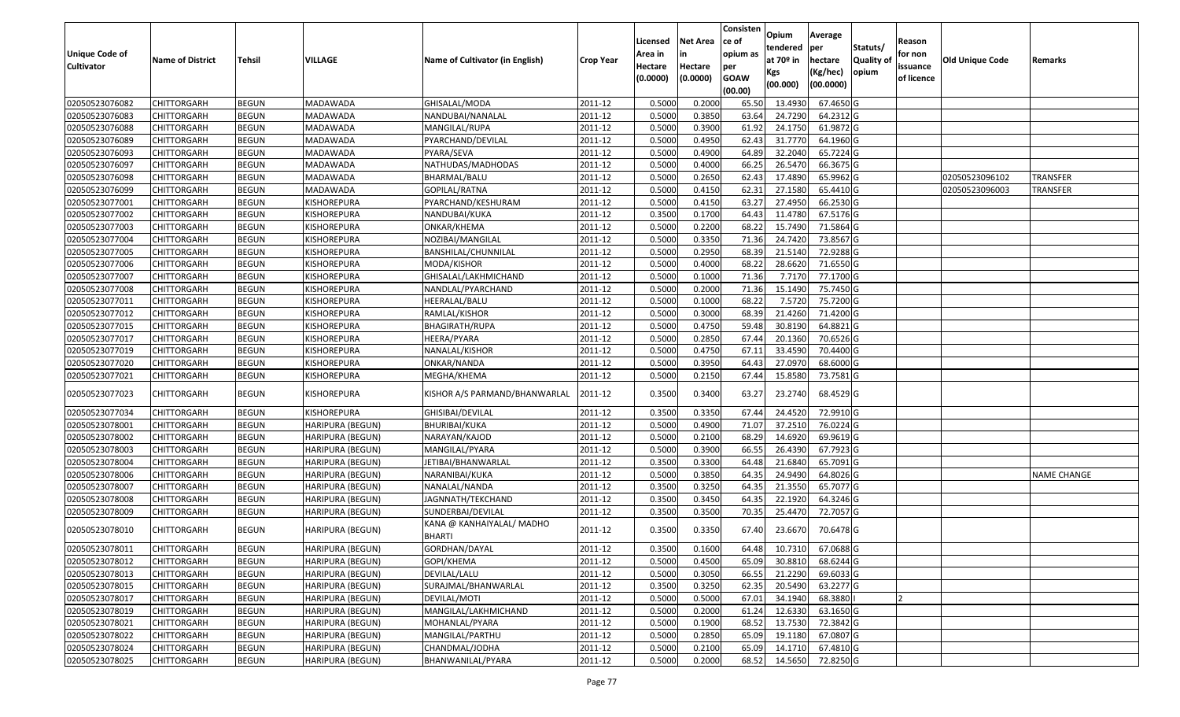|                       |                         |               |                         |                                     |                  | Licensed | <b>Net Area</b> | Consisten<br>ce of | Opium                 | Average           |                  | Reason     |                        |                    |
|-----------------------|-------------------------|---------------|-------------------------|-------------------------------------|------------------|----------|-----------------|--------------------|-----------------------|-------------------|------------------|------------|------------------------|--------------------|
| <b>Unique Code of</b> |                         |               |                         |                                     |                  | Area in  |                 | opium as           | tendered              | per               | Statuts/         | for non    |                        |                    |
| <b>Cultivator</b>     | <b>Name of District</b> | <b>Tehsil</b> | VILLAGE                 | Name of Cultivator (in English)     | <b>Crop Year</b> | Hectare  | Hectare         | per                | at 70 <sup>o</sup> in | hectare           | <b>Quality o</b> | issuance   | <b>Old Unique Code</b> | Remarks            |
|                       |                         |               |                         |                                     |                  | (0.0000) | (0.0000)        | <b>GOAW</b>        | Kgs                   | (Kg/hec)          | opium            | of licence |                        |                    |
|                       |                         |               |                         |                                     |                  |          |                 | (00.00)            | (00.000)              | (00.0000)         |                  |            |                        |                    |
| 02050523076082        | CHITTORGARH             | <b>BEGUN</b>  | MADAWADA                | GHISALAL/MODA                       | 2011-12          | 0.5000   | 0.2000          | 65.50              | 13.493                | 67.4650 G         |                  |            |                        |                    |
| 02050523076083        | CHITTORGARH             | <b>BEGUN</b>  | MADAWADA                | NANDUBAI/NANALAL                    | 2011-12          | 0.5000   | 0.3850          | 63.64              | 24.7290               | 64.2312 G         |                  |            |                        |                    |
| 02050523076088        | CHITTORGARH             | <b>BEGUN</b>  | MADAWADA                | MANGILAL/RUPA                       | 2011-12          | 0.5000   | 0.3900          | 61.92              | 24.1750               | 61.9872 G         |                  |            |                        |                    |
| 02050523076089        | CHITTORGARH             | <b>BEGUN</b>  | MADAWADA                | PYARCHAND/DEVILAL                   | 2011-12          | 0.5000   | 0.4950          | 62.43              | 31.7770               | 64.1960 G         |                  |            |                        |                    |
| 02050523076093        | CHITTORGARH             | <b>BEGUN</b>  | MADAWADA                | PYARA/SEVA                          | 2011-12          | 0.5000   | 0.4900          | 64.89              | 32.2040               | 65.7224 G         |                  |            |                        |                    |
| 02050523076097        | CHITTORGARH             | <b>BEGUN</b>  | MADAWADA                | NATHUDAS/MADHODAS                   | 2011-12          | 0.5000   | 0.4000          | 66.25              | 26.5470               | 66.3675 G         |                  |            |                        |                    |
| 02050523076098        | CHITTORGARH             | <b>BEGUN</b>  | MADAWADA                | BHARMAL/BALU                        | 2011-12          | 0.5000   | 0.2650          | 62.43              | 17.4890               | 65.9962 G         |                  |            | 02050523096102         | TRANSFER           |
| 02050523076099        | CHITTORGARH             | <b>BEGUN</b>  | MADAWADA                | GOPILAL/RATNA                       | 2011-12          | 0.5000   | 0.4150          | 62.31              | 27.1580               | 65.4410G          |                  |            | 02050523096003         | <b>TRANSFER</b>    |
| 02050523077001        | CHITTORGARH             | <b>BEGUN</b>  | KISHOREPURA             | PYARCHAND/KESHURAM                  | 2011-12          | 0.5000   | 0.4150          | 63.27              | 27.4950               | 66.2530 G         |                  |            |                        |                    |
| 02050523077002        | CHITTORGARH             | <b>BEGUN</b>  | KISHOREPURA             | NANDUBAI/KUKA                       | 2011-12          | 0.3500   | 0.1700          | 64.43              | 11.4780               | 67.5176 G         |                  |            |                        |                    |
| 02050523077003        | CHITTORGARH             | <b>BEGUN</b>  | KISHOREPURA             | ONKAR/KHEMA                         | 2011-12          | 0.5000   | 0.2200          | 68.22              | 15.7490               | 71.5864 G         |                  |            |                        |                    |
| 02050523077004        | CHITTORGARH             | <b>BEGUN</b>  | KISHOREPURA             | NOZIBAI/MANGILAL                    | 2011-12          | 0.5000   | 0.3350          | 71.36              | 24.7420               | 73.8567 G         |                  |            |                        |                    |
| 02050523077005        | <b>CHITTORGARH</b>      | <b>BEGUN</b>  | KISHOREPURA             | BANSHILAL/CHUNNILAL                 | 2011-12          | 0.5000   | 0.2950          | 68.39              | 21.5140               | 72.9288 G         |                  |            |                        |                    |
| 02050523077006        | CHITTORGARH             | <b>BEGUN</b>  | KISHOREPURA             | MODA/KISHOR                         | 2011-12          | 0.5000   | 0.4000          | 68.22              | 28.6620               | 71.6550 G         |                  |            |                        |                    |
| 02050523077007        | CHITTORGARH             | <b>BEGUN</b>  | KISHOREPURA             | GHISALAL/LAKHMICHAND                | 2011-12          | 0.5000   | 0.1000          | 71.36              | 7.7170                | 77.1700 G         |                  |            |                        |                    |
| 02050523077008        | <b>CHITTORGARH</b>      | <b>BEGUN</b>  | KISHOREPURA             | NANDLAL/PYARCHAND                   | 2011-12          | 0.5000   | 0.2000          | 71.36              | 15.1490               | 75.7450 G         |                  |            |                        |                    |
| 02050523077011        | CHITTORGARH             | <b>BEGUN</b>  | KISHOREPURA             | HEERALAL/BALU                       | 2011-12          | 0.5000   | 0.1000          | 68.22              | 7.5720                | 75.7200 G         |                  |            |                        |                    |
| 02050523077012        | CHITTORGARH             | <b>BEGUN</b>  | KISHOREPURA             | RAMLAL/KISHOR                       | 2011-12          | 0.5000   | 0.3000          | 68.39              | 21.4260               | 71.4200 G         |                  |            |                        |                    |
| 02050523077015        | CHITTORGARH             | <b>BEGUN</b>  | KISHOREPURA             | <b>BHAGIRATH/RUPA</b>               | 2011-12          | 0.5000   | 0.4750          | 59.48              | 30.8190               | 64.8821G          |                  |            |                        |                    |
| 02050523077017        | CHITTORGARH             | <b>BEGUN</b>  | KISHOREPURA             | HEERA/PYARA                         | 2011-12          | 0.5000   | 0.2850          | 67.44              | 20.1360               | 70.6526 G         |                  |            |                        |                    |
| 02050523077019        | CHITTORGARH             | <b>BEGUN</b>  | KISHOREPURA             | NANALAL/KISHOR                      | 2011-12          | 0.5000   | 0.4750          | 67.1               | 33.4590               | 70.4400 G         |                  |            |                        |                    |
| 02050523077020        | CHITTORGARH             | <b>BEGUN</b>  | KISHOREPURA             | ONKAR/NANDA                         | 2011-12          | 0.5000   | 0.3950          | 64.43              | 27.097                | 68.6000 G         |                  |            |                        |                    |
| 02050523077021        | CHITTORGARH             | <b>BEGUN</b>  | KISHOREPURA             | MEGHA/KHEMA                         | 2011-12          | 0.5000   | 0.2150          | 67.44              | 15.8580               | 73.7581 G         |                  |            |                        |                    |
| 02050523077023        | CHITTORGARH             | <b>BEGUN</b>  | KISHOREPURA             | KISHOR A/S PARMAND/BHANWARLAL       | 2011-12          | 0.3500   | 0.3400          | 63.27              | 23.2740               | 68.4529 G         |                  |            |                        |                    |
| 02050523077034        | CHITTORGARH             | <b>BEGUN</b>  | KISHOREPURA             | GHISIBAI/DEVILAL                    | 2011-12          | 0.3500   | 0.3350          | 67.44              | 24.4520               | 72.9910 G         |                  |            |                        |                    |
| 02050523078001        | CHITTORGARH             | <b>BEGUN</b>  | HARIPURA (BEGUN)        | <b>BHURIBAI/KUKA</b>                | 2011-12          | 0.5000   | 0.4900          | 71.07              | 37.2510               | 76.0224 G         |                  |            |                        |                    |
| 02050523078002        | CHITTORGARH             | <b>BEGUN</b>  | HARIPURA (BEGUN)        | NARAYAN/KAJOD                       | 2011-12          | 0.5000   | 0.2100          | 68.29              | 14.6920               | 69.9619 G         |                  |            |                        |                    |
| 02050523078003        | CHITTORGARH             | <b>BEGUN</b>  | <b>HARIPURA (BEGUN)</b> | MANGILAL/PYARA                      | 2011-12          | 0.5000   | 0.3900          | 66.55              | 26.439                | 67.7923 G         |                  |            |                        |                    |
| 02050523078004        | CHITTORGARH             | <b>BEGUN</b>  | HARIPURA (BEGUN)        | JETIBAI/BHANWARLAL                  | 2011-12          | 0.3500   | 0.3300          | 64.48              | 21.6840               | 65.7091G          |                  |            |                        |                    |
| 02050523078006        | CHITTORGARH             | <b>BEGUN</b>  | HARIPURA (BEGUN)        | NARANIBAI/KUKA                      | 2011-12          | 0.5000   | 0.3850          | 64.35              | 24.9490               | 64.8026 G         |                  |            |                        | <b>NAME CHANGE</b> |
| 02050523078007        | CHITTORGARH             | <b>BEGUN</b>  | HARIPURA (BEGUN)        | NANALAL/NANDA                       | 2011-12          | 0.3500   | 0.3250          | 64.35              | 21.3550               | 65.7077 G         |                  |            |                        |                    |
| 02050523078008        | CHITTORGARH             | <b>BEGUN</b>  | HARIPURA (BEGUN)        | JAGNNATH/TEKCHAND                   | 2011-12          | 0.3500   | 0.3450          | 64.35              | 22.1920               | 64.3246 G         |                  |            |                        |                    |
| 02050523078009        | CHITTORGARH             | <b>BEGUN</b>  | HARIPURA (BEGUN)        | SUNDERBAI/DEVILAL                   | 2011-12          | 0.3500   | 0.3500          | 70.35              | 25.4470               | 72.7057 G         |                  |            |                        |                    |
| 02050523078010        | CHITTORGARH             | <b>BEGUN</b>  | HARIPURA (BEGUN)        | KANA @ KANHAIYALAL/ MADHO<br>BHARTI | 2011-12          | 0.3500   | 0.3350          | 67.40              | 23.6670               | 70.6478 G         |                  |            |                        |                    |
| 02050523078011        | <b>CHITTORGARH</b>      | <b>BEGUN</b>  | HARIPURA (BEGUN)        | GORDHAN/DAYAL                       | 2011-12          | 0.3500   | 0.1600          | 64.48              |                       | 10.7310 67.0688 G |                  |            |                        |                    |
| 02050523078012        | CHITTORGARH             | <b>BEGUN</b>  | <b>HARIPURA (BEGUN)</b> | GOPI/KHEMA                          | 2011-12          | 0.5000   | 0.4500          | 65.09              | 30.8810               | 68.6244 G         |                  |            |                        |                    |
| 02050523078013        | <b>CHITTORGARH</b>      | <b>BEGUN</b>  | HARIPURA (BEGUN)        | DEVILAL/LALU                        | 2011-12          | 0.5000   | 0.3050          | 66.55              | 21.2290               | 69.6033 G         |                  |            |                        |                    |
| 02050523078015        | <b>CHITTORGARH</b>      | <b>BEGUN</b>  | <b>HARIPURA (BEGUN)</b> | SURAJMAL/BHANWARLAL                 | 2011-12          | 0.3500   | 0.3250          | 62.35              | 20.5490               | 63.2277 G         |                  |            |                        |                    |
| 02050523078017        | CHITTORGARH             | <b>BEGUN</b>  | <b>HARIPURA (BEGUN)</b> | DEVILAL/MOTI                        | 2011-12          | 0.5000   | 0.5000          | 67.01              | 34.1940               | 68.3880           |                  |            |                        |                    |
| 02050523078019        | <b>CHITTORGARH</b>      | <b>BEGUN</b>  | <b>HARIPURA (BEGUN)</b> | MANGILAL/LAKHMICHAND                | 2011-12          | 0.5000   | 0.2000          | 61.24              | 12.6330               | 63.1650 G         |                  |            |                        |                    |
| 02050523078021        | <b>CHITTORGARH</b>      | <b>BEGUN</b>  | <b>HARIPURA (BEGUN)</b> | MOHANLAL/PYARA                      | 2011-12          | 0.5000   | 0.1900          | 68.52              | 13.7530               | 72.3842 G         |                  |            |                        |                    |
| 02050523078022        | <b>CHITTORGARH</b>      | <b>BEGUN</b>  | <b>HARIPURA (BEGUN)</b> | MANGILAL/PARTHU                     | 2011-12          | 0.5000   | 0.2850          | 65.09              | 19.1180               | 67.0807 G         |                  |            |                        |                    |
| 02050523078024        | <b>CHITTORGARH</b>      | <b>BEGUN</b>  | <b>HARIPURA (BEGUN)</b> | CHANDMAL/JODHA                      | 2011-12          | 0.5000   | 0.2100          | 65.09              | 14.1710               | 67.4810 G         |                  |            |                        |                    |
| 02050523078025        | <b>CHITTORGARH</b>      | <b>BEGUN</b>  | HARIPURA (BEGUN)        | BHANWANILAL/PYARA                   | 2011-12          | 0.5000   | 0.2000          | 68.52              | 14.5650               | 72.8250G          |                  |            |                        |                    |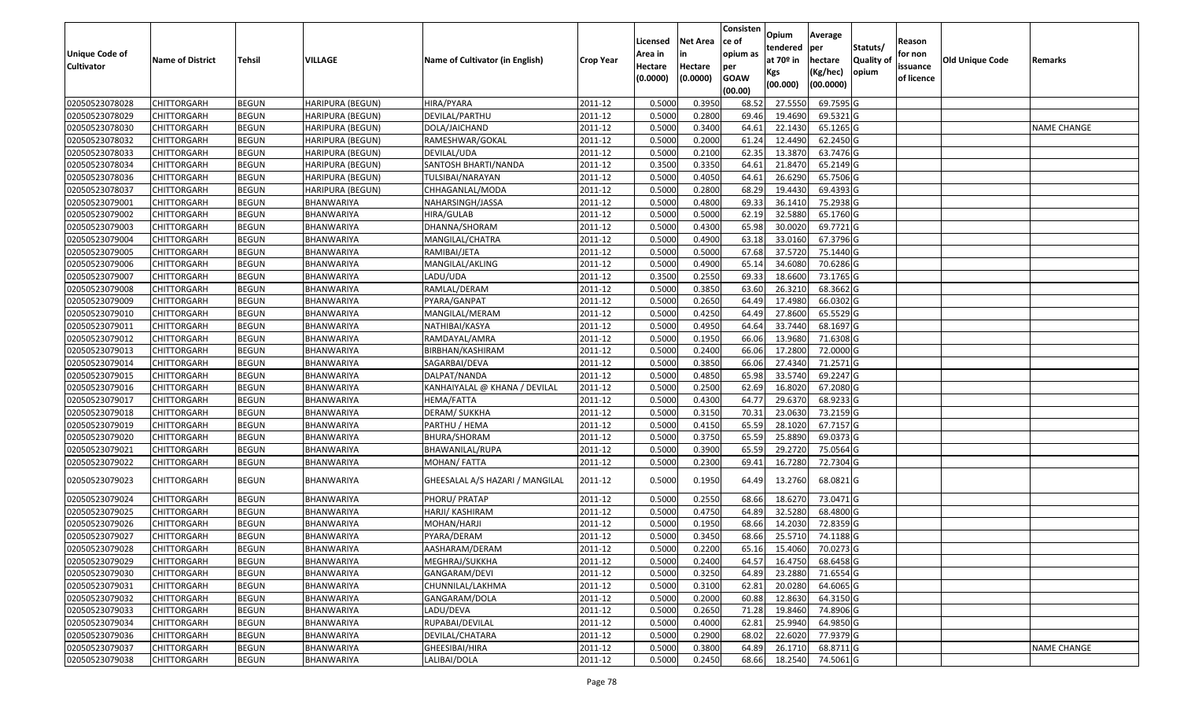| <b>Unique Code of</b><br><b>Cultivator</b> | <b>Name of District</b> | <b>Tehsil</b> | VILLAGE                 | Name of Cultivator (in English) | <b>Crop Year</b> | Licensed<br>Area in<br>Hectare<br>(0.0000) | <b>Net Area</b><br>in<br>Hectare<br>(0.0000) | Consisten<br>ce of<br>opium as<br>per<br><b>GOAW</b><br>(00.00) | Opium<br>tendered<br>at $70°$ in<br>Kgs<br>(00.000) | Average<br>per<br>hectare<br>(Kg/hec)<br>(00.0000) | Statuts/<br>Quality of<br>opium | Reason<br>for non<br>issuance<br>of licence | <b>Old Unique Code</b> | Remarks            |
|--------------------------------------------|-------------------------|---------------|-------------------------|---------------------------------|------------------|--------------------------------------------|----------------------------------------------|-----------------------------------------------------------------|-----------------------------------------------------|----------------------------------------------------|---------------------------------|---------------------------------------------|------------------------|--------------------|
| 02050523078028                             | <b>CHITTORGARH</b>      | <b>BEGUN</b>  | <b>HARIPURA (BEGUN)</b> | HIRA/PYARA                      | 2011-12          | 0.5000                                     | 0.3950                                       | 68.52                                                           | 27.555                                              | 69.7595 G                                          |                                 |                                             |                        |                    |
| 02050523078029                             | CHITTORGARH             | <b>BEGUN</b>  | HARIPURA (BEGUN)        | DEVILAL/PARTHU                  | 2011-12          | 0.5000                                     | 0.2800                                       | 69.46                                                           | 19.4690                                             | 69.5321 G                                          |                                 |                                             |                        |                    |
| 02050523078030                             | CHITTORGARH             | <b>BEGUN</b>  | HARIPURA (BEGUN)        | DOLA/JAICHAND                   | 2011-12          | 0.5000                                     | 0.3400                                       | 64.6                                                            | 22.1430                                             | 65.1265 G                                          |                                 |                                             |                        | <b>NAME CHANGE</b> |
| 02050523078032                             | <b>CHITTORGARH</b>      | <b>BEGUN</b>  | HARIPURA (BEGUN)        | RAMESHWAR/GOKAL                 | 2011-12          | 0.5000                                     | 0.2000                                       | 61.24                                                           | 12.4490                                             | 62.2450 G                                          |                                 |                                             |                        |                    |
| 02050523078033                             | <b>CHITTORGARH</b>      | <b>BEGUN</b>  | HARIPURA (BEGUN)        | DEVILAL/UDA                     | 2011-12          | 0.5000                                     | 0.2100                                       | 62.35                                                           | 13.3870                                             | 63.7476 G                                          |                                 |                                             |                        |                    |
| 02050523078034                             | CHITTORGARH             | <b>BEGUN</b>  | HARIPURA (BEGUN)        | SANTOSH BHARTI/NANDA            | 2011-12          | 0.3500                                     | 0.3350                                       | 64.6                                                            | 21.8470                                             | 65.2149 G                                          |                                 |                                             |                        |                    |
| 02050523078036                             | CHITTORGARH             | <b>BEGUN</b>  | HARIPURA (BEGUN)        | TULSIBAI/NARAYAN                | 2011-12          | 0.5000                                     | 0.4050                                       | 64.61                                                           | 26.6290                                             | 65.7506 G                                          |                                 |                                             |                        |                    |
| 02050523078037                             | CHITTORGARH             | <b>BEGUN</b>  | <b>HARIPURA (BEGUN)</b> | CHHAGANLAL/MODA                 | 2011-12          | 0.5000                                     | 0.2800                                       | 68.29                                                           | 19.4430                                             | 69.4393 G                                          |                                 |                                             |                        |                    |
| 02050523079001                             | CHITTORGARH             | <b>BEGUN</b>  | BHANWARIYA              | NAHARSINGH/JASSA                | 2011-12          | 0.5000                                     | 0.4800                                       | 69.33                                                           | 36.1410                                             | 75.2938 G                                          |                                 |                                             |                        |                    |
| 02050523079002                             | CHITTORGARH             | <b>BEGUN</b>  | BHANWARIYA              | HIRA/GULAB                      | 2011-12          | 0.5000                                     | 0.5000                                       | 62.19                                                           | 32.5880                                             | 65.1760 G                                          |                                 |                                             |                        |                    |
| 02050523079003                             | CHITTORGARH             | <b>BEGUN</b>  | BHANWARIYA              | DHANNA/SHORAM                   | 2011-12          | 0.5000                                     | 0.4300                                       | 65.98                                                           | 30.0020                                             | 69.7721 G                                          |                                 |                                             |                        |                    |
| 02050523079004                             | CHITTORGARH             | <b>BEGUN</b>  | BHANWARIYA              | MANGILAL/CHATRA                 | 2011-12          | 0.5000                                     | 0.4900                                       | 63.18                                                           | 33.0160                                             | 67.3796 G                                          |                                 |                                             |                        |                    |
| 02050523079005                             | CHITTORGARH             | <b>BEGUN</b>  | <b>BHANWARIYA</b>       | RAMIBAI/JETA                    | 2011-12          | 0.5000                                     | 0.5000                                       | 67.68                                                           | 37.5720                                             | 75.1440 G                                          |                                 |                                             |                        |                    |
| 02050523079006                             | CHITTORGARH             | <b>BEGUN</b>  | BHANWARIYA              | MANGILAL/AKLING                 | 2011-12          | 0.5000                                     | 0.4900                                       | 65.14                                                           | 34.6080                                             | 70.6286 G                                          |                                 |                                             |                        |                    |
| 02050523079007                             | CHITTORGARH             | <b>BEGUN</b>  | BHANWARIYA              | LADU/UDA                        | 2011-12          | 0.3500                                     | 0.2550                                       | 69.33                                                           | 18.6600                                             | 73.1765 G                                          |                                 |                                             |                        |                    |
| 02050523079008                             | CHITTORGARH             | <b>BEGUN</b>  | BHANWARIYA              | RAMLAL/DERAM                    | 2011-12          | 0.5000                                     | 0.3850                                       | 63.60                                                           | 26.321                                              | 68.3662 G                                          |                                 |                                             |                        |                    |
| 02050523079009                             | CHITTORGARH             | <b>BEGUN</b>  | <b>BHANWARIYA</b>       | PYARA/GANPAT                    | 2011-12          | 0.5000                                     | 0.2650                                       | 64.49                                                           | 17.4980                                             | 66.0302 G                                          |                                 |                                             |                        |                    |
| 02050523079010                             | CHITTORGARH             | <b>BEGUN</b>  | BHANWARIYA              | MANGILAL/MERAM                  | 2011-12          | 0.5000                                     | 0.4250                                       | 64.49                                                           | 27.8600                                             | 65.5529 G                                          |                                 |                                             |                        |                    |
| 02050523079011                             | <b>CHITTORGARH</b>      | <b>BEGUN</b>  | BHANWARIYA              | NATHIBAI/KASYA                  | 2011-12          | 0.5000                                     | 0.4950                                       | 64.64                                                           | 33.7440                                             | 68.1697 G                                          |                                 |                                             |                        |                    |
| 02050523079012                             | CHITTORGARH             | <b>BEGUN</b>  | BHANWARIYA              | RAMDAYAL/AMRA                   | 2011-12          | 0.5000                                     | 0.1950                                       | 66.06                                                           | 13.9680                                             | 71.6308 G                                          |                                 |                                             |                        |                    |
| 02050523079013                             | <b>CHITTORGARH</b>      | <b>BEGUN</b>  | BHANWARIYA              | BIRBHAN/KASHIRAM                | 2011-12          | 0.5000                                     | 0.2400                                       | 66.06                                                           | 17.2800                                             | 72.0000 G                                          |                                 |                                             |                        |                    |
| 02050523079014                             | CHITTORGARH             | <b>BEGUN</b>  | BHANWARIYA              | SAGARBAI/DEVA                   | 2011-12          | 0.5000                                     | 0.3850                                       | 66.06                                                           | 27.4340                                             | 71.2571 G                                          |                                 |                                             |                        |                    |
| 02050523079015                             | CHITTORGARH             | <b>BEGUN</b>  | BHANWARIYA              | DALPAT/NANDA                    | 2011-12          | 0.5000                                     | 0.4850                                       | 65.98                                                           | 33.5740                                             | 69.2247 G                                          |                                 |                                             |                        |                    |
| 02050523079016                             | CHITTORGARH             | <b>BEGUN</b>  | BHANWARIYA              | KANHAIYALAL @ KHANA / DEVILAL   | 2011-12          | 0.5000                                     | 0.2500                                       | 62.69                                                           | 16.8020                                             | $67.2080$ G                                        |                                 |                                             |                        |                    |
| 02050523079017                             | CHITTORGARH             | <b>BEGUN</b>  | BHANWARIYA              | HEMA/FATTA                      | 2011-12          | 0.5000                                     | 0.4300                                       | 64.77                                                           | 29.6370                                             | 68.9233 G                                          |                                 |                                             |                        |                    |
| 02050523079018                             | CHITTORGARH             | <b>BEGUN</b>  | BHANWARIYA              | DERAM/ SUKKHA                   | 2011-12          | 0.5000                                     | 0.3150                                       | 70.3                                                            | 23.0630                                             | 73.2159 G                                          |                                 |                                             |                        |                    |
| 02050523079019                             | CHITTORGARH             | <b>BEGUN</b>  | BHANWARIYA              | PARTHU / HEMA                   | 2011-12          | 0.5000                                     | 0.4150                                       | 65.59                                                           | 28.1020                                             | 67.7157 G                                          |                                 |                                             |                        |                    |
| 02050523079020                             | CHITTORGARH             | <b>BEGUN</b>  | BHANWARIYA              | BHURA/SHORAM                    | 2011-12          | 0.5000                                     | 0.3750                                       | 65.59                                                           | 25.8890                                             | 69.0373 G                                          |                                 |                                             |                        |                    |
| 02050523079021                             | <b>CHITTORGARH</b>      | <b>BEGUN</b>  | BHANWARIYA              | BHAWANILAL/RUPA                 | 2011-12          | 0.5000                                     | 0.3900                                       | 65.59                                                           | 29.2720                                             | 75.0564 G                                          |                                 |                                             |                        |                    |
| 02050523079022                             | CHITTORGARH             | <b>BEGUN</b>  | BHANWARIYA              | MOHAN/FATTA                     | 2011-12          | 0.5000                                     | 0.2300                                       | 69.41                                                           | 16.7280                                             | 72.7304 G                                          |                                 |                                             |                        |                    |
| 02050523079023                             | CHITTORGARH             | <b>BEGUN</b>  | BHANWARIYA              | GHEESALAL A/S HAZARI / MANGILAL | 2011-12          | 0.5000                                     | 0.1950                                       | 64.49                                                           | 13.2760                                             | 68.0821 G                                          |                                 |                                             |                        |                    |
| 02050523079024                             | CHITTORGARH             | <b>BEGUN</b>  | BHANWARIYA              | PHORU/ PRATAP                   | 2011-12          | 0.5000                                     | 0.2550                                       | 68.66                                                           | 18.6270                                             | 73.0471G                                           |                                 |                                             |                        |                    |
| 02050523079025                             | CHITTORGARH             | <b>BEGUN</b>  | BHANWARIYA              | HARJI/ KASHIRAM                 | 2011-12          | 0.5000                                     | 0.4750                                       | 64.89                                                           | 32.5280                                             | 68.4800 G                                          |                                 |                                             |                        |                    |
| 02050523079026                             | CHITTORGARH             | <b>BEGUN</b>  | BHANWARIYA              | MOHAN/HARJI                     | 2011-12          | 0.500                                      | 0.1950                                       | 68.66                                                           | 14.2030                                             | 72.8359 G                                          |                                 |                                             |                        |                    |
| 02050523079027                             | CHITTORGARH             | <b>BEGUN</b>  | BHANWARIYA              | PYARA/DERAM                     | 2011-12          | 0.5000                                     | 0.3450                                       | 68.66                                                           | 25.5710                                             | 74.1188 G                                          |                                 |                                             |                        |                    |
| 02050523079028                             | <b>CHITTORGARH</b>      | <b>BEGUN</b>  | <b>BHANWARIYA</b>       | AASHARAM/DERAM                  | 2011-12          | 0.5000                                     | 0.2200                                       | 65.16                                                           | 15.4060                                             | 70.0273G                                           |                                 |                                             |                        |                    |
| 02050523079029                             | <b>CHITTORGARH</b>      | <b>BEGUN</b>  | BHANWARIYA              | MEGHRAJ/SUKKHA                  | 2011-12          | 0.5000                                     | 0.2400                                       | 64.57                                                           | 16.4750                                             | 68.6458 G                                          |                                 |                                             |                        |                    |
| 02050523079030                             | <b>CHITTORGARH</b>      | <b>BEGUN</b>  | BHANWARIYA              | GANGARAM/DEVI                   | 2011-12          | 0.5000                                     | 0.3250                                       | 64.89                                                           | 23.2880                                             | 71.6554 G                                          |                                 |                                             |                        |                    |
| 02050523079031                             | <b>CHITTORGARH</b>      | <b>BEGUN</b>  | BHANWARIYA              | CHUNNILAL/LAKHMA                | 2011-12          | 0.5000                                     | 0.3100                                       | 62.81                                                           | 20.0280                                             | 64.6065 G                                          |                                 |                                             |                        |                    |
| 02050523079032                             | <b>CHITTORGARH</b>      | <b>BEGUN</b>  | BHANWARIYA              | GANGARAM/DOLA                   | 2011-12          | 0.5000                                     | 0.2000                                       | 60.88                                                           | 12.8630                                             | 64.3150 G                                          |                                 |                                             |                        |                    |
| 02050523079033                             | <b>CHITTORGARH</b>      | <b>BEGUN</b>  | BHANWARIYA              | LADU/DEVA                       | 2011-12          | 0.5000                                     | 0.2650                                       | 71.28                                                           | 19.8460                                             | 74.8906 G                                          |                                 |                                             |                        |                    |
| 02050523079034                             | <b>CHITTORGARH</b>      | <b>BEGUN</b>  | BHANWARIYA              | RUPABAI/DEVILAL                 | 2011-12          | 0.5000                                     | 0.4000                                       | 62.81                                                           | 25.9940                                             | 64.9850 G                                          |                                 |                                             |                        |                    |
| 02050523079036                             | <b>CHITTORGARH</b>      | <b>BEGUN</b>  | <b>BHANWARIYA</b>       | DEVILAL/CHATARA                 | 2011-12          | 0.5000                                     | 0.2900                                       | 68.02                                                           | 22.6020                                             | 77.9379 G                                          |                                 |                                             |                        |                    |
| 02050523079037                             | CHITTORGARH             | <b>BEGUN</b>  | BHANWARIYA              | GHEESIBAI/HIRA                  | 2011-12          | 0.5000                                     | 0.3800                                       | 64.89                                                           | 26.1710                                             | 68.8711 G                                          |                                 |                                             |                        | NAME CHANGE        |
| 02050523079038                             | <b>CHITTORGARH</b>      | <b>BEGUN</b>  | BHANWARIYA              | LALIBAI/DOLA                    | 2011-12          | 0.5000                                     | 0.2450                                       | 68.66                                                           | 18.2540                                             | 74.5061 G                                          |                                 |                                             |                        |                    |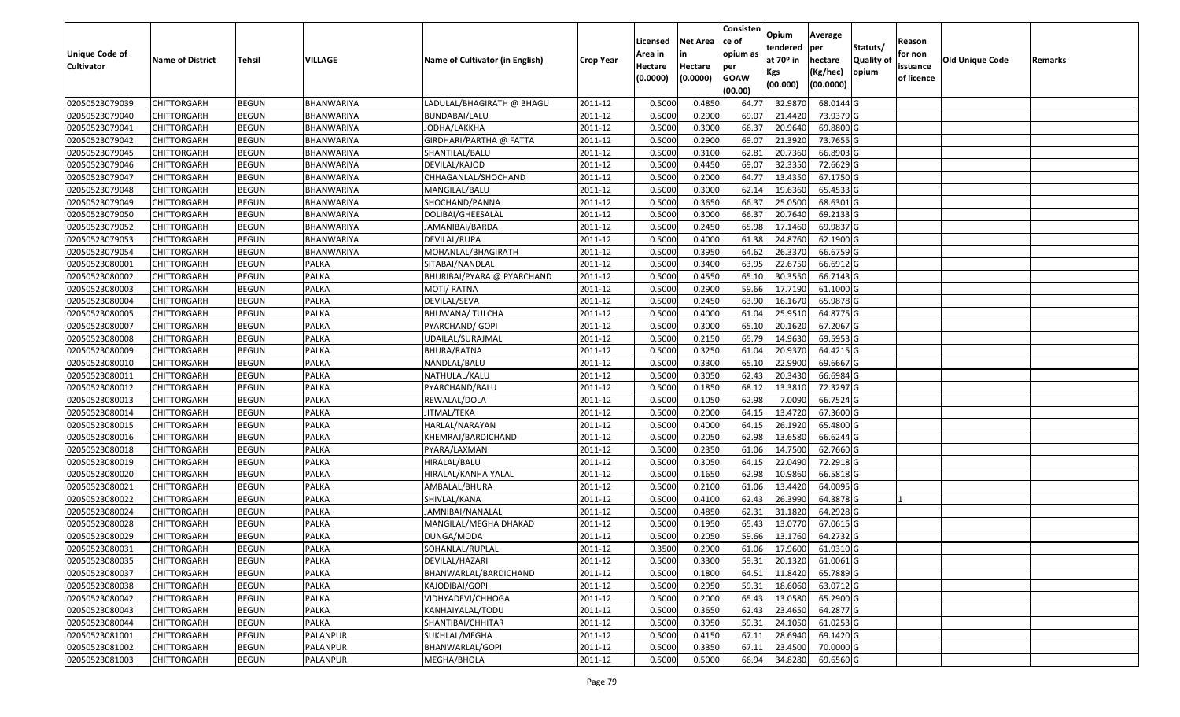|                                            |                         |               |                   |                                 |                  |                    |                 | Consisten          | Opium         | Average   |                  |                     |                 |         |
|--------------------------------------------|-------------------------|---------------|-------------------|---------------------------------|------------------|--------------------|-----------------|--------------------|---------------|-----------|------------------|---------------------|-----------------|---------|
|                                            |                         |               |                   |                                 |                  | Licensed           | <b>Net Area</b> | ce of              | tendered      | per       | Statuts/         | Reason              |                 |         |
| <b>Unique Code of</b><br><b>Cultivator</b> | <b>Name of District</b> | <b>Tehsil</b> | VILLAGE           | Name of Cultivator (in English) | <b>Crop Year</b> | Area in<br>Hectare | Hectare         | opium as           | at $70°$ in   | hectare   | <b>Quality o</b> | for non<br>issuance | Old Unique Code | Remarks |
|                                            |                         |               |                   |                                 |                  | (0.0000)           | (0.0000)        | per<br><b>GOAW</b> | Kgs           | (Kg/hec)  | opium            | of licence          |                 |         |
|                                            |                         |               |                   |                                 |                  |                    |                 | (00.00)            | (00.000)      | (00.0000) |                  |                     |                 |         |
| 02050523079039                             | CHITTORGARH             | <b>BEGUN</b>  | BHANWARIYA        | LADULAL/BHAGIRATH @ BHAGU       | 2011-12          | 0.5000             | 0.4850          | 64.77              | 32.9870       | 68.0144 G |                  |                     |                 |         |
| 02050523079040                             | CHITTORGARH             | <b>BEGUN</b>  | BHANWARIYA        | BUNDABAI/LALU                   | 2011-12          | 0.5000             | 0.2900          | 69.07              | 21.4420       | 73.9379 G |                  |                     |                 |         |
| 02050523079041                             | CHITTORGARH             | <b>BEGUN</b>  | BHANWARIYA        | JODHA/LAKKHA                    | 2011-12          | 0.5000             | 0.3000          | 66.37              | 20.9640       | 69.8800 G |                  |                     |                 |         |
| 02050523079042                             | <b>CHITTORGARH</b>      | <b>BEGUN</b>  | <b>BHANWARIYA</b> | GIRDHARI/PARTHA @ FATTA         | 2011-12          | 0.5000             | 0.2900          | 69.07              | 21.3920       | 73.7655 G |                  |                     |                 |         |
| 02050523079045                             | CHITTORGARH             | <b>BEGUN</b>  | BHANWARIYA        | SHANTILAL/BALU                  | 2011-12          | 0.5000             | 0.3100          | 62.8               | 20.7360       | 66.8903 G |                  |                     |                 |         |
| 02050523079046                             | CHITTORGARH             | <b>BEGUN</b>  | BHANWARIYA        | DEVILAL/KAJOD                   | 2011-12          | 0.5000             | 0.4450          | 69.07              | 32.3350       | 72.6629 G |                  |                     |                 |         |
| 02050523079047                             | CHITTORGARH             | <b>BEGUN</b>  | BHANWARIYA        | CHHAGANLAL/SHOCHAND             | 2011-12          | 0.5000             | 0.2000          | 64.77              | 13.4350       | 67.1750 G |                  |                     |                 |         |
| 02050523079048                             | CHITTORGARH             | <b>BEGUN</b>  | BHANWARIYA        | MANGILAL/BALU                   | 2011-12          | 0.5000             | 0.3000          | 62.14              | 19.6360       | 65.4533 G |                  |                     |                 |         |
| 02050523079049                             | CHITTORGARH             | <b>BEGUN</b>  | BHANWARIYA        | SHOCHAND/PANNA                  | 2011-12          | 0.5000             | 0.3650          | 66.37              | 25.0500       | 68.6301 G |                  |                     |                 |         |
| 02050523079050                             | CHITTORGARH             | <b>BEGUN</b>  | BHANWARIYA        | DOLIBAI/GHEESALAL               | 2011-12          | 0.5000             | 0.3000          | 66.37              | 20.7640       | 69.2133 G |                  |                     |                 |         |
| 02050523079052                             | CHITTORGARH             | <b>BEGUN</b>  | BHANWARIYA        | JAMANIBAI/BARDA                 | 2011-12          | 0.5000             | 0.2450          | 65.98              | 17.1460       | 69.9837 G |                  |                     |                 |         |
| 02050523079053                             | CHITTORGARH             | <b>BEGUN</b>  | BHANWARIYA        | DEVILAL/RUPA                    | 2011-12          | 0.5000             | 0.4000          | 61.38              | 24.8760       | 62.1900 G |                  |                     |                 |         |
| 02050523079054                             | <b>CHITTORGARH</b>      | <b>BEGUN</b>  | BHANWARIYA        | MOHANLAL/BHAGIRATH              | 2011-12          | 0.5000             | 0.3950          | 64.62              | 26.3370       | 66.6759 G |                  |                     |                 |         |
| 02050523080001                             | CHITTORGARH             | <b>BEGUN</b>  | <b>PALKA</b>      | SITABAI/NANDLAL                 | 2011-12          | 0.5000             | 0.3400          | 63.95              | 22.6750       | 66.6912G  |                  |                     |                 |         |
| 02050523080002                             | CHITTORGARH             | <b>BEGUN</b>  | PALKA             | BHURIBAI/PYARA @ PYARCHAND      | 2011-12          | 0.5000             | 0.4550          | 65.10              | 30.3550       | 66.7143 G |                  |                     |                 |         |
| 02050523080003                             | <b>CHITTORGARH</b>      | <b>BEGUN</b>  | <b>PALKA</b>      | MOTI/ RATNA                     | 2011-12          | 0.5000             | 0.2900          | 59.66              | 17.7190       | 61.1000G  |                  |                     |                 |         |
| 02050523080004                             | CHITTORGARH             | <b>BEGUN</b>  | PALKA             | DEVILAL/SEVA                    | 2011-12          | 0.5000             | 0.2450          | 63.90              | 16.1670       | 65.9878 G |                  |                     |                 |         |
| 02050523080005                             | CHITTORGARH             | <b>BEGUN</b>  | <b>PALKA</b>      | BHUWANA/ TULCHA                 | 2011-12          | 0.5000             | 0.4000          | 61.04              | 25.9510       | 64.8775 G |                  |                     |                 |         |
| 02050523080007                             | CHITTORGARH             | <b>BEGUN</b>  | PALKA             | PYARCHAND/ GOPI                 | 2011-12          | 0.5000             | 0.3000          | 65.10              | 20.1620       | 67.2067 G |                  |                     |                 |         |
| 02050523080008                             | CHITTORGARH             | <b>BEGUN</b>  | <b>PALKA</b>      | UDAILAL/SURAJMAL                | 2011-12          | 0.5000             | 0.2150          | 65.79              | 14.9630       | 69.5953 G |                  |                     |                 |         |
| 02050523080009                             | CHITTORGARH             | <b>BEGUN</b>  | <b>PALKA</b>      | BHURA/RATNA                     | 2011-12          | 0.5000             | 0.3250          | 61.04              | 20.9370       | 64.4215 G |                  |                     |                 |         |
| 02050523080010                             | CHITTORGARH             | <b>BEGUN</b>  | <b>PALKA</b>      | NANDLAL/BALU                    | 2011-12          | 0.5000             | 0.3300          | 65.1               | 22.990        | 69.6667 G |                  |                     |                 |         |
| 02050523080011                             | CHITTORGARH             | <b>BEGUN</b>  | <b>PALKA</b>      | NATHULAL/KALU                   | 2011-12          | 0.5000             | 0.3050          | 62.43              | 20.3430       | 66.6984 G |                  |                     |                 |         |
| 02050523080012                             | CHITTORGARH             | <b>BEGUN</b>  | <b>PALKA</b>      | PYARCHAND/BALU                  | 2011-12          | 0.5000             | 0.1850          | 68.1               | 13.381        | 72.3297 G |                  |                     |                 |         |
| 02050523080013                             | CHITTORGARH             | <b>BEGUN</b>  | PALKA             | REWALAL/DOLA                    | 2011-12          | 0.5000             | 0.1050          | 62.98              | 7.0090        | 66.7524 G |                  |                     |                 |         |
| 02050523080014                             | CHITTORGARH             | <b>BEGUN</b>  | <b>PALKA</b>      | JITMAL/TEKA                     | 2011-12          | 0.5000             | 0.2000          | 64.15              | 13.472        | 67.3600 G |                  |                     |                 |         |
| 02050523080015                             | CHITTORGARH             | <b>BEGUN</b>  | PALKA             | HARLAL/NARAYAN                  | 2011-12          | 0.5000             | 0.4000          | 64.15              | 26.1920       | 65.4800 G |                  |                     |                 |         |
| 02050523080016                             | CHITTORGARH             | <b>BEGUN</b>  | <b>PALKA</b>      | KHEMRAJ/BARDICHAND              | 2011-12          | 0.5000             | 0.2050          | 62.98              | 13.6580       | 66.6244 G |                  |                     |                 |         |
| 02050523080018                             | CHITTORGARH             | <b>BEGUN</b>  | <b>PALKA</b>      | PYARA/LAXMAN                    | 2011-12          | 0.5000             | 0.2350          | 61.06              | 14.7500       | 62.7660 G |                  |                     |                 |         |
| 02050523080019                             | CHITTORGARH             | <b>BEGUN</b>  | <b>PALKA</b>      | HIRALAL/BALU                    | 2011-12          | 0.5000             | 0.3050          | 64.15              | 22.0490       | 72.2918 G |                  |                     |                 |         |
| 02050523080020                             | CHITTORGARH             | <b>BEGUN</b>  | PALKA             | HIRALAL/KANHAIYALAL             | 2011-12          | 0.5000             | 0.1650          | 62.98              | 10.9860       | 66.5818 G |                  |                     |                 |         |
| 02050523080021                             | CHITTORGARH             | <b>BEGUN</b>  | PALKA             | AMBALAL/BHURA                   | 2011-12          | 0.5000             | 0.2100          | 61.06              | 13.4420       | 64.0095 G |                  |                     |                 |         |
| 02050523080022                             | CHITTORGARH             | <b>BEGUN</b>  | PALKA             | SHIVLAL/KANA                    | 2011-12          | 0.5000             | 0.4100          | 62.43              | 26.3990       | 64.3878 G |                  |                     |                 |         |
| 02050523080024                             | CHITTORGARH             | <b>BEGUN</b>  | PALKA             | JAMNIBAI/NANALAL                | 2011-12          | 0.5000             | 0.4850          | 62.3               | 31.182        | 64.2928 G |                  |                     |                 |         |
| 02050523080028                             | CHITTORGARH             | <b>BEGUN</b>  | PALKA             | MANGILAL/MEGHA DHAKAD           | 2011-12          | 0.500              | 0.1950          | 65.43              | 13.0770       | 67.0615 G |                  |                     |                 |         |
| 02050523080029                             | CHITTORGARH             | <b>BEGUN</b>  | <b>PALKA</b>      | DUNGA/MODA                      | 2011-12          | 0.5000             | 0.2050          | 59.66              | 13.1760       | 64.2732 G |                  |                     |                 |         |
| 02050523080031                             | <b>CHITTORGARH</b>      | <b>BEGUN</b>  | PALKA             | SOHANLAL/RUPLAL                 | 2011-12          | 0.3500             | 0.2900          |                    | 61.06 17.9600 | 61.9310 G |                  |                     |                 |         |
| 02050523080035                             | <b>CHITTORGARH</b>      | <b>BEGUN</b>  | PALKA             | DEVILAL/HAZARI                  | 2011-12          | 0.5000             | 0.3300          | 59.31              | 20.1320       | 61.0061 G |                  |                     |                 |         |
| 02050523080037                             | <b>CHITTORGARH</b>      | <b>BEGUN</b>  | PALKA             | BHANWARLAL/BARDICHAND           | 2011-12          | 0.5000             | 0.1800          | 64.51              | 11.8420       | 65.7889 G |                  |                     |                 |         |
| 02050523080038                             | <b>CHITTORGARH</b>      | <b>BEGUN</b>  | <b>PALKA</b>      | KAJODIBAI/GOPI                  | 2011-12          | 0.5000             | 0.2950          | 59.31              | 18.6060       | 63.0712 G |                  |                     |                 |         |
| 02050523080042                             | <b>CHITTORGARH</b>      | <b>BEGUN</b>  | PALKA             | VIDHYADEVI/CHHOGA               | 2011-12          | 0.5000             | 0.2000          | 65.43              | 13.0580       | 65.2900 G |                  |                     |                 |         |
| 02050523080043                             | <b>CHITTORGARH</b>      | <b>BEGUN</b>  | <b>PALKA</b>      | KANHAIYALAL/TODU                | 2011-12          | 0.5000             | 0.3650          | 62.43              | 23.4650       | 64.2877 G |                  |                     |                 |         |
| 02050523080044                             | <b>CHITTORGARH</b>      | <b>BEGUN</b>  | PALKA             | SHANTIBAI/CHHITAR               | 2011-12          | 0.5000             | 0.3950          | 59.31              | 24.1050       | 61.0253 G |                  |                     |                 |         |
| 02050523081001                             | <b>CHITTORGARH</b>      | <b>BEGUN</b>  | PALANPUR          | SUKHLAL/MEGHA                   | 2011-12          | 0.5000             | 0.4150          | 67.11              | 28.6940       | 69.1420 G |                  |                     |                 |         |
| 02050523081002                             | <b>CHITTORGARH</b>      | <b>BEGUN</b>  | PALANPUR          | BHANWARLAL/GOPI                 | 2011-12          | 0.5000             | 0.3350          | 67.13              | 23.4500       | 70.0000 G |                  |                     |                 |         |
| 02050523081003                             | <b>CHITTORGARH</b>      | <b>BEGUN</b>  | PALANPUR          | MEGHA/BHOLA                     | 2011-12          | 0.5000             | 0.5000          | 66.94              | 34.8280       | 69.6560 G |                  |                     |                 |         |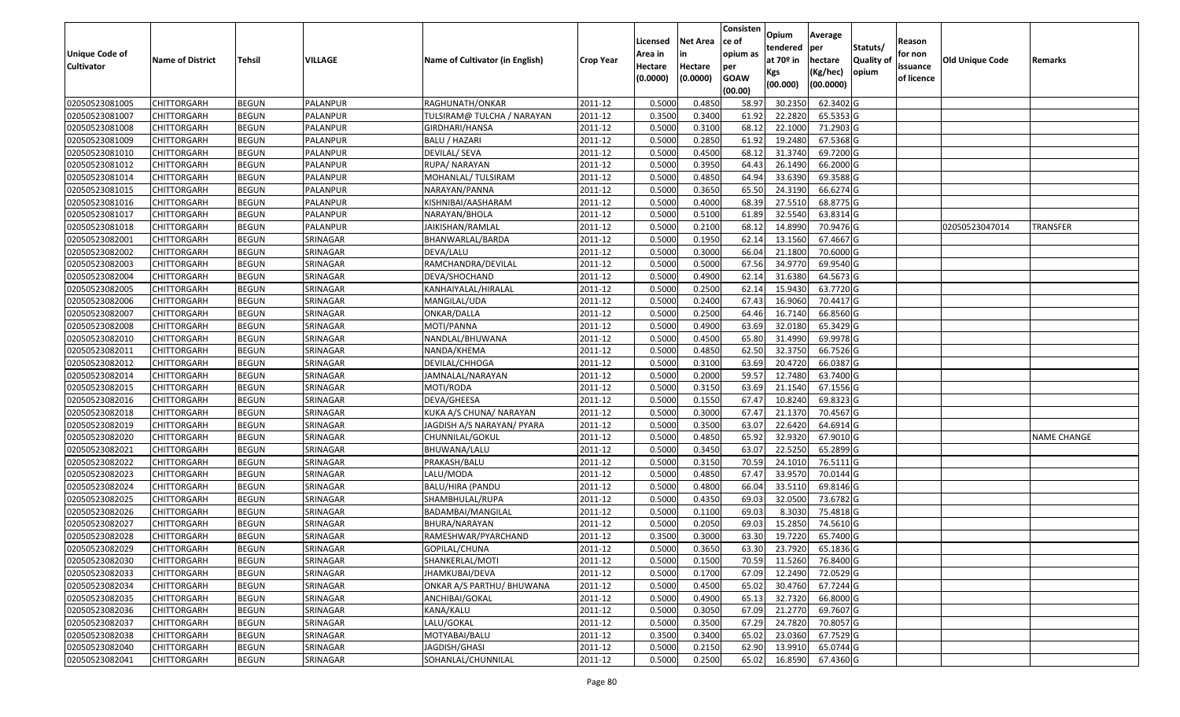|                                  |                                          |                              |                      |                                             |                    |          |                 | Consisten        | Opium         | Average                |                  |            |                 |                    |
|----------------------------------|------------------------------------------|------------------------------|----------------------|---------------------------------------------|--------------------|----------|-----------------|------------------|---------------|------------------------|------------------|------------|-----------------|--------------------|
|                                  |                                          |                              |                      |                                             |                    | Licensed | <b>Net Area</b> | ce of            | tendered      | per                    | Statuts/         | Reason     |                 |                    |
| <b>Unique Code of</b>            | <b>Name of District</b>                  | <b>Tehsil</b>                | VILLAGE              | Name of Cultivator (in English)             | <b>Crop Year</b>   | Area in  |                 | opium as         | at $70°$ in   | hectare                | <b>Quality o</b> | for non    | Old Unique Code | Remarks            |
| <b>Cultivator</b>                |                                          |                              |                      |                                             |                    | Hectare  | Hectare         | per              | Kgs           | (Kg/hec)               | opium            | issuance   |                 |                    |
|                                  |                                          |                              |                      |                                             |                    | (0.0000) | (0.0000)        | <b>GOAW</b>      | (00.000)      | (00.0000)              |                  | of licence |                 |                    |
| 02050523081005                   | CHITTORGARH                              | <b>BEGUN</b>                 | PALANPUR             | RAGHUNATH/ONKAR                             | 2011-12            | 0.5000   | 0.4850          | (00.00)<br>58.97 | 30.235        | 62.3402 G              |                  |            |                 |                    |
| 02050523081007                   | CHITTORGARH                              | <b>BEGUN</b>                 | PALANPUR             | TULSIRAM@ TULCHA / NARAYAN                  | 2011-12            | 0.3500   | 0.3400          | 61.92            | 22.2820       | 65.5353 G              |                  |            |                 |                    |
| 02050523081008                   | CHITTORGARH                              | <b>BEGUN</b>                 | PALANPUR             | GIRDHARI/HANSA                              | 2011-12            | 0.5000   | 0.3100          | 68.12            | 22.1000       | 71.2903 G              |                  |            |                 |                    |
| 02050523081009                   | <b>CHITTORGARH</b>                       | <b>BEGUN</b>                 | <b>PALANPUR</b>      | <b>BALU / HAZARI</b>                        | 2011-12            | 0.5000   | 0.2850          | 61.92            | 19.2480       | 67.5368 G              |                  |            |                 |                    |
| 02050523081010                   | CHITTORGARH                              | <b>BEGUN</b>                 | PALANPUR             | DEVILAL/ SEVA                               | 2011-12            | 0.5000   | 0.4500          | 68.1             | 31.374        | 69.7200 G              |                  |            |                 |                    |
| 02050523081012                   | CHITTORGARH                              | <b>BEGUN</b>                 | PALANPUR             | RUPA/NARAYAN                                | 2011-12            | 0.5000   | 0.3950          | 64.43            | 26.1490       | 66.2000 G              |                  |            |                 |                    |
| 02050523081014                   | CHITTORGARH                              | <b>BEGUN</b>                 | PALANPUR             | MOHANLAL/ TULSIRAM                          | 2011-12            | 0.5000   | 0.4850          | 64.94            | 33.6390       | 69.3588 G              |                  |            |                 |                    |
| 02050523081015                   | CHITTORGARH                              | <b>BEGUN</b>                 | PALANPUR             | NARAYAN/PANNA                               | 2011-12            | 0.5000   | 0.3650          | 65.50            | 24.3190       | 66.6274 G              |                  |            |                 |                    |
| 02050523081016                   | CHITTORGARH                              | <b>BEGUN</b>                 | PALANPUR             | KISHNIBAI/AASHARAM                          | 2011-12            | 0.5000   | 0.4000          | 68.39            | 27.5510       | 68.8775 G              |                  |            |                 |                    |
| 02050523081017                   | CHITTORGARH                              | <b>BEGUN</b>                 | PALANPUR             | NARAYAN/BHOLA                               | 2011-12            | 0.5000   | 0.5100          | 61.89            | 32.5540       | 63.8314 G              |                  |            |                 |                    |
| 02050523081018                   | CHITTORGARH                              | <b>BEGUN</b>                 | PALANPUR             | JAIKISHAN/RAMLAL                            | 2011-12            | 0.5000   | 0.2100          | 68.12            | 14.8990       | 70.9476 G              |                  |            | 02050523047014  | <b>TRANSFER</b>    |
| 02050523082001                   | CHITTORGARH                              | <b>BEGUN</b>                 | SRINAGAR             | BHANWARLAL/BARDA                            | 2011-12            | 0.5000   | 0.1950          | 62.1             | 13.1560       | 67.4667 G              |                  |            |                 |                    |
| 02050523082002                   | <b>CHITTORGARH</b>                       | <b>BEGUN</b>                 | SRINAGAR             | DEVA/LALU                                   | 2011-12            | 0.5000   | 0.3000          | 66.04            | 21.1800       | 70.6000 G              |                  |            |                 |                    |
| 02050523082003                   | <b>CHITTORGARH</b>                       | <b>BEGUN</b>                 | SRINAGAR             | RAMCHANDRA/DEVILAL                          | 2011-12            | 0.5000   | 0.5000          | 67.56            | 34.9770       | 69.9540 G              |                  |            |                 |                    |
| 02050523082004                   | CHITTORGARH                              | <b>BEGUN</b>                 | SRINAGAR             | DEVA/SHOCHAND                               | 2011-12            | 0.5000   | 0.4900          | 62.14            | 31.6380       | 64.5673 G              |                  |            |                 |                    |
| 02050523082005                   | <b>CHITTORGARH</b>                       | <b>BEGUN</b>                 | SRINAGAR             | KANHAIYALAL/HIRALAL                         | 2011-12            | 0.5000   | 0.2500          | 62.14            | 15.9430       | 63.7720 G              |                  |            |                 |                    |
| 02050523082006                   | <b>CHITTORGARH</b>                       | <b>BEGUN</b>                 | SRINAGAR             | MANGILAL/UDA                                | 2011-12            | 0.5000   | 0.2400          | 67.43            | 16.9060       | 70.4417G               |                  |            |                 |                    |
| 02050523082007                   | CHITTORGARH                              | <b>BEGUN</b>                 | SRINAGAR             | ONKAR/DALLA                                 | 2011-12            | 0.5000   | 0.2500          | 64.46            | 16.7140       | 66.8560 G              |                  |            |                 |                    |
| 02050523082008                   | CHITTORGARH                              | <b>BEGUN</b>                 | SRINAGAR             | MOTI/PANNA                                  | 2011-12            | 0.5000   | 0.4900          | 63.69            | 32.0180       | 65.3429 G              |                  |            |                 |                    |
| 02050523082010                   | CHITTORGARH                              | <b>BEGUN</b>                 | SRINAGAR             | NANDLAL/BHUWANA                             | 2011-12            | 0.5000   | 0.4500          | 65.80            | 31.4990       | 69.9978 G              |                  |            |                 |                    |
| 02050523082011                   | CHITTORGARH                              | <b>BEGUN</b>                 | SRINAGAR             | NANDA/KHEMA                                 | 2011-12            | 0.5000   | 0.4850          | 62.50            | 32.3750       | 66.7526 G              |                  |            |                 |                    |
| 02050523082012                   | CHITTORGARH                              | <b>BEGUN</b>                 | SRINAGAR             | DEVILAL/CHHOGA                              | 2011-12            | 0.5000   | 0.3100          | 63.69            | 20.4720       | 66.0387 G              |                  |            |                 |                    |
| 02050523082014                   | CHITTORGARH                              | <b>BEGUN</b>                 | SRINAGAR             |                                             | 2011-12            | 0.5000   | 0.2000          | 59.57            | 12.7480       | 63.7400 G              |                  |            |                 |                    |
| 02050523082015                   | CHITTORGARH                              | <b>BEGUN</b>                 | SRINAGAR             | JAMNALAL/NARAYAN<br>MOTI/RODA               | 2011-12            | 0.5000   | 0.3150          | 63.69            | 21.1540       | 67.1556 G              |                  |            |                 |                    |
|                                  |                                          | <b>BEGUN</b>                 | SRINAGAR             | DEVA/GHEESA                                 | 2011-12            | 0.5000   | 0.1550          | 67.47            | 10.8240       | 69.8323 G              |                  |            |                 |                    |
| 02050523082016                   | CHITTORGARH                              |                              |                      | KUKA A/S CHUNA/ NARAYAN                     |                    | 0.5000   | 0.3000          |                  | 21.1370       |                        |                  |            |                 |                    |
| 02050523082018<br>02050523082019 | CHITTORGARH                              | <b>BEGUN</b>                 | SRINAGAR<br>SRINAGAR |                                             | 2011-12            | 0.5000   | 0.3500          | 67.47<br>63.07   | 22.6420       | 70.4567 G<br>64.6914 G |                  |            |                 |                    |
|                                  | CHITTORGARH                              | <b>BEGUN</b>                 |                      | JAGDISH A/S NARAYAN/ PYARA                  | 2011-12<br>2011-12 | 0.5000   | 0.4850          | 65.92            | 32.9320       | 67.9010 G              |                  |            |                 |                    |
| 02050523082020<br>02050523082021 | CHITTORGARH<br>CHITTORGARH               | <b>BEGUN</b><br><b>BEGUN</b> | SRINAGAR<br>SRINAGAR | CHUNNILAL/GOKUL<br>BHUWANA/LALU             | 2011-12            | 0.5000   | 0.3450          | 63.07            | 22.5250       | 65.2899 G              |                  |            |                 | <b>NAME CHANGE</b> |
| 02050523082022                   | CHITTORGARH                              | <b>BEGUN</b>                 | SRINAGAR             | PRAKASH/BALU                                | 2011-12            | 0.5000   | 0.3150          | 70.59            | 24.1010       | 76.5111 G              |                  |            |                 |                    |
| 02050523082023                   |                                          | <b>BEGUN</b>                 | SRINAGAR             |                                             | 2011-12            | 0.5000   | 0.4850          | 67.47            | 33.9570       | 70.0144 G              |                  |            |                 |                    |
|                                  | CHITTORGARH                              |                              |                      | LALU/MODA                                   |                    | 0.5000   | 0.4800          | 66.04            | 33.5110       | 69.8146 G              |                  |            |                 |                    |
| 02050523082024<br>02050523082025 | CHITTORGARH<br>CHITTORGARH               | <b>BEGUN</b><br><b>BEGUN</b> | SRINAGAR<br>SRINAGAR | BALU/HIRA (PANDU<br>SHAMBHULAL/RUPA         | 2011-12<br>2011-12 | 0.5000   | 0.4350          | 69.03            | 32.0500       | 73.6782G               |                  |            |                 |                    |
| 02050523082026                   | CHITTORGARH                              | <b>BEGUN</b>                 | SRINAGAR             |                                             | 2011-12            | 0.5000   | 0.1100          | 69.03            | 8.303         | 75.4818 G              |                  |            |                 |                    |
| 02050523082027                   | CHITTORGARH                              | <b>BEGUN</b>                 | SRINAGAR             | BADAMBAI/MANGILAL                           |                    | 0.500    | 0.2050          | 69.03            | 15.285        | 74.5610 G              |                  |            |                 |                    |
|                                  |                                          |                              |                      | BHURA/NARAYAN                               | 2011-12            | 0.3500   | 0.3000          | 63.30            | 19.7220       | 65.7400 G              |                  |            |                 |                    |
| 02050523082028<br>02050523082029 | CHITTORGARH<br><b>CHITTORGARH</b>        | <b>BEGUN</b><br><b>BEGUN</b> | SRINAGAR<br>SRINAGAR | RAMESHWAR/PYARCHAND                         | 2011-12<br>2011-12 | 0.5000   | 0.3650          |                  |               | 65.1836 G              |                  |            |                 |                    |
|                                  |                                          |                              |                      | GOPILAL/CHUNA                               |                    |          |                 |                  | 63.30 23.7920 |                        |                  |            |                 |                    |
| 02050523082030                   | <b>CHITTORGARH</b><br><b>CHITTORGARH</b> | <b>BEGUN</b>                 | SRINAGAR             | SHANKERLAL/MOTI                             | 2011-12            | 0.5000   | 0.1500          | 70.59            | 11.5260       | 76.8400 G              |                  |            |                 |                    |
| 02050523082033                   |                                          | <b>BEGUN</b>                 | SRINAGAR             | JHAMKUBAI/DEVA<br>ONKAR A/S PARTHU/ BHUWANA | 2011-12            | 0.5000   | 0.1700          | 67.09            | 12.2490       | 72.0529 G<br>67.7244 G |                  |            |                 |                    |
| 02050523082034                   | <b>CHITTORGARH</b>                       | <b>BEGUN</b>                 | SRINAGAR             |                                             | 2011-12            | 0.5000   | 0.4500          | 65.02            | 30.4760       |                        |                  |            |                 |                    |
| 02050523082035                   | <b>CHITTORGARH</b>                       | <b>BEGUN</b>                 | SRINAGAR             | ANCHIBAI/GOKAL                              | 2011-12            | 0.5000   | 0.4900          | 65.13            | 32.7320       | 66.8000 G<br>69.7607 G |                  |            |                 |                    |
| 02050523082036                   | <b>CHITTORGARH</b>                       | <b>BEGUN</b>                 | SRINAGAR             | KANA/KALU                                   | 2011-12            | 0.5000   | 0.3050          | 67.09            | 21.2770       |                        |                  |            |                 |                    |
| 02050523082037                   | <b>CHITTORGARH</b>                       | <b>BEGUN</b>                 | SRINAGAR             | LALU/GOKAL                                  | 2011-12            | 0.5000   | 0.3500          | 67.29            | 24.7820       | 70.8057 G              |                  |            |                 |                    |
| 02050523082038                   | <b>CHITTORGARH</b>                       | <b>BEGUN</b>                 | SRINAGAR             | MOTYABAI/BALU                               | 2011-12            | 0.3500   | 0.3400          | 65.02            | 23.0360       | 67.7529 G              |                  |            |                 |                    |
| 02050523082040                   | <b>CHITTORGARH</b>                       | <b>BEGUN</b>                 | SRINAGAR             | JAGDISH/GHASI                               | 2011-12            | 0.5000   | 0.2150          | 62.90            | 13.9910       | 65.0744 G              |                  |            |                 |                    |
| 02050523082041                   | <b>CHITTORGARH</b>                       | <b>BEGUN</b>                 | SRINAGAR             | SOHANLAL/CHUNNILAL                          | 2011-12            | 0.5000   | 0.2500          | 65.02            | 16.8590       | 67.4360 G              |                  |            |                 |                    |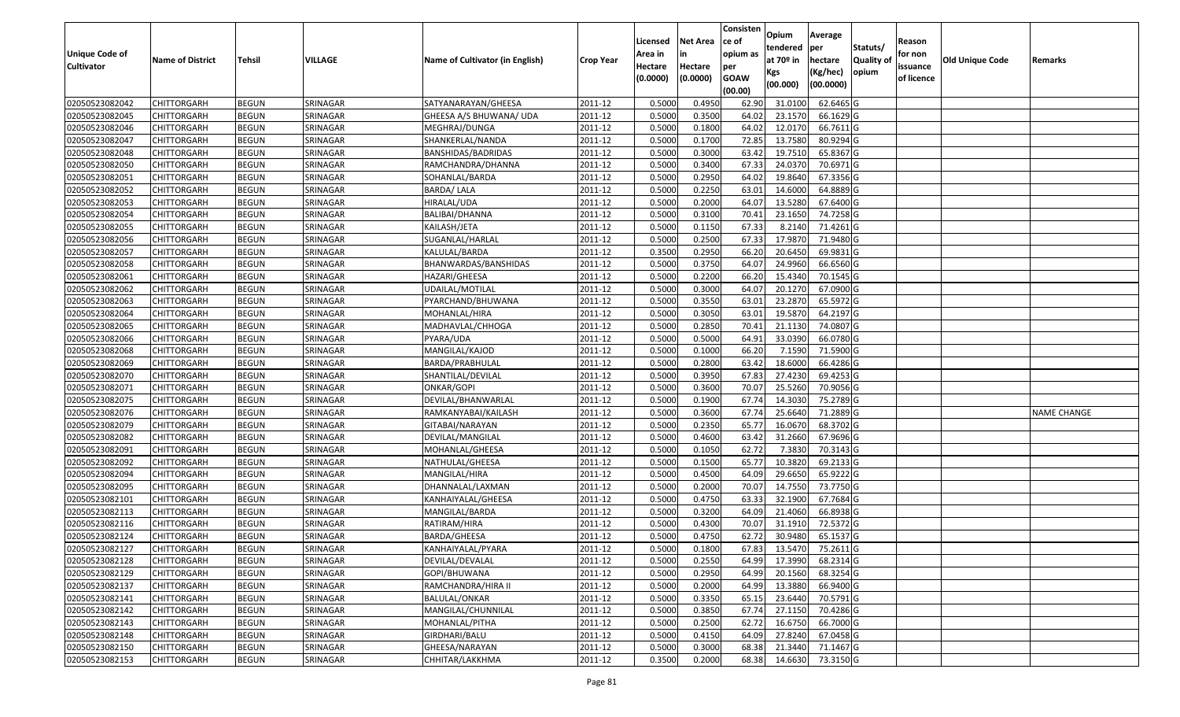| <b>Net Area</b><br>Licensed<br>lce of<br>Reason<br>Statuts/<br>tendered<br>per<br>Unique Code of<br>opium as<br>for non<br>Area in<br>at $70°$ in<br><b>Quality o</b><br>VILLAGE<br><b>Old Unique Code</b><br><b>Name of District</b><br><b>Tehsil</b><br>Name of Cultivator (in English)<br>hectare<br><b>Crop Year</b><br>Remarks<br><b>Cultivator</b><br>Hectare<br>Hectare<br>issuance<br>per<br>opium<br>(Kg/hec)<br>Kgs<br>(0.0000)<br><b>GOAW</b><br>(0.0000)<br>of licence<br>(00.0000)<br>(00.000)<br>(00.00)<br>SRINAGAR<br>SATYANARAYAN/GHEESA<br>0.5000<br>0.4950<br>31.0100<br>62.6465 G<br>02050523082042<br>CHITTORGARH<br><b>BEGUN</b><br>2011-12<br>62.90<br>02050523082045<br>0.5000<br>0.3500<br>23.1570<br>66.1629 G<br>CHITTORGARH<br><b>BEGUN</b><br>SRINAGAR<br>GHEESA A/S BHUWANA/ UDA<br>2011-12<br>64.02<br>0.5000<br>0.1800<br>64.02<br>12.0170<br>66.7611G<br>02050523082046<br>CHITTORGARH<br><b>BEGUN</b><br>SRINAGAR<br>2011-12<br>MEGHRAJ/DUNGA<br>02050523082047<br><b>CHITTORGARH</b><br><b>BEGUN</b><br>SRINAGAR<br>2011-12<br>0.5000<br>0.1700<br>72.85<br>13.7580<br>80.9294 G<br>SHANKERLAL/NANDA<br>02050523082048<br><b>BEGUN</b><br>SRINAGAR<br>2011-12<br>0.5000<br>0.3000<br>19.7510<br>65.8367 G<br>CHITTORGARH<br>BANSHIDAS/BADRIDAS<br>63.42<br>02050523082050<br><b>BEGUN</b><br>SRINAGAR<br>0.5000<br>0.3400<br>67.33<br>24.0370<br>70.6971G<br>CHITTORGARH<br>RAMCHANDRA/DHANNA<br>2011-12<br><b>BEGUN</b><br>0.5000<br>0.2950<br>64.02<br>19.8640<br>67.3356 G<br>02050523082051<br>SRINAGAR<br>2011-12<br>CHITTORGARH<br>SOHANLAL/BARDA<br>SRINAGAR<br>0.2250<br>02050523082052<br>CHITTORGARH<br><b>BEGUN</b><br><b>BARDA/LALA</b><br>2011-12<br>0.5000<br>63.01<br>14.6000<br>64.8889 G<br>02050523082053<br>SRINAGAR<br>2011-12<br>0.5000<br>0.2000<br>13.5280<br>67.6400 G<br>CHITTORGARH<br><b>BEGUN</b><br>HIRALAL/UDA<br>64.07<br>02050523082054<br><b>BEGUN</b><br>SRINAGAR<br>2011-12<br>0.5000<br>0.3100<br>70.41<br>23.1650<br>74.7258 G<br>CHITTORGARH<br>BALIBAI/DHANNA<br>0.5000<br>67.33<br>02050523082055<br><b>BEGUN</b><br>SRINAGAR<br>2011-12<br>0.1150<br>8.2140<br>71.4261G<br>CHITTORGARH<br>KAILASH/JETA<br>02050523082056<br>CHITTORGARH<br><b>BEGUN</b><br>SRINAGAR<br>SUGANLAL/HARLAL<br>2011-12<br>0.5000<br>0.2500<br>67.33<br>17.987<br>71.9480 G<br>0.3500<br>0.2950<br>20.6450<br>69.9831 G<br>02050523082057<br>SRINAGAR<br>2011-12<br>66.20<br><b>CHITTORGARH</b><br><b>BEGUN</b><br>KALULAL/BARDA<br>02050523082058<br>SRINAGAR<br>0.5000<br>0.3750<br>64.07<br>24.9960<br>66.6560 G<br><b>CHITTORGARH</b><br><b>BEGUN</b><br>BHANWARDAS/BANSHIDAS<br>2011-12<br>0.5000<br>66.20<br><b>BEGUN</b><br>0.2200<br>15.4340<br>70.1545 G<br>02050523082061<br>SRINAGAR<br>2011-12<br>CHITTORGARH<br>HAZARI/GHEESA<br>02050523082062<br><b>BEGUN</b><br>SRINAGAR<br>2011-12<br>0.5000<br>0.3000<br>64.07<br>20.1270<br>67.0900G<br>CHITTORGARH<br>UDAILAL/MOTILAL<br>65.5972 G<br>02050523082063<br>SRINAGAR<br>0.5000<br>0.3550<br>63.01<br>23.2870<br>CHITTORGARH<br><b>BEGUN</b><br>PYARCHAND/BHUWANA<br>2011-12<br>02050523082064<br>SRINAGAR<br>0.5000<br>0.3050<br>63.01<br>19.5870<br>64.2197 G<br>CHITTORGARH<br><b>BEGUN</b><br>MOHANLAL/HIRA<br>2011-12<br>0.5000<br>02050523082065<br><b>BEGUN</b><br>0.2850<br>70.41<br>21.1130<br>74.0807 G<br>CHITTORGARH<br>SRINAGAR<br>MADHAVLAL/CHHOGA<br>2011-12<br><b>BEGUN</b><br>SRINAGAR<br>0.5000<br>0.5000<br>64.91<br>33.0390<br>66.0780 G<br>02050523082066<br>CHITTORGARH<br>PYARA/UDA<br>2011-12<br>02050523082068<br>SRINAGAR<br>2011-12<br>0.5000<br>0.1000<br>66.20<br>7.1590<br>71.5900 G<br>CHITTORGARH<br><b>BEGUN</b><br>MANGILAL/KAJOD<br>02050523082069<br><b>BEGUN</b><br>SRINAGAR<br>2011-12<br>0.500<br>0.2800<br>63.42<br>18.6000<br>66.4286 G<br>CHITTORGARH<br>BARDA/PRABHULAL<br>0.5000<br>02050523082070<br>0.3950<br>67.83<br>27.4230<br>69.4253 G<br>CHITTORGARH<br><b>BEGUN</b><br>SRINAGAR<br>SHANTILAL/DEVILAL<br>2011-12<br>0.5000<br>0.3600<br>70.07<br>25.5260<br>70.9056 G<br>02050523082071<br>CHITTORGARH<br><b>BEGUN</b><br>SRINAGAR<br>2011-12<br>ONKAR/GOPI<br>0.5000<br>0.1900<br>75.2789 G<br>02050523082075<br><b>BEGUN</b><br>SRINAGAR<br>DEVILAL/BHANWARLAL<br>2011-12<br>67.7<br>14.303<br>CHITTORGARH<br>02050523082076<br>SRINAGAR<br>0.5000<br>0.3600<br>67.74<br>25.6640<br>71.2889 G<br>CHITTORGARH<br><b>BEGUN</b><br>RAMKANYABAI/KAILASH<br>2011-12<br><b>NAME CHANGE</b><br>02050523082079<br><b>BEGUN</b><br>SRINAGAR<br>0.5000<br>0.2350<br>65.77<br>16.0670<br>68.3702 G<br>CHITTORGARH<br>GITABAI/NARAYAN<br>2011-12<br>SRINAGAR<br>0.5000<br>0.4600<br>63.42<br>31.2660<br>67.9696 G<br>02050523082082<br>CHITTORGARH<br><b>BEGUN</b><br>2011-12<br>DEVILAL/MANGILAL<br>02050523082091<br><b>BEGUN</b><br>SRINAGAR<br>2011-12<br>0.5000<br>0.1050<br>62.72<br>7.3830<br>70.3143 G<br>CHITTORGARH<br>MOHANLAL/GHEESA<br>69.2133 G<br>02050523082092<br><b>BEGUN</b><br>SRINAGAR<br>2011-12<br>0.5000<br>0.1500<br>65.77<br>10.3820<br>CHITTORGARH<br>NATHULAL/GHEESA<br>29.665<br>65.9222 G<br>02050523082094<br><b>BEGUN</b><br>SRINAGAR<br>2011-12<br>0.5000<br>0.4500<br>64.09<br>CHITTORGARH<br>MANGILAL/HIRA<br><b>BEGUN</b><br>0.5000<br>0.2000<br>70.07<br>14.7550<br>73.7750 G<br>02050523082095<br>SRINAGAR<br>2011-12<br>CHITTORGARH<br>DHANNALAL/LAXMAN<br>02050523082101<br>CHITTORGARH<br><b>BEGUN</b><br>SRINAGAR<br>KANHAIYALAL/GHEESA<br>2011-12<br>0.5000<br>0.4750<br>63.33<br>32.1900<br>67.7684 G<br>0.3200<br>66.8938 G<br>02050523082113<br>CHITTORGARH<br><b>BEGUN</b><br>SRINAGAR<br>MANGILAL/BARDA<br>2011-12<br>0.5000<br>64.09<br>21.4060<br>02050523082116<br><b>BEGUN</b><br>SRINAGAR<br>0.500<br>0.4300<br>70.07<br>31.1910<br>72.5372 G<br>CHITTORGARH<br>RATIRAM/HIRA<br>2011-12<br>62.72<br>0.5000<br>0.4750<br>30.9480<br>65.1537 G<br>02050523082124<br>CHITTORGARH<br><b>BEGUN</b><br>SRINAGAR<br>2011-12<br>BARDA/GHEESA<br>02050523082127<br><b>BEGUN</b><br>SRINAGAR<br>2011-12<br>0.5000<br>67.83 13.5470 75.2611 G<br><b>CHITTORGARH</b><br>KANHAIYALAL/PYARA<br>0.1800<br>0.2550<br>68.2314 G<br>02050523082128<br><b>CHITTORGARH</b><br><b>BEGUN</b><br>SRINAGAR<br>DEVILAL/DEVALAL<br>2011-12<br>0.5000<br>64.99<br>17.3990<br>68.3254 G<br><b>CHITTORGARH</b><br><b>BEGUN</b><br>SRINAGAR<br>GOPI/BHUWANA<br>2011-12<br>0.5000<br>0.2950<br>64.99<br>20.1560<br>13.3880<br><b>BEGUN</b><br>SRINAGAR<br>0.5000<br>0.2000<br>64.99<br>66.9400 G<br><b>CHITTORGARH</b><br>RAMCHANDRA/HIRA II<br>2011-12<br>70.5791 G<br>02050523082141<br>CHITTORGARH<br><b>BEGUN</b><br>SRINAGAR<br>2011-12<br>0.5000<br>0.3350<br>65.15<br>23.6440<br>BALULAL/ONKAR<br>0.3850<br>67.74<br>27.1150<br>70.4286 G<br><b>CHITTORGARH</b><br>SRINAGAR<br>MANGILAL/CHUNNILAL<br>2011-12<br>0.5000<br><b>BEGUN</b><br>66.7000 G<br><b>CHITTORGARH</b><br><b>BEGUN</b><br>SRINAGAR<br>MOHANLAL/PITHA<br>2011-12<br>0.5000<br>0.2500<br>62.72<br>16.6750<br>27.8240<br>67.0458 G<br><b>BEGUN</b><br>SRINAGAR<br>0.5000<br>0.4150<br>64.09<br><b>CHITTORGARH</b><br>GIRDHARI/BALU<br>2011-12<br>71.1467 G<br><b>BEGUN</b><br>SRINAGAR<br>2011-12<br>0.5000<br>0.3000<br>68.38<br>21.3440<br><b>CHITTORGARH</b><br>GHEESA/NARAYAN<br>73.3150 G<br>02050523082153<br><b>BEGUN</b><br>SRINAGAR<br>2011-12<br>0.3500<br>0.2000<br>14.6630<br><b>CHITTORGARH</b><br>CHHITAR/LAKKHMA<br>68.38 |                |  |  |  | Consisten | Opium | Average |  |  |
|------------------------------------------------------------------------------------------------------------------------------------------------------------------------------------------------------------------------------------------------------------------------------------------------------------------------------------------------------------------------------------------------------------------------------------------------------------------------------------------------------------------------------------------------------------------------------------------------------------------------------------------------------------------------------------------------------------------------------------------------------------------------------------------------------------------------------------------------------------------------------------------------------------------------------------------------------------------------------------------------------------------------------------------------------------------------------------------------------------------------------------------------------------------------------------------------------------------------------------------------------------------------------------------------------------------------------------------------------------------------------------------------------------------------------------------------------------------------------------------------------------------------------------------------------------------------------------------------------------------------------------------------------------------------------------------------------------------------------------------------------------------------------------------------------------------------------------------------------------------------------------------------------------------------------------------------------------------------------------------------------------------------------------------------------------------------------------------------------------------------------------------------------------------------------------------------------------------------------------------------------------------------------------------------------------------------------------------------------------------------------------------------------------------------------------------------------------------------------------------------------------------------------------------------------------------------------------------------------------------------------------------------------------------------------------------------------------------------------------------------------------------------------------------------------------------------------------------------------------------------------------------------------------------------------------------------------------------------------------------------------------------------------------------------------------------------------------------------------------------------------------------------------------------------------------------------------------------------------------------------------------------------------------------------------------------------------------------------------------------------------------------------------------------------------------------------------------------------------------------------------------------------------------------------------------------------------------------------------------------------------------------------------------------------------------------------------------------------------------------------------------------------------------------------------------------------------------------------------------------------------------------------------------------------------------------------------------------------------------------------------------------------------------------------------------------------------------------------------------------------------------------------------------------------------------------------------------------------------------------------------------------------------------------------------------------------------------------------------------------------------------------------------------------------------------------------------------------------------------------------------------------------------------------------------------------------------------------------------------------------------------------------------------------------------------------------------------------------------------------------------------------------------------------------------------------------------------------------------------------------------------------------------------------------------------------------------------------------------------------------------------------------------------------------------------------------------------------------------------------------------------------------------------------------------------------------------------------------------------------------------------------------------------------------------------------------------------------------------------------------------------------------------------------------------------------------------------------------------------------------------------------------------------------------------------------------------------------------------------------------------------------------------------------------------------------------------------------------------------------------------------------------------------------------------------------------------------------------------------------------------------------------------------------------------------------------------------------------------------------------------------------------------------------------------------------------------------------------------------------------------------------------------------------------------------------------------------------------------------------------------------------------------------------------------------------------------------------------------------------------------------------------------------------------------------------------------------------------------------------------------------------------------------------------------------------------------------------------------------------------------------------------------------------------------------------------------------------------------------------------------------------------------------------------------------------------------------------------------------------------------------------------------------------------------------------------------------------------------------------------------------------------------------------------------------------------------------------------------------------------------------------------------------------------------------------------------------------------------------------------------------------------------------------------------------------------------------------------------------------------------------------------------|----------------|--|--|--|-----------|-------|---------|--|--|
|                                                                                                                                                                                                                                                                                                                                                                                                                                                                                                                                                                                                                                                                                                                                                                                                                                                                                                                                                                                                                                                                                                                                                                                                                                                                                                                                                                                                                                                                                                                                                                                                                                                                                                                                                                                                                                                                                                                                                                                                                                                                                                                                                                                                                                                                                                                                                                                                                                                                                                                                                                                                                                                                                                                                                                                                                                                                                                                                                                                                                                                                                                                                                                                                                                                                                                                                                                                                                                                                                                                                                                                                                                                                                                                                                                                                                                                                                                                                                                                                                                                                                                                                                                                                                                                                                                                                                                                                                                                                                                                                                                                                                                                                                                                                                                                                                                                                                                                                                                                                                                                                                                                                                                                                                                                                                                                                                                                                                                                                                                                                                                                                                                                                                                                                                                                                                                                                                                                                                                                                                                                                                                                                                                                                                                                                                                                                                                                                                                                                                                                                                                                                                                                                                                                                                                                                                                                                                                                                                                                                                                                                                                                                                                                                                                                                                                                                                                                                      |                |  |  |  |           |       |         |  |  |
|                                                                                                                                                                                                                                                                                                                                                                                                                                                                                                                                                                                                                                                                                                                                                                                                                                                                                                                                                                                                                                                                                                                                                                                                                                                                                                                                                                                                                                                                                                                                                                                                                                                                                                                                                                                                                                                                                                                                                                                                                                                                                                                                                                                                                                                                                                                                                                                                                                                                                                                                                                                                                                                                                                                                                                                                                                                                                                                                                                                                                                                                                                                                                                                                                                                                                                                                                                                                                                                                                                                                                                                                                                                                                                                                                                                                                                                                                                                                                                                                                                                                                                                                                                                                                                                                                                                                                                                                                                                                                                                                                                                                                                                                                                                                                                                                                                                                                                                                                                                                                                                                                                                                                                                                                                                                                                                                                                                                                                                                                                                                                                                                                                                                                                                                                                                                                                                                                                                                                                                                                                                                                                                                                                                                                                                                                                                                                                                                                                                                                                                                                                                                                                                                                                                                                                                                                                                                                                                                                                                                                                                                                                                                                                                                                                                                                                                                                                                                      |                |  |  |  |           |       |         |  |  |
|                                                                                                                                                                                                                                                                                                                                                                                                                                                                                                                                                                                                                                                                                                                                                                                                                                                                                                                                                                                                                                                                                                                                                                                                                                                                                                                                                                                                                                                                                                                                                                                                                                                                                                                                                                                                                                                                                                                                                                                                                                                                                                                                                                                                                                                                                                                                                                                                                                                                                                                                                                                                                                                                                                                                                                                                                                                                                                                                                                                                                                                                                                                                                                                                                                                                                                                                                                                                                                                                                                                                                                                                                                                                                                                                                                                                                                                                                                                                                                                                                                                                                                                                                                                                                                                                                                                                                                                                                                                                                                                                                                                                                                                                                                                                                                                                                                                                                                                                                                                                                                                                                                                                                                                                                                                                                                                                                                                                                                                                                                                                                                                                                                                                                                                                                                                                                                                                                                                                                                                                                                                                                                                                                                                                                                                                                                                                                                                                                                                                                                                                                                                                                                                                                                                                                                                                                                                                                                                                                                                                                                                                                                                                                                                                                                                                                                                                                                                                      |                |  |  |  |           |       |         |  |  |
|                                                                                                                                                                                                                                                                                                                                                                                                                                                                                                                                                                                                                                                                                                                                                                                                                                                                                                                                                                                                                                                                                                                                                                                                                                                                                                                                                                                                                                                                                                                                                                                                                                                                                                                                                                                                                                                                                                                                                                                                                                                                                                                                                                                                                                                                                                                                                                                                                                                                                                                                                                                                                                                                                                                                                                                                                                                                                                                                                                                                                                                                                                                                                                                                                                                                                                                                                                                                                                                                                                                                                                                                                                                                                                                                                                                                                                                                                                                                                                                                                                                                                                                                                                                                                                                                                                                                                                                                                                                                                                                                                                                                                                                                                                                                                                                                                                                                                                                                                                                                                                                                                                                                                                                                                                                                                                                                                                                                                                                                                                                                                                                                                                                                                                                                                                                                                                                                                                                                                                                                                                                                                                                                                                                                                                                                                                                                                                                                                                                                                                                                                                                                                                                                                                                                                                                                                                                                                                                                                                                                                                                                                                                                                                                                                                                                                                                                                                                                      |                |  |  |  |           |       |         |  |  |
|                                                                                                                                                                                                                                                                                                                                                                                                                                                                                                                                                                                                                                                                                                                                                                                                                                                                                                                                                                                                                                                                                                                                                                                                                                                                                                                                                                                                                                                                                                                                                                                                                                                                                                                                                                                                                                                                                                                                                                                                                                                                                                                                                                                                                                                                                                                                                                                                                                                                                                                                                                                                                                                                                                                                                                                                                                                                                                                                                                                                                                                                                                                                                                                                                                                                                                                                                                                                                                                                                                                                                                                                                                                                                                                                                                                                                                                                                                                                                                                                                                                                                                                                                                                                                                                                                                                                                                                                                                                                                                                                                                                                                                                                                                                                                                                                                                                                                                                                                                                                                                                                                                                                                                                                                                                                                                                                                                                                                                                                                                                                                                                                                                                                                                                                                                                                                                                                                                                                                                                                                                                                                                                                                                                                                                                                                                                                                                                                                                                                                                                                                                                                                                                                                                                                                                                                                                                                                                                                                                                                                                                                                                                                                                                                                                                                                                                                                                                                      |                |  |  |  |           |       |         |  |  |
|                                                                                                                                                                                                                                                                                                                                                                                                                                                                                                                                                                                                                                                                                                                                                                                                                                                                                                                                                                                                                                                                                                                                                                                                                                                                                                                                                                                                                                                                                                                                                                                                                                                                                                                                                                                                                                                                                                                                                                                                                                                                                                                                                                                                                                                                                                                                                                                                                                                                                                                                                                                                                                                                                                                                                                                                                                                                                                                                                                                                                                                                                                                                                                                                                                                                                                                                                                                                                                                                                                                                                                                                                                                                                                                                                                                                                                                                                                                                                                                                                                                                                                                                                                                                                                                                                                                                                                                                                                                                                                                                                                                                                                                                                                                                                                                                                                                                                                                                                                                                                                                                                                                                                                                                                                                                                                                                                                                                                                                                                                                                                                                                                                                                                                                                                                                                                                                                                                                                                                                                                                                                                                                                                                                                                                                                                                                                                                                                                                                                                                                                                                                                                                                                                                                                                                                                                                                                                                                                                                                                                                                                                                                                                                                                                                                                                                                                                                                                      |                |  |  |  |           |       |         |  |  |
|                                                                                                                                                                                                                                                                                                                                                                                                                                                                                                                                                                                                                                                                                                                                                                                                                                                                                                                                                                                                                                                                                                                                                                                                                                                                                                                                                                                                                                                                                                                                                                                                                                                                                                                                                                                                                                                                                                                                                                                                                                                                                                                                                                                                                                                                                                                                                                                                                                                                                                                                                                                                                                                                                                                                                                                                                                                                                                                                                                                                                                                                                                                                                                                                                                                                                                                                                                                                                                                                                                                                                                                                                                                                                                                                                                                                                                                                                                                                                                                                                                                                                                                                                                                                                                                                                                                                                                                                                                                                                                                                                                                                                                                                                                                                                                                                                                                                                                                                                                                                                                                                                                                                                                                                                                                                                                                                                                                                                                                                                                                                                                                                                                                                                                                                                                                                                                                                                                                                                                                                                                                                                                                                                                                                                                                                                                                                                                                                                                                                                                                                                                                                                                                                                                                                                                                                                                                                                                                                                                                                                                                                                                                                                                                                                                                                                                                                                                                                      |                |  |  |  |           |       |         |  |  |
|                                                                                                                                                                                                                                                                                                                                                                                                                                                                                                                                                                                                                                                                                                                                                                                                                                                                                                                                                                                                                                                                                                                                                                                                                                                                                                                                                                                                                                                                                                                                                                                                                                                                                                                                                                                                                                                                                                                                                                                                                                                                                                                                                                                                                                                                                                                                                                                                                                                                                                                                                                                                                                                                                                                                                                                                                                                                                                                                                                                                                                                                                                                                                                                                                                                                                                                                                                                                                                                                                                                                                                                                                                                                                                                                                                                                                                                                                                                                                                                                                                                                                                                                                                                                                                                                                                                                                                                                                                                                                                                                                                                                                                                                                                                                                                                                                                                                                                                                                                                                                                                                                                                                                                                                                                                                                                                                                                                                                                                                                                                                                                                                                                                                                                                                                                                                                                                                                                                                                                                                                                                                                                                                                                                                                                                                                                                                                                                                                                                                                                                                                                                                                                                                                                                                                                                                                                                                                                                                                                                                                                                                                                                                                                                                                                                                                                                                                                                                      |                |  |  |  |           |       |         |  |  |
|                                                                                                                                                                                                                                                                                                                                                                                                                                                                                                                                                                                                                                                                                                                                                                                                                                                                                                                                                                                                                                                                                                                                                                                                                                                                                                                                                                                                                                                                                                                                                                                                                                                                                                                                                                                                                                                                                                                                                                                                                                                                                                                                                                                                                                                                                                                                                                                                                                                                                                                                                                                                                                                                                                                                                                                                                                                                                                                                                                                                                                                                                                                                                                                                                                                                                                                                                                                                                                                                                                                                                                                                                                                                                                                                                                                                                                                                                                                                                                                                                                                                                                                                                                                                                                                                                                                                                                                                                                                                                                                                                                                                                                                                                                                                                                                                                                                                                                                                                                                                                                                                                                                                                                                                                                                                                                                                                                                                                                                                                                                                                                                                                                                                                                                                                                                                                                                                                                                                                                                                                                                                                                                                                                                                                                                                                                                                                                                                                                                                                                                                                                                                                                                                                                                                                                                                                                                                                                                                                                                                                                                                                                                                                                                                                                                                                                                                                                                                      |                |  |  |  |           |       |         |  |  |
|                                                                                                                                                                                                                                                                                                                                                                                                                                                                                                                                                                                                                                                                                                                                                                                                                                                                                                                                                                                                                                                                                                                                                                                                                                                                                                                                                                                                                                                                                                                                                                                                                                                                                                                                                                                                                                                                                                                                                                                                                                                                                                                                                                                                                                                                                                                                                                                                                                                                                                                                                                                                                                                                                                                                                                                                                                                                                                                                                                                                                                                                                                                                                                                                                                                                                                                                                                                                                                                                                                                                                                                                                                                                                                                                                                                                                                                                                                                                                                                                                                                                                                                                                                                                                                                                                                                                                                                                                                                                                                                                                                                                                                                                                                                                                                                                                                                                                                                                                                                                                                                                                                                                                                                                                                                                                                                                                                                                                                                                                                                                                                                                                                                                                                                                                                                                                                                                                                                                                                                                                                                                                                                                                                                                                                                                                                                                                                                                                                                                                                                                                                                                                                                                                                                                                                                                                                                                                                                                                                                                                                                                                                                                                                                                                                                                                                                                                                                                      |                |  |  |  |           |       |         |  |  |
|                                                                                                                                                                                                                                                                                                                                                                                                                                                                                                                                                                                                                                                                                                                                                                                                                                                                                                                                                                                                                                                                                                                                                                                                                                                                                                                                                                                                                                                                                                                                                                                                                                                                                                                                                                                                                                                                                                                                                                                                                                                                                                                                                                                                                                                                                                                                                                                                                                                                                                                                                                                                                                                                                                                                                                                                                                                                                                                                                                                                                                                                                                                                                                                                                                                                                                                                                                                                                                                                                                                                                                                                                                                                                                                                                                                                                                                                                                                                                                                                                                                                                                                                                                                                                                                                                                                                                                                                                                                                                                                                                                                                                                                                                                                                                                                                                                                                                                                                                                                                                                                                                                                                                                                                                                                                                                                                                                                                                                                                                                                                                                                                                                                                                                                                                                                                                                                                                                                                                                                                                                                                                                                                                                                                                                                                                                                                                                                                                                                                                                                                                                                                                                                                                                                                                                                                                                                                                                                                                                                                                                                                                                                                                                                                                                                                                                                                                                                                      |                |  |  |  |           |       |         |  |  |
|                                                                                                                                                                                                                                                                                                                                                                                                                                                                                                                                                                                                                                                                                                                                                                                                                                                                                                                                                                                                                                                                                                                                                                                                                                                                                                                                                                                                                                                                                                                                                                                                                                                                                                                                                                                                                                                                                                                                                                                                                                                                                                                                                                                                                                                                                                                                                                                                                                                                                                                                                                                                                                                                                                                                                                                                                                                                                                                                                                                                                                                                                                                                                                                                                                                                                                                                                                                                                                                                                                                                                                                                                                                                                                                                                                                                                                                                                                                                                                                                                                                                                                                                                                                                                                                                                                                                                                                                                                                                                                                                                                                                                                                                                                                                                                                                                                                                                                                                                                                                                                                                                                                                                                                                                                                                                                                                                                                                                                                                                                                                                                                                                                                                                                                                                                                                                                                                                                                                                                                                                                                                                                                                                                                                                                                                                                                                                                                                                                                                                                                                                                                                                                                                                                                                                                                                                                                                                                                                                                                                                                                                                                                                                                                                                                                                                                                                                                                                      |                |  |  |  |           |       |         |  |  |
|                                                                                                                                                                                                                                                                                                                                                                                                                                                                                                                                                                                                                                                                                                                                                                                                                                                                                                                                                                                                                                                                                                                                                                                                                                                                                                                                                                                                                                                                                                                                                                                                                                                                                                                                                                                                                                                                                                                                                                                                                                                                                                                                                                                                                                                                                                                                                                                                                                                                                                                                                                                                                                                                                                                                                                                                                                                                                                                                                                                                                                                                                                                                                                                                                                                                                                                                                                                                                                                                                                                                                                                                                                                                                                                                                                                                                                                                                                                                                                                                                                                                                                                                                                                                                                                                                                                                                                                                                                                                                                                                                                                                                                                                                                                                                                                                                                                                                                                                                                                                                                                                                                                                                                                                                                                                                                                                                                                                                                                                                                                                                                                                                                                                                                                                                                                                                                                                                                                                                                                                                                                                                                                                                                                                                                                                                                                                                                                                                                                                                                                                                                                                                                                                                                                                                                                                                                                                                                                                                                                                                                                                                                                                                                                                                                                                                                                                                                                                      |                |  |  |  |           |       |         |  |  |
|                                                                                                                                                                                                                                                                                                                                                                                                                                                                                                                                                                                                                                                                                                                                                                                                                                                                                                                                                                                                                                                                                                                                                                                                                                                                                                                                                                                                                                                                                                                                                                                                                                                                                                                                                                                                                                                                                                                                                                                                                                                                                                                                                                                                                                                                                                                                                                                                                                                                                                                                                                                                                                                                                                                                                                                                                                                                                                                                                                                                                                                                                                                                                                                                                                                                                                                                                                                                                                                                                                                                                                                                                                                                                                                                                                                                                                                                                                                                                                                                                                                                                                                                                                                                                                                                                                                                                                                                                                                                                                                                                                                                                                                                                                                                                                                                                                                                                                                                                                                                                                                                                                                                                                                                                                                                                                                                                                                                                                                                                                                                                                                                                                                                                                                                                                                                                                                                                                                                                                                                                                                                                                                                                                                                                                                                                                                                                                                                                                                                                                                                                                                                                                                                                                                                                                                                                                                                                                                                                                                                                                                                                                                                                                                                                                                                                                                                                                                                      |                |  |  |  |           |       |         |  |  |
|                                                                                                                                                                                                                                                                                                                                                                                                                                                                                                                                                                                                                                                                                                                                                                                                                                                                                                                                                                                                                                                                                                                                                                                                                                                                                                                                                                                                                                                                                                                                                                                                                                                                                                                                                                                                                                                                                                                                                                                                                                                                                                                                                                                                                                                                                                                                                                                                                                                                                                                                                                                                                                                                                                                                                                                                                                                                                                                                                                                                                                                                                                                                                                                                                                                                                                                                                                                                                                                                                                                                                                                                                                                                                                                                                                                                                                                                                                                                                                                                                                                                                                                                                                                                                                                                                                                                                                                                                                                                                                                                                                                                                                                                                                                                                                                                                                                                                                                                                                                                                                                                                                                                                                                                                                                                                                                                                                                                                                                                                                                                                                                                                                                                                                                                                                                                                                                                                                                                                                                                                                                                                                                                                                                                                                                                                                                                                                                                                                                                                                                                                                                                                                                                                                                                                                                                                                                                                                                                                                                                                                                                                                                                                                                                                                                                                                                                                                                                      |                |  |  |  |           |       |         |  |  |
|                                                                                                                                                                                                                                                                                                                                                                                                                                                                                                                                                                                                                                                                                                                                                                                                                                                                                                                                                                                                                                                                                                                                                                                                                                                                                                                                                                                                                                                                                                                                                                                                                                                                                                                                                                                                                                                                                                                                                                                                                                                                                                                                                                                                                                                                                                                                                                                                                                                                                                                                                                                                                                                                                                                                                                                                                                                                                                                                                                                                                                                                                                                                                                                                                                                                                                                                                                                                                                                                                                                                                                                                                                                                                                                                                                                                                                                                                                                                                                                                                                                                                                                                                                                                                                                                                                                                                                                                                                                                                                                                                                                                                                                                                                                                                                                                                                                                                                                                                                                                                                                                                                                                                                                                                                                                                                                                                                                                                                                                                                                                                                                                                                                                                                                                                                                                                                                                                                                                                                                                                                                                                                                                                                                                                                                                                                                                                                                                                                                                                                                                                                                                                                                                                                                                                                                                                                                                                                                                                                                                                                                                                                                                                                                                                                                                                                                                                                                                      |                |  |  |  |           |       |         |  |  |
|                                                                                                                                                                                                                                                                                                                                                                                                                                                                                                                                                                                                                                                                                                                                                                                                                                                                                                                                                                                                                                                                                                                                                                                                                                                                                                                                                                                                                                                                                                                                                                                                                                                                                                                                                                                                                                                                                                                                                                                                                                                                                                                                                                                                                                                                                                                                                                                                                                                                                                                                                                                                                                                                                                                                                                                                                                                                                                                                                                                                                                                                                                                                                                                                                                                                                                                                                                                                                                                                                                                                                                                                                                                                                                                                                                                                                                                                                                                                                                                                                                                                                                                                                                                                                                                                                                                                                                                                                                                                                                                                                                                                                                                                                                                                                                                                                                                                                                                                                                                                                                                                                                                                                                                                                                                                                                                                                                                                                                                                                                                                                                                                                                                                                                                                                                                                                                                                                                                                                                                                                                                                                                                                                                                                                                                                                                                                                                                                                                                                                                                                                                                                                                                                                                                                                                                                                                                                                                                                                                                                                                                                                                                                                                                                                                                                                                                                                                                                      |                |  |  |  |           |       |         |  |  |
|                                                                                                                                                                                                                                                                                                                                                                                                                                                                                                                                                                                                                                                                                                                                                                                                                                                                                                                                                                                                                                                                                                                                                                                                                                                                                                                                                                                                                                                                                                                                                                                                                                                                                                                                                                                                                                                                                                                                                                                                                                                                                                                                                                                                                                                                                                                                                                                                                                                                                                                                                                                                                                                                                                                                                                                                                                                                                                                                                                                                                                                                                                                                                                                                                                                                                                                                                                                                                                                                                                                                                                                                                                                                                                                                                                                                                                                                                                                                                                                                                                                                                                                                                                                                                                                                                                                                                                                                                                                                                                                                                                                                                                                                                                                                                                                                                                                                                                                                                                                                                                                                                                                                                                                                                                                                                                                                                                                                                                                                                                                                                                                                                                                                                                                                                                                                                                                                                                                                                                                                                                                                                                                                                                                                                                                                                                                                                                                                                                                                                                                                                                                                                                                                                                                                                                                                                                                                                                                                                                                                                                                                                                                                                                                                                                                                                                                                                                                                      |                |  |  |  |           |       |         |  |  |
|                                                                                                                                                                                                                                                                                                                                                                                                                                                                                                                                                                                                                                                                                                                                                                                                                                                                                                                                                                                                                                                                                                                                                                                                                                                                                                                                                                                                                                                                                                                                                                                                                                                                                                                                                                                                                                                                                                                                                                                                                                                                                                                                                                                                                                                                                                                                                                                                                                                                                                                                                                                                                                                                                                                                                                                                                                                                                                                                                                                                                                                                                                                                                                                                                                                                                                                                                                                                                                                                                                                                                                                                                                                                                                                                                                                                                                                                                                                                                                                                                                                                                                                                                                                                                                                                                                                                                                                                                                                                                                                                                                                                                                                                                                                                                                                                                                                                                                                                                                                                                                                                                                                                                                                                                                                                                                                                                                                                                                                                                                                                                                                                                                                                                                                                                                                                                                                                                                                                                                                                                                                                                                                                                                                                                                                                                                                                                                                                                                                                                                                                                                                                                                                                                                                                                                                                                                                                                                                                                                                                                                                                                                                                                                                                                                                                                                                                                                                                      |                |  |  |  |           |       |         |  |  |
|                                                                                                                                                                                                                                                                                                                                                                                                                                                                                                                                                                                                                                                                                                                                                                                                                                                                                                                                                                                                                                                                                                                                                                                                                                                                                                                                                                                                                                                                                                                                                                                                                                                                                                                                                                                                                                                                                                                                                                                                                                                                                                                                                                                                                                                                                                                                                                                                                                                                                                                                                                                                                                                                                                                                                                                                                                                                                                                                                                                                                                                                                                                                                                                                                                                                                                                                                                                                                                                                                                                                                                                                                                                                                                                                                                                                                                                                                                                                                                                                                                                                                                                                                                                                                                                                                                                                                                                                                                                                                                                                                                                                                                                                                                                                                                                                                                                                                                                                                                                                                                                                                                                                                                                                                                                                                                                                                                                                                                                                                                                                                                                                                                                                                                                                                                                                                                                                                                                                                                                                                                                                                                                                                                                                                                                                                                                                                                                                                                                                                                                                                                                                                                                                                                                                                                                                                                                                                                                                                                                                                                                                                                                                                                                                                                                                                                                                                                                                      |                |  |  |  |           |       |         |  |  |
|                                                                                                                                                                                                                                                                                                                                                                                                                                                                                                                                                                                                                                                                                                                                                                                                                                                                                                                                                                                                                                                                                                                                                                                                                                                                                                                                                                                                                                                                                                                                                                                                                                                                                                                                                                                                                                                                                                                                                                                                                                                                                                                                                                                                                                                                                                                                                                                                                                                                                                                                                                                                                                                                                                                                                                                                                                                                                                                                                                                                                                                                                                                                                                                                                                                                                                                                                                                                                                                                                                                                                                                                                                                                                                                                                                                                                                                                                                                                                                                                                                                                                                                                                                                                                                                                                                                                                                                                                                                                                                                                                                                                                                                                                                                                                                                                                                                                                                                                                                                                                                                                                                                                                                                                                                                                                                                                                                                                                                                                                                                                                                                                                                                                                                                                                                                                                                                                                                                                                                                                                                                                                                                                                                                                                                                                                                                                                                                                                                                                                                                                                                                                                                                                                                                                                                                                                                                                                                                                                                                                                                                                                                                                                                                                                                                                                                                                                                                                      |                |  |  |  |           |       |         |  |  |
|                                                                                                                                                                                                                                                                                                                                                                                                                                                                                                                                                                                                                                                                                                                                                                                                                                                                                                                                                                                                                                                                                                                                                                                                                                                                                                                                                                                                                                                                                                                                                                                                                                                                                                                                                                                                                                                                                                                                                                                                                                                                                                                                                                                                                                                                                                                                                                                                                                                                                                                                                                                                                                                                                                                                                                                                                                                                                                                                                                                                                                                                                                                                                                                                                                                                                                                                                                                                                                                                                                                                                                                                                                                                                                                                                                                                                                                                                                                                                                                                                                                                                                                                                                                                                                                                                                                                                                                                                                                                                                                                                                                                                                                                                                                                                                                                                                                                                                                                                                                                                                                                                                                                                                                                                                                                                                                                                                                                                                                                                                                                                                                                                                                                                                                                                                                                                                                                                                                                                                                                                                                                                                                                                                                                                                                                                                                                                                                                                                                                                                                                                                                                                                                                                                                                                                                                                                                                                                                                                                                                                                                                                                                                                                                                                                                                                                                                                                                                      |                |  |  |  |           |       |         |  |  |
|                                                                                                                                                                                                                                                                                                                                                                                                                                                                                                                                                                                                                                                                                                                                                                                                                                                                                                                                                                                                                                                                                                                                                                                                                                                                                                                                                                                                                                                                                                                                                                                                                                                                                                                                                                                                                                                                                                                                                                                                                                                                                                                                                                                                                                                                                                                                                                                                                                                                                                                                                                                                                                                                                                                                                                                                                                                                                                                                                                                                                                                                                                                                                                                                                                                                                                                                                                                                                                                                                                                                                                                                                                                                                                                                                                                                                                                                                                                                                                                                                                                                                                                                                                                                                                                                                                                                                                                                                                                                                                                                                                                                                                                                                                                                                                                                                                                                                                                                                                                                                                                                                                                                                                                                                                                                                                                                                                                                                                                                                                                                                                                                                                                                                                                                                                                                                                                                                                                                                                                                                                                                                                                                                                                                                                                                                                                                                                                                                                                                                                                                                                                                                                                                                                                                                                                                                                                                                                                                                                                                                                                                                                                                                                                                                                                                                                                                                                                                      |                |  |  |  |           |       |         |  |  |
|                                                                                                                                                                                                                                                                                                                                                                                                                                                                                                                                                                                                                                                                                                                                                                                                                                                                                                                                                                                                                                                                                                                                                                                                                                                                                                                                                                                                                                                                                                                                                                                                                                                                                                                                                                                                                                                                                                                                                                                                                                                                                                                                                                                                                                                                                                                                                                                                                                                                                                                                                                                                                                                                                                                                                                                                                                                                                                                                                                                                                                                                                                                                                                                                                                                                                                                                                                                                                                                                                                                                                                                                                                                                                                                                                                                                                                                                                                                                                                                                                                                                                                                                                                                                                                                                                                                                                                                                                                                                                                                                                                                                                                                                                                                                                                                                                                                                                                                                                                                                                                                                                                                                                                                                                                                                                                                                                                                                                                                                                                                                                                                                                                                                                                                                                                                                                                                                                                                                                                                                                                                                                                                                                                                                                                                                                                                                                                                                                                                                                                                                                                                                                                                                                                                                                                                                                                                                                                                                                                                                                                                                                                                                                                                                                                                                                                                                                                                                      |                |  |  |  |           |       |         |  |  |
|                                                                                                                                                                                                                                                                                                                                                                                                                                                                                                                                                                                                                                                                                                                                                                                                                                                                                                                                                                                                                                                                                                                                                                                                                                                                                                                                                                                                                                                                                                                                                                                                                                                                                                                                                                                                                                                                                                                                                                                                                                                                                                                                                                                                                                                                                                                                                                                                                                                                                                                                                                                                                                                                                                                                                                                                                                                                                                                                                                                                                                                                                                                                                                                                                                                                                                                                                                                                                                                                                                                                                                                                                                                                                                                                                                                                                                                                                                                                                                                                                                                                                                                                                                                                                                                                                                                                                                                                                                                                                                                                                                                                                                                                                                                                                                                                                                                                                                                                                                                                                                                                                                                                                                                                                                                                                                                                                                                                                                                                                                                                                                                                                                                                                                                                                                                                                                                                                                                                                                                                                                                                                                                                                                                                                                                                                                                                                                                                                                                                                                                                                                                                                                                                                                                                                                                                                                                                                                                                                                                                                                                                                                                                                                                                                                                                                                                                                                                                      |                |  |  |  |           |       |         |  |  |
|                                                                                                                                                                                                                                                                                                                                                                                                                                                                                                                                                                                                                                                                                                                                                                                                                                                                                                                                                                                                                                                                                                                                                                                                                                                                                                                                                                                                                                                                                                                                                                                                                                                                                                                                                                                                                                                                                                                                                                                                                                                                                                                                                                                                                                                                                                                                                                                                                                                                                                                                                                                                                                                                                                                                                                                                                                                                                                                                                                                                                                                                                                                                                                                                                                                                                                                                                                                                                                                                                                                                                                                                                                                                                                                                                                                                                                                                                                                                                                                                                                                                                                                                                                                                                                                                                                                                                                                                                                                                                                                                                                                                                                                                                                                                                                                                                                                                                                                                                                                                                                                                                                                                                                                                                                                                                                                                                                                                                                                                                                                                                                                                                                                                                                                                                                                                                                                                                                                                                                                                                                                                                                                                                                                                                                                                                                                                                                                                                                                                                                                                                                                                                                                                                                                                                                                                                                                                                                                                                                                                                                                                                                                                                                                                                                                                                                                                                                                                      |                |  |  |  |           |       |         |  |  |
|                                                                                                                                                                                                                                                                                                                                                                                                                                                                                                                                                                                                                                                                                                                                                                                                                                                                                                                                                                                                                                                                                                                                                                                                                                                                                                                                                                                                                                                                                                                                                                                                                                                                                                                                                                                                                                                                                                                                                                                                                                                                                                                                                                                                                                                                                                                                                                                                                                                                                                                                                                                                                                                                                                                                                                                                                                                                                                                                                                                                                                                                                                                                                                                                                                                                                                                                                                                                                                                                                                                                                                                                                                                                                                                                                                                                                                                                                                                                                                                                                                                                                                                                                                                                                                                                                                                                                                                                                                                                                                                                                                                                                                                                                                                                                                                                                                                                                                                                                                                                                                                                                                                                                                                                                                                                                                                                                                                                                                                                                                                                                                                                                                                                                                                                                                                                                                                                                                                                                                                                                                                                                                                                                                                                                                                                                                                                                                                                                                                                                                                                                                                                                                                                                                                                                                                                                                                                                                                                                                                                                                                                                                                                                                                                                                                                                                                                                                                                      |                |  |  |  |           |       |         |  |  |
|                                                                                                                                                                                                                                                                                                                                                                                                                                                                                                                                                                                                                                                                                                                                                                                                                                                                                                                                                                                                                                                                                                                                                                                                                                                                                                                                                                                                                                                                                                                                                                                                                                                                                                                                                                                                                                                                                                                                                                                                                                                                                                                                                                                                                                                                                                                                                                                                                                                                                                                                                                                                                                                                                                                                                                                                                                                                                                                                                                                                                                                                                                                                                                                                                                                                                                                                                                                                                                                                                                                                                                                                                                                                                                                                                                                                                                                                                                                                                                                                                                                                                                                                                                                                                                                                                                                                                                                                                                                                                                                                                                                                                                                                                                                                                                                                                                                                                                                                                                                                                                                                                                                                                                                                                                                                                                                                                                                                                                                                                                                                                                                                                                                                                                                                                                                                                                                                                                                                                                                                                                                                                                                                                                                                                                                                                                                                                                                                                                                                                                                                                                                                                                                                                                                                                                                                                                                                                                                                                                                                                                                                                                                                                                                                                                                                                                                                                                                                      |                |  |  |  |           |       |         |  |  |
|                                                                                                                                                                                                                                                                                                                                                                                                                                                                                                                                                                                                                                                                                                                                                                                                                                                                                                                                                                                                                                                                                                                                                                                                                                                                                                                                                                                                                                                                                                                                                                                                                                                                                                                                                                                                                                                                                                                                                                                                                                                                                                                                                                                                                                                                                                                                                                                                                                                                                                                                                                                                                                                                                                                                                                                                                                                                                                                                                                                                                                                                                                                                                                                                                                                                                                                                                                                                                                                                                                                                                                                                                                                                                                                                                                                                                                                                                                                                                                                                                                                                                                                                                                                                                                                                                                                                                                                                                                                                                                                                                                                                                                                                                                                                                                                                                                                                                                                                                                                                                                                                                                                                                                                                                                                                                                                                                                                                                                                                                                                                                                                                                                                                                                                                                                                                                                                                                                                                                                                                                                                                                                                                                                                                                                                                                                                                                                                                                                                                                                                                                                                                                                                                                                                                                                                                                                                                                                                                                                                                                                                                                                                                                                                                                                                                                                                                                                                                      |                |  |  |  |           |       |         |  |  |
|                                                                                                                                                                                                                                                                                                                                                                                                                                                                                                                                                                                                                                                                                                                                                                                                                                                                                                                                                                                                                                                                                                                                                                                                                                                                                                                                                                                                                                                                                                                                                                                                                                                                                                                                                                                                                                                                                                                                                                                                                                                                                                                                                                                                                                                                                                                                                                                                                                                                                                                                                                                                                                                                                                                                                                                                                                                                                                                                                                                                                                                                                                                                                                                                                                                                                                                                                                                                                                                                                                                                                                                                                                                                                                                                                                                                                                                                                                                                                                                                                                                                                                                                                                                                                                                                                                                                                                                                                                                                                                                                                                                                                                                                                                                                                                                                                                                                                                                                                                                                                                                                                                                                                                                                                                                                                                                                                                                                                                                                                                                                                                                                                                                                                                                                                                                                                                                                                                                                                                                                                                                                                                                                                                                                                                                                                                                                                                                                                                                                                                                                                                                                                                                                                                                                                                                                                                                                                                                                                                                                                                                                                                                                                                                                                                                                                                                                                                                                      |                |  |  |  |           |       |         |  |  |
|                                                                                                                                                                                                                                                                                                                                                                                                                                                                                                                                                                                                                                                                                                                                                                                                                                                                                                                                                                                                                                                                                                                                                                                                                                                                                                                                                                                                                                                                                                                                                                                                                                                                                                                                                                                                                                                                                                                                                                                                                                                                                                                                                                                                                                                                                                                                                                                                                                                                                                                                                                                                                                                                                                                                                                                                                                                                                                                                                                                                                                                                                                                                                                                                                                                                                                                                                                                                                                                                                                                                                                                                                                                                                                                                                                                                                                                                                                                                                                                                                                                                                                                                                                                                                                                                                                                                                                                                                                                                                                                                                                                                                                                                                                                                                                                                                                                                                                                                                                                                                                                                                                                                                                                                                                                                                                                                                                                                                                                                                                                                                                                                                                                                                                                                                                                                                                                                                                                                                                                                                                                                                                                                                                                                                                                                                                                                                                                                                                                                                                                                                                                                                                                                                                                                                                                                                                                                                                                                                                                                                                                                                                                                                                                                                                                                                                                                                                                                      |                |  |  |  |           |       |         |  |  |
|                                                                                                                                                                                                                                                                                                                                                                                                                                                                                                                                                                                                                                                                                                                                                                                                                                                                                                                                                                                                                                                                                                                                                                                                                                                                                                                                                                                                                                                                                                                                                                                                                                                                                                                                                                                                                                                                                                                                                                                                                                                                                                                                                                                                                                                                                                                                                                                                                                                                                                                                                                                                                                                                                                                                                                                                                                                                                                                                                                                                                                                                                                                                                                                                                                                                                                                                                                                                                                                                                                                                                                                                                                                                                                                                                                                                                                                                                                                                                                                                                                                                                                                                                                                                                                                                                                                                                                                                                                                                                                                                                                                                                                                                                                                                                                                                                                                                                                                                                                                                                                                                                                                                                                                                                                                                                                                                                                                                                                                                                                                                                                                                                                                                                                                                                                                                                                                                                                                                                                                                                                                                                                                                                                                                                                                                                                                                                                                                                                                                                                                                                                                                                                                                                                                                                                                                                                                                                                                                                                                                                                                                                                                                                                                                                                                                                                                                                                                                      |                |  |  |  |           |       |         |  |  |
|                                                                                                                                                                                                                                                                                                                                                                                                                                                                                                                                                                                                                                                                                                                                                                                                                                                                                                                                                                                                                                                                                                                                                                                                                                                                                                                                                                                                                                                                                                                                                                                                                                                                                                                                                                                                                                                                                                                                                                                                                                                                                                                                                                                                                                                                                                                                                                                                                                                                                                                                                                                                                                                                                                                                                                                                                                                                                                                                                                                                                                                                                                                                                                                                                                                                                                                                                                                                                                                                                                                                                                                                                                                                                                                                                                                                                                                                                                                                                                                                                                                                                                                                                                                                                                                                                                                                                                                                                                                                                                                                                                                                                                                                                                                                                                                                                                                                                                                                                                                                                                                                                                                                                                                                                                                                                                                                                                                                                                                                                                                                                                                                                                                                                                                                                                                                                                                                                                                                                                                                                                                                                                                                                                                                                                                                                                                                                                                                                                                                                                                                                                                                                                                                                                                                                                                                                                                                                                                                                                                                                                                                                                                                                                                                                                                                                                                                                                                                      |                |  |  |  |           |       |         |  |  |
|                                                                                                                                                                                                                                                                                                                                                                                                                                                                                                                                                                                                                                                                                                                                                                                                                                                                                                                                                                                                                                                                                                                                                                                                                                                                                                                                                                                                                                                                                                                                                                                                                                                                                                                                                                                                                                                                                                                                                                                                                                                                                                                                                                                                                                                                                                                                                                                                                                                                                                                                                                                                                                                                                                                                                                                                                                                                                                                                                                                                                                                                                                                                                                                                                                                                                                                                                                                                                                                                                                                                                                                                                                                                                                                                                                                                                                                                                                                                                                                                                                                                                                                                                                                                                                                                                                                                                                                                                                                                                                                                                                                                                                                                                                                                                                                                                                                                                                                                                                                                                                                                                                                                                                                                                                                                                                                                                                                                                                                                                                                                                                                                                                                                                                                                                                                                                                                                                                                                                                                                                                                                                                                                                                                                                                                                                                                                                                                                                                                                                                                                                                                                                                                                                                                                                                                                                                                                                                                                                                                                                                                                                                                                                                                                                                                                                                                                                                                                      |                |  |  |  |           |       |         |  |  |
|                                                                                                                                                                                                                                                                                                                                                                                                                                                                                                                                                                                                                                                                                                                                                                                                                                                                                                                                                                                                                                                                                                                                                                                                                                                                                                                                                                                                                                                                                                                                                                                                                                                                                                                                                                                                                                                                                                                                                                                                                                                                                                                                                                                                                                                                                                                                                                                                                                                                                                                                                                                                                                                                                                                                                                                                                                                                                                                                                                                                                                                                                                                                                                                                                                                                                                                                                                                                                                                                                                                                                                                                                                                                                                                                                                                                                                                                                                                                                                                                                                                                                                                                                                                                                                                                                                                                                                                                                                                                                                                                                                                                                                                                                                                                                                                                                                                                                                                                                                                                                                                                                                                                                                                                                                                                                                                                                                                                                                                                                                                                                                                                                                                                                                                                                                                                                                                                                                                                                                                                                                                                                                                                                                                                                                                                                                                                                                                                                                                                                                                                                                                                                                                                                                                                                                                                                                                                                                                                                                                                                                                                                                                                                                                                                                                                                                                                                                                                      |                |  |  |  |           |       |         |  |  |
|                                                                                                                                                                                                                                                                                                                                                                                                                                                                                                                                                                                                                                                                                                                                                                                                                                                                                                                                                                                                                                                                                                                                                                                                                                                                                                                                                                                                                                                                                                                                                                                                                                                                                                                                                                                                                                                                                                                                                                                                                                                                                                                                                                                                                                                                                                                                                                                                                                                                                                                                                                                                                                                                                                                                                                                                                                                                                                                                                                                                                                                                                                                                                                                                                                                                                                                                                                                                                                                                                                                                                                                                                                                                                                                                                                                                                                                                                                                                                                                                                                                                                                                                                                                                                                                                                                                                                                                                                                                                                                                                                                                                                                                                                                                                                                                                                                                                                                                                                                                                                                                                                                                                                                                                                                                                                                                                                                                                                                                                                                                                                                                                                                                                                                                                                                                                                                                                                                                                                                                                                                                                                                                                                                                                                                                                                                                                                                                                                                                                                                                                                                                                                                                                                                                                                                                                                                                                                                                                                                                                                                                                                                                                                                                                                                                                                                                                                                                                      |                |  |  |  |           |       |         |  |  |
|                                                                                                                                                                                                                                                                                                                                                                                                                                                                                                                                                                                                                                                                                                                                                                                                                                                                                                                                                                                                                                                                                                                                                                                                                                                                                                                                                                                                                                                                                                                                                                                                                                                                                                                                                                                                                                                                                                                                                                                                                                                                                                                                                                                                                                                                                                                                                                                                                                                                                                                                                                                                                                                                                                                                                                                                                                                                                                                                                                                                                                                                                                                                                                                                                                                                                                                                                                                                                                                                                                                                                                                                                                                                                                                                                                                                                                                                                                                                                                                                                                                                                                                                                                                                                                                                                                                                                                                                                                                                                                                                                                                                                                                                                                                                                                                                                                                                                                                                                                                                                                                                                                                                                                                                                                                                                                                                                                                                                                                                                                                                                                                                                                                                                                                                                                                                                                                                                                                                                                                                                                                                                                                                                                                                                                                                                                                                                                                                                                                                                                                                                                                                                                                                                                                                                                                                                                                                                                                                                                                                                                                                                                                                                                                                                                                                                                                                                                                                      |                |  |  |  |           |       |         |  |  |
|                                                                                                                                                                                                                                                                                                                                                                                                                                                                                                                                                                                                                                                                                                                                                                                                                                                                                                                                                                                                                                                                                                                                                                                                                                                                                                                                                                                                                                                                                                                                                                                                                                                                                                                                                                                                                                                                                                                                                                                                                                                                                                                                                                                                                                                                                                                                                                                                                                                                                                                                                                                                                                                                                                                                                                                                                                                                                                                                                                                                                                                                                                                                                                                                                                                                                                                                                                                                                                                                                                                                                                                                                                                                                                                                                                                                                                                                                                                                                                                                                                                                                                                                                                                                                                                                                                                                                                                                                                                                                                                                                                                                                                                                                                                                                                                                                                                                                                                                                                                                                                                                                                                                                                                                                                                                                                                                                                                                                                                                                                                                                                                                                                                                                                                                                                                                                                                                                                                                                                                                                                                                                                                                                                                                                                                                                                                                                                                                                                                                                                                                                                                                                                                                                                                                                                                                                                                                                                                                                                                                                                                                                                                                                                                                                                                                                                                                                                                                      |                |  |  |  |           |       |         |  |  |
|                                                                                                                                                                                                                                                                                                                                                                                                                                                                                                                                                                                                                                                                                                                                                                                                                                                                                                                                                                                                                                                                                                                                                                                                                                                                                                                                                                                                                                                                                                                                                                                                                                                                                                                                                                                                                                                                                                                                                                                                                                                                                                                                                                                                                                                                                                                                                                                                                                                                                                                                                                                                                                                                                                                                                                                                                                                                                                                                                                                                                                                                                                                                                                                                                                                                                                                                                                                                                                                                                                                                                                                                                                                                                                                                                                                                                                                                                                                                                                                                                                                                                                                                                                                                                                                                                                                                                                                                                                                                                                                                                                                                                                                                                                                                                                                                                                                                                                                                                                                                                                                                                                                                                                                                                                                                                                                                                                                                                                                                                                                                                                                                                                                                                                                                                                                                                                                                                                                                                                                                                                                                                                                                                                                                                                                                                                                                                                                                                                                                                                                                                                                                                                                                                                                                                                                                                                                                                                                                                                                                                                                                                                                                                                                                                                                                                                                                                                                                      |                |  |  |  |           |       |         |  |  |
|                                                                                                                                                                                                                                                                                                                                                                                                                                                                                                                                                                                                                                                                                                                                                                                                                                                                                                                                                                                                                                                                                                                                                                                                                                                                                                                                                                                                                                                                                                                                                                                                                                                                                                                                                                                                                                                                                                                                                                                                                                                                                                                                                                                                                                                                                                                                                                                                                                                                                                                                                                                                                                                                                                                                                                                                                                                                                                                                                                                                                                                                                                                                                                                                                                                                                                                                                                                                                                                                                                                                                                                                                                                                                                                                                                                                                                                                                                                                                                                                                                                                                                                                                                                                                                                                                                                                                                                                                                                                                                                                                                                                                                                                                                                                                                                                                                                                                                                                                                                                                                                                                                                                                                                                                                                                                                                                                                                                                                                                                                                                                                                                                                                                                                                                                                                                                                                                                                                                                                                                                                                                                                                                                                                                                                                                                                                                                                                                                                                                                                                                                                                                                                                                                                                                                                                                                                                                                                                                                                                                                                                                                                                                                                                                                                                                                                                                                                                                      |                |  |  |  |           |       |         |  |  |
|                                                                                                                                                                                                                                                                                                                                                                                                                                                                                                                                                                                                                                                                                                                                                                                                                                                                                                                                                                                                                                                                                                                                                                                                                                                                                                                                                                                                                                                                                                                                                                                                                                                                                                                                                                                                                                                                                                                                                                                                                                                                                                                                                                                                                                                                                                                                                                                                                                                                                                                                                                                                                                                                                                                                                                                                                                                                                                                                                                                                                                                                                                                                                                                                                                                                                                                                                                                                                                                                                                                                                                                                                                                                                                                                                                                                                                                                                                                                                                                                                                                                                                                                                                                                                                                                                                                                                                                                                                                                                                                                                                                                                                                                                                                                                                                                                                                                                                                                                                                                                                                                                                                                                                                                                                                                                                                                                                                                                                                                                                                                                                                                                                                                                                                                                                                                                                                                                                                                                                                                                                                                                                                                                                                                                                                                                                                                                                                                                                                                                                                                                                                                                                                                                                                                                                                                                                                                                                                                                                                                                                                                                                                                                                                                                                                                                                                                                                                                      |                |  |  |  |           |       |         |  |  |
|                                                                                                                                                                                                                                                                                                                                                                                                                                                                                                                                                                                                                                                                                                                                                                                                                                                                                                                                                                                                                                                                                                                                                                                                                                                                                                                                                                                                                                                                                                                                                                                                                                                                                                                                                                                                                                                                                                                                                                                                                                                                                                                                                                                                                                                                                                                                                                                                                                                                                                                                                                                                                                                                                                                                                                                                                                                                                                                                                                                                                                                                                                                                                                                                                                                                                                                                                                                                                                                                                                                                                                                                                                                                                                                                                                                                                                                                                                                                                                                                                                                                                                                                                                                                                                                                                                                                                                                                                                                                                                                                                                                                                                                                                                                                                                                                                                                                                                                                                                                                                                                                                                                                                                                                                                                                                                                                                                                                                                                                                                                                                                                                                                                                                                                                                                                                                                                                                                                                                                                                                                                                                                                                                                                                                                                                                                                                                                                                                                                                                                                                                                                                                                                                                                                                                                                                                                                                                                                                                                                                                                                                                                                                                                                                                                                                                                                                                                                                      |                |  |  |  |           |       |         |  |  |
|                                                                                                                                                                                                                                                                                                                                                                                                                                                                                                                                                                                                                                                                                                                                                                                                                                                                                                                                                                                                                                                                                                                                                                                                                                                                                                                                                                                                                                                                                                                                                                                                                                                                                                                                                                                                                                                                                                                                                                                                                                                                                                                                                                                                                                                                                                                                                                                                                                                                                                                                                                                                                                                                                                                                                                                                                                                                                                                                                                                                                                                                                                                                                                                                                                                                                                                                                                                                                                                                                                                                                                                                                                                                                                                                                                                                                                                                                                                                                                                                                                                                                                                                                                                                                                                                                                                                                                                                                                                                                                                                                                                                                                                                                                                                                                                                                                                                                                                                                                                                                                                                                                                                                                                                                                                                                                                                                                                                                                                                                                                                                                                                                                                                                                                                                                                                                                                                                                                                                                                                                                                                                                                                                                                                                                                                                                                                                                                                                                                                                                                                                                                                                                                                                                                                                                                                                                                                                                                                                                                                                                                                                                                                                                                                                                                                                                                                                                                                      |                |  |  |  |           |       |         |  |  |
|                                                                                                                                                                                                                                                                                                                                                                                                                                                                                                                                                                                                                                                                                                                                                                                                                                                                                                                                                                                                                                                                                                                                                                                                                                                                                                                                                                                                                                                                                                                                                                                                                                                                                                                                                                                                                                                                                                                                                                                                                                                                                                                                                                                                                                                                                                                                                                                                                                                                                                                                                                                                                                                                                                                                                                                                                                                                                                                                                                                                                                                                                                                                                                                                                                                                                                                                                                                                                                                                                                                                                                                                                                                                                                                                                                                                                                                                                                                                                                                                                                                                                                                                                                                                                                                                                                                                                                                                                                                                                                                                                                                                                                                                                                                                                                                                                                                                                                                                                                                                                                                                                                                                                                                                                                                                                                                                                                                                                                                                                                                                                                                                                                                                                                                                                                                                                                                                                                                                                                                                                                                                                                                                                                                                                                                                                                                                                                                                                                                                                                                                                                                                                                                                                                                                                                                                                                                                                                                                                                                                                                                                                                                                                                                                                                                                                                                                                                                                      | 02050523082129 |  |  |  |           |       |         |  |  |
|                                                                                                                                                                                                                                                                                                                                                                                                                                                                                                                                                                                                                                                                                                                                                                                                                                                                                                                                                                                                                                                                                                                                                                                                                                                                                                                                                                                                                                                                                                                                                                                                                                                                                                                                                                                                                                                                                                                                                                                                                                                                                                                                                                                                                                                                                                                                                                                                                                                                                                                                                                                                                                                                                                                                                                                                                                                                                                                                                                                                                                                                                                                                                                                                                                                                                                                                                                                                                                                                                                                                                                                                                                                                                                                                                                                                                                                                                                                                                                                                                                                                                                                                                                                                                                                                                                                                                                                                                                                                                                                                                                                                                                                                                                                                                                                                                                                                                                                                                                                                                                                                                                                                                                                                                                                                                                                                                                                                                                                                                                                                                                                                                                                                                                                                                                                                                                                                                                                                                                                                                                                                                                                                                                                                                                                                                                                                                                                                                                                                                                                                                                                                                                                                                                                                                                                                                                                                                                                                                                                                                                                                                                                                                                                                                                                                                                                                                                                                      | 02050523082137 |  |  |  |           |       |         |  |  |
|                                                                                                                                                                                                                                                                                                                                                                                                                                                                                                                                                                                                                                                                                                                                                                                                                                                                                                                                                                                                                                                                                                                                                                                                                                                                                                                                                                                                                                                                                                                                                                                                                                                                                                                                                                                                                                                                                                                                                                                                                                                                                                                                                                                                                                                                                                                                                                                                                                                                                                                                                                                                                                                                                                                                                                                                                                                                                                                                                                                                                                                                                                                                                                                                                                                                                                                                                                                                                                                                                                                                                                                                                                                                                                                                                                                                                                                                                                                                                                                                                                                                                                                                                                                                                                                                                                                                                                                                                                                                                                                                                                                                                                                                                                                                                                                                                                                                                                                                                                                                                                                                                                                                                                                                                                                                                                                                                                                                                                                                                                                                                                                                                                                                                                                                                                                                                                                                                                                                                                                                                                                                                                                                                                                                                                                                                                                                                                                                                                                                                                                                                                                                                                                                                                                                                                                                                                                                                                                                                                                                                                                                                                                                                                                                                                                                                                                                                                                                      |                |  |  |  |           |       |         |  |  |
|                                                                                                                                                                                                                                                                                                                                                                                                                                                                                                                                                                                                                                                                                                                                                                                                                                                                                                                                                                                                                                                                                                                                                                                                                                                                                                                                                                                                                                                                                                                                                                                                                                                                                                                                                                                                                                                                                                                                                                                                                                                                                                                                                                                                                                                                                                                                                                                                                                                                                                                                                                                                                                                                                                                                                                                                                                                                                                                                                                                                                                                                                                                                                                                                                                                                                                                                                                                                                                                                                                                                                                                                                                                                                                                                                                                                                                                                                                                                                                                                                                                                                                                                                                                                                                                                                                                                                                                                                                                                                                                                                                                                                                                                                                                                                                                                                                                                                                                                                                                                                                                                                                                                                                                                                                                                                                                                                                                                                                                                                                                                                                                                                                                                                                                                                                                                                                                                                                                                                                                                                                                                                                                                                                                                                                                                                                                                                                                                                                                                                                                                                                                                                                                                                                                                                                                                                                                                                                                                                                                                                                                                                                                                                                                                                                                                                                                                                                                                      | 02050523082142 |  |  |  |           |       |         |  |  |
|                                                                                                                                                                                                                                                                                                                                                                                                                                                                                                                                                                                                                                                                                                                                                                                                                                                                                                                                                                                                                                                                                                                                                                                                                                                                                                                                                                                                                                                                                                                                                                                                                                                                                                                                                                                                                                                                                                                                                                                                                                                                                                                                                                                                                                                                                                                                                                                                                                                                                                                                                                                                                                                                                                                                                                                                                                                                                                                                                                                                                                                                                                                                                                                                                                                                                                                                                                                                                                                                                                                                                                                                                                                                                                                                                                                                                                                                                                                                                                                                                                                                                                                                                                                                                                                                                                                                                                                                                                                                                                                                                                                                                                                                                                                                                                                                                                                                                                                                                                                                                                                                                                                                                                                                                                                                                                                                                                                                                                                                                                                                                                                                                                                                                                                                                                                                                                                                                                                                                                                                                                                                                                                                                                                                                                                                                                                                                                                                                                                                                                                                                                                                                                                                                                                                                                                                                                                                                                                                                                                                                                                                                                                                                                                                                                                                                                                                                                                                      | 02050523082143 |  |  |  |           |       |         |  |  |
|                                                                                                                                                                                                                                                                                                                                                                                                                                                                                                                                                                                                                                                                                                                                                                                                                                                                                                                                                                                                                                                                                                                                                                                                                                                                                                                                                                                                                                                                                                                                                                                                                                                                                                                                                                                                                                                                                                                                                                                                                                                                                                                                                                                                                                                                                                                                                                                                                                                                                                                                                                                                                                                                                                                                                                                                                                                                                                                                                                                                                                                                                                                                                                                                                                                                                                                                                                                                                                                                                                                                                                                                                                                                                                                                                                                                                                                                                                                                                                                                                                                                                                                                                                                                                                                                                                                                                                                                                                                                                                                                                                                                                                                                                                                                                                                                                                                                                                                                                                                                                                                                                                                                                                                                                                                                                                                                                                                                                                                                                                                                                                                                                                                                                                                                                                                                                                                                                                                                                                                                                                                                                                                                                                                                                                                                                                                                                                                                                                                                                                                                                                                                                                                                                                                                                                                                                                                                                                                                                                                                                                                                                                                                                                                                                                                                                                                                                                                                      | 02050523082148 |  |  |  |           |       |         |  |  |
|                                                                                                                                                                                                                                                                                                                                                                                                                                                                                                                                                                                                                                                                                                                                                                                                                                                                                                                                                                                                                                                                                                                                                                                                                                                                                                                                                                                                                                                                                                                                                                                                                                                                                                                                                                                                                                                                                                                                                                                                                                                                                                                                                                                                                                                                                                                                                                                                                                                                                                                                                                                                                                                                                                                                                                                                                                                                                                                                                                                                                                                                                                                                                                                                                                                                                                                                                                                                                                                                                                                                                                                                                                                                                                                                                                                                                                                                                                                                                                                                                                                                                                                                                                                                                                                                                                                                                                                                                                                                                                                                                                                                                                                                                                                                                                                                                                                                                                                                                                                                                                                                                                                                                                                                                                                                                                                                                                                                                                                                                                                                                                                                                                                                                                                                                                                                                                                                                                                                                                                                                                                                                                                                                                                                                                                                                                                                                                                                                                                                                                                                                                                                                                                                                                                                                                                                                                                                                                                                                                                                                                                                                                                                                                                                                                                                                                                                                                                                      | 02050523082150 |  |  |  |           |       |         |  |  |
|                                                                                                                                                                                                                                                                                                                                                                                                                                                                                                                                                                                                                                                                                                                                                                                                                                                                                                                                                                                                                                                                                                                                                                                                                                                                                                                                                                                                                                                                                                                                                                                                                                                                                                                                                                                                                                                                                                                                                                                                                                                                                                                                                                                                                                                                                                                                                                                                                                                                                                                                                                                                                                                                                                                                                                                                                                                                                                                                                                                                                                                                                                                                                                                                                                                                                                                                                                                                                                                                                                                                                                                                                                                                                                                                                                                                                                                                                                                                                                                                                                                                                                                                                                                                                                                                                                                                                                                                                                                                                                                                                                                                                                                                                                                                                                                                                                                                                                                                                                                                                                                                                                                                                                                                                                                                                                                                                                                                                                                                                                                                                                                                                                                                                                                                                                                                                                                                                                                                                                                                                                                                                                                                                                                                                                                                                                                                                                                                                                                                                                                                                                                                                                                                                                                                                                                                                                                                                                                                                                                                                                                                                                                                                                                                                                                                                                                                                                                                      |                |  |  |  |           |       |         |  |  |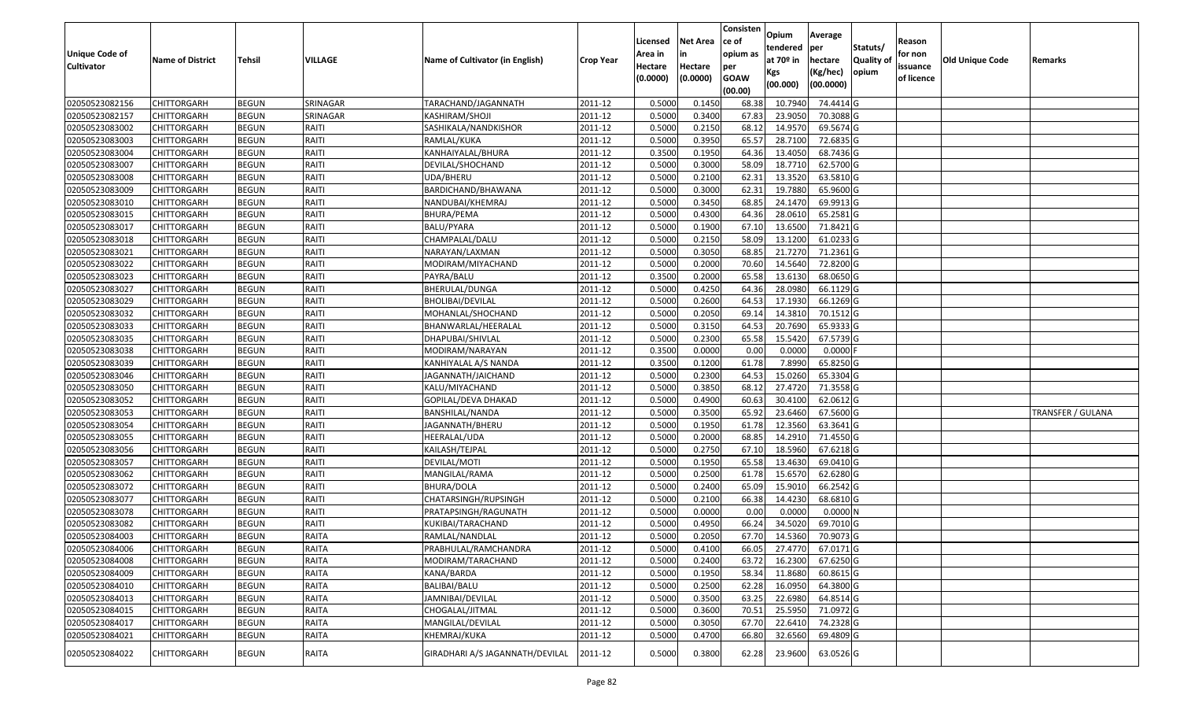|                                  |                                   |                              |                   |                                     |                    | Licensed         | <b>Net Area</b>  | Consisten<br>ce of | Opium<br>tendered  | Average<br>per        | Statuts/         | Reason     |                 |                          |
|----------------------------------|-----------------------------------|------------------------------|-------------------|-------------------------------------|--------------------|------------------|------------------|--------------------|--------------------|-----------------------|------------------|------------|-----------------|--------------------------|
| Unique Code of                   | <b>Name of District</b>           | <b>Tehsil</b>                | VILLAGE           | Name of Cultivator (in English)     | <b>Crop Year</b>   | Area in          |                  | opium as           | at $70°$ in        | hectare               | <b>Quality o</b> | for non    | Old Unique Code | Remarks                  |
| <b>Cultivator</b>                |                                   |                              |                   |                                     |                    | Hectare          | Hectare          | per                | Kgs                | (Kg/hec)              | opium            | issuance   |                 |                          |
|                                  |                                   |                              |                   |                                     |                    | (0.0000)         | (0.0000)         | <b>GOAW</b>        | (00.000)           | (00.0000)             |                  | of licence |                 |                          |
|                                  |                                   |                              |                   |                                     |                    |                  |                  | (00.00)            |                    |                       |                  |            |                 |                          |
| 02050523082156<br>02050523082157 | CHITTORGARH                       | <b>BEGUN</b>                 | SRINAGAR          | TARACHAND/JAGANNATH                 | 2011-12            | 0.5000<br>0.5000 | 0.1450<br>0.3400 | 68.38              | 10.7940<br>23.9050 | 74.4414 G<br>70.3088G |                  |            |                 |                          |
|                                  | CHITTORGARH                       | <b>BEGUN</b>                 | SRINAGAR<br>RAITI | KASHIRAM/SHOJI                      | 2011-12            | 0.5000           | 0.2150           | 67.83<br>68.12     | 14.9570            | 69.5674 G             |                  |            |                 |                          |
| 02050523083002<br>02050523083003 | CHITTORGARH<br><b>CHITTORGARH</b> | <b>BEGUN</b><br><b>BEGUN</b> | RAITI             | SASHIKALA/NANDKISHOR<br>RAMLAL/KUKA | 2011-12<br>2011-12 | 0.5000           | 0.3950           | 65.57              | 28.7100            | 72.6835 G             |                  |            |                 |                          |
| 02050523083004                   | CHITTORGARH                       | <b>BEGUN</b>                 | RAITI             | KANHAIYALAL/BHURA                   | 2011-12            | 0.3500           | 0.1950           | 64.36              | 13.4050            | 68.7436 G             |                  |            |                 |                          |
| 02050523083007                   | CHITTORGARH                       | <b>BEGUN</b>                 | RAITI             | DEVILAL/SHOCHAND                    | 2011-12            | 0.5000           | 0.3000           | 58.09              | 18.7710            | 62.5700 G             |                  |            |                 |                          |
| 02050523083008                   | CHITTORGARH                       | <b>BEGUN</b>                 | RAITI             | UDA/BHERU                           | 2011-12            | 0.5000           | 0.2100           | 62.31              | 13.3520            | 63.5810 G             |                  |            |                 |                          |
| 02050523083009                   | CHITTORGARH                       | <b>BEGUN</b>                 | RAITI             | BARDICHAND/BHAWANA                  | 2011-12            | 0.5000           | 0.3000           | 62.31              | 19.7880            | 65.9600 G             |                  |            |                 |                          |
| 02050523083010                   | CHITTORGARH                       | <b>BEGUN</b>                 | RAITI             | NANDUBAI/KHEMRAJ                    | 2011-12            | 0.5000           | 0.3450           | 68.85              | 24.1470            | 69.9913 G             |                  |            |                 |                          |
| 02050523083015                   | CHITTORGARH                       | <b>BEGUN</b>                 | RAITI             | BHURA/PEMA                          | 2011-12            | 0.5000           | 0.4300           | 64.36              | 28.0610            | 65.2581G              |                  |            |                 |                          |
| 02050523083017                   | CHITTORGARH                       | <b>BEGUN</b>                 | RAITI             | BALU/PYARA                          | 2011-12            | 0.5000           | 0.1900           | 67.10              | 13.6500            | 71.8421 G             |                  |            |                 |                          |
| 02050523083018                   | CHITTORGARH                       | <b>BEGUN</b>                 | RAITI             | CHAMPALAL/DALU                      | 2011-12            | 0.5000           | 0.2150           | 58.09              | 13.1200            | 61.0233 G             |                  |            |                 |                          |
| 02050523083021                   | <b>CHITTORGARH</b>                | <b>BEGUN</b>                 | RAITI             | NARAYAN/LAXMAN                      | 2011-12            | 0.5000           | 0.3050           | 68.85              | 21.7270            | 71.2361 G             |                  |            |                 |                          |
| 02050523083022                   | CHITTORGARH                       | <b>BEGUN</b>                 | RAITI             | MODIRAM/MIYACHAND                   | 2011-12            | 0.5000           | 0.2000           | 70.60              | 14.5640            | 72.8200G              |                  |            |                 |                          |
| 02050523083023                   | CHITTORGARH                       | <b>BEGUN</b>                 | RAITI             | PAYRA/BALU                          | 2011-12            | 0.3500           | 0.2000           | 65.58              | 13.6130            | 68.0650 G             |                  |            |                 |                          |
| 02050523083027                   | CHITTORGARH                       | <b>BEGUN</b>                 | RAITI             | BHERULAL/DUNGA                      | 2011-12            | 0.5000           | 0.4250           | 64.36              | 28.0980            | 66.1129 G             |                  |            |                 |                          |
| 02050523083029                   | CHITTORGARH                       | <b>BEGUN</b>                 | RAITI             | BHOLIBAI/DEVILAL                    | 2011-12            | 0.5000           | 0.2600           | 64.53              | 17.1930            | 66.1269 G             |                  |            |                 |                          |
| 02050523083032                   | CHITTORGARH                       | <b>BEGUN</b>                 | RAITI             | MOHANLAL/SHOCHAND                   | 2011-12            | 0.5000           | 0.2050           | 69.1               | 14.381             | 70.1512 G             |                  |            |                 |                          |
| 02050523083033                   | CHITTORGARH                       | <b>BEGUN</b>                 | RAITI             | BHANWARLAL/HEERALAL                 | 2011-12            | 0.5000           | 0.3150           | 64.53              | 20.7690            | 65.9333 G             |                  |            |                 |                          |
| 02050523083035                   | CHITTORGARH                       | <b>BEGUN</b>                 | RAITI             | DHAPUBAI/SHIVLAL                    | 2011-12            | 0.5000           | 0.2300           | 65.58              | 15.5420            | 67.5739 G             |                  |            |                 |                          |
| 02050523083038                   | CHITTORGARH                       | <b>BEGUN</b>                 | RAITI             | MODIRAM/NARAYAN                     | 2011-12            | 0.3500           | 0.0000           | 0.00               | 0.0000             | 0.0000F               |                  |            |                 |                          |
| 02050523083039                   | CHITTORGARH                       | <b>BEGUN</b>                 | RAITI             | KANHIYALAL A/S NANDA                | 2011-12            | 0.3500           | 0.1200           | 61.78              | 7.8990             | 65.8250 G             |                  |            |                 |                          |
| 02050523083046                   | CHITTORGARH                       | <b>BEGUN</b>                 | RAITI             | JAGANNATH/JAICHAND                  | 2011-12            | 0.5000           | 0.2300           | 64.53              | 15.0260            | 65.3304 G             |                  |            |                 |                          |
| 02050523083050                   | CHITTORGARH                       | <b>BEGUN</b>                 | RAITI             | KALU/MIYACHAND                      | 2011-12            | 0.5000           | 0.3850           | 68.1               | 27.4720            | 71.3558G              |                  |            |                 |                          |
| 02050523083052                   | CHITTORGARH                       | <b>BEGUN</b>                 | RAITI             | GOPILAL/DEVA DHAKAD                 | 2011-12            | 0.5000           | 0.4900           | 60.63              | 30.4100            | 62.0612G              |                  |            |                 |                          |
| 02050523083053                   | CHITTORGARH                       | <b>BEGUN</b>                 | RAITI             | BANSHILAL/NANDA                     | 2011-12            | 0.5000           | 0.3500           | 65.92              | 23.6460            | 67.5600 G             |                  |            |                 | <b>TRANSFER / GULANA</b> |
| 02050523083054                   | CHITTORGARH                       | <b>BEGUN</b>                 | RAITI             | JAGANNATH/BHERU                     | 2011-12            | 0.5000           | 0.1950           | 61.78              | 12.3560            | 63.3641 G             |                  |            |                 |                          |
| 02050523083055                   | CHITTORGARH                       | <b>BEGUN</b>                 | RAITI             | HEERALAL/UDA                        | 2011-12            | 0.5000           | 0.2000           | 68.85              | 14.2910            | 71.4550 G             |                  |            |                 |                          |
| 02050523083056                   | CHITTORGARH                       | <b>BEGUN</b>                 | RAITI             | KAILASH/TEJPAL                      | 2011-12            | 0.5000           | 0.2750           | 67.10              | 18.5960            | 67.6218 G             |                  |            |                 |                          |
| 02050523083057                   | CHITTORGARH                       | <b>BEGUN</b>                 | RAITI             | DEVILAL/MOTI                        | 2011-12            | 0.5000           | 0.1950           | 65.58              | 13.4630            | 69.0410G              |                  |            |                 |                          |
| 02050523083062                   | CHITTORGARH                       | <b>BEGUN</b>                 | RAITI             | MANGILAL/RAMA                       | 2011-12            | 0.5000           | 0.2500           | 61.78              | 15.6570            | 62.6280 G             |                  |            |                 |                          |
| 02050523083072                   | CHITTORGARH                       | <b>BEGUN</b>                 | RAITI             | <b>BHURA/DOLA</b>                   | 2011-12            | 0.5000           | 0.2400           | 65.09              | 15.9010            | 66.2542 G             |                  |            |                 |                          |
| 02050523083077                   | CHITTORGARH                       | <b>BEGUN</b>                 | RAITI             | CHATARSINGH/RUPSINGH                | 2011-12            | 0.5000           | 0.2100           | 66.38              | 14.4230            | 68.6810 G             |                  |            |                 |                          |
| 02050523083078                   | CHITTORGARH                       | <b>BEGUN</b>                 | RAITI             | PRATAPSINGH/RAGUNATH                | 2011-12            | 0.5000           | 0.0000           | 0.00               | 0.0000             | 0.0000N               |                  |            |                 |                          |
| 02050523083082                   | CHITTORGARH                       | <b>BEGUN</b>                 | RAITI             | KUKIBAI/TARACHAND                   | 2011-12            | 0.500            | 0.4950           | 66.24              | 34.5020            | 69.7010 G             |                  |            |                 |                          |
| 02050523084003                   | CHITTORGARH                       | <b>BEGUN</b>                 | <b>RAITA</b>      | RAMLAL/NANDLAL                      | 2011-12            | 0.5000           | 0.2050           | 67.70              | 14.5360            | 70.9073 G             |                  |            |                 |                          |
| 02050523084006                   | <b>CHITTORGARH</b>                | <b>BEGUN</b>                 | RAITA             | PRABHULAL/RAMCHANDRA                | 2011-12            | 0.5000           | 0.4100           |                    | 66.05 27.4770      | 67.0171 G             |                  |            |                 |                          |
| 02050523084008                   | <b>CHITTORGARH</b>                | <b>BEGUN</b>                 | RAITA             | MODIRAM/TARACHAND                   | 2011-12            | 0.5000           | 0.2400           | 63.72              | 16.2300            | 67.6250 G             |                  |            |                 |                          |
| 02050523084009                   | <b>CHITTORGARH</b>                | <b>BEGUN</b>                 | <b>RAITA</b>      | KANA/BARDA                          | 2011-12            | 0.5000           | 0.1950           | 58.34              | 11.8680            | 60.8615 G             |                  |            |                 |                          |
| 02050523084010                   | <b>CHITTORGARH</b>                | <b>BEGUN</b>                 | <b>RAITA</b>      | BALIBAI/BALU                        | 2011-12            | 0.5000           | 0.2500           | 62.28              | 16.0950            | 64.3800 G             |                  |            |                 |                          |
| 02050523084013                   | CHITTORGARH                       | <b>BEGUN</b>                 | RAITA             | JAMNIBAI/DEVILAL                    | 2011-12            | 0.5000           | 0.3500           | 63.25              | 22.6980            | 64.8514 G             |                  |            |                 |                          |
| 02050523084015                   | <b>CHITTORGARH</b>                | <b>BEGUN</b>                 | <b>RAITA</b>      | CHOGALAL/JITMAL                     | 2011-12            | 0.5000           | 0.3600           | 70.51              | 25.5950            | 71.0972 G             |                  |            |                 |                          |
| 02050523084017                   | <b>CHITTORGARH</b>                | <b>BEGUN</b>                 | <b>RAITA</b>      | MANGILAL/DEVILAL                    | 2011-12            | 0.5000           | 0.3050           | 67.70              | 22.6410            | 74.2328 G             |                  |            |                 |                          |
| 02050523084021                   | CHITTORGARH                       | <b>BEGUN</b>                 | <b>RAITA</b>      | KHEMRAJ/KUKA                        | 2011-12            | 0.5000           | 0.4700           | 66.80              | 32.6560            | 69.4809 G             |                  |            |                 |                          |
| 02050523084022                   | <b>CHITTORGARH</b>                | <b>BEGUN</b>                 | RAITA             | GIRADHARI A/S JAGANNATH/DEVILAL     | 2011-12            | 0.5000           | 0.3800           | 62.28              | 23.9600            | 63.0526 G             |                  |            |                 |                          |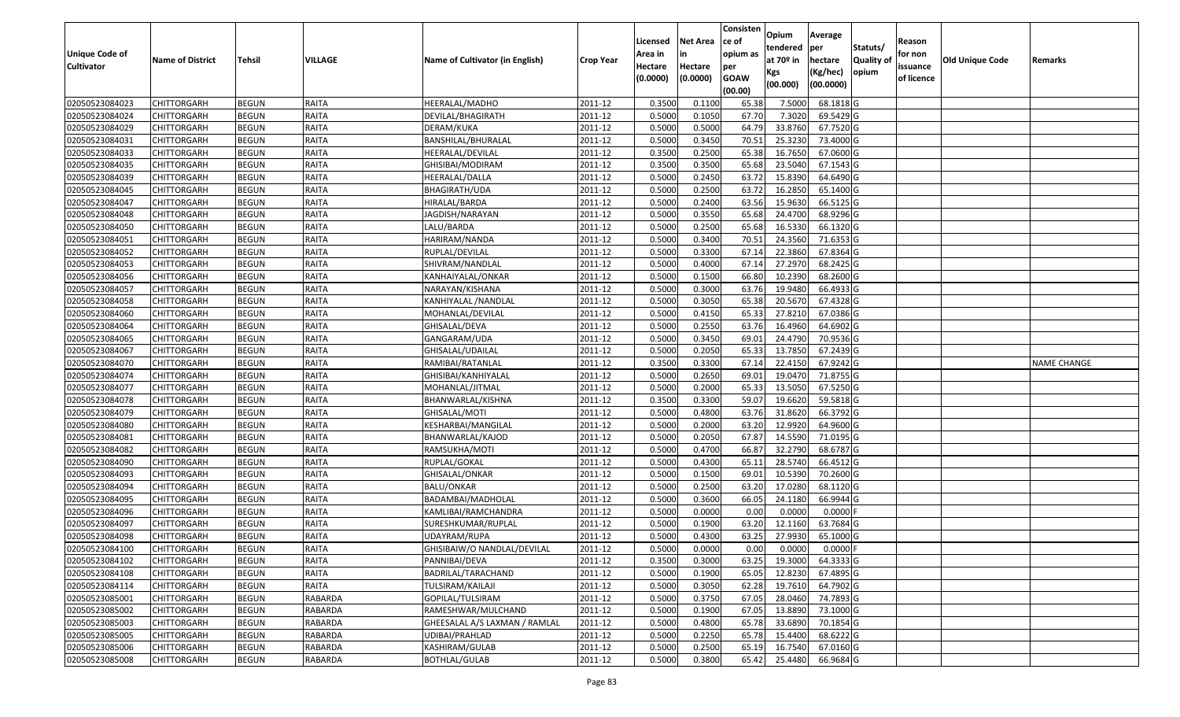|                                  |                            |                              |                |                                 |                    |                  |                  | Consisten      | Opium            | Average                |                  |            |                        |                    |
|----------------------------------|----------------------------|------------------------------|----------------|---------------------------------|--------------------|------------------|------------------|----------------|------------------|------------------------|------------------|------------|------------------------|--------------------|
|                                  |                            |                              |                |                                 |                    | Licensed         | <b>Net Area</b>  | ce of          | tendered         | per                    | Statuts/         | Reason     |                        |                    |
| Unique Code of                   | <b>Name of District</b>    | <b>Tehsil</b>                | VILLAGE        | Name of Cultivator (in English) | <b>Crop Year</b>   | Area in          | in               | opium as       | at $70°$ in      | hectare                | <b>Quality o</b> | for non    | <b>Old Unique Code</b> | Remarks            |
| <b>Cultivator</b>                |                            |                              |                |                                 |                    | Hectare          | Hectare          | per            | Kgs              | (Kg/hec)               | opium            | issuance   |                        |                    |
|                                  |                            |                              |                |                                 |                    | (0.0000)         | (0.0000)         | <b>GOAW</b>    | (00.000)         | (00.0000)              |                  | of licence |                        |                    |
|                                  |                            |                              |                |                                 |                    |                  |                  | (00.00)        |                  |                        |                  |            |                        |                    |
| 02050523084023<br>02050523084024 | CHITTORGARH<br>CHITTORGARH | <b>BEGUN</b>                 | RAITA<br>RAITA | HEERALAL/MADHO                  | 2011-12            | 0.3500<br>0.5000 | 0.1100<br>0.1050 | 65.38<br>67.70 | 7.5000<br>7.3020 | 68.1818 G<br>69.5429 G |                  |            |                        |                    |
| 02050523084029                   | CHITTORGARH                | <b>BEGUN</b><br><b>BEGUN</b> | <b>RAITA</b>   | DEVILAL/BHAGIRATH<br>DERAM/KUKA | 2011-12<br>2011-12 | 0.5000           | 0.5000           | 64.79          | 33.8760          | 67.7520 G              |                  |            |                        |                    |
| 02050523084031                   | <b>CHITTORGARH</b>         | <b>BEGUN</b>                 | RAITA          | BANSHILAL/BHURALAL              | 2011-12            | 0.5000           | 0.3450           | 70.51          | 25.3230          | 73.4000G               |                  |            |                        |                    |
| 02050523084033                   | CHITTORGARH                | <b>BEGUN</b>                 | RAITA          | HEERALAL/DEVILAL                | 2011-12            | 0.3500           | 0.2500           | 65.38          | 16.765           | 67.0600 G              |                  |            |                        |                    |
| 02050523084035                   | CHITTORGARH                | <b>BEGUN</b>                 | RAITA          | GHISIBAI/MODIRAM                | 2011-12            | 0.3500           | 0.3500           | 65.68          | 23.5040          | 67.1543 G              |                  |            |                        |                    |
| 02050523084039                   | CHITTORGARH                | <b>BEGUN</b>                 | <b>RAITA</b>   | HEERALAL/DALLA                  | 2011-12            | 0.5000           | 0.2450           | 63.72          | 15.8390          | 64.6490 G              |                  |            |                        |                    |
| 02050523084045                   | CHITTORGARH                | <b>BEGUN</b>                 | RAITA          | <b>BHAGIRATH/UDA</b>            | 2011-12            | 0.5000           | 0.2500           | 63.72          | 16.2850          | 65.1400 G              |                  |            |                        |                    |
| 02050523084047                   | CHITTORGARH                | <b>BEGUN</b>                 | <b>RAITA</b>   | HIRALAL/BARDA                   | 2011-12            | 0.5000           | 0.2400           | 63.56          | 15.9630          | 66.5125 G              |                  |            |                        |                    |
| 02050523084048                   | CHITTORGARH                | <b>BEGUN</b>                 | <b>RAITA</b>   | JAGDISH/NARAYAN                 | 2011-12            | 0.5000           | 0.3550           | 65.68          | 24.4700          | 68.9296 G              |                  |            |                        |                    |
| 02050523084050                   | CHITTORGARH                | <b>BEGUN</b>                 | <b>RAITA</b>   | LALU/BARDA                      | 2011-12            | 0.5000           | 0.2500           | 65.68          | 16.5330          | 66.1320 G              |                  |            |                        |                    |
| 02050523084051                   | <b>CHITTORGARH</b>         | <b>BEGUN</b>                 | <b>RAITA</b>   | HARIRAM/NANDA                   | 2011-12            | 0.5000           | 0.3400           | 70.5           | 24.3560          | 71.6353 G              |                  |            |                        |                    |
| 02050523084052                   | <b>CHITTORGARH</b>         | <b>BEGUN</b>                 | RAITA          | RUPLAL/DEVILAL                  | 2011-12            | 0.5000           | 0.3300           | 67.14          | 22.3860          | 67.8364 G              |                  |            |                        |                    |
| 02050523084053                   | CHITTORGARH                | <b>BEGUN</b>                 | <b>RAITA</b>   | SHIVRAM/NANDLAL                 | 2011-12            | 0.5000           | 0.4000           | 67.14          | 27.2970          | 68.2425 G              |                  |            |                        |                    |
| 02050523084056                   | CHITTORGARH                | <b>BEGUN</b>                 | <b>RAITA</b>   | KANHAIYALAL/ONKAR               | 2011-12            | 0.5000           | 0.1500           | 66.80          | 10.2390          | 68.2600 G              |                  |            |                        |                    |
| 02050523084057                   | CHITTORGARH                | <b>BEGUN</b>                 | <b>RAITA</b>   | NARAYAN/KISHANA                 | 2011-12            | 0.5000           | 0.3000           | 63.76          | 19.9480          | 66.4933 G              |                  |            |                        |                    |
| 02050523084058                   | CHITTORGARH                | <b>BEGUN</b>                 | RAITA          | KANHIYALAL /NANDLAL             | 2011-12            | 0.5000           | 0.3050           | 65.38          | 20.5670          | 67.4328 G              |                  |            |                        |                    |
| 02050523084060                   | CHITTORGARH                | <b>BEGUN</b>                 | <b>RAITA</b>   | MOHANLAL/DEVILAL                | 2011-12            | 0.5000           | 0.4150           | 65.33          | 27.8210          | 67.0386 G              |                  |            |                        |                    |
| 02050523084064                   | CHITTORGARH                | <b>BEGUN</b>                 | RAITA          | GHISALAL/DEVA                   | 2011-12            | 0.5000           | 0.2550           | 63.76          | 16.4960          | 64.6902 G              |                  |            |                        |                    |
| 02050523084065                   | CHITTORGARH                | <b>BEGUN</b>                 | <b>RAITA</b>   | GANGARAM/UDA                    | 2011-12            | 0.5000           | 0.3450           | 69.01          | 24.4790          | 70.9536 G              |                  |            |                        |                    |
| 02050523084067                   | CHITTORGARH                | <b>BEGUN</b>                 | RAITA          | GHISALAL/UDAILAL                | 2011-12            | 0.5000           | 0.2050           | 65.33          | 13.7850          | 67.2439 G              |                  |            |                        |                    |
| 02050523084070                   | CHITTORGARH                | <b>BEGUN</b>                 | RAITA          | RAMIBAI/RATANLAL                | 2011-12            | 0.3500           | 0.3300           | 67.1           | 22.415           | 67.9242 G              |                  |            |                        | <b>NAME CHANGE</b> |
| 02050523084074                   | CHITTORGARH                | <b>BEGUN</b>                 | RAITA          | GHISIBAI/KANHIYALAL             | 2011-12            | 0.5000           | 0.2650           | 69.01          | 19.0470          | 71.8755 G              |                  |            |                        |                    |
| 02050523084077                   | CHITTORGARH                | <b>BEGUN</b>                 | <b>RAITA</b>   | MOHANLAL/JITMAL                 | 2011-12            | 0.5000           | 0.2000           | 65.33          | 13.505           | 67.5250 G              |                  |            |                        |                    |
| 02050523084078                   | <b>CHITTORGARH</b>         | <b>BEGUN</b>                 | RAITA          | BHANWARLAL/KISHNA               | 2011-12            | 0.3500           | 0.3300           | 59.07          | 19.6620          | 59.5818 G              |                  |            |                        |                    |
| 02050523084079                   | CHITTORGARH                | <b>BEGUN</b>                 | RAITA          | GHISALAL/MOTI                   | 2011-12            | 0.5000           | 0.4800           | 63.76          | 31.8620          | 66.3792 G              |                  |            |                        |                    |
| 02050523084080                   | CHITTORGARH                | <b>BEGUN</b>                 | RAITA          | KESHARBAI/MANGILAL              | 2011-12            | 0.5000           | 0.2000           | 63.20          | 12.9920          | 64.9600 G              |                  |            |                        |                    |
| 02050523084081                   | CHITTORGARH                | <b>BEGUN</b>                 | <b>RAITA</b>   | BHANWARLAL/KAJOD                | 2011-12            | 0.5000           | 0.2050           | 67.87          | 14.5590          | 71.0195 G              |                  |            |                        |                    |
| 02050523084082                   | CHITTORGARH                | <b>BEGUN</b>                 | RAITA          | RAMSUKHA/MOTI                   | 2011-12            | 0.5000           | 0.4700           | 66.87          | 32.2790          | 68.6787 G              |                  |            |                        |                    |
| 02050523084090                   | CHITTORGARH                | <b>BEGUN</b>                 | RAITA          | RUPLAL/GOKAL                    | 2011-12            | 0.5000           | 0.4300           | 65.1           | 28.5740          | 66.4512G               |                  |            |                        |                    |
| 02050523084093                   | CHITTORGARH                | <b>BEGUN</b>                 | RAITA          | GHISALAL/ONKAR                  | 2011-12            | 0.5000           | 0.1500           | 69.0           | 10.5390          | 70.2600 G              |                  |            |                        |                    |
| 02050523084094                   | CHITTORGARH                | <b>BEGUN</b>                 | RAITA          | BALU/ONKAR                      | 2011-12            | 0.5000           | 0.2500           | 63.20          | 17.0280          | 68.1120 G              |                  |            |                        |                    |
| 02050523084095                   | CHITTORGARH                | <b>BEGUN</b>                 | RAITA          | BADAMBAI/MADHOLAL               | 2011-12            | 0.5000           | 0.3600           | 66.05          | 24.1180          | 66.9944 G              |                  |            |                        |                    |
| 02050523084096                   | CHITTORGARH                | <b>BEGUN</b>                 | RAITA          | KAMLIBAI/RAMCHANDRA             | 2011-12            | 0.5000           | 0.0000           | 0.00           | 0.0000           | 0.0000                 |                  |            |                        |                    |
| 02050523084097                   | CHITTORGARH                | <b>BEGUN</b>                 | RAITA          | SURESHKUMAR/RUPLAL              | 2011-12            | 0.500            | 0.1900           | 63.20          | 12.1160          | 63.7684 G              |                  |            |                        |                    |
| 02050523084098                   | CHITTORGARH                | <b>BEGUN</b>                 | RAITA          | JDAYRAM/RUPA                    | 2011-12            | 0.5000           | 0.4300           | 63.25          | 27.9930          | 65.1000 G              |                  |            |                        |                    |
| 02050523084100                   | <b>CHITTORGARH</b>         | <b>BEGUN</b>                 | RAITA          | GHISIBAIW/O NANDLAL/DEVILAL     | 2011-12            | 0.5000           | 0.0000           | 0.00           | 0.0000           | $0.0000$ F             |                  |            |                        |                    |
| 02050523084102                   | <b>CHITTORGARH</b>         | <b>BEGUN</b>                 | RAITA          | PANNIBAI/DEVA                   | 2011-12            | 0.3500           | 0.3000           | 63.25          | 19.3000          | 64.3333 G              |                  |            |                        |                    |
| 02050523084108                   | <b>CHITTORGARH</b>         | <b>BEGUN</b>                 | <b>RAITA</b>   | BADRILAL/TARACHAND              | 2011-12            | 0.5000           | 0.1900           | 65.05          | 12.8230          | 67.4895 G              |                  |            |                        |                    |
| 02050523084114                   | <b>CHITTORGARH</b>         | <b>BEGUN</b>                 | <b>RAITA</b>   | TULSIRAM/KAILAJI                | 2011-12            | 0.5000           | 0.3050           | 62.28          | 19.7610          | 64.7902 G              |                  |            |                        |                    |
| 02050523085001                   | <b>CHITTORGARH</b>         | <b>BEGUN</b>                 | <b>RABARDA</b> | GOPILAL/TULSIRAM                | 2011-12            | 0.5000           | 0.3750           | 67.05          | 28.0460          | 74.7893 G              |                  |            |                        |                    |
| 02050523085002                   | <b>CHITTORGARH</b>         | <b>BEGUN</b>                 | <b>RABARDA</b> | RAMESHWAR/MULCHAND              | 2011-12            | 0.5000           | 0.1900           | 67.05          | 13.8890          | 73.1000 G              |                  |            |                        |                    |
| 02050523085003                   | <b>CHITTORGARH</b>         | <b>BEGUN</b>                 | <b>RABARDA</b> | GHEESALAL A/S LAXMAN / RAMLAL   | 2011-12            | 0.5000           | 0.4800           | 65.78          | 33.6890          | 70.1854 G              |                  |            |                        |                    |
| 02050523085005                   | CHITTORGARH                | <b>BEGUN</b>                 | <b>RABARDA</b> | UDIBAI/PRAHLAD                  | 2011-12            | 0.5000           | 0.2250           | 65.78          | 15.4400          | $68.6222$ G            |                  |            |                        |                    |
| 02050523085006                   | CHITTORGARH                | <b>BEGUN</b>                 | RABARDA        | KASHIRAM/GULAB                  | 2011-12            | 0.5000           | 0.2500           | 65.19          | 16.7540          | 67.0160 G              |                  |            |                        |                    |
| 02050523085008                   | <b>CHITTORGARH</b>         | <b>BEGUN</b>                 | RABARDA        | BOTHLAL/GULAB                   | 2011-12            | 0.5000           | 0.3800           | 65.42          | 25.4480          | 66.9684 G              |                  |            |                        |                    |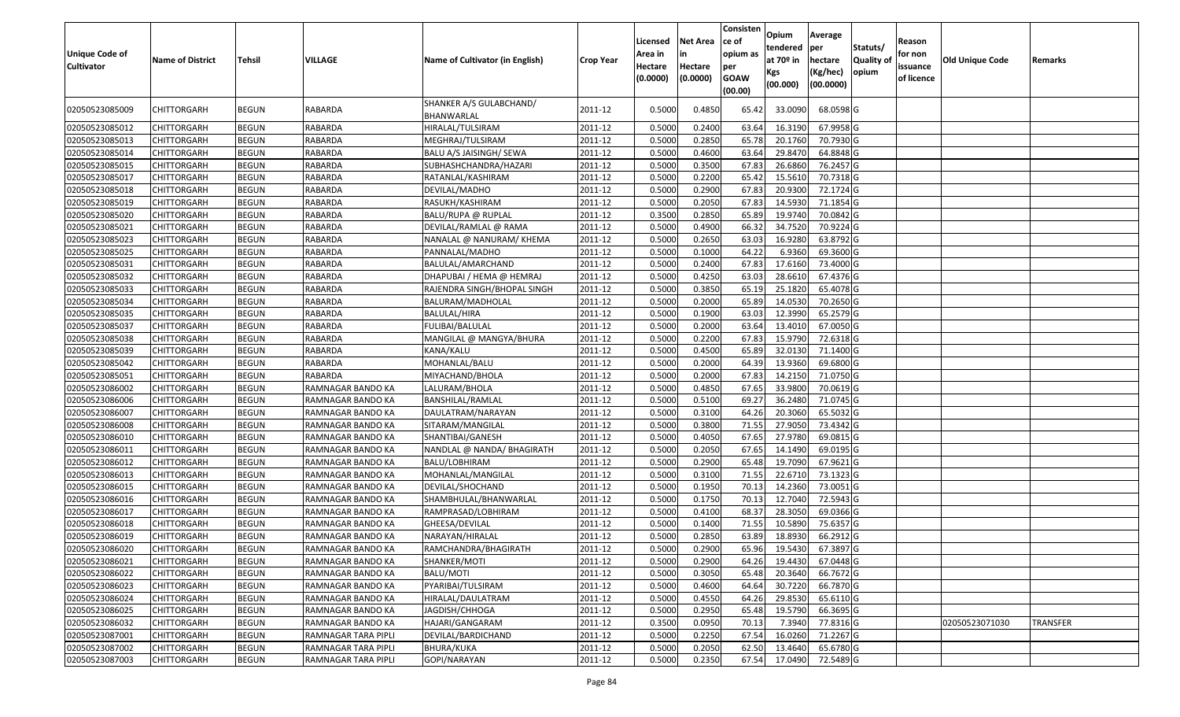| <b>Unique Code of</b><br><b>Cultivator</b> | <b>Name of District</b> | Tehsil       | VILLAGE             | Name of Cultivator (in English)       | <b>Crop Year</b> | Licensed<br>Area in<br>Hectare<br>(0.0000) | <b>Net Area</b><br>in<br>Hectare<br>(0.0000) | Consisten<br>ce of<br>opium as<br>per<br><b>GOAW</b><br>(00.00) | Opium<br>tendered<br>at $70°$ in<br>Kgs<br>(00.000) | Average<br>per<br>hectare<br>(Kg/hec)<br>(00.0000) | Statuts/<br><b>Quality o</b><br>opium | Reason<br>for non<br>issuance<br>of licence | Old Unique Code | Remarks  |
|--------------------------------------------|-------------------------|--------------|---------------------|---------------------------------------|------------------|--------------------------------------------|----------------------------------------------|-----------------------------------------------------------------|-----------------------------------------------------|----------------------------------------------------|---------------------------------------|---------------------------------------------|-----------------|----------|
| 02050523085009                             | CHITTORGARH             | <b>BEGUN</b> | RABARDA             | SHANKER A/S GULABCHAND/<br>BHANWARLAL | 2011-12          | 0.5000                                     | 0.4850                                       | 65.42                                                           | 33.0090                                             | 68.0598 G                                          |                                       |                                             |                 |          |
| 02050523085012                             | <b>CHITTORGARH</b>      | <b>BEGUN</b> | RABARDA             | HIRALAL/TULSIRAM                      | 2011-12          | 0.5000                                     | 0.2400                                       | 63.64                                                           | 16.3190                                             | 67.9958 G                                          |                                       |                                             |                 |          |
| 02050523085013                             | <b>CHITTORGARH</b>      | <b>BEGUN</b> | <b>RABARDA</b>      | MEGHRAJ/TULSIRAM                      | 2011-12          | 0.5000                                     | 0.2850                                       | 65.78                                                           | 20.1760                                             | 70.7930 G                                          |                                       |                                             |                 |          |
| 02050523085014                             | <b>CHITTORGARH</b>      | <b>BEGUN</b> | RABARDA             | BALU A/S JAISINGH/ SEWA               | 2011-12          | 0.5000                                     | 0.4600                                       | 63.64                                                           | 29.8470                                             | 64.8848 G                                          |                                       |                                             |                 |          |
| 02050523085015                             | <b>CHITTORGARH</b>      | <b>BEGUN</b> | RABARDA             | SUBHASHCHANDRA/HAZARI                 | 2011-12          | 0.5000                                     | 0.3500                                       | 67.83                                                           | 26.6860                                             | 76.2457 G                                          |                                       |                                             |                 |          |
| 02050523085017                             | CHITTORGARH             | <b>BEGUN</b> | RABARDA             | RATANLAL/KASHIRAM                     | 2011-12          | 0.5000                                     | 0.2200                                       | 65.42                                                           | 15.5610                                             | 70.7318 G                                          |                                       |                                             |                 |          |
| 02050523085018                             | <b>CHITTORGARH</b>      | <b>BEGUN</b> | RABARDA             | DEVILAL/MADHO                         | 2011-12          | 0.5000                                     | 0.2900                                       | 67.83                                                           | 20.9300                                             | 72.1724 G                                          |                                       |                                             |                 |          |
| 02050523085019                             | <b>CHITTORGARH</b>      | <b>BEGUN</b> | <b>RABARDA</b>      | RASUKH/KASHIRAM                       | 2011-12          | 0.5000                                     | 0.2050                                       | 67.83                                                           | 14.5930                                             | 71.1854 G                                          |                                       |                                             |                 |          |
| 02050523085020                             | <b>CHITTORGARH</b>      | <b>BEGUN</b> | RABARDA             | BALU/RUPA @ RUPLAL                    | 2011-12          | 0.3500                                     | 0.2850                                       | 65.89                                                           | 19.9740                                             | 70.0842 G                                          |                                       |                                             |                 |          |
| 02050523085021                             | CHITTORGARH             | <b>BEGUN</b> | RABARDA             | DEVILAL/RAMLAL @ RAMA                 | 2011-12          | 0.5000                                     | 0.4900                                       | 66.32                                                           | 34.7520                                             | 70.9224 G                                          |                                       |                                             |                 |          |
| 02050523085023                             | <b>CHITTORGARH</b>      | <b>BEGUN</b> | RABARDA             | NANALAL @ NANURAM/ KHEMA              | 2011-12          | 0.5000                                     | 0.2650                                       | 63.03                                                           | 16.9280                                             | 63.8792 G                                          |                                       |                                             |                 |          |
| 02050523085025                             | <b>CHITTORGARH</b>      | <b>BEGUN</b> | RABARDA             | PANNALAL/MADHO                        | 2011-12          | 0.5000                                     | 0.1000                                       | 64.22                                                           | 6.9360                                              | 69.3600 G                                          |                                       |                                             |                 |          |
| 02050523085031                             | <b>CHITTORGARH</b>      | <b>BEGUN</b> | RABARDA             | BALULAL/AMARCHAND                     | 2011-12          | 0.5000                                     | 0.2400                                       | 67.83                                                           | 17.6160                                             | 73.4000 G                                          |                                       |                                             |                 |          |
| 02050523085032                             | <b>CHITTORGARH</b>      | <b>BEGUN</b> | RABARDA             | DHAPUBAI / HEMA @ HEMRAJ              | 2011-12          | 0.5000                                     | 0.4250                                       | 63.03                                                           | 28.6610                                             | 67.4376 G                                          |                                       |                                             |                 |          |
| 02050523085033                             | <b>CHITTORGARH</b>      | <b>BEGUN</b> | RABARDA             | RAJENDRA SINGH/BHOPAL SINGH           | 2011-12          | 0.5000                                     | 0.3850                                       | 65.19                                                           | 25.1820                                             | 65.4078 G                                          |                                       |                                             |                 |          |
| 02050523085034                             | <b>CHITTORGARH</b>      | <b>BEGUN</b> | <b>RABARDA</b>      | BALURAM/MADHOLAL                      | 2011-12          | 0.5000                                     | 0.2000                                       | 65.89                                                           | 14.0530                                             | 70.2650 G                                          |                                       |                                             |                 |          |
| 02050523085035                             | <b>CHITTORGARH</b>      | <b>BEGUN</b> | RABARDA             | BALULAL/HIRA                          | 2011-12          | 0.5000                                     | 0.1900                                       | 63.03                                                           | 12.3990                                             | 65.2579 G                                          |                                       |                                             |                 |          |
| 02050523085037                             | <b>CHITTORGARH</b>      | <b>BEGUN</b> | RABARDA             | FULIBAI/BALULAL                       | 2011-12          | 0.5000                                     | 0.2000                                       | 63.64                                                           | 13.4010                                             | 67.0050 G                                          |                                       |                                             |                 |          |
| 02050523085038                             | <b>CHITTORGARH</b>      | <b>BEGUN</b> | RABARDA             | MANGILAL @ MANGYA/BHURA               | 2011-12          | 0.5000                                     | 0.2200                                       | 67.83                                                           | 15.9790                                             | 72.6318 G                                          |                                       |                                             |                 |          |
| 02050523085039                             | <b>CHITTORGARH</b>      | <b>BEGUN</b> | <b>RABARDA</b>      | KANA/KALU                             | 2011-12          | 0.5000                                     | 0.4500                                       | 65.89                                                           | 32.0130                                             | 71.1400 G                                          |                                       |                                             |                 |          |
| 02050523085042                             | <b>CHITTORGARH</b>      | <b>BEGUN</b> | RABARDA             | MOHANLAL/BALU                         | 2011-12          | 0.5000                                     | 0.2000                                       | 64.39                                                           | 13.9360                                             | 69.6800 G                                          |                                       |                                             |                 |          |
| 02050523085051                             | <b>CHITTORGARH</b>      | <b>BEGUN</b> | RABARDA             | MIYACHAND/BHOLA                       | 2011-12          | 0.5000                                     | 0.2000                                       | 67.83                                                           | 14.2150                                             | 71.0750 G                                          |                                       |                                             |                 |          |
| 02050523086002                             | CHITTORGARH             | <b>BEGUN</b> | RAMNAGAR BANDO KA   | LALURAM/BHOLA                         | 2011-12          | 0.5000                                     | 0.4850                                       | 67.65                                                           | 33.9800                                             | 70.0619 G                                          |                                       |                                             |                 |          |
| 02050523086006                             | <b>CHITTORGARH</b>      | <b>BEGUN</b> | RAMNAGAR BANDO KA   | BANSHILAL/RAMLAL                      | 2011-12          | 0.5000                                     | 0.5100                                       | 69.27                                                           | 36.2480                                             | 71.0745 G                                          |                                       |                                             |                 |          |
| 02050523086007                             | <b>CHITTORGARH</b>      | <b>BEGUN</b> | RAMNAGAR BANDO KA   | DAULATRAM/NARAYAN                     | 2011-12          | 0.5000                                     | 0.3100                                       | 64.26                                                           | 20.3060                                             | 65.5032 G                                          |                                       |                                             |                 |          |
| 02050523086008                             | <b>CHITTORGARH</b>      | <b>BEGUN</b> | RAMNAGAR BANDO KA   | SITARAM/MANGILAL                      | 2011-12          | 0.5000                                     | 0.3800                                       | 71.55                                                           | 27.9050                                             | 73.4342 G                                          |                                       |                                             |                 |          |
| 02050523086010                             | <b>CHITTORGARH</b>      | <b>BEGUN</b> | RAMNAGAR BANDO KA   | SHANTIBAI/GANESH                      | 2011-12          | 0.5000                                     | 0.4050                                       | 67.65                                                           | 27.9780                                             | 69.0815 G                                          |                                       |                                             |                 |          |
| 02050523086011                             | <b>CHITTORGARH</b>      | <b>BEGUN</b> | RAMNAGAR BANDO KA   | NANDLAL @ NANDA/ BHAGIRATH            | 2011-12          | 0.5000                                     | 0.2050                                       | 67.65                                                           | 14.1490                                             | 69.0195 G                                          |                                       |                                             |                 |          |
| 02050523086012                             | <b>CHITTORGARH</b>      | <b>BEGUN</b> | RAMNAGAR BANDO KA   | BALU/LOBHIRAM                         | 2011-12          | 0.5000                                     | 0.2900                                       | 65.48                                                           | 19.7090                                             | 67.9621 G                                          |                                       |                                             |                 |          |
| 02050523086013                             | <b>CHITTORGARH</b>      | <b>BEGUN</b> | RAMNAGAR BANDO KA   | MOHANLAL/MANGILAL                     | 2011-12          | 0.5000                                     | 0.3100                                       | 71.55                                                           | 22.6710                                             | 73.1323 G                                          |                                       |                                             |                 |          |
| 02050523086015                             | CHITTORGARH             | <b>BEGUN</b> | RAMNAGAR BANDO KA   | DEVILAL/SHOCHAND                      | 2011-12          | 0.5000                                     | 0.1950                                       | 70.1                                                            | 14.2360                                             | 73.0051G                                           |                                       |                                             |                 |          |
| 02050523086016                             | <b>CHITTORGARH</b>      | <b>BEGUN</b> | RAMNAGAR BANDO KA   | SHAMBHULAL/BHANWARLAL                 | 2011-12          | 0.5000                                     | 0.1750                                       | 70.13                                                           | 12.7040                                             | 72.5943 G                                          |                                       |                                             |                 |          |
| 02050523086017                             | <b>CHITTORGARH</b>      | <b>BEGUN</b> | RAMNAGAR BANDO KA   | RAMPRASAD/LOBHIRAM                    | 2011-12          | 0.5000                                     | 0.4100                                       | 68.37                                                           | 28.3050                                             | 69.0366 G                                          |                                       |                                             |                 |          |
| 02050523086018                             | <b>CHITTORGARH</b>      | <b>BEGUN</b> | RAMNAGAR BANDO KA   | GHEESA/DEVILAL                        | 2011-12          | 0.5000                                     | 0.1400                                       | 71.55                                                           | 10.5890                                             | 75.6357 G                                          |                                       |                                             |                 |          |
| 02050523086019                             | <b>CHITTORGARH</b>      | <b>BEGUN</b> | RAMNAGAR BANDO KA   | NARAYAN/HIRALAL                       | 2011-12          | 0.5000                                     | 0.2850                                       | 63.89                                                           | 18.8930                                             | 66.2912 G                                          |                                       |                                             |                 |          |
| 02050523086020                             | <b>CHITTORGARH</b>      | <b>BEGUN</b> | RAMNAGAR BANDO KA   | RAMCHANDRA/BHAGIRATH                  | 2011-12          | 0.5000                                     | 0.2900                                       |                                                                 | 65.96 19.5430                                       | 67.3897 G                                          |                                       |                                             |                 |          |
| 02050523086021                             | <b>CHITTORGARH</b>      | <b>BEGUN</b> | RAMNAGAR BANDO KA   | SHANKER/MOTI                          | 2011-12          | 0.5000                                     | 0.2900                                       | 64.26                                                           | 19.4430                                             | 67.0448 G                                          |                                       |                                             |                 |          |
| 02050523086022                             | <b>CHITTORGARH</b>      | <b>BEGUN</b> | RAMNAGAR BANDO KA   | BALU/MOTI                             | 2011-12          | 0.5000                                     | 0.3050                                       | 65.48                                                           | 20.3640                                             | 66.7672 G                                          |                                       |                                             |                 |          |
| 02050523086023                             | <b>CHITTORGARH</b>      | <b>BEGUN</b> | RAMNAGAR BANDO KA   | PYARIBAI/TULSIRAM                     | 2011-12          | 0.5000                                     | 0.4600                                       | 64.64                                                           | 30.7220                                             | 66.7870 G                                          |                                       |                                             |                 |          |
| 02050523086024                             | <b>CHITTORGARH</b>      | <b>BEGUN</b> | RAMNAGAR BANDO KA   | HIRALAL/DAULATRAM                     | 2011-12          | 0.5000                                     | 0.4550                                       | 64.26                                                           | 29.8530                                             | 65.6110 G                                          |                                       |                                             |                 |          |
| 02050523086025                             | <b>CHITTORGARH</b>      | <b>BEGUN</b> | RAMNAGAR BANDO KA   | JAGDISH/CHHOGA                        | 2011-12          | 0.5000                                     | 0.2950                                       | 65.48                                                           | 19.5790                                             | 66.3695 G                                          |                                       |                                             |                 |          |
| 02050523086032                             | <b>CHITTORGARH</b>      | <b>BEGUN</b> | RAMNAGAR BANDO KA   | HAJARI/GANGARAM                       | 2011-12          | 0.3500                                     | 0.0950                                       | 70.13                                                           | 7.3940                                              | 77.8316 G                                          |                                       |                                             | 02050523071030  | TRANSFER |
| 02050523087001                             | <b>CHITTORGARH</b>      | <b>BEGUN</b> | RAMNAGAR TARA PIPLI | DEVILAL/BARDICHAND                    | 2011-12          | 0.5000                                     | 0.2250                                       | 67.54                                                           | 16.0260                                             | 71.2267 G                                          |                                       |                                             |                 |          |
| 02050523087002                             | <b>CHITTORGARH</b>      | <b>BEGUN</b> | RAMNAGAR TARA PIPLI | BHURA/KUKA                            | 2011-12          | 0.5000                                     | 0.2050                                       | 62.50                                                           | 13.4640                                             | 65.6780 G                                          |                                       |                                             |                 |          |
| 02050523087003                             | <b>CHITTORGARH</b>      | <b>BEGUN</b> | RAMNAGAR TARA PIPLI | GOPI/NARAYAN                          | 2011-12          | 0.5000                                     | 0.2350                                       | 67.54                                                           |                                                     | 17.0490 72.5489 G                                  |                                       |                                             |                 |          |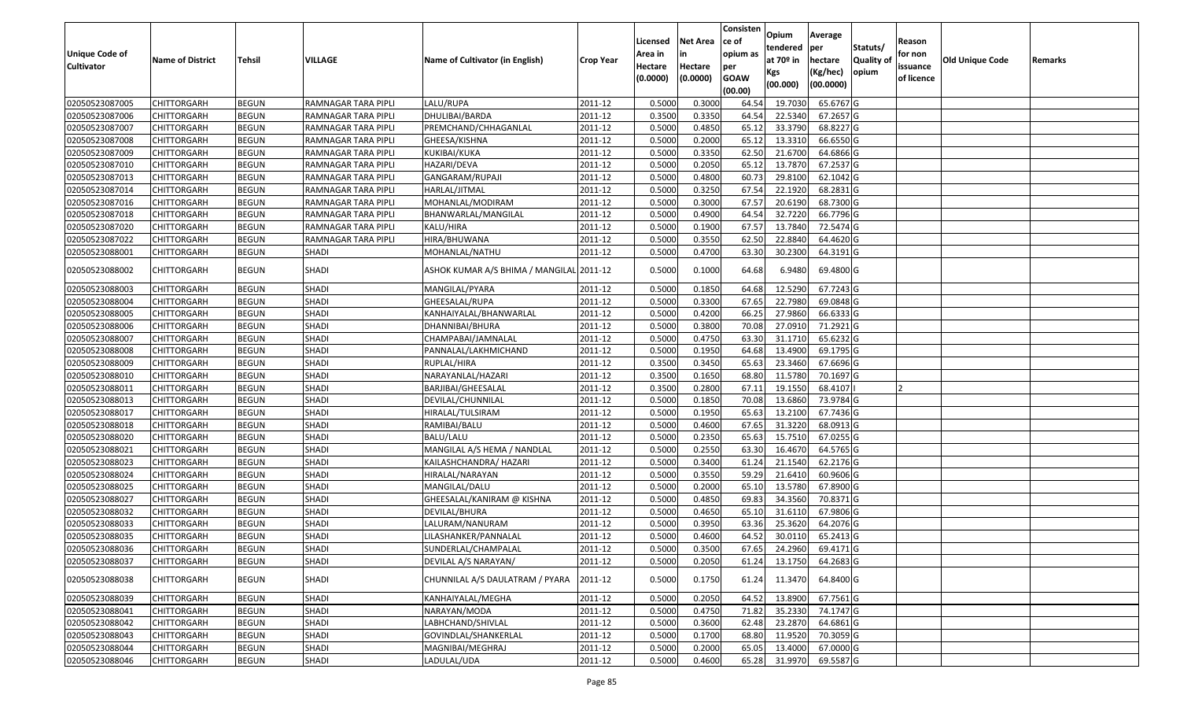|                       |                         |               |                     |                                          |                  |          |                 | Consisten        | Opium         | Average                |           |            |                 |         |
|-----------------------|-------------------------|---------------|---------------------|------------------------------------------|------------------|----------|-----------------|------------------|---------------|------------------------|-----------|------------|-----------------|---------|
|                       |                         |               |                     |                                          |                  | Licensed | <b>Net Area</b> | ce of            | tendered      | per                    | Statuts/  | Reason     |                 |         |
| <b>Unique Code of</b> | <b>Name of District</b> | <b>Tehsil</b> | VILLAGE             | Name of Cultivator (in English)          | <b>Crop Year</b> | Area in  |                 | opium as         | at $70°$ in   | hectare                | Quality o | for non    | Old Unique Code | Remarks |
| <b>Cultivator</b>     |                         |               |                     |                                          |                  | Hectare  | Hectare         | per              | Kgs           | (Kg/hec)               | opium     | issuance   |                 |         |
|                       |                         |               |                     |                                          |                  | (0.0000) | (0.0000)        | <b>GOAW</b>      | (00.000)      | (00.0000)              |           | of licence |                 |         |
| 02050523087005        | CHITTORGARH             | <b>BEGUN</b>  | RAMNAGAR TARA PIPLI | LALU/RUPA                                | 2011-12          | 0.5000   | 0.3000          | (00.00)<br>64.54 | 19.703        | 65.6767 G              |           |            |                 |         |
| 02050523087006        | CHITTORGARH             | <b>BEGUN</b>  | RAMNAGAR TARA PIPLI | DHULIBAI/BARDA                           | 2011-12          | 0.3500   | 0.3350          | 64.54            | 22.5340       | 67.2657 G              |           |            |                 |         |
| 02050523087007        | CHITTORGARH             | <b>BEGUN</b>  | RAMNAGAR TARA PIPLI | PREMCHAND/CHHAGANLAL                     | 2011-12          | 0.5000   | 0.4850          | 65.12            | 33.3790       | 68.8227 G              |           |            |                 |         |
| 02050523087008        | <b>CHITTORGARH</b>      | <b>BEGUN</b>  | RAMNAGAR TARA PIPLI | GHEESA/KISHNA                            | 2011-12          | 0.5000   | 0.2000          | 65.12            | 13.3310       | 66.6550 G              |           |            |                 |         |
| 02050523087009        | CHITTORGARH             | <b>BEGUN</b>  | RAMNAGAR TARA PIPLI | KUKIBAI/KUKA                             | 2011-12          | 0.5000   | 0.3350          | 62.5             | 21.670        | 64.6866 G              |           |            |                 |         |
| 02050523087010        | CHITTORGARH             | <b>BEGUN</b>  | RAMNAGAR TARA PIPLI | HAZARI/DEVA                              | 2011-12          | 0.5000   | 0.2050          | 65.12            | 13.7870       | 67.2537 G              |           |            |                 |         |
| 02050523087013        | CHITTORGARH             | <b>BEGUN</b>  | RAMNAGAR TARA PIPLI | GANGARAM/RUPAJI                          | 2011-12          | 0.5000   | 0.4800          | 60.7             | 29.8100       | 62.1042 G              |           |            |                 |         |
| 02050523087014        | CHITTORGARH             | <b>BEGUN</b>  | RAMNAGAR TARA PIPLI | HARLAL/JITMAL                            | 2011-12          | 0.5000   | 0.3250          | 67.54            | 22.1920       | 68.2831 G              |           |            |                 |         |
| 02050523087016        | CHITTORGARH             | <b>BEGUN</b>  | RAMNAGAR TARA PIPLI | MOHANLAL/MODIRAM                         | 2011-12          | 0.5000   | 0.3000          | 67.57            | 20.6190       | 68.7300 G              |           |            |                 |         |
| 02050523087018        | CHITTORGARH             | <b>BEGUN</b>  | RAMNAGAR TARA PIPLI | BHANWARLAL/MANGILAL                      | 2011-12          | 0.5000   | 0.4900          | 64.54            | 32.7220       | 66.7796 G              |           |            |                 |         |
| 02050523087020        | CHITTORGARH             | <b>BEGUN</b>  | RAMNAGAR TARA PIPLI | KALU/HIRA                                | 2011-12          | 0.5000   | 0.1900          | 67.57            | 13.7840       | 72.5474 G              |           |            |                 |         |
| 02050523087022        | CHITTORGARH             | <b>BEGUN</b>  | RAMNAGAR TARA PIPLI | HIRA/BHUWANA                             | 2011-12          | 0.5000   | 0.3550          | 62.50            | 22.8840       | 64.4620 G              |           |            |                 |         |
| 02050523088001        | <b>CHITTORGARH</b>      | <b>BEGUN</b>  | <b>SHADI</b>        | MOHANLAL/NATHU                           | 2011-12          | 0.5000   | 0.4700          | 63.30            | 30.2300       | 64.3191 G              |           |            |                 |         |
| 02050523088002        | CHITTORGARH             | <b>BEGUN</b>  | SHADI               | ASHOK KUMAR A/S BHIMA / MANGILAL 2011-12 |                  | 0.5000   | 0.1000          | 64.68            | 6.9480        | 69.4800 G              |           |            |                 |         |
| 02050523088003        | CHITTORGARH             | <b>BEGUN</b>  | <b>SHADI</b>        | MANGILAL/PYARA                           | 2011-12          | 0.5000   | 0.1850          | 64.68            | 12.5290       | 67.7243 G              |           |            |                 |         |
| 02050523088004        | CHITTORGARH             | <b>BEGUN</b>  | <b>SHADI</b>        | GHEESALAL/RUPA                           | 2011-12          | 0.5000   | 0.3300          | 67.65            | 22.7980       | 69.0848 G              |           |            |                 |         |
| 02050523088005        | CHITTORGARH             | <b>BEGUN</b>  | <b>SHADI</b>        | KANHAIYALAL/BHANWARLAL                   | 2011-12          | 0.500    | 0.4200          | 66.25            | 27.9860       | 66.6333 G              |           |            |                 |         |
| 02050523088006        | CHITTORGARH             | <b>BEGUN</b>  | SHADI               | DHANNIBAI/BHURA                          | 2011-12          | 0.5000   | 0.3800          | 70.08            | 27.091        | 71.2921G               |           |            |                 |         |
| 02050523088007        | CHITTORGARH             | <b>BEGUN</b>  | SHADI               | CHAMPABAI/JAMNALAL                       | 2011-12          | 0.5000   | 0.4750          | 63.30            | 31.1710       | 65.6232 G              |           |            |                 |         |
| 02050523088008        | CHITTORGARH             | <b>BEGUN</b>  | SHADI               | PANNALAL/LAKHMICHAND                     | 2011-12          | 0.5000   | 0.1950          | 64.68            | 13.4900       | 69.1795 G              |           |            |                 |         |
| 02050523088009        | CHITTORGARH             | <b>BEGUN</b>  | SHADI               | RUPLAL/HIRA                              | 2011-12          | 0.3500   | 0.3450          | 65.63            | 23.3460       | 67.6696 G              |           |            |                 |         |
| 02050523088010        | CHITTORGARH             | <b>BEGUN</b>  | SHADI               | NARAYANLAL/HAZARI                        | 2011-12          | 0.3500   | 0.1650          | 68.80            | 11.5780       | 70.1697 G              |           |            |                 |         |
| 02050523088011        | CHITTORGARH             | <b>BEGUN</b>  | <b>SHADI</b>        | BARJIBAI/GHEESALAL                       | 2011-12          | 0.3500   | 0.2800          | 67.1             | 19.1550       | 68.4107                |           |            |                 |         |
| 02050523088013        | CHITTORGARH             | <b>BEGUN</b>  | SHADI               | DEVILAL/CHUNNILAL                        | 2011-12          | 0.5000   | 0.1850          | 70.08            | 13.6860       | 73.9784 G              |           |            |                 |         |
| 02050523088017        | CHITTORGARH             | <b>BEGUN</b>  | SHADI               | HIRALAL/TULSIRAM                         | 2011-12          | 0.5000   | 0.1950          | 65.63            | 13.2100       | 67.7436 G              |           |            |                 |         |
| 02050523088018        | CHITTORGARH             | <b>BEGUN</b>  | SHADI               | RAMIBAI/BALU                             | 2011-12          | 0.5000   | 0.4600          | 67.65            | 31.3220       | 68.0913 G              |           |            |                 |         |
| 02050523088020        | CHITTORGARH             | <b>BEGUN</b>  | <b>SHADI</b>        | BALU/LALU                                | 2011-12          | 0.5000   | 0.2350          | 65.63            | 15.7510       | 67.0255 G              |           |            |                 |         |
| 02050523088021        | CHITTORGARH             | <b>BEGUN</b>  | <b>SHADI</b>        | MANGILAL A/S HEMA / NANDLAL              | 2011-12          | 0.5000   | 0.2550          | 63.30            | 16.4670       | 64.5765 G              |           |            |                 |         |
| 02050523088023        | CHITTORGARH             | <b>BEGUN</b>  | <b>SHADI</b>        | KAILASHCHANDRA/ HAZARI                   | 2011-12          | 0.5000   | 0.3400          | 61.24            | 21.1540       | 62.2176 G              |           |            |                 |         |
| 02050523088024        | CHITTORGARH             | <b>BEGUN</b>  | SHADI               | HIRALAL/NARAYAN                          | 2011-12          | 0.5000   | 0.3550          | 59.29            | 21.641        | 60.9606 G              |           |            |                 |         |
| 02050523088025        | CHITTORGARH             | <b>BEGUN</b>  | <b>SHADI</b>        | MANGILAL/DALU                            | 2011-12          | 0.5000   | 0.2000          | 65.10            | 13.5780       | 67.8900 G              |           |            |                 |         |
| 02050523088027        | CHITTORGARH             | <b>BEGUN</b>  | <b>SHADI</b>        | GHEESALAL/KANIRAM @ KISHNA               | 2011-12          | 0.5000   | 0.4850          | 69.83            | 34.3560       | 70.8371G               |           |            |                 |         |
| 02050523088032        | <b>CHITTORGARH</b>      | <b>BEGUN</b>  | <b>SHADI</b>        | DEVILAL/BHURA                            | 2011-12          | 0.5000   | 0.4650          | 65.10            | 31.6110       | 67.9806 G              |           |            |                 |         |
| 02050523088033        | CHITTORGARH             | <b>BEGUN</b>  | <b>SHADI</b>        | LALURAM/NANURAM                          | 2011-12          | 0.500    | 0.3950          | 63.36            | 25.3620       | 64.2076 G              |           |            |                 |         |
| 02050523088035        | CHITTORGARH             | <b>BEGUN</b>  | SHADI               | LILASHANKER/PANNALAL                     | 2011-12          | 0.5000   | 0.4600          | 64.52            | 30.0110       | 65.2413 G              |           |            |                 |         |
| 02050523088036        | <b>CHITTORGARH</b>      | <b>BEGUN</b>  | SHADI               | SUNDERLAL/CHAMPALAL                      | 2011-12          | 0.5000   | 0.3500          |                  | 67.65 24.2960 | 69.4171 G              |           |            |                 |         |
| 02050523088037        | <b>CHITTORGARH</b>      | <b>BEGUN</b>  | <b>SHADI</b>        | DEVILAL A/S NARAYAN/                     | 2011-12          | 0.5000   | 0.2050          | 61.24            | 13.1750       | 64.2683 G              |           |            |                 |         |
| 02050523088038        | CHITTORGARH             | <b>BEGUN</b>  | SHADI               | CHUNNILAL A/S DAULATRAM / PYARA          | 2011-12          | 0.5000   | 0.1750          | 61.24            | 11.3470       | 64.8400 G              |           |            |                 |         |
| 02050523088039        | <b>CHITTORGARH</b>      | <b>BEGUN</b>  | SHADI               | KANHAIYALAL/MEGHA                        | 2011-12          | 0.5000   | 0.2050          | 64.52            | 13.8900       | 67.7561 G              |           |            |                 |         |
| 02050523088041        | <b>CHITTORGARH</b>      | <b>BEGUN</b>  | SHADI               | NARAYAN/MODA                             | 2011-12          | 0.5000   | 0.4750          | 71.82            | 35.2330       | $\overline{74.1747}$ G |           |            |                 |         |
| 02050523088042        | <b>CHITTORGARH</b>      | <b>BEGUN</b>  | SHADI               | LABHCHAND/SHIVLAL                        | 2011-12          | 0.5000   | 0.3600          | 62.48            | 23.2870       | 64.6861G               |           |            |                 |         |
| 02050523088043        | <b>CHITTORGARH</b>      | <b>BEGUN</b>  | <b>SHADI</b>        | GOVINDLAL/SHANKERLAL                     | 2011-12          | 0.5000   | 0.1700          | 68.80            | 11.9520       | 70.3059 G              |           |            |                 |         |
| 02050523088044        | CHITTORGARH             | <b>BEGUN</b>  | SHADI               | MAGNIBAI/MEGHRAJ                         | 2011-12          | 0.5000   | 0.2000          | 65.05            | 13.4000       | 67.0000 G              |           |            |                 |         |
| 02050523088046        | <b>CHITTORGARH</b>      | <b>BEGUN</b>  | SHADI               | LADULAL/UDA                              | 2011-12          | 0.5000   | 0.4600          | 65.28            | 31.9970       | 69.5587 G              |           |            |                 |         |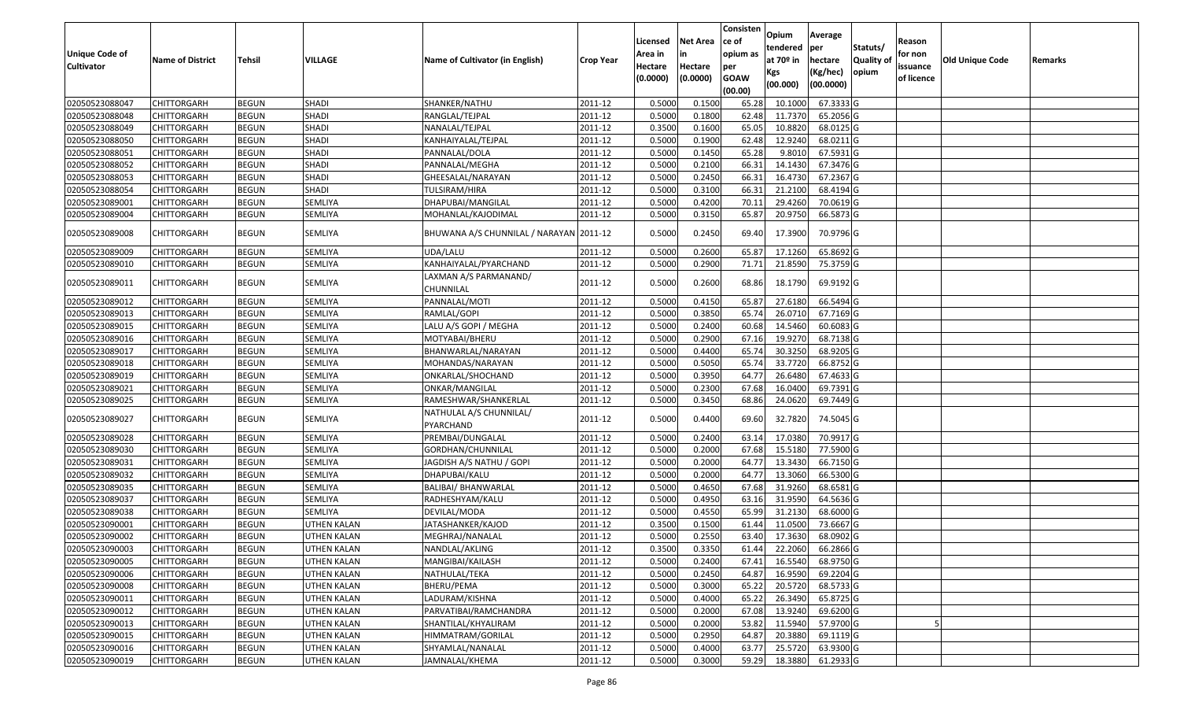|                       |                         |               |                    |                                         |                  |          |                 | Consisten   | Opium           | Average        |                  |            |                 |         |
|-----------------------|-------------------------|---------------|--------------------|-----------------------------------------|------------------|----------|-----------------|-------------|-----------------|----------------|------------------|------------|-----------------|---------|
|                       |                         |               |                    |                                         |                  | Licensed | <b>Net Area</b> | ce of       | tendered        |                | Statuts/         | Reason     |                 |         |
| <b>Unique Code of</b> | <b>Name of District</b> | <b>Tehsil</b> | VILLAGE            | Name of Cultivator (in English)         | <b>Crop Year</b> | Area in  |                 | opium as    | at $70°$ in     | per<br>hectare | <b>Quality o</b> | for non    | Old Unique Code | Remarks |
| <b>Cultivator</b>     |                         |               |                    |                                         |                  | Hectare  | Hectare         | per         |                 | (Kg/hec)       | opium            | issuance   |                 |         |
|                       |                         |               |                    |                                         |                  | (0.0000) | (0.0000)        | <b>GOAW</b> | Kgs<br>(00.000) | (00.0000)      |                  | of licence |                 |         |
|                       |                         |               |                    |                                         |                  |          |                 | (00.00)     |                 |                |                  |            |                 |         |
| 02050523088047        | CHITTORGARH             | <b>BEGUN</b>  | <b>SHADI</b>       | SHANKER/NATHU                           | 2011-12          | 0.5000   | 0.1500          | 65.28       | 10.1000         | 67.3333 G      |                  |            |                 |         |
| 02050523088048        | CHITTORGARH             | <b>BEGUN</b>  | SHADI              | RANGLAL/TEJPAL                          | 2011-12          | 0.5000   | 0.1800          | 62.48       | 11.7370         | 65.2056 G      |                  |            |                 |         |
| 02050523088049        | CHITTORGARH             | <b>BEGUN</b>  | <b>SHADI</b>       | NANALAL/TEJPAL                          | 2011-12          | 0.3500   | 0.1600          | 65.05       | 10.8820         | 68.0125 G      |                  |            |                 |         |
| 02050523088050        | CHITTORGARH             | <b>BEGUN</b>  | SHADI              | KANHAIYALAL/TEJPAL                      | 2011-12          | 0.5000   | 0.1900          | 62.48       | 12.9240         | 68.0211G       |                  |            |                 |         |
| 02050523088051        | CHITTORGARH             | <b>BEGUN</b>  | SHADI              | PANNALAL/DOLA                           | 2011-12          | 0.5000   | 0.1450          | 65.28       | 9.801           | 67.5931 G      |                  |            |                 |         |
| 02050523088052        | CHITTORGARH             | <b>BEGUN</b>  | SHADI              | PANNALAL/MEGHA                          | 2011-12          | 0.5000   | 0.2100          | 66.31       | 14.1430         | 67.3476 G      |                  |            |                 |         |
| 02050523088053        | CHITTORGARH             | <b>BEGUN</b>  | <b>SHADI</b>       | GHEESALAL/NARAYAN                       | 2011-12          | 0.5000   | 0.2450          | 66.3        | 16.4730         | 67.2367 G      |                  |            |                 |         |
| 02050523088054        | CHITTORGARH             | <b>BEGUN</b>  | <b>SHADI</b>       | TULSIRAM/HIRA                           | 2011-12          | 0.5000   | 0.3100          | 66.3        | 21.2100         | 68.4194 G      |                  |            |                 |         |
| 02050523089001        | CHITTORGARH             | <b>BEGUN</b>  | <b>SEMLIYA</b>     | DHAPUBAI/MANGILAL                       | 2011-12          | 0.5000   | 0.4200          | 70.1        | 29.4260         | 70.0619 G      |                  |            |                 |         |
| 02050523089004        | CHITTORGARH             | <b>BEGUN</b>  | SEMLIYA            | MOHANLAL/KAJODIMAL                      | 2011-12          | 0.5000   | 0.3150          | 65.87       | 20.9750         | 66.5873 G      |                  |            |                 |         |
| 02050523089008        | CHITTORGARH             | <b>BEGUN</b>  | SEMLIYA            | BHUWANA A/S CHUNNILAL / NARAYAN 2011-12 |                  | 0.5000   | 0.2450          | 69.40       | 17.3900         | 70.9796 G      |                  |            |                 |         |
| 02050523089009        | CHITTORGARH             | <b>BEGUN</b>  | SEMLIYA            | UDA/LALU                                | 2011-12          | 0.5000   | 0.2600          | 65.87       | 17.1260         | 65.8692 G      |                  |            |                 |         |
| 02050523089010        | CHITTORGARH             | <b>BEGUN</b>  | SEMLIYA            | KANHAIYALAL/PYARCHAND                   | 2011-12          | 0.5000   | 0.2900          | 71.71       | 21.8590         | 75.3759 G      |                  |            |                 |         |
|                       |                         |               |                    | LAXMAN A/S PARMANAND/                   |                  |          |                 |             |                 |                |                  |            |                 |         |
| 02050523089011        | CHITTORGARH             | <b>BEGUN</b>  | SEMLIYA            | CHUNNILAL                               | 2011-12          | 0.5000   | 0.2600          | 68.86       | 18.1790         | 69.9192 G      |                  |            |                 |         |
| 02050523089012        | CHITTORGARH             | <b>BEGUN</b>  | SEMLIYA            | PANNALAL/MOTI                           | 2011-12          | 0.5000   | 0.4150          | 65.87       | 27.6180         | 66.5494 G      |                  |            |                 |         |
| 02050523089013        | CHITTORGARH             | <b>BEGUN</b>  | <b>SEMLIYA</b>     | RAMLAL/GOPI                             | 2011-12          | 0.5000   | 0.3850          | 65.74       | 26.0710         | 67.7169 G      |                  |            |                 |         |
| 02050523089015        | CHITTORGARH             | <b>BEGUN</b>  | SEMLIYA            | LALU A/S GOPI / MEGHA                   | 2011-12          | 0.5000   | 0.2400          | 60.68       | 14.5460         | 60.6083 G      |                  |            |                 |         |
| 02050523089016        | CHITTORGARH             | <b>BEGUN</b>  | <b>SEMLIYA</b>     | MOTYABAI/BHERU                          | 2011-12          | 0.5000   | 0.2900          | 67.16       | 19.9270         | 68.7138 G      |                  |            |                 |         |
| 02050523089017        | CHITTORGARH             | <b>BEGUN</b>  | SEMLIYA            | BHANWARLAL/NARAYAN                      | 2011-12          | 0.5000   | 0.4400          | 65.74       | 30.3250         | 68.9205 G      |                  |            |                 |         |
| 02050523089018        | CHITTORGARH             | <b>BEGUN</b>  | <b>SEMLIYA</b>     | MOHANDAS/NARAYAN                        | 2011-12          | 0.5000   | 0.5050          | 65.74       | 33.7720         | 66.8752 G      |                  |            |                 |         |
| 02050523089019        | CHITTORGARH             | <b>BEGUN</b>  | SEMLIYA            | ONKARLAL/SHOCHAND                       | 2011-12          | 0.5000   | 0.3950          | 64.77       | 26.6480         | 67.4633 G      |                  |            |                 |         |
| 02050523089021        | CHITTORGARH             | <b>BEGUN</b>  | <b>SEMLIYA</b>     | ONKAR/MANGILAL                          | 2011-12          | 0.5000   | 0.2300          | 67.68       | 16.0400         | 69.7391G       |                  |            |                 |         |
| 02050523089025        | CHITTORGARH             | <b>BEGUN</b>  | SEMLIYA            | RAMESHWAR/SHANKERLAL                    | 2011-12          | 0.5000   | 0.3450          | 68.86       | 24.0620         | 69.7449 G      |                  |            |                 |         |
| 02050523089027        | CHITTORGARH             | <b>BEGUN</b>  | SEMLIYA            | NATHULAL A/S CHUNNILAL/<br>PYARCHAND    | 2011-12          | 0.5000   | 0.4400          | 69.60       | 32.7820         | 74.5045 G      |                  |            |                 |         |
| 02050523089028        | CHITTORGARH             | <b>BEGUN</b>  | <b>SEMLIYA</b>     | PREMBAI/DUNGALAL                        | 2011-12          | 0.5000   | 0.2400          | 63.1        | 17.0380         | 70.9917 G      |                  |            |                 |         |
| 02050523089030        | <b>CHITTORGARH</b>      | <b>BEGUN</b>  | SEMLIYA            | GORDHAN/CHUNNILAL                       | 2011-12          | 0.5000   | 0.2000          | 67.68       | 15.5180         | 77.5900 G      |                  |            |                 |         |
| 02050523089031        | <b>CHITTORGARH</b>      | <b>BEGUN</b>  | <b>SEMLIYA</b>     | JAGDISH A/S NATHU / GOPI                | 2011-12          | 0.5000   | 0.2000          | 64.77       | 13.3430         | 66.7150 G      |                  |            |                 |         |
| 02050523089032        | CHITTORGARH             | <b>BEGUN</b>  | <b>SEMLIYA</b>     | DHAPUBAI/KALU                           | 2011-12          | 0.5000   | 0.2000          | 64.77       | 13.3060         | 66.5300 G      |                  |            |                 |         |
| 02050523089035        | CHITTORGARH             | <b>BEGUN</b>  | <b>SEMLIYA</b>     | BALIBAI/ BHANWARLAL                     | 2011-12          | 0.5000   | 0.4650          | 67.68       | 31.9260         | 68.6581G       |                  |            |                 |         |
| 02050523089037        | CHITTORGARH             | <b>BEGUN</b>  | <b>SEMLIYA</b>     | RADHESHYAM/KALU                         | 2011-12          | 0.5000   | 0.4950          | 63.16       | 31.9590         | 64.5636 G      |                  |            |                 |         |
| 02050523089038        | CHITTORGARH             | <b>BEGUN</b>  | SEMLIYA            | DEVILAL/MODA                            | 2011-12          | 0.5000   | 0.4550          | 65.99       | 31.2130         | 68.6000G       |                  |            |                 |         |
| 02050523090001        | CHITTORGARH             | <b>BEGUN</b>  | UTHEN KALAN        | JATASHANKER/KAJOD                       | 2011-12          | 0.350    | 0.1500          | 61.44       | 11.0500         | 73.6667 G      |                  |            |                 |         |
| 02050523090002        | CHITTORGARH             | <b>BEGUN</b>  | UTHEN KALAN        | MEGHRAJ/NANALAL                         | 2011-12          | 0.5000   | 0.2550          | 63.40       | 17.3630         | 68.0902 G      |                  |            |                 |         |
| 02050523090003        | <b>CHITTORGARH</b>      | <b>BEGUN</b>  | <b>UTHEN KALAN</b> | NANDLAL/AKLING                          | 2011-12          | 0.3500   | 0.3350          | 61.44       | 22.2060         | 66.2866 G      |                  |            |                 |         |
| 02050523090005        | <b>CHITTORGARH</b>      | <b>BEGUN</b>  | UTHEN KALAN        | MANGIBAI/KAILASH                        | 2011-12          | 0.5000   | 0.2400          | 67.41       | 16.5540         | 68.9750 G      |                  |            |                 |         |
| 02050523090006        | <b>CHITTORGARH</b>      | <b>BEGUN</b>  | UTHEN KALAN        | NATHULAL/TEKA                           | 2011-12          | 0.5000   | 0.2450          | 64.87       | 16.9590         | 69.2204 G      |                  |            |                 |         |
| 02050523090008        | <b>CHITTORGARH</b>      | <b>BEGUN</b>  | UTHEN KALAN        | BHERU/PEMA                              | 2011-12          | 0.5000   | 0.3000          | 65.22       | 20.5720         | 68.5733 G      |                  |            |                 |         |
| 02050523090011        | <b>CHITTORGARH</b>      | <b>BEGUN</b>  | UTHEN KALAN        | LADURAM/KISHNA                          | 2011-12          | 0.5000   | 0.4000          | 65.22       | 26.3490         | 65.8725 G      |                  |            |                 |         |
| 02050523090012        | <b>CHITTORGARH</b>      | <b>BEGUN</b>  | <b>UTHEN KALAN</b> | PARVATIBAI/RAMCHANDRA                   | 2011-12          | 0.5000   | 0.2000          | 67.08       | 13.9240         | 69.6200 G      |                  |            |                 |         |
| 02050523090013        | <b>CHITTORGARH</b>      | <b>BEGUN</b>  | <b>UTHEN KALAN</b> | SHANTILAL/KHYALIRAM                     | 2011-12          | 0.5000   | 0.2000          | 53.82       | 11.5940         | 57.9700 G      |                  |            |                 |         |
| 02050523090015        | <b>CHITTORGARH</b>      | <b>BEGUN</b>  | UTHEN KALAN        | HIMMATRAM/GORILAL                       | 2011-12          | 0.5000   | 0.2950          | 64.87       | 20.3880         | 69.1119 G      |                  |            |                 |         |
| 02050523090016        | <b>CHITTORGARH</b>      | <b>BEGUN</b>  | UTHEN KALAN        | SHYAMLAL/NANALAL                        | 2011-12          | 0.5000   | 0.4000          | 63.77       | 25.5720         | 63.9300 G      |                  |            |                 |         |
| 02050523090019        | <b>CHITTORGARH</b>      | <b>BEGUN</b>  | UTHEN KALAN        | JAMNALAL/KHEMA                          | 2011-12          | 0.5000   | 0.3000          | 59.29       | 18.3880         | 61.2933 G      |                  |            |                 |         |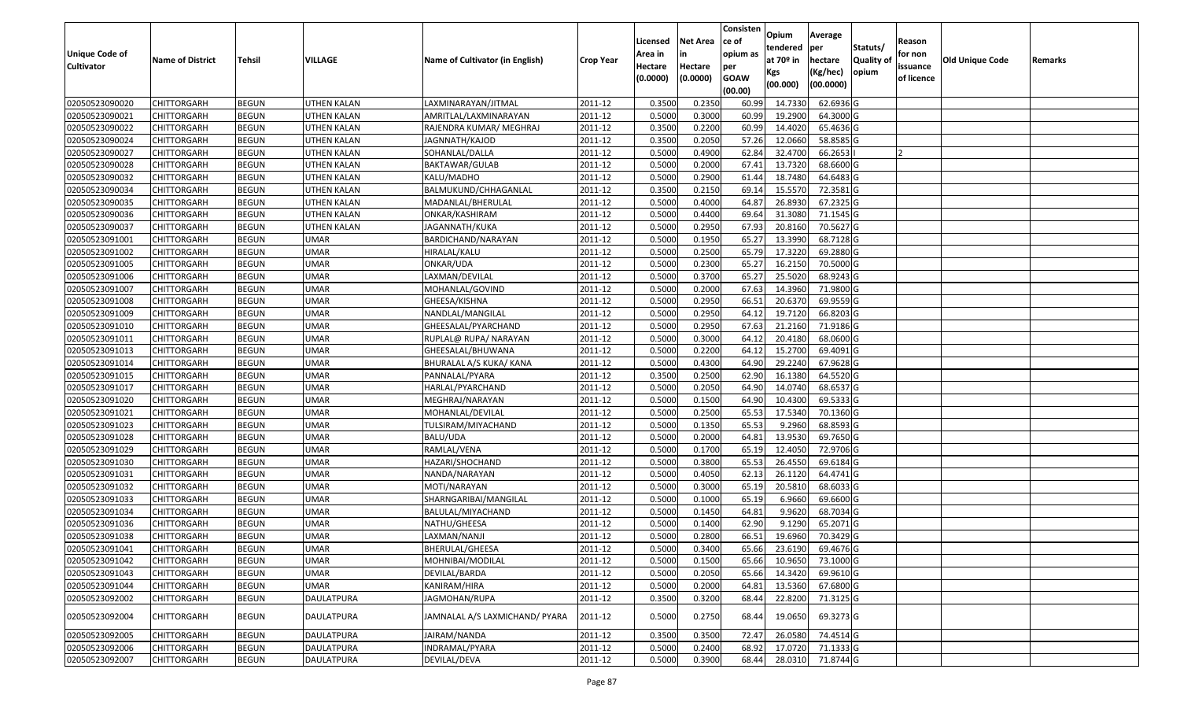| <b>Unique Code of</b><br><b>Cultivator</b> | <b>Name of District</b> | Tehsil       | VILLAGE            | <b>Name of Cultivator (in English)</b> | <b>Crop Year</b> | Licensed<br>Area in<br>Hectare<br>(0.0000) | <b>Net Area</b><br>in<br>Hectare<br>(0.0000) | Consisten<br>ce of<br>opium as<br>per<br><b>GOAW</b><br>(00.00) | Opium<br>tendered<br>at $70°$ in<br>Kgs<br>(00.000) | Average<br>per<br>hectare<br>(Kg/hec)<br>(00.0000) | Statuts/<br><b>Quality of</b><br>opium | Reason<br>for non<br>issuance<br>of licence | Old Unique Code | Remarks |
|--------------------------------------------|-------------------------|--------------|--------------------|----------------------------------------|------------------|--------------------------------------------|----------------------------------------------|-----------------------------------------------------------------|-----------------------------------------------------|----------------------------------------------------|----------------------------------------|---------------------------------------------|-----------------|---------|
| 02050523090020                             | <b>CHITTORGARH</b>      | <b>BEGUN</b> | UTHEN KALAN        | LAXMINARAYAN/JITMAL                    | 2011-12          | 0.3500                                     | 0.2350                                       | 60.99                                                           | 14.7330                                             | 62.6936 G                                          |                                        |                                             |                 |         |
| 02050523090021                             | CHITTORGARH             | <b>BEGUN</b> | UTHEN KALAN        | AMRITLAL/LAXMINARAYAN                  | 2011-12          | 0.5000                                     | 0.3000                                       | 60.99                                                           | 19.2900                                             | 64.3000 G                                          |                                        |                                             |                 |         |
| 02050523090022                             | CHITTORGARH             | <b>BEGUN</b> | UTHEN KALAN        | RAJENDRA KUMAR/ MEGHRAJ                | 2011-12          | 0.3500                                     | 0.2200                                       | 60.99                                                           | 14.4020                                             | 65.4636 G                                          |                                        |                                             |                 |         |
| 02050523090024                             | <b>CHITTORGARH</b>      | <b>BEGUN</b> | <b>UTHEN KALAN</b> | JAGNNATH/KAJOD                         | 2011-12          | 0.3500                                     | 0.2050                                       | 57.26                                                           | 12.0660                                             | 58.8585 G                                          |                                        |                                             |                 |         |
| 02050523090027                             | <b>CHITTORGARH</b>      | <b>BEGUN</b> | UTHEN KALAN        | SOHANLAL/DALLA                         | 2011-12          | 0.5000                                     | 0.4900                                       | 62.84                                                           | 32.4700                                             | 66.2653                                            |                                        |                                             |                 |         |
| 02050523090028                             | <b>CHITTORGARH</b>      | <b>BEGUN</b> | <b>UTHEN KALAN</b> | BAKTAWAR/GULAB                         | 2011-12          | 0.5000                                     | 0.2000                                       | 67.41                                                           | 13.7320                                             | 68.6600 G                                          |                                        |                                             |                 |         |
| 02050523090032                             | CHITTORGARH             | <b>BEGUN</b> | UTHEN KALAN        | KALU/MADHO                             | 2011-12          | 0.5000                                     | 0.2900                                       | 61.44                                                           | 18.7480                                             | 64.6483 G                                          |                                        |                                             |                 |         |
| 02050523090034                             | <b>CHITTORGARH</b>      | <b>BEGUN</b> | UTHEN KALAN        | BALMUKUND/CHHAGANLAL                   | 2011-12          | 0.3500                                     | 0.2150                                       | 69.14                                                           | 15.5570                                             | 72.3581 G                                          |                                        |                                             |                 |         |
| 02050523090035                             | <b>CHITTORGARH</b>      | <b>BEGUN</b> | UTHEN KALAN        | MADANLAL/BHERULAL                      | 2011-12          | 0.5000                                     | 0.4000                                       | 64.87                                                           | 26.8930                                             | 67.2325 G                                          |                                        |                                             |                 |         |
| 02050523090036                             | <b>CHITTORGARH</b>      | <b>BEGUN</b> | UTHEN KALAN        | ONKAR/KASHIRAM                         | 2011-12          | 0.5000                                     | 0.4400                                       | 69.64                                                           | 31.3080                                             | 71.1545 G                                          |                                        |                                             |                 |         |
| 02050523090037                             | <b>CHITTORGARH</b>      | <b>BEGUN</b> | UTHEN KALAN        | JAGANNATH/KUKA                         | 2011-12          | 0.5000                                     | 0.2950                                       | 67.93                                                           | 20.8160                                             | 70.5627 G                                          |                                        |                                             |                 |         |
| 02050523091001                             | <b>CHITTORGARH</b>      | <b>BEGUN</b> | UMAR               | BARDICHAND/NARAYAN                     | 2011-12          | 0.5000                                     | 0.1950                                       | 65.27                                                           | 13.3990                                             | 68.7128 G                                          |                                        |                                             |                 |         |
| 02050523091002                             | <b>CHITTORGARH</b>      | <b>BEGUN</b> | <b>UMAR</b>        | HIRALAL/KALU                           | 2011-12          | 0.5000                                     | 0.2500                                       | 65.79                                                           | 17.3220                                             | 69.2880 G                                          |                                        |                                             |                 |         |
| 02050523091005                             | <b>CHITTORGARH</b>      | <b>BEGUN</b> | <b>UMAR</b>        | ONKAR/UDA                              | 2011-12          | 0.5000                                     | 0.2300                                       | 65.27                                                           | 16.2150                                             | 70.5000 G                                          |                                        |                                             |                 |         |
| 02050523091006                             | <b>CHITTORGARH</b>      | <b>BEGUN</b> | <b>UMAR</b>        | LAXMAN/DEVILAL                         | 2011-12          | 0.5000                                     | 0.3700                                       | 65.27                                                           | 25.5020                                             | 68.9243 G                                          |                                        |                                             |                 |         |
| 02050523091007                             | <b>CHITTORGARH</b>      | <b>BEGUN</b> | <b>UMAR</b>        | MOHANLAL/GOVIND                        | 2011-12          | 0.5000                                     | 0.2000                                       | 67.63                                                           | 14.3960                                             | 71.9800 G                                          |                                        |                                             |                 |         |
| 02050523091008                             | <b>CHITTORGARH</b>      | <b>BEGUN</b> | <b>UMAR</b>        | GHEESA/KISHNA                          | 2011-12          | 0.5000                                     | 0.2950                                       | 66.51                                                           | 20.6370                                             | 69.9559 G                                          |                                        |                                             |                 |         |
| 02050523091009                             | <b>CHITTORGARH</b>      | <b>BEGUN</b> | UMAR               | NANDLAL/MANGILAL                       | 2011-12          | 0.5000                                     | 0.2950                                       | 64.12                                                           | 19.7120                                             | 66.8203 G                                          |                                        |                                             |                 |         |
| 02050523091010                             | <b>CHITTORGARH</b>      | <b>BEGUN</b> | <b>UMAR</b>        | GHEESALAL/PYARCHAND                    | 2011-12          | 0.5000                                     | 0.2950                                       | 67.63                                                           | 21.2160                                             | 71.9186 G                                          |                                        |                                             |                 |         |
| 02050523091011                             | CHITTORGARH             | <b>BEGUN</b> | <b>UMAR</b>        | RUPLAL@ RUPA/ NARAYAN                  | 2011-12          | 0.5000                                     | 0.3000                                       | 64.12                                                           | 20.4180                                             | 68.0600 G                                          |                                        |                                             |                 |         |
| 02050523091013                             | <b>CHITTORGARH</b>      | <b>BEGUN</b> | <b>UMAR</b>        | GHEESALAL/BHUWANA                      | 2011-12          | 0.5000                                     | 0.2200                                       | 64.12                                                           | 15.2700                                             | 69.4091G                                           |                                        |                                             |                 |         |
| 02050523091014                             | <b>CHITTORGARH</b>      | <b>BEGUN</b> | <b>UMAR</b>        | BHURALAL A/S KUKA/ KANA                | 2011-12          | 0.5000                                     | 0.4300                                       | 64.90                                                           | 29.2240                                             | 67.9628 G                                          |                                        |                                             |                 |         |
| 02050523091015                             | <b>CHITTORGARH</b>      | <b>BEGUN</b> | <b>UMAR</b>        | PANNALAL/PYARA                         | 2011-12          | 0.3500                                     | 0.2500                                       | 62.90                                                           | 16.1380                                             | 64.5520 G                                          |                                        |                                             |                 |         |
| 02050523091017                             | <b>CHITTORGARH</b>      | <b>BEGUN</b> | <b>UMAR</b>        | HARLAL/PYARCHAND                       | 2011-12          | 0.5000                                     | 0.2050                                       | 64.90                                                           | 14.0740                                             | 68.6537 G                                          |                                        |                                             |                 |         |
| 02050523091020                             | <b>CHITTORGARH</b>      | <b>BEGUN</b> | <b>UMAR</b>        | MEGHRAJ/NARAYAN                        | 2011-12          | 0.5000                                     | 0.1500                                       | 64.90                                                           | 10.4300                                             | 69.5333 G                                          |                                        |                                             |                 |         |
| 02050523091021                             | CHITTORGARH             | <b>BEGUN</b> | <b>UMAR</b>        | MOHANLAL/DEVILAL                       | 2011-12          | 0.5000                                     | 0.2500                                       | 65.53                                                           | 17.5340                                             | 70.1360 G                                          |                                        |                                             |                 |         |
| 02050523091023                             | <b>CHITTORGARH</b>      | <b>BEGUN</b> | <b>UMAR</b>        | TULSIRAM/MIYACHAND                     | 2011-12          | 0.5000                                     | 0.1350                                       | 65.53                                                           | 9.2960                                              | 68.8593 G                                          |                                        |                                             |                 |         |
| 02050523091028                             | <b>CHITTORGARH</b>      | <b>BEGUN</b> | <b>UMAR</b>        | BALU/UDA                               | 2011-12          | 0.5000                                     | 0.2000                                       | 64.81                                                           | 13.9530                                             | 69.7650 G                                          |                                        |                                             |                 |         |
| 02050523091029                             | <b>CHITTORGARH</b>      | <b>BEGUN</b> | <b>UMAR</b>        | RAMLAL/VENA                            | 2011-12          | 0.5000                                     | 0.1700                                       | 65.19                                                           | 12.4050                                             | 72.9706 G                                          |                                        |                                             |                 |         |
| 02050523091030                             | <b>CHITTORGARH</b>      | <b>BEGUN</b> | <b>UMAR</b>        | HAZARI/SHOCHAND                        | 2011-12          | 0.5000                                     | 0.3800                                       | 65.53                                                           | 26.4550                                             | 69.6184 G                                          |                                        |                                             |                 |         |
| 02050523091031                             | <b>CHITTORGARH</b>      | <b>BEGUN</b> | <b>UMAR</b>        | NANDA/NARAYAN                          | 2011-12          | 0.5000                                     | 0.4050                                       | 62.13                                                           | 26.1120                                             | 64.4741 G                                          |                                        |                                             |                 |         |
| 02050523091032                             | CHITTORGARH             | <b>BEGUN</b> | <b>UMAR</b>        | MOTI/NARAYAN                           | 2011-12          | 0.5000                                     | 0.3000                                       | 65.19                                                           | 20.5810                                             | 68.6033 G                                          |                                        |                                             |                 |         |
| 02050523091033                             | <b>CHITTORGARH</b>      | <b>BEGUN</b> | <b>UMAR</b>        | SHARNGARIBAI/MANGILAL                  | 2011-12          | 0.5000                                     | 0.1000                                       | 65.19                                                           | 6.9660                                              | 69.6600 G                                          |                                        |                                             |                 |         |
| 02050523091034                             | <b>CHITTORGARH</b>      | <b>BEGUN</b> | <b>UMAR</b>        | BALULAL/MIYACHAND                      | 2011-12          | 0.5000                                     | 0.1450                                       | 64.81                                                           | 9.9620                                              | 68.7034 G                                          |                                        |                                             |                 |         |
| 02050523091036                             | CHITTORGARH             | <b>BEGUN</b> | UMAR               | NATHU/GHEESA                           | 2011-12          | 0.500                                      | 0.1400                                       | 62.90                                                           | 9.1290                                              | 65.2071 G                                          |                                        |                                             |                 |         |
| 02050523091038                             | <b>CHITTORGARH</b>      | <b>BEGUN</b> | <b>UMAR</b>        | LAXMAN/NANJI                           | 2011-12          | 0.5000                                     | 0.2800                                       | 66.51                                                           | 19.6960                                             | 70.3429 G                                          |                                        |                                             |                 |         |
| 02050523091041                             | <b>CHITTORGARH</b>      | <b>BEGUN</b> | <b>UMAR</b>        | BHERULAL/GHEESA                        | 2011-12          | 0.5000                                     | 0.3400                                       | 65.66                                                           | 23.6190                                             | 69.4676 G                                          |                                        |                                             |                 |         |
| 02050523091042                             | <b>CHITTORGARH</b>      | <b>BEGUN</b> | <b>UMAR</b>        | MOHNIBAI/MODILAL                       | 2011-12          | 0.5000                                     | 0.1500                                       | 65.66                                                           | 10.9650                                             | 73.1000 G                                          |                                        |                                             |                 |         |
| 02050523091043                             | <b>CHITTORGARH</b>      | <b>BEGUN</b> | <b>UMAR</b>        | DEVILAL/BARDA                          | 2011-12          | 0.5000                                     | 0.2050                                       | 65.66                                                           | 14.3420                                             | 69.9610 G                                          |                                        |                                             |                 |         |
| 02050523091044                             | <b>CHITTORGARH</b>      | <b>BEGUN</b> | <b>UMAR</b>        | KANIRAM/HIRA                           | 2011-12          | 0.5000                                     | 0.2000                                       | 64.81                                                           | 13.5360                                             | 67.6800 G                                          |                                        |                                             |                 |         |
| 02050523092002                             | <b>CHITTORGARH</b>      | <b>BEGUN</b> | DAULATPURA         | JAGMOHAN/RUPA                          | 2011-12          | 0.3500                                     | 0.3200                                       | 68.44                                                           | 22.8200                                             | 71.3125 G                                          |                                        |                                             |                 |         |
| 02050523092004                             | <b>CHITTORGARH</b>      | <b>BEGUN</b> | DAULATPURA         | JAMNALAL A/S LAXMICHAND/ PYARA         | 2011-12          | 0.5000                                     | 0.2750                                       | 68.44                                                           | 19.0650                                             | 69.3273 G                                          |                                        |                                             |                 |         |
| 02050523092005                             | <b>CHITTORGARH</b>      | <b>BEGUN</b> | DAULATPURA         | JAIRAM/NANDA                           | 2011-12          | 0.3500                                     | 0.3500                                       | 72.47                                                           | 26.0580                                             | 74.4514 G                                          |                                        |                                             |                 |         |
| 02050523092006                             | <b>CHITTORGARH</b>      | <b>BEGUN</b> | DAULATPURA         | INDRAMAL/PYARA                         | 2011-12          | 0.5000                                     | 0.2400                                       | 68.92                                                           | 17.0720                                             | 71.1333 G                                          |                                        |                                             |                 |         |
| 02050523092007                             | <b>CHITTORGARH</b>      | <b>BEGUN</b> | <b>DAULATPURA</b>  | DEVILAL/DEVA                           | 2011-12          | 0.5000                                     | 0.3900                                       | 68.44                                                           |                                                     | 28.0310 71.8744 G                                  |                                        |                                             |                 |         |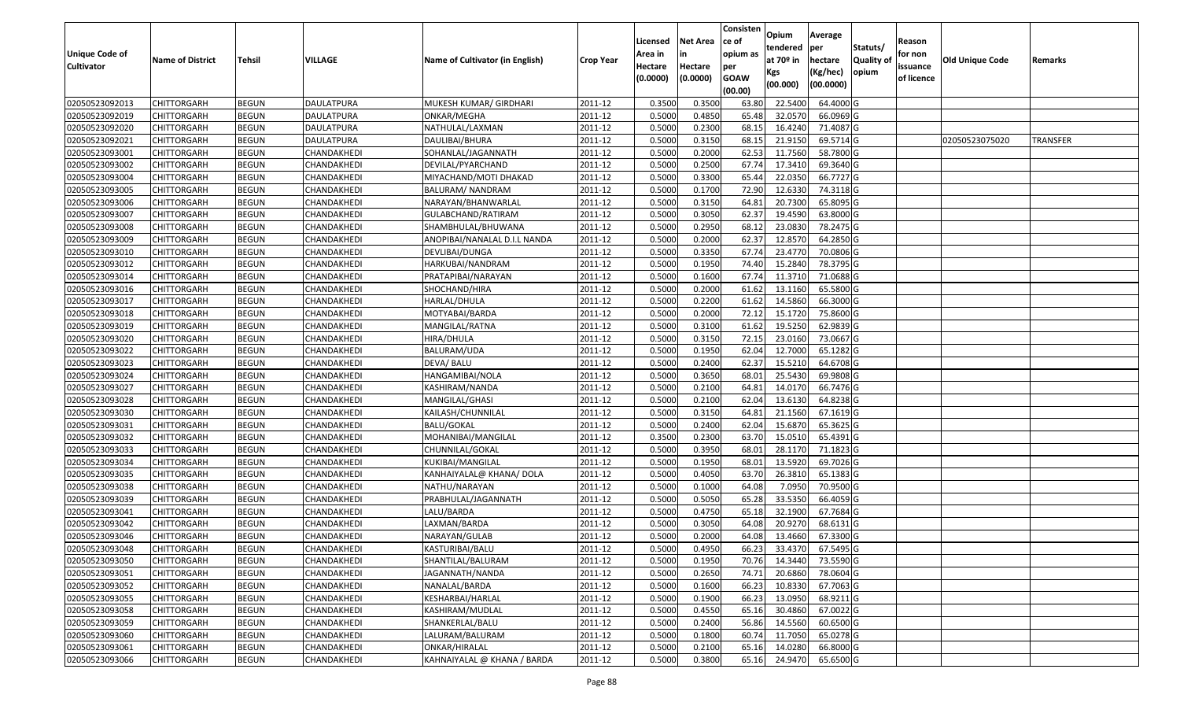|                       |                         |               |                   |                                 |                  | Licensed | <b>Net Area</b> | Consisten<br>ce of | Opium         | Average   |                  | Reason     |                 |                 |
|-----------------------|-------------------------|---------------|-------------------|---------------------------------|------------------|----------|-----------------|--------------------|---------------|-----------|------------------|------------|-----------------|-----------------|
| <b>Unique Code of</b> |                         |               |                   |                                 |                  | Area in  |                 | opium as           | tendered      | per       | Statuts/         | for non    |                 |                 |
| <b>Cultivator</b>     | <b>Name of District</b> | <b>Tehsil</b> | VILLAGE           | Name of Cultivator (in English) | <b>Crop Year</b> | Hectare  | Hectare         | per                | at $70°$ in   | hectare   | <b>Quality o</b> | issuance   | Old Unique Code | Remarks         |
|                       |                         |               |                   |                                 |                  | (0.0000) | (0.0000)        | <b>GOAW</b>        | Kgs           | (Kg/hec)  | opium            | of licence |                 |                 |
|                       |                         |               |                   |                                 |                  |          |                 | (00.00)            | (00.000)      | (00.0000) |                  |            |                 |                 |
| 02050523092013        | CHITTORGARH             | <b>BEGUN</b>  | <b>DAULATPURA</b> | MUKESH KUMAR/ GIRDHARI          | 2011-12          | 0.3500   | 0.3500          | 63.80              | 22.5400       | 64.4000 G |                  |            |                 |                 |
| 02050523092019        | CHITTORGARH             | <b>BEGUN</b>  | DAULATPURA        | ONKAR/MEGHA                     | 2011-12          | 0.5000   | 0.4850          | 65.48              | 32.0570       | 66.0969 G |                  |            |                 |                 |
| 02050523092020        | CHITTORGARH             | <b>BEGUN</b>  | DAULATPURA        | NATHULAL/LAXMAN                 | 2011-12          | 0.5000   | 0.2300          | 68.1               | 16.4240       | 71.4087 G |                  |            |                 |                 |
| 02050523092021        | <b>CHITTORGARH</b>      | <b>BEGUN</b>  | <b>DAULATPURA</b> | DAULIBAI/BHURA                  | 2011-12          | 0.5000   | 0.3150          | 68.15              | 21.9150       | 69.5714 G |                  |            | 02050523075020  | <b>TRANSFER</b> |
| 02050523093001        | CHITTORGARH             | <b>BEGUN</b>  | CHANDAKHEDI       | SOHANLAL/JAGANNATH              | 2011-12          | 0.5000   | 0.2000          | 62.53              | 11.7560       | 58.7800 G |                  |            |                 |                 |
| 02050523093002        | CHITTORGARH             | <b>BEGUN</b>  | CHANDAKHEDI       | DEVILAL/PYARCHAND               | 2011-12          | 0.5000   | 0.2500          | 67.7               | 17.3410       | 69.3640 G |                  |            |                 |                 |
| 02050523093004        | CHITTORGARH             | <b>BEGUN</b>  | CHANDAKHEDI       | MIYACHAND/MOTI DHAKAD           | 2011-12          | 0.5000   | 0.3300          | 65.44              | 22.0350       | 66.7727 G |                  |            |                 |                 |
| 02050523093005        | CHITTORGARH             | <b>BEGUN</b>  | CHANDAKHEDI       | BALURAM/NANDRAM                 | 2011-12          | 0.5000   | 0.1700          | 72.90              | 12.6330       | 74.3118 G |                  |            |                 |                 |
| 02050523093006        | CHITTORGARH             | <b>BEGUN</b>  | CHANDAKHEDI       | NARAYAN/BHANWARLAL              | 2011-12          | 0.5000   | 0.3150          | 64.8               | 20.7300       | 65.8095 G |                  |            |                 |                 |
| 02050523093007        | CHITTORGARH             | <b>BEGUN</b>  | CHANDAKHEDI       | GULABCHAND/RATIRAM              | 2011-12          | 0.5000   | 0.3050          | 62.37              | 19.4590       | 63.8000 G |                  |            |                 |                 |
| 02050523093008        | CHITTORGARH             | <b>BEGUN</b>  | CHANDAKHEDI       | SHAMBHULAL/BHUWANA              | 2011-12          | 0.5000   | 0.2950          | 68.12              | 23.0830       | 78.2475 G |                  |            |                 |                 |
| 02050523093009        | CHITTORGARH             | <b>BEGUN</b>  | CHANDAKHEDI       | ANOPIBAI/NANALAL D.I.L NANDA    | 2011-12          | 0.5000   | 0.2000          | 62.37              | 12.8570       | 64.2850 G |                  |            |                 |                 |
| 02050523093010        | <b>CHITTORGARH</b>      | <b>BEGUN</b>  | CHANDAKHEDI       | DEVLIBAI/DUNGA                  | 2011-12          | 0.5000   | 0.3350          | 67.74              | 23.4770       | 70.0806 G |                  |            |                 |                 |
| 02050523093012        | CHITTORGARH             | <b>BEGUN</b>  | CHANDAKHEDI       | HARKUBAI/NANDRAM                | 2011-12          | 0.5000   | 0.1950          | 74.40              | 15.2840       | 78.3795 G |                  |            |                 |                 |
| 02050523093014        | CHITTORGARH             | <b>BEGUN</b>  | CHANDAKHEDI       | PRATAPIBAI/NARAYAN              | 2011-12          | 0.5000   | 0.1600          | 67.7               | 11.3710       | 71.0688 G |                  |            |                 |                 |
| 02050523093016        | <b>CHITTORGARH</b>      | <b>BEGUN</b>  | CHANDAKHEDI       | SHOCHAND/HIRA                   | 2011-12          | 0.5000   | 0.2000          | 61.62              | 13.1160       | 65.5800 G |                  |            |                 |                 |
| 02050523093017        | CHITTORGARH             | <b>BEGUN</b>  | CHANDAKHEDI       | HARLAL/DHULA                    | 2011-12          | 0.5000   | 0.2200          | 61.62              | 14.5860       | 66.3000 G |                  |            |                 |                 |
| 02050523093018        | CHITTORGARH             | <b>BEGUN</b>  | CHANDAKHEDI       | MOTYABAI/BARDA                  | 2011-12          | 0.5000   | 0.2000          | 72.12              | 15.1720       | 75.8600 G |                  |            |                 |                 |
| 02050523093019        | CHITTORGARH             | <b>BEGUN</b>  | CHANDAKHEDI       | MANGILAL/RATNA                  | 2011-12          | 0.5000   | 0.3100          | 61.62              | 19.5250       | 62.9839 G |                  |            |                 |                 |
| 02050523093020        | CHITTORGARH             | <b>BEGUN</b>  | CHANDAKHEDI       | HIRA/DHULA                      | 2011-12          | 0.5000   | 0.3150          | 72.15              | 23.0160       | 73.0667 G |                  |            |                 |                 |
| 02050523093022        | CHITTORGARH             | <b>BEGUN</b>  | CHANDAKHEDI       | BALURAM/UDA                     | 2011-12          | 0.5000   | 0.1950          | 62.04              | 12.7000       | 65.1282 G |                  |            |                 |                 |
| 02050523093023        | CHITTORGARH             | <b>BEGUN</b>  | CHANDAKHEDI       | DEVA/ BALU                      | 2011-12          | 0.5000   | 0.2400          | 62.37              | 15.521        | 64.6708 G |                  |            |                 |                 |
| 02050523093024        | CHITTORGARH             | <b>BEGUN</b>  | CHANDAKHEDI       | HANGAMIBAI/NOLA                 | 2011-12          | 0.5000   | 0.3650          | 68.01              | 25.5430       | 69.9808 G |                  |            |                 |                 |
| 02050523093027        | CHITTORGARH             | <b>BEGUN</b>  | CHANDAKHEDI       | KASHIRAM/NANDA                  | 2011-12          | 0.5000   | 0.2100          | 64.8               | 14.0170       | 66.7476 G |                  |            |                 |                 |
| 02050523093028        | CHITTORGARH             | <b>BEGUN</b>  | CHANDAKHEDI       | MANGILAL/GHASI                  | 2011-12          | 0.5000   | 0.2100          | 62.04              | 13.6130       | 64.8238 G |                  |            |                 |                 |
| 02050523093030        | CHITTORGARH             | <b>BEGUN</b>  | CHANDAKHEDI       | KAILASH/CHUNNILAL               | 2011-12          | 0.5000   | 0.3150          | 64.8               | 21.1560       | 67.1619 G |                  |            |                 |                 |
| 02050523093031        | CHITTORGARH             | <b>BEGUN</b>  | CHANDAKHEDI       | <b>BALU/GOKAL</b>               | 2011-12          | 0.5000   | 0.2400          | 62.04              | 15.6870       | 65.3625 G |                  |            |                 |                 |
| 02050523093032        | CHITTORGARH             | <b>BEGUN</b>  | CHANDAKHEDI       | MOHANIBAI/MANGILAL              | 2011-12          | 0.3500   | 0.2300          | 63.70              | 15.0510       | 65.4391 G |                  |            |                 |                 |
| 02050523093033        | CHITTORGARH             | <b>BEGUN</b>  | CHANDAKHEDI       | CHUNNILAL/GOKAL                 | 2011-12          | 0.5000   | 0.3950          | 68.01              | 28.1170       | 71.1823 G |                  |            |                 |                 |
| 02050523093034        | CHITTORGARH             | <b>BEGUN</b>  | CHANDAKHEDI       | KUKIBAI/MANGILAL                | 2011-12          | 0.5000   | 0.1950          | 68.01              | 13.5920       | 69.7026 G |                  |            |                 |                 |
| 02050523093035        | CHITTORGARH             | <b>BEGUN</b>  | CHANDAKHEDI       | KANHAIYALAL@ KHANA/ DOLA        | 2011-12          | 0.5000   | 0.4050          | 63.7               | 26.381        | 65.1383 G |                  |            |                 |                 |
| 02050523093038        | CHITTORGARH             | <b>BEGUN</b>  | CHANDAKHEDI       | NATHU/NARAYAN                   | 2011-12          | 0.5000   | 0.1000          | 64.08              | 7.095         | 70.9500 G |                  |            |                 |                 |
| 02050523093039        | CHITTORGARH             | <b>BEGUN</b>  | CHANDAKHEDI       | PRABHULAL/JAGANNATH             | 2011-12          | 0.5000   | 0.5050          | 65.28              | 33.5350       | 66.4059 G |                  |            |                 |                 |
| 02050523093041        | CHITTORGARH             | <b>BEGUN</b>  | CHANDAKHEDI       | LALU/BARDA                      | 2011-12          | 0.5000   | 0.4750          | 65.18              | 32.1900       | 67.7684 G |                  |            |                 |                 |
| 02050523093042        | CHITTORGARH             | <b>BEGUN</b>  | CHANDAKHEDI       | LAXMAN/BARDA                    | 2011-12          | 0.500    | 0.3050          | 64.08              | 20.9270       | 68.6131 G |                  |            |                 |                 |
| 02050523093046        | CHITTORGARH             | <b>BEGUN</b>  | CHANDAKHEDI       | NARAYAN/GULAB                   | 2011-12          | 0.5000   | 0.2000          | 64.08              | 13.4660       | 67.3300 G |                  |            |                 |                 |
| 02050523093048        | CHITTORGARH             | <b>BEGUN</b>  | CHANDAKHEDI       | KASTURIBAI/BALU                 | 2011-12          | 0.5000   | 0.4950          |                    | 66.23 33.4370 | 67.5495 G |                  |            |                 |                 |
| 02050523093050        | <b>CHITTORGARH</b>      | <b>BEGUN</b>  | CHANDAKHEDI       | SHANTILAL/BALURAM               | 2011-12          | 0.5000   | 0.1950          | 70.76              | 14.3440       | 73.5590 G |                  |            |                 |                 |
| 02050523093051        | <b>CHITTORGARH</b>      | <b>BEGUN</b>  | CHANDAKHEDI       | JAGANNATH/NANDA                 | 2011-12          | 0.5000   | 0.2650          | 74.71              | 20.6860       | 78.0604 G |                  |            |                 |                 |
| 02050523093052        | <b>CHITTORGARH</b>      | <b>BEGUN</b>  | CHANDAKHEDI       | NANALAL/BARDA                   | 2011-12          | 0.5000   | 0.1600          | 66.23              | 10.8330       | 67.7063 G |                  |            |                 |                 |
| 02050523093055        | CHITTORGARH             | <b>BEGUN</b>  | CHANDAKHEDI       | KESHARBAI/HARLAL                | 2011-12          | 0.5000   | 0.1900          | 66.23              | 13.0950       | 68.9211 G |                  |            |                 |                 |
| 02050523093058        | <b>CHITTORGARH</b>      | <b>BEGUN</b>  | CHANDAKHEDI       | KASHIRAM/MUDLAL                 | 2011-12          | 0.5000   | 0.4550          | 65.16              | 30.4860       | 67.0022 G |                  |            |                 |                 |
| 02050523093059        | <b>CHITTORGARH</b>      | <b>BEGUN</b>  | CHANDAKHEDI       | SHANKERLAL/BALU                 | 2011-12          | 0.5000   | 0.2400          | 56.86              | 14.5560       | 60.6500 G |                  |            |                 |                 |
| 02050523093060        | CHITTORGARH             | <b>BEGUN</b>  | CHANDAKHEDI       | LALURAM/BALURAM                 | 2011-12          | 0.5000   | 0.1800          | 60.74              | 11.7050       | 65.0278 G |                  |            |                 |                 |
| 02050523093061        | <b>CHITTORGARH</b>      | <b>BEGUN</b>  | CHANDAKHEDI       | ONKAR/HIRALAL                   | 2011-12          | 0.5000   | 0.2100          | 65.16              | 14.0280       | 66.8000 G |                  |            |                 |                 |
| 02050523093066        | <b>CHITTORGARH</b>      | <b>BEGUN</b>  | CHANDAKHEDI       | KAHNAIYALAL @ KHANA / BARDA     | 2011-12          | 0.5000   | 0.3800          | 65.16              | 24.9470       | 65.6500 G |                  |            |                 |                 |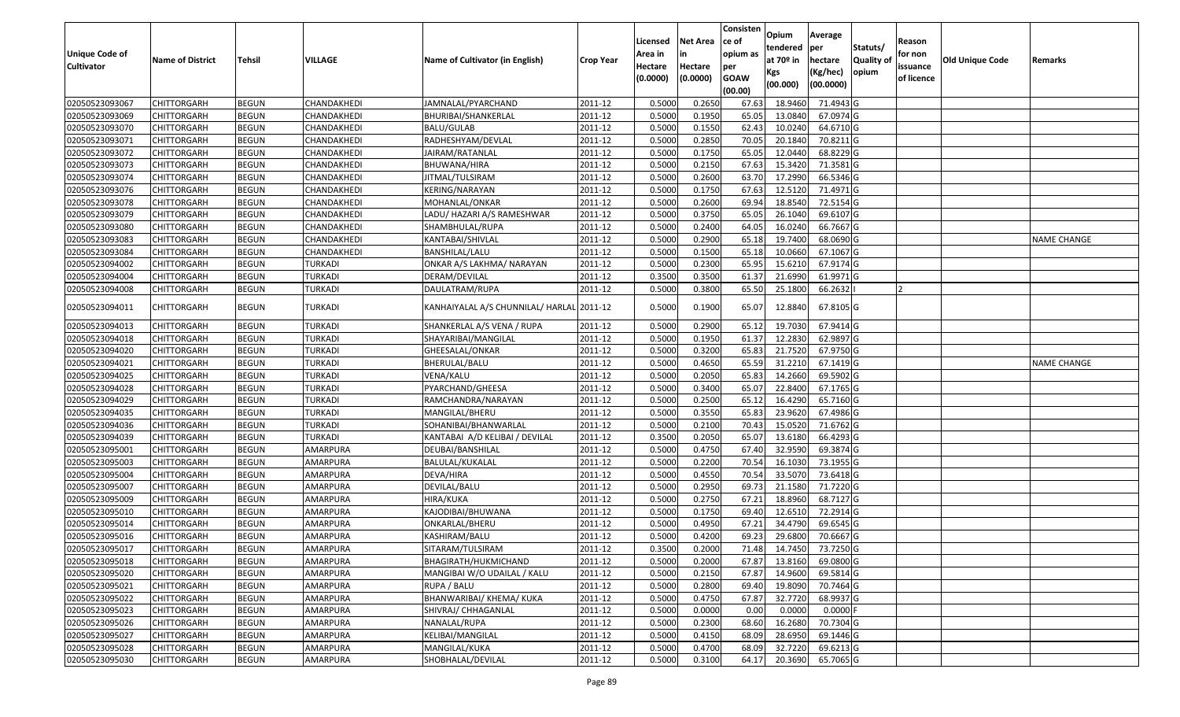| <b>Unique Code of</b><br><b>Cultivator</b> | <b>Name of District</b> | Tehsil       | VILLAGE        | Name of Cultivator (in English)           | <b>Crop Year</b> | Licensed<br>Area in<br>Hectare | Net Area<br>in<br>Hectare | Consisten<br>ce of<br>opium as<br>per | Opium<br>tendered<br>at 70º in<br>Kgs | Average<br>per<br>hectare<br>(Kg/hec) | Statuts/<br><b>Quality of</b><br>opium | Reason<br>for non<br>issuance | <b>Old Unique Code</b> | Remarks            |
|--------------------------------------------|-------------------------|--------------|----------------|-------------------------------------------|------------------|--------------------------------|---------------------------|---------------------------------------|---------------------------------------|---------------------------------------|----------------------------------------|-------------------------------|------------------------|--------------------|
|                                            |                         |              |                |                                           |                  | (0.0000)                       | (0.0000)                  | <b>GOAW</b><br>(00.00)                | (00.000)                              | (00.0000)                             |                                        | of licence                    |                        |                    |
| 02050523093067                             | <b>CHITTORGARH</b>      | <b>BEGUN</b> | CHANDAKHEDI    | JAMNALAL/PYARCHAND                        | 2011-12          | 0.5000                         | 0.2650                    | 67.63                                 | 18.9460                               | 71.4943 G                             |                                        |                               |                        |                    |
| 02050523093069                             | CHITTORGARH             | <b>BEGUN</b> | CHANDAKHEDI    | BHURIBAI/SHANKERLAL                       | 2011-12          | 0.5000                         | 0.1950                    | 65.05                                 | 13.0840                               | 67.0974 G                             |                                        |                               |                        |                    |
| 02050523093070                             | CHITTORGARH             | <b>BEGUN</b> | CHANDAKHEDI    | BALU/GULAB                                | 2011-12          | 0.5000                         | 0.1550                    | 62.43                                 | 10.0240                               | 64.6710 G                             |                                        |                               |                        |                    |
| 02050523093071                             | <b>CHITTORGARH</b>      | <b>BEGUN</b> | CHANDAKHEDI    | RADHESHYAM/DEVLAL                         | 2011-12          | 0.5000                         | 0.2850                    | 70.05                                 | 20.1840                               | 70.8211G                              |                                        |                               |                        |                    |
| 02050523093072                             | CHITTORGARH             | <b>BEGUN</b> | CHANDAKHEDI    | JAIRAM/RATANLAL                           | 2011-12          | 0.5000                         | 0.1750                    | 65.05                                 | 12.0440                               | 68.8229 G                             |                                        |                               |                        |                    |
| 02050523093073                             | CHITTORGARH             | <b>BEGUN</b> | CHANDAKHEDI    | BHUWANA/HIRA                              | 2011-12          | 0.5000                         | 0.2150                    | 67.63                                 | 15.3420                               | 71.3581G                              |                                        |                               |                        |                    |
| 02050523093074                             | CHITTORGARH             | <b>BEGUN</b> | CHANDAKHEDI    | IITMAL/TULSIRAM                           | 2011-12          | 0.5000                         | 0.2600                    | 63.70                                 | 17.2990                               | 66.5346 G                             |                                        |                               |                        |                    |
| 02050523093076                             | <b>CHITTORGARH</b>      | <b>BEGUN</b> | CHANDAKHEDI    | <b>KERING/NARAYAN</b>                     | 2011-12          | 0.5000                         | 0.1750                    | 67.63                                 | 12.5120                               | 71.4971 G                             |                                        |                               |                        |                    |
| 02050523093078                             | CHITTORGARH             | <b>BEGUN</b> | CHANDAKHEDI    | MOHANLAL/ONKAR                            | 2011-12          | 0.5000                         | 0.2600                    | 69.94                                 | 18.8540                               | 72.5154 G                             |                                        |                               |                        |                    |
| 02050523093079                             | CHITTORGARH             | <b>BEGUN</b> | CHANDAKHEDI    | LADU/ HAZARI A/S RAMESHWAR                | 2011-12          | 0.5000                         | 0.3750                    | 65.05                                 | 26.1040                               | 69.6107 G                             |                                        |                               |                        |                    |
| 02050523093080                             | CHITTORGARH             | <b>BEGUN</b> | CHANDAKHEDI    | SHAMBHULAL/RUPA                           | 2011-12          | 0.5000                         | 0.2400                    | 64.05                                 | 16.0240                               | 66.7667 G                             |                                        |                               |                        |                    |
| 02050523093083                             | <b>CHITTORGARH</b>      | <b>BEGUN</b> | CHANDAKHEDI    | KANTABAI/SHIVLAL                          | 2011-12          | 0.5000                         | 0.2900                    | 65.18                                 | 19.7400                               | 68.0690 G                             |                                        |                               |                        | NAME CHANGE        |
| 02050523093084                             | <b>CHITTORGARH</b>      | <b>BEGUN</b> | CHANDAKHEDI    | BANSHILAL/LALU                            | 2011-12          | 0.5000                         | 0.1500                    | 65.18                                 | 10.0660                               | 67.1067 G                             |                                        |                               |                        |                    |
| 02050523094002                             | <b>CHITTORGARH</b>      | <b>BEGUN</b> | TURKADI        | ONKAR A/S LAKHMA/ NARAYAN                 | 2011-12          | 0.5000                         | 0.2300                    | 65.95                                 | 15.6210                               | 67.9174 G                             |                                        |                               |                        |                    |
| 02050523094004                             | CHITTORGARH             | <b>BEGUN</b> | TURKADI        | DERAM/DEVILAL                             | 2011-12          | 0.3500                         | 0.3500                    | 61.37                                 | 21.6990                               | 61.9971 G                             |                                        |                               |                        |                    |
| 02050523094008                             | CHITTORGARH             | <b>BEGUN</b> | TURKADI        | DAULATRAM/RUPA                            | 2011-12          | 0.5000                         | 0.3800                    | 65.50                                 | 25.1800                               | 66.2632                               |                                        | 12                            |                        |                    |
| 02050523094011                             | CHITTORGARH             | <b>BEGUN</b> | TURKADI        | KANHAIYALAL A/S CHUNNILAL/ HARLAL 2011-12 |                  | 0.5000                         | 0.1900                    | 65.07                                 | 12.8840                               | 67.8105 G                             |                                        |                               |                        |                    |
| 02050523094013                             | CHITTORGARH             | <b>BEGUN</b> | TURKADI        | SHANKERLAL A/S VENA / RUPA                | 2011-12          | 0.5000                         | 0.2900                    | 65.12                                 | 19.7030                               | 67.9414 G                             |                                        |                               |                        |                    |
| 02050523094018                             | CHITTORGARH             | <b>BEGUN</b> | TURKADI        | SHAYARIBAI/MANGILAL                       | 2011-12          | 0.5000                         | 0.1950                    | 61.37                                 | 12.2830                               | 62.9897 G                             |                                        |                               |                        |                    |
| 02050523094020                             | <b>CHITTORGARH</b>      | <b>BEGUN</b> | <b>TURKADI</b> | GHEESALAL/ONKAR                           | 2011-12          | 0.5000                         | 0.3200                    | 65.83                                 | 21.7520                               | 67.9750 G                             |                                        |                               |                        |                    |
| 02050523094021                             | CHITTORGARH             | <b>BEGUN</b> | TURKADI        | BHERULAL/BALU                             | 2011-12          | 0.5000                         | 0.4650                    | 65.59                                 | 31.2210                               | $67.1419$ G                           |                                        |                               |                        | <b>NAME CHANGE</b> |
| 02050523094025                             | CHITTORGARH             | <b>BEGUN</b> | TURKADI        | VENA/KALU                                 | 2011-12          | 0.5000                         | 0.2050                    | 65.83                                 | 14.2660                               | 69.5902 G                             |                                        |                               |                        |                    |
| 02050523094028                             | CHITTORGARH             | <b>BEGUN</b> | TURKADI        | PYARCHAND/GHEESA                          | 2011-12          | 0.5000                         | 0.3400                    | 65.07                                 | 22.8400                               | 67.1765 G                             |                                        |                               |                        |                    |
| 02050523094029                             | CHITTORGARH             | <b>BEGUN</b> | <b>TURKADI</b> | RAMCHANDRA/NARAYAN                        | 2011-12          | 0.5000                         | 0.2500                    | 65.12                                 | 16.4290                               | 65.7160 G                             |                                        |                               |                        |                    |
| 02050523094035                             | CHITTORGARH             | <b>BEGUN</b> | <b>TURKADI</b> | MANGILAL/BHERU                            | 2011-12          | 0.5000                         | 0.3550                    | 65.83                                 | 23.9620                               | 67.4986 G                             |                                        |                               |                        |                    |
| 02050523094036                             | CHITTORGARH             | <b>BEGUN</b> | TURKADI        | SOHANIBAI/BHANWARLAL                      | 2011-12          | 0.5000                         | 0.2100                    | 70.43                                 | 15.0520                               | 71.6762 G                             |                                        |                               |                        |                    |
| 02050523094039                             | CHITTORGARH             | <b>BEGUN</b> | TURKADI        | KANTABAI A/D KELIBAI / DEVILAL            | 2011-12          | 0.3500                         | 0.2050                    | 65.07                                 | 13.6180                               | 66.4293 G                             |                                        |                               |                        |                    |
| 02050523095001                             | <b>CHITTORGARH</b>      | <b>BEGUN</b> | AMARPURA       | DEUBAI/BANSHILAL                          | 2011-12          | 0.5000                         | 0.4750                    | 67.40                                 | 32.9590                               | 69.3874 G                             |                                        |                               |                        |                    |
| 02050523095003                             | CHITTORGARH             | <b>BEGUN</b> | AMARPURA       | BALULAL/KUKALAL                           | 2011-12          | 0.5000                         | 0.2200                    | 70.54                                 | 16.1030                               | 73.1955 G                             |                                        |                               |                        |                    |
| 02050523095004                             | CHITTORGARH             | <b>BEGUN</b> | AMARPURA       | DEVA/HIRA                                 | 2011-12          | 0.5000                         | 0.4550                    | 70.54                                 | 33.5070                               | 73.6418 G                             |                                        |                               |                        |                    |
| 02050523095007                             | CHITTORGARH             | <b>BEGUN</b> | AMARPURA       | DEVILAL/BALU                              | 2011-12          | 0.5000                         | 0.2950                    | 69.7                                  | 21.1580                               | 71.7220 G                             |                                        |                               |                        |                    |
| 02050523095009                             | <b>CHITTORGARH</b>      | <b>BEGUN</b> | AMARPURA       | HIRA/KUKA                                 | 2011-12          | 0.5000                         | 0.2750                    | 67.21                                 | 18.8960                               | 68.7127 G                             |                                        |                               |                        |                    |
| 02050523095010                             | <b>CHITTORGARH</b>      | <b>BEGUN</b> | AMARPURA       | KAJODIBAI/BHUWANA                         | 2011-12          | 0.5000                         | 0.1750                    | 69.40                                 | 12.6510                               | 72.2914 G                             |                                        |                               |                        |                    |
| 02050523095014                             | CHITTORGARH             | <b>BEGUN</b> | AMARPURA       | ONKARLAL/BHERU                            | 2011-12          | 0.5000                         | 0.4950                    | 67.21                                 | 34.4790                               | 69.6545 G                             |                                        |                               |                        |                    |
| 02050523095016                             | CHITTORGARH             | <b>BEGUN</b> | AMARPURA       | KASHIRAM/BALU                             | 2011-12          | 0.5000                         | 0.4200                    | 69.23                                 | 29.6800                               | 70.6667 G                             |                                        |                               |                        |                    |
| 02050523095017                             | <b>CHITTORGARH</b>      | <b>BEGUN</b> | AMARPURA       | SITARAM/TULSIRAM                          | 2011-12          | 0.3500                         | 0.2000                    | 71.48                                 |                                       | 14.7450 73.7250 G                     |                                        |                               |                        |                    |
| 02050523095018                             | <b>CHITTORGARH</b>      | <b>BEGUN</b> | AMARPURA       | BHAGIRATH/HUKMICHAND                      | 2011-12          | 0.5000                         | 0.2000                    | 67.87                                 | 13.8160                               | 69.0800 G                             |                                        |                               |                        |                    |
| 02050523095020                             | <b>CHITTORGARH</b>      | <b>BEGUN</b> | AMARPURA       | MANGIBAI W/O UDAILAL / KALU               | 2011-12          | 0.5000                         | 0.2150                    | 67.87                                 | 14.9600                               | 69.5814 G                             |                                        |                               |                        |                    |
| 02050523095021                             | <b>CHITTORGARH</b>      | <b>BEGUN</b> | AMARPURA       | RUPA / BALU                               | 2011-12          | 0.5000                         | 0.2800                    | 69.40                                 | 19.8090                               | 70.7464 G                             |                                        |                               |                        |                    |
| 02050523095022                             | <b>CHITTORGARH</b>      | <b>BEGUN</b> | AMARPURA       | BHANWARIBAI/ KHEMA/ KUKA                  | 2011-12          | 0.5000                         | 0.4750                    | 67.87                                 | 32.7720                               | 68.9937 G                             |                                        |                               |                        |                    |
| 02050523095023                             | <b>CHITTORGARH</b>      | <b>BEGUN</b> | AMARPURA       | SHIVRAJ/ CHHAGANLAL                       | 2011-12          | 0.5000                         | 0.0000                    | 0.00                                  | 0.0000                                | $0.0000$ F                            |                                        |                               |                        |                    |
| 02050523095026                             | <b>CHITTORGARH</b>      | <b>BEGUN</b> | AMARPURA       | NANALAL/RUPA                              | 2011-12          | 0.5000                         | 0.2300                    | 68.60                                 | 16.2680                               | 70.7304 G                             |                                        |                               |                        |                    |
| 02050523095027                             | <b>CHITTORGARH</b>      | <b>BEGUN</b> | AMARPURA       | KELIBAI/MANGILAL                          | 2011-12          | 0.5000                         | 0.4150                    | 68.09                                 | 28.6950                               | 69.1446 G                             |                                        |                               |                        |                    |
| 02050523095028                             | <b>CHITTORGARH</b>      | <b>BEGUN</b> | AMARPURA       | MANGILAL/KUKA                             | 2011-12          | 0.5000                         | 0.4700                    | 68.09                                 | 32.7220                               | 69.6213 G                             |                                        |                               |                        |                    |
| 02050523095030                             | <b>CHITTORGARH</b>      | <b>BEGUN</b> | AMARPURA       | SHOBHALAL/DEVILAL                         | 2011-12          | 0.5000                         | 0.3100                    | 64.17                                 | 20.3690                               | 65.7065 G                             |                                        |                               |                        |                    |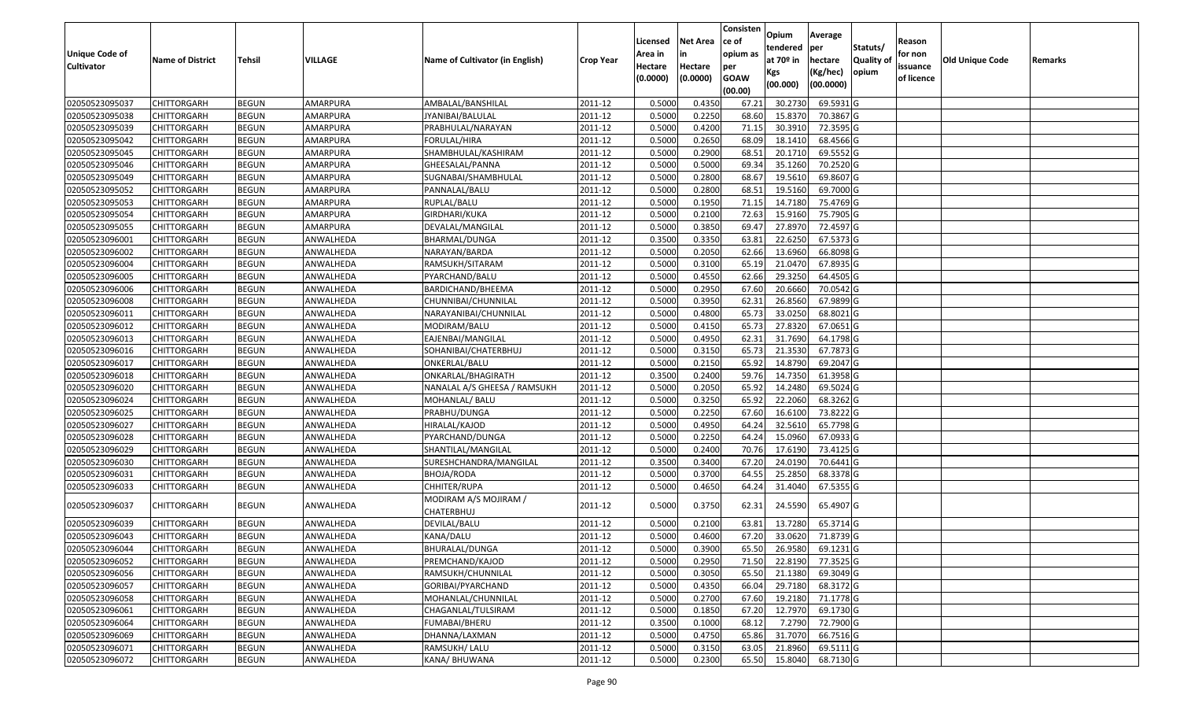|                       |                         |               |           |                                     |                  |          |                 | Consisten   | Opium       | Average   |                  |            |                 |         |
|-----------------------|-------------------------|---------------|-----------|-------------------------------------|------------------|----------|-----------------|-------------|-------------|-----------|------------------|------------|-----------------|---------|
|                       |                         |               |           |                                     |                  | Licensed | <b>Net Area</b> | ce of       | tendered    | per       | Statuts/         | Reason     |                 |         |
| <b>Unique Code of</b> | <b>Name of District</b> | <b>Tehsil</b> | VILLAGE   | Name of Cultivator (in English)     | <b>Crop Year</b> | Area in  | in              | opium as    | at $70°$ in | hectare   | <b>Quality o</b> | for non    | Old Unique Code | Remarks |
| <b>Cultivator</b>     |                         |               |           |                                     |                  | Hectare  | Hectare         | per         | Kgs         | (Kg/hec)  | opium            | issuance   |                 |         |
|                       |                         |               |           |                                     |                  | (0.0000) | (0.0000)        | <b>GOAW</b> | (00.000)    | (00.0000) |                  | of licence |                 |         |
|                       |                         |               |           |                                     |                  |          |                 | (00.00)     |             |           |                  |            |                 |         |
| 02050523095037        | CHITTORGARH             | <b>BEGUN</b>  | AMARPURA  | AMBALAL/BANSHILAL                   | 2011-12          | 0.5000   | 0.4350          | 67.21       | 30.2730     | 69.5931 G |                  |            |                 |         |
| 02050523095038        | CHITTORGARH             | <b>BEGUN</b>  | AMARPURA  | JYANIBAI/BALULAL                    | 2011-12          | 0.5000   | 0.2250          | 68.60       | 15.8370     | 70.3867 G |                  |            |                 |         |
| 02050523095039        | CHITTORGARH             | <b>BEGUN</b>  | AMARPURA  | PRABHULAL/NARAYAN                   | 2011-12          | 0.5000   | 0.4200          | 71.15       | 30.391      | 72.3595 G |                  |            |                 |         |
| 02050523095042        | <b>CHITTORGARH</b>      | <b>BEGUN</b>  | AMARPURA  | FORULAL/HIRA                        | 2011-12          | 0.5000   | 0.2650          | 68.09       | 18.1410     | 68.4566 G |                  |            |                 |         |
| 02050523095045        | CHITTORGARH             | <b>BEGUN</b>  | AMARPURA  | SHAMBHULAL/KASHIRAM                 | 2011-12          | 0.5000   | 0.2900          | 68.5        | 20.171      | 69.5552 G |                  |            |                 |         |
| 02050523095046        | CHITTORGARH             | <b>BEGUN</b>  | AMARPURA  | GHEESALAL/PANNA                     | 2011-12          | 0.5000   | 0.5000          | 69.34       | 35.1260     | 70.2520 G |                  |            |                 |         |
| 02050523095049        | CHITTORGARH             | <b>BEGUN</b>  | AMARPURA  | SUGNABAI/SHAMBHULAL                 | 2011-12          | 0.5000   | 0.2800          | 68.67       | 19.5610     | 69.8607 G |                  |            |                 |         |
| 02050523095052        | CHITTORGARH             | <b>BEGUN</b>  | AMARPURA  | PANNALAL/BALU                       | 2011-12          | 0.5000   | 0.2800          | 68.5        | 19.5160     | 69.7000G  |                  |            |                 |         |
| 02050523095053        | CHITTORGARH             | <b>BEGUN</b>  | AMARPURA  | RUPLAL/BALU                         | 2011-12          | 0.5000   | 0.1950          | 71.15       | 14.7180     | 75.4769 G |                  |            |                 |         |
| 02050523095054        | CHITTORGARH             | <b>BEGUN</b>  | AMARPURA  | GIRDHARI/KUKA                       | 2011-12          | 0.5000   | 0.2100          | 72.63       | 15.9160     | 75.7905 G |                  |            |                 |         |
| 02050523095055        | CHITTORGARH             | <b>BEGUN</b>  | AMARPURA  | DEVALAL/MANGILAL                    | 2011-12          | 0.5000   | 0.3850          | 69.47       | 27.8970     | 72.4597 G |                  |            |                 |         |
| 02050523096001        | <b>CHITTORGARH</b>      | <b>BEGUN</b>  | ANWALHEDA | BHARMAL/DUNGA                       | 2011-12          | 0.3500   | 0.3350          | 63.8        | 22.6250     | 67.5373 G |                  |            |                 |         |
| 02050523096002        | <b>CHITTORGARH</b>      | <b>BEGUN</b>  | ANWALHEDA | NARAYAN/BARDA                       | 2011-12          | 0.5000   | 0.2050          | 62.66       | 13.6960     | 66.8098 G |                  |            |                 |         |
| 02050523096004        | CHITTORGARH             | <b>BEGUN</b>  | ANWALHEDA | RAMSUKH/SITARAM                     | 2011-12          | 0.5000   | 0.3100          | 65.19       | 21.047      | 67.8935 G |                  |            |                 |         |
| 02050523096005        | CHITTORGARH             | <b>BEGUN</b>  | ANWALHEDA | PYARCHAND/BALU                      | 2011-12          | 0.5000   | 0.4550          | 62.66       | 29.3250     | 64.4505 G |                  |            |                 |         |
| 02050523096006        | <b>CHITTORGARH</b>      | <b>BEGUN</b>  | ANWALHEDA | BARDICHAND/BHEEMA                   | 2011-12          | 0.5000   | 0.2950          | 67.60       | 20.6660     | 70.0542 G |                  |            |                 |         |
| 02050523096008        | CHITTORGARH             | <b>BEGUN</b>  | ANWALHEDA | CHUNNIBAI/CHUNNILAL                 | 2011-12          | 0.5000   | 0.3950          | 62.31       | 26.8560     | 67.9899 G |                  |            |                 |         |
| 02050523096011        | CHITTORGARH             | <b>BEGUN</b>  | ANWALHEDA | NARAYANIBAI/CHUNNILAL               | 2011-12          | 0.5000   | 0.4800          | 65.73       | 33.0250     | 68.8021G  |                  |            |                 |         |
| 02050523096012        | CHITTORGARH             | <b>BEGUN</b>  | ANWALHEDA | MODIRAM/BALU                        | 2011-12          | 0.5000   | 0.4150          | 65.73       | 27.8320     | 67.0651G  |                  |            |                 |         |
| 02050523096013        | CHITTORGARH             | <b>BEGUN</b>  | ANWALHEDA | EAJENBAI/MANGILAL                   | 2011-12          | 0.5000   | 0.4950          | 62.31       | 31.7690     | 64.1798 G |                  |            |                 |         |
| 02050523096016        | CHITTORGARH             | <b>BEGUN</b>  | ANWALHEDA | SOHANIBAI/CHATERBHUJ                | 2011-12          | 0.5000   | 0.3150          | 65.73       | 21.3530     | 67.7873 G |                  |            |                 |         |
| 02050523096017        | CHITTORGARH             | <b>BEGUN</b>  | ANWALHEDA | ONKERLAL/BALU                       | 2011-12          | 0.5000   | 0.2150          | 65.92       | 14.8790     | 69.2047 G |                  |            |                 |         |
| 02050523096018        | CHITTORGARH             | <b>BEGUN</b>  | ANWALHEDA | ONKARLAL/BHAGIRATH                  | 2011-12          | 0.3500   | 0.2400          | 59.76       | 14.7350     | 61.3958 G |                  |            |                 |         |
| 02050523096020        | <b>CHITTORGARH</b>      | <b>BEGUN</b>  | ANWALHEDA | NANALAL A/S GHEESA / RAMSUKH        | 2011-12          | 0.5000   | 0.2050          | 65.92       | 14.2480     | 69.5024 G |                  |            |                 |         |
| 02050523096024        | <b>CHITTORGARH</b>      | <b>BEGUN</b>  | ANWALHEDA | MOHANLAL/ BALU                      | 2011-12          | 0.5000   | 0.3250          | 65.92       | 22.2060     | 68.3262 G |                  |            |                 |         |
| 02050523096025        | CHITTORGARH             | <b>BEGUN</b>  | ANWALHEDA | PRABHU/DUNGA                        | 2011-12          | 0.5000   | 0.2250          | 67.60       | 16.6100     | 73.8222 G |                  |            |                 |         |
| 02050523096027        | CHITTORGARH             | <b>BEGUN</b>  | ANWALHEDA | HIRALAL/KAJOD                       | 2011-12          | 0.5000   | 0.4950          | 64.24       | 32.5610     | 65.7798 G |                  |            |                 |         |
| 02050523096028        | CHITTORGARH             | <b>BEGUN</b>  | ANWALHEDA | PYARCHAND/DUNGA                     | 2011-12          | 0.5000   | 0.2250          | 64.24       | 15.0960     | 67.0933 G |                  |            |                 |         |
| 02050523096029        | CHITTORGARH             | <b>BEGUN</b>  | ANWALHEDA | SHANTILAL/MANGILAL                  | 2011-12          | 0.5000   | 0.2400          | 70.76       | 17.6190     | 73.4125 G |                  |            |                 |         |
| 02050523096030        | CHITTORGARH             | <b>BEGUN</b>  | ANWALHEDA | SURESHCHANDRA/MANGILAL              | 2011-12          | 0.3500   | 0.3400          | 67.20       | 24.0190     | 70.6441G  |                  |            |                 |         |
| 02050523096031        | CHITTORGARH             | <b>BEGUN</b>  | ANWALHEDA | BHOJA/RODA                          | 2011-12          | 0.5000   | 0.3700          | 64.5        | 25.285      | 68.3378 G |                  |            |                 |         |
| 02050523096033        | CHITTORGARH             | <b>BEGUN</b>  | ANWALHEDA | CHHITER/RUPA                        | 2011-12          | 0.5000   | 0.4650          | 64.24       | 31.4040     | 67.5355 G |                  |            |                 |         |
| 02050523096037        | CHITTORGARH             | <b>BEGUN</b>  | ANWALHEDA | MODIRAM A/S MOJIRAM /<br>CHATERBHUJ | 2011-12          | 0.5000   | 0.3750          | 62.31       | 24.5590     | 65.4907 G |                  |            |                 |         |
| 02050523096039        | CHITTORGARH             | <b>BEGUN</b>  | ANWALHEDA | DEVILAL/BALU                        | 2011-12          | 0.500    | 0.2100          | 63.8        | 13.7280     | 65.3714 G |                  |            |                 |         |
| 02050523096043        | CHITTORGARH             | <b>BEGUN</b>  | ANWALHEDA | KANA/DALU                           | 2011-12          | 0.5000   | 0.4600          | 67.20       | 33.0620     | 71.8739 G |                  |            |                 |         |
| 02050523096044        | <b>CHITTORGARH</b>      | <b>BEGUN</b>  | ANWALHEDA | BHURALAL/DUNGA                      | 2011-12          | 0.5000   | 0.3900          | 65.50       | 26.9580     | 69.1231 G |                  |            |                 |         |
| 02050523096052        | <b>CHITTORGARH</b>      | <b>BEGUN</b>  | ANWALHEDA | PREMCHAND/KAJOD                     | 2011-12          | 0.5000   | 0.2950          | 71.50       | 22.8190     | 77.3525 G |                  |            |                 |         |
| 02050523096056        | <b>CHITTORGARH</b>      | <b>BEGUN</b>  | ANWALHEDA | RAMSUKH/CHUNNILAL                   | 2011-12          | 0.5000   | 0.3050          | 65.50       | 21.1380     | 69.3049 G |                  |            |                 |         |
| 02050523096057        | <b>CHITTORGARH</b>      | <b>BEGUN</b>  | ANWALHEDA | GORIBAI/PYARCHAND                   | 2011-12          | 0.5000   | 0.4350          | 66.04       | 29.7180     | 68.3172 G |                  |            |                 |         |
| 02050523096058        | <b>CHITTORGARH</b>      | <b>BEGUN</b>  | ANWALHEDA | MOHANLAL/CHUNNILAL                  | 2011-12          | 0.5000   | 0.2700          | 67.60       | 19.2180     | 71.1778 G |                  |            |                 |         |
| 02050523096061        | <b>CHITTORGARH</b>      | <b>BEGUN</b>  | ANWALHEDA | CHAGANLAL/TULSIRAM                  | 2011-12          | 0.5000   | 0.1850          | 67.20       | 12.7970     | 69.1730 G |                  |            |                 |         |
| 02050523096064        | <b>CHITTORGARH</b>      | <b>BEGUN</b>  | ANWALHEDA | FUMABAI/BHERU                       | 2011-12          | 0.3500   | 0.1000          | 68.12       | 7.2790      | 72.7900 G |                  |            |                 |         |
| 02050523096069        | CHITTORGARH             | <b>BEGUN</b>  | ANWALHEDA | DHANNA/LAXMAN                       | 2011-12          | 0.5000   | 0.4750          | 65.86       | 31.7070     | 66.7516 G |                  |            |                 |         |
| 02050523096071        | CHITTORGARH             | <b>BEGUN</b>  | ANWALHEDA | RAMSUKH/ LALU                       | 2011-12          | 0.5000   | 0.3150          | 63.05       | 21.8960     | 69.5111 G |                  |            |                 |         |
| 02050523096072        | <b>CHITTORGARH</b>      | <b>BEGUN</b>  | ANWALHEDA | KANA/ BHUWANA                       | 2011-12          | 0.5000   | 0.2300          | 65.50       | 15.8040     | 68.7130 G |                  |            |                 |         |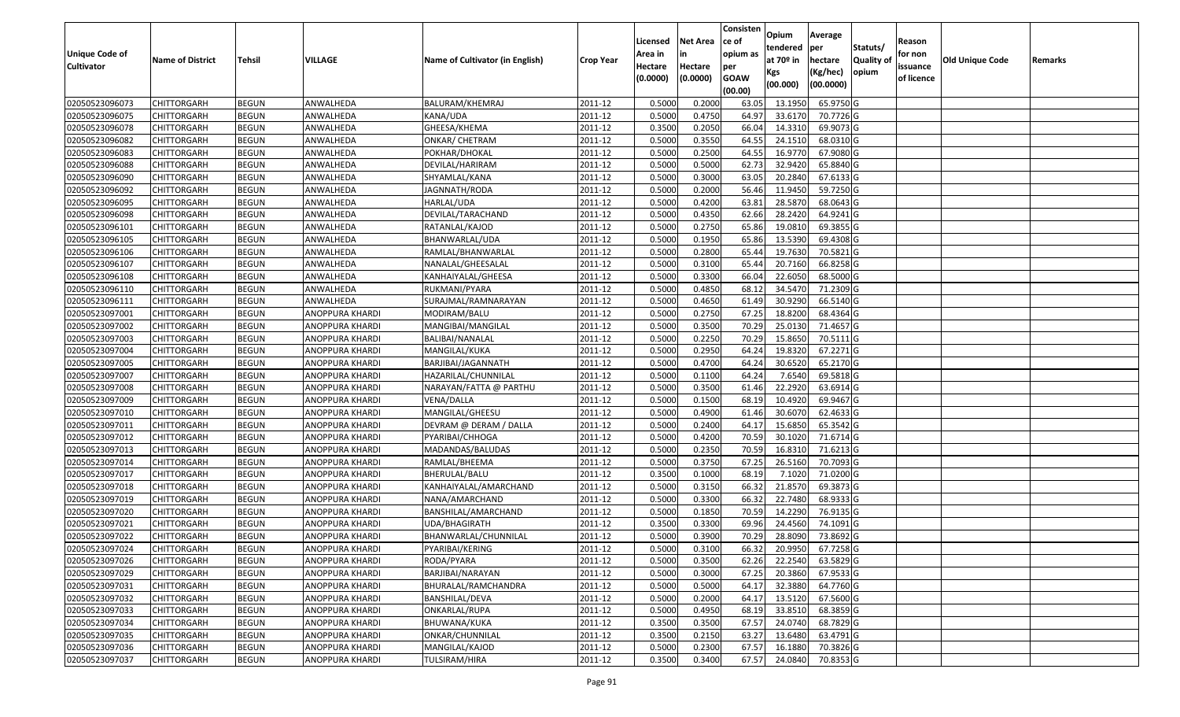|                       |                         |               |                        |                                 |                  |          |                 | Consisten   | Opium         | Average   |                  |            |                 |         |
|-----------------------|-------------------------|---------------|------------------------|---------------------------------|------------------|----------|-----------------|-------------|---------------|-----------|------------------|------------|-----------------|---------|
|                       |                         |               |                        |                                 |                  | Licensed | <b>Net Area</b> | ce of       | tendered      | per       | Statuts/         | Reason     |                 |         |
| <b>Unique Code of</b> | <b>Name of District</b> | <b>Tehsil</b> | VILLAGE                | Name of Cultivator (in English) | <b>Crop Year</b> | Area in  | in              | opium as    | at $70°$ in   | hectare   | <b>Quality o</b> | for non    | Old Unique Code | Remarks |
| <b>Cultivator</b>     |                         |               |                        |                                 |                  | Hectare  | Hectare         | per         | Kgs           | (Kg/hec)  | opium            | issuance   |                 |         |
|                       |                         |               |                        |                                 |                  | (0.0000) | (0.0000)        | <b>GOAW</b> | (00.000)      | (00.0000) |                  | of licence |                 |         |
|                       |                         |               |                        |                                 |                  |          |                 | (00.00)     |               |           |                  |            |                 |         |
| 02050523096073        | CHITTORGARH             | <b>BEGUN</b>  | ANWALHEDA              | BALURAM/KHEMRAJ                 | 2011-12          | 0.5000   | 0.2000          | 63.05       | 13.195        | 65.9750 G |                  |            |                 |         |
| 02050523096075        | CHITTORGARH             | <b>BEGUN</b>  | ANWALHEDA              | KANA/UDA                        | 2011-12          | 0.5000   | 0.4750          | 64.97       | 33.6170       | 70.7726 G |                  |            |                 |         |
| 02050523096078        | CHITTORGARH             | <b>BEGUN</b>  | ANWALHEDA              | GHEESA/KHEMA                    | 2011-12          | 0.3500   | 0.2050          | 66.04       | 14.3310       | 69.9073 G |                  |            |                 |         |
| 02050523096082        | CHITTORGARH             | <b>BEGUN</b>  | ANWALHEDA              | <b>ONKAR/ CHETRAM</b>           | 2011-12          | 0.5000   | 0.3550          | 64.55       | 24.1510       | 68.0310G  |                  |            |                 |         |
| 02050523096083        | CHITTORGARH             | <b>BEGUN</b>  | ANWALHEDA              | POKHAR/DHOKAL                   | 2011-12          | 0.5000   | 0.2500          | 64.55       | 16.9770       | 67.9080 G |                  |            |                 |         |
| 02050523096088        | CHITTORGARH             | <b>BEGUN</b>  | ANWALHEDA              | DEVILAL/HARIRAM                 | 2011-12          | 0.5000   | 0.5000          | 62.73       | 32.9420       | 65.8840 G |                  |            |                 |         |
| 02050523096090        | CHITTORGARH             | <b>BEGUN</b>  | ANWALHEDA              | SHYAMLAL/KANA                   | 2011-12          | 0.5000   | 0.3000          | 63.0        | 20.2840       | 67.6133 G |                  |            |                 |         |
| 02050523096092        | CHITTORGARH             | <b>BEGUN</b>  | ANWALHEDA              | JAGNNATH/RODA                   | 2011-12          | 0.5000   | 0.2000          | 56.46       | 11.9450       | 59.7250 G |                  |            |                 |         |
| 02050523096095        | <b>CHITTORGARH</b>      | <b>BEGUN</b>  | ANWALHEDA              | HARLAL/UDA                      | 2011-12          | 0.5000   | 0.4200          | 63.8        | 28.5870       | 68.0643 G |                  |            |                 |         |
| 02050523096098        | CHITTORGARH             | <b>BEGUN</b>  | ANWALHEDA              | DEVILAL/TARACHAND               | 2011-12          | 0.5000   | 0.4350          | 62.66       | 28.2420       | 64.9241 G |                  |            |                 |         |
| 02050523096101        | CHITTORGARH             | <b>BEGUN</b>  | ANWALHEDA              | RATANLAL/KAJOD                  | 2011-12          | 0.5000   | 0.2750          | 65.86       | 19.0810       | 69.3855 G |                  |            |                 |         |
| 02050523096105        | CHITTORGARH             | <b>BEGUN</b>  | ANWALHEDA              | BHANWARLAL/UDA                  | 2011-12          | 0.5000   | 0.1950          | 65.86       | 13.5390       | 69.4308 G |                  |            |                 |         |
| 02050523096106        | <b>CHITTORGARH</b>      | <b>BEGUN</b>  | ANWALHEDA              | RAMLAL/BHANWARLAL               | 2011-12          | 0.5000   | 0.2800          | 65.44       | 19.7630       | 70.5821 G |                  |            |                 |         |
| 02050523096107        | <b>CHITTORGARH</b>      | <b>BEGUN</b>  | ANWALHEDA              | NANALAL/GHEESALAL               | 2011-12          | 0.5000   | 0.3100          | 65.44       | 20.7160       | 66.8258 G |                  |            |                 |         |
| 02050523096108        | CHITTORGARH             | <b>BEGUN</b>  | ANWALHEDA              | KANHAIYALAL/GHEESA              | 2011-12          | 0.5000   | 0.3300          | 66.04       | 22.6050       | 68.5000 G |                  |            |                 |         |
| 02050523096110        | <b>CHITTORGARH</b>      | <b>BEGUN</b>  | ANWALHEDA              | RUKMANI/PYARA                   | 2011-12          | 0.5000   | 0.4850          | 68.12       | 34.5470       | 71.2309 G |                  |            |                 |         |
| 02050523096111        | <b>CHITTORGARH</b>      | <b>BEGUN</b>  | ANWALHEDA              | SURAJMAL/RAMNARAYAN             | 2011-12          | 0.5000   | 0.4650          | 61.49       | 30.9290       | 66.5140 G |                  |            |                 |         |
| 02050523097001        | CHITTORGARH             | <b>BEGUN</b>  | ANOPPURA KHARDI        | MODIRAM/BALU                    | 2011-12          | 0.5000   | 0.2750          | 67.25       | 18.8200       | 68.4364 G |                  |            |                 |         |
| 02050523097002        | CHITTORGARH             | <b>BEGUN</b>  | ANOPPURA KHARDI        | MANGIBAI/MANGILAL               | 2011-12          | 0.5000   | 0.3500          | 70.29       | 25.013        | 71.4657G  |                  |            |                 |         |
| 02050523097003        | CHITTORGARH             | <b>BEGUN</b>  | ANOPPURA KHARDI        | BALIBAI/NANALAL                 | 2011-12          | 0.5000   | 0.2250          | 70.29       | 15.865        | 70.5111G  |                  |            |                 |         |
| 02050523097004        | CHITTORGARH             | <b>BEGUN</b>  | ANOPPURA KHARDI        | MANGILAL/KUKA                   | 2011-12          | 0.5000   | 0.2950          | 64.24       | 19.8320       | 67.2271 G |                  |            |                 |         |
| 02050523097005        | CHITTORGARH             | <b>BEGUN</b>  | ANOPPURA KHARDI        | BARJIBAI/JAGANNATH              | 2011-12          | 0.5000   | 0.4700          | 64.24       | 30.6520       | 65.2170 G |                  |            |                 |         |
| 02050523097007        | CHITTORGARH             | <b>BEGUN</b>  | ANOPPURA KHARDI        | HAZARILAL/CHUNNILAL             | 2011-12          | 0.5000   | 0.1100          | 64.24       | 7.6540        | 69.5818 G |                  |            |                 |         |
| 02050523097008        | <b>CHITTORGARH</b>      | <b>BEGUN</b>  | ANOPPURA KHARDI        | NARAYAN/FATTA @ PARTHU          | 2011-12          | 0.5000   | 0.3500          | 61.46       | 22.2920       | 63.6914 G |                  |            |                 |         |
| 02050523097009        | CHITTORGARH             | <b>BEGUN</b>  | ANOPPURA KHARDI        | VENA/DALLA                      | 2011-12          | 0.5000   | 0.1500          | 68.19       | 10.4920       | 69.9467 G |                  |            |                 |         |
| 02050523097010        | CHITTORGARH             | <b>BEGUN</b>  | ANOPPURA KHARDI        | MANGILAL/GHEESU                 | 2011-12          | 0.5000   | 0.4900          | 61.46       | 30.6070       | 62.4633 G |                  |            |                 |         |
| 02050523097011        | CHITTORGARH             | <b>BEGUN</b>  | ANOPPURA KHARDI        | DEVRAM @ DERAM / DALLA          | 2011-12          | 0.5000   | 0.2400          | 64.17       | 15.685        | 65.3542 G |                  |            |                 |         |
| 02050523097012        | CHITTORGARH             | <b>BEGUN</b>  | ANOPPURA KHARDI        | PYARIBAI/CHHOGA                 | 2011-12          | 0.5000   | 0.4200          | 70.59       | 30.1020       | 71.6714 G |                  |            |                 |         |
| 02050523097013        | CHITTORGARH             | <b>BEGUN</b>  | ANOPPURA KHARDI        | MADANDAS/BALUDAS                | 2011-12          | 0.5000   | 0.2350          | 70.59       | 16.8310       | 71.6213 G |                  |            |                 |         |
| 02050523097014        | CHITTORGARH             | <b>BEGUN</b>  | ANOPPURA KHARDI        | RAMLAL/BHEEMA                   | 2011-12          | 0.5000   | 0.3750          | 67.25       | 26.5160       | 70.7093 G |                  |            |                 |         |
| 02050523097017        | CHITTORGARH             | <b>BEGUN</b>  | ANOPPURA KHARDI        | BHERULAL/BALU                   | 2011-12          | 0.3500   | 0.1000          | 68.1        | 7.1020        | 71.0200G  |                  |            |                 |         |
| 02050523097018        | CHITTORGARH             | <b>BEGUN</b>  | ANOPPURA KHARDI        | KANHAIYALAL/AMARCHAND           | 2011-12          | 0.5000   | 0.3150          | 66.32       | 21.8570       | 69.3873 G |                  |            |                 |         |
| 02050523097019        | CHITTORGARH             | <b>BEGUN</b>  | ANOPPURA KHARDI        | NANA/AMARCHAND                  | 2011-12          | 0.5000   | 0.3300          | 66.32       | 22.7480       | 68.9333 G |                  |            |                 |         |
| 02050523097020        | <b>CHITTORGARH</b>      | <b>BEGUN</b>  | ANOPPURA KHARDI        | BANSHILAL/AMARCHAND             | 2011-12          | 0.5000   | 0.1850          | 70.59       | 14.2290       | 76.9135 G |                  |            |                 |         |
| 02050523097021        | CHITTORGARH             | <b>BEGUN</b>  | ANOPPURA KHARDI        | UDA/BHAGIRATH                   | 2011-12          | 0.3500   | 0.3300          | 69.96       | 24.4560       | 74.1091 G |                  |            |                 |         |
| 02050523097022        | CHITTORGARH             | <b>BEGUN</b>  | ANOPPURA KHARDI        | BHANWARLAL/CHUNNILAL            | 2011-12          | 0.5000   | 0.3900          | 70.29       | 28.8090       | 73.8692 G |                  |            |                 |         |
| 02050523097024        | <b>CHITTORGARH</b>      | <b>BEGUN</b>  | <b>ANOPPURA KHARDI</b> | PYARIBAI/KERING                 | 2011-12          | 0.5000   | 0.3100          |             | 66.32 20.9950 | 67.7258 G |                  |            |                 |         |
| 02050523097026        | <b>CHITTORGARH</b>      | <b>BEGUN</b>  | ANOPPURA KHARDI        | RODA/PYARA                      | 2011-12          | 0.5000   | 0.3500          | 62.26       | 22.2540       | 63.5829 G |                  |            |                 |         |
| 02050523097029        | <b>CHITTORGARH</b>      | <b>BEGUN</b>  | ANOPPURA KHARDI        | BARJIBAI/NARAYAN                | 2011-12          | 0.5000   | 0.3000          | 67.25       | 20.3860       | 67.9533 G |                  |            |                 |         |
| 02050523097031        | <b>CHITTORGARH</b>      | <b>BEGUN</b>  | ANOPPURA KHARDI        | BHURALAL/RAMCHANDRA             | 2011-12          | 0.5000   | 0.5000          | 64.17       | 32.3880       | 64.7760 G |                  |            |                 |         |
| 02050523097032        | <b>CHITTORGARH</b>      | <b>BEGUN</b>  | ANOPPURA KHARDI        | BANSHILAL/DEVA                  | 2011-12          | 0.5000   | 0.2000          | 64.17       | 13.5120       | 67.5600 G |                  |            |                 |         |
| 02050523097033        | <b>CHITTORGARH</b>      | <b>BEGUN</b>  | <b>ANOPPURA KHARDI</b> | ONKARLAL/RUPA                   | 2011-12          | 0.5000   | 0.4950          | 68.19       | 33.8510       | 68.3859 G |                  |            |                 |         |
| 02050523097034        | <b>CHITTORGARH</b>      | <b>BEGUN</b>  | ANOPPURA KHARDI        | BHUWANA/KUKA                    | 2011-12          | 0.3500   | 0.3500          | 67.57       | 24.0740       | 68.7829 G |                  |            |                 |         |
| 02050523097035        | <b>CHITTORGARH</b>      | <b>BEGUN</b>  | ANOPPURA KHARDI        | ONKAR/CHUNNILAL                 | 2011-12          | 0.3500   | 0.2150          | 63.27       | 13.6480       | 63.4791 G |                  |            |                 |         |
| 02050523097036        | <b>CHITTORGARH</b>      | <b>BEGUN</b>  | ANOPPURA KHARDI        | MANGILAL/KAJOD                  | 2011-12          | 0.5000   | 0.2300          | 67.57       | 16.1880       | 70.3826 G |                  |            |                 |         |
| 02050523097037        | <b>CHITTORGARH</b>      | <b>BEGUN</b>  | ANOPPURA KHARDI        | TULSIRAM/HIRA                   | 2011-12          | 0.3500   | 0.3400          | 67.57       | 24.0840       | 70.8353 G |                  |            |                 |         |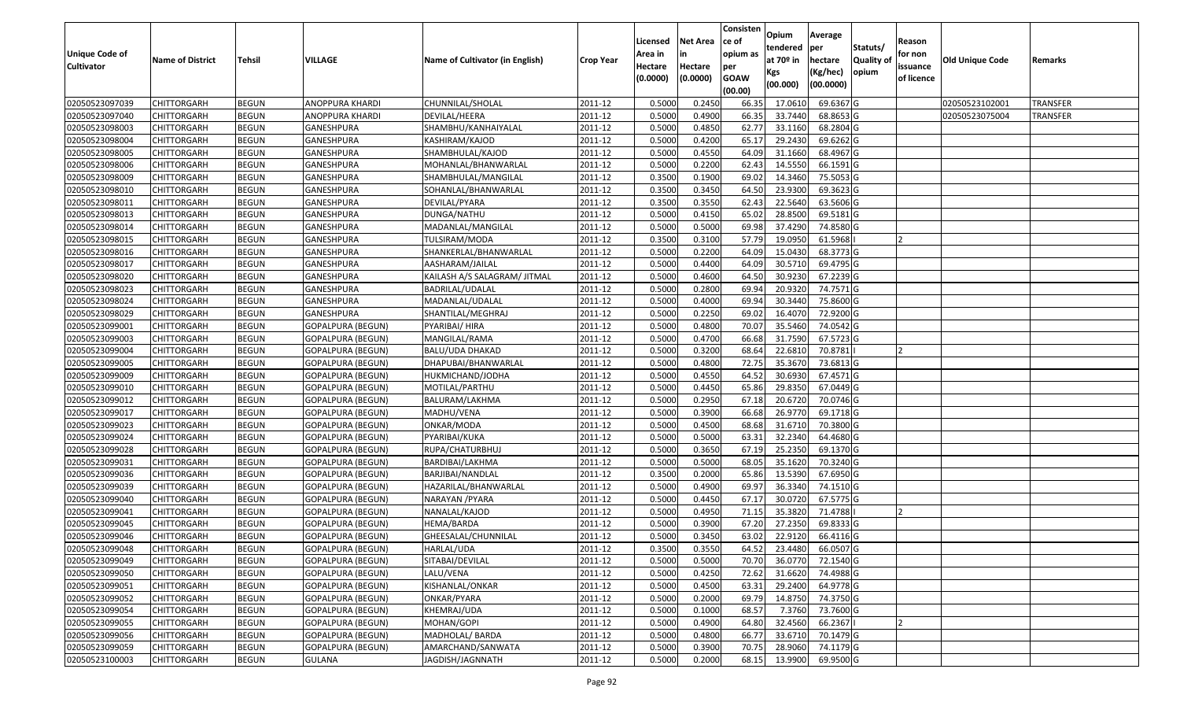| <b>Unique Code of</b><br><b>Cultivator</b> | <b>Name of District</b> | Tehsil       | VILLAGE                  | Name of Cultivator (in English) | <b>Crop Year</b> | Licensed<br>Area in<br>Hectare | <b>Net Area</b><br>in<br>Hectare | Consisten<br>ce of<br>opium as<br>per | Opium<br>tendered<br>at $70°$ in<br>Kgs | Average<br>per<br>hectare<br>(Kg/hec) | Statuts/<br>Quality of<br>opium | Reason<br>for non<br>issuance | Old Unique Code | Remarks         |
|--------------------------------------------|-------------------------|--------------|--------------------------|---------------------------------|------------------|--------------------------------|----------------------------------|---------------------------------------|-----------------------------------------|---------------------------------------|---------------------------------|-------------------------------|-----------------|-----------------|
|                                            |                         |              |                          |                                 |                  | (0.0000)                       | (0.0000)                         | <b>GOAW</b><br>(00.00)                | (00.000)                                | (00.0000)                             |                                 | of licence                    |                 |                 |
| 02050523097039                             | <b>CHITTORGARH</b>      | <b>BEGUN</b> | ANOPPURA KHARDI          | CHUNNILAL/SHOLAL                | 2011-12          | 0.5000                         | 0.2450                           | 66.35                                 | 17.0610                                 | 69.6367 G                             |                                 |                               | 02050523102001  | <b>TRANSFER</b> |
| 02050523097040                             | <b>CHITTORGARH</b>      | <b>BEGUN</b> | ANOPPURA KHARDI          | DEVILAL/HEERA                   | 2011-12          | 0.5000                         | 0.4900                           | 66.35                                 | 33.7440                                 | 68.8653 G                             |                                 |                               | 02050523075004  | <b>TRANSFER</b> |
| 02050523098003                             | <b>CHITTORGARH</b>      | <b>BEGUN</b> | GANESHPURA               | SHAMBHU/KANHAIYALAL             | 2011-12          | 0.5000                         | 0.4850                           | 62.77                                 | 33.1160                                 | 68.2804 G                             |                                 |                               |                 |                 |
| 02050523098004                             | <b>CHITTORGARH</b>      | <b>BEGUN</b> | GANESHPURA               | KASHIRAM/KAJOD                  | 2011-12          | 0.5000                         | 0.4200                           | 65.17                                 | 29.2430                                 | 69.6262 G                             |                                 |                               |                 |                 |
| 02050523098005                             | <b>CHITTORGARH</b>      | <b>BEGUN</b> | GANESHPURA               | SHAMBHULAL/KAJOD                | 2011-12          | 0.5000                         | 0.4550                           | 64.09                                 | 31.1660                                 | 68.4967 G                             |                                 |                               |                 |                 |
| 02050523098006                             | <b>CHITTORGARH</b>      | <b>BEGUN</b> | GANESHPURA               | MOHANLAL/BHANWARLAL             | 2011-12          | 0.5000                         | 0.2200                           | 62.43                                 | 14.5550                                 | 66.1591 G                             |                                 |                               |                 |                 |
| 02050523098009                             | CHITTORGARH             | <b>BEGUN</b> | GANESHPURA               | SHAMBHULAL/MANGILAL             | 2011-12          | 0.3500                         | 0.1900                           | 69.02                                 | 14.3460                                 | 75.5053 G                             |                                 |                               |                 |                 |
| 02050523098010                             | <b>CHITTORGARH</b>      | <b>BEGUN</b> | GANESHPURA               | SOHANLAL/BHANWARLAL             | 2011-12          | 0.3500                         | 0.3450                           | 64.50                                 | 23.9300                                 | 69.3623 G                             |                                 |                               |                 |                 |
| 02050523098011                             | <b>CHITTORGARH</b>      | <b>BEGUN</b> | GANESHPURA               | DEVILAL/PYARA                   | 2011-12          | 0.3500                         | 0.3550                           | 62.43                                 | 22.5640                                 | 63.5606 G                             |                                 |                               |                 |                 |
| 02050523098013                             | <b>CHITTORGARH</b>      | <b>BEGUN</b> | GANESHPURA               | DUNGA/NATHU                     | 2011-12          | 0.5000                         | 0.4150                           | 65.02                                 | 28.8500                                 | 69.5181 G                             |                                 |                               |                 |                 |
| 02050523098014                             | <b>CHITTORGARH</b>      | <b>BEGUN</b> | GANESHPURA               | MADANLAL/MANGILAL               | 2011-12          | 0.5000                         | 0.5000                           | 69.98                                 | 37.4290                                 | 74.8580 G                             |                                 |                               |                 |                 |
| 02050523098015                             | <b>CHITTORGARH</b>      | <b>BEGUN</b> | GANESHPURA               | TULSIRAM/MODA                   | 2011-12          | 0.3500                         | 0.3100                           | 57.79                                 | 19.0950                                 | 61.5968                               |                                 |                               |                 |                 |
| 02050523098016                             | <b>CHITTORGARH</b>      | <b>BEGUN</b> | <b>GANESHPURA</b>        | SHANKERLAL/BHANWARLAL           | 2011-12          | 0.5000                         | 0.2200                           | 64.09                                 | 15.0430                                 | 68.3773 G                             |                                 |                               |                 |                 |
| 02050523098017                             | <b>CHITTORGARH</b>      | <b>BEGUN</b> | GANESHPURA               | AASHARAM/JAILAL                 | 2011-12          | 0.5000                         | 0.4400                           | 64.09                                 | 30.5710                                 | 69.4795 G                             |                                 |                               |                 |                 |
| 02050523098020                             | <b>CHITTORGARH</b>      | <b>BEGUN</b> | GANESHPURA               | KAILASH A/S SALAGRAM/ JITMAL    | 2011-12          | 0.5000                         | 0.4600                           | 64.50                                 | 30.9230                                 | 67.2239 G                             |                                 |                               |                 |                 |
| 02050523098023                             | <b>CHITTORGARH</b>      | <b>BEGUN</b> | GANESHPURA               | BADRILAL/UDALAL                 | 2011-12          | 0.5000                         | 0.2800                           | 69.94                                 | 20.9320                                 | 74.7571 G                             |                                 |                               |                 |                 |
| 02050523098024                             | <b>CHITTORGARH</b>      | <b>BEGUN</b> | GANESHPURA               | MADANLAL/UDALAL                 | 2011-12          | 0.5000                         | 0.4000                           | 69.94                                 | 30.3440                                 | 75.8600 G                             |                                 |                               |                 |                 |
| 02050523098029                             | <b>CHITTORGARH</b>      | <b>BEGUN</b> | GANESHPURA               | SHANTILAL/MEGHRAJ               | 2011-12          | 0.5000                         | 0.2250                           | 69.02                                 | 16.4070                                 | 72.9200 G                             |                                 |                               |                 |                 |
| 02050523099001                             | <b>CHITTORGARH</b>      | <b>BEGUN</b> | GOPALPURA (BEGUN)        | PYARIBAI/ HIRA                  | 2011-12          | 0.5000                         | 0.4800                           | 70.07                                 | 35.5460                                 | 74.0542 G                             |                                 |                               |                 |                 |
| 02050523099003                             | <b>CHITTORGARH</b>      | <b>BEGUN</b> | <b>GOPALPURA (BEGUN)</b> | MANGILAL/RAMA                   | 2011-12          | 0.5000                         | 0.4700                           | 66.68                                 | 31.7590                                 | 67.5723 G                             |                                 |                               |                 |                 |
| 02050523099004                             | <b>CHITTORGARH</b>      | <b>BEGUN</b> | <b>GOPALPURA (BEGUN)</b> | BALU/UDA DHAKAD                 | 2011-12          | 0.5000                         | 0.3200                           | 68.64                                 | 22.6810                                 | 70.8781                               |                                 |                               |                 |                 |
| 02050523099005                             | CHITTORGARH             | <b>BEGUN</b> | <b>GOPALPURA (BEGUN)</b> | DHAPUBAI/BHANWARLAL             | 2011-12          | 0.5000                         | 0.4800                           | 72.75                                 | 35.3670                                 | 73.6813 G                             |                                 |                               |                 |                 |
| 02050523099009                             | CHITTORGARH             | <b>BEGUN</b> | <b>GOPALPURA (BEGUN)</b> | HUKMICHAND/JODHA                | 2011-12          | 0.5000                         | 0.4550                           | 64.52                                 | 30.6930                                 | 67.4571 G                             |                                 |                               |                 |                 |
| 02050523099010                             | <b>CHITTORGARH</b>      | <b>BEGUN</b> | GOPALPURA (BEGUN)        | MOTILAL/PARTHU                  | 2011-12          | 0.5000                         | 0.4450                           | 65.86                                 | 29.8350                                 | 67.0449 G                             |                                 |                               |                 |                 |
| 02050523099012                             | <b>CHITTORGARH</b>      | <b>BEGUN</b> | <b>GOPALPURA (BEGUN)</b> | BALURAM/LAKHMA                  | 2011-12          | 0.5000                         | 0.2950                           | 67.18                                 | 20.6720                                 | 70.0746 G                             |                                 |                               |                 |                 |
| 02050523099017                             | <b>CHITTORGARH</b>      | <b>BEGUN</b> | <b>GOPALPURA (BEGUN)</b> | MADHU/VENA                      | 2011-12          | 0.5000                         | 0.3900                           | 66.68                                 | 26.9770                                 | 69.1718 G                             |                                 |                               |                 |                 |
| 02050523099023                             | <b>CHITTORGARH</b>      | <b>BEGUN</b> | GOPALPURA (BEGUN)        | ONKAR/MODA                      | 2011-12          | 0.5000                         | 0.4500                           | 68.68                                 | 31.6710                                 | 70.3800 G                             |                                 |                               |                 |                 |
| 02050523099024                             | <b>CHITTORGARH</b>      | <b>BEGUN</b> | GOPALPURA (BEGUN)        | PYARIBAI/KUKA                   | 2011-12          | 0.5000                         | 0.5000                           | 63.31                                 | 32.2340                                 | 64.4680 G                             |                                 |                               |                 |                 |
| 02050523099028                             | <b>CHITTORGARH</b>      | <b>BEGUN</b> | <b>GOPALPURA (BEGUN)</b> | RUPA/CHATURBHUJ                 | 2011-12          | 0.5000                         | 0.3650                           | 67.19                                 | 25.2350                                 | 69.1370 G                             |                                 |                               |                 |                 |
| 02050523099031                             | <b>CHITTORGARH</b>      | <b>BEGUN</b> | <b>GOPALPURA (BEGUN)</b> | BARDIBAI/LAKHMA                 | 2011-12          | 0.5000                         | 0.5000                           | 68.05                                 | 35.1620                                 | 70.3240 G                             |                                 |                               |                 |                 |
| 02050523099036                             | <b>CHITTORGARH</b>      | <b>BEGUN</b> | <b>GOPALPURA (BEGUN)</b> | BARJIBAI/NANDLAL                | 2011-12          | 0.3500                         | 0.2000                           | 65.86                                 | 13.5390                                 | 67.6950 G                             |                                 |                               |                 |                 |
| 02050523099039                             | CHITTORGARH             | <b>BEGUN</b> | GOPALPURA (BEGUN)        | HAZARILAL/BHANWARLAL            | 2011-12          | 0.5000                         | 0.4900                           | 69.97                                 | 36.3340                                 | 74.1510 G                             |                                 |                               |                 |                 |
| 02050523099040                             | <b>CHITTORGARH</b>      | <b>BEGUN</b> | <b>GOPALPURA (BEGUN)</b> | NARAYAN / PYARA                 | 2011-12          | 0.5000                         | 0.4450                           | 67.17                                 | 30.0720                                 | 67.5775 G                             |                                 |                               |                 |                 |
| 02050523099041                             | CHITTORGARH             | <b>BEGUN</b> | <b>GOPALPURA (BEGUN)</b> | NANALAL/KAJOD                   | 2011-12          | 0.5000                         | 0.4950                           | 71.15                                 | 35.3820                                 | 71.4788                               |                                 |                               |                 |                 |
| 02050523099045                             | CHITTORGARH             | <b>BEGUN</b> | <b>GOPALPURA (BEGUN)</b> | HEMA/BARDA                      | 2011-12          | 0.5000                         | 0.3900                           | 67.20                                 | 27.2350                                 | 69.8333 G                             |                                 |                               |                 |                 |
| 02050523099046                             | <b>CHITTORGARH</b>      | <b>BEGUN</b> | GOPALPURA (BEGUN)        | GHEESALAL/CHUNNILAL             | 2011-12          | 0.5000                         | 0.3450                           | 63.02                                 | 22.9120                                 | 66.4116 G                             |                                 |                               |                 |                 |
| 02050523099048                             | <b>CHITTORGARH</b>      | <b>BEGUN</b> | <b>GOPALPURA (BEGUN)</b> | HARLAL/UDA                      | 2011-12          | 0.3500                         | 0.3550                           |                                       | 64.52 23.4480                           | 66.0507 G                             |                                 |                               |                 |                 |
| 02050523099049                             | <b>CHITTORGARH</b>      | <b>BEGUN</b> | GOPALPURA (BEGUN)        | SITABAI/DEVILAL                 | 2011-12          | 0.5000                         | 0.5000                           | 70.70                                 | 36.0770                                 | 72.1540 G                             |                                 |                               |                 |                 |
| 02050523099050                             | <b>CHITTORGARH</b>      | <b>BEGUN</b> | <b>GOPALPURA (BEGUN)</b> | LALU/VENA                       | 2011-12          | 0.5000                         | 0.4250                           | 72.62                                 | 31.6620                                 | 74.4988 G                             |                                 |                               |                 |                 |
| 02050523099051                             | <b>CHITTORGARH</b>      | <b>BEGUN</b> | <b>GOPALPURA (BEGUN)</b> | KISHANLAL/ONKAR                 | 2011-12          | 0.5000                         | 0.4500                           | 63.31                                 | 29.2400                                 | 64.9778 G                             |                                 |                               |                 |                 |
| 02050523099052                             | <b>CHITTORGARH</b>      | <b>BEGUN</b> | <b>GOPALPURA (BEGUN)</b> | ONKAR/PYARA                     | 2011-12          | 0.5000                         | 0.2000                           | 69.79                                 | 14.8750                                 | 74.3750 G                             |                                 |                               |                 |                 |
| 02050523099054                             | <b>CHITTORGARH</b>      | <b>BEGUN</b> | GOPALPURA (BEGUN)        | KHEMRAJ/UDA                     | 2011-12          | 0.5000                         | 0.1000                           | 68.57                                 | 7.3760                                  | 73.7600 G                             |                                 |                               |                 |                 |
| 02050523099055                             | <b>CHITTORGARH</b>      | <b>BEGUN</b> | <b>GOPALPURA (BEGUN)</b> | MOHAN/GOPI                      | 2011-12          | 0.5000                         | 0.4900                           | 64.80                                 | 32.4560                                 | 66.2367                               |                                 |                               |                 |                 |
| 02050523099056                             | <b>CHITTORGARH</b>      | <b>BEGUN</b> | <b>GOPALPURA (BEGUN)</b> | MADHOLAL/ BARDA                 | 2011-12          | 0.5000                         | 0.4800                           | 66.77                                 | 33.6710                                 | 70.1479 G                             |                                 |                               |                 |                 |
| 02050523099059                             | <b>CHITTORGARH</b>      | <b>BEGUN</b> | GOPALPURA (BEGUN)        | AMARCHAND/SANWATA               | 2011-12          | 0.5000                         | 0.3900                           | 70.75                                 | 28.9060                                 | 74.1179 G                             |                                 |                               |                 |                 |
| 02050523100003                             | <b>CHITTORGARH</b>      | <b>BEGUN</b> | GULANA                   | JAGDISH/JAGNNATH                | 2011-12          | 0.5000                         | 0.2000                           | 68.15                                 | 13.9900                                 | 69.9500 G                             |                                 |                               |                 |                 |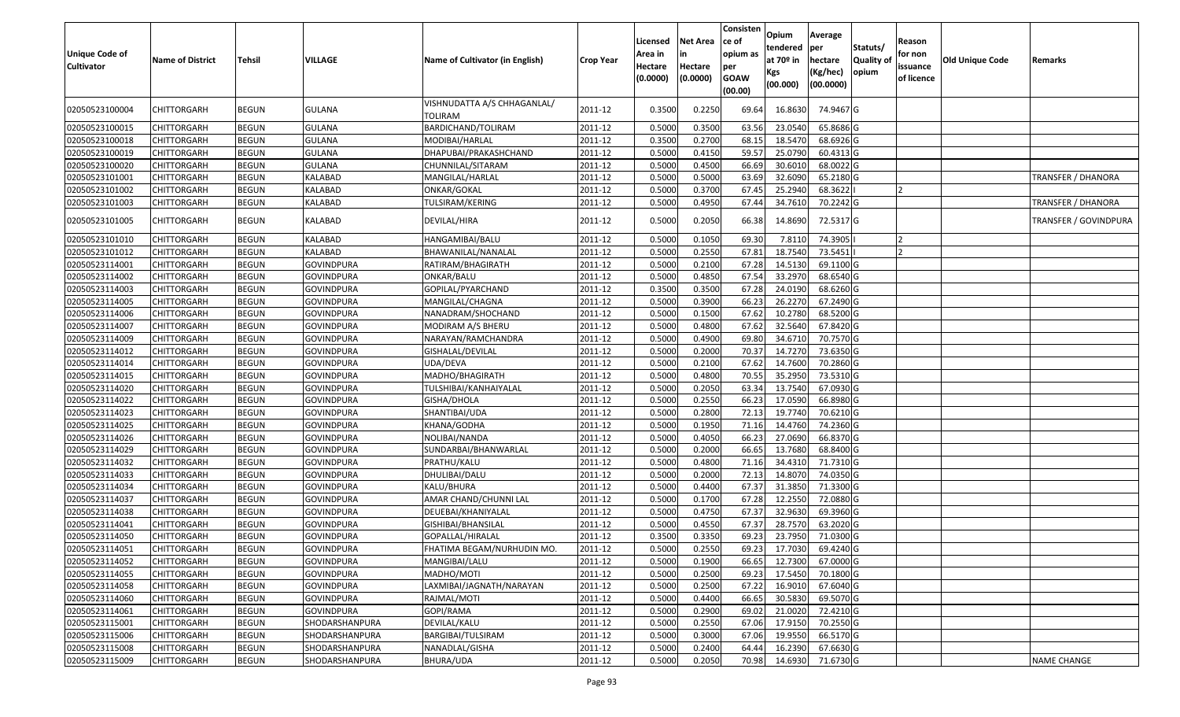| <b>Unique Code of</b><br><b>Cultivator</b> | <b>Name of District</b> | <b>Tehsil</b> | VILLAGE           | Name of Cultivator (in English)        | Crop Year | Licensed<br>Area in<br>Hectare<br>(0.0000) | <b>Net Area</b><br>in<br>Hectare<br>(0.0000) | Consisten<br>ce of<br>opium as<br>per<br><b>GOAW</b><br>(00.00) | Opium<br>tendered<br>at 70º in<br>Kgs<br>(00.000) | Average<br>per<br>hectare<br>(Kg/hec)<br>(00.0000) | Statuts/<br><b>Quality of</b><br>opium | Reason<br>for non<br>issuance<br>of licence | <b>Old Unique Code</b> | Remarks                   |
|--------------------------------------------|-------------------------|---------------|-------------------|----------------------------------------|-----------|--------------------------------------------|----------------------------------------------|-----------------------------------------------------------------|---------------------------------------------------|----------------------------------------------------|----------------------------------------|---------------------------------------------|------------------------|---------------------------|
| 02050523100004                             | <b>CHITTORGARH</b>      | BEGUN         | GULANA            | VISHNUDATTA A/S CHHAGANLAL/<br>TOLIRAM | 2011-12   | 0.3500                                     | 0.2250                                       | 69.64                                                           | 16.8630                                           | 74.9467 G                                          |                                        |                                             |                        |                           |
| 02050523100015                             | <b>CHITTORGARH</b>      | <b>BEGUN</b>  | GULANA            | BARDICHAND/TOLIRAM                     | 2011-12   | 0.5000                                     | 0.3500                                       | 63.56                                                           | 23.0540                                           | 65.8686 G                                          |                                        |                                             |                        |                           |
| 02050523100018                             | <b>CHITTORGARH</b>      | <b>BEGUN</b>  | <b>GULANA</b>     | MODIBAI/HARLAL                         | 2011-12   | 0.3500                                     | 0.2700                                       | 68.15                                                           | 18.5470                                           | 68.6926 G                                          |                                        |                                             |                        |                           |
| 02050523100019                             | <b>CHITTORGARH</b>      | <b>BEGUN</b>  | <b>GULANA</b>     | DHAPUBAI/PRAKASHCHAND                  | 2011-12   | 0.5000                                     | 0.4150                                       | 59.57                                                           | 25.0790                                           | 60.4313 G                                          |                                        |                                             |                        |                           |
| 02050523100020                             | <b>CHITTORGARH</b>      | <b>BEGUN</b>  | <b>GULANA</b>     | CHUNNILAL/SITARAM                      | 2011-12   | 0.5000                                     | 0.4500                                       | 66.69                                                           | 30.6010                                           | 68.0022 G                                          |                                        |                                             |                        |                           |
| 02050523101001                             | CHITTORGARH             | <b>BEGUN</b>  | KALABAD           | MANGILAL/HARLAL                        | 2011-12   | 0.5000                                     | 0.5000                                       | 63.69                                                           | 32.6090                                           | 65.2180 G                                          |                                        |                                             |                        | TRANSFER / DHANORA        |
| 02050523101002                             | <b>CHITTORGARH</b>      | <b>BEGUN</b>  | KALABAD           | ONKAR/GOKAL                            | 2011-12   | 0.5000                                     | 0.3700                                       | 67.45                                                           | 25.2940                                           | 68.3622                                            |                                        |                                             |                        |                           |
| 02050523101003                             | <b>CHITTORGARH</b>      | <b>BEGUN</b>  | KALABAD           | TULSIRAM/KERING                        | 2011-12   | 0.5000                                     | 0.4950                                       | 67.44                                                           | 34.7610                                           | 70.2242 G                                          |                                        |                                             |                        | <b>TRANSFER / DHANORA</b> |
| 02050523101005                             | <b>CHITTORGARH</b>      | <b>BEGUN</b>  | KALABAD           | DEVILAL/HIRA                           | 2011-12   | 0.5000                                     | 0.2050                                       | 66.38                                                           | 14.8690                                           | 72.5317 G                                          |                                        |                                             |                        | TRANSFER / GOVINDPURA     |
| 02050523101010                             | <b>CHITTORGARH</b>      | <b>BEGUN</b>  | KALABAD           | HANGAMIBAI/BALU                        | 2011-12   | 0.5000                                     | 0.1050                                       | 69.30                                                           | 7.8110                                            | 74.3905                                            |                                        | 12                                          |                        |                           |
| 02050523101012                             | <b>CHITTORGARH</b>      | <b>BEGUN</b>  | KALABAD           | BHAWANILAL/NANALAL                     | 2011-12   | 0.5000                                     | 0.2550                                       | 67.81                                                           | 18.7540                                           | 73.5451                                            |                                        |                                             |                        |                           |
| 02050523114001                             | <b>CHITTORGARH</b>      | <b>BEGUN</b>  | GOVINDPURA        | RATIRAM/BHAGIRATH                      | 2011-12   | 0.5000                                     | 0.2100                                       | 67.28                                                           | 14.5130                                           | 69.1100 G                                          |                                        |                                             |                        |                           |
| 02050523114002                             | <b>CHITTORGARH</b>      | <b>BEGUN</b>  | GOVINDPURA        | ONKAR/BALU                             | 2011-12   | 0.5000                                     | 0.4850                                       | 67.54                                                           | 33.2970                                           | 68.6540 G                                          |                                        |                                             |                        |                           |
| 02050523114003                             | <b>CHITTORGARH</b>      | <b>BEGUN</b>  | <b>GOVINDPURA</b> | GOPILAL/PYARCHAND                      | 2011-12   | 0.3500                                     | 0.3500                                       | 67.28                                                           | 24.0190                                           | 68.6260 G                                          |                                        |                                             |                        |                           |
| 02050523114005                             | <b>CHITTORGARH</b>      | <b>BEGUN</b>  | <b>GOVINDPURA</b> | MANGILAL/CHAGNA                        | 2011-12   | 0.5000                                     | 0.3900                                       | 66.23                                                           | 26.2270                                           | 67.2490 G                                          |                                        |                                             |                        |                           |
| 02050523114006                             | <b>CHITTORGARH</b>      | <b>BEGUN</b>  | GOVINDPURA        | NANADRAM/SHOCHAND                      | 2011-12   | 0.5000                                     | 0.1500                                       | 67.62                                                           | 10.2780                                           | 68.5200 G                                          |                                        |                                             |                        |                           |
| 02050523114007                             | <b>CHITTORGARH</b>      | <b>BEGUN</b>  | GOVINDPURA        | MODIRAM A/S BHERU                      | 2011-12   | 0.5000                                     | 0.4800                                       | 67.62                                                           | 32.5640                                           | 67.8420 G                                          |                                        |                                             |                        |                           |
| 02050523114009                             | <b>CHITTORGARH</b>      | <b>BEGUN</b>  | GOVINDPURA        | NARAYAN/RAMCHANDRA                     | 2011-12   | 0.5000                                     | 0.4900                                       | 69.80                                                           | 34.6710                                           | 70.7570 G                                          |                                        |                                             |                        |                           |
| 02050523114012                             | <b>CHITTORGARH</b>      | <b>BEGUN</b>  | <b>GOVINDPURA</b> | GISHALAL/DEVILAL                       | 2011-12   | 0.5000                                     | 0.2000                                       | 70.37                                                           | 14.7270                                           | 73.6350 G                                          |                                        |                                             |                        |                           |
| 02050523114014                             | <b>CHITTORGARH</b>      | <b>BEGUN</b>  | GOVINDPURA        | UDA/DEVA                               | 2011-12   | 0.5000                                     | 0.2100                                       | 67.62                                                           | 14.7600                                           | 70.2860 G                                          |                                        |                                             |                        |                           |
| 02050523114015                             | <b>CHITTORGARH</b>      | <b>BEGUN</b>  | GOVINDPURA        | MADHO/BHAGIRATH                        | 2011-12   | 0.5000                                     | 0.4800                                       | 70.55                                                           | 35.2950                                           | 73.5310 G                                          |                                        |                                             |                        |                           |
| 02050523114020                             | <b>CHITTORGARH</b>      | <b>BEGUN</b>  | GOVINDPURA        | TULSHIBAI/KANHAIYALAL                  | 2011-12   | 0.5000                                     | 0.2050                                       | 63.34                                                           | 13.7540                                           | 67.0930 G                                          |                                        |                                             |                        |                           |
| 02050523114022                             | <b>CHITTORGARH</b>      | <b>BEGUN</b>  | <b>GOVINDPURA</b> | GISHA/DHOLA                            | 2011-12   | 0.5000                                     | 0.2550                                       | 66.2                                                            | 17.0590                                           | 66.8980 G                                          |                                        |                                             |                        |                           |
| 02050523114023                             | <b>CHITTORGARH</b>      | <b>BEGUN</b>  | GOVINDPURA        | SHANTIBAI/UDA                          | 2011-12   | 0.5000                                     | 0.2800                                       | 72.1                                                            | 19.7740                                           | 70.6210 G                                          |                                        |                                             |                        |                           |
| 02050523114025                             | <b>CHITTORGARH</b>      | <b>BEGUN</b>  | <b>GOVINDPURA</b> | KHANA/GODHA                            | 2011-12   | 0.5000                                     | 0.1950                                       | 71.16                                                           | 14.4760                                           | 74.2360 G                                          |                                        |                                             |                        |                           |
| 02050523114026                             | <b>CHITTORGARH</b>      | <b>BEGUN</b>  | GOVINDPURA        | NOLIBAI/NANDA                          | 2011-12   | 0.5000                                     | 0.4050                                       | 66.23                                                           | 27.0690                                           | 66.8370 G                                          |                                        |                                             |                        |                           |
| 02050523114029                             | <b>CHITTORGARH</b>      | <b>BEGUN</b>  | <b>GOVINDPURA</b> | SUNDARBAI/BHANWARLAL                   | 2011-12   | 0.5000                                     | 0.2000                                       | 66.65                                                           | 13.7680                                           | 68.8400 G                                          |                                        |                                             |                        |                           |
| 02050523114032                             | <b>CHITTORGARH</b>      | <b>BEGUN</b>  | <b>GOVINDPURA</b> | PRATHU/KALU                            | 2011-12   | 0.5000                                     | 0.4800                                       | 71.16                                                           | 34.4310                                           | 71.7310 G                                          |                                        |                                             |                        |                           |
| 02050523114033                             | <b>CHITTORGARH</b>      | <b>BEGUN</b>  | GOVINDPURA        | DHULIBAI/DALU                          | 2011-12   | 0.5000                                     | 0.2000                                       | 72.13                                                           | 14.8070                                           | 74.0350 G                                          |                                        |                                             |                        |                           |
| 02050523114034                             | <b>CHITTORGARH</b>      | <b>BEGUN</b>  | GOVINDPURA        | KALU/BHURA                             | 2011-12   | 0.5000                                     | 0.4400                                       | 67.37                                                           | 31.3850                                           | 71.3300 G                                          |                                        |                                             |                        |                           |
| 02050523114037                             | <b>CHITTORGARH</b>      | <b>BEGUN</b>  | GOVINDPURA        | AMAR CHAND/CHUNNI LAL                  | 2011-12   | 0.5000                                     | 0.1700                                       | 67.28                                                           | 12.2550                                           | 72.0880 G                                          |                                        |                                             |                        |                           |
| 02050523114038                             | <b>CHITTORGARH</b>      | <b>BEGUN</b>  | GOVINDPURA        | DEUEBAI/KHANIYALAL                     | 2011-12   | 0.5000                                     | 0.4750                                       | 67.37                                                           | 32.9630                                           | 69.3960 G                                          |                                        |                                             |                        |                           |
| 02050523114041                             | <b>CHITTORGARH</b>      | <b>BEGUN</b>  | GOVINDPURA        | GISHIBAI/BHANSILAL                     | 2011-12   | 0.5000                                     | 0.4550                                       | 67.37                                                           | 28.7570                                           | 63.2020 G                                          |                                        |                                             |                        |                           |
| 02050523114050                             | <b>CHITTORGARH</b>      | BEGUN         | GOVINDPURA        | GOPALLAL/HIRALAL                       | 2011-12   | 0.3500                                     | 0.3350                                       | 69.23                                                           | 23.7950                                           | 71.0300 G                                          |                                        |                                             |                        |                           |
| 02050523114051                             | CHITTORGARH             | <b>BEGUN</b>  | <b>GOVINDPURA</b> | FHATIMA BEGAM/NURHUDIN MO.             | 2011-12   | 0.5000                                     | 0.2550                                       | 69.23                                                           | 17.7030                                           | 69.4240 G                                          |                                        |                                             |                        |                           |
| 02050523114052                             | <b>CHITTORGARH</b>      | <b>BEGUN</b>  | <b>GOVINDPURA</b> | MANGIBAI/LALU                          | 2011-12   | 0.5000                                     | 0.1900                                       | 66.65                                                           | 12.7300                                           | 67.0000 G                                          |                                        |                                             |                        |                           |
| 02050523114055                             | <b>CHITTORGARH</b>      | <b>BEGUN</b>  | GOVINDPURA        | MADHO/MOTI                             | 2011-12   | 0.5000                                     | 0.2500                                       | 69.23                                                           | 17.5450                                           | 70.1800 G                                          |                                        |                                             |                        |                           |
| 02050523114058                             | <b>CHITTORGARH</b>      | <b>BEGUN</b>  | <b>GOVINDPURA</b> | LAXMIBAI/JAGNATH/NARAYAN               | 2011-12   | 0.5000                                     | 0.2500                                       | 67.22                                                           | 16.9010                                           | 67.6040 G                                          |                                        |                                             |                        |                           |
| 02050523114060                             | <b>CHITTORGARH</b>      | <b>BEGUN</b>  | GOVINDPURA        | RAJMAL/MOTI                            | 2011-12   | 0.5000                                     | 0.4400                                       | 66.65                                                           | 30.5830                                           | 69.5070 G                                          |                                        |                                             |                        |                           |
| 02050523114061                             | <b>CHITTORGARH</b>      | <b>BEGUN</b>  | <b>GOVINDPURA</b> | GOPI/RAMA                              | 2011-12   | 0.5000                                     | 0.2900                                       | 69.02                                                           | 21.0020                                           | 72.4210 G                                          |                                        |                                             |                        |                           |
| 02050523115001                             | <b>CHITTORGARH</b>      | <b>BEGUN</b>  | SHODARSHANPURA    | DEVILAL/KALU                           | 2011-12   | 0.5000                                     | 0.2550                                       | 67.06                                                           | 17.9150                                           | 70.2550 G                                          |                                        |                                             |                        |                           |
| 02050523115006                             | <b>CHITTORGARH</b>      | <b>BEGUN</b>  | SHODARSHANPURA    | BARGIBAI/TULSIRAM                      | 2011-12   | 0.5000                                     | 0.3000                                       | 67.06                                                           | 19.9550                                           | 66.5170 G                                          |                                        |                                             |                        |                           |
| 02050523115008                             | <b>CHITTORGARH</b>      | <b>BEGUN</b>  | SHODARSHANPURA    | NANADLAL/GISHA                         | 2011-12   | 0.5000                                     | 0.2400                                       | 64.44                                                           | 16.2390                                           | 67.6630 G                                          |                                        |                                             |                        |                           |
| 02050523115009                             | <b>CHITTORGARH</b>      | <b>BEGUN</b>  | SHODARSHANPURA    | BHURA/UDA                              | 2011-12   | 0.5000                                     | 0.2050                                       | 70.98                                                           |                                                   | 14.6930 71.6730 G                                  |                                        |                                             |                        | <b>NAME CHANGE</b>        |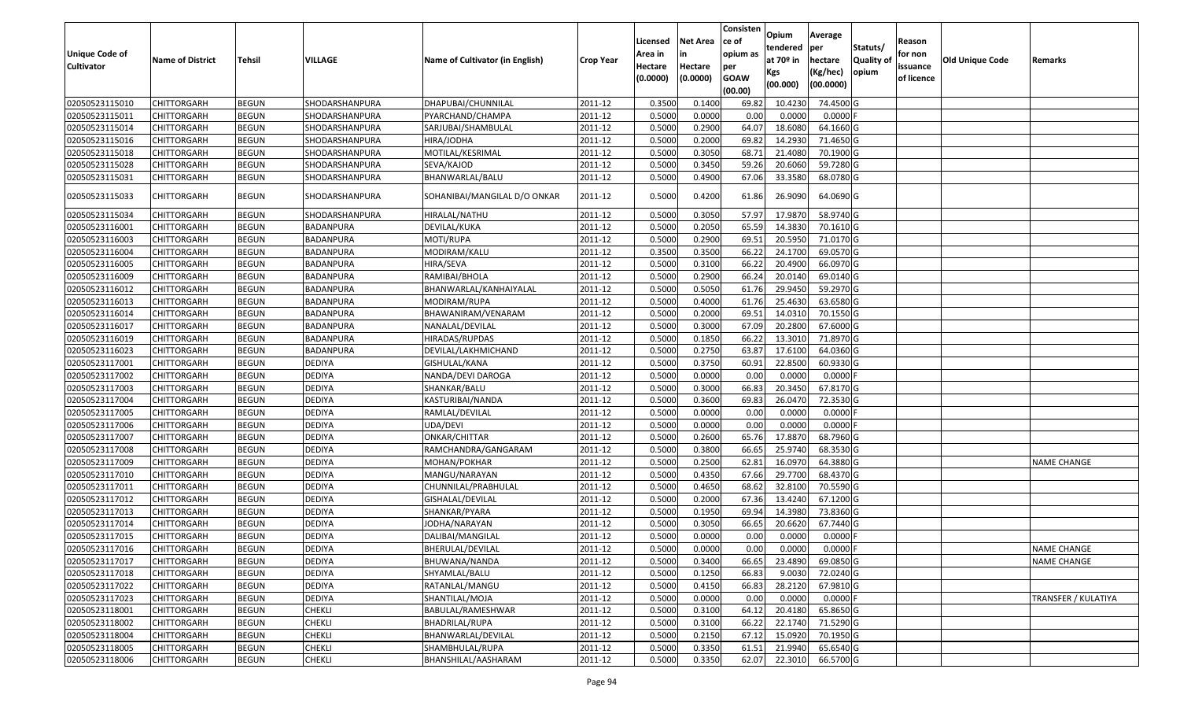| <b>Unique Code of</b><br><b>Cultivator</b> | <b>Name of District</b> | <b>Tehsil</b> | VILLAGE        | Name of Cultivator (in English) | <b>Crop Year</b> | Licensed<br>Area in<br>Hectare<br>(0.0000) | <b>Net Area</b><br>in<br>Hectare<br>(0.0000) | Consisten<br>ce of<br>opium as<br>per<br><b>GOAW</b><br>(00.00) | Opium<br>tendered<br>at $70°$ in<br>Kgs<br>(00.000) | Average<br>per<br>hectare<br>(Kg/hec)<br>(00.0000) | Statuts/<br>Quality of<br>opium | Reason<br>for non<br>issuance<br>of licence | <b>Old Unique Code</b> | Remarks             |
|--------------------------------------------|-------------------------|---------------|----------------|---------------------------------|------------------|--------------------------------------------|----------------------------------------------|-----------------------------------------------------------------|-----------------------------------------------------|----------------------------------------------------|---------------------------------|---------------------------------------------|------------------------|---------------------|
| 02050523115010                             | <b>CHITTORGARH</b>      | <b>BEGUN</b>  | SHODARSHANPURA | DHAPUBAI/CHUNNILAL              | 2011-12          | 0.3500                                     | 0.1400                                       | 69.82                                                           | 10.4230                                             | 74.4500 G                                          |                                 |                                             |                        |                     |
| 02050523115011                             | CHITTORGARH             | <b>BEGUN</b>  | SHODARSHANPURA | PYARCHAND/CHAMPA                | 2011-12          | 0.5000                                     | 0.0000                                       | 0.00                                                            | 0.0000                                              | $0.0000$ F                                         |                                 |                                             |                        |                     |
| 02050523115014                             | CHITTORGARH             | <b>BEGUN</b>  | SHODARSHANPURA | SARJUBAI/SHAMBULAL              | 2011-12          | 0.5000                                     | 0.2900                                       | 64.07                                                           | 18.6080                                             | 64.1660 G                                          |                                 |                                             |                        |                     |
| 02050523115016                             | <b>CHITTORGARH</b>      | <b>BEGUN</b>  | SHODARSHANPURA | HIRA/JODHA                      | 2011-12          | 0.5000                                     | 0.2000                                       | 69.82                                                           | 14.2930                                             | 71.4650 G                                          |                                 |                                             |                        |                     |
| 02050523115018                             | <b>CHITTORGARH</b>      | <b>BEGUN</b>  | SHODARSHANPURA | MOTILAL/KESRIMAL                | 2011-12          | 0.5000                                     | 0.3050                                       | 68.7                                                            | 21.4080                                             | 70.1900 G                                          |                                 |                                             |                        |                     |
| 02050523115028                             | <b>CHITTORGARH</b>      | <b>BEGUN</b>  | SHODARSHANPURA | SEVA/KAJOD                      | 2011-12          | 0.500                                      | 0.3450                                       | 59.26                                                           | 20.6060                                             | 59.7280 G                                          |                                 |                                             |                        |                     |
| 02050523115031                             | CHITTORGARH             | <b>BEGUN</b>  | SHODARSHANPURA | BHANWARLAL/BALU                 | 2011-12          | 0.5000                                     | 0.4900                                       | 67.06                                                           | 33.3580                                             | 68.0780 G                                          |                                 |                                             |                        |                     |
| 02050523115033                             | CHITTORGARH             | <b>BEGUN</b>  | SHODARSHANPURA | SOHANIBAI/MANGILAL D/O ONKAR    | 2011-12          | 0.5000                                     | 0.4200                                       | 61.86                                                           | 26.9090                                             | 64.0690 G                                          |                                 |                                             |                        |                     |
| 02050523115034                             | <b>CHITTORGARH</b>      | <b>BEGUN</b>  | SHODARSHANPURA | HIRALAL/NATHU                   | 2011-12          | 0.500                                      | 0.3050                                       | 57.97                                                           | 17.987                                              | 58.9740 G                                          |                                 |                                             |                        |                     |
| 02050523116001                             | CHITTORGARH             | <b>BEGUN</b>  | BADANPURA      | DEVILAL/KUKA                    | 2011-12          | 0.5000                                     | 0.2050                                       | 65.59                                                           | 14.3830                                             | 70.1610G                                           |                                 |                                             |                        |                     |
| 02050523116003                             | CHITTORGARH             | <b>BEGUN</b>  | BADANPURA      | MOTI/RUPA                       | 2011-12          | 0.5000                                     | 0.2900                                       | 69.5                                                            | 20.595                                              | 71.0170G                                           |                                 |                                             |                        |                     |
| 02050523116004                             | CHITTORGARH             | <b>BEGUN</b>  | BADANPURA      | MODIRAM/KALU                    | 2011-12          | 0.3500                                     | 0.3500                                       | 66.22                                                           | 24.1700                                             | 69.0570 G                                          |                                 |                                             |                        |                     |
| 02050523116005                             | CHITTORGARH             | <b>BEGUN</b>  | BADANPURA      | HIRA/SEVA                       | 2011-12          | 0.5000                                     | 0.3100                                       | 66.22                                                           | 20.4900                                             | 66.0970 G                                          |                                 |                                             |                        |                     |
| 02050523116009                             | CHITTORGARH             | <b>BEGUN</b>  | BADANPURA      | RAMIBAI/BHOLA                   | 2011-12          | 0.5000                                     | 0.2900                                       | 66.24                                                           | 20.0140                                             | 69.0140G                                           |                                 |                                             |                        |                     |
| 02050523116012                             | CHITTORGARH             | <b>BEGUN</b>  | BADANPURA      | BHANWARLAL/KANHAIYALAL          | 2011-12          | 0.5000                                     | 0.5050                                       | 61.76                                                           | 29.945                                              | 59.2970 G                                          |                                 |                                             |                        |                     |
| 02050523116013                             | CHITTORGARH             | <b>BEGUN</b>  | BADANPURA      | MODIRAM/RUPA                    | 2011-12          | 0.5000                                     | 0.4000                                       | 61.76                                                           | 25.4630                                             | 63.6580 G                                          |                                 |                                             |                        |                     |
| 02050523116014                             | CHITTORGARH             | <b>BEGUN</b>  | BADANPURA      | BHAWANIRAM/VENARAM              | 2011-12          | 0.5000                                     | 0.2000                                       | 69.5                                                            | 14.031                                              | 70.1550 G                                          |                                 |                                             |                        |                     |
| 02050523116017                             | <b>CHITTORGARH</b>      | <b>BEGUN</b>  | BADANPURA      | NANALAL/DEVILAL                 | 2011-12          | 0.5000                                     | 0.3000                                       | 67.09                                                           | 20.2800                                             | 67.6000 G                                          |                                 |                                             |                        |                     |
| 02050523116019                             | CHITTORGARH             | <b>BEGUN</b>  | BADANPURA      | HIRADAS/RUPDAS                  | 2011-12          | 0.5000                                     | 0.1850                                       | 66.22                                                           | 13.3010                                             | 71.8970 G                                          |                                 |                                             |                        |                     |
| 02050523116023                             | CHITTORGARH             | <b>BEGUN</b>  | BADANPURA      | DEVILAL/LAKHMICHAND             | 2011-12          | 0.5000                                     | 0.2750                                       | 63.87                                                           | 17.6100                                             | 64.0360 G                                          |                                 |                                             |                        |                     |
| 02050523117001                             | CHITTORGARH             | <b>BEGUN</b>  | <b>DEDIYA</b>  | GISHULAL/KANA                   | 2011-12          | 0.5000                                     | 0.3750                                       | 60.91                                                           | 22.8500                                             | 60.9330 G                                          |                                 |                                             |                        |                     |
| 02050523117002                             | <b>CHITTORGARH</b>      | <b>BEGUN</b>  | <b>DEDIYA</b>  | NANDA/DEVI DAROGA               | 2011-12          | 0.5000                                     | 0.0000                                       | 0.00                                                            | 0.0000                                              | $0.0000$ F                                         |                                 |                                             |                        |                     |
| 02050523117003                             | CHITTORGARH             | <b>BEGUN</b>  | <b>DEDIYA</b>  | SHANKAR/BALU                    | 2011-12          | 0.5000                                     | 0.3000                                       | 66.83                                                           | 20.3450                                             | 67.8170 G                                          |                                 |                                             |                        |                     |
| 02050523117004                             | CHITTORGARH             | <b>BEGUN</b>  | DEDIYA         | KASTURIBAI/NANDA                | 2011-12          | 0.5000                                     | 0.3600                                       | 69.83                                                           | 26.0470                                             | 72.3530 G                                          |                                 |                                             |                        |                     |
| 02050523117005                             | CHITTORGARH             | <b>BEGUN</b>  | <b>DEDIYA</b>  | RAMLAL/DEVILAL                  | 2011-12          | 0.5000                                     | 0.0000                                       | 0.00                                                            | 0.0000                                              | 0.0000                                             |                                 |                                             |                        |                     |
| 02050523117006                             | CHITTORGARH             | <b>BEGUN</b>  | <b>DEDIYA</b>  | UDA/DEVI                        | 2011-12          | 0.5000                                     | 0.0000                                       | 0.00                                                            | 0.0000                                              | $0.0000$ F                                         |                                 |                                             |                        |                     |
| 02050523117007                             | <b>CHITTORGARH</b>      | <b>BEGUN</b>  | <b>DEDIYA</b>  | ONKAR/CHITTAR                   | 2011-12          | 0.5000                                     | 0.2600                                       | 65.76                                                           | 17.8870                                             | 68.7960 G                                          |                                 |                                             |                        |                     |
| 02050523117008                             | CHITTORGARH             | <b>BEGUN</b>  | <b>DEDIYA</b>  | RAMCHANDRA/GANGARAM             | 2011-12          | 0.5000                                     | 0.3800                                       | 66.65                                                           | 25.9740                                             | 68.3530 G                                          |                                 |                                             |                        |                     |
| 02050523117009                             | <b>CHITTORGARH</b>      | <b>BEGUN</b>  | <b>DEDIYA</b>  | MOHAN/POKHAR                    | 2011-12          | 0.5000                                     | 0.2500                                       | 62.81                                                           | 16.0970                                             | 64.3880 G                                          |                                 |                                             |                        | <b>NAME CHANGE</b>  |
| 02050523117010                             | CHITTORGARH             | <b>BEGUN</b>  | <b>DEDIYA</b>  | MANGU/NARAYAN                   | 2011-12          | 0.5000                                     | 0.4350                                       | 67.66                                                           | 29.7700                                             | 68.4370 G                                          |                                 |                                             |                        |                     |
| 02050523117011                             | <b>CHITTORGARH</b>      | <b>BEGUN</b>  | <b>DEDIYA</b>  | CHUNNILAL/PRABHULAL             | 2011-12          | 0.5000                                     | 0.4650                                       | 68.62                                                           | 32.8100                                             | 70.5590 G                                          |                                 |                                             |                        |                     |
| 02050523117012                             | CHITTORGARH             | <b>BEGUN</b>  | <b>DEDIYA</b>  | GISHALAL/DEVILAL                | 2011-12          | 0.5000                                     | 0.2000                                       | 67.36                                                           | 13.4240                                             | 67.1200G                                           |                                 |                                             |                        |                     |
| 02050523117013                             | CHITTORGARH             | <b>BEGUN</b>  | <b>DEDIYA</b>  | SHANKAR/PYARA                   | 2011-12          | 0.5000                                     | 0.1950                                       | 69.94                                                           | 14.3980                                             | 73.8360 G                                          |                                 |                                             |                        |                     |
| 02050523117014                             | CHITTORGARH             | <b>BEGUN</b>  | <b>DEDIYA</b>  | JODHA/NARAYAN                   | 2011-12          | 0.500                                      | 0.3050                                       | 66.65                                                           | 20.6620                                             | 67.7440 G                                          |                                 |                                             |                        |                     |
| 02050523117015                             | CHITTORGARH             | <b>BEGUN</b>  | <b>DEDIYA</b>  | DALIBAI/MANGILAL                | 2011-12          | 0.500                                      | 0.0000                                       | 0.00                                                            | 0.0000                                              | 0.0000                                             |                                 |                                             |                        |                     |
| 02050523117016                             | <b>CHITTORGARH</b>      | <b>BEGUN</b>  | <b>DEDIYA</b>  | BHERULAL/DEVILAL                | 2011-12          | 0.5000                                     | 0.0000                                       | 0.00                                                            | 0.0000                                              | $0.0000$ F                                         |                                 |                                             |                        | <b>NAME CHANGE</b>  |
| 02050523117017                             | <b>CHITTORGARH</b>      | <b>BEGUN</b>  | <b>DEDIYA</b>  | BHUWANA/NANDA                   | 2011-12          | 0.5000                                     | 0.3400                                       | 66.65                                                           | 23.4890                                             | 69.0850 G                                          |                                 |                                             |                        | <b>NAME CHANGE</b>  |
| 02050523117018                             | <b>CHITTORGARH</b>      | <b>BEGUN</b>  | <b>DEDIYA</b>  | SHYAMLAL/BALU                   | 2011-12          | 0.5000                                     | 0.1250                                       | 66.83                                                           | 9.0030                                              | 72.0240 G                                          |                                 |                                             |                        |                     |
| 02050523117022                             | <b>CHITTORGARH</b>      | <b>BEGUN</b>  | <b>DEDIYA</b>  | RATANLAL/MANGU                  | 2011-12          | 0.5000                                     | 0.4150                                       | 66.83                                                           | 28.2120                                             | 67.9810 G                                          |                                 |                                             |                        |                     |
| 02050523117023                             | <b>CHITTORGARH</b>      | <b>BEGUN</b>  | <b>DEDIYA</b>  | SHANTILAL/MOJA                  | 2011-12          | 0.5000                                     | 0.0000                                       | 0.00                                                            | 0.0000                                              | $0.0000$ F                                         |                                 |                                             |                        | TRANSFER / KULATIYA |
| 02050523118001                             | <b>CHITTORGARH</b>      | <b>BEGUN</b>  | CHEKLI         | BABULAL/RAMESHWAR               | 2011-12          | 0.5000                                     | 0.3100                                       | 64.12                                                           | 20.4180                                             | 65.8650 G                                          |                                 |                                             |                        |                     |
| 02050523118002                             | <b>CHITTORGARH</b>      | <b>BEGUN</b>  | <b>CHEKLI</b>  | BHADRILAL/RUPA                  | 2011-12          | 0.5000                                     | 0.3100                                       | 66.22                                                           | 22.1740                                             | 71.5290 G                                          |                                 |                                             |                        |                     |
| 02050523118004                             | <b>CHITTORGARH</b>      | <b>BEGUN</b>  | <b>CHEKLI</b>  | BHANWARLAL/DEVILAL              | 2011-12          | 0.5000                                     | 0.2150                                       | 67.12                                                           | 15.0920                                             | 70.1950 G                                          |                                 |                                             |                        |                     |
| 02050523118005                             | CHITTORGARH             | <b>BEGUN</b>  | CHEKLI         | SHAMBHULAL/RUPA                 | 2011-12          | 0.5000                                     | 0.3350                                       | 61.51                                                           | 21.9940                                             | 65.6540 G                                          |                                 |                                             |                        |                     |
| 02050523118006                             | <b>CHITTORGARH</b>      | <b>BEGUN</b>  | CHEKLI         | BHANSHILAL/AASHARAM             | 2011-12          | 0.5000                                     | 0.3350                                       | 62.07                                                           | 22.3010                                             | 66.5700 G                                          |                                 |                                             |                        |                     |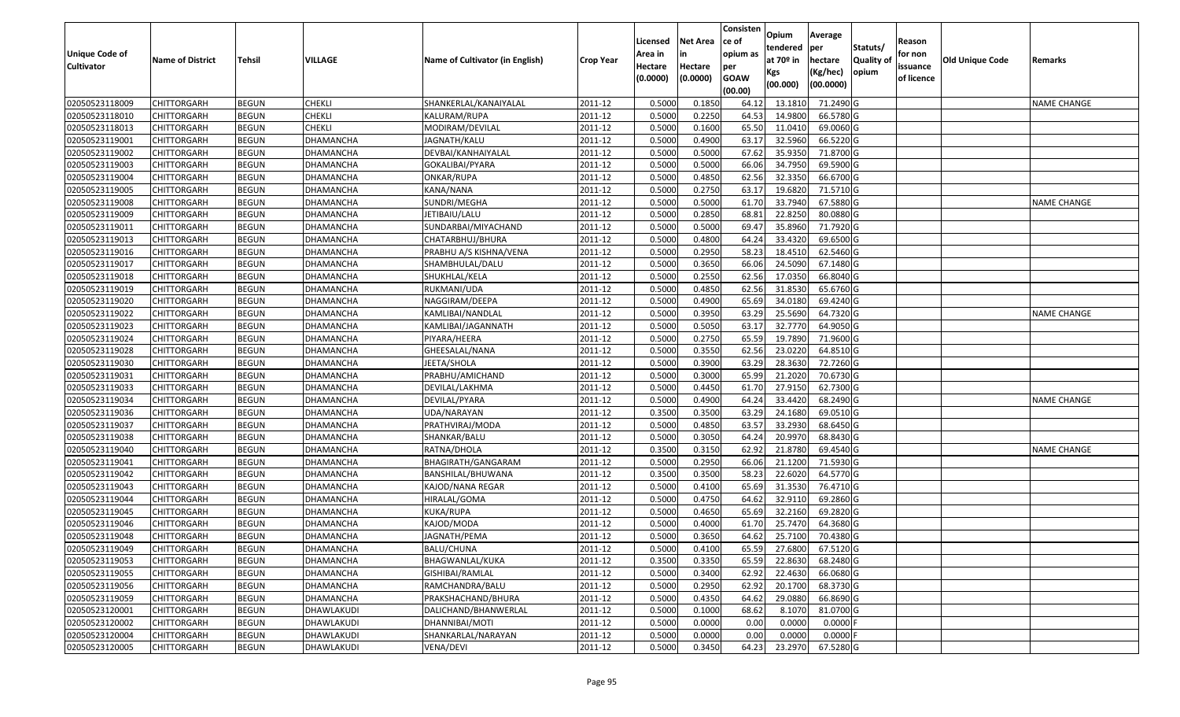| at 70º in<br><b>Quality of</b><br><b>Old Unique Code</b><br><b>Name of District</b><br>Tehsil<br>VILLAGE<br>Name of Cultivator (in English)<br>hectare<br><b>Crop Year</b><br>Remarks<br><b>Cultivator</b><br>Hectare<br>Hectare<br>per<br>issuance<br>(Kg/hec)<br>opium<br>Kgs<br>(0.0000)<br>(0.0000)<br><b>GOAW</b><br>of licence<br>(00.0000)<br>(00.000)<br>(00.00)<br>0.5000<br>0.1850<br>71.2490 G<br>02050523118009<br><b>CHITTORGARH</b><br><b>BEGUN</b><br>CHEKLI<br>SHANKERLAL/KANAIYALAL<br>2011-12<br>64.12<br>13.1810<br><b>NAME CHANGE</b><br>02050523118010<br>0.5000<br>0.2250<br>14.9800<br>66.5780 G<br>CHITTORGARH<br><b>BEGUN</b><br>CHEKLI<br>KALURAM/RUPA<br>2011-12<br>64.53<br><b>CHEKLI</b><br>0.5000<br>0.1600<br>65.50<br>11.0410<br>02050523118013<br><b>BEGUN</b><br>2011-12<br>69.0060 G<br>CHITTORGARH<br>MODIRAM/DEVILAL<br>02050523119001<br><b>BEGUN</b><br>DHAMANCHA<br>JAGNATH/KALU<br>2011-12<br>0.5000<br>0.4900<br>63.17<br>32.5960<br>66.5220 G<br><b>CHITTORGARH</b><br>02050523119002<br><b>BEGUN</b><br>2011-12<br>0.5000<br>0.5000<br>67.62<br>35.9350<br>71.8700 G<br>CHITTORGARH<br>DHAMANCHA<br>DEVBAI/KANHAIYALAL<br>02050523119003<br><b>BEGUN</b><br>0.5000<br>0.5000<br>66.06<br>34.7950<br>69.5900 G<br>CHITTORGARH<br>DHAMANCHA<br>GOKALIBAI/PYARA<br>2011-12<br>62.56<br><b>BEGUN</b><br>0.5000<br>0.4850<br>32.3350<br>66.6700 G<br>02050523119004<br>2011-12<br>CHITTORGARH<br>DHAMANCHA<br>ONKAR/RUPA<br>02050523119005<br><b>CHITTORGARH</b><br><b>BEGUN</b><br>DHAMANCHA<br>KANA/NANA<br>2011-12<br>0.5000<br>0.2750<br>63.17<br>19.6820<br>71.5710 G<br>02050523119008<br>SUNDRI/MEGHA<br>0.5000<br>0.5000<br>67.5880 G<br>CHITTORGARH<br><b>BEGUN</b><br>DHAMANCHA<br>2011-12<br>61.70<br>33.7940<br><b>NAME CHANGE</b><br>22.8250<br>02050523119009<br><b>BEGUN</b><br>DHAMANCHA<br>0.5000<br>0.2850<br>68.81<br>80.0880 G<br>CHITTORGARH<br>JETIBAIU/LALU<br>2011-12<br>69.47<br><b>BEGUN</b><br>SUNDARBAI/MIYACHAND<br>0.5000<br>0.5000<br>35.8960<br>71.7920 G<br>02050523119011<br>CHITTORGARH<br>DHAMANCHA<br>2011-12<br>02050523119013<br><b>CHITTORGARH</b><br><b>BEGUN</b><br><b>DHAMANCHA</b><br>0.5000<br>0.4800<br>64.24<br>33.4320<br>69.6500 G<br>CHATARBHUJ/BHURA<br>2011-12<br>0.2950<br>02050523119016<br><b>DHAMANCHA</b><br>0.5000<br>58.23<br>18.4510<br>62.5460 G<br><b>CHITTORGARH</b><br><b>BEGUN</b><br>PRABHU A/S KISHNA/VENA<br>2011-12<br>02050523119017<br><b>BEGUN</b><br>DHAMANCHA<br>0.5000<br>0.3650<br>66.06<br>24.5090<br>67.1480 G<br><b>CHITTORGARH</b><br>SHAMBHULAL/DALU<br>2011-12<br><b>BEGUN</b><br>0.5000<br>0.2550<br>62.56<br>17.0350<br>66.8040 G<br>02050523119018<br>DHAMANCHA<br>2011-12<br>CHITTORGARH<br>SHUKHLAL/KELA<br>02050523119019<br><b>BEGUN</b><br><b>DHAMANCHA</b><br>2011-12<br>0.5000<br>0.4850<br>62.56<br>31.8530<br>65.6760 G<br><b>CHITTORGARH</b><br>RUKMANI/UDA |  |
|---------------------------------------------------------------------------------------------------------------------------------------------------------------------------------------------------------------------------------------------------------------------------------------------------------------------------------------------------------------------------------------------------------------------------------------------------------------------------------------------------------------------------------------------------------------------------------------------------------------------------------------------------------------------------------------------------------------------------------------------------------------------------------------------------------------------------------------------------------------------------------------------------------------------------------------------------------------------------------------------------------------------------------------------------------------------------------------------------------------------------------------------------------------------------------------------------------------------------------------------------------------------------------------------------------------------------------------------------------------------------------------------------------------------------------------------------------------------------------------------------------------------------------------------------------------------------------------------------------------------------------------------------------------------------------------------------------------------------------------------------------------------------------------------------------------------------------------------------------------------------------------------------------------------------------------------------------------------------------------------------------------------------------------------------------------------------------------------------------------------------------------------------------------------------------------------------------------------------------------------------------------------------------------------------------------------------------------------------------------------------------------------------------------------------------------------------------------------------------------------------------------------------------------------------------------------------------------------------------------------------------------------------------------------------------------------------------------------------------------------------------------------------------------------------------------------------------------------------------------------------------------------------|--|
|                                                                                                                                                                                                                                                                                                                                                                                                                                                                                                                                                                                                                                                                                                                                                                                                                                                                                                                                                                                                                                                                                                                                                                                                                                                                                                                                                                                                                                                                                                                                                                                                                                                                                                                                                                                                                                                                                                                                                                                                                                                                                                                                                                                                                                                                                                                                                                                                                                                                                                                                                                                                                                                                                                                                                                                                                                                                                                   |  |
|                                                                                                                                                                                                                                                                                                                                                                                                                                                                                                                                                                                                                                                                                                                                                                                                                                                                                                                                                                                                                                                                                                                                                                                                                                                                                                                                                                                                                                                                                                                                                                                                                                                                                                                                                                                                                                                                                                                                                                                                                                                                                                                                                                                                                                                                                                                                                                                                                                                                                                                                                                                                                                                                                                                                                                                                                                                                                                   |  |
|                                                                                                                                                                                                                                                                                                                                                                                                                                                                                                                                                                                                                                                                                                                                                                                                                                                                                                                                                                                                                                                                                                                                                                                                                                                                                                                                                                                                                                                                                                                                                                                                                                                                                                                                                                                                                                                                                                                                                                                                                                                                                                                                                                                                                                                                                                                                                                                                                                                                                                                                                                                                                                                                                                                                                                                                                                                                                                   |  |
|                                                                                                                                                                                                                                                                                                                                                                                                                                                                                                                                                                                                                                                                                                                                                                                                                                                                                                                                                                                                                                                                                                                                                                                                                                                                                                                                                                                                                                                                                                                                                                                                                                                                                                                                                                                                                                                                                                                                                                                                                                                                                                                                                                                                                                                                                                                                                                                                                                                                                                                                                                                                                                                                                                                                                                                                                                                                                                   |  |
|                                                                                                                                                                                                                                                                                                                                                                                                                                                                                                                                                                                                                                                                                                                                                                                                                                                                                                                                                                                                                                                                                                                                                                                                                                                                                                                                                                                                                                                                                                                                                                                                                                                                                                                                                                                                                                                                                                                                                                                                                                                                                                                                                                                                                                                                                                                                                                                                                                                                                                                                                                                                                                                                                                                                                                                                                                                                                                   |  |
|                                                                                                                                                                                                                                                                                                                                                                                                                                                                                                                                                                                                                                                                                                                                                                                                                                                                                                                                                                                                                                                                                                                                                                                                                                                                                                                                                                                                                                                                                                                                                                                                                                                                                                                                                                                                                                                                                                                                                                                                                                                                                                                                                                                                                                                                                                                                                                                                                                                                                                                                                                                                                                                                                                                                                                                                                                                                                                   |  |
|                                                                                                                                                                                                                                                                                                                                                                                                                                                                                                                                                                                                                                                                                                                                                                                                                                                                                                                                                                                                                                                                                                                                                                                                                                                                                                                                                                                                                                                                                                                                                                                                                                                                                                                                                                                                                                                                                                                                                                                                                                                                                                                                                                                                                                                                                                                                                                                                                                                                                                                                                                                                                                                                                                                                                                                                                                                                                                   |  |
|                                                                                                                                                                                                                                                                                                                                                                                                                                                                                                                                                                                                                                                                                                                                                                                                                                                                                                                                                                                                                                                                                                                                                                                                                                                                                                                                                                                                                                                                                                                                                                                                                                                                                                                                                                                                                                                                                                                                                                                                                                                                                                                                                                                                                                                                                                                                                                                                                                                                                                                                                                                                                                                                                                                                                                                                                                                                                                   |  |
|                                                                                                                                                                                                                                                                                                                                                                                                                                                                                                                                                                                                                                                                                                                                                                                                                                                                                                                                                                                                                                                                                                                                                                                                                                                                                                                                                                                                                                                                                                                                                                                                                                                                                                                                                                                                                                                                                                                                                                                                                                                                                                                                                                                                                                                                                                                                                                                                                                                                                                                                                                                                                                                                                                                                                                                                                                                                                                   |  |
|                                                                                                                                                                                                                                                                                                                                                                                                                                                                                                                                                                                                                                                                                                                                                                                                                                                                                                                                                                                                                                                                                                                                                                                                                                                                                                                                                                                                                                                                                                                                                                                                                                                                                                                                                                                                                                                                                                                                                                                                                                                                                                                                                                                                                                                                                                                                                                                                                                                                                                                                                                                                                                                                                                                                                                                                                                                                                                   |  |
|                                                                                                                                                                                                                                                                                                                                                                                                                                                                                                                                                                                                                                                                                                                                                                                                                                                                                                                                                                                                                                                                                                                                                                                                                                                                                                                                                                                                                                                                                                                                                                                                                                                                                                                                                                                                                                                                                                                                                                                                                                                                                                                                                                                                                                                                                                                                                                                                                                                                                                                                                                                                                                                                                                                                                                                                                                                                                                   |  |
|                                                                                                                                                                                                                                                                                                                                                                                                                                                                                                                                                                                                                                                                                                                                                                                                                                                                                                                                                                                                                                                                                                                                                                                                                                                                                                                                                                                                                                                                                                                                                                                                                                                                                                                                                                                                                                                                                                                                                                                                                                                                                                                                                                                                                                                                                                                                                                                                                                                                                                                                                                                                                                                                                                                                                                                                                                                                                                   |  |
|                                                                                                                                                                                                                                                                                                                                                                                                                                                                                                                                                                                                                                                                                                                                                                                                                                                                                                                                                                                                                                                                                                                                                                                                                                                                                                                                                                                                                                                                                                                                                                                                                                                                                                                                                                                                                                                                                                                                                                                                                                                                                                                                                                                                                                                                                                                                                                                                                                                                                                                                                                                                                                                                                                                                                                                                                                                                                                   |  |
|                                                                                                                                                                                                                                                                                                                                                                                                                                                                                                                                                                                                                                                                                                                                                                                                                                                                                                                                                                                                                                                                                                                                                                                                                                                                                                                                                                                                                                                                                                                                                                                                                                                                                                                                                                                                                                                                                                                                                                                                                                                                                                                                                                                                                                                                                                                                                                                                                                                                                                                                                                                                                                                                                                                                                                                                                                                                                                   |  |
|                                                                                                                                                                                                                                                                                                                                                                                                                                                                                                                                                                                                                                                                                                                                                                                                                                                                                                                                                                                                                                                                                                                                                                                                                                                                                                                                                                                                                                                                                                                                                                                                                                                                                                                                                                                                                                                                                                                                                                                                                                                                                                                                                                                                                                                                                                                                                                                                                                                                                                                                                                                                                                                                                                                                                                                                                                                                                                   |  |
|                                                                                                                                                                                                                                                                                                                                                                                                                                                                                                                                                                                                                                                                                                                                                                                                                                                                                                                                                                                                                                                                                                                                                                                                                                                                                                                                                                                                                                                                                                                                                                                                                                                                                                                                                                                                                                                                                                                                                                                                                                                                                                                                                                                                                                                                                                                                                                                                                                                                                                                                                                                                                                                                                                                                                                                                                                                                                                   |  |
|                                                                                                                                                                                                                                                                                                                                                                                                                                                                                                                                                                                                                                                                                                                                                                                                                                                                                                                                                                                                                                                                                                                                                                                                                                                                                                                                                                                                                                                                                                                                                                                                                                                                                                                                                                                                                                                                                                                                                                                                                                                                                                                                                                                                                                                                                                                                                                                                                                                                                                                                                                                                                                                                                                                                                                                                                                                                                                   |  |
| 02050523119020<br>0.5000<br>0.4900<br>65.69<br>34.0180<br>69.4240 G<br><b>CHITTORGARH</b><br><b>BEGUN</b><br>DHAMANCHA<br>NAGGIRAM/DEEPA<br>2011-12                                                                                                                                                                                                                                                                                                                                                                                                                                                                                                                                                                                                                                                                                                                                                                                                                                                                                                                                                                                                                                                                                                                                                                                                                                                                                                                                                                                                                                                                                                                                                                                                                                                                                                                                                                                                                                                                                                                                                                                                                                                                                                                                                                                                                                                                                                                                                                                                                                                                                                                                                                                                                                                                                                                                               |  |
| 02050523119022<br><b>BEGUN</b><br>0.5000<br>0.3950<br>63.29<br>25.5690<br>64.7320 G<br>CHITTORGARH<br>DHAMANCHA<br>KAMLIBAI/NANDLAL<br>2011-12<br>NAME CHANGE                                                                                                                                                                                                                                                                                                                                                                                                                                                                                                                                                                                                                                                                                                                                                                                                                                                                                                                                                                                                                                                                                                                                                                                                                                                                                                                                                                                                                                                                                                                                                                                                                                                                                                                                                                                                                                                                                                                                                                                                                                                                                                                                                                                                                                                                                                                                                                                                                                                                                                                                                                                                                                                                                                                                     |  |
| 02050523119023<br>0.5000<br>0.5050<br>63.17<br>32.7770<br>64.9050 G<br>CHITTORGARH<br><b>BEGUN</b><br>DHAMANCHA<br>2011-12<br>KAMLIBAI/JAGANNATH                                                                                                                                                                                                                                                                                                                                                                                                                                                                                                                                                                                                                                                                                                                                                                                                                                                                                                                                                                                                                                                                                                                                                                                                                                                                                                                                                                                                                                                                                                                                                                                                                                                                                                                                                                                                                                                                                                                                                                                                                                                                                                                                                                                                                                                                                                                                                                                                                                                                                                                                                                                                                                                                                                                                                  |  |
| 0.2750<br>65.59<br><b>BEGUN</b><br>0.5000<br>19.7890<br>71.9600 G<br>02050523119024<br>CHITTORGARH<br>DHAMANCHA<br>PIYARA/HEERA<br>2011-12                                                                                                                                                                                                                                                                                                                                                                                                                                                                                                                                                                                                                                                                                                                                                                                                                                                                                                                                                                                                                                                                                                                                                                                                                                                                                                                                                                                                                                                                                                                                                                                                                                                                                                                                                                                                                                                                                                                                                                                                                                                                                                                                                                                                                                                                                                                                                                                                                                                                                                                                                                                                                                                                                                                                                        |  |
| 02050523119028<br><b>BEGUN</b><br><b>DHAMANCHA</b><br>0.5000<br>0.3550<br>62.56<br>23.0220<br>64.8510 G<br>CHITTORGARH<br>GHEESALAL/NANA<br>2011-12                                                                                                                                                                                                                                                                                                                                                                                                                                                                                                                                                                                                                                                                                                                                                                                                                                                                                                                                                                                                                                                                                                                                                                                                                                                                                                                                                                                                                                                                                                                                                                                                                                                                                                                                                                                                                                                                                                                                                                                                                                                                                                                                                                                                                                                                                                                                                                                                                                                                                                                                                                                                                                                                                                                                               |  |
| 02050523119030<br><b>BEGUN</b><br>0.5000<br>0.3900<br>63.29<br>28.3630<br>72.7260 G<br>CHITTORGARH<br>DHAMANCHA<br>JEETA/SHOLA<br>2011-12                                                                                                                                                                                                                                                                                                                                                                                                                                                                                                                                                                                                                                                                                                                                                                                                                                                                                                                                                                                                                                                                                                                                                                                                                                                                                                                                                                                                                                                                                                                                                                                                                                                                                                                                                                                                                                                                                                                                                                                                                                                                                                                                                                                                                                                                                                                                                                                                                                                                                                                                                                                                                                                                                                                                                         |  |
| 0.5000<br>0.3000<br>65.99<br>21.2020<br>70.6730 G<br>02050523119031<br>CHITTORGARH<br><b>BEGUN</b><br>DHAMANCHA<br>PRABHU/AMICHAND<br>2011-12                                                                                                                                                                                                                                                                                                                                                                                                                                                                                                                                                                                                                                                                                                                                                                                                                                                                                                                                                                                                                                                                                                                                                                                                                                                                                                                                                                                                                                                                                                                                                                                                                                                                                                                                                                                                                                                                                                                                                                                                                                                                                                                                                                                                                                                                                                                                                                                                                                                                                                                                                                                                                                                                                                                                                     |  |
| 0.5000<br>0.4450<br>61.7<br>27.9150<br>62.7300 G<br>02050523119033<br>CHITTORGARH<br><b>BEGUN</b><br>DHAMANCHA<br>DEVILAL/LAKHMA<br>2011-12                                                                                                                                                                                                                                                                                                                                                                                                                                                                                                                                                                                                                                                                                                                                                                                                                                                                                                                                                                                                                                                                                                                                                                                                                                                                                                                                                                                                                                                                                                                                                                                                                                                                                                                                                                                                                                                                                                                                                                                                                                                                                                                                                                                                                                                                                                                                                                                                                                                                                                                                                                                                                                                                                                                                                       |  |
| 68.2490 G<br>02050523119034<br><b>BEGUN</b><br>DHAMANCHA<br>2011-12<br>0.5000<br>0.4900<br>64.24<br>33.4420<br>CHITTORGARH<br>DEVILAL/PYARA<br><b>NAME CHANGE</b>                                                                                                                                                                                                                                                                                                                                                                                                                                                                                                                                                                                                                                                                                                                                                                                                                                                                                                                                                                                                                                                                                                                                                                                                                                                                                                                                                                                                                                                                                                                                                                                                                                                                                                                                                                                                                                                                                                                                                                                                                                                                                                                                                                                                                                                                                                                                                                                                                                                                                                                                                                                                                                                                                                                                 |  |
| 02050523119036<br>0.3500<br>0.3500<br>24.1680<br>CHITTORGARH<br><b>BEGUN</b><br>DHAMANCHA<br>UDA/NARAYAN<br>2011-12<br>63.29<br>69.0510 G                                                                                                                                                                                                                                                                                                                                                                                                                                                                                                                                                                                                                                                                                                                                                                                                                                                                                                                                                                                                                                                                                                                                                                                                                                                                                                                                                                                                                                                                                                                                                                                                                                                                                                                                                                                                                                                                                                                                                                                                                                                                                                                                                                                                                                                                                                                                                                                                                                                                                                                                                                                                                                                                                                                                                         |  |
| 02050523119037<br><b>BEGUN</b><br>0.5000<br>0.4850<br>63.57<br>33.2930<br>68.6450 G<br>CHITTORGARH<br>DHAMANCHA<br>PRATHVIRAJ/MODA<br>2011-12                                                                                                                                                                                                                                                                                                                                                                                                                                                                                                                                                                                                                                                                                                                                                                                                                                                                                                                                                                                                                                                                                                                                                                                                                                                                                                                                                                                                                                                                                                                                                                                                                                                                                                                                                                                                                                                                                                                                                                                                                                                                                                                                                                                                                                                                                                                                                                                                                                                                                                                                                                                                                                                                                                                                                     |  |
| 0.5000<br>0.3050<br>64.24<br>20.9970<br>68.8430 G<br>02050523119038<br><b>BEGUN</b><br>DHAMANCHA<br>2011-12<br>CHITTORGARH<br>SHANKAR/BALU                                                                                                                                                                                                                                                                                                                                                                                                                                                                                                                                                                                                                                                                                                                                                                                                                                                                                                                                                                                                                                                                                                                                                                                                                                                                                                                                                                                                                                                                                                                                                                                                                                                                                                                                                                                                                                                                                                                                                                                                                                                                                                                                                                                                                                                                                                                                                                                                                                                                                                                                                                                                                                                                                                                                                        |  |
| 02050523119040<br><b>BEGUN</b><br>DHAMANCHA<br>2011-12<br>0.3500<br>0.3150<br>62.92<br>21.8780<br>69.4540 G<br>CHITTORGARH<br>RATNA/DHOLA<br>NAME CHANGE                                                                                                                                                                                                                                                                                                                                                                                                                                                                                                                                                                                                                                                                                                                                                                                                                                                                                                                                                                                                                                                                                                                                                                                                                                                                                                                                                                                                                                                                                                                                                                                                                                                                                                                                                                                                                                                                                                                                                                                                                                                                                                                                                                                                                                                                                                                                                                                                                                                                                                                                                                                                                                                                                                                                          |  |
| 0.2950<br>02050523119041<br><b>BEGUN</b><br>BHAGIRATH/GANGARAM<br>2011-12<br>0.5000<br>66.06<br>21.1200<br>71.5930 G<br>CHITTORGARH<br>DHAMANCHA                                                                                                                                                                                                                                                                                                                                                                                                                                                                                                                                                                                                                                                                                                                                                                                                                                                                                                                                                                                                                                                                                                                                                                                                                                                                                                                                                                                                                                                                                                                                                                                                                                                                                                                                                                                                                                                                                                                                                                                                                                                                                                                                                                                                                                                                                                                                                                                                                                                                                                                                                                                                                                                                                                                                                  |  |
| 02050523119042<br><b>BEGUN</b><br>0.3500<br>0.3500<br>58.23<br>22.6020<br>64.5770 G<br>CHITTORGARH<br>DHAMANCHA<br>BANSHILAL/BHUWANA<br>2011-12                                                                                                                                                                                                                                                                                                                                                                                                                                                                                                                                                                                                                                                                                                                                                                                                                                                                                                                                                                                                                                                                                                                                                                                                                                                                                                                                                                                                                                                                                                                                                                                                                                                                                                                                                                                                                                                                                                                                                                                                                                                                                                                                                                                                                                                                                                                                                                                                                                                                                                                                                                                                                                                                                                                                                   |  |
| <b>BEGUN</b><br>0.5000<br>65.69<br>31.3530<br>76.4710 G<br>02050523119043<br>DHAMANCHA<br>2011-12<br>0.4100<br>CHITTORGARH<br>KAJOD/NANA REGAR                                                                                                                                                                                                                                                                                                                                                                                                                                                                                                                                                                                                                                                                                                                                                                                                                                                                                                                                                                                                                                                                                                                                                                                                                                                                                                                                                                                                                                                                                                                                                                                                                                                                                                                                                                                                                                                                                                                                                                                                                                                                                                                                                                                                                                                                                                                                                                                                                                                                                                                                                                                                                                                                                                                                                    |  |
| 02050523119044<br><b>BEGUN</b><br><b>DHAMANCHA</b><br>HIRALAL/GOMA<br>2011-12<br>0.5000<br>0.4750<br>64.62<br>32.9110<br>69.2860 G<br>CHITTORGARH                                                                                                                                                                                                                                                                                                                                                                                                                                                                                                                                                                                                                                                                                                                                                                                                                                                                                                                                                                                                                                                                                                                                                                                                                                                                                                                                                                                                                                                                                                                                                                                                                                                                                                                                                                                                                                                                                                                                                                                                                                                                                                                                                                                                                                                                                                                                                                                                                                                                                                                                                                                                                                                                                                                                                 |  |
| 0.5000<br>0.4650<br>69.2820 G<br>02050523119045<br><b>BEGUN</b><br>DHAMANCHA<br>KUKA/RUPA<br>2011-12<br>65.69<br>32.2160<br>CHITTORGARH                                                                                                                                                                                                                                                                                                                                                                                                                                                                                                                                                                                                                                                                                                                                                                                                                                                                                                                                                                                                                                                                                                                                                                                                                                                                                                                                                                                                                                                                                                                                                                                                                                                                                                                                                                                                                                                                                                                                                                                                                                                                                                                                                                                                                                                                                                                                                                                                                                                                                                                                                                                                                                                                                                                                                           |  |
| 02050523119046<br><b>BEGUN</b><br><b>DHAMANCHA</b><br>0.5000<br>0.4000<br>25.7470<br>64.3680 G<br>CHITTORGARH<br>KAJOD/MODA<br>2011-12<br>61.70                                                                                                                                                                                                                                                                                                                                                                                                                                                                                                                                                                                                                                                                                                                                                                                                                                                                                                                                                                                                                                                                                                                                                                                                                                                                                                                                                                                                                                                                                                                                                                                                                                                                                                                                                                                                                                                                                                                                                                                                                                                                                                                                                                                                                                                                                                                                                                                                                                                                                                                                                                                                                                                                                                                                                   |  |
| 0.5000<br>0.3650<br>64.62<br>25.7100<br>02050523119048<br><b>BEGUN</b><br>2011-12<br>70.4380 G<br>CHITTORGARH<br>DHAMANCHA<br>JAGNATH/PEMA                                                                                                                                                                                                                                                                                                                                                                                                                                                                                                                                                                                                                                                                                                                                                                                                                                                                                                                                                                                                                                                                                                                                                                                                                                                                                                                                                                                                                                                                                                                                                                                                                                                                                                                                                                                                                                                                                                                                                                                                                                                                                                                                                                                                                                                                                                                                                                                                                                                                                                                                                                                                                                                                                                                                                        |  |
| 02050523119049<br><b>BEGUN</b><br>DHAMANCHA<br>BALU/CHUNA<br>2011-12<br>0.5000<br><b>CHITTORGARH</b><br>0.4100<br>65.59<br>27.6800 67.5120 G                                                                                                                                                                                                                                                                                                                                                                                                                                                                                                                                                                                                                                                                                                                                                                                                                                                                                                                                                                                                                                                                                                                                                                                                                                                                                                                                                                                                                                                                                                                                                                                                                                                                                                                                                                                                                                                                                                                                                                                                                                                                                                                                                                                                                                                                                                                                                                                                                                                                                                                                                                                                                                                                                                                                                      |  |
| 0.3500<br>0.3350<br>02050523119053<br><b>CHITTORGARH</b><br><b>BEGUN</b><br>DHAMANCHA<br>BHAGWANLAL/KUKA<br>2011-12<br>65.59<br>22.8630<br>68.2480 G                                                                                                                                                                                                                                                                                                                                                                                                                                                                                                                                                                                                                                                                                                                                                                                                                                                                                                                                                                                                                                                                                                                                                                                                                                                                                                                                                                                                                                                                                                                                                                                                                                                                                                                                                                                                                                                                                                                                                                                                                                                                                                                                                                                                                                                                                                                                                                                                                                                                                                                                                                                                                                                                                                                                              |  |
| 02050523119055<br><b>CHITTORGARH</b><br><b>BEGUN</b><br><b>DHAMANCHA</b><br>GISHIBAI/RAMLAL<br>2011-12<br>0.5000<br>0.3400<br>62.92<br>22.4630<br>66.0680 G                                                                                                                                                                                                                                                                                                                                                                                                                                                                                                                                                                                                                                                                                                                                                                                                                                                                                                                                                                                                                                                                                                                                                                                                                                                                                                                                                                                                                                                                                                                                                                                                                                                                                                                                                                                                                                                                                                                                                                                                                                                                                                                                                                                                                                                                                                                                                                                                                                                                                                                                                                                                                                                                                                                                       |  |
| 02050523119056<br><b>BEGUN</b><br>0.5000<br>0.2950<br>62.92<br>20.1700<br>68.3730 G<br><b>CHITTORGARH</b><br>DHAMANCHA<br>RAMCHANDRA/BALU<br>2011-12                                                                                                                                                                                                                                                                                                                                                                                                                                                                                                                                                                                                                                                                                                                                                                                                                                                                                                                                                                                                                                                                                                                                                                                                                                                                                                                                                                                                                                                                                                                                                                                                                                                                                                                                                                                                                                                                                                                                                                                                                                                                                                                                                                                                                                                                                                                                                                                                                                                                                                                                                                                                                                                                                                                                              |  |
| 02050523119059<br><b>CHITTORGARH</b><br><b>BEGUN</b><br><b>DHAMANCHA</b><br>2011-12<br>0.4350<br>29.0880<br>66.8690 G<br>PRAKSHACHAND/BHURA<br>0.5000<br>64.62                                                                                                                                                                                                                                                                                                                                                                                                                                                                                                                                                                                                                                                                                                                                                                                                                                                                                                                                                                                                                                                                                                                                                                                                                                                                                                                                                                                                                                                                                                                                                                                                                                                                                                                                                                                                                                                                                                                                                                                                                                                                                                                                                                                                                                                                                                                                                                                                                                                                                                                                                                                                                                                                                                                                    |  |
| 02050523120001<br>0.1000<br>8.1070<br>81.0700 G<br><b>CHITTORGARH</b><br><b>BEGUN</b><br>DHAWLAKUDI<br>DALICHAND/BHANWERLAL<br>2011-12<br>0.5000<br>68.62                                                                                                                                                                                                                                                                                                                                                                                                                                                                                                                                                                                                                                                                                                                                                                                                                                                                                                                                                                                                                                                                                                                                                                                                                                                                                                                                                                                                                                                                                                                                                                                                                                                                                                                                                                                                                                                                                                                                                                                                                                                                                                                                                                                                                                                                                                                                                                                                                                                                                                                                                                                                                                                                                                                                         |  |
| 02050523120002<br><b>CHITTORGARH</b><br><b>BEGUN</b><br>DHAWLAKUDI<br>DHANNIBAI/MOTI<br>2011-12<br>0.5000<br>0.0000<br>0.0000<br>$0.0000$ F<br>0.00                                                                                                                                                                                                                                                                                                                                                                                                                                                                                                                                                                                                                                                                                                                                                                                                                                                                                                                                                                                                                                                                                                                                                                                                                                                                                                                                                                                                                                                                                                                                                                                                                                                                                                                                                                                                                                                                                                                                                                                                                                                                                                                                                                                                                                                                                                                                                                                                                                                                                                                                                                                                                                                                                                                                               |  |
| 0.0000<br>$0.0000$ F<br>02050523120004<br><b>BEGUN</b><br>0.5000<br>0.0000<br>0.00<br><b>CHITTORGARH</b><br>DHAWLAKUDI<br>SHANKARLAL/NARAYAN<br>2011-12                                                                                                                                                                                                                                                                                                                                                                                                                                                                                                                                                                                                                                                                                                                                                                                                                                                                                                                                                                                                                                                                                                                                                                                                                                                                                                                                                                                                                                                                                                                                                                                                                                                                                                                                                                                                                                                                                                                                                                                                                                                                                                                                                                                                                                                                                                                                                                                                                                                                                                                                                                                                                                                                                                                                           |  |
| 0.3450<br>23.2970<br>67.5280 G<br>02050523120005<br><b>CHITTORGARH</b><br><b>BEGUN</b><br>DHAWLAKUDI<br>VENA/DEVI<br>2011-12<br>0.5000<br>64.23                                                                                                                                                                                                                                                                                                                                                                                                                                                                                                                                                                                                                                                                                                                                                                                                                                                                                                                                                                                                                                                                                                                                                                                                                                                                                                                                                                                                                                                                                                                                                                                                                                                                                                                                                                                                                                                                                                                                                                                                                                                                                                                                                                                                                                                                                                                                                                                                                                                                                                                                                                                                                                                                                                                                                   |  |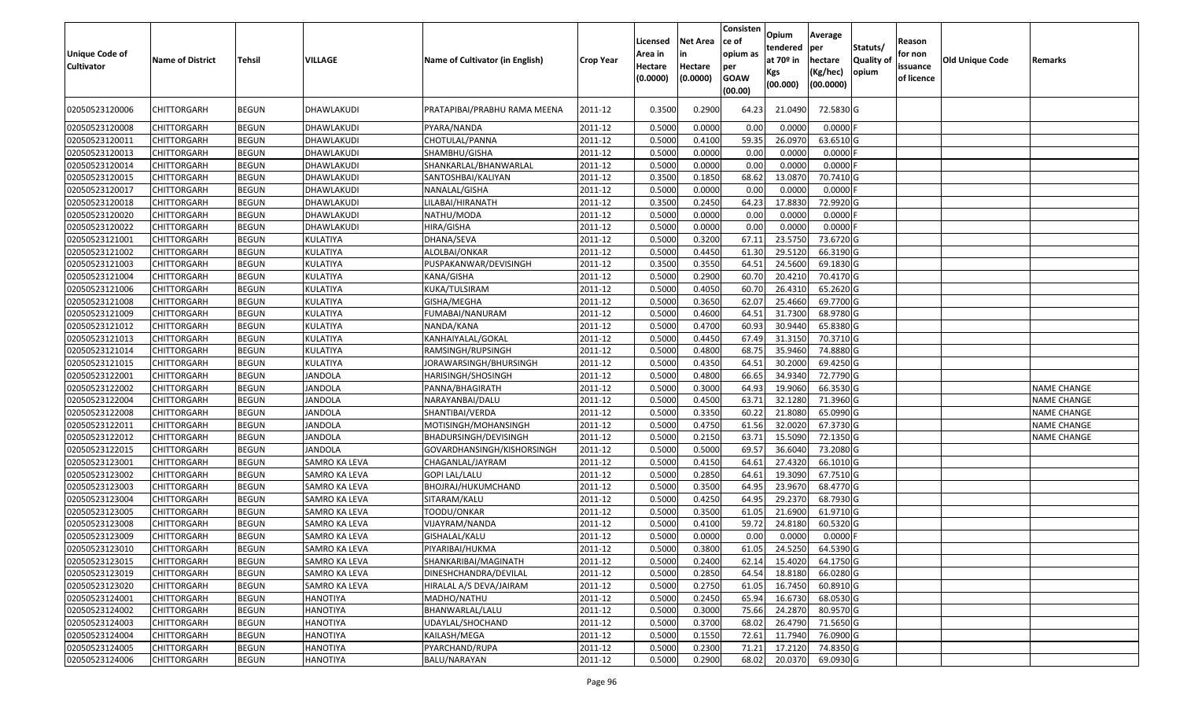| <b>Unique Code of</b><br><b>Cultivator</b> | <b>Name of District</b> | <b>Tehsil</b> | VILLAGE         | Name of Cultivator (in English) | <b>Crop Year</b> | Licensed<br>Area in<br>Hectare<br>(0.0000) | <b>Net Area</b><br>in<br>Hectare<br>(0.0000) | Consisten<br>ce of<br>opium as<br>per<br><b>GOAW</b><br>(00.00) | Opium<br>tendered<br>at $70°$ in<br>Kgs<br>(00.000) | Average<br>per<br>hectare<br>(Kg/hec)<br>(00.0000) | Statuts/<br><b>Quality o</b><br>opium | Reason<br>for non<br>issuance<br>of licence | Old Unique Code | Remarks            |
|--------------------------------------------|-------------------------|---------------|-----------------|---------------------------------|------------------|--------------------------------------------|----------------------------------------------|-----------------------------------------------------------------|-----------------------------------------------------|----------------------------------------------------|---------------------------------------|---------------------------------------------|-----------------|--------------------|
| 02050523120006                             | CHITTORGARH             | <b>BEGUN</b>  | DHAWLAKUDI      | PRATAPIBAI/PRABHU RAMA MEENA    | 2011-12          | 0.3500                                     | 0.2900                                       | 64.23                                                           | 21.0490                                             | 72.5830 G                                          |                                       |                                             |                 |                    |
| 02050523120008                             | CHITTORGARH             | <b>BEGUN</b>  | DHAWLAKUDI      | PYARA/NANDA                     | 2011-12          | 0.5000                                     | 0.0000                                       | 0.00                                                            | 0.0000                                              | 0.0000F                                            |                                       |                                             |                 |                    |
| 02050523120011                             | CHITTORGARH             | <b>BEGUN</b>  | DHAWLAKUDI      | CHOTULAL/PANNA                  | 2011-12          | 0.5000                                     | 0.4100                                       | 59.35                                                           | 26.0970                                             | 63.6510 G                                          |                                       |                                             |                 |                    |
| 02050523120013                             | <b>CHITTORGARH</b>      | <b>BEGUN</b>  | DHAWLAKUDI      | SHAMBHU/GISHA                   | 2011-12          | 0.5000                                     | 0.0000                                       | 0.00                                                            | 0.0000                                              | 0.0000                                             |                                       |                                             |                 |                    |
| 02050523120014                             | CHITTORGARH             | <b>BEGUN</b>  | DHAWLAKUDI      | SHANKARLAL/BHANWARLAL           | 2011-12          | 0.5000                                     | 0.0000                                       | 0.00                                                            | 0.0000                                              | 0.0000F                                            |                                       |                                             |                 |                    |
| 02050523120015                             | CHITTORGARH             | <b>BEGUN</b>  | DHAWLAKUDI      | SANTOSHBAI/KALIYAN              | 2011-12          | 0.3500                                     | 0.1850                                       | 68.62                                                           | 13.0870                                             | 70.7410 G                                          |                                       |                                             |                 |                    |
| 02050523120017                             | CHITTORGARH             | <b>BEGUN</b>  | DHAWLAKUDI      | NANALAL/GISHA                   | 2011-12          | 0.5000                                     | 0.0000                                       | 0.00                                                            | 0.0000                                              | $0.0000$ F                                         |                                       |                                             |                 |                    |
| 02050523120018                             | CHITTORGARH             | <b>BEGUN</b>  | DHAWLAKUDI      | LILABAI/HIRANATH                | 2011-12          | 0.3500                                     | 0.2450                                       | 64.23                                                           | 17.8830                                             | 72.9920 G                                          |                                       |                                             |                 |                    |
| 02050523120020                             | <b>CHITTORGARH</b>      | <b>BEGUN</b>  | DHAWLAKUDI      | NATHU/MODA                      | 2011-12          | 0.5000                                     | 0.0000                                       | 0.00                                                            | 0.0000                                              | $0.0000$ F                                         |                                       |                                             |                 |                    |
| 02050523120022                             | <b>CHITTORGARH</b>      | <b>BEGUN</b>  | DHAWLAKUDI      | HIRA/GISHA                      | 2011-12          | 0.5000                                     | 0.0000                                       | 0.00                                                            | 0.0000                                              | $0.0000$ F                                         |                                       |                                             |                 |                    |
| 02050523121001                             | CHITTORGARH             | <b>BEGUN</b>  | KULATIYA        | DHANA/SEVA                      | 2011-12          | 0.5000                                     | 0.3200                                       | 67.11                                                           | 23.5750                                             | 73.6720 G                                          |                                       |                                             |                 |                    |
| 02050523121002                             | <b>CHITTORGARH</b>      | <b>BEGUN</b>  | KULATIYA        | ALOLBAI/ONKAR                   | 2011-12          | 0.5000                                     | 0.4450                                       | 61.30                                                           | 29.5120                                             | 66.3190 G                                          |                                       |                                             |                 |                    |
| 02050523121003                             | CHITTORGARH             | <b>BEGUN</b>  | KULATIYA        | PUSPAKANWAR/DEVISINGH           | 2011-12          | 0.3500                                     | 0.3550                                       | 64.5                                                            | 24.5600                                             | 69.1830 G                                          |                                       |                                             |                 |                    |
| 02050523121004                             | CHITTORGARH             | <b>BEGUN</b>  | KULATIYA        | KANA/GISHA                      | 2011-12          | 0.5000                                     | 0.2900                                       | 60.7                                                            | 20.4210                                             | 70.4170 G                                          |                                       |                                             |                 |                    |
| 02050523121006                             | CHITTORGARH             | <b>BEGUN</b>  | KULATIYA        | KUKA/TULSIRAM                   | 2011-12          | 0.5000                                     | 0.4050                                       | 60.7                                                            | 26.4310                                             | 65.2620 G                                          |                                       |                                             |                 |                    |
| 02050523121008                             | CHITTORGARH             | <b>BEGUN</b>  | KULATIYA        | GISHA/MEGHA                     | 2011-12          | 0.5000                                     | 0.3650                                       | 62.07                                                           | 25.4660                                             | 69.7700 G                                          |                                       |                                             |                 |                    |
| 02050523121009                             | CHITTORGARH             | <b>BEGUN</b>  | KULATIYA        | FUMABAI/NANURAM                 | 2011-12          | 0.500                                      | 0.4600                                       | 64.5                                                            | 31.7300                                             | 68.9780 G                                          |                                       |                                             |                 |                    |
| 02050523121012                             | CHITTORGARH             | <b>BEGUN</b>  | KULATIYA        | NANDA/KANA                      | 2011-12          | 0.5000                                     | 0.4700                                       | 60.93                                                           | 30.9440                                             | 65.8380 G                                          |                                       |                                             |                 |                    |
| 02050523121013                             | CHITTORGARH             | <b>BEGUN</b>  | KULATIYA        | KANHAIYALAL/GOKAL               | 2011-12          | 0.5000                                     | 0.4450                                       | 67.49                                                           | 31.3150                                             | 70.3710 G                                          |                                       |                                             |                 |                    |
| 02050523121014                             | CHITTORGARH             | <b>BEGUN</b>  | KULATIYA        | RAMSINGH/RUPSINGH               | 2011-12          | 0.5000                                     | 0.4800                                       | 68.75                                                           | 35.9460                                             | 74.8880 G                                          |                                       |                                             |                 |                    |
| 02050523121015                             | CHITTORGARH             | <b>BEGUN</b>  | KULATIYA        | IORAWARSINGH/BHURSINGH          | 2011-12          | 0.5000                                     | 0.4350                                       | 64.5                                                            | 30.2000                                             | 69.4250 G                                          |                                       |                                             |                 |                    |
| 02050523122001                             | CHITTORGARH             | <b>BEGUN</b>  | <b>JANDOLA</b>  | HARISINGH/SHOSINGH              | 2011-12          | 0.5000                                     | 0.4800                                       | 66.65                                                           | 34.9340                                             | 72.7790 G                                          |                                       |                                             |                 |                    |
| 02050523122002                             | CHITTORGARH             | <b>BEGUN</b>  | <b>JANDOLA</b>  | PANNA/BHAGIRATH                 | 2011-12          | 0.5000                                     | 0.3000                                       | 64.93                                                           | 19.9060                                             | 66.3530 G                                          |                                       |                                             |                 | <b>NAME CHANGE</b> |
| 02050523122004                             | CHITTORGARH             | <b>BEGUN</b>  | <b>JANDOLA</b>  | NARAYANBAI/DALU                 | 2011-12          | 0.5000                                     | 0.4500                                       | 63.71                                                           | 32.1280                                             | 71.3960 G                                          |                                       |                                             |                 | <b>NAME CHANGE</b> |
| 02050523122008                             | CHITTORGARH             | <b>BEGUN</b>  | <b>JANDOLA</b>  | SHANTIBAI/VERDA                 | 2011-12          | 0.5000                                     | 0.3350                                       | 60.22                                                           | 21.8080                                             | 65.0990 G                                          |                                       |                                             |                 | <b>NAME CHANGE</b> |
| 02050523122011                             | CHITTORGARH             | <b>BEGUN</b>  | <b>JANDOLA</b>  | MOTISINGH/MOHANSINGH            | 2011-12          | 0.5000                                     | 0.4750                                       | 61.56                                                           | 32.0020                                             | 67.3730 G                                          |                                       |                                             |                 | NAME CHANGE        |
| 02050523122012                             | CHITTORGARH             | <b>BEGUN</b>  | <b>JANDOLA</b>  | BHADURSINGH/DEVISINGH           | 2011-12          | 0.5000                                     | 0.2150                                       | 63.7                                                            | 15.5090                                             | 72.1350 G                                          |                                       |                                             |                 | <b>NAME CHANGE</b> |
| 02050523122015                             | CHITTORGARH             | <b>BEGUN</b>  | <b>JANDOLA</b>  | GOVARDHANSINGH/KISHORSINGH      | 2011-12          | 0.5000                                     | 0.5000                                       | 69.57                                                           | 36.604                                              | 73.2080 G                                          |                                       |                                             |                 |                    |
| 02050523123001                             | CHITTORGARH             | <b>BEGUN</b>  | SAMRO KA LEVA   | CHAGANLAL/JAYRAM                | 2011-12          | 0.5000                                     | 0.4150                                       | 64.6                                                            | 27.4320                                             | 66.1010G                                           |                                       |                                             |                 |                    |
| 02050523123002                             | CHITTORGARH             | <b>BEGUN</b>  | SAMRO KA LEVA   | GOPI LAL/LALU                   | 2011-12          | 0.5000                                     | 0.2850                                       | 64.6                                                            | 19.3090                                             | 67.7510 G                                          |                                       |                                             |                 |                    |
| 02050523123003                             | CHITTORGARH             | <b>BEGUN</b>  | SAMRO KA LEVA   | BHOJRAJ/HUKUMCHAND              | 2011-12          | 0.5000                                     | 0.3500                                       | 64.95                                                           | 23.9670                                             | 68.4770 G                                          |                                       |                                             |                 |                    |
| 02050523123004                             | <b>CHITTORGARH</b>      | <b>BEGUN</b>  | SAMRO KA LEVA   | SITARAM/KALU                    | 2011-12          | 0.5000                                     | 0.4250                                       | 64.95                                                           | 29.2370                                             | 68.7930 G                                          |                                       |                                             |                 |                    |
| 02050523123005                             | <b>CHITTORGARH</b>      | <b>BEGUN</b>  | SAMRO KA LEVA   | TOODU/ONKAR                     | 2011-12          | 0.5000                                     | 0.3500                                       | 61.05                                                           | 21.6900                                             | 61.9710 G                                          |                                       |                                             |                 |                    |
| 02050523123008                             | CHITTORGARH             | <b>BEGUN</b>  | SAMRO KA LEVA   | VIJAYRAM/NANDA                  | 2011-12          | 0.500                                      | 0.4100                                       | 59.72                                                           | 24.818                                              | 60.5320 G                                          |                                       |                                             |                 |                    |
| 02050523123009                             | CHITTORGARH             | <b>BEGUN</b>  | SAMRO KA LEVA   | GISHALAL/KALU                   | 2011-12          | 0.5000                                     | 0.0000                                       | 0.00                                                            | 0.0000                                              | 0.0000 F                                           |                                       |                                             |                 |                    |
| 02050523123010                             | <b>CHITTORGARH</b>      | <b>BEGUN</b>  | SAMRO KA LEVA   | PIYARIBAI/HUKMA                 | 2011-12          | 0.5000                                     | 0.3800                                       | 61.05                                                           | 24.5250                                             | 64.5390 G                                          |                                       |                                             |                 |                    |
| 02050523123015                             | <b>CHITTORGARH</b>      | <b>BEGUN</b>  | SAMRO KA LEVA   | SHANKARIBAI/MAGINATH            | 2011-12          | 0.5000                                     | 0.2400                                       | 62.14                                                           | 15.4020                                             | 64.1750 G                                          |                                       |                                             |                 |                    |
| 02050523123019                             | <b>CHITTORGARH</b>      | <b>BEGUN</b>  | SAMRO KA LEVA   | DINESHCHANDRA/DEVILAL           | 2011-12          | 0.5000                                     | 0.2850                                       | 64.54                                                           | 18.8180                                             | 66.0280 G                                          |                                       |                                             |                 |                    |
| 02050523123020                             | <b>CHITTORGARH</b>      | <b>BEGUN</b>  | SAMRO KA LEVA   | HIRALAL A/S DEVA/JAIRAM         | 2011-12          | 0.5000                                     | 0.2750                                       | 61.05                                                           | 16.7450                                             | 60.8910 G                                          |                                       |                                             |                 |                    |
| 02050523124001                             | CHITTORGARH             | <b>BEGUN</b>  | <b>HANOTIYA</b> | MADHO/NATHU                     | 2011-12          | 0.5000                                     | 0.2450                                       | 65.94                                                           | 16.6730                                             | 68.0530 G                                          |                                       |                                             |                 |                    |
| 02050523124002                             | <b>CHITTORGARH</b>      | <b>BEGUN</b>  | <b>HANOTIYA</b> | BHANWARLAL/LALU                 | 2011-12          | 0.5000                                     | 0.3000                                       | 75.66                                                           | 24.2870                                             | 80.9570 G                                          |                                       |                                             |                 |                    |
| 02050523124003                             | <b>CHITTORGARH</b>      | <b>BEGUN</b>  | <b>HANOTIYA</b> | UDAYLAL/SHOCHAND                | 2011-12          | 0.5000                                     | 0.3700                                       | 68.02                                                           | 26.4790                                             | 71.5650 G                                          |                                       |                                             |                 |                    |
| 02050523124004                             | CHITTORGARH             | <b>BEGUN</b>  | <b>HANOTIYA</b> | KAILASH/MEGA                    | 2011-12          | 0.5000                                     | 0.1550                                       | 72.61                                                           | 11.7940                                             | 76.0900 G                                          |                                       |                                             |                 |                    |
| 02050523124005                             | <b>CHITTORGARH</b>      | <b>BEGUN</b>  | <b>HANOTIYA</b> | PYARCHAND/RUPA                  | 2011-12          | 0.5000                                     | 0.2300                                       | 71.21                                                           | 17.2120                                             | 74.8350 G                                          |                                       |                                             |                 |                    |
| 02050523124006                             | <b>CHITTORGARH</b>      | <b>BEGUN</b>  | <b>HANOTIYA</b> | BALU/NARAYAN                    | 2011-12          | 0.5000                                     | 0.2900                                       | 68.02                                                           | 20.0370                                             | 69.0930 G                                          |                                       |                                             |                 |                    |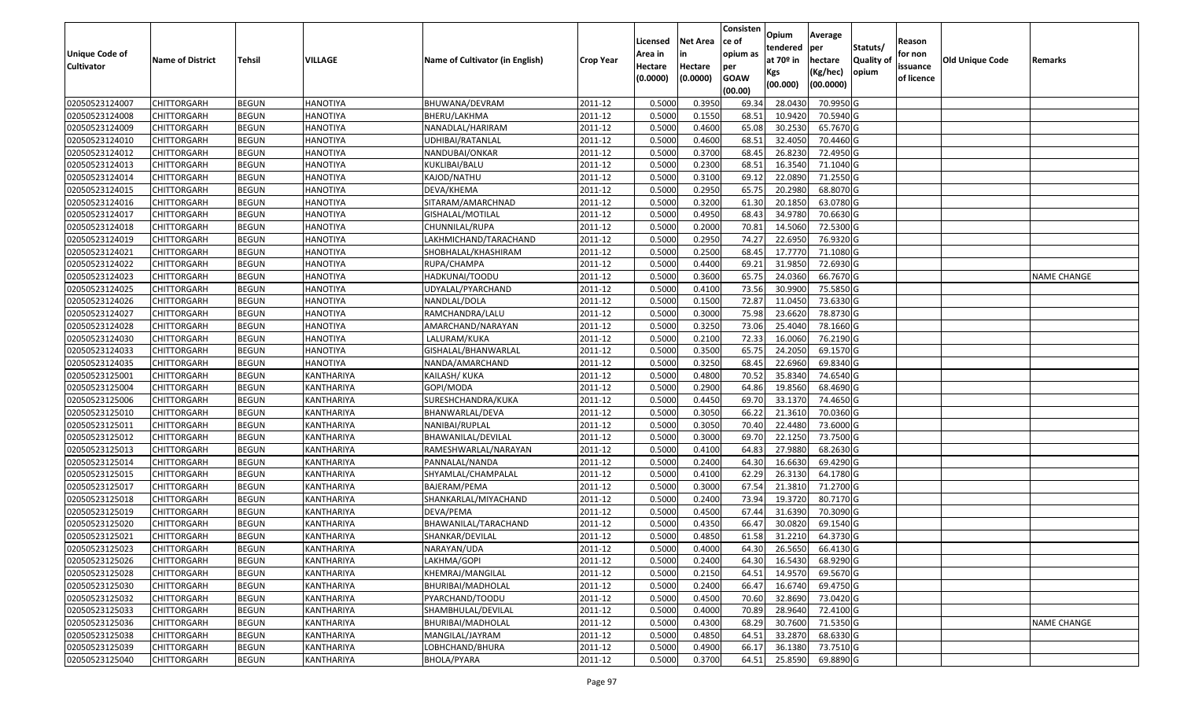|                       |                         |               |                 |                                 |                  |          |                 | Consisten              | Opium         | Average   |                  |            |                 |                    |
|-----------------------|-------------------------|---------------|-----------------|---------------------------------|------------------|----------|-----------------|------------------------|---------------|-----------|------------------|------------|-----------------|--------------------|
|                       |                         |               |                 |                                 |                  | Licensed | <b>Net Area</b> | ce of                  | tendered      | per       | Statuts/         | Reason     |                 |                    |
| <b>Unique Code of</b> | <b>Name of District</b> | <b>Tehsil</b> | VILLAGE         | Name of Cultivator (in English) | <b>Crop Year</b> | Area in  |                 | opium as               | at $70°$ in   | hectare   | <b>Quality o</b> | for non    | Old Unique Code | Remarks            |
| <b>Cultivator</b>     |                         |               |                 |                                 |                  | Hectare  | Hectare         | per                    | Kgs           | (Kg/hec)  | opium            | issuance   |                 |                    |
|                       |                         |               |                 |                                 |                  | (0.0000) | (0.0000)        | <b>GOAW</b><br>(00.00) | (00.000)      | (00.0000) |                  | of licence |                 |                    |
| 02050523124007        | CHITTORGARH             | <b>BEGUN</b>  | <b>HANOTIYA</b> | BHUWANA/DEVRAM                  | 2011-12          | 0.5000   | 0.3950          | 69.34                  | 28.0430       | 70.9950 G |                  |            |                 |                    |
| 02050523124008        | CHITTORGARH             | <b>BEGUN</b>  | <b>HANOTIYA</b> | BHERU/LAKHMA                    | 2011-12          | 0.5000   | 0.1550          | 68.5                   | 10.9420       | 70.5940 G |                  |            |                 |                    |
| 02050523124009        | CHITTORGARH             | <b>BEGUN</b>  | <b>HANOTIYA</b> | NANADLAL/HARIRAM                | 2011-12          | 0.5000   | 0.4600          | 65.08                  | 30.2530       | 65.7670 G |                  |            |                 |                    |
| 02050523124010        | <b>CHITTORGARH</b>      | <b>BEGUN</b>  | <b>HANOTIYA</b> | UDHIBAI/RATANLAL                | 2011-12          | 0.5000   | 0.4600          | 68.5                   | 32.4050       | 70.4460 G |                  |            |                 |                    |
| 02050523124012        | CHITTORGARH             | <b>BEGUN</b>  | <b>HANOTIYA</b> | NANDUBAI/ONKAR                  | 2011-12          | 0.5000   | 0.3700          | 68.45                  | 26.823        | 72.4950 G |                  |            |                 |                    |
| 02050523124013        | CHITTORGARH             | <b>BEGUN</b>  | <b>HANOTIYA</b> | KUKLIBAI/BALU                   | 2011-12          | 0.5000   | 0.2300          | 68.5                   | 16.3540       | 71.1040 G |                  |            |                 |                    |
| 02050523124014        | CHITTORGARH             | <b>BEGUN</b>  | <b>HANOTIYA</b> | KAJOD/NATHU                     | 2011-12          | 0.5000   | 0.3100          | 69.1                   | 22.0890       | 71.2550G  |                  |            |                 |                    |
| 02050523124015        | CHITTORGARH             | <b>BEGUN</b>  | <b>HANOTIYA</b> | DEVA/KHEMA                      | 2011-12          | 0.5000   | 0.2950          | 65.75                  | 20.2980       | 68.8070 G |                  |            |                 |                    |
| 02050523124016        | CHITTORGARH             | <b>BEGUN</b>  | <b>HANOTIYA</b> | SITARAM/AMARCHNAD               | 2011-12          | 0.5000   | 0.3200          | 61.30                  | 20.185        | 63.0780 G |                  |            |                 |                    |
| 02050523124017        | CHITTORGARH             | <b>BEGUN</b>  | <b>HANOTIYA</b> | GISHALAL/MOTILAL                | 2011-12          | 0.5000   | 0.4950          | 68.43                  | 34.9780       | 70.6630 G |                  |            |                 |                    |
| 02050523124018        | CHITTORGARH             | <b>BEGUN</b>  | <b>HANOTIYA</b> | CHUNNILAL/RUPA                  | 2011-12          | 0.5000   | 0.2000          | 70.8                   | 14.5060       | 72.5300 G |                  |            |                 |                    |
| 02050523124019        | CHITTORGARH             | <b>BEGUN</b>  | <b>HANOTIYA</b> | LAKHMICHAND/TARACHAND           | 2011-12          | 0.5000   | 0.2950          | 74.27                  | 22.695        | 76.9320 G |                  |            |                 |                    |
| 02050523124021        | <b>CHITTORGARH</b>      | <b>BEGUN</b>  | <b>HANOTIYA</b> | SHOBHALAL/KHASHIRAM             | 2011-12          | 0.5000   | 0.2500          | 68.45                  | 17.7770       | 71.1080 G |                  |            |                 |                    |
| 02050523124022        | CHITTORGARH             | <b>BEGUN</b>  | <b>HANOTIYA</b> | RUPA/CHAMPA                     | 2011-12          | 0.5000   | 0.4400          | 69.21                  | 31.9850       | 72.6930 G |                  |            |                 |                    |
| 02050523124023        | CHITTORGARH             | <b>BEGUN</b>  | <b>HANOTIYA</b> | HADKUNAI/TOODU                  | 2011-12          | 0.5000   | 0.3600          | 65.75                  | 24.0360       | 66.7670 G |                  |            |                 | <b>NAME CHANGE</b> |
| 02050523124025        | <b>CHITTORGARH</b>      | <b>BEGUN</b>  | <b>HANOTIYA</b> | UDYALAL/PYARCHAND               | 2011-12          | 0.5000   | 0.4100          | 73.56                  | 30.9900       | 75.5850 G |                  |            |                 |                    |
| 02050523124026        | CHITTORGARH             | <b>BEGUN</b>  | <b>HANOTIYA</b> | NANDLAL/DOLA                    | 2011-12          | 0.5000   | 0.1500          | 72.87                  | 11.045        | 73.6330 G |                  |            |                 |                    |
| 02050523124027        | CHITTORGARH             | <b>BEGUN</b>  | <b>HANOTIYA</b> | RAMCHANDRA/LALU                 | 2011-12          | 0.5000   | 0.3000          | 75.98                  | 23.6620       | 78.8730 G |                  |            |                 |                    |
| 02050523124028        | CHITTORGARH             | <b>BEGUN</b>  | <b>HANOTIYA</b> | AMARCHAND/NARAYAN               | 2011-12          | 0.5000   | 0.3250          | 73.06                  | 25.4040       | 78.1660 G |                  |            |                 |                    |
| 02050523124030        | CHITTORGARH             | <b>BEGUN</b>  | <b>HANOTIYA</b> | LALURAM/KUKA                    | 2011-12          | 0.5000   | 0.2100          | 72.33                  | 16.0060       | 76.2190 G |                  |            |                 |                    |
| 02050523124033        | CHITTORGARH             | <b>BEGUN</b>  | <b>HANOTIYA</b> | GISHALAL/BHANWARLAL             | 2011-12          | 0.5000   | 0.3500          | 65.75                  | 24.2050       | 69.1570 G |                  |            |                 |                    |
| 02050523124035        | CHITTORGARH             | <b>BEGUN</b>  | <b>HANOTIYA</b> | NANDA/AMARCHAND                 | 2011-12          | 0.5000   | 0.3250          | 68.45                  | 22.6960       | 69.8340 G |                  |            |                 |                    |
| 02050523125001        | CHITTORGARH             | <b>BEGUN</b>  | KANTHARIYA      | KAILASH/KUKA                    | 2011-12          | 0.5000   | 0.4800          | 70.52                  | 35.8340       | 74.6540 G |                  |            |                 |                    |
| 02050523125004        | CHITTORGARH             | <b>BEGUN</b>  | KANTHARIYA      | GOPI/MODA                       | 2011-12          | 0.5000   | 0.2900          | 64.86                  | 19.8560       | 68.4690 G |                  |            |                 |                    |
| 02050523125006        | CHITTORGARH             | <b>BEGUN</b>  | KANTHARIYA      | SURESHCHANDRA/KUKA              | 2011-12          | 0.5000   | 0.4450          | 69.70                  | 33.1370       | 74.4650 G |                  |            |                 |                    |
| 02050523125010        | CHITTORGARH             | <b>BEGUN</b>  | KANTHARIYA      | BHANWARLAL/DEVA                 | 2011-12          | 0.5000   | 0.3050          | 66.22                  | 21.3610       | 70.0360 G |                  |            |                 |                    |
| 02050523125011        | CHITTORGARH             | <b>BEGUN</b>  | KANTHARIYA      | NANIBAI/RUPLAL                  | 2011-12          | 0.5000   | 0.3050          | 70.40                  | 22.4480       | 73.6000G  |                  |            |                 |                    |
| 02050523125012        | CHITTORGARH             | <b>BEGUN</b>  | KANTHARIYA      | BHAWANILAL/DEVILAL              | 2011-12          | 0.5000   | 0.3000          | 69.70                  | 22.1250       | 73.7500 G |                  |            |                 |                    |
| 02050523125013        | CHITTORGARH             | <b>BEGUN</b>  | KANTHARIYA      | RAMESHWARLAL/NARAYAN            | 2011-12          | 0.5000   | 0.4100          | 64.83                  | 27.9880       | 68.2630 G |                  |            |                 |                    |
| 02050523125014        | CHITTORGARH             | <b>BEGUN</b>  | KANTHARIYA      | PANNALAL/NANDA                  | 2011-12          | 0.5000   | 0.2400          | 64.30                  | 16.6630       | 69.4290 G |                  |            |                 |                    |
| 02050523125015        | CHITTORGARH             | <b>BEGUN</b>  | KANTHARIYA      | SHYAMLAL/CHAMPALAL              | 2011-12          | 0.5000   | 0.4100          | 62.29                  | 26.3130       | 64.1780 G |                  |            |                 |                    |
| 02050523125017        | CHITTORGARH             | <b>BEGUN</b>  | KANTHARIYA      | BAJERAM/PEMA                    | 2011-12          | 0.5000   | 0.3000          | 67.54                  | 21.3810       | 71.2700 G |                  |            |                 |                    |
| 02050523125018        | CHITTORGARH             | <b>BEGUN</b>  | KANTHARIYA      | SHANKARLAL/MIYACHAND            | 2011-12          | 0.5000   | 0.2400          | 73.94                  | 19.3720       | 80.7170 G |                  |            |                 |                    |
| 02050523125019        | CHITTORGARH             | <b>BEGUN</b>  | KANTHARIYA      | DEVA/PEMA                       | 2011-12          | 0.5000   | 0.4500          | 67.44                  | 31.6390       | 70.3090 G |                  |            |                 |                    |
| 02050523125020        | CHITTORGARH             | <b>BEGUN</b>  | KANTHARIYA      | BHAWANILAL/TARACHAND            | 2011-12          | 0.500    | 0.4350          | 66.4                   | 30.0820       | 69.1540 G |                  |            |                 |                    |
| 02050523125021        | CHITTORGARH             | <b>BEGUN</b>  | KANTHARIYA      | SHANKAR/DEVILAL                 | 2011-12          | 0.5000   | 0.4850          | 61.58                  | 31.2210       | 64.3730 G |                  |            |                 |                    |
| 02050523125023        | <b>CHITTORGARH</b>      | <b>BEGUN</b>  | KANTHARIYA      | NARAYAN/UDA                     | 2011-12          | 0.5000   | 0.4000          |                        | 64.30 26.5650 | 66.4130 G |                  |            |                 |                    |
| 02050523125026        | <b>CHITTORGARH</b>      | <b>BEGUN</b>  | KANTHARIYA      | LAKHMA/GOPI                     | 2011-12          | 0.5000   | 0.2400          | 64.30                  | 16.5430       | 68.9290 G |                  |            |                 |                    |
| 02050523125028        | <b>CHITTORGARH</b>      | <b>BEGUN</b>  | KANTHARIYA      | KHEMRAJ/MANGILAL                | 2011-12          | 0.5000   | 0.2150          | 64.51                  | 14.9570       | 69.5670 G |                  |            |                 |                    |
| 02050523125030        | <b>CHITTORGARH</b>      | <b>BEGUN</b>  | KANTHARIYA      | BHURIBAI/MADHOLAL               | 2011-12          | 0.5000   | 0.2400          | 66.47                  | 16.6740       | 69.4750 G |                  |            |                 |                    |
| 02050523125032        | CHITTORGARH             | <b>BEGUN</b>  | KANTHARIYA      | PYARCHAND/TOODU                 | 2011-12          | 0.5000   | 0.4500          | 70.60                  | 32.8690       | 73.0420 G |                  |            |                 |                    |
| 02050523125033        | <b>CHITTORGARH</b>      | <b>BEGUN</b>  | KANTHARIYA      | SHAMBHULAL/DEVILAL              | 2011-12          | 0.5000   | 0.4000          | 70.89                  | 28.9640       | 72.4100 G |                  |            |                 |                    |
| 02050523125036        | <b>CHITTORGARH</b>      | <b>BEGUN</b>  | KANTHARIYA      | BHURIBAI/MADHOLAL               | 2011-12          | 0.5000   | 0.4300          | 68.29                  | 30.7600       | 71.5350 G |                  |            |                 | <b>NAME CHANGE</b> |
| 02050523125038        | <b>CHITTORGARH</b>      | <b>BEGUN</b>  | KANTHARIYA      | MANGILAL/JAYRAM                 | 2011-12          | 0.5000   | 0.4850          | 64.51                  | 33.2870       | 68.6330 G |                  |            |                 |                    |
| 02050523125039        | <b>CHITTORGARH</b>      | <b>BEGUN</b>  | KANTHARIYA      | LOBHCHAND/BHURA                 | 2011-12          | 0.5000   | 0.4900          | 66.17                  | 36.1380       | 73.7510 G |                  |            |                 |                    |
| 02050523125040        | <b>CHITTORGARH</b>      | <b>BEGUN</b>  | KANTHARIYA      | BHOLA/PYARA                     | 2011-12          | 0.5000   | 0.3700          | 64.51                  | 25.8590       | 69.8890 G |                  |            |                 |                    |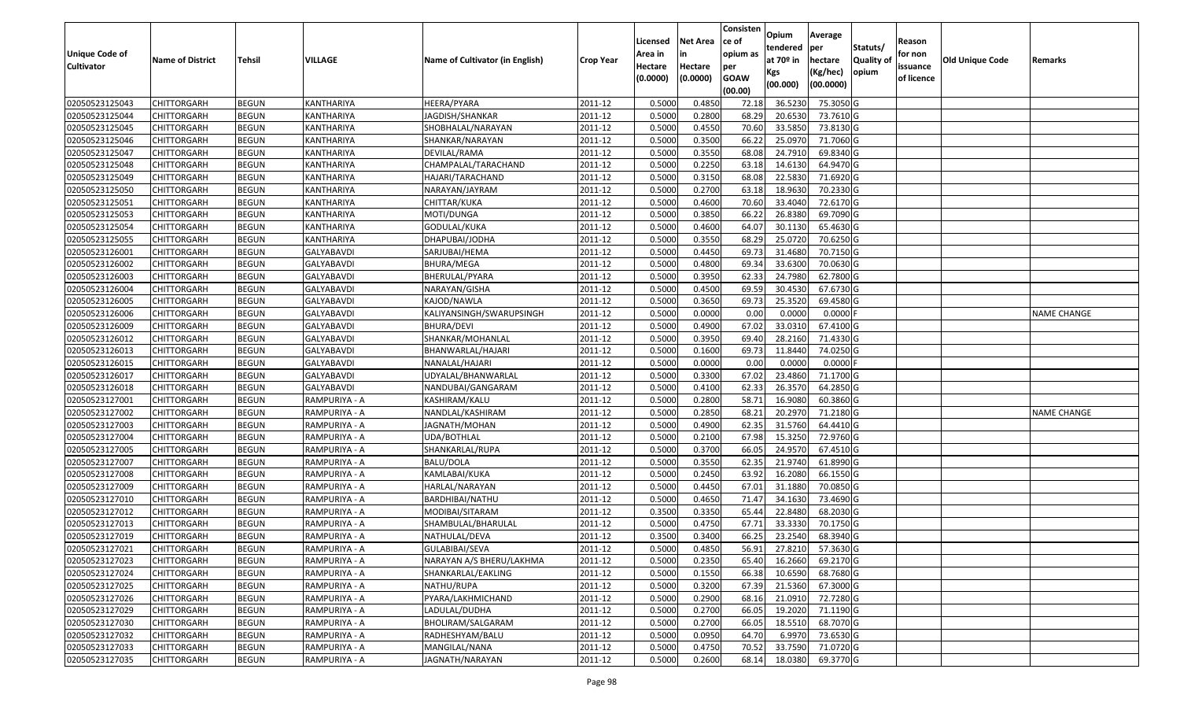|                                  |                                   |                              |                                 |                                 |                  |                  |                  | Consisten      | Opium             | Average                 |                  |            |                 |                    |
|----------------------------------|-----------------------------------|------------------------------|---------------------------------|---------------------------------|------------------|------------------|------------------|----------------|-------------------|-------------------------|------------------|------------|-----------------|--------------------|
|                                  |                                   |                              |                                 |                                 |                  | Licensed         | <b>Net Area</b>  | ce of          | tendered          | per                     | Statuts/         | Reason     |                 |                    |
| Unique Code of                   | <b>Name of District</b>           | <b>Tehsil</b>                | <b>VILLAGE</b>                  | Name of Cultivator (in English) | <b>Crop Year</b> | Area in          |                  | opium as       | at $70°$ in       | hectare                 | <b>Quality o</b> | for non    | Old Unique Code | Remarks            |
| <b>Cultivator</b>                |                                   |                              |                                 |                                 |                  | Hectare          | Hectare          | per            | Kgs               | (Kg/hec)                | opium            | issuance   |                 |                    |
|                                  |                                   |                              |                                 |                                 |                  | (0.0000)         | (0.0000)         | <b>GOAW</b>    | (00.000)          | (00.0000)               |                  | of licence |                 |                    |
|                                  |                                   |                              |                                 |                                 |                  |                  |                  | (00.00)        |                   |                         |                  |            |                 |                    |
| 02050523125043                   | CHITTORGARH                       | <b>BEGUN</b>                 | KANTHARIYA                      | HEERA/PYARA                     | 2011-12          | 0.5000           | 0.4850           | 72.18          | 36.5230           | 75.3050 G               |                  |            |                 |                    |
| 02050523125044                   | CHITTORGARH                       | <b>BEGUN</b>                 | KANTHARIYA                      | JAGDISH/SHANKAR                 | 2011-12          | 0.5000           | 0.2800           | 68.29          | 20.6530           | 73.7610 G               |                  |            |                 |                    |
| 02050523125045                   | CHITTORGARH<br><b>CHITTORGARH</b> | <b>BEGUN</b>                 | KANTHARIYA                      | SHOBHALAL/NARAYAN               | 2011-12          | 0.5000           | 0.4550           | 70.60          | 33.585            | 73.8130 G               |                  |            |                 |                    |
| 02050523125046<br>02050523125047 |                                   | <b>BEGUN</b>                 | KANTHARIYA                      | SHANKAR/NARAYAN                 | 2011-12          | 0.5000           | 0.3500           | 66.22          | 25.0970           | 71.7060 G               |                  |            |                 |                    |
| 02050523125048                   | CHITTORGARH                       | <b>BEGUN</b><br><b>BEGUN</b> | KANTHARIYA                      | DEVILAL/RAMA                    | 2011-12          | 0.5000<br>0.5000 | 0.3550<br>0.2250 | 68.08<br>63.18 | 24.791<br>14.6130 | 69.8340 G<br>64.9470 G  |                  |            |                 |                    |
|                                  | CHITTORGARH                       |                              | KANTHARIYA                      | CHAMPALAL/TARACHAND             | 2011-12          |                  |                  |                |                   |                         |                  |            |                 |                    |
| 02050523125049                   | CHITTORGARH                       | <b>BEGUN</b>                 | KANTHARIYA<br><b>KANTHARIYA</b> | HAJARI/TARACHAND                | 2011-12          | 0.5000           | 0.3150           | 68.08          | 22.5830           | 71.6920 G<br>70.2330G   |                  |            |                 |                    |
| 02050523125050                   | CHITTORGARH                       | <b>BEGUN</b>                 |                                 | NARAYAN/JAYRAM                  | 2011-12          | 0.5000           | 0.2700           | 63.18          | 18.9630           |                         |                  |            |                 |                    |
| 02050523125051                   | CHITTORGARH                       | <b>BEGUN</b>                 | KANTHARIYA                      | CHITTAR/KUKA                    | 2011-12          | 0.5000           | 0.4600           | 70.60          | 33.4040           | 72.6170 G               |                  |            |                 |                    |
| 02050523125053                   | CHITTORGARH                       | <b>BEGUN</b>                 | KANTHARIYA                      | MOTI/DUNGA                      | 2011-12          | 0.5000           | 0.3850           | 66.22          | 26.8380           | 69.7090 G               |                  |            |                 |                    |
| 02050523125054                   | CHITTORGARH                       | <b>BEGUN</b>                 | KANTHARIYA                      | GODULAL/KUKA                    | 2011-12          | 0.5000           | 0.4600           | 64.07          | 30.1130           | 65.4630 G               |                  |            |                 |                    |
| 02050523125055                   | <b>CHITTORGARH</b>                | <b>BEGUN</b>                 | KANTHARIYA                      | DHAPUBAI/JODHA                  | 2011-12          | 0.5000           | 0.3550           | 68.29          | 25.0720           | 70.6250 G               |                  |            |                 |                    |
| 02050523126001                   | <b>CHITTORGARH</b>                | <b>BEGUN</b>                 | <b>GALYABAVDI</b>               | SARJUBAI/HEMA                   | 2011-12          | 0.5000           | 0.4450           | 69.73          | 31.4680           | 70.7150 G               |                  |            |                 |                    |
| 02050523126002                   | <b>CHITTORGARH</b>                | <b>BEGUN</b>                 | <b>GALYABAVDI</b>               | <b>BHURA/MEGA</b>               | 2011-12          | 0.5000           | 0.4800           | 69.34          | 33.6300           | 70.0630 G               |                  |            |                 |                    |
| 02050523126003                   | CHITTORGARH                       | <b>BEGUN</b>                 | GALYABAVDI                      | BHERULAL/PYARA                  | 2011-12          | 0.5000           | 0.3950           | 62.33          | 24.7980           | 62.7800 G               |                  |            |                 |                    |
| 02050523126004                   | <b>CHITTORGARH</b>                | <b>BEGUN</b>                 | <b>GALYABAVDI</b>               | NARAYAN/GISHA                   | 2011-12          | 0.5000           | 0.4500           | 69.59          | 30.4530           | 67.6730 G               |                  |            |                 |                    |
| 02050523126005                   | CHITTORGARH                       | <b>BEGUN</b>                 | GALYABAVDI                      | KAJOD/NAWLA                     | 2011-12          | 0.5000           | 0.3650           | 69.73          | 25.3520           | 69.4580 G               |                  |            |                 |                    |
| 02050523126006                   | CHITTORGARH                       | <b>BEGUN</b>                 | <b>GALYABAVDI</b>               | KALIYANSINGH/SWARUPSINGH        | 2011-12          | 0.5000           | 0.0000           | 0.00           | 0.0000            | 0.0000F                 |                  |            |                 | <b>NAME CHANGE</b> |
| 02050523126009                   | CHITTORGARH                       | <b>BEGUN</b>                 | GALYABAVDI                      | BHURA/DEVI                      | 2011-12          | 0.5000           | 0.4900           | 67.02          | 33.0310           | 67.4100G                |                  |            |                 |                    |
| 02050523126012                   | CHITTORGARH                       | <b>BEGUN</b>                 | GALYABAVDI                      | SHANKAR/MOHANLAL                | 2011-12          | 0.5000           | 0.3950           | 69.40          | 28.2160           | 71.4330 G               |                  |            |                 |                    |
| 02050523126013                   | CHITTORGARH                       | <b>BEGUN</b>                 | <b>GALYABAVDI</b>               | BHANWARLAL/HAJARI               | 2011-12          | 0.5000           | 0.1600           | 69.73          | 11.8440           | 74.0250 G               |                  |            |                 |                    |
| 02050523126015                   | CHITTORGARH                       | <b>BEGUN</b>                 | GALYABAVDI                      | NANALAL/HAJARI                  | 2011-12          | 0.5000           | 0.0000           | 0.00           | 0.000             | 0.0000                  |                  |            |                 |                    |
| 02050523126017                   | CHITTORGARH                       | <b>BEGUN</b>                 | GALYABAVDI                      | UDYALAL/BHANWARLAL              | 2011-12          | 0.5000           | 0.3300           | 67.02          | 23.4860           | 71.1700 G               |                  |            |                 |                    |
| 02050523126018                   | <b>CHITTORGARH</b>                | <b>BEGUN</b>                 | GALYABAVDI                      | NANDUBAI/GANGARAM               | 2011-12          | 0.5000           | 0.4100           | 62.33          | 26.3570           | 64.2850 G               |                  |            |                 |                    |
| 02050523127001                   | CHITTORGARH                       | <b>BEGUN</b>                 | RAMPURIYA - A                   | KASHIRAM/KALU                   | 2011-12          | 0.5000           | 0.2800           | 58.7           | 16.9080           | 60.3860 G               |                  |            |                 |                    |
| 02050523127002                   | CHITTORGARH                       | <b>BEGUN</b>                 | RAMPURIYA - A                   | NANDLAL/KASHIRAM                | 2011-12          | 0.5000           | 0.2850           | 68.21          | 20.2970           | 71.2180 G               |                  |            |                 | <b>NAME CHANGE</b> |
| 02050523127003                   | CHITTORGARH                       | <b>BEGUN</b>                 | RAMPURIYA - A                   | JAGNATH/MOHAN                   | 2011-12          | 0.5000           | 0.4900           | 62.35          | 31.5760           | 64.4410 G               |                  |            |                 |                    |
| 02050523127004                   | CHITTORGARH                       | <b>BEGUN</b>                 | RAMPURIYA - A                   | JDA/BOTHLAL                     | 2011-12          | 0.5000           | 0.2100           | 67.98          | 15.3250           | 72.9760 G               |                  |            |                 |                    |
| 02050523127005                   | CHITTORGARH                       | <b>BEGUN</b>                 | RAMPURIYA - A                   | SHANKARLAL/RUPA                 | 2011-12          | 0.5000           | 0.3700           | 66.05          | 24.9570           | 67.4510 G               |                  |            |                 |                    |
| 02050523127007                   | CHITTORGARH                       | <b>BEGUN</b>                 | RAMPURIYA - A                   | <b>BALU/DOLA</b>                | 2011-12          | 0.5000           | 0.3550           | 62.35          | 21.9740           | 61.8990 G               |                  |            |                 |                    |
| 02050523127008                   | CHITTORGARH                       | <b>BEGUN</b>                 | RAMPURIYA - A                   | KAMLABAI/KUKA                   | 2011-12          | 0.5000           | 0.2450           | 63.92          | 16.2080           | 66.1550 G               |                  |            |                 |                    |
| 02050523127009                   | CHITTORGARH                       | <b>BEGUN</b>                 | RAMPURIYA - A                   | HARLAL/NARAYAN                  | 2011-12          | 0.5000           | 0.4450           | 67.01          | 31.1880           | 70.0850 G               |                  |            |                 |                    |
| 02050523127010                   | CHITTORGARH                       | <b>BEGUN</b>                 | RAMPURIYA - A                   | BARDHIBAI/NATHU                 | 2011-12          | 0.5000           | 0.4650           | 71.47          | 34.1630           | 73.4690 G               |                  |            |                 |                    |
| 02050523127012                   | CHITTORGARH                       | <b>BEGUN</b>                 | RAMPURIYA - A                   | MODIBAI/SITARAM                 | 2011-12          | 0.3500           | 0.3350           | 65.44          | 22.8480           | 68.2030 G               |                  |            |                 |                    |
| 02050523127013                   | CHITTORGARH                       | <b>BEGUN</b>                 | RAMPURIYA - A                   | SHAMBULAL/BHARULAL              | 2011-12          | 0.5000           | 0.4750           | 67.7           | 33.333            | 70.1750 G               |                  |            |                 |                    |
| 02050523127019                   | CHITTORGARH                       | <b>BEGUN</b>                 | RAMPURIYA - A                   | NATHULAL/DEVA                   | 2011-12          | 0.3500           | 0.3400           | 66.25          | 23.2540           | 68.3940 G               |                  |            |                 |                    |
| 02050523127021                   | CHITTORGARH                       | <b>BEGUN</b>                 | RAMPURIYA - A                   | GULABIBAI/SEVA                  | 2011-12          | 0.5000           | 0.4850           |                |                   | 56.91 27.8210 57.3630 G |                  |            |                 |                    |
| 02050523127023                   | <b>CHITTORGARH</b>                | <b>BEGUN</b>                 | RAMPURIYA - A                   | NARAYAN A/S BHERU/LAKHMA        | 2011-12          | 0.5000           | 0.2350           | 65.40          | 16.2660           | 69.2170 G               |                  |            |                 |                    |
| 02050523127024                   | <b>CHITTORGARH</b>                | <b>BEGUN</b>                 | RAMPURIYA - A                   | SHANKARLAL/EAKLING              | 2011-12          | 0.5000           | 0.1550           | 66.38          | 10.6590           | 68.7680 G               |                  |            |                 |                    |
| 02050523127025                   | <b>CHITTORGARH</b>                | <b>BEGUN</b>                 | RAMPURIYA - A                   | NATHU/RUPA                      | 2011-12          | 0.5000           | 0.3200           | 67.39          | 21.5360           | 67.3000 G               |                  |            |                 |                    |
| 02050523127026                   | CHITTORGARH                       | <b>BEGUN</b>                 | RAMPURIYA - A                   | PYARA/LAKHMICHAND               | 2011-12          | 0.5000           | 0.2900           | 68.16          | 21.0910           | 72.7280 G               |                  |            |                 |                    |
| 02050523127029                   | <b>CHITTORGARH</b>                | <b>BEGUN</b>                 | RAMPURIYA - A                   | LADULAL/DUDHA                   | 2011-12          | 0.5000           | 0.2700           | 66.05          | 19.2020           | 71.1190 G               |                  |            |                 |                    |
| 02050523127030                   | <b>CHITTORGARH</b>                | <b>BEGUN</b>                 | RAMPURIYA - A                   | BHOLIRAM/SALGARAM               | 2011-12          | 0.5000           | 0.2700           | 66.05          | 18.5510           | 68.7070 G               |                  |            |                 |                    |
| 02050523127032                   | <b>CHITTORGARH</b>                | <b>BEGUN</b>                 | RAMPURIYA - A                   | RADHESHYAM/BALU                 | 2011-12          | 0.5000           | 0.0950           | 64.70          | 6.9970            | 73.6530 G               |                  |            |                 |                    |
| 02050523127033                   | <b>CHITTORGARH</b>                | <b>BEGUN</b>                 | RAMPURIYA - A                   | MANGILAL/NANA                   | 2011-12          | 0.5000           | 0.4750           | 70.52          | 33.7590           | 71.0720 G               |                  |            |                 |                    |
| 02050523127035                   | <b>CHITTORGARH</b>                | <b>BEGUN</b>                 | RAMPURIYA - A                   | JAGNATH/NARAYAN                 | 2011-12          | 0.5000           | 0.2600           | 68.14          | 18.0380           | 69.3770 G               |                  |            |                 |                    |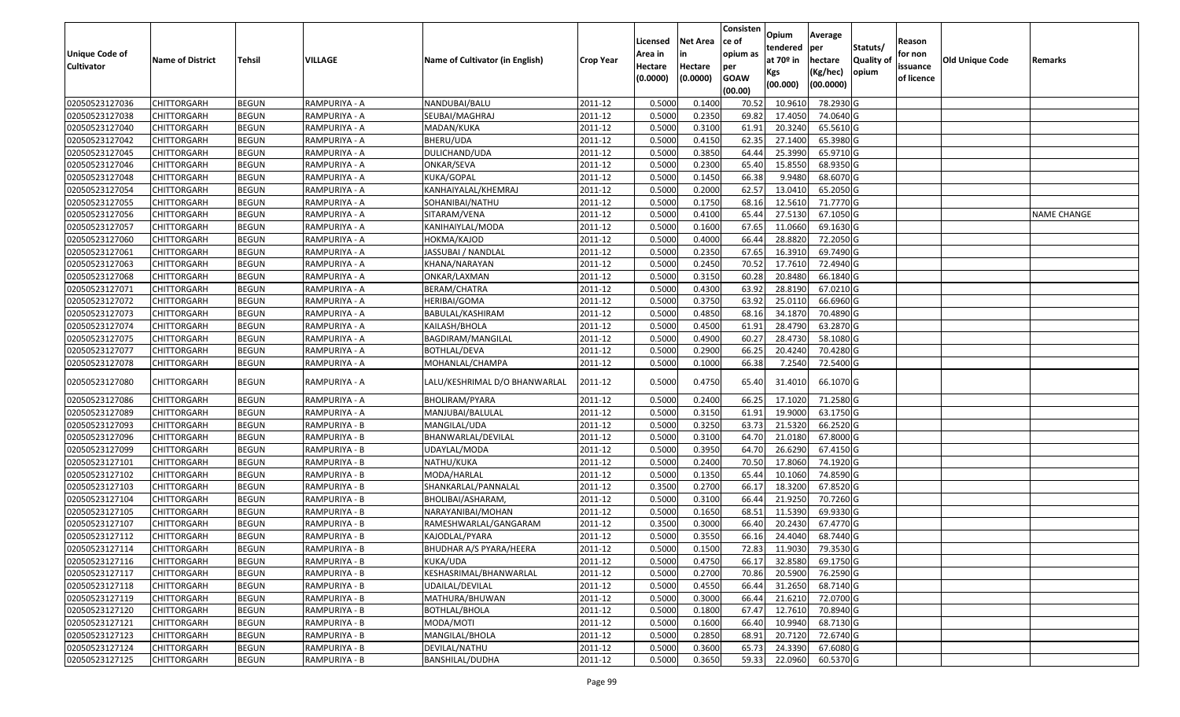|                       |                         |               |               |                                 |                  |          |                 | Consisten              | Opium         | Average   |                  |            |                        |                    |
|-----------------------|-------------------------|---------------|---------------|---------------------------------|------------------|----------|-----------------|------------------------|---------------|-----------|------------------|------------|------------------------|--------------------|
|                       |                         |               |               |                                 |                  | Licensed | <b>Net Area</b> | ce of                  | tendered      | per       | Statuts/         | Reason     |                        |                    |
| <b>Unique Code of</b> | <b>Name of District</b> | <b>Tehsil</b> | VILLAGE       | Name of Cultivator (in English) | <b>Crop Year</b> | Area in  | in              | opium as               | at $70°$ in   | hectare   | <b>Quality o</b> | for non    | <b>Old Unique Code</b> | Remarks            |
| <b>Cultivator</b>     |                         |               |               |                                 |                  | Hectare  | Hectare         | per                    | Kgs           | (Kg/hec)  | opium            | issuance   |                        |                    |
|                       |                         |               |               |                                 |                  | (0.0000) | (0.0000)        | <b>GOAW</b><br>(00.00) | (00.000)      | (00.0000) |                  | of licence |                        |                    |
| 02050523127036        | CHITTORGARH             | <b>BEGUN</b>  | RAMPURIYA - A | NANDUBAI/BALU                   | 2011-12          | 0.5000   | 0.1400          | 70.52                  | 10.961        | 78.2930 G |                  |            |                        |                    |
| 02050523127038        | CHITTORGARH             | <b>BEGUN</b>  | RAMPURIYA - A | SEUBAI/MAGHRAJ                  | 2011-12          | 0.5000   | 0.2350          | 69.82                  | 17.4050       | 74.0640 G |                  |            |                        |                    |
| 02050523127040        | CHITTORGARH             | <b>BEGUN</b>  | RAMPURIYA - A | MADAN/KUKA                      | 2011-12          | 0.5000   | 0.3100          | 61.91                  | 20.3240       | 65.5610 G |                  |            |                        |                    |
| 02050523127042        | <b>CHITTORGARH</b>      | <b>BEGUN</b>  | RAMPURIYA - A | BHERU/UDA                       | 2011-12          | 0.5000   | 0.4150          | 62.35                  | 27.1400       | 65.3980 G |                  |            |                        |                    |
| 02050523127045        | CHITTORGARH             | <b>BEGUN</b>  | RAMPURIYA - A | DULICHAND/UDA                   | 2011-12          | 0.5000   | 0.3850          | 64.44                  | 25.3990       | 65.9710 G |                  |            |                        |                    |
| 02050523127046        | CHITTORGARH             | <b>BEGUN</b>  | RAMPURIYA - A | ONKAR/SEVA                      | 2011-12          | 0.5000   | 0.2300          | 65.40                  | 15.8550       | 68.9350 G |                  |            |                        |                    |
| 02050523127048        | CHITTORGARH             | <b>BEGUN</b>  | RAMPURIYA - A | KUKA/GOPAL                      | 2011-12          | 0.5000   | 0.1450          | 66.38                  | 9.9480        | 68.6070 G |                  |            |                        |                    |
| 02050523127054        | CHITTORGARH             | <b>BEGUN</b>  | RAMPURIYA - A | KANHAIYALAL/KHEMRAJ             | 2011-12          | 0.5000   | 0.2000          | 62.57                  | 13.041        | 65.2050 G |                  |            |                        |                    |
| 02050523127055        | <b>CHITTORGARH</b>      | <b>BEGUN</b>  | RAMPURIYA - A | SOHANIBAI/NATHU                 | 2011-12          | 0.5000   | 0.1750          | 68.16                  | 12.5610       | 71.7770 G |                  |            |                        |                    |
| 02050523127056        | CHITTORGARH             | <b>BEGUN</b>  | RAMPURIYA - A | SITARAM/VENA                    | 2011-12          | 0.5000   | 0.4100          | 65.44                  | 27.5130       | 67.1050 G |                  |            |                        | <b>NAME CHANGE</b> |
| 02050523127057        | CHITTORGARH             | <b>BEGUN</b>  | RAMPURIYA - A | KANIHAIYLAL/MODA                | 2011-12          | 0.5000   | 0.1600          | 67.65                  | 11.0660       | 69.1630 G |                  |            |                        |                    |
| 02050523127060        | <b>CHITTORGARH</b>      | <b>BEGUN</b>  | RAMPURIYA - A | HOKMA/KAJOD                     | 2011-12          | 0.5000   | 0.4000          | 66.44                  | 28.8820       | 72.2050 G |                  |            |                        |                    |
| 02050523127061        | <b>CHITTORGARH</b>      | <b>BEGUN</b>  | RAMPURIYA - A | JASSUBAI / NANDLAL              | 2011-12          | 0.5000   | 0.2350          | 67.65                  | 16.3910       | 69.7490 G |                  |            |                        |                    |
| 02050523127063        | <b>CHITTORGARH</b>      | <b>BEGUN</b>  | RAMPURIYA - A | KHANA/NARAYAN                   | 2011-12          | 0.5000   | 0.2450          | 70.52                  | 17.7610       | 72.4940 G |                  |            |                        |                    |
| 02050523127068        | CHITTORGARH             | <b>BEGUN</b>  | RAMPURIYA - A | ONKAR/LAXMAN                    | 2011-12          | 0.5000   | 0.3150          | 60.28                  | 20.8480       | 66.1840 G |                  |            |                        |                    |
| 02050523127071        | <b>CHITTORGARH</b>      | <b>BEGUN</b>  | RAMPURIYA - A | BERAM/CHATRA                    | 2011-12          | 0.5000   | 0.4300          | 63.92                  | 28.8190       | 67.0210G  |                  |            |                        |                    |
| 02050523127072        | <b>CHITTORGARH</b>      | <b>BEGUN</b>  | RAMPURIYA - A | HERIBAI/GOMA                    | 2011-12          | 0.5000   | 0.3750          | 63.92                  | 25.0110       | 66.6960 G |                  |            |                        |                    |
| 02050523127073        | CHITTORGARH             | <b>BEGUN</b>  | RAMPURIYA - A | BABULAL/KASHIRAM                | 2011-12          | 0.5000   | 0.4850          | 68.16                  | 34.1870       | 70.4890 G |                  |            |                        |                    |
| 02050523127074        | CHITTORGARH             | <b>BEGUN</b>  | RAMPURIYA - A | KAILASH/BHOLA                   | 2011-12          | 0.5000   | 0.4500          | 61.91                  | 28.4790       | 63.2870 G |                  |            |                        |                    |
| 02050523127075        | CHITTORGARH             | <b>BEGUN</b>  | RAMPURIYA - A | BAGDIRAM/MANGILAL               | 2011-12          | 0.5000   | 0.4900          | 60.27                  | 28.4730       | 58.1080 G |                  |            |                        |                    |
| 02050523127077        | CHITTORGARH             | <b>BEGUN</b>  | RAMPURIYA - A | BOTHLAL/DEVA                    | 2011-12          | 0.5000   | 0.2900          | 66.25                  | 20.4240       | 70.4280 G |                  |            |                        |                    |
| 02050523127078        | CHITTORGARH             | <b>BEGUN</b>  | RAMPURIYA - A | MOHANLAL/CHAMPA                 | 2011-12          | 0.5000   | 0.1000          | 66.38                  | 7.2540        | 72.5400 G |                  |            |                        |                    |
| 02050523127080        | CHITTORGARH             | <b>BEGUN</b>  | RAMPURIYA - A | LALU/KESHRIMAL D/O BHANWARLAL   | 2011-12          | 0.5000   | 0.4750          | 65.40                  | 31.4010       | 66.1070 G |                  |            |                        |                    |
| 02050523127086        | CHITTORGARH             | <b>BEGUN</b>  | RAMPURIYA - A | BHOLIRAM/PYARA                  | 2011-12          | 0.5000   | 0.2400          | 66.25                  | 17.1020       | 71.2580 G |                  |            |                        |                    |
| 02050523127089        | CHITTORGARH             | <b>BEGUN</b>  | RAMPURIYA - A | MANJUBAI/BALULAL                | 2011-12          | 0.5000   | 0.3150          | 61.91                  | 19.9000       | 63.1750 G |                  |            |                        |                    |
| 02050523127093        | CHITTORGARH             | <b>BEGUN</b>  | RAMPURIYA - B | MANGILAL/UDA                    | 2011-12          | 0.5000   | 0.3250          | 63.73                  | 21.5320       | 66.2520 G |                  |            |                        |                    |
| 02050523127096        | CHITTORGARH             | <b>BEGUN</b>  | RAMPURIYA - B | BHANWARLAL/DEVILAL              | 2011-12          | 0.5000   | 0.3100          | 64.70                  | 21.0180       | 67.8000 G |                  |            |                        |                    |
| 02050523127099        | CHITTORGARH             | <b>BEGUN</b>  | RAMPURIYA - B | UDAYLAL/MODA                    | 2011-12          | 0.5000   | 0.3950          | 64.70                  | 26.6290       | 67.4150 G |                  |            |                        |                    |
| 02050523127101        | CHITTORGARH             | <b>BEGUN</b>  | RAMPURIYA - B | NATHU/KUKA                      | 2011-12          | 0.5000   | 0.2400          | 70.50                  | 17.8060       | 74.1920 G |                  |            |                        |                    |
| 02050523127102        | CHITTORGARH             | <b>BEGUN</b>  | RAMPURIYA - B | MODA/HARLAL                     | 2011-12          | 0.5000   | 0.1350          | 65.44                  | 10.1060       | 74.8590 G |                  |            |                        |                    |
| 02050523127103        | CHITTORGARH             | <b>BEGUN</b>  | RAMPURIYA - B | SHANKARLAL/PANNALAL             | 2011-12          | 0.3500   | 0.2700          | 66.1                   | 18.3200       | 67.8520G  |                  |            |                        |                    |
| 02050523127104        | CHITTORGARH             | <b>BEGUN</b>  | RAMPURIYA - B | BHOLIBAI/ASHARAM,               | 2011-12          | 0.5000   | 0.3100          | 66.44                  | 21.9250       | 70.7260 G |                  |            |                        |                    |
| 02050523127105        | <b>CHITTORGARH</b>      | <b>BEGUN</b>  | RAMPURIYA - B | NARAYANIBAI/MOHAN               | 2011-12          | 0.5000   | 0.1650          | 68.51                  | 11.5390       | 69.9330 G |                  |            |                        |                    |
| 02050523127107        | CHITTORGARH             | <b>BEGUN</b>  | RAMPURIYA - B | RAMESHWARLAL/GANGARAM           | 2011-12          | 0.350    | 0.3000          | 66.40                  | 20.2430       | 67.4770 G |                  |            |                        |                    |
| 02050523127112        | CHITTORGARH             | <b>BEGUN</b>  | RAMPURIYA - B | KAJODLAL/PYARA                  | 2011-12          | 0.5000   | 0.3550          | 66.16                  | 24.4040       | 68.7440 G |                  |            |                        |                    |
| 02050523127114        | <b>CHITTORGARH</b>      | <b>BEGUN</b>  | RAMPURIYA - B | BHUDHAR A/S PYARA/HEERA         | 2011-12          | 0.5000   | 0.1500          |                        | 72.83 11.9030 | 79.3530 G |                  |            |                        |                    |
| 02050523127116        | <b>CHITTORGARH</b>      | <b>BEGUN</b>  | RAMPURIYA - B | KUKA/UDA                        | 2011-12          | 0.5000   | 0.4750          | 66.17                  | 32.8580       | 69.1750 G |                  |            |                        |                    |
| 02050523127117        | <b>CHITTORGARH</b>      | <b>BEGUN</b>  | RAMPURIYA - B | KESHASRIMAL/BHANWARLAL          | 2011-12          | 0.5000   | 0.2700          | 70.86                  | 20.5900       | 76.2590 G |                  |            |                        |                    |
| 02050523127118        | <b>CHITTORGARH</b>      | <b>BEGUN</b>  | RAMPURIYA - B | UDAILAL/DEVILAL                 | 2011-12          | 0.5000   | 0.4550          | 66.44                  | 31.2650       | 68.7140 G |                  |            |                        |                    |
| 02050523127119        | CHITTORGARH             | <b>BEGUN</b>  | RAMPURIYA - B | MATHURA/BHUWAN                  | 2011-12          | 0.5000   | 0.3000          | 66.44                  | 21.6210       | 72.0700G  |                  |            |                        |                    |
| 02050523127120        | <b>CHITTORGARH</b>      | <b>BEGUN</b>  | RAMPURIYA - B | <b>BOTHLAL/BHOLA</b>            | 2011-12          | 0.5000   | 0.1800          | 67.47                  | 12.7610       | 70.8940 G |                  |            |                        |                    |
| 02050523127121        | <b>CHITTORGARH</b>      | <b>BEGUN</b>  | RAMPURIYA - B | MODA/MOTI                       | 2011-12          | 0.5000   | 0.1600          | 66.40                  | 10.9940       | 68.7130 G |                  |            |                        |                    |
| 02050523127123        | <b>CHITTORGARH</b>      | <b>BEGUN</b>  | RAMPURIYA - B | MANGILAL/BHOLA                  | 2011-12          | 0.5000   | 0.2850          | 68.91                  | 20.7120       | 72.6740 G |                  |            |                        |                    |
| 02050523127124        | <b>CHITTORGARH</b>      | <b>BEGUN</b>  | RAMPURIYA - B | DEVILAL/NATHU                   | 2011-12          | 0.5000   | 0.3600          | 65.73                  | 24.3390       | 67.6080 G |                  |            |                        |                    |
| 02050523127125        | <b>CHITTORGARH</b>      | <b>BEGUN</b>  | RAMPURIYA - B | BANSHILAL/DUDHA                 | 2011-12          | 0.5000   | 0.3650          | 59.33                  | 22.0960       | 60.5370 G |                  |            |                        |                    |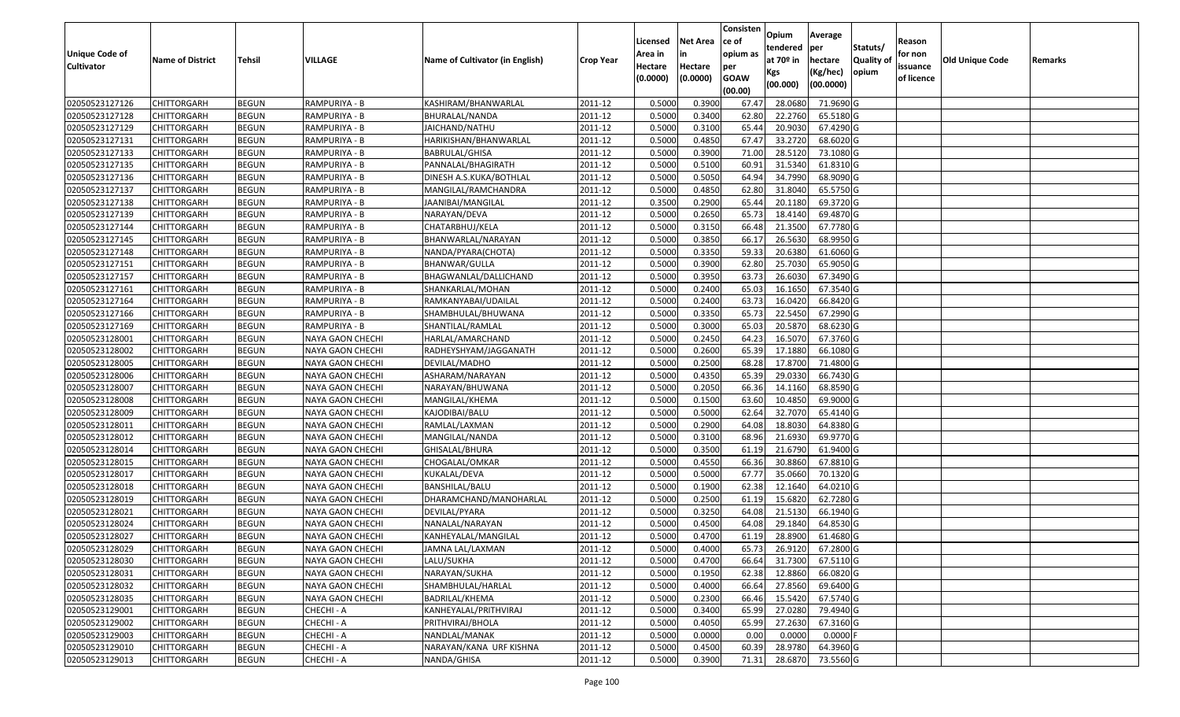| <b>Unique Code of</b><br><b>Cultivator</b> | <b>Name of District</b> | Tehsil       | VILLAGE          | Name of Cultivator (in English) | <b>Crop Year</b> | Licensed<br>Area in<br>Hectare | <b>Net Area</b><br>in<br>Hectare | Consisten<br>ce of<br>opium as<br>per | Opium<br>tendered<br>at $70°$ in | Average<br>per<br>hectare | Statuts/<br>Quality of | Reason<br>for non<br>issuance | Old Unique Code | Remarks |
|--------------------------------------------|-------------------------|--------------|------------------|---------------------------------|------------------|--------------------------------|----------------------------------|---------------------------------------|----------------------------------|---------------------------|------------------------|-------------------------------|-----------------|---------|
|                                            |                         |              |                  |                                 |                  | (0.0000)                       | (0.0000)                         | <b>GOAW</b><br>(00.00)                | Kgs<br>(00.000)                  | (Kg/hec)<br>(00.0000)     | opium                  | of licence                    |                 |         |
| 02050523127126                             | <b>CHITTORGARH</b>      | <b>BEGUN</b> | RAMPURIYA - B    | KASHIRAM/BHANWARLAL             | 2011-12          | 0.5000                         | 0.3900                           | 67.47                                 | 28.0680                          | 71.9690 G                 |                        |                               |                 |         |
| 02050523127128                             | <b>CHITTORGARH</b>      | <b>BEGUN</b> | RAMPURIYA - B    | BHURALAL/NANDA                  | 2011-12          | 0.5000                         | 0.3400                           | 62.80                                 | 22.2760                          | 65.5180 G                 |                        |                               |                 |         |
| 02050523127129                             | <b>CHITTORGARH</b>      | <b>BEGUN</b> | RAMPURIYA - B    | JAICHAND/NATHU                  | 2011-12          | 0.5000                         | 0.3100                           | 65.44                                 | 20.9030                          | 67.4290 G                 |                        |                               |                 |         |
| 02050523127131                             | <b>CHITTORGARH</b>      | <b>BEGUN</b> | RAMPURIYA - B    | HARIKISHAN/BHANWARLAL           | 2011-12          | 0.5000                         | 0.4850                           | 67.47                                 | 33.2720                          | 68.6020 G                 |                        |                               |                 |         |
| 02050523127133                             | <b>CHITTORGARH</b>      | <b>BEGUN</b> | RAMPURIYA - B    | BABRULAL/GHISA                  | 2011-12          | 0.5000                         | 0.3900                           | 71.00                                 | 28.5120                          | 73.1080 G                 |                        |                               |                 |         |
| 02050523127135                             | <b>CHITTORGARH</b>      | <b>BEGUN</b> | RAMPURIYA - B    | PANNALAL/BHAGIRATH              | 2011-12          | 0.5000                         | 0.5100                           | 60.91                                 | 31.5340                          | 61.8310 G                 |                        |                               |                 |         |
| 02050523127136                             | CHITTORGARH             | <b>BEGUN</b> | RAMPURIYA - B    | DINESH A.S.KUKA/BOTHLAL         | 2011-12          | 0.5000                         | 0.5050                           | 64.94                                 | 34.7990                          | 68.9090 G                 |                        |                               |                 |         |
| 02050523127137                             | <b>CHITTORGARH</b>      | <b>BEGUN</b> | RAMPURIYA - B    | MANGILAL/RAMCHANDRA             | 2011-12          | 0.5000                         | 0.4850                           | 62.80                                 | 31.8040                          | 65.5750 G                 |                        |                               |                 |         |
| 02050523127138                             | <b>CHITTORGARH</b>      | <b>BEGUN</b> | RAMPURIYA - B    | JAANIBAI/MANGILAL               | 2011-12          | 0.3500                         | 0.2900                           | 65.44                                 | 20.1180                          | 69.3720 G                 |                        |                               |                 |         |
| 02050523127139                             | <b>CHITTORGARH</b>      | <b>BEGUN</b> | RAMPURIYA - B    | NARAYAN/DEVA                    | 2011-12          | 0.5000                         | 0.2650                           | 65.73                                 | 18.4140                          | 69.4870 G                 |                        |                               |                 |         |
| 02050523127144                             | <b>CHITTORGARH</b>      | <b>BEGUN</b> | RAMPURIYA - B    | CHATARBHUJ/KELA                 | 2011-12          | 0.5000                         | 0.3150                           | 66.48                                 | 21.3500                          | 67.7780 G                 |                        |                               |                 |         |
| 02050523127145                             | <b>CHITTORGARH</b>      | <b>BEGUN</b> | RAMPURIYA - B    | BHANWARLAL/NARAYAN              | 2011-12          | 0.5000                         | 0.3850                           | 66.17                                 | 26.5630                          | 68.9950 G                 |                        |                               |                 |         |
| 02050523127148                             | <b>CHITTORGARH</b>      | <b>BEGUN</b> | RAMPURIYA - B    | NANDA/PYARA(CHOTA)              | 2011-12          | 0.5000                         | 0.3350                           | 59.33                                 | 20.6380                          | 61.6060 G                 |                        |                               |                 |         |
| 02050523127151                             | <b>CHITTORGARH</b>      | <b>BEGUN</b> | RAMPURIYA - B    | BHANWAR/GULLA                   | 2011-12          | 0.5000                         | 0.3900                           | 62.80                                 | 25.7030                          | 65.9050 G                 |                        |                               |                 |         |
| 02050523127157                             | <b>CHITTORGARH</b>      | <b>BEGUN</b> | RAMPURIYA - B    | BHAGWANLAL/DALLICHAND           | 2011-12          | 0.5000                         | 0.3950                           | 63.73                                 | 26.6030                          | 67.3490 G                 |                        |                               |                 |         |
| 02050523127161                             | <b>CHITTORGARH</b>      | <b>BEGUN</b> | RAMPURIYA - B    | SHANKARLAL/MOHAN                | 2011-12          | 0.5000                         | 0.2400                           | 65.03                                 | 16.1650                          | 67.3540 G                 |                        |                               |                 |         |
| 02050523127164                             | <b>CHITTORGARH</b>      | <b>BEGUN</b> | RAMPURIYA - B    | RAMKANYABAI/UDAILAL             | 2011-12          | 0.5000                         | 0.2400                           | 63.73                                 | 16.0420                          | 66.8420 G                 |                        |                               |                 |         |
| 02050523127166                             | <b>CHITTORGARH</b>      | <b>BEGUN</b> | RAMPURIYA - B    | SHAMBHULAL/BHUWANA              | 2011-12          | 0.5000                         | 0.3350                           | 65.73                                 | 22.5450                          | 67.2990 G                 |                        |                               |                 |         |
| 02050523127169                             | <b>CHITTORGARH</b>      | <b>BEGUN</b> | RAMPURIYA - B    | SHANTILAL/RAMLAL                | 2011-12          | 0.5000                         | 0.3000                           | 65.03                                 | 20.5870                          | 68.6230 G                 |                        |                               |                 |         |
| 02050523128001                             | <b>CHITTORGARH</b>      | <b>BEGUN</b> | NAYA GAON CHECHI | HARLAL/AMARCHAND                | 2011-12          | 0.5000                         | 0.2450                           | 64.23                                 | 16.5070                          | 67.3760 G                 |                        |                               |                 |         |
| 02050523128002                             | <b>CHITTORGARH</b>      | <b>BEGUN</b> | NAYA GAON CHECHI | RADHEYSHYAM/JAGGANATH           | 2011-12          | 0.5000                         | 0.2600                           | 65.39                                 | 17.1880                          | 66.1080 G                 |                        |                               |                 |         |
| 02050523128005                             | <b>CHITTORGARH</b>      | <b>BEGUN</b> | NAYA GAON CHECHI | DEVILAL/MADHO                   | 2011-12          | 0.5000                         | 0.2500                           | 68.28                                 | 17.8700                          | 71.4800 G                 |                        |                               |                 |         |
| 02050523128006                             | <b>CHITTORGARH</b>      | <b>BEGUN</b> | NAYA GAON CHECHI | ASHARAM/NARAYAN                 | 2011-12          | 0.5000                         | 0.4350                           | 65.39                                 | 29.0330                          | 66.7430 G                 |                        |                               |                 |         |
| 02050523128007                             | <b>CHITTORGARH</b>      | <b>BEGUN</b> | NAYA GAON CHECHI | NARAYAN/BHUWANA                 | 2011-12          | 0.5000                         | 0.2050                           | 66.36                                 | 14.1160                          | 68.8590 G                 |                        |                               |                 |         |
| 02050523128008                             | <b>CHITTORGARH</b>      | <b>BEGUN</b> | NAYA GAON CHECHI | MANGILAL/KHEMA                  | 2011-12          | 0.5000                         | 0.1500                           | 63.60                                 | 10.4850                          | 69.9000 G                 |                        |                               |                 |         |
| 02050523128009                             | <b>CHITTORGARH</b>      | <b>BEGUN</b> | NAYA GAON CHECHI | KAJODIBAI/BALU                  | 2011-12          | 0.5000                         | 0.5000                           | 62.64                                 | 32.7070                          | 65.4140 G                 |                        |                               |                 |         |
| 02050523128011                             | <b>CHITTORGARH</b>      | <b>BEGUN</b> | NAYA GAON CHECHI | RAMLAL/LAXMAN                   | 2011-12          | 0.5000                         | 0.2900                           | 64.08                                 | 18.8030                          | 64.8380 G                 |                        |                               |                 |         |
| 02050523128012                             | <b>CHITTORGARH</b>      | <b>BEGUN</b> | NAYA GAON CHECHI | MANGILAL/NANDA                  | 2011-12          | 0.5000                         | 0.3100                           | 68.96                                 | 21.6930                          | 69.9770 G                 |                        |                               |                 |         |
| 02050523128014                             | <b>CHITTORGARH</b>      | <b>BEGUN</b> | NAYA GAON CHECHI | GHISALAL/BHURA                  | 2011-12          | 0.5000                         | 0.3500                           | 61.19                                 | 21.6790                          | 61.9400 G                 |                        |                               |                 |         |
| 02050523128015                             | <b>CHITTORGARH</b>      | <b>BEGUN</b> | NAYA GAON CHECHI | CHOGALAL/OMKAR                  | 2011-12          | 0.5000                         | 0.4550                           | 66.36                                 | 30.8860                          | 67.8810 G                 |                        |                               |                 |         |
| 02050523128017                             | <b>CHITTORGARH</b>      | <b>BEGUN</b> | NAYA GAON CHECHI | KUKALAL/DEVA                    | 2011-12          | 0.5000                         | 0.5000                           | 67.7                                  | 35.0660                          | 70.1320 G                 |                        |                               |                 |         |
| 02050523128018                             | CHITTORGARH             | <b>BEGUN</b> | NAYA GAON CHECHI | BANSHILAL/BALU                  | 2011-12          | 0.5000                         | 0.1900                           | 62.38                                 | 12.1640                          | 64.0210 G                 |                        |                               |                 |         |
| 02050523128019                             | <b>CHITTORGARH</b>      | <b>BEGUN</b> | NAYA GAON CHECHI | DHARAMCHAND/MANOHARLAL          | 2011-12          | 0.5000                         | 0.2500                           | 61.19                                 | 15.6820                          | 62.7280 G                 |                        |                               |                 |         |
| 02050523128021                             | CHITTORGARH             | <b>BEGUN</b> | NAYA GAON CHECHI | DEVILAL/PYARA                   | 2011-12          | 0.5000                         | 0.3250                           | 64.08                                 | 21.5130                          | 66.1940 G                 |                        |                               |                 |         |
| 02050523128024                             | <b>CHITTORGARH</b>      | <b>BEGUN</b> | NAYA GAON CHECHI | NANALAL/NARAYAN                 | 2011-12          | 0.5000                         | 0.4500                           | 64.08                                 | 29.1840                          | 64.8530 G                 |                        |                               |                 |         |
| 02050523128027                             | <b>CHITTORGARH</b>      | <b>BEGUN</b> | NAYA GAON CHECHI | KANHEYALAL/MANGILAL             | 2011-12          | 0.5000                         | 0.4700                           | 61.19                                 | 28.8900                          | 61.4680 G                 |                        |                               |                 |         |
| 02050523128029                             | <b>CHITTORGARH</b>      | <b>BEGUN</b> | NAYA GAON CHECHI | JAMNA LAL/LAXMAN                | 2011-12          | 0.5000                         | 0.4000                           | 65.73                                 | 26.9120                          | 67.2800 G                 |                        |                               |                 |         |
| 02050523128030                             | <b>CHITTORGARH</b>      | <b>BEGUN</b> | NAYA GAON CHECHI | LALU/SUKHA                      | 2011-12          | 0.5000                         | 0.4700                           | 66.64                                 | 31.7300                          | 67.5110G                  |                        |                               |                 |         |
| 02050523128031                             | <b>CHITTORGARH</b>      | <b>BEGUN</b> | NAYA GAON CHECHI | NARAYAN/SUKHA                   | 2011-12          | 0.5000                         | 0.1950                           | 62.38                                 | 12.8860                          | 66.0820 G                 |                        |                               |                 |         |
| 02050523128032                             | <b>CHITTORGARH</b>      | <b>BEGUN</b> | NAYA GAON CHECHI | SHAMBHULAL/HARLAL               | 2011-12          | 0.5000                         | 0.4000                           | 66.64                                 | 27.8560                          | 69.6400 G                 |                        |                               |                 |         |
| 02050523128035                             | <b>CHITTORGARH</b>      | <b>BEGUN</b> | NAYA GAON CHECHI | BADRILAL/KHEMA                  | 2011-12          | 0.5000                         | 0.2300                           | 66.46                                 | 15.5420                          | 67.5740 G                 |                        |                               |                 |         |
| 02050523129001                             | <b>CHITTORGARH</b>      | <b>BEGUN</b> | CHECHI - A       | KANHEYALAL/PRITHVIRAJ           | 2011-12          | 0.5000                         | 0.3400                           | 65.99                                 | 27.0280                          | 79.4940 G                 |                        |                               |                 |         |
| 02050523129002                             | <b>CHITTORGARH</b>      | <b>BEGUN</b> | CHECHI - A       | PRITHVIRAJ/BHOLA                | 2011-12          | 0.5000                         | 0.4050                           | 65.99                                 | 27.2630                          | 67.3160 G                 |                        |                               |                 |         |
| 02050523129003                             | <b>CHITTORGARH</b>      | <b>BEGUN</b> | CHECHI - A       | NANDLAL/MANAK                   | 2011-12          | 0.5000                         | 0.0000                           | 0.00                                  | 0.0000                           | 0.0000                    |                        |                               |                 |         |
| 02050523129010                             | <b>CHITTORGARH</b>      | <b>BEGUN</b> | CHECHI - A       | NARAYAN/KANA URF KISHNA         | 2011-12          | 0.5000                         | 0.4500                           | 60.39                                 | 28.9780                          | 64.3960 G                 |                        |                               |                 |         |
| 02050523129013                             | <b>CHITTORGARH</b>      | <b>BEGUN</b> | CHECHI - A       | NANDA/GHISA                     | 2011-12          | 0.5000                         | 0.3900                           | 71.31                                 | 28.6870                          | 73.5560 G                 |                        |                               |                 |         |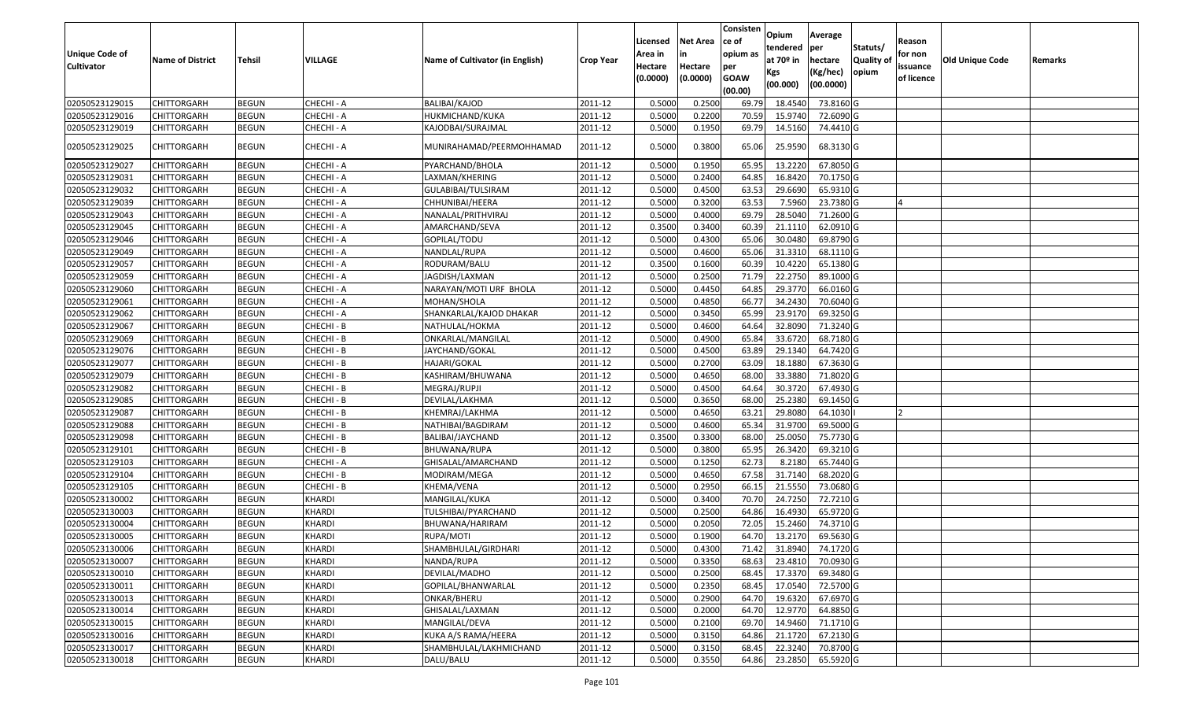| <b>Unique Code of</b> |                         |               |               |                                 |                  | Licensed<br>Area in | <b>Net Area</b><br>in | Consisten<br>ce of<br>opium as | Opium<br>tendered              | Average<br>per                   | Statuts/                  | Reason<br>for non      |                 |         |
|-----------------------|-------------------------|---------------|---------------|---------------------------------|------------------|---------------------|-----------------------|--------------------------------|--------------------------------|----------------------------------|---------------------------|------------------------|-----------------|---------|
| <b>Cultivator</b>     | <b>Name of District</b> | <b>Tehsil</b> | VILLAGE       | Name of Cultivator (in English) | <b>Crop Year</b> | Hectare<br>(0.0000) | Hectare<br>(0.0000)   | per<br><b>GOAW</b><br>(00.00)  | at $70°$ in<br>Kgs<br>(00.000) | hectare<br>(Kg/hec)<br>(00.0000) | <b>Quality o</b><br>opium | issuance<br>of licence | Old Unique Code | Remarks |
| 02050523129015        | CHITTORGARH             | <b>BEGUN</b>  | CHECHI - A    | <b>BALIBAI/KAJOD</b>            | 2011-12          | 0.5000              | 0.2500                | 69.79                          | 18.4540                        | 73.8160 G                        |                           |                        |                 |         |
| 02050523129016        | CHITTORGARH             | <b>BEGUN</b>  | CHECHI - A    | HUKMICHAND/KUKA                 | 2011-12          | 0.5000              | 0.2200                | 70.59                          | 15.9740                        | 72.6090 G                        |                           |                        |                 |         |
| 02050523129019        | CHITTORGARH             | <b>BEGUN</b>  | CHECHI - A    | KAJODBAI/SURAJMAL               | 2011-12          | 0.5000              | 0.1950                | 69.79                          | 14.5160                        | 74.4410 G                        |                           |                        |                 |         |
| 02050523129025        | CHITTORGARH             | <b>BEGUN</b>  | CHECHI - A    | MUNIRAHAMAD/PEERMOHHAMAD        | 2011-12          | 0.5000              | 0.3800                | 65.06                          | 25.9590                        | 68.3130 G                        |                           |                        |                 |         |
| 02050523129027        | CHITTORGARH             | <b>BEGUN</b>  | CHECHI - A    | PYARCHAND/BHOLA                 | 2011-12          | 0.500               | 0.1950                | 65.95                          | 13.2220                        | 67.8050 G                        |                           |                        |                 |         |
| 02050523129031        | CHITTORGARH             | <b>BEGUN</b>  | CHECHI - A    | LAXMAN/KHERING                  | 2011-12          | 0.5000              | 0.2400                | 64.85                          | 16.8420                        | 70.1750 G                        |                           |                        |                 |         |
| 02050523129032        | CHITTORGARH             | <b>BEGUN</b>  | CHECHI - A    | GULABIBAI/TULSIRAM              | 2011-12          | 0.5000              | 0.4500                | 63.53                          | 29.6690                        | 65.9310G                         |                           |                        |                 |         |
| 02050523129039        | CHITTORGARH             | <b>BEGUN</b>  | CHECHI - A    | CHHUNIBAI/HEERA                 | 2011-12          | 0.5000              | 0.3200                | 63.53                          | 7.5960                         | 23.7380 G                        |                           |                        |                 |         |
| 02050523129043        | CHITTORGARH             | <b>BEGUN</b>  | CHECHI - A    | NANALAL/PRITHVIRAJ              | 2011-12          | 0.5000              | 0.4000                | 69.79                          | 28.5040                        | 71.2600 G                        |                           |                        |                 |         |
| 02050523129045        | CHITTORGARH             | <b>BEGUN</b>  | CHECHI - A    | AMARCHAND/SEVA                  | 2011-12          | 0.3500              | 0.3400                | 60.39                          | 21.1110                        | 62.0910G                         |                           |                        |                 |         |
| 02050523129046        | CHITTORGARH             | <b>BEGUN</b>  | CHECHI - A    | GOPILAL/TODU                    | 2011-12          | 0.5000              | 0.4300                | 65.06                          | 30.0480                        | 69.8790 G                        |                           |                        |                 |         |
| 02050523129049        | <b>CHITTORGARH</b>      | <b>BEGUN</b>  | CHECHI - A    | NANDLAL/RUPA                    | 2011-12          | 0.5000              | 0.4600                | 65.06                          | 31.3310                        | 68.1110 G                        |                           |                        |                 |         |
| 02050523129057        | CHITTORGARH             | <b>BEGUN</b>  | CHECHI - A    | RODURAM/BALU                    | 2011-12          | 0.3500              | 0.1600                | 60.39                          | 10.4220                        | 65.1380 G                        |                           |                        |                 |         |
| 02050523129059        | CHITTORGARH             | <b>BEGUN</b>  | CHECHI - A    | JAGDISH/LAXMAN                  | 2011-12          | 0.5000              | 0.2500                | 71.79                          | 22.2750                        | 89.1000G                         |                           |                        |                 |         |
| 02050523129060        | CHITTORGARH             | <b>BEGUN</b>  | CHECHI - A    | NARAYAN/MOTI URF BHOLA          | 2011-12          | 0.5000              | 0.4450                | 64.85                          | 29.3770                        | 66.0160 G                        |                           |                        |                 |         |
| 02050523129061        | CHITTORGARH             | <b>BEGUN</b>  | CHECHI - A    | MOHAN/SHOLA                     | 2011-12          | 0.5000              | 0.4850                | 66.77                          | 34.2430                        | 70.6040 G                        |                           |                        |                 |         |
| 02050523129062        | CHITTORGARH             | <b>BEGUN</b>  | CHECHI - A    | SHANKARLAL/KAJOD DHAKAR         | 2011-12          | 0.5000              | 0.3450                | 65.99                          | 23.9170                        | 69.3250 G                        |                           |                        |                 |         |
| 02050523129067        | CHITTORGARH             | <b>BEGUN</b>  | CHECHI - B    | NATHULAL/HOKMA                  | 2011-12          | 0.5000              | 0.4600                | 64.64                          | 32.8090                        | 71.3240G                         |                           |                        |                 |         |
| 02050523129069        | CHITTORGARH             | <b>BEGUN</b>  | CHECHI - B    | ONKARLAL/MANGILAL               | 2011-12          | 0.5000              | 0.4900                | 65.84                          | 33.6720                        | 68.7180 G                        |                           |                        |                 |         |
| 02050523129076        | CHITTORGARH             | <b>BEGUN</b>  | CHECHI - B    | JAYCHAND/GOKAL                  | 2011-12          | 0.5000              | 0.4500                | 63.89                          | 29.1340                        | 64.7420 G                        |                           |                        |                 |         |
| 02050523129077        | CHITTORGARH             | <b>BEGUN</b>  | CHECHI - B    | HAJARI/GOKAL                    | 2011-12          | 0.5000              | 0.2700                | 63.09                          | 18.1880                        | 67.3630 G                        |                           |                        |                 |         |
| 02050523129079        | CHITTORGARH             | <b>BEGUN</b>  | CHECHI - B    | KASHIRAM/BHUWANA                | 2011-12          | 0.5000              | 0.4650                | 68.00                          | 33.3880                        | 71.8020G                         |                           |                        |                 |         |
| 02050523129082        | CHITTORGARH             | <b>BEGUN</b>  | CHECHI - B    | MEGRAJ/RUPJI                    | 2011-12          | 0.5000              | 0.4500                | 64.64                          | 30.3720                        | 67.4930 G                        |                           |                        |                 |         |
| 02050523129085        | CHITTORGARH             | <b>BEGUN</b>  | CHECHI - B    | DEVILAL/LAKHMA                  | 2011-12          | 0.5000              | 0.3650                | 68.00                          | 25.2380                        | 69.1450 G                        |                           |                        |                 |         |
| 02050523129087        | CHITTORGARH             | <b>BEGUN</b>  | CHECHI - B    | KHEMRAJ/LAKHMA                  | 2011-12          | 0.5000              | 0.4650                | 63.2                           | 29.8080                        | 64.1030                          |                           |                        |                 |         |
| 02050523129088        | CHITTORGARH             | <b>BEGUN</b>  | CHECHI - B    | NATHIBAI/BAGDIRAM               | 2011-12          | 0.5000              | 0.4600                | 65.34                          | 31.9700                        | 69.5000 G                        |                           |                        |                 |         |
| 02050523129098        | CHITTORGARH             | <b>BEGUN</b>  | CHECHI - B    | BALIBAI/JAYCHAND                | 2011-12          | 0.3500              | 0.3300                | 68.00                          | 25.0050                        | 75.7730 G                        |                           |                        |                 |         |
| 02050523129101        | <b>CHITTORGARH</b>      | <b>BEGUN</b>  | CHECHI - B    | BHUWANA/RUPA                    | 2011-12          | 0.5000              | 0.3800                | 65.95                          | 26.3420                        | 69.3210 G                        |                           |                        |                 |         |
| 02050523129103        | CHITTORGARH             | <b>BEGUN</b>  | CHECHI - A    | GHISALAL/AMARCHAND              | 2011-12          | 0.5000              | 0.1250                | 62.73                          | 8.2180                         | 65.7440 G                        |                           |                        |                 |         |
| 02050523129104        | CHITTORGARH             | <b>BEGUN</b>  | CHECHI - B    | MODIRAM/MEGA                    | 2011-12          | 0.5000              | 0.4650                | 67.58                          | 31.7140                        | 68.2020 G                        |                           |                        |                 |         |
| 02050523129105        | CHITTORGARH             | <b>BEGUN</b>  | CHECHI - B    | KHEMA/VENA                      | 2011-12          | 0.5000              | 0.2950                | 66.1                           | 21.5550                        | 73.0680 G                        |                           |                        |                 |         |
| 02050523130002        | CHITTORGARH             | <b>BEGUN</b>  | KHARDI        | MANGILAL/KUKA                   | 2011-12          | 0.5000              | 0.3400                | 70.70                          | 24.7250                        | 72.7210 G                        |                           |                        |                 |         |
| 02050523130003        | <b>CHITTORGARH</b>      | <b>BEGUN</b>  | KHARDI        | TULSHIBAI/PYARCHAND             | 2011-12          | 0.5000              | 0.2500                | 64.86                          | 16.4930                        | 65.9720 G                        |                           |                        |                 |         |
| 02050523130004        | CHITTORGARH             | <b>BEGUN</b>  | <b>KHARDI</b> | BHUWANA/HARIRAM                 | 2011-12          | 0.500               | 0.2050                | 72.05                          | 15.2460                        | 74.3710G                         |                           |                        |                 |         |
| 02050523130005        | CHITTORGARH             | <b>BEGUN</b>  | <b>KHARDI</b> | RUPA/MOTI                       | 2011-12          | 0.5000              | 0.1900                | 64.70                          | 13.2170                        | 69.5630 G                        |                           |                        |                 |         |
| 02050523130006        | <b>CHITTORGARH</b>      | <b>BEGUN</b>  | <b>KHARDI</b> | SHAMBHULAL/GIRDHARI             | 2011-12          | 0.5000              | 0.4300                |                                | 71.42 31.8940                  | 74.1720 G                        |                           |                        |                 |         |
| 02050523130007        | <b>CHITTORGARH</b>      | <b>BEGUN</b>  | <b>KHARDI</b> | NANDA/RUPA                      | 2011-12          | 0.5000              | 0.3350                | 68.63                          | 23.4810                        | 70.0930 G                        |                           |                        |                 |         |
| 02050523130010        | <b>CHITTORGARH</b>      | <b>BEGUN</b>  | KHARDI        | DEVILAL/MADHO                   | 2011-12          | 0.5000              | 0.2500                | 68.45                          | 17.3370                        | 69.3480 G                        |                           |                        |                 |         |
| 02050523130011        | <b>CHITTORGARH</b>      | <b>BEGUN</b>  | KHARDI        | GOPILAL/BHANWARLAL              | 2011-12          | 0.5000              | 0.2350                | 68.45                          | 17.0540                        | 72.5700 G                        |                           |                        |                 |         |
| 02050523130013        | <b>CHITTORGARH</b>      | <b>BEGUN</b>  | <b>KHARDI</b> | ONKAR/BHERU                     | 2011-12          | 0.5000              | 0.2900                | 64.70                          | 19.6320                        | 67.6970 G                        |                           |                        |                 |         |
| 02050523130014        | <b>CHITTORGARH</b>      | <b>BEGUN</b>  | <b>KHARDI</b> | GHISALAL/LAXMAN                 | 2011-12          | 0.5000              | 0.2000                | 64.70                          | 12.9770                        | 64.8850 G                        |                           |                        |                 |         |
| 02050523130015        | <b>CHITTORGARH</b>      | <b>BEGUN</b>  | <b>KHARDI</b> | MANGILAL/DEVA                   | 2011-12          | 0.5000              | 0.2100                | 69.70                          | 14.9460                        | 71.1710 G                        |                           |                        |                 |         |
| 02050523130016        | CHITTORGARH             | <b>BEGUN</b>  | KHARDI        | KUKA A/S RAMA/HEERA             | 2011-12          | 0.5000              | 0.3150                | 64.86                          | 21.1720                        | 67.2130 G                        |                           |                        |                 |         |
| 02050523130017        | <b>CHITTORGARH</b>      | <b>BEGUN</b>  | <b>KHARDI</b> | SHAMBHULAL/LAKHMICHAND          | 2011-12          | 0.5000              | 0.3150                | 68.45                          | 22.3240                        | 70.8700 G                        |                           |                        |                 |         |
| 02050523130018        | <b>CHITTORGARH</b>      | <b>BEGUN</b>  | <b>KHARDI</b> | DALU/BALU                       | 2011-12          | 0.5000              | 0.3550                | 64.86                          | 23.2850                        | 65.5920 G                        |                           |                        |                 |         |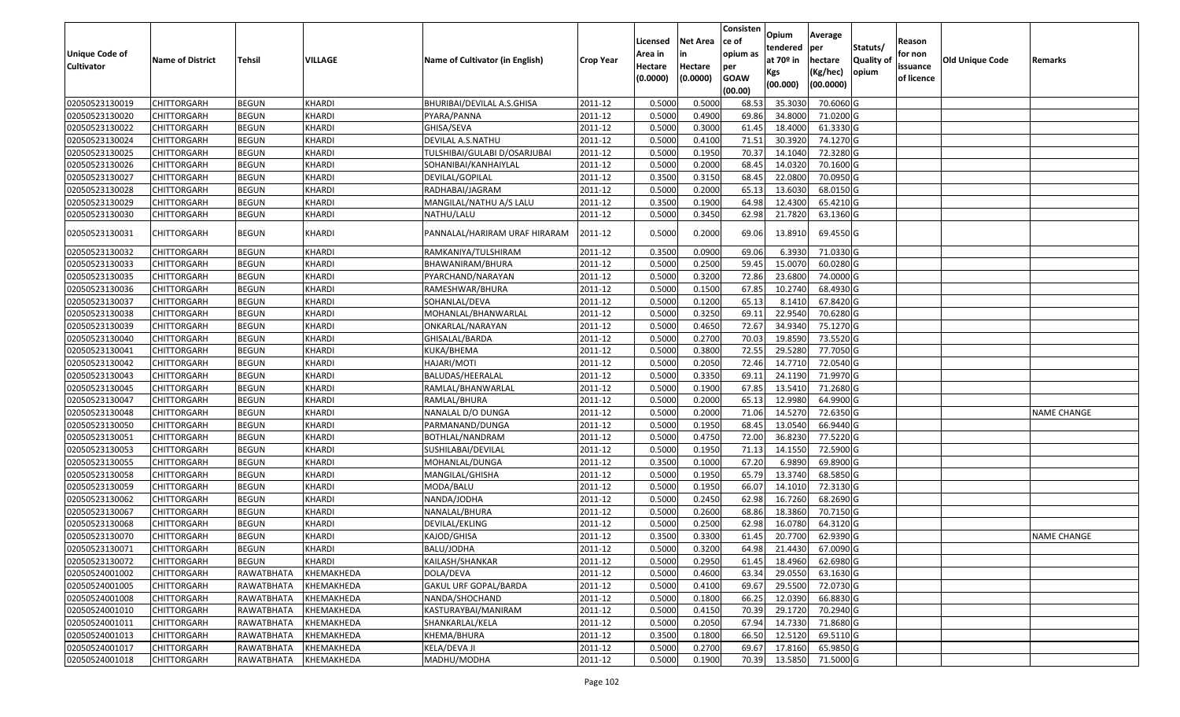|                                  |                                          |                          |                          |                                 |                    |                     |                     | Consisten          | Opium              | Average                |                  |                        |                        |                    |
|----------------------------------|------------------------------------------|--------------------------|--------------------------|---------------------------------|--------------------|---------------------|---------------------|--------------------|--------------------|------------------------|------------------|------------------------|------------------------|--------------------|
|                                  |                                          |                          |                          |                                 |                    | Licensed            | <b>Net Area</b>     | ce of              | tendered           | per                    | Statuts/         | Reason                 |                        |                    |
| Unique Code of                   | <b>Name of District</b>                  | <b>Tehsil</b>            | VILLAGE                  | Name of Cultivator (in English) | <b>Crop Year</b>   | Area in             | in                  | opium as           | at $70°$ in        | hectare                | <b>Quality o</b> | for non                | <b>Old Unique Code</b> | Remarks            |
| <b>Cultivator</b>                |                                          |                          |                          |                                 |                    | Hectare<br>(0.0000) | Hectare<br>(0.0000) | per<br><b>GOAW</b> | Kgs                | (Kg/hec)               | opium            | issuance<br>of licence |                        |                    |
|                                  |                                          |                          |                          |                                 |                    |                     |                     | (00.00)            | (00.000)           | (00.0000)              |                  |                        |                        |                    |
| 02050523130019                   | <b>CHITTORGARH</b>                       | <b>BEGUN</b>             | <b>KHARDI</b>            | BHURIBAI/DEVILAL A.S.GHISA      | 2011-12            | 0.5000              | 0.5000              | 68.53              | 35.303             | 70.6060 G              |                  |                        |                        |                    |
| 02050523130020                   | CHITTORGARH                              | <b>BEGUN</b>             | <b>KHARDI</b>            | PYARA/PANNA                     | 2011-12            | 0.5000              | 0.4900              | 69.86              | 34.8000            | 71.0200 G              |                  |                        |                        |                    |
| 02050523130022                   | CHITTORGARH                              | <b>BEGUN</b>             | <b>KHARDI</b>            | GHISA/SEVA                      | 2011-12            | 0.5000              | 0.3000              | 61.45              | 18.4000            | 61.3330 G              |                  |                        |                        |                    |
| 02050523130024                   | <b>CHITTORGARH</b>                       | <b>BEGUN</b>             | <b>KHARDI</b>            | DEVILAL A.S.NATHU               | 2011-12            | 0.5000              | 0.4100              | 71.51              | 30.3920            | 74.1270 G              |                  |                        |                        |                    |
| 02050523130025                   | CHITTORGARH                              | <b>BEGUN</b>             | <b>KHARDI</b>            | TULSHIBAI/GULABI D/OSARJUBAI    | 2011-12            | 0.5000              | 0.1950              | 70.3               | 14.1040            | 72.3280 G              |                  |                        |                        |                    |
| 02050523130026                   | <b>CHITTORGARH</b>                       | <b>BEGUN</b>             | <b>KHARDI</b>            | SOHANIBAI/KANHAIYLAL            | 2011-12            | 0.5000              | 0.2000              | 68.45              | 14.0320            | 70.1600 G              |                  |                        |                        |                    |
| 02050523130027                   | CHITTORGARH                              | <b>BEGUN</b>             | <b>KHARDI</b>            | DEVILAL/GOPILAL                 | 2011-12            | 0.3500              | 0.3150              | 68.45              | 22.0800            | 70.0950 G              |                  |                        |                        |                    |
| 02050523130028                   | <b>CHITTORGARH</b>                       | <b>BEGUN</b>             | <b>KHARDI</b>            | RADHABAI/JAGRAM                 | 2011-12            | 0.5000              | 0.2000              | 65.13              | 13.6030            | 68.0150 G              |                  |                        |                        |                    |
| 02050523130029                   | CHITTORGARH                              | <b>BEGUN</b>             | <b>KHARDI</b>            | MANGILAL/NATHU A/S LALU         | 2011-12            | 0.3500              | 0.1900              | 64.98              | 12.4300            | 65.4210 G              |                  |                        |                        |                    |
| 02050523130030                   | CHITTORGARH                              | <b>BEGUN</b>             | <b>KHARDI</b>            | NATHU/LALU                      | 2011-12            | 0.5000              | 0.3450              | 62.98              | 21.7820            | 63.1360 G              |                  |                        |                        |                    |
| 02050523130031                   | CHITTORGARH                              | <b>BEGUN</b>             | <b>KHARDI</b>            | PANNALAL/HARIRAM URAF HIRARAM   | 2011-12            | 0.5000              | 0.2000              | 69.06              | 13.8910            | 69.4550 G              |                  |                        |                        |                    |
| 02050523130032                   | <b>CHITTORGARH</b>                       | <b>BEGUN</b>             | KHARDI                   | RAMKANIYA/TULSHIRAM             | 2011-12            | 0.3500              | 0.0900              | 69.06              | 6.3930             | 71.0330 G              |                  |                        |                        |                    |
| 02050523130033                   | CHITTORGARH                              | <b>BEGUN</b>             | KHARDI                   | BHAWANIRAM/BHURA                | 2011-12            | 0.5000              | 0.2500              | 59.45              | 15.0070            | 60.0280G               |                  |                        |                        |                    |
| 02050523130035                   | CHITTORGARH                              | <b>BEGUN</b>             | KHARDI                   | PYARCHAND/NARAYAN               | 2011-12            | 0.5000              | 0.3200              | 72.86              | 23.6800            | 74.0000G               |                  |                        |                        |                    |
| 02050523130036                   | CHITTORGARH                              | <b>BEGUN</b>             | <b>KHARDI</b>            | RAMESHWAR/BHURA                 | 2011-12            | 0.5000              | 0.1500              | 67.85              | 10.2740            | 68.4930 G              |                  |                        |                        |                    |
| 02050523130037                   | CHITTORGARH                              | <b>BEGUN</b>             | KHARDI                   | SOHANLAL/DEVA                   | 2011-12            | 0.5000              | 0.1200              | 65.13              | 8.1410             | 67.8420 G              |                  |                        |                        |                    |
| 02050523130038                   | CHITTORGARH                              | <b>BEGUN</b>             | <b>KHARDI</b>            | MOHANLAL/BHANWARLAL             | 2011-12            | 0.5000              | 0.3250              | 69.1               | 22.9540            | 70.6280 G              |                  |                        |                        |                    |
| 02050523130039                   | CHITTORGARH                              | <b>BEGUN</b>             | KHARDI                   | ONKARLAL/NARAYAN                | 2011-12            | 0.5000              | 0.4650              | 72.67              | 34.9340            | 75.1270 G              |                  |                        |                        |                    |
| 02050523130040                   | CHITTORGARH                              | <b>BEGUN</b>             | <b>KHARDI</b>            | GHISALAL/BARDA                  | 2011-12            | 0.5000              | 0.2700              | 70.03              | 19.8590            | 73.5520 G              |                  |                        |                        |                    |
| 02050523130041                   | CHITTORGARH                              | <b>BEGUN</b>             | <b>KHARDI</b>            | KUKA/BHEMA                      | 2011-12            | 0.5000              | 0.3800              | 72.55              | 29.5280            | 77.7050 G              |                  |                        |                        |                    |
| 02050523130042                   | CHITTORGARH                              | <b>BEGUN</b>             | <b>KHARDI</b>            | HAJARI/MOTI                     | 2011-12            | 0.5000              | 0.2050              | 72.46              | 14.7710            | 72.0540 G              |                  |                        |                        |                    |
| 02050523130043                   | CHITTORGARH                              | <b>BEGUN</b>             | <b>KHARDI</b>            | BALUDAS/HEERALAL                | 2011-12            | 0.5000              | 0.3350              | 69.1               | 24.1190            | 71.9970 G              |                  |                        |                        |                    |
| 02050523130045                   | CHITTORGARH                              | <b>BEGUN</b>             | <b>KHARDI</b>            | RAMLAL/BHANWARLAL               | 2011-12            | 0.5000              | 0.1900              | 67.85              | 13.541             | 71.2680 G              |                  |                        |                        |                    |
| 02050523130047                   | <b>CHITTORGARH</b>                       | <b>BEGUN</b>             | <b>KHARDI</b>            | RAMLAL/BHURA                    | 2011-12            | 0.5000              | 0.2000              | 65.13              | 12.9980            | 64.9900 G              |                  |                        |                        |                    |
| 02050523130048                   | CHITTORGARH                              | <b>BEGUN</b>             | <b>KHARDI</b>            | NANALAL D/O DUNGA               | 2011-12            | 0.5000              | 0.2000              | 71.06              | 14.5270            | 72.6350 G              |                  |                        |                        | <b>NAME CHANGE</b> |
| 02050523130050                   | <b>CHITTORGARH</b>                       | <b>BEGUN</b>             | <b>KHARDI</b>            | PARMANAND/DUNGA                 | 2011-12            | 0.5000              | 0.1950              | 68.45              | 13.0540            | 66.9440 G              |                  |                        |                        |                    |
| 02050523130051                   | CHITTORGARH                              | <b>BEGUN</b>             | <b>KHARDI</b>            | BOTHLAL/NANDRAM                 | 2011-12            | 0.5000              | 0.4750              | 72.00              | 36.8230            | 77.5220 G              |                  |                        |                        |                    |
| 02050523130053                   | <b>CHITTORGARH</b>                       | <b>BEGUN</b>             | <b>KHARDI</b>            | SUSHILABAI/DEVILAL              | 2011-12            | 0.5000              | 0.1950              | 71.13              | 14.1550            | 72.5900 G              |                  |                        |                        |                    |
| 02050523130055                   | <b>CHITTORGARH</b>                       | <b>BEGUN</b>             | <b>KHARDI</b>            | MOHANLAL/DUNGA                  | 2011-12            | 0.3500              | 0.1000              | 67.20              | 6.9890             | 69.8900 G              |                  |                        |                        |                    |
| 02050523130058                   | CHITTORGARH                              | <b>BEGUN</b>             | <b>KHARDI</b>            | MANGILAL/GHISHA                 | 2011-12            | 0.5000              | 0.1950              | 65.79              | 13.3740            | 68.5850 G              |                  |                        |                        |                    |
| 02050523130059                   | CHITTORGARH                              | <b>BEGUN</b>             | <b>KHARDI</b>            | MODA/BALU                       | 2011-12            | 0.5000              | 0.1950              | 66.07              | 14.1010            | 72.3130 G              |                  |                        |                        |                    |
| 02050523130062                   | <b>CHITTORGARH</b>                       | <b>BEGUN</b>             | <b>KHARDI</b>            | NANDA/JODHA                     | 2011-12            | 0.5000              | 0.2450              | 62.98              | 16.7260            | 68.2690 G              |                  |                        |                        |                    |
| 02050523130067                   | <b>CHITTORGARH</b>                       | <b>BEGUN</b>             | KHARDI                   | NANALAL/BHURA                   | 2011-12            | 0.5000              | 0.2600              | 68.86              | 18.3860            | 70.7150 G              |                  |                        |                        |                    |
| 02050523130068                   | CHITTORGARH                              | <b>BEGUN</b>             | <b>KHARDI</b>            | DEVILAL/EKLING                  | 2011-12            | 0.500               | 0.2500              | 62.98              | 16.078             | 64.3120 G              |                  |                        |                        |                    |
| 02050523130070                   | CHITTORGARH                              | <b>BEGUN</b>             | <b>KHARDI</b>            | KAJOD/GHISA                     | 2011-12            | 0.3500              | 0.3300              | 61.45              | 20.7700            | 62.9390 G              |                  |                        |                        | <b>NAME CHANGE</b> |
| 02050523130071                   | <b>CHITTORGARH</b>                       | <b>BEGUN</b>             | KHARDI                   | BALU/JODHA                      | 2011-12            | 0.5000              | 0.3200              |                    | 64.98 21.4430      | 67.0090G               |                  |                        |                        |                    |
| 02050523130072                   | <b>CHITTORGARH</b>                       | <b>BEGUN</b>             | <b>KHARDI</b>            | KAILASH/SHANKAR                 | 2011-12            | 0.5000              | 0.2950              | 61.45              | 18.4960            | 62.6980 G              |                  |                        |                        |                    |
| 02050524001002                   | <b>CHITTORGARH</b>                       | RAWATBHATA               | KHEMAKHEDA               | DOLA/DEVA                       | 2011-12            | 0.5000              | 0.4600              | 63.34              | 29.0550            | 63.1630 G              |                  |                        |                        |                    |
| 02050524001005                   | <b>CHITTORGARH</b>                       | RAWATBHATA               | KHEMAKHEDA               | GAKUL URF GOPAL/BARDA           | 2011-12            | 0.5000              | 0.4100              | 69.67              | 29.5500            | 72.0730 G              |                  |                        |                        |                    |
| 02050524001008                   | <b>CHITTORGARH</b>                       | RAWATBHATA               | KHEMAKHEDA               | NANDA/SHOCHAND                  | 2011-12            | 0.5000              | 0.1800              | 66.25              | 12.0390            | 66.8830 G              |                  |                        |                        |                    |
| 02050524001010<br>02050524001011 | <b>CHITTORGARH</b><br><b>CHITTORGARH</b> | RAWATBHATA               | KHEMAKHEDA               | KASTURAYBAI/MANIRAM             | 2011-12            | 0.5000<br>0.5000    | 0.4150<br>0.2050    | 70.39<br>67.94     | 29.1720<br>14.7330 | 70.2940 G<br>71.8680 G |                  |                        |                        |                    |
| 02050524001013                   | CHITTORGARH                              | RAWATBHATA<br>RAWATBHATA | KHEMAKHEDA<br>KHEMAKHEDA | SHANKARLAL/KELA<br>KHEMA/BHURA  | 2011-12<br>2011-12 | 0.3500              | 0.1800              | 66.50              | 12.5120            | 69.5110 G              |                  |                        |                        |                    |
| 02050524001017                   | <b>CHITTORGARH</b>                       | RAWATBHATA               | KHEMAKHEDA               | KELA/DEVA JI                    | 2011-12            | 0.5000              | 0.2700              | 69.67              | 17.8160            | 65.9850 G              |                  |                        |                        |                    |
| 02050524001018                   | <b>CHITTORGARH</b>                       | RAWATBHATA               | KHEMAKHEDA               | MADHU/MODHA                     | 2011-12            | 0.5000              | 0.1900              | 70.39              | 13.5850            | 71.5000 G              |                  |                        |                        |                    |
|                                  |                                          |                          |                          |                                 |                    |                     |                     |                    |                    |                        |                  |                        |                        |                    |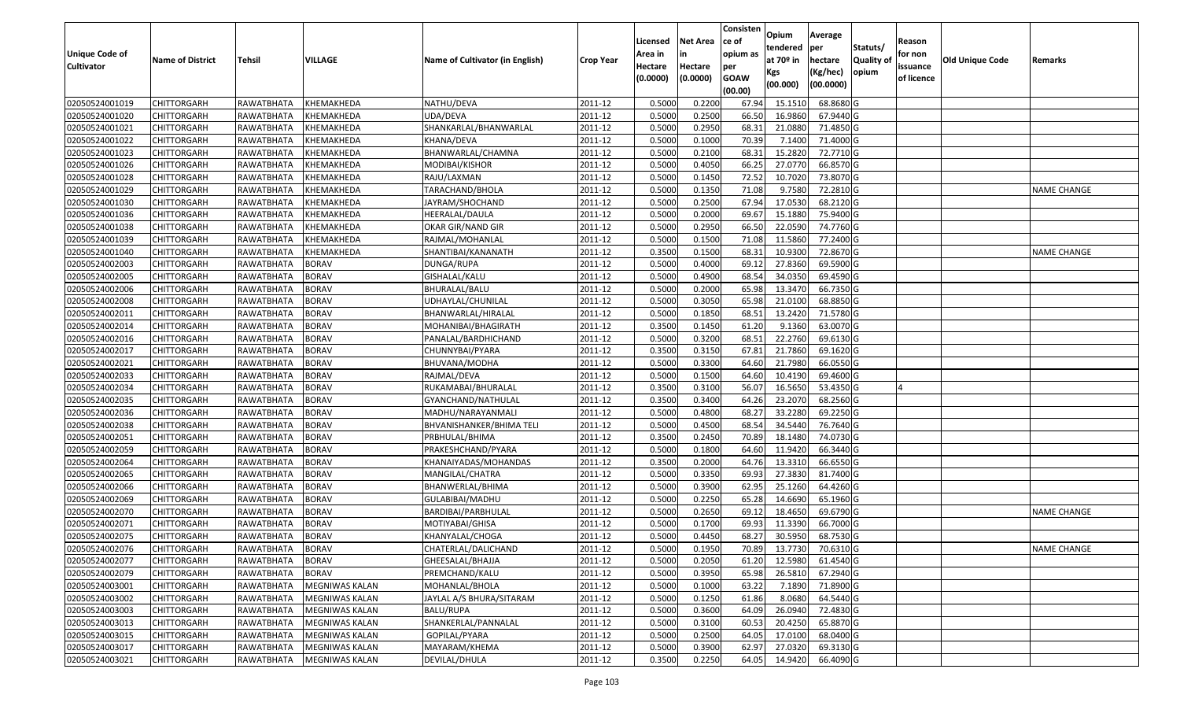|                                  |                                   |               |                              |                                 |                    |                  |                  | Consisten     | Opium             | Average                 |                  |            |                        |                    |
|----------------------------------|-----------------------------------|---------------|------------------------------|---------------------------------|--------------------|------------------|------------------|---------------|-------------------|-------------------------|------------------|------------|------------------------|--------------------|
|                                  |                                   |               |                              |                                 |                    | Licensed         | <b>Net Area</b>  | ce of         | tendered          | per                     | Statuts/         | Reason     |                        |                    |
| Unique Code of                   | <b>Name of District</b>           | <b>Tehsil</b> | <b>VILLAGE</b>               | Name of Cultivator (in English) | <b>Crop Year</b>   | Area in          | in               | opium as      | at $70°$ in       | hectare                 | <b>Quality o</b> | for non    | <b>Old Unique Code</b> | Remarks            |
| <b>Cultivator</b>                |                                   |               |                              |                                 |                    | Hectare          | Hectare          | per           | Kgs               | (Kg/hec)                | opium            | issuance   |                        |                    |
|                                  |                                   |               |                              |                                 |                    | (0.0000)         | (0.0000)         | <b>GOAW</b>   | (00.000)          | (00.0000)               |                  | of licence |                        |                    |
|                                  |                                   |               |                              |                                 |                    |                  |                  | (00.00)       |                   |                         |                  |            |                        |                    |
| 02050524001019                   | CHITTORGARH                       | RAWATBHATA    | KHEMAKHEDA                   | NATHU/DEVA                      | 2011-12            | 0.5000           | 0.2200           | 67.94         | 15.1510           | 68.8680 G               |                  |            |                        |                    |
| 02050524001020                   | CHITTORGARH                       | RAWATBHATA    | KHEMAKHEDA                   | UDA/DEVA                        | 2011-12            | 0.5000           | 0.2500           | 66.50         | 16.9860           | 67.9440 G               |                  |            |                        |                    |
| 02050524001021                   | CHITTORGARH                       | RAWATBHATA    | KHEMAKHEDA                   | SHANKARLAL/BHANWARLAL           | 2011-12            | 0.5000           | 0.2950           | 68.3          | 21.0880           | 71.4850 G               |                  |            |                        |                    |
| 02050524001022                   | <b>CHITTORGARH</b>                | RAWATBHATA    | KHEMAKHEDA                   | KHANA/DEVA                      | 2011-12<br>2011-12 | 0.5000           | 0.1000           | 70.39         | 7.1400            | 71.4000 G               |                  |            |                        |                    |
| 02050524001023<br>02050524001026 | CHITTORGARH<br><b>CHITTORGARH</b> | RAWATBHATA    | KHEMAKHEDA                   | BHANWARLAL/CHAMNA               |                    | 0.5000<br>0.5000 | 0.2100<br>0.4050 | 68.3<br>66.25 | 15.282<br>27.0770 | 72.7710 G<br>66.8570 G  |                  |            |                        |                    |
|                                  |                                   | RAWATBHATA    | KHEMAKHEDA                   | MODIBAI/KISHOR                  | 2011-12            |                  |                  |               |                   |                         |                  |            |                        |                    |
| 02050524001028                   | CHITTORGARH                       | RAWATBHATA    | KHEMAKHEDA                   | RAJU/LAXMAN                     | 2011-12            | 0.5000           | 0.1450           | 72.52         | 10.702            | 73.8070 G               |                  |            |                        |                    |
| 02050524001029                   | CHITTORGARH                       | RAWATBHATA    | KHEMAKHEDA                   | TARACHAND/BHOLA                 | 2011-12            | 0.5000           | 0.1350           | 71.08         | 9.7580            | 72.2810 G               |                  |            |                        | <b>NAME CHANGE</b> |
| 02050524001030                   | CHITTORGARH                       | RAWATBHATA    | KHEMAKHEDA                   | JAYRAM/SHOCHAND                 | 2011-12            | 0.5000           | 0.2500           | 67.94         | 17.0530           | 68.2120 G               |                  |            |                        |                    |
| 02050524001036                   | CHITTORGARH                       | RAWATBHATA    | KHEMAKHEDA                   | HEERALAL/DAULA                  | 2011-12            | 0.5000           | 0.2000           | 69.67         | 15.1880           | 75.9400 G               |                  |            |                        |                    |
| 02050524001038                   | CHITTORGARH                       | RAWATBHATA    | KHEMAKHEDA                   | OKAR GIR/NAND GIR               | 2011-12            | 0.5000           | 0.2950           | 66.50         | 22.0590           | 74.7760 G               |                  |            |                        |                    |
| 02050524001039                   | CHITTORGARH                       | RAWATBHATA    | KHEMAKHEDA                   | RAJMAL/MOHANLAL                 | 2011-12            | 0.5000           | 0.1500           | 71.08         | 11.5860           | 77.2400 G               |                  |            |                        |                    |
| 02050524001040                   | <b>CHITTORGARH</b>                | RAWATBHATA    | KHEMAKHEDA                   | SHANTIBAI/KANANATH              | 2011-12            | 0.3500           | 0.1500           | 68.3          | 10.9300           | 72.8670 G               |                  |            |                        | <b>NAME CHANGE</b> |
| 02050524002003                   | CHITTORGARH                       | RAWATBHATA    | <b>BORAV</b>                 | DUNGA/RUPA                      | 2011-12            | 0.5000           | 0.4000           | 69.12         | 27.8360           | 69.5900 G               |                  |            |                        |                    |
| 02050524002005                   | <b>CHITTORGARH</b>                | RAWATBHATA    | <b>BORAV</b>                 | GISHALAL/KALU                   | 2011-12            | 0.5000           | 0.4900           | 68.54         | 34.0350           | 69.4590 G               |                  |            |                        |                    |
| 02050524002006                   | <b>CHITTORGARH</b>                | RAWATBHATA    | <b>BORAV</b>                 | BHURALAL/BALU                   | 2011-12            | 0.5000           | 0.2000           | 65.98         | 13.3470           | 66.7350 G<br>68.8850G   |                  |            |                        |                    |
| 02050524002008                   | <b>CHITTORGARH</b>                | RAWATBHATA    | <b>BORAV</b>                 | UDHAYLAL/CHUNILAL               | 2011-12            | 0.5000           | 0.3050           | 65.98         | 21.0100           |                         |                  |            |                        |                    |
| 02050524002011                   | CHITTORGARH                       | RAWATBHATA    | <b>BORAV</b>                 | BHANWARLAL/HIRALAL              | 2011-12            | 0.5000           | 0.1850           | 68.5          | 13.2420           | 71.5780 G               |                  |            |                        |                    |
| 02050524002014                   | CHITTORGARH                       | RAWATBHATA    | <b>BORAV</b>                 | MOHANIBAI/BHAGIRATH             | 2011-12            | 0.3500           | 0.1450           | 61.20         | 9.1360            | 63.0070 G               |                  |            |                        |                    |
| 02050524002016                   | CHITTORGARH                       | RAWATBHATA    | <b>BORAV</b>                 | PANALAL/BARDHICHAND             | 2011-12            | 0.5000           | 0.3200           | 68.5          | 22.2760           | 69.6130 G               |                  |            |                        |                    |
| 02050524002017                   | CHITTORGARH                       | RAWATBHATA    | <b>BORAV</b>                 | CHUNNYBAI/PYARA                 | 2011-12            | 0.3500           | 0.3150           | 67.8          | 21.7860           | 69.1620 G               |                  |            |                        |                    |
| 02050524002021                   | CHITTORGARH                       | RAWATBHATA    | <b>BORAV</b>                 | BHUVANA/MODHA                   | 2011-12            | 0.5000           | 0.3300           | 64.60         | 21.798            | 66.0550 G               |                  |            |                        |                    |
| 02050524002033                   | CHITTORGARH                       | RAWATBHATA    | <b>BORAV</b>                 | RAJMAL/DEVA                     | 2011-12            | 0.5000           | 0.1500           | 64.60         | 10.4190           | 69.4600 G               |                  |            |                        |                    |
| 02050524002034                   | CHITTORGARH                       | RAWATBHATA    | <b>BORAV</b>                 | RUKAMABAI/BHURALAL              | 2011-12            | 0.3500           | 0.3100           | 56.07         | 16.565            | 53.4350 G               |                  |            |                        |                    |
| 02050524002035                   | <b>CHITTORGARH</b>                | RAWATBHATA    | <b>BORAV</b>                 | GYANCHAND/NATHULAL              | 2011-12            | 0.3500           | 0.3400           | 64.26         | 23.2070           | 68.2560 G               |                  |            |                        |                    |
| 02050524002036                   | CHITTORGARH                       | RAWATBHATA    | <b>BORAV</b>                 | MADHU/NARAYANMALI               | 2011-12            | 0.5000           | 0.4800           | 68.27         | 33.2280           | 69.2250 G               |                  |            |                        |                    |
| 02050524002038                   | CHITTORGARH                       | RAWATBHATA    | <b>BORAV</b>                 | BHVANISHANKER/BHIMA TELI        | 2011-12            | 0.5000           | 0.4500           | 68.54         | 34.5440           | 76.7640 G               |                  |            |                        |                    |
| 02050524002051                   | CHITTORGARH                       | RAWATBHATA    | <b>BORAV</b>                 | PRBHULAL/BHIMA                  | 2011-12            | 0.3500           | 0.2450           | 70.89         | 18.1480           | 74.0730 G               |                  |            |                        |                    |
| 02050524002059                   | CHITTORGARH                       | RAWATBHATA    | <b>BORAV</b>                 | PRAKESHCHAND/PYARA              | 2011-12            | 0.5000           | 0.1800           | 64.60         | 11.9420           | 66.3440 G               |                  |            |                        |                    |
| 02050524002064                   | <b>CHITTORGARH</b>                | RAWATBHATA    | <b>BORAV</b>                 | KHANAIYADAS/MOHANDAS            | 2011-12            | 0.3500           | 0.2000           | 64.76         | 13.3310           | 66.6550 G               |                  |            |                        |                    |
| 02050524002065                   | CHITTORGARH                       | RAWATBHATA    | <b>BORAV</b>                 | MANGILAL/CHATRA                 | 2011-12            | 0.5000           | 0.3350           | 69.93         | 27.3830           | 81.7400 G               |                  |            |                        |                    |
| 02050524002066                   | CHITTORGARH                       | RAWATBHATA    | <b>BORAV</b>                 | BHANWERLAL/BHIMA                | 2011-12            | 0.5000           | 0.3900           | 62.95         | 25.1260           | 64.4260 G               |                  |            |                        |                    |
| 02050524002069                   | CHITTORGARH                       | RAWATBHATA    | <b>BORAV</b><br><b>BORAV</b> | GULABIBAI/MADHU                 | 2011-12<br>2011-12 | 0.5000<br>0.5000 | 0.2250           | 65.28         | 14.6690           | 65.1960 G               |                  |            |                        |                    |
| 02050524002070<br>02050524002071 | <b>CHITTORGARH</b>                | RAWATBHATA    | <b>BORAV</b>                 | BARDIBAI/PARBHULAL              | 2011-12            | 0.500            | 0.2650<br>0.1700 | 69.1<br>69.93 | 18.465<br>11.3390 | 69.6790 G<br>66.7000 G  |                  |            |                        | <b>NAME CHANGE</b> |
|                                  | CHITTORGARH                       | RAWATBHATA    | <b>BORAV</b>                 | MOTIYABAI/GHISA                 |                    | 0.5000           | 0.4450           | 68.27         | 30.5950           | 68.7530 G               |                  |            |                        |                    |
| 02050524002075                   | CHITTORGARH                       | RAWATBHATA    |                              | KHANYALAL/CHOGA                 | 2011-12            |                  |                  |               |                   |                         |                  |            |                        |                    |
| 02050524002076                   | <b>CHITTORGARH</b>                | RAWATBHATA    | <b>BORAV</b>                 | CHATERLAL/DALICHAND             | 2011-12            | 0.5000           | 0.1950           |               |                   | 70.89 13.7730 70.6310 G |                  |            |                        | <b>NAME CHANGE</b> |
| 02050524002077                   | <b>CHITTORGARH</b>                | RAWATBHATA    | <b>BORAV</b>                 | GHEESALAL/BHAJJA                | 2011-12            | 0.5000           | 0.2050           | 61.20         | 12.5980           | 61.4540 G               |                  |            |                        |                    |
| 02050524002079                   | <b>CHITTORGARH</b>                | RAWATBHATA    | <b>BORAV</b>                 | PREMCHAND/KALU                  | 2011-12            | 0.5000           | 0.3950           | 65.98         | 26.5810           | 67.2940 G               |                  |            |                        |                    |
| 02050524003001                   | <b>CHITTORGARH</b>                | RAWATBHATA    | MEGNIWAS KALAN               | MOHANLAL/BHOLA                  | 2011-12            | 0.5000           | 0.1000           | 63.22         | 7.1890            | 71.8900 G               |                  |            |                        |                    |
| 02050524003002                   | CHITTORGARH                       | RAWATBHATA    | <b>MEGNIWAS KALAN</b>        | JAYLAL A/S BHURA/SITARAM        | 2011-12            | 0.5000           | 0.1250           | 61.86         | 8.0680            | 64.5440 G               |                  |            |                        |                    |
| 02050524003003                   | <b>CHITTORGARH</b>                | RAWATBHATA    | <b>MEGNIWAS KALAN</b>        | BALU/RUPA                       | 2011-12            | 0.5000           | 0.3600           | 64.09         | 26.0940           | 72.4830 G               |                  |            |                        |                    |
| 02050524003013                   | <b>CHITTORGARH</b>                | RAWATBHATA    | MEGNIWAS KALAN               | SHANKERLAL/PANNALAL             | 2011-12            | 0.5000           | 0.3100           | 60.53         | 20.4250           | 65.8870 G               |                  |            |                        |                    |
| 02050524003015                   | CHITTORGARH                       | RAWATBHATA    | MEGNIWAS KALAN               | GOPILAL/PYARA                   | 2011-12            | 0.5000           | 0.2500           | 64.05         | 17.0100           | 68.0400 G               |                  |            |                        |                    |
| 02050524003017                   | <b>CHITTORGARH</b>                | RAWATBHATA    | MEGNIWAS KALAN               | MAYARAM/KHEMA                   | 2011-12            | 0.5000           | 0.3900           | 62.97         | 27.0320           | 69.3130 G               |                  |            |                        |                    |
| 02050524003021                   | <b>CHITTORGARH</b>                | RAWATBHATA    | <b>MEGNIWAS KALAN</b>        | DEVILAL/DHULA                   | 2011-12            | 0.3500           | 0.2250           | 64.05         | 14.9420           | 66.4090 G               |                  |            |                        |                    |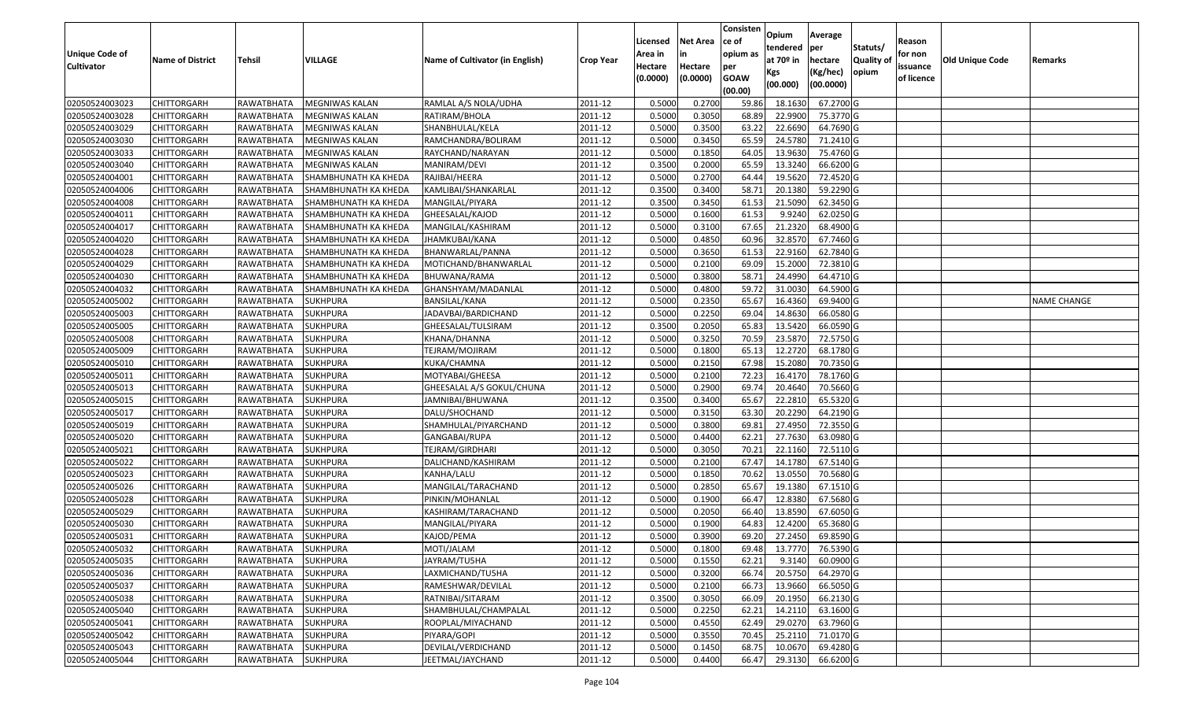| <b>Unique Code of</b><br><b>Cultivator</b> | <b>Name of District</b> | <b>Tehsil</b>     | VILLAGE                     | Name of Cultivator (in English) | <b>Crop Year</b> | Licensed<br>Area in<br>Hectare<br>(0.0000) | <b>Net Area</b><br>in<br>Hectare<br>(0.0000) | Consisten<br>ce of<br>opium as<br>per<br><b>GOAW</b><br>(00.00) | Opium<br>tendered<br>at $70°$ in<br>Kgs<br>(00.000) | Average<br>per<br>hectare<br>(Kg/hec)<br>(00.0000) | Statuts/<br>Quality of<br>opium | Reason<br>for non<br>issuance<br>of licence | <b>Old Unique Code</b> | Remarks            |
|--------------------------------------------|-------------------------|-------------------|-----------------------------|---------------------------------|------------------|--------------------------------------------|----------------------------------------------|-----------------------------------------------------------------|-----------------------------------------------------|----------------------------------------------------|---------------------------------|---------------------------------------------|------------------------|--------------------|
| 02050524003023                             | <b>CHITTORGARH</b>      | RAWATBHATA        | MEGNIWAS KALAN              | RAMLAL A/S NOLA/UDHA            | 2011-12          | 0.5000                                     | 0.2700                                       | 59.86                                                           | 18.163                                              | 67.2700 G                                          |                                 |                                             |                        |                    |
| 02050524003028                             | CHITTORGARH             | RAWATBHATA        | MEGNIWAS KALAN              | RATIRAM/BHOLA                   | 2011-12          | 0.5000                                     | 0.3050                                       | 68.89                                                           | 22.9900                                             | 75.3770 G                                          |                                 |                                             |                        |                    |
| 02050524003029                             | CHITTORGARH             | RAWATBHATA        | MEGNIWAS KALAN              | SHANBHULAL/KELA                 | 2011-12          | 0.5000                                     | 0.3500                                       | 63.22                                                           | 22.6690                                             | 64.7690 G                                          |                                 |                                             |                        |                    |
| 02050524003030                             | <b>CHITTORGARH</b>      | RAWATBHATA        | MEGNIWAS KALAN              | RAMCHANDRA/BOLIRAM              | 2011-12          | 0.5000                                     | 0.3450                                       | 65.59                                                           | 24.5780                                             | 71.2410 G                                          |                                 |                                             |                        |                    |
| 02050524003033                             | <b>CHITTORGARH</b>      | RAWATBHATA        | MEGNIWAS KALAN              | RAYCHAND/NARAYAN                | 2011-12          | 0.5000                                     | 0.1850                                       | 64.05                                                           | 13.9630                                             | 75.4760 G                                          |                                 |                                             |                        |                    |
| 02050524003040                             | CHITTORGARH             | RAWATBHATA        | <b>MEGNIWAS KALAN</b>       | MANIRAM/DEVI                    | 2011-12          | 0.350                                      | 0.2000                                       | 65.59                                                           | 13.3240                                             | 66.6200 G                                          |                                 |                                             |                        |                    |
| 02050524004001                             | <b>CHITTORGARH</b>      | RAWATBHATA        | SHAMBHUNATH KA KHEDA        | RAJIBAI/HEERA                   | 2011-12          | 0.5000                                     | 0.2700                                       | 64.44                                                           | 19.5620                                             | 72.4520 G                                          |                                 |                                             |                        |                    |
| 02050524004006                             | <b>CHITTORGARH</b>      | RAWATBHATA        | SHAMBHUNATH KA KHEDA        | KAMLIBAI/SHANKARLAL             | 2011-12          | 0.3500                                     | 0.3400                                       | 58.7                                                            | 20.1380                                             | 59.2290 G                                          |                                 |                                             |                        |                    |
| 02050524004008                             | <b>CHITTORGARH</b>      | RAWATBHATA        | <b>SHAMBHUNATH KA KHEDA</b> | MANGILAL/PIYARA                 | 2011-12          | 0.3500                                     | 0.3450                                       | 61.53                                                           | 21.5090                                             | 62.3450 G                                          |                                 |                                             |                        |                    |
| 02050524004011                             | CHITTORGARH             | RAWATBHATA        | <b>SHAMBHUNATH KA KHEDA</b> | GHEESALAL/KAJOD                 | 2011-12          | 0.5000                                     | 0.1600                                       | 61.53                                                           | 9.924                                               | 62.0250 G                                          |                                 |                                             |                        |                    |
| 02050524004017                             | <b>CHITTORGARH</b>      | RAWATBHATA        | SHAMBHUNATH KA KHEDA        | MANGILAL/KASHIRAM               | 2011-12          | 0.5000                                     | 0.3100                                       | 67.65                                                           | 21.2320                                             | 68.4900 G                                          |                                 |                                             |                        |                    |
| 02050524004020                             | CHITTORGARH             | RAWATBHATA        | SHAMBHUNATH KA KHEDA        | JHAMKUBAI/KANA                  | 2011-12          | 0.5000                                     | 0.4850                                       | 60.96                                                           | 32.8570                                             | 67.7460 G                                          |                                 |                                             |                        |                    |
| 02050524004028                             | CHITTORGARH             | RAWATBHATA        | <b>SHAMBHUNATH KA KHEDA</b> | BHANWARLAL/PANNA                | 2011-12          | 0.5000                                     | 0.3650                                       | 61.53                                                           | 22.9160                                             | 62.7840 G                                          |                                 |                                             |                        |                    |
| 02050524004029                             | CHITTORGARH             | RAWATBHATA        | SHAMBHUNATH KA KHEDA        | MOTICHAND/BHANWARLAL            | 2011-12          | 0.5000                                     | 0.2100                                       | 69.09                                                           | 15.2000                                             | 72.3810 G                                          |                                 |                                             |                        |                    |
| 02050524004030                             | CHITTORGARH             | RAWATBHATA        | SHAMBHUNATH KA KHEDA        | BHUWANA/RAMA                    | 2011-12          | 0.5000                                     | 0.3800                                       | 58.7                                                            | 24.4990                                             | 64.4710 G                                          |                                 |                                             |                        |                    |
| 02050524004032                             | CHITTORGARH             | RAWATBHATA        | SHAMBHUNATH KA KHEDA        | GHANSHYAM/MADANLAL              | 2011-12          | 0.5000                                     | 0.4800                                       | 59.72                                                           | 31.003                                              | 64.5900 G                                          |                                 |                                             |                        |                    |
| 02050524005002                             | CHITTORGARH             | <b>RAWATBHATA</b> | <b>SUKHPURA</b>             | BANSILAL/KANA                   | 2011-12          | 0.5000                                     | 0.2350                                       | 65.67                                                           | 16.4360                                             | 69.9400 G                                          |                                 |                                             |                        | <b>NAME CHANGE</b> |
| 02050524005003                             | <b>CHITTORGARH</b>      | RAWATBHATA        | <b>SUKHPURA</b>             | JADAVBAI/BARDICHAND             | 2011-12          | 0.5000                                     | 0.2250                                       | 69.04                                                           | 14.8630                                             | 66.0580 G                                          |                                 |                                             |                        |                    |
| 02050524005005                             | <b>CHITTORGARH</b>      | RAWATBHATA        | <b>SUKHPURA</b>             | GHEESALAL/TULSIRAM              | 2011-12          | 0.3500                                     | 0.2050                                       | 65.83                                                           | 13.5420                                             | 66.0590 G                                          |                                 |                                             |                        |                    |
| 02050524005008                             | CHITTORGARH             | RAWATBHATA        | <b>SUKHPURA</b>             | KHANA/DHANNA                    | 2011-12          | 0.5000                                     | 0.3250                                       | 70.59                                                           | 23.5870                                             | 72.5750 G                                          |                                 |                                             |                        |                    |
| 02050524005009                             | <b>CHITTORGARH</b>      | <b>RAWATBHATA</b> | <b>SUKHPURA</b>             | TEJRAM/MOJIRAM                  | 2011-12          | 0.5000                                     | 0.1800                                       | 65.13                                                           | 12.2720                                             | 68.1780 G                                          |                                 |                                             |                        |                    |
| 02050524005010                             | CHITTORGARH             | RAWATBHATA        | <b>SUKHPURA</b>             | KUKA/CHAMNA                     | 2011-12          | 0.5000                                     | 0.2150                                       | 67.98                                                           | 15.2080                                             | 70.7350 G                                          |                                 |                                             |                        |                    |
| 02050524005011                             | CHITTORGARH             | RAWATBHATA        | <b>SUKHPURA</b>             | MOTYABAI/GHEESA                 | 2011-12          | 0.5000                                     | 0.2100                                       | 72.23                                                           | 16.4170                                             | 78.1760 G                                          |                                 |                                             |                        |                    |
| 02050524005013                             | CHITTORGARH             | RAWATBHATA        | <b>SUKHPURA</b>             | GHEESALAL A/S GOKUL/CHUNA       | 2011-12          | 0.5000                                     | 0.2900                                       | 69.74                                                           | 20.4640                                             | 70.5660 G                                          |                                 |                                             |                        |                    |
| 02050524005015                             | CHITTORGARH             | RAWATBHATA        | <b>SUKHPURA</b>             | JAMNIBAI/BHUWANA                | 2011-12          | 0.3500                                     | 0.3400                                       | 65.67                                                           | 22.281                                              | 65.5320 G                                          |                                 |                                             |                        |                    |
| 02050524005017                             | CHITTORGARH             | RAWATBHATA        | <b>SUKHPURA</b>             | DALU/SHOCHAND                   | 2011-12          | 0.5000                                     | 0.3150                                       | 63.30                                                           | 20.2290                                             | 64.2190 G                                          |                                 |                                             |                        |                    |
| 02050524005019                             | CHITTORGARH             | RAWATBHATA        | <b>SUKHPURA</b>             | SHAMHULAL/PIYARCHAND            | 2011-12          | 0.5000                                     | 0.3800                                       | 69.8                                                            | 27.4950                                             | 72.3550 G                                          |                                 |                                             |                        |                    |
| 02050524005020                             | CHITTORGARH             | RAWATBHATA        | <b>SUKHPURA</b>             | GANGABAI/RUPA                   | 2011-12          | 0.5000                                     | 0.4400                                       | 62.21                                                           | 27.7630                                             | 63.0980 G                                          |                                 |                                             |                        |                    |
| 02050524005021                             | <b>CHITTORGARH</b>      | RAWATBHATA        | <b>SUKHPURA</b>             | TEJRAM/GIRDHARI                 | 2011-12          | 0.5000                                     | 0.3050                                       | 70.21                                                           | 22.1160                                             | 72.5110 G                                          |                                 |                                             |                        |                    |
| 02050524005022                             | <b>CHITTORGARH</b>      | RAWATBHATA        | <b>SUKHPURA</b>             | DALICHAND/KASHIRAM              | 2011-12          | 0.5000                                     | 0.2100                                       | 67.47                                                           | 14.1780                                             | 67.5140 G                                          |                                 |                                             |                        |                    |
| 02050524005023                             | <b>CHITTORGARH</b>      | RAWATBHATA        | <b>SUKHPURA</b>             | KANHA/LALU                      | 2011-12          | 0.5000                                     | 0.1850                                       | 70.62                                                           | 13.0550                                             | 70.5680 G                                          |                                 |                                             |                        |                    |
| 02050524005026                             | <b>CHITTORGARH</b>      | RAWATBHATA        | <b>SUKHPURA</b>             | MANGILAL/TARACHAND              | 2011-12          | 0.5000                                     | 0.2850                                       | 65.67                                                           | 19.1380                                             | 67.1510G                                           |                                 |                                             |                        |                    |
| 02050524005028                             | <b>CHITTORGARH</b>      | RAWATBHATA        | <b>SUKHPURA</b>             | PINKIN/MOHANLAL                 | 2011-12          | 0.5000                                     | 0.1900                                       | 66.47                                                           | 12.8380                                             | 67.5680 G                                          |                                 |                                             |                        |                    |
| 02050524005029                             | <b>CHITTORGARH</b>      | RAWATBHATA        | <b>SUKHPURA</b>             | KASHIRAM/TARACHAND              | 2011-12          | 0.5000                                     | 0.2050                                       | 66.40                                                           | 13.8590                                             | 67.6050 G                                          |                                 |                                             |                        |                    |
| 02050524005030                             | CHITTORGARH             | RAWATBHATA        | <b>SUKHPURA</b>             | MANGILAL/PIYARA                 | 2011-12          | 0.500                                      | 0.1900                                       | 64.83                                                           | 12.4200                                             | 65.3680 G                                          |                                 |                                             |                        |                    |
| 02050524005031                             | CHITTORGARH             | RAWATBHATA        | <b>SUKHPURA</b>             | KAJOD/PEMA                      | 2011-12          | 0.5000                                     | 0.3900                                       | 69.20                                                           | 27.2450                                             | 69.8590 G                                          |                                 |                                             |                        |                    |
| 02050524005032                             | <b>CHITTORGARH</b>      | RAWATBHATA        | <b>SUKHPURA</b>             | MOTI/JALAM                      | 2011-12          | 0.5000                                     | 0.1800                                       | 69.48                                                           | 13.7770                                             | 76.5390 G                                          |                                 |                                             |                        |                    |
| 02050524005035                             | <b>CHITTORGARH</b>      | RAWATBHATA        | <b>SUKHPURA</b>             | JAYRAM/TU5HA                    | 2011-12          | 0.5000                                     | 0.1550                                       | 62.21                                                           | 9.3140                                              | 60.0900 G                                          |                                 |                                             |                        |                    |
| 02050524005036                             | <b>CHITTORGARH</b>      | RAWATBHATA        | <b>SUKHPURA</b>             | LAXMICHAND/TU5HA                | 2011-12          | 0.5000                                     | 0.3200                                       | 66.74                                                           | 20.5750                                             | 64.2970 G                                          |                                 |                                             |                        |                    |
| 02050524005037                             | <b>CHITTORGARH</b>      | RAWATBHATA        | <b>SUKHPURA</b>             | RAMESHWAR/DEVILAL               | 2011-12          | 0.5000                                     | 0.2100                                       | 66.73                                                           | 13.9660                                             | 66.5050 G                                          |                                 |                                             |                        |                    |
| 02050524005038                             | <b>CHITTORGARH</b>      | RAWATBHATA        | <b>SUKHPURA</b>             | RATNIBAI/SITARAM                | 2011-12          | 0.3500                                     | 0.3050                                       | 66.09                                                           | 20.1950                                             | 66.2130 G                                          |                                 |                                             |                        |                    |
| 02050524005040                             | <b>CHITTORGARH</b>      | RAWATBHATA        | <b>SUKHPURA</b>             | SHAMBHULAL/CHAMPALAL            | 2011-12          | 0.5000                                     | 0.2250                                       | 62.21                                                           | 14.2110                                             | 63.1600 G                                          |                                 |                                             |                        |                    |
| 02050524005041                             | <b>CHITTORGARH</b>      | RAWATBHATA        | <b>SUKHPURA</b>             | ROOPLAL/MIYACHAND               | 2011-12          | 0.5000                                     | 0.4550                                       | 62.49                                                           | 29.0270                                             | 63.7960 G                                          |                                 |                                             |                        |                    |
| 02050524005042                             | <b>CHITTORGARH</b>      | RAWATBHATA        | <b>SUKHPURA</b>             | PIYARA/GOPI                     | 2011-12          | 0.5000                                     | 0.3550                                       | 70.45                                                           | 25.2110                                             | 71.0170 G                                          |                                 |                                             |                        |                    |
| 02050524005043                             | CHITTORGARH             | RAWATBHATA        | <b>SUKHPURA</b>             | DEVILAL/VERDICHAND              | 2011-12          | 0.5000                                     | 0.1450                                       | 68.75                                                           | 10.0670                                             | 69.4280 G                                          |                                 |                                             |                        |                    |
| 02050524005044                             | <b>CHITTORGARH</b>      | RAWATBHATA        | <b>SUKHPURA</b>             | JEETMAL/JAYCHAND                | 2011-12          | 0.5000                                     | 0.4400                                       | 66.47                                                           | 29.3130                                             | 66.6200 G                                          |                                 |                                             |                        |                    |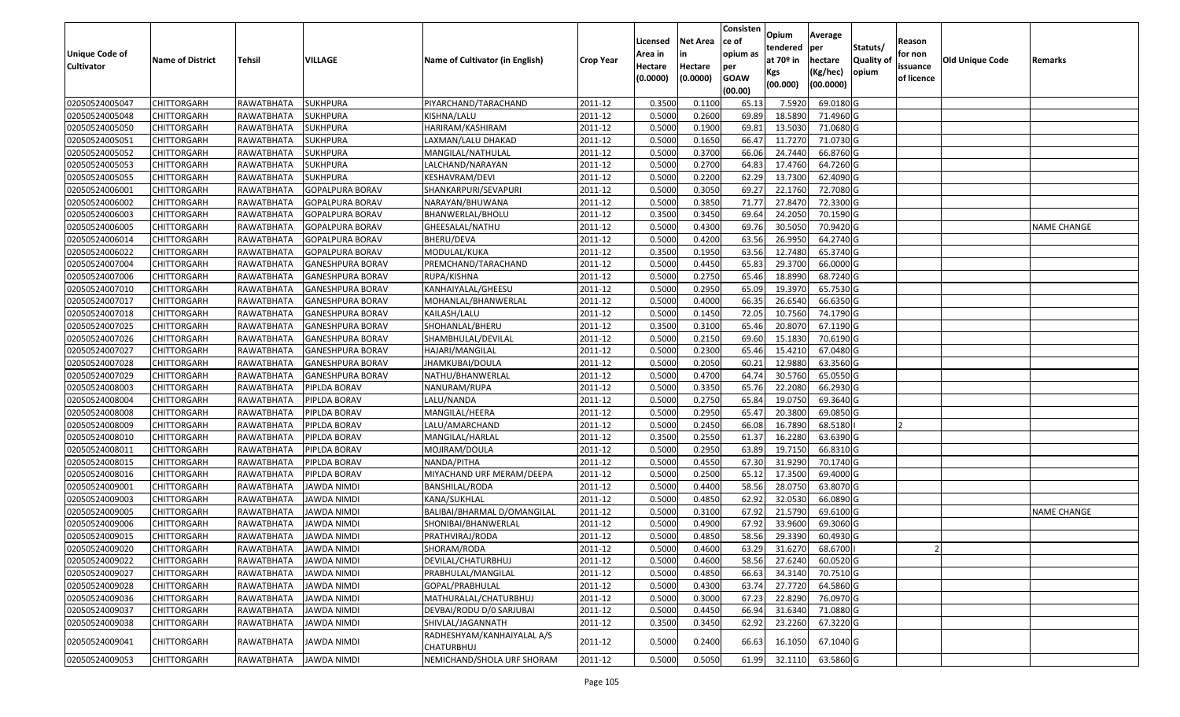| <b>Unique Code of</b> |                         |                        |                         |                                          |                  | Licensed<br>Area in | <b>Net Area</b>     | Consisten<br>ce of<br>opium as | Opium<br>tendered              | Average<br>per                   | Statuts/            | Reason<br>for non      |                        |                    |
|-----------------------|-------------------------|------------------------|-------------------------|------------------------------------------|------------------|---------------------|---------------------|--------------------------------|--------------------------------|----------------------------------|---------------------|------------------------|------------------------|--------------------|
| <b>Cultivator</b>     | <b>Name of District</b> | <b>Tehsil</b>          | <b>VILLAGE</b>          | Name of Cultivator (in English)          | <b>Crop Year</b> | Hectare<br>(0.0000) | Hectare<br>(0.0000) | per<br><b>GOAW</b><br>(00.00)  | at $70°$ in<br>Kgs<br>(00.000) | hectare<br>(Kg/hec)<br>(00.0000) | Quality of<br>opium | issuance<br>of licence | <b>Old Unique Code</b> | Remarks            |
| 02050524005047        | <b>CHITTORGARH</b>      | RAWATBHATA             | <b>SUKHPURA</b>         | PIYARCHAND/TARACHAND                     | 2011-12          | 0.3500              | 0.1100              | 65.13                          | 7.5920                         | 69.0180 G                        |                     |                        |                        |                    |
| 02050524005048        | CHITTORGARH             | RAWATBHATA             | <b>SUKHPURA</b>         | KISHNA/LALU                              | 2011-12          | 0.5000              | 0.2600              | 69.89                          | 18.5890                        | 71.4960 G                        |                     |                        |                        |                    |
| 02050524005050        | <b>CHITTORGARH</b>      | RAWATBHATA             | <b>SUKHPURA</b>         | HARIRAM/KASHIRAM                         | 2011-12          | 0.5000              | 0.1900              | 69.8                           | 13.5030                        | 71.0680 G                        |                     |                        |                        |                    |
| 02050524005051        | <b>CHITTORGARH</b>      | RAWATBHATA             | <b>SUKHPURA</b>         | LAXMAN/LALU DHAKAD                       | 2011-12          | 0.5000              | 0.1650              | 66.4                           | 11.7270                        | 71.0730 G                        |                     |                        |                        |                    |
| 02050524005052        | <b>CHITTORGARH</b>      | RAWATBHATA             | <b>SUKHPURA</b>         | MANGILAL/NATHULAL                        | 2011-12          | 0.5000              | 0.3700              | 66.06                          | 24.7440                        | 66.8760 G                        |                     |                        |                        |                    |
| 02050524005053        | CHITTORGARH             | RAWATBHATA             | <b>SUKHPURA</b>         | LALCHAND/NARAYAN                         | 2011-12          | 0.5000              | 0.2700              | 64.83                          | 17.4760                        | 64.7260 G                        |                     |                        |                        |                    |
| 02050524005055        | CHITTORGARH             | RAWATBHATA             | SUKHPURA                | KESHAVRAM/DEVI                           | 2011-12          | 0.5000              | 0.2200              | 62.29                          | 13.7300                        | 62.4090 G                        |                     |                        |                        |                    |
| 02050524006001        | <b>CHITTORGARH</b>      | RAWATBHATA             | <b>GOPALPURA BORAV</b>  | SHANKARPURI/SEVAPURI                     | 2011-12          | 0.5000              | 0.3050              | 69.27                          | 22.1760                        | 72.7080 G                        |                     |                        |                        |                    |
| 02050524006002        | <b>CHITTORGARH</b>      | RAWATBHATA             | <b>GOPALPURA BORAV</b>  | NARAYAN/BHUWANA                          | 2011-12          | 0.5000              | 0.3850              | 71.7                           | 27.8470                        | 72.3300 G                        |                     |                        |                        |                    |
| 02050524006003        | CHITTORGARH             | RAWATBHATA             | <b>GOPALPURA BORAV</b>  | BHANWERLAL/BHOLU                         | 2011-12          | 0.3500              | 0.3450              | 69.64                          | 24.2050                        | 70.1590 G                        |                     |                        |                        |                    |
| 02050524006005        | <b>CHITTORGARH</b>      | RAWATBHATA             | <b>GOPALPURA BORAV</b>  | GHEESALAL/NATHU                          | 2011-12          | 0.5000              | 0.4300              | 69.76                          | 30.5050                        | 70.9420 G                        |                     |                        |                        | <b>NAME CHANGE</b> |
| 02050524006014        | <b>CHITTORGARH</b>      | RAWATBHATA             | <b>GOPALPURA BORAV</b>  | <b>BHERU/DEVA</b>                        | 2011-12          | 0.5000              | 0.4200              | 63.56                          | 26.9950                        | 64.2740 G                        |                     |                        |                        |                    |
| 02050524006022        | CHITTORGARH             | RAWATBHATA             | <b>GOPALPURA BORAV</b>  | MODULAL/KUKA                             | 2011-12          | 0.3500              | 0.1950              | 63.56                          | 12.7480                        | 65.3740 G                        |                     |                        |                        |                    |
| 02050524007004        | <b>CHITTORGARH</b>      | RAWATBHATA             | <b>GANESHPURA BORAV</b> | PREMCHAND/TARACHAND                      | 2011-12          | 0.5000              | 0.4450              | 65.83                          | 29.3700                        | 66.0000 G                        |                     |                        |                        |                    |
| 02050524007006        | <b>CHITTORGARH</b>      | RAWATBHATA             | <b>GANESHPURA BORAV</b> | RUPA/KISHNA                              | 2011-12          | 0.5000              | 0.2750              | 65.46                          | 18.8990                        | 68.7240 G                        |                     |                        |                        |                    |
| 02050524007010        | <b>CHITTORGARH</b>      | RAWATBHATA             | <b>GANESHPURA BORAV</b> | KANHAIYALAL/GHEESU                       | 2011-12          | 0.5000              | 0.2950              | 65.09                          | 19.3970                        | 65.7530 G                        |                     |                        |                        |                    |
| 02050524007017        | <b>CHITTORGARH</b>      | RAWATBHATA             | <b>GANESHPURA BORAV</b> | MOHANLAL/BHANWERLAL                      | 2011-12          | 0.5000              | 0.4000              | 66.35                          | 26.6540                        | 66.6350 G                        |                     |                        |                        |                    |
| 02050524007018        | <b>CHITTORGARH</b>      | RAWATBHATA             | <b>GANESHPURA BORAV</b> | KAILASH/LALU                             | 2011-12          | 0.5000              | 0.1450              | 72.0                           | 10.7560                        | 74.1790 G                        |                     |                        |                        |                    |
| 02050524007025        | <b>CHITTORGARH</b>      | RAWATBHATA             | <b>GANESHPURA BORAV</b> | SHOHANLAL/BHERU                          | 2011-12          | 0.3500              | 0.3100              | 65.46                          | 20.8070                        | 67.1190 G                        |                     |                        |                        |                    |
| 02050524007026        | <b>CHITTORGARH</b>      | RAWATBHATA             | <b>GANESHPURA BORAV</b> | SHAMBHULAL/DEVILAL                       | 2011-12          | 0.5000              | 0.2150              | 69.60                          | 15.1830                        | 70.6190 G                        |                     |                        |                        |                    |
| 02050524007027        | <b>CHITTORGARH</b>      | RAWATBHATA             | <b>GANESHPURA BORAV</b> | HAJARI/MANGILAI                          | 2011-12          | 0.5000              | 0.2300              | 65.46                          | 15.4210                        | 67.0480 G                        |                     |                        |                        |                    |
| 02050524007028        | <b>CHITTORGARH</b>      | RAWATBHATA             | <b>GANESHPURA BORAV</b> | JHAMKUBAI/DOULA                          | 2011-12          | 0.5000              | 0.2050              | 60.21                          | 12.9880                        | 63.3560 G                        |                     |                        |                        |                    |
| 02050524007029        | CHITTORGARH             | RAWATBHATA             | <b>GANESHPURA BORAV</b> | NATHU/BHANWERLAL                         | 2011-12          | 0.5000              | 0.4700              | 64.7                           | 30.5760                        | 65.0550 G                        |                     |                        |                        |                    |
| 02050524008003        | <b>CHITTORGARH</b>      | RAWATBHATA             | PIPLDA BORAV            | NANURAM/RUPA                             | 2011-12          | 0.5000              | 0.3350              | 65.7                           | 22.2080                        | 66.2930 G                        |                     |                        |                        |                    |
| 02050524008004        | <b>CHITTORGARH</b>      | RAWATBHATA             | PIPLDA BORAV            | LALU/NANDA                               | 2011-12          | 0.5000              | 0.2750              | 65.84                          | 19.0750                        | 69.3640 G                        |                     |                        |                        |                    |
| 02050524008008        | <b>CHITTORGARH</b>      | RAWATBHATA             | PIPLDA BORAV            | MANGILAL/HEERA                           | 2011-12          | 0.5000              | 0.2950              | 65.47                          | 20.3800                        | 69.0850 G                        |                     |                        |                        |                    |
| 02050524008009        | CHITTORGARH             | RAWATBHATA             | PIPLDA BORAV            | LALU/AMARCHAND                           | 2011-12          | 0.5000              | 0.2450              | 66.08                          | 16.7890                        | 68.5180                          |                     |                        |                        |                    |
| 02050524008010        | <b>CHITTORGARH</b>      | RAWATBHATA             | PIPLDA BORAV            | MANGILAL/HARLAL                          | 2011-12          | 0.3500              | 0.2550              | 61.37                          | 16.2280                        | 63.6390 G                        |                     |                        |                        |                    |
| 02050524008011        | <b>CHITTORGARH</b>      | RAWATBHATA             | PIPLDA BORAV            | MOJIRAM/DOULA                            | 2011-12          | 0.5000              | 0.2950              | 63.89                          | 19.7150                        | 66.8310 G                        |                     |                        |                        |                    |
| 02050524008015        | <b>CHITTORGARH</b>      | RAWATBHATA             | PIPLDA BORAV            | NANDA/PITHA                              | 2011-12          | 0.5000              | 0.4550              | 67.30                          | 31.9290                        | 70.1740 G                        |                     |                        |                        |                    |
| 02050524008016        | CHITTORGARH             | RAWATBHATA             | PIPLDA BORAV            | MIYACHAND URF MERAM/DEEPA                | 2011-12          | 0.5000              | 0.2500              | 65.1                           | 17.3500                        | 69.4000 G                        |                     |                        |                        |                    |
| 02050524009001        | CHITTORGARH             | RAWATBHATA             | <b>JAWDA NIMDI</b>      | BANSHILAL/RODA                           | 2011-12          | 0.5000              | 0.4400              | 58.56                          | 28.0750                        | 63.8070 G                        |                     |                        |                        |                    |
| 02050524009003        | <b>CHITTORGARH</b>      | RAWATBHATA             | <b>JAWDA NIMDI</b>      | KANA/SUKHLAL                             | 2011-12          | 0.5000              | 0.4850              | 62.92                          | 32.0530                        | 66.0890 G                        |                     |                        |                        |                    |
| 02050524009005        | CHITTORGARH             | RAWATBHATA             | JAWDA NIMDI             | BALIBAI/BHARMAL D/OMANGILAL              | 2011-12          | 0.500               | 0.3100              | 67.92                          | 21.5790                        | 69.6100 G                        |                     |                        |                        | <b>NAME CHANGE</b> |
| 02050524009006        | CHITTORGARH             | RAWATBHATA             | JAWDA NIMDI             | SHONIBAI/BHANWERLAL                      | 2011-12          | 0.500               | 0.4900              | 67.92                          | 33.9600                        | 69.3060 G                        |                     |                        |                        |                    |
| 02050524009015        | <b>CHITTORGARH</b>      | RAWATBHATA             | <b>JAWDA NIMDI</b>      | PRATHVIRAJ/RODA                          | 2011-12          | 0.5000              | 0.4850              | 58.56                          | 29.3390                        | 60.4930 G                        |                     |                        |                        |                    |
| 02050524009020        | <b>CHITTORGARH</b>      | RAWATBHATA JAWDA NIMDI |                         | SHORAM/RODA                              | 2011-12          | 0.5000              | 0.4600              | 63.29                          | 31.6270                        | 68.6700                          |                     |                        |                        |                    |
| 02050524009022        | <b>CHITTORGARH</b>      | RAWATBHATA             | <b>JAWDA NIMDI</b>      | DEVILAL/CHATURBHUJ                       | 2011-12          | 0.5000              | 0.4600              | 58.56                          | 27.6240                        | 60.0520 G                        |                     |                        |                        |                    |
| 02050524009027        | <b>CHITTORGARH</b>      | RAWATBHATA             | JAWDA NIMDI             | PRABHULAL/MANGILAL                       | 2011-12          | 0.5000              | 0.4850              | 66.63                          | 34.3140                        | 70.7510 G                        |                     |                        |                        |                    |
| 02050524009028        | <b>CHITTORGARH</b>      | RAWATBHATA             | <b>JAWDA NIMDI</b>      | GOPAL/PRABHULAL                          | 2011-12          | 0.5000              | 0.4300              | 63.74                          | 27.7720                        | 64.5860 G                        |                     |                        |                        |                    |
| 02050524009036        | CHITTORGARH             | RAWATBHATA             | <b>JAWDA NIMDI</b>      | MATHURALAL/CHATURBHUJ                    | 2011-12          | 0.5000              | 0.3000              | 67.23                          | 22.8290                        | 76.0970 G                        |                     |                        |                        |                    |
| 02050524009037        | <b>CHITTORGARH</b>      | RAWATBHATA             | <b>JAWDA NIMDI</b>      | DEVBAI/RODU D/0 SARJUBAI                 | 2011-12          | 0.5000              | 0.4450              | 66.94                          | 31.6340                        | 71.0880 G                        |                     |                        |                        |                    |
| 02050524009038        | <b>CHITTORGARH</b>      | RAWATBHATA             | <b>JAWDA NIMDI</b>      | SHIVLAL/JAGANNATH                        | 2011-12          | 0.3500              | 0.3450              | 62.92                          | 23.2260                        | 67.3220 G                        |                     |                        |                        |                    |
| 02050524009041        | <b>CHITTORGARH</b>      | RAWATBHATA             | JAWDA NIMDI             | RADHESHYAM/KANHAIYALAL A/S<br>CHATURBHUJ | 2011-12          | 0.5000              | 0.2400              | 66.63                          | 16.1050                        | 67.1040 G                        |                     |                        |                        |                    |
| 02050524009053        | <b>CHITTORGARH</b>      | RAWATBHATA             | <b>JAWDA NIMDI</b>      | NEMICHAND/SHOLA URF SHORAM               | 2011-12          | 0.5000              | 0.5050              | 61.99                          | 32.1110                        | 63.5860 G                        |                     |                        |                        |                    |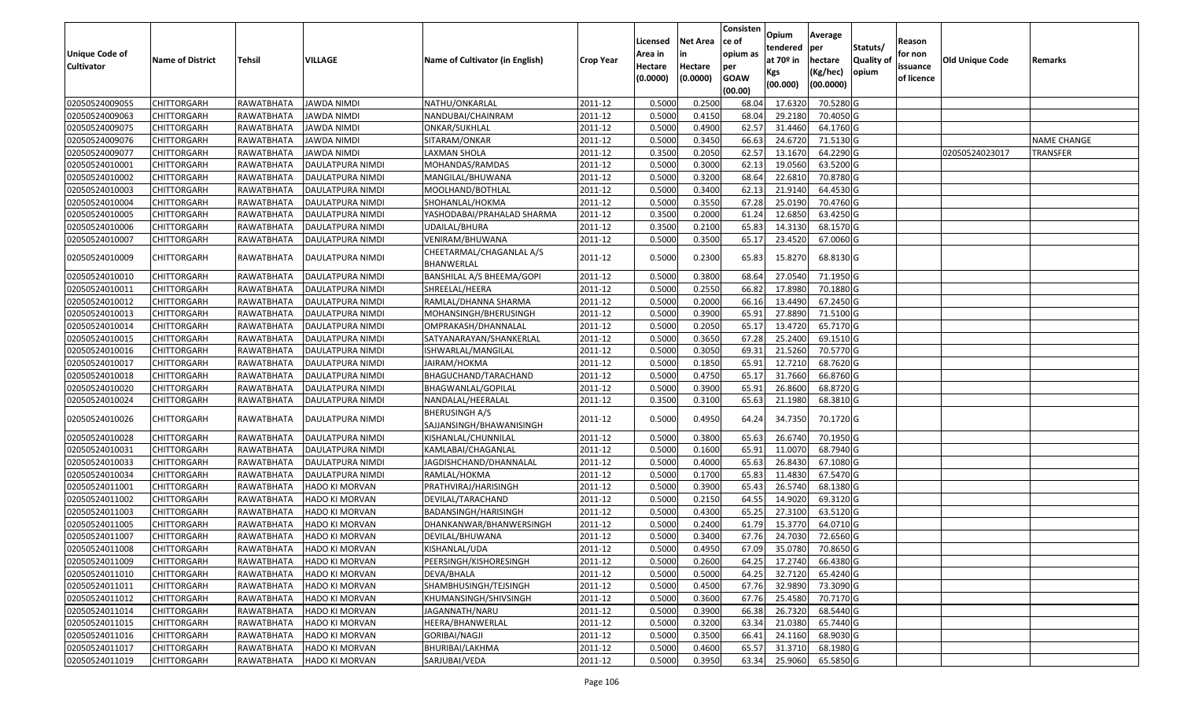| <b>Unique Code of</b><br><b>Cultivator</b> | <b>Name of District</b> | <b>Tehsil</b> | VILLAGE                 | Name of Cultivator (in English)            | <b>Crop Year</b> | Licensed<br>Area in<br>Hectare | <b>Net Area</b><br>Hectare | Consisten<br>ce of<br>opium as<br>per | Opium<br>tendered<br>at 70º in<br>Kgs | Average<br>per<br>hectare<br>(Kg/hec) | Statuts/<br>Quality of<br>opium | Reason<br>for non<br>issuance | Old Unique Code | Remarks         |
|--------------------------------------------|-------------------------|---------------|-------------------------|--------------------------------------------|------------------|--------------------------------|----------------------------|---------------------------------------|---------------------------------------|---------------------------------------|---------------------------------|-------------------------------|-----------------|-----------------|
|                                            |                         |               |                         |                                            |                  | (0.0000)                       | (0.0000)                   | <b>GOAW</b><br>(00.00)                | (00.000)                              | (00.0000)                             |                                 | of licence                    |                 |                 |
| 02050524009055                             | <b>CHITTORGARH</b>      | RAWATBHATA    | <b>JAWDA NIMDI</b>      | NATHU/ONKARLAL                             | 2011-12          | 0.500                          | 0.2500                     | 68.04                                 | 17.6320                               | 70.5280 G                             |                                 |                               |                 |                 |
| 02050524009063                             | CHITTORGARH             | RAWATBHATA    | <b>JAWDA NIMDI</b>      | NANDUBAI/CHAINRAM                          | 2011-12          | 0.5000                         | 0.4150                     | 68.04                                 | 29.2180                               | 70.4050 G                             |                                 |                               |                 |                 |
| 02050524009075                             | <b>CHITTORGARH</b>      | RAWATBHATA    | JAWDA NIMDI             | ONKAR/SUKHLAL                              | 2011-12          | 0.5000                         | 0.4900                     | 62.57                                 | 31.4460                               | 64.1760 G                             |                                 |                               |                 |                 |
| 02050524009076                             | <b>CHITTORGARH</b>      | RAWATBHATA    | <b>JAWDA NIMDI</b>      | SITARAM/ONKAR                              | 2011-12          | 0.5000                         | 0.3450                     | 66.63                                 | 24.6720                               | 71.5130 G                             |                                 |                               |                 | NAME CHANGE     |
| 02050524009077                             | <b>CHITTORGARH</b>      | RAWATBHATA    | <b>JAWDA NIMDI</b>      | LAXMAN SHOLA                               | 2011-12          | 0.3500                         | 0.2050                     | 62.5                                  | 13.1670                               | 64.2290 G                             |                                 |                               | 02050524023017  | <b>TRANSFER</b> |
| 02050524010001                             | CHITTORGARH             | RAWATBHATA    | DAULATPURA NIMDI        | MOHANDAS/RAMDAS                            | 2011-12          | 0.5000                         | 0.3000                     | 62.1                                  | 19.0560                               | 63.5200 G                             |                                 |                               |                 |                 |
| 02050524010002                             | CHITTORGARH             | RAWATBHATA    | DAULATPURA NIMDI        | MANGILAL/BHUWANA                           | 2011-12          | 0.5000                         | 0.3200                     | 68.6                                  | 22.6810                               | 70.8780 G                             |                                 |                               |                 |                 |
| 02050524010003                             | <b>CHITTORGARH</b>      | RAWATBHATA    | <b>DAULATPURA NIMDI</b> | MOOLHAND/BOTHLAI                           | 2011-12          | 0.5000                         | 0.3400                     | 62.1                                  | 21.9140                               | 64.4530 G                             |                                 |                               |                 |                 |
| 02050524010004                             | <b>CHITTORGARH</b>      | RAWATBHATA    | DAULATPURA NIMDI        | SHOHANLAL/HOKMA                            | 2011-12          | 0.5000                         | 0.3550                     | 67.2                                  | 25.0190                               | 70.4760 G                             |                                 |                               |                 |                 |
| 02050524010005                             | CHITTORGARH             | RAWATBHATA    | DAULATPURA NIMDI        | YASHODABAI/PRAHALAD SHARMA                 | 2011-12          | 0.3500                         | 0.2000                     | 61.24                                 | 12.6850                               | 63.4250 G                             |                                 |                               |                 |                 |
| 02050524010006                             | CHITTORGARH             | RAWATBHATA    | DAULATPURA NIMDI        | UDAILAL/BHURA                              | 2011-12          | 0.3500                         | 0.2100                     | 65.83                                 | 14.3130                               | 68.1570 G                             |                                 |                               |                 |                 |
| 02050524010007                             | CHITTORGARH             | RAWATBHATA    | DAULATPURA NIMDI        | VENIRAM/BHUWANA                            | 2011-12          | 0.5000                         | 0.3500                     | 65.1                                  | 23.4520                               | 67.0060 G                             |                                 |                               |                 |                 |
| 02050524010009                             | CHITTORGARH             | RAWATBHATA    | DAULATPURA NIMDI        | CHEETARMAL/CHAGANLAL A/S<br>BHANWERLAL     | 2011-12          | 0.5000                         | 0.2300                     | 65.83                                 | 15.8270                               | 68.8130 G                             |                                 |                               |                 |                 |
| 02050524010010                             | CHITTORGARH             | RAWATBHATA    | DAULATPURA NIMDI        | BANSHILAL A/S BHEEMA/GOPI                  | 2011-12          | 0.5000                         | 0.3800                     | 68.64                                 | 27.0540                               | 71.1950 G                             |                                 |                               |                 |                 |
| 02050524010011                             | <b>CHITTORGARH</b>      | RAWATBHATA    | DAULATPURA NIMDI        | SHREELAL/HEERA                             | 2011-12          | 0.5000                         | 0.2550                     | 66.82                                 | 17.8980                               | 70.1880 G                             |                                 |                               |                 |                 |
| 02050524010012                             | <b>CHITTORGARH</b>      | RAWATBHATA    | <b>DAULATPURA NIMDI</b> | RAMLAL/DHANNA SHARMA                       | 2011-12          | 0.5000                         | 0.2000                     | 66.16                                 | 13.4490                               | 67.2450 G                             |                                 |                               |                 |                 |
| 02050524010013                             | <b>CHITTORGARH</b>      | RAWATBHATA    | DAULATPURA NIMDI        | MOHANSINGH/BHERUSINGH                      | 2011-12          | 0.5000                         | 0.3900                     | 65.91                                 | 27.8890                               | 71.5100 G                             |                                 |                               |                 |                 |
| 02050524010014                             | CHITTORGARH             | RAWATBHATA    | DAULATPURA NIMDI        | OMPRAKASH/DHANNALAL                        | 2011-12          | 0.5000                         | 0.2050                     | 65.1                                  | 13.4720                               | 65.7170 G                             |                                 |                               |                 |                 |
| 02050524010015                             | <b>CHITTORGARH</b>      | RAWATBHATA    | DAULATPURA NIMDI        | SATYANARAYAN/SHANKERLAL                    | 2011-12          | 0.5000                         | 0.3650                     | 67.28                                 | 25.2400                               | 69.1510 G                             |                                 |                               |                 |                 |
| 02050524010016                             | <b>CHITTORGARH</b>      | RAWATBHATA    | DAULATPURA NIMDI        | ISHWARLAL/MANGILAL                         | 2011-12          | 0.5000                         | 0.3050                     | 69.31                                 | 21.5260                               | 70.5770 G                             |                                 |                               |                 |                 |
| 02050524010017                             | <b>CHITTORGARH</b>      | RAWATBHATA    | DAULATPURA NIMDI        | JAIRAM/HOKMA                               | 2011-12          | 0.5000                         | 0.1850                     | 65.91                                 | 12.7210                               | 68.7620 G                             |                                 |                               |                 |                 |
| 02050524010018                             | CHITTORGARH             | RAWATBHATA    | DAULATPURA NIMDI        | BHAGUCHAND/TARACHAND                       | 2011-12          | 0.5000                         | 0.4750                     | 65.1                                  | 31.7660                               | 66.8760 G                             |                                 |                               |                 |                 |
| 02050524010020                             | <b>CHITTORGARH</b>      | RAWATBHATA    | DAULATPURA NIMDI        | BHAGWANLAL/GOPILAL                         | 2011-12          | 0.5000                         | 0.3900                     | 65.91                                 | 26.8600                               | 68.8720 G                             |                                 |                               |                 |                 |
| 02050524010024                             | <b>CHITTORGARH</b>      | RAWATBHATA    | DAULATPURA NIMDI        | NANDALAL/HEERALAL                          | 2011-12          | 0.3500                         | 0.3100                     | 65.63                                 | 21.1980                               | 68.3810 G                             |                                 |                               |                 |                 |
| 02050524010026                             | CHITTORGARH             | RAWATBHATA    | DAULATPURA NIMDI        | BHERUSINGH A/S<br>SAJJANSINGH/BHAWANISINGH | 2011-12          | 0.5000                         | 0.4950                     | 64.24                                 | 34.7350                               | 70.1720 G                             |                                 |                               |                 |                 |
| 02050524010028                             | CHITTORGARH             | RAWATBHATA    | DAULATPURA NIMDI        | KISHANLAL/CHUNNILAL                        | 2011-12          | 0.5000                         | 0.3800                     | 65.63                                 | 26.6740                               | 70.1950 G                             |                                 |                               |                 |                 |
| 02050524010031                             | <b>CHITTORGARH</b>      | RAWATBHATA    | <b>DAULATPURA NIMDI</b> | KAMLABAI/CHAGANLAL                         | 2011-12          | 0.5000                         | 0.1600                     | 65.91                                 | 11.0070                               | 68.7940 G                             |                                 |                               |                 |                 |
| 02050524010033                             | <b>CHITTORGARH</b>      | RAWATBHATA    | DAULATPURA NIMDI        | JAGDISHCHAND/DHANNALAL                     | 2011-12          | 0.5000                         | 0.4000                     | 65.63                                 | 26.8430                               | 67.1080 G                             |                                 |                               |                 |                 |
| 02050524010034                             | CHITTORGARH             | RAWATBHATA    | DAULATPURA NIMDI        | RAMLAL/HOKMA                               | 2011-12          | 0.5000                         | 0.1700                     | 65.83                                 | 11.4830                               | 67.5470 G                             |                                 |                               |                 |                 |
| 02050524011001                             | <b>CHITTORGARH</b>      | RAWATBHATA    | <b>HADO KI MORVAN</b>   | PRATHVIRAJ/HARISINGH                       | 2011-12          | 0.5000                         | 0.3900                     | 65.43                                 | 26.5740                               | 68.1380 G                             |                                 |                               |                 |                 |
| 02050524011002                             | <b>CHITTORGARH</b>      | RAWATBHATA    | HADO KI MORVAN          | DEVILAL/TARACHAND                          | 2011-12          | 0.5000                         | 0.2150                     | 64.5                                  | 14.9020                               | 69.3120 G                             |                                 |                               |                 |                 |
| 02050524011003                             | CHITTORGARH             | RAWATBHATA    | <b>HADO KI MORVAN</b>   | BADANSINGH/HARISINGH                       | 2011-12          | 0.5000                         | 0.4300                     | 65.25                                 | 27.3100                               | 63.5120 G                             |                                 |                               |                 |                 |
| 02050524011005                             | CHITTORGARH             | RAWATBHATA    | HADO KI MORVAN          | DHANKANWAR/BHANWERSINGH                    | 2011-12          | 0.5000                         | 0.2400                     | 61.7                                  | 15.3770                               | 64.0710 G                             |                                 |                               |                 |                 |
| 02050524011007                             | <b>CHITTORGARH</b>      | RAWATBHATA    | <b>HADO KI MORVAN</b>   | DEVILAL/BHUWANA                            | 2011-12          | 0.5000                         | 0.3400                     | 67.76                                 | 24.7030                               | 72.6560 G                             |                                 |                               |                 |                 |
| 02050524011008                             | CHITTORGARH             | RAWATBHATA    | <b>HADO KI MORVAN</b>   | KISHANLAL/UDA                              | 2011-12          | 0.5000                         | 0.4950                     | 67.09                                 | 35.0780                               | 70.8650 G                             |                                 |                               |                 |                 |
| 02050524011009                             | <b>CHITTORGARH</b>      | RAWATBHATA    | <b>HADO KI MORVAN</b>   | PEERSINGH/KISHORESINGH                     | 2011-12          | 0.5000                         | 0.2600                     | 64.25                                 | 17.2740                               | 66.4380 G                             |                                 |                               |                 |                 |
| 02050524011010                             | <b>CHITTORGARH</b>      | RAWATBHATA    | HADO KI MORVAN          | DEVA/BHALA                                 | 2011-12          | 0.5000                         | 0.5000                     | 64.25                                 | 32.7120                               | 65.4240 G                             |                                 |                               |                 |                 |
| 02050524011011                             | <b>CHITTORGARH</b>      | RAWATBHATA    | <b>HADO KI MORVAN</b>   | SHAMBHUSINGH/TEJSINGH                      | 2011-12          | 0.5000                         | 0.4500                     | 67.76                                 | 32.9890                               | 73.3090 G                             |                                 |                               |                 |                 |
| 02050524011012                             | <b>CHITTORGARH</b>      | RAWATBHATA    | <b>HADO KI MORVAN</b>   | KHUMANSINGH/SHIVSINGH                      | 2011-12          | 0.5000                         | 0.3600                     | 67.76                                 | 25.4580                               | 70.7170 G                             |                                 |                               |                 |                 |
| 02050524011014                             | <b>CHITTORGARH</b>      | RAWATBHATA    | <b>HADO KI MORVAN</b>   | JAGANNATH/NARU                             | 2011-12          | 0.5000                         | 0.3900                     | 66.38                                 | 26.7320                               | 68.5440 G                             |                                 |                               |                 |                 |
| 02050524011015                             | <b>CHITTORGARH</b>      | RAWATBHATA    | <b>HADO KI MORVAN</b>   | HEERA/BHANWERLAL                           | 2011-12          | 0.5000                         | 0.3200                     | 63.34                                 | 21.0380                               | 65.7440 G                             |                                 |                               |                 |                 |
| 02050524011016                             | <b>CHITTORGARH</b>      | RAWATBHATA    | <b>HADO KI MORVAN</b>   | GORIBAI/NAGJI                              | 2011-12          | 0.5000                         | 0.3500                     | 66.41                                 | 24.1160                               | 68.9030 G                             |                                 |                               |                 |                 |
| 02050524011017                             | <b>CHITTORGARH</b>      | RAWATBHATA    | <b>HADO KI MORVAN</b>   | BHURIBAI/LAKHMA                            | 2011-12          | 0.5000                         | 0.4600                     | 65.57                                 | 31.3710                               | 68.1980 G                             |                                 |                               |                 |                 |
| 02050524011019                             | <b>CHITTORGARH</b>      | RAWATBHATA    | HADO KI MORVAN          | SARJUBAI/VEDA                              | 2011-12          | 0.5000                         | 0.3950                     | 63.34                                 | 25.9060                               | 65.5850 G                             |                                 |                               |                 |                 |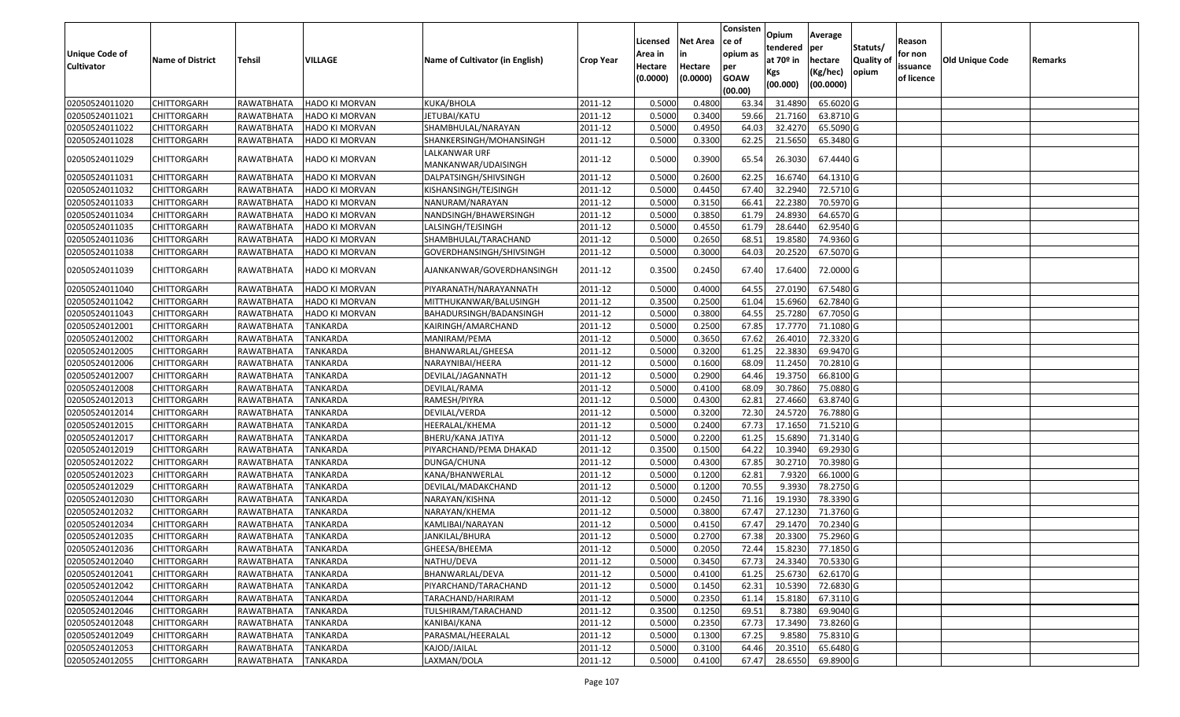| <b>Unique Code of</b> |                         |               |                       |                                      |                  | Licensed<br>Area in | <b>Net Area</b><br>in | Consisten<br>ce of<br>opium as | Opium<br>tendered              | Average<br>per                   | Statuts/                  | Reason<br>for non      |                 |         |
|-----------------------|-------------------------|---------------|-----------------------|--------------------------------------|------------------|---------------------|-----------------------|--------------------------------|--------------------------------|----------------------------------|---------------------------|------------------------|-----------------|---------|
| <b>Cultivator</b>     | <b>Name of District</b> | <b>Tehsil</b> | VILLAGE               | Name of Cultivator (in English)      | <b>Crop Year</b> | Hectare<br>(0.0000) | Hectare<br>(0.0000)   | per<br><b>GOAW</b><br>(00.00)  | at $70°$ in<br>Kgs<br>(00.000) | hectare<br>(Kg/hec)<br>(00.0000) | <b>Quality o</b><br>opium | issuance<br>of licence | Old Unique Code | Remarks |
| 02050524011020        | CHITTORGARH             | RAWATBHATA    | HADO KI MORVAN        | KUKA/BHOLA                           | 2011-12          | 0.5000              | 0.4800                | 63.34                          | 31.4890                        | 65.6020 G                        |                           |                        |                 |         |
| 02050524011021        | CHITTORGARH             | RAWATBHATA    | HADO KI MORVAN        | JETUBAI/KATU                         | 2011-12          | 0.5000              | 0.3400                | 59.66                          | 21.7160                        | 63.8710 G                        |                           |                        |                 |         |
| 02050524011022        | CHITTORGARH             | RAWATBHATA    | HADO KI MORVAN        | SHAMBHULAL/NARAYAN                   | 2011-12          | 0.5000              | 0.4950                | 64.03                          | 32.4270                        | 65.5090 G                        |                           |                        |                 |         |
| 02050524011028        | CHITTORGARH             | RAWATBHATA    | <b>HADO KI MORVAN</b> | SHANKERSINGH/MOHANSINGH              | 2011-12          | 0.5000              | 0.3300                | 62.25                          | 21.5650                        | 65.3480 G                        |                           |                        |                 |         |
| 02050524011029        | CHITTORGARH             | RAWATBHATA    | HADO KI MORVAN        | LALKANWAR URF<br>MANKANWAR/UDAISINGH | 2011-12          | 0.5000              | 0.3900                | 65.54                          | 26.3030                        | 67.4440 G                        |                           |                        |                 |         |
| 02050524011031        | CHITTORGARH             | RAWATBHATA    | HADO KI MORVAN        | DALPATSINGH/SHIVSINGH                | 2011-12          | 0.5000              | 0.2600                | 62.25                          | 16.6740                        | 64.1310 G                        |                           |                        |                 |         |
| 02050524011032        | <b>CHITTORGARH</b>      | RAWATBHATA    | HADO KI MORVAN        | KISHANSINGH/TEJSINGH                 | 2011-12          | 0.5000              | 0.4450                | 67.40                          | 32.2940                        | 72.5710 G                        |                           |                        |                 |         |
| 02050524011033        | CHITTORGARH             | RAWATBHATA    | HADO KI MORVAN        | NANURAM/NARAYAN                      | 2011-12          | 0.5000              | 0.3150                | 66.4                           | 22.2380                        | 70.5970 G                        |                           |                        |                 |         |
| 02050524011034        | CHITTORGARH             | RAWATBHATA    | HADO KI MORVAN        | NANDSINGH/BHAWERSINGH                | 2011-12          | 0.5000              | 0.3850                | 61.79                          | 24.8930                        | 64.6570 G                        |                           |                        |                 |         |
| 02050524011035        | CHITTORGARH             | RAWATBHATA    | HADO KI MORVAN        | LALSINGH/TEJSINGH                    | 2011-12          | 0.5000              | 0.4550                | 61.79                          | 28.6440                        | 62.9540 G                        |                           |                        |                 |         |
| 02050524011036        | <b>CHITTORGARH</b>      | RAWATBHATA    | HADO KI MORVAN        | SHAMBHULAL/TARACHAND                 | 2011-12          | 0.5000              | 0.2650                | 68.5                           | 19.8580                        | 74.9360 G                        |                           |                        |                 |         |
| 02050524011038        | <b>CHITTORGARH</b>      | RAWATBHATA    | <b>HADO KI MORVAN</b> | GOVERDHANSINGH/SHIVSINGH             | 2011-12          | 0.5000              | 0.3000                | 64.03                          | 20.2520                        | 67.5070 G                        |                           |                        |                 |         |
| 02050524011039        | CHITTORGARH             | RAWATBHATA    | HADO KI MORVAN        | AJANKANWAR/GOVERDHANSINGH            | 2011-12          | 0.3500              | 0.2450                | 67.40                          | 17.6400                        | 72.0000 G                        |                           |                        |                 |         |
| 02050524011040        | CHITTORGARH             | RAWATBHATA    | <b>HADO KI MORVAN</b> | PIYARANATH/NARAYANNATH               | 2011-12          | 0.5000              | 0.4000                | 64.55                          | 27.0190                        | 67.5480 G                        |                           |                        |                 |         |
| 02050524011042        | CHITTORGARH             | RAWATBHATA    | <b>HADO KI MORVAN</b> | MITTHUKANWAR/BALUSINGH               | 2011-12          | 0.3500              | 0.2500                | 61.04                          | 15.6960                        | 62.7840 G                        |                           |                        |                 |         |
| 02050524011043        | <b>CHITTORGARH</b>      | RAWATBHATA    | HADO KI MORVAN        | BAHADURSINGH/BADANSINGH              | 2011-12          | 0.5000              | 0.3800                | 64.55                          | 25.7280                        | 67.7050 G                        |                           |                        |                 |         |
| 02050524012001        | CHITTORGARH             | RAWATBHATA    | <b>TANKARDA</b>       | KAIRINGH/AMARCHAND                   | 2011-12          | 0.5000              | 0.2500                | 67.85                          | 17.7770                        | 71.1080G                         |                           |                        |                 |         |
| 02050524012002        | <b>CHITTORGARH</b>      | RAWATBHATA    | <b>TANKARDA</b>       | MANIRAM/PEMA                         | 2011-12          | 0.5000              | 0.3650                | 67.62                          | 26.4010                        | 72.3320 G                        |                           |                        |                 |         |
| 02050524012005        | <b>CHITTORGARH</b>      | RAWATBHATA    | <b>TANKARDA</b>       | BHANWARLAL/GHEESA                    | 2011-12          | 0.5000              | 0.3200                | 61.25                          | 22.3830                        | 69.9470 G                        |                           |                        |                 |         |
| 02050524012006        | CHITTORGARH             | RAWATBHATA    | <b>TANKARDA</b>       | NARAYNIBAI/HEERA                     | 2011-12          | 0.5000              | 0.1600                | 68.09                          | 11.2450                        | 70.2810 G                        |                           |                        |                 |         |
| 02050524012007        | CHITTORGARH             | RAWATBHATA    | <b>TANKARDA</b>       | DEVILAL/JAGANNATH                    | 2011-12          | 0.5000              | 0.2900                | 64.46                          | 19.3750                        | 66.8100 G                        |                           |                        |                 |         |
| 02050524012008        | CHITTORGARH             | RAWATBHATA    | <b>TANKARDA</b>       | DEVILAL/RAMA                         | 2011-12          | 0.5000              | 0.4100                | 68.09                          | 30.7860                        | 75.0880 G                        |                           |                        |                 |         |
| 02050524012013        | CHITTORGARH             | RAWATBHATA    | <b>TANKARDA</b>       | RAMESH/PIYRA                         | 2011-12          | 0.5000              | 0.4300                | 62.8                           | 27.4660                        | 63.8740 G                        |                           |                        |                 |         |
| 02050524012014        | CHITTORGARH             | RAWATBHATA    | <b>TANKARDA</b>       | DEVILAL/VERDA                        | 2011-12          | 0.5000              | 0.3200                | 72.3                           | 24.5720                        | 76.7880 G                        |                           |                        |                 |         |
| 02050524012015        | CHITTORGARH             | RAWATBHATA    | <b>TANKARDA</b>       | HEERALAL/KHEMA                       | 2011-12          | 0.5000              | 0.2400                | 67.73                          | 17.1650                        | 71.5210G                         |                           |                        |                 |         |
| 02050524012017        | CHITTORGARH             | RAWATBHATA    | TANKARDA              | BHERU/KANA JATIYA                    | 2011-12          | 0.5000              | 0.2200                | 61.25                          | 15.6890                        | 71.3140 G                        |                           |                        |                 |         |
| 02050524012019        | CHITTORGARH             | RAWATBHATA    | <b>TANKARDA</b>       | PIYARCHAND/PEMA DHAKAD               | 2011-12          | 0.3500              | 0.1500                | 64.22                          | 10.3940                        | 69.2930 G                        |                           |                        |                 |         |
| 02050524012022        | <b>CHITTORGARH</b>      | RAWATBHATA    | TANKARDA              | DUNGA/CHUNA                          | 2011-12          | 0.5000              | 0.4300                | 67.85                          | 30.2710                        | 70.3980 G                        |                           |                        |                 |         |
| 02050524012023        | CHITTORGARH             | RAWATBHATA    | TANKARDA              | KANA/BHANWERLAL                      | 2011-12          | 0.5000              | 0.1200                | 62.8                           | 7.9320                         | 66.1000 G                        |                           |                        |                 |         |
| 02050524012029        | <b>CHITTORGARH</b>      | RAWATBHATA    | TANKARDA              | DEVILAL/MADAKCHAND                   | 2011-12          | 0.5000              | 0.1200                | 70.55                          | 9.3930                         | 78.2750 G                        |                           |                        |                 |         |
| 02050524012030        | <b>CHITTORGARH</b>      | RAWATBHATA    | <b>TANKARDA</b>       | NARAYAN/KISHNA                       | 2011-12          | 0.5000              | 0.2450                | 71.16                          | 19.193                         | 78.3390 G                        |                           |                        |                 |         |
| 02050524012032        | <b>CHITTORGARH</b>      | RAWATBHATA    | <b>TANKARDA</b>       | NARAYAN/KHEMA                        | 2011-12          | 0.5000              | 0.3800                | 67.47                          | 27.1230                        | 71.3760 G                        |                           |                        |                 |         |
| 02050524012034        | <b>CHITTORGARH</b>      | RAWATBHATA    | TANKARDA              | KAMLIBAI/NARAYAN                     | 2011-12          | 0.500               | 0.4150                | 67.47                          | 29.1470                        | 70.2340 G                        |                           |                        |                 |         |
| 02050524012035        | CHITTORGARH             | RAWATBHATA    | <b>TANKARDA</b>       | JANKILAL/BHURA                       | 2011-12          | 0.5000              | 0.2700                | 67.38                          | 20.3300                        | 75.2960 G                        |                           |                        |                 |         |
| 02050524012036        | <b>CHITTORGARH</b>      | RAWATBHATA    | <b>TANKARDA</b>       | GHEESA/BHEEMA                        | 2011-12          | 0.5000              | 0.2050                | 72.44                          | 15.8230                        | 77.1850 G                        |                           |                        |                 |         |
| 02050524012040        | <b>CHITTORGARH</b>      | RAWATBHATA    | TANKARDA              | NATHU/DEVA                           | 2011-12          | 0.5000              | 0.3450                | 67.73                          | 24.3340                        | 70.5330 G                        |                           |                        |                 |         |
| 02050524012041        | <b>CHITTORGARH</b>      | RAWATBHATA    | <b>TANKARDA</b>       | BHANWARLAL/DEVA                      | 2011-12          | 0.5000              | 0.4100                | 61.25                          | 25.6730                        | 62.6170 G                        |                           |                        |                 |         |
| 02050524012042        | <b>CHITTORGARH</b>      | RAWATBHATA    | <b>TANKARDA</b>       | PIYARCHAND/TARACHAND                 | 2011-12          | 0.5000              | 0.1450                | 62.31                          | 10.5390                        | 72.6830 G                        |                           |                        |                 |         |
| 02050524012044        | <b>CHITTORGARH</b>      | RAWATBHATA    | <b>TANKARDA</b>       | TARACHAND/HARIRAM                    | 2011-12          | 0.5000              | 0.2350                | 61.14                          | 15.8180                        | 67.3110 G                        |                           |                        |                 |         |
| 02050524012046        | <b>CHITTORGARH</b>      | RAWATBHATA    | <b>TANKARDA</b>       | TULSHIRAM/TARACHAND                  | 2011-12          | 0.3500              | 0.1250                | 69.51                          | 8.7380                         | 69.9040 G                        |                           |                        |                 |         |
| 02050524012048        | <b>CHITTORGARH</b>      | RAWATBHATA    | <b>TANKARDA</b>       | KANIBAI/KANA                         | 2011-12          | 0.5000              | 0.2350                | 67.73                          | 17.3490                        | 73.8260 G                        |                           |                        |                 |         |
| 02050524012049        | <b>CHITTORGARH</b>      | RAWATBHATA    | TANKARDA              | PARASMAL/HEERALAL                    | 2011-12          | 0.5000              | 0.1300                | 67.25                          | 9.8580                         | 75.8310 G                        |                           |                        |                 |         |
| 02050524012053        | <b>CHITTORGARH</b>      | RAWATBHATA    | <b>TANKARDA</b>       | KAJOD/JAILAL                         | 2011-12          | 0.5000              | 0.3100                | 64.46                          | 20.3510                        | 65.6480 G                        |                           |                        |                 |         |
| 02050524012055        | <b>CHITTORGARH</b>      | RAWATBHATA    | <b>TANKARDA</b>       | LAXMAN/DOLA                          | 2011-12          | 0.5000              | 0.4100                | 67.47                          | 28.6550                        | 69.8900 G                        |                           |                        |                 |         |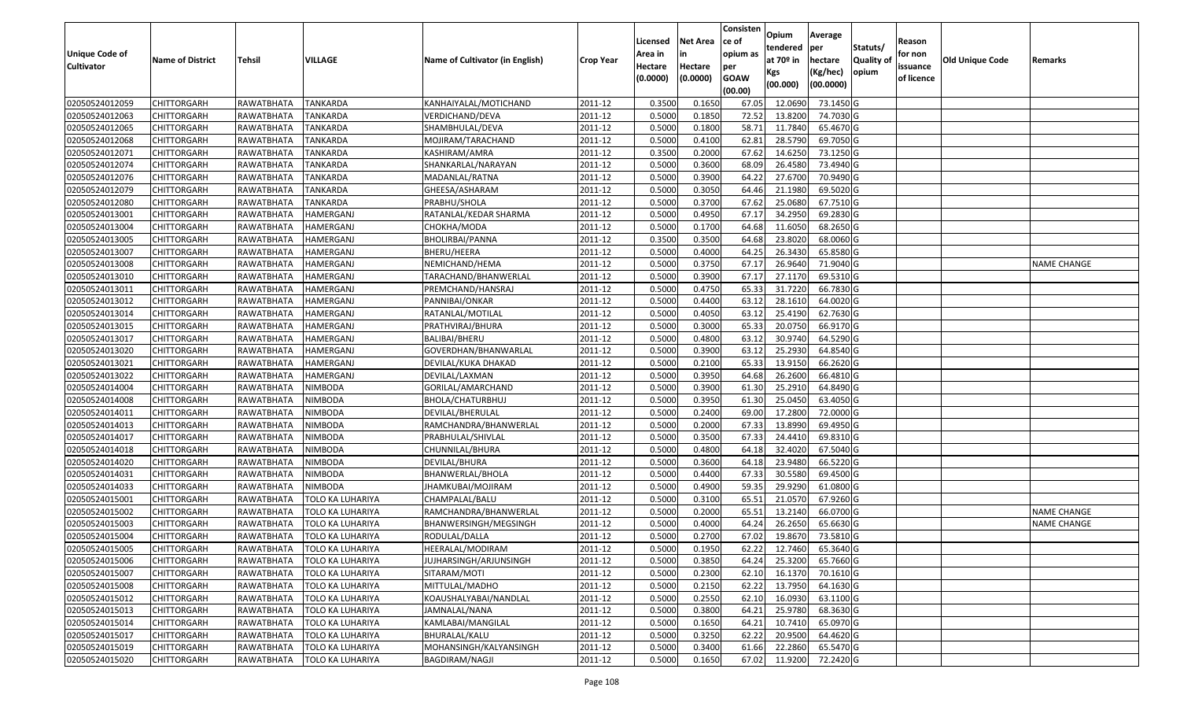| <b>Unique Code of</b><br><b>Cultivator</b> | <b>Name of District</b> | Tehsil     | VILLAGE                 | Name of Cultivator (in English) | <b>Crop Year</b> | Licensed<br>Area in<br>Hectare<br>(0.0000) | <b>Net Area</b><br>in<br>Hectare<br>(0.0000) | Consisten<br>ce of<br>opium as<br>per<br><b>GOAW</b><br>(00.00) | Opium<br>tendered<br>at $70°$ in<br>Kgs<br>(00.000) | Average<br>per<br>hectare<br>(Kg/hec)<br>(00.0000) | Statuts/<br>Quality of<br>opium | Reason<br>for non<br>issuance<br>of licence | <b>Old Unique Code</b> | Remarks            |
|--------------------------------------------|-------------------------|------------|-------------------------|---------------------------------|------------------|--------------------------------------------|----------------------------------------------|-----------------------------------------------------------------|-----------------------------------------------------|----------------------------------------------------|---------------------------------|---------------------------------------------|------------------------|--------------------|
| 02050524012059                             | <b>CHITTORGARH</b>      | RAWATBHATA | TANKARDA                | KANHAIYALAL/MOTICHAND           | 2011-12          | 0.3500                                     | 0.1650                                       | 67.05                                                           | 12.0690                                             | 73.1450 G                                          |                                 |                                             |                        |                    |
| 02050524012063                             | CHITTORGARH             | RAWATBHATA | <b>TANKARDA</b>         | VERDICHAND/DEVA                 | 2011-12          | 0.5000                                     | 0.1850                                       | 72.52                                                           | 13.8200                                             | 74.7030 G                                          |                                 |                                             |                        |                    |
| 02050524012065                             | CHITTORGARH             | RAWATBHATA | TANKARDA                | SHAMBHULAL/DEVA                 | 2011-12          | 0.5000                                     | 0.1800                                       | 58.71                                                           | 11.7840                                             | 65.4670 G                                          |                                 |                                             |                        |                    |
| 02050524012068                             | <b>CHITTORGARH</b>      | RAWATBHATA | <b>TANKARDA</b>         | MOJIRAM/TARACHAND               | 2011-12          | 0.5000                                     | 0.4100                                       | 62.81                                                           | 28.5790                                             | 69.7050 G                                          |                                 |                                             |                        |                    |
| 02050524012071                             | <b>CHITTORGARH</b>      | RAWATBHATA | <b>TANKARDA</b>         | KASHIRAM/AMRA                   | 2011-12          | 0.3500                                     | 0.2000                                       | 67.62                                                           | 14.6250                                             | 73.1250 G                                          |                                 |                                             |                        |                    |
| 02050524012074                             | <b>CHITTORGARH</b>      | RAWATBHATA | <b>TANKARDA</b>         | SHANKARLAL/NARAYAN              | 2011-12          | 0.5000                                     | 0.3600                                       | 68.09                                                           | 26.4580                                             | 73.4940 G                                          |                                 |                                             |                        |                    |
| 02050524012076                             | CHITTORGARH             | RAWATBHATA | TANKARDA                | MADANLAL/RATNA                  | 2011-12          | 0.5000                                     | 0.3900                                       | 64.22                                                           | 27.6700                                             | 70.9490 G                                          |                                 |                                             |                        |                    |
| 02050524012079                             | <b>CHITTORGARH</b>      | RAWATBHATA | <b>TANKARDA</b>         | GHEESA/ASHARAM                  | 2011-12          | 0.5000                                     | 0.3050                                       | 64.46                                                           | 21.1980                                             | 69.5020 G                                          |                                 |                                             |                        |                    |
| 02050524012080                             | <b>CHITTORGARH</b>      | RAWATBHATA | <b>TANKARDA</b>         | PRABHU/SHOLA                    | 2011-12          | 0.5000                                     | 0.3700                                       | 67.62                                                           | 25.0680                                             | 67.7510 G                                          |                                 |                                             |                        |                    |
| 02050524013001                             | <b>CHITTORGARH</b>      | RAWATBHATA | HAMERGANJ               | RATANLAL/KEDAR SHARMA           | 2011-12          | 0.5000                                     | 0.4950                                       | 67.17                                                           | 34.2950                                             | 69.2830 G                                          |                                 |                                             |                        |                    |
| 02050524013004                             | <b>CHITTORGARH</b>      | RAWATBHATA | HAMERGANJ               | СНОКНА/МОDА                     | 2011-12          | 0.5000                                     | 0.1700                                       | 64.68                                                           | 11.6050                                             | 68.2650 G                                          |                                 |                                             |                        |                    |
| 02050524013005                             | <b>CHITTORGARH</b>      | RAWATBHATA | HAMERGANJ               | BHOLIRBAI/PANNA                 | 2011-12          | 0.3500                                     | 0.3500                                       | 64.68                                                           | 23.8020                                             | 68.0060 G                                          |                                 |                                             |                        |                    |
| 02050524013007                             | <b>CHITTORGARH</b>      | RAWATBHATA | <b>HAMERGANJ</b>        | BHERU/HEERA                     | 2011-12          | 0.5000                                     | 0.4000                                       | 64.25                                                           | 26.3430                                             | 65.8580 G                                          |                                 |                                             |                        |                    |
| 02050524013008                             | <b>CHITTORGARH</b>      | RAWATBHATA | HAMERGANJ               | NEMICHAND/HEMA                  | 2011-12          | 0.5000                                     | 0.3750                                       | 67.17                                                           | 26.9640                                             | 71.9040 G                                          |                                 |                                             |                        | <b>NAME CHANGE</b> |
| 02050524013010                             | <b>CHITTORGARH</b>      | RAWATBHATA | <b>HAMERGANJ</b>        | TARACHAND/BHANWERLAL            | 2011-12          | 0.5000                                     | 0.3900                                       | 67.17                                                           | 27.1170                                             | 69.5310 G                                          |                                 |                                             |                        |                    |
| 02050524013011                             | <b>CHITTORGARH</b>      | RAWATBHATA | <b>HAMERGANJ</b>        | PREMCHAND/HANSRAJ               | 2011-12          | 0.5000                                     | 0.4750                                       | 65.33                                                           | 31.7220                                             | 66.7830 G                                          |                                 |                                             |                        |                    |
| 02050524013012                             | <b>CHITTORGARH</b>      | RAWATBHATA | <b>HAMERGANJ</b>        | PANNIBAI/ONKAR                  | 2011-12          | 0.5000                                     | 0.4400                                       | 63.12                                                           | 28.1610                                             | 64.0020 G                                          |                                 |                                             |                        |                    |
| 02050524013014                             | <b>CHITTORGARH</b>      | RAWATBHATA | HAMERGANJ               | RATANLAL/MOTILAL                | 2011-12          | 0.5000                                     | 0.4050                                       | 63.12                                                           | 25.4190                                             | $62.7630$ G                                        |                                 |                                             |                        |                    |
| 02050524013015                             | <b>CHITTORGARH</b>      | RAWATBHATA | HAMERGANJ               | PRATHVIRAJ/BHURA                | 2011-12          | 0.5000                                     | 0.3000                                       | 65.33                                                           | 20.0750                                             | 66.9170 G                                          |                                 |                                             |                        |                    |
| 02050524013017                             | CHITTORGARH             | RAWATBHATA | HAMERGANJ               | BALIBAI/BHERU                   | 2011-12          | 0.5000                                     | 0.4800                                       | 63.12                                                           | 30.9740                                             | 64.5290 G                                          |                                 |                                             |                        |                    |
| 02050524013020                             | <b>CHITTORGARH</b>      | RAWATBHATA | HAMERGANJ               | GOVERDHAN/BHANWARLAL            | 2011-12          | 0.5000                                     | 0.3900                                       | 63.12                                                           | 25.2930                                             | 64.8540 G                                          |                                 |                                             |                        |                    |
| 02050524013021                             | <b>CHITTORGARH</b>      | RAWATBHATA | HAMERGANJ               | DEVILAL/KUKA DHAKAD             | 2011-12          | 0.5000                                     | 0.2100                                       | 65.33                                                           | 13.9150                                             | 66.2620 G                                          |                                 |                                             |                        |                    |
| 02050524013022                             | <b>CHITTORGARH</b>      | RAWATBHATA | HAMERGANJ               | DEVILAL/LAXMAN                  | 2011-12          | 0.5000                                     | 0.3950                                       | 64.68                                                           | 26.2600                                             | 66.4810 G                                          |                                 |                                             |                        |                    |
| 02050524014004                             | <b>CHITTORGARH</b>      | RAWATBHATA | <b>NIMBODA</b>          | GORILAL/AMARCHAND               | 2011-12          | 0.5000                                     | 0.3900                                       | 61.30                                                           | 25.2910                                             | 64.8490 G                                          |                                 |                                             |                        |                    |
| 02050524014008                             | <b>CHITTORGARH</b>      | RAWATBHATA | <b>NIMBODA</b>          | BHOLA/CHATURBHUJ                | 2011-12          | 0.5000                                     | 0.3950                                       | 61.30                                                           | 25.0450                                             | 63.4050 G                                          |                                 |                                             |                        |                    |
| 02050524014011                             | CHITTORGARH             | RAWATBHATA | <b>NIMBODA</b>          | DEVILAL/BHERULAL                | 2011-12          | 0.5000                                     | 0.2400                                       | 69.00                                                           | 17.2800                                             | 72.0000 G                                          |                                 |                                             |                        |                    |
| 02050524014013                             | <b>CHITTORGARH</b>      | RAWATBHATA | <b>NIMBODA</b>          | RAMCHANDRA/BHANWERLAL           | 2011-12          | 0.5000                                     | 0.2000                                       | 67.33                                                           | 13.8990                                             | 69.4950 G                                          |                                 |                                             |                        |                    |
| 02050524014017                             | CHITTORGARH             | RAWATBHATA | <b>NIMBODA</b>          | PRABHULAL/SHIVLAL               | 2011-12          | 0.5000                                     | 0.3500                                       | 67.33                                                           | 24.4410                                             | 69.8310 G                                          |                                 |                                             |                        |                    |
| 02050524014018                             | <b>CHITTORGARH</b>      | RAWATBHATA | <b>NIMBODA</b>          | CHUNNILAL/BHURA                 | 2011-12          | 0.5000                                     | 0.4800                                       | 64.18                                                           | 32.4020                                             | 67.5040 G                                          |                                 |                                             |                        |                    |
| 02050524014020                             | <b>CHITTORGARH</b>      | RAWATBHATA | <b>NIMBODA</b>          | DEVILAL/BHURA                   | 2011-12          | 0.5000                                     | 0.3600                                       | 64.18                                                           | 23.9480                                             | 66.5220 G                                          |                                 |                                             |                        |                    |
| 02050524014031                             | <b>CHITTORGARH</b>      | RAWATBHATA | <b>NIMBODA</b>          | BHANWERLAL/BHOLA                | 2011-12          | 0.5000                                     | 0.4400                                       | 67.33                                                           | 30.5580                                             | 69.4500 G                                          |                                 |                                             |                        |                    |
| 02050524014033                             | <b>CHITTORGARH</b>      | RAWATBHATA | NIMBODA                 | JHAMKUBAI/MOJIRAM               | 2011-12          | 0.5000                                     | 0.4900                                       | 59.35                                                           | 29.9290                                             | 61.0800 G                                          |                                 |                                             |                        |                    |
| 02050524015001                             | <b>CHITTORGARH</b>      | RAWATBHATA | TOLO KA LUHARIYA        | CHAMPALAL/BALU                  | 2011-12          | 0.5000                                     | 0.3100                                       | 65.5                                                            | 21.0570                                             | 67.9260 G                                          |                                 |                                             |                        |                    |
| 02050524015002                             | <b>CHITTORGARH</b>      | RAWATBHATA | TOLO KA LUHARIYA        | RAMCHANDRA/BHANWERLAL           | 2011-12          | 0.5000                                     | 0.2000                                       | 65.51                                                           | 13.2140                                             | 66.0700 G                                          |                                 |                                             |                        | <b>NAME CHANGE</b> |
| 02050524015003                             | CHITTORGARH             | RAWATBHATA | TOLO KA LUHARIYA        | BHANWERSINGH/MEGSINGH           | 2011-12          | 0.500                                      | 0.4000                                       | 64.24                                                           | 26.2650                                             | 65.6630 G                                          |                                 |                                             |                        | <b>NAME CHANGE</b> |
| 02050524015004                             | <b>CHITTORGARH</b>      | RAWATBHATA | TOLO KA LUHARIYA        | RODULAL/DALLA                   | 2011-12          | 0.5000                                     | 0.2700                                       | 67.02                                                           | 19.8670                                             | 73.5810 G                                          |                                 |                                             |                        |                    |
| 02050524015005                             | <b>CHITTORGARH</b>      | RAWATBHATA | <b>TOLO KA LUHARIYA</b> | HEERALAL/MODIRAM                | $2011-12$        | 0.5000                                     | 0.1950                                       | 62.22                                                           | 12.7460                                             | 65.3640 G                                          |                                 |                                             |                        |                    |
| 02050524015006                             | <b>CHITTORGARH</b>      | RAWATBHATA | TOLO KA LUHARIYA        | JUJHARSINGH/ARJUNSINGH          | 2011-12          | 0.5000                                     | 0.3850                                       | 64.24                                                           | 25.3200                                             | 65.7660 G                                          |                                 |                                             |                        |                    |
| 02050524015007                             | <b>CHITTORGARH</b>      | RAWATBHATA | TOLO KA LUHARIYA        | SITARAM/MOTI                    | 2011-12          | 0.5000                                     | 0.2300                                       | 62.10                                                           | 16.1370                                             | 70.1610 G                                          |                                 |                                             |                        |                    |
| 02050524015008                             | <b>CHITTORGARH</b>      | RAWATBHATA | TOLO KA LUHARIYA        | MITTULAL/MADHO                  | 2011-12          | 0.5000                                     | 0.2150                                       | 62.22                                                           | 13.7950                                             | 64.1630 G                                          |                                 |                                             |                        |                    |
| 02050524015012                             | <b>CHITTORGARH</b>      | RAWATBHATA | <b>TOLO KA LUHARIYA</b> | KOAUSHALYABAI/NANDLAL           | 2011-12          | 0.5000                                     | 0.2550                                       | 62.10                                                           | 16.0930                                             | 63.1100 G                                          |                                 |                                             |                        |                    |
| 02050524015013                             | <b>CHITTORGARH</b>      | RAWATBHATA | <b>TOLO KA LUHARIYA</b> | JAMNALAL/NANA                   | 2011-12          | 0.5000                                     | 0.3800                                       | 64.21                                                           | 25.9780                                             | 68.3630 G                                          |                                 |                                             |                        |                    |
| 02050524015014                             | <b>CHITTORGARH</b>      | RAWATBHATA | TOLO KA LUHARIYA        | KAMLABAI/MANGILAL               | 2011-12          | 0.5000                                     | 0.1650                                       | 64.21                                                           | 10.7410                                             | 65.0970 G                                          |                                 |                                             |                        |                    |
| 02050524015017                             | <b>CHITTORGARH</b>      | RAWATBHATA | TOLO KA LUHARIYA        | BHURALAL/KALU                   | 2011-12          | 0.5000                                     | 0.3250                                       | 62.22                                                           | 20.9500                                             | 64.4620 G                                          |                                 |                                             |                        |                    |
| 02050524015019                             | <b>CHITTORGARH</b>      | RAWATBHATA | TOLO KA LUHARIYA        | MOHANSINGH/KALYANSINGH          | 2011-12          | 0.5000                                     | 0.3400                                       | 61.66                                                           | 22.2860                                             | 65.5470 G                                          |                                 |                                             |                        |                    |
| 02050524015020                             | <b>CHITTORGARH</b>      | RAWATBHATA | <b>TOLO KA LUHARIYA</b> | <b>BAGDIRAM/NAGJI</b>           | 2011-12          | 0.5000                                     | 0.1650                                       | 67.02                                                           |                                                     | 11.9200 72.2420 G                                  |                                 |                                             |                        |                    |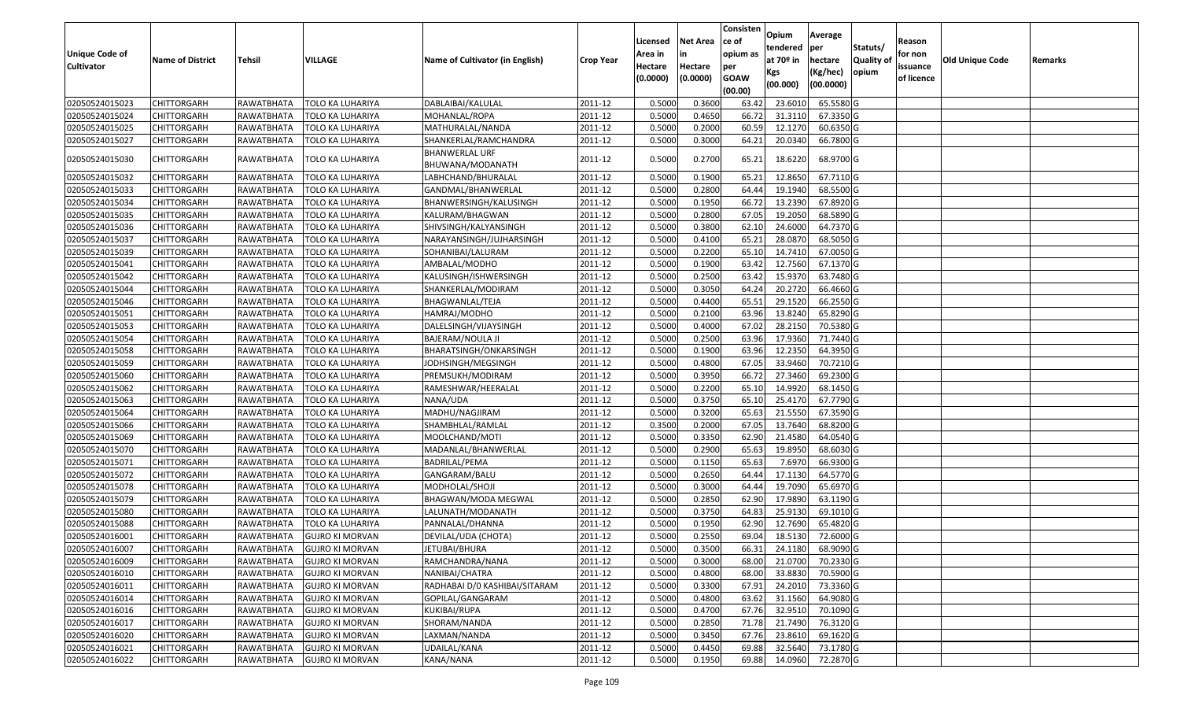| <b>Unique Code of</b><br><b>Cultivator</b> | <b>Name of District</b> | Tehsil     | VILLAGE                | Name of Cultivator (in English)           | <b>Crop Year</b> | Licensed<br>Area in<br>Hectare | <b>Net Area</b><br>in<br>Hectare | Consisten<br>ce of<br>opium as<br>per | Opium<br>tendered<br>at $70°$ in | Average<br>per<br>hectare | Statuts/<br>Quality of | Reason<br>for non<br>issuance | Old Unique Code | Remarks |
|--------------------------------------------|-------------------------|------------|------------------------|-------------------------------------------|------------------|--------------------------------|----------------------------------|---------------------------------------|----------------------------------|---------------------------|------------------------|-------------------------------|-----------------|---------|
|                                            |                         |            |                        |                                           |                  | (0.0000)                       | (0.0000)                         | <b>GOAW</b><br>(00.00)                | Kgs<br>(00.000)                  | (Kg/hec)<br>(00.0000)     | opium                  | of licence                    |                 |         |
| 02050524015023                             | <b>CHITTORGARH</b>      | RAWATBHATA | TOLO KA LUHARIYA       | DABLAIBAI/KALULAL                         | 2011-12          | 0.5000                         | 0.3600                           | 63.42                                 | 23.6010                          | 65.5580 G                 |                        |                               |                 |         |
| 02050524015024                             | <b>CHITTORGARH</b>      | RAWATBHATA | TOLO KA LUHARIYA       | MOHANLAL/ROPA                             | 2011-12          | 0.5000                         | 0.4650                           | 66.72                                 | 31.3110                          | 67.3350 G                 |                        |                               |                 |         |
| 02050524015025                             | <b>CHITTORGARH</b>      | RAWATBHATA | TOLO KA LUHARIYA       | MATHURALAL/NANDA                          | 2011-12          | 0.5000                         | 0.2000                           | 60.5                                  | 12.1270                          | 60.6350 G                 |                        |                               |                 |         |
| 02050524015027                             | <b>CHITTORGARH</b>      | RAWATBHATA | TOLO KA LUHARIYA       | SHANKERLAL/RAMCHANDRA                     | 2011-12          | 0.5000                         | 0.3000                           | 64.21                                 | 20.0340                          | 66.7800 G                 |                        |                               |                 |         |
| 02050524015030                             | <b>CHITTORGARH</b>      | RAWATBHATA | TOLO KA LUHARIYA       | <b>BHANWERLAL URF</b><br>BHUWANA/MODANATH | 2011-12          | 0.5000                         | 0.2700                           | 65.21                                 | 18.6220                          | 68.9700 G                 |                        |                               |                 |         |
| 02050524015032                             | CHITTORGARH             | RAWATBHATA | TOLO KA LUHARIYA       | LABHCHAND/BHURALAL                        | 2011-12          | 0.5000                         | 0.1900                           | 65.2                                  | 12.8650                          | 67.7110 G                 |                        |                               |                 |         |
| 02050524015033                             | <b>CHITTORGARH</b>      | RAWATBHATA | TOLO KA LUHARIYA       | GANDMAL/BHANWERLAL                        | 2011-12          | 0.5000                         | 0.2800                           | 64.44                                 | 19.1940                          | 68.5500 G                 |                        |                               |                 |         |
| 02050524015034                             | <b>CHITTORGARH</b>      | RAWATBHATA | TOLO KA LUHARIYA       | BHANWERSINGH/KALUSINGH                    | 2011-12          | 0.5000                         | 0.1950                           | 66.72                                 | 13.2390                          | 67.8920 G                 |                        |                               |                 |         |
| 02050524015035                             | <b>CHITTORGARH</b>      | RAWATBHATA | TOLO KA LUHARIYA       | KALURAM/BHAGWAN                           | 2011-12          | 0.5000                         | 0.2800                           | 67.05                                 | 19.2050                          | 68.5890 G                 |                        |                               |                 |         |
| 02050524015036                             | CHITTORGARH             | RAWATBHATA | TOLO KA LUHARIYA       | SHIVSINGH/KALYANSINGH                     | 2011-12          | 0.5000                         | 0.3800                           | 62.10                                 | 24.6000                          | 64.7370 G                 |                        |                               |                 |         |
| 02050524015037                             | <b>CHITTORGARH</b>      | RAWATBHATA | TOLO KA LUHARIYA       | NARAYANSINGH/JUJHARSINGH                  | 2011-12          | 0.5000                         | 0.4100                           | 65.21                                 | 28.0870                          | 68.5050 G                 |                        |                               |                 |         |
| 02050524015039                             | <b>CHITTORGARH</b>      | RAWATBHATA | TOLO KA LUHARIYA       | SOHANIBAI/LALURAM                         | 2011-12          | 0.5000                         | 0.2200                           | 65.10                                 | 14.7410                          | 67.0050 G                 |                        |                               |                 |         |
| 02050524015041                             | <b>CHITTORGARH</b>      | RAWATBHATA | TOLO KA LUHARIYA       | AMBALAL/MODHO                             | 2011-12          | 0.5000                         | 0.1900                           | 63.42                                 | 12.7560                          | 67.1370 G                 |                        |                               |                 |         |
| 02050524015042                             | CHITTORGARH             | RAWATBHATA | TOLO KA LUHARIYA       | KALUSINGH/ISHWERSINGH                     | 2011-12          | 0.5000                         | 0.2500                           | 63.42                                 | 15.9370                          | 63.7480 G                 |                        |                               |                 |         |
| 02050524015044                             | <b>CHITTORGARH</b>      | RAWATBHATA | TOLO KA LUHARIYA       | SHANKERLAL/MODIRAM                        | 2011-12          | 0.5000                         | 0.3050                           | 64.24                                 | 20.2720                          | 66.4660 G                 |                        |                               |                 |         |
| 02050524015046                             | <b>CHITTORGARH</b>      | RAWATBHATA | TOLO KA LUHARIYA       | BHAGWANLAL/TEJA                           | 2011-12          | 0.5000                         | 0.4400                           | 65.51                                 | 29.1520                          | 66.2550 G                 |                        |                               |                 |         |
| 02050524015051                             | <b>CHITTORGARH</b>      | RAWATBHATA | TOLO KA LUHARIYA       | HAMRAJ/MODHO                              | 2011-12          | 0.5000                         | 0.2100                           | 63.96                                 | 13.8240                          | 65.8290 G                 |                        |                               |                 |         |
| 02050524015053                             | <b>CHITTORGARH</b>      | RAWATBHATA | TOLO KA LUHARIYA       | DALELSINGH/VIJAYSINGH                     | 2011-12          | 0.5000                         | 0.4000                           | 67.02                                 | 28.2150                          | 70.5380 G                 |                        |                               |                 |         |
| 02050524015054                             | <b>CHITTORGARH</b>      | RAWATBHATA | TOLO KA LUHARIYA       | BAJERAM/NOULA JI                          | 2011-12          | 0.5000                         | 0.2500                           | 63.96                                 | 17.9360                          | 71.7440 G                 |                        |                               |                 |         |
| 02050524015058                             | <b>CHITTORGARH</b>      | RAWATBHATA | TOLO KA LUHARIYA       | BHARATSINGH/ONKARSINGH                    | 2011-12          | 0.5000                         | 0.1900                           | 63.96                                 | 12.2350                          | 64.3950 G                 |                        |                               |                 |         |
| 02050524015059                             | <b>CHITTORGARH</b>      | RAWATBHATA | TOLO KA LUHARIYA       | JODHSINGH/MEGSINGH                        | 2011-12          | 0.5000                         | 0.4800                           | 67.05                                 | 33.9460                          | 70.7210 G                 |                        |                               |                 |         |
| 02050524015060                             | <b>CHITTORGARH</b>      | RAWATBHATA | TOLO KA LUHARIYA       | PREMSUKH/MODIRAM                          | 2011-12          | 0.5000                         | 0.3950                           | 66.72                                 | 27.3460                          | 69.2300 G                 |                        |                               |                 |         |
| 02050524015062                             | CHITTORGARH             | RAWATBHATA | TOLO KA LUHARIYA       | RAMESHWAR/HEERALAL                        | 2011-12          | 0.5000                         | 0.2200                           | 65.10                                 | 14.9920                          | 68.1450 G                 |                        |                               |                 |         |
| 02050524015063                             | <b>CHITTORGARH</b>      | RAWATBHATA | TOLO KA LUHARIYA       | NANA/UDA                                  | 2011-12          | 0.5000                         | 0.3750                           | 65.10                                 | 25.4170                          | 67.7790 G                 |                        |                               |                 |         |
| 02050524015064                             | <b>CHITTORGARH</b>      | RAWATBHATA | TOLO KA LUHARIYA       | MADHU/NAGJIRAM                            | 2011-12          | 0.5000                         | 0.3200                           | 65.63                                 | 21.5550                          | 67.3590 G                 |                        |                               |                 |         |
| 02050524015066                             | <b>CHITTORGARH</b>      | RAWATBHATA | TOLO KA LUHARIYA       | SHAMBHLAL/RAMLAL                          | 2011-12          | 0.3500                         | 0.2000                           | 67.0                                  | 13.7640                          | 68.8200 G                 |                        |                               |                 |         |
| 02050524015069                             | <b>CHITTORGARH</b>      | RAWATBHATA | TOLO KA LUHARIYA       | MOOLCHAND/MOTI                            | 2011-12          | 0.5000                         | 0.3350                           | 62.90                                 | 21.4580                          | 64.0540 G                 |                        |                               |                 |         |
| 02050524015070                             | <b>CHITTORGARH</b>      | RAWATBHATA | TOLO KA LUHARIYA       | MADANLAL/BHANWERLAL                       | 2011-12          | 0.5000                         | 0.2900                           | 65.63                                 | 19.8950                          | 68.6030 G                 |                        |                               |                 |         |
| 02050524015071                             | <b>CHITTORGARH</b>      | RAWATBHATA | TOLO KA LUHARIYA       | BADRILAL/PEMA                             | 2011-12          | 0.5000                         | 0.1150                           | 65.63                                 | 7.6970                           | 66.9300 G                 |                        |                               |                 |         |
| 02050524015072                             | <b>CHITTORGARH</b>      | RAWATBHATA | TOLO KA LUHARIYA       | GANGARAM/BALU                             | 2011-12          | 0.5000                         | 0.2650                           | 64.44                                 | 17.1130                          | 64.5770 G                 |                        |                               |                 |         |
| 02050524015078                             | <b>CHITTORGARH</b>      | RAWATBHATA | TOLO KA LUHARIYA       | MODHOLAL/SHOJI                            | 2011-12          | 0.5000                         | 0.3000                           | 64.4                                  | 19.7090                          | 65.6970 G                 |                        |                               |                 |         |
| 02050524015079                             | <b>CHITTORGARH</b>      | RAWATBHATA | TOLO KA LUHARIYA       | BHAGWAN/MODA MEGWAL                       | 2011-12          | 0.5000                         | 0.2850                           | 62.90                                 | 17.9890                          | 63.1190 G                 |                        |                               |                 |         |
| 02050524015080                             | <b>CHITTORGARH</b>      | RAWATBHATA | TOLO KA LUHARIYA       | LALUNATH/MODANATH                         | 2011-12          | 0.5000                         | 0.3750                           | 64.83                                 | 25.9130                          | 69.1010 G                 |                        |                               |                 |         |
| 02050524015088                             | <b>CHITTORGARH</b>      | RAWATBHATA | TOLO KA LUHARIYA       | PANNALAL/DHANNA                           | 2011-12          | 0.5000                         | 0.1950                           | 62.90                                 | 12.7690                          | 65.4820 G                 |                        |                               |                 |         |
| 02050524016001                             | <b>CHITTORGARH</b>      | RAWATBHATA | <b>GUJRO KI MORVAN</b> | DEVILAL/UDA (CHOTA)                       | 2011-12          | 0.5000                         | 0.2550                           | 69.04                                 | 18.5130                          | 72.6000 G                 |                        |                               |                 |         |
| 02050524016007                             | <b>CHITTORGARH</b>      | RAWATBHATA | <b>GUJRO KI MORVAN</b> | JETUBAI/BHURA                             | 2011-12          | 0.5000                         | 0.3500                           |                                       | 66.31 24.1180                    | 68.9090 G                 |                        |                               |                 |         |
| 02050524016009                             | <b>CHITTORGARH</b>      | RAWATBHATA | <b>GUJRO KI MORVAN</b> | RAMCHANDRA/NANA                           | 2011-12          | 0.5000                         | 0.3000                           | 68.00                                 | 21.0700                          | 70.2330 G                 |                        |                               |                 |         |
| 02050524016010                             | <b>CHITTORGARH</b>      | RAWATBHATA | <b>GUJRO KI MORVAN</b> | NANIBAI/CHATRA                            | 2011-12          | 0.5000                         | 0.4800                           | 68.00                                 | 33.8830                          | 70.5900 G                 |                        |                               |                 |         |
| 02050524016011                             | <b>CHITTORGARH</b>      | RAWATBHATA | <b>GUJRO KI MORVAN</b> | RADHABAI D/0 KASHIBAI/SITARAM             | 2011-12          | 0.5000                         | 0.3300                           | 67.91                                 | 24.2010                          | $\overline{73.3360}$ G    |                        |                               |                 |         |
| 02050524016014                             | <b>CHITTORGARH</b>      | RAWATBHATA | <b>GUJRO KI MORVAN</b> | GOPILAL/GANGARAM                          | 2011-12          | 0.5000                         | 0.4800                           | 63.62                                 | 31.1560                          | 64.9080 G                 |                        |                               |                 |         |
| 02050524016016                             | <b>CHITTORGARH</b>      | RAWATBHATA | <b>GUJRO KI MORVAN</b> | KUKIBAI/RUPA                              | 2011-12          | 0.5000                         | 0.4700                           | 67.76                                 | 32.9510                          | 70.1090 G                 |                        |                               |                 |         |
| 02050524016017                             | <b>CHITTORGARH</b>      | RAWATBHATA | <b>GUJRO KI MORVAN</b> | SHORAM/NANDA                              | 2011-12          | 0.5000                         | 0.2850                           | 71.78                                 | 21.7490                          | 76.3120 G                 |                        |                               |                 |         |
| 02050524016020                             | <b>CHITTORGARH</b>      | RAWATBHATA | <b>GUJRO KI MORVAN</b> | LAXMAN/NANDA                              | 2011-12          | 0.5000                         | 0.3450                           | 67.76                                 | 23.8610                          | 69.1620 G                 |                        |                               |                 |         |
| 02050524016021                             | <b>CHITTORGARH</b>      | RAWATBHATA | <b>GUJRO KI MORVAN</b> | UDAILAL/KANA                              | 2011-12          | 0.5000                         | 0.4450                           | 69.88                                 | 32.5640                          | 73.1780 G                 |                        |                               |                 |         |
| 02050524016022                             | <b>CHITTORGARH</b>      | RAWATBHATA | <b>GUJRO KI MORVAN</b> | KANA/NANA                                 | 2011-12          | 0.5000                         | 0.1950                           | 69.88                                 |                                  | 14.0960 72.2870 G         |                        |                               |                 |         |